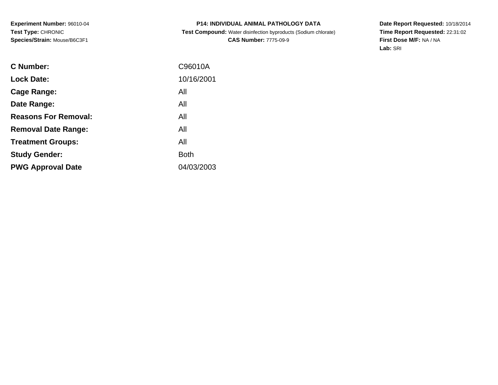# **P14: INDIVIDUAL ANIMAL PATHOLOGY DATA Test Compound:** Water disinfection byproducts (Sodium chlorate)**CAS Number:** 7775-09-9

| C Number:                   | C96010A     |
|-----------------------------|-------------|
| <b>Lock Date:</b>           | 10/16/2001  |
| Cage Range:                 | All         |
| Date Range:                 | All         |
| <b>Reasons For Removal:</b> | All         |
| <b>Removal Date Range:</b>  | All         |
| <b>Treatment Groups:</b>    | All         |
| <b>Study Gender:</b>        | <b>Both</b> |
| <b>PWG Approval Date</b>    | 04/03/2003  |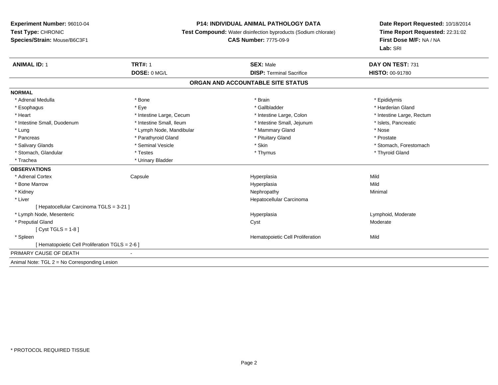### **P14: INDIVIDUAL ANIMAL PATHOLOGY DATA**

**Test Compound:** Water disinfection byproducts (Sodium chlorate)

**CAS Number:** 7775-09-9

| <b>ANIMAL ID: 1</b>                            | <b>TRT#: 1</b>           | <b>SEX: Male</b>                  | DAY ON TEST: 731          |
|------------------------------------------------|--------------------------|-----------------------------------|---------------------------|
|                                                | DOSE: 0 MG/L             | <b>DISP: Terminal Sacrifice</b>   | <b>HISTO: 00-91780</b>    |
|                                                |                          | ORGAN AND ACCOUNTABLE SITE STATUS |                           |
| <b>NORMAL</b>                                  |                          |                                   |                           |
| * Adrenal Medulla                              | * Bone                   | * Brain                           | * Epididymis              |
| * Esophagus                                    | * Eye                    | * Gallbladder                     | * Harderian Gland         |
| * Heart                                        | * Intestine Large, Cecum | * Intestine Large, Colon          | * Intestine Large, Rectum |
| * Intestine Small, Duodenum                    | * Intestine Small, Ileum | * Intestine Small, Jejunum        | * Islets, Pancreatic      |
| * Lung                                         | * Lymph Node, Mandibular | * Mammary Gland                   | * Nose                    |
| * Pancreas                                     | * Parathyroid Gland      | * Pituitary Gland                 | * Prostate                |
| * Salivary Glands                              | * Seminal Vesicle        | * Skin                            | * Stomach, Forestomach    |
| * Stomach, Glandular                           | * Testes                 | * Thymus                          | * Thyroid Gland           |
| * Trachea                                      | * Urinary Bladder        |                                   |                           |
| <b>OBSERVATIONS</b>                            |                          |                                   |                           |
| * Adrenal Cortex                               | Capsule                  | Hyperplasia                       | Mild                      |
| * Bone Marrow                                  |                          | Hyperplasia                       | Mild                      |
| * Kidney                                       |                          | Nephropathy                       | Minimal                   |
| * Liver                                        |                          | Hepatocellular Carcinoma          |                           |
| [ Hepatocellular Carcinoma TGLS = 3-21 ]       |                          |                                   |                           |
| * Lymph Node, Mesenteric                       |                          | Hyperplasia                       | Lymphoid, Moderate        |
| * Preputial Gland                              |                          | Cyst                              | Moderate                  |
| [Cyst TGLS = $1-8$ ]                           |                          |                                   |                           |
| * Spleen                                       |                          | Hematopoietic Cell Proliferation  | Mild                      |
| [Hematopoietic Cell Proliferation TGLS = 2-6 ] |                          |                                   |                           |
| PRIMARY CAUSE OF DEATH                         |                          |                                   |                           |
| Animal Note: TGL 2 = No Corresponding Lesion   |                          |                                   |                           |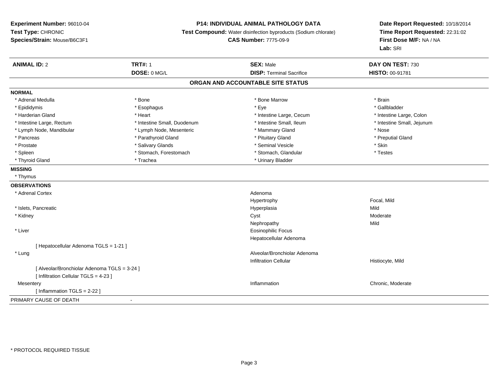### **P14: INDIVIDUAL ANIMAL PATHOLOGY DATA**

**Test Compound:** Water disinfection byproducts (Sodium chlorate)

**CAS Number:** 7775-09-9

| <b>ANIMAL ID: 2</b>                        | <b>TRT#: 1</b>              | <b>SEX: Male</b>                                   | DAY ON TEST: 730           |
|--------------------------------------------|-----------------------------|----------------------------------------------------|----------------------------|
|                                            | DOSE: 0 MG/L                | <b>DISP: Terminal Sacrifice</b><br>HISTO: 00-91781 |                            |
|                                            |                             | ORGAN AND ACCOUNTABLE SITE STATUS                  |                            |
| <b>NORMAL</b>                              |                             |                                                    |                            |
| * Adrenal Medulla                          | * Bone                      | * Bone Marrow                                      | * Brain                    |
| * Epididymis                               | * Esophagus                 | * Eye                                              | * Gallbladder              |
| * Harderian Gland                          | * Heart                     | * Intestine Large, Cecum                           | * Intestine Large, Colon   |
| * Intestine Large, Rectum                  | * Intestine Small, Duodenum | * Intestine Small, Ileum                           | * Intestine Small, Jejunum |
| * Lymph Node, Mandibular                   | * Lymph Node, Mesenteric    | * Mammary Gland                                    | * Nose                     |
| * Pancreas                                 | * Parathyroid Gland         | * Pituitary Gland                                  | * Preputial Gland          |
| * Prostate                                 | * Salivary Glands           | * Seminal Vesicle                                  | * Skin                     |
| * Spleen                                   | * Stomach, Forestomach      | * Stomach, Glandular                               | * Testes                   |
| * Thyroid Gland                            | * Trachea                   | * Urinary Bladder                                  |                            |
| <b>MISSING</b>                             |                             |                                                    |                            |
| * Thymus                                   |                             |                                                    |                            |
| <b>OBSERVATIONS</b>                        |                             |                                                    |                            |
| * Adrenal Cortex                           |                             | Adenoma                                            |                            |
|                                            |                             | Hypertrophy                                        | Focal, Mild                |
| * Islets, Pancreatic                       |                             | Hyperplasia                                        | Mild                       |
| * Kidney                                   |                             | Cyst                                               | Moderate                   |
|                                            |                             | Nephropathy                                        | Mild                       |
| * Liver                                    |                             | <b>Eosinophilic Focus</b>                          |                            |
|                                            |                             | Hepatocellular Adenoma                             |                            |
| [Hepatocellular Adenoma TGLS = 1-21]       |                             |                                                    |                            |
| * Lung                                     |                             | Alveolar/Bronchiolar Adenoma                       |                            |
|                                            |                             | Infiltration Cellular                              | Histiocyte, Mild           |
| [Alveolar/Bronchiolar Adenoma TGLS = 3-24] |                             |                                                    |                            |
| [ Infiltration Cellular TGLS = 4-23 ]      |                             |                                                    |                            |
| Mesentery                                  |                             | Inflammation                                       | Chronic, Moderate          |
| [Inflammation TGLS = $2-22$ ]              |                             |                                                    |                            |
| PRIMARY CAUSE OF DEATH                     | $\blacksquare$              |                                                    |                            |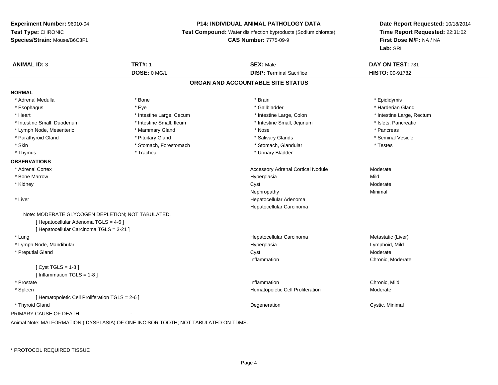#### **P14: INDIVIDUAL ANIMAL PATHOLOGY DATA**

**Test Compound:** Water disinfection byproducts (Sodium chlorate)

**CAS Number:** 7775-09-9

**Date Report Requested:** 10/18/2014**Time Report Requested:** 22:31:02**First Dose M/F:** NA / NA**Lab:** SRI

| <b>ANIMAL ID: 3</b>                               | <b>TRT#: 1</b>           | <b>SEX: Male</b>                         | DAY ON TEST: 731          |  |
|---------------------------------------------------|--------------------------|------------------------------------------|---------------------------|--|
|                                                   | DOSE: 0 MG/L             | <b>DISP: Terminal Sacrifice</b>          | HISTO: 00-91782           |  |
|                                                   |                          | ORGAN AND ACCOUNTABLE SITE STATUS        |                           |  |
| <b>NORMAL</b>                                     |                          |                                          |                           |  |
| * Adrenal Medulla                                 | * Bone                   | * Brain                                  | * Epididymis              |  |
| * Esophagus                                       | * Eye                    | * Gallbladder                            | * Harderian Gland         |  |
| * Heart                                           | * Intestine Large, Cecum | * Intestine Large, Colon                 | * Intestine Large, Rectum |  |
| * Intestine Small, Duodenum                       | * Intestine Small, Ileum | * Intestine Small, Jejunum               | * Islets, Pancreatic      |  |
| * Lymph Node, Mesenteric                          | * Mammary Gland          | * Nose                                   | * Pancreas                |  |
| * Parathyroid Gland                               | * Pituitary Gland        | * Salivary Glands                        | * Seminal Vesicle         |  |
| * Skin                                            | * Stomach, Forestomach   | * Stomach, Glandular                     | * Testes                  |  |
| * Thymus                                          | * Trachea                | * Urinary Bladder                        |                           |  |
| <b>OBSERVATIONS</b>                               |                          |                                          |                           |  |
| * Adrenal Cortex                                  |                          | <b>Accessory Adrenal Cortical Nodule</b> | Moderate                  |  |
| <b>Bone Marrow</b>                                |                          | Hyperplasia                              | Mild                      |  |
| * Kidney                                          |                          | Cyst                                     | Moderate                  |  |
|                                                   |                          | Nephropathy                              | Minimal                   |  |
| * Liver                                           |                          | Hepatocellular Adenoma                   |                           |  |
|                                                   |                          | Hepatocellular Carcinoma                 |                           |  |
| Note: MODERATE GLYCOGEN DEPLETION; NOT TABULATED. |                          |                                          |                           |  |
| [ Hepatocellular Adenoma TGLS = 4-6 ]             |                          |                                          |                           |  |
| [ Hepatocellular Carcinoma TGLS = 3-21 ]          |                          |                                          |                           |  |
| * Lung                                            |                          | Hepatocellular Carcinoma                 | Metastatic (Liver)        |  |
| * Lymph Node, Mandibular                          |                          | Hyperplasia                              | Lymphoid, Mild            |  |
| * Preputial Gland                                 |                          | Cyst                                     | Moderate                  |  |
|                                                   |                          | Inflammation                             | Chronic, Moderate         |  |
| [Cyst TGLS = $1-8$ ]                              |                          |                                          |                           |  |
| [Inflammation TGLS = $1-8$ ]                      |                          |                                          |                           |  |
| * Prostate                                        |                          | Inflammation                             | Chronic, Mild             |  |
| * Spleen                                          |                          | Hematopoietic Cell Proliferation         | Moderate                  |  |
| [ Hematopoietic Cell Proliferation TGLS = 2-6 ]   |                          |                                          |                           |  |
| * Thyroid Gland                                   |                          | Degeneration                             | Cystic, Minimal           |  |
| PRIMARY CAUSE OF DEATH                            |                          |                                          |                           |  |

Animal Note: MALFORMATION ( DYSPLASIA) OF ONE INCISOR TOOTH; NOT TABULATED ON TDMS.

\* PROTOCOL REQUIRED TISSUE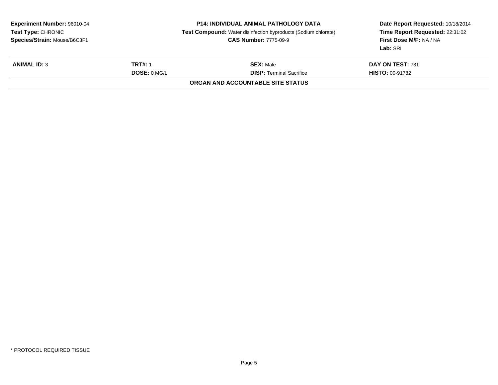| <b>Experiment Number: 96010-04</b><br>Test Type: CHRONIC<br>Species/Strain: Mouse/B6C3F1 |                | <b>P14: INDIVIDUAL ANIMAL PATHOLOGY DATA</b><br><b>Test Compound:</b> Water disinfection byproducts (Sodium chlorate)<br><b>CAS Number: 7775-09-9</b> | Date Report Requested: 10/18/2014<br>Time Report Requested: 22:31:02<br><b>First Dose M/F: NA / NA</b><br>Lab: SRI |  |
|------------------------------------------------------------------------------------------|----------------|-------------------------------------------------------------------------------------------------------------------------------------------------------|--------------------------------------------------------------------------------------------------------------------|--|
| <b>ANIMAL ID: 3</b>                                                                      | <b>TRT#: 1</b> | <b>SEX: Male</b>                                                                                                                                      | DAY ON TEST: 731                                                                                                   |  |
|                                                                                          | DOSE: 0 MGL    | <b>DISP: Terminal Sacrifice</b>                                                                                                                       | <b>HISTO: 00-91782</b>                                                                                             |  |
|                                                                                          |                | <b>ORGAN AND ACCOUNTABLE SITE STATUS</b>                                                                                                              |                                                                                                                    |  |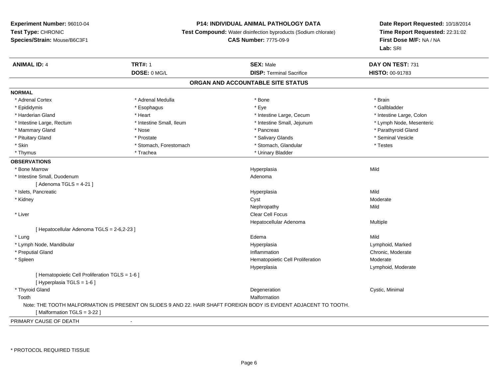### **P14: INDIVIDUAL ANIMAL PATHOLOGY DATA**

**Test Compound:** Water disinfection byproducts (Sodium chlorate)

### **CAS Number:** 7775-09-9

| DOSE: 0 MG/L<br><b>DISP: Terminal Sacrifice</b><br>HISTO: 00-91783<br>ORGAN AND ACCOUNTABLE SITE STATUS<br>* Adrenal Cortex<br>* Adrenal Medulla<br>* Bone<br>* Brain<br>* Gallbladder<br>* Epididymis<br>* Eye<br>* Esophagus<br>* Harderian Gland<br>* Heart<br>* Intestine Large, Cecum<br>* Intestine Large, Colon<br>* Intestine Small, Ileum<br>* Intestine Small, Jejunum<br>* Intestine Large, Rectum<br>* Lymph Node, Mesenteric<br>* Mammary Gland<br>* Pancreas<br>* Parathyroid Gland<br>* Nose<br>* Pituitary Gland<br>* Salivary Glands<br>* Seminal Vesicle<br>* Prostate<br>* Skin<br>* Testes<br>* Stomach, Forestomach<br>* Stomach, Glandular<br>* Urinary Bladder<br>* Thymus<br>* Trachea<br>* Bone Marrow<br>Mild<br>Hyperplasia<br>* Intestine Small, Duodenum<br>Adenoma<br>[Adenoma TGLS = $4-21$ ]<br>* Islets, Pancreatic<br>Mild<br>Hyperplasia<br>Cyst<br>* Kidney<br>Moderate<br>Mild<br>Nephropathy<br>* Liver<br><b>Clear Cell Focus</b><br>Hepatocellular Adenoma<br>Multiple<br>[ Hepatocellular Adenoma TGLS = 2-6,2-23 ]<br>* Lung<br>Mild<br>Edema<br>* Lymph Node, Mandibular<br>Hyperplasia<br>Lymphoid, Marked<br>* Preputial Gland<br>Chronic, Moderate<br>Inflammation<br>Moderate<br>* Spleen<br>Hematopoietic Cell Proliferation<br>Hyperplasia<br>Lymphoid, Moderate<br>[ Hematopoietic Cell Proliferation TGLS = 1-6 ]<br>[ Hyperplasia TGLS = 1-6 ]<br>* Thyroid Gland<br>Cystic, Minimal<br>Degeneration<br>Malformation<br>Tooth<br>Note: THE TOOTH MALFORMATION IS PRESENT ON SLIDES 9 AND 22. HAIR SHAFT FOREIGN BODY IS EVIDENT ADJACENT TO TOOTH. | <b>ANIMAL ID: 4</b>        | <b>TRT#: 1</b> | <b>SEX: Male</b> | DAY ON TEST: 731 |  |
|--------------------------------------------------------------------------------------------------------------------------------------------------------------------------------------------------------------------------------------------------------------------------------------------------------------------------------------------------------------------------------------------------------------------------------------------------------------------------------------------------------------------------------------------------------------------------------------------------------------------------------------------------------------------------------------------------------------------------------------------------------------------------------------------------------------------------------------------------------------------------------------------------------------------------------------------------------------------------------------------------------------------------------------------------------------------------------------------------------------------------------------------------------------------------------------------------------------------------------------------------------------------------------------------------------------------------------------------------------------------------------------------------------------------------------------------------------------------------------------------------------------------------------------------------------------------------------------------------------|----------------------------|----------------|------------------|------------------|--|
|                                                                                                                                                                                                                                                                                                                                                                                                                                                                                                                                                                                                                                                                                                                                                                                                                                                                                                                                                                                                                                                                                                                                                                                                                                                                                                                                                                                                                                                                                                                                                                                                        |                            |                |                  |                  |  |
|                                                                                                                                                                                                                                                                                                                                                                                                                                                                                                                                                                                                                                                                                                                                                                                                                                                                                                                                                                                                                                                                                                                                                                                                                                                                                                                                                                                                                                                                                                                                                                                                        |                            |                |                  |                  |  |
|                                                                                                                                                                                                                                                                                                                                                                                                                                                                                                                                                                                                                                                                                                                                                                                                                                                                                                                                                                                                                                                                                                                                                                                                                                                                                                                                                                                                                                                                                                                                                                                                        | <b>NORMAL</b>              |                |                  |                  |  |
|                                                                                                                                                                                                                                                                                                                                                                                                                                                                                                                                                                                                                                                                                                                                                                                                                                                                                                                                                                                                                                                                                                                                                                                                                                                                                                                                                                                                                                                                                                                                                                                                        |                            |                |                  |                  |  |
|                                                                                                                                                                                                                                                                                                                                                                                                                                                                                                                                                                                                                                                                                                                                                                                                                                                                                                                                                                                                                                                                                                                                                                                                                                                                                                                                                                                                                                                                                                                                                                                                        |                            |                |                  |                  |  |
|                                                                                                                                                                                                                                                                                                                                                                                                                                                                                                                                                                                                                                                                                                                                                                                                                                                                                                                                                                                                                                                                                                                                                                                                                                                                                                                                                                                                                                                                                                                                                                                                        |                            |                |                  |                  |  |
|                                                                                                                                                                                                                                                                                                                                                                                                                                                                                                                                                                                                                                                                                                                                                                                                                                                                                                                                                                                                                                                                                                                                                                                                                                                                                                                                                                                                                                                                                                                                                                                                        |                            |                |                  |                  |  |
|                                                                                                                                                                                                                                                                                                                                                                                                                                                                                                                                                                                                                                                                                                                                                                                                                                                                                                                                                                                                                                                                                                                                                                                                                                                                                                                                                                                                                                                                                                                                                                                                        |                            |                |                  |                  |  |
|                                                                                                                                                                                                                                                                                                                                                                                                                                                                                                                                                                                                                                                                                                                                                                                                                                                                                                                                                                                                                                                                                                                                                                                                                                                                                                                                                                                                                                                                                                                                                                                                        |                            |                |                  |                  |  |
|                                                                                                                                                                                                                                                                                                                                                                                                                                                                                                                                                                                                                                                                                                                                                                                                                                                                                                                                                                                                                                                                                                                                                                                                                                                                                                                                                                                                                                                                                                                                                                                                        |                            |                |                  |                  |  |
|                                                                                                                                                                                                                                                                                                                                                                                                                                                                                                                                                                                                                                                                                                                                                                                                                                                                                                                                                                                                                                                                                                                                                                                                                                                                                                                                                                                                                                                                                                                                                                                                        |                            |                |                  |                  |  |
|                                                                                                                                                                                                                                                                                                                                                                                                                                                                                                                                                                                                                                                                                                                                                                                                                                                                                                                                                                                                                                                                                                                                                                                                                                                                                                                                                                                                                                                                                                                                                                                                        | <b>OBSERVATIONS</b>        |                |                  |                  |  |
|                                                                                                                                                                                                                                                                                                                                                                                                                                                                                                                                                                                                                                                                                                                                                                                                                                                                                                                                                                                                                                                                                                                                                                                                                                                                                                                                                                                                                                                                                                                                                                                                        |                            |                |                  |                  |  |
|                                                                                                                                                                                                                                                                                                                                                                                                                                                                                                                                                                                                                                                                                                                                                                                                                                                                                                                                                                                                                                                                                                                                                                                                                                                                                                                                                                                                                                                                                                                                                                                                        |                            |                |                  |                  |  |
|                                                                                                                                                                                                                                                                                                                                                                                                                                                                                                                                                                                                                                                                                                                                                                                                                                                                                                                                                                                                                                                                                                                                                                                                                                                                                                                                                                                                                                                                                                                                                                                                        |                            |                |                  |                  |  |
|                                                                                                                                                                                                                                                                                                                                                                                                                                                                                                                                                                                                                                                                                                                                                                                                                                                                                                                                                                                                                                                                                                                                                                                                                                                                                                                                                                                                                                                                                                                                                                                                        |                            |                |                  |                  |  |
|                                                                                                                                                                                                                                                                                                                                                                                                                                                                                                                                                                                                                                                                                                                                                                                                                                                                                                                                                                                                                                                                                                                                                                                                                                                                                                                                                                                                                                                                                                                                                                                                        |                            |                |                  |                  |  |
|                                                                                                                                                                                                                                                                                                                                                                                                                                                                                                                                                                                                                                                                                                                                                                                                                                                                                                                                                                                                                                                                                                                                                                                                                                                                                                                                                                                                                                                                                                                                                                                                        |                            |                |                  |                  |  |
|                                                                                                                                                                                                                                                                                                                                                                                                                                                                                                                                                                                                                                                                                                                                                                                                                                                                                                                                                                                                                                                                                                                                                                                                                                                                                                                                                                                                                                                                                                                                                                                                        |                            |                |                  |                  |  |
|                                                                                                                                                                                                                                                                                                                                                                                                                                                                                                                                                                                                                                                                                                                                                                                                                                                                                                                                                                                                                                                                                                                                                                                                                                                                                                                                                                                                                                                                                                                                                                                                        |                            |                |                  |                  |  |
|                                                                                                                                                                                                                                                                                                                                                                                                                                                                                                                                                                                                                                                                                                                                                                                                                                                                                                                                                                                                                                                                                                                                                                                                                                                                                                                                                                                                                                                                                                                                                                                                        |                            |                |                  |                  |  |
|                                                                                                                                                                                                                                                                                                                                                                                                                                                                                                                                                                                                                                                                                                                                                                                                                                                                                                                                                                                                                                                                                                                                                                                                                                                                                                                                                                                                                                                                                                                                                                                                        |                            |                |                  |                  |  |
|                                                                                                                                                                                                                                                                                                                                                                                                                                                                                                                                                                                                                                                                                                                                                                                                                                                                                                                                                                                                                                                                                                                                                                                                                                                                                                                                                                                                                                                                                                                                                                                                        |                            |                |                  |                  |  |
|                                                                                                                                                                                                                                                                                                                                                                                                                                                                                                                                                                                                                                                                                                                                                                                                                                                                                                                                                                                                                                                                                                                                                                                                                                                                                                                                                                                                                                                                                                                                                                                                        |                            |                |                  |                  |  |
|                                                                                                                                                                                                                                                                                                                                                                                                                                                                                                                                                                                                                                                                                                                                                                                                                                                                                                                                                                                                                                                                                                                                                                                                                                                                                                                                                                                                                                                                                                                                                                                                        |                            |                |                  |                  |  |
|                                                                                                                                                                                                                                                                                                                                                                                                                                                                                                                                                                                                                                                                                                                                                                                                                                                                                                                                                                                                                                                                                                                                                                                                                                                                                                                                                                                                                                                                                                                                                                                                        |                            |                |                  |                  |  |
|                                                                                                                                                                                                                                                                                                                                                                                                                                                                                                                                                                                                                                                                                                                                                                                                                                                                                                                                                                                                                                                                                                                                                                                                                                                                                                                                                                                                                                                                                                                                                                                                        |                            |                |                  |                  |  |
|                                                                                                                                                                                                                                                                                                                                                                                                                                                                                                                                                                                                                                                                                                                                                                                                                                                                                                                                                                                                                                                                                                                                                                                                                                                                                                                                                                                                                                                                                                                                                                                                        |                            |                |                  |                  |  |
|                                                                                                                                                                                                                                                                                                                                                                                                                                                                                                                                                                                                                                                                                                                                                                                                                                                                                                                                                                                                                                                                                                                                                                                                                                                                                                                                                                                                                                                                                                                                                                                                        |                            |                |                  |                  |  |
|                                                                                                                                                                                                                                                                                                                                                                                                                                                                                                                                                                                                                                                                                                                                                                                                                                                                                                                                                                                                                                                                                                                                                                                                                                                                                                                                                                                                                                                                                                                                                                                                        |                            |                |                  |                  |  |
|                                                                                                                                                                                                                                                                                                                                                                                                                                                                                                                                                                                                                                                                                                                                                                                                                                                                                                                                                                                                                                                                                                                                                                                                                                                                                                                                                                                                                                                                                                                                                                                                        |                            |                |                  |                  |  |
|                                                                                                                                                                                                                                                                                                                                                                                                                                                                                                                                                                                                                                                                                                                                                                                                                                                                                                                                                                                                                                                                                                                                                                                                                                                                                                                                                                                                                                                                                                                                                                                                        | [Malformation TGLS = 3-22] |                |                  |                  |  |
| $\blacksquare$                                                                                                                                                                                                                                                                                                                                                                                                                                                                                                                                                                                                                                                                                                                                                                                                                                                                                                                                                                                                                                                                                                                                                                                                                                                                                                                                                                                                                                                                                                                                                                                         | PRIMARY CAUSE OF DEATH     |                |                  |                  |  |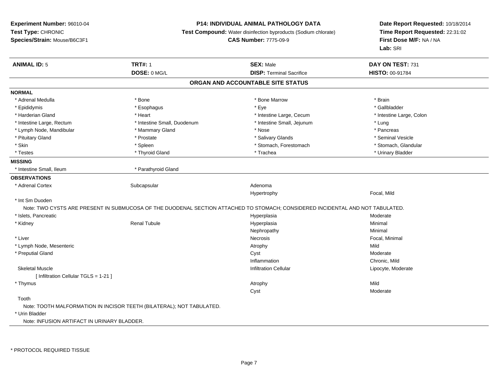### **P14: INDIVIDUAL ANIMAL PATHOLOGY DATA**

**Test Compound:** Water disinfection byproducts (Sodium chlorate)

**CAS Number:** 7775-09-9

| <b>ANIMAL ID: 5</b>                         | <b>TRT#: 1</b>                                                        | <b>SEX: Male</b>                                                                                                               | DAY ON TEST: 731         |  |
|---------------------------------------------|-----------------------------------------------------------------------|--------------------------------------------------------------------------------------------------------------------------------|--------------------------|--|
|                                             | DOSE: 0 MG/L                                                          | <b>DISP: Terminal Sacrifice</b>                                                                                                | HISTO: 00-91784          |  |
|                                             |                                                                       | ORGAN AND ACCOUNTABLE SITE STATUS                                                                                              |                          |  |
| <b>NORMAL</b>                               |                                                                       |                                                                                                                                |                          |  |
| * Adrenal Medulla                           | * Bone                                                                | * Bone Marrow                                                                                                                  | * Brain                  |  |
| * Epididymis                                | * Esophagus                                                           | * Eye                                                                                                                          | * Gallbladder            |  |
| * Harderian Gland                           | * Heart                                                               | * Intestine Large, Cecum                                                                                                       | * Intestine Large, Colon |  |
| * Intestine Large, Rectum                   | * Intestine Small, Duodenum                                           | * Intestine Small, Jejunum                                                                                                     | * Lung                   |  |
| * Lymph Node, Mandibular                    | * Mammary Gland                                                       | * Nose                                                                                                                         | * Pancreas               |  |
| * Pituitary Gland                           | * Prostate                                                            | * Salivary Glands                                                                                                              | * Seminal Vesicle        |  |
| * Skin                                      | * Spleen                                                              | * Stomach, Forestomach                                                                                                         | * Stomach, Glandular     |  |
| * Testes                                    | * Thyroid Gland                                                       | * Trachea                                                                                                                      | * Urinary Bladder        |  |
| <b>MISSING</b>                              |                                                                       |                                                                                                                                |                          |  |
| * Intestine Small, Ileum                    | * Parathyroid Gland                                                   |                                                                                                                                |                          |  |
| <b>OBSERVATIONS</b>                         |                                                                       |                                                                                                                                |                          |  |
| * Adrenal Cortex                            | Subcapsular                                                           | Adenoma                                                                                                                        |                          |  |
|                                             |                                                                       | Hypertrophy                                                                                                                    | Focal, Mild              |  |
| * Int Sm Duoden                             |                                                                       |                                                                                                                                |                          |  |
|                                             |                                                                       | Note: TWO CYSTS ARE PRESENT IN SUBMUCOSA OF THE DUODENAL SECTION ATTACHED TO STOMACH; CONSIDERED INCIDENTAL AND NOT TABULATED. |                          |  |
| * Islets, Pancreatic                        |                                                                       | Hyperplasia                                                                                                                    | Moderate                 |  |
| * Kidney                                    | <b>Renal Tubule</b>                                                   | Hyperplasia                                                                                                                    | Minimal                  |  |
|                                             |                                                                       | Nephropathy                                                                                                                    | Minimal                  |  |
| * Liver                                     |                                                                       | Necrosis                                                                                                                       | Focal, Minimal           |  |
| * Lymph Node, Mesenteric                    |                                                                       | Atrophy                                                                                                                        | Mild                     |  |
| * Preputial Gland                           |                                                                       | Cyst                                                                                                                           | Moderate                 |  |
|                                             |                                                                       | Inflammation                                                                                                                   | Chronic, Mild            |  |
| <b>Skeletal Muscle</b>                      |                                                                       | <b>Infiltration Cellular</b>                                                                                                   | Lipocyte, Moderate       |  |
| [ Infiltration Cellular TGLS = 1-21 ]       |                                                                       |                                                                                                                                |                          |  |
| * Thymus                                    |                                                                       | Atrophy                                                                                                                        | Mild                     |  |
|                                             |                                                                       | Cyst                                                                                                                           | Moderate                 |  |
| Tooth                                       |                                                                       |                                                                                                                                |                          |  |
|                                             | Note: TOOTH MALFORMATION IN INCISOR TEETH (BILATERAL); NOT TABULATED. |                                                                                                                                |                          |  |
| * Urin Bladder                              |                                                                       |                                                                                                                                |                          |  |
| Note: INFUSION ARTIFACT IN URINARY BLADDER. |                                                                       |                                                                                                                                |                          |  |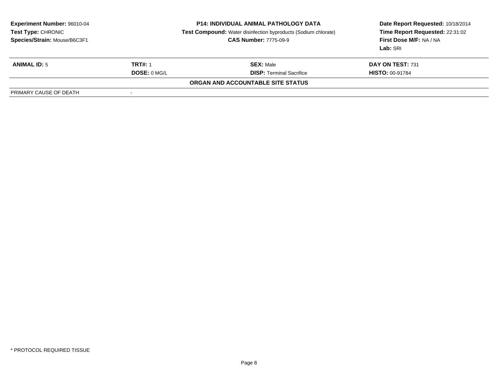| <b>Experiment Number: 96010-04</b><br>Test Type: CHRONIC<br>Species/Strain: Mouse/B6C3F1 |                          | <b>P14: INDIVIDUAL ANIMAL PATHOLOGY DATA</b><br><b>Test Compound:</b> Water disinfection byproducts (Sodium chlorate)<br><b>CAS Number: 7775-09-9</b> | Date Report Requested: 10/18/2014<br>Time Report Requested: 22:31:02<br>First Dose M/F: NA / NA<br>Lab: SRI |  |
|------------------------------------------------------------------------------------------|--------------------------|-------------------------------------------------------------------------------------------------------------------------------------------------------|-------------------------------------------------------------------------------------------------------------|--|
| <b>ANIMAL ID: 5</b>                                                                      | <b>TRT#: 1</b>           | <b>SEX: Male</b>                                                                                                                                      | DAY ON TEST: 731                                                                                            |  |
|                                                                                          | <b>DOSE: 0 MG/L</b>      | <b>DISP: Terminal Sacrifice</b>                                                                                                                       | <b>HISTO: 00-91784</b>                                                                                      |  |
|                                                                                          |                          | ORGAN AND ACCOUNTABLE SITE STATUS                                                                                                                     |                                                                                                             |  |
| PRIMARY CAUSE OF DEATH                                                                   | $\overline{\phantom{a}}$ |                                                                                                                                                       |                                                                                                             |  |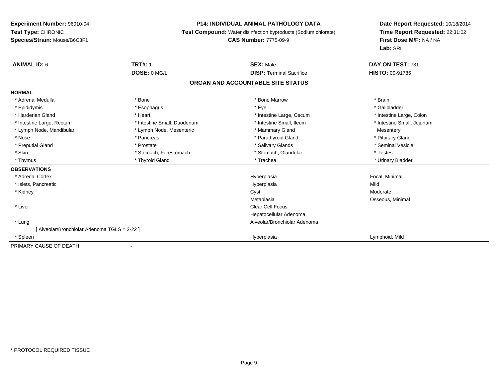### **P14: INDIVIDUAL ANIMAL PATHOLOGY DATA**

**Test Compound:** Water disinfection byproducts (Sodium chlorate)

### **CAS Number:** 7775-09-9

| <b>ANIMAL ID: 6</b>                         | <b>TRT#: 1</b>              | <b>SEX: Male</b>                | DAY ON TEST: 731           |  |  |  |
|---------------------------------------------|-----------------------------|---------------------------------|----------------------------|--|--|--|
|                                             | DOSE: 0 MG/L                | <b>DISP: Terminal Sacrifice</b> | <b>HISTO: 00-91785</b>     |  |  |  |
| ORGAN AND ACCOUNTABLE SITE STATUS           |                             |                                 |                            |  |  |  |
| <b>NORMAL</b>                               |                             |                                 |                            |  |  |  |
| * Adrenal Medulla                           | * Bone                      | * Bone Marrow                   | * Brain                    |  |  |  |
| * Epididymis                                | * Esophagus                 | * Eye                           | * Gallbladder              |  |  |  |
| * Harderian Gland                           | * Heart                     | * Intestine Large, Cecum        | * Intestine Large, Colon   |  |  |  |
| * Intestine Large, Rectum                   | * Intestine Small, Duodenum | * Intestine Small, Ileum        | * Intestine Small, Jejunum |  |  |  |
| * Lymph Node, Mandibular                    | * Lymph Node, Mesenteric    | * Mammary Gland                 | Mesentery                  |  |  |  |
| * Nose                                      | * Pancreas                  | * Parathyroid Gland             | * Pituitary Gland          |  |  |  |
| * Preputial Gland                           | * Prostate                  | * Salivary Glands               | * Seminal Vesicle          |  |  |  |
| * Skin                                      | * Stomach, Forestomach      | * Stomach, Glandular            | * Testes                   |  |  |  |
| * Thymus                                    | * Thyroid Gland             | * Trachea                       | * Urinary Bladder          |  |  |  |
| <b>OBSERVATIONS</b>                         |                             |                                 |                            |  |  |  |
| * Adrenal Cortex                            |                             | Hyperplasia                     | Focal, Minimal             |  |  |  |
| * Islets, Pancreatic                        |                             | Hyperplasia                     | Mild                       |  |  |  |
| * Kidney                                    |                             | Cyst                            | Moderate                   |  |  |  |
|                                             |                             | Metaplasia                      | Osseous, Minimal           |  |  |  |
| * Liver                                     |                             | Clear Cell Focus                |                            |  |  |  |
|                                             |                             | Hepatocellular Adenoma          |                            |  |  |  |
| * Lung                                      |                             | Alveolar/Bronchiolar Adenoma    |                            |  |  |  |
| [Alveolar/Bronchiolar Adenoma TGLS = 2-22 ] |                             |                                 |                            |  |  |  |
| * Spleen                                    |                             | Hyperplasia                     | Lymphoid, Mild             |  |  |  |
| PRIMARY CAUSE OF DEATH                      |                             |                                 |                            |  |  |  |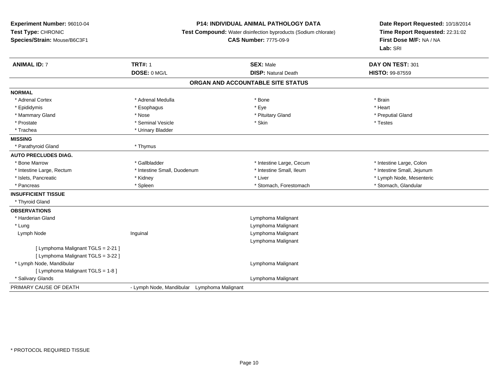### **P14: INDIVIDUAL ANIMAL PATHOLOGY DATA**

**Test Compound:** Water disinfection byproducts (Sodium chlorate)

# **CAS Number:** 7775-09-9

| <b>ANIMAL ID: 7</b>                | <b>TRT#: 1</b>                              | <b>SEX: Male</b>                  | DAY ON TEST: 301           |
|------------------------------------|---------------------------------------------|-----------------------------------|----------------------------|
|                                    | DOSE: 0 MG/L                                | <b>DISP: Natural Death</b>        | HISTO: 99-87559            |
|                                    |                                             | ORGAN AND ACCOUNTABLE SITE STATUS |                            |
| <b>NORMAL</b>                      |                                             |                                   |                            |
| * Adrenal Cortex                   | * Adrenal Medulla                           | * Bone                            | * Brain                    |
| * Epididymis                       | * Esophagus                                 | * Eye                             | * Heart                    |
| * Mammary Gland                    | * Nose                                      | * Pituitary Gland                 | * Preputial Gland          |
| * Prostate                         | * Seminal Vesicle                           | * Skin                            | * Testes                   |
| * Trachea                          | * Urinary Bladder                           |                                   |                            |
| <b>MISSING</b>                     |                                             |                                   |                            |
| * Parathyroid Gland                | * Thymus                                    |                                   |                            |
| <b>AUTO PRECLUDES DIAG.</b>        |                                             |                                   |                            |
| * Bone Marrow                      | * Gallbladder                               | * Intestine Large, Cecum          | * Intestine Large, Colon   |
| * Intestine Large, Rectum          | * Intestine Small, Duodenum                 | * Intestine Small, Ileum          | * Intestine Small, Jejunum |
| * Islets, Pancreatic               | * Kidney                                    | * Liver                           | * Lymph Node, Mesenteric   |
| * Pancreas                         | * Spleen                                    | * Stomach, Forestomach            | * Stomach, Glandular       |
| <b>INSUFFICIENT TISSUE</b>         |                                             |                                   |                            |
| * Thyroid Gland                    |                                             |                                   |                            |
| <b>OBSERVATIONS</b>                |                                             |                                   |                            |
| * Harderian Gland                  |                                             | Lymphoma Malignant                |                            |
| * Lung                             |                                             | Lymphoma Malignant                |                            |
| Lymph Node                         | Inguinal                                    | Lymphoma Malignant                |                            |
|                                    |                                             | Lymphoma Malignant                |                            |
| [ Lymphoma Malignant TGLS = 2-21 ] |                                             |                                   |                            |
| [ Lymphoma Malignant TGLS = 3-22 ] |                                             |                                   |                            |
| * Lymph Node, Mandibular           |                                             | Lymphoma Malignant                |                            |
| [ Lymphoma Malignant TGLS = 1-8 ]  |                                             |                                   |                            |
| * Salivary Glands                  |                                             | Lymphoma Malignant                |                            |
| PRIMARY CAUSE OF DEATH             | - Lymph Node, Mandibular Lymphoma Malignant |                                   |                            |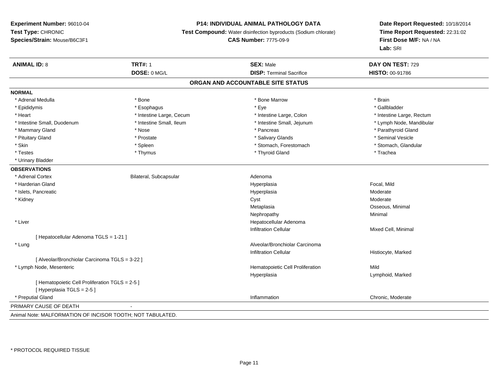### **P14: INDIVIDUAL ANIMAL PATHOLOGY DATA**

**Test Compound:** Water disinfection byproducts (Sodium chlorate)

**CAS Number:** 7775-09-9

| <b>ANIMAL ID: 8</b>                                        | <b>TRT#: 1</b>           | <b>SEX: Male</b>                  | DAY ON TEST: 729          |
|------------------------------------------------------------|--------------------------|-----------------------------------|---------------------------|
|                                                            | DOSE: 0 MG/L             | <b>DISP: Terminal Sacrifice</b>   | HISTO: 00-91786           |
|                                                            |                          | ORGAN AND ACCOUNTABLE SITE STATUS |                           |
| <b>NORMAL</b>                                              |                          |                                   |                           |
| * Adrenal Medulla                                          | * Bone                   | * Bone Marrow                     | * Brain                   |
| * Epididymis                                               | * Esophagus              | * Eye                             | * Gallbladder             |
| * Heart                                                    | * Intestine Large, Cecum | * Intestine Large, Colon          | * Intestine Large, Rectum |
| * Intestine Small, Duodenum                                | * Intestine Small, Ileum | * Intestine Small, Jejunum        | * Lymph Node, Mandibular  |
| * Mammary Gland                                            | * Nose                   | * Pancreas                        | * Parathyroid Gland       |
| * Pituitary Gland                                          | * Prostate               | * Salivary Glands                 | * Seminal Vesicle         |
| * Skin                                                     | * Spleen                 | * Stomach, Forestomach            | * Stomach, Glandular      |
| * Testes                                                   | * Thymus                 | * Thyroid Gland                   | * Trachea                 |
| * Urinary Bladder                                          |                          |                                   |                           |
| <b>OBSERVATIONS</b>                                        |                          |                                   |                           |
| * Adrenal Cortex                                           | Bilateral, Subcapsular   | Adenoma                           |                           |
| * Harderian Gland                                          |                          | Hyperplasia                       | Focal, Mild               |
| * Islets, Pancreatic                                       |                          | Hyperplasia                       | Moderate                  |
| * Kidney                                                   |                          | Cyst                              | Moderate                  |
|                                                            |                          | Metaplasia                        | Osseous, Minimal          |
|                                                            |                          | Nephropathy                       | Minimal                   |
| * Liver                                                    |                          | Hepatocellular Adenoma            |                           |
|                                                            |                          | <b>Infiltration Cellular</b>      | Mixed Cell, Minimal       |
| [Hepatocellular Adenoma TGLS = 1-21]                       |                          |                                   |                           |
| * Lung                                                     |                          | Alveolar/Bronchiolar Carcinoma    |                           |
|                                                            |                          | <b>Infiltration Cellular</b>      | Histiocyte, Marked        |
| [ Alveolar/Bronchiolar Carcinoma TGLS = 3-22 ]             |                          |                                   |                           |
| * Lymph Node, Mesenteric                                   |                          | Hematopoietic Cell Proliferation  | Mild                      |
|                                                            |                          | Hyperplasia                       | Lymphoid, Marked          |
| [ Hematopoietic Cell Proliferation TGLS = 2-5 ]            |                          |                                   |                           |
| [ Hyperplasia TGLS = 2-5 ]                                 |                          |                                   |                           |
| * Preputial Gland                                          |                          | Inflammation                      | Chronic, Moderate         |
| PRIMARY CAUSE OF DEATH                                     |                          |                                   |                           |
| Animal Note: MALFORMATION OF INCISOR TOOTH: NOT TABULATED. |                          |                                   |                           |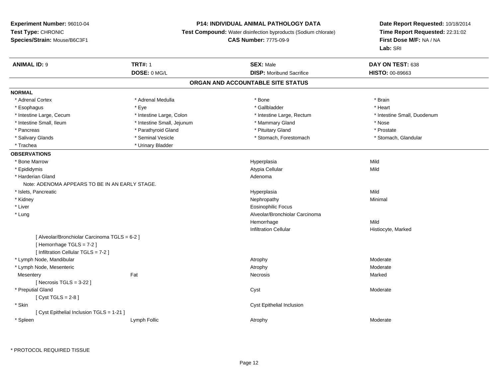### **P14: INDIVIDUAL ANIMAL PATHOLOGY DATA**

**Test Compound:** Water disinfection byproducts (Sodium chlorate)

**CAS Number:** 7775-09-9

**Date Report Requested:** 10/18/2014 **Time Report Requested:** 22:31:02**First Dose M/F:** NA / NA**Lab:** SRI

| <b>ANIMAL ID: 9</b>                            | <b>TRT#: 1</b>             | <b>SEX: Male</b>                  | DAY ON TEST: 638            |
|------------------------------------------------|----------------------------|-----------------------------------|-----------------------------|
|                                                | DOSE: 0 MG/L               | <b>DISP: Moribund Sacrifice</b>   | HISTO: 00-89663             |
|                                                |                            | ORGAN AND ACCOUNTABLE SITE STATUS |                             |
| <b>NORMAL</b>                                  |                            |                                   |                             |
| * Adrenal Cortex                               | * Adrenal Medulla          | * Bone                            | * Brain                     |
| * Esophagus                                    | * Eye                      | * Gallbladder                     | * Heart                     |
| * Intestine Large, Cecum                       | * Intestine Large, Colon   | * Intestine Large, Rectum         | * Intestine Small, Duodenum |
| * Intestine Small, Ileum                       | * Intestine Small, Jejunum | * Mammary Gland                   | * Nose                      |
| * Pancreas                                     | * Parathyroid Gland        | * Pituitary Gland                 | * Prostate                  |
| * Salivary Glands                              | * Seminal Vesicle          | * Stomach, Forestomach            | * Stomach, Glandular        |
| * Trachea                                      | * Urinary Bladder          |                                   |                             |
| <b>OBSERVATIONS</b>                            |                            |                                   |                             |
| * Bone Marrow                                  |                            | Hyperplasia                       | Mild                        |
| * Epididymis                                   |                            | Atypia Cellular                   | Mild                        |
| * Harderian Gland                              |                            | Adenoma                           |                             |
| Note: ADENOMA APPEARS TO BE IN AN EARLY STAGE. |                            |                                   |                             |
| * Islets, Pancreatic                           |                            | Hyperplasia                       | Mild                        |
| * Kidney                                       |                            | Nephropathy                       | Minimal                     |
| * Liver                                        |                            | <b>Eosinophilic Focus</b>         |                             |
| * Lung                                         |                            | Alveolar/Bronchiolar Carcinoma    |                             |
|                                                |                            | Hemorrhage                        | Mild                        |
|                                                |                            | <b>Infiltration Cellular</b>      | Histiocyte, Marked          |
| [ Alveolar/Bronchiolar Carcinoma TGLS = 6-2 ]  |                            |                                   |                             |
| [Hemorrhage TGLS = 7-2]                        |                            |                                   |                             |
| [ Infiltration Cellular TGLS = 7-2 ]           |                            |                                   |                             |
| * Lymph Node, Mandibular                       |                            | Atrophy                           | Moderate                    |
| * Lymph Node, Mesenteric                       |                            | Atrophy                           | Moderate                    |
| Mesentery                                      | Fat                        | Necrosis                          | Marked                      |
| [Necrosis $TGLS = 3-22$ ]                      |                            |                                   |                             |
| * Preputial Gland                              |                            | Cyst                              | Moderate                    |
| [Cyst TGLS = $2-8$ ]                           |                            |                                   |                             |
| * Skin                                         |                            | Cyst Epithelial Inclusion         |                             |
| [ Cyst Epithelial Inclusion TGLS = 1-21 ]      |                            |                                   |                             |
| * Spleen                                       | Lymph Follic               | Atrophy                           | Moderate                    |

\* PROTOCOL REQUIRED TISSUE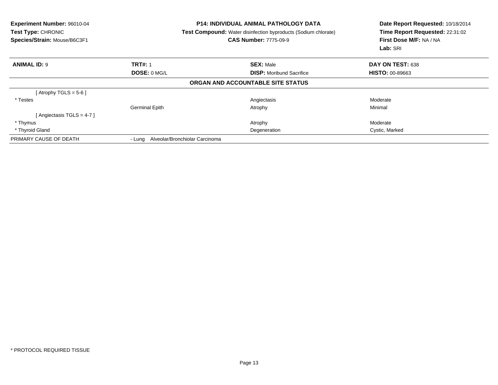| Experiment Number: 96010-04<br><b>Test Type: CHRONIC</b><br>Species/Strain: Mouse/B6C3F1 |                       | <b>P14: INDIVIDUAL ANIMAL PATHOLOGY DATA</b><br><b>Test Compound:</b> Water disinfection byproducts (Sodium chlorate)<br><b>CAS Number: 7775-09-9</b> | Date Report Requested: 10/18/2014<br>Time Report Requested: 22:31:02<br>First Dose M/F: NA / NA<br>Lab: SRI |  |
|------------------------------------------------------------------------------------------|-----------------------|-------------------------------------------------------------------------------------------------------------------------------------------------------|-------------------------------------------------------------------------------------------------------------|--|
| <b>ANIMAL ID: 9</b>                                                                      | <b>TRT#: 1</b>        | <b>SEX: Male</b>                                                                                                                                      | DAY ON TEST: 638                                                                                            |  |
|                                                                                          | DOSE: 0 MG/L          | <b>DISP:</b> Moribund Sacrifice                                                                                                                       | <b>HISTO: 00-89663</b>                                                                                      |  |
|                                                                                          |                       | <b>ORGAN AND ACCOUNTABLE SITE STATUS</b>                                                                                                              |                                                                                                             |  |
| [Atrophy TGLS = $5-6$ ]                                                                  |                       |                                                                                                                                                       |                                                                                                             |  |
| * Testes                                                                                 |                       | Angiectasis                                                                                                                                           | Moderate                                                                                                    |  |
|                                                                                          | <b>Germinal Epith</b> | Atrophy                                                                                                                                               | Minimal                                                                                                     |  |
| Angiectasis TGLS = 4-7 ]                                                                 |                       |                                                                                                                                                       |                                                                                                             |  |
| * Thymus                                                                                 |                       | Atrophy                                                                                                                                               | Moderate                                                                                                    |  |
| * Thyroid Gland                                                                          |                       | Degeneration                                                                                                                                          | Cystic, Marked                                                                                              |  |
| PRIMARY CAUSE OF DEATH                                                                   |                       | - Lung Alveolar/Bronchiolar Carcinoma                                                                                                                 |                                                                                                             |  |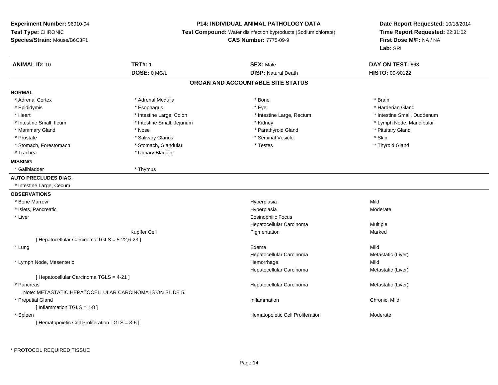### **P14: INDIVIDUAL ANIMAL PATHOLOGY DATA**

**Test Compound:** Water disinfection byproducts (Sodium chlorate)

**CAS Number:** 7775-09-9

| <b>ANIMAL ID: 10</b>                            | <b>TRT#: 1</b>                                           | <b>SEX: Male</b>                  | DAY ON TEST: 663            |
|-------------------------------------------------|----------------------------------------------------------|-----------------------------------|-----------------------------|
|                                                 | DOSE: 0 MG/L                                             | <b>DISP: Natural Death</b>        | HISTO: 00-90122             |
|                                                 |                                                          | ORGAN AND ACCOUNTABLE SITE STATUS |                             |
| <b>NORMAL</b>                                   |                                                          |                                   |                             |
| * Adrenal Cortex                                | * Adrenal Medulla                                        | * Bone                            | * Brain                     |
| * Epididymis                                    | * Esophagus                                              | * Eye                             | * Harderian Gland           |
| * Heart                                         | * Intestine Large, Colon                                 | * Intestine Large, Rectum         | * Intestine Small, Duodenum |
| * Intestine Small, Ileum                        | * Intestine Small, Jejunum                               | * Kidney                          | * Lymph Node, Mandibular    |
| * Mammary Gland                                 | * Nose                                                   | * Parathyroid Gland               | * Pituitary Gland           |
| * Prostate                                      | * Salivary Glands                                        | * Seminal Vesicle                 | * Skin                      |
| * Stomach, Forestomach                          | * Stomach, Glandular                                     | * Testes                          | * Thyroid Gland             |
| * Trachea                                       | * Urinary Bladder                                        |                                   |                             |
| <b>MISSING</b>                                  |                                                          |                                   |                             |
| * Gallbladder                                   | * Thymus                                                 |                                   |                             |
| <b>AUTO PRECLUDES DIAG.</b>                     |                                                          |                                   |                             |
| * Intestine Large, Cecum                        |                                                          |                                   |                             |
| <b>OBSERVATIONS</b>                             |                                                          |                                   |                             |
| * Bone Marrow                                   |                                                          | Hyperplasia                       | Mild                        |
| * Islets, Pancreatic                            |                                                          | Hyperplasia                       | Moderate                    |
| * Liver                                         |                                                          | <b>Eosinophilic Focus</b>         |                             |
|                                                 |                                                          | Hepatocellular Carcinoma          | Multiple                    |
|                                                 | Kupffer Cell                                             | Pigmentation                      | Marked                      |
| [ Hepatocellular Carcinoma TGLS = 5-22,6-23 ]   |                                                          |                                   |                             |
| * Lung                                          |                                                          | Edema                             | Mild                        |
|                                                 |                                                          | Hepatocellular Carcinoma          | Metastatic (Liver)          |
| * Lymph Node, Mesenteric                        |                                                          | Hemorrhage                        | Mild                        |
|                                                 |                                                          | Hepatocellular Carcinoma          | Metastatic (Liver)          |
| [ Hepatocellular Carcinoma TGLS = 4-21 ]        |                                                          |                                   |                             |
| * Pancreas                                      |                                                          | Hepatocellular Carcinoma          | Metastatic (Liver)          |
|                                                 | Note: METASTATIC HEPATOCELLULAR CARCINOMA IS ON SLIDE 5. |                                   |                             |
| * Preputial Gland                               |                                                          | Inflammation                      | Chronic, Mild               |
| [Inflammation TGLS = 1-8]                       |                                                          |                                   |                             |
| * Spleen                                        |                                                          | Hematopoietic Cell Proliferation  | Moderate                    |
| [ Hematopoietic Cell Proliferation TGLS = 3-6 ] |                                                          |                                   |                             |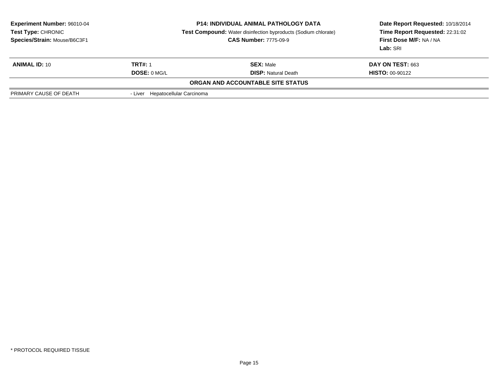| <b>Experiment Number: 96010-04</b><br><b>Test Type: CHRONIC</b><br>Species/Strain: Mouse/B6C3F1 | <b>P14: INDIVIDUAL ANIMAL PATHOLOGY DATA</b><br><b>Test Compound:</b> Water disinfection byproducts (Sodium chlorate)<br><b>CAS Number: 7775-09-9</b> |                                          | Date Report Requested: 10/18/2014<br>Time Report Requested: 22:31:02<br><b>First Dose M/F: NA / NA</b><br>Lab: SRI |  |
|-------------------------------------------------------------------------------------------------|-------------------------------------------------------------------------------------------------------------------------------------------------------|------------------------------------------|--------------------------------------------------------------------------------------------------------------------|--|
| <b>ANIMAL ID: 10</b>                                                                            | <b>TRT#: 1</b>                                                                                                                                        | <b>SEX: Male</b>                         | <b>DAY ON TEST: 663</b>                                                                                            |  |
|                                                                                                 | DOSE: 0 MG/L                                                                                                                                          | <b>DISP: Natural Death</b>               | <b>HISTO: 00-90122</b>                                                                                             |  |
|                                                                                                 |                                                                                                                                                       | <b>ORGAN AND ACCOUNTABLE SITE STATUS</b> |                                                                                                                    |  |
| PRIMARY CAUSE OF DEATH                                                                          | - Liver Hepatocellular Carcinoma                                                                                                                      |                                          |                                                                                                                    |  |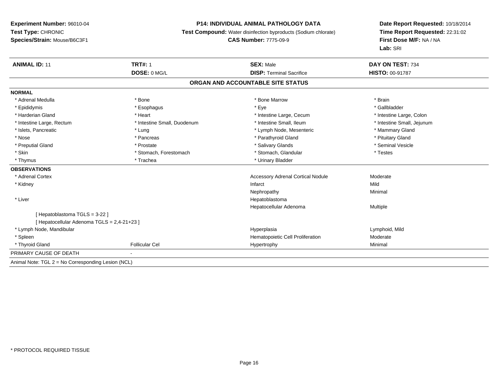### **P14: INDIVIDUAL ANIMAL PATHOLOGY DATA**

**Test Compound:** Water disinfection byproducts (Sodium chlorate)

#### **CAS Number:** 7775-09-9

| <b>ANIMAL ID: 11</b>                               | <b>TRT#: 1</b>              | <b>SEX: Male</b>                         | DAY ON TEST: 734           |
|----------------------------------------------------|-----------------------------|------------------------------------------|----------------------------|
|                                                    | DOSE: 0 MG/L                | <b>DISP: Terminal Sacrifice</b>          | HISTO: 00-91787            |
|                                                    |                             | ORGAN AND ACCOUNTABLE SITE STATUS        |                            |
| <b>NORMAL</b>                                      |                             |                                          |                            |
| * Adrenal Medulla                                  | * Bone                      | * Bone Marrow                            | * Brain                    |
| * Epididymis                                       | * Esophagus                 | * Eye                                    | * Gallbladder              |
| * Harderian Gland                                  | * Heart                     | * Intestine Large, Cecum                 | * Intestine Large, Colon   |
| * Intestine Large, Rectum                          | * Intestine Small, Duodenum | * Intestine Small. Ileum                 | * Intestine Small, Jejunum |
| * Islets, Pancreatic                               | * Lung                      | * Lymph Node, Mesenteric                 | * Mammary Gland            |
| * Nose                                             | * Pancreas                  | * Parathyroid Gland                      | * Pituitary Gland          |
| * Preputial Gland                                  | * Prostate                  | * Salivary Glands                        | * Seminal Vesicle          |
| * Skin                                             | * Stomach, Forestomach      | * Stomach, Glandular                     | * Testes                   |
| * Thymus                                           | * Trachea                   | * Urinary Bladder                        |                            |
| <b>OBSERVATIONS</b>                                |                             |                                          |                            |
| * Adrenal Cortex                                   |                             | <b>Accessory Adrenal Cortical Nodule</b> | Moderate                   |
| * Kidney                                           |                             | Infarct                                  | Mild                       |
|                                                    |                             | Nephropathy                              | Minimal                    |
| * Liver                                            |                             | Hepatoblastoma                           |                            |
|                                                    |                             | Hepatocellular Adenoma                   | <b>Multiple</b>            |
| [Hepatoblastoma TGLS = 3-22]                       |                             |                                          |                            |
| [ Hepatocellular Adenoma TGLS = 2,4-21+23 ]        |                             |                                          |                            |
| * Lymph Node, Mandibular                           |                             | Hyperplasia                              | Lymphoid, Mild             |
| * Spleen                                           |                             | Hematopoietic Cell Proliferation         | Moderate                   |
| * Thyroid Gland                                    | <b>Follicular Cel</b>       | Hypertrophy                              | Minimal                    |
| PRIMARY CAUSE OF DEATH                             | $\blacksquare$              |                                          |                            |
| Animal Note: TGL 2 = No Corresponding Lesion (NCL) |                             |                                          |                            |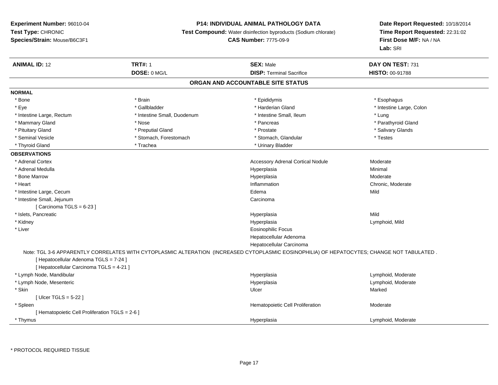### **P14: INDIVIDUAL ANIMAL PATHOLOGY DATA**

**Test Compound:** Water disinfection byproducts (Sodium chlorate)

# **CAS Number:** 7775-09-9

| <b>ANIMAL ID: 12</b>                            | <b>TRT#: 1</b>              | <b>SEX: Male</b>                                                                                                                           | DAY ON TEST: 731         |
|-------------------------------------------------|-----------------------------|--------------------------------------------------------------------------------------------------------------------------------------------|--------------------------|
|                                                 | DOSE: 0 MG/L                | <b>DISP: Terminal Sacrifice</b>                                                                                                            | HISTO: 00-91788          |
|                                                 |                             | ORGAN AND ACCOUNTABLE SITE STATUS                                                                                                          |                          |
| <b>NORMAL</b>                                   |                             |                                                                                                                                            |                          |
| * Bone                                          | * Brain                     | * Epididymis                                                                                                                               | * Esophagus              |
| * Eye                                           | * Gallbladder               | * Harderian Gland                                                                                                                          | * Intestine Large, Colon |
| * Intestine Large, Rectum                       | * Intestine Small, Duodenum | * Intestine Small, Ileum                                                                                                                   | * Lung                   |
| * Mammary Gland                                 | * Nose                      | * Pancreas                                                                                                                                 | * Parathyroid Gland      |
| * Pituitary Gland                               | * Preputial Gland           | * Prostate                                                                                                                                 | * Salivary Glands        |
| * Seminal Vesicle                               | * Stomach, Forestomach      | * Stomach, Glandular                                                                                                                       | * Testes                 |
| * Thyroid Gland                                 | * Trachea                   | * Urinary Bladder                                                                                                                          |                          |
| <b>OBSERVATIONS</b>                             |                             |                                                                                                                                            |                          |
| * Adrenal Cortex                                |                             | <b>Accessory Adrenal Cortical Nodule</b>                                                                                                   | Moderate                 |
| * Adrenal Medulla                               |                             | Hyperplasia                                                                                                                                | Minimal                  |
| * Bone Marrow                                   |                             | Hyperplasia                                                                                                                                | Moderate                 |
| * Heart                                         |                             | Inflammation                                                                                                                               | Chronic, Moderate        |
| * Intestine Large, Cecum                        |                             | Edema                                                                                                                                      | Mild                     |
| * Intestine Small, Jejunum                      |                             | Carcinoma                                                                                                                                  |                          |
| [Carcinoma TGLS = $6-23$ ]                      |                             |                                                                                                                                            |                          |
| * Islets, Pancreatic                            |                             | Hyperplasia                                                                                                                                | Mild                     |
| * Kidney                                        |                             | Hyperplasia                                                                                                                                | Lymphoid, Mild           |
| * Liver                                         |                             | <b>Eosinophilic Focus</b>                                                                                                                  |                          |
|                                                 |                             | Hepatocellular Adenoma                                                                                                                     |                          |
|                                                 |                             | Hepatocellular Carcinoma                                                                                                                   |                          |
|                                                 |                             | Note: TGL 3-6 APPARENTLY CORRELATES WITH CYTOPLASMIC ALTERATION (INCREASED CYTOPLASMIC EOSINOPHILIA) OF HEPATOCYTES; CHANGE NOT TABULATED. |                          |
| [ Hepatocellular Adenoma TGLS = 7-24 ]          |                             |                                                                                                                                            |                          |
| [ Hepatocellular Carcinoma TGLS = 4-21 ]        |                             |                                                                                                                                            |                          |
| * Lymph Node, Mandibular                        |                             | Hyperplasia                                                                                                                                | Lymphoid, Moderate       |
| * Lymph Node, Mesenteric                        |                             | Hyperplasia                                                                                                                                | Lymphoid, Moderate       |
| * Skin                                          |                             | Ulcer                                                                                                                                      | Marked                   |
| [Ulcer TGLS = $5-22$ ]                          |                             |                                                                                                                                            |                          |
| * Spleen                                        |                             | Hematopoietic Cell Proliferation                                                                                                           | Moderate                 |
| [ Hematopoietic Cell Proliferation TGLS = 2-6 ] |                             |                                                                                                                                            |                          |
| * Thymus                                        |                             | Hyperplasia                                                                                                                                | Lymphoid, Moderate       |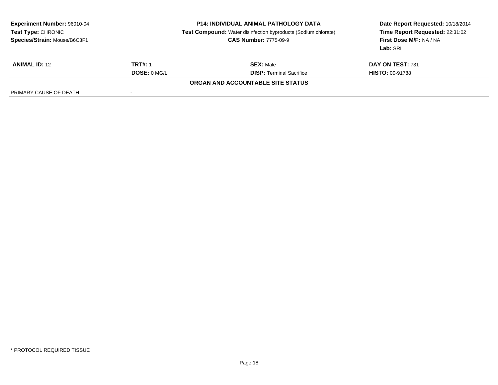| <b>Experiment Number: 96010-04</b><br>Test Type: CHRONIC<br>Species/Strain: Mouse/B6C3F1 |                     | <b>P14: INDIVIDUAL ANIMAL PATHOLOGY DATA</b><br><b>Test Compound:</b> Water disinfection byproducts (Sodium chlorate)<br><b>CAS Number: 7775-09-9</b> | Date Report Requested: 10/18/2014<br>Time Report Requested: 22:31:02<br>First Dose M/F: NA / NA<br>Lab: SRI |
|------------------------------------------------------------------------------------------|---------------------|-------------------------------------------------------------------------------------------------------------------------------------------------------|-------------------------------------------------------------------------------------------------------------|
| <b>ANIMAL ID: 12</b>                                                                     | <b>TRT#: 1</b>      | <b>SEX: Male</b>                                                                                                                                      | DAY ON TEST: 731                                                                                            |
|                                                                                          | <b>DOSE: 0 MG/L</b> | <b>DISP: Terminal Sacrifice</b>                                                                                                                       | <b>HISTO: 00-91788</b>                                                                                      |
|                                                                                          |                     | ORGAN AND ACCOUNTABLE SITE STATUS                                                                                                                     |                                                                                                             |
| PRIMARY CAUSE OF DEATH                                                                   | $\,$                |                                                                                                                                                       |                                                                                                             |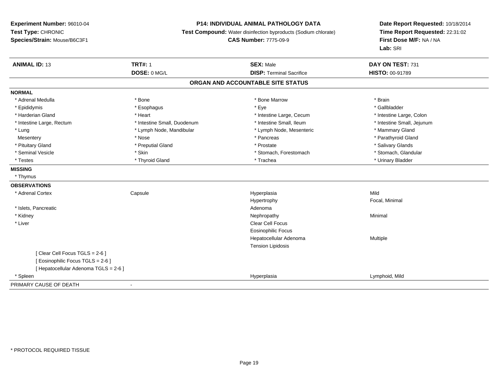### **P14: INDIVIDUAL ANIMAL PATHOLOGY DATA**

**Test Compound:** Water disinfection byproducts (Sodium chlorate)

**CAS Number:** 7775-09-9

| <b>ANIMAL ID: 13</b>                | <b>TRT#: 1</b>              | <b>SEX: Male</b>                | DAY ON TEST: 731           |  |  |  |
|-------------------------------------|-----------------------------|---------------------------------|----------------------------|--|--|--|
|                                     | DOSE: 0 MG/L                | <b>DISP: Terminal Sacrifice</b> | HISTO: 00-91789            |  |  |  |
| ORGAN AND ACCOUNTABLE SITE STATUS   |                             |                                 |                            |  |  |  |
| <b>NORMAL</b>                       |                             |                                 |                            |  |  |  |
| * Adrenal Medulla                   | * Bone                      | * Bone Marrow                   | * Brain                    |  |  |  |
| * Epididymis                        | * Esophagus                 | * Eye                           | * Gallbladder              |  |  |  |
| * Harderian Gland                   | * Heart                     | * Intestine Large, Cecum        | * Intestine Large, Colon   |  |  |  |
| * Intestine Large, Rectum           | * Intestine Small, Duodenum | * Intestine Small, Ileum        | * Intestine Small, Jejunum |  |  |  |
| * Lung                              | * Lymph Node, Mandibular    | * Lymph Node, Mesenteric        | * Mammary Gland            |  |  |  |
| Mesentery                           | * Nose                      | * Pancreas                      | * Parathyroid Gland        |  |  |  |
| * Pituitary Gland                   | * Preputial Gland           | * Prostate                      | * Salivary Glands          |  |  |  |
| * Seminal Vesicle                   | * Skin                      | * Stomach, Forestomach          | * Stomach, Glandular       |  |  |  |
| * Testes                            | * Thyroid Gland             | * Trachea                       | * Urinary Bladder          |  |  |  |
| <b>MISSING</b>                      |                             |                                 |                            |  |  |  |
| * Thymus                            |                             |                                 |                            |  |  |  |
| <b>OBSERVATIONS</b>                 |                             |                                 |                            |  |  |  |
| * Adrenal Cortex                    | Capsule                     | Hyperplasia                     | Mild                       |  |  |  |
|                                     |                             | Hypertrophy                     | Focal, Minimal             |  |  |  |
| * Islets, Pancreatic                |                             | Adenoma                         |                            |  |  |  |
| * Kidney                            |                             | Nephropathy                     | Minimal                    |  |  |  |
| * Liver                             |                             | <b>Clear Cell Focus</b>         |                            |  |  |  |
|                                     |                             | <b>Eosinophilic Focus</b>       |                            |  |  |  |
|                                     |                             | Hepatocellular Adenoma          | Multiple                   |  |  |  |
|                                     |                             | <b>Tension Lipidosis</b>        |                            |  |  |  |
| [Clear Cell Focus TGLS = 2-6]       |                             |                                 |                            |  |  |  |
| Eosinophilic Focus TGLS = 2-6 ]     |                             |                                 |                            |  |  |  |
| [Hepatocellular Adenoma TGLS = 2-6] |                             |                                 |                            |  |  |  |
| * Spleen                            |                             | Hyperplasia                     | Lymphoid, Mild             |  |  |  |
| PRIMARY CAUSE OF DEATH              | $\overline{\phantom{a}}$    |                                 |                            |  |  |  |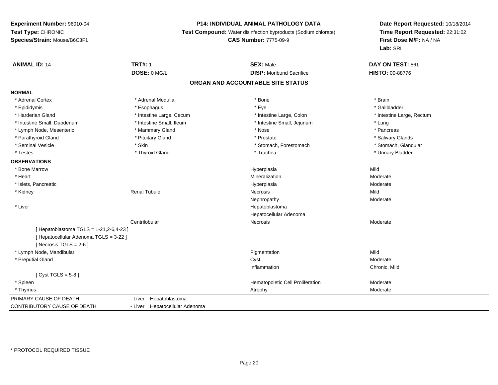### **P14: INDIVIDUAL ANIMAL PATHOLOGY DATA**

**Test Compound:** Water disinfection byproducts (Sodium chlorate)

#### **CAS Number:** 7775-09-9

| <b>ANIMAL ID: 14</b>                   | <b>TRT#: 1</b>                 | <b>SEX: Male</b>                  | DAY ON TEST: 561          |  |
|----------------------------------------|--------------------------------|-----------------------------------|---------------------------|--|
|                                        | DOSE: 0 MG/L                   | <b>DISP:</b> Moribund Sacrifice   | HISTO: 00-88776           |  |
|                                        |                                | ORGAN AND ACCOUNTABLE SITE STATUS |                           |  |
| <b>NORMAL</b>                          |                                |                                   |                           |  |
| * Adrenal Cortex                       | * Adrenal Medulla              | * Bone                            | * Brain                   |  |
| * Epididymis                           | * Esophagus                    | * Eye                             | * Gallbladder             |  |
| * Harderian Gland                      | * Intestine Large, Cecum       | * Intestine Large, Colon          | * Intestine Large, Rectum |  |
| * Intestine Small, Duodenum            | * Intestine Small, Ileum       | * Intestine Small, Jejunum        | * Lung                    |  |
| * Lymph Node, Mesenteric               | * Mammary Gland                | * Nose                            | * Pancreas                |  |
| * Parathyroid Gland                    | * Pituitary Gland              | * Prostate                        | * Salivary Glands         |  |
| * Seminal Vesicle                      | * Skin                         | * Stomach, Forestomach            | * Stomach, Glandular      |  |
| * Testes                               | * Thyroid Gland                | * Trachea                         | * Urinary Bladder         |  |
| <b>OBSERVATIONS</b>                    |                                |                                   |                           |  |
| * Bone Marrow                          |                                | Hyperplasia                       | Mild                      |  |
| * Heart                                |                                | Mineralization                    | Moderate                  |  |
| * Islets, Pancreatic                   |                                | Hyperplasia                       | Moderate                  |  |
| * Kidney                               | <b>Renal Tubule</b>            | Necrosis                          | Mild                      |  |
|                                        |                                | Nephropathy                       | Moderate                  |  |
| * Liver                                |                                | Hepatoblastoma                    |                           |  |
|                                        |                                | Hepatocellular Adenoma            |                           |  |
|                                        | Centrilobular                  | Necrosis                          | Moderate                  |  |
| [Hepatoblastoma TGLS = 1-21,2-6,4-23]  |                                |                                   |                           |  |
| [ Hepatocellular Adenoma TGLS = 3-22 ] |                                |                                   |                           |  |
| [Necrosis TGLS = $2-6$ ]               |                                |                                   |                           |  |
| * Lymph Node, Mandibular               |                                | Pigmentation                      | Mild                      |  |
| * Preputial Gland                      |                                | Cyst                              | Moderate                  |  |
|                                        |                                | Inflammation                      | Chronic, Mild             |  |
| [Cyst TGLS = $5-8$ ]                   |                                |                                   |                           |  |
| * Spleen                               |                                | Hematopoietic Cell Proliferation  | Moderate                  |  |
| * Thymus                               |                                | Atrophy                           | Moderate                  |  |
| PRIMARY CAUSE OF DEATH                 | Hepatoblastoma<br>- Liver      |                                   |                           |  |
| <b>CONTRIBUTORY CAUSE OF DEATH</b>     | - Liver Hepatocellular Adenoma |                                   |                           |  |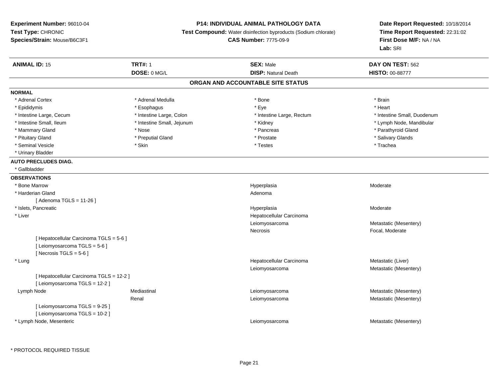### **P14: INDIVIDUAL ANIMAL PATHOLOGY DATA**

**Test Compound:** Water disinfection byproducts (Sodium chlorate)

**CAS Number:** 7775-09-9

| <b>ANIMAL ID: 15</b>                     | <b>TRT#: 1</b>             | <b>SEX: Male</b>                  | DAY ON TEST: 562            |
|------------------------------------------|----------------------------|-----------------------------------|-----------------------------|
|                                          | DOSE: 0 MG/L               | <b>DISP: Natural Death</b>        | <b>HISTO: 00-88777</b>      |
|                                          |                            | ORGAN AND ACCOUNTABLE SITE STATUS |                             |
| <b>NORMAL</b>                            |                            |                                   |                             |
| * Adrenal Cortex                         | * Adrenal Medulla          | * Bone                            | * Brain                     |
| * Epididymis                             | * Esophagus                | * Eye                             | * Heart                     |
| * Intestine Large, Cecum                 | * Intestine Large, Colon   | * Intestine Large, Rectum         | * Intestine Small, Duodenum |
| * Intestine Small, Ileum                 | * Intestine Small, Jejunum | * Kidney                          | * Lymph Node, Mandibular    |
| * Mammary Gland                          | * Nose                     | * Pancreas                        | * Parathyroid Gland         |
| * Pituitary Gland                        | * Preputial Gland          | * Prostate                        | * Salivary Glands           |
| * Seminal Vesicle                        | * Skin                     | * Testes                          | * Trachea                   |
| * Urinary Bladder                        |                            |                                   |                             |
| <b>AUTO PRECLUDES DIAG.</b>              |                            |                                   |                             |
| * Gallbladder                            |                            |                                   |                             |
| <b>OBSERVATIONS</b>                      |                            |                                   |                             |
| * Bone Marrow                            |                            | Hyperplasia                       | Moderate                    |
| * Harderian Gland                        |                            | Adenoma                           |                             |
| [ Adenoma TGLS = 11-26 ]                 |                            |                                   |                             |
| * Islets, Pancreatic                     |                            | Hyperplasia                       | Moderate                    |
| * Liver                                  |                            | Hepatocellular Carcinoma          |                             |
|                                          |                            | Leiomyosarcoma                    | Metastatic (Mesentery)      |
|                                          |                            | <b>Necrosis</b>                   | Focal, Moderate             |
| [ Hepatocellular Carcinoma TGLS = 5-6 ]  |                            |                                   |                             |
| [ Leiomyosarcoma TGLS = 5-6 ]            |                            |                                   |                             |
| [ Necrosis TGLS = $5-6$ ]                |                            |                                   |                             |
| * Lung                                   |                            | Hepatocellular Carcinoma          | Metastatic (Liver)          |
|                                          |                            | Leiomyosarcoma                    | Metastatic (Mesentery)      |
| [ Hepatocellular Carcinoma TGLS = 12-2 ] |                            |                                   |                             |
| [ Leiomyosarcoma TGLS = 12-2 ]           |                            |                                   |                             |
| Lymph Node                               | Mediastinal                | Leiomyosarcoma                    | Metastatic (Mesentery)      |
|                                          | Renal                      | Leiomyosarcoma                    | Metastatic (Mesentery)      |
| [ Leiomyosarcoma TGLS = 9-25 ]           |                            |                                   |                             |
| [ Leiomyosarcoma TGLS = 10-2 ]           |                            |                                   |                             |
| * Lymph Node, Mesenteric                 |                            | Leiomyosarcoma                    | Metastatic (Mesentery)      |
|                                          |                            |                                   |                             |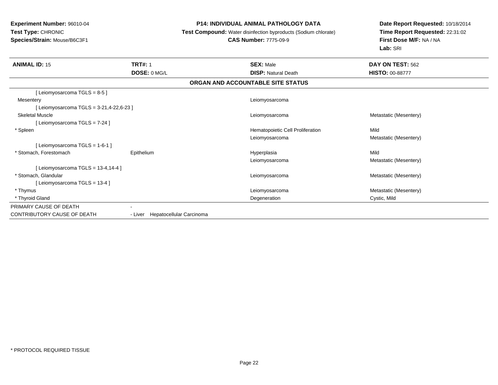### **P14: INDIVIDUAL ANIMAL PATHOLOGY DATA**

**Test Compound:** Water disinfection byproducts (Sodium chlorate)

# **CAS Number:** 7775-09-9

| <b>ANIMAL ID: 15</b>                    | <b>TRT#: 1</b><br>DOSE: 0 MG/L   | <b>SEX: Male</b><br><b>DISP: Natural Death</b> | DAY ON TEST: 562<br><b>HISTO: 00-88777</b> |
|-----------------------------------------|----------------------------------|------------------------------------------------|--------------------------------------------|
|                                         |                                  | ORGAN AND ACCOUNTABLE SITE STATUS              |                                            |
| [Leiomyosarcoma TGLS = 8-5]             |                                  |                                                |                                            |
| Mesentery                               |                                  | Leiomyosarcoma                                 |                                            |
| [Leiomyosarcoma TGLS = 3-21,4-22,6-23 ] |                                  |                                                |                                            |
| <b>Skeletal Muscle</b>                  |                                  | Leiomyosarcoma                                 | Metastatic (Mesentery)                     |
| [Leiomyosarcoma TGLS = 7-24]            |                                  |                                                |                                            |
| * Spleen                                |                                  | Hematopoietic Cell Proliferation               | Mild                                       |
|                                         |                                  | Leiomyosarcoma                                 | Metastatic (Mesentery)                     |
| [Leiomyosarcoma TGLS = 1-6-1]           |                                  |                                                |                                            |
| * Stomach, Forestomach                  | Epithelium                       | Hyperplasia                                    | Mild                                       |
|                                         |                                  | Leiomyosarcoma                                 | Metastatic (Mesentery)                     |
| [Leiomyosarcoma TGLS = $13-4,14-4$ ]    |                                  |                                                |                                            |
| * Stomach, Glandular                    |                                  | Leiomyosarcoma                                 | Metastatic (Mesentery)                     |
| [Leiomyosarcoma TGLS = 13-4]            |                                  |                                                |                                            |
| * Thymus                                |                                  | Leiomyosarcoma                                 | Metastatic (Mesentery)                     |
| * Thyroid Gland                         |                                  | Degeneration                                   | Cystic, Mild                               |
| PRIMARY CAUSE OF DEATH                  |                                  |                                                |                                            |
| CONTRIBUTORY CAUSE OF DEATH             | - Liver Hepatocellular Carcinoma |                                                |                                            |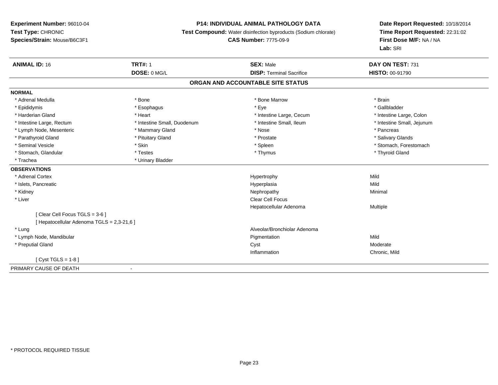### **P14: INDIVIDUAL ANIMAL PATHOLOGY DATA**

**Test Compound:** Water disinfection byproducts (Sodium chlorate)

**CAS Number:** 7775-09-9

| <b>ANIMAL ID: 16</b>                       | <b>TRT#: 1</b>              | <b>SEX: Male</b>                  | DAY ON TEST: 731           |
|--------------------------------------------|-----------------------------|-----------------------------------|----------------------------|
|                                            | DOSE: 0 MG/L                | <b>DISP: Terminal Sacrifice</b>   | <b>HISTO: 00-91790</b>     |
|                                            |                             | ORGAN AND ACCOUNTABLE SITE STATUS |                            |
| <b>NORMAL</b>                              |                             |                                   |                            |
| * Adrenal Medulla                          | * Bone                      | * Bone Marrow                     | * Brain                    |
| * Epididymis                               | * Esophagus                 | * Eye                             | * Gallbladder              |
| * Harderian Gland                          | * Heart                     | * Intestine Large, Cecum          | * Intestine Large, Colon   |
| * Intestine Large, Rectum                  | * Intestine Small, Duodenum | * Intestine Small, Ileum          | * Intestine Small, Jejunum |
| * Lymph Node, Mesenteric                   | * Mammary Gland             | * Nose                            | * Pancreas                 |
| * Parathyroid Gland                        | * Pituitary Gland           | * Prostate                        | * Salivary Glands          |
| * Seminal Vesicle                          | * Skin                      | * Spleen                          | * Stomach, Forestomach     |
| * Stomach, Glandular                       | * Testes                    | * Thymus                          | * Thyroid Gland            |
| * Trachea                                  | * Urinary Bladder           |                                   |                            |
| <b>OBSERVATIONS</b>                        |                             |                                   |                            |
| * Adrenal Cortex                           |                             | Hypertrophy                       | Mild                       |
| * Islets, Pancreatic                       |                             | Hyperplasia                       | Mild                       |
| * Kidney                                   |                             | Nephropathy                       | Minimal                    |
| * Liver                                    |                             | Clear Cell Focus                  |                            |
|                                            |                             | Hepatocellular Adenoma            | Multiple                   |
| [ Clear Cell Focus TGLS = 3-6 ]            |                             |                                   |                            |
| [ Hepatocellular Adenoma TGLS = 2,3-21,6 ] |                             |                                   |                            |
| * Lung                                     |                             | Alveolar/Bronchiolar Adenoma      |                            |
| * Lymph Node, Mandibular                   |                             | Pigmentation                      | Mild                       |
| * Preputial Gland                          |                             | Cyst                              | Moderate                   |
|                                            |                             | Inflammation                      | Chronic, Mild              |
| $Cvst TGLS = 1-8$                          |                             |                                   |                            |
| PRIMARY CAUSE OF DEATH                     |                             |                                   |                            |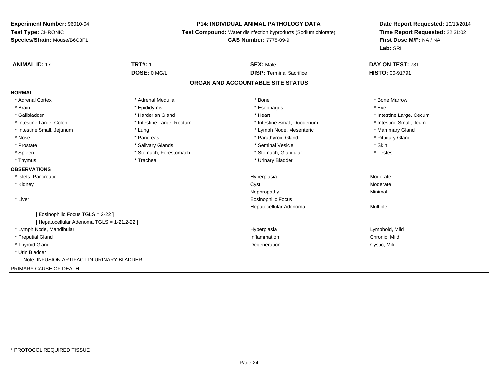### **P14: INDIVIDUAL ANIMAL PATHOLOGY DATA**

**Test Compound:** Water disinfection byproducts (Sodium chlorate)

**CAS Number:** 7775-09-9

| <b>ANIMAL ID: 17</b>                        | <b>TRT#: 1</b>            | <b>SEX: Male</b>                  | DAY ON TEST: 731         |
|---------------------------------------------|---------------------------|-----------------------------------|--------------------------|
|                                             | DOSE: 0 MG/L              | <b>DISP: Terminal Sacrifice</b>   | <b>HISTO: 00-91791</b>   |
|                                             |                           | ORGAN AND ACCOUNTABLE SITE STATUS |                          |
| <b>NORMAL</b>                               |                           |                                   |                          |
| * Adrenal Cortex                            | * Adrenal Medulla         | * Bone                            | * Bone Marrow            |
| * Brain                                     | * Epididymis              | * Esophagus                       | * Eve                    |
| * Gallbladder                               | * Harderian Gland         | * Heart                           | * Intestine Large, Cecum |
| * Intestine Large, Colon                    | * Intestine Large, Rectum | * Intestine Small, Duodenum       | * Intestine Small, Ileum |
| * Intestine Small, Jejunum                  | * Lung                    | * Lymph Node, Mesenteric          | * Mammary Gland          |
| * Nose                                      | * Pancreas                | * Parathyroid Gland               | * Pituitary Gland        |
| * Prostate                                  | * Salivary Glands         | * Seminal Vesicle                 | * Skin                   |
| * Spleen                                    | * Stomach, Forestomach    | * Stomach, Glandular              | * Testes                 |
| * Thymus                                    | * Trachea                 | * Urinary Bladder                 |                          |
| <b>OBSERVATIONS</b>                         |                           |                                   |                          |
| * Islets, Pancreatic                        |                           | Hyperplasia                       | Moderate                 |
| * Kidney                                    |                           | Cyst                              | Moderate                 |
|                                             |                           | Nephropathy                       | Minimal                  |
| * Liver                                     |                           | Eosinophilic Focus                |                          |
|                                             |                           | Hepatocellular Adenoma            | Multiple                 |
| Eosinophilic Focus TGLS = 2-22 1            |                           |                                   |                          |
| [ Hepatocellular Adenoma TGLS = 1-21,2-22 ] |                           |                                   |                          |
| * Lymph Node, Mandibular                    |                           | Hyperplasia                       | Lymphoid, Mild           |
| * Preputial Gland                           |                           | Inflammation                      | Chronic, Mild            |
| * Thyroid Gland                             |                           | Degeneration                      | Cystic, Mild             |
| * Urin Bladder                              |                           |                                   |                          |
| Note: INFUSION ARTIFACT IN URINARY BLADDER. |                           |                                   |                          |
| PRIMARY CAUSE OF DEATH                      |                           |                                   |                          |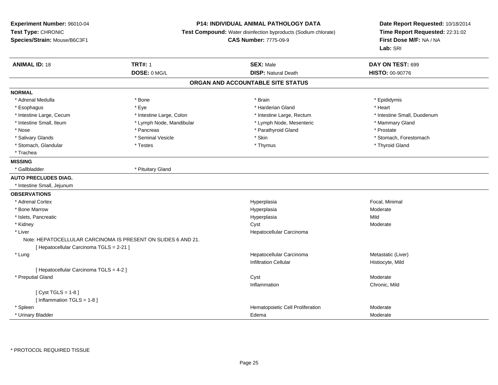### **P14: INDIVIDUAL ANIMAL PATHOLOGY DATA**

**Test Compound:** Water disinfection byproducts (Sodium chlorate)

**CAS Number:** 7775-09-9

| <b>ANIMAL ID: 18</b>                     | <b>TRT#: 1</b>                                                | <b>SEX: Male</b>                  | DAY ON TEST: 699            |  |
|------------------------------------------|---------------------------------------------------------------|-----------------------------------|-----------------------------|--|
|                                          | DOSE: 0 MG/L                                                  | <b>DISP: Natural Death</b>        | HISTO: 00-90776             |  |
|                                          |                                                               | ORGAN AND ACCOUNTABLE SITE STATUS |                             |  |
| <b>NORMAL</b>                            |                                                               |                                   |                             |  |
| * Adrenal Medulla                        | * Bone                                                        | * Brain                           | * Epididymis                |  |
| * Esophagus                              | * Eye                                                         | * Harderian Gland                 | * Heart                     |  |
| * Intestine Large, Cecum                 | * Intestine Large, Colon                                      | * Intestine Large, Rectum         | * Intestine Small, Duodenum |  |
| * Intestine Small, Ileum                 | * Lymph Node, Mandibular                                      | * Lymph Node, Mesenteric          | * Mammary Gland             |  |
| * Nose                                   | * Pancreas                                                    | * Parathyroid Gland               | * Prostate                  |  |
| * Salivary Glands                        | * Seminal Vesicle                                             | * Skin                            | * Stomach, Forestomach      |  |
| * Stomach, Glandular                     | * Testes                                                      | * Thymus                          | * Thyroid Gland             |  |
| * Trachea                                |                                                               |                                   |                             |  |
| <b>MISSING</b>                           |                                                               |                                   |                             |  |
| * Gallbladder                            | * Pituitary Gland                                             |                                   |                             |  |
| <b>AUTO PRECLUDES DIAG.</b>              |                                                               |                                   |                             |  |
| * Intestine Small, Jejunum               |                                                               |                                   |                             |  |
| <b>OBSERVATIONS</b>                      |                                                               |                                   |                             |  |
| * Adrenal Cortex                         |                                                               | Hyperplasia                       | Focal, Minimal              |  |
| * Bone Marrow                            |                                                               | Hyperplasia                       | Moderate                    |  |
| * Islets, Pancreatic                     |                                                               | Hyperplasia                       | Mild                        |  |
| * Kidney                                 |                                                               | Cyst                              | Moderate                    |  |
| * Liver                                  |                                                               | Hepatocellular Carcinoma          |                             |  |
|                                          | Note: HEPATOCELLULAR CARCINOMA IS PRESENT ON SLIDES 6 AND 21. |                                   |                             |  |
| [ Hepatocellular Carcinoma TGLS = 2-21 ] |                                                               |                                   |                             |  |
| * Lung                                   |                                                               | Hepatocellular Carcinoma          | Metastatic (Liver)          |  |
|                                          |                                                               | <b>Infiltration Cellular</b>      | Histiocyte, Mild            |  |
| [ Hepatocellular Carcinoma TGLS = 4-2 ]  |                                                               |                                   |                             |  |
| * Preputial Gland                        |                                                               | Cyst                              | Moderate                    |  |
|                                          |                                                               | Inflammation                      | Chronic, Mild               |  |
| [Cyst TGLS = $1-8$ ]                     |                                                               |                                   |                             |  |
| [ Inflammation TGLS = 1-8 ]              |                                                               |                                   |                             |  |
| * Spleen                                 |                                                               | Hematopoietic Cell Proliferation  | Moderate                    |  |
| * Urinary Bladder                        |                                                               | Edema                             | Moderate                    |  |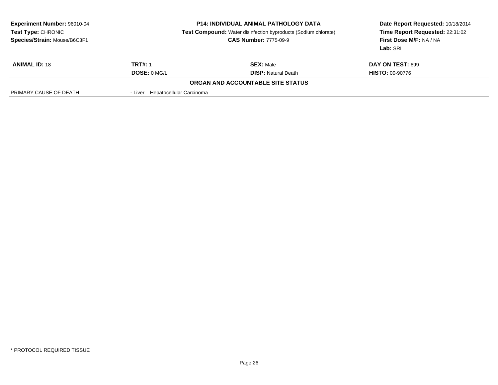| <b>Experiment Number: 96010-04</b><br>Test Type: CHRONIC<br>Species/Strain: Mouse/B6C3F1 |                                  | <b>P14: INDIVIDUAL ANIMAL PATHOLOGY DATA</b><br><b>Test Compound:</b> Water disinfection byproducts (Sodium chlorate)<br><b>CAS Number: 7775-09-9</b> | Date Report Requested: 10/18/2014<br>Time Report Requested: 22:31:02<br>First Dose M/F: NA / NA<br>Lab: SRI |
|------------------------------------------------------------------------------------------|----------------------------------|-------------------------------------------------------------------------------------------------------------------------------------------------------|-------------------------------------------------------------------------------------------------------------|
| <b>ANIMAL ID: 18</b>                                                                     | <b>TRT#: 1</b>                   | <b>SEX: Male</b>                                                                                                                                      | <b>DAY ON TEST: 699</b>                                                                                     |
|                                                                                          | DOSE: 0 MG/L                     | <b>DISP:</b> Natural Death                                                                                                                            | <b>HISTO: 00-90776</b>                                                                                      |
|                                                                                          |                                  | ORGAN AND ACCOUNTABLE SITE STATUS                                                                                                                     |                                                                                                             |
| PRIMARY CAUSE OF DEATH                                                                   | - Liver Hepatocellular Carcinoma |                                                                                                                                                       |                                                                                                             |
|                                                                                          |                                  |                                                                                                                                                       |                                                                                                             |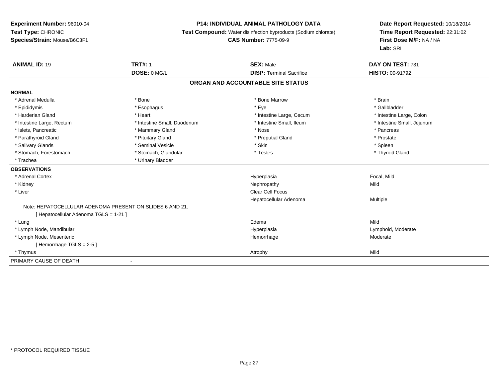### **P14: INDIVIDUAL ANIMAL PATHOLOGY DATA**

**Test Compound:** Water disinfection byproducts (Sodium chlorate)

**CAS Number:** 7775-09-9

| <b>ANIMAL ID: 19</b>                   | <b>TRT#: 1</b>                                           | <b>SEX: Male</b>                  | DAY ON TEST: 731           |
|----------------------------------------|----------------------------------------------------------|-----------------------------------|----------------------------|
|                                        | DOSE: 0 MG/L                                             | <b>DISP: Terminal Sacrifice</b>   | <b>HISTO: 00-91792</b>     |
|                                        |                                                          | ORGAN AND ACCOUNTABLE SITE STATUS |                            |
| <b>NORMAL</b>                          |                                                          |                                   |                            |
| * Adrenal Medulla                      | * Bone                                                   | * Bone Marrow                     | * Brain                    |
| * Epididymis                           | * Esophagus                                              | * Eye                             | * Gallbladder              |
| * Harderian Gland                      | * Heart                                                  | * Intestine Large, Cecum          | * Intestine Large, Colon   |
| * Intestine Large, Rectum              | * Intestine Small, Duodenum                              | * Intestine Small. Ileum          | * Intestine Small, Jejunum |
| * Islets, Pancreatic                   | * Mammary Gland                                          | * Nose                            | * Pancreas                 |
| * Parathyroid Gland                    | * Pituitary Gland                                        | * Preputial Gland                 | * Prostate                 |
| * Salivary Glands                      | * Seminal Vesicle                                        | * Skin                            | * Spleen                   |
| * Stomach, Forestomach                 | * Stomach, Glandular                                     | * Testes                          | * Thyroid Gland            |
| * Trachea                              | * Urinary Bladder                                        |                                   |                            |
| <b>OBSERVATIONS</b>                    |                                                          |                                   |                            |
| * Adrenal Cortex                       |                                                          | Hyperplasia                       | Focal, Mild                |
| * Kidney                               |                                                          | Nephropathy                       | Mild                       |
| * Liver                                |                                                          | <b>Clear Cell Focus</b>           |                            |
|                                        |                                                          | Hepatocellular Adenoma            | Multiple                   |
|                                        | Note: HEPATOCELLULAR ADENOMA PRESENT ON SLIDES 6 AND 21. |                                   |                            |
| [ Hepatocellular Adenoma TGLS = 1-21 ] |                                                          |                                   |                            |
| * Lung                                 |                                                          | Edema                             | Mild                       |
| * Lymph Node, Mandibular               |                                                          | Hyperplasia                       | Lymphoid, Moderate         |
| * Lymph Node, Mesenteric               |                                                          | Hemorrhage                        | Moderate                   |
| [Hemorrhage TGLS = $2-5$ ]             |                                                          |                                   |                            |
| * Thymus                               |                                                          | Atrophy                           | Mild                       |
| PRIMARY CAUSE OF DEATH                 |                                                          |                                   |                            |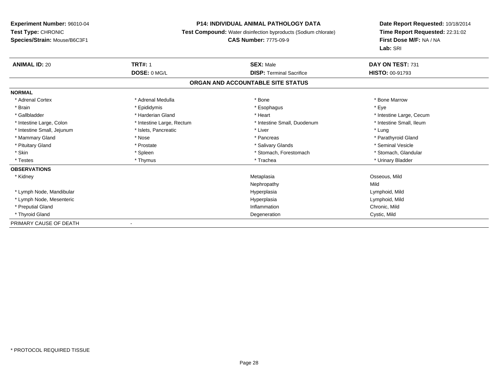### **P14: INDIVIDUAL ANIMAL PATHOLOGY DATA**

**Test Compound:** Water disinfection byproducts (Sodium chlorate)

# **CAS Number:** 7775-09-9

| <b>ANIMAL ID: 20</b>       | <b>TRT#: 1</b>            | <b>SEX: Male</b>                  | DAY ON TEST: 731         |
|----------------------------|---------------------------|-----------------------------------|--------------------------|
|                            | DOSE: 0 MG/L              | <b>DISP: Terminal Sacrifice</b>   | <b>HISTO: 00-91793</b>   |
|                            |                           | ORGAN AND ACCOUNTABLE SITE STATUS |                          |
| <b>NORMAL</b>              |                           |                                   |                          |
| * Adrenal Cortex           | * Adrenal Medulla         | * Bone                            | * Bone Marrow            |
| * Brain                    | * Epididymis              | * Esophagus                       | * Eye                    |
| * Gallbladder              | * Harderian Gland         | * Heart                           | * Intestine Large, Cecum |
| * Intestine Large, Colon   | * Intestine Large, Rectum | * Intestine Small, Duodenum       | * Intestine Small, Ileum |
| * Intestine Small, Jejunum | * Islets, Pancreatic      | * Liver                           | * Lung                   |
| * Mammary Gland            | * Nose                    | * Pancreas                        | * Parathyroid Gland      |
| * Pituitary Gland          | * Prostate                | * Salivary Glands                 | * Seminal Vesicle        |
| * Skin                     | * Spleen                  | * Stomach, Forestomach            | * Stomach, Glandular     |
| * Testes                   | * Thymus                  | * Trachea                         | * Urinary Bladder        |
| <b>OBSERVATIONS</b>        |                           |                                   |                          |
| * Kidney                   |                           | Metaplasia                        | Osseous, Mild            |
|                            |                           | Nephropathy                       | Mild                     |
| * Lymph Node, Mandibular   |                           | Hyperplasia                       | Lymphoid, Mild           |
| * Lymph Node, Mesenteric   |                           | Hyperplasia                       | Lymphoid, Mild           |
| * Preputial Gland          |                           | Inflammation                      | Chronic, Mild            |
| * Thyroid Gland            |                           | Degeneration                      | Cystic, Mild             |
| PRIMARY CAUSE OF DEATH     |                           |                                   |                          |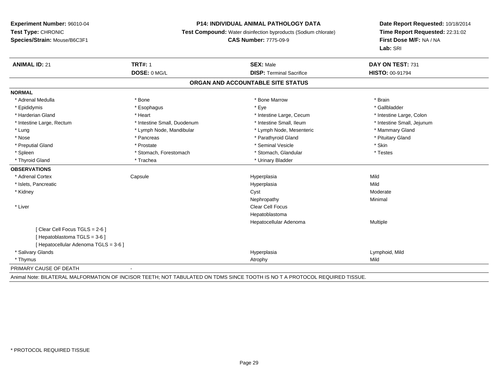#### **P14: INDIVIDUAL ANIMAL PATHOLOGY DATA**

**Test Compound:** Water disinfection byproducts (Sodium chlorate)

**CAS Number:** 7775-09-9

**Date Report Requested:** 10/18/2014**Time Report Requested:** 22:31:02**First Dose M/F:** NA / NA**Lab:** SRI

| <b>ANIMAL ID: 21</b>                  | <b>TRT#: 1</b>              | <b>SEX: Male</b>                  | DAY ON TEST: 731           |
|---------------------------------------|-----------------------------|-----------------------------------|----------------------------|
|                                       | DOSE: 0 MG/L                | <b>DISP: Terminal Sacrifice</b>   | <b>HISTO: 00-91794</b>     |
|                                       |                             | ORGAN AND ACCOUNTABLE SITE STATUS |                            |
| <b>NORMAL</b>                         |                             |                                   |                            |
| * Adrenal Medulla                     | * Bone                      | * Bone Marrow                     | * Brain                    |
| * Epididymis                          | * Esophagus                 | * Eye                             | * Gallbladder              |
| * Harderian Gland                     | * Heart                     | * Intestine Large, Cecum          | * Intestine Large, Colon   |
| * Intestine Large, Rectum             | * Intestine Small, Duodenum | * Intestine Small, Ileum          | * Intestine Small, Jejunum |
| * Lung                                | * Lymph Node, Mandibular    | * Lymph Node, Mesenteric          | * Mammary Gland            |
| * Nose                                | * Pancreas                  | * Parathyroid Gland               | * Pituitary Gland          |
| * Preputial Gland                     | * Prostate                  | * Seminal Vesicle                 | * Skin                     |
| * Spleen                              | * Stomach, Forestomach      | * Stomach, Glandular              | * Testes                   |
| * Thyroid Gland                       | * Trachea                   | * Urinary Bladder                 |                            |
| <b>OBSERVATIONS</b>                   |                             |                                   |                            |
| * Adrenal Cortex                      | Capsule                     | Hyperplasia                       | Mild                       |
| * Islets, Pancreatic                  |                             | Hyperplasia                       | Mild                       |
| * Kidney                              |                             | Cyst                              | Moderate                   |
|                                       |                             | Nephropathy                       | Minimal                    |
| * Liver                               |                             | <b>Clear Cell Focus</b>           |                            |
|                                       |                             | Hepatoblastoma                    |                            |
|                                       |                             | Hepatocellular Adenoma            | Multiple                   |
| [Clear Cell Focus TGLS = 2-6]         |                             |                                   |                            |
| [Hepatoblastoma TGLS = 3-6]           |                             |                                   |                            |
| [ Hepatocellular Adenoma TGLS = 3-6 ] |                             |                                   |                            |
| * Salivary Glands                     |                             | Hyperplasia                       | Lymphoid, Mild             |
| * Thymus                              |                             | Atrophy                           | Mild                       |
| PRIMARY CAUSE OF DEATH                |                             |                                   |                            |

Animal Note: BILATERAL MALFORMATION OF INCISOR TEETH; NOT TABULATED ON TDMS SINCE TOOTH IS NO T A PROTOCOL REQUIRED TISSUE.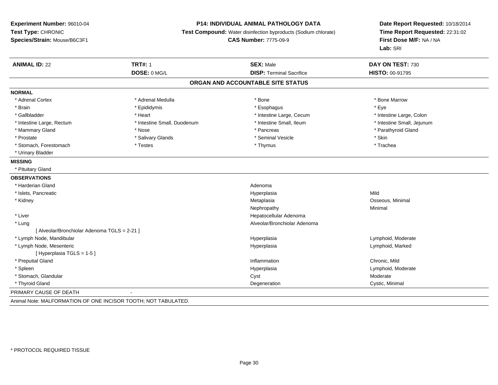#### **P14: INDIVIDUAL ANIMAL PATHOLOGY DATA**

**Test Compound:** Water disinfection byproducts (Sodium chlorate)

**CAS Number:** 7775-09-9

**Date Report Requested:** 10/18/2014**Time Report Requested:** 22:31:02**First Dose M/F:** NA / NA**Lab:** SRI

| <b>ANIMAL ID: 22</b>                         | <b>TRT#: 1</b><br>DOSE: 0 MG/L | <b>SEX: Male</b><br><b>DISP: Terminal Sacrifice</b> | DAY ON TEST: 730<br>HISTO: 00-91795 |
|----------------------------------------------|--------------------------------|-----------------------------------------------------|-------------------------------------|
|                                              |                                |                                                     |                                     |
|                                              |                                | ORGAN AND ACCOUNTABLE SITE STATUS                   |                                     |
| <b>NORMAL</b>                                |                                |                                                     |                                     |
| * Adrenal Cortex                             | * Adrenal Medulla              | * Bone                                              | * Bone Marrow                       |
| * Brain                                      | * Epididymis                   | * Esophagus                                         | * Eye                               |
| * Gallbladder                                | * Heart                        | * Intestine Large, Cecum                            | * Intestine Large, Colon            |
| * Intestine Large, Rectum                    | * Intestine Small, Duodenum    | * Intestine Small. Ileum                            | * Intestine Small, Jejunum          |
| * Mammary Gland                              | * Nose                         | * Pancreas                                          | * Parathyroid Gland                 |
| * Prostate                                   | * Salivary Glands              | * Seminal Vesicle                                   | * Skin                              |
| * Stomach, Forestomach                       | * Testes                       | * Thymus                                            | * Trachea                           |
| * Urinary Bladder                            |                                |                                                     |                                     |
| <b>MISSING</b>                               |                                |                                                     |                                     |
| * Pituitary Gland                            |                                |                                                     |                                     |
| <b>OBSERVATIONS</b>                          |                                |                                                     |                                     |
| * Harderian Gland                            |                                | Adenoma                                             |                                     |
| * Islets, Pancreatic                         |                                | Hyperplasia                                         | Mild                                |
| * Kidney                                     |                                | Metaplasia                                          | Osseous, Minimal                    |
|                                              |                                | Nephropathy                                         | Minimal                             |
| * Liver                                      |                                | Hepatocellular Adenoma                              |                                     |
| * Lung                                       |                                | Alveolar/Bronchiolar Adenoma                        |                                     |
| [ Alveolar/Bronchiolar Adenoma TGLS = 2-21 ] |                                |                                                     |                                     |
| * Lymph Node, Mandibular                     |                                | Hyperplasia                                         | Lymphoid, Moderate                  |
| * Lymph Node, Mesenteric                     |                                | Hyperplasia                                         | Lymphoid, Marked                    |
| [Hyperplasia TGLS = 1-5]                     |                                |                                                     |                                     |
| * Preputial Gland                            |                                | Inflammation                                        | Chronic, Mild                       |
| * Spleen                                     |                                | Hyperplasia                                         | Lymphoid, Moderate                  |
| * Stomach, Glandular                         |                                | Cyst                                                | Moderate                            |
| * Thyroid Gland                              |                                | Degeneration                                        | Cystic, Minimal                     |
| PRIMARY CAUSE OF DEATH                       |                                |                                                     |                                     |

Animal Note: MALFORMATION OF ONE INCISOR TOOTH; NOT TABULATED.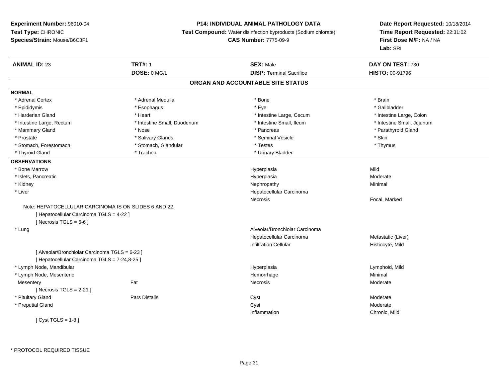### **P14: INDIVIDUAL ANIMAL PATHOLOGY DATA**

**Test Compound:** Water disinfection byproducts (Sodium chlorate)

**CAS Number:** 7775-09-9

**Date Report Requested:** 10/18/2014 **Time Report Requested:** 22:31:02**First Dose M/F:** NA / NA**Lab:** SRI

| <b>ANIMAL ID: 23</b>                                  | <b>TRT#: 1</b>              | <b>SEX: Male</b>                  | DAY ON TEST: 730           |
|-------------------------------------------------------|-----------------------------|-----------------------------------|----------------------------|
|                                                       | DOSE: 0 MG/L                | <b>DISP: Terminal Sacrifice</b>   | HISTO: 00-91796            |
|                                                       |                             | ORGAN AND ACCOUNTABLE SITE STATUS |                            |
| <b>NORMAL</b>                                         |                             |                                   |                            |
| * Adrenal Cortex                                      | * Adrenal Medulla           | * Bone                            | * Brain                    |
| * Epididymis                                          | * Esophagus                 | * Eye                             | * Gallbladder              |
| * Harderian Gland                                     | * Heart                     | * Intestine Large, Cecum          | * Intestine Large, Colon   |
| * Intestine Large, Rectum                             | * Intestine Small, Duodenum | * Intestine Small, Ileum          | * Intestine Small, Jejunum |
| * Mammary Gland                                       | * Nose                      | * Pancreas                        | * Parathyroid Gland        |
| * Prostate                                            | * Salivary Glands           | * Seminal Vesicle                 | * Skin                     |
| * Stomach, Forestomach                                | * Stomach, Glandular        | * Testes                          | * Thymus                   |
| * Thyroid Gland                                       | * Trachea                   | * Urinary Bladder                 |                            |
| <b>OBSERVATIONS</b>                                   |                             |                                   |                            |
| * Bone Marrow                                         |                             | Hyperplasia                       | Mild                       |
| * Islets, Pancreatic                                  |                             | Hyperplasia                       | Moderate                   |
| * Kidney                                              |                             | Nephropathy                       | Minimal                    |
| * Liver                                               |                             | Hepatocellular Carcinoma          |                            |
|                                                       |                             | <b>Necrosis</b>                   | Focal, Marked              |
| Note: HEPATOCELLULAR CARCINOMA IS ON SLIDES 6 AND 22. |                             |                                   |                            |
| [ Hepatocellular Carcinoma TGLS = 4-22 ]              |                             |                                   |                            |
| [ Necrosis TGLS = $5-6$ ]                             |                             |                                   |                            |
| * Lung                                                |                             | Alveolar/Bronchiolar Carcinoma    |                            |
|                                                       |                             | Hepatocellular Carcinoma          | Metastatic (Liver)         |
|                                                       |                             | <b>Infiltration Cellular</b>      | Histiocyte, Mild           |
| [ Alveolar/Bronchiolar Carcinoma TGLS = 6-23 ]        |                             |                                   |                            |
| [ Hepatocellular Carcinoma TGLS = 7-24,8-25 ]         |                             |                                   |                            |
| * Lymph Node, Mandibular                              |                             | Hyperplasia                       | Lymphoid, Mild             |
| * Lymph Node, Mesenteric                              |                             | Hemorrhage                        | Minimal                    |
| Mesentery                                             | Fat                         | Necrosis                          | Moderate                   |
| [Necrosis $TGLS = 2-21$ ]                             |                             |                                   |                            |
| * Pituitary Gland                                     | <b>Pars Distalis</b>        | Cyst                              | Moderate                   |
| * Preputial Gland                                     |                             | Cyst                              | Moderate                   |
|                                                       |                             | Inflammation                      | Chronic, Mild              |
| [Cyst TGLS = 1-8]                                     |                             |                                   |                            |

\* PROTOCOL REQUIRED TISSUE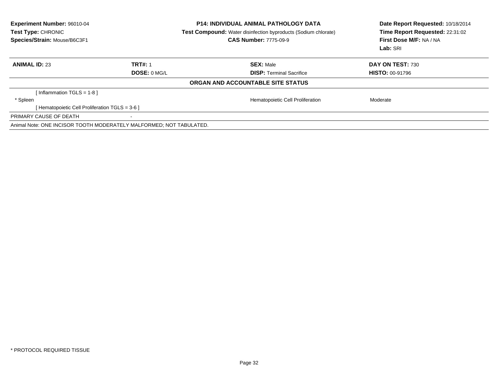| <b>Experiment Number: 96010-04</b><br>Test Type: CHRONIC<br>Species/Strain: Mouse/B6C3F1 |                | <b>P14: INDIVIDUAL ANIMAL PATHOLOGY DATA</b><br><b>Test Compound:</b> Water disinfection byproducts (Sodium chlorate)<br><b>CAS Number: 7775-09-9</b> | Date Report Requested: 10/18/2014<br>Time Report Requested: 22:31:02<br>First Dose M/F: NA / NA<br>Lab: SRI |  |
|------------------------------------------------------------------------------------------|----------------|-------------------------------------------------------------------------------------------------------------------------------------------------------|-------------------------------------------------------------------------------------------------------------|--|
| <b>ANIMAL ID: 23</b>                                                                     | <b>TRT#: 1</b> | <b>SEX: Male</b>                                                                                                                                      | DAY ON TEST: 730                                                                                            |  |
|                                                                                          | DOSE: 0 MG/L   | <b>DISP: Terminal Sacrifice</b>                                                                                                                       | <b>HISTO: 00-91796</b>                                                                                      |  |
|                                                                                          |                | ORGAN AND ACCOUNTABLE SITE STATUS                                                                                                                     |                                                                                                             |  |
| [Inflammation TGLS = 1-8]                                                                |                |                                                                                                                                                       |                                                                                                             |  |
| * Spleen                                                                                 |                | Hematopoietic Cell Proliferation                                                                                                                      | Moderate                                                                                                    |  |
| [ Hematopoietic Cell Proliferation TGLS = 3-6 ]                                          |                |                                                                                                                                                       |                                                                                                             |  |
| PRIMARY CAUSE OF DEATH                                                                   |                |                                                                                                                                                       |                                                                                                             |  |
| Animal Note: ONE INCISOR TOOTH MODERATELY MALFORMED; NOT TABULATED.                      |                |                                                                                                                                                       |                                                                                                             |  |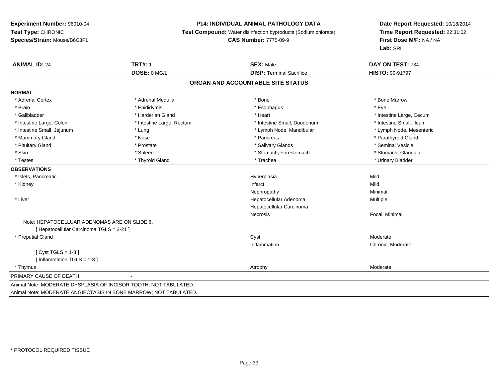#### **P14: INDIVIDUAL ANIMAL PATHOLOGY DATA**

**Test Compound:** Water disinfection byproducts (Sodium chlorate)

**CAS Number:** 7775-09-9

| <b>ANIMAL ID: 24</b>                                             | <b>TRT#: 1</b>            | <b>SEX: Male</b>                  | DAY ON TEST: 734         |
|------------------------------------------------------------------|---------------------------|-----------------------------------|--------------------------|
|                                                                  | DOSE: 0 MG/L              | <b>DISP: Terminal Sacrifice</b>   | <b>HISTO: 00-91797</b>   |
|                                                                  |                           | ORGAN AND ACCOUNTABLE SITE STATUS |                          |
| <b>NORMAL</b>                                                    |                           |                                   |                          |
| * Adrenal Cortex                                                 | * Adrenal Medulla         | * Bone                            | * Bone Marrow            |
| * Brain                                                          | * Epididymis              | * Esophagus                       | * Eve                    |
| * Gallbladder                                                    | * Harderian Gland         | * Heart                           | * Intestine Large, Cecum |
| * Intestine Large, Colon                                         | * Intestine Large, Rectum | * Intestine Small, Duodenum       | * Intestine Small, Ileum |
| * Intestine Small, Jejunum                                       | * Lung                    | * Lymph Node, Mandibular          | * Lymph Node, Mesenteric |
| * Mammary Gland                                                  | * Nose                    | * Pancreas                        | * Parathyroid Gland      |
| * Pituitary Gland                                                | * Prostate                | * Salivary Glands                 | * Seminal Vesicle        |
| * Skin                                                           | * Spleen                  | * Stomach, Forestomach            | * Stomach, Glandular     |
| * Testes                                                         | * Thyroid Gland           | * Trachea                         | * Urinary Bladder        |
| <b>OBSERVATIONS</b>                                              |                           |                                   |                          |
| * Islets, Pancreatic                                             |                           | Hyperplasia                       | Mild                     |
| * Kidney                                                         |                           | Infarct                           | Mild                     |
|                                                                  |                           | Nephropathy                       | Minimal                  |
| * Liver                                                          |                           | Hepatocellular Adenoma            | Multiple                 |
|                                                                  |                           | Hepatocellular Carcinoma          |                          |
|                                                                  |                           | Necrosis                          | Focal, Minimal           |
| Note: HEPATOCELLUAR ADENOMAS ARE ON SLIDE 6.                     |                           |                                   |                          |
| [ Hepatocellular Carcinoma TGLS = 3-21 ]                         |                           |                                   |                          |
| * Preputial Gland                                                |                           | Cyst                              | Moderate                 |
|                                                                  |                           | Inflammation                      | Chronic, Moderate        |
| $[Cyst TGLS = 1-8]$                                              |                           |                                   |                          |
| [ Inflammation TGLS = 1-8 ]                                      |                           |                                   |                          |
| * Thymus                                                         |                           | Atrophy                           | Moderate                 |
| PRIMARY CAUSE OF DEATH                                           |                           |                                   |                          |
| Animal Note: MODERATE DYSPLASIA OF INCISOR TOOTH; NOT TABULATED. |                           |                                   |                          |
| Animal Note: MODERATE ANGIECTASIS IN BONE MARROW; NOT TABULATED. |                           |                                   |                          |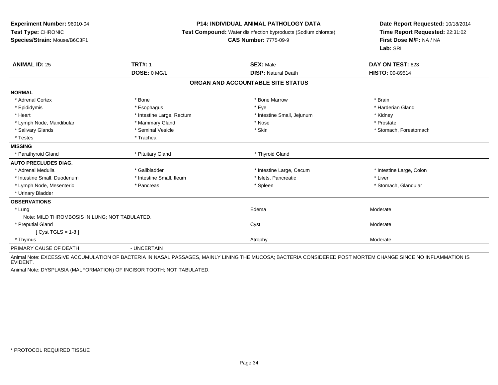#### **P14: INDIVIDUAL ANIMAL PATHOLOGY DATA**

**Test Compound:** Water disinfection byproducts (Sodium chlorate)

#### **CAS Number:** 7775-09-9

**Date Report Requested:** 10/18/2014**Time Report Requested:** 22:31:02**First Dose M/F:** NA / NA**Lab:** SRI

| <b>ANIMAL ID: 25</b>                          | <b>TRT#: 1</b>            | <b>SEX: Male</b>                  | DAY ON TEST: 623                                                                                                                                             |
|-----------------------------------------------|---------------------------|-----------------------------------|--------------------------------------------------------------------------------------------------------------------------------------------------------------|
|                                               | DOSE: 0 MG/L              | <b>DISP: Natural Death</b>        | <b>HISTO: 00-89514</b>                                                                                                                                       |
|                                               |                           | ORGAN AND ACCOUNTABLE SITE STATUS |                                                                                                                                                              |
| <b>NORMAL</b>                                 |                           |                                   |                                                                                                                                                              |
| * Adrenal Cortex                              | * Bone                    | * Bone Marrow                     | * Brain                                                                                                                                                      |
| * Epididymis                                  | * Esophagus               | * Eye                             | * Harderian Gland                                                                                                                                            |
| * Heart                                       | * Intestine Large, Rectum | * Intestine Small, Jejunum        | * Kidney                                                                                                                                                     |
| * Lymph Node, Mandibular                      | * Mammary Gland           | * Nose                            | * Prostate                                                                                                                                                   |
| * Salivary Glands                             | * Seminal Vesicle         | * Skin                            | * Stomach, Forestomach                                                                                                                                       |
| * Testes                                      | * Trachea                 |                                   |                                                                                                                                                              |
| <b>MISSING</b>                                |                           |                                   |                                                                                                                                                              |
| * Parathyroid Gland                           | * Pituitary Gland         | * Thyroid Gland                   |                                                                                                                                                              |
| <b>AUTO PRECLUDES DIAG.</b>                   |                           |                                   |                                                                                                                                                              |
| * Adrenal Medulla                             | * Gallbladder             | * Intestine Large, Cecum          | * Intestine Large, Colon                                                                                                                                     |
| * Intestine Small, Duodenum                   | * Intestine Small, Ileum  | * Islets, Pancreatic              | * Liver                                                                                                                                                      |
| * Lymph Node, Mesenteric                      | * Pancreas                | * Spleen                          | * Stomach, Glandular                                                                                                                                         |
| * Urinary Bladder                             |                           |                                   |                                                                                                                                                              |
| <b>OBSERVATIONS</b>                           |                           |                                   |                                                                                                                                                              |
| * Lung                                        |                           | Edema                             | Moderate                                                                                                                                                     |
| Note: MILD THROMBOSIS IN LUNG; NOT TABULATED. |                           |                                   |                                                                                                                                                              |
| * Preputial Gland                             |                           | Cyst                              | Moderate                                                                                                                                                     |
| [Cyst TGLS = $1-8$ ]                          |                           |                                   |                                                                                                                                                              |
| * Thymus                                      |                           | Atrophy                           | Moderate                                                                                                                                                     |
| PRIMARY CAUSE OF DEATH                        | - UNCERTAIN               |                                   |                                                                                                                                                              |
| EVIDENT.                                      |                           |                                   | Animal Note: EXCESSIVE ACCUMULATION OF BACTERIA IN NASAL PASSAGES, MAINLY LINING THE MUCOSA; BACTERIA CONSIDERED POST MORTEM CHANGE SINCE NO INFLAMMATION IS |

Animal Note: DYSPLASIA (MALFORMATION) OF INCISOR TOOTH; NOT TABULATED.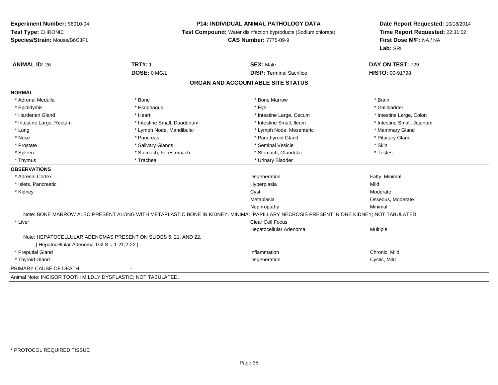#### **P14: INDIVIDUAL ANIMAL PATHOLOGY DATA**

**Test Compound:** Water disinfection byproducts (Sodium chlorate)

**CAS Number:** 7775-09-9

**Date Report Requested:** 10/18/2014**Time Report Requested:** 22:31:02**First Dose M/F:** NA / NA**Lab:** SRI

| <b>ANIMAL ID: 26</b>                                           | <b>TRT#: 1</b>                                                                                                                         | <b>SEX: Male</b>                  | DAY ON TEST: 729           |
|----------------------------------------------------------------|----------------------------------------------------------------------------------------------------------------------------------------|-----------------------------------|----------------------------|
|                                                                | DOSE: 0 MG/L                                                                                                                           | <b>DISP: Terminal Sacrifice</b>   | <b>HISTO: 00-91798</b>     |
|                                                                |                                                                                                                                        | ORGAN AND ACCOUNTABLE SITE STATUS |                            |
| <b>NORMAL</b>                                                  |                                                                                                                                        |                                   |                            |
| * Adrenal Medulla                                              | * Bone                                                                                                                                 | * Bone Marrow                     | * Brain                    |
| * Epididymis                                                   | * Esophagus                                                                                                                            | * Eye                             | * Gallbladder              |
| * Harderian Gland                                              | * Heart                                                                                                                                | * Intestine Large, Cecum          | * Intestine Large, Colon   |
| * Intestine Large, Rectum                                      | * Intestine Small, Duodenum                                                                                                            | * Intestine Small, Ileum          | * Intestine Small, Jejunum |
| * Lung                                                         | * Lymph Node, Mandibular                                                                                                               | * Lymph Node, Mesenteric          | * Mammary Gland            |
| * Nose                                                         | * Pancreas                                                                                                                             | * Parathyroid Gland               | * Pituitary Gland          |
| * Prostate                                                     | * Salivary Glands                                                                                                                      | * Seminal Vesicle                 | * Skin                     |
| * Spleen                                                       | * Stomach, Forestomach                                                                                                                 | * Stomach, Glandular              | * Testes                   |
| * Thymus                                                       | * Trachea                                                                                                                              | * Urinary Bladder                 |                            |
| <b>OBSERVATIONS</b>                                            |                                                                                                                                        |                                   |                            |
| * Adrenal Cortex                                               |                                                                                                                                        | Degeneration                      | Fatty, Minimal             |
| * Islets, Pancreatic                                           |                                                                                                                                        | Hyperplasia                       | Mild                       |
| * Kidney                                                       |                                                                                                                                        | Cyst                              | Moderate                   |
|                                                                |                                                                                                                                        | Metaplasia                        | Osseous, Moderate          |
|                                                                |                                                                                                                                        | Nephropathy                       | Minimal                    |
|                                                                | Note: BONE MARROW ALSO PRESENT ALONG WITH METAPLASTIC BONE IN KIDNEY. MINIMAL PAPILLARY NECROSIS PRESENT IN ONE KIDNEY; NOT TABULATED. |                                   |                            |
| * Liver                                                        |                                                                                                                                        | Clear Cell Focus                  |                            |
|                                                                |                                                                                                                                        | Hepatocellular Adenoma            | Multiple                   |
|                                                                | Note: HEPATOCELLULAR ADENOMAS PRESENT ON SLIDES 6, 21, AND 22.                                                                         |                                   |                            |
| [ Hepatocellular Adenoma TGLS = 1-21,2-22 ]                    |                                                                                                                                        |                                   |                            |
| * Preputial Gland                                              |                                                                                                                                        | Inflammation                      | Chronic, Mild              |
| * Thyroid Gland                                                |                                                                                                                                        | Degeneration                      | Cystic, Mild               |
| PRIMARY CAUSE OF DEATH                                         |                                                                                                                                        |                                   |                            |
| Asiatel Mater INCICOD TOOTH MILDI V DVCDLACTIC, NOT TADHILATED |                                                                                                                                        |                                   |                            |

Animal Note: INCISOR TOOTH MILDLY DYSPLASTIC; NOT TABULATED.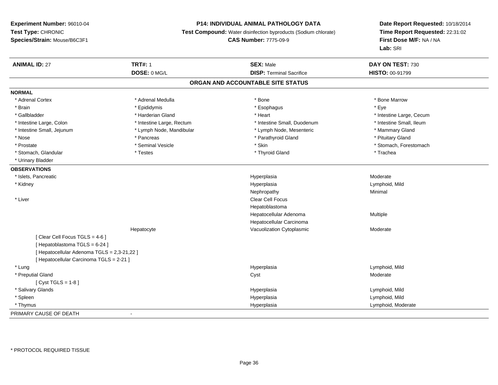### **P14: INDIVIDUAL ANIMAL PATHOLOGY DATA**

**Test Compound:** Water disinfection byproducts (Sodium chlorate)

**CAS Number:** 7775-09-9

| <b>ANIMAL ID: 27</b>                        | <b>TRT#: 1</b>            | <b>SEX: Male</b>                  | DAY ON TEST: 730         |  |
|---------------------------------------------|---------------------------|-----------------------------------|--------------------------|--|
|                                             | DOSE: 0 MG/L              | <b>DISP: Terminal Sacrifice</b>   | HISTO: 00-91799          |  |
|                                             |                           | ORGAN AND ACCOUNTABLE SITE STATUS |                          |  |
| <b>NORMAL</b>                               |                           |                                   |                          |  |
| * Adrenal Cortex                            | * Adrenal Medulla         | * Bone                            | * Bone Marrow            |  |
| * Brain                                     | * Epididymis              | * Esophagus                       | * Eye                    |  |
| * Gallbladder                               | * Harderian Gland         | * Heart                           | * Intestine Large, Cecum |  |
| * Intestine Large, Colon                    | * Intestine Large, Rectum | * Intestine Small, Duodenum       | * Intestine Small, Ileum |  |
| * Intestine Small, Jejunum                  | * Lymph Node, Mandibular  | * Lymph Node, Mesenteric          | * Mammary Gland          |  |
| * Nose                                      | * Pancreas                | * Parathyroid Gland               | * Pituitary Gland        |  |
| * Prostate                                  | * Seminal Vesicle         | * Skin                            | * Stomach, Forestomach   |  |
| * Stomach, Glandular                        | * Testes                  | * Thyroid Gland                   | * Trachea                |  |
| * Urinary Bladder                           |                           |                                   |                          |  |
| <b>OBSERVATIONS</b>                         |                           |                                   |                          |  |
| * Islets, Pancreatic                        |                           | Hyperplasia                       | Moderate                 |  |
| * Kidney                                    |                           | Hyperplasia                       | Lymphoid, Mild           |  |
|                                             |                           | Nephropathy                       | Minimal                  |  |
| * Liver                                     |                           | <b>Clear Cell Focus</b>           |                          |  |
|                                             |                           | Hepatoblastoma                    |                          |  |
|                                             |                           | Hepatocellular Adenoma            | Multiple                 |  |
|                                             |                           | Hepatocellular Carcinoma          |                          |  |
|                                             | Hepatocyte                | Vacuolization Cytoplasmic         | Moderate                 |  |
| [Clear Cell Focus TGLS = 4-6]               |                           |                                   |                          |  |
| [Hepatoblastoma TGLS = 6-24]                |                           |                                   |                          |  |
| [ Hepatocellular Adenoma TGLS = 2,3-21,22 ] |                           |                                   |                          |  |
| [ Hepatocellular Carcinoma TGLS = 2-21 ]    |                           |                                   |                          |  |
| * Lung                                      |                           | Hyperplasia                       | Lymphoid, Mild           |  |
| * Preputial Gland                           |                           | Cyst                              | Moderate                 |  |
| [ Cyst TGLS = $1-8$ ]                       |                           |                                   |                          |  |
| * Salivary Glands                           |                           | Hyperplasia                       | Lymphoid, Mild           |  |
| * Spleen                                    |                           | Hyperplasia                       | Lymphoid, Mild           |  |
| * Thymus                                    |                           | Hyperplasia                       | Lymphoid, Moderate       |  |
| PRIMARY CAUSE OF DEATH                      | $\blacksquare$            |                                   |                          |  |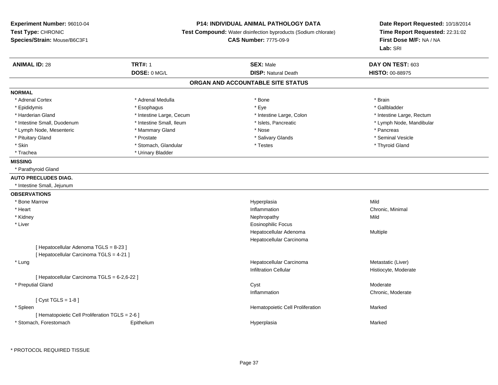### **P14: INDIVIDUAL ANIMAL PATHOLOGY DATA**

**Test Compound:** Water disinfection byproducts (Sodium chlorate)

**CAS Number:** 7775-09-9

**Date Report Requested:** 10/18/2014 **Time Report Requested:** 22:31:02**First Dose M/F:** NA / NA**Lab:** SRI

| <b>ANIMAL ID: 28</b>                            | <b>TRT#: 1</b>           | <b>SEX: Male</b>                  | DAY ON TEST: 603          |  |
|-------------------------------------------------|--------------------------|-----------------------------------|---------------------------|--|
|                                                 | DOSE: 0 MG/L             | <b>DISP: Natural Death</b>        | HISTO: 00-88975           |  |
|                                                 |                          | ORGAN AND ACCOUNTABLE SITE STATUS |                           |  |
| <b>NORMAL</b>                                   |                          |                                   |                           |  |
| * Adrenal Cortex                                | * Adrenal Medulla        | * Bone                            | * Brain                   |  |
| * Epididymis                                    | * Esophagus              | * Eye                             | * Gallbladder             |  |
| * Harderian Gland                               | * Intestine Large, Cecum | * Intestine Large, Colon          | * Intestine Large, Rectum |  |
| * Intestine Small, Duodenum                     | * Intestine Small, Ileum | * Islets, Pancreatic              | * Lymph Node, Mandibular  |  |
| * Lymph Node, Mesenteric                        | * Mammary Gland          | * Nose                            | * Pancreas                |  |
| * Pituitary Gland                               | * Prostate               | * Salivary Glands                 | * Seminal Vesicle         |  |
| * Skin                                          | * Stomach, Glandular     | * Testes                          | * Thyroid Gland           |  |
| * Trachea                                       | * Urinary Bladder        |                                   |                           |  |
| <b>MISSING</b>                                  |                          |                                   |                           |  |
| * Parathyroid Gland                             |                          |                                   |                           |  |
| <b>AUTO PRECLUDES DIAG.</b>                     |                          |                                   |                           |  |
| * Intestine Small, Jejunum                      |                          |                                   |                           |  |
| <b>OBSERVATIONS</b>                             |                          |                                   |                           |  |
| * Bone Marrow                                   |                          | Hyperplasia                       | Mild                      |  |
| * Heart                                         |                          | Inflammation                      | Chronic, Minimal          |  |
| * Kidney                                        |                          | Nephropathy                       | Mild                      |  |
| * Liver                                         |                          | <b>Eosinophilic Focus</b>         |                           |  |
|                                                 |                          | Hepatocellular Adenoma            | Multiple                  |  |
|                                                 |                          | Hepatocellular Carcinoma          |                           |  |
| [ Hepatocellular Adenoma TGLS = 8-23 ]          |                          |                                   |                           |  |
| [ Hepatocellular Carcinoma TGLS = 4-21 ]        |                          |                                   |                           |  |
| * Lung                                          |                          | Hepatocellular Carcinoma          | Metastatic (Liver)        |  |
|                                                 |                          | <b>Infiltration Cellular</b>      | Histiocyte, Moderate      |  |
| [ Hepatocellular Carcinoma TGLS = 6-2,6-22 ]    |                          |                                   |                           |  |
| * Preputial Gland                               |                          | Cyst                              | Moderate                  |  |
|                                                 |                          | Inflammation                      | Chronic, Moderate         |  |
| [ $Cyst TGLS = 1-8$ ]                           |                          |                                   |                           |  |
| * Spleen                                        |                          | Hematopoietic Cell Proliferation  | Marked                    |  |
| [ Hematopoietic Cell Proliferation TGLS = 2-6 ] |                          |                                   |                           |  |
| * Stomach, Forestomach                          | Epithelium               | Hyperplasia                       | Marked                    |  |

\* PROTOCOL REQUIRED TISSUE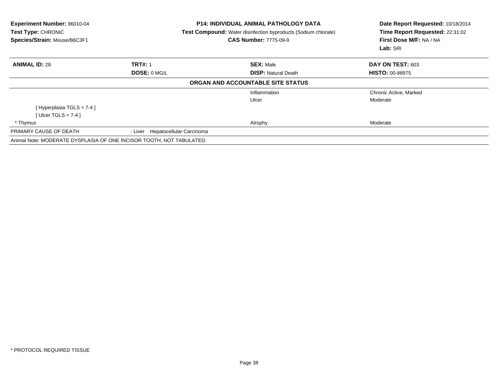| Experiment Number: 96010-04<br>Test Type: CHRONIC<br>Species/Strain: Mouse/B6C3F1 |                                     | <b>P14: INDIVIDUAL ANIMAL PATHOLOGY DATA</b><br><b>Test Compound:</b> Water disinfection byproducts (Sodium chlorate)<br><b>CAS Number: 7775-09-9</b> | Date Report Requested: 10/18/2014<br>Time Report Requested: 22:31:02<br>First Dose M/F: NA / NA<br>Lab: SRI |
|-----------------------------------------------------------------------------------|-------------------------------------|-------------------------------------------------------------------------------------------------------------------------------------------------------|-------------------------------------------------------------------------------------------------------------|
| <b>ANIMAL ID: 28</b>                                                              | <b>TRT#: 1</b>                      | <b>SEX: Male</b>                                                                                                                                      | DAY ON TEST: 603                                                                                            |
|                                                                                   | DOSE: 0 MG/L                        | <b>DISP: Natural Death</b>                                                                                                                            | <b>HISTO: 00-88975</b>                                                                                      |
|                                                                                   |                                     | ORGAN AND ACCOUNTABLE SITE STATUS                                                                                                                     |                                                                                                             |
|                                                                                   |                                     | Inflammation                                                                                                                                          | Chronic Active, Marked                                                                                      |
|                                                                                   |                                     | Ulcer                                                                                                                                                 | Moderate                                                                                                    |
| [Hyperplasia TGLS = $7-4$ ]                                                       |                                     |                                                                                                                                                       |                                                                                                             |
| [ Ulcer TGLS = $7-4$ ]                                                            |                                     |                                                                                                                                                       |                                                                                                             |
| * Thymus                                                                          |                                     | Atrophy                                                                                                                                               | Moderate                                                                                                    |
| PRIMARY CAUSE OF DEATH                                                            | Hepatocellular Carcinoma<br>- Liver |                                                                                                                                                       |                                                                                                             |
| Animal Note: MODERATE DYSPLASIA OF ONE INCISOR TOOTH; NOT TABULATED.              |                                     |                                                                                                                                                       |                                                                                                             |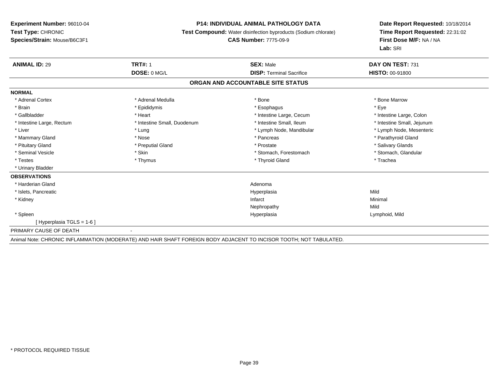#### **P14: INDIVIDUAL ANIMAL PATHOLOGY DATA**

**Test Compound:** Water disinfection byproducts (Sodium chlorate)

**CAS Number:** 7775-09-9

**Date Report Requested:** 10/18/2014**Time Report Requested:** 22:31:02**First Dose M/F:** NA / NA**Lab:** SRI

| <b>ANIMAL ID: 29</b>              | <b>TRT#: 1</b>              | <b>SEX: Male</b>                | DAY ON TEST: 731           |  |  |  |
|-----------------------------------|-----------------------------|---------------------------------|----------------------------|--|--|--|
|                                   | DOSE: 0 MG/L                | <b>DISP: Terminal Sacrifice</b> | <b>HISTO: 00-91800</b>     |  |  |  |
| ORGAN AND ACCOUNTABLE SITE STATUS |                             |                                 |                            |  |  |  |
| <b>NORMAL</b>                     |                             |                                 |                            |  |  |  |
| * Adrenal Cortex                  | * Adrenal Medulla           | * Bone                          | * Bone Marrow              |  |  |  |
| * Brain                           | * Epididymis                | * Esophagus                     | * Eye                      |  |  |  |
| * Gallbladder                     | * Heart                     | * Intestine Large, Cecum        | * Intestine Large, Colon   |  |  |  |
| * Intestine Large, Rectum         | * Intestine Small, Duodenum | * Intestine Small, Ileum        | * Intestine Small, Jejunum |  |  |  |
| * Liver                           | * Lung                      | * Lymph Node, Mandibular        | * Lymph Node, Mesenteric   |  |  |  |
| * Mammary Gland                   | * Nose                      | * Pancreas                      | * Parathyroid Gland        |  |  |  |
| * Pituitary Gland                 | * Preputial Gland           | * Prostate                      | * Salivary Glands          |  |  |  |
| * Seminal Vesicle                 | * Skin                      | * Stomach, Forestomach          | * Stomach, Glandular       |  |  |  |
| * Testes                          | * Thymus                    | * Thyroid Gland                 | * Trachea                  |  |  |  |
| * Urinary Bladder                 |                             |                                 |                            |  |  |  |
| <b>OBSERVATIONS</b>               |                             |                                 |                            |  |  |  |
| * Harderian Gland                 |                             | Adenoma                         |                            |  |  |  |
| * Islets, Pancreatic              |                             | Hyperplasia                     | Mild                       |  |  |  |
| * Kidney                          |                             | Infarct                         | Minimal                    |  |  |  |
|                                   |                             | Nephropathy                     | Mild                       |  |  |  |
| * Spleen                          |                             | Hyperplasia                     | Lymphoid, Mild             |  |  |  |
| [ Hyperplasia TGLS = 1-6 ]        |                             |                                 |                            |  |  |  |
| PRIMARY CAUSE OF DEATH            | $\blacksquare$              |                                 |                            |  |  |  |

Animal Note: CHRONIC INFLAMMATION (MODERATE) AND HAIR SHAFT FOREIGN BODY ADJACENT TO INCISOR TOOTH; NOT TABULATED.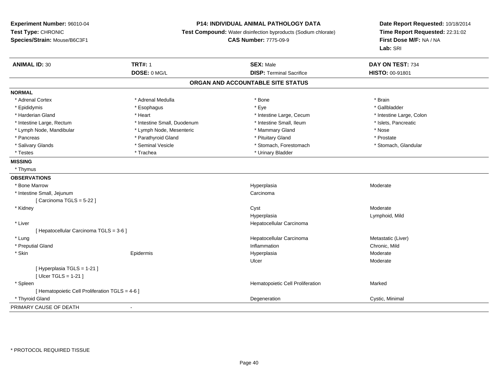### **P14: INDIVIDUAL ANIMAL PATHOLOGY DATA**

**Test Compound:** Water disinfection byproducts (Sodium chlorate)

**CAS Number:** 7775-09-9

| <b>ANIMAL ID: 30</b>                            | <b>TRT#: 1</b>              | <b>SEX: Male</b>                  | DAY ON TEST: 734         |
|-------------------------------------------------|-----------------------------|-----------------------------------|--------------------------|
|                                                 | DOSE: 0 MG/L                | <b>DISP: Terminal Sacrifice</b>   | HISTO: 00-91801          |
|                                                 |                             | ORGAN AND ACCOUNTABLE SITE STATUS |                          |
| <b>NORMAL</b>                                   |                             |                                   |                          |
| * Adrenal Cortex                                | * Adrenal Medulla           | * Bone                            | * Brain                  |
| * Epididymis                                    | * Esophagus                 | * Eye                             | * Gallbladder            |
| * Harderian Gland                               | * Heart                     | * Intestine Large, Cecum          | * Intestine Large, Colon |
| * Intestine Large, Rectum                       | * Intestine Small, Duodenum | * Intestine Small, Ileum          | * Islets, Pancreatic     |
| * Lymph Node, Mandibular                        | * Lymph Node, Mesenteric    | * Mammary Gland                   | * Nose                   |
| * Pancreas                                      | * Parathyroid Gland         | * Pituitary Gland                 | * Prostate               |
| * Salivary Glands                               | * Seminal Vesicle           | * Stomach, Forestomach            | * Stomach, Glandular     |
| * Testes                                        | * Trachea                   | * Urinary Bladder                 |                          |
| <b>MISSING</b>                                  |                             |                                   |                          |
| * Thymus                                        |                             |                                   |                          |
| <b>OBSERVATIONS</b>                             |                             |                                   |                          |
| * Bone Marrow                                   |                             | Hyperplasia                       | Moderate                 |
| * Intestine Small, Jejunum                      |                             | Carcinoma                         |                          |
| [ Carcinoma TGLS = 5-22 ]                       |                             |                                   |                          |
| * Kidney                                        |                             | Cyst                              | Moderate                 |
|                                                 |                             | Hyperplasia                       | Lymphoid, Mild           |
| * Liver                                         |                             | Hepatocellular Carcinoma          |                          |
| [ Hepatocellular Carcinoma TGLS = 3-6 ]         |                             |                                   |                          |
| * Lung                                          |                             | Hepatocellular Carcinoma          | Metastatic (Liver)       |
| * Preputial Gland                               |                             | Inflammation                      | Chronic, Mild            |
| * Skin                                          | Epidermis                   | Hyperplasia                       | Moderate                 |
|                                                 |                             | Ulcer                             | Moderate                 |
| [Hyperplasia TGLS = 1-21]                       |                             |                                   |                          |
| [ Ulcer TGLS = $1-21$ ]                         |                             |                                   |                          |
| * Spleen                                        |                             | Hematopoietic Cell Proliferation  | Marked                   |
| [ Hematopoietic Cell Proliferation TGLS = 4-6 ] |                             |                                   |                          |
| * Thyroid Gland                                 |                             | Degeneration                      | Cystic, Minimal          |
| PRIMARY CAUSE OF DEATH                          |                             |                                   |                          |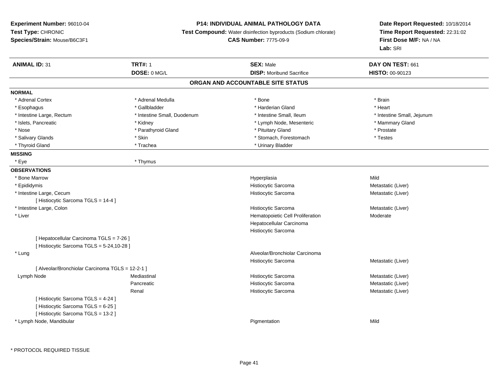### **P14: INDIVIDUAL ANIMAL PATHOLOGY DATA**

**Test Compound:** Water disinfection byproducts (Sodium chlorate)

**CAS Number:** 7775-09-9

| <b>ANIMAL ID: 31</b>                             | <b>TRT#: 1</b>              | <b>SEX: Male</b>                  | DAY ON TEST: 661           |  |
|--------------------------------------------------|-----------------------------|-----------------------------------|----------------------------|--|
|                                                  | DOSE: 0 MG/L                | <b>DISP: Moribund Sacrifice</b>   | HISTO: 00-90123            |  |
|                                                  |                             | ORGAN AND ACCOUNTABLE SITE STATUS |                            |  |
| <b>NORMAL</b>                                    |                             |                                   |                            |  |
| * Adrenal Cortex                                 | * Adrenal Medulla           | * Bone                            | * Brain                    |  |
| * Esophagus                                      | * Gallbladder               | * Harderian Gland                 | * Heart                    |  |
| * Intestine Large, Rectum                        | * Intestine Small, Duodenum | * Intestine Small, Ileum          | * Intestine Small, Jejunum |  |
| * Islets, Pancreatic                             | * Kidney                    | * Lymph Node, Mesenteric          | * Mammary Gland            |  |
| * Nose                                           | * Parathyroid Gland         | * Pituitary Gland                 | * Prostate                 |  |
| * Salivary Glands                                | * Skin                      | * Stomach, Forestomach            | * Testes                   |  |
| * Thyroid Gland                                  | * Trachea                   | * Urinary Bladder                 |                            |  |
| <b>MISSING</b>                                   |                             |                                   |                            |  |
| * Eye                                            | * Thymus                    |                                   |                            |  |
| <b>OBSERVATIONS</b>                              |                             |                                   |                            |  |
| * Bone Marrow                                    |                             | Hyperplasia                       | Mild                       |  |
| * Epididymis                                     |                             | Histiocytic Sarcoma               | Metastatic (Liver)         |  |
| * Intestine Large, Cecum                         |                             | Histiocytic Sarcoma               | Metastatic (Liver)         |  |
| [ Histiocytic Sarcoma TGLS = 14-4 ]              |                             |                                   |                            |  |
| * Intestine Large, Colon                         |                             | Histiocytic Sarcoma               | Metastatic (Liver)         |  |
| * Liver                                          |                             | Hematopoietic Cell Proliferation  | Moderate                   |  |
|                                                  |                             | Hepatocellular Carcinoma          |                            |  |
|                                                  |                             | Histiocytic Sarcoma               |                            |  |
| [ Hepatocellular Carcinoma TGLS = 7-26 ]         |                             |                                   |                            |  |
| [ Histiocytic Sarcoma TGLS = 5-24,10-28 ]        |                             |                                   |                            |  |
| * Lung                                           |                             | Alveolar/Bronchiolar Carcinoma    |                            |  |
|                                                  |                             | Histiocytic Sarcoma               | Metastatic (Liver)         |  |
| [ Alveolar/Bronchiolar Carcinoma TGLS = 12-2-1 ] |                             |                                   |                            |  |
| Lymph Node                                       | Mediastinal                 | Histiocytic Sarcoma               | Metastatic (Liver)         |  |
|                                                  | Pancreatic                  | Histiocytic Sarcoma               | Metastatic (Liver)         |  |
|                                                  | Renal                       | Histiocytic Sarcoma               | Metastatic (Liver)         |  |
| [ Histiocytic Sarcoma TGLS = 4-24 ]              |                             |                                   |                            |  |
| [Histiocytic Sarcoma TGLS = 6-25]                |                             |                                   |                            |  |
| [ Histiocytic Sarcoma TGLS = 13-2 ]              |                             |                                   |                            |  |
| * Lymph Node, Mandibular                         |                             | Pigmentation                      | Mild                       |  |
|                                                  |                             |                                   |                            |  |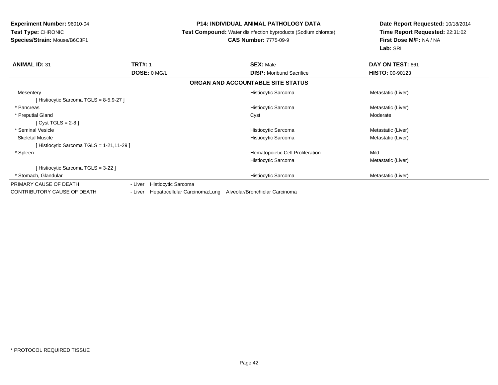### **P14: INDIVIDUAL ANIMAL PATHOLOGY DATA**

**Test Compound:** Water disinfection byproducts (Sodium chlorate)

# **CAS Number:** 7775-09-9

| <b>ANIMAL ID: 31</b>                    | <b>TRT#: 1</b> |                                | <b>SEX: Male</b>                  | DAY ON TEST: 661       |
|-----------------------------------------|----------------|--------------------------------|-----------------------------------|------------------------|
|                                         | DOSE: 0 MG/L   |                                | <b>DISP:</b> Moribund Sacrifice   | <b>HISTO: 00-90123</b> |
|                                         |                |                                | ORGAN AND ACCOUNTABLE SITE STATUS |                        |
| Mesentery                               |                |                                | Histiocytic Sarcoma               | Metastatic (Liver)     |
| Histiocytic Sarcoma TGLS = 8-5,9-27 ]   |                |                                |                                   |                        |
| * Pancreas                              |                |                                | Histiocytic Sarcoma               | Metastatic (Liver)     |
| * Preputial Gland                       |                |                                | Cyst                              | Moderate               |
| [ $Cyst$ TGLS = 2-8 ]                   |                |                                |                                   |                        |
| * Seminal Vesicle                       |                |                                | Histiocytic Sarcoma               | Metastatic (Liver)     |
| <b>Skeletal Muscle</b>                  |                |                                | Histiocytic Sarcoma               | Metastatic (Liver)     |
| Histiocytic Sarcoma TGLS = 1-21,11-29 ] |                |                                |                                   |                        |
| * Spleen                                |                |                                | Hematopoietic Cell Proliferation  | Mild                   |
|                                         |                |                                | Histiocytic Sarcoma               | Metastatic (Liver)     |
| Histiocytic Sarcoma TGLS = 3-22 ]       |                |                                |                                   |                        |
| * Stomach, Glandular                    |                |                                | Histiocytic Sarcoma               | Metastatic (Liver)     |
| PRIMARY CAUSE OF DEATH                  | - Liver        | Histiocytic Sarcoma            |                                   |                        |
| <b>CONTRIBUTORY CAUSE OF DEATH</b>      | - Liver        | Hepatocellular Carcinoma; Lung | Alveolar/Bronchiolar Carcinoma    |                        |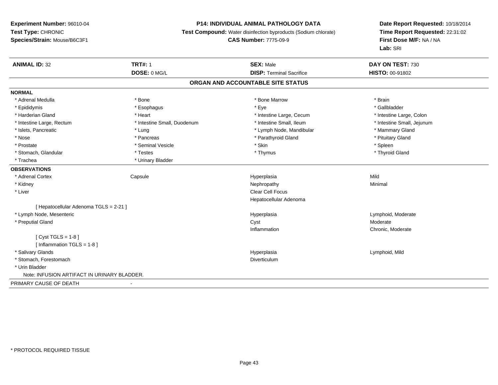## **P14: INDIVIDUAL ANIMAL PATHOLOGY DATA**

**Test Compound:** Water disinfection byproducts (Sodium chlorate)

**CAS Number:** 7775-09-9

| <b>ANIMAL ID: 32</b>                        | <b>TRT#: 1</b>              | <b>SEX: Male</b>                | DAY ON TEST: 730           |  |  |
|---------------------------------------------|-----------------------------|---------------------------------|----------------------------|--|--|
|                                             | DOSE: 0 MG/L                | <b>DISP: Terminal Sacrifice</b> | <b>HISTO: 00-91802</b>     |  |  |
| ORGAN AND ACCOUNTABLE SITE STATUS           |                             |                                 |                            |  |  |
| <b>NORMAL</b>                               |                             |                                 |                            |  |  |
| * Adrenal Medulla                           | * Bone                      | * Bone Marrow                   | * Brain                    |  |  |
| * Epididymis                                | * Esophagus                 | * Eye                           | * Gallbladder              |  |  |
| * Harderian Gland                           | * Heart                     | * Intestine Large, Cecum        | * Intestine Large, Colon   |  |  |
| * Intestine Large, Rectum                   | * Intestine Small, Duodenum | * Intestine Small, Ileum        | * Intestine Small, Jejunum |  |  |
| * Islets, Pancreatic                        | * Lung                      | * Lymph Node, Mandibular        | * Mammary Gland            |  |  |
| * Nose                                      | * Pancreas                  | * Parathyroid Gland             | * Pituitary Gland          |  |  |
| * Prostate                                  | * Seminal Vesicle           | * Skin                          | * Spleen                   |  |  |
| * Stomach, Glandular                        | * Testes                    | * Thymus                        | * Thyroid Gland            |  |  |
| * Trachea                                   | * Urinary Bladder           |                                 |                            |  |  |
| <b>OBSERVATIONS</b>                         |                             |                                 |                            |  |  |
| * Adrenal Cortex                            | Capsule                     | Hyperplasia                     | Mild                       |  |  |
| * Kidney                                    |                             | Nephropathy                     | Minimal                    |  |  |
| * Liver                                     |                             | Clear Cell Focus                |                            |  |  |
|                                             |                             | Hepatocellular Adenoma          |                            |  |  |
| [ Hepatocellular Adenoma TGLS = 2-21 ]      |                             |                                 |                            |  |  |
| * Lymph Node, Mesenteric                    |                             | Hyperplasia                     | Lymphoid, Moderate         |  |  |
| * Preputial Gland                           |                             | Cyst                            | Moderate                   |  |  |
|                                             |                             | Inflammation                    | Chronic, Moderate          |  |  |
| [ $Cyst TGLS = 1-8$ ]                       |                             |                                 |                            |  |  |
| [Inflammation TGLS = $1-8$ ]                |                             |                                 |                            |  |  |
| * Salivary Glands                           |                             | Hyperplasia                     | Lymphoid, Mild             |  |  |
| * Stomach, Forestomach                      |                             | <b>Diverticulum</b>             |                            |  |  |
| * Urin Bladder                              |                             |                                 |                            |  |  |
| Note: INFUSION ARTIFACT IN URINARY BLADDER. |                             |                                 |                            |  |  |
| PRIMARY CAUSE OF DEATH                      | $\blacksquare$              |                                 |                            |  |  |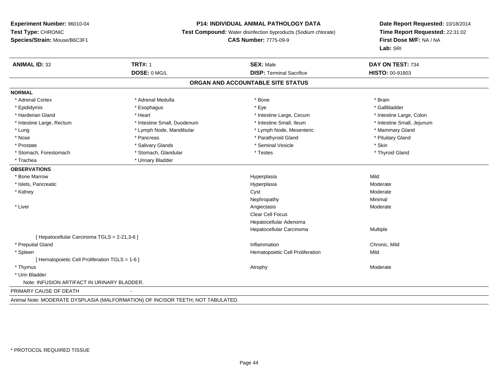#### **P14: INDIVIDUAL ANIMAL PATHOLOGY DATA**

**Test Compound:** Water disinfection byproducts (Sodium chlorate)

**CAS Number:** 7775-09-9

**Date Report Requested:** 10/18/2014**Time Report Requested:** 22:31:02**First Dose M/F:** NA / NA**Lab:** SRI

| <b>ANIMAL ID: 33</b>                            | <b>TRT#: 1</b>                                                                 | <b>SEX: Male</b>                  | DAY ON TEST: 734           |
|-------------------------------------------------|--------------------------------------------------------------------------------|-----------------------------------|----------------------------|
|                                                 | DOSE: 0 MG/L                                                                   | <b>DISP: Terminal Sacrifice</b>   | HISTO: 00-91803            |
|                                                 |                                                                                | ORGAN AND ACCOUNTABLE SITE STATUS |                            |
| <b>NORMAL</b>                                   |                                                                                |                                   |                            |
| * Adrenal Cortex                                | * Adrenal Medulla                                                              | * Bone                            | * Brain                    |
| * Epididymis                                    | * Esophagus                                                                    | * Eye                             | * Gallbladder              |
| * Harderian Gland                               | * Heart                                                                        | * Intestine Large, Cecum          | * Intestine Large, Colon   |
| * Intestine Large, Rectum                       | * Intestine Small, Duodenum                                                    | * Intestine Small. Ileum          | * Intestine Small, Jejunum |
| * Lung                                          | * Lymph Node, Mandibular                                                       | * Lymph Node, Mesenteric          | * Mammary Gland            |
| * Nose                                          | * Pancreas                                                                     | * Parathyroid Gland               | * Pituitary Gland          |
| * Prostate                                      | * Salivary Glands                                                              | * Seminal Vesicle                 | * Skin                     |
| * Stomach, Forestomach                          | * Stomach, Glandular                                                           | * Testes                          | * Thyroid Gland            |
| * Trachea                                       | * Urinary Bladder                                                              |                                   |                            |
| <b>OBSERVATIONS</b>                             |                                                                                |                                   |                            |
| * Bone Marrow                                   |                                                                                | Hyperplasia                       | Mild                       |
| * Islets, Pancreatic                            |                                                                                | Hyperplasia                       | Moderate                   |
| * Kidney                                        |                                                                                | Cyst                              | Moderate                   |
|                                                 |                                                                                | Nephropathy                       | Minimal                    |
| * Liver                                         |                                                                                | Angiectasis                       | Moderate                   |
|                                                 |                                                                                | <b>Clear Cell Focus</b>           |                            |
|                                                 |                                                                                | Hepatocellular Adenoma            |                            |
|                                                 |                                                                                | Hepatocellular Carcinoma          | Multiple                   |
| [ Hepatocellular Carcinoma TGLS = 2-21,3-6 ]    |                                                                                |                                   |                            |
| * Preputial Gland                               |                                                                                | Inflammation                      | Chronic, Mild              |
| * Spleen                                        |                                                                                | Hematopoietic Cell Proliferation  | Mild                       |
| [ Hematopoietic Cell Proliferation TGLS = 1-6 ] |                                                                                |                                   |                            |
| * Thymus                                        |                                                                                | Atrophy                           | Moderate                   |
| * Urin Bladder                                  |                                                                                |                                   |                            |
| Note: INFUSION ARTIFACT IN URINARY BLADDER.     |                                                                                |                                   |                            |
| PRIMARY CAUSE OF DEATH                          |                                                                                |                                   |                            |
|                                                 | Actual Nata: MODEDATE DVODLAGIA (MALEODMATION) OF INQICOD TEETH, NOT TADULATED |                                   |                            |

Animal Note: MODERATE DYSPLASIA (MALFORMATION) OF INCISOR TEETH; NOT TABULATED.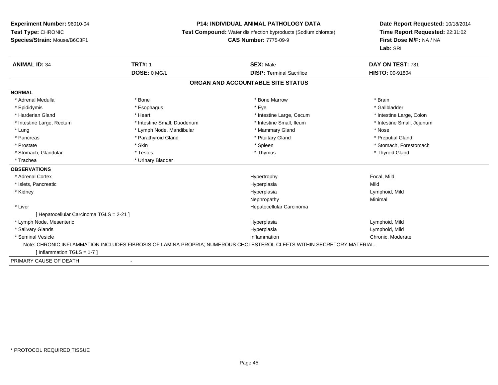### **P14: INDIVIDUAL ANIMAL PATHOLOGY DATA**

**Test Compound:** Water disinfection byproducts (Sodium chlorate)

**CAS Number:** 7775-09-9

| <b>ANIMAL ID: 34</b>                     | <b>TRT#: 1</b>                                                                                                         | <b>SEX: Male</b>                  | DAY ON TEST: 731           |
|------------------------------------------|------------------------------------------------------------------------------------------------------------------------|-----------------------------------|----------------------------|
|                                          | DOSE: 0 MG/L                                                                                                           | <b>DISP: Terminal Sacrifice</b>   | <b>HISTO: 00-91804</b>     |
|                                          |                                                                                                                        | ORGAN AND ACCOUNTABLE SITE STATUS |                            |
| <b>NORMAL</b>                            |                                                                                                                        |                                   |                            |
| * Adrenal Medulla                        | * Bone                                                                                                                 | * Bone Marrow                     | * Brain                    |
| * Epididymis                             | * Esophagus                                                                                                            | * Eye                             | * Gallbladder              |
| * Harderian Gland                        | * Heart                                                                                                                | * Intestine Large, Cecum          | * Intestine Large, Colon   |
| * Intestine Large, Rectum                | * Intestine Small, Duodenum                                                                                            | * Intestine Small, Ileum          | * Intestine Small, Jejunum |
| * Lung                                   | * Lymph Node, Mandibular                                                                                               | * Mammary Gland                   | * Nose                     |
| * Pancreas                               | * Parathyroid Gland                                                                                                    | * Pituitary Gland                 | * Preputial Gland          |
| * Prostate                               | * Skin                                                                                                                 | * Spleen                          | * Stomach, Forestomach     |
| * Stomach, Glandular                     | * Testes                                                                                                               | * Thymus                          | * Thyroid Gland            |
| * Trachea                                | * Urinary Bladder                                                                                                      |                                   |                            |
| <b>OBSERVATIONS</b>                      |                                                                                                                        |                                   |                            |
| * Adrenal Cortex                         |                                                                                                                        | Hypertrophy                       | Focal, Mild                |
| * Islets, Pancreatic                     |                                                                                                                        | Hyperplasia                       | Mild                       |
| * Kidney                                 |                                                                                                                        | Hyperplasia                       | Lymphoid, Mild             |
|                                          |                                                                                                                        | Nephropathy                       | Minimal                    |
| * Liver                                  |                                                                                                                        | Hepatocellular Carcinoma          |                            |
| [ Hepatocellular Carcinoma TGLS = 2-21 ] |                                                                                                                        |                                   |                            |
| * Lymph Node, Mesenteric                 |                                                                                                                        | Hyperplasia                       | Lymphoid, Mild             |
| * Salivary Glands                        |                                                                                                                        | Hyperplasia                       | Lymphoid, Mild             |
| * Seminal Vesicle                        |                                                                                                                        | Inflammation                      | Chronic, Moderate          |
|                                          | Note: CHRONIC INFLAMMATION INCLUDES FIBROSIS OF LAMINA PROPRIA; NUMEROUS CHOLESTEROL CLEFTS WITHIN SECRETORY MATERIAL. |                                   |                            |
| [Inflammation TGLS = 1-7]                |                                                                                                                        |                                   |                            |
| PRIMARY CAUSE OF DEATH                   |                                                                                                                        |                                   |                            |
|                                          |                                                                                                                        |                                   |                            |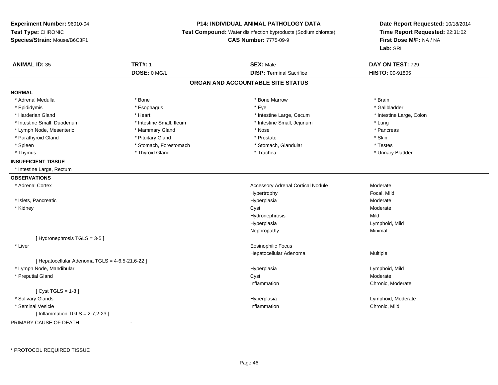### **P14: INDIVIDUAL ANIMAL PATHOLOGY DATA**

**Test Compound:** Water disinfection byproducts (Sodium chlorate)

**CAS Number:** 7775-09-9

**Date Report Requested:** 10/18/2014 **Time Report Requested:** 22:31:02**First Dose M/F:** NA / NA**Lab:** SRI

| <b>ANIMAL ID: 35</b>                            | <b>TRT#: 1</b>           | <b>SEX: Male</b>                         | DAY ON TEST: 729         |  |
|-------------------------------------------------|--------------------------|------------------------------------------|--------------------------|--|
|                                                 | DOSE: 0 MG/L             | <b>DISP: Terminal Sacrifice</b>          | HISTO: 00-91805          |  |
|                                                 |                          | ORGAN AND ACCOUNTABLE SITE STATUS        |                          |  |
| <b>NORMAL</b>                                   |                          |                                          |                          |  |
| * Adrenal Medulla                               | * Bone                   | * Bone Marrow                            | * Brain                  |  |
| * Epididymis                                    | * Esophagus              | * Eye                                    | * Gallbladder            |  |
| * Harderian Gland                               | * Heart                  | * Intestine Large, Cecum                 | * Intestine Large, Colon |  |
| * Intestine Small, Duodenum                     | * Intestine Small, Ileum | * Intestine Small, Jejunum               | * Lung                   |  |
| * Lymph Node, Mesenteric                        | * Mammary Gland          | * Nose                                   | * Pancreas               |  |
| * Parathyroid Gland                             | * Pituitary Gland        | * Prostate                               | * Skin                   |  |
| * Spleen                                        | * Stomach, Forestomach   | * Stomach, Glandular                     | * Testes                 |  |
| * Thymus                                        | * Thyroid Gland          | * Trachea                                | * Urinary Bladder        |  |
| <b>INSUFFICIENT TISSUE</b>                      |                          |                                          |                          |  |
| * Intestine Large, Rectum                       |                          |                                          |                          |  |
| <b>OBSERVATIONS</b>                             |                          |                                          |                          |  |
| * Adrenal Cortex                                |                          | <b>Accessory Adrenal Cortical Nodule</b> | Moderate                 |  |
|                                                 |                          | Hypertrophy                              | Focal, Mild              |  |
| * Islets, Pancreatic                            |                          | Hyperplasia                              | Moderate                 |  |
| * Kidney                                        |                          | Cyst                                     | Moderate                 |  |
|                                                 |                          | Hydronephrosis                           | Mild                     |  |
|                                                 |                          | Hyperplasia                              | Lymphoid, Mild           |  |
|                                                 |                          | Nephropathy                              | Minimal                  |  |
| [Hydronephrosis TGLS = 3-5]                     |                          |                                          |                          |  |
| * Liver                                         |                          | Eosinophilic Focus                       |                          |  |
|                                                 |                          | Hepatocellular Adenoma                   | Multiple                 |  |
| [ Hepatocellular Adenoma TGLS = 4-6,5-21,6-22 ] |                          |                                          |                          |  |
| * Lymph Node, Mandibular                        |                          | Hyperplasia                              | Lymphoid, Mild           |  |
| * Preputial Gland                               |                          | Cyst                                     | Moderate                 |  |
|                                                 |                          | Inflammation                             | Chronic, Moderate        |  |
| [ $Cyst TGLS = 1-8$ ]                           |                          |                                          |                          |  |
| * Salivary Glands                               |                          | Hyperplasia                              | Lymphoid, Moderate       |  |
| * Seminal Vesicle                               |                          | Inflammation                             | Chronic, Mild            |  |
| [Inflammation TGLS = $2-7,2-23$ ]               |                          |                                          |                          |  |

PRIMARY CAUSE OF DEATH-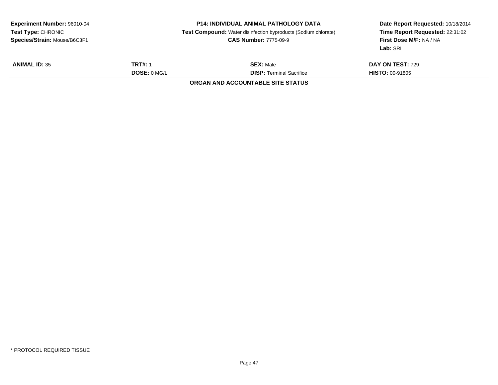| <b>Experiment Number: 96010-04</b><br>Test Type: CHRONIC<br>Species/Strain: Mouse/B6C3F1 |                | <b>P14: INDIVIDUAL ANIMAL PATHOLOGY DATA</b><br><b>Test Compound:</b> Water disinfection byproducts (Sodium chlorate)<br><b>CAS Number: 7775-09-9</b> | Date Report Requested: 10/18/2014<br>Time Report Requested: 22:31:02<br><b>First Dose M/F: NA / NA</b><br>Lab: SRI |  |
|------------------------------------------------------------------------------------------|----------------|-------------------------------------------------------------------------------------------------------------------------------------------------------|--------------------------------------------------------------------------------------------------------------------|--|
| <b>ANIMAL ID: 35</b>                                                                     | <b>TRT#: 1</b> | <b>SEX: Male</b>                                                                                                                                      | DAY ON TEST: 729                                                                                                   |  |
|                                                                                          | DOSE: 0 MGL    | <b>DISP: Terminal Sacrifice</b>                                                                                                                       | <b>HISTO: 00-91805</b>                                                                                             |  |
|                                                                                          |                | <b>ORGAN AND ACCOUNTABLE SITE STATUS</b>                                                                                                              |                                                                                                                    |  |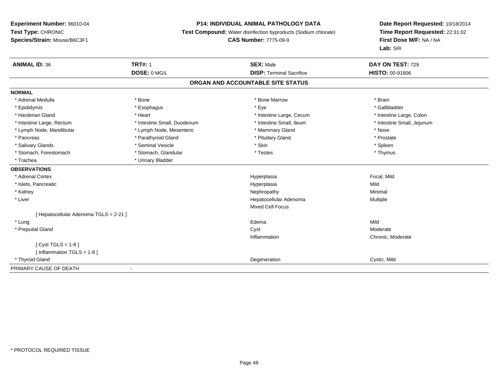### **P14: INDIVIDUAL ANIMAL PATHOLOGY DATA**

**Test Compound:** Water disinfection byproducts (Sodium chlorate)

**CAS Number:** 7775-09-9

| <b>ANIMAL ID: 36</b>                 | <b>TRT#: 1</b>              | <b>SEX: Male</b>                | DAY ON TEST: 729           |  |  |  |
|--------------------------------------|-----------------------------|---------------------------------|----------------------------|--|--|--|
|                                      | DOSE: 0 MG/L                | <b>DISP: Terminal Sacrifice</b> | <b>HISTO: 00-91806</b>     |  |  |  |
| ORGAN AND ACCOUNTABLE SITE STATUS    |                             |                                 |                            |  |  |  |
| <b>NORMAL</b>                        |                             |                                 |                            |  |  |  |
| * Adrenal Medulla                    | * Bone                      | * Bone Marrow                   | * Brain                    |  |  |  |
| * Epididymis                         | * Esophagus                 | * Eye                           | * Gallbladder              |  |  |  |
| * Harderian Gland                    | * Heart                     | * Intestine Large, Cecum        | * Intestine Large, Colon   |  |  |  |
| * Intestine Large, Rectum            | * Intestine Small, Duodenum | * Intestine Small, Ileum        | * Intestine Small, Jejunum |  |  |  |
| * Lymph Node, Mandibular             | * Lymph Node, Mesenteric    | * Mammary Gland                 | * Nose                     |  |  |  |
| * Pancreas                           | * Parathyroid Gland         | * Pituitary Gland               | * Prostate                 |  |  |  |
| * Salivary Glands                    | * Seminal Vesicle           | * Skin                          | * Spleen                   |  |  |  |
| * Stomach, Forestomach               | * Stomach, Glandular        | * Testes                        | * Thymus                   |  |  |  |
| * Trachea                            | * Urinary Bladder           |                                 |                            |  |  |  |
| <b>OBSERVATIONS</b>                  |                             |                                 |                            |  |  |  |
| * Adrenal Cortex                     |                             | Hyperplasia                     | Focal, Mild                |  |  |  |
| * Islets, Pancreatic                 |                             | Hyperplasia                     | Mild                       |  |  |  |
| * Kidney                             |                             | Nephropathy                     | Minimal                    |  |  |  |
| * Liver                              |                             | Hepatocellular Adenoma          | Multiple                   |  |  |  |
|                                      |                             | <b>Mixed Cell Focus</b>         |                            |  |  |  |
| [Hepatocellular Adenoma TGLS = 2-21] |                             |                                 |                            |  |  |  |
| * Lung                               |                             | Edema                           | Mild                       |  |  |  |
| * Preputial Gland                    |                             | Cyst                            | Moderate                   |  |  |  |
|                                      |                             | Inflammation                    | Chronic, Moderate          |  |  |  |
| [Cyst TGLS = 1-8]                    |                             |                                 |                            |  |  |  |
| [Inflammation TGLS = $1-8$ ]         |                             |                                 |                            |  |  |  |
| * Thyroid Gland                      |                             | Degeneration                    | Cystic, Mild               |  |  |  |
| PRIMARY CAUSE OF DEATH               | $\blacksquare$              |                                 |                            |  |  |  |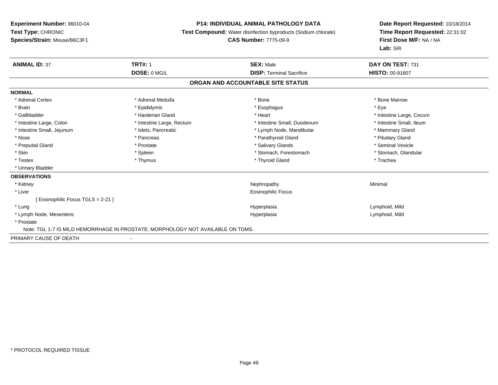### **P14: INDIVIDUAL ANIMAL PATHOLOGY DATA**

**Test Compound:** Water disinfection byproducts (Sodium chlorate)

## **CAS Number:** 7775-09-9

| <b>ANIMAL ID: 37</b>               | <b>TRT#: 1</b>                                                                  | <b>SEX: Male</b>                  | DAY ON TEST: 731         |
|------------------------------------|---------------------------------------------------------------------------------|-----------------------------------|--------------------------|
|                                    | DOSE: 0 MG/L                                                                    | <b>DISP: Terminal Sacrifice</b>   | <b>HISTO: 00-91807</b>   |
|                                    |                                                                                 | ORGAN AND ACCOUNTABLE SITE STATUS |                          |
| <b>NORMAL</b>                      |                                                                                 |                                   |                          |
| * Adrenal Cortex                   | * Adrenal Medulla                                                               | * Bone                            | * Bone Marrow            |
| * Brain                            | * Epididymis                                                                    | * Esophagus                       | * Eye                    |
| * Gallbladder                      | * Harderian Gland                                                               | * Heart                           | * Intestine Large, Cecum |
| * Intestine Large, Colon           | * Intestine Large, Rectum                                                       | * Intestine Small, Duodenum       | * Intestine Small, Ileum |
| * Intestine Small, Jejunum         | * Islets, Pancreatic                                                            | * Lymph Node, Mandibular          | * Mammary Gland          |
| * Nose                             | * Pancreas                                                                      | * Parathyroid Gland               | * Pituitary Gland        |
| * Preputial Gland                  | * Prostate                                                                      | * Salivary Glands                 | * Seminal Vesicle        |
| * Skin                             | * Spleen                                                                        | * Stomach, Forestomach            | * Stomach, Glandular     |
| * Testes                           | * Thymus                                                                        | * Thyroid Gland                   | * Trachea                |
| * Urinary Bladder                  |                                                                                 |                                   |                          |
| <b>OBSERVATIONS</b>                |                                                                                 |                                   |                          |
| * Kidney                           |                                                                                 | Nephropathy                       | Minimal                  |
| * Liver                            |                                                                                 | Eosinophilic Focus                |                          |
| [ Eosinophilic Focus TGLS = 2-21 ] |                                                                                 |                                   |                          |
| * Lung                             |                                                                                 | Hyperplasia                       | Lymphoid, Mild           |
| * Lymph Node, Mesenteric           |                                                                                 | Hyperplasia                       | Lymphoid, Mild           |
| * Prostate                         |                                                                                 |                                   |                          |
|                                    | Note: TGL 1-7 IS MILD HEMORRHAGE IN PROSTATE; MORPHOLOGY NOT AVAILABLE ON TDMS. |                                   |                          |
| PRIMARY CAUSE OF DEATH             |                                                                                 |                                   |                          |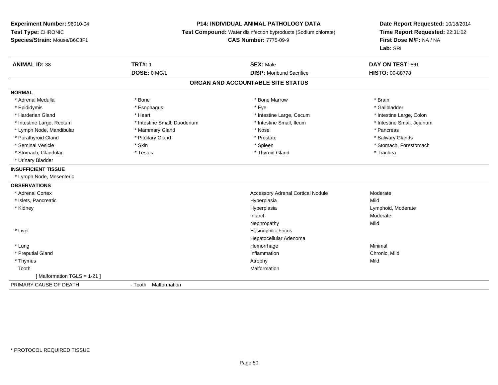### **P14: INDIVIDUAL ANIMAL PATHOLOGY DATA**

**Test Compound:** Water disinfection byproducts (Sodium chlorate)

**CAS Number:** 7775-09-9

| <b>ANIMAL ID: 38</b>       | <b>TRT#: 1</b>              | <b>SEX: Male</b>                         | DAY ON TEST: 561           |
|----------------------------|-----------------------------|------------------------------------------|----------------------------|
|                            | DOSE: 0 MG/L                | <b>DISP:</b> Moribund Sacrifice          | <b>HISTO: 00-88778</b>     |
|                            |                             | ORGAN AND ACCOUNTABLE SITE STATUS        |                            |
| <b>NORMAL</b>              |                             |                                          |                            |
| * Adrenal Medulla          | * Bone                      | * Bone Marrow                            | * Brain                    |
| * Epididymis               | * Esophagus                 | * Eye                                    | * Gallbladder              |
| * Harderian Gland          | * Heart                     | * Intestine Large, Cecum                 | * Intestine Large, Colon   |
| * Intestine Large, Rectum  | * Intestine Small, Duodenum | * Intestine Small, Ileum                 | * Intestine Small, Jejunum |
| * Lymph Node, Mandibular   | * Mammary Gland             | * Nose                                   | * Pancreas                 |
| * Parathyroid Gland        | * Pituitary Gland           | * Prostate                               | * Salivary Glands          |
| * Seminal Vesicle          | * Skin                      | * Spleen                                 | * Stomach, Forestomach     |
| * Stomach, Glandular       | * Testes                    | * Thyroid Gland                          | * Trachea                  |
| * Urinary Bladder          |                             |                                          |                            |
| <b>INSUFFICIENT TISSUE</b> |                             |                                          |                            |
| * Lymph Node, Mesenteric   |                             |                                          |                            |
| <b>OBSERVATIONS</b>        |                             |                                          |                            |
| * Adrenal Cortex           |                             | <b>Accessory Adrenal Cortical Nodule</b> | Moderate                   |
| * Islets, Pancreatic       |                             | Hyperplasia                              | Mild                       |
| * Kidney                   |                             | Hyperplasia                              | Lymphoid, Moderate         |
|                            |                             | Infarct                                  | Moderate                   |
|                            |                             | Nephropathy                              | Mild                       |
| * Liver                    |                             | <b>Eosinophilic Focus</b>                |                            |
|                            |                             | Hepatocellular Adenoma                   |                            |
| * Lung                     |                             | Hemorrhage                               | Minimal                    |
| * Preputial Gland          |                             | Inflammation                             | Chronic, Mild              |
| * Thymus                   |                             | Atrophy                                  | Mild                       |
| Tooth                      |                             | Malformation                             |                            |
| [Malformation TGLS = 1-21] |                             |                                          |                            |
| PRIMARY CAUSE OF DEATH     | - Tooth Malformation        |                                          |                            |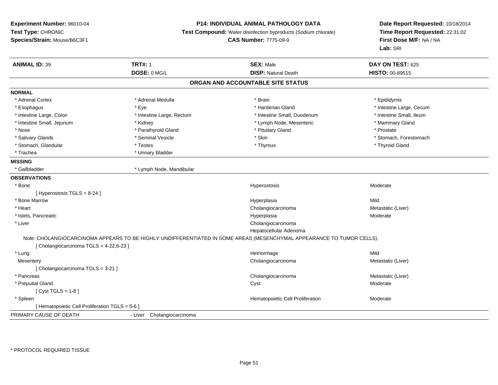### **P14: INDIVIDUAL ANIMAL PATHOLOGY DATA**

**Test Compound:** Water disinfection byproducts (Sodium chlorate)

**CAS Number:** 7775-09-9

| <b>ANIMAL ID: 39</b>                            | <b>TRT#: 1</b>             | <b>SEX: Male</b>                                                                                                      | DAY ON TEST: 625         |  |
|-------------------------------------------------|----------------------------|-----------------------------------------------------------------------------------------------------------------------|--------------------------|--|
|                                                 | DOSE: 0 MG/L               | <b>DISP: Natural Death</b>                                                                                            | <b>HISTO: 00-89515</b>   |  |
|                                                 |                            | ORGAN AND ACCOUNTABLE SITE STATUS                                                                                     |                          |  |
| <b>NORMAL</b>                                   |                            |                                                                                                                       |                          |  |
| * Adrenal Cortex                                | * Adrenal Medulla          | * Brain                                                                                                               | * Epididymis             |  |
| * Esophagus                                     | * Eye                      | * Harderian Gland                                                                                                     | * Intestine Large, Cecum |  |
| * Intestine Large, Colon                        | * Intestine Large, Rectum  | * Intestine Small, Duodenum                                                                                           | * Intestine Small, Ileum |  |
| * Intestine Small, Jejunum                      | * Kidney                   | * Lymph Node, Mesenteric                                                                                              | * Mammary Gland          |  |
| * Nose                                          | * Parathyroid Gland        | * Pituitary Gland                                                                                                     | * Prostate               |  |
| * Salivary Glands                               | * Seminal Vesicle          | * Skin                                                                                                                | * Stomach, Forestomach   |  |
| * Stomach, Glandular                            | * Testes                   | * Thymus                                                                                                              | * Thyroid Gland          |  |
| * Trachea                                       | * Urinary Bladder          |                                                                                                                       |                          |  |
| <b>MISSING</b>                                  |                            |                                                                                                                       |                          |  |
| * Gallbladder                                   | * Lymph Node, Mandibular   |                                                                                                                       |                          |  |
| <b>OBSERVATIONS</b>                             |                            |                                                                                                                       |                          |  |
| * Bone                                          |                            | Hyperostosis                                                                                                          | Moderate                 |  |
| [Hyperostosis TGLS = $8-24$ ]                   |                            |                                                                                                                       |                          |  |
| * Bone Marrow                                   |                            | Hyperplasia                                                                                                           | Mild                     |  |
| * Heart                                         |                            | Cholangiocarcinoma                                                                                                    | Metastatic (Liver)       |  |
| * Islets, Pancreatic                            |                            | Hyperplasia                                                                                                           | Moderate                 |  |
| * Liver                                         |                            | Cholangiocarcinoma                                                                                                    |                          |  |
|                                                 |                            | Hepatocellular Adenoma                                                                                                |                          |  |
|                                                 |                            | Note: CHOLANGIOCARCINOMA APPEARS TO BE HIGHLY UNDIFFERENTIATED IN SOME AREAS (MESENCHYMAL APPEARANCE TO TUMOR CELLS). |                          |  |
| [Cholangiocarcinoma TGLS = 4-22,6-23]           |                            |                                                                                                                       |                          |  |
| * Lung                                          |                            | Hemorrhage                                                                                                            | Mild                     |  |
| Mesentery                                       |                            | Cholangiocarcinoma                                                                                                    | Metastatic (Liver)       |  |
| [ Cholangiocarcinoma TGLS = 3-21 ]              |                            |                                                                                                                       |                          |  |
| * Pancreas                                      |                            | Cholangiocarcinoma                                                                                                    | Metastatic (Liver)       |  |
| * Preputial Gland                               |                            | Cyst                                                                                                                  | Moderate                 |  |
| [Cyst TGLS = $1-8$ ]                            |                            |                                                                                                                       |                          |  |
| * Spleen                                        |                            | Hematopoietic Cell Proliferation                                                                                      | Moderate                 |  |
| [ Hematopoietic Cell Proliferation TGLS = 5-6 ] |                            |                                                                                                                       |                          |  |
| PRIMARY CAUSE OF DEATH                          | - Liver Cholangiocarcinoma |                                                                                                                       |                          |  |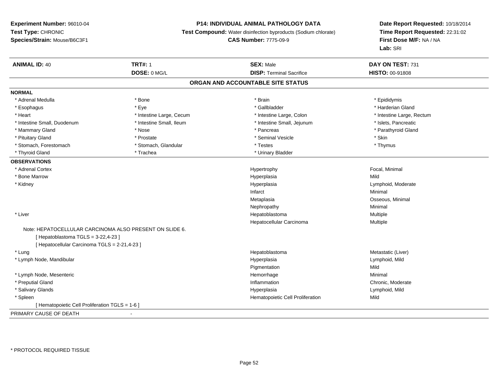### **P14: INDIVIDUAL ANIMAL PATHOLOGY DATA**

**Test Compound:** Water disinfection byproducts (Sodium chlorate)

## **CAS Number:** 7775-09-9

| <b>ANIMAL ID: 40</b>                                                                         | <b>TRT#: 1</b>           | <b>SEX: Male</b>                  | DAY ON TEST: 731          |
|----------------------------------------------------------------------------------------------|--------------------------|-----------------------------------|---------------------------|
|                                                                                              | DOSE: 0 MG/L             | <b>DISP: Terminal Sacrifice</b>   | HISTO: 00-91808           |
|                                                                                              |                          | ORGAN AND ACCOUNTABLE SITE STATUS |                           |
| <b>NORMAL</b>                                                                                |                          |                                   |                           |
| * Adrenal Medulla                                                                            | * Bone                   | * Brain                           | * Epididymis              |
| * Esophagus                                                                                  | * Eye                    | * Gallbladder                     | * Harderian Gland         |
| * Heart                                                                                      | * Intestine Large, Cecum | * Intestine Large, Colon          | * Intestine Large, Rectum |
| * Intestine Small, Duodenum                                                                  | * Intestine Small, Ileum | * Intestine Small, Jejunum        | * Islets, Pancreatic      |
| * Mammary Gland                                                                              | * Nose                   | * Pancreas                        | * Parathyroid Gland       |
| * Pituitary Gland                                                                            | * Prostate               | * Seminal Vesicle                 | * Skin                    |
| * Stomach, Forestomach                                                                       | * Stomach, Glandular     | * Testes                          | * Thymus                  |
| * Thyroid Gland                                                                              | * Trachea                | * Urinary Bladder                 |                           |
| <b>OBSERVATIONS</b>                                                                          |                          |                                   |                           |
| * Adrenal Cortex                                                                             |                          | Hypertrophy                       | Focal, Minimal            |
| * Bone Marrow                                                                                |                          | Hyperplasia                       | Mild                      |
| * Kidney                                                                                     |                          | Hyperplasia                       | Lymphoid, Moderate        |
|                                                                                              |                          | Infarct                           | Minimal                   |
|                                                                                              |                          | Metaplasia                        | Osseous, Minimal          |
|                                                                                              |                          | Nephropathy                       | Minimal                   |
| * Liver                                                                                      |                          | Hepatoblastoma                    | Multiple                  |
|                                                                                              |                          | Hepatocellular Carcinoma          | Multiple                  |
| Note: HEPATOCELLULAR CARCINOMA ALSO PRESENT ON SLIDE 6.<br>[Hepatoblastoma TGLS = 3-22,4-23] |                          |                                   |                           |
| [ Hepatocellular Carcinoma TGLS = 2-21,4-23 ]                                                |                          |                                   |                           |
| * Lung                                                                                       |                          | Hepatoblastoma                    | Metastatic (Liver)        |
| * Lymph Node, Mandibular                                                                     |                          | Hyperplasia                       | Lymphoid, Mild            |
|                                                                                              |                          | Pigmentation                      | Mild                      |
| * Lymph Node, Mesenteric                                                                     |                          | Hemorrhage                        | Minimal                   |
| * Preputial Gland                                                                            |                          | Inflammation                      | Chronic, Moderate         |
| * Salivary Glands                                                                            |                          | Hyperplasia                       | Lymphoid, Mild            |
| * Spleen                                                                                     |                          | Hematopoietic Cell Proliferation  | Mild                      |
| [ Hematopoietic Cell Proliferation TGLS = 1-6 ]                                              |                          |                                   |                           |
| PRIMARY CAUSE OF DEATH                                                                       |                          |                                   |                           |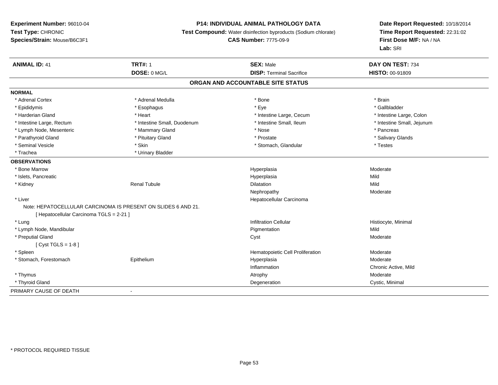## **P14: INDIVIDUAL ANIMAL PATHOLOGY DATA**

**Test Compound:** Water disinfection byproducts (Sodium chlorate)

```
CAS Number: 7775-09-9
```

| <b>ANIMAL ID: 41</b>                                          | <b>TRT#: 1</b>              | <b>SEX: Male</b>                  | DAY ON TEST: 734           |  |
|---------------------------------------------------------------|-----------------------------|-----------------------------------|----------------------------|--|
|                                                               | DOSE: 0 MG/L                | <b>DISP: Terminal Sacrifice</b>   | <b>HISTO: 00-91809</b>     |  |
|                                                               |                             | ORGAN AND ACCOUNTABLE SITE STATUS |                            |  |
| <b>NORMAL</b>                                                 |                             |                                   |                            |  |
| * Adrenal Cortex                                              | * Adrenal Medulla           | * Bone                            | * Brain                    |  |
| * Epididymis                                                  | * Esophagus                 | * Eye                             | * Gallbladder              |  |
| * Harderian Gland                                             | * Heart                     | * Intestine Large, Cecum          | * Intestine Large, Colon   |  |
| * Intestine Large, Rectum                                     | * Intestine Small, Duodenum | * Intestine Small, Ileum          | * Intestine Small, Jejunum |  |
| * Lymph Node, Mesenteric                                      | * Mammary Gland             | * Nose                            | * Pancreas                 |  |
| * Parathyroid Gland                                           | * Pituitary Gland           | * Prostate                        | * Salivary Glands          |  |
| * Seminal Vesicle                                             | * Skin                      | * Stomach, Glandular              | * Testes                   |  |
| * Trachea                                                     | * Urinary Bladder           |                                   |                            |  |
| <b>OBSERVATIONS</b>                                           |                             |                                   |                            |  |
| * Bone Marrow                                                 |                             | Hyperplasia                       | Moderate                   |  |
| * Islets, Pancreatic                                          |                             | Hyperplasia                       | Mild                       |  |
| * Kidney                                                      | <b>Renal Tubule</b>         | Dilatation                        | Mild                       |  |
|                                                               |                             | Nephropathy                       | Moderate                   |  |
| * Liver                                                       |                             | Hepatocellular Carcinoma          |                            |  |
| Note: HEPATOCELLULAR CARCINOMA IS PRESENT ON SLIDES 6 AND 21. |                             |                                   |                            |  |
| [ Hepatocellular Carcinoma TGLS = 2-21 ]                      |                             |                                   |                            |  |
| * Lung                                                        |                             | <b>Infiltration Cellular</b>      | Histiocyte, Minimal        |  |
| * Lymph Node, Mandibular                                      |                             | Pigmentation                      | Mild                       |  |
| * Preputial Gland                                             |                             | Cyst                              | Moderate                   |  |
| [ $Cyst TGLS = 1-8$ ]                                         |                             |                                   |                            |  |
| * Spleen                                                      |                             | Hematopoietic Cell Proliferation  | Moderate                   |  |
| * Stomach, Forestomach                                        | Epithelium                  | Hyperplasia                       | Moderate                   |  |
|                                                               |                             | Inflammation                      | Chronic Active, Mild       |  |
| * Thymus                                                      |                             | Atrophy                           | Moderate                   |  |
| * Thyroid Gland                                               |                             | Degeneration                      | Cystic, Minimal            |  |
| PRIMARY CAUSE OF DEATH                                        |                             |                                   |                            |  |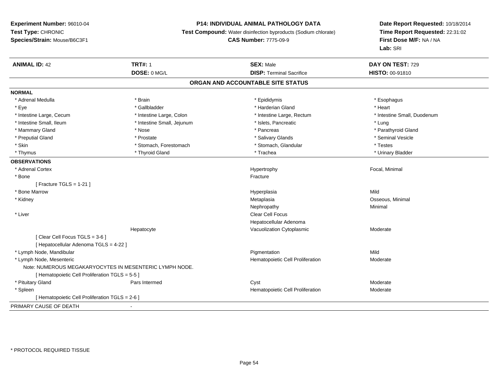## **P14: INDIVIDUAL ANIMAL PATHOLOGY DATA**

**Test Compound:** Water disinfection byproducts (Sodium chlorate)

**CAS Number:** 7775-09-9

| <b>ANIMAL ID: 42</b>                                    | <b>TRT#: 1</b>             | <b>SEX: Male</b>                  | DAY ON TEST: 729            |
|---------------------------------------------------------|----------------------------|-----------------------------------|-----------------------------|
|                                                         | DOSE: 0 MG/L               | <b>DISP: Terminal Sacrifice</b>   | <b>HISTO: 00-91810</b>      |
|                                                         |                            | ORGAN AND ACCOUNTABLE SITE STATUS |                             |
| <b>NORMAL</b>                                           |                            |                                   |                             |
| * Adrenal Medulla                                       | * Brain                    | * Epididymis                      | * Esophagus                 |
| * Eye                                                   | * Gallbladder              | * Harderian Gland                 | * Heart                     |
| * Intestine Large, Cecum                                | * Intestine Large, Colon   | * Intestine Large, Rectum         | * Intestine Small, Duodenum |
| * Intestine Small, Ileum                                | * Intestine Small, Jejunum | * Islets, Pancreatic              | * Lung                      |
| * Mammary Gland                                         | * Nose                     | * Pancreas                        | * Parathyroid Gland         |
| * Preputial Gland                                       | * Prostate                 | * Salivary Glands                 | * Seminal Vesicle           |
| * Skin                                                  | * Stomach, Forestomach     | * Stomach, Glandular              | * Testes                    |
| * Thymus                                                | * Thyroid Gland            | * Trachea                         | * Urinary Bladder           |
| <b>OBSERVATIONS</b>                                     |                            |                                   |                             |
| * Adrenal Cortex                                        |                            | Hypertrophy                       | Focal, Minimal              |
| * Bone                                                  |                            | Fracture                          |                             |
| [ Fracture TGLS = $1-21$ ]                              |                            |                                   |                             |
| * Bone Marrow                                           |                            | Hyperplasia                       | Mild                        |
| * Kidney                                                |                            | Metaplasia                        | Osseous, Minimal            |
|                                                         |                            | Nephropathy                       | Minimal                     |
| * Liver                                                 |                            | <b>Clear Cell Focus</b>           |                             |
|                                                         |                            | Hepatocellular Adenoma            |                             |
|                                                         | Hepatocyte                 | Vacuolization Cytoplasmic         | Moderate                    |
| [Clear Cell Focus TGLS = 3-6]                           |                            |                                   |                             |
| [ Hepatocellular Adenoma TGLS = 4-22 ]                  |                            |                                   |                             |
| * Lymph Node, Mandibular                                |                            | Pigmentation                      | Mild                        |
| * Lymph Node, Mesenteric                                |                            | Hematopoietic Cell Proliferation  | Moderate                    |
| Note: NUMEROUS MEGAKARYOCYTES IN MESENTERIC LYMPH NODE. |                            |                                   |                             |
| [ Hematopoietic Cell Proliferation TGLS = 5-5 ]         |                            |                                   |                             |
| * Pituitary Gland                                       | Pars Intermed              | Cyst                              | Moderate                    |
| * Spleen                                                |                            | Hematopoietic Cell Proliferation  | Moderate                    |
| [ Hematopoietic Cell Proliferation TGLS = 2-6 ]         |                            |                                   |                             |
| PRIMARY CAUSE OF DEATH                                  | $\blacksquare$             |                                   |                             |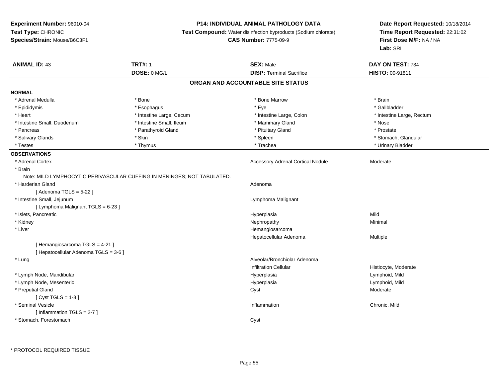## **P14: INDIVIDUAL ANIMAL PATHOLOGY DATA**

**Test Compound:** Water disinfection byproducts (Sodium chlorate)

**CAS Number:** 7775-09-9

| <b>ANIMAL ID: 43</b>                  | <b>TRT#: 1</b>                                                          | <b>SEX: Male</b>                         | DAY ON TEST: 734          |
|---------------------------------------|-------------------------------------------------------------------------|------------------------------------------|---------------------------|
|                                       | DOSE: 0 MG/L                                                            | <b>DISP: Terminal Sacrifice</b>          | HISTO: 00-91811           |
|                                       |                                                                         | ORGAN AND ACCOUNTABLE SITE STATUS        |                           |
| <b>NORMAL</b>                         |                                                                         |                                          |                           |
| * Adrenal Medulla                     | * Bone                                                                  | * Bone Marrow                            | * Brain                   |
| * Epididymis                          | * Esophagus                                                             | * Eye                                    | * Gallbladder             |
| * Heart                               | * Intestine Large, Cecum                                                | * Intestine Large, Colon                 | * Intestine Large, Rectum |
| * Intestine Small, Duodenum           | * Intestine Small, Ileum                                                | * Mammary Gland                          | * Nose                    |
| * Pancreas                            | * Parathyroid Gland                                                     | * Pituitary Gland                        | * Prostate                |
| * Salivary Glands                     | * Skin                                                                  | * Spleen                                 | * Stomach, Glandular      |
| * Testes                              | * Thymus                                                                | * Trachea                                | * Urinary Bladder         |
| <b>OBSERVATIONS</b>                   |                                                                         |                                          |                           |
| * Adrenal Cortex                      |                                                                         | <b>Accessory Adrenal Cortical Nodule</b> | Moderate                  |
| * Brain                               |                                                                         |                                          |                           |
|                                       | Note: MILD LYMPHOCYTIC PERIVASCULAR CUFFING IN MENINGES; NOT TABULATED. |                                          |                           |
| * Harderian Gland                     |                                                                         | Adenoma                                  |                           |
| [Adenoma TGLS = $5-22$ ]              |                                                                         |                                          |                           |
| * Intestine Small, Jejunum            |                                                                         | Lymphoma Malignant                       |                           |
| [ Lymphoma Malignant TGLS = 6-23 ]    |                                                                         |                                          |                           |
| * Islets, Pancreatic                  |                                                                         | Hyperplasia                              | Mild                      |
| * Kidney                              |                                                                         | Nephropathy                              | Minimal                   |
| * Liver                               |                                                                         | Hemangiosarcoma                          |                           |
|                                       |                                                                         | Hepatocellular Adenoma                   | Multiple                  |
| [Hemangiosarcoma TGLS = 4-21]         |                                                                         |                                          |                           |
| [ Hepatocellular Adenoma TGLS = 3-6 ] |                                                                         |                                          |                           |
| * Lung                                |                                                                         | Alveolar/Bronchiolar Adenoma             |                           |
|                                       |                                                                         | <b>Infiltration Cellular</b>             | Histiocyte, Moderate      |
| * Lymph Node, Mandibular              |                                                                         | Hyperplasia                              | Lymphoid, Mild            |
| * Lymph Node, Mesenteric              |                                                                         | Hyperplasia                              | Lymphoid, Mild            |
| * Preputial Gland                     |                                                                         | Cyst                                     | Moderate                  |
| [ $Cyst TGLS = 1-8$ ]                 |                                                                         |                                          |                           |
| * Seminal Vesicle                     |                                                                         | Inflammation                             | Chronic, Mild             |
| [Inflammation TGLS = 2-7]             |                                                                         |                                          |                           |
| * Stomach, Forestomach                |                                                                         | Cyst                                     |                           |
|                                       |                                                                         |                                          |                           |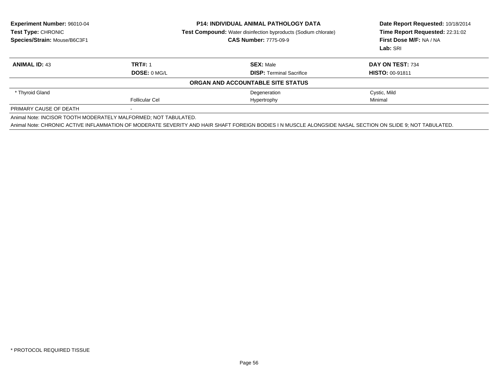| <b>Experiment Number: 96010-04</b><br>Test Type: CHRONIC                                  | <b>P14: INDIVIDUAL ANIMAL PATHOLOGY DATA</b><br><b>Test Compound:</b> Water disinfection byproducts (Sodium chlorate) |                                                                                                                                                           | Date Report Requested: 10/18/2014<br>Time Report Requested: 22:31:02 |  |
|-------------------------------------------------------------------------------------------|-----------------------------------------------------------------------------------------------------------------------|-----------------------------------------------------------------------------------------------------------------------------------------------------------|----------------------------------------------------------------------|--|
| Species/Strain: Mouse/B6C3F1                                                              |                                                                                                                       | <b>CAS Number: 7775-09-9</b>                                                                                                                              | First Dose M/F: NA / NA<br>Lab: SRI                                  |  |
|                                                                                           |                                                                                                                       |                                                                                                                                                           |                                                                      |  |
| <b>ANIMAL ID: 43</b>                                                                      | <b>TRT#: 1</b>                                                                                                        | <b>SEX: Male</b>                                                                                                                                          | DAY ON TEST: 734                                                     |  |
|                                                                                           | DOSE: 0 MG/L                                                                                                          | <b>DISP: Terminal Sacrifice</b>                                                                                                                           | <b>HISTO: 00-91811</b>                                               |  |
|                                                                                           |                                                                                                                       | ORGAN AND ACCOUNTABLE SITE STATUS                                                                                                                         |                                                                      |  |
| * Thyroid Gland                                                                           |                                                                                                                       | Degeneration                                                                                                                                              | Cystic, Mild                                                         |  |
|                                                                                           | <b>Follicular Cel</b>                                                                                                 | Hypertrophy                                                                                                                                               | Minimal                                                              |  |
|                                                                                           |                                                                                                                       |                                                                                                                                                           |                                                                      |  |
| PRIMARY CAUSE OF DEATH<br>Animal Note: INCISOR TOOTH MODERATELY MALFORMED; NOT TABULATED. |                                                                                                                       | Animal Note: CHRONIC ACTIVE INFLAMMATION OF MODERATE SEVERITY AND HAIR SHAFT FOREIGN BODIES I N MUSCLE ALONGSIDE NASAL SECTION ON SLIDE 9: NOT TABULATED. |                                                                      |  |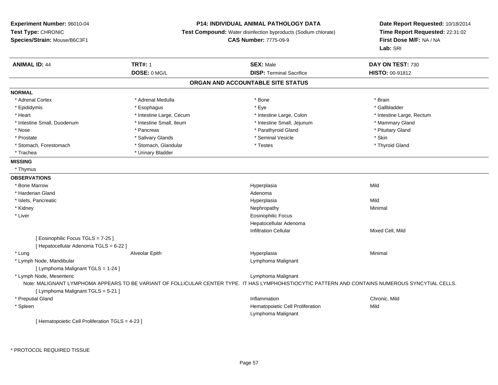## **P14: INDIVIDUAL ANIMAL PATHOLOGY DATA**

**Test Compound:** Water disinfection byproducts (Sodium chlorate)

**CAS Number:** 7775-09-9

**Date Report Requested:** 10/18/2014 **Time Report Requested:** 22:31:02**First Dose M/F:** NA / NA**Lab:** SRI

| <b>ANIMAL ID: 44</b>                             | <b>TRT#: 1</b>           | <b>SEX: Male</b>                                                                                                                                  | DAY ON TEST: 730          |
|--------------------------------------------------|--------------------------|---------------------------------------------------------------------------------------------------------------------------------------------------|---------------------------|
|                                                  | DOSE: 0 MG/L             | <b>DISP: Terminal Sacrifice</b>                                                                                                                   | <b>HISTO: 00-91812</b>    |
|                                                  |                          | ORGAN AND ACCOUNTABLE SITE STATUS                                                                                                                 |                           |
| <b>NORMAL</b>                                    |                          |                                                                                                                                                   |                           |
| * Adrenal Cortex                                 | * Adrenal Medulla        | * Bone                                                                                                                                            | * Brain                   |
| * Epididymis                                     | * Esophagus              | * Eye                                                                                                                                             | * Gallbladder             |
| * Heart                                          | * Intestine Large, Cecum | * Intestine Large, Colon                                                                                                                          | * Intestine Large, Rectum |
| * Intestine Small, Duodenum                      | * Intestine Small, Ileum | * Intestine Small, Jejunum                                                                                                                        | * Mammary Gland           |
| * Nose                                           | * Pancreas               | * Parathyroid Gland                                                                                                                               | * Pituitary Gland         |
| * Prostate                                       | * Salivary Glands        | * Seminal Vesicle                                                                                                                                 | * Skin                    |
| * Stomach, Forestomach                           | * Stomach, Glandular     | * Testes                                                                                                                                          | * Thyroid Gland           |
| * Trachea                                        | * Urinary Bladder        |                                                                                                                                                   |                           |
| <b>MISSING</b>                                   |                          |                                                                                                                                                   |                           |
| * Thymus                                         |                          |                                                                                                                                                   |                           |
| <b>OBSERVATIONS</b>                              |                          |                                                                                                                                                   |                           |
| * Bone Marrow                                    |                          | Hyperplasia                                                                                                                                       | Mild                      |
| * Harderian Gland                                |                          | Adenoma                                                                                                                                           |                           |
| * Islets, Pancreatic                             |                          | Hyperplasia                                                                                                                                       | Mild                      |
| * Kidney                                         |                          | Nephropathy                                                                                                                                       | Minimal                   |
| * Liver                                          |                          | <b>Eosinophilic Focus</b>                                                                                                                         |                           |
|                                                  |                          | Hepatocellular Adenoma                                                                                                                            |                           |
|                                                  |                          | <b>Infiltration Cellular</b>                                                                                                                      | Mixed Cell, Mild          |
| [ Eosinophilic Focus TGLS = 7-25 ]               |                          |                                                                                                                                                   |                           |
| [ Hepatocellular Adenoma TGLS = 6-22 ]           |                          |                                                                                                                                                   |                           |
| * Lung                                           | Alveolar Epith           | Hyperplasia                                                                                                                                       | Minimal                   |
| * Lymph Node, Mandibular                         |                          | Lymphoma Malignant                                                                                                                                |                           |
| [ Lymphoma Malignant TGLS = 1-24 ]               |                          |                                                                                                                                                   |                           |
| * Lymph Node, Mesenteric                         |                          | Lymphoma Malignant                                                                                                                                |                           |
|                                                  |                          | Note: MALIGNANT LYMPHOMA APPEARS TO BE VARIANT OF FOLLICULAR CENTER TYPE. IT HAS LYMPHOHISTIOCYTIC PATTERN AND CONTAINS NUMEROUS SYNCYTIAL CELLS. |                           |
| [ Lymphoma Malignant TGLS = 5-21 ]               |                          |                                                                                                                                                   |                           |
| * Preputial Gland                                |                          | Inflammation                                                                                                                                      | Chronic, Mild             |
| * Spleen                                         |                          | Hematopoietic Cell Proliferation                                                                                                                  | Mild                      |
|                                                  |                          | Lymphoma Malignant                                                                                                                                |                           |
| [ Hematopoietic Cell Proliferation TGLS = 4-23 ] |                          |                                                                                                                                                   |                           |

\* PROTOCOL REQUIRED TISSUE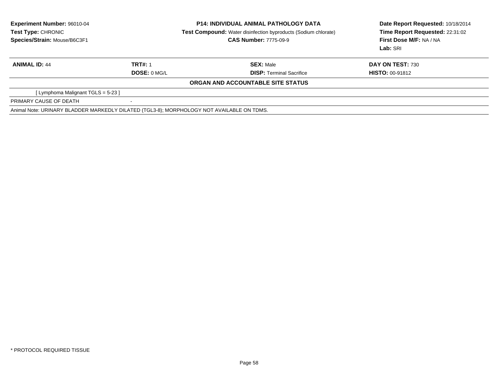| <b>Experiment Number: 96010-04</b><br>Test Type: CHRONIC<br>Species/Strain: Mouse/B6C3F1  |                                | <b>P14: INDIVIDUAL ANIMAL PATHOLOGY DATA</b><br><b>Test Compound:</b> Water disinfection byproducts (Sodium chlorate)<br><b>CAS Number: 7775-09-9</b> | Date Report Requested: 10/18/2014<br>Time Report Requested: 22:31:02<br>First Dose M/F: NA / NA<br>Lab: SRI |
|-------------------------------------------------------------------------------------------|--------------------------------|-------------------------------------------------------------------------------------------------------------------------------------------------------|-------------------------------------------------------------------------------------------------------------|
| <b>ANIMAL ID: 44</b>                                                                      | <b>TRT#: 1</b><br>DOSE: 0 MG/L | <b>SEX: Male</b><br><b>DISP:</b> Terminal Sacrifice                                                                                                   | DAY ON TEST: 730<br><b>HISTO: 00-91812</b>                                                                  |
|                                                                                           |                                | ORGAN AND ACCOUNTABLE SITE STATUS                                                                                                                     |                                                                                                             |
| [Lymphoma Malignant TGLS = 5-23]                                                          |                                |                                                                                                                                                       |                                                                                                             |
| PRIMARY CAUSE OF DEATH                                                                    |                                |                                                                                                                                                       |                                                                                                             |
| Animal Note: URINARY BLADDER MARKEDLY DILATED (TGL3-8); MORPHOLOGY NOT AVAILABLE ON TDMS. |                                |                                                                                                                                                       |                                                                                                             |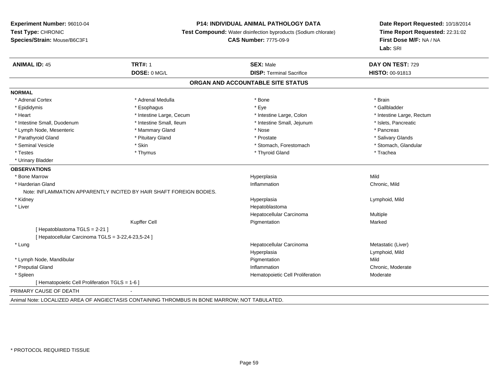#### **P14: INDIVIDUAL ANIMAL PATHOLOGY DATA**

**Test Compound:** Water disinfection byproducts (Sodium chlorate)

**CAS Number:** 7775-09-9

**Date Report Requested:** 10/18/2014**Time Report Requested:** 22:31:02**First Dose M/F:** NA / NA**Lab:** SRI

| <b>ANIMAL ID: 45</b>                             | <b>TRT#: 1</b>                                                      | <b>SEX: Male</b>                  | DAY ON TEST: 729          |
|--------------------------------------------------|---------------------------------------------------------------------|-----------------------------------|---------------------------|
|                                                  | DOSE: 0 MG/L                                                        | <b>DISP: Terminal Sacrifice</b>   | HISTO: 00-91813           |
|                                                  |                                                                     | ORGAN AND ACCOUNTABLE SITE STATUS |                           |
| <b>NORMAL</b>                                    |                                                                     |                                   |                           |
| * Adrenal Cortex                                 | * Adrenal Medulla                                                   | * Bone                            | * Brain                   |
| * Epididymis                                     | * Esophagus                                                         | * Eye                             | * Gallbladder             |
| * Heart                                          | * Intestine Large, Cecum                                            | * Intestine Large, Colon          | * Intestine Large, Rectum |
| * Intestine Small, Duodenum                      | * Intestine Small, Ileum                                            | * Intestine Small, Jejunum        | * Islets, Pancreatic      |
| * Lymph Node, Mesenteric                         | * Mammary Gland                                                     | * Nose                            | * Pancreas                |
| * Parathyroid Gland                              | * Pituitary Gland                                                   | * Prostate                        | * Salivary Glands         |
| * Seminal Vesicle                                | * Skin                                                              | * Stomach, Forestomach            | * Stomach, Glandular      |
| * Testes                                         | * Thymus                                                            | * Thyroid Gland                   | * Trachea                 |
| * Urinary Bladder                                |                                                                     |                                   |                           |
| <b>OBSERVATIONS</b>                              |                                                                     |                                   |                           |
| * Bone Marrow                                    |                                                                     | Hyperplasia                       | Mild                      |
| * Harderian Gland                                |                                                                     | Inflammation                      | Chronic, Mild             |
|                                                  | Note: INFLAMMATION APPARENTLY INCITED BY HAIR SHAFT FOREIGN BODIES. |                                   |                           |
| * Kidney                                         |                                                                     | Hyperplasia                       | Lymphoid, Mild            |
| * Liver                                          |                                                                     | Hepatoblastoma                    |                           |
|                                                  |                                                                     | Hepatocellular Carcinoma          | Multiple                  |
|                                                  | Kupffer Cell                                                        | Pigmentation                      | Marked                    |
| [Hepatoblastoma TGLS = 2-21]                     |                                                                     |                                   |                           |
| Hepatocellular Carcinoma TGLS = 3-22,4-23,5-24 ] |                                                                     |                                   |                           |
| * Lung                                           |                                                                     | Hepatocellular Carcinoma          | Metastatic (Liver)        |
|                                                  |                                                                     | Hyperplasia                       | Lymphoid, Mild            |
| * Lymph Node, Mandibular                         |                                                                     | Pigmentation                      | Mild                      |
| * Preputial Gland                                |                                                                     | Inflammation                      | Chronic, Moderate         |
| * Spleen                                         |                                                                     | Hematopoietic Cell Proliferation  | Moderate                  |
| Hematopoietic Cell Proliferation TGLS = 1-6 ]    |                                                                     |                                   |                           |
| PRIMARY CAUSE OF DEATH                           |                                                                     |                                   |                           |
|                                                  |                                                                     |                                   |                           |

Animal Note: LOCALIZED AREA OF ANGIECTASIS CONTAINING THROMBUS IN BONE MARROW; NOT TABULATED.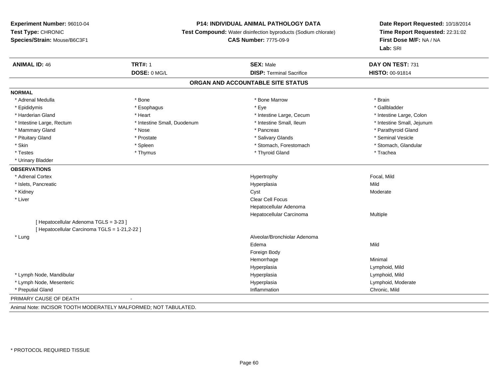#### **P14: INDIVIDUAL ANIMAL PATHOLOGY DATA**

**Test Compound:** Water disinfection byproducts (Sodium chlorate)

**CAS Number:** 7775-09-9

**Date Report Requested:** 10/18/2014**Time Report Requested:** 22:31:02**First Dose M/F:** NA / NA**Lab:** SRI

| <b>ANIMAL ID: 46</b>                          | <b>TRT#: 1</b>                                                     | <b>SEX: Male</b>                  | DAY ON TEST: 731           |
|-----------------------------------------------|--------------------------------------------------------------------|-----------------------------------|----------------------------|
|                                               | DOSE: 0 MG/L                                                       | <b>DISP: Terminal Sacrifice</b>   | <b>HISTO: 00-91814</b>     |
|                                               |                                                                    | ORGAN AND ACCOUNTABLE SITE STATUS |                            |
| <b>NORMAL</b>                                 |                                                                    |                                   |                            |
| * Adrenal Medulla                             | * Bone                                                             | * Bone Marrow                     | * Brain                    |
| * Epididymis                                  | * Esophagus                                                        | * Eye                             | * Gallbladder              |
| * Harderian Gland                             | * Heart                                                            | * Intestine Large, Cecum          | * Intestine Large, Colon   |
| * Intestine Large, Rectum                     | * Intestine Small, Duodenum                                        | * Intestine Small, Ileum          | * Intestine Small, Jejunum |
| * Mammary Gland                               | * Nose                                                             | * Pancreas                        | * Parathyroid Gland        |
| * Pituitary Gland                             | * Prostate                                                         | * Salivary Glands                 | * Seminal Vesicle          |
| * Skin                                        | * Spleen                                                           | * Stomach, Forestomach            | * Stomach, Glandular       |
| * Testes                                      | * Thymus                                                           | * Thyroid Gland                   | * Trachea                  |
| * Urinary Bladder                             |                                                                    |                                   |                            |
| <b>OBSERVATIONS</b>                           |                                                                    |                                   |                            |
| * Adrenal Cortex                              |                                                                    | Hypertrophy                       | Focal, Mild                |
| * Islets, Pancreatic                          |                                                                    | Hyperplasia                       | Mild                       |
| * Kidney                                      |                                                                    | Cyst                              | Moderate                   |
| * Liver                                       |                                                                    | <b>Clear Cell Focus</b>           |                            |
|                                               |                                                                    | Hepatocellular Adenoma            |                            |
|                                               |                                                                    | Hepatocellular Carcinoma          | Multiple                   |
| [Hepatocellular Adenoma TGLS = 3-23]          |                                                                    |                                   |                            |
| [ Hepatocellular Carcinoma TGLS = 1-21,2-22 ] |                                                                    |                                   |                            |
| * Lung                                        |                                                                    | Alveolar/Bronchiolar Adenoma      |                            |
|                                               |                                                                    | Edema                             | Mild                       |
|                                               |                                                                    | Foreign Body                      |                            |
|                                               |                                                                    | Hemorrhage                        | Minimal                    |
|                                               |                                                                    | Hyperplasia                       | Lymphoid, Mild             |
| * Lymph Node, Mandibular                      |                                                                    | Hyperplasia                       | Lymphoid, Mild             |
| * Lymph Node, Mesenteric                      |                                                                    | Hyperplasia                       | Lymphoid, Moderate         |
| * Preputial Gland                             |                                                                    | Inflammation                      | Chronic, Mild              |
| PRIMARY CAUSE OF DEATH                        |                                                                    |                                   |                            |
|                                               | Animal Nata: INCICOD TOOTLI MODED ATELY MALEODMED: NOT TADLIL ATED |                                   |                            |

Animal Note: INCISOR TOOTH MODERATELY MALFORMED; NOT TABULATED.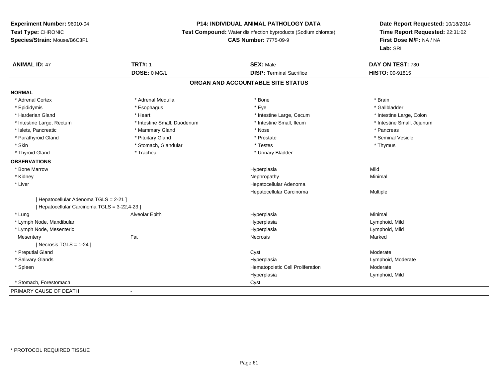## **P14: INDIVIDUAL ANIMAL PATHOLOGY DATA**

**Test Compound:** Water disinfection byproducts (Sodium chlorate)

## **CAS Number:** 7775-09-9

| <b>ANIMAL ID: 47</b>                          | <b>TRT#: 1</b>                    | <b>SEX: Male</b>                 | DAY ON TEST: 730           |  |  |  |  |
|-----------------------------------------------|-----------------------------------|----------------------------------|----------------------------|--|--|--|--|
|                                               | DOSE: 0 MG/L                      | <b>DISP: Terminal Sacrifice</b>  | HISTO: 00-91815            |  |  |  |  |
|                                               | ORGAN AND ACCOUNTABLE SITE STATUS |                                  |                            |  |  |  |  |
| <b>NORMAL</b>                                 |                                   |                                  |                            |  |  |  |  |
| * Adrenal Cortex                              | * Adrenal Medulla                 | * Bone                           | * Brain                    |  |  |  |  |
| * Epididymis                                  | * Esophagus                       | * Eye                            | * Gallbladder              |  |  |  |  |
| * Harderian Gland                             | * Heart                           | * Intestine Large, Cecum         | * Intestine Large, Colon   |  |  |  |  |
| * Intestine Large, Rectum                     | * Intestine Small, Duodenum       | * Intestine Small, Ileum         | * Intestine Small, Jejunum |  |  |  |  |
| * Islets, Pancreatic                          | * Mammary Gland                   | * Nose                           | * Pancreas                 |  |  |  |  |
| * Parathyroid Gland                           | * Pituitary Gland                 | * Prostate                       | * Seminal Vesicle          |  |  |  |  |
| * Skin                                        | * Stomach, Glandular              | * Testes                         | * Thymus                   |  |  |  |  |
| * Thyroid Gland                               | * Trachea                         | * Urinary Bladder                |                            |  |  |  |  |
| <b>OBSERVATIONS</b>                           |                                   |                                  |                            |  |  |  |  |
| * Bone Marrow                                 |                                   | Hyperplasia                      | Mild                       |  |  |  |  |
| * Kidney                                      |                                   | Nephropathy                      | Minimal                    |  |  |  |  |
| * Liver                                       |                                   | Hepatocellular Adenoma           |                            |  |  |  |  |
|                                               |                                   | Hepatocellular Carcinoma         | Multiple                   |  |  |  |  |
| [Hepatocellular Adenoma TGLS = 2-21]          |                                   |                                  |                            |  |  |  |  |
| [ Hepatocellular Carcinoma TGLS = 3-22,4-23 ] |                                   |                                  |                            |  |  |  |  |
| * Lung                                        | Alveolar Epith                    | Hyperplasia                      | Minimal                    |  |  |  |  |
| * Lymph Node, Mandibular                      |                                   | Hyperplasia                      | Lymphoid, Mild             |  |  |  |  |
| * Lymph Node, Mesenteric                      |                                   | Hyperplasia                      | Lymphoid, Mild             |  |  |  |  |
| Mesentery                                     | Fat                               | Necrosis                         | Marked                     |  |  |  |  |
| [ Necrosis TGLS = $1-24$ ]                    |                                   |                                  |                            |  |  |  |  |
| * Preputial Gland                             |                                   | Cyst                             | Moderate                   |  |  |  |  |
| * Salivary Glands                             |                                   | Hyperplasia                      | Lymphoid, Moderate         |  |  |  |  |
| * Spleen                                      |                                   | Hematopoietic Cell Proliferation | Moderate                   |  |  |  |  |
|                                               |                                   | Hyperplasia                      | Lymphoid, Mild             |  |  |  |  |
| * Stomach, Forestomach                        |                                   | Cyst                             |                            |  |  |  |  |
| PRIMARY CAUSE OF DEATH                        | $\overline{\phantom{a}}$          |                                  |                            |  |  |  |  |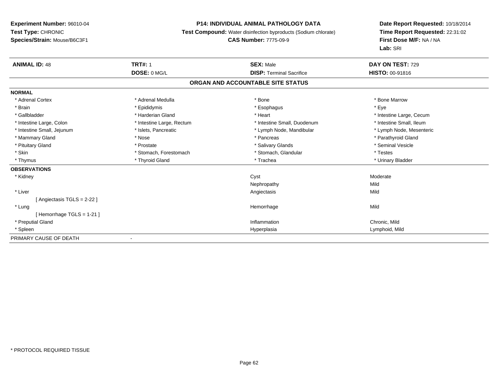### **P14: INDIVIDUAL ANIMAL PATHOLOGY DATA**

**Test Compound:** Water disinfection byproducts (Sodium chlorate)

## **CAS Number:** 7775-09-9

| <b>ANIMAL ID: 48</b>        | <b>TRT#: 1</b>            | <b>SEX: Male</b>                  | DAY ON TEST: 729         |
|-----------------------------|---------------------------|-----------------------------------|--------------------------|
|                             | DOSE: 0 MG/L              | <b>DISP: Terminal Sacrifice</b>   | HISTO: 00-91816          |
|                             |                           | ORGAN AND ACCOUNTABLE SITE STATUS |                          |
| <b>NORMAL</b>               |                           |                                   |                          |
| * Adrenal Cortex            | * Adrenal Medulla         | * Bone                            | * Bone Marrow            |
| * Brain                     | * Epididymis              | * Esophagus                       | * Eye                    |
| * Gallbladder               | * Harderian Gland         | * Heart                           | * Intestine Large, Cecum |
| * Intestine Large, Colon    | * Intestine Large, Rectum | * Intestine Small, Duodenum       | * Intestine Small, Ileum |
| * Intestine Small, Jejunum  | * Islets, Pancreatic      | * Lymph Node, Mandibular          | * Lymph Node, Mesenteric |
| * Mammary Gland             | * Nose                    | * Pancreas                        | * Parathyroid Gland      |
| * Pituitary Gland           | * Prostate                | * Salivary Glands                 | * Seminal Vesicle        |
| * Skin                      | * Stomach, Forestomach    | * Stomach, Glandular              | * Testes                 |
| * Thymus                    | * Thyroid Gland           | * Trachea                         | * Urinary Bladder        |
| <b>OBSERVATIONS</b>         |                           |                                   |                          |
| * Kidney                    |                           | Cyst                              | Moderate                 |
|                             |                           | Nephropathy                       | Mild                     |
| * Liver                     |                           | Angiectasis                       | Mild                     |
| [ Angiectasis TGLS = 2-22 ] |                           |                                   |                          |
| * Lung                      |                           | Hemorrhage                        | Mild                     |
| [Hemorrhage TGLS = $1-21$ ] |                           |                                   |                          |
| * Preputial Gland           |                           | Inflammation                      | Chronic, Mild            |
| * Spleen                    |                           | Hyperplasia                       | Lymphoid, Mild           |
| PRIMARY CAUSE OF DEATH      |                           |                                   |                          |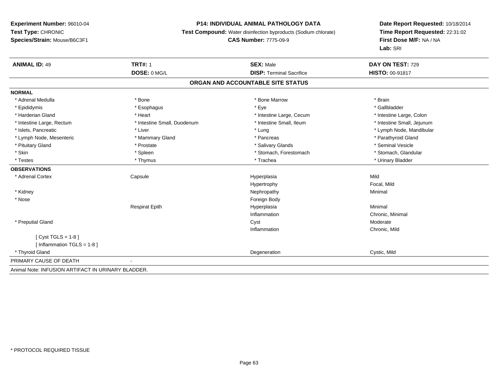### **P14: INDIVIDUAL ANIMAL PATHOLOGY DATA**

**Test Compound:** Water disinfection byproducts (Sodium chlorate)

#### **CAS Number:** 7775-09-9

| <b>ANIMAL ID: 49</b>                               | <b>TRT#: 1</b>              | <b>SEX: Male</b>                | DAY ON TEST: 729           |  |  |
|----------------------------------------------------|-----------------------------|---------------------------------|----------------------------|--|--|
|                                                    | DOSE: 0 MG/L                | <b>DISP: Terminal Sacrifice</b> | <b>HISTO: 00-91817</b>     |  |  |
| ORGAN AND ACCOUNTABLE SITE STATUS                  |                             |                                 |                            |  |  |
| <b>NORMAL</b>                                      |                             |                                 |                            |  |  |
| * Adrenal Medulla                                  | * Bone                      | * Bone Marrow                   | * Brain                    |  |  |
| * Epididymis                                       | * Esophagus                 | * Eye                           | * Gallbladder              |  |  |
| * Harderian Gland                                  | * Heart                     | * Intestine Large, Cecum        | * Intestine Large, Colon   |  |  |
| * Intestine Large, Rectum                          | * Intestine Small, Duodenum | * Intestine Small, Ileum        | * Intestine Small, Jejunum |  |  |
| * Islets, Pancreatic                               | * Liver                     | * Lung                          | * Lymph Node, Mandibular   |  |  |
| * Lymph Node, Mesenteric                           | * Mammary Gland             | * Pancreas                      | * Parathyroid Gland        |  |  |
| * Pituitary Gland                                  | * Prostate                  | * Salivary Glands               | * Seminal Vesicle          |  |  |
| * Skin                                             | * Spleen                    | * Stomach, Forestomach          | * Stomach, Glandular       |  |  |
| * Testes                                           | * Thymus                    | * Trachea                       | * Urinary Bladder          |  |  |
| <b>OBSERVATIONS</b>                                |                             |                                 |                            |  |  |
| * Adrenal Cortex                                   | Capsule                     | Hyperplasia                     | Mild                       |  |  |
|                                                    |                             | Hypertrophy                     | Focal, Mild                |  |  |
| * Kidney                                           |                             | Nephropathy                     | Minimal                    |  |  |
| * Nose                                             |                             | Foreign Body                    |                            |  |  |
|                                                    | <b>Respirat Epith</b>       | Hyperplasia                     | Minimal                    |  |  |
|                                                    |                             | Inflammation                    | Chronic, Minimal           |  |  |
| * Preputial Gland                                  |                             | Cyst                            | Moderate                   |  |  |
|                                                    |                             | Inflammation                    | Chronic, Mild              |  |  |
| [ $Cyst TGLS = 1-8$ ]                              |                             |                                 |                            |  |  |
| [Inflammation TGLS = $1-8$ ]                       |                             |                                 |                            |  |  |
| * Thyroid Gland                                    |                             | Degeneration                    | Cystic, Mild               |  |  |
| PRIMARY CAUSE OF DEATH                             |                             |                                 |                            |  |  |
| Animal Note: INFUSION ARTIFACT IN URINARY BLADDER. |                             |                                 |                            |  |  |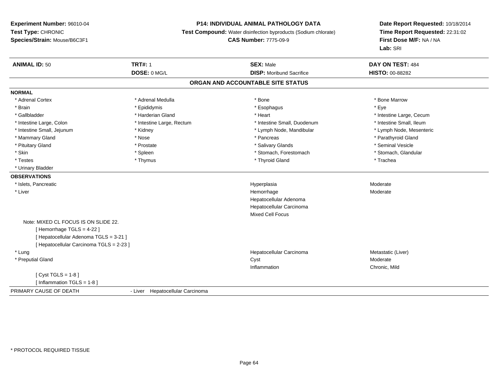## **P14: INDIVIDUAL ANIMAL PATHOLOGY DATA**

**Test Compound:** Water disinfection byproducts (Sodium chlorate)

**CAS Number:** 7775-09-9

| <b>ANIMAL ID: 50</b>                     | <b>TRT#: 1</b>                   | <b>SEX: Male</b>                | DAY ON TEST: 484         |  |  |  |
|------------------------------------------|----------------------------------|---------------------------------|--------------------------|--|--|--|
|                                          | DOSE: 0 MG/L                     | <b>DISP:</b> Moribund Sacrifice | <b>HISTO: 00-88282</b>   |  |  |  |
| ORGAN AND ACCOUNTABLE SITE STATUS        |                                  |                                 |                          |  |  |  |
| <b>NORMAL</b>                            |                                  |                                 |                          |  |  |  |
| * Adrenal Cortex                         | * Adrenal Medulla                | * Bone                          | * Bone Marrow            |  |  |  |
| * Brain                                  | * Epididymis                     | * Esophagus                     | * Eye                    |  |  |  |
| * Gallbladder                            | * Harderian Gland                | * Heart                         | * Intestine Large, Cecum |  |  |  |
| * Intestine Large, Colon                 | * Intestine Large, Rectum        | * Intestine Small, Duodenum     | * Intestine Small, Ileum |  |  |  |
| * Intestine Small, Jejunum               | * Kidney                         | * Lymph Node, Mandibular        | * Lymph Node, Mesenteric |  |  |  |
| * Mammary Gland                          | * Nose                           | * Pancreas                      | * Parathyroid Gland      |  |  |  |
| * Pituitary Gland                        | * Prostate                       | * Salivary Glands               | * Seminal Vesicle        |  |  |  |
| * Skin                                   | * Spleen                         | * Stomach, Forestomach          | * Stomach, Glandular     |  |  |  |
| * Testes                                 | * Thymus                         | * Thyroid Gland                 | * Trachea                |  |  |  |
| * Urinary Bladder                        |                                  |                                 |                          |  |  |  |
| <b>OBSERVATIONS</b>                      |                                  |                                 |                          |  |  |  |
| * Islets, Pancreatic                     |                                  | Hyperplasia                     | Moderate                 |  |  |  |
| * Liver                                  |                                  | Hemorrhage                      | Moderate                 |  |  |  |
|                                          |                                  | Hepatocellular Adenoma          |                          |  |  |  |
|                                          |                                  | Hepatocellular Carcinoma        |                          |  |  |  |
|                                          |                                  | Mixed Cell Focus                |                          |  |  |  |
| Note: MIXED CL FOCUS IS ON SLIDE 22.     |                                  |                                 |                          |  |  |  |
| [Hemorrhage TGLS = $4-22$ ]              |                                  |                                 |                          |  |  |  |
| [ Hepatocellular Adenoma TGLS = 3-21 ]   |                                  |                                 |                          |  |  |  |
| [ Hepatocellular Carcinoma TGLS = 2-23 ] |                                  |                                 |                          |  |  |  |
| * Lung                                   |                                  | Hepatocellular Carcinoma        | Metastatic (Liver)       |  |  |  |
| * Preputial Gland                        |                                  | Cyst                            | Moderate                 |  |  |  |
|                                          |                                  | Inflammation                    | Chronic, Mild            |  |  |  |
| [Cyst TGLS = $1-8$ ]                     |                                  |                                 |                          |  |  |  |
| [Inflammation TGLS = 1-8]                |                                  |                                 |                          |  |  |  |
| PRIMARY CAUSE OF DEATH                   | - Liver Hepatocellular Carcinoma |                                 |                          |  |  |  |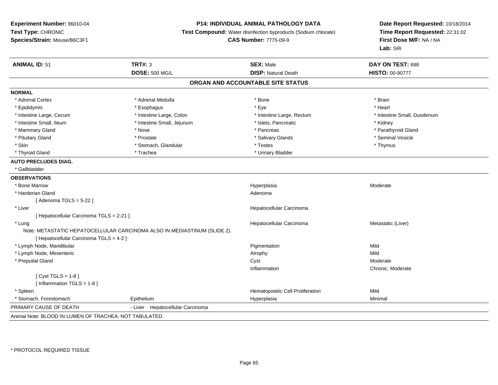### **P14: INDIVIDUAL ANIMAL PATHOLOGY DATA**

**Test Compound:** Water disinfection byproducts (Sodium chlorate)

**CAS Number:** 7775-09-9

| <b>ANIMAL ID: 51</b>                                                     | <b>TRT#: 3</b>                   | <b>SEX: Male</b>                  | DAY ON TEST: 698            |
|--------------------------------------------------------------------------|----------------------------------|-----------------------------------|-----------------------------|
|                                                                          | <b>DOSE: 500 MG/L</b>            | <b>DISP: Natural Death</b>        | HISTO: 00-90777             |
|                                                                          |                                  | ORGAN AND ACCOUNTABLE SITE STATUS |                             |
| <b>NORMAL</b>                                                            |                                  |                                   |                             |
| * Adrenal Cortex                                                         | * Adrenal Medulla                | * Bone                            | * Brain                     |
| * Epididymis                                                             | * Esophagus                      | * Eye                             | * Heart                     |
| * Intestine Large, Cecum                                                 | * Intestine Large, Colon         | * Intestine Large, Rectum         | * Intestine Small, Duodenum |
| * Intestine Small, Ileum                                                 | * Intestine Small, Jejunum       | * Islets, Pancreatic              | * Kidney                    |
| * Mammary Gland                                                          | * Nose                           | * Pancreas                        | * Parathyroid Gland         |
| * Pituitary Gland                                                        | * Prostate                       | * Salivary Glands                 | * Seminal Vesicle           |
| * Skin                                                                   | * Stomach, Glandular             | * Testes                          | * Thymus                    |
| * Thyroid Gland                                                          | * Trachea                        | * Urinary Bladder                 |                             |
| <b>AUTO PRECLUDES DIAG.</b>                                              |                                  |                                   |                             |
| * Gallbladder                                                            |                                  |                                   |                             |
| <b>OBSERVATIONS</b>                                                      |                                  |                                   |                             |
| * Bone Marrow                                                            |                                  | Hyperplasia                       | Moderate                    |
| * Harderian Gland                                                        |                                  | Adenoma                           |                             |
| [Adenoma TGLS = $5-22$ ]                                                 |                                  |                                   |                             |
| * Liver                                                                  |                                  | Hepatocellular Carcinoma          |                             |
| [ Hepatocellular Carcinoma TGLS = 2-21 ]                                 |                                  |                                   |                             |
| * Lung                                                                   |                                  | Hepatocellular Carcinoma          | Metastatic (Liver)          |
| Note: METASTATIC HEPATOCELLULAR CARCINOMA ALSO IN MEDIASTINUM (SLIDE 2). |                                  |                                   |                             |
| [ Hepatocellular Carcinoma TGLS = 4-2 ]                                  |                                  |                                   |                             |
| * Lymph Node, Mandibular                                                 |                                  | Pigmentation                      | Mild                        |
| * Lymph Node, Mesenteric                                                 |                                  | Atrophy                           | Mild                        |
| * Preputial Gland                                                        |                                  | Cyst                              | Moderate                    |
|                                                                          |                                  | Inflammation                      | Chronic, Moderate           |
| [ $Cyst TGLS = 1-8$ ]                                                    |                                  |                                   |                             |
| [ Inflammation $TGLS = 1-8$ ]                                            |                                  |                                   |                             |
| * Spleen                                                                 |                                  | Hematopoietic Cell Proliferation  | Mild                        |
| * Stomach, Forestomach                                                   | Epithelium                       | Hyperplasia                       | Minimal                     |
| PRIMARY CAUSE OF DEATH                                                   | - Liver Hepatocellular Carcinoma |                                   |                             |
| Animal Note: BLOOD IN LUMEN OF TRACHEA; NOT TABULATED.                   |                                  |                                   |                             |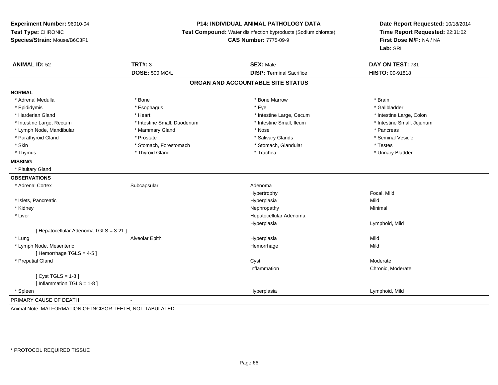## **P14: INDIVIDUAL ANIMAL PATHOLOGY DATA**

**Test Compound:** Water disinfection byproducts (Sodium chlorate)

**CAS Number:** 7775-09-9

| <b>ANIMAL ID: 52</b>                                       | <b>TRT#: 3</b>              | <b>SEX: Male</b>                | DAY ON TEST: 731           |  |  |
|------------------------------------------------------------|-----------------------------|---------------------------------|----------------------------|--|--|
|                                                            | <b>DOSE: 500 MG/L</b>       | <b>DISP: Terminal Sacrifice</b> | <b>HISTO: 00-91818</b>     |  |  |
| ORGAN AND ACCOUNTABLE SITE STATUS                          |                             |                                 |                            |  |  |
| <b>NORMAL</b>                                              |                             |                                 |                            |  |  |
| * Adrenal Medulla                                          | * Bone                      | * Bone Marrow                   | * Brain                    |  |  |
| * Epididymis                                               | * Esophagus                 | * Eye                           | * Gallbladder              |  |  |
| * Harderian Gland                                          | * Heart                     | * Intestine Large, Cecum        | * Intestine Large, Colon   |  |  |
| * Intestine Large, Rectum                                  | * Intestine Small, Duodenum | * Intestine Small, Ileum        | * Intestine Small, Jejunum |  |  |
| * Lymph Node, Mandibular                                   | * Mammary Gland             | * Nose                          | * Pancreas                 |  |  |
| * Parathyroid Gland                                        | * Prostate                  | * Salivary Glands               | * Seminal Vesicle          |  |  |
| * Skin                                                     | * Stomach, Forestomach      | * Stomach, Glandular            | * Testes                   |  |  |
| * Thymus                                                   | * Thyroid Gland             | * Trachea                       | * Urinary Bladder          |  |  |
| <b>MISSING</b>                                             |                             |                                 |                            |  |  |
| * Pituitary Gland                                          |                             |                                 |                            |  |  |
| <b>OBSERVATIONS</b>                                        |                             |                                 |                            |  |  |
| * Adrenal Cortex                                           | Subcapsular                 | Adenoma                         |                            |  |  |
|                                                            |                             | Hypertrophy                     | Focal, Mild                |  |  |
| * Islets, Pancreatic                                       |                             | Hyperplasia                     | Mild                       |  |  |
| * Kidney                                                   |                             | Nephropathy                     | Minimal                    |  |  |
| * Liver                                                    |                             | Hepatocellular Adenoma          |                            |  |  |
|                                                            |                             | Hyperplasia                     | Lymphoid, Mild             |  |  |
| [ Hepatocellular Adenoma TGLS = 3-21 ]                     |                             |                                 |                            |  |  |
| * Lung                                                     | Alveolar Epith              | Hyperplasia                     | Mild                       |  |  |
| * Lymph Node, Mesenteric                                   |                             | Hemorrhage                      | Mild                       |  |  |
| [Hemorrhage TGLS = $4-5$ ]                                 |                             |                                 |                            |  |  |
| * Preputial Gland                                          |                             | Cyst                            | Moderate                   |  |  |
|                                                            |                             | Inflammation                    | Chronic, Moderate          |  |  |
| [Cyst TGLS = $1-8$ ]                                       |                             |                                 |                            |  |  |
| [ Inflammation TGLS = 1-8 ]                                |                             |                                 |                            |  |  |
| * Spleen                                                   |                             | Hyperplasia                     | Lymphoid, Mild             |  |  |
| PRIMARY CAUSE OF DEATH                                     |                             |                                 |                            |  |  |
| Animal Note: MALFORMATION OF INCISOR TEETH; NOT TABULATED. |                             |                                 |                            |  |  |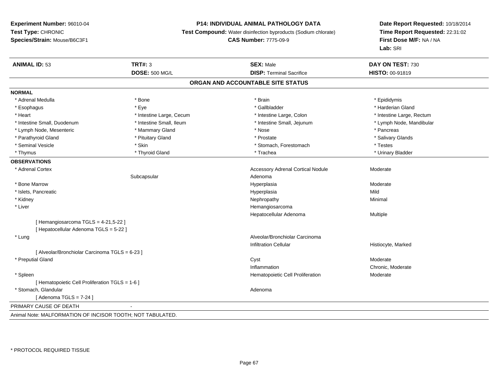### **P14: INDIVIDUAL ANIMAL PATHOLOGY DATA**

**Test Compound:** Water disinfection byproducts (Sodium chlorate)

## **CAS Number:** 7775-09-9

| <b>ANIMAL ID: 53</b>                                       | <b>TRT#: 3</b>           | <b>SEX: Male</b>                         | DAY ON TEST: 730          |
|------------------------------------------------------------|--------------------------|------------------------------------------|---------------------------|
|                                                            | <b>DOSE: 500 MG/L</b>    | <b>DISP: Terminal Sacrifice</b>          | HISTO: 00-91819           |
|                                                            |                          | ORGAN AND ACCOUNTABLE SITE STATUS        |                           |
| <b>NORMAL</b>                                              |                          |                                          |                           |
| * Adrenal Medulla                                          | * Bone                   | * Brain                                  | * Epididymis              |
| * Esophagus                                                | * Eye                    | * Gallbladder                            | * Harderian Gland         |
| * Heart                                                    | * Intestine Large, Cecum | * Intestine Large, Colon                 | * Intestine Large, Rectum |
| * Intestine Small, Duodenum                                | * Intestine Small, Ileum | * Intestine Small, Jejunum               | * Lymph Node, Mandibular  |
| * Lymph Node, Mesenteric                                   | * Mammary Gland          | * Nose                                   | * Pancreas                |
| * Parathyroid Gland                                        | * Pituitary Gland        | * Prostate                               | * Salivary Glands         |
| * Seminal Vesicle                                          | * Skin                   | * Stomach, Forestomach                   | * Testes                  |
| * Thymus                                                   | * Thyroid Gland          | * Trachea                                | * Urinary Bladder         |
| <b>OBSERVATIONS</b>                                        |                          |                                          |                           |
| * Adrenal Cortex                                           |                          | <b>Accessory Adrenal Cortical Nodule</b> | Moderate                  |
|                                                            | Subcapsular              | Adenoma                                  |                           |
| * Bone Marrow                                              |                          | Hyperplasia                              | Moderate                  |
| * Islets, Pancreatic                                       |                          | Hyperplasia                              | Mild                      |
| * Kidney                                                   |                          | Nephropathy                              | Minimal                   |
| * Liver                                                    |                          | Hemangiosarcoma                          |                           |
|                                                            |                          | Hepatocellular Adenoma                   | Multiple                  |
| [ Hemangiosarcoma TGLS = 4-21,5-22 ]                       |                          |                                          |                           |
| [ Hepatocellular Adenoma TGLS = 5-22 ]                     |                          |                                          |                           |
| * Lung                                                     |                          | Alveolar/Bronchiolar Carcinoma           |                           |
|                                                            |                          | <b>Infiltration Cellular</b>             | Histiocyte, Marked        |
| [ Alveolar/Bronchiolar Carcinoma TGLS = 6-23 ]             |                          |                                          |                           |
| * Preputial Gland                                          |                          | Cyst                                     | Moderate                  |
|                                                            |                          | Inflammation                             | Chronic, Moderate         |
| * Spleen                                                   |                          | Hematopoietic Cell Proliferation         | Moderate                  |
| [ Hematopoietic Cell Proliferation TGLS = 1-6 ]            |                          |                                          |                           |
| * Stomach, Glandular                                       |                          | Adenoma                                  |                           |
| [Adenoma TGLS = $7-24$ ]                                   |                          |                                          |                           |
| PRIMARY CAUSE OF DEATH                                     |                          |                                          |                           |
| Animal Note: MALFORMATION OF INCISOR TOOTH; NOT TABULATED. |                          |                                          |                           |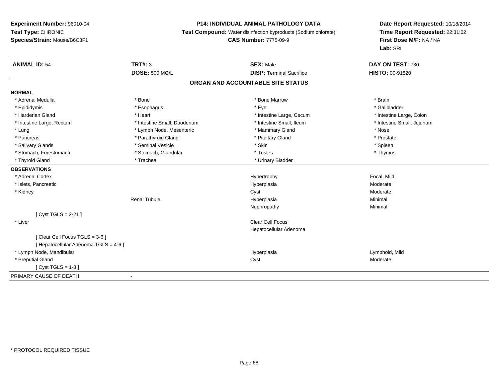## **P14: INDIVIDUAL ANIMAL PATHOLOGY DATA**

**Test Compound:** Water disinfection byproducts (Sodium chlorate)

**CAS Number:** 7775-09-9

| <b>ANIMAL ID: 54</b>                  | <b>TRT#: 3</b>              | <b>SEX: Male</b>                | DAY ON TEST: 730           |  |  |  |
|---------------------------------------|-----------------------------|---------------------------------|----------------------------|--|--|--|
|                                       | <b>DOSE: 500 MG/L</b>       | <b>DISP: Terminal Sacrifice</b> | <b>HISTO: 00-91820</b>     |  |  |  |
| ORGAN AND ACCOUNTABLE SITE STATUS     |                             |                                 |                            |  |  |  |
| <b>NORMAL</b>                         |                             |                                 |                            |  |  |  |
| * Adrenal Medulla                     | * Bone                      | * Bone Marrow                   | * Brain                    |  |  |  |
| * Epididymis                          | * Esophagus                 | * Eye                           | * Gallbladder              |  |  |  |
| * Harderian Gland                     | * Heart                     | * Intestine Large, Cecum        | * Intestine Large, Colon   |  |  |  |
| * Intestine Large, Rectum             | * Intestine Small, Duodenum | * Intestine Small, Ileum        | * Intestine Small, Jejunum |  |  |  |
| * Lung                                | * Lymph Node, Mesenteric    | * Mammary Gland                 | * Nose                     |  |  |  |
| * Pancreas                            | * Parathyroid Gland         | * Pituitary Gland               | * Prostate                 |  |  |  |
| * Salivary Glands                     | * Seminal Vesicle           | * Skin                          | * Spleen                   |  |  |  |
| * Stomach, Forestomach                | * Stomach, Glandular        | * Testes                        | * Thymus                   |  |  |  |
| * Thyroid Gland                       | * Trachea                   | * Urinary Bladder               |                            |  |  |  |
| <b>OBSERVATIONS</b>                   |                             |                                 |                            |  |  |  |
| * Adrenal Cortex                      |                             | Hypertrophy                     | Focal, Mild                |  |  |  |
| * Islets, Pancreatic                  |                             | Hyperplasia                     | Moderate                   |  |  |  |
| * Kidney                              |                             | Cyst                            | Moderate                   |  |  |  |
|                                       | <b>Renal Tubule</b>         | Hyperplasia                     | Minimal                    |  |  |  |
|                                       |                             | Nephropathy                     | Minimal                    |  |  |  |
| [ $Cyst TGLS = 2-21$ ]                |                             |                                 |                            |  |  |  |
| * Liver                               |                             | <b>Clear Cell Focus</b>         |                            |  |  |  |
|                                       |                             | Hepatocellular Adenoma          |                            |  |  |  |
| [Clear Cell Focus TGLS = 3-6]         |                             |                                 |                            |  |  |  |
| [ Hepatocellular Adenoma TGLS = 4-6 ] |                             |                                 |                            |  |  |  |
| * Lymph Node, Mandibular              |                             | Hyperplasia                     | Lymphoid, Mild             |  |  |  |
| * Preputial Gland                     |                             | Cyst                            | Moderate                   |  |  |  |
| [Cyst TGLS = $1-8$ ]                  |                             |                                 |                            |  |  |  |
| PRIMARY CAUSE OF DEATH                | $\blacksquare$              |                                 |                            |  |  |  |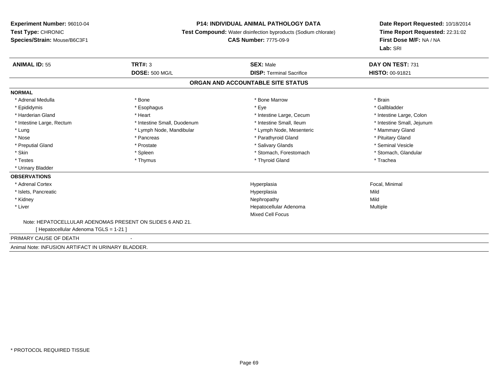### **P14: INDIVIDUAL ANIMAL PATHOLOGY DATA**

**Test Compound:** Water disinfection byproducts (Sodium chlorate)

**CAS Number:** 7775-09-9

| <b>ANIMAL ID: 55</b>                               | TRT#: 3                                                   | <b>SEX: Male</b>                  | DAY ON TEST: 731           |  |
|----------------------------------------------------|-----------------------------------------------------------|-----------------------------------|----------------------------|--|
|                                                    | <b>DOSE: 500 MG/L</b>                                     | <b>DISP: Terminal Sacrifice</b>   | <b>HISTO: 00-91821</b>     |  |
|                                                    |                                                           | ORGAN AND ACCOUNTABLE SITE STATUS |                            |  |
| <b>NORMAL</b>                                      |                                                           |                                   |                            |  |
| * Adrenal Medulla                                  | * Bone                                                    | * Bone Marrow                     | * Brain                    |  |
| * Epididymis                                       | * Esophagus                                               | * Eye                             | * Gallbladder              |  |
| * Harderian Gland                                  | * Heart                                                   | * Intestine Large, Cecum          | * Intestine Large, Colon   |  |
| * Intestine Large, Rectum                          | * Intestine Small, Duodenum                               | * Intestine Small, Ileum          | * Intestine Small, Jejunum |  |
| * Lung                                             | * Lymph Node, Mandibular                                  | * Lymph Node, Mesenteric          | * Mammary Gland            |  |
| * Nose                                             | * Pancreas                                                | * Parathyroid Gland               | * Pituitary Gland          |  |
| * Preputial Gland                                  | * Prostate                                                | * Salivary Glands                 | * Seminal Vesicle          |  |
| * Skin                                             | * Spleen                                                  | * Stomach. Forestomach            | * Stomach, Glandular       |  |
| * Testes                                           | * Thymus                                                  | * Thyroid Gland                   | * Trachea                  |  |
| * Urinary Bladder                                  |                                                           |                                   |                            |  |
| <b>OBSERVATIONS</b>                                |                                                           |                                   |                            |  |
| * Adrenal Cortex                                   |                                                           | Hyperplasia                       | Focal, Minimal             |  |
| * Islets, Pancreatic                               |                                                           | Hyperplasia                       | Mild                       |  |
| * Kidney                                           |                                                           | Nephropathy                       | Mild                       |  |
| * Liver                                            |                                                           | Hepatocellular Adenoma            | Multiple                   |  |
|                                                    |                                                           | <b>Mixed Cell Focus</b>           |                            |  |
|                                                    | Note: HEPATOCELLULAR ADENOMAS PRESENT ON SLIDES 6 AND 21. |                                   |                            |  |
| [Hepatocellular Adenoma TGLS = 1-21]               |                                                           |                                   |                            |  |
| PRIMARY CAUSE OF DEATH                             | $\overline{a}$                                            |                                   |                            |  |
| Animal Note: INFUSION ARTIFACT IN URINARY BLADDER. |                                                           |                                   |                            |  |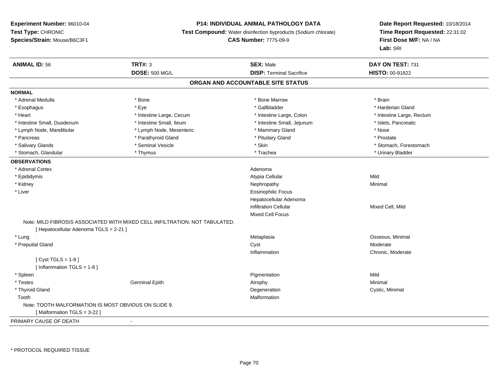### **P14: INDIVIDUAL ANIMAL PATHOLOGY DATA**

**Test Compound:** Water disinfection byproducts (Sodium chlorate)

**CAS Number:** 7775-09-9

| <b>ANIMAL ID: 56</b>                                 | <b>TRT#: 3</b>                                                              | <b>SEX: Male</b>                  | DAY ON TEST: 731          |  |
|------------------------------------------------------|-----------------------------------------------------------------------------|-----------------------------------|---------------------------|--|
|                                                      | <b>DOSE: 500 MG/L</b>                                                       | <b>DISP: Terminal Sacrifice</b>   | HISTO: 00-91822           |  |
|                                                      |                                                                             | ORGAN AND ACCOUNTABLE SITE STATUS |                           |  |
| <b>NORMAL</b>                                        |                                                                             |                                   |                           |  |
| * Adrenal Medulla                                    | * Bone                                                                      | * Bone Marrow                     | * Brain                   |  |
| * Esophagus                                          | * Eye                                                                       | * Gallbladder                     | * Harderian Gland         |  |
| * Heart                                              | * Intestine Large, Cecum                                                    | * Intestine Large, Colon          | * Intestine Large, Rectum |  |
| * Intestine Small, Duodenum                          | * Intestine Small, Ileum                                                    | * Intestine Small, Jejunum        | * Islets, Pancreatic      |  |
| * Lymph Node, Mandibular                             | * Lymph Node, Mesenteric                                                    | * Mammary Gland                   | * Nose                    |  |
| * Pancreas                                           | * Parathyroid Gland                                                         | * Pituitary Gland                 | * Prostate                |  |
| * Salivary Glands                                    | * Seminal Vesicle                                                           | * Skin                            | * Stomach, Forestomach    |  |
| * Stomach, Glandular                                 | * Thymus                                                                    | * Trachea                         | * Urinary Bladder         |  |
| <b>OBSERVATIONS</b>                                  |                                                                             |                                   |                           |  |
| * Adrenal Cortex                                     |                                                                             | Adenoma                           |                           |  |
| * Epididymis                                         |                                                                             | Atypia Cellular                   | Mild                      |  |
| * Kidney                                             |                                                                             | Nephropathy                       | Minimal                   |  |
| * Liver                                              |                                                                             | <b>Eosinophilic Focus</b>         |                           |  |
|                                                      |                                                                             | Hepatocellular Adenoma            |                           |  |
|                                                      |                                                                             | <b>Infiltration Cellular</b>      | Mixed Cell, Mild          |  |
|                                                      |                                                                             | <b>Mixed Cell Focus</b>           |                           |  |
| [ Hepatocellular Adenoma TGLS = 2-21 ]               | Note: MILD FIBROSIS ASSOCIATED WITH MIXED CELL INFILTRATION; NOT TABULATED. |                                   |                           |  |
| * Lung                                               |                                                                             | Metaplasia                        | Osseous, Minimal          |  |
| * Preputial Gland                                    |                                                                             | Cyst                              | Moderate                  |  |
|                                                      |                                                                             | Inflammation                      | Chronic, Moderate         |  |
| [ $Cyst TGLS = 1-8$ ]                                |                                                                             |                                   |                           |  |
| [Inflammation TGLS = $1-8$ ]                         |                                                                             |                                   |                           |  |
| * Spleen                                             |                                                                             | Pigmentation                      | Mild                      |  |
| * Testes                                             | <b>Germinal Epith</b>                                                       | Atrophy                           | Minimal                   |  |
| * Thyroid Gland                                      |                                                                             | Degeneration                      | Cystic, Minimal           |  |
| Tooth                                                |                                                                             | Malformation                      |                           |  |
| Note: TOOTH MALFORMATION IS MOST OBVIOUS ON SLIDE 9. |                                                                             |                                   |                           |  |
| [Malformation TGLS = 3-22]                           |                                                                             |                                   |                           |  |
| PRIMARY CAUSE OF DEATH                               | $\sim$                                                                      |                                   |                           |  |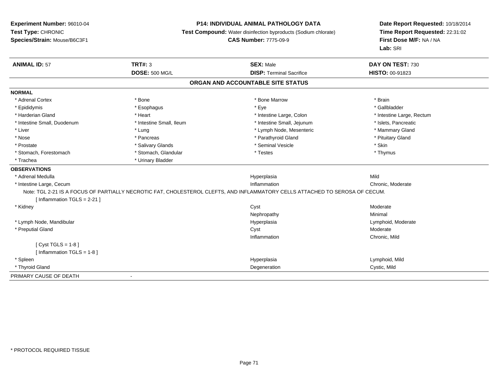### **P14: INDIVIDUAL ANIMAL PATHOLOGY DATA**

**Test Compound:** Water disinfection byproducts (Sodium chlorate)

**CAS Number:** 7775-09-9

| <b>ANIMAL ID: 57</b>              | <b>TRT#: 3</b>           | <b>SEX: Male</b>                                                                                                             | DAY ON TEST: 730          |  |  |  |
|-----------------------------------|--------------------------|------------------------------------------------------------------------------------------------------------------------------|---------------------------|--|--|--|
|                                   | <b>DOSE: 500 MG/L</b>    | <b>DISP: Terminal Sacrifice</b>                                                                                              | HISTO: 00-91823           |  |  |  |
| ORGAN AND ACCOUNTABLE SITE STATUS |                          |                                                                                                                              |                           |  |  |  |
| <b>NORMAL</b>                     |                          |                                                                                                                              |                           |  |  |  |
| * Adrenal Cortex                  | * Bone                   | * Bone Marrow                                                                                                                | * Brain                   |  |  |  |
| * Epididymis                      | * Esophagus              | * Eye                                                                                                                        | * Gallbladder             |  |  |  |
| * Harderian Gland                 | * Heart                  | * Intestine Large, Colon                                                                                                     | * Intestine Large, Rectum |  |  |  |
| * Intestine Small, Duodenum       | * Intestine Small, Ileum | * Intestine Small, Jejunum                                                                                                   | * Islets, Pancreatic      |  |  |  |
| * Liver                           | * Lung                   | * Lymph Node, Mesenteric                                                                                                     | * Mammary Gland           |  |  |  |
| * Nose                            | * Pancreas               | * Parathyroid Gland                                                                                                          | * Pituitary Gland         |  |  |  |
| * Prostate                        | * Salivary Glands        | * Seminal Vesicle                                                                                                            | * Skin                    |  |  |  |
| * Stomach, Forestomach            | * Stomach, Glandular     | * Testes                                                                                                                     | * Thymus                  |  |  |  |
| * Trachea                         | * Urinary Bladder        |                                                                                                                              |                           |  |  |  |
| <b>OBSERVATIONS</b>               |                          |                                                                                                                              |                           |  |  |  |
| * Adrenal Medulla                 |                          | Hyperplasia                                                                                                                  | Mild                      |  |  |  |
| * Intestine Large, Cecum          |                          | Inflammation                                                                                                                 | Chronic, Moderate         |  |  |  |
|                                   |                          | Note: TGL 2-21 IS A FOCUS OF PARTIALLY NECROTIC FAT, CHOLESTEROL CLEFTS, AND INFLAMMATORY CELLS ATTACHED TO SEROSA OF CECUM. |                           |  |  |  |
| [ Inflammation $TGLS = 2-21$ ]    |                          |                                                                                                                              |                           |  |  |  |
| * Kidney                          |                          | Cyst                                                                                                                         | Moderate                  |  |  |  |
|                                   |                          | Nephropathy                                                                                                                  | Minimal                   |  |  |  |
| * Lymph Node, Mandibular          |                          | Hyperplasia                                                                                                                  | Lymphoid, Moderate        |  |  |  |
| * Preputial Gland                 |                          | Cyst                                                                                                                         | Moderate                  |  |  |  |
|                                   |                          | Inflammation                                                                                                                 | Chronic, Mild             |  |  |  |
| [ $Cyst TGLS = 1-8$ ]             |                          |                                                                                                                              |                           |  |  |  |
| [Inflammation TGLS = $1-8$ ]      |                          |                                                                                                                              |                           |  |  |  |
| * Spleen                          |                          | Hyperplasia                                                                                                                  | Lymphoid, Mild            |  |  |  |
| * Thyroid Gland                   |                          | Degeneration                                                                                                                 | Cystic, Mild              |  |  |  |
| PRIMARY CAUSE OF DEATH            |                          |                                                                                                                              |                           |  |  |  |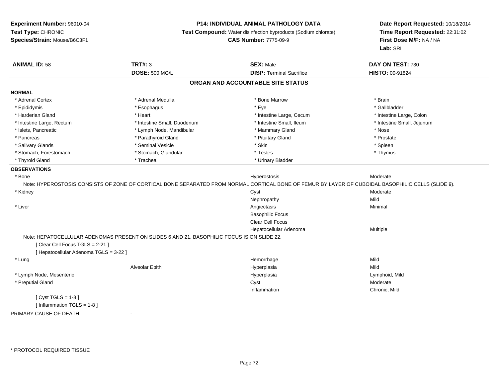### **P14: INDIVIDUAL ANIMAL PATHOLOGY DATA**

**Test Compound:** Water disinfection byproducts (Sodium chlorate)

**CAS Number:** 7775-09-9

| <b>ANIMAL ID: 58</b>                   | <b>TRT#: 3</b>                                                                             | <b>SEX: Male</b>                                                                                                                                   | DAY ON TEST: 730           |  |  |  |  |
|----------------------------------------|--------------------------------------------------------------------------------------------|----------------------------------------------------------------------------------------------------------------------------------------------------|----------------------------|--|--|--|--|
|                                        | <b>DOSE: 500 MG/L</b>                                                                      | <b>DISP: Terminal Sacrifice</b>                                                                                                                    | HISTO: 00-91824            |  |  |  |  |
| ORGAN AND ACCOUNTABLE SITE STATUS      |                                                                                            |                                                                                                                                                    |                            |  |  |  |  |
| <b>NORMAL</b>                          |                                                                                            |                                                                                                                                                    |                            |  |  |  |  |
| * Adrenal Cortex                       | * Adrenal Medulla                                                                          | * Bone Marrow                                                                                                                                      | * Brain                    |  |  |  |  |
| * Epididymis                           | * Esophagus                                                                                | * Eye                                                                                                                                              | * Gallbladder              |  |  |  |  |
| * Harderian Gland                      | * Heart                                                                                    | * Intestine Large, Cecum                                                                                                                           | * Intestine Large, Colon   |  |  |  |  |
| * Intestine Large, Rectum              | * Intestine Small, Duodenum                                                                | * Intestine Small, Ileum                                                                                                                           | * Intestine Small, Jejunum |  |  |  |  |
| * Islets, Pancreatic                   | * Lymph Node, Mandibular                                                                   | * Mammary Gland                                                                                                                                    | * Nose                     |  |  |  |  |
| * Pancreas                             | * Parathyroid Gland                                                                        | * Pituitary Gland                                                                                                                                  | * Prostate                 |  |  |  |  |
| * Salivary Glands                      | * Seminal Vesicle                                                                          | * Skin                                                                                                                                             | * Spleen                   |  |  |  |  |
| * Stomach, Forestomach                 | * Stomach, Glandular                                                                       | * Testes                                                                                                                                           | * Thymus                   |  |  |  |  |
| * Thyroid Gland                        | * Trachea                                                                                  | * Urinary Bladder                                                                                                                                  |                            |  |  |  |  |
| <b>OBSERVATIONS</b>                    |                                                                                            |                                                                                                                                                    |                            |  |  |  |  |
| * Bone                                 |                                                                                            | Hyperostosis                                                                                                                                       | Moderate                   |  |  |  |  |
|                                        |                                                                                            | Note: HYPEROSTOSIS CONSISTS OF ZONE OF CORTICAL BONE SEPARATED FROM NORMAL CORTICAL BONE OF FEMUR BY LAYER OF CUBOIDAL BASOPHILIC CELLS (SLIDE 9). |                            |  |  |  |  |
| * Kidney                               |                                                                                            | Cyst                                                                                                                                               | Moderate                   |  |  |  |  |
|                                        |                                                                                            | Nephropathy                                                                                                                                        | Mild                       |  |  |  |  |
| * Liver                                |                                                                                            | Angiectasis                                                                                                                                        | Minimal                    |  |  |  |  |
|                                        |                                                                                            | <b>Basophilic Focus</b>                                                                                                                            |                            |  |  |  |  |
|                                        |                                                                                            | Clear Cell Focus                                                                                                                                   |                            |  |  |  |  |
|                                        |                                                                                            | Hepatocellular Adenoma                                                                                                                             | Multiple                   |  |  |  |  |
|                                        | Note: HEPATOCELLULAR ADENOMAS PRESENT ON SLIDES 6 AND 21. BASOPHILIC FOCUS IS ON SLIDE 22. |                                                                                                                                                    |                            |  |  |  |  |
| [Clear Cell Focus TGLS = 2-21]         |                                                                                            |                                                                                                                                                    |                            |  |  |  |  |
| [ Hepatocellular Adenoma TGLS = 3-22 ] |                                                                                            |                                                                                                                                                    |                            |  |  |  |  |
| * Lung                                 |                                                                                            | Hemorrhage                                                                                                                                         | Mild                       |  |  |  |  |
|                                        | Alveolar Epith                                                                             | Hyperplasia                                                                                                                                        | Mild                       |  |  |  |  |
| * Lymph Node, Mesenteric               |                                                                                            | Hyperplasia                                                                                                                                        | Lymphoid, Mild             |  |  |  |  |
| * Preputial Gland                      |                                                                                            | Cyst                                                                                                                                               | Moderate                   |  |  |  |  |
|                                        |                                                                                            | Inflammation                                                                                                                                       | Chronic, Mild              |  |  |  |  |
| [Cyst TGLS = $1-8$ ]                   |                                                                                            |                                                                                                                                                    |                            |  |  |  |  |
| [ Inflammation TGLS = 1-8 ]            |                                                                                            |                                                                                                                                                    |                            |  |  |  |  |
| PRIMARY CAUSE OF DEATH                 | $\blacksquare$                                                                             |                                                                                                                                                    |                            |  |  |  |  |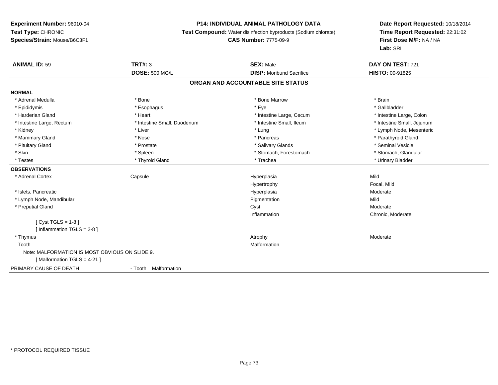### **P14: INDIVIDUAL ANIMAL PATHOLOGY DATA**

**Test Compound:** Water disinfection byproducts (Sodium chlorate)

### **CAS Number:** 7775-09-9

| <b>ANIMAL ID: 59</b>                           | <b>TRT#: 3</b>              | <b>SEX: Male</b>                  | DAY ON TEST: 721           |  |
|------------------------------------------------|-----------------------------|-----------------------------------|----------------------------|--|
|                                                | <b>DOSE: 500 MG/L</b>       | <b>DISP:</b> Moribund Sacrifice   | <b>HISTO: 00-91825</b>     |  |
|                                                |                             | ORGAN AND ACCOUNTABLE SITE STATUS |                            |  |
| <b>NORMAL</b>                                  |                             |                                   |                            |  |
| * Adrenal Medulla                              | * Bone                      | * Bone Marrow                     | * Brain                    |  |
| * Epididymis                                   | * Esophagus                 | * Eye                             | * Gallbladder              |  |
| * Harderian Gland                              | * Heart                     | * Intestine Large, Cecum          | * Intestine Large, Colon   |  |
| * Intestine Large, Rectum                      | * Intestine Small, Duodenum | * Intestine Small, Ileum          | * Intestine Small, Jejunum |  |
| * Kidney                                       | * Liver                     | * Lung                            | * Lymph Node, Mesenteric   |  |
| * Mammary Gland                                | * Nose                      | * Pancreas                        | * Parathyroid Gland        |  |
| * Pituitary Gland                              | * Prostate                  | * Salivary Glands                 | * Seminal Vesicle          |  |
| * Skin                                         | * Spleen                    | * Stomach, Forestomach            | * Stomach, Glandular       |  |
| * Testes                                       | * Thyroid Gland             | * Trachea                         | * Urinary Bladder          |  |
| <b>OBSERVATIONS</b>                            |                             |                                   |                            |  |
| * Adrenal Cortex                               | Capsule                     | Hyperplasia                       | Mild                       |  |
|                                                |                             | Hypertrophy                       | Focal, Mild                |  |
| * Islets, Pancreatic                           |                             | Hyperplasia                       | Moderate                   |  |
| * Lymph Node, Mandibular                       |                             | Pigmentation                      | Mild                       |  |
| * Preputial Gland                              |                             | Cyst                              | Moderate                   |  |
|                                                |                             | Inflammation                      | Chronic, Moderate          |  |
| [ $Cyst TGLS = 1-8$ ]                          |                             |                                   |                            |  |
| [Inflammation TGLS = $2-8$ ]                   |                             |                                   |                            |  |
| * Thymus                                       |                             | Atrophy                           | Moderate                   |  |
| Tooth                                          |                             | Malformation                      |                            |  |
| Note: MALFORMATION IS MOST OBVIOUS ON SLIDE 9. |                             |                                   |                            |  |
| [Malformation TGLS = 4-21]                     |                             |                                   |                            |  |
| PRIMARY CAUSE OF DEATH                         | - Tooth Malformation        |                                   |                            |  |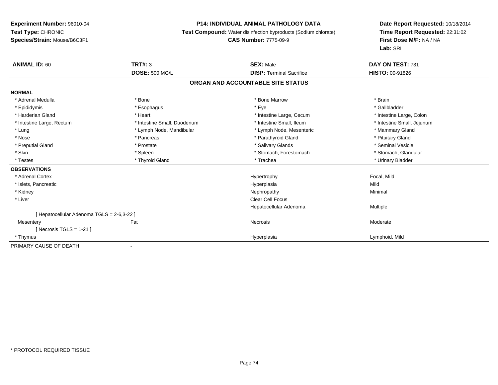### **P14: INDIVIDUAL ANIMAL PATHOLOGY DATA**

**Test Compound:** Water disinfection byproducts (Sodium chlorate)

### **CAS Number:** 7775-09-9

| <b>ANIMAL ID: 60</b>                       | TRT#: 3                     | <b>SEX: Male</b>                  | DAY ON TEST: 731           |
|--------------------------------------------|-----------------------------|-----------------------------------|----------------------------|
|                                            | <b>DOSE: 500 MG/L</b>       | <b>DISP: Terminal Sacrifice</b>   | <b>HISTO: 00-91826</b>     |
|                                            |                             | ORGAN AND ACCOUNTABLE SITE STATUS |                            |
| <b>NORMAL</b>                              |                             |                                   |                            |
| * Adrenal Medulla                          | * Bone                      | * Bone Marrow                     | * Brain                    |
| * Epididymis                               | * Esophagus                 | * Eye                             | * Gallbladder              |
| * Harderian Gland                          | * Heart                     | * Intestine Large, Cecum          | * Intestine Large, Colon   |
| * Intestine Large, Rectum                  | * Intestine Small, Duodenum | * Intestine Small, Ileum          | * Intestine Small, Jejunum |
| * Lung                                     | * Lymph Node, Mandibular    | * Lymph Node, Mesenteric          | * Mammary Gland            |
| * Nose                                     | * Pancreas                  | * Parathyroid Gland               | * Pituitary Gland          |
| * Preputial Gland                          | * Prostate                  | * Salivary Glands                 | * Seminal Vesicle          |
| * Skin                                     | * Spleen                    | * Stomach, Forestomach            | * Stomach, Glandular       |
| * Testes                                   | * Thyroid Gland             | * Trachea                         | * Urinary Bladder          |
| <b>OBSERVATIONS</b>                        |                             |                                   |                            |
| * Adrenal Cortex                           |                             | Hypertrophy                       | Focal, Mild                |
| * Islets, Pancreatic                       |                             | Hyperplasia                       | Mild                       |
| * Kidney                                   |                             | Nephropathy                       | Minimal                    |
| * Liver                                    |                             | <b>Clear Cell Focus</b>           |                            |
|                                            |                             | Hepatocellular Adenoma            | Multiple                   |
| [ Hepatocellular Adenoma TGLS = 2-6,3-22 ] |                             |                                   |                            |
| Mesentery                                  | Fat                         | Necrosis                          | Moderate                   |
| [ Necrosis TGLS = $1-21$ ]                 |                             |                                   |                            |
| * Thymus                                   |                             | Hyperplasia                       | Lymphoid, Mild             |
| PRIMARY CAUSE OF DEATH                     |                             |                                   |                            |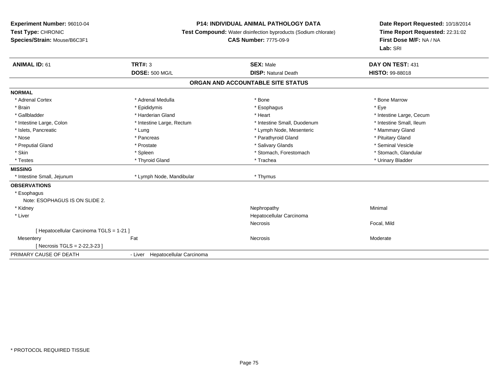### **P14: INDIVIDUAL ANIMAL PATHOLOGY DATA**

**Test Compound:** Water disinfection byproducts (Sodium chlorate)

### **CAS Number:** 7775-09-9

| <b>ANIMAL ID: 61</b>                     | <b>TRT#: 3</b>                   | <b>SEX: Male</b>                  | DAY ON TEST: 431         |
|------------------------------------------|----------------------------------|-----------------------------------|--------------------------|
|                                          | <b>DOSE: 500 MG/L</b>            | <b>DISP: Natural Death</b>        | <b>HISTO: 99-88018</b>   |
|                                          |                                  | ORGAN AND ACCOUNTABLE SITE STATUS |                          |
| <b>NORMAL</b>                            |                                  |                                   |                          |
| * Adrenal Cortex                         | * Adrenal Medulla                | * Bone                            | * Bone Marrow            |
| * Brain                                  | * Epididymis                     | * Esophagus                       | * Eye                    |
| * Gallbladder                            | * Harderian Gland                | * Heart                           | * Intestine Large, Cecum |
| * Intestine Large, Colon                 | * Intestine Large, Rectum        | * Intestine Small, Duodenum       | * Intestine Small, Ileum |
| * Islets, Pancreatic                     | * Lung                           | * Lymph Node, Mesenteric          | * Mammary Gland          |
| * Nose                                   | * Pancreas                       | * Parathyroid Gland               | * Pituitary Gland        |
| * Preputial Gland                        | * Prostate                       | * Salivary Glands                 | * Seminal Vesicle        |
| * Skin                                   | * Spleen                         | * Stomach, Forestomach            | * Stomach, Glandular     |
| * Testes                                 | * Thyroid Gland                  | * Trachea                         | * Urinary Bladder        |
| <b>MISSING</b>                           |                                  |                                   |                          |
| * Intestine Small, Jejunum               | * Lymph Node, Mandibular         | * Thymus                          |                          |
| <b>OBSERVATIONS</b>                      |                                  |                                   |                          |
| * Esophagus                              |                                  |                                   |                          |
| Note: ESOPHAGUS IS ON SLIDE 2.           |                                  |                                   |                          |
| * Kidney                                 |                                  | Nephropathy                       | Minimal                  |
| * Liver                                  |                                  | Hepatocellular Carcinoma          |                          |
|                                          |                                  | Necrosis                          | Focal, Mild              |
| [ Hepatocellular Carcinoma TGLS = 1-21 ] |                                  |                                   |                          |
| Mesentery                                | Fat                              | <b>Necrosis</b>                   | Moderate                 |
| [ Necrosis TGLS = $2-22,3-23$ ]          |                                  |                                   |                          |
| PRIMARY CAUSE OF DEATH                   | - Liver Hepatocellular Carcinoma |                                   |                          |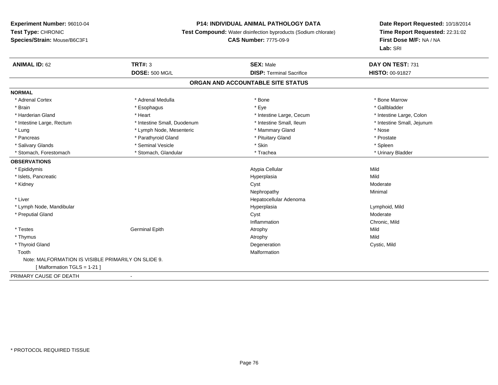### **P14: INDIVIDUAL ANIMAL PATHOLOGY DATA**

**Test Compound:** Water disinfection byproducts (Sodium chlorate)

### **CAS Number:** 7775-09-9

| <b>ANIMAL ID: 62</b>                                | <b>TRT#: 3</b>              | <b>SEX: Male</b>                  | DAY ON TEST: 731           |
|-----------------------------------------------------|-----------------------------|-----------------------------------|----------------------------|
|                                                     | <b>DOSE: 500 MG/L</b>       | <b>DISP: Terminal Sacrifice</b>   | HISTO: 00-91827            |
|                                                     |                             | ORGAN AND ACCOUNTABLE SITE STATUS |                            |
| <b>NORMAL</b>                                       |                             |                                   |                            |
| * Adrenal Cortex                                    | * Adrenal Medulla           | * Bone                            | * Bone Marrow              |
| * Brain                                             | * Esophagus                 | * Eye                             | * Gallbladder              |
| * Harderian Gland                                   | * Heart                     | * Intestine Large, Cecum          | * Intestine Large, Colon   |
| * Intestine Large, Rectum                           | * Intestine Small, Duodenum | * Intestine Small, Ileum          | * Intestine Small, Jejunum |
| * Lung                                              | * Lymph Node, Mesenteric    | * Mammary Gland                   | * Nose                     |
| * Pancreas                                          | * Parathyroid Gland         | * Pituitary Gland                 | * Prostate                 |
| * Salivary Glands                                   | * Seminal Vesicle           | * Skin                            | * Spleen                   |
| * Stomach, Forestomach                              | * Stomach, Glandular        | * Trachea                         | * Urinary Bladder          |
| <b>OBSERVATIONS</b>                                 |                             |                                   |                            |
| * Epididymis                                        |                             | Atypia Cellular                   | Mild                       |
| * Islets, Pancreatic                                |                             | Hyperplasia                       | Mild                       |
| * Kidney                                            |                             | Cyst                              | Moderate                   |
|                                                     |                             | Nephropathy                       | Minimal                    |
| * Liver                                             |                             | Hepatocellular Adenoma            |                            |
| * Lymph Node, Mandibular                            |                             | Hyperplasia                       | Lymphoid, Mild             |
| * Preputial Gland                                   |                             | Cyst                              | Moderate                   |
|                                                     |                             | Inflammation                      | Chronic, Mild              |
| * Testes                                            | <b>Germinal Epith</b>       | Atrophy                           | Mild                       |
| * Thymus                                            |                             | Atrophy                           | Mild                       |
| * Thyroid Gland                                     |                             | Degeneration                      | Cystic, Mild               |
| Tooth                                               |                             | Malformation                      |                            |
| Note: MALFORMATION IS VISIBLE PRIMARILY ON SLIDE 9. |                             |                                   |                            |
| [Malformation TGLS = 1-21]                          |                             |                                   |                            |
| PRIMARY CAUSE OF DEATH                              |                             |                                   |                            |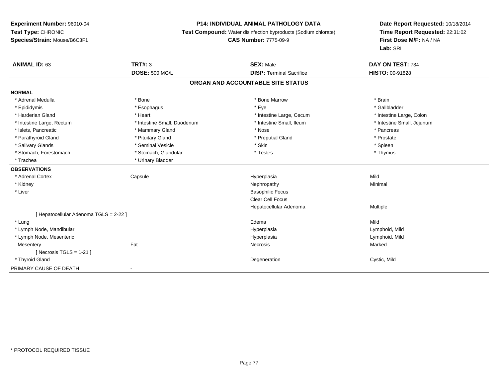### **P14: INDIVIDUAL ANIMAL PATHOLOGY DATA**

**Test Compound:** Water disinfection byproducts (Sodium chlorate)

**CAS Number:** 7775-09-9

| <b>ANIMAL ID: 63</b>                   | <b>TRT#: 3</b>              | <b>SEX: Male</b>                  | DAY ON TEST: 734           |
|----------------------------------------|-----------------------------|-----------------------------------|----------------------------|
|                                        | <b>DOSE: 500 MG/L</b>       | <b>DISP: Terminal Sacrifice</b>   | HISTO: 00-91828            |
|                                        |                             | ORGAN AND ACCOUNTABLE SITE STATUS |                            |
| <b>NORMAL</b>                          |                             |                                   |                            |
| * Adrenal Medulla                      | * Bone                      | * Bone Marrow                     | * Brain                    |
| * Epididymis                           | * Esophagus                 | * Eye                             | * Gallbladder              |
| * Harderian Gland                      | * Heart                     | * Intestine Large, Cecum          | * Intestine Large, Colon   |
| * Intestine Large, Rectum              | * Intestine Small, Duodenum | * Intestine Small, Ileum          | * Intestine Small, Jejunum |
| * Islets, Pancreatic                   | * Mammary Gland             | * Nose                            | * Pancreas                 |
| * Parathyroid Gland                    | * Pituitary Gland           | * Preputial Gland                 | * Prostate                 |
| * Salivary Glands                      | * Seminal Vesicle           | * Skin                            | * Spleen                   |
| * Stomach, Forestomach                 | * Stomach, Glandular        | * Testes                          | * Thymus                   |
| * Trachea                              | * Urinary Bladder           |                                   |                            |
| <b>OBSERVATIONS</b>                    |                             |                                   |                            |
| * Adrenal Cortex                       | Capsule                     | Hyperplasia                       | Mild                       |
| * Kidney                               |                             | Nephropathy                       | Minimal                    |
| * Liver                                |                             | <b>Basophilic Focus</b>           |                            |
|                                        |                             | <b>Clear Cell Focus</b>           |                            |
|                                        |                             | Hepatocellular Adenoma            | Multiple                   |
| [ Hepatocellular Adenoma TGLS = 2-22 ] |                             |                                   |                            |
| * Lung                                 |                             | Edema                             | Mild                       |
| * Lymph Node, Mandibular               |                             | Hyperplasia                       | Lymphoid, Mild             |
| * Lymph Node, Mesenteric               |                             | Hyperplasia                       | Lymphoid, Mild             |
| Mesentery                              | Fat                         | Necrosis                          | Marked                     |
| [Necrosis TGLS = $1-21$ ]              |                             |                                   |                            |
| * Thyroid Gland                        |                             | Degeneration                      | Cystic, Mild               |
| PRIMARY CAUSE OF DEATH                 |                             |                                   |                            |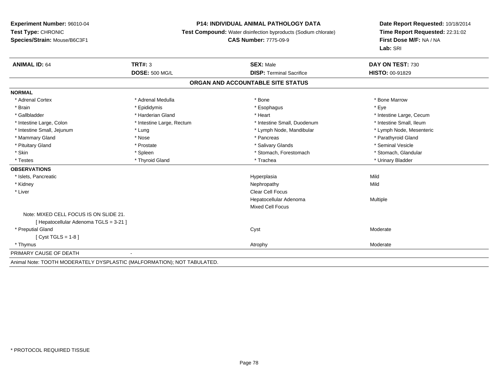### **P14: INDIVIDUAL ANIMAL PATHOLOGY DATA**

**Test Compound:** Water disinfection byproducts (Sodium chlorate)

### **CAS Number:** 7775-09-9

| <b>ANIMAL ID: 64</b>                   | TRT#: 3                                                                 | <b>SEX: Male</b>                  | DAY ON TEST: 730         |
|----------------------------------------|-------------------------------------------------------------------------|-----------------------------------|--------------------------|
|                                        | <b>DOSE: 500 MG/L</b>                                                   | <b>DISP: Terminal Sacrifice</b>   | <b>HISTO: 00-91829</b>   |
|                                        |                                                                         | ORGAN AND ACCOUNTABLE SITE STATUS |                          |
| <b>NORMAL</b>                          |                                                                         |                                   |                          |
| * Adrenal Cortex                       | * Adrenal Medulla                                                       | * Bone                            | * Bone Marrow            |
| * Brain                                | * Epididymis                                                            | * Esophagus                       | * Eye                    |
| * Gallbladder                          | * Harderian Gland                                                       | * Heart                           | * Intestine Large, Cecum |
| * Intestine Large, Colon               | * Intestine Large, Rectum                                               | * Intestine Small, Duodenum       | * Intestine Small, Ileum |
| * Intestine Small, Jejunum             | * Lung                                                                  | * Lymph Node, Mandibular          | * Lymph Node, Mesenteric |
| * Mammary Gland                        | * Nose                                                                  | * Pancreas                        | * Parathyroid Gland      |
| * Pituitary Gland                      | * Prostate                                                              | * Salivary Glands                 | * Seminal Vesicle        |
| * Skin                                 | * Spleen                                                                | * Stomach, Forestomach            | * Stomach, Glandular     |
| * Testes                               | * Thyroid Gland                                                         | * Trachea                         | * Urinary Bladder        |
| <b>OBSERVATIONS</b>                    |                                                                         |                                   |                          |
| * Islets, Pancreatic                   |                                                                         | Hyperplasia                       | Mild                     |
| * Kidney                               |                                                                         | Nephropathy                       | Mild                     |
| * Liver                                |                                                                         | Clear Cell Focus                  |                          |
|                                        |                                                                         | Hepatocellular Adenoma            | Multiple                 |
|                                        |                                                                         | <b>Mixed Cell Focus</b>           |                          |
| Note: MIXED CELL FOCUS IS ON SLIDE 21. |                                                                         |                                   |                          |
| [ Hepatocellular Adenoma TGLS = 3-21 ] |                                                                         |                                   |                          |
| * Preputial Gland                      |                                                                         | Cyst                              | Moderate                 |
| [ $Cyst TGLS = 1-8$ ]                  |                                                                         |                                   |                          |
| * Thymus                               |                                                                         | Atrophy                           | Moderate                 |
| PRIMARY CAUSE OF DEATH                 | $\blacksquare$                                                          |                                   |                          |
|                                        | Animal Note: TOOTH MODERATELY DYSPLASTIC (MALFORMATION); NOT TABULATED. |                                   |                          |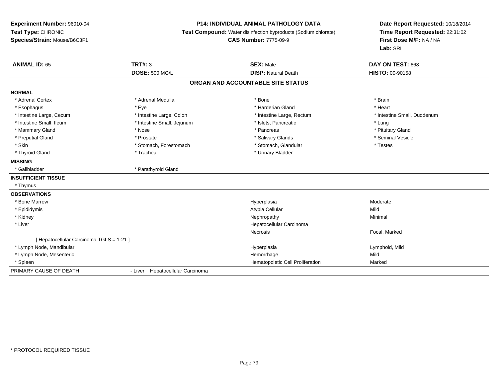### **P14: INDIVIDUAL ANIMAL PATHOLOGY DATA**

**Test Compound:** Water disinfection byproducts (Sodium chlorate)

**CAS Number:** 7775-09-9

| <b>ANIMAL ID: 65</b>                     | <b>TRT#: 3</b>                   | <b>SEX: Male</b>                  | DAY ON TEST: 668            |
|------------------------------------------|----------------------------------|-----------------------------------|-----------------------------|
|                                          | <b>DOSE: 500 MG/L</b>            | <b>DISP: Natural Death</b>        | <b>HISTO: 00-90158</b>      |
|                                          |                                  | ORGAN AND ACCOUNTABLE SITE STATUS |                             |
| <b>NORMAL</b>                            |                                  |                                   |                             |
| * Adrenal Cortex                         | * Adrenal Medulla                | * Bone                            | * Brain                     |
| * Esophagus                              | * Eye                            | * Harderian Gland                 | * Heart                     |
| * Intestine Large, Cecum                 | * Intestine Large, Colon         | * Intestine Large, Rectum         | * Intestine Small, Duodenum |
| * Intestine Small, Ileum                 | * Intestine Small, Jejunum       | * Islets, Pancreatic              | * Lung                      |
| * Mammary Gland                          | * Nose                           | * Pancreas                        | * Pituitary Gland           |
| * Preputial Gland                        | * Prostate                       | * Salivary Glands                 | * Seminal Vesicle           |
| * Skin                                   | * Stomach, Forestomach           | * Stomach, Glandular              | * Testes                    |
| * Thyroid Gland                          | * Trachea                        | * Urinary Bladder                 |                             |
| <b>MISSING</b>                           |                                  |                                   |                             |
| * Gallbladder                            | * Parathyroid Gland              |                                   |                             |
| <b>INSUFFICIENT TISSUE</b>               |                                  |                                   |                             |
| * Thymus                                 |                                  |                                   |                             |
| <b>OBSERVATIONS</b>                      |                                  |                                   |                             |
| * Bone Marrow                            |                                  | Hyperplasia                       | Moderate                    |
| * Epididymis                             |                                  | Atypia Cellular                   | Mild                        |
| * Kidney                                 |                                  | Nephropathy                       | Minimal                     |
| * Liver                                  |                                  | Hepatocellular Carcinoma          |                             |
|                                          |                                  | <b>Necrosis</b>                   | Focal, Marked               |
| [ Hepatocellular Carcinoma TGLS = 1-21 ] |                                  |                                   |                             |
| * Lymph Node, Mandibular                 |                                  | Hyperplasia                       | Lymphoid, Mild              |
| * Lymph Node, Mesenteric                 |                                  | Hemorrhage                        | Mild                        |
| * Spleen                                 |                                  | Hematopoietic Cell Proliferation  | Marked                      |
| PRIMARY CAUSE OF DEATH                   | - Liver Hepatocellular Carcinoma |                                   |                             |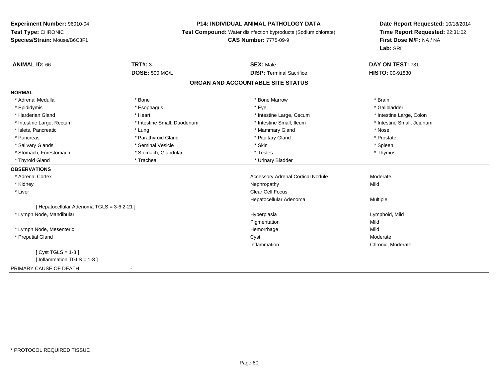### **P14: INDIVIDUAL ANIMAL PATHOLOGY DATA**

**Test Compound:** Water disinfection byproducts (Sodium chlorate)

**CAS Number:** 7775-09-9

| <b>ANIMAL ID: 66</b>                       | <b>TRT#: 3</b>              | <b>SEX: Male</b>                         | DAY ON TEST: 731           |
|--------------------------------------------|-----------------------------|------------------------------------------|----------------------------|
|                                            | <b>DOSE: 500 MG/L</b>       | <b>DISP: Terminal Sacrifice</b>          | <b>HISTO: 00-91830</b>     |
|                                            |                             | ORGAN AND ACCOUNTABLE SITE STATUS        |                            |
| <b>NORMAL</b>                              |                             |                                          |                            |
| * Adrenal Medulla                          | * Bone                      | * Bone Marrow                            | * Brain                    |
| * Epididymis                               | * Esophagus                 | * Eve                                    | * Gallbladder              |
| * Harderian Gland                          | * Heart                     | * Intestine Large, Cecum                 | * Intestine Large, Colon   |
| * Intestine Large, Rectum                  | * Intestine Small, Duodenum | * Intestine Small, Ileum                 | * Intestine Small, Jejunum |
| * Islets, Pancreatic                       | * Lung                      | * Mammary Gland                          | * Nose                     |
| * Pancreas                                 | * Parathyroid Gland         | * Pituitary Gland                        | * Prostate                 |
| * Salivary Glands                          | * Seminal Vesicle           | * Skin                                   | * Spleen                   |
| * Stomach, Forestomach                     | * Stomach, Glandular        | * Testes                                 | * Thymus                   |
| * Thyroid Gland                            | * Trachea                   | * Urinary Bladder                        |                            |
| <b>OBSERVATIONS</b>                        |                             |                                          |                            |
| * Adrenal Cortex                           |                             | <b>Accessory Adrenal Cortical Nodule</b> | Moderate                   |
| * Kidney                                   |                             | Nephropathy                              | Mild                       |
| * Liver                                    |                             | Clear Cell Focus                         |                            |
|                                            |                             | Hepatocellular Adenoma                   | Multiple                   |
| [ Hepatocellular Adenoma TGLS = 3-6,2-21 ] |                             |                                          |                            |
| * Lymph Node, Mandibular                   |                             | Hyperplasia                              | Lymphoid, Mild             |
|                                            |                             | Pigmentation                             | Mild                       |
| * Lymph Node, Mesenteric                   |                             | Hemorrhage                               | Mild                       |
| * Preputial Gland                          |                             | Cyst                                     | Moderate                   |
|                                            |                             | Inflammation                             | Chronic, Moderate          |
| [ $Cyst TGLS = 1-8$ ]                      |                             |                                          |                            |
| [Inflammation TGLS = 1-8]                  |                             |                                          |                            |
| PRIMARY CAUSE OF DEATH                     |                             |                                          |                            |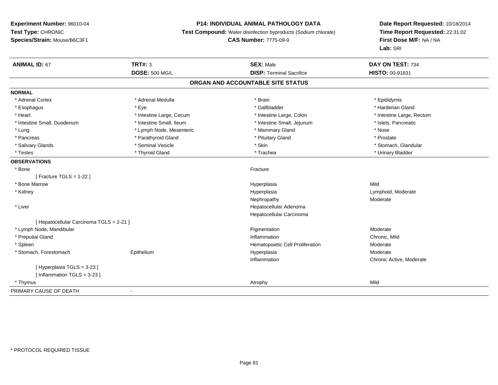### **P14: INDIVIDUAL ANIMAL PATHOLOGY DATA**

**Test Compound:** Water disinfection byproducts (Sodium chlorate)

**CAS Number:** 7775-09-9

| <b>ANIMAL ID: 67</b>                     | <b>TRT#: 3</b>           | <b>SEX: Male</b>                  | DAY ON TEST: 734          |
|------------------------------------------|--------------------------|-----------------------------------|---------------------------|
|                                          | <b>DOSE: 500 MG/L</b>    | <b>DISP: Terminal Sacrifice</b>   | HISTO: 00-91831           |
|                                          |                          | ORGAN AND ACCOUNTABLE SITE STATUS |                           |
| <b>NORMAL</b>                            |                          |                                   |                           |
| * Adrenal Cortex                         | * Adrenal Medulla        | * Brain                           | * Epididymis              |
| * Esophagus                              | * Eve                    | * Gallbladder                     | * Harderian Gland         |
| * Heart                                  | * Intestine Large, Cecum | * Intestine Large, Colon          | * Intestine Large, Rectum |
| * Intestine Small, Duodenum              | * Intestine Small, Ileum | * Intestine Small, Jejunum        | * Islets, Pancreatic      |
| * Lung                                   | * Lymph Node, Mesenteric | * Mammary Gland                   | * Nose                    |
| * Pancreas                               | * Parathyroid Gland      | * Pituitary Gland                 | * Prostate                |
| * Salivary Glands                        | * Seminal Vesicle        | * Skin                            | * Stomach, Glandular      |
| * Testes                                 | * Thyroid Gland          | * Trachea                         | * Urinary Bladder         |
| <b>OBSERVATIONS</b>                      |                          |                                   |                           |
| * Bone                                   |                          | Fracture                          |                           |
| [ Fracture TGLS = $1-22$ ]               |                          |                                   |                           |
| * Bone Marrow                            |                          | Hyperplasia                       | Mild                      |
| * Kidney                                 |                          | Hyperplasia                       | Lymphoid, Moderate        |
|                                          |                          | Nephropathy                       | Moderate                  |
| * Liver                                  |                          | Hepatocellular Adenoma            |                           |
|                                          |                          | Hepatocellular Carcinoma          |                           |
| [ Hepatocellular Carcinoma TGLS = 2-21 ] |                          |                                   |                           |
| * Lymph Node, Mandibular                 |                          | Pigmentation                      | Moderate                  |
| * Preputial Gland                        |                          | Inflammation                      | Chronic, Mild             |
| * Spleen                                 |                          | Hematopoietic Cell Proliferation  | Moderate                  |
| * Stomach, Forestomach                   | Epithelium               | Hyperplasia                       | Moderate                  |
|                                          |                          | Inflammation                      | Chronic Active, Moderate  |
| [ Hyperplasia TGLS = 3-23 ]              |                          |                                   |                           |
| [Inflammation TGLS = 3-23]               |                          |                                   |                           |
| * Thymus                                 |                          | Atrophy                           | Mild                      |
| PRIMARY CAUSE OF DEATH                   | $\overline{\phantom{a}}$ |                                   |                           |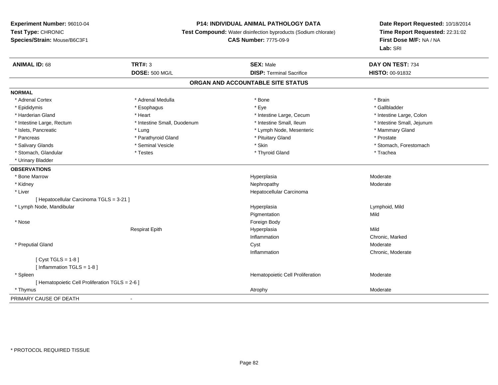### **P14: INDIVIDUAL ANIMAL PATHOLOGY DATA**

**Test Compound:** Water disinfection byproducts (Sodium chlorate)

**CAS Number:** 7775-09-9

| <b>ANIMAL ID: 68</b>                          | <b>TRT#: 3</b>              | <b>SEX: Male</b>                  | DAY ON TEST: 734           |
|-----------------------------------------------|-----------------------------|-----------------------------------|----------------------------|
|                                               | <b>DOSE: 500 MG/L</b>       | <b>DISP: Terminal Sacrifice</b>   | <b>HISTO: 00-91832</b>     |
|                                               |                             | ORGAN AND ACCOUNTABLE SITE STATUS |                            |
| <b>NORMAL</b>                                 |                             |                                   |                            |
| * Adrenal Cortex                              | * Adrenal Medulla           | * Bone                            | * Brain                    |
| * Epididymis                                  | * Esophagus                 | * Eye                             | * Gallbladder              |
| * Harderian Gland                             | * Heart                     | * Intestine Large, Cecum          | * Intestine Large, Colon   |
| * Intestine Large, Rectum                     | * Intestine Small, Duodenum | * Intestine Small, Ileum          | * Intestine Small, Jejunum |
| * Islets, Pancreatic                          | * Lung                      | * Lymph Node, Mesenteric          | * Mammary Gland            |
| * Pancreas                                    | * Parathyroid Gland         | * Pituitary Gland                 | * Prostate                 |
| * Salivary Glands                             | * Seminal Vesicle           | * Skin                            | * Stomach, Forestomach     |
| * Stomach, Glandular                          | * Testes                    | * Thyroid Gland                   | * Trachea                  |
| * Urinary Bladder                             |                             |                                   |                            |
| <b>OBSERVATIONS</b>                           |                             |                                   |                            |
| * Bone Marrow                                 |                             | Hyperplasia                       | Moderate                   |
| * Kidney                                      |                             | Nephropathy                       | Moderate                   |
| * Liver                                       |                             | Hepatocellular Carcinoma          |                            |
| [Hepatocellular Carcinoma TGLS = 3-21]        |                             |                                   |                            |
| * Lymph Node, Mandibular                      |                             | Hyperplasia                       | Lymphoid, Mild             |
|                                               |                             | Pigmentation                      | Mild                       |
| * Nose                                        |                             | Foreign Body                      |                            |
|                                               | <b>Respirat Epith</b>       | Hyperplasia                       | Mild                       |
|                                               |                             | Inflammation                      | Chronic, Marked            |
| * Preputial Gland                             |                             | Cyst                              | Moderate                   |
|                                               |                             | Inflammation                      | Chronic, Moderate          |
| [Cyst TGLS = $1-8$ ]                          |                             |                                   |                            |
| [Inflammation TGLS = $1-8$ ]                  |                             |                                   |                            |
| * Spleen                                      |                             | Hematopoietic Cell Proliferation  | Moderate                   |
| [Hematopoietic Cell Proliferation TGLS = 2-6] |                             |                                   |                            |
| * Thymus                                      |                             | Atrophy                           | Moderate                   |
| PRIMARY CAUSE OF DEATH                        | $\sim$                      |                                   |                            |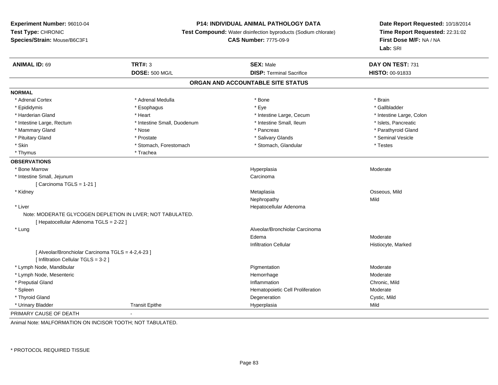## **P14: INDIVIDUAL ANIMAL PATHOLOGY DATA**

**Test Compound:** Water disinfection byproducts (Sodium chlorate)

```
CAS Number: 7775-09-9
```
**Date Report Requested:** 10/18/2014 **Time Report Requested:** 22:31:02**First Dose M/F:** NA / NA**Lab:** SRI

| <b>ANIMAL ID: 69</b>                               | <b>TRT#: 3</b>                                             | <b>SEX: Male</b>                  | DAY ON TEST: 731         |
|----------------------------------------------------|------------------------------------------------------------|-----------------------------------|--------------------------|
|                                                    | <b>DOSE: 500 MG/L</b>                                      | <b>DISP: Terminal Sacrifice</b>   | HISTO: 00-91833          |
|                                                    |                                                            | ORGAN AND ACCOUNTABLE SITE STATUS |                          |
| <b>NORMAL</b>                                      |                                                            |                                   |                          |
| * Adrenal Cortex                                   | * Adrenal Medulla                                          | * Bone                            | * Brain                  |
| * Epididymis                                       | * Esophagus                                                | * Eye                             | * Gallbladder            |
| * Harderian Gland                                  | * Heart                                                    | * Intestine Large, Cecum          | * Intestine Large, Colon |
| * Intestine Large, Rectum                          | * Intestine Small, Duodenum                                | * Intestine Small, Ileum          | * Islets, Pancreatic     |
| * Mammary Gland                                    | * Nose                                                     | * Pancreas                        | * Parathyroid Gland      |
| * Pituitary Gland                                  | * Prostate                                                 | * Salivary Glands                 | * Seminal Vesicle        |
| * Skin                                             | * Stomach, Forestomach                                     | * Stomach, Glandular              | * Testes                 |
| * Thymus                                           | * Trachea                                                  |                                   |                          |
| <b>OBSERVATIONS</b>                                |                                                            |                                   |                          |
| * Bone Marrow                                      |                                                            | Hyperplasia                       | Moderate                 |
| * Intestine Small, Jejunum                         |                                                            | Carcinoma                         |                          |
| [ Carcinoma TGLS = 1-21 ]                          |                                                            |                                   |                          |
| * Kidney                                           |                                                            | Metaplasia                        | Osseous, Mild            |
|                                                    |                                                            | Nephropathy                       | Mild                     |
| * Liver                                            |                                                            | Hepatocellular Adenoma            |                          |
|                                                    | Note: MODERATE GLYCOGEN DEPLETION IN LIVER; NOT TABULATED. |                                   |                          |
| [ Hepatocellular Adenoma TGLS = 2-22 ]             |                                                            |                                   |                          |
| * Lung                                             |                                                            | Alveolar/Bronchiolar Carcinoma    |                          |
|                                                    |                                                            | Edema                             | Moderate                 |
|                                                    |                                                            | <b>Infiltration Cellular</b>      | Histiocyte, Marked       |
| [ Alveolar/Bronchiolar Carcinoma TGLS = 4-2,4-23 ] |                                                            |                                   |                          |
| [ Infiltration Cellular TGLS = 3-2 ]               |                                                            |                                   |                          |
| * Lymph Node, Mandibular                           |                                                            | Pigmentation                      | Moderate                 |
| * Lymph Node, Mesenteric                           |                                                            | Hemorrhage                        | Moderate                 |
| * Preputial Gland                                  |                                                            | Inflammation                      | Chronic, Mild            |
| * Spleen                                           |                                                            | Hematopoietic Cell Proliferation  | Moderate                 |
| * Thyroid Gland                                    |                                                            | Degeneration                      | Cystic, Mild             |
| * Urinary Bladder                                  | <b>Transit Epithe</b>                                      | Hyperplasia                       | Mild                     |
| PRIMARY CAUSE OF DEATH                             |                                                            |                                   |                          |

Animal Note: MALFORMATION ON INCISOR TOOTH; NOT TABULATED.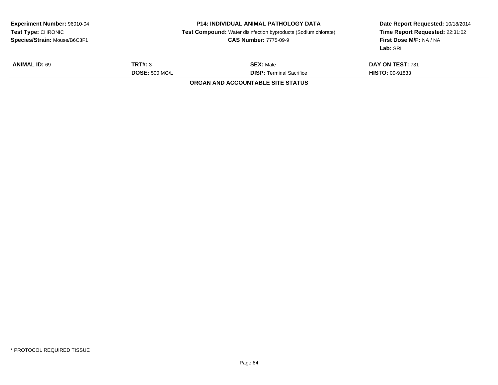| Date Report Requested: 10/18/2014<br>Time Report Requested: 22:31:02<br>First Dose M/F: NA / NA |
|-------------------------------------------------------------------------------------------------|
| DAY ON TEST: 731                                                                                |
| <b>HISTO: 00-91833</b>                                                                          |
|                                                                                                 |
|                                                                                                 |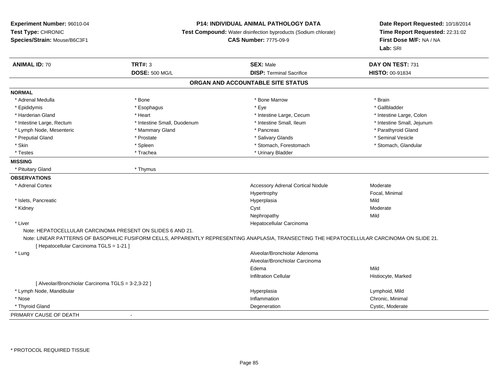### **P14: INDIVIDUAL ANIMAL PATHOLOGY DATA**

**Test Compound:** Water disinfection byproducts (Sodium chlorate)

```
CAS Number: 7775-09-9
```

| <b>ANIMAL ID: 70</b>                               | <b>TRT#: 3</b>                                             | <b>SEX: Male</b>                                                                                                                             | DAY ON TEST: 731           |
|----------------------------------------------------|------------------------------------------------------------|----------------------------------------------------------------------------------------------------------------------------------------------|----------------------------|
|                                                    | <b>DOSE: 500 MG/L</b>                                      | <b>DISP: Terminal Sacrifice</b>                                                                                                              | <b>HISTO: 00-91834</b>     |
|                                                    |                                                            | ORGAN AND ACCOUNTABLE SITE STATUS                                                                                                            |                            |
| <b>NORMAL</b>                                      |                                                            |                                                                                                                                              |                            |
| * Adrenal Medulla                                  | * Bone                                                     | * Bone Marrow                                                                                                                                | * Brain                    |
| * Epididymis                                       | * Esophagus                                                | * Eye                                                                                                                                        | * Gallbladder              |
| * Harderian Gland                                  | * Heart                                                    | * Intestine Large, Cecum                                                                                                                     | * Intestine Large, Colon   |
| * Intestine Large, Rectum                          | * Intestine Small, Duodenum                                | * Intestine Small, Ileum                                                                                                                     | * Intestine Small, Jejunum |
| * Lymph Node, Mesenteric                           | * Mammary Gland                                            | * Pancreas                                                                                                                                   | * Parathyroid Gland        |
| * Preputial Gland                                  | * Prostate                                                 | * Salivary Glands                                                                                                                            | * Seminal Vesicle          |
| * Skin                                             | * Spleen                                                   | * Stomach, Forestomach                                                                                                                       | * Stomach, Glandular       |
| * Testes                                           | * Trachea                                                  | * Urinary Bladder                                                                                                                            |                            |
| <b>MISSING</b>                                     |                                                            |                                                                                                                                              |                            |
| * Pituitary Gland                                  | * Thymus                                                   |                                                                                                                                              |                            |
| <b>OBSERVATIONS</b>                                |                                                            |                                                                                                                                              |                            |
| * Adrenal Cortex                                   |                                                            | <b>Accessory Adrenal Cortical Nodule</b>                                                                                                     | Moderate                   |
|                                                    |                                                            | Hypertrophy                                                                                                                                  | Focal, Minimal             |
| * Islets, Pancreatic                               |                                                            | Hyperplasia                                                                                                                                  | Mild                       |
| * Kidney                                           |                                                            | Cyst                                                                                                                                         | Moderate                   |
|                                                    |                                                            | Nephropathy                                                                                                                                  | Mild                       |
| * Liver                                            |                                                            | Hepatocellular Carcinoma                                                                                                                     |                            |
|                                                    | Note: HEPATOCELLULAR CARCINOMA PRESENT ON SLIDES 6 AND 21. |                                                                                                                                              |                            |
|                                                    |                                                            | Note: LINEAR PATTERNS OF BASOPHILIC FUSIFORM CELLS, APPARENTLY REPRESENTING ANAPLASIA, TRANSECTING THE HEPATOCELLULAR CARCINOMA ON SLIDE 21. |                            |
| [ Hepatocellular Carcinoma TGLS = 1-21 ]           |                                                            |                                                                                                                                              |                            |
| * Lung                                             |                                                            | Alveolar/Bronchiolar Adenoma                                                                                                                 |                            |
|                                                    |                                                            | Alveolar/Bronchiolar Carcinoma                                                                                                               |                            |
|                                                    |                                                            | Edema                                                                                                                                        | Mild                       |
|                                                    |                                                            | <b>Infiltration Cellular</b>                                                                                                                 | Histiocyte, Marked         |
| [ Alveolar/Bronchiolar Carcinoma TGLS = 3-2,3-22 ] |                                                            |                                                                                                                                              |                            |
| * Lymph Node, Mandibular                           |                                                            | Hyperplasia                                                                                                                                  | Lymphoid, Mild             |
| * Nose                                             |                                                            | Inflammation                                                                                                                                 | Chronic, Minimal           |
| * Thyroid Gland                                    |                                                            | Degeneration                                                                                                                                 | Cystic, Moderate           |
| PRIMARY CAUSE OF DEATH                             |                                                            |                                                                                                                                              |                            |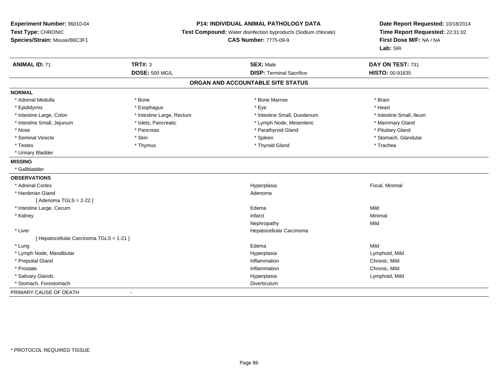### **P14: INDIVIDUAL ANIMAL PATHOLOGY DATA**

**Test Compound:** Water disinfection byproducts (Sodium chlorate)

**CAS Number:** 7775-09-9

| <b>ANIMAL ID: 71</b>                     | <b>TRT#: 3</b>            | <b>SEX: Male</b>                  | DAY ON TEST: 731         |  |
|------------------------------------------|---------------------------|-----------------------------------|--------------------------|--|
|                                          | <b>DOSE: 500 MG/L</b>     | <b>DISP: Terminal Sacrifice</b>   | <b>HISTO: 00-91835</b>   |  |
|                                          |                           | ORGAN AND ACCOUNTABLE SITE STATUS |                          |  |
| <b>NORMAL</b>                            |                           |                                   |                          |  |
| * Adrenal Medulla                        | * Bone                    | * Bone Marrow                     | * Brain                  |  |
| * Epididymis                             | * Esophagus               | * Eye                             | * Heart                  |  |
| * Intestine Large, Colon                 | * Intestine Large, Rectum | * Intestine Small, Duodenum       | * Intestine Small, Ileum |  |
| * Intestine Small, Jejunum               | * Islets, Pancreatic      | * Lymph Node, Mesenteric          | * Mammary Gland          |  |
| * Nose                                   | * Pancreas                | * Parathyroid Gland               | * Pituitary Gland        |  |
| * Seminal Vesicle                        | * Skin                    | * Spleen                          | * Stomach, Glandular     |  |
| * Testes                                 | * Thymus                  | * Thyroid Gland                   | * Trachea                |  |
| * Urinary Bladder                        |                           |                                   |                          |  |
| <b>MISSING</b>                           |                           |                                   |                          |  |
| * Gallbladder                            |                           |                                   |                          |  |
| <b>OBSERVATIONS</b>                      |                           |                                   |                          |  |
| * Adrenal Cortex                         |                           | Hyperplasia                       | Focal, Minimal           |  |
| * Harderian Gland                        |                           | Adenoma                           |                          |  |
| [ Adenoma TGLS = 2-22 ]                  |                           |                                   |                          |  |
| * Intestine Large, Cecum                 |                           | Edema                             | Mild                     |  |
| * Kidney                                 |                           | Infarct                           | Minimal                  |  |
|                                          |                           | Nephropathy                       | Mild                     |  |
| * Liver                                  |                           | Hepatocellular Carcinoma          |                          |  |
| [ Hepatocellular Carcinoma TGLS = 1-21 ] |                           |                                   |                          |  |
| * Lung                                   |                           | Edema                             | Mild                     |  |
| * Lymph Node, Mandibular                 |                           | Hyperplasia                       | Lymphoid, Mild           |  |
| * Preputial Gland                        |                           | Inflammation                      | Chronic, Mild            |  |
| * Prostate                               |                           | Inflammation                      | Chronic, Mild            |  |
| * Salivary Glands                        |                           | Hyperplasia                       | Lymphoid, Mild           |  |
| * Stomach, Forestomach                   |                           | Diverticulum                      |                          |  |
| PRIMARY CAUSE OF DEATH                   | $\overline{\phantom{a}}$  |                                   |                          |  |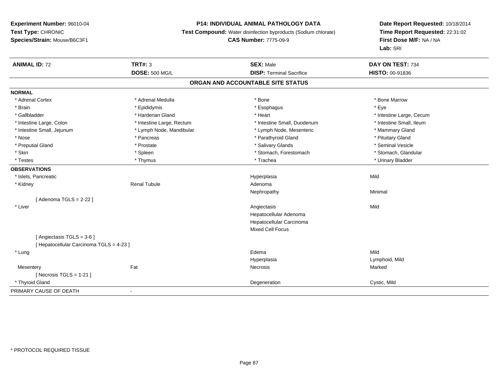### **P14: INDIVIDUAL ANIMAL PATHOLOGY DATA**

**Test Compound:** Water disinfection byproducts (Sodium chlorate)

### **CAS Number:** 7775-09-9

| <b>ANIMAL ID: 72</b>                     | <b>TRT#: 3</b>            | <b>SEX: Male</b>                  | DAY ON TEST: 734         |  |
|------------------------------------------|---------------------------|-----------------------------------|--------------------------|--|
|                                          | <b>DOSE: 500 MG/L</b>     | <b>DISP: Terminal Sacrifice</b>   | HISTO: 00-91836          |  |
|                                          |                           | ORGAN AND ACCOUNTABLE SITE STATUS |                          |  |
| <b>NORMAL</b>                            |                           |                                   |                          |  |
| * Adrenal Cortex                         | * Adrenal Medulla         | * Bone                            | * Bone Marrow            |  |
| * Brain                                  | * Epididymis              | * Esophagus                       | * Eve                    |  |
| * Gallbladder                            | * Harderian Gland         | * Heart                           | * Intestine Large, Cecum |  |
| * Intestine Large, Colon                 | * Intestine Large, Rectum | * Intestine Small, Duodenum       | * Intestine Small, Ileum |  |
| * Intestine Small, Jejunum               | * Lymph Node, Mandibular  | * Lymph Node, Mesenteric          | * Mammary Gland          |  |
| * Nose                                   | * Pancreas                | * Parathyroid Gland               | * Pituitary Gland        |  |
| * Preputial Gland                        | * Prostate                | * Salivary Glands                 | * Seminal Vesicle        |  |
| * Skin                                   | * Spleen                  | * Stomach, Forestomach            | * Stomach, Glandular     |  |
| * Testes                                 | * Thymus                  | * Trachea                         | * Urinary Bladder        |  |
| <b>OBSERVATIONS</b>                      |                           |                                   |                          |  |
| * Islets, Pancreatic                     |                           | Hyperplasia                       | Mild                     |  |
| * Kidney                                 | <b>Renal Tubule</b>       | Adenoma                           |                          |  |
|                                          |                           | Nephropathy                       | Minimal                  |  |
| [Adenoma TGLS = $2-22$ ]                 |                           |                                   |                          |  |
| * Liver                                  |                           | Angiectasis                       | Mild                     |  |
|                                          |                           | Hepatocellular Adenoma            |                          |  |
|                                          |                           | Hepatocellular Carcinoma          |                          |  |
|                                          |                           | <b>Mixed Cell Focus</b>           |                          |  |
| [Angiectasis TGLS = 3-6]                 |                           |                                   |                          |  |
| [ Hepatocellular Carcinoma TGLS = 4-23 ] |                           |                                   |                          |  |
| * Lung                                   |                           | Edema                             | Mild                     |  |
|                                          |                           | Hyperplasia                       | Lymphoid, Mild           |  |
| Mesentery                                | Fat                       | Necrosis                          | Marked                   |  |
| [ Necrosis $TGLS = 1-21$ ]               |                           |                                   |                          |  |
| * Thyroid Gland                          |                           | Degeneration                      | Cystic, Mild             |  |
| PRIMARY CAUSE OF DEATH                   | $\blacksquare$            |                                   |                          |  |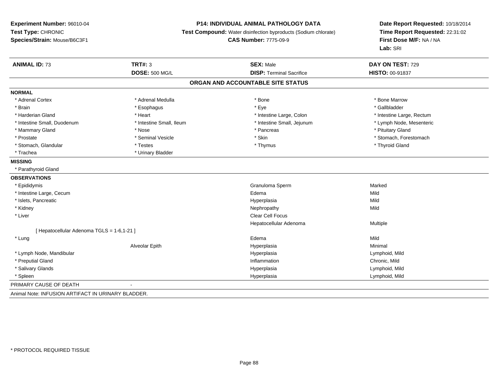# **P14: INDIVIDUAL ANIMAL PATHOLOGY DATA**

**Test Compound:** Water disinfection byproducts (Sodium chlorate)

**CAS Number:** 7775-09-9

| <b>ANIMAL ID: 73</b>                               | <b>TRT#: 3</b>           | <b>SEX: Male</b>                | DAY ON TEST: 729          |  |  |  |
|----------------------------------------------------|--------------------------|---------------------------------|---------------------------|--|--|--|
|                                                    | <b>DOSE: 500 MG/L</b>    | <b>DISP: Terminal Sacrifice</b> | HISTO: 00-91837           |  |  |  |
| ORGAN AND ACCOUNTABLE SITE STATUS                  |                          |                                 |                           |  |  |  |
| <b>NORMAL</b>                                      |                          |                                 |                           |  |  |  |
| * Adrenal Cortex                                   | * Adrenal Medulla        | * Bone                          | * Bone Marrow             |  |  |  |
| * Brain                                            | * Esophagus              | * Eye                           | * Gallbladder             |  |  |  |
| * Harderian Gland                                  | * Heart                  | * Intestine Large, Colon        | * Intestine Large, Rectum |  |  |  |
| * Intestine Small, Duodenum                        | * Intestine Small, Ileum | * Intestine Small, Jejunum      | * Lymph Node, Mesenteric  |  |  |  |
| * Mammary Gland                                    | * Nose                   | * Pancreas                      | * Pituitary Gland         |  |  |  |
| * Prostate                                         | * Seminal Vesicle        | * Skin                          | * Stomach, Forestomach    |  |  |  |
| * Stomach, Glandular                               | * Testes                 | * Thymus                        | * Thyroid Gland           |  |  |  |
| * Trachea                                          | * Urinary Bladder        |                                 |                           |  |  |  |
| <b>MISSING</b>                                     |                          |                                 |                           |  |  |  |
| * Parathyroid Gland                                |                          |                                 |                           |  |  |  |
| <b>OBSERVATIONS</b>                                |                          |                                 |                           |  |  |  |
| * Epididymis                                       |                          | Granuloma Sperm                 | Marked                    |  |  |  |
| * Intestine Large, Cecum                           |                          | Edema                           | Mild                      |  |  |  |
| * Islets, Pancreatic                               |                          | Hyperplasia                     | Mild                      |  |  |  |
| * Kidney                                           |                          | Nephropathy                     | Mild                      |  |  |  |
| * Liver                                            |                          | Clear Cell Focus                |                           |  |  |  |
|                                                    |                          | Hepatocellular Adenoma          | Multiple                  |  |  |  |
| [ Hepatocellular Adenoma TGLS = 1-6,1-21 ]         |                          |                                 |                           |  |  |  |
| * Lung                                             |                          | Edema                           | Mild                      |  |  |  |
|                                                    | Alveolar Epith           | Hyperplasia                     | Minimal                   |  |  |  |
| * Lymph Node, Mandibular                           |                          | Hyperplasia                     | Lymphoid, Mild            |  |  |  |
| * Preputial Gland                                  |                          | Inflammation                    | Chronic, Mild             |  |  |  |
| * Salivary Glands                                  |                          | Hyperplasia                     | Lymphoid, Mild            |  |  |  |
| * Spleen                                           |                          | Hyperplasia                     | Lymphoid, Mild            |  |  |  |
| PRIMARY CAUSE OF DEATH                             |                          |                                 |                           |  |  |  |
| Animal Note: INFUSION ARTIFACT IN URINARY BLADDER. |                          |                                 |                           |  |  |  |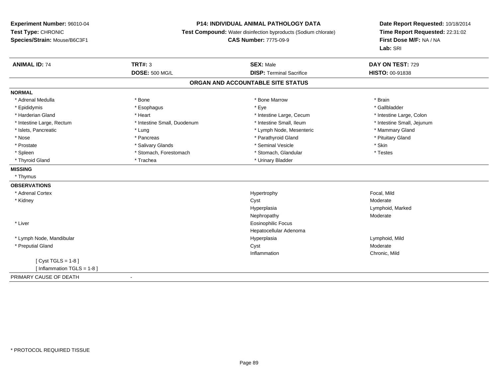### **P14: INDIVIDUAL ANIMAL PATHOLOGY DATA**

**Test Compound:** Water disinfection byproducts (Sodium chlorate)

#### **CAS Number:** 7775-09-9

| <b>ANIMAL ID: 74</b>         | <b>TRT#: 3</b>              | <b>SEX: Male</b>                  | DAY ON TEST: 729           |
|------------------------------|-----------------------------|-----------------------------------|----------------------------|
|                              | <b>DOSE: 500 MG/L</b>       | <b>DISP: Terminal Sacrifice</b>   | <b>HISTO: 00-91838</b>     |
|                              |                             | ORGAN AND ACCOUNTABLE SITE STATUS |                            |
| <b>NORMAL</b>                |                             |                                   |                            |
| * Adrenal Medulla            | * Bone                      | * Bone Marrow                     | * Brain                    |
| * Epididymis                 | * Esophagus                 | * Eye                             | * Gallbladder              |
| * Harderian Gland            | * Heart                     | * Intestine Large, Cecum          | * Intestine Large, Colon   |
| * Intestine Large, Rectum    | * Intestine Small, Duodenum | * Intestine Small, Ileum          | * Intestine Small, Jejunum |
| * Islets, Pancreatic         | * Lung                      | * Lymph Node, Mesenteric          | * Mammary Gland            |
| * Nose                       | * Pancreas                  | * Parathyroid Gland               | * Pituitary Gland          |
| * Prostate                   | * Salivary Glands           | * Seminal Vesicle                 | * Skin                     |
| * Spleen                     | * Stomach, Forestomach      | * Stomach, Glandular              | * Testes                   |
| * Thyroid Gland              | * Trachea                   | * Urinary Bladder                 |                            |
| <b>MISSING</b>               |                             |                                   |                            |
| * Thymus                     |                             |                                   |                            |
| <b>OBSERVATIONS</b>          |                             |                                   |                            |
| * Adrenal Cortex             |                             | Hypertrophy                       | Focal, Mild                |
| * Kidney                     |                             | Cyst                              | Moderate                   |
|                              |                             | Hyperplasia                       | Lymphoid, Marked           |
|                              |                             | Nephropathy                       | Moderate                   |
| * Liver                      |                             | <b>Eosinophilic Focus</b>         |                            |
|                              |                             | Hepatocellular Adenoma            |                            |
| * Lymph Node, Mandibular     |                             | Hyperplasia                       | Lymphoid, Mild             |
| * Preputial Gland            |                             | Cyst                              | Moderate                   |
|                              |                             | Inflammation                      | Chronic, Mild              |
| [Cyst TGLS = $1-8$ ]         |                             |                                   |                            |
| [Inflammation TGLS = $1-8$ ] |                             |                                   |                            |
| PRIMARY CAUSE OF DEATH       | $\overline{\phantom{a}}$    |                                   |                            |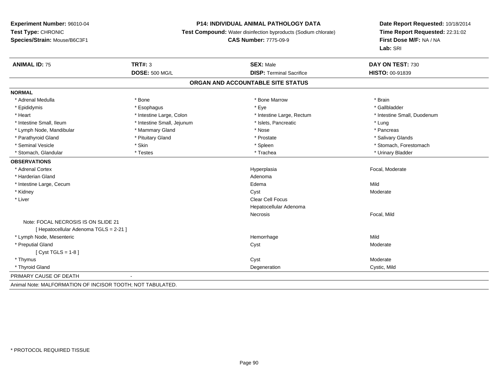### **P14: INDIVIDUAL ANIMAL PATHOLOGY DATA**

**Test Compound:** Water disinfection byproducts (Sodium chlorate)

#### **CAS Number:** 7775-09-9

| <b>ANIMAL ID: 75</b>                                       | <b>TRT#: 3</b>             | <b>SEX: Male</b>                  | DAY ON TEST: 730            |
|------------------------------------------------------------|----------------------------|-----------------------------------|-----------------------------|
|                                                            | <b>DOSE: 500 MG/L</b>      | <b>DISP: Terminal Sacrifice</b>   | <b>HISTO: 00-91839</b>      |
|                                                            |                            | ORGAN AND ACCOUNTABLE SITE STATUS |                             |
| <b>NORMAL</b>                                              |                            |                                   |                             |
| * Adrenal Medulla                                          | * Bone                     | * Bone Marrow                     | * Brain                     |
| * Epididymis                                               | * Esophagus                | * Eye                             | * Gallbladder               |
| * Heart                                                    | * Intestine Large, Colon   | * Intestine Large, Rectum         | * Intestine Small, Duodenum |
| * Intestine Small, Ileum                                   | * Intestine Small, Jejunum | * Islets, Pancreatic              | * Lung                      |
| * Lymph Node, Mandibular                                   | * Mammary Gland            | * Nose                            | * Pancreas                  |
| * Parathyroid Gland                                        | * Pituitary Gland          | * Prostate                        | * Salivary Glands           |
| * Seminal Vesicle                                          | * Skin                     | * Spleen                          | * Stomach, Forestomach      |
| * Stomach, Glandular                                       | * Testes                   | * Trachea                         | * Urinary Bladder           |
| <b>OBSERVATIONS</b>                                        |                            |                                   |                             |
| * Adrenal Cortex                                           |                            | Hyperplasia                       | Focal, Moderate             |
| * Harderian Gland                                          |                            | Adenoma                           |                             |
| * Intestine Large, Cecum                                   |                            | Edema                             | Mild                        |
| * Kidney                                                   |                            | Cyst                              | Moderate                    |
| * Liver                                                    |                            | Clear Cell Focus                  |                             |
|                                                            |                            | Hepatocellular Adenoma            |                             |
|                                                            |                            | Necrosis                          | Focal, Mild                 |
| Note: FOCAL NECROSIS IS ON SLIDE 21                        |                            |                                   |                             |
| [ Hepatocellular Adenoma TGLS = 2-21 ]                     |                            |                                   |                             |
| * Lymph Node, Mesenteric                                   |                            | Hemorrhage                        | Mild                        |
| * Preputial Gland                                          |                            | Cyst                              | Moderate                    |
| $[Cyst TGLS = 1-8]$                                        |                            |                                   |                             |
| * Thymus                                                   |                            | Cyst                              | Moderate                    |
| * Thyroid Gland                                            |                            | Degeneration                      | Cystic, Mild                |
| PRIMARY CAUSE OF DEATH                                     |                            |                                   |                             |
| Animal Note: MALFORMATION OF INCISOR TOOTH; NOT TABULATED. |                            |                                   |                             |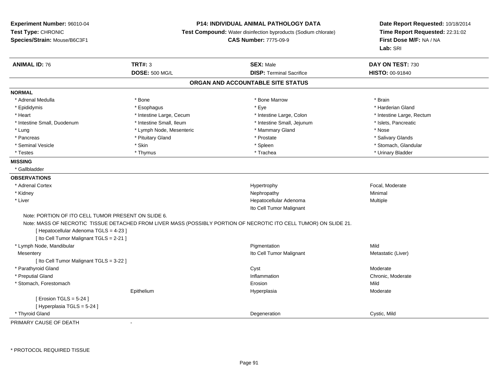### **P14: INDIVIDUAL ANIMAL PATHOLOGY DATA**

**Test Compound:** Water disinfection byproducts (Sodium chlorate)

**CAS Number:** 7775-09-9

**Date Report Requested:** 10/18/2014 **Time Report Requested:** 22:31:02**First Dose M/F:** NA / NA**Lab:** SRI

| <b>ANIMAL ID: 76</b>                                | <b>TRT#: 3</b>           | <b>SEX: Male</b>                                                                                                  | DAY ON TEST: 730          |
|-----------------------------------------------------|--------------------------|-------------------------------------------------------------------------------------------------------------------|---------------------------|
|                                                     | <b>DOSE: 500 MG/L</b>    | <b>DISP: Terminal Sacrifice</b>                                                                                   | HISTO: 00-91840           |
|                                                     |                          | ORGAN AND ACCOUNTABLE SITE STATUS                                                                                 |                           |
| <b>NORMAL</b>                                       |                          |                                                                                                                   |                           |
| * Adrenal Medulla                                   | * Bone                   | * Bone Marrow                                                                                                     | * Brain                   |
| * Epididymis                                        | * Esophagus              | * Eye                                                                                                             | * Harderian Gland         |
| * Heart                                             | * Intestine Large, Cecum | * Intestine Large, Colon                                                                                          | * Intestine Large, Rectum |
| * Intestine Small, Duodenum                         | * Intestine Small, Ileum | * Intestine Small, Jejunum                                                                                        | * Islets, Pancreatic      |
| * Lung                                              | * Lymph Node, Mesenteric | * Mammary Gland                                                                                                   | * Nose                    |
| * Pancreas                                          | * Pituitary Gland        | * Prostate                                                                                                        | * Salivary Glands         |
| * Seminal Vesicle                                   | * Skin                   | * Spleen                                                                                                          | * Stomach, Glandular      |
| * Testes                                            | * Thymus                 | * Trachea                                                                                                         | * Urinary Bladder         |
| <b>MISSING</b>                                      |                          |                                                                                                                   |                           |
| * Gallbladder                                       |                          |                                                                                                                   |                           |
| <b>OBSERVATIONS</b>                                 |                          |                                                                                                                   |                           |
| * Adrenal Cortex                                    |                          | Hypertrophy                                                                                                       | Focal, Moderate           |
| * Kidney                                            |                          | Nephropathy                                                                                                       | Minimal                   |
| * Liver                                             |                          | Hepatocellular Adenoma                                                                                            | Multiple                  |
|                                                     |                          | Ito Cell Tumor Malignant                                                                                          |                           |
| Note: PORTION OF ITO CELL TUMOR PRESENT ON SLIDE 6. |                          |                                                                                                                   |                           |
|                                                     |                          | Note: MASS OF NECROTIC TISSUE DETACHED FROM LIVER MASS (POSSIBLY PORTION OF NECROTIC ITO CELL TUMOR) ON SLIDE 21. |                           |
| [ Hepatocellular Adenoma TGLS = 4-23 ]              |                          |                                                                                                                   |                           |
| [ Ito Cell Tumor Malignant TGLS = 2-21 ]            |                          |                                                                                                                   |                           |
| * Lymph Node, Mandibular                            |                          | Pigmentation                                                                                                      | Mild                      |
| Mesentery                                           |                          | Ito Cell Tumor Malignant                                                                                          | Metastatic (Liver)        |
| [ Ito Cell Tumor Malignant TGLS = 3-22 ]            |                          |                                                                                                                   |                           |
| * Parathyroid Gland                                 |                          | Cyst                                                                                                              | Moderate                  |
| * Preputial Gland                                   |                          | Inflammation                                                                                                      | Chronic, Moderate         |
| * Stomach, Forestomach                              |                          | Erosion                                                                                                           | Mild                      |
|                                                     | Epithelium               | Hyperplasia                                                                                                       | Moderate                  |
| [ Erosion TGLS = $5-24$ ]                           |                          |                                                                                                                   |                           |
| [Hyperplasia TGLS = 5-24]                           |                          |                                                                                                                   |                           |
| * Thyroid Gland                                     |                          | Degeneration                                                                                                      | Cystic, Mild              |

PRIMARY CAUSE OF DEATH-

\* PROTOCOL REQUIRED TISSUE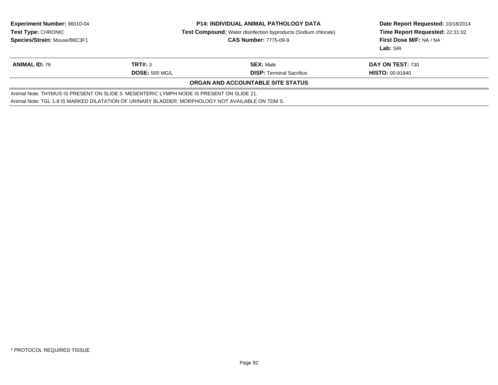| <b>Experiment Number: 96010-04</b>                                                               |                       | <b>P14: INDIVIDUAL ANIMAL PATHOLOGY DATA</b>                          | Date Report Requested: 10/18/2014 |  |  |
|--------------------------------------------------------------------------------------------------|-----------------------|-----------------------------------------------------------------------|-----------------------------------|--|--|
| <b>Test Type: CHRONIC</b>                                                                        |                       | <b>Test Compound:</b> Water disinfection byproducts (Sodium chlorate) | Time Report Requested: 22:31:02   |  |  |
| Species/Strain: Mouse/B6C3F1                                                                     |                       | <b>CAS Number: 7775-09-9</b>                                          | First Dose M/F: NA / NA           |  |  |
|                                                                                                  |                       |                                                                       | Lab: SRI                          |  |  |
| <b>ANIMAL ID: 76</b>                                                                             | TRT#: 3               | <b>SEX: Male</b>                                                      | <b>DAY ON TEST: 730</b>           |  |  |
|                                                                                                  | <b>DOSE: 500 MG/L</b> | <b>DISP:</b> Terminal Sacrifice                                       | <b>HISTO: 00-91840</b>            |  |  |
| <b>ORGAN AND ACCOUNTABLE SITE STATUS</b>                                                         |                       |                                                                       |                                   |  |  |
| Animal Note: THYMUS IS PRESENT ON SLIDE 5. MESENTERIC LYMPH NODE IS PRESENT ON SLIDE 21.         |                       |                                                                       |                                   |  |  |
| Animal Note: TGL 1-8 IS MARKED DILATATION OF URINARY BLADDER; MORPHOLOGY NOT AVAILABLE ON TDM S. |                       |                                                                       |                                   |  |  |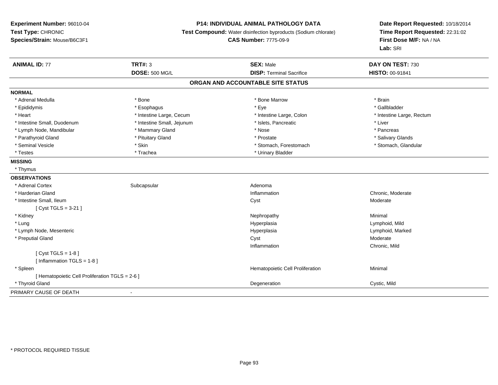### **P14: INDIVIDUAL ANIMAL PATHOLOGY DATA**

**Test Compound:** Water disinfection byproducts (Sodium chlorate)

**CAS Number:** 7775-09-9

| <b>ANIMAL ID: 77</b>                            | <b>TRT#: 3</b>             | <b>SEX: Male</b>                  | DAY ON TEST: 730          |
|-------------------------------------------------|----------------------------|-----------------------------------|---------------------------|
|                                                 | <b>DOSE: 500 MG/L</b>      | <b>DISP: Terminal Sacrifice</b>   | <b>HISTO: 00-91841</b>    |
|                                                 |                            | ORGAN AND ACCOUNTABLE SITE STATUS |                           |
| <b>NORMAL</b>                                   |                            |                                   |                           |
| * Adrenal Medulla                               | * Bone                     | * Bone Marrow                     | * Brain                   |
| * Epididymis                                    | * Esophagus                | * Eye                             | * Gallbladder             |
| * Heart                                         | * Intestine Large, Cecum   | * Intestine Large, Colon          | * Intestine Large, Rectum |
| * Intestine Small, Duodenum                     | * Intestine Small, Jejunum | * Islets, Pancreatic              | * Liver                   |
| * Lymph Node, Mandibular                        | * Mammary Gland            | * Nose                            | * Pancreas                |
| * Parathyroid Gland                             | * Pituitary Gland          | * Prostate                        | * Salivary Glands         |
| * Seminal Vesicle                               | * Skin                     | * Stomach, Forestomach            | * Stomach, Glandular      |
| * Testes                                        | * Trachea                  | * Urinary Bladder                 |                           |
| <b>MISSING</b>                                  |                            |                                   |                           |
| * Thymus                                        |                            |                                   |                           |
| <b>OBSERVATIONS</b>                             |                            |                                   |                           |
| * Adrenal Cortex                                | Subcapsular                | Adenoma                           |                           |
| * Harderian Gland                               |                            | Inflammation                      | Chronic, Moderate         |
| * Intestine Small, Ileum                        |                            | Cyst                              | Moderate                  |
| [ $Cyst TGLS = 3-21$ ]                          |                            |                                   |                           |
| * Kidney                                        |                            | Nephropathy                       | Minimal                   |
| * Lung                                          |                            | Hyperplasia                       | Lymphoid, Mild            |
| * Lymph Node, Mesenteric                        |                            | Hyperplasia                       | Lymphoid, Marked          |
| * Preputial Gland                               |                            | Cyst                              | Moderate                  |
|                                                 |                            | Inflammation                      | Chronic, Mild             |
| [ $Cyst TGLS = 1-8$ ]                           |                            |                                   |                           |
| [ Inflammation TGLS = $1-8$ ]                   |                            |                                   |                           |
| * Spleen                                        |                            | Hematopoietic Cell Proliferation  | Minimal                   |
| [ Hematopoietic Cell Proliferation TGLS = 2-6 ] |                            |                                   |                           |
| * Thyroid Gland                                 |                            | Degeneration                      | Cystic, Mild              |
| PRIMARY CAUSE OF DEATH                          | $\overline{\phantom{a}}$   |                                   |                           |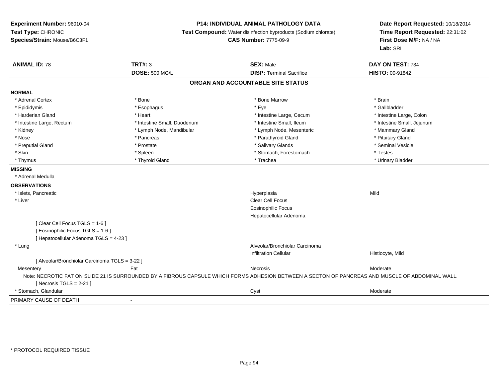### **P14: INDIVIDUAL ANIMAL PATHOLOGY DATA**

**Test Compound:** Water disinfection byproducts (Sodium chlorate)

**CAS Number:** 7775-09-9

| <b>ANIMAL ID: 78</b>                           | <b>TRT#: 3</b>              | <b>SEX: Male</b>                                                                                                                                  | DAY ON TEST: 734           |
|------------------------------------------------|-----------------------------|---------------------------------------------------------------------------------------------------------------------------------------------------|----------------------------|
|                                                | <b>DOSE: 500 MG/L</b>       | <b>DISP: Terminal Sacrifice</b>                                                                                                                   | HISTO: 00-91842            |
|                                                |                             | ORGAN AND ACCOUNTABLE SITE STATUS                                                                                                                 |                            |
| <b>NORMAL</b>                                  |                             |                                                                                                                                                   |                            |
| * Adrenal Cortex                               | * Bone                      | * Bone Marrow                                                                                                                                     | * Brain                    |
| * Epididymis                                   | * Esophagus                 | * Eye                                                                                                                                             | * Gallbladder              |
| * Harderian Gland                              | * Heart                     | * Intestine Large, Cecum                                                                                                                          | * Intestine Large, Colon   |
| * Intestine Large, Rectum                      | * Intestine Small, Duodenum | * Intestine Small, Ileum                                                                                                                          | * Intestine Small, Jejunum |
| * Kidney                                       | * Lymph Node, Mandibular    | * Lymph Node, Mesenteric                                                                                                                          | * Mammary Gland            |
| * Nose                                         | * Pancreas                  | * Parathyroid Gland                                                                                                                               | * Pituitary Gland          |
| * Preputial Gland                              | * Prostate                  | * Salivary Glands                                                                                                                                 | * Seminal Vesicle          |
| * Skin                                         | * Spleen                    | * Stomach, Forestomach                                                                                                                            | * Testes                   |
| * Thymus                                       | * Thyroid Gland             | * Trachea                                                                                                                                         | * Urinary Bladder          |
| <b>MISSING</b>                                 |                             |                                                                                                                                                   |                            |
| * Adrenal Medulla                              |                             |                                                                                                                                                   |                            |
| <b>OBSERVATIONS</b>                            |                             |                                                                                                                                                   |                            |
| * Islets, Pancreatic                           |                             | Hyperplasia                                                                                                                                       | Mild                       |
| * Liver                                        |                             | Clear Cell Focus                                                                                                                                  |                            |
|                                                |                             | <b>Eosinophilic Focus</b>                                                                                                                         |                            |
|                                                |                             | Hepatocellular Adenoma                                                                                                                            |                            |
| [Clear Cell Focus TGLS = 1-6]                  |                             |                                                                                                                                                   |                            |
| [ Eosinophilic Focus TGLS = 1-6 ]              |                             |                                                                                                                                                   |                            |
| [ Hepatocellular Adenoma TGLS = 4-23 ]         |                             |                                                                                                                                                   |                            |
| * Lung                                         |                             | Alveolar/Bronchiolar Carcinoma                                                                                                                    |                            |
|                                                |                             | <b>Infiltration Cellular</b>                                                                                                                      | Histiocyte, Mild           |
| [ Alveolar/Bronchiolar Carcinoma TGLS = 3-22 ] |                             |                                                                                                                                                   |                            |
| Mesentery                                      | Fat                         | Necrosis                                                                                                                                          | Moderate                   |
|                                                |                             | Note: NECROTIC FAT ON SLIDE 21 IS SURROUNDED BY A FIBROUS CAPSULE WHICH FORMS ADHESION BETWEEN A SECTON OF PANCREAS AND MUSCLE OF ABDOMINAL WALL. |                            |
| [Necrosis TGLS = $2-21$ ]                      |                             |                                                                                                                                                   |                            |
| * Stomach, Glandular                           |                             | Cyst                                                                                                                                              | Moderate                   |
| PRIMARY CAUSE OF DEATH                         |                             |                                                                                                                                                   |                            |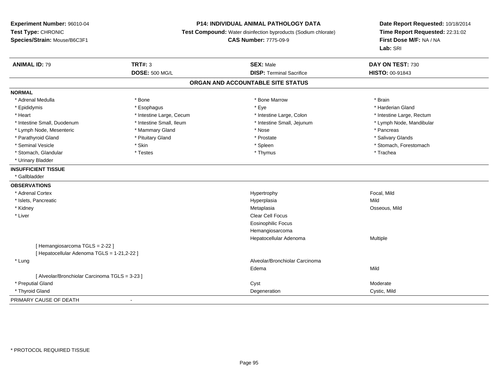### **P14: INDIVIDUAL ANIMAL PATHOLOGY DATA**

**Test Compound:** Water disinfection byproducts (Sodium chlorate)

**CAS Number:** 7775-09-9

| <b>ANIMAL ID: 79</b>                           | <b>TRT#: 3</b>           | <b>SEX: Male</b>                  | DAY ON TEST: 730          |
|------------------------------------------------|--------------------------|-----------------------------------|---------------------------|
|                                                | <b>DOSE: 500 MG/L</b>    | <b>DISP: Terminal Sacrifice</b>   | HISTO: 00-91843           |
|                                                |                          | ORGAN AND ACCOUNTABLE SITE STATUS |                           |
| <b>NORMAL</b>                                  |                          |                                   |                           |
| * Adrenal Medulla                              | * Bone                   | * Bone Marrow                     | * Brain                   |
| * Epididymis                                   | * Esophagus              | * Eye                             | * Harderian Gland         |
| * Heart                                        | * Intestine Large, Cecum | * Intestine Large, Colon          | * Intestine Large, Rectum |
| * Intestine Small, Duodenum                    | * Intestine Small, Ileum | * Intestine Small, Jejunum        | * Lymph Node, Mandibular  |
| * Lymph Node, Mesenteric                       | * Mammary Gland          | * Nose                            | * Pancreas                |
| * Parathyroid Gland                            | * Pituitary Gland        | * Prostate                        | * Salivary Glands         |
| * Seminal Vesicle                              | * Skin                   | * Spleen                          | * Stomach, Forestomach    |
| * Stomach, Glandular                           | * Testes                 | * Thymus                          | * Trachea                 |
| * Urinary Bladder                              |                          |                                   |                           |
| <b>INSUFFICIENT TISSUE</b>                     |                          |                                   |                           |
| * Gallbladder                                  |                          |                                   |                           |
| <b>OBSERVATIONS</b>                            |                          |                                   |                           |
| * Adrenal Cortex                               |                          | Hypertrophy                       | Focal, Mild               |
| * Islets, Pancreatic                           |                          | Hyperplasia                       | Mild                      |
| * Kidney                                       |                          | Metaplasia                        | Osseous, Mild             |
| * Liver                                        |                          | Clear Cell Focus                  |                           |
|                                                |                          | Eosinophilic Focus                |                           |
|                                                |                          | Hemangiosarcoma                   |                           |
|                                                |                          | Hepatocellular Adenoma            | <b>Multiple</b>           |
| [Hemangiosarcoma TGLS = 2-22]                  |                          |                                   |                           |
| [ Hepatocellular Adenoma TGLS = 1-21,2-22 ]    |                          |                                   |                           |
| * Lung                                         |                          | Alveolar/Bronchiolar Carcinoma    |                           |
|                                                |                          | Edema                             | Mild                      |
| [ Alveolar/Bronchiolar Carcinoma TGLS = 3-23 ] |                          |                                   |                           |
| * Preputial Gland                              |                          | Cyst                              | Moderate                  |
| * Thyroid Gland                                |                          | Degeneration                      | Cystic, Mild              |
| PRIMARY CAUSE OF DEATH                         |                          |                                   |                           |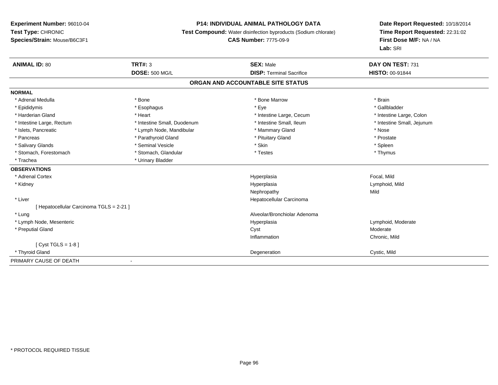### **P14: INDIVIDUAL ANIMAL PATHOLOGY DATA**

**Test Compound:** Water disinfection byproducts (Sodium chlorate)

**CAS Number:** 7775-09-9

| <b>ANIMAL ID: 80</b>                   | <b>TRT#: 3</b>              | <b>SEX: Male</b>                  | DAY ON TEST: 731           |
|----------------------------------------|-----------------------------|-----------------------------------|----------------------------|
|                                        | <b>DOSE: 500 MG/L</b>       | <b>DISP: Terminal Sacrifice</b>   | <b>HISTO: 00-91844</b>     |
|                                        |                             | ORGAN AND ACCOUNTABLE SITE STATUS |                            |
| <b>NORMAL</b>                          |                             |                                   |                            |
| * Adrenal Medulla                      | * Bone                      | * Bone Marrow                     | * Brain                    |
| * Epididymis                           | * Esophagus                 | * Eye                             | * Gallbladder              |
| * Harderian Gland                      | * Heart                     | * Intestine Large, Cecum          | * Intestine Large, Colon   |
| * Intestine Large, Rectum              | * Intestine Small, Duodenum | * Intestine Small. Ileum          | * Intestine Small, Jejunum |
| * Islets, Pancreatic                   | * Lymph Node, Mandibular    | * Mammary Gland                   | * Nose                     |
| * Pancreas                             | * Parathyroid Gland         | * Pituitary Gland                 | * Prostate                 |
| * Salivary Glands                      | * Seminal Vesicle           | * Skin                            | * Spleen                   |
| * Stomach, Forestomach                 | * Stomach, Glandular        | * Testes                          | * Thymus                   |
| * Trachea                              | * Urinary Bladder           |                                   |                            |
| <b>OBSERVATIONS</b>                    |                             |                                   |                            |
| * Adrenal Cortex                       |                             | Hyperplasia                       | Focal, Mild                |
| * Kidney                               |                             | Hyperplasia                       | Lymphoid, Mild             |
|                                        |                             | Nephropathy                       | Mild                       |
| * Liver                                |                             | Hepatocellular Carcinoma          |                            |
| [Hepatocellular Carcinoma TGLS = 2-21] |                             |                                   |                            |
| * Lung                                 |                             | Alveolar/Bronchiolar Adenoma      |                            |
| * Lymph Node, Mesenteric               |                             | Hyperplasia                       | Lymphoid, Moderate         |
| * Preputial Gland                      |                             | Cyst                              | Moderate                   |
|                                        |                             | Inflammation                      | Chronic, Mild              |
| [Cyst TGLS = $1-8$ ]                   |                             |                                   |                            |
| * Thyroid Gland                        |                             | Degeneration                      | Cystic, Mild               |
| PRIMARY CAUSE OF DEATH                 |                             |                                   |                            |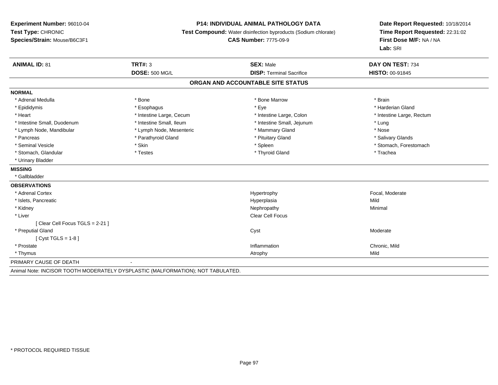#### **P14: INDIVIDUAL ANIMAL PATHOLOGY DATA**

**Test Compound:** Water disinfection byproducts (Sodium chlorate)

**CAS Number:** 7775-09-9

| <b>ANIMAL ID: 81</b>                                                            | <b>TRT#: 3</b>           | <b>SEX: Male</b>                  | DAY ON TEST: 734          |
|---------------------------------------------------------------------------------|--------------------------|-----------------------------------|---------------------------|
|                                                                                 | <b>DOSE: 500 MG/L</b>    | <b>DISP: Terminal Sacrifice</b>   | <b>HISTO: 00-91845</b>    |
|                                                                                 |                          | ORGAN AND ACCOUNTABLE SITE STATUS |                           |
| <b>NORMAL</b>                                                                   |                          |                                   |                           |
| * Adrenal Medulla                                                               | * Bone                   | * Bone Marrow                     | * Brain                   |
| * Epididymis                                                                    | * Esophagus              | * Eye                             | * Harderian Gland         |
| * Heart                                                                         | * Intestine Large, Cecum | * Intestine Large, Colon          | * Intestine Large, Rectum |
| * Intestine Small, Duodenum                                                     | * Intestine Small, Ileum | * Intestine Small, Jejunum        | * Lung                    |
| * Lymph Node, Mandibular                                                        | * Lymph Node, Mesenteric | * Mammary Gland                   | * Nose                    |
| * Pancreas                                                                      | * Parathyroid Gland      | * Pituitary Gland                 | * Salivary Glands         |
| * Seminal Vesicle                                                               | * Skin                   | * Spleen                          | * Stomach, Forestomach    |
| * Stomach, Glandular                                                            | * Testes                 | * Thyroid Gland                   | * Trachea                 |
| * Urinary Bladder                                                               |                          |                                   |                           |
| <b>MISSING</b>                                                                  |                          |                                   |                           |
| * Gallbladder                                                                   |                          |                                   |                           |
| <b>OBSERVATIONS</b>                                                             |                          |                                   |                           |
| * Adrenal Cortex                                                                |                          | Hypertrophy                       | Focal, Moderate           |
| * Islets, Pancreatic                                                            |                          | Hyperplasia                       | Mild                      |
| * Kidney                                                                        |                          | Nephropathy                       | Minimal                   |
| * Liver                                                                         |                          | Clear Cell Focus                  |                           |
| [Clear Cell Focus TGLS = 2-21]                                                  |                          |                                   |                           |
| * Preputial Gland                                                               |                          | Cyst                              | Moderate                  |
| [ Cyst TGLS = $1-8$ ]                                                           |                          |                                   |                           |
| * Prostate                                                                      |                          | Inflammation                      | Chronic, Mild             |
| * Thymus                                                                        |                          | Atrophy                           | Mild                      |
| PRIMARY CAUSE OF DEATH                                                          | $\overline{\phantom{0}}$ |                                   |                           |
| Animal Note: INCISOR TOOTH MODERATELY DYSPLASTIC (MALFORMATION); NOT TABULATED. |                          |                                   |                           |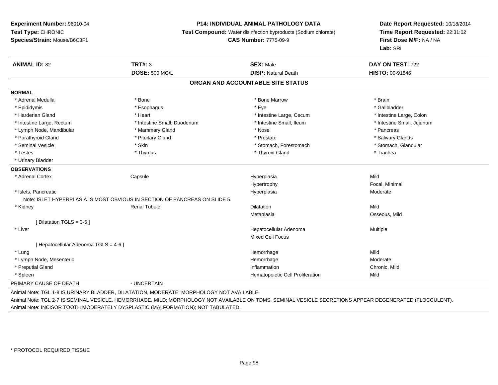#### **P14: INDIVIDUAL ANIMAL PATHOLOGY DATA**

**Test Compound:** Water disinfection byproducts (Sodium chlorate)

**CAS Number:** 7775-09-9

**Date Report Requested:** 10/18/2014**Time Report Requested:** 22:31:02**First Dose M/F:** NA / NA**Lab:** SRI

| <b>ANIMAL ID: 82</b>                  | <b>TRT#: 3</b>                                                                        | <b>SEX: Male</b>                  | DAY ON TEST: 722           |
|---------------------------------------|---------------------------------------------------------------------------------------|-----------------------------------|----------------------------|
|                                       | <b>DOSE: 500 MG/L</b>                                                                 | <b>DISP: Natural Death</b>        | <b>HISTO: 00-91846</b>     |
|                                       |                                                                                       | ORGAN AND ACCOUNTABLE SITE STATUS |                            |
| <b>NORMAL</b>                         |                                                                                       |                                   |                            |
| * Adrenal Medulla                     | * Bone                                                                                | * Bone Marrow                     | * Brain                    |
| * Epididymis                          | * Esophagus                                                                           | * Eye                             | * Gallbladder              |
| * Harderian Gland                     | * Heart                                                                               | * Intestine Large, Cecum          | * Intestine Large, Colon   |
| * Intestine Large, Rectum             | * Intestine Small, Duodenum                                                           | * Intestine Small, Ileum          | * Intestine Small, Jejunum |
| * Lymph Node, Mandibular              | * Mammary Gland                                                                       | * Nose                            | * Pancreas                 |
| * Parathyroid Gland                   | * Pituitary Gland                                                                     | * Prostate                        | * Salivary Glands          |
| * Seminal Vesicle                     | * Skin                                                                                | * Stomach, Forestomach            | * Stomach, Glandular       |
| * Testes                              | * Thymus                                                                              | * Thyroid Gland                   | * Trachea                  |
| * Urinary Bladder                     |                                                                                       |                                   |                            |
| <b>OBSERVATIONS</b>                   |                                                                                       |                                   |                            |
| * Adrenal Cortex                      | Capsule                                                                               | Hyperplasia                       | Mild                       |
|                                       |                                                                                       | Hypertrophy                       | Focal, Minimal             |
| * Islets, Pancreatic                  |                                                                                       | Hyperplasia                       | Moderate                   |
|                                       | Note: ISLET HYPERPLASIA IS MOST OBVIOUS IN SECTION OF PANCREAS ON SLIDE 5.            |                                   |                            |
| * Kidney                              | <b>Renal Tubule</b>                                                                   | Dilatation                        | Mild                       |
|                                       |                                                                                       | Metaplasia                        | Osseous, Mild              |
| [Dilatation TGLS = 3-5]               |                                                                                       |                                   |                            |
| * Liver                               |                                                                                       | Hepatocellular Adenoma            | Multiple                   |
|                                       |                                                                                       | <b>Mixed Cell Focus</b>           |                            |
| [ Hepatocellular Adenoma TGLS = 4-6 ] |                                                                                       |                                   |                            |
| * Lung                                |                                                                                       | Hemorrhage                        | Mild                       |
| * Lymph Node, Mesenteric              |                                                                                       | Hemorrhage                        | Moderate                   |
| * Preputial Gland                     |                                                                                       | Inflammation                      | Chronic, Mild              |
| * Spleen                              |                                                                                       | Hematopoietic Cell Proliferation  | Mild                       |
| PRIMARY CAUSE OF DEATH                | - UNCERTAIN                                                                           |                                   |                            |
|                                       | Animal Note: TCL 1 R IS UDINADV RLADDER INLATATION MODERATE: MORRHOLOGY NOT AVAILARLE |                                   |                            |

Animal Note: TGL 1-8 IS URINARY BLADDER, DILATATION, MODERATE; MORPHOLOGY NOT AVAILABLE.

Animal Note: TGL 2-7 IS SEMINAL VESICLE, HEMORRHAGE, MILD; MORPHOLOGY NOT AVAILABLE ON TDMS. SEMINAL VESICLE SECRETIONS APPEAR DEGENERATED (FLOCCULENT).Animal Note: INCISOR TOOTH MODERATELY DYSPLASTIC (MALFORMATION); NOT TABULATED.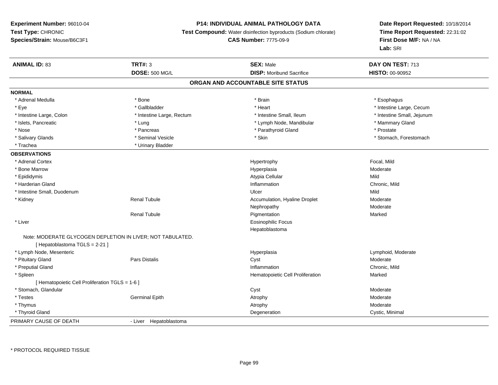### **P14: INDIVIDUAL ANIMAL PATHOLOGY DATA**

**Test Compound:** Water disinfection byproducts (Sodium chlorate)

### **CAS Number:** 7775-09-9

| <b>ANIMAL ID: 83</b>                            | <b>TRT#: 3</b>                                             | <b>SEX: Male</b>                  | DAY ON TEST: 713           |  |
|-------------------------------------------------|------------------------------------------------------------|-----------------------------------|----------------------------|--|
|                                                 | <b>DOSE: 500 MG/L</b>                                      | <b>DISP:</b> Moribund Sacrifice   | HISTO: 00-90952            |  |
|                                                 |                                                            | ORGAN AND ACCOUNTABLE SITE STATUS |                            |  |
| <b>NORMAL</b>                                   |                                                            |                                   |                            |  |
| * Adrenal Medulla                               | * Bone                                                     | * Brain                           | * Esophagus                |  |
| * Eye                                           | * Gallbladder                                              | * Heart                           | * Intestine Large, Cecum   |  |
| * Intestine Large, Colon                        | * Intestine Large, Rectum                                  | * Intestine Small. Ileum          | * Intestine Small, Jejunum |  |
| * Islets, Pancreatic                            | * Lung                                                     | * Lymph Node, Mandibular          | * Mammary Gland            |  |
| * Nose                                          | * Pancreas                                                 | * Parathyroid Gland               | * Prostate                 |  |
| * Salivary Glands                               | * Seminal Vesicle                                          | * Skin                            | * Stomach, Forestomach     |  |
| * Trachea                                       | * Urinary Bladder                                          |                                   |                            |  |
| <b>OBSERVATIONS</b>                             |                                                            |                                   |                            |  |
| * Adrenal Cortex                                |                                                            | Hypertrophy                       | Focal, Mild                |  |
| * Bone Marrow                                   |                                                            | Hyperplasia                       | Moderate                   |  |
| * Epididymis                                    |                                                            | Atypia Cellular                   | Mild                       |  |
| * Harderian Gland                               |                                                            | Inflammation                      | Chronic, Mild              |  |
| * Intestine Small, Duodenum                     |                                                            | Ulcer                             | Mild                       |  |
| * Kidney                                        | <b>Renal Tubule</b>                                        | Accumulation, Hyaline Droplet     | Moderate                   |  |
|                                                 |                                                            | Nephropathy                       | Moderate                   |  |
|                                                 | <b>Renal Tubule</b>                                        | Pigmentation                      | Marked                     |  |
| * Liver                                         |                                                            | <b>Eosinophilic Focus</b>         |                            |  |
|                                                 |                                                            | Hepatoblastoma                    |                            |  |
|                                                 | Note: MODERATE GLYCOGEN DEPLETION IN LIVER; NOT TABULATED. |                                   |                            |  |
| [Hepatoblastoma TGLS = 2-21]                    |                                                            |                                   |                            |  |
| * Lymph Node, Mesenteric                        |                                                            | Hyperplasia                       | Lymphoid, Moderate         |  |
| * Pituitary Gland                               | <b>Pars Distalis</b>                                       | Cyst                              | Moderate                   |  |
| * Preputial Gland                               |                                                            | Inflammation                      | Chronic, Mild              |  |
| * Spleen                                        |                                                            | Hematopoietic Cell Proliferation  | Marked                     |  |
| [ Hematopoietic Cell Proliferation TGLS = 1-6 ] |                                                            |                                   |                            |  |
| * Stomach, Glandular                            |                                                            | Cyst                              | Moderate                   |  |
| * Testes                                        | <b>Germinal Epith</b>                                      | Atrophy                           | Moderate                   |  |
| * Thymus                                        |                                                            | Atrophy                           | Moderate                   |  |
| * Thyroid Gland                                 |                                                            | Degeneration                      | Cystic, Minimal            |  |
| PRIMARY CAUSE OF DEATH                          | - Liver Hepatoblastoma                                     |                                   |                            |  |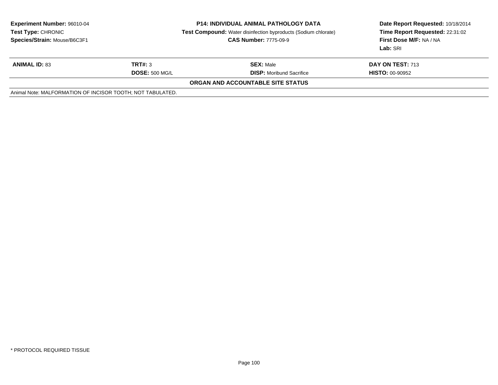| <b>Experiment Number: 96010-04</b><br><b>Test Type: CHRONIC</b><br>Species/Strain: Mouse/B6C3F1 |                       | <b>P14: INDIVIDUAL ANIMAL PATHOLOGY DATA</b><br><b>Test Compound:</b> Water disinfection byproducts (Sodium chlorate)<br><b>CAS Number: 7775-09-9</b> | Date Report Requested: 10/18/2014<br>Time Report Requested: 22:31:02<br>First Dose M/F: NA / NA<br>Lab: SRI |
|-------------------------------------------------------------------------------------------------|-----------------------|-------------------------------------------------------------------------------------------------------------------------------------------------------|-------------------------------------------------------------------------------------------------------------|
| <b>ANIMAL ID: 83</b>                                                                            | TRT#: 3               | <b>SEX: Male</b>                                                                                                                                      | <b>DAY ON TEST: 713</b>                                                                                     |
|                                                                                                 | <b>DOSE: 500 MG/L</b> | <b>DISP:</b> Moribund Sacrifice                                                                                                                       | <b>HISTO: 00-90952</b>                                                                                      |
|                                                                                                 |                       | <b>ORGAN AND ACCOUNTABLE SITE STATUS</b>                                                                                                              |                                                                                                             |
| Animal Note: MALFORMATION OF INCISOR TOOTH; NOT TABULATED.                                      |                       |                                                                                                                                                       |                                                                                                             |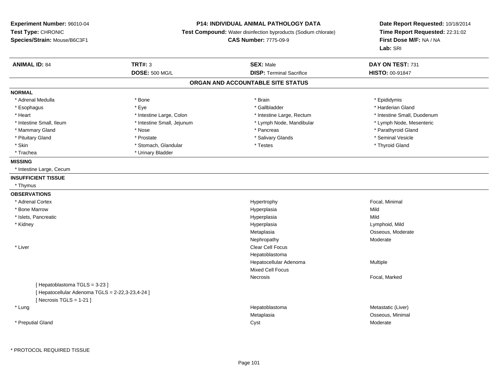### **P14: INDIVIDUAL ANIMAL PATHOLOGY DATA**

**Test Compound:** Water disinfection byproducts (Sodium chlorate)

**CAS Number:** 7775-09-9

| <b>ANIMAL ID: 84</b>                                                          | <b>TRT#: 3</b>             | <b>SEX: Male</b>                  | DAY ON TEST: 731            |  |
|-------------------------------------------------------------------------------|----------------------------|-----------------------------------|-----------------------------|--|
|                                                                               | <b>DOSE: 500 MG/L</b>      | <b>DISP: Terminal Sacrifice</b>   | HISTO: 00-91847             |  |
|                                                                               |                            | ORGAN AND ACCOUNTABLE SITE STATUS |                             |  |
| <b>NORMAL</b>                                                                 |                            |                                   |                             |  |
| * Adrenal Medulla                                                             | * Bone                     | * Brain                           | * Epididymis                |  |
| * Esophagus                                                                   | * Eye                      | * Gallbladder                     | * Harderian Gland           |  |
| * Heart                                                                       | * Intestine Large, Colon   | * Intestine Large, Rectum         | * Intestine Small, Duodenum |  |
| * Intestine Small, Ileum                                                      | * Intestine Small, Jejunum | * Lymph Node, Mandibular          | * Lymph Node, Mesenteric    |  |
| * Mammary Gland                                                               | * Nose                     | * Pancreas                        | * Parathyroid Gland         |  |
| * Pituitary Gland                                                             | * Prostate                 | * Salivary Glands                 | * Seminal Vesicle           |  |
| * Skin                                                                        | * Stomach, Glandular       | * Testes                          | * Thyroid Gland             |  |
| * Trachea                                                                     | * Urinary Bladder          |                                   |                             |  |
| <b>MISSING</b>                                                                |                            |                                   |                             |  |
| * Intestine Large, Cecum                                                      |                            |                                   |                             |  |
| <b>INSUFFICIENT TISSUE</b>                                                    |                            |                                   |                             |  |
| * Thymus                                                                      |                            |                                   |                             |  |
| <b>OBSERVATIONS</b>                                                           |                            |                                   |                             |  |
| * Adrenal Cortex                                                              |                            | Hypertrophy                       | Focal, Minimal              |  |
| * Bone Marrow                                                                 |                            | Hyperplasia                       | Mild                        |  |
| * Islets, Pancreatic                                                          |                            | Hyperplasia                       | Mild                        |  |
| * Kidney                                                                      |                            | Hyperplasia                       | Lymphoid, Mild              |  |
|                                                                               |                            | Metaplasia                        | Osseous, Moderate           |  |
|                                                                               |                            | Nephropathy                       | Moderate                    |  |
| * Liver                                                                       |                            | Clear Cell Focus                  |                             |  |
|                                                                               |                            | Hepatoblastoma                    |                             |  |
|                                                                               |                            | Hepatocellular Adenoma            | Multiple                    |  |
|                                                                               |                            | Mixed Cell Focus                  |                             |  |
|                                                                               |                            | <b>Necrosis</b>                   | Focal, Marked               |  |
| [Hepatoblastoma TGLS = 3-23]                                                  |                            |                                   |                             |  |
| [ Hepatocellular Adenoma TGLS = 2-22,3-23,4-24 ]<br>[Necrosis $TGLS = 1-21$ ] |                            |                                   |                             |  |
| * Lung                                                                        |                            | Hepatoblastoma                    | Metastatic (Liver)          |  |
|                                                                               |                            | Metaplasia                        | Osseous, Minimal            |  |
| * Preputial Gland                                                             |                            | Cyst                              | Moderate                    |  |
|                                                                               |                            |                                   |                             |  |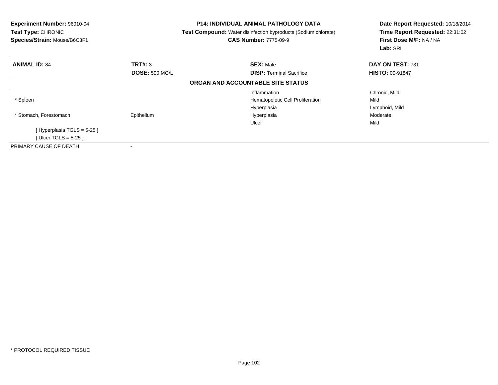| Experiment Number: 96010-04<br>Test Type: CHRONIC<br>Species/Strain: Mouse/B6C3F1 |                       | <b>P14: INDIVIDUAL ANIMAL PATHOLOGY DATA</b><br>Test Compound: Water disinfection byproducts (Sodium chlorate)<br><b>CAS Number: 7775-09-9</b> | Date Report Requested: 10/18/2014<br>Time Report Requested: 22:31:02<br>First Dose M/F: NA / NA<br>Lab: SRI |
|-----------------------------------------------------------------------------------|-----------------------|------------------------------------------------------------------------------------------------------------------------------------------------|-------------------------------------------------------------------------------------------------------------|
| <b>ANIMAL ID: 84</b>                                                              | TRT#: 3               | <b>SEX: Male</b>                                                                                                                               | DAY ON TEST: 731                                                                                            |
|                                                                                   | <b>DOSE: 500 MG/L</b> | <b>DISP:</b> Terminal Sacrifice                                                                                                                | <b>HISTO: 00-91847</b>                                                                                      |
|                                                                                   |                       | ORGAN AND ACCOUNTABLE SITE STATUS                                                                                                              |                                                                                                             |
|                                                                                   |                       | Inflammation                                                                                                                                   | Chronic, Mild                                                                                               |
| * Spleen                                                                          |                       | Hematopoietic Cell Proliferation                                                                                                               | Mild                                                                                                        |
|                                                                                   |                       | Hyperplasia                                                                                                                                    | Lymphoid, Mild                                                                                              |
| * Stomach, Forestomach                                                            | Epithelium            | Hyperplasia                                                                                                                                    | Moderate                                                                                                    |
|                                                                                   |                       | Ulcer                                                                                                                                          | Mild                                                                                                        |
| [Hyperplasia TGLS = 5-25 ]                                                        |                       |                                                                                                                                                |                                                                                                             |
| [ Ulcer TGLS = 5-25 ]                                                             |                       |                                                                                                                                                |                                                                                                             |
| PRIMARY CAUSE OF DEATH                                                            |                       |                                                                                                                                                |                                                                                                             |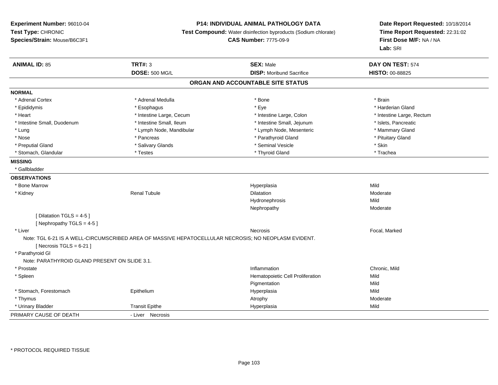### **P14: INDIVIDUAL ANIMAL PATHOLOGY DATA**

**Test Compound:** Water disinfection byproducts (Sodium chlorate)

**CAS Number:** 7775-09-9

| <b>ANIMAL ID: 85</b>                          | <b>TRT#: 3</b>                                                                                       | <b>SEX: Male</b>                  | DAY ON TEST: 574          |
|-----------------------------------------------|------------------------------------------------------------------------------------------------------|-----------------------------------|---------------------------|
|                                               | <b>DOSE: 500 MG/L</b>                                                                                | <b>DISP:</b> Moribund Sacrifice   | <b>HISTO: 00-88825</b>    |
|                                               |                                                                                                      | ORGAN AND ACCOUNTABLE SITE STATUS |                           |
| <b>NORMAL</b>                                 |                                                                                                      |                                   |                           |
| * Adrenal Cortex                              | * Adrenal Medulla                                                                                    | * Bone                            | * Brain                   |
| * Epididymis                                  | * Esophagus                                                                                          | * Eye                             | * Harderian Gland         |
| * Heart                                       | * Intestine Large, Cecum                                                                             | * Intestine Large, Colon          | * Intestine Large, Rectum |
| * Intestine Small, Duodenum                   | * Intestine Small, Ileum                                                                             | * Intestine Small, Jejunum        | * Islets, Pancreatic      |
| * Lung                                        | * Lymph Node, Mandibular                                                                             | * Lymph Node, Mesenteric          | * Mammary Gland           |
| * Nose                                        | * Pancreas                                                                                           | * Parathyroid Gland               | * Pituitary Gland         |
| * Preputial Gland                             | * Salivary Glands                                                                                    | * Seminal Vesicle                 | * Skin                    |
| * Stomach, Glandular                          | * Testes                                                                                             | * Thyroid Gland                   | * Trachea                 |
| <b>MISSING</b>                                |                                                                                                      |                                   |                           |
| * Gallbladder                                 |                                                                                                      |                                   |                           |
| <b>OBSERVATIONS</b>                           |                                                                                                      |                                   |                           |
| * Bone Marrow                                 |                                                                                                      | Hyperplasia                       | Mild                      |
| * Kidney                                      | <b>Renal Tubule</b>                                                                                  | <b>Dilatation</b>                 | Moderate                  |
|                                               |                                                                                                      | Hydronephrosis                    | Mild                      |
|                                               |                                                                                                      | Nephropathy                       | Moderate                  |
| [ Dilatation TGLS = $4-5$ ]                   |                                                                                                      |                                   |                           |
| [Nephropathy TGLS = $4-5$ ]                   |                                                                                                      |                                   |                           |
| * Liver                                       |                                                                                                      | <b>Necrosis</b>                   | Focal, Marked             |
|                                               | Note: TGL 6-21 IS A WELL-CIRCUMSCRIBED AREA OF MASSIVE HEPATOCELLULAR NECROSIS; NO NEOPLASM EVIDENT. |                                   |                           |
| [ Necrosis TGLS = $6-21$ ]                    |                                                                                                      |                                   |                           |
| * Parathyroid Gl                              |                                                                                                      |                                   |                           |
| Note: PARATHYROID GLAND PRESENT ON SLIDE 3.1. |                                                                                                      |                                   |                           |
| * Prostate                                    |                                                                                                      | Inflammation                      | Chronic, Mild             |
| * Spleen                                      |                                                                                                      | Hematopoietic Cell Proliferation  | Mild                      |
|                                               |                                                                                                      | Pigmentation                      | Mild                      |
| * Stomach, Forestomach                        | Epithelium                                                                                           | Hyperplasia                       | Mild                      |
| * Thymus                                      |                                                                                                      | Atrophy                           | Moderate                  |
| * Urinary Bladder                             | <b>Transit Epithe</b>                                                                                | Hyperplasia                       | Mild                      |
| PRIMARY CAUSE OF DEATH                        | - Liver Necrosis                                                                                     |                                   |                           |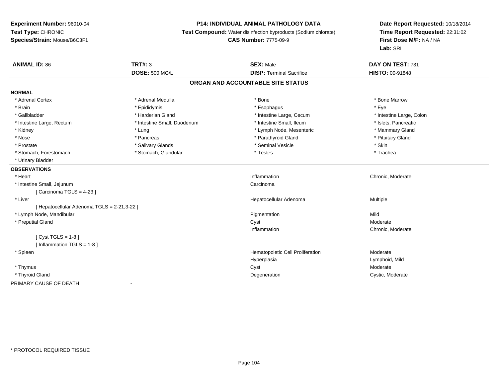### **P14: INDIVIDUAL ANIMAL PATHOLOGY DATA**

**Test Compound:** Water disinfection byproducts (Sodium chlorate)

**CAS Number:** 7775-09-9

| <b>ANIMAL ID: 86</b>                       | TRT#: 3                     | <b>SEX: Male</b>                  | DAY ON TEST: 731         |  |
|--------------------------------------------|-----------------------------|-----------------------------------|--------------------------|--|
|                                            | <b>DOSE: 500 MG/L</b>       | <b>DISP: Terminal Sacrifice</b>   | <b>HISTO: 00-91848</b>   |  |
|                                            |                             | ORGAN AND ACCOUNTABLE SITE STATUS |                          |  |
| <b>NORMAL</b>                              |                             |                                   |                          |  |
| * Adrenal Cortex                           | * Adrenal Medulla           | * Bone                            | * Bone Marrow            |  |
| * Brain                                    | * Epididymis                | * Esophagus                       | * Eye                    |  |
| * Gallbladder                              | * Harderian Gland           | * Intestine Large, Cecum          | * Intestine Large, Colon |  |
| * Intestine Large, Rectum                  | * Intestine Small, Duodenum | * Intestine Small, Ileum          | * Islets, Pancreatic     |  |
| * Kidney                                   | * Lung                      | * Lymph Node, Mesenteric          | * Mammary Gland          |  |
| * Nose                                     | * Pancreas                  | * Parathyroid Gland               | * Pituitary Gland        |  |
| * Prostate                                 | * Salivary Glands           | * Seminal Vesicle                 | * Skin                   |  |
| * Stomach, Forestomach                     | * Stomach, Glandular        | * Testes                          | * Trachea                |  |
| * Urinary Bladder                          |                             |                                   |                          |  |
| <b>OBSERVATIONS</b>                        |                             |                                   |                          |  |
| * Heart                                    |                             | Inflammation                      | Chronic, Moderate        |  |
| * Intestine Small, Jejunum                 |                             | Carcinoma                         |                          |  |
| [Carcinoma TGLS = $4-23$ ]                 |                             |                                   |                          |  |
| * Liver                                    |                             | Hepatocellular Adenoma            | Multiple                 |  |
| [Hepatocellular Adenoma TGLS = 2-21,3-22 ] |                             |                                   |                          |  |
| * Lymph Node, Mandibular                   |                             | Pigmentation                      | Mild                     |  |
| * Preputial Gland                          |                             | Cyst                              | Moderate                 |  |
|                                            |                             | Inflammation                      | Chronic, Moderate        |  |
| [Cyst TGLS = 1-8]                          |                             |                                   |                          |  |
| [Inflammation TGLS = 1-8]                  |                             |                                   |                          |  |
| * Spleen                                   |                             | Hematopoietic Cell Proliferation  | Moderate                 |  |
|                                            |                             | Hyperplasia                       | Lymphoid, Mild           |  |
| * Thymus                                   |                             | Cyst                              | Moderate                 |  |
| * Thyroid Gland                            |                             | Degeneration                      | Cystic, Moderate         |  |
| PRIMARY CAUSE OF DEATH                     | $\overline{\phantom{a}}$    |                                   |                          |  |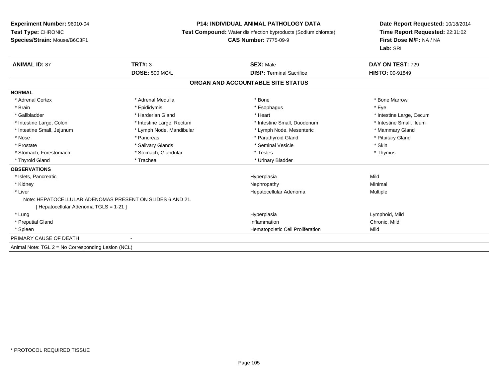### **P14: INDIVIDUAL ANIMAL PATHOLOGY DATA**

**Test Compound:** Water disinfection byproducts (Sodium chlorate)

### **CAS Number:** 7775-09-9

| <b>ANIMAL ID: 87</b>                               | TRT#: 3                                                   | <b>SEX: Male</b>                  | DAY ON TEST: 729         |
|----------------------------------------------------|-----------------------------------------------------------|-----------------------------------|--------------------------|
|                                                    | <b>DOSE: 500 MG/L</b>                                     | <b>DISP: Terminal Sacrifice</b>   | <b>HISTO: 00-91849</b>   |
|                                                    |                                                           | ORGAN AND ACCOUNTABLE SITE STATUS |                          |
| <b>NORMAL</b>                                      |                                                           |                                   |                          |
| * Adrenal Cortex                                   | * Adrenal Medulla                                         | * Bone                            | * Bone Marrow            |
| * Brain                                            | * Epididymis                                              | * Esophagus                       | * Eye                    |
| * Gallbladder                                      | * Harderian Gland                                         | * Heart                           | * Intestine Large, Cecum |
| * Intestine Large, Colon                           | * Intestine Large, Rectum                                 | * Intestine Small, Duodenum       | * Intestine Small. Ileum |
| * Intestine Small, Jejunum                         | * Lymph Node, Mandibular                                  | * Lymph Node, Mesenteric          | * Mammary Gland          |
| * Nose                                             | * Pancreas                                                | * Parathyroid Gland               | * Pituitary Gland        |
| * Prostate                                         | * Salivary Glands                                         | * Seminal Vesicle                 | * Skin                   |
| * Stomach, Forestomach                             | * Stomach, Glandular                                      | * Testes                          | * Thymus                 |
| * Thyroid Gland                                    | * Trachea                                                 | * Urinary Bladder                 |                          |
| <b>OBSERVATIONS</b>                                |                                                           |                                   |                          |
| * Islets, Pancreatic                               |                                                           | Hyperplasia                       | Mild                     |
| * Kidney                                           |                                                           | Nephropathy                       | Minimal                  |
| * Liver                                            |                                                           | Hepatocellular Adenoma            | Multiple                 |
|                                                    | Note: HEPATOCELLULAR ADENOMAS PRESENT ON SLIDES 6 AND 21. |                                   |                          |
| [Hepatocellular Adenoma TGLS = 1-21]               |                                                           |                                   |                          |
| * Lung                                             |                                                           | Hyperplasia                       | Lymphoid, Mild           |
| * Preputial Gland                                  |                                                           | Inflammation                      | Chronic, Mild            |
| * Spleen                                           |                                                           | Hematopoietic Cell Proliferation  | Mild                     |
| PRIMARY CAUSE OF DEATH                             |                                                           |                                   |                          |
| Animal Note: TGL 2 = No Corresponding Lesion (NCL) |                                                           |                                   |                          |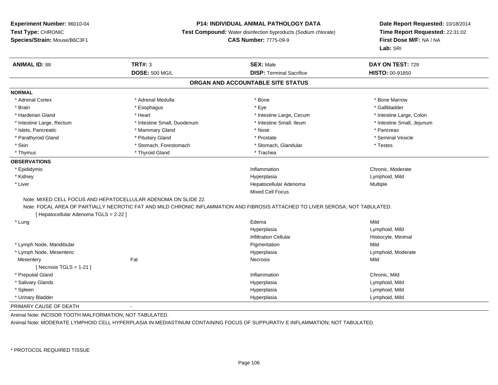#### **P14: INDIVIDUAL ANIMAL PATHOLOGY DATA**

**Test Compound:** Water disinfection byproducts (Sodium chlorate)

**CAS Number:** 7775-09-9

**Date Report Requested:** 10/18/2014**Time Report Requested:** 22:31:02**First Dose M/F:** NA / NA**Lab:** SRI

| <b>ANIMAL ID: 88</b>                   | <b>TRT#: 3</b>                                                 | <b>SEX: Male</b>                                                                                                               | DAY ON TEST: 729           |  |
|----------------------------------------|----------------------------------------------------------------|--------------------------------------------------------------------------------------------------------------------------------|----------------------------|--|
|                                        | <b>DOSE: 500 MG/L</b>                                          | <b>DISP: Terminal Sacrifice</b>                                                                                                | <b>HISTO: 00-91850</b>     |  |
|                                        |                                                                | ORGAN AND ACCOUNTABLE SITE STATUS                                                                                              |                            |  |
| <b>NORMAL</b>                          |                                                                |                                                                                                                                |                            |  |
| * Adrenal Cortex                       | * Adrenal Medulla                                              | * Bone                                                                                                                         | * Bone Marrow              |  |
| * Brain                                | * Esophagus                                                    | * Eye                                                                                                                          | * Gallbladder              |  |
| * Harderian Gland                      | * Heart                                                        | * Intestine Large, Cecum                                                                                                       | * Intestine Large, Colon   |  |
| * Intestine Large, Rectum              | * Intestine Small, Duodenum                                    | * Intestine Small, Ileum                                                                                                       | * Intestine Small, Jejunum |  |
| * Islets, Pancreatic                   | * Mammary Gland                                                | * Nose                                                                                                                         | * Pancreas                 |  |
| * Parathyroid Gland                    | * Pituitary Gland                                              | * Prostate                                                                                                                     | * Seminal Vesicle          |  |
| * Skin                                 | * Stomach, Forestomach                                         | * Stomach, Glandular                                                                                                           | * Testes                   |  |
| * Thymus                               | * Thyroid Gland                                                | * Trachea                                                                                                                      |                            |  |
| <b>OBSERVATIONS</b>                    |                                                                |                                                                                                                                |                            |  |
| * Epididymis                           |                                                                | Inflammation                                                                                                                   | Chronic, Moderate          |  |
| * Kidney                               |                                                                | Hyperplasia                                                                                                                    | Lymphoid, Mild             |  |
| * Liver                                |                                                                | Hepatocellular Adenoma                                                                                                         | Multiple                   |  |
|                                        |                                                                | Mixed Cell Focus                                                                                                               |                            |  |
|                                        | Note: MIXED CELL FOCUS AND HEPATOCELLULAR ADENOMA ON SLIDE 22. |                                                                                                                                |                            |  |
| [ Hepatocellular Adenoma TGLS = 2-22 ] |                                                                | Note: FOCAL AREA OF PARTIALLY NECROTIC FAT AND MILD CHRONIC INFLAMMATION AND FIBROSIS ATTACHED TO LIVER SEROSA; NOT TABULATED. |                            |  |
| * Lung                                 |                                                                | Edema                                                                                                                          | Mild                       |  |
|                                        |                                                                | Hyperplasia                                                                                                                    | Lymphoid, Mild             |  |
|                                        |                                                                | <b>Infiltration Cellular</b>                                                                                                   | Histiocyte, Minimal        |  |
| * Lymph Node, Mandibular               |                                                                | Pigmentation                                                                                                                   | Mild                       |  |
| * Lymph Node, Mesenteric               |                                                                | Hyperplasia                                                                                                                    | Lymphoid, Moderate         |  |
| Mesentery                              | Fat                                                            | Necrosis                                                                                                                       | Mild                       |  |
| [ Necrosis $TGLS = 1-21$ ]             |                                                                |                                                                                                                                |                            |  |
| * Preputial Gland                      |                                                                | Inflammation                                                                                                                   | Chronic, Mild              |  |
| * Salivary Glands                      |                                                                | Hyperplasia                                                                                                                    | Lymphoid, Mild             |  |
| * Spleen                               |                                                                | Hyperplasia                                                                                                                    | Lymphoid, Mild             |  |
| * Urinary Bladder                      |                                                                | Hyperplasia                                                                                                                    | Lymphoid, Mild             |  |
| PRIMARY CAUSE OF DEATH                 | $\overline{\phantom{a}}$                                       |                                                                                                                                |                            |  |

Animal Note: INCISOR TOOTH MALFORMATION; NOT TABULATED.

Animal Note: MODERATE LYMPHOID CELL HYPERPLASIA IN MEDIASTINUM CONTAINING FOCUS OF SUPPURATIV E INFLAMMATION; NOT TABULATED.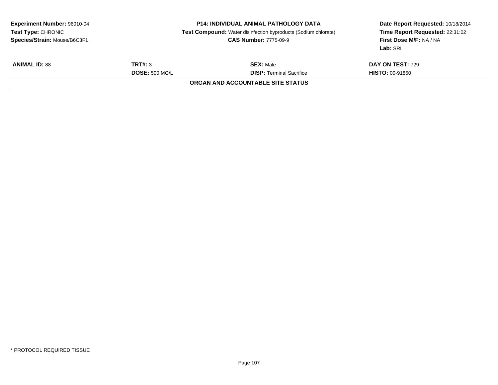|                       | <b>P14: INDIVIDUAL ANIMAL PATHOLOGY DATA</b><br><b>CAS Number: 7775-09-9</b> | Date Report Requested: 10/18/2014<br>Time Report Requested: 22:31:02<br>First Dose M/F: NA / NA<br>Lab: SRI       |  |
|-----------------------|------------------------------------------------------------------------------|-------------------------------------------------------------------------------------------------------------------|--|
| TRT#: 3               | <b>SEX: Male</b>                                                             | <b>DAY ON TEST: 729</b>                                                                                           |  |
| <b>DOSE: 500 MG/L</b> | <b>DISP:</b> Terminal Sacrifice                                              | <b>HISTO: 00-91850</b>                                                                                            |  |
|                       |                                                                              |                                                                                                                   |  |
|                       |                                                                              | <b>Test Compound:</b> Water disinfection byproducts (Sodium chlorate)<br><b>ORGAN AND ACCOUNTABLE SITE STATUS</b> |  |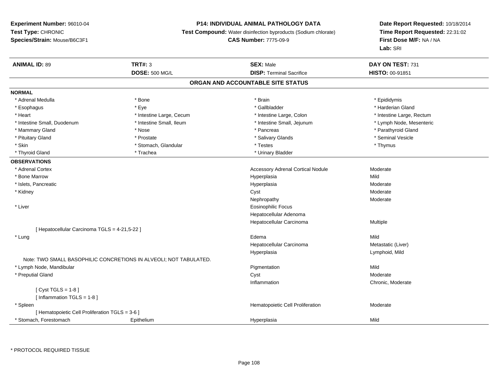### **P14: INDIVIDUAL ANIMAL PATHOLOGY DATA**

**Test Compound:** Water disinfection byproducts (Sodium chlorate)

**CAS Number:** 7775-09-9

**Date Report Requested:** 10/18/2014 **Time Report Requested:** 22:31:02**First Dose M/F:** NA / NA**Lab:** SRI

| <b>ANIMAL ID: 89</b>                            | <b>TRT#: 3</b>                                                    | <b>SEX: Male</b>                         | DAY ON TEST: 731          |  |
|-------------------------------------------------|-------------------------------------------------------------------|------------------------------------------|---------------------------|--|
|                                                 | <b>DOSE: 500 MG/L</b>                                             | <b>DISP: Terminal Sacrifice</b>          | HISTO: 00-91851           |  |
|                                                 |                                                                   | ORGAN AND ACCOUNTABLE SITE STATUS        |                           |  |
| <b>NORMAL</b>                                   |                                                                   |                                          |                           |  |
| * Adrenal Medulla                               | * Bone                                                            | * Brain                                  | * Epididymis              |  |
| * Esophagus                                     | * Eye                                                             | * Gallbladder                            | * Harderian Gland         |  |
| * Heart                                         | * Intestine Large, Cecum                                          | * Intestine Large, Colon                 | * Intestine Large, Rectum |  |
| * Intestine Small, Duodenum                     | * Intestine Small, Ileum                                          | * Intestine Small, Jejunum               | * Lymph Node, Mesenteric  |  |
| * Mammary Gland                                 | * Nose                                                            | * Pancreas                               | * Parathyroid Gland       |  |
| * Pituitary Gland                               | * Prostate                                                        | * Salivary Glands                        | * Seminal Vesicle         |  |
| * Skin                                          | * Stomach, Glandular                                              | * Testes                                 | * Thymus                  |  |
| * Thyroid Gland                                 | * Trachea                                                         | * Urinary Bladder                        |                           |  |
| <b>OBSERVATIONS</b>                             |                                                                   |                                          |                           |  |
| * Adrenal Cortex                                |                                                                   | <b>Accessory Adrenal Cortical Nodule</b> | Moderate                  |  |
| * Bone Marrow                                   |                                                                   | Hyperplasia                              | Mild                      |  |
| * Islets, Pancreatic                            |                                                                   | Hyperplasia                              | Moderate                  |  |
| * Kidney                                        |                                                                   | Cyst                                     | Moderate                  |  |
|                                                 |                                                                   | Nephropathy                              | Moderate                  |  |
| * Liver                                         |                                                                   | Eosinophilic Focus                       |                           |  |
|                                                 |                                                                   | Hepatocellular Adenoma                   |                           |  |
|                                                 |                                                                   | Hepatocellular Carcinoma                 | Multiple                  |  |
| [ Hepatocellular Carcinoma TGLS = 4-21,5-22 ]   |                                                                   |                                          |                           |  |
| * Lung                                          |                                                                   | Edema                                    | Mild                      |  |
|                                                 |                                                                   | Hepatocellular Carcinoma                 | Metastatic (Liver)        |  |
|                                                 |                                                                   | Hyperplasia                              | Lymphoid, Mild            |  |
|                                                 | Note: TWO SMALL BASOPHILIC CONCRETIONS IN ALVEOLI; NOT TABULATED. |                                          |                           |  |
| * Lymph Node, Mandibular                        |                                                                   | Pigmentation                             | Mild                      |  |
| * Preputial Gland                               |                                                                   | Cyst                                     | Moderate                  |  |
|                                                 |                                                                   | Inflammation                             | Chronic, Moderate         |  |
| [ $Cyst TGLS = 1-8$ ]                           |                                                                   |                                          |                           |  |
| [Inflammation TGLS = 1-8]                       |                                                                   |                                          |                           |  |
| * Spleen                                        |                                                                   | Hematopoietic Cell Proliferation         | Moderate                  |  |
| [ Hematopoietic Cell Proliferation TGLS = 3-6 ] |                                                                   |                                          |                           |  |
| * Stomach, Forestomach                          | Epithelium                                                        | Hyperplasia                              | Mild                      |  |

\* PROTOCOL REQUIRED TISSUE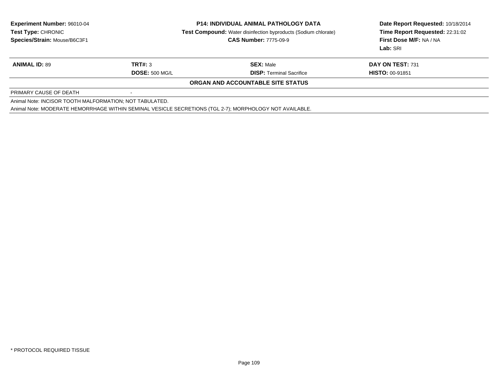| <b>Experiment Number: 96010-04</b><br>Test Type: CHRONIC |                | <b>P14: INDIVIDUAL ANIMAL PATHOLOGY DATA</b>                                                            | Date Report Requested: 10/18/2014 |
|----------------------------------------------------------|----------------|---------------------------------------------------------------------------------------------------------|-----------------------------------|
|                                                          |                | <b>Test Compound:</b> Water disinfection byproducts (Sodium chlorate)                                   | Time Report Requested: 22:31:02   |
| Species/Strain: Mouse/B6C3F1                             |                | <b>CAS Number: 7775-09-9</b>                                                                            | First Dose M/F: NA / NA           |
|                                                          |                |                                                                                                         | Lab: SRI                          |
| <b>ANIMAL ID: 89</b>                                     | <b>TRT#: 3</b> | <b>SEX:</b> Male                                                                                        | DAY ON TEST: 731                  |
|                                                          | DOSE: 500 MGL  | <b>DISP:</b> Terminal Sacrifice                                                                         | <b>HISTO: 00-91851</b>            |
|                                                          |                | <b>ORGAN AND ACCOUNTABLE SITE STATUS</b>                                                                |                                   |
| PRIMARY CAUSE OF DEATH                                   |                |                                                                                                         |                                   |
| Animal Note: INCISOR TOOTH MALFORMATION; NOT TABULATED.  |                |                                                                                                         |                                   |
|                                                          |                | Animal Note: MODERATE HEMORRHAGE WITHIN SEMINAL VESICLE SECRETIONS (TGL 2-7); MORPHOLOGY NOT AVAILABLE. |                                   |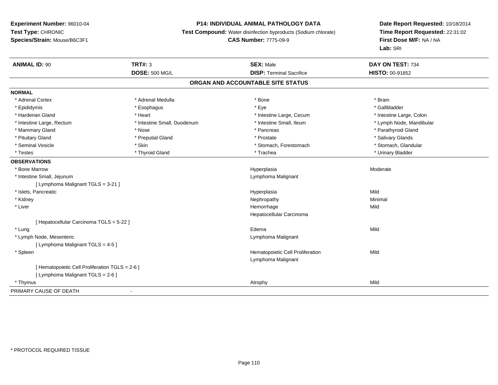## **P14: INDIVIDUAL ANIMAL PATHOLOGY DATA**

**Test Compound:** Water disinfection byproducts (Sodium chlorate)

# **CAS Number:** 7775-09-9

| <b>ANIMAL ID: 90</b>                            | <b>TRT#: 3</b>              | <b>SEX: Male</b>                  | DAY ON TEST: 734         |  |
|-------------------------------------------------|-----------------------------|-----------------------------------|--------------------------|--|
|                                                 | <b>DOSE: 500 MG/L</b>       | <b>DISP: Terminal Sacrifice</b>   | <b>HISTO: 00-91852</b>   |  |
|                                                 |                             | ORGAN AND ACCOUNTABLE SITE STATUS |                          |  |
| <b>NORMAL</b>                                   |                             |                                   |                          |  |
| * Adrenal Cortex                                | * Adrenal Medulla           | * Bone                            | * Brain                  |  |
| * Epididymis                                    | * Esophagus                 | * Eye                             | * Gallbladder            |  |
| * Harderian Gland                               | * Heart                     | * Intestine Large, Cecum          | * Intestine Large, Colon |  |
| * Intestine Large, Rectum                       | * Intestine Small, Duodenum | * Intestine Small, Ileum          | * Lymph Node, Mandibular |  |
| * Mammary Gland                                 | * Nose                      | * Pancreas                        | * Parathyroid Gland      |  |
| * Pituitary Gland                               | * Preputial Gland           | * Prostate                        | * Salivary Glands        |  |
| * Seminal Vesicle                               | * Skin                      | * Stomach, Forestomach            | * Stomach, Glandular     |  |
| * Testes                                        | * Thyroid Gland             | * Trachea                         | * Urinary Bladder        |  |
| <b>OBSERVATIONS</b>                             |                             |                                   |                          |  |
| * Bone Marrow                                   |                             | Hyperplasia                       | Moderate                 |  |
| * Intestine Small, Jejunum                      |                             | Lymphoma Malignant                |                          |  |
| [ Lymphoma Malignant TGLS = 3-21 ]              |                             |                                   |                          |  |
| * Islets, Pancreatic                            |                             | Hyperplasia                       | Mild                     |  |
| * Kidney                                        |                             | Nephropathy                       | Minimal                  |  |
| * Liver                                         |                             | Hemorrhage                        | Mild                     |  |
|                                                 |                             | Hepatocellular Carcinoma          |                          |  |
| [ Hepatocellular Carcinoma TGLS = 5-22 ]        |                             |                                   |                          |  |
| * Lung                                          |                             | Edema                             | Mild                     |  |
| * Lymph Node, Mesenteric                        |                             | Lymphoma Malignant                |                          |  |
| [ Lymphoma Malignant TGLS = 4-5 ]               |                             |                                   |                          |  |
| * Spleen                                        |                             | Hematopoietic Cell Proliferation  | Mild                     |  |
|                                                 |                             | Lymphoma Malignant                |                          |  |
| [ Hematopoietic Cell Proliferation TGLS = 2-6 ] |                             |                                   |                          |  |
| [ Lymphoma Malignant TGLS = 2-6 ]               |                             |                                   |                          |  |
| * Thymus                                        |                             | Atrophy                           | Mild                     |  |
| PRIMARY CAUSE OF DEATH                          | $\blacksquare$              |                                   |                          |  |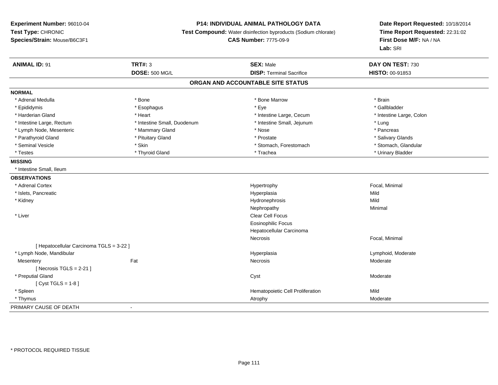## **P14: INDIVIDUAL ANIMAL PATHOLOGY DATA**

**Test Compound:** Water disinfection byproducts (Sodium chlorate)

**CAS Number:** 7775-09-9

| <b>ANIMAL ID: 91</b>                     | <b>TRT#: 3</b>              | <b>SEX: Male</b>                 | DAY ON TEST: 730         |  |  |  |
|------------------------------------------|-----------------------------|----------------------------------|--------------------------|--|--|--|
|                                          | <b>DOSE: 500 MG/L</b>       | <b>DISP: Terminal Sacrifice</b>  | HISTO: 00-91853          |  |  |  |
| ORGAN AND ACCOUNTABLE SITE STATUS        |                             |                                  |                          |  |  |  |
| <b>NORMAL</b>                            |                             |                                  |                          |  |  |  |
| * Adrenal Medulla                        | * Bone                      | * Bone Marrow                    | * Brain                  |  |  |  |
| * Epididymis                             | * Esophagus                 | * Eye                            | * Gallbladder            |  |  |  |
| * Harderian Gland                        | * Heart                     | * Intestine Large, Cecum         | * Intestine Large, Colon |  |  |  |
| * Intestine Large, Rectum                | * Intestine Small, Duodenum | * Intestine Small, Jejunum       | * Lung                   |  |  |  |
| * Lymph Node, Mesenteric                 | * Mammary Gland             | * Nose                           | * Pancreas               |  |  |  |
| * Parathyroid Gland                      | * Pituitary Gland           | * Prostate                       | * Salivary Glands        |  |  |  |
| * Seminal Vesicle                        | * Skin                      | * Stomach, Forestomach           | * Stomach, Glandular     |  |  |  |
| * Testes                                 | * Thyroid Gland             | * Trachea                        | * Urinary Bladder        |  |  |  |
| <b>MISSING</b>                           |                             |                                  |                          |  |  |  |
| * Intestine Small, Ileum                 |                             |                                  |                          |  |  |  |
| <b>OBSERVATIONS</b>                      |                             |                                  |                          |  |  |  |
| * Adrenal Cortex                         |                             | Hypertrophy                      | Focal, Minimal           |  |  |  |
| * Islets, Pancreatic                     |                             | Hyperplasia                      | Mild                     |  |  |  |
| * Kidney                                 |                             | Hydronephrosis                   | Mild                     |  |  |  |
|                                          |                             | Nephropathy                      | Minimal                  |  |  |  |
| * Liver                                  |                             | <b>Clear Cell Focus</b>          |                          |  |  |  |
|                                          |                             | <b>Eosinophilic Focus</b>        |                          |  |  |  |
|                                          |                             | Hepatocellular Carcinoma         |                          |  |  |  |
|                                          |                             | Necrosis                         | Focal, Minimal           |  |  |  |
| [ Hepatocellular Carcinoma TGLS = 3-22 ] |                             |                                  |                          |  |  |  |
| * Lymph Node, Mandibular                 |                             | Hyperplasia                      | Lymphoid, Moderate       |  |  |  |
| Mesentery                                | Fat                         | Necrosis                         | Moderate                 |  |  |  |
| [Necrosis TGLS = $2-21$ ]                |                             |                                  |                          |  |  |  |
| * Preputial Gland                        |                             | Cyst                             | Moderate                 |  |  |  |
| [ $Cyst TGLS = 1-8$ ]                    |                             |                                  |                          |  |  |  |
| * Spleen                                 |                             | Hematopoietic Cell Proliferation | Mild                     |  |  |  |
| * Thymus                                 |                             | Atrophy                          | Moderate                 |  |  |  |
| PRIMARY CAUSE OF DEATH                   | $\overline{\phantom{a}}$    |                                  |                          |  |  |  |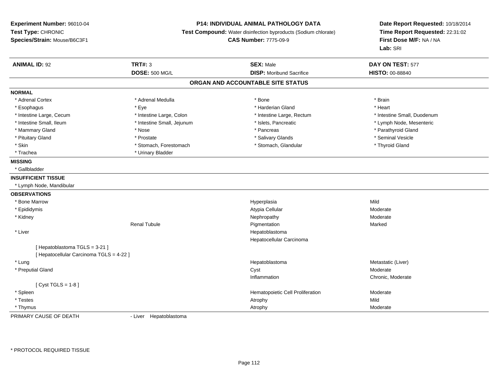#### **P14: INDIVIDUAL ANIMAL PATHOLOGY DATA**

**Test Compound:** Water disinfection byproducts (Sodium chlorate)

**CAS Number:** 7775-09-9

**Date Report Requested:** 10/18/2014**Time Report Requested:** 22:31:02**First Dose M/F:** NA / NA**Lab:** SRI

| <b>ANIMAL ID: 92</b>                     | <b>TRT#: 3</b>             | <b>SEX: Male</b>                  | DAY ON TEST: 577            |  |
|------------------------------------------|----------------------------|-----------------------------------|-----------------------------|--|
|                                          | <b>DOSE: 500 MG/L</b>      | <b>DISP:</b> Moribund Sacrifice   | HISTO: 00-88840             |  |
|                                          |                            | ORGAN AND ACCOUNTABLE SITE STATUS |                             |  |
| <b>NORMAL</b>                            |                            |                                   |                             |  |
| * Adrenal Cortex                         | * Adrenal Medulla          | * Bone                            | * Brain                     |  |
| * Esophagus                              | * Eye                      | * Harderian Gland                 | * Heart                     |  |
| * Intestine Large, Cecum                 | * Intestine Large, Colon   | * Intestine Large, Rectum         | * Intestine Small, Duodenum |  |
| * Intestine Small, Ileum                 | * Intestine Small, Jejunum | * Islets, Pancreatic              | * Lymph Node, Mesenteric    |  |
| * Mammary Gland                          | * Nose                     | * Pancreas                        | * Parathyroid Gland         |  |
| * Pituitary Gland                        | * Prostate                 | * Salivary Glands                 | * Seminal Vesicle           |  |
| * Skin                                   | * Stomach, Forestomach     | * Stomach, Glandular              | * Thyroid Gland             |  |
| * Trachea                                | * Urinary Bladder          |                                   |                             |  |
| <b>MISSING</b>                           |                            |                                   |                             |  |
| * Gallbladder                            |                            |                                   |                             |  |
| <b>INSUFFICIENT TISSUE</b>               |                            |                                   |                             |  |
| * Lymph Node, Mandibular                 |                            |                                   |                             |  |
| <b>OBSERVATIONS</b>                      |                            |                                   |                             |  |
| * Bone Marrow                            |                            | Hyperplasia                       | Mild                        |  |
| * Epididymis                             |                            | Atypia Cellular                   | Moderate                    |  |
| * Kidney                                 |                            | Nephropathy                       | Moderate                    |  |
|                                          | <b>Renal Tubule</b>        | Pigmentation                      | Marked                      |  |
| * Liver                                  |                            | Hepatoblastoma                    |                             |  |
|                                          |                            | Hepatocellular Carcinoma          |                             |  |
| [Hepatoblastoma TGLS = 3-21]             |                            |                                   |                             |  |
| [ Hepatocellular Carcinoma TGLS = 4-22 ] |                            |                                   |                             |  |
| * Lung                                   |                            | Hepatoblastoma                    | Metastatic (Liver)          |  |
| * Preputial Gland                        |                            | Cyst                              | Moderate                    |  |
|                                          |                            | Inflammation                      | Chronic, Moderate           |  |
| [ $Cyst TGLS = 1-8$ ]                    |                            |                                   |                             |  |
| * Spleen                                 |                            | Hematopoietic Cell Proliferation  | Moderate                    |  |
| * Testes                                 |                            | Atrophy                           | Mild                        |  |
| * Thymus                                 |                            | Atrophy                           | Moderate                    |  |

PRIMARY CAUSE OF DEATH

- Liver Hepatoblastoma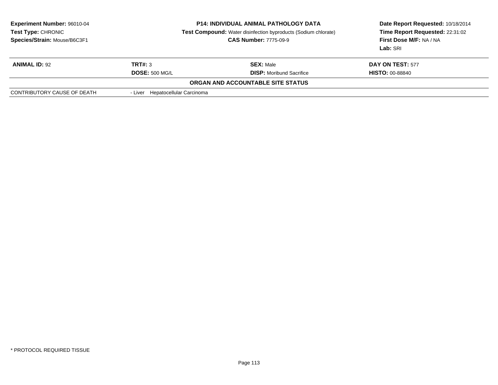| <b>Experiment Number: 96010-04</b><br>Test Type: CHRONIC<br>Species/Strain: Mouse/B6C3F1 | <b>P14: INDIVIDUAL ANIMAL PATHOLOGY DATA</b><br><b>Test Compound:</b> Water disinfection byproducts (Sodium chlorate)<br><b>CAS Number: 7775-09-9</b> |                                   | Date Report Requested: 10/18/2014<br>Time Report Requested: 22:31:02<br>First Dose M/F: NA / NA<br>Lab: SRI |
|------------------------------------------------------------------------------------------|-------------------------------------------------------------------------------------------------------------------------------------------------------|-----------------------------------|-------------------------------------------------------------------------------------------------------------|
| <b>ANIMAL ID: 92</b>                                                                     | TRT#: 3                                                                                                                                               | <b>SEX: Male</b>                  | DAY ON TEST: 577                                                                                            |
|                                                                                          | <b>DOSE: 500 MG/L</b>                                                                                                                                 | <b>DISP:</b> Moribund Sacrifice   | <b>HISTO: 00-88840</b>                                                                                      |
|                                                                                          |                                                                                                                                                       | ORGAN AND ACCOUNTABLE SITE STATUS |                                                                                                             |
| CONTRIBUTORY CAUSE OF DEATH                                                              | - Liver Hepatocellular Carcinoma                                                                                                                      |                                   |                                                                                                             |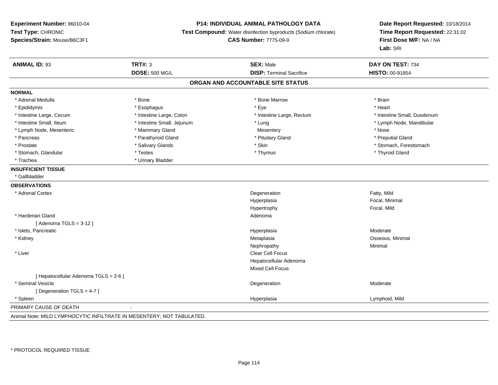## **P14: INDIVIDUAL ANIMAL PATHOLOGY DATA**

**Test Compound:** Water disinfection byproducts (Sodium chlorate)

**CAS Number:** 7775-09-9

| <b>ANIMAL ID: 93</b>                                                  | <b>TRT#: 3</b>             | <b>SEX: Male</b>                  | DAY ON TEST: 734            |
|-----------------------------------------------------------------------|----------------------------|-----------------------------------|-----------------------------|
|                                                                       | <b>DOSE: 500 MG/L</b>      | <b>DISP: Terminal Sacrifice</b>   | HISTO: 00-91854             |
|                                                                       |                            | ORGAN AND ACCOUNTABLE SITE STATUS |                             |
| <b>NORMAL</b>                                                         |                            |                                   |                             |
| * Adrenal Medulla                                                     | * Bone                     | * Bone Marrow                     | * Brain                     |
| * Epididymis                                                          | * Esophagus                | * Eye                             | * Heart                     |
| * Intestine Large, Cecum                                              | * Intestine Large, Colon   | * Intestine Large, Rectum         | * Intestine Small, Duodenum |
| * Intestine Small, Ileum                                              | * Intestine Small, Jejunum | * Lung                            | * Lymph Node, Mandibular    |
| * Lymph Node, Mesenteric                                              | * Mammary Gland            | Mesentery                         | * Nose                      |
| * Pancreas                                                            | * Parathyroid Gland        | * Pituitary Gland                 | * Preputial Gland           |
| * Prostate                                                            | * Salivary Glands          | * Skin                            | * Stomach, Forestomach      |
| * Stomach, Glandular                                                  | * Testes                   | * Thymus                          | * Thyroid Gland             |
| * Trachea                                                             | * Urinary Bladder          |                                   |                             |
| <b>INSUFFICIENT TISSUE</b>                                            |                            |                                   |                             |
| * Gallbladder                                                         |                            |                                   |                             |
| <b>OBSERVATIONS</b>                                                   |                            |                                   |                             |
| * Adrenal Cortex                                                      |                            | Degeneration                      | Fatty, Mild                 |
|                                                                       |                            | Hyperplasia                       | Focal, Minimal              |
|                                                                       |                            | Hypertrophy                       | Focal, Mild                 |
| * Harderian Gland                                                     |                            | Adenoma                           |                             |
| [Adenoma TGLS = $3-12$ ]                                              |                            |                                   |                             |
| * Islets, Pancreatic                                                  |                            | Hyperplasia                       | Moderate                    |
| * Kidney                                                              |                            | Metaplasia                        | Osseous, Minimal            |
|                                                                       |                            | Nephropathy                       | Minimal                     |
| * Liver                                                               |                            | Clear Cell Focus                  |                             |
|                                                                       |                            | Hepatocellular Adenoma            |                             |
|                                                                       |                            | Mixed Cell Focus                  |                             |
| [ Hepatocellular Adenoma TGLS = 2-6 ]                                 |                            |                                   |                             |
| * Seminal Vesicle                                                     |                            | Degeneration                      | Moderate                    |
| [Degeneration TGLS = 4-7]                                             |                            |                                   |                             |
| * Spleen                                                              |                            | Hyperplasia                       | Lymphoid, Mild              |
| PRIMARY CAUSE OF DEATH                                                |                            |                                   |                             |
| Animal Note: MILD LYMPHOCYTIC INFILTRATE IN MESENTERY; NOT TABULATED. |                            |                                   |                             |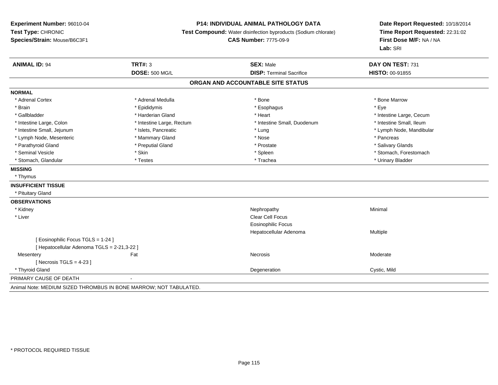## **P14: INDIVIDUAL ANIMAL PATHOLOGY DATA**

**Test Compound:** Water disinfection byproducts (Sodium chlorate)

**CAS Number:** 7775-09-9

| <b>ANIMAL ID: 94</b>                                              | <b>TRT#: 3</b>            | <b>SEX: Male</b>                  | DAY ON TEST: 731         |
|-------------------------------------------------------------------|---------------------------|-----------------------------------|--------------------------|
|                                                                   | <b>DOSE: 500 MG/L</b>     | <b>DISP: Terminal Sacrifice</b>   | <b>HISTO: 00-91855</b>   |
|                                                                   |                           | ORGAN AND ACCOUNTABLE SITE STATUS |                          |
| <b>NORMAL</b>                                                     |                           |                                   |                          |
| * Adrenal Cortex                                                  | * Adrenal Medulla         | * Bone                            | * Bone Marrow            |
| * Brain                                                           | * Epididymis              | * Esophagus                       | * Eye                    |
| * Gallbladder                                                     | * Harderian Gland         | * Heart                           | * Intestine Large, Cecum |
| * Intestine Large, Colon                                          | * Intestine Large, Rectum | * Intestine Small, Duodenum       | * Intestine Small, Ileum |
| * Intestine Small, Jejunum                                        | * Islets, Pancreatic      | * Lung                            | * Lymph Node, Mandibular |
| * Lymph Node, Mesenteric                                          | * Mammary Gland           | * Nose                            | * Pancreas               |
| * Parathyroid Gland                                               | * Preputial Gland         | * Prostate                        | * Salivary Glands        |
| * Seminal Vesicle                                                 | * Skin                    | * Spleen                          | * Stomach, Forestomach   |
| * Stomach, Glandular                                              | * Testes                  | * Trachea                         | * Urinary Bladder        |
| <b>MISSING</b>                                                    |                           |                                   |                          |
| * Thymus                                                          |                           |                                   |                          |
| <b>INSUFFICIENT TISSUE</b>                                        |                           |                                   |                          |
| * Pituitary Gland                                                 |                           |                                   |                          |
| <b>OBSERVATIONS</b>                                               |                           |                                   |                          |
| * Kidney                                                          |                           | Nephropathy                       | Minimal                  |
| * Liver                                                           |                           | <b>Clear Cell Focus</b>           |                          |
|                                                                   |                           | <b>Eosinophilic Focus</b>         |                          |
|                                                                   |                           | Hepatocellular Adenoma            | Multiple                 |
| [Eosinophilic Focus TGLS = 1-24]                                  |                           |                                   |                          |
| [Hepatocellular Adenoma TGLS = 2-21,3-22]                         |                           |                                   |                          |
| Mesentery                                                         | Fat                       | <b>Necrosis</b>                   | Moderate                 |
| [ Necrosis TGLS = $4-23$ ]                                        |                           |                                   |                          |
| * Thyroid Gland                                                   |                           | Degeneration                      | Cystic, Mild             |
| PRIMARY CAUSE OF DEATH                                            |                           |                                   |                          |
| Animal Note: MEDIUM SIZED THROMBUS IN BONE MARROW; NOT TABULATED. |                           |                                   |                          |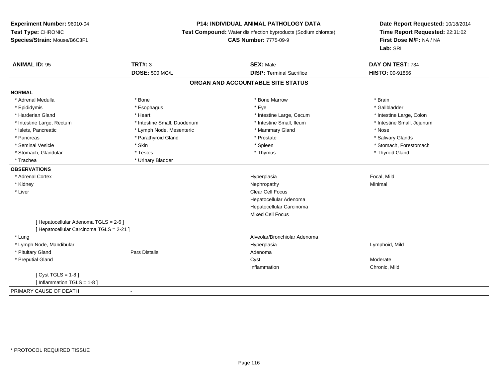## **P14: INDIVIDUAL ANIMAL PATHOLOGY DATA**

**Test Compound:** Water disinfection byproducts (Sodium chlorate)

**CAS Number:** 7775-09-9

| <b>ANIMAL ID: 95</b>                                                              | <b>TRT#: 3</b>              | <b>SEX: Male</b>                | DAY ON TEST: 734           |  |  |  |
|-----------------------------------------------------------------------------------|-----------------------------|---------------------------------|----------------------------|--|--|--|
|                                                                                   | <b>DOSE: 500 MG/L</b>       | <b>DISP: Terminal Sacrifice</b> | <b>HISTO: 00-91856</b>     |  |  |  |
| ORGAN AND ACCOUNTABLE SITE STATUS                                                 |                             |                                 |                            |  |  |  |
| <b>NORMAL</b>                                                                     |                             |                                 |                            |  |  |  |
| * Adrenal Medulla                                                                 | * Bone                      | * Bone Marrow                   | * Brain                    |  |  |  |
| * Epididymis                                                                      | * Esophagus                 | * Eye                           | * Gallbladder              |  |  |  |
| * Harderian Gland                                                                 | * Heart                     | * Intestine Large, Cecum        | * Intestine Large, Colon   |  |  |  |
| * Intestine Large, Rectum                                                         | * Intestine Small, Duodenum | * Intestine Small, Ileum        | * Intestine Small, Jejunum |  |  |  |
| * Islets, Pancreatic                                                              | * Lymph Node, Mesenteric    | * Mammary Gland                 | * Nose                     |  |  |  |
| * Pancreas                                                                        | * Parathyroid Gland         | * Prostate                      | * Salivary Glands          |  |  |  |
| * Seminal Vesicle                                                                 | * Skin                      | * Spleen                        | * Stomach, Forestomach     |  |  |  |
| * Stomach, Glandular                                                              | * Testes                    | * Thymus                        | * Thyroid Gland            |  |  |  |
| * Trachea                                                                         | * Urinary Bladder           |                                 |                            |  |  |  |
| <b>OBSERVATIONS</b>                                                               |                             |                                 |                            |  |  |  |
| * Adrenal Cortex                                                                  |                             | Hyperplasia                     | Focal, Mild                |  |  |  |
| * Kidney                                                                          |                             | Nephropathy                     | Minimal                    |  |  |  |
| * Liver                                                                           |                             | <b>Clear Cell Focus</b>         |                            |  |  |  |
|                                                                                   |                             | Hepatocellular Adenoma          |                            |  |  |  |
|                                                                                   |                             | Hepatocellular Carcinoma        |                            |  |  |  |
|                                                                                   |                             | <b>Mixed Cell Focus</b>         |                            |  |  |  |
| [ Hepatocellular Adenoma TGLS = 2-6 ]<br>[ Hepatocellular Carcinoma TGLS = 2-21 ] |                             |                                 |                            |  |  |  |
| * Lung                                                                            |                             | Alveolar/Bronchiolar Adenoma    |                            |  |  |  |
| * Lymph Node, Mandibular                                                          |                             | Hyperplasia                     | Lymphoid, Mild             |  |  |  |
| * Pituitary Gland                                                                 | <b>Pars Distalis</b>        | Adenoma                         |                            |  |  |  |
| * Preputial Gland                                                                 |                             | Cyst                            | Moderate                   |  |  |  |
|                                                                                   |                             | Inflammation                    | Chronic, Mild              |  |  |  |
| [Cyst TGLS = $1-8$ ]                                                              |                             |                                 |                            |  |  |  |
| [Inflammation TGLS = $1-8$ ]                                                      |                             |                                 |                            |  |  |  |
| PRIMARY CAUSE OF DEATH                                                            |                             |                                 |                            |  |  |  |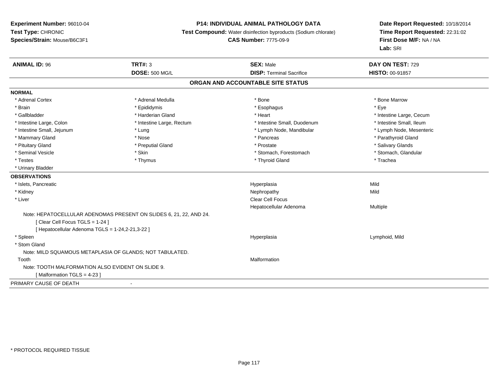# **P14: INDIVIDUAL ANIMAL PATHOLOGY DATA**

**Test Compound:** Water disinfection byproducts (Sodium chlorate)

**CAS Number:** 7775-09-9

| <b>ANIMAL ID: 96</b>                              | <b>TRT#: 3</b>                                                     | <b>SEX: Male</b>                  | DAY ON TEST: 729         |  |
|---------------------------------------------------|--------------------------------------------------------------------|-----------------------------------|--------------------------|--|
|                                                   | <b>DOSE: 500 MG/L</b>                                              | <b>DISP: Terminal Sacrifice</b>   | <b>HISTO: 00-91857</b>   |  |
|                                                   |                                                                    | ORGAN AND ACCOUNTABLE SITE STATUS |                          |  |
| <b>NORMAL</b>                                     |                                                                    |                                   |                          |  |
| * Adrenal Cortex                                  | * Adrenal Medulla                                                  | * Bone                            | * Bone Marrow            |  |
| * Brain                                           | * Epididymis                                                       | * Esophagus                       | * Eye                    |  |
| * Gallbladder                                     | * Harderian Gland                                                  | * Heart                           | * Intestine Large, Cecum |  |
| * Intestine Large, Colon                          | * Intestine Large, Rectum                                          | * Intestine Small, Duodenum       | * Intestine Small, Ileum |  |
| * Intestine Small, Jejunum                        | * Lung                                                             | * Lymph Node, Mandibular          | * Lymph Node, Mesenteric |  |
| * Mammary Gland                                   | * Nose                                                             | * Pancreas                        | * Parathyroid Gland      |  |
| * Pituitary Gland                                 | * Preputial Gland                                                  | * Prostate                        | * Salivary Glands        |  |
| * Seminal Vesicle                                 | * Skin                                                             | * Stomach, Forestomach            | * Stomach, Glandular     |  |
| * Testes                                          | * Thymus                                                           | * Thyroid Gland                   | * Trachea                |  |
| * Urinary Bladder                                 |                                                                    |                                   |                          |  |
| <b>OBSERVATIONS</b>                               |                                                                    |                                   |                          |  |
| * Islets, Pancreatic                              |                                                                    | Hyperplasia                       | Mild                     |  |
| * Kidney                                          |                                                                    | Nephropathy                       | Mild                     |  |
| * Liver                                           |                                                                    | <b>Clear Cell Focus</b>           |                          |  |
|                                                   |                                                                    | Hepatocellular Adenoma            | Multiple                 |  |
|                                                   | Note: HEPATOCELLULAR ADENOMAS PRESENT ON SLIDES 6, 21, 22, AND 24. |                                   |                          |  |
| [Clear Cell Focus TGLS = 1-24]                    |                                                                    |                                   |                          |  |
| [ Hepatocellular Adenoma TGLS = 1-24,2-21,3-22 ]  |                                                                    |                                   |                          |  |
| * Spleen                                          |                                                                    | Hyperplasia                       | Lymphoid, Mild           |  |
| * Stom Gland                                      |                                                                    |                                   |                          |  |
|                                                   | Note: MILD SQUAMOUS METAPLASIA OF GLANDS; NOT TABULATED.           |                                   |                          |  |
| Tooth                                             |                                                                    | Malformation                      |                          |  |
| Note: TOOTH MALFORMATION ALSO EVIDENT ON SLIDE 9. |                                                                    |                                   |                          |  |
| [Malformation TGLS = $4-23$ ]                     |                                                                    |                                   |                          |  |
| PRIMARY CAUSE OF DEATH                            | $\blacksquare$                                                     |                                   |                          |  |
|                                                   |                                                                    |                                   |                          |  |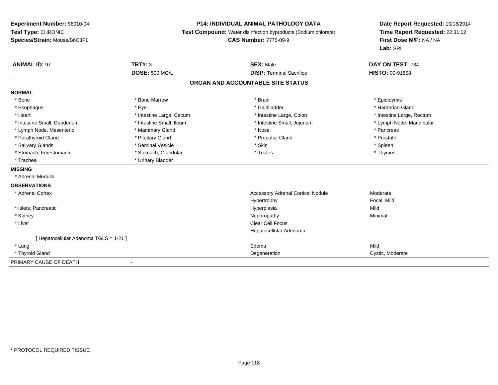## **P14: INDIVIDUAL ANIMAL PATHOLOGY DATA**

**Test Compound:** Water disinfection byproducts (Sodium chlorate)

**CAS Number:** 7775-09-9

| <b>ANIMAL ID: 97</b>                   | <b>TRT#: 3</b>           | <b>SEX: Male</b>                         | DAY ON TEST: 734          |
|----------------------------------------|--------------------------|------------------------------------------|---------------------------|
|                                        | <b>DOSE: 500 MG/L</b>    | <b>DISP: Terminal Sacrifice</b>          | <b>HISTO: 00-91858</b>    |
|                                        |                          | ORGAN AND ACCOUNTABLE SITE STATUS        |                           |
| <b>NORMAL</b>                          |                          |                                          |                           |
| * Bone                                 | * Bone Marrow            | * Brain                                  | * Epididymis              |
| * Esophagus                            | * Eye                    | * Gallbladder                            | * Harderian Gland         |
| * Heart                                | * Intestine Large, Cecum | * Intestine Large, Colon                 | * Intestine Large, Rectum |
| * Intestine Small, Duodenum            | * Intestine Small, Ileum | * Intestine Small, Jejunum               | * Lymph Node, Mandibular  |
| * Lymph Node, Mesenteric               | * Mammary Gland          | * Nose                                   | * Pancreas                |
| * Parathyroid Gland                    | * Pituitary Gland        | * Preputial Gland                        | * Prostate                |
| * Salivary Glands                      | * Seminal Vesicle        | * Skin                                   | * Spleen                  |
| * Stomach, Forestomach                 | * Stomach, Glandular     | * Testes                                 | * Thymus                  |
| * Trachea                              | * Urinary Bladder        |                                          |                           |
| <b>MISSING</b>                         |                          |                                          |                           |
| * Adrenal Medulla                      |                          |                                          |                           |
| <b>OBSERVATIONS</b>                    |                          |                                          |                           |
| * Adrenal Cortex                       |                          | <b>Accessory Adrenal Cortical Nodule</b> | Moderate                  |
|                                        |                          | Hypertrophy                              | Focal, Mild               |
| * Islets, Pancreatic                   |                          | Hyperplasia                              | Mild                      |
| * Kidney                               |                          | Nephropathy                              | Minimal                   |
| * Liver                                |                          | <b>Clear Cell Focus</b>                  |                           |
|                                        |                          | Hepatocellular Adenoma                   |                           |
| [ Hepatocellular Adenoma TGLS = 1-21 ] |                          |                                          |                           |
| * Lung                                 |                          | Edema                                    | Mild                      |
| * Thyroid Gland                        |                          | Degeneration                             | Cystic, Moderate          |
| PRIMARY CAUSE OF DEATH                 | $\overline{\phantom{a}}$ |                                          |                           |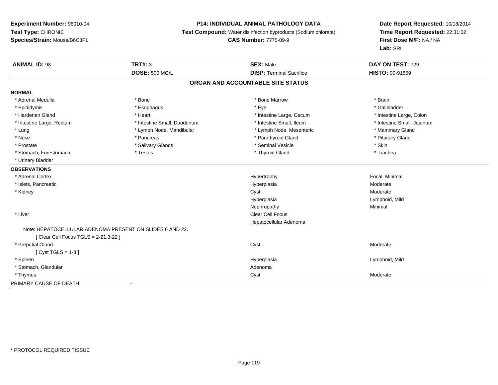## **P14: INDIVIDUAL ANIMAL PATHOLOGY DATA**

**Test Compound:** Water disinfection byproducts (Sodium chlorate)

**CAS Number:** 7775-09-9

| <b>ANIMAL ID: 98</b>                  | <b>TRT#: 3</b>                                           | <b>SEX: Male</b>                  | DAY ON TEST: 729           |
|---------------------------------------|----------------------------------------------------------|-----------------------------------|----------------------------|
|                                       | <b>DOSE: 500 MG/L</b>                                    | <b>DISP: Terminal Sacrifice</b>   | HISTO: 00-91859            |
|                                       |                                                          | ORGAN AND ACCOUNTABLE SITE STATUS |                            |
| <b>NORMAL</b>                         |                                                          |                                   |                            |
| * Adrenal Medulla                     | * Bone                                                   | * Bone Marrow                     | * Brain                    |
| * Epididymis                          | * Esophagus                                              | * Eye                             | * Gallbladder              |
| * Harderian Gland                     | * Heart                                                  | * Intestine Large, Cecum          | * Intestine Large, Colon   |
| * Intestine Large, Rectum             | * Intestine Small, Duodenum                              | * Intestine Small, Ileum          | * Intestine Small, Jejunum |
| * Lung                                | * Lymph Node, Mandibular                                 | * Lymph Node, Mesenteric          | * Mammary Gland            |
| * Nose                                | * Pancreas                                               | * Parathyroid Gland               | * Pituitary Gland          |
| * Prostate                            | * Salivary Glands                                        | * Seminal Vesicle                 | * Skin                     |
| * Stomach, Forestomach                | * Testes                                                 | * Thyroid Gland                   | * Trachea                  |
| * Urinary Bladder                     |                                                          |                                   |                            |
| <b>OBSERVATIONS</b>                   |                                                          |                                   |                            |
| * Adrenal Cortex                      |                                                          | Hypertrophy                       | Focal, Minimal             |
| * Islets, Pancreatic                  |                                                          | Hyperplasia                       | Moderate                   |
| * Kidney                              |                                                          | Cyst                              | Moderate                   |
|                                       |                                                          | Hyperplasia                       | Lymphoid, Mild             |
|                                       |                                                          | Nephropathy                       | Minimal                    |
| * Liver                               |                                                          | Clear Cell Focus                  |                            |
|                                       |                                                          | Hepatocellular Adenoma            |                            |
|                                       | Note: HEPATOCELLULAR ADENOMA PRESENT ON SLIDES 6 AND 22. |                                   |                            |
| [ Clear Cell Focus TGLS = 2-21,3-22 ] |                                                          |                                   |                            |
| * Preputial Gland                     |                                                          | Cyst                              | Moderate                   |
| [ $Cyst TGLS = 1-8$ ]                 |                                                          |                                   |                            |
| * Spleen                              |                                                          | Hyperplasia                       | Lymphoid, Mild             |
| * Stomach, Glandular                  |                                                          | Adenoma                           |                            |
| * Thymus                              |                                                          | Cyst                              | Moderate                   |
| PRIMARY CAUSE OF DEATH                | $\blacksquare$                                           |                                   |                            |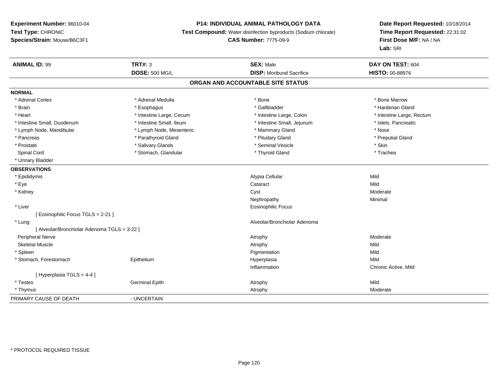## **P14: INDIVIDUAL ANIMAL PATHOLOGY DATA**

**Test Compound:** Water disinfection byproducts (Sodium chlorate)

**CAS Number:** 7775-09-9

| <b>ANIMAL ID: 99</b>                         | <b>TRT#: 3</b>           | <b>SEX: Male</b>                  | DAY ON TEST: 604          |
|----------------------------------------------|--------------------------|-----------------------------------|---------------------------|
|                                              | <b>DOSE: 500 MG/L</b>    | <b>DISP:</b> Moribund Sacrifice   | <b>HISTO: 00-88976</b>    |
|                                              |                          | ORGAN AND ACCOUNTABLE SITE STATUS |                           |
| <b>NORMAL</b>                                |                          |                                   |                           |
| * Adrenal Cortex                             | * Adrenal Medulla        | * Bone                            | * Bone Marrow             |
| * Brain                                      | * Esophagus              | * Gallbladder                     | * Harderian Gland         |
| * Heart                                      | * Intestine Large, Cecum | * Intestine Large, Colon          | * Intestine Large, Rectum |
| * Intestine Small, Duodenum                  | * Intestine Small, Ileum | * Intestine Small, Jejunum        | * Islets, Pancreatic      |
| * Lymph Node, Mandibular                     | * Lymph Node, Mesenteric | * Mammary Gland                   | * Nose                    |
| * Pancreas                                   | * Parathyroid Gland      | * Pituitary Gland                 | * Preputial Gland         |
| * Prostate                                   | * Salivary Glands        | * Seminal Vesicle                 | * Skin                    |
| Spinal Cord                                  | * Stomach, Glandular     | * Thyroid Gland                   | * Trachea                 |
| * Urinary Bladder                            |                          |                                   |                           |
| <b>OBSERVATIONS</b>                          |                          |                                   |                           |
| * Epididymis                                 |                          | Atypia Cellular                   | Mild                      |
| * Eye                                        |                          | Cataract                          | Mild                      |
| * Kidney                                     |                          | Cyst                              | Moderate                  |
|                                              |                          | Nephropathy                       | Minimal                   |
| * Liver                                      |                          | <b>Eosinophilic Focus</b>         |                           |
| [ Eosinophilic Focus TGLS = 2-21 ]           |                          |                                   |                           |
| * Lung                                       |                          | Alveolar/Bronchiolar Adenoma      |                           |
| [ Alveolar/Bronchiolar Adenoma TGLS = 3-22 ] |                          |                                   |                           |
| <b>Peripheral Nerve</b>                      |                          | Atrophy                           | Moderate                  |
| <b>Skeletal Muscle</b>                       |                          | Atrophy                           | Mild                      |
| * Spleen                                     |                          | Pigmentation                      | Mild                      |
| * Stomach, Forestomach                       | Epithelium               | Hyperplasia                       | Mild                      |
|                                              |                          | Inflammation                      | Chronic Active, Mild      |
| [ Hyperplasia TGLS = 4-4 ]                   |                          |                                   |                           |
| * Testes                                     | <b>Germinal Epith</b>    | Atrophy                           | Mild                      |
| * Thymus                                     |                          | Atrophy                           | Moderate                  |
| PRIMARY CAUSE OF DEATH                       | - UNCERTAIN              |                                   |                           |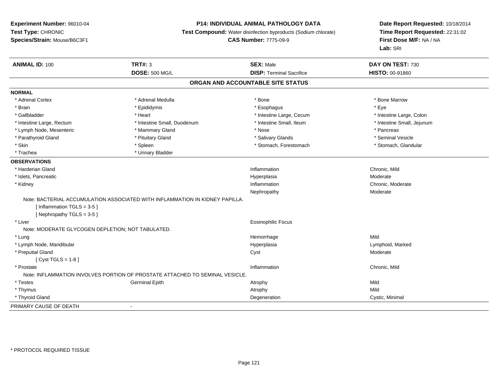# **P14: INDIVIDUAL ANIMAL PATHOLOGY DATA**

**Test Compound:** Water disinfection byproducts (Sodium chlorate)

**CAS Number:** 7775-09-9

| <b>ANIMAL ID: 100</b>                             | <b>TRT#: 3</b><br><b>DOSE: 500 MG/L</b>                                      | <b>SEX: Male</b><br><b>DISP: Terminal Sacrifice</b> | DAY ON TEST: 730<br><b>HISTO: 00-91860</b> |
|---------------------------------------------------|------------------------------------------------------------------------------|-----------------------------------------------------|--------------------------------------------|
|                                                   |                                                                              |                                                     |                                            |
|                                                   |                                                                              | ORGAN AND ACCOUNTABLE SITE STATUS                   |                                            |
| <b>NORMAL</b>                                     |                                                                              |                                                     |                                            |
| * Adrenal Cortex                                  | * Adrenal Medulla                                                            | * Bone                                              | * Bone Marrow                              |
| * Brain                                           | * Epididymis                                                                 | * Esophagus                                         | * Eye                                      |
| * Gallbladder                                     | * Heart                                                                      | * Intestine Large, Cecum                            | * Intestine Large, Colon                   |
| * Intestine Large, Rectum                         | * Intestine Small, Duodenum                                                  | * Intestine Small, Ileum                            | * Intestine Small, Jejunum                 |
| * Lymph Node, Mesenteric                          | * Mammary Gland                                                              | * Nose                                              | * Pancreas                                 |
| * Parathyroid Gland                               | * Pituitary Gland                                                            | * Salivary Glands                                   | * Seminal Vesicle                          |
| * Skin                                            | * Spleen                                                                     | * Stomach, Forestomach                              | * Stomach, Glandular                       |
| * Trachea                                         | * Urinary Bladder                                                            |                                                     |                                            |
| <b>OBSERVATIONS</b>                               |                                                                              |                                                     |                                            |
| * Harderian Gland                                 |                                                                              | Inflammation                                        | Chronic, Mild                              |
| * Islets, Pancreatic                              |                                                                              | Hyperplasia                                         | Moderate                                   |
| * Kidney                                          |                                                                              | Inflammation                                        | Chronic, Moderate                          |
|                                                   |                                                                              | Nephropathy                                         | Moderate                                   |
|                                                   | Note: BACTERIAL ACCUMULATION ASSOCIATED WITH INFLAMMATION IN KIDNEY PAPILLA. |                                                     |                                            |
| [Inflammation TGLS = $3-5$ ]                      |                                                                              |                                                     |                                            |
| [Nephropathy TGLS = $3-5$ ]                       |                                                                              |                                                     |                                            |
| * Liver                                           |                                                                              | <b>Eosinophilic Focus</b>                           |                                            |
| Note: MODERATE GLYCOGEN DEPLETION; NOT TABULATED. |                                                                              |                                                     |                                            |
| * Lung                                            |                                                                              | Hemorrhage                                          | Mild                                       |
| * Lymph Node, Mandibular                          |                                                                              | Hyperplasia                                         | Lymphoid, Marked                           |
| * Preputial Gland                                 |                                                                              | Cyst                                                | Moderate                                   |
| [ $Cyst TGLS = 1-8$ ]                             |                                                                              |                                                     |                                            |
| * Prostate                                        |                                                                              | Inflammation                                        | Chronic, Mild                              |
|                                                   | Note: INFLAMMATION INVOLVES PORTION OF PROSTATE ATTACHED TO SEMINAL VESICLE. |                                                     |                                            |
| * Testes                                          | <b>Germinal Epith</b>                                                        | Atrophy                                             | Mild                                       |
| * Thymus                                          |                                                                              | Atrophy                                             | Mild                                       |
| * Thyroid Gland                                   |                                                                              | Degeneration                                        | Cystic, Minimal                            |
| PRIMARY CAUSE OF DEATH                            |                                                                              |                                                     |                                            |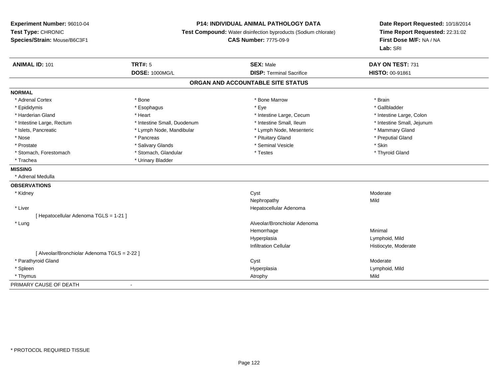# **P14: INDIVIDUAL ANIMAL PATHOLOGY DATA**

**Test Compound:** Water disinfection byproducts (Sodium chlorate)

**CAS Number:** 7775-09-9

| <b>ANIMAL ID: 101</b>                        | <b>TRT#: 5</b>              | <b>SEX: Male</b>                | DAY ON TEST: 731           |  |  |  |  |
|----------------------------------------------|-----------------------------|---------------------------------|----------------------------|--|--|--|--|
|                                              | <b>DOSE: 1000MG/L</b>       | <b>DISP: Terminal Sacrifice</b> | <b>HISTO: 00-91861</b>     |  |  |  |  |
| ORGAN AND ACCOUNTABLE SITE STATUS            |                             |                                 |                            |  |  |  |  |
| <b>NORMAL</b>                                |                             |                                 |                            |  |  |  |  |
| * Adrenal Cortex                             | * Bone                      | * Bone Marrow                   | * Brain                    |  |  |  |  |
| * Epididymis                                 | * Esophagus                 | * Eye                           | * Gallbladder              |  |  |  |  |
| * Harderian Gland                            | * Heart                     | * Intestine Large, Cecum        | * Intestine Large, Colon   |  |  |  |  |
| * Intestine Large, Rectum                    | * Intestine Small, Duodenum | * Intestine Small, Ileum        | * Intestine Small, Jejunum |  |  |  |  |
| * Islets, Pancreatic                         | * Lymph Node, Mandibular    | * Lymph Node, Mesenteric        | * Mammary Gland            |  |  |  |  |
| * Nose                                       | * Pancreas                  | * Pituitary Gland               | * Preputial Gland          |  |  |  |  |
| * Prostate                                   | * Salivary Glands           | * Seminal Vesicle               | * Skin                     |  |  |  |  |
| * Stomach, Forestomach                       | * Stomach, Glandular        | * Testes                        | * Thyroid Gland            |  |  |  |  |
| * Trachea                                    | * Urinary Bladder           |                                 |                            |  |  |  |  |
| <b>MISSING</b>                               |                             |                                 |                            |  |  |  |  |
| * Adrenal Medulla                            |                             |                                 |                            |  |  |  |  |
| <b>OBSERVATIONS</b>                          |                             |                                 |                            |  |  |  |  |
| * Kidney                                     |                             | Cyst                            | Moderate                   |  |  |  |  |
|                                              |                             | Nephropathy                     | Mild                       |  |  |  |  |
| * Liver                                      |                             | Hepatocellular Adenoma          |                            |  |  |  |  |
| [ Hepatocellular Adenoma TGLS = 1-21 ]       |                             |                                 |                            |  |  |  |  |
| * Lung                                       |                             | Alveolar/Bronchiolar Adenoma    |                            |  |  |  |  |
|                                              |                             | Hemorrhage                      | Minimal                    |  |  |  |  |
|                                              |                             | Hyperplasia                     | Lymphoid, Mild             |  |  |  |  |
|                                              |                             | <b>Infiltration Cellular</b>    | Histiocyte, Moderate       |  |  |  |  |
| [ Alveolar/Bronchiolar Adenoma TGLS = 2-22 ] |                             |                                 |                            |  |  |  |  |
| * Parathyroid Gland                          |                             | Cyst                            | Moderate                   |  |  |  |  |
| * Spleen                                     |                             | Hyperplasia                     | Lymphoid, Mild             |  |  |  |  |
| * Thymus                                     |                             | Atrophy                         | Mild                       |  |  |  |  |
| PRIMARY CAUSE OF DEATH                       |                             |                                 |                            |  |  |  |  |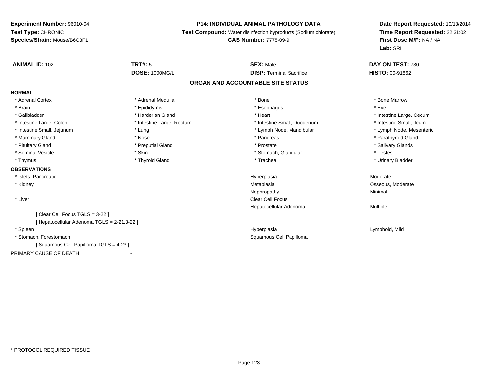## **P14: INDIVIDUAL ANIMAL PATHOLOGY DATA**

**Test Compound:** Water disinfection byproducts (Sodium chlorate)

**CAS Number:** 7775-09-9

| <b>ANIMAL ID: 102</b>                       | <b>TRT#: 5</b>                    | <b>SEX: Male</b>                | DAY ON TEST: 730         |  |  |  |  |
|---------------------------------------------|-----------------------------------|---------------------------------|--------------------------|--|--|--|--|
|                                             | <b>DOSE: 1000MG/L</b>             | <b>DISP: Terminal Sacrifice</b> | <b>HISTO: 00-91862</b>   |  |  |  |  |
|                                             | ORGAN AND ACCOUNTABLE SITE STATUS |                                 |                          |  |  |  |  |
| <b>NORMAL</b>                               |                                   |                                 |                          |  |  |  |  |
| * Adrenal Cortex                            | * Adrenal Medulla                 | * Bone                          | * Bone Marrow            |  |  |  |  |
| * Brain                                     | * Epididymis                      | * Esophagus                     | * Eye                    |  |  |  |  |
| * Gallbladder                               | * Harderian Gland                 | * Heart                         | * Intestine Large, Cecum |  |  |  |  |
| * Intestine Large, Colon                    | * Intestine Large, Rectum         | * Intestine Small, Duodenum     | * Intestine Small, Ileum |  |  |  |  |
| * Intestine Small, Jejunum                  | * Lung                            | * Lymph Node, Mandibular        | * Lymph Node, Mesenteric |  |  |  |  |
| * Mammary Gland                             | * Nose                            | * Pancreas                      | * Parathyroid Gland      |  |  |  |  |
| * Pituitary Gland                           | * Preputial Gland                 | * Prostate                      | * Salivary Glands        |  |  |  |  |
| * Seminal Vesicle                           | * Skin                            | * Stomach, Glandular            | * Testes                 |  |  |  |  |
| * Thymus                                    | * Thyroid Gland                   | * Trachea                       | * Urinary Bladder        |  |  |  |  |
| <b>OBSERVATIONS</b>                         |                                   |                                 |                          |  |  |  |  |
| * Islets, Pancreatic                        |                                   | Hyperplasia                     | Moderate                 |  |  |  |  |
| * Kidney                                    |                                   | Metaplasia                      | Osseous, Moderate        |  |  |  |  |
|                                             |                                   | Nephropathy                     | Minimal                  |  |  |  |  |
| * Liver                                     |                                   | Clear Cell Focus                |                          |  |  |  |  |
|                                             |                                   | Hepatocellular Adenoma          | Multiple                 |  |  |  |  |
| [Clear Cell Focus TGLS = 3-22]              |                                   |                                 |                          |  |  |  |  |
| [ Hepatocellular Adenoma TGLS = 2-21,3-22 ] |                                   |                                 |                          |  |  |  |  |
| * Spleen                                    |                                   | Hyperplasia                     | Lymphoid, Mild           |  |  |  |  |
| * Stomach, Forestomach                      |                                   | Squamous Cell Papilloma         |                          |  |  |  |  |
| Squamous Cell Papilloma TGLS = 4-23 ]       |                                   |                                 |                          |  |  |  |  |
| PRIMARY CAUSE OF DEATH                      | -                                 |                                 |                          |  |  |  |  |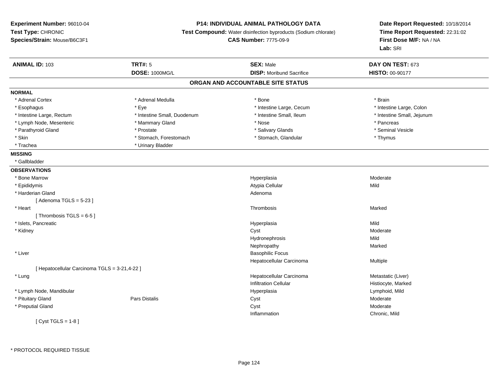# **P14: INDIVIDUAL ANIMAL PATHOLOGY DATA**

**Test Compound:** Water disinfection byproducts (Sodium chlorate)

**CAS Number:** 7775-09-9

| <b>ANIMAL ID: 103</b>                         | <b>TRT#: 5</b>              | <b>SEX: Male</b>                  | DAY ON TEST: 673           |
|-----------------------------------------------|-----------------------------|-----------------------------------|----------------------------|
|                                               | <b>DOSE: 1000MG/L</b>       | <b>DISP:</b> Moribund Sacrifice   | <b>HISTO: 00-90177</b>     |
|                                               |                             | ORGAN AND ACCOUNTABLE SITE STATUS |                            |
| <b>NORMAL</b>                                 |                             |                                   |                            |
| * Adrenal Cortex                              | * Adrenal Medulla           | * Bone                            | * Brain                    |
| * Esophagus                                   | * Eye                       | * Intestine Large, Cecum          | * Intestine Large, Colon   |
| * Intestine Large, Rectum                     | * Intestine Small, Duodenum | * Intestine Small, Ileum          | * Intestine Small, Jejunum |
| * Lymph Node, Mesenteric                      | * Mammary Gland             | * Nose                            | * Pancreas                 |
| * Parathyroid Gland                           | * Prostate                  | * Salivary Glands                 | * Seminal Vesicle          |
| * Skin                                        | * Stomach, Forestomach      | * Stomach, Glandular              | * Thymus                   |
| * Trachea                                     | * Urinary Bladder           |                                   |                            |
| <b>MISSING</b>                                |                             |                                   |                            |
| * Gallbladder                                 |                             |                                   |                            |
| <b>OBSERVATIONS</b>                           |                             |                                   |                            |
| * Bone Marrow                                 |                             | Hyperplasia                       | Moderate                   |
| * Epididymis                                  |                             | Atypia Cellular                   | Mild                       |
| * Harderian Gland                             |                             | Adenoma                           |                            |
| [Adenoma TGLS = $5-23$ ]                      |                             |                                   |                            |
| * Heart                                       |                             | Thrombosis                        | Marked                     |
| [Thrombosis TGLS = $6-5$ ]                    |                             |                                   |                            |
| * Islets, Pancreatic                          |                             | Hyperplasia                       | Mild                       |
| * Kidney                                      |                             | Cyst                              | Moderate                   |
|                                               |                             | Hydronephrosis                    | Mild                       |
|                                               |                             | Nephropathy                       | Marked                     |
| * Liver                                       |                             | <b>Basophilic Focus</b>           |                            |
|                                               |                             | Hepatocellular Carcinoma          | Multiple                   |
| [ Hepatocellular Carcinoma TGLS = 3-21,4-22 ] |                             |                                   |                            |
| * Lung                                        |                             | Hepatocellular Carcinoma          | Metastatic (Liver)         |
|                                               |                             | <b>Infiltration Cellular</b>      | Histiocyte, Marked         |
| * Lymph Node, Mandibular                      |                             | Hyperplasia                       | Lymphoid, Mild             |
| * Pituitary Gland                             | Pars Distalis               | Cyst                              | Moderate                   |
| * Preputial Gland                             |                             | Cyst                              | Moderate                   |
|                                               |                             | Inflammation                      | Chronic, Mild              |
| [Cyst TGLS = $1-8$ ]                          |                             |                                   |                            |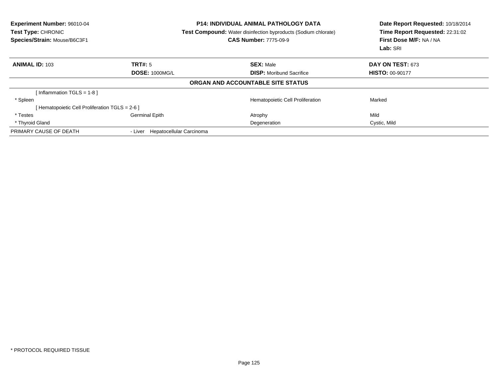| Experiment Number: 96010-04<br><b>Test Type: CHRONIC</b><br>Species/Strain: Mouse/B6C3F1 |                                  | <b>P14: INDIVIDUAL ANIMAL PATHOLOGY DATA</b><br><b>Test Compound:</b> Water disinfection byproducts (Sodium chlorate)<br><b>CAS Number: 7775-09-9</b> | Date Report Requested: 10/18/2014<br>Time Report Requested: 22:31:02<br>First Dose M/F: NA / NA<br>Lab: SRI |  |
|------------------------------------------------------------------------------------------|----------------------------------|-------------------------------------------------------------------------------------------------------------------------------------------------------|-------------------------------------------------------------------------------------------------------------|--|
| <b>ANIMAL ID: 103</b>                                                                    | TRT#: 5                          | <b>SEX: Male</b>                                                                                                                                      | <b>DAY ON TEST: 673</b>                                                                                     |  |
|                                                                                          | <b>DOSE: 1000MG/L</b>            | <b>DISP:</b> Moribund Sacrifice                                                                                                                       | <b>HISTO: 00-90177</b>                                                                                      |  |
|                                                                                          |                                  | ORGAN AND ACCOUNTABLE SITE STATUS                                                                                                                     |                                                                                                             |  |
| [Inflammation TGLS = $1-8$ ]                                                             |                                  |                                                                                                                                                       |                                                                                                             |  |
| * Spleen                                                                                 |                                  | Hematopoietic Cell Proliferation                                                                                                                      | Marked                                                                                                      |  |
| [ Hematopoietic Cell Proliferation TGLS = 2-6 ]                                          |                                  |                                                                                                                                                       |                                                                                                             |  |
| * Testes                                                                                 | <b>Germinal Epith</b>            | Atrophy                                                                                                                                               | Mild                                                                                                        |  |
| * Thyroid Gland                                                                          |                                  | Degeneration                                                                                                                                          | Cystic, Mild                                                                                                |  |
| PRIMARY CAUSE OF DEATH                                                                   | - Liver Hepatocellular Carcinoma |                                                                                                                                                       |                                                                                                             |  |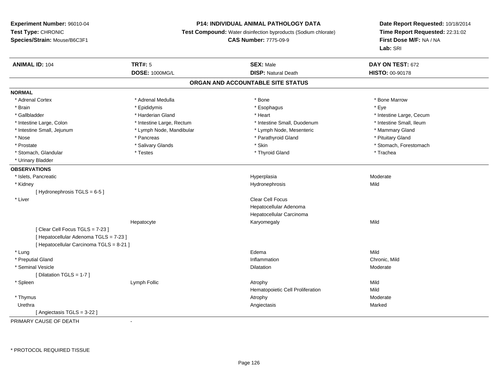# **P14: INDIVIDUAL ANIMAL PATHOLOGY DATA**

**Test Compound:** Water disinfection byproducts (Sodium chlorate)

**CAS Number:** 7775-09-9

**Date Report Requested:** 10/18/2014 **Time Report Requested:** 22:31:02**First Dose M/F:** NA / NA**Lab:** SRI

| <b>ANIMAL ID: 104</b>                    | <b>TRT#: 5</b>            | <b>SEX: Male</b>                  | DAY ON TEST: 672         |  |
|------------------------------------------|---------------------------|-----------------------------------|--------------------------|--|
|                                          | <b>DOSE: 1000MG/L</b>     | <b>DISP: Natural Death</b>        | HISTO: 00-90178          |  |
|                                          |                           | ORGAN AND ACCOUNTABLE SITE STATUS |                          |  |
| <b>NORMAL</b>                            |                           |                                   |                          |  |
| * Adrenal Cortex                         | * Adrenal Medulla         | * Bone                            | * Bone Marrow            |  |
| * Brain                                  | * Epididymis              | * Esophagus                       | * Eye                    |  |
| * Gallbladder                            | * Harderian Gland         | * Heart                           | * Intestine Large, Cecum |  |
| * Intestine Large, Colon                 | * Intestine Large, Rectum | * Intestine Small, Duodenum       | * Intestine Small, Ileum |  |
| * Intestine Small, Jejunum               | * Lymph Node, Mandibular  | * Lymph Node, Mesenteric          | * Mammary Gland          |  |
| * Nose                                   | * Pancreas                | * Parathyroid Gland               | * Pituitary Gland        |  |
| * Prostate                               | * Salivary Glands         | * Skin                            | * Stomach, Forestomach   |  |
| * Stomach, Glandular                     | $*$ Testes                | * Thyroid Gland                   | * Trachea                |  |
| * Urinary Bladder                        |                           |                                   |                          |  |
| <b>OBSERVATIONS</b>                      |                           |                                   |                          |  |
| * Islets, Pancreatic                     |                           | Hyperplasia                       | Moderate                 |  |
| * Kidney                                 |                           | Hydronephrosis                    | Mild                     |  |
| [Hydronephrosis TGLS = 6-5]              |                           |                                   |                          |  |
| * Liver                                  |                           | Clear Cell Focus                  |                          |  |
|                                          |                           | Hepatocellular Adenoma            |                          |  |
|                                          |                           | Hepatocellular Carcinoma          |                          |  |
|                                          | Hepatocyte                | Karyomegaly                       | Mild                     |  |
| [Clear Cell Focus TGLS = 7-23]           |                           |                                   |                          |  |
| [ Hepatocellular Adenoma TGLS = 7-23 ]   |                           |                                   |                          |  |
| [ Hepatocellular Carcinoma TGLS = 8-21 ] |                           |                                   |                          |  |
| * Lung                                   |                           | Edema                             | Mild                     |  |
| * Preputial Gland                        |                           | Inflammation                      | Chronic, Mild            |  |
| * Seminal Vesicle                        |                           | Dilatation                        | Moderate                 |  |
| [ Dilatation TGLS = 1-7 ]                |                           |                                   |                          |  |
| * Spleen                                 | Lymph Follic              | Atrophy                           | Mild                     |  |
|                                          |                           | Hematopoietic Cell Proliferation  | Mild                     |  |
| * Thymus                                 |                           | Atrophy                           | Moderate                 |  |
| Urethra                                  |                           | Angiectasis                       | Marked                   |  |
| [Angiectasis TGLS = 3-22]                |                           |                                   |                          |  |

PRIMARY CAUSE OF DEATH-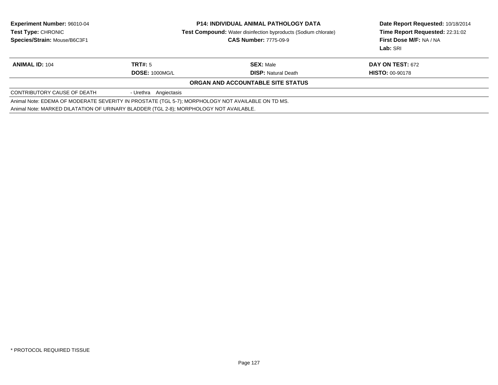| <b>Experiment Number: 96010-04</b>                                                                |                       | <b>P14: INDIVIDUAL ANIMAL PATHOLOGY DATA</b>                          | Date Report Requested: 10/18/2014 |  |
|---------------------------------------------------------------------------------------------------|-----------------------|-----------------------------------------------------------------------|-----------------------------------|--|
| <b>Test Type: CHRONIC</b>                                                                         |                       | <b>Test Compound:</b> Water disinfection byproducts (Sodium chlorate) | Time Report Requested: 22:31:02   |  |
| Species/Strain: Mouse/B6C3F1                                                                      |                       | <b>CAS Number: 7775-09-9</b>                                          | First Dose M/F: NA / NA           |  |
|                                                                                                   |                       |                                                                       | Lab: SRI                          |  |
| <b>ANIMAL ID: 104</b>                                                                             | TRT#: 5               | <b>SEX: Male</b>                                                      | DAY ON TEST: 672                  |  |
|                                                                                                   | <b>DOSE: 1000MG/L</b> | <b>DISP:</b> Natural Death                                            | <b>HISTO: 00-90178</b>            |  |
|                                                                                                   |                       | ORGAN AND ACCOUNTABLE SITE STATUS                                     |                                   |  |
| CONTRIBUTORY CAUSE OF DEATH                                                                       | - Urethra Angiectasis |                                                                       |                                   |  |
| Animal Note: EDEMA OF MODERATE SEVERITY IN PROSTATE (TGL 5-7); MORPHOLOGY NOT AVAILABLE ON TD MS. |                       |                                                                       |                                   |  |
| Animal Note: MARKED DILATATION OF URINARY BLADDER (TGL 2-8); MORPHOLOGY NOT AVAILABLE.            |                       |                                                                       |                                   |  |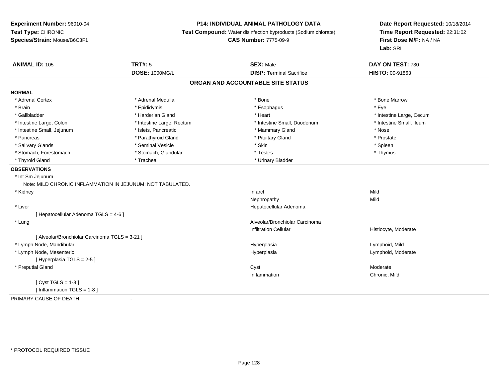# **P14: INDIVIDUAL ANIMAL PATHOLOGY DATA**

**Test Compound:** Water disinfection byproducts (Sodium chlorate)

```
CAS Number: 7775-09-9
```

| <b>ANIMAL ID: 105</b>                                      | <b>TRT#: 5</b>            | <b>SEX: Male</b>                | DAY ON TEST: 730         |  |  |  |  |
|------------------------------------------------------------|---------------------------|---------------------------------|--------------------------|--|--|--|--|
|                                                            | <b>DOSE: 1000MG/L</b>     | <b>DISP: Terminal Sacrifice</b> | HISTO: 00-91863          |  |  |  |  |
| ORGAN AND ACCOUNTABLE SITE STATUS                          |                           |                                 |                          |  |  |  |  |
| <b>NORMAL</b>                                              |                           |                                 |                          |  |  |  |  |
| * Adrenal Cortex                                           | * Adrenal Medulla         | * Bone                          | * Bone Marrow            |  |  |  |  |
| * Brain                                                    | * Epididymis              | * Esophagus                     | * Eye                    |  |  |  |  |
| * Gallbladder                                              | * Harderian Gland         | * Heart                         | * Intestine Large, Cecum |  |  |  |  |
| * Intestine Large, Colon                                   | * Intestine Large, Rectum | * Intestine Small, Duodenum     | * Intestine Small, Ileum |  |  |  |  |
| * Intestine Small, Jejunum                                 | * Islets, Pancreatic      | * Mammary Gland                 | * Nose                   |  |  |  |  |
| * Pancreas                                                 | * Parathyroid Gland       | * Pituitary Gland               | * Prostate               |  |  |  |  |
| * Salivary Glands                                          | * Seminal Vesicle         | * Skin                          | * Spleen                 |  |  |  |  |
| * Stomach, Forestomach                                     | * Stomach, Glandular      | * Testes                        | * Thymus                 |  |  |  |  |
| * Thyroid Gland                                            | * Trachea                 | * Urinary Bladder               |                          |  |  |  |  |
| <b>OBSERVATIONS</b>                                        |                           |                                 |                          |  |  |  |  |
| * Int Sm Jejunum                                           |                           |                                 |                          |  |  |  |  |
| Note: MILD CHRONIC INFLAMMATION IN JEJUNUM; NOT TABULATED. |                           |                                 |                          |  |  |  |  |
| * Kidney                                                   |                           | Infarct                         | Mild                     |  |  |  |  |
|                                                            |                           | Nephropathy                     | Mild                     |  |  |  |  |
| * Liver                                                    |                           | Hepatocellular Adenoma          |                          |  |  |  |  |
| [ Hepatocellular Adenoma TGLS = 4-6 ]                      |                           |                                 |                          |  |  |  |  |
| * Lung                                                     |                           | Alveolar/Bronchiolar Carcinoma  |                          |  |  |  |  |
|                                                            |                           | Infiltration Cellular           | Histiocyte, Moderate     |  |  |  |  |
| [ Alveolar/Bronchiolar Carcinoma TGLS = 3-21 ]             |                           |                                 |                          |  |  |  |  |
| * Lymph Node, Mandibular                                   |                           | Hyperplasia                     | Lymphoid, Mild           |  |  |  |  |
| * Lymph Node, Mesenteric                                   |                           | Hyperplasia                     | Lymphoid, Moderate       |  |  |  |  |
| [Hyperplasia TGLS = 2-5]                                   |                           |                                 |                          |  |  |  |  |
| * Preputial Gland                                          |                           | Cyst                            | Moderate                 |  |  |  |  |
|                                                            |                           | Inflammation                    | Chronic, Mild            |  |  |  |  |
| [ $Cyst TGLS = 1-8$ ]                                      |                           |                                 |                          |  |  |  |  |
| [Inflammation TGLS = $1-8$ ]                               |                           |                                 |                          |  |  |  |  |
| PRIMARY CAUSE OF DEATH                                     | $\overline{\phantom{a}}$  |                                 |                          |  |  |  |  |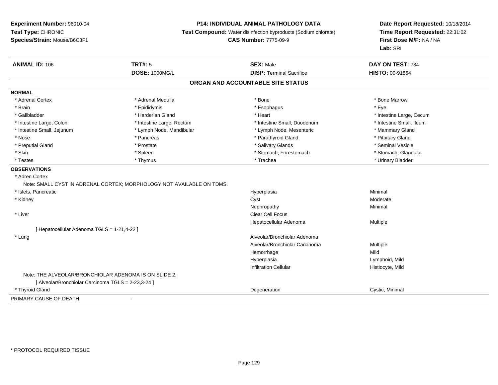# **P14: INDIVIDUAL ANIMAL PATHOLOGY DATA**

**Test Compound:** Water disinfection byproducts (Sodium chlorate)

**CAS Number:** 7775-09-9

| <b>ANIMAL ID: 106</b>                                 | <b>TRT#: 5</b>                                                        | <b>SEX: Male</b>                  | DAY ON TEST: 734         |  |
|-------------------------------------------------------|-----------------------------------------------------------------------|-----------------------------------|--------------------------|--|
|                                                       | <b>DOSE: 1000MG/L</b>                                                 | <b>DISP: Terminal Sacrifice</b>   | <b>HISTO: 00-91864</b>   |  |
|                                                       |                                                                       | ORGAN AND ACCOUNTABLE SITE STATUS |                          |  |
| <b>NORMAL</b>                                         |                                                                       |                                   |                          |  |
| * Adrenal Cortex                                      | * Adrenal Medulla                                                     | * Bone                            | * Bone Marrow            |  |
| * Brain                                               | * Epididymis                                                          | * Esophagus                       | * Eye                    |  |
| * Gallbladder                                         | * Harderian Gland                                                     | * Heart                           | * Intestine Large, Cecum |  |
| * Intestine Large, Colon                              | * Intestine Large, Rectum                                             | * Intestine Small, Duodenum       | * Intestine Small, Ileum |  |
| * Intestine Small, Jejunum                            | * Lymph Node, Mandibular                                              | * Lymph Node, Mesenteric          | * Mammary Gland          |  |
| * Nose                                                | * Pancreas                                                            | * Parathyroid Gland               | * Pituitary Gland        |  |
| * Preputial Gland                                     | * Prostate                                                            | * Salivary Glands                 | * Seminal Vesicle        |  |
| * Skin                                                | $*$ Spleen                                                            | * Stomach, Forestomach            | * Stomach, Glandular     |  |
| * Testes                                              | * Thymus                                                              | * Trachea                         | * Urinary Bladder        |  |
| <b>OBSERVATIONS</b>                                   |                                                                       |                                   |                          |  |
| * Adren Cortex                                        |                                                                       |                                   |                          |  |
|                                                       | Note: SMALL CYST IN ADRENAL CORTEX; MORPHOLOGY NOT AVAILABLE ON TDMS. |                                   |                          |  |
| * Islets, Pancreatic                                  |                                                                       | Hyperplasia                       | Minimal                  |  |
| * Kidney                                              |                                                                       | Cyst                              | Moderate                 |  |
|                                                       |                                                                       | Nephropathy                       | Minimal                  |  |
| * Liver                                               |                                                                       | <b>Clear Cell Focus</b>           |                          |  |
|                                                       |                                                                       | Hepatocellular Adenoma            | Multiple                 |  |
| [ Hepatocellular Adenoma TGLS = 1-21,4-22 ]           |                                                                       |                                   |                          |  |
| * Lung                                                |                                                                       | Alveolar/Bronchiolar Adenoma      |                          |  |
|                                                       |                                                                       | Alveolar/Bronchiolar Carcinoma    | Multiple                 |  |
|                                                       |                                                                       | Hemorrhage                        | Mild                     |  |
|                                                       |                                                                       | Hyperplasia                       | Lymphoid, Mild           |  |
|                                                       |                                                                       | <b>Infiltration Cellular</b>      | Histiocyte, Mild         |  |
| Note: THE ALVEOLAR/BRONCHIOLAR ADENOMA IS ON SLIDE 2. |                                                                       |                                   |                          |  |
| [ Alveolar/Bronchiolar Carcinoma TGLS = 2-23,3-24 ]   |                                                                       |                                   |                          |  |
| * Thyroid Gland                                       |                                                                       | Degeneration                      | Cystic, Minimal          |  |
| PRIMARY CAUSE OF DEATH                                | $\blacksquare$                                                        |                                   |                          |  |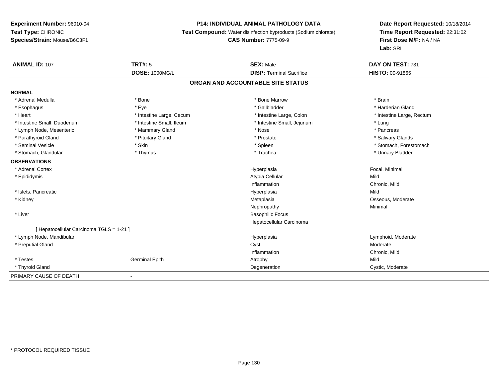## **P14: INDIVIDUAL ANIMAL PATHOLOGY DATA**

**Test Compound:** Water disinfection byproducts (Sodium chlorate)

#### **CAS Number:** 7775-09-9

| <b>ANIMAL ID: 107</b>                    | <b>TRT#: 5</b>           | <b>SEX: Male</b>                | DAY ON TEST: 731          |  |  |  |
|------------------------------------------|--------------------------|---------------------------------|---------------------------|--|--|--|
|                                          | <b>DOSE: 1000MG/L</b>    | <b>DISP: Terminal Sacrifice</b> | <b>HISTO: 00-91865</b>    |  |  |  |
| ORGAN AND ACCOUNTABLE SITE STATUS        |                          |                                 |                           |  |  |  |
| <b>NORMAL</b>                            |                          |                                 |                           |  |  |  |
| * Adrenal Medulla                        | * Bone                   | * Bone Marrow                   | * Brain                   |  |  |  |
| * Esophagus                              | * Eye                    | * Gallbladder                   | * Harderian Gland         |  |  |  |
| * Heart                                  | * Intestine Large, Cecum | * Intestine Large, Colon        | * Intestine Large, Rectum |  |  |  |
| * Intestine Small, Duodenum              | * Intestine Small, Ileum | * Intestine Small, Jejunum      | * Lung                    |  |  |  |
| * Lymph Node, Mesenteric                 | * Mammary Gland          | * Nose                          | * Pancreas                |  |  |  |
| * Parathyroid Gland                      | * Pituitary Gland        | * Prostate                      | * Salivary Glands         |  |  |  |
| * Seminal Vesicle                        | * Skin                   | * Spleen                        | * Stomach, Forestomach    |  |  |  |
| * Stomach, Glandular                     | * Thymus                 | * Trachea                       | * Urinary Bladder         |  |  |  |
| <b>OBSERVATIONS</b>                      |                          |                                 |                           |  |  |  |
| * Adrenal Cortex                         |                          | Hyperplasia                     | Focal, Minimal            |  |  |  |
| * Epididymis                             |                          | Atypia Cellular                 | Mild                      |  |  |  |
|                                          |                          | Inflammation                    | Chronic, Mild             |  |  |  |
| * Islets, Pancreatic                     |                          | Hyperplasia                     | Mild                      |  |  |  |
| * Kidney                                 |                          | Metaplasia                      | Osseous, Moderate         |  |  |  |
|                                          |                          | Nephropathy                     | Minimal                   |  |  |  |
| * Liver                                  |                          | <b>Basophilic Focus</b>         |                           |  |  |  |
|                                          |                          | Hepatocellular Carcinoma        |                           |  |  |  |
| [ Hepatocellular Carcinoma TGLS = 1-21 ] |                          |                                 |                           |  |  |  |
| * Lymph Node, Mandibular                 |                          | Hyperplasia                     | Lymphoid, Moderate        |  |  |  |
| * Preputial Gland                        |                          | Cyst                            | Moderate                  |  |  |  |
|                                          |                          | Inflammation                    | Chronic, Mild             |  |  |  |
| * Testes                                 | <b>Germinal Epith</b>    | Atrophy                         | Mild                      |  |  |  |
| * Thyroid Gland                          |                          | Degeneration                    | Cystic, Moderate          |  |  |  |
| PRIMARY CAUSE OF DEATH                   |                          |                                 |                           |  |  |  |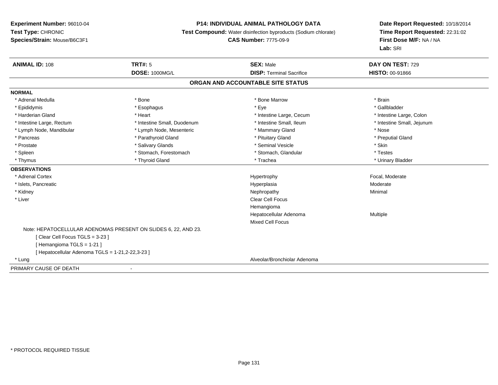## **P14: INDIVIDUAL ANIMAL PATHOLOGY DATA**

**Test Compound:** Water disinfection byproducts (Sodium chlorate)

**CAS Number:** 7775-09-9

| <b>ANIMAL ID: 108</b>                            | <b>TRT#: 5</b>                                                 | <b>SEX: Male</b>                  | DAY ON TEST: 729           |  |
|--------------------------------------------------|----------------------------------------------------------------|-----------------------------------|----------------------------|--|
|                                                  | <b>DOSE: 1000MG/L</b>                                          | <b>DISP: Terminal Sacrifice</b>   | <b>HISTO: 00-91866</b>     |  |
|                                                  |                                                                | ORGAN AND ACCOUNTABLE SITE STATUS |                            |  |
| <b>NORMAL</b>                                    |                                                                |                                   |                            |  |
| * Adrenal Medulla                                | * Bone                                                         | * Bone Marrow                     | * Brain                    |  |
| * Epididymis                                     | * Esophagus                                                    | * Eye                             | * Gallbladder              |  |
| * Harderian Gland                                | * Heart                                                        | * Intestine Large, Cecum          | * Intestine Large, Colon   |  |
| * Intestine Large, Rectum                        | * Intestine Small, Duodenum                                    | * Intestine Small, Ileum          | * Intestine Small, Jejunum |  |
| * Lymph Node, Mandibular                         | * Lymph Node, Mesenteric                                       | * Mammary Gland                   | * Nose                     |  |
| * Pancreas                                       | * Parathyroid Gland                                            | * Pituitary Gland                 | * Preputial Gland          |  |
| * Prostate                                       | * Salivary Glands                                              | * Seminal Vesicle                 | * Skin                     |  |
| * Spleen                                         | * Stomach, Forestomach                                         | * Stomach, Glandular              | * Testes                   |  |
| * Thymus                                         | * Thyroid Gland                                                | * Trachea                         | * Urinary Bladder          |  |
| <b>OBSERVATIONS</b>                              |                                                                |                                   |                            |  |
| * Adrenal Cortex                                 |                                                                | Hypertrophy                       | Focal, Moderate            |  |
| * Islets, Pancreatic                             |                                                                | Hyperplasia                       | Moderate                   |  |
| * Kidney                                         |                                                                | Nephropathy                       | Minimal                    |  |
| * Liver                                          |                                                                | <b>Clear Cell Focus</b>           |                            |  |
|                                                  |                                                                | Hemangioma                        |                            |  |
|                                                  |                                                                | Hepatocellular Adenoma            | Multiple                   |  |
|                                                  |                                                                | <b>Mixed Cell Focus</b>           |                            |  |
|                                                  | Note: HEPATOCELLULAR ADENOMAS PRESENT ON SLIDES 6, 22, AND 23. |                                   |                            |  |
| [Clear Cell Focus TGLS = 3-23]                   |                                                                |                                   |                            |  |
| [Hemangioma TGLS = 1-21]                         |                                                                |                                   |                            |  |
| [ Hepatocellular Adenoma TGLS = 1-21,2-22,3-23 ] |                                                                |                                   |                            |  |
| * Lung                                           |                                                                | Alveolar/Bronchiolar Adenoma      |                            |  |
| PRIMARY CAUSE OF DEATH                           | $\blacksquare$                                                 |                                   |                            |  |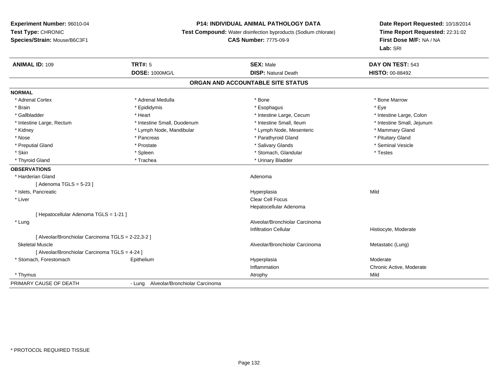# **P14: INDIVIDUAL ANIMAL PATHOLOGY DATA**

**Test Compound:** Water disinfection byproducts (Sodium chlorate)

**CAS Number:** 7775-09-9

| <b>ANIMAL ID: 109</b>                             | <b>TRT#: 5</b><br><b>DOSE: 1000MG/L</b> | <b>SEX: Male</b><br><b>DISP: Natural Death</b> | DAY ON TEST: 543<br>HISTO: 00-88492 |
|---------------------------------------------------|-----------------------------------------|------------------------------------------------|-------------------------------------|
|                                                   |                                         |                                                |                                     |
|                                                   |                                         | ORGAN AND ACCOUNTABLE SITE STATUS              |                                     |
| <b>NORMAL</b>                                     |                                         |                                                |                                     |
| * Adrenal Cortex                                  | * Adrenal Medulla                       | * Bone                                         | * Bone Marrow                       |
| * Brain                                           | * Epididymis                            | * Esophagus                                    | * Eye                               |
| * Gallbladder                                     | * Heart                                 | * Intestine Large, Cecum                       | * Intestine Large, Colon            |
| * Intestine Large, Rectum                         | * Intestine Small, Duodenum             | * Intestine Small, Ileum                       | * Intestine Small, Jejunum          |
| * Kidney                                          | * Lymph Node, Mandibular                | * Lymph Node, Mesenteric                       | * Mammary Gland                     |
| * Nose                                            | * Pancreas                              | * Parathyroid Gland                            | * Pituitary Gland                   |
| * Preputial Gland                                 | * Prostate                              | * Salivary Glands                              | * Seminal Vesicle                   |
| * Skin                                            | * Spleen                                | * Stomach, Glandular                           | * Testes                            |
| * Thyroid Gland                                   | * Trachea                               | * Urinary Bladder                              |                                     |
| <b>OBSERVATIONS</b>                               |                                         |                                                |                                     |
| * Harderian Gland                                 |                                         | Adenoma                                        |                                     |
| [Adenoma TGLS = $5-23$ ]                          |                                         |                                                |                                     |
| * Islets, Pancreatic                              |                                         | Hyperplasia                                    | Mild                                |
| * Liver                                           |                                         | <b>Clear Cell Focus</b>                        |                                     |
|                                                   |                                         | Hepatocellular Adenoma                         |                                     |
| [Hepatocellular Adenoma TGLS = 1-21]              |                                         |                                                |                                     |
| * Lung                                            |                                         | Alveolar/Bronchiolar Carcinoma                 |                                     |
|                                                   |                                         | <b>Infiltration Cellular</b>                   | Histiocyte, Moderate                |
| [Alveolar/Bronchiolar Carcinoma TGLS = 2-22,3-2 ] |                                         |                                                |                                     |
| <b>Skeletal Muscle</b>                            |                                         | Alveolar/Bronchiolar Carcinoma                 | Metastatic (Lung)                   |
| [ Alveolar/Bronchiolar Carcinoma TGLS = 4-24 ]    |                                         |                                                |                                     |
| * Stomach, Forestomach                            | Epithelium                              | Hyperplasia                                    | Moderate                            |
|                                                   |                                         | Inflammation                                   | Chronic Active, Moderate            |
| * Thymus                                          |                                         | Atrophy                                        | Mild                                |
| PRIMARY CAUSE OF DEATH                            | - Lung Alveolar/Bronchiolar Carcinoma   |                                                |                                     |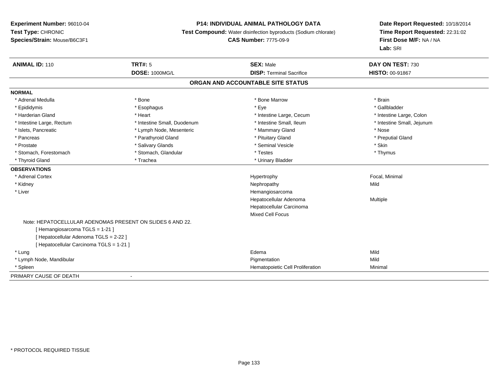#### **P14: INDIVIDUAL ANIMAL PATHOLOGY DATA**

**Test Compound:** Water disinfection byproducts (Sodium chlorate)

**CAS Number:** 7775-09-9

| <b>ANIMAL ID: 110</b>                  | TRT#: 5                                                   | <b>SEX: Male</b>                 | DAY ON TEST: 730           |  |  |  |  |
|----------------------------------------|-----------------------------------------------------------|----------------------------------|----------------------------|--|--|--|--|
|                                        | <b>DOSE: 1000MG/L</b>                                     | <b>DISP: Terminal Sacrifice</b>  | <b>HISTO: 00-91867</b>     |  |  |  |  |
|                                        | ORGAN AND ACCOUNTABLE SITE STATUS                         |                                  |                            |  |  |  |  |
| <b>NORMAL</b>                          |                                                           |                                  |                            |  |  |  |  |
| * Adrenal Medulla                      | * Bone                                                    | * Bone Marrow                    | * Brain                    |  |  |  |  |
| * Epididymis                           | * Esophagus                                               | * Eye                            | * Gallbladder              |  |  |  |  |
| * Harderian Gland                      | * Heart                                                   | * Intestine Large, Cecum         | * Intestine Large, Colon   |  |  |  |  |
| * Intestine Large, Rectum              | * Intestine Small, Duodenum                               | * Intestine Small, Ileum         | * Intestine Small, Jejunum |  |  |  |  |
| * Islets, Pancreatic                   | * Lymph Node, Mesenteric                                  | * Mammary Gland                  | * Nose                     |  |  |  |  |
| * Pancreas                             | * Parathyroid Gland                                       | * Pituitary Gland                | * Preputial Gland          |  |  |  |  |
| * Prostate                             | * Salivary Glands                                         | * Seminal Vesicle                | * Skin                     |  |  |  |  |
| * Stomach, Forestomach                 | * Stomach, Glandular                                      | * Testes                         | * Thymus                   |  |  |  |  |
| * Thyroid Gland                        | * Trachea                                                 | * Urinary Bladder                |                            |  |  |  |  |
| <b>OBSERVATIONS</b>                    |                                                           |                                  |                            |  |  |  |  |
| * Adrenal Cortex                       |                                                           | Hypertrophy                      | Focal, Minimal             |  |  |  |  |
| * Kidney                               |                                                           | Nephropathy                      | Mild                       |  |  |  |  |
| * Liver                                |                                                           | Hemangiosarcoma                  |                            |  |  |  |  |
|                                        |                                                           | Hepatocellular Adenoma           | Multiple                   |  |  |  |  |
|                                        |                                                           | Hepatocellular Carcinoma         |                            |  |  |  |  |
|                                        |                                                           | <b>Mixed Cell Focus</b>          |                            |  |  |  |  |
|                                        | Note: HEPATOCELLULAR ADENOMAS PRESENT ON SLIDES 6 AND 22. |                                  |                            |  |  |  |  |
| [Hemangiosarcoma TGLS = 1-21]          |                                                           |                                  |                            |  |  |  |  |
| [Hepatocellular Adenoma TGLS = 2-22 ]  |                                                           |                                  |                            |  |  |  |  |
| [Hepatocellular Carcinoma TGLS = 1-21] |                                                           |                                  |                            |  |  |  |  |
| * Lung                                 |                                                           | Edema                            | Mild                       |  |  |  |  |
| * Lymph Node, Mandibular               |                                                           | Pigmentation                     | Mild                       |  |  |  |  |
| * Spleen                               |                                                           | Hematopoietic Cell Proliferation | Minimal                    |  |  |  |  |
| PRIMARY CAUSE OF DEATH                 |                                                           |                                  |                            |  |  |  |  |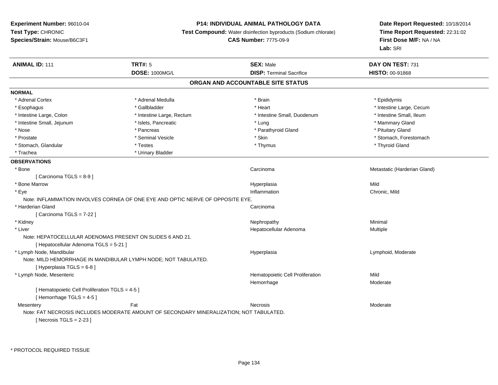# **P14: INDIVIDUAL ANIMAL PATHOLOGY DATA**

**Test Compound:** Water disinfection byproducts (Sodium chlorate)

**CAS Number:** 7775-09-9

| <b>ANIMAL ID: 111</b>                           | TRT#: 5                                                                                 | <b>SEX: Male</b>                  | DAY ON TEST: 731             |  |
|-------------------------------------------------|-----------------------------------------------------------------------------------------|-----------------------------------|------------------------------|--|
|                                                 | <b>DOSE: 1000MG/L</b>                                                                   | <b>DISP: Terminal Sacrifice</b>   | HISTO: 00-91868              |  |
|                                                 |                                                                                         | ORGAN AND ACCOUNTABLE SITE STATUS |                              |  |
| <b>NORMAL</b>                                   |                                                                                         |                                   |                              |  |
| * Adrenal Cortex                                | * Adrenal Medulla                                                                       | * Brain                           | * Epididymis                 |  |
| * Esophagus                                     | * Gallbladder                                                                           | * Heart                           | * Intestine Large, Cecum     |  |
| * Intestine Large, Colon                        | * Intestine Large, Rectum                                                               | * Intestine Small, Duodenum       | * Intestine Small, Ileum     |  |
| * Intestine Small, Jejunum                      | * Islets, Pancreatic                                                                    | * Lung                            | * Mammary Gland              |  |
| $^{\star}$ Nose                                 | * Pancreas                                                                              | * Parathyroid Gland               | * Pituitary Gland            |  |
| * Prostate                                      | * Seminal Vesicle                                                                       | * Skin                            | * Stomach, Forestomach       |  |
| * Stomach, Glandular                            | * Testes                                                                                | * Thymus                          | * Thyroid Gland              |  |
| * Trachea                                       | * Urinary Bladder                                                                       |                                   |                              |  |
| <b>OBSERVATIONS</b>                             |                                                                                         |                                   |                              |  |
| * Bone                                          |                                                                                         | Carcinoma                         | Metastatic (Harderian Gland) |  |
| [ Carcinoma TGLS = $8-9$ ]                      |                                                                                         |                                   |                              |  |
| * Bone Marrow                                   |                                                                                         | Hyperplasia                       | Mild                         |  |
| * Eye                                           |                                                                                         | Inflammation                      | Chronic, Mild                |  |
|                                                 | Note: INFLAMMATION INVOLVES CORNEA OF ONE EYE AND OPTIC NERVE OF OPPOSITE EYE.          |                                   |                              |  |
| * Harderian Gland                               |                                                                                         | Carcinoma                         |                              |  |
| [Carcinoma TGLS = $7-22$ ]                      |                                                                                         |                                   |                              |  |
| * Kidney                                        |                                                                                         | Nephropathy                       | Minimal                      |  |
| * Liver                                         |                                                                                         | Hepatocellular Adenoma            | Multiple                     |  |
|                                                 | Note: HEPATOCELLULAR ADENOMAS PRESENT ON SLIDES 6 AND 21.                               |                                   |                              |  |
| [ Hepatocellular Adenoma TGLS = 5-21 ]          |                                                                                         |                                   |                              |  |
| * Lymph Node, Mandibular                        |                                                                                         | Hyperplasia                       | Lymphoid, Moderate           |  |
|                                                 | Note: MILD HEMORRHAGE IN MANDIBULAR LYMPH NODE; NOT TABULATED.                          |                                   |                              |  |
| [Hyperplasia TGLS = $6-8$ ]                     |                                                                                         |                                   |                              |  |
| * Lymph Node, Mesenteric                        |                                                                                         | Hematopoietic Cell Proliferation  | Mild                         |  |
|                                                 |                                                                                         | Hemorrhage                        | Moderate                     |  |
| [ Hematopoietic Cell Proliferation TGLS = 4-5 ] |                                                                                         |                                   |                              |  |
| [Hemorrhage TGLS = $4-5$ ]                      |                                                                                         |                                   |                              |  |
| Mesentery                                       | Fat                                                                                     | Necrosis                          | Moderate                     |  |
|                                                 | Note: FAT NECROSIS INCLUDES MODERATE AMOUNT OF SECONDARY MINERALIZATION: NOT TABULATED. |                                   |                              |  |
| [ Necrosis TGLS = $2-23$ ]                      |                                                                                         |                                   |                              |  |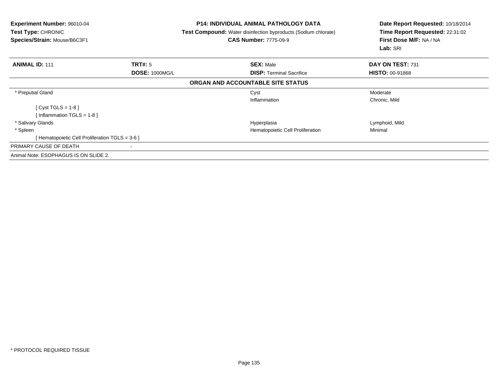| <b>Experiment Number: 96010-04</b><br><b>Test Type: CHRONIC</b><br>Species/Strain: Mouse/B6C3F1 |                       | <b>P14: INDIVIDUAL ANIMAL PATHOLOGY DATA</b><br><b>Test Compound:</b> Water disinfection byproducts (Sodium chlorate)<br><b>CAS Number: 7775-09-9</b> | Date Report Requested: 10/18/2014<br>Time Report Requested: 22:31:02<br>First Dose M/F: NA / NA<br>Lab: SRI |
|-------------------------------------------------------------------------------------------------|-----------------------|-------------------------------------------------------------------------------------------------------------------------------------------------------|-------------------------------------------------------------------------------------------------------------|
| <b>ANIMAL ID: 111</b>                                                                           | <b>TRT#: 5</b>        | <b>SEX: Male</b>                                                                                                                                      | DAY ON TEST: 731                                                                                            |
|                                                                                                 | <b>DOSE: 1000MG/L</b> | <b>DISP:</b> Terminal Sacrifice                                                                                                                       | <b>HISTO: 00-91868</b>                                                                                      |
|                                                                                                 |                       | ORGAN AND ACCOUNTABLE SITE STATUS                                                                                                                     |                                                                                                             |
| * Preputial Gland                                                                               |                       | Cyst                                                                                                                                                  | Moderate                                                                                                    |
|                                                                                                 |                       | Inflammation                                                                                                                                          | Chronic, Mild                                                                                               |
| [ Cyst TGLS = $1-8$ ]                                                                           |                       |                                                                                                                                                       |                                                                                                             |
| [Inflammation TGLS = $1-8$ ]                                                                    |                       |                                                                                                                                                       |                                                                                                             |
| * Salivary Glands                                                                               |                       | Hyperplasia                                                                                                                                           | Lymphoid, Mild                                                                                              |
| * Spleen                                                                                        |                       | Hematopoietic Cell Proliferation                                                                                                                      | Minimal                                                                                                     |
| [ Hematopoietic Cell Proliferation TGLS = 3-6 ]                                                 |                       |                                                                                                                                                       |                                                                                                             |
| PRIMARY CAUSE OF DEATH                                                                          |                       |                                                                                                                                                       |                                                                                                             |
| Animal Note: ESOPHAGUS IS ON SLIDE 2.                                                           |                       |                                                                                                                                                       |                                                                                                             |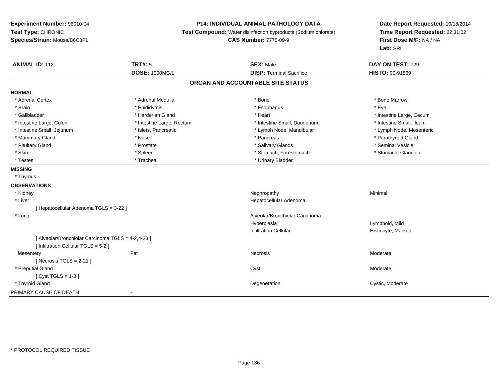# **P14: INDIVIDUAL ANIMAL PATHOLOGY DATA**

**Test Compound:** Water disinfection byproducts (Sodium chlorate)

**CAS Number:** 7775-09-9

| <b>ANIMAL ID: 112</b>                              | <b>TRT#: 5</b>            | <b>SEX: Male</b>                  | DAY ON TEST: 729         |
|----------------------------------------------------|---------------------------|-----------------------------------|--------------------------|
|                                                    | <b>DOSE: 1000MG/L</b>     | <b>DISP: Terminal Sacrifice</b>   | <b>HISTO: 00-91869</b>   |
|                                                    |                           | ORGAN AND ACCOUNTABLE SITE STATUS |                          |
| <b>NORMAL</b>                                      |                           |                                   |                          |
| * Adrenal Cortex                                   | * Adrenal Medulla         | * Bone                            | * Bone Marrow            |
| * Brain                                            | * Epididymis              | * Esophagus                       | * Eye                    |
| * Gallbladder                                      | * Harderian Gland         | * Heart                           | * Intestine Large, Cecum |
| * Intestine Large, Colon                           | * Intestine Large, Rectum | * Intestine Small, Duodenum       | * Intestine Small, Ileum |
| * Intestine Small, Jejunum                         | * Islets, Pancreatic      | * Lymph Node, Mandibular          | * Lymph Node, Mesenteric |
| * Mammary Gland                                    | * Nose                    | * Pancreas                        | * Parathyroid Gland      |
| * Pituitary Gland                                  | * Prostate                | * Salivary Glands                 | * Seminal Vesicle        |
| * Skin                                             | * Spleen                  | * Stomach, Forestomach            | * Stomach, Glandular     |
| * Testes                                           | * Trachea                 | * Urinary Bladder                 |                          |
| <b>MISSING</b>                                     |                           |                                   |                          |
| * Thymus                                           |                           |                                   |                          |
| <b>OBSERVATIONS</b>                                |                           |                                   |                          |
| * Kidney                                           |                           | Nephropathy                       | Minimal                  |
| * Liver                                            |                           | Hepatocellular Adenoma            |                          |
| [ Hepatocellular Adenoma TGLS = 3-22 ]             |                           |                                   |                          |
| * Lung                                             |                           | Alveolar/Bronchiolar Carcinoma    |                          |
|                                                    |                           | Hyperplasia                       | Lymphoid, Mild           |
|                                                    |                           | <b>Infiltration Cellular</b>      | Histiocyte, Marked       |
| [ Alveolar/Bronchiolar Carcinoma TGLS = 4-2,4-23 ] |                           |                                   |                          |
| [ Infiltration Cellular TGLS = 5-2 ]               |                           |                                   |                          |
| Mesentery                                          | Fat                       | Necrosis                          | Moderate                 |
| [ Necrosis TGLS = $2-21$ ]                         |                           |                                   |                          |
| * Preputial Gland                                  |                           | Cyst                              | Moderate                 |
| [ $Cyst TGLS = 1-8$ ]                              |                           |                                   |                          |
| * Thyroid Gland                                    |                           | Degeneration                      | Cystic, Moderate         |
| PRIMARY CAUSE OF DEATH                             |                           |                                   |                          |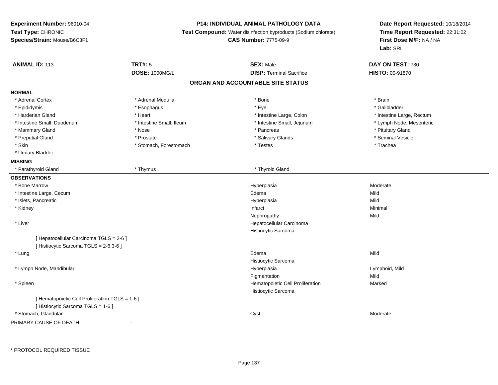# **P14: INDIVIDUAL ANIMAL PATHOLOGY DATA**

**Test Compound:** Water disinfection byproducts (Sodium chlorate)

**CAS Number:** 7775-09-9

**Date Report Requested:** 10/18/2014 **Time Report Requested:** 22:31:02**First Dose M/F:** NA / NA**Lab:** SRI

| <b>ANIMAL ID: 113</b>                           | <b>TRT#: 5</b>           | <b>SEX: Male</b>                  | DAY ON TEST: 730          |  |
|-------------------------------------------------|--------------------------|-----------------------------------|---------------------------|--|
|                                                 | DOSE: 1000MG/L           | <b>DISP: Terminal Sacrifice</b>   | HISTO: 00-91870           |  |
|                                                 |                          | ORGAN AND ACCOUNTABLE SITE STATUS |                           |  |
| <b>NORMAL</b>                                   |                          |                                   |                           |  |
| * Adrenal Cortex                                | * Adrenal Medulla        | * Bone                            | * Brain                   |  |
| * Epididymis                                    | * Esophagus              | * Eye                             | * Gallbladder             |  |
| * Harderian Gland                               | * Heart                  | * Intestine Large, Colon          | * Intestine Large, Rectum |  |
| * Intestine Small, Duodenum                     | * Intestine Small, Ileum | * Intestine Small, Jejunum        | * Lymph Node, Mesenteric  |  |
| * Mammary Gland                                 | * Nose                   | * Pancreas                        | * Pituitary Gland         |  |
| * Preputial Gland                               | * Prostate               | * Salivary Glands                 | * Seminal Vesicle         |  |
| * Skin                                          | * Stomach, Forestomach   | * Testes                          | * Trachea                 |  |
| * Urinary Bladder                               |                          |                                   |                           |  |
| <b>MISSING</b>                                  |                          |                                   |                           |  |
| * Parathyroid Gland                             | * Thymus                 | * Thyroid Gland                   |                           |  |
| <b>OBSERVATIONS</b>                             |                          |                                   |                           |  |
| * Bone Marrow                                   |                          | Hyperplasia                       | Moderate                  |  |
| * Intestine Large, Cecum                        |                          | Edema                             | Mild                      |  |
| * Islets, Pancreatic                            |                          | Hyperplasia                       | Mild                      |  |
| * Kidney                                        |                          | Infarct                           | Minimal                   |  |
|                                                 |                          | Nephropathy                       | Mild                      |  |
| * Liver                                         |                          | Hepatocellular Carcinoma          |                           |  |
|                                                 |                          | Histiocytic Sarcoma               |                           |  |
| [ Hepatocellular Carcinoma TGLS = 2-6 ]         |                          |                                   |                           |  |
| [Histiocytic Sarcoma TGLS = 2-6,3-6]            |                          |                                   |                           |  |
| * Lung                                          |                          | Edema                             | Mild                      |  |
|                                                 |                          | Histiocytic Sarcoma               |                           |  |
| * Lymph Node, Mandibular                        |                          | Hyperplasia                       | Lymphoid, Mild            |  |
|                                                 |                          | Pigmentation                      | Mild                      |  |
| * Spleen                                        |                          | Hematopoietic Cell Proliferation  | Marked                    |  |
|                                                 |                          | Histiocytic Sarcoma               |                           |  |
| [ Hematopoietic Cell Proliferation TGLS = 1-6 ] |                          |                                   |                           |  |
| [ Histiocytic Sarcoma TGLS = 1-6 ]              |                          |                                   |                           |  |
| * Stomach, Glandular                            |                          | Cyst                              | Moderate                  |  |

PRIMARY CAUSE OF DEATH-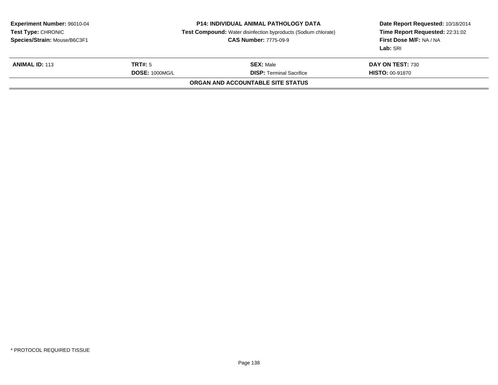| <b>Experiment Number: 96010-04</b><br><b>Test Type: CHRONIC</b><br>Species/Strain: Mouse/B6C3F1 | <b>P14: INDIVIDUAL ANIMAL PATHOLOGY DATA</b><br><b>Test Compound:</b> Water disinfection byproducts (Sodium chlorate)<br><b>CAS Number: 7775-09-9</b> |                                                     | Date Report Requested: 10/18/2014<br>Time Report Requested: 22:31:02<br>First Dose M/F: NA / NA<br>Lab: SRI |
|-------------------------------------------------------------------------------------------------|-------------------------------------------------------------------------------------------------------------------------------------------------------|-----------------------------------------------------|-------------------------------------------------------------------------------------------------------------|
| <b>ANIMAL ID: 113</b>                                                                           | TRT#: 5<br><b>DOSE: 1000MG/L</b>                                                                                                                      | <b>SEX: Male</b><br><b>DISP:</b> Terminal Sacrifice | DAY ON TEST: 730<br><b>HISTO: 00-91870</b>                                                                  |
|                                                                                                 |                                                                                                                                                       | ORGAN AND ACCOUNTABLE SITE STATUS                   |                                                                                                             |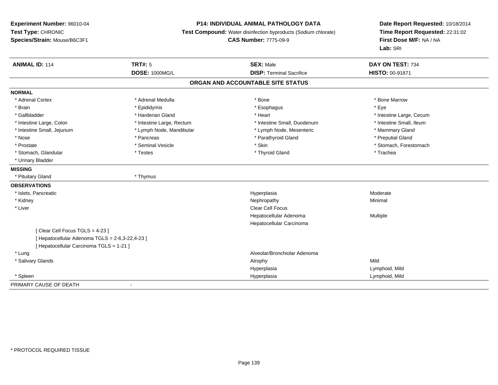# **P14: INDIVIDUAL ANIMAL PATHOLOGY DATA**

**Test Compound:** Water disinfection byproducts (Sodium chlorate)

**CAS Number:** 7775-09-9

| <b>ANIMAL ID: 114</b>                           | <b>TRT#: 5</b>            | <b>SEX: Male</b>                  | DAY ON TEST: 734         |
|-------------------------------------------------|---------------------------|-----------------------------------|--------------------------|
|                                                 | <b>DOSE: 1000MG/L</b>     | <b>DISP: Terminal Sacrifice</b>   | <b>HISTO: 00-91871</b>   |
|                                                 |                           | ORGAN AND ACCOUNTABLE SITE STATUS |                          |
| <b>NORMAL</b>                                   |                           |                                   |                          |
| * Adrenal Cortex                                | * Adrenal Medulla         | * Bone                            | * Bone Marrow            |
| * Brain                                         | * Epididymis              | * Esophagus                       | * Eye                    |
| * Gallbladder                                   | * Harderian Gland         | * Heart                           | * Intestine Large, Cecum |
| * Intestine Large, Colon                        | * Intestine Large, Rectum | * Intestine Small, Duodenum       | * Intestine Small, Ileum |
| * Intestine Small, Jejunum                      | * Lymph Node, Mandibular  | * Lymph Node, Mesenteric          | * Mammary Gland          |
| * Nose                                          | * Pancreas                | * Parathyroid Gland               | * Preputial Gland        |
| * Prostate                                      | * Seminal Vesicle         | * Skin                            | * Stomach, Forestomach   |
| * Stomach, Glandular                            | * Testes                  | * Thyroid Gland                   | * Trachea                |
| * Urinary Bladder                               |                           |                                   |                          |
| <b>MISSING</b>                                  |                           |                                   |                          |
| * Pituitary Gland                               | * Thymus                  |                                   |                          |
| <b>OBSERVATIONS</b>                             |                           |                                   |                          |
| * Islets, Pancreatic                            |                           | Hyperplasia                       | Moderate                 |
| * Kidney                                        |                           | Nephropathy                       | Minimal                  |
| * Liver                                         |                           | <b>Clear Cell Focus</b>           |                          |
|                                                 |                           | Hepatocellular Adenoma            | Multiple                 |
|                                                 |                           | Hepatocellular Carcinoma          |                          |
| [Clear Cell Focus TGLS = 4-23]                  |                           |                                   |                          |
| [ Hepatocellular Adenoma TGLS = 2-6,3-22,4-23 ] |                           |                                   |                          |
| [ Hepatocellular Carcinoma TGLS = 1-21 ]        |                           |                                   |                          |
| * Lung                                          |                           | Alveolar/Bronchiolar Adenoma      |                          |
| * Salivary Glands                               |                           | Atrophy                           | Mild                     |
|                                                 |                           | Hyperplasia                       | Lymphoid, Mild           |
| * Spleen                                        |                           | Hyperplasia                       | Lymphoid, Mild           |
| PRIMARY CAUSE OF DEATH                          |                           |                                   |                          |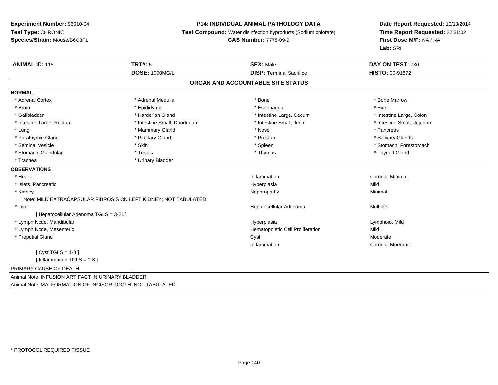#### **P14: INDIVIDUAL ANIMAL PATHOLOGY DATA**

**Test Compound:** Water disinfection byproducts (Sodium chlorate)

**CAS Number:** 7775-09-9

| <b>ANIMAL ID: 115</b>                                      | <b>TRT#: 5</b>                                                   | <b>SEX: Male</b>                 | DAY ON TEST: 730           |  |  |  |
|------------------------------------------------------------|------------------------------------------------------------------|----------------------------------|----------------------------|--|--|--|
|                                                            | <b>DOSE: 1000MG/L</b>                                            | <b>DISP: Terminal Sacrifice</b>  | <b>HISTO: 00-91872</b>     |  |  |  |
| ORGAN AND ACCOUNTABLE SITE STATUS                          |                                                                  |                                  |                            |  |  |  |
| <b>NORMAL</b>                                              |                                                                  |                                  |                            |  |  |  |
| * Adrenal Cortex                                           | * Adrenal Medulla                                                | * Bone                           | * Bone Marrow              |  |  |  |
| * Brain                                                    | * Epididymis                                                     | * Esophagus                      | * Eye                      |  |  |  |
| * Gallbladder                                              | * Harderian Gland                                                | * Intestine Large, Cecum         | * Intestine Large, Colon   |  |  |  |
| * Intestine Large, Rectum                                  | * Intestine Small, Duodenum                                      | * Intestine Small, Ileum         | * Intestine Small, Jejunum |  |  |  |
| * Lung                                                     | * Mammary Gland                                                  | * Nose                           | * Pancreas                 |  |  |  |
| * Parathyroid Gland                                        | * Pituitary Gland                                                | * Prostate                       | * Salivary Glands          |  |  |  |
| * Seminal Vesicle                                          | * Skin                                                           | * Spleen                         | * Stomach, Forestomach     |  |  |  |
| * Stomach, Glandular                                       | * Testes                                                         | * Thymus                         | * Thyroid Gland            |  |  |  |
| * Trachea                                                  | * Urinary Bladder                                                |                                  |                            |  |  |  |
| <b>OBSERVATIONS</b>                                        |                                                                  |                                  |                            |  |  |  |
| * Heart                                                    |                                                                  | Inflammation                     | Chronic, Minimal           |  |  |  |
| * Islets, Pancreatic                                       |                                                                  | Hyperplasia                      | Mild                       |  |  |  |
| * Kidney                                                   |                                                                  | Nephropathy                      | Minimal                    |  |  |  |
|                                                            | Note: MILD EXTRACAPSULAR FIBROSIS ON LEFT KIDNEY; NOT TABULATED. |                                  |                            |  |  |  |
| * Liver                                                    |                                                                  | Hepatocellular Adenoma           | Multiple                   |  |  |  |
| [ Hepatocellular Adenoma TGLS = 3-21 ]                     |                                                                  |                                  |                            |  |  |  |
| * Lymph Node, Mandibular                                   |                                                                  | Hyperplasia                      | Lymphoid, Mild             |  |  |  |
| * Lymph Node, Mesenteric                                   |                                                                  | Hematopoietic Cell Proliferation | Mild                       |  |  |  |
| * Preputial Gland                                          |                                                                  | Cyst                             | Moderate                   |  |  |  |
|                                                            |                                                                  | Inflammation                     | Chronic, Moderate          |  |  |  |
| [Cyst TGLS = $1-8$ ]                                       |                                                                  |                                  |                            |  |  |  |
| [ Inflammation TGLS = 1-8 ]                                |                                                                  |                                  |                            |  |  |  |
| PRIMARY CAUSE OF DEATH                                     |                                                                  |                                  |                            |  |  |  |
| Animal Note: INFUSION ARTIFACT IN URINARY BLADDER.         |                                                                  |                                  |                            |  |  |  |
| Animal Note: MALFORMATION OF INCISOR TOOTH; NOT TABULATED. |                                                                  |                                  |                            |  |  |  |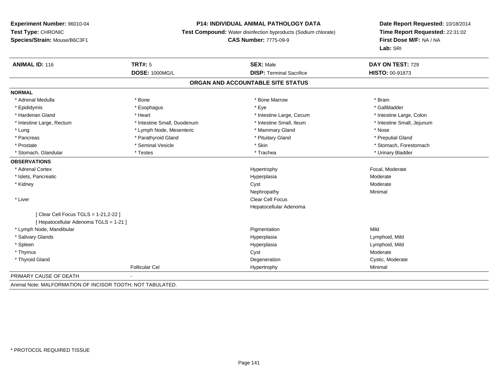#### **P14: INDIVIDUAL ANIMAL PATHOLOGY DATA**

**Test Compound:** Water disinfection byproducts (Sodium chlorate)

#### **CAS Number:** 7775-09-9

**Date Report Requested:** 10/18/2014**Time Report Requested:** 22:31:02**First Dose M/F:** NA / NA**Lab:** SRI

| <b>ANIMAL ID: 116</b>                  | TRT#: 5                     | <b>SEX: Male</b>                | DAY ON TEST: 729           |  |  |
|----------------------------------------|-----------------------------|---------------------------------|----------------------------|--|--|
|                                        | <b>DOSE: 1000MG/L</b>       | <b>DISP: Terminal Sacrifice</b> | <b>HISTO: 00-91873</b>     |  |  |
| ORGAN AND ACCOUNTABLE SITE STATUS      |                             |                                 |                            |  |  |
| <b>NORMAL</b>                          |                             |                                 |                            |  |  |
| * Adrenal Medulla                      | * Bone                      | * Bone Marrow                   | * Brain                    |  |  |
| * Epididymis                           | * Esophagus                 | * Eye                           | * Gallbladder              |  |  |
| * Harderian Gland                      | * Heart                     | * Intestine Large, Cecum        | * Intestine Large, Colon   |  |  |
| * Intestine Large, Rectum              | * Intestine Small, Duodenum | * Intestine Small, Ileum        | * Intestine Small, Jejunum |  |  |
| * Lung                                 | * Lymph Node, Mesenteric    | * Mammary Gland                 | * Nose                     |  |  |
| * Pancreas                             | * Parathyroid Gland         | * Pituitary Gland               | * Preputial Gland          |  |  |
| * Prostate                             | * Seminal Vesicle           | * Skin                          | * Stomach, Forestomach     |  |  |
| * Stomach, Glandular                   | * Testes                    | * Trachea                       | * Urinary Bladder          |  |  |
| <b>OBSERVATIONS</b>                    |                             |                                 |                            |  |  |
| * Adrenal Cortex                       |                             | Hypertrophy                     | Focal, Moderate            |  |  |
| * Islets, Pancreatic                   |                             | Hyperplasia                     | Moderate                   |  |  |
| * Kidney                               |                             | Cyst                            | Moderate                   |  |  |
|                                        |                             | Nephropathy                     | Minimal                    |  |  |
| * Liver                                |                             | <b>Clear Cell Focus</b>         |                            |  |  |
|                                        |                             | Hepatocellular Adenoma          |                            |  |  |
| [ Clear Cell Focus TGLS = 1-21,2-22 ]  |                             |                                 |                            |  |  |
| [ Hepatocellular Adenoma TGLS = 1-21 ] |                             |                                 |                            |  |  |
| * Lymph Node, Mandibular               |                             | Pigmentation                    | Mild                       |  |  |
| * Salivary Glands                      |                             | Hyperplasia                     | Lymphoid, Mild             |  |  |
| * Spleen                               |                             | Hyperplasia                     | Lymphoid, Mild             |  |  |
| * Thymus                               |                             | Cyst                            | Moderate                   |  |  |
| * Thyroid Gland                        |                             | Degeneration                    | Cystic, Moderate           |  |  |
|                                        | <b>Follicular Cel</b>       | Hypertrophy                     | Minimal                    |  |  |
| PRIMARY CAUSE OF DEATH                 | $\sim$                      |                                 |                            |  |  |
|                                        |                             |                                 |                            |  |  |

Animal Note: MALFORMATION OF INCISOR TOOTH; NOT TABULATED.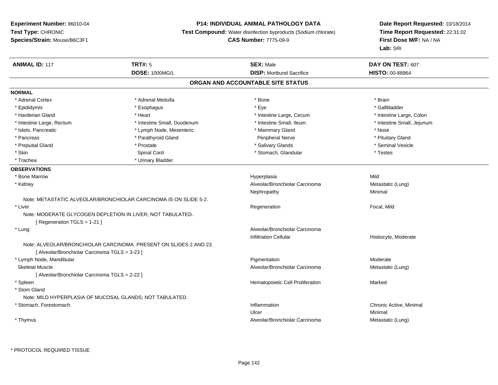# **P14: INDIVIDUAL ANIMAL PATHOLOGY DATA**

**Test Compound:** Water disinfection byproducts (Sodium chlorate)

```
CAS Number: 7775-09-9
```

| <b>ANIMAL ID: 117</b>                          | <b>TRT#: 5</b>                                                   | <b>SEX: Male</b>                  | DAY ON TEST: 607           |  |
|------------------------------------------------|------------------------------------------------------------------|-----------------------------------|----------------------------|--|
|                                                | <b>DOSE: 1000MG/L</b>                                            | <b>DISP:</b> Moribund Sacrifice   | <b>HISTO: 00-88964</b>     |  |
|                                                |                                                                  | ORGAN AND ACCOUNTABLE SITE STATUS |                            |  |
| <b>NORMAL</b>                                  |                                                                  |                                   |                            |  |
| * Adrenal Cortex                               | * Adrenal Medulla                                                | * Bone                            | * Brain                    |  |
| * Epididymis                                   | * Esophagus                                                      | * Eye                             | * Gallbladder              |  |
| * Harderian Gland                              | * Heart                                                          | * Intestine Large, Cecum          | * Intestine Large, Colon   |  |
| * Intestine Large, Rectum                      | * Intestine Small, Duodenum                                      | * Intestine Small, Ileum          | * Intestine Small, Jejunum |  |
| * Islets, Pancreatic                           | * Lymph Node, Mesenteric                                         | * Mammary Gland                   | * Nose                     |  |
| * Pancreas                                     | * Parathyroid Gland                                              | Peripheral Nerve                  | * Pituitary Gland          |  |
| * Preputial Gland                              | * Prostate                                                       | * Salivary Glands                 | * Seminal Vesicle          |  |
| * Skin                                         | Spinal Cord                                                      | * Stomach, Glandular              | * Testes                   |  |
| * Trachea                                      | * Urinary Bladder                                                |                                   |                            |  |
| <b>OBSERVATIONS</b>                            |                                                                  |                                   |                            |  |
| * Bone Marrow                                  |                                                                  | Hyperplasia                       | Mild                       |  |
| * Kidney                                       |                                                                  | Alveolar/Bronchiolar Carcinoma    | Metastatic (Lung)          |  |
|                                                |                                                                  | Nephropathy                       | Minimal                    |  |
|                                                | Note: METASTATIC ALVEOLAR/BRONCHIOLAR CARCINOMA IS ON SLIDE 5-2. |                                   |                            |  |
| * Liver                                        |                                                                  | Regeneration                      | Focal, Mild                |  |
| [ Regeneration TGLS = 1-21 ]                   | Note: MODERATE GLYCOGEN DEPLETION IN LIVER; NOT TABULATED.       |                                   |                            |  |
| * Lung                                         |                                                                  | Alveolar/Bronchiolar Carcinoma    |                            |  |
|                                                |                                                                  | <b>Infiltration Cellular</b>      | Histiocyte, Moderate       |  |
| [ Alveolar/Bronchiolar Carcinoma TGLS = 3-23 ] | Note: ALVEOLAR/BRONCHIOLAR CARCINOMA PRESENT ON SLIDES 2 AND 23. |                                   |                            |  |
| * Lymph Node, Mandibular                       |                                                                  | Pigmentation                      | Moderate                   |  |
| <b>Skeletal Muscle</b>                         |                                                                  | Alveolar/Bronchiolar Carcinoma    | Metastatic (Lung)          |  |
| [ Alveolar/Bronchiolar Carcinoma TGLS = 2-22 ] |                                                                  |                                   |                            |  |
| * Spleen                                       |                                                                  | Hematopoietic Cell Proliferation  | Marked                     |  |
| * Stom Gland                                   |                                                                  |                                   |                            |  |
|                                                | Note: MILD HYPERPLASIA OF MUCOSAL GLANDS; NOT TABULATED.         |                                   |                            |  |
| * Stomach, Forestomach                         |                                                                  | Inflammation                      | Chronic Active, Minimal    |  |
|                                                |                                                                  | Ulcer                             | Minimal                    |  |
| * Thymus                                       |                                                                  | Alveolar/Bronchiolar Carcinoma    | Metastatic (Lung)          |  |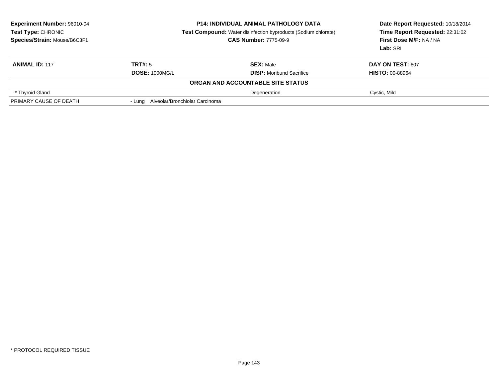| <b>Experiment Number: 96010-04</b><br><b>Test Type: CHRONIC</b><br>Species/Strain: Mouse/B6C3F1 |                                       | <b>P14: INDIVIDUAL ANIMAL PATHOLOGY DATA</b><br><b>Test Compound:</b> Water disinfection byproducts (Sodium chlorate)<br><b>CAS Number: 7775-09-9</b> | Date Report Requested: 10/18/2014<br>Time Report Requested: 22:31:02<br>First Dose M/F: NA / NA<br>Lab: SRI |
|-------------------------------------------------------------------------------------------------|---------------------------------------|-------------------------------------------------------------------------------------------------------------------------------------------------------|-------------------------------------------------------------------------------------------------------------|
| <b>ANIMAL ID: 117</b>                                                                           | TRT#: 5                               | <b>SEX: Male</b>                                                                                                                                      | DAY ON TEST: 607                                                                                            |
|                                                                                                 | <b>DOSE: 1000MG/L</b>                 | <b>DISP:</b> Moribund Sacrifice                                                                                                                       | <b>HISTO: 00-88964</b>                                                                                      |
|                                                                                                 |                                       | ORGAN AND ACCOUNTABLE SITE STATUS                                                                                                                     |                                                                                                             |
| * Thyroid Gland                                                                                 |                                       | Degeneration                                                                                                                                          | Cystic, Mild                                                                                                |
| PRIMARY CAUSE OF DEATH                                                                          | - Lung Alveolar/Bronchiolar Carcinoma |                                                                                                                                                       |                                                                                                             |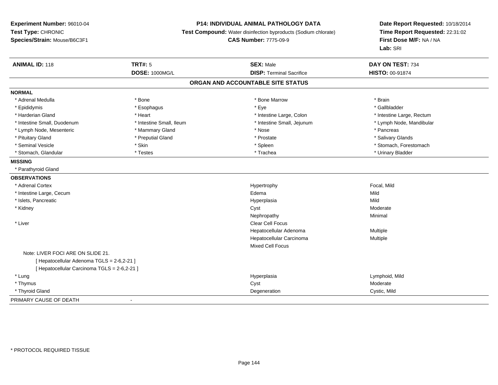## **P14: INDIVIDUAL ANIMAL PATHOLOGY DATA**

**Test Compound:** Water disinfection byproducts (Sodium chlorate)

**CAS Number:** 7775-09-9

| <b>ANIMAL ID: 118</b>                        | <b>TRT#: 5</b>           | <b>SEX: Male</b>                  | DAY ON TEST: 734          |
|----------------------------------------------|--------------------------|-----------------------------------|---------------------------|
|                                              | <b>DOSE: 1000MG/L</b>    | <b>DISP: Terminal Sacrifice</b>   | HISTO: 00-91874           |
|                                              |                          | ORGAN AND ACCOUNTABLE SITE STATUS |                           |
| <b>NORMAL</b>                                |                          |                                   |                           |
| * Adrenal Medulla                            | * Bone                   | * Bone Marrow                     | * Brain                   |
| * Epididymis                                 | * Esophagus              | * Eye                             | * Gallbladder             |
| * Harderian Gland                            | * Heart                  | * Intestine Large, Colon          | * Intestine Large, Rectum |
| * Intestine Small, Duodenum                  | * Intestine Small, Ileum | * Intestine Small, Jejunum        | * Lymph Node, Mandibular  |
| * Lymph Node, Mesenteric                     | * Mammary Gland          | * Nose                            | * Pancreas                |
| * Pituitary Gland                            | * Preputial Gland        | * Prostate                        | * Salivary Glands         |
| * Seminal Vesicle                            | * Skin                   | * Spleen                          | * Stomach, Forestomach    |
| * Stomach, Glandular                         | * Testes                 | * Trachea                         | * Urinary Bladder         |
| <b>MISSING</b>                               |                          |                                   |                           |
| * Parathyroid Gland                          |                          |                                   |                           |
| <b>OBSERVATIONS</b>                          |                          |                                   |                           |
| * Adrenal Cortex                             |                          | Hypertrophy                       | Focal, Mild               |
| * Intestine Large, Cecum                     |                          | Edema                             | Mild                      |
| * Islets, Pancreatic                         |                          | Hyperplasia                       | Mild                      |
| * Kidney                                     |                          | Cyst                              | Moderate                  |
|                                              |                          | Nephropathy                       | Minimal                   |
| * Liver                                      |                          | Clear Cell Focus                  |                           |
|                                              |                          | Hepatocellular Adenoma            | Multiple                  |
|                                              |                          | Hepatocellular Carcinoma          | Multiple                  |
|                                              |                          | <b>Mixed Cell Focus</b>           |                           |
| Note: LIVER FOCI ARE ON SLIDE 21.            |                          |                                   |                           |
| [ Hepatocellular Adenoma TGLS = 2-6,2-21 ]   |                          |                                   |                           |
| [ Hepatocellular Carcinoma TGLS = 2-6,2-21 ] |                          |                                   |                           |
| * Lung                                       |                          | Hyperplasia                       | Lymphoid, Mild            |
| * Thymus                                     |                          | Cyst                              | Moderate                  |
| * Thyroid Gland                              |                          | Degeneration                      | Cystic, Mild              |
| PRIMARY CAUSE OF DEATH                       | $\overline{\phantom{a}}$ |                                   |                           |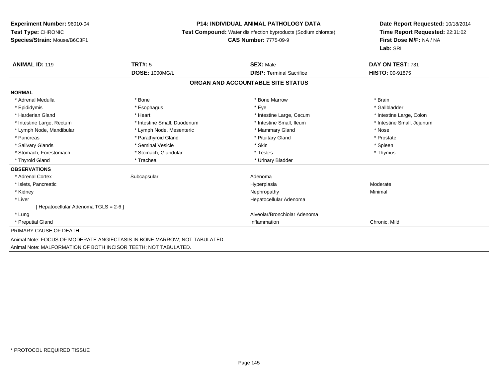#### **P14: INDIVIDUAL ANIMAL PATHOLOGY DATA**

**Test Compound:** Water disinfection byproducts (Sodium chlorate)

**CAS Number:** 7775-09-9

**Date Report Requested:** 10/18/2014**Time Report Requested:** 22:31:02**First Dose M/F:** NA / NA**Lab:** SRI

| <b>ANIMAL ID: 119</b>                 | TRT#: 5                                                                   | <b>SEX: Male</b>                  | DAY ON TEST: 731           |
|---------------------------------------|---------------------------------------------------------------------------|-----------------------------------|----------------------------|
|                                       | <b>DOSE: 1000MG/L</b>                                                     | <b>DISP:</b> Terminal Sacrifice   | <b>HISTO: 00-91875</b>     |
|                                       |                                                                           | ORGAN AND ACCOUNTABLE SITE STATUS |                            |
| <b>NORMAL</b>                         |                                                                           |                                   |                            |
| * Adrenal Medulla                     | * Bone                                                                    | * Bone Marrow                     | * Brain                    |
| * Epididymis                          | * Esophagus                                                               | * Eye                             | * Gallbladder              |
| * Harderian Gland                     | * Heart                                                                   | * Intestine Large, Cecum          | * Intestine Large, Colon   |
| * Intestine Large, Rectum             | * Intestine Small, Duodenum                                               | * Intestine Small, Ileum          | * Intestine Small, Jejunum |
| * Lymph Node, Mandibular              | * Lymph Node, Mesenteric                                                  | * Mammary Gland                   | * Nose                     |
| * Pancreas                            | * Parathyroid Gland                                                       | * Pituitary Gland                 | * Prostate                 |
| * Salivary Glands                     | * Seminal Vesicle                                                         | * Skin                            | * Spleen                   |
| * Stomach, Forestomach                | * Stomach, Glandular                                                      | * Testes                          | * Thymus                   |
| * Thyroid Gland                       | * Trachea                                                                 | * Urinary Bladder                 |                            |
| <b>OBSERVATIONS</b>                   |                                                                           |                                   |                            |
| * Adrenal Cortex                      | Subcapsular                                                               | Adenoma                           |                            |
| * Islets, Pancreatic                  |                                                                           | Hyperplasia                       | Moderate                   |
| * Kidney                              |                                                                           | Nephropathy                       | Minimal                    |
| * Liver                               |                                                                           | Hepatocellular Adenoma            |                            |
| [ Hepatocellular Adenoma TGLS = 2-6 ] |                                                                           |                                   |                            |
| * Lung                                |                                                                           | Alveolar/Bronchiolar Adenoma      |                            |
| * Preputial Gland                     |                                                                           | Inflammation                      | Chronic, Mild              |
| PRIMARY CAUSE OF DEATH                |                                                                           |                                   |                            |
|                                       | Animal Note: FOCUS OF MODERATE ANGIECTASIS IN BONE MARROW; NOT TABULATED. |                                   |                            |

Animal Note: MALFORMATION OF BOTH INCISOR TEETH; NOT TABULATED.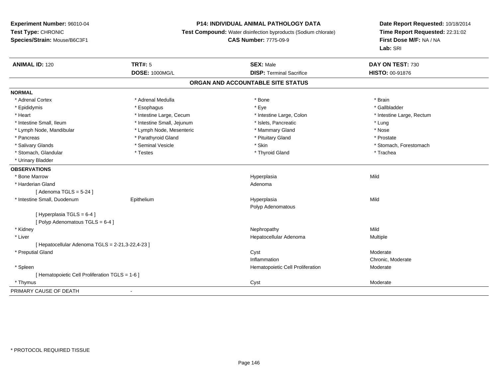## **P14: INDIVIDUAL ANIMAL PATHOLOGY DATA**

**Test Compound:** Water disinfection byproducts (Sodium chlorate)

**CAS Number:** 7775-09-9

| <b>ANIMAL ID: 120</b>                            | <b>TRT#: 5</b><br><b>DOSE: 1000MG/L</b> | <b>SEX: Male</b><br><b>DISP: Terminal Sacrifice</b> | DAY ON TEST: 730<br><b>HISTO: 00-91876</b> |  |
|--------------------------------------------------|-----------------------------------------|-----------------------------------------------------|--------------------------------------------|--|
|                                                  |                                         |                                                     |                                            |  |
|                                                  |                                         | ORGAN AND ACCOUNTABLE SITE STATUS                   |                                            |  |
| <b>NORMAL</b>                                    |                                         |                                                     |                                            |  |
| * Adrenal Cortex                                 | * Adrenal Medulla                       | * Bone                                              | * Brain                                    |  |
| * Epididymis                                     | * Esophagus                             | * Eye                                               | * Gallbladder                              |  |
| * Heart                                          | * Intestine Large, Cecum                | * Intestine Large, Colon                            | * Intestine Large, Rectum                  |  |
| * Intestine Small, Ileum                         | * Intestine Small, Jejunum              | * Islets, Pancreatic                                | * Lung                                     |  |
| * Lymph Node, Mandibular                         | * Lymph Node, Mesenteric                | * Mammary Gland                                     | * Nose                                     |  |
| * Pancreas                                       | * Parathyroid Gland                     | * Pituitary Gland                                   | * Prostate                                 |  |
| * Salivary Glands                                | * Seminal Vesicle                       | * Skin                                              | * Stomach, Forestomach                     |  |
| * Stomach, Glandular                             | * Testes                                | * Thyroid Gland                                     | * Trachea                                  |  |
| * Urinary Bladder                                |                                         |                                                     |                                            |  |
| <b>OBSERVATIONS</b>                              |                                         |                                                     |                                            |  |
| * Bone Marrow                                    |                                         | Hyperplasia                                         | Mild                                       |  |
| * Harderian Gland                                |                                         | Adenoma                                             |                                            |  |
| [Adenoma TGLS = $5-24$ ]                         |                                         |                                                     |                                            |  |
| * Intestine Small, Duodenum                      | Epithelium                              | Hyperplasia                                         | Mild                                       |  |
|                                                  |                                         | Polyp Adenomatous                                   |                                            |  |
| [Hyperplasia TGLS = 6-4]                         |                                         |                                                     |                                            |  |
| [Polyp Adenomatous TGLS = 6-4]                   |                                         |                                                     |                                            |  |
| * Kidney                                         |                                         | Nephropathy                                         | Mild                                       |  |
| * Liver                                          |                                         | Hepatocellular Adenoma                              | Multiple                                   |  |
| [ Hepatocellular Adenoma TGLS = 2-21,3-22,4-23 ] |                                         |                                                     |                                            |  |
| * Preputial Gland                                |                                         | Cyst                                                | Moderate                                   |  |
|                                                  |                                         | Inflammation                                        | Chronic, Moderate                          |  |
| * Spleen                                         |                                         | Hematopoietic Cell Proliferation                    | Moderate                                   |  |
| [ Hematopoietic Cell Proliferation TGLS = 1-6 ]  |                                         |                                                     |                                            |  |
| * Thymus                                         |                                         | Cyst                                                | Moderate                                   |  |
| PRIMARY CAUSE OF DEATH                           | $\overline{\phantom{a}}$                |                                                     |                                            |  |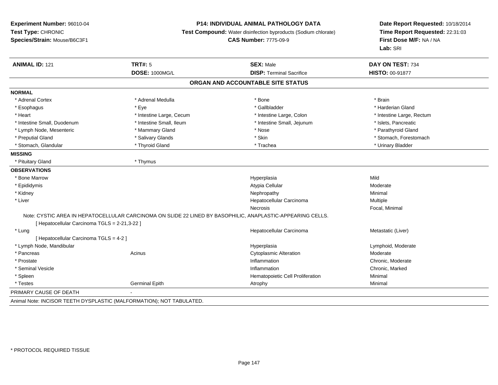#### **P14: INDIVIDUAL ANIMAL PATHOLOGY DATA**

**Test Compound:** Water disinfection byproducts (Sodium chlorate)

**CAS Number:** 7775-09-9

**Date Report Requested:** 10/18/2014**Time Report Requested:** 22:31:03**First Dose M/F:** NA / NA**Lab:** SRI

| <b>ANIMAL ID: 121</b>                         | <b>TRT#: 5</b>                                                                                             | <b>SEX: Male</b>                  | DAY ON TEST: 734          |
|-----------------------------------------------|------------------------------------------------------------------------------------------------------------|-----------------------------------|---------------------------|
|                                               | <b>DOSE: 1000MG/L</b>                                                                                      | <b>DISP: Terminal Sacrifice</b>   | <b>HISTO: 00-91877</b>    |
|                                               |                                                                                                            | ORGAN AND ACCOUNTABLE SITE STATUS |                           |
| <b>NORMAL</b>                                 |                                                                                                            |                                   |                           |
| * Adrenal Cortex                              | * Adrenal Medulla                                                                                          | * Bone                            | * Brain                   |
| * Esophagus                                   | * Eye                                                                                                      | * Gallbladder                     | * Harderian Gland         |
| * Heart                                       | * Intestine Large, Cecum                                                                                   | * Intestine Large, Colon          | * Intestine Large, Rectum |
| * Intestine Small, Duodenum                   | * Intestine Small, Ileum                                                                                   | * Intestine Small, Jejunum        | * Islets, Pancreatic      |
| * Lymph Node, Mesenteric                      | * Mammary Gland                                                                                            | * Nose                            | * Parathyroid Gland       |
| * Preputial Gland                             | * Salivary Glands                                                                                          | * Skin                            | * Stomach, Forestomach    |
| * Stomach, Glandular                          | * Thyroid Gland                                                                                            | * Trachea                         | * Urinary Bladder         |
| <b>MISSING</b>                                |                                                                                                            |                                   |                           |
| * Pituitary Gland                             | * Thymus                                                                                                   |                                   |                           |
| <b>OBSERVATIONS</b>                           |                                                                                                            |                                   |                           |
| * Bone Marrow                                 |                                                                                                            | Hyperplasia                       | Mild                      |
| * Epididymis                                  |                                                                                                            | Atypia Cellular                   | Moderate                  |
| * Kidney                                      |                                                                                                            | Nephropathy                       | Minimal                   |
| * Liver                                       |                                                                                                            | Hepatocellular Carcinoma          | Multiple                  |
|                                               |                                                                                                            | Necrosis                          | Focal, Minimal            |
| [ Hepatocellular Carcinoma TGLS = 2-21,3-22 ] | Note: CYSTIC AREA IN HEPATOCELLULAR CARCINOMA ON SLIDE 22 LINED BY BASOPHILIC, ANAPLASTIC-APPEARING CELLS. |                                   |                           |
| * Lung                                        |                                                                                                            | Hepatocellular Carcinoma          | Metastatic (Liver)        |
| [Hepatocellular Carcinoma TGLS = 4-2]         |                                                                                                            |                                   |                           |
| * Lymph Node, Mandibular                      |                                                                                                            | Hyperplasia                       | Lymphoid, Moderate        |
| * Pancreas                                    | Acinus                                                                                                     | <b>Cytoplasmic Alteration</b>     | Moderate                  |
| * Prostate                                    |                                                                                                            | Inflammation                      | Chronic, Moderate         |
| * Seminal Vesicle                             |                                                                                                            | Inflammation                      | Chronic, Marked           |
| * Spleen                                      |                                                                                                            | Hematopoietic Cell Proliferation  | Minimal                   |
| * Testes                                      | <b>Germinal Epith</b>                                                                                      | Atrophy                           | Minimal                   |
| PRIMARY CAUSE OF DEATH                        |                                                                                                            |                                   |                           |
|                                               |                                                                                                            |                                   |                           |

Animal Note: INCISOR TEETH DYSPLASTIC (MALFORMATION); NOT TABULATED.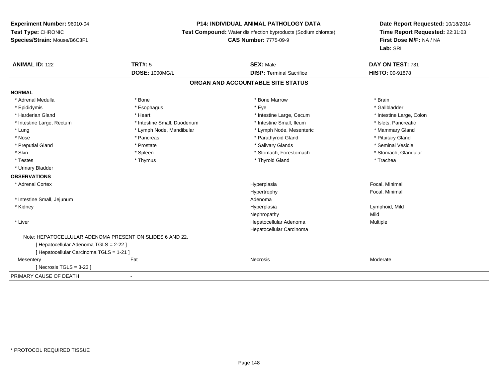#### **P14: INDIVIDUAL ANIMAL PATHOLOGY DATA**

**Test Compound:** Water disinfection byproducts (Sodium chlorate)

**CAS Number:** 7775-09-9

| <b>ANIMAL ID: 122</b>                    | <b>TRT#: 5</b>                                           | <b>SEX: Male</b>                  | DAY ON TEST: 731         |  |
|------------------------------------------|----------------------------------------------------------|-----------------------------------|--------------------------|--|
|                                          | <b>DOSE: 1000MG/L</b>                                    | <b>DISP: Terminal Sacrifice</b>   | <b>HISTO: 00-91878</b>   |  |
|                                          |                                                          | ORGAN AND ACCOUNTABLE SITE STATUS |                          |  |
| <b>NORMAL</b>                            |                                                          |                                   |                          |  |
| * Adrenal Medulla                        | * Bone                                                   | * Bone Marrow                     | * Brain                  |  |
| * Epididymis                             | * Esophagus                                              | * Eye                             | * Gallbladder            |  |
| * Harderian Gland                        | * Heart                                                  | * Intestine Large, Cecum          | * Intestine Large, Colon |  |
| * Intestine Large, Rectum                | * Intestine Small, Duodenum                              | * Intestine Small. Ileum          | * Islets, Pancreatic     |  |
| * Lung                                   | * Lymph Node, Mandibular                                 | * Lymph Node, Mesenteric          | * Mammary Gland          |  |
| * Nose                                   | * Pancreas                                               | * Parathyroid Gland               | * Pituitary Gland        |  |
| * Preputial Gland                        | * Prostate                                               | * Salivary Glands                 | * Seminal Vesicle        |  |
| * Skin                                   | * Spleen                                                 | * Stomach, Forestomach            | * Stomach, Glandular     |  |
| * Testes                                 | * Thymus                                                 | * Thyroid Gland                   | * Trachea                |  |
| * Urinary Bladder                        |                                                          |                                   |                          |  |
| <b>OBSERVATIONS</b>                      |                                                          |                                   |                          |  |
| * Adrenal Cortex                         |                                                          | Hyperplasia                       | Focal, Minimal           |  |
|                                          |                                                          | Hypertrophy                       | Focal, Minimal           |  |
| * Intestine Small, Jejunum               |                                                          | Adenoma                           |                          |  |
| * Kidney                                 |                                                          | Hyperplasia                       | Lymphoid, Mild           |  |
|                                          |                                                          | Nephropathy                       | Mild                     |  |
| * Liver                                  |                                                          | Hepatocellular Adenoma            | Multiple                 |  |
|                                          |                                                          | Hepatocellular Carcinoma          |                          |  |
|                                          | Note: HEPATOCELLULAR ADENOMA PRESENT ON SLIDES 6 AND 22. |                                   |                          |  |
| [ Hepatocellular Adenoma TGLS = 2-22 ]   |                                                          |                                   |                          |  |
| [ Hepatocellular Carcinoma TGLS = 1-21 ] |                                                          |                                   |                          |  |
| Mesentery                                | Fat                                                      | Necrosis                          | Moderate                 |  |
| [Necrosis TGLS = $3-23$ ]                |                                                          |                                   |                          |  |
| PRIMARY CAUSE OF DEATH                   | $\blacksquare$                                           |                                   |                          |  |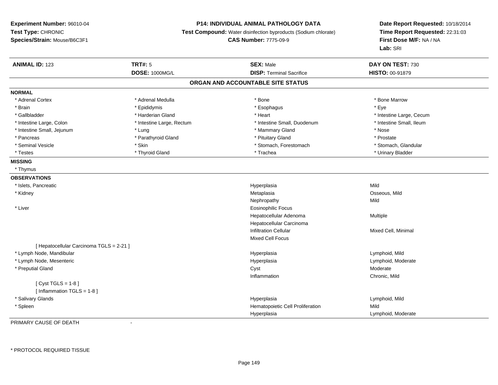### **P14: INDIVIDUAL ANIMAL PATHOLOGY DATA**

**Test Compound:** Water disinfection byproducts (Sodium chlorate)

**CAS Number:** 7775-09-9

**Date Report Requested:** 10/18/2014**Time Report Requested:** 22:31:03**First Dose M/F:** NA / NA**Lab:** SRI

| <b>ANIMAL ID: 123</b>                    | <b>TRT#: 5</b>            | <b>SEX: Male</b>                  | DAY ON TEST: 730         |  |
|------------------------------------------|---------------------------|-----------------------------------|--------------------------|--|
|                                          | <b>DOSE: 1000MG/L</b>     | <b>DISP: Terminal Sacrifice</b>   | HISTO: 00-91879          |  |
|                                          |                           | ORGAN AND ACCOUNTABLE SITE STATUS |                          |  |
| <b>NORMAL</b>                            |                           |                                   |                          |  |
| * Adrenal Cortex                         | * Adrenal Medulla         | * Bone                            | * Bone Marrow            |  |
| * Brain                                  | * Epididymis              | * Esophagus                       | * Eye                    |  |
| * Gallbladder                            | * Harderian Gland         | * Heart                           | * Intestine Large, Cecum |  |
| * Intestine Large, Colon                 | * Intestine Large, Rectum | * Intestine Small, Duodenum       | * Intestine Small, Ileum |  |
| * Intestine Small, Jejunum               | * Lung                    | * Mammary Gland                   | * Nose                   |  |
| * Pancreas                               | * Parathyroid Gland       | * Pituitary Gland                 | * Prostate               |  |
| * Seminal Vesicle                        | * Skin                    | * Stomach, Forestomach            | * Stomach, Glandular     |  |
| * Testes                                 | * Thyroid Gland           | * Trachea                         | * Urinary Bladder        |  |
| <b>MISSING</b>                           |                           |                                   |                          |  |
| * Thymus                                 |                           |                                   |                          |  |
| <b>OBSERVATIONS</b>                      |                           |                                   |                          |  |
| * Islets, Pancreatic                     |                           | Hyperplasia                       | Mild                     |  |
| * Kidney                                 |                           | Metaplasia                        | Osseous, Mild            |  |
|                                          |                           | Nephropathy                       | Mild                     |  |
| * Liver                                  |                           | <b>Eosinophilic Focus</b>         |                          |  |
|                                          |                           | Hepatocellular Adenoma            | Multiple                 |  |
|                                          |                           | Hepatocellular Carcinoma          |                          |  |
|                                          |                           | <b>Infiltration Cellular</b>      | Mixed Cell, Minimal      |  |
|                                          |                           | <b>Mixed Cell Focus</b>           |                          |  |
| [ Hepatocellular Carcinoma TGLS = 2-21 ] |                           |                                   |                          |  |
| * Lymph Node, Mandibular                 |                           | Hyperplasia                       | Lymphoid, Mild           |  |
| * Lymph Node, Mesenteric                 |                           | Hyperplasia                       | Lymphoid, Moderate       |  |
| * Preputial Gland                        |                           | Cyst                              | Moderate                 |  |
|                                          |                           | Inflammation                      | Chronic, Mild            |  |
| [Cyst TGLS = $1-8$ ]                     |                           |                                   |                          |  |
| [ Inflammation TGLS = 1-8 ]              |                           |                                   |                          |  |
| * Salivary Glands                        |                           | Hyperplasia                       | Lymphoid, Mild           |  |
| * Spleen                                 |                           | Hematopoietic Cell Proliferation  | Mild                     |  |
|                                          |                           | Hyperplasia                       | Lymphoid, Moderate       |  |

PRIMARY CAUSE OF DEATH-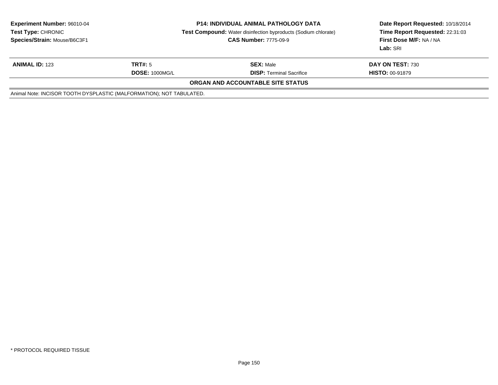| <b>Experiment Number: 96010-04</b><br><b>Test Type: CHRONIC</b><br>Species/Strain: Mouse/B6C3F1 | <b>P14: INDIVIDUAL ANIMAL PATHOLOGY DATA</b><br><b>Test Compound:</b> Water disinfection byproducts (Sodium chlorate)<br><b>CAS Number: 7775-09-9</b> |                                   | Date Report Requested: 10/18/2014<br>Time Report Requested: 22:31:03<br>First Dose M/F: NA / NA<br>Lab: SRI |
|-------------------------------------------------------------------------------------------------|-------------------------------------------------------------------------------------------------------------------------------------------------------|-----------------------------------|-------------------------------------------------------------------------------------------------------------|
| <b>ANIMAL ID: 123</b>                                                                           | TRT#: 5                                                                                                                                               | <b>SEX: Male</b>                  | DAY ON TEST: 730                                                                                            |
|                                                                                                 | <b>DOSE: 1000MG/L</b>                                                                                                                                 | <b>DISP: Terminal Sacrifice</b>   | <b>HISTO: 00-91879</b>                                                                                      |
|                                                                                                 |                                                                                                                                                       | ORGAN AND ACCOUNTABLE SITE STATUS |                                                                                                             |
| Animal Note: INCISOR TOOTH DYSPLASTIC (MALFORMATION); NOT TABULATED.                            |                                                                                                                                                       |                                   |                                                                                                             |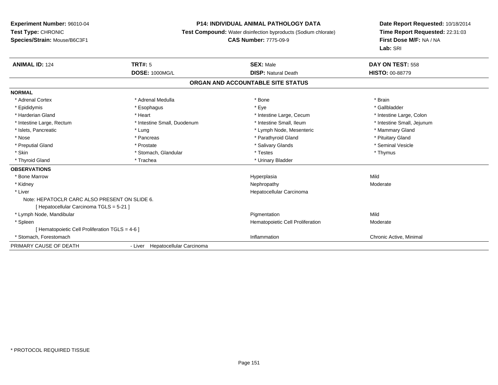## **P14: INDIVIDUAL ANIMAL PATHOLOGY DATA**

**Test Compound:** Water disinfection byproducts (Sodium chlorate)

# **CAS Number:** 7775-09-9

| <b>ANIMAL ID: 124</b>                           | TRT#: 5                          | <b>SEX: Male</b>                  | DAY ON TEST: 558           |  |
|-------------------------------------------------|----------------------------------|-----------------------------------|----------------------------|--|
|                                                 | <b>DOSE: 1000MG/L</b>            | <b>DISP: Natural Death</b>        | <b>HISTO: 00-88779</b>     |  |
|                                                 |                                  | ORGAN AND ACCOUNTABLE SITE STATUS |                            |  |
| <b>NORMAL</b>                                   |                                  |                                   |                            |  |
| * Adrenal Cortex                                | * Adrenal Medulla                | * Bone                            | * Brain                    |  |
| * Epididymis                                    | * Esophagus                      | * Eye                             | * Gallbladder              |  |
| * Harderian Gland                               | * Heart                          | * Intestine Large, Cecum          | * Intestine Large, Colon   |  |
| * Intestine Large, Rectum                       | * Intestine Small, Duodenum      | * Intestine Small, Ileum          | * Intestine Small, Jejunum |  |
| * Islets, Pancreatic                            | * Lung                           | * Lymph Node, Mesenteric          | * Mammary Gland            |  |
| * Nose                                          | * Pancreas                       | * Parathyroid Gland               | * Pituitary Gland          |  |
| * Preputial Gland                               | * Prostate                       | * Salivary Glands                 | * Seminal Vesicle          |  |
| * Skin                                          | * Stomach, Glandular             | * Testes                          | * Thymus                   |  |
| * Thyroid Gland                                 | * Trachea                        | * Urinary Bladder                 |                            |  |
| <b>OBSERVATIONS</b>                             |                                  |                                   |                            |  |
| * Bone Marrow                                   |                                  | Hyperplasia                       | Mild                       |  |
| * Kidney                                        |                                  | Nephropathy                       | Moderate                   |  |
| * Liver                                         |                                  | Hepatocellular Carcinoma          |                            |  |
| Note: HEPATOCLR CARC ALSO PRESENT ON SLIDE 6.   |                                  |                                   |                            |  |
| [ Hepatocellular Carcinoma TGLS = 5-21 ]        |                                  |                                   |                            |  |
| * Lymph Node, Mandibular                        |                                  | Pigmentation                      | Mild                       |  |
| * Spleen                                        |                                  | Hematopoietic Cell Proliferation  | Moderate                   |  |
| [ Hematopoietic Cell Proliferation TGLS = 4-6 ] |                                  |                                   |                            |  |
| * Stomach, Forestomach                          |                                  | Inflammation                      | Chronic Active, Minimal    |  |
| PRIMARY CAUSE OF DEATH                          | - Liver Hepatocellular Carcinoma |                                   |                            |  |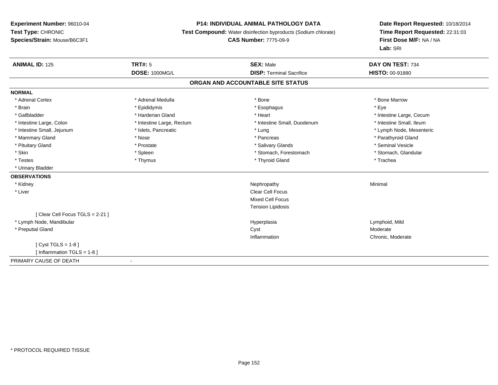## **P14: INDIVIDUAL ANIMAL PATHOLOGY DATA**

**Test Compound:** Water disinfection byproducts (Sodium chlorate)

**CAS Number:** 7775-09-9

| <b>ANIMAL ID: 125</b>          | <b>TRT#: 5</b>            | <b>SEX: Male</b>                  | DAY ON TEST: 734         |
|--------------------------------|---------------------------|-----------------------------------|--------------------------|
|                                | <b>DOSE: 1000MG/L</b>     | <b>DISP: Terminal Sacrifice</b>   | HISTO: 00-91880          |
|                                |                           | ORGAN AND ACCOUNTABLE SITE STATUS |                          |
| <b>NORMAL</b>                  |                           |                                   |                          |
| * Adrenal Cortex               | * Adrenal Medulla         | * Bone                            | * Bone Marrow            |
| * Brain                        | * Epididymis              | * Esophagus                       | * Eye                    |
| * Gallbladder                  | * Harderian Gland         | * Heart                           | * Intestine Large, Cecum |
| * Intestine Large, Colon       | * Intestine Large, Rectum | * Intestine Small, Duodenum       | * Intestine Small, Ileum |
| * Intestine Small, Jejunum     | * Islets, Pancreatic      | * Lung                            | * Lymph Node, Mesenteric |
| * Mammary Gland                | * Nose                    | * Pancreas                        | * Parathyroid Gland      |
| * Pituitary Gland              | * Prostate                | * Salivary Glands                 | * Seminal Vesicle        |
| * Skin                         | * Spleen                  | * Stomach, Forestomach            | * Stomach, Glandular     |
| * Testes                       | * Thymus                  | * Thyroid Gland                   | * Trachea                |
| * Urinary Bladder              |                           |                                   |                          |
| <b>OBSERVATIONS</b>            |                           |                                   |                          |
| * Kidney                       |                           | Nephropathy                       | Minimal                  |
| * Liver                        |                           | <b>Clear Cell Focus</b>           |                          |
|                                |                           | <b>Mixed Cell Focus</b>           |                          |
|                                |                           | <b>Tension Lipidosis</b>          |                          |
| [Clear Cell Focus TGLS = 2-21] |                           |                                   |                          |
| * Lymph Node, Mandibular       |                           | Hyperplasia                       | Lymphoid, Mild           |
| * Preputial Gland              |                           | Cyst                              | Moderate                 |
|                                |                           | Inflammation                      | Chronic, Moderate        |
| [ $Cyst TGLS = 1-8$ ]          |                           |                                   |                          |
| [ Inflammation TGLS = 1-8 ]    |                           |                                   |                          |
| PRIMARY CAUSE OF DEATH         |                           |                                   |                          |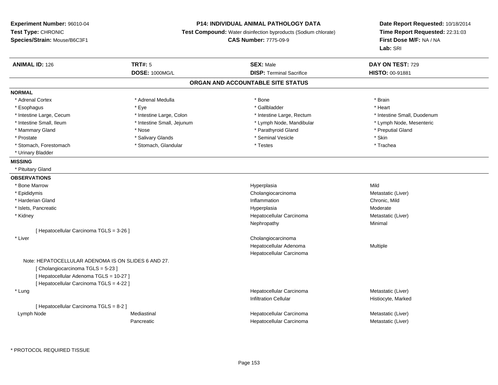## **P14: INDIVIDUAL ANIMAL PATHOLOGY DATA**

**Test Compound:** Water disinfection byproducts (Sodium chlorate)

**CAS Number:** 7775-09-9

**Date Report Requested:** 10/18/2014**Time Report Requested:** 22:31:03**First Dose M/F:** NA / NA**Lab:** SRI

| <b>ANIMAL ID: 126</b>                               | TRT#: 5                    | <b>SEX: Male</b>                  | DAY ON TEST: 729            |
|-----------------------------------------------------|----------------------------|-----------------------------------|-----------------------------|
|                                                     | <b>DOSE: 1000MG/L</b>      | <b>DISP: Terminal Sacrifice</b>   | HISTO: 00-91881             |
|                                                     |                            | ORGAN AND ACCOUNTABLE SITE STATUS |                             |
| <b>NORMAL</b>                                       |                            |                                   |                             |
| * Adrenal Cortex                                    | * Adrenal Medulla          | * Bone                            | * Brain                     |
| * Esophagus                                         | * Eye                      | * Gallbladder                     | * Heart                     |
| * Intestine Large, Cecum                            | * Intestine Large, Colon   | * Intestine Large, Rectum         | * Intestine Small, Duodenum |
| * Intestine Small, Ileum                            | * Intestine Small, Jejunum | * Lymph Node, Mandibular          | * Lymph Node, Mesenteric    |
| * Mammary Gland                                     | * Nose                     | * Parathyroid Gland               | * Preputial Gland           |
| * Prostate                                          | * Salivary Glands          | * Seminal Vesicle                 | * Skin                      |
| * Stomach, Forestomach                              | * Stomach, Glandular       | * Testes                          | * Trachea                   |
| * Urinary Bladder                                   |                            |                                   |                             |
| <b>MISSING</b>                                      |                            |                                   |                             |
| * Pituitary Gland                                   |                            |                                   |                             |
| <b>OBSERVATIONS</b>                                 |                            |                                   |                             |
| * Bone Marrow                                       |                            | Hyperplasia                       | Mild                        |
| * Epididymis                                        |                            | Cholangiocarcinoma                | Metastatic (Liver)          |
| * Harderian Gland                                   |                            | Inflammation                      | Chronic, Mild               |
| * Islets, Pancreatic                                |                            | Hyperplasia                       | Moderate                    |
| * Kidney                                            |                            | Hepatocellular Carcinoma          | Metastatic (Liver)          |
|                                                     |                            | Nephropathy                       | Minimal                     |
| [ Hepatocellular Carcinoma TGLS = 3-26 ]            |                            |                                   |                             |
| * Liver                                             |                            | Cholangiocarcinoma                |                             |
|                                                     |                            | Hepatocellular Adenoma            | Multiple                    |
|                                                     |                            | Hepatocellular Carcinoma          |                             |
| Note: HEPATOCELLULAR ADENOMA IS ON SLIDES 6 AND 27. |                            |                                   |                             |
| [Cholangiocarcinoma TGLS = 5-23]                    |                            |                                   |                             |
| [ Hepatocellular Adenoma TGLS = 10-27 ]             |                            |                                   |                             |
| [ Hepatocellular Carcinoma TGLS = 4-22 ]            |                            |                                   |                             |
| * Lung                                              |                            | Hepatocellular Carcinoma          | Metastatic (Liver)          |
|                                                     |                            | <b>Infiltration Cellular</b>      | Histiocyte, Marked          |
| [ Hepatocellular Carcinoma TGLS = 8-2 ]             |                            |                                   |                             |
| Lymph Node                                          | Mediastinal                | Hepatocellular Carcinoma          | Metastatic (Liver)          |
|                                                     | Pancreatic                 | Hepatocellular Carcinoma          | Metastatic (Liver)          |

\* PROTOCOL REQUIRED TISSUE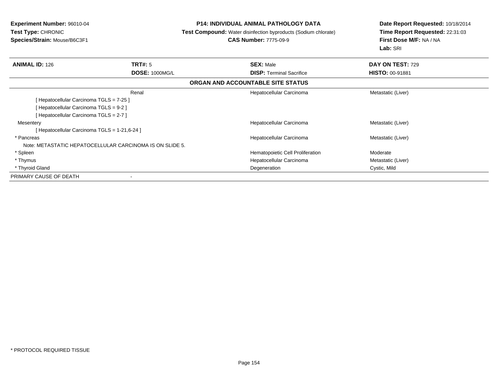**Experiment Number:** 96010-04**Test Type:** CHRONIC **Species/Strain:** Mouse/B6C3F1**P14: INDIVIDUAL ANIMAL PATHOLOGY DATA Test Compound:** Water disinfection byproducts (Sodium chlorate)**CAS Number:** 7775-09-9**Date Report Requested:** 10/18/2014**Time Report Requested:** 22:31:03**First Dose M/F:** NA / NA**Lab:** SRI**ANIMAL ID:** 126**6 DAY ON TEST:** 729 **DOSE:** 1000MG/L **DISP:** Terminal Sacrifice **HISTO:** 00-91881 **ORGAN AND ACCOUNTABLE SITE STATUS**Renal Hepatocellular Carcinoma Metastatic (Liver) [ Hepatocellular Carcinoma TGLS = 7-25 ][ Hepatocellular Carcinoma TGLS = 9-2 ][ Hepatocellular Carcinoma TGLS = 2-7 ]**Mesentery**  Hepatocellular Carcinoma Metastatic (Liver) [ Hepatocellular Carcinoma TGLS = 1-21,6-24 ] \* Pancreas Hepatocellular Carcinoma Metastatic (Liver) Note: METASTATIC HEPATOCELLULAR CARCINOMA IS ON SLIDE 5. \* SpleenHematopoietic Cell Proliferation Moderate \* Thymus Hepatocellular Carcinoma Metastatic (Liver) \* Thyroid Gland Degeneration Cystic, Mild PRIMARY CAUSE OF DEATH-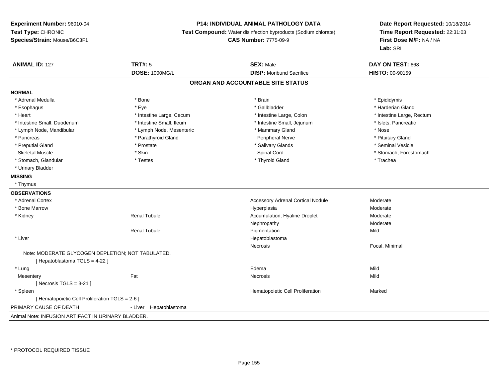### **P14: INDIVIDUAL ANIMAL PATHOLOGY DATA**

**Test Compound:** Water disinfection byproducts (Sodium chlorate)

**CAS Number:** 7775-09-9

| <b>ANIMAL ID: 127</b>                              | <b>TRT#: 5</b>            | <b>SEX: Male</b>                         | DAY ON TEST: 668          |
|----------------------------------------------------|---------------------------|------------------------------------------|---------------------------|
|                                                    | <b>DOSE: 1000MG/L</b>     | <b>DISP:</b> Moribund Sacrifice          | HISTO: 00-90159           |
|                                                    |                           | ORGAN AND ACCOUNTABLE SITE STATUS        |                           |
| <b>NORMAL</b>                                      |                           |                                          |                           |
| * Adrenal Medulla                                  | * Bone                    | * Brain                                  | * Epididymis              |
| * Esophagus                                        | * Eye                     | * Gallbladder                            | * Harderian Gland         |
| * Heart                                            | * Intestine Large, Cecum  | * Intestine Large, Colon                 | * Intestine Large, Rectum |
| * Intestine Small, Duodenum                        | * Intestine Small, Ileum  | * Intestine Small, Jejunum               | * Islets, Pancreatic      |
| * Lymph Node, Mandibular                           | * Lymph Node, Mesenteric  | * Mammary Gland                          | * Nose                    |
| * Pancreas                                         | * Parathyroid Gland       | Peripheral Nerve                         | * Pituitary Gland         |
| * Preputial Gland                                  | * Prostate                | * Salivary Glands                        | * Seminal Vesicle         |
| <b>Skeletal Muscle</b>                             | * Skin                    | Spinal Cord                              | * Stomach, Forestomach    |
| * Stomach, Glandular                               | * Testes                  | * Thyroid Gland                          | * Trachea                 |
| * Urinary Bladder                                  |                           |                                          |                           |
| <b>MISSING</b>                                     |                           |                                          |                           |
| * Thymus                                           |                           |                                          |                           |
| <b>OBSERVATIONS</b>                                |                           |                                          |                           |
| * Adrenal Cortex                                   |                           | <b>Accessory Adrenal Cortical Nodule</b> | Moderate                  |
| * Bone Marrow                                      |                           | Hyperplasia                              | Moderate                  |
| * Kidney                                           | <b>Renal Tubule</b>       | Accumulation, Hyaline Droplet            | Moderate                  |
|                                                    |                           | Nephropathy                              | Moderate                  |
|                                                    | <b>Renal Tubule</b>       | Pigmentation                             | Mild                      |
| * Liver                                            |                           | Hepatoblastoma                           |                           |
|                                                    |                           | Necrosis                                 | Focal, Minimal            |
| Note: MODERATE GLYCOGEN DEPLETION; NOT TABULATED.  |                           |                                          |                           |
| [Hepatoblastoma TGLS = 4-22]                       |                           |                                          |                           |
| * Lung                                             |                           | Edema                                    | Mild                      |
| Mesentery                                          | Fat                       | Necrosis                                 | Mild                      |
| [Necrosis TGLS = $3-21$ ]                          |                           |                                          |                           |
| * Spleen                                           |                           | Hematopoietic Cell Proliferation         | Marked                    |
| [ Hematopoietic Cell Proliferation TGLS = 2-6 ]    |                           |                                          |                           |
| PRIMARY CAUSE OF DEATH                             | Hepatoblastoma<br>- Liver |                                          |                           |
| Animal Note: INFUSION ARTIFACT IN URINARY BLADDER. |                           |                                          |                           |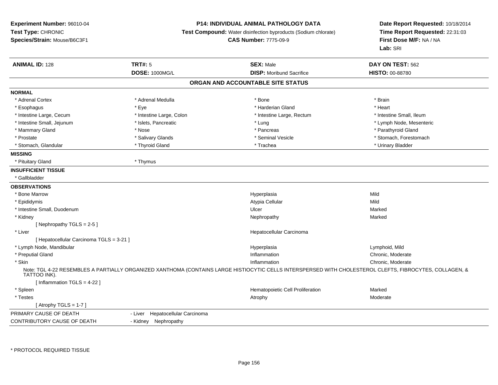## **P14: INDIVIDUAL ANIMAL PATHOLOGY DATA**

**Test Compound:** Water disinfection byproducts (Sodium chlorate)

**CAS Number:** 7775-09-9

| <b>ANIMAL ID: 128</b>                    | <b>TRT#: 5</b>                      | <b>SEX: Male</b>                  | DAY ON TEST: 562                                                                                                                                        |
|------------------------------------------|-------------------------------------|-----------------------------------|---------------------------------------------------------------------------------------------------------------------------------------------------------|
|                                          | <b>DOSE: 1000MG/L</b>               | <b>DISP:</b> Moribund Sacrifice   | HISTO: 00-88780                                                                                                                                         |
|                                          |                                     | ORGAN AND ACCOUNTABLE SITE STATUS |                                                                                                                                                         |
| <b>NORMAL</b>                            |                                     |                                   |                                                                                                                                                         |
| * Adrenal Cortex                         | * Adrenal Medulla                   | * Bone                            | * Brain                                                                                                                                                 |
| * Esophagus                              | * Eye                               | * Harderian Gland                 | * Heart                                                                                                                                                 |
| * Intestine Large, Cecum                 | * Intestine Large, Colon            | * Intestine Large, Rectum         | * Intestine Small, Ileum                                                                                                                                |
| * Intestine Small, Jejunum               | * Islets, Pancreatic                | * Lung                            | * Lymph Node, Mesenteric                                                                                                                                |
| * Mammary Gland                          | * Nose                              | * Pancreas                        | * Parathyroid Gland                                                                                                                                     |
| * Prostate                               | * Salivary Glands                   | * Seminal Vesicle                 | * Stomach, Forestomach                                                                                                                                  |
| * Stomach, Glandular                     | * Thyroid Gland                     | * Trachea                         | * Urinary Bladder                                                                                                                                       |
| <b>MISSING</b>                           |                                     |                                   |                                                                                                                                                         |
| * Pituitary Gland                        | * Thymus                            |                                   |                                                                                                                                                         |
| <b>INSUFFICIENT TISSUE</b>               |                                     |                                   |                                                                                                                                                         |
| * Gallbladder                            |                                     |                                   |                                                                                                                                                         |
| <b>OBSERVATIONS</b>                      |                                     |                                   |                                                                                                                                                         |
| * Bone Marrow                            |                                     | Hyperplasia                       | Mild                                                                                                                                                    |
| * Epididymis                             |                                     | Atypia Cellular                   | Mild                                                                                                                                                    |
| * Intestine Small, Duodenum              |                                     | Ulcer                             | Marked                                                                                                                                                  |
| * Kidney                                 |                                     | Nephropathy                       | Marked                                                                                                                                                  |
| [Nephropathy TGLS = $2-5$ ]              |                                     |                                   |                                                                                                                                                         |
| * Liver                                  |                                     | Hepatocellular Carcinoma          |                                                                                                                                                         |
| [ Hepatocellular Carcinoma TGLS = 3-21 ] |                                     |                                   |                                                                                                                                                         |
| * Lymph Node, Mandibular                 |                                     | Hyperplasia                       | Lymphoid, Mild                                                                                                                                          |
| * Preputial Gland                        |                                     | Inflammation                      | Chronic, Moderate                                                                                                                                       |
| * Skin                                   |                                     | Inflammation                      | Chronic, Moderate                                                                                                                                       |
| TATTOO INK).                             |                                     |                                   | Note: TGL 4-22 RESEMBLES A PARTIALLY ORGANIZED XANTHOMA (CONTAINS LARGE HISTIOCYTIC CELLS INTERSPERSED WITH CHOLESTEROL CLEFTS, FIBROCYTES, COLLAGEN, & |
| [Inflammation TGLS = 4-22]               |                                     |                                   |                                                                                                                                                         |
| * Spleen                                 |                                     | Hematopoietic Cell Proliferation  | Marked                                                                                                                                                  |
| * Testes                                 |                                     | Atrophy                           | Moderate                                                                                                                                                |
| [Atrophy TGLS = $1-7$ ]                  |                                     |                                   |                                                                                                                                                         |
| PRIMARY CAUSE OF DEATH                   | Hepatocellular Carcinoma<br>- Liver |                                   |                                                                                                                                                         |
| CONTRIBUTORY CAUSE OF DEATH              | - Kidney Nephropathy                |                                   |                                                                                                                                                         |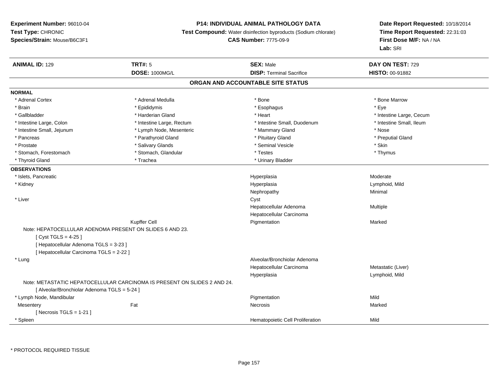## **P14: INDIVIDUAL ANIMAL PATHOLOGY DATA**

**Test Compound:** Water disinfection byproducts (Sodium chlorate)

**CAS Number:** 7775-09-9

| <b>ANIMAL ID: 129</b>                                    | <b>TRT#: 5</b>                                                           | <b>SEX: Male</b>                  | DAY ON TEST: 729         |  |
|----------------------------------------------------------|--------------------------------------------------------------------------|-----------------------------------|--------------------------|--|
|                                                          | <b>DOSE: 1000MG/L</b>                                                    | <b>DISP: Terminal Sacrifice</b>   | <b>HISTO: 00-91882</b>   |  |
|                                                          |                                                                          | ORGAN AND ACCOUNTABLE SITE STATUS |                          |  |
| <b>NORMAL</b>                                            |                                                                          |                                   |                          |  |
| * Adrenal Cortex                                         | * Adrenal Medulla                                                        | * Bone                            | * Bone Marrow            |  |
| * Brain                                                  | * Epididymis                                                             | * Esophagus                       | * Eye                    |  |
| * Gallbladder                                            | * Harderian Gland                                                        | * Heart                           | * Intestine Large, Cecum |  |
| * Intestine Large, Colon                                 | * Intestine Large, Rectum                                                | * Intestine Small, Duodenum       | * Intestine Small, Ileum |  |
| * Intestine Small, Jejunum                               | * Lymph Node, Mesenteric                                                 | * Mammary Gland                   | * Nose                   |  |
| * Pancreas                                               | * Parathyroid Gland                                                      | * Pituitary Gland                 | * Preputial Gland        |  |
| * Prostate                                               | * Salivary Glands                                                        | * Seminal Vesicle                 | * Skin                   |  |
| * Stomach, Forestomach                                   | * Stomach, Glandular                                                     | * Testes                          | * Thymus                 |  |
| * Thyroid Gland                                          | * Trachea                                                                | * Urinary Bladder                 |                          |  |
| <b>OBSERVATIONS</b>                                      |                                                                          |                                   |                          |  |
| * Islets, Pancreatic                                     |                                                                          | Hyperplasia                       | Moderate                 |  |
| * Kidney                                                 |                                                                          | Hyperplasia                       | Lymphoid, Mild           |  |
|                                                          |                                                                          | Nephropathy                       | Minimal                  |  |
| * Liver                                                  |                                                                          | Cyst                              |                          |  |
|                                                          |                                                                          | Hepatocellular Adenoma            | Multiple                 |  |
|                                                          |                                                                          | Hepatocellular Carcinoma          |                          |  |
|                                                          | Kupffer Cell                                                             | Pigmentation                      | Marked                   |  |
| Note: HEPATOCELLULAR ADENOMA PRESENT ON SLIDES 6 AND 23. |                                                                          |                                   |                          |  |
| [ $Cyst TGLS = 4-25$ ]                                   |                                                                          |                                   |                          |  |
| [ Hepatocellular Adenoma TGLS = 3-23 ]                   |                                                                          |                                   |                          |  |
| [ Hepatocellular Carcinoma TGLS = 2-22 ]                 |                                                                          |                                   |                          |  |
| * Lung                                                   |                                                                          | Alveolar/Bronchiolar Adenoma      |                          |  |
|                                                          |                                                                          | Hepatocellular Carcinoma          | Metastatic (Liver)       |  |
|                                                          |                                                                          | Hyperplasia                       | Lymphoid, Mild           |  |
|                                                          | Note: METASTATIC HEPATOCELLULAR CARCINOMA IS PRESENT ON SLIDES 2 AND 24. |                                   |                          |  |
| [ Alveolar/Bronchiolar Adenoma TGLS = 5-24 ]             |                                                                          |                                   |                          |  |
| * Lymph Node, Mandibular                                 |                                                                          | Pigmentation                      | Mild                     |  |
| Mesentery                                                | Fat                                                                      | Necrosis                          | Marked                   |  |
| [ Necrosis TGLS = $1-21$ ]                               |                                                                          |                                   |                          |  |
| * Spleen                                                 |                                                                          | Hematopoietic Cell Proliferation  | Mild                     |  |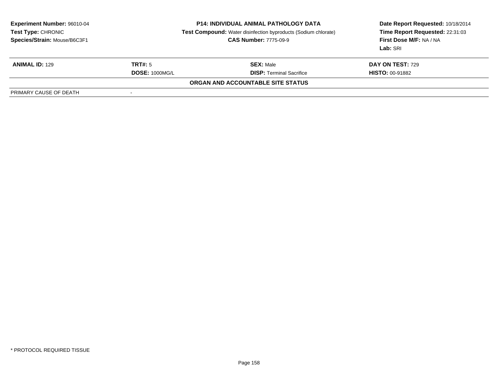| <b>Experiment Number: 96010-04</b><br>Test Type: CHRONIC<br>Species/Strain: Mouse/B6C3F1 | <b>P14: INDIVIDUAL ANIMAL PATHOLOGY DATA</b><br><b>Test Compound:</b> Water disinfection byproducts (Sodium chlorate)<br><b>CAS Number: 7775-09-9</b> |                                   | Date Report Requested: 10/18/2014<br>Time Report Requested: 22:31:03<br>First Dose M/F: NA / NA<br>Lab: SRI |  |
|------------------------------------------------------------------------------------------|-------------------------------------------------------------------------------------------------------------------------------------------------------|-----------------------------------|-------------------------------------------------------------------------------------------------------------|--|
| <b>ANIMAL ID: 129</b>                                                                    | <b>TRT#: 5</b>                                                                                                                                        | <b>SEX: Male</b>                  | DAY ON TEST: 729                                                                                            |  |
|                                                                                          | <b>DOSE: 1000MG/L</b>                                                                                                                                 | <b>DISP:</b> Terminal Sacrifice   | <b>HISTO: 00-91882</b>                                                                                      |  |
|                                                                                          |                                                                                                                                                       | ORGAN AND ACCOUNTABLE SITE STATUS |                                                                                                             |  |
| PRIMARY CAUSE OF DEATH                                                                   | $\,$                                                                                                                                                  |                                   |                                                                                                             |  |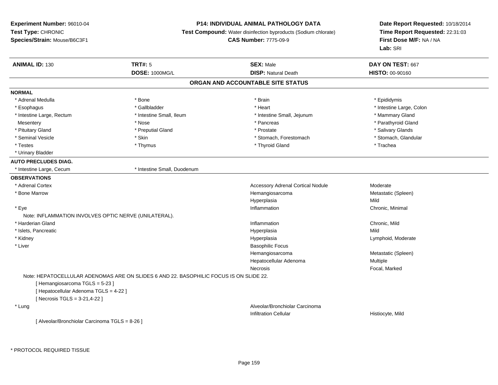# **P14: INDIVIDUAL ANIMAL PATHOLOGY DATA**

**Test Compound:** Water disinfection byproducts (Sodium chlorate)

```
CAS Number: 7775-09-9
```

| <b>ANIMAL ID: 130</b>                                 | <b>TRT#: 5</b>                                                                         | <b>SEX: Male</b>                         | DAY ON TEST: 667         |
|-------------------------------------------------------|----------------------------------------------------------------------------------------|------------------------------------------|--------------------------|
|                                                       | <b>DOSE: 1000MG/L</b>                                                                  | <b>DISP: Natural Death</b>               | HISTO: 00-90160          |
|                                                       |                                                                                        | ORGAN AND ACCOUNTABLE SITE STATUS        |                          |
| <b>NORMAL</b>                                         |                                                                                        |                                          |                          |
| * Adrenal Medulla                                     | * Bone                                                                                 | * Brain                                  | * Epididymis             |
| * Esophagus                                           | * Gallbladder                                                                          | * Heart                                  | * Intestine Large, Colon |
| * Intestine Large, Rectum                             | * Intestine Small, Ileum                                                               | * Intestine Small, Jejunum               | * Mammary Gland          |
| Mesentery                                             | * Nose                                                                                 | * Pancreas                               | * Parathyroid Gland      |
| * Pituitary Gland                                     | * Preputial Gland                                                                      | * Prostate                               | * Salivary Glands        |
| * Seminal Vesicle                                     | * Skin                                                                                 | * Stomach, Forestomach                   | * Stomach, Glandular     |
| * Testes                                              | * Thymus                                                                               | * Thyroid Gland                          | * Trachea                |
| * Urinary Bladder                                     |                                                                                        |                                          |                          |
| <b>AUTO PRECLUDES DIAG.</b>                           |                                                                                        |                                          |                          |
| * Intestine Large, Cecum                              | * Intestine Small, Duodenum                                                            |                                          |                          |
| <b>OBSERVATIONS</b>                                   |                                                                                        |                                          |                          |
| * Adrenal Cortex                                      |                                                                                        | <b>Accessory Adrenal Cortical Nodule</b> | Moderate                 |
| * Bone Marrow                                         |                                                                                        | Hemangiosarcoma                          | Metastatic (Spleen)      |
|                                                       |                                                                                        | Hyperplasia                              | Mild                     |
| * Eye                                                 |                                                                                        | Inflammation                             | Chronic, Minimal         |
| Note: INFLAMMATION INVOLVES OPTIC NERVE (UNILATERAL). |                                                                                        |                                          |                          |
| * Harderian Gland                                     |                                                                                        | Inflammation                             | Chronic, Mild            |
| * Islets, Pancreatic                                  |                                                                                        | Hyperplasia                              | Mild                     |
| * Kidney                                              |                                                                                        | Hyperplasia                              | Lymphoid, Moderate       |
| * Liver                                               |                                                                                        | <b>Basophilic Focus</b>                  |                          |
|                                                       |                                                                                        | Hemangiosarcoma                          | Metastatic (Spleen)      |
|                                                       |                                                                                        | Hepatocellular Adenoma                   | Multiple                 |
|                                                       |                                                                                        | <b>Necrosis</b>                          | Focal, Marked            |
|                                                       | Note: HEPATOCELLULAR ADENOMAS ARE ON SLIDES 6 AND 22. BASOPHILIC FOCUS IS ON SLIDE 22. |                                          |                          |
| [Hemangiosarcoma TGLS = 5-23]                         |                                                                                        |                                          |                          |
| [ Hepatocellular Adenoma TGLS = 4-22 ]                |                                                                                        |                                          |                          |
| [ Necrosis TGLS = 3-21,4-22 ]                         |                                                                                        |                                          |                          |
| * Lung                                                |                                                                                        | Alveolar/Bronchiolar Carcinoma           |                          |
|                                                       |                                                                                        | <b>Infiltration Cellular</b>             | Histiocyte, Mild         |
| [ Alveolar/Bronchiolar Carcinoma TGLS = 8-26 ]        |                                                                                        |                                          |                          |
|                                                       |                                                                                        |                                          |                          |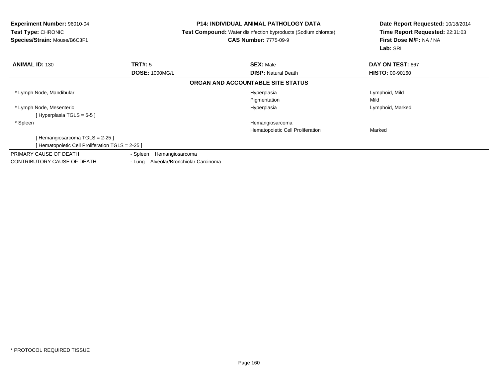| <b>Experiment Number: 96010-04</b><br><b>Test Type: CHRONIC</b><br>Species/Strain: Mouse/B6C3F1 | <b>P14: INDIVIDUAL ANIMAL PATHOLOGY DATA</b><br>Test Compound: Water disinfection byproducts (Sodium chlorate)<br><b>CAS Number: 7775-09-9</b> |                                   | Date Report Requested: 10/18/2014<br>Time Report Requested: 22:31:03<br>First Dose M/F: NA / NA<br>Lab: SRI |
|-------------------------------------------------------------------------------------------------|------------------------------------------------------------------------------------------------------------------------------------------------|-----------------------------------|-------------------------------------------------------------------------------------------------------------|
| <b>ANIMAL ID: 130</b>                                                                           | TRT#: 5                                                                                                                                        | <b>SEX: Male</b>                  | DAY ON TEST: 667                                                                                            |
|                                                                                                 | <b>DOSE: 1000MG/L</b>                                                                                                                          | <b>DISP:</b> Natural Death        | <b>HISTO: 00-90160</b>                                                                                      |
|                                                                                                 |                                                                                                                                                | ORGAN AND ACCOUNTABLE SITE STATUS |                                                                                                             |
| * Lymph Node, Mandibular                                                                        |                                                                                                                                                | Hyperplasia                       | Lymphoid, Mild                                                                                              |
|                                                                                                 |                                                                                                                                                | Pigmentation                      | Mild                                                                                                        |
| * Lymph Node, Mesenteric                                                                        |                                                                                                                                                | Hyperplasia                       | Lymphoid, Marked                                                                                            |
| [Hyperplasia TGLS = 6-5]                                                                        |                                                                                                                                                |                                   |                                                                                                             |
| * Spleen                                                                                        |                                                                                                                                                | Hemangiosarcoma                   |                                                                                                             |
|                                                                                                 |                                                                                                                                                | Hematopoietic Cell Proliferation  | Marked                                                                                                      |
| [Hemangiosarcoma TGLS = 2-25 ]                                                                  |                                                                                                                                                |                                   |                                                                                                             |
| [Hematopoietic Cell Proliferation TGLS = 2-25 ]                                                 |                                                                                                                                                |                                   |                                                                                                             |
| PRIMARY CAUSE OF DEATH                                                                          | - Spleen<br>Hemangiosarcoma                                                                                                                    |                                   |                                                                                                             |
| CONTRIBUTORY CAUSE OF DEATH                                                                     | - Lung                                                                                                                                         | Alveolar/Bronchiolar Carcinoma    |                                                                                                             |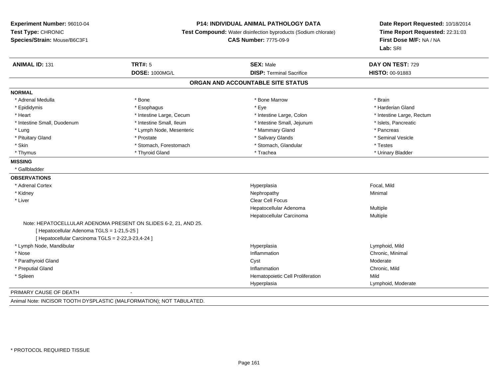#### **P14: INDIVIDUAL ANIMAL PATHOLOGY DATA**

**Test Compound:** Water disinfection byproducts (Sodium chlorate)

**CAS Number:** 7775-09-9

**Date Report Requested:** 10/18/2014**Time Report Requested:** 22:31:03**First Dose M/F:** NA / NA**Lab:** SRI

| <b>ANIMAL ID: 131</b>                              | <b>TRT#: 5</b>                                                  | <b>SEX: Male</b>                  | DAY ON TEST: 729          |
|----------------------------------------------------|-----------------------------------------------------------------|-----------------------------------|---------------------------|
|                                                    | <b>DOSE: 1000MG/L</b>                                           | <b>DISP: Terminal Sacrifice</b>   | HISTO: 00-91883           |
|                                                    |                                                                 | ORGAN AND ACCOUNTABLE SITE STATUS |                           |
| <b>NORMAL</b>                                      |                                                                 |                                   |                           |
| * Adrenal Medulla                                  | * Bone                                                          | * Bone Marrow                     | * Brain                   |
| * Epididymis                                       | * Esophagus                                                     | * Eye                             | * Harderian Gland         |
| * Heart                                            | * Intestine Large, Cecum                                        | * Intestine Large, Colon          | * Intestine Large, Rectum |
| * Intestine Small, Duodenum                        | * Intestine Small, Ileum                                        | * Intestine Small, Jejunum        | * Islets, Pancreatic      |
| * Lung                                             | * Lymph Node, Mesenteric                                        | * Mammary Gland                   | * Pancreas                |
| * Pituitary Gland                                  | * Prostate                                                      | * Salivary Glands                 | * Seminal Vesicle         |
| * Skin                                             | * Stomach, Forestomach                                          | * Stomach, Glandular              | * Testes                  |
| * Thymus                                           | * Thyroid Gland                                                 | * Trachea                         | * Urinary Bladder         |
| <b>MISSING</b>                                     |                                                                 |                                   |                           |
| * Gallbladder                                      |                                                                 |                                   |                           |
| <b>OBSERVATIONS</b>                                |                                                                 |                                   |                           |
| * Adrenal Cortex                                   |                                                                 | Hyperplasia                       | Focal, Mild               |
| * Kidney                                           |                                                                 | Nephropathy                       | Minimal                   |
| * Liver                                            |                                                                 | <b>Clear Cell Focus</b>           |                           |
|                                                    |                                                                 | Hepatocellular Adenoma            | Multiple                  |
|                                                    |                                                                 | Hepatocellular Carcinoma          | Multiple                  |
| [ Hepatocellular Adenoma TGLS = 1-21,5-25 ]        | Note: HEPATOCELLULAR ADENOMA PRESENT ON SLIDES 6-2, 21, AND 25. |                                   |                           |
| [ Hepatocellular Carcinoma TGLS = 2-22,3-23,4-24 ] |                                                                 |                                   |                           |
| * Lymph Node, Mandibular                           |                                                                 | Hyperplasia                       | Lymphoid, Mild            |
| * Nose                                             |                                                                 | Inflammation                      | Chronic, Minimal          |
| * Parathyroid Gland                                |                                                                 | Cyst                              | Moderate                  |
| * Preputial Gland                                  |                                                                 | Inflammation                      | Chronic, Mild             |
| * Spleen                                           |                                                                 | Hematopoietic Cell Proliferation  | Mild                      |
|                                                    |                                                                 | Hyperplasia                       | Lymphoid, Moderate        |
| PRIMARY CAUSE OF DEATH                             | $\blacksquare$                                                  |                                   |                           |

Animal Note: INCISOR TOOTH DYSPLASTIC (MALFORMATION); NOT TABULATED.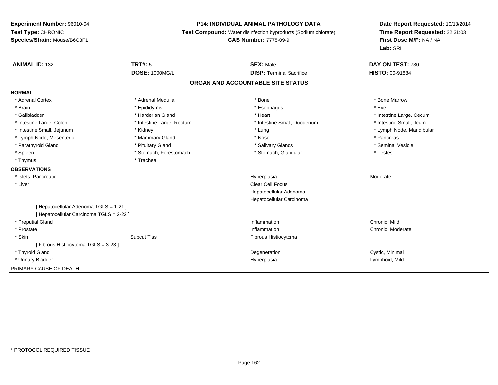## **P14: INDIVIDUAL ANIMAL PATHOLOGY DATA**

**Test Compound:** Water disinfection byproducts (Sodium chlorate)

**CAS Number:** 7775-09-9

| <b>ANIMAL ID: 132</b>                    | <b>TRT#: 5</b>            | <b>SEX: Male</b>                  | DAY ON TEST: 730         |
|------------------------------------------|---------------------------|-----------------------------------|--------------------------|
|                                          | <b>DOSE: 1000MG/L</b>     | <b>DISP: Terminal Sacrifice</b>   | <b>HISTO: 00-91884</b>   |
|                                          |                           | ORGAN AND ACCOUNTABLE SITE STATUS |                          |
| <b>NORMAL</b>                            |                           |                                   |                          |
| * Adrenal Cortex                         | * Adrenal Medulla         | * Bone                            | * Bone Marrow            |
| * Brain                                  | * Epididymis              | * Esophagus                       | * Eve                    |
| * Gallbladder                            | * Harderian Gland         | * Heart                           | * Intestine Large, Cecum |
| * Intestine Large, Colon                 | * Intestine Large, Rectum | * Intestine Small, Duodenum       | * Intestine Small, Ileum |
| * Intestine Small, Jejunum               | * Kidney                  | * Lung                            | * Lymph Node, Mandibular |
| * Lymph Node, Mesenteric                 | * Mammary Gland           | * Nose                            | * Pancreas               |
| * Parathyroid Gland                      | * Pituitary Gland         | * Salivary Glands                 | * Seminal Vesicle        |
| * Spleen                                 | * Stomach, Forestomach    | * Stomach, Glandular              | * Testes                 |
| * Thymus                                 | * Trachea                 |                                   |                          |
| <b>OBSERVATIONS</b>                      |                           |                                   |                          |
| * Islets, Pancreatic                     |                           | Hyperplasia                       | Moderate                 |
| * Liver                                  |                           | <b>Clear Cell Focus</b>           |                          |
|                                          |                           | Hepatocellular Adenoma            |                          |
|                                          |                           | Hepatocellular Carcinoma          |                          |
| [ Hepatocellular Adenoma TGLS = 1-21 ]   |                           |                                   |                          |
| [ Hepatocellular Carcinoma TGLS = 2-22 ] |                           |                                   |                          |
| * Preputial Gland                        |                           | Inflammation                      | Chronic, Mild            |
| * Prostate                               |                           | Inflammation                      | Chronic, Moderate        |
| * Skin                                   | <b>Subcut Tiss</b>        | Fibrous Histiocytoma              |                          |
| [Fibrous Histiocytoma TGLS = 3-23]       |                           |                                   |                          |
| * Thyroid Gland                          |                           | Degeneration                      | Cystic, Minimal          |
| * Urinary Bladder                        |                           | Hyperplasia                       | Lymphoid, Mild           |
| PRIMARY CAUSE OF DEATH                   |                           |                                   |                          |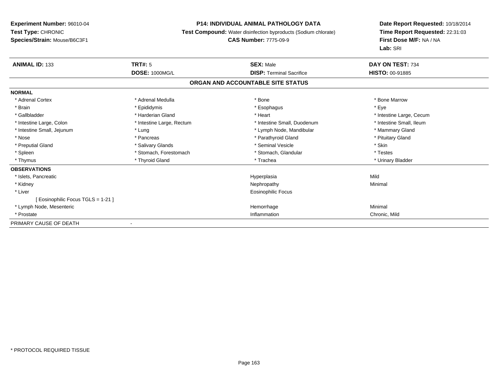## **P14: INDIVIDUAL ANIMAL PATHOLOGY DATA**

**Test Compound:** Water disinfection byproducts (Sodium chlorate)

# **CAS Number:** 7775-09-9

| <b>ANIMAL ID: 133</b>              | <b>TRT#: 5</b>            | <b>SEX: Male</b>                  | DAY ON TEST: 734         |
|------------------------------------|---------------------------|-----------------------------------|--------------------------|
|                                    | <b>DOSE: 1000MG/L</b>     | <b>DISP: Terminal Sacrifice</b>   | HISTO: 00-91885          |
|                                    |                           | ORGAN AND ACCOUNTABLE SITE STATUS |                          |
| <b>NORMAL</b>                      |                           |                                   |                          |
| * Adrenal Cortex                   | * Adrenal Medulla         | * Bone                            | * Bone Marrow            |
| * Brain                            | * Epididymis              | * Esophagus                       | * Eye                    |
| * Gallbladder                      | * Harderian Gland         | * Heart                           | * Intestine Large, Cecum |
| * Intestine Large, Colon           | * Intestine Large, Rectum | * Intestine Small, Duodenum       | * Intestine Small, Ileum |
| * Intestine Small, Jejunum         | * Lung                    | * Lymph Node, Mandibular          | * Mammary Gland          |
| * Nose                             | * Pancreas                | * Parathyroid Gland               | * Pituitary Gland        |
| * Preputial Gland                  | * Salivary Glands         | * Seminal Vesicle                 | * Skin                   |
| * Spleen                           | * Stomach, Forestomach    | * Stomach, Glandular              | * Testes                 |
| * Thymus                           | * Thyroid Gland           | * Trachea                         | * Urinary Bladder        |
| <b>OBSERVATIONS</b>                |                           |                                   |                          |
| * Islets, Pancreatic               |                           | Hyperplasia                       | Mild                     |
| * Kidney                           |                           | Nephropathy                       | Minimal                  |
| * Liver                            |                           | Eosinophilic Focus                |                          |
| [ Eosinophilic Focus TGLS = 1-21 ] |                           |                                   |                          |
| * Lymph Node, Mesenteric           |                           | Hemorrhage                        | Minimal                  |
| * Prostate                         |                           | Inflammation                      | Chronic, Mild            |
| PRIMARY CAUSE OF DEATH             |                           |                                   |                          |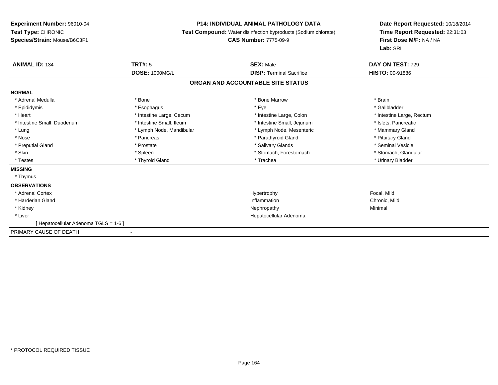#### **P14: INDIVIDUAL ANIMAL PATHOLOGY DATA**

**Test Compound:** Water disinfection byproducts (Sodium chlorate)

#### **CAS Number:** 7775-09-9

| <b>ANIMAL ID: 134</b>                 | TRT#: 5                  | <b>SEX: Male</b>                  | DAY ON TEST: 729          |
|---------------------------------------|--------------------------|-----------------------------------|---------------------------|
|                                       | <b>DOSE: 1000MG/L</b>    | <b>DISP: Terminal Sacrifice</b>   | <b>HISTO: 00-91886</b>    |
|                                       |                          | ORGAN AND ACCOUNTABLE SITE STATUS |                           |
| <b>NORMAL</b>                         |                          |                                   |                           |
| * Adrenal Medulla                     | * Bone                   | * Bone Marrow                     | * Brain                   |
| * Epididymis                          | * Esophagus              | * Eye                             | * Gallbladder             |
| * Heart                               | * Intestine Large, Cecum | * Intestine Large, Colon          | * Intestine Large, Rectum |
| * Intestine Small, Duodenum           | * Intestine Small, Ileum | * Intestine Small, Jejunum        | * Islets, Pancreatic      |
| * Lung                                | * Lymph Node, Mandibular | * Lymph Node, Mesenteric          | * Mammary Gland           |
| * Nose                                | * Pancreas               | * Parathyroid Gland               | * Pituitary Gland         |
| * Preputial Gland                     | * Prostate               | * Salivary Glands                 | * Seminal Vesicle         |
| * Skin                                | * Spleen                 | * Stomach, Forestomach            | * Stomach, Glandular      |
| * Testes                              | * Thyroid Gland          | * Trachea                         | * Urinary Bladder         |
| <b>MISSING</b>                        |                          |                                   |                           |
| * Thymus                              |                          |                                   |                           |
| <b>OBSERVATIONS</b>                   |                          |                                   |                           |
| * Adrenal Cortex                      |                          | Hypertrophy                       | Focal, Mild               |
| * Harderian Gland                     |                          | Inflammation                      | Chronic, Mild             |
| * Kidney                              |                          | Nephropathy                       | Minimal                   |
| * Liver                               |                          | Hepatocellular Adenoma            |                           |
| [ Hepatocellular Adenoma TGLS = 1-6 ] |                          |                                   |                           |
| PRIMARY CAUSE OF DEATH                |                          |                                   |                           |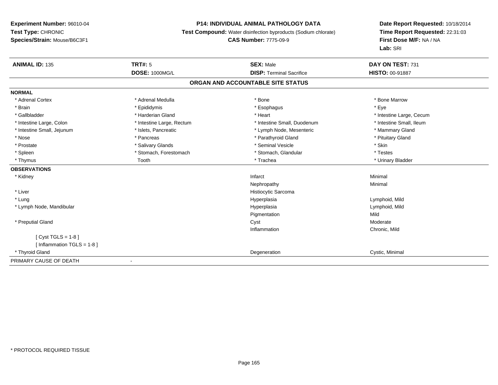## **P14: INDIVIDUAL ANIMAL PATHOLOGY DATA**

**Test Compound:** Water disinfection byproducts (Sodium chlorate)

**CAS Number:** 7775-09-9

| <b>ANIMAL ID: 135</b>        | <b>TRT#: 5</b>            | <b>SEX: Male</b>                  | DAY ON TEST: 731         |
|------------------------------|---------------------------|-----------------------------------|--------------------------|
|                              | <b>DOSE: 1000MG/L</b>     | <b>DISP: Terminal Sacrifice</b>   | <b>HISTO: 00-91887</b>   |
|                              |                           | ORGAN AND ACCOUNTABLE SITE STATUS |                          |
| <b>NORMAL</b>                |                           |                                   |                          |
| * Adrenal Cortex             | * Adrenal Medulla         | * Bone                            | * Bone Marrow            |
| * Brain                      | * Epididymis              | * Esophagus                       | * Eye                    |
| * Gallbladder                | * Harderian Gland         | * Heart                           | * Intestine Large, Cecum |
| * Intestine Large, Colon     | * Intestine Large, Rectum | * Intestine Small, Duodenum       | * Intestine Small, Ileum |
| * Intestine Small, Jejunum   | * Islets, Pancreatic      | * Lymph Node, Mesenteric          | * Mammary Gland          |
| * Nose                       | * Pancreas                | * Parathyroid Gland               | * Pituitary Gland        |
| * Prostate                   | * Salivary Glands         | * Seminal Vesicle                 | * Skin                   |
| * Spleen                     | * Stomach, Forestomach    | * Stomach, Glandular              | * Testes                 |
| * Thymus                     | Tooth                     | * Trachea                         | * Urinary Bladder        |
| <b>OBSERVATIONS</b>          |                           |                                   |                          |
| * Kidney                     |                           | Infarct                           | Minimal                  |
|                              |                           | Nephropathy                       | Minimal                  |
| * Liver                      |                           | Histiocytic Sarcoma               |                          |
| * Lung                       |                           | Hyperplasia                       | Lymphoid, Mild           |
| * Lymph Node, Mandibular     |                           | Hyperplasia                       | Lymphoid, Mild           |
|                              |                           | Pigmentation                      | Mild                     |
| * Preputial Gland            |                           | Cyst                              | Moderate                 |
|                              |                           | Inflammation                      | Chronic, Mild            |
| [ $Cyst TGLS = 1-8$ ]        |                           |                                   |                          |
| [Inflammation TGLS = $1-8$ ] |                           |                                   |                          |
| * Thyroid Gland              |                           | Degeneration                      | Cystic, Minimal          |
| PRIMARY CAUSE OF DEATH       |                           |                                   |                          |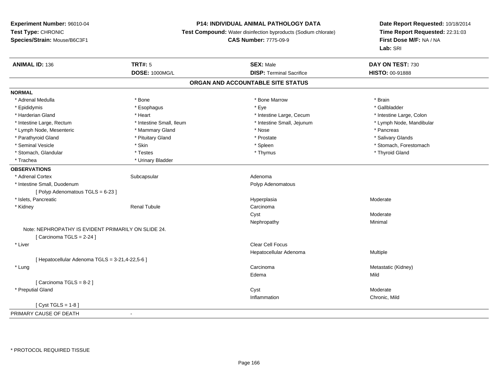### **P14: INDIVIDUAL ANIMAL PATHOLOGY DATA**

**Test Compound:** Water disinfection byproducts (Sodium chlorate)

**CAS Number:** 7775-09-9

| <b>ANIMAL ID: 136</b>                               | <b>TRT#: 5</b>           | <b>SEX: Male</b>                  | DAY ON TEST: 730         |
|-----------------------------------------------------|--------------------------|-----------------------------------|--------------------------|
|                                                     | DOSE: 1000MG/L           | <b>DISP: Terminal Sacrifice</b>   | HISTO: 00-91888          |
|                                                     |                          | ORGAN AND ACCOUNTABLE SITE STATUS |                          |
| <b>NORMAL</b>                                       |                          |                                   |                          |
| * Adrenal Medulla                                   | * Bone                   | * Bone Marrow                     | * Brain                  |
| * Epididymis                                        | * Esophagus              | * Eye                             | * Gallbladder            |
| * Harderian Gland                                   | * Heart                  | * Intestine Large, Cecum          | * Intestine Large, Colon |
| * Intestine Large, Rectum                           | * Intestine Small, Ileum | * Intestine Small, Jejunum        | * Lymph Node, Mandibular |
| * Lymph Node, Mesenteric                            | * Mammary Gland          | * Nose                            | * Pancreas               |
| * Parathyroid Gland                                 | * Pituitary Gland        | * Prostate                        | * Salivary Glands        |
| * Seminal Vesicle                                   | * Skin                   | * Spleen                          | * Stomach, Forestomach   |
| * Stomach, Glandular                                | * Testes                 | * Thymus                          | * Thyroid Gland          |
| * Trachea                                           | * Urinary Bladder        |                                   |                          |
| <b>OBSERVATIONS</b>                                 |                          |                                   |                          |
| * Adrenal Cortex                                    | Subcapsular              | Adenoma                           |                          |
| * Intestine Small, Duodenum                         |                          | Polyp Adenomatous                 |                          |
| [Polyp Adenomatous TGLS = 6-23]                     |                          |                                   |                          |
| * Islets, Pancreatic                                |                          | Hyperplasia                       | Moderate                 |
| * Kidney                                            | <b>Renal Tubule</b>      | Carcinoma                         |                          |
|                                                     |                          | Cyst                              | Moderate                 |
|                                                     |                          | Nephropathy                       | Minimal                  |
| Note: NEPHROPATHY IS EVIDENT PRIMARILY ON SLIDE 24. |                          |                                   |                          |
| [Carcinoma TGLS = $2-24$ ]                          |                          |                                   |                          |
| * Liver                                             |                          | <b>Clear Cell Focus</b>           |                          |
|                                                     |                          | Hepatocellular Adenoma            | Multiple                 |
| [ Hepatocellular Adenoma TGLS = 3-21,4-22,5-6 ]     |                          |                                   |                          |
| * Lung                                              |                          | Carcinoma                         | Metastatic (Kidney)      |
|                                                     |                          | Edema                             | Mild                     |
| [Carcinoma TGLS = 8-2]                              |                          |                                   |                          |
| * Preputial Gland                                   |                          | Cyst                              | Moderate                 |
|                                                     |                          | Inflammation                      | Chronic, Mild            |
| [Cyst TGLS = $1-8$ ]                                |                          |                                   |                          |
| PRIMARY CAUSE OF DEATH                              | $\blacksquare$           |                                   |                          |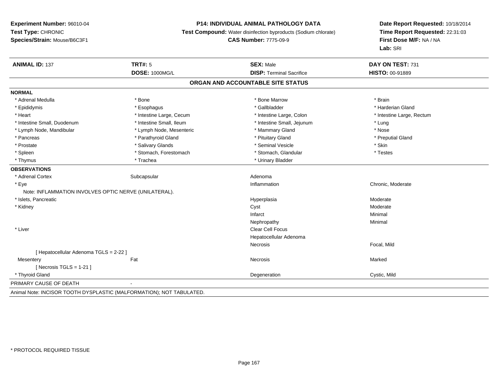## **P14: INDIVIDUAL ANIMAL PATHOLOGY DATA**

**Test Compound:** Water disinfection byproducts (Sodium chlorate)

**CAS Number:** 7775-09-9

| <b>ANIMAL ID: 137</b>                                                | <b>TRT#: 5</b>           | <b>SEX: Male</b>                  | DAY ON TEST: 731          |
|----------------------------------------------------------------------|--------------------------|-----------------------------------|---------------------------|
|                                                                      | <b>DOSE: 1000MG/L</b>    | <b>DISP: Terminal Sacrifice</b>   | <b>HISTO: 00-91889</b>    |
|                                                                      |                          | ORGAN AND ACCOUNTABLE SITE STATUS |                           |
| <b>NORMAL</b>                                                        |                          |                                   |                           |
| * Adrenal Medulla                                                    | * Bone                   | * Bone Marrow                     | * Brain                   |
| * Epididymis                                                         | * Esophagus              | * Gallbladder                     | * Harderian Gland         |
| * Heart                                                              | * Intestine Large, Cecum | * Intestine Large, Colon          | * Intestine Large, Rectum |
| * Intestine Small, Duodenum                                          | * Intestine Small, Ileum | * Intestine Small, Jejunum        | * Lung                    |
| * Lymph Node, Mandibular                                             | * Lymph Node, Mesenteric | * Mammary Gland                   | * Nose                    |
| * Pancreas                                                           | * Parathyroid Gland      | * Pituitary Gland                 | * Preputial Gland         |
| * Prostate                                                           | * Salivary Glands        | * Seminal Vesicle                 | * Skin                    |
| * Spleen                                                             | * Stomach, Forestomach   | * Stomach, Glandular              | * Testes                  |
| * Thymus                                                             | * Trachea                | * Urinary Bladder                 |                           |
| <b>OBSERVATIONS</b>                                                  |                          |                                   |                           |
| * Adrenal Cortex                                                     | Subcapsular              | Adenoma                           |                           |
| * Eye                                                                |                          | Inflammation                      | Chronic, Moderate         |
| Note: INFLAMMATION INVOLVES OPTIC NERVE (UNILATERAL).                |                          |                                   |                           |
| * Islets, Pancreatic                                                 |                          | Hyperplasia                       | Moderate                  |
| * Kidney                                                             |                          | Cyst                              | Moderate                  |
|                                                                      |                          | Infarct                           | Minimal                   |
|                                                                      |                          | Nephropathy                       | Minimal                   |
| * Liver                                                              |                          | <b>Clear Cell Focus</b>           |                           |
|                                                                      |                          | Hepatocellular Adenoma            |                           |
|                                                                      |                          | <b>Necrosis</b>                   | Focal, Mild               |
| [ Hepatocellular Adenoma TGLS = 2-22 ]                               |                          |                                   |                           |
| Mesentery                                                            | Fat                      | Necrosis                          | Marked                    |
| [ Necrosis $TGLS = 1-21$ ]                                           |                          |                                   |                           |
| * Thyroid Gland                                                      |                          | Degeneration                      | Cystic, Mild              |
| PRIMARY CAUSE OF DEATH                                               |                          |                                   |                           |
| Animal Note: INCISOR TOOTH DYSPLASTIC (MALFORMATION); NOT TABULATED. |                          |                                   |                           |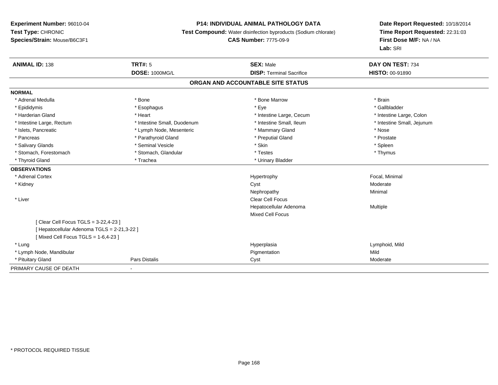## **P14: INDIVIDUAL ANIMAL PATHOLOGY DATA**

**Test Compound:** Water disinfection byproducts (Sodium chlorate)

**CAS Number:** 7775-09-9

| <b>ANIMAL ID: 138</b>                       | <b>TRT#: 5</b>              | <b>SEX: Male</b>                  | DAY ON TEST: 734           |
|---------------------------------------------|-----------------------------|-----------------------------------|----------------------------|
|                                             | <b>DOSE: 1000MG/L</b>       | <b>DISP: Terminal Sacrifice</b>   | <b>HISTO: 00-91890</b>     |
|                                             |                             | ORGAN AND ACCOUNTABLE SITE STATUS |                            |
| <b>NORMAL</b>                               |                             |                                   |                            |
| * Adrenal Medulla                           | * Bone                      | * Bone Marrow                     | * Brain                    |
| * Epididymis                                | * Esophagus                 | * Eye                             | * Gallbladder              |
| * Harderian Gland                           | * Heart                     | * Intestine Large, Cecum          | * Intestine Large, Colon   |
| * Intestine Large, Rectum                   | * Intestine Small, Duodenum | * Intestine Small, Ileum          | * Intestine Small, Jejunum |
| * Islets, Pancreatic                        | * Lymph Node, Mesenteric    | * Mammary Gland                   | * Nose                     |
| * Pancreas                                  | * Parathyroid Gland         | * Preputial Gland                 | * Prostate                 |
| * Salivary Glands                           | * Seminal Vesicle           | * Skin                            | * Spleen                   |
| * Stomach, Forestomach                      | * Stomach, Glandular        | * Testes                          | * Thymus                   |
| * Thyroid Gland                             | * Trachea                   | * Urinary Bladder                 |                            |
| <b>OBSERVATIONS</b>                         |                             |                                   |                            |
| * Adrenal Cortex                            |                             | Hypertrophy                       | Focal, Minimal             |
| * Kidney                                    |                             | Cyst                              | Moderate                   |
|                                             |                             | Nephropathy                       | Minimal                    |
| * Liver                                     |                             | <b>Clear Cell Focus</b>           |                            |
|                                             |                             | Hepatocellular Adenoma            | Multiple                   |
|                                             |                             | <b>Mixed Cell Focus</b>           |                            |
| [ Clear Cell Focus TGLS = 3-22,4-23 ]       |                             |                                   |                            |
| [ Hepatocellular Adenoma TGLS = 2-21,3-22 ] |                             |                                   |                            |
| [Mixed Cell Focus TGLS = 1-6,4-23]          |                             |                                   |                            |
| * Lung                                      |                             | Hyperplasia                       | Lymphoid, Mild             |
| * Lymph Node, Mandibular                    |                             | Pigmentation                      | Mild                       |
| * Pituitary Gland                           | Pars Distalis               | Cyst                              | Moderate                   |
| PRIMARY CAUSE OF DEATH                      |                             |                                   |                            |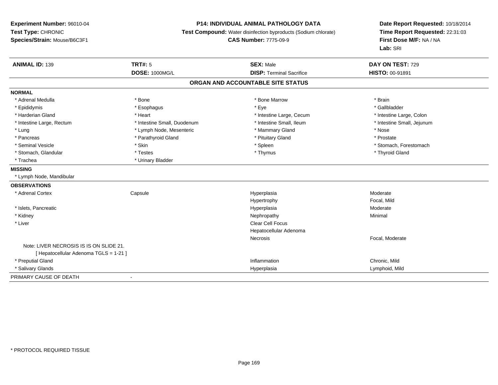## **P14: INDIVIDUAL ANIMAL PATHOLOGY DATA**

**Test Compound:** Water disinfection byproducts (Sodium chlorate)

**CAS Number:** 7775-09-9

| <b>ANIMAL ID: 139</b>                   | <b>TRT#: 5</b>              | <b>SEX: Male</b>                | DAY ON TEST: 729           |  |  |
|-----------------------------------------|-----------------------------|---------------------------------|----------------------------|--|--|
|                                         | <b>DOSE: 1000MG/L</b>       | <b>DISP: Terminal Sacrifice</b> | <b>HISTO: 00-91891</b>     |  |  |
| ORGAN AND ACCOUNTABLE SITE STATUS       |                             |                                 |                            |  |  |
| <b>NORMAL</b>                           |                             |                                 |                            |  |  |
| * Adrenal Medulla                       | * Bone                      | * Bone Marrow                   | * Brain                    |  |  |
| * Epididymis                            | * Esophagus                 | * Eye                           | * Gallbladder              |  |  |
| * Harderian Gland                       | * Heart                     | * Intestine Large, Cecum        | * Intestine Large, Colon   |  |  |
| * Intestine Large, Rectum               | * Intestine Small, Duodenum | * Intestine Small, Ileum        | * Intestine Small, Jejunum |  |  |
| * Lung                                  | * Lymph Node, Mesenteric    | * Mammary Gland                 | * Nose                     |  |  |
| * Pancreas                              | * Parathyroid Gland         | * Pituitary Gland               | * Prostate                 |  |  |
| * Seminal Vesicle                       | * Skin                      | * Spleen                        | * Stomach, Forestomach     |  |  |
| * Stomach, Glandular                    | * Testes                    | * Thymus                        | * Thyroid Gland            |  |  |
| * Trachea                               | * Urinary Bladder           |                                 |                            |  |  |
| <b>MISSING</b>                          |                             |                                 |                            |  |  |
| * Lymph Node, Mandibular                |                             |                                 |                            |  |  |
| <b>OBSERVATIONS</b>                     |                             |                                 |                            |  |  |
| * Adrenal Cortex                        | Capsule                     | Hyperplasia                     | Moderate                   |  |  |
|                                         |                             | Hypertrophy                     | Focal, Mild                |  |  |
| * Islets, Pancreatic                    |                             | Hyperplasia                     | Moderate                   |  |  |
| * Kidney                                |                             | Nephropathy                     | Minimal                    |  |  |
| * Liver                                 |                             | <b>Clear Cell Focus</b>         |                            |  |  |
|                                         |                             | Hepatocellular Adenoma          |                            |  |  |
|                                         |                             | Necrosis                        | Focal, Moderate            |  |  |
| Note: LIVER NECROSIS IS IS ON SLIDE 21. |                             |                                 |                            |  |  |
| [ Hepatocellular Adenoma TGLS = 1-21 ]  |                             |                                 |                            |  |  |
| * Preputial Gland                       |                             | Inflammation                    | Chronic, Mild              |  |  |
| * Salivary Glands                       |                             | Hyperplasia                     | Lymphoid, Mild             |  |  |
| PRIMARY CAUSE OF DEATH                  | $\blacksquare$              |                                 |                            |  |  |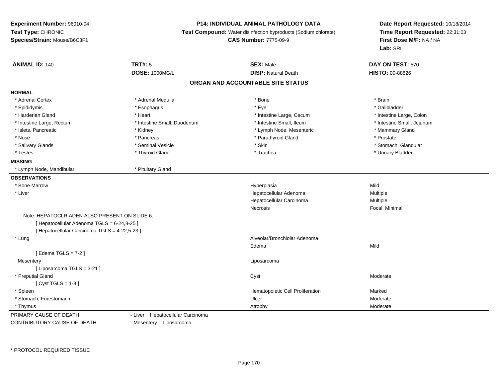#### **P14: INDIVIDUAL ANIMAL PATHOLOGY DATA**

**Test Compound:** Water disinfection byproducts (Sodium chlorate)

#### **CAS Number:** 7775-09-9

**Date Report Requested:** 10/18/2014**Time Report Requested:** 22:31:03**First Dose M/F:** NA / NA**Lab:** SRI

| <b>ANIMAL ID: 140</b>                         | <b>TRT#: 5</b>                   | <b>SEX: Male</b>                  | DAY ON TEST: 570           |  |
|-----------------------------------------------|----------------------------------|-----------------------------------|----------------------------|--|
|                                               | <b>DOSE: 1000MG/L</b>            | <b>DISP: Natural Death</b>        | HISTO: 00-88826            |  |
|                                               |                                  | ORGAN AND ACCOUNTABLE SITE STATUS |                            |  |
| <b>NORMAL</b>                                 |                                  |                                   |                            |  |
| * Adrenal Cortex                              | * Adrenal Medulla                | * Bone                            | * Brain                    |  |
| * Epididymis                                  | * Esophagus                      | * Eye                             | * Gallbladder              |  |
| * Harderian Gland                             | * Heart                          | * Intestine Large, Cecum          | * Intestine Large, Colon   |  |
| * Intestine Large, Rectum                     | * Intestine Small, Duodenum      | * Intestine Small, Ileum          | * Intestine Small, Jejunum |  |
| * Islets, Pancreatic                          | * Kidney                         | * Lymph Node, Mesenteric          | * Mammary Gland            |  |
| * Nose                                        | * Pancreas                       | * Parathyroid Gland               | * Prostate                 |  |
| * Salivary Glands                             | * Seminal Vesicle                | * Skin                            | * Stomach, Glandular       |  |
| * Testes                                      | * Thyroid Gland                  | * Trachea                         | * Urinary Bladder          |  |
| <b>MISSING</b>                                |                                  |                                   |                            |  |
| * Lymph Node, Mandibular                      | * Pituitary Gland                |                                   |                            |  |
| <b>OBSERVATIONS</b>                           |                                  |                                   |                            |  |
| * Bone Marrow                                 |                                  | Hyperplasia                       | Mild                       |  |
| * Liver                                       |                                  | Hepatocellular Adenoma            | Multiple                   |  |
|                                               |                                  | Hepatocellular Carcinoma          | Multiple                   |  |
|                                               |                                  | Necrosis                          | Focal, Minimal             |  |
| Note: HEPATOCLR ADEN ALSO PRESENT ON SLIDE 6. |                                  |                                   |                            |  |
| [ Hepatocellular Adenoma TGLS = 6-24,8-25 ]   |                                  |                                   |                            |  |
| [ Hepatocellular Carcinoma TGLS = 4-22,5-23 ] |                                  |                                   |                            |  |
| * Lung                                        |                                  | Alveolar/Bronchiolar Adenoma      |                            |  |
|                                               |                                  | Edema                             | Mild                       |  |
| [ Edema TGLS = 7-2 ]                          |                                  |                                   |                            |  |
| Mesentery                                     |                                  | Liposarcoma                       |                            |  |
| [ Liposarcoma TGLS = 3-21 ]                   |                                  |                                   |                            |  |
| * Preputial Gland                             |                                  | Cyst                              | Moderate                   |  |
| [ $Cyst TGLS = 1-8$ ]                         |                                  |                                   |                            |  |
| * Spleen                                      |                                  | Hematopoietic Cell Proliferation  | Marked                     |  |
| * Stomach, Forestomach                        |                                  | Ulcer                             | Moderate                   |  |
| * Thymus                                      |                                  | Atrophy                           | Moderate                   |  |
| PRIMARY CAUSE OF DEATH                        | - Liver Hepatocellular Carcinoma |                                   |                            |  |

CONTRIBUTORY CAUSE OF DEATH

- Liver Hepatocellular Carcinoma

- Mesentery Liposarcoma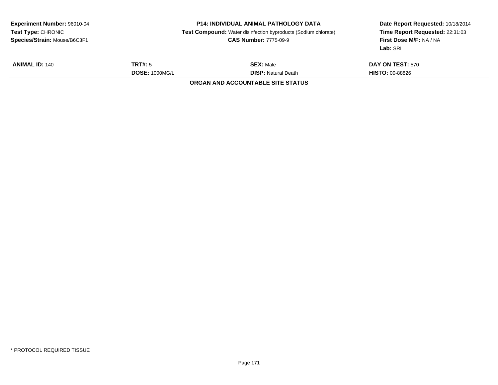| <b>Experiment Number: 96010-04</b><br>Test Type: CHRONIC<br>Species/Strain: Mouse/B6C3F1 | <b>P14: INDIVIDUAL ANIMAL PATHOLOGY DATA</b><br><b>Test Compound:</b> Water disinfection byproducts (Sodium chlorate)<br><b>CAS Number: 7775-09-9</b> |                                   | Date Report Requested: 10/18/2014<br>Time Report Requested: 22:31:03<br>First Dose M/F: NA / NA<br>Lab: SRI |
|------------------------------------------------------------------------------------------|-------------------------------------------------------------------------------------------------------------------------------------------------------|-----------------------------------|-------------------------------------------------------------------------------------------------------------|
| <b>ANIMAL ID: 140</b>                                                                    | TRT#: 5<br><b>SEX: Male</b><br><b>DOSE: 1000MG/L</b><br><b>DISP:</b> Natural Death                                                                    |                                   | <b>DAY ON TEST: 570</b><br><b>HISTO: 00-88826</b>                                                           |
|                                                                                          |                                                                                                                                                       | ORGAN AND ACCOUNTABLE SITE STATUS |                                                                                                             |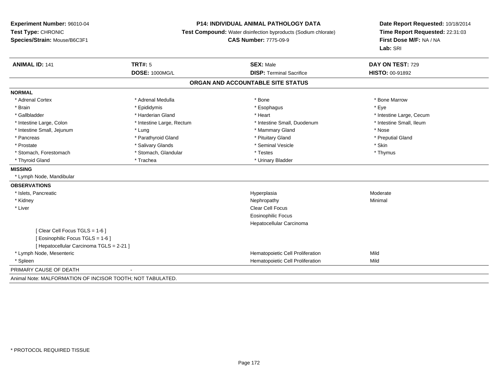#### **P14: INDIVIDUAL ANIMAL PATHOLOGY DATA**

**Test Compound:** Water disinfection byproducts (Sodium chlorate)

**CAS Number:** 7775-09-9

| <b>ANIMAL ID: 141</b>                                      | TRT#: 5                   | <b>SEX: Male</b>                  | DAY ON TEST: 729         |
|------------------------------------------------------------|---------------------------|-----------------------------------|--------------------------|
|                                                            | <b>DOSE: 1000MG/L</b>     | <b>DISP: Terminal Sacrifice</b>   | <b>HISTO: 00-91892</b>   |
|                                                            |                           | ORGAN AND ACCOUNTABLE SITE STATUS |                          |
| <b>NORMAL</b>                                              |                           |                                   |                          |
| * Adrenal Cortex                                           | * Adrenal Medulla         | * Bone                            | * Bone Marrow            |
| * Brain                                                    | * Epididymis              | * Esophagus                       | * Eye                    |
| * Gallbladder                                              | * Harderian Gland         | * Heart                           | * Intestine Large, Cecum |
| * Intestine Large, Colon                                   | * Intestine Large, Rectum | * Intestine Small, Duodenum       | * Intestine Small, Ileum |
| * Intestine Small, Jejunum                                 | * Lung                    | * Mammary Gland                   | * Nose                   |
| * Pancreas                                                 | * Parathyroid Gland       | * Pituitary Gland                 | * Preputial Gland        |
| * Prostate                                                 | * Salivary Glands         | * Seminal Vesicle                 | * Skin                   |
| * Stomach, Forestomach                                     | * Stomach, Glandular      | * Testes                          | * Thymus                 |
| * Thyroid Gland                                            | * Trachea                 | * Urinary Bladder                 |                          |
| <b>MISSING</b>                                             |                           |                                   |                          |
| * Lymph Node, Mandibular                                   |                           |                                   |                          |
| <b>OBSERVATIONS</b>                                        |                           |                                   |                          |
| * Islets, Pancreatic                                       |                           | Hyperplasia                       | Moderate                 |
| * Kidney                                                   |                           | Nephropathy                       | Minimal                  |
| * Liver                                                    |                           | <b>Clear Cell Focus</b>           |                          |
|                                                            |                           | <b>Eosinophilic Focus</b>         |                          |
|                                                            |                           | Hepatocellular Carcinoma          |                          |
| [Clear Cell Focus TGLS = 1-6]                              |                           |                                   |                          |
| [ Eosinophilic Focus TGLS = 1-6 ]                          |                           |                                   |                          |
| [ Hepatocellular Carcinoma TGLS = 2-21 ]                   |                           |                                   |                          |
| * Lymph Node, Mesenteric                                   |                           | Hematopoietic Cell Proliferation  | Mild                     |
| * Spleen                                                   |                           | Hematopoietic Cell Proliferation  | Mild                     |
| PRIMARY CAUSE OF DEATH                                     |                           |                                   |                          |
| Animal Note: MALFORMATION OF INCISOR TOOTH; NOT TABULATED. |                           |                                   |                          |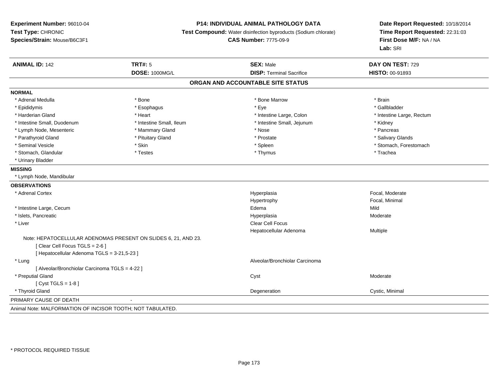## **P14: INDIVIDUAL ANIMAL PATHOLOGY DATA**

**Test Compound:** Water disinfection byproducts (Sodium chlorate)

**CAS Number:** 7775-09-9

| <b>ANIMAL ID: 142</b>                                          | <b>TRT#: 5</b>           | <b>SEX: Male</b>                  | DAY ON TEST: 729          |
|----------------------------------------------------------------|--------------------------|-----------------------------------|---------------------------|
|                                                                | <b>DOSE: 1000MG/L</b>    | <b>DISP: Terminal Sacrifice</b>   | <b>HISTO: 00-91893</b>    |
|                                                                |                          | ORGAN AND ACCOUNTABLE SITE STATUS |                           |
| <b>NORMAL</b>                                                  |                          |                                   |                           |
| * Adrenal Medulla                                              | * Bone                   | * Bone Marrow                     | * Brain                   |
| * Epididymis                                                   | * Esophagus              | * Eye                             | * Gallbladder             |
| * Harderian Gland                                              | * Heart                  | * Intestine Large, Colon          | * Intestine Large, Rectum |
| * Intestine Small, Duodenum                                    | * Intestine Small, Ileum | * Intestine Small, Jejunum        | * Kidney                  |
| * Lymph Node, Mesenteric                                       | * Mammary Gland          | * Nose                            | * Pancreas                |
| * Parathyroid Gland                                            | * Pituitary Gland        | * Prostate                        | * Salivary Glands         |
| * Seminal Vesicle                                              | * Skin                   | * Spleen                          | * Stomach, Forestomach    |
| * Stomach, Glandular                                           | * Testes                 | * Thymus                          | * Trachea                 |
| * Urinary Bladder                                              |                          |                                   |                           |
| <b>MISSING</b>                                                 |                          |                                   |                           |
| * Lymph Node, Mandibular                                       |                          |                                   |                           |
| <b>OBSERVATIONS</b>                                            |                          |                                   |                           |
| * Adrenal Cortex                                               |                          | Hyperplasia                       | Focal, Moderate           |
|                                                                |                          | Hypertrophy                       | Focal, Minimal            |
| * Intestine Large, Cecum                                       |                          | Edema                             | Mild                      |
| * Islets, Pancreatic                                           |                          | Hyperplasia                       | Moderate                  |
| * Liver                                                        |                          | Clear Cell Focus                  |                           |
|                                                                |                          | Hepatocellular Adenoma            | Multiple                  |
| Note: HEPATOCELLULAR ADENOMAS PRESENT ON SLIDES 6, 21, AND 23. |                          |                                   |                           |
| [Clear Cell Focus TGLS = 2-6]                                  |                          |                                   |                           |
| [ Hepatocellular Adenoma TGLS = 3-21,5-23 ]                    |                          |                                   |                           |
| * Lung                                                         |                          | Alveolar/Bronchiolar Carcinoma    |                           |
| [ Alveolar/Bronchiolar Carcinoma TGLS = 4-22 ]                 |                          |                                   |                           |
| * Preputial Gland                                              |                          | Cyst                              | Moderate                  |
| [Cyst TGLS = $1-8$ ]                                           |                          |                                   |                           |
| * Thyroid Gland                                                |                          | Degeneration                      | Cystic, Minimal           |
| PRIMARY CAUSE OF DEATH                                         |                          |                                   |                           |
| Animal Note: MALFORMATION OF INCISOR TOOTH: NOT TABULATED.     |                          |                                   |                           |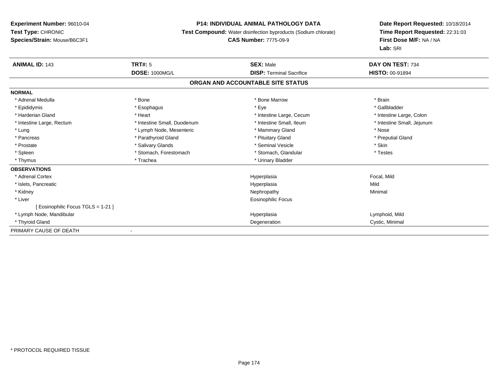### **P14: INDIVIDUAL ANIMAL PATHOLOGY DATA**

**Test Compound:** Water disinfection byproducts (Sodium chlorate)

**CAS Number:** 7775-09-9

| <b>ANIMAL ID: 143</b>              | TRT#: 5<br><b>DOSE: 1000MG/L</b> | <b>SEX: Male</b><br><b>DISP: Terminal Sacrifice</b> | DAY ON TEST: 734           |
|------------------------------------|----------------------------------|-----------------------------------------------------|----------------------------|
|                                    |                                  |                                                     | <b>HISTO: 00-91894</b>     |
|                                    |                                  | ORGAN AND ACCOUNTABLE SITE STATUS                   |                            |
| <b>NORMAL</b>                      |                                  |                                                     |                            |
| * Adrenal Medulla                  | * Bone                           | * Bone Marrow                                       | * Brain                    |
| * Epididymis                       | * Esophagus                      | * Eye                                               | * Gallbladder              |
| * Harderian Gland                  | * Heart                          | * Intestine Large, Cecum                            | * Intestine Large, Colon   |
| * Intestine Large, Rectum          | * Intestine Small, Duodenum      | * Intestine Small, Ileum                            | * Intestine Small, Jejunum |
| * Lung                             | * Lymph Node, Mesenteric         | * Mammary Gland                                     | * Nose                     |
| * Pancreas                         | * Parathyroid Gland              | * Pituitary Gland                                   | * Preputial Gland          |
| * Prostate                         | * Salivary Glands                | * Seminal Vesicle                                   | * Skin                     |
| * Spleen                           | * Stomach, Forestomach           | * Stomach, Glandular                                | * Testes                   |
| * Thymus                           | * Trachea                        | * Urinary Bladder                                   |                            |
| <b>OBSERVATIONS</b>                |                                  |                                                     |                            |
| * Adrenal Cortex                   |                                  | Hyperplasia                                         | Focal, Mild                |
| * Islets, Pancreatic               |                                  | Hyperplasia                                         | Mild                       |
| * Kidney                           |                                  | Nephropathy                                         | Minimal                    |
| * Liver                            |                                  | Eosinophilic Focus                                  |                            |
| [ Eosinophilic Focus TGLS = 1-21 ] |                                  |                                                     |                            |
| * Lymph Node, Mandibular           |                                  | Hyperplasia                                         | Lymphoid, Mild             |
| * Thyroid Gland                    |                                  | Degeneration                                        | Cystic, Minimal            |
| PRIMARY CAUSE OF DEATH             |                                  |                                                     |                            |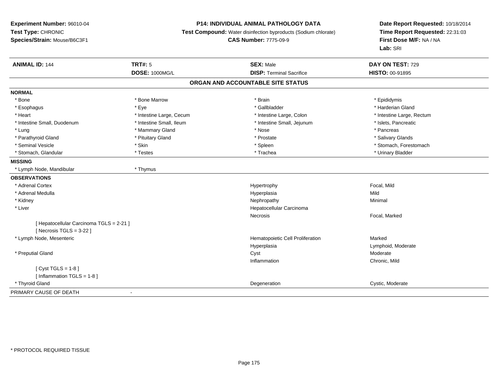## **P14: INDIVIDUAL ANIMAL PATHOLOGY DATA**

**Test Compound:** Water disinfection byproducts (Sodium chlorate)

**CAS Number:** 7775-09-9

| <b>ANIMAL ID: 144</b>                                                  | <b>TRT#: 5</b>           | <b>SEX: Male</b>                  | DAY ON TEST: 729          |
|------------------------------------------------------------------------|--------------------------|-----------------------------------|---------------------------|
|                                                                        | <b>DOSE: 1000MG/L</b>    | <b>DISP: Terminal Sacrifice</b>   | <b>HISTO: 00-91895</b>    |
|                                                                        |                          | ORGAN AND ACCOUNTABLE SITE STATUS |                           |
| <b>NORMAL</b>                                                          |                          |                                   |                           |
| * Bone                                                                 | * Bone Marrow            | * Brain                           | * Epididymis              |
| * Esophagus                                                            | * Eye                    | * Gallbladder                     | * Harderian Gland         |
| * Heart                                                                | * Intestine Large, Cecum | * Intestine Large, Colon          | * Intestine Large, Rectum |
| * Intestine Small, Duodenum                                            | * Intestine Small, Ileum | * Intestine Small, Jejunum        | * Islets, Pancreatic      |
| * Lung                                                                 | * Mammary Gland          | * Nose                            | * Pancreas                |
| * Parathyroid Gland                                                    | * Pituitary Gland        | * Prostate                        | * Salivary Glands         |
| * Seminal Vesicle                                                      | * Skin                   | * Spleen                          | * Stomach, Forestomach    |
| * Stomach, Glandular                                                   | * Testes                 | * Trachea                         | * Urinary Bladder         |
| <b>MISSING</b>                                                         |                          |                                   |                           |
| * Lymph Node, Mandibular                                               | * Thymus                 |                                   |                           |
| <b>OBSERVATIONS</b>                                                    |                          |                                   |                           |
| * Adrenal Cortex                                                       |                          | Hypertrophy                       | Focal, Mild               |
| * Adrenal Medulla                                                      |                          | Hyperplasia                       | Mild                      |
| * Kidney                                                               |                          | Nephropathy                       | Minimal                   |
| * Liver                                                                |                          | Hepatocellular Carcinoma          |                           |
|                                                                        |                          | Necrosis                          | Focal, Marked             |
| [ Hepatocellular Carcinoma TGLS = 2-21 ]<br>[ Necrosis TGLS = $3-22$ ] |                          |                                   |                           |
| * Lymph Node, Mesenteric                                               |                          | Hematopoietic Cell Proliferation  | Marked                    |
|                                                                        |                          | Hyperplasia                       | Lymphoid, Moderate        |
| * Preputial Gland                                                      |                          | Cyst                              | Moderate                  |
|                                                                        |                          | Inflammation                      | Chronic, Mild             |
| [Cyst TGLS = $1-8$ ]                                                   |                          |                                   |                           |
| [Inflammation TGLS = $1-8$ ]                                           |                          |                                   |                           |
| * Thyroid Gland                                                        |                          | Degeneration                      | Cystic, Moderate          |
| PRIMARY CAUSE OF DEATH                                                 |                          |                                   |                           |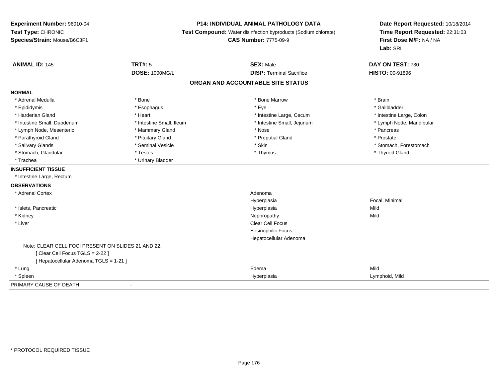### **P14: INDIVIDUAL ANIMAL PATHOLOGY DATA**

**Test Compound:** Water disinfection byproducts (Sodium chlorate)

**CAS Number:** 7775-09-9

| <b>ANIMAL ID: 145</b>                              | <b>TRT#: 5</b>           | <b>SEX: Male</b>                  | DAY ON TEST: 730         |
|----------------------------------------------------|--------------------------|-----------------------------------|--------------------------|
|                                                    | <b>DOSE: 1000MG/L</b>    | <b>DISP: Terminal Sacrifice</b>   | <b>HISTO: 00-91896</b>   |
|                                                    |                          | ORGAN AND ACCOUNTABLE SITE STATUS |                          |
| <b>NORMAL</b>                                      |                          |                                   |                          |
| * Adrenal Medulla                                  | * Bone                   | * Bone Marrow                     | * Brain                  |
| * Epididymis                                       | * Esophagus              | * Eye                             | * Gallbladder            |
| * Harderian Gland                                  | * Heart                  | * Intestine Large, Cecum          | * Intestine Large, Colon |
| * Intestine Small, Duodenum                        | * Intestine Small, Ileum | * Intestine Small, Jejunum        | * Lymph Node, Mandibular |
| * Lymph Node, Mesenteric                           | * Mammary Gland          | * Nose                            | * Pancreas               |
| * Parathyroid Gland                                | * Pituitary Gland        | * Preputial Gland                 | * Prostate               |
| * Salivary Glands                                  | * Seminal Vesicle        | * Skin                            | * Stomach, Forestomach   |
| * Stomach, Glandular                               | * Testes                 | * Thymus                          | * Thyroid Gland          |
| * Trachea                                          | * Urinary Bladder        |                                   |                          |
| <b>INSUFFICIENT TISSUE</b>                         |                          |                                   |                          |
| * Intestine Large, Rectum                          |                          |                                   |                          |
| <b>OBSERVATIONS</b>                                |                          |                                   |                          |
| * Adrenal Cortex                                   |                          | Adenoma                           |                          |
|                                                    |                          | Hyperplasia                       | Focal, Minimal           |
| * Islets, Pancreatic                               |                          | Hyperplasia                       | Mild                     |
| * Kidney                                           |                          | Nephropathy                       | Mild                     |
| * Liver                                            |                          | <b>Clear Cell Focus</b>           |                          |
|                                                    |                          | <b>Eosinophilic Focus</b>         |                          |
|                                                    |                          | Hepatocellular Adenoma            |                          |
| Note: CLEAR CELL FOCI PRESENT ON SLIDES 21 AND 22. |                          |                                   |                          |
| [Clear Cell Focus TGLS = 2-22]                     |                          |                                   |                          |
| [ Hepatocellular Adenoma TGLS = 1-21 ]             |                          |                                   |                          |
| * Lung                                             |                          | Edema                             | Mild                     |
| * Spleen                                           |                          | Hyperplasia                       | Lymphoid, Mild           |
| PRIMARY CAUSE OF DEATH                             | $\overline{\phantom{a}}$ |                                   |                          |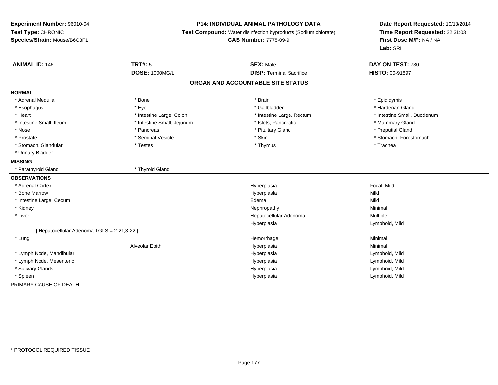## **P14: INDIVIDUAL ANIMAL PATHOLOGY DATA**

**Test Compound:** Water disinfection byproducts (Sodium chlorate)

**CAS Number:** 7775-09-9

| <b>ANIMAL ID: 146</b>                       | <b>TRT#: 5</b>             | <b>SEX: Male</b>                  | DAY ON TEST: 730            |
|---------------------------------------------|----------------------------|-----------------------------------|-----------------------------|
|                                             | DOSE: 1000MG/L             | <b>DISP: Terminal Sacrifice</b>   | HISTO: 00-91897             |
|                                             |                            | ORGAN AND ACCOUNTABLE SITE STATUS |                             |
| <b>NORMAL</b>                               |                            |                                   |                             |
| * Adrenal Medulla                           | * Bone                     | * Brain                           | * Epididymis                |
| * Esophagus                                 | * Eye                      | * Gallbladder                     | * Harderian Gland           |
| * Heart                                     | * Intestine Large, Colon   | * Intestine Large, Rectum         | * Intestine Small, Duodenum |
| * Intestine Small, Ileum                    | * Intestine Small, Jejunum | * Islets, Pancreatic              | * Mammary Gland             |
| * Nose                                      | * Pancreas                 | * Pituitary Gland                 | * Preputial Gland           |
| * Prostate                                  | * Seminal Vesicle          | * Skin                            | * Stomach, Forestomach      |
| * Stomach, Glandular                        | * Testes                   | * Thymus                          | * Trachea                   |
| * Urinary Bladder                           |                            |                                   |                             |
| <b>MISSING</b>                              |                            |                                   |                             |
| * Parathyroid Gland                         | * Thyroid Gland            |                                   |                             |
| <b>OBSERVATIONS</b>                         |                            |                                   |                             |
| * Adrenal Cortex                            |                            | Hyperplasia                       | Focal, Mild                 |
| * Bone Marrow                               |                            | Hyperplasia                       | Mild                        |
| * Intestine Large, Cecum                    |                            | Edema                             | Mild                        |
| * Kidney                                    |                            | Nephropathy                       | Minimal                     |
| * Liver                                     |                            | Hepatocellular Adenoma            | Multiple                    |
|                                             |                            | Hyperplasia                       | Lymphoid, Mild              |
| [ Hepatocellular Adenoma TGLS = 2-21,3-22 ] |                            |                                   |                             |
| * Lung                                      |                            | Hemorrhage                        | Minimal                     |
|                                             | Alveolar Epith             | Hyperplasia                       | Minimal                     |
| * Lymph Node, Mandibular                    |                            | Hyperplasia                       | Lymphoid, Mild              |
| * Lymph Node, Mesenteric                    |                            | Hyperplasia                       | Lymphoid, Mild              |
| * Salivary Glands                           |                            | Hyperplasia                       | Lymphoid, Mild              |
| * Spleen                                    |                            | Hyperplasia                       | Lymphoid, Mild              |
| PRIMARY CAUSE OF DEATH                      | $\blacksquare$             |                                   |                             |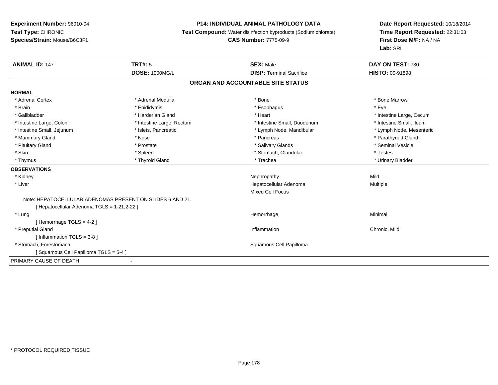#### **P14: INDIVIDUAL ANIMAL PATHOLOGY DATA**

**Test Compound:** Water disinfection byproducts (Sodium chlorate)

#### **CAS Number:** 7775-09-9

| <b>ANIMAL ID: 147</b>                                     | <b>TRT#: 5</b>            | <b>SEX: Male</b>                  | DAY ON TEST: 730         |  |
|-----------------------------------------------------------|---------------------------|-----------------------------------|--------------------------|--|
|                                                           | <b>DOSE: 1000MG/L</b>     | <b>DISP: Terminal Sacrifice</b>   | HISTO: 00-91898          |  |
|                                                           |                           | ORGAN AND ACCOUNTABLE SITE STATUS |                          |  |
| <b>NORMAL</b>                                             |                           |                                   |                          |  |
| * Adrenal Cortex                                          | * Adrenal Medulla         | * Bone                            | * Bone Marrow            |  |
| * Brain                                                   | * Epididymis              | * Esophagus                       | * Eye                    |  |
| * Gallbladder                                             | * Harderian Gland         | * Heart                           | * Intestine Large, Cecum |  |
| * Intestine Large, Colon                                  | * Intestine Large, Rectum | * Intestine Small, Duodenum       | * Intestine Small, Ileum |  |
| * Intestine Small, Jejunum                                | * Islets, Pancreatic      | * Lymph Node, Mandibular          | * Lymph Node, Mesenteric |  |
| * Mammary Gland                                           | * Nose                    | * Pancreas                        | * Parathyroid Gland      |  |
| * Pituitary Gland                                         | * Prostate                | * Salivary Glands                 | * Seminal Vesicle        |  |
| * Skin                                                    | * Spleen                  | * Stomach, Glandular              | * Testes                 |  |
| * Thymus                                                  | * Thyroid Gland           | * Trachea                         | * Urinary Bladder        |  |
| <b>OBSERVATIONS</b>                                       |                           |                                   |                          |  |
| * Kidney                                                  |                           | Nephropathy                       | Mild                     |  |
| * Liver                                                   |                           | Hepatocellular Adenoma            | Multiple                 |  |
|                                                           |                           | <b>Mixed Cell Focus</b>           |                          |  |
| Note: HEPATOCELLULAR ADENOMAS PRESENT ON SLIDES 6 AND 21. |                           |                                   |                          |  |
| [ Hepatocellular Adenoma TGLS = 1-21,2-22 ]               |                           |                                   |                          |  |
| * Lung                                                    |                           | Hemorrhage                        | Minimal                  |  |
| [Hemorrhage TGLS = $4-2$ ]                                |                           |                                   |                          |  |
| * Preputial Gland                                         |                           | Inflammation                      | Chronic, Mild            |  |
| [Inflammation TGLS = $3-8$ ]                              |                           |                                   |                          |  |
| * Stomach. Forestomach                                    |                           | Squamous Cell Papilloma           |                          |  |
| Squamous Cell Papilloma TGLS = 5-4 ]                      |                           |                                   |                          |  |
| PRIMARY CAUSE OF DEATH                                    |                           |                                   |                          |  |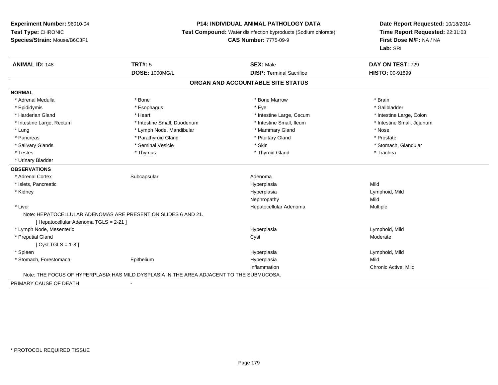## **P14: INDIVIDUAL ANIMAL PATHOLOGY DATA**

**Test Compound:** Water disinfection byproducts (Sodium chlorate)

**CAS Number:** 7775-09-9

| <b>ANIMAL ID: 148</b>                  | <b>TRT#: 5</b>                                                                           | <b>SEX: Male</b>                | DAY ON TEST: 729           |  |  |
|----------------------------------------|------------------------------------------------------------------------------------------|---------------------------------|----------------------------|--|--|
|                                        | <b>DOSE: 1000MG/L</b>                                                                    | <b>DISP: Terminal Sacrifice</b> | <b>HISTO: 00-91899</b>     |  |  |
| ORGAN AND ACCOUNTABLE SITE STATUS      |                                                                                          |                                 |                            |  |  |
| <b>NORMAL</b>                          |                                                                                          |                                 |                            |  |  |
| * Adrenal Medulla                      | * Bone                                                                                   | * Bone Marrow                   | * Brain                    |  |  |
| * Epididymis                           | * Esophagus                                                                              | * Eye                           | * Gallbladder              |  |  |
| * Harderian Gland                      | * Heart                                                                                  | * Intestine Large, Cecum        | * Intestine Large, Colon   |  |  |
| * Intestine Large, Rectum              | * Intestine Small, Duodenum                                                              | * Intestine Small, Ileum        | * Intestine Small, Jejunum |  |  |
| * Lung                                 | * Lymph Node, Mandibular                                                                 | * Mammary Gland                 | * Nose                     |  |  |
| * Pancreas                             | * Parathyroid Gland                                                                      | * Pituitary Gland               | * Prostate                 |  |  |
| * Salivary Glands                      | * Seminal Vesicle                                                                        | * Skin                          | * Stomach, Glandular       |  |  |
| * Testes                               | * Thymus                                                                                 | * Thyroid Gland                 | * Trachea                  |  |  |
| * Urinary Bladder                      |                                                                                          |                                 |                            |  |  |
| <b>OBSERVATIONS</b>                    |                                                                                          |                                 |                            |  |  |
| * Adrenal Cortex                       | Subcapsular                                                                              | Adenoma                         |                            |  |  |
| * Islets, Pancreatic                   |                                                                                          | Hyperplasia                     | Mild                       |  |  |
| * Kidney                               |                                                                                          | Hyperplasia                     | Lymphoid, Mild             |  |  |
|                                        |                                                                                          | Nephropathy                     | Mild                       |  |  |
| * Liver                                |                                                                                          | Hepatocellular Adenoma          | Multiple                   |  |  |
|                                        | Note: HEPATOCELLULAR ADENOMAS ARE PRESENT ON SLIDES 6 AND 21.                            |                                 |                            |  |  |
| [ Hepatocellular Adenoma TGLS = 2-21 ] |                                                                                          |                                 |                            |  |  |
| * Lymph Node, Mesenteric               |                                                                                          | Hyperplasia                     | Lymphoid, Mild             |  |  |
| * Preputial Gland                      |                                                                                          | Cyst                            | Moderate                   |  |  |
| [ Cyst TGLS = $1-8$ ]                  |                                                                                          |                                 |                            |  |  |
| * Spleen                               |                                                                                          | Hyperplasia                     | Lymphoid, Mild             |  |  |
| * Stomach, Forestomach                 | Epithelium                                                                               | Hyperplasia                     | Mild                       |  |  |
|                                        |                                                                                          | Inflammation                    | Chronic Active, Mild       |  |  |
|                                        | Note: THE FOCUS OF HYPERPLASIA HAS MILD DYSPLASIA IN THE AREA ADJACENT TO THE SUBMUCOSA. |                                 |                            |  |  |
| PRIMARY CAUSE OF DEATH                 | $\blacksquare$                                                                           |                                 |                            |  |  |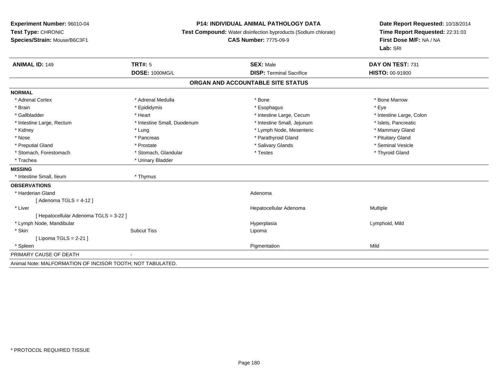#### **P14: INDIVIDUAL ANIMAL PATHOLOGY DATA**

**Test Compound:** Water disinfection byproducts (Sodium chlorate)

#### **CAS Number:** 7775-09-9

| <b>ANIMAL ID: 149</b>                                      | <b>TRT#: 5</b>              | <b>SEX: Male</b>                  | DAY ON TEST: 731         |
|------------------------------------------------------------|-----------------------------|-----------------------------------|--------------------------|
|                                                            | <b>DOSE: 1000MG/L</b>       | <b>DISP: Terminal Sacrifice</b>   | <b>HISTO: 00-91900</b>   |
|                                                            |                             | ORGAN AND ACCOUNTABLE SITE STATUS |                          |
| <b>NORMAL</b>                                              |                             |                                   |                          |
| * Adrenal Cortex                                           | * Adrenal Medulla           | * Bone                            | * Bone Marrow            |
| * Brain                                                    | * Epididymis                | * Esophagus                       | * Eye                    |
| * Gallbladder                                              | * Heart                     | * Intestine Large, Cecum          | * Intestine Large, Colon |
| * Intestine Large, Rectum                                  | * Intestine Small, Duodenum | * Intestine Small, Jejunum        | * Islets, Pancreatic     |
| * Kidney                                                   | * Lung                      | * Lymph Node, Mesenteric          | * Mammary Gland          |
| * Nose                                                     | * Pancreas                  | * Parathyroid Gland               | * Pituitary Gland        |
| * Preputial Gland                                          | * Prostate                  | * Salivary Glands                 | * Seminal Vesicle        |
| * Stomach, Forestomach                                     | * Stomach, Glandular        | * Testes                          | * Thyroid Gland          |
| * Trachea                                                  | * Urinary Bladder           |                                   |                          |
| <b>MISSING</b>                                             |                             |                                   |                          |
| * Intestine Small, Ileum                                   | * Thymus                    |                                   |                          |
| <b>OBSERVATIONS</b>                                        |                             |                                   |                          |
| * Harderian Gland                                          |                             | Adenoma                           |                          |
| Adenoma TGLS = 4-12 ]                                      |                             |                                   |                          |
| * Liver                                                    |                             | Hepatocellular Adenoma            | Multiple                 |
| [Hepatocellular Adenoma TGLS = 3-22]                       |                             |                                   |                          |
| * Lymph Node, Mandibular                                   |                             | Hyperplasia                       | Lymphoid, Mild           |
| * Skin                                                     | <b>Subcut Tiss</b>          | Lipoma                            |                          |
| [ Lipoma TGLS = 2-21 ]                                     |                             |                                   |                          |
| * Spleen                                                   |                             | Pigmentation                      | Mild                     |
| PRIMARY CAUSE OF DEATH                                     |                             |                                   |                          |
| Animal Note: MALFORMATION OF INCISOR TOOTH; NOT TABULATED. |                             |                                   |                          |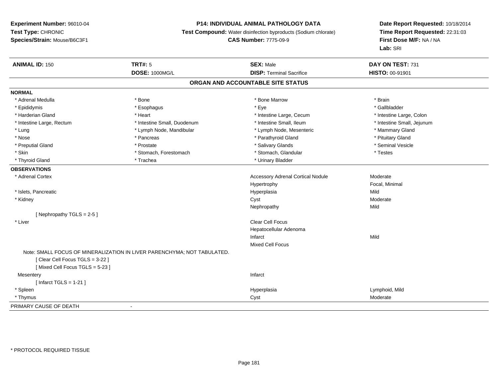# **P14: INDIVIDUAL ANIMAL PATHOLOGY DATA**

**Test Compound:** Water disinfection byproducts (Sodium chlorate)

**CAS Number:** 7775-09-9

| <b>ANIMAL ID: 150</b>          | TRT#: 5                                                                 | <b>SEX: Male</b>                         | DAY ON TEST: 731           |
|--------------------------------|-------------------------------------------------------------------------|------------------------------------------|----------------------------|
|                                | <b>DOSE: 1000MG/L</b>                                                   | <b>DISP: Terminal Sacrifice</b>          | <b>HISTO: 00-91901</b>     |
|                                |                                                                         | ORGAN AND ACCOUNTABLE SITE STATUS        |                            |
| <b>NORMAL</b>                  |                                                                         |                                          |                            |
| * Adrenal Medulla              | * Bone                                                                  | * Bone Marrow                            | * Brain                    |
| * Epididymis                   | * Esophagus                                                             | * Eye                                    | * Gallbladder              |
| * Harderian Gland              | * Heart                                                                 | * Intestine Large, Cecum                 | * Intestine Large, Colon   |
| * Intestine Large, Rectum      | * Intestine Small, Duodenum                                             | * Intestine Small, Ileum                 | * Intestine Small, Jejunum |
| * Lung                         | * Lymph Node, Mandibular                                                | * Lymph Node, Mesenteric                 | * Mammary Gland            |
| * Nose                         | * Pancreas                                                              | * Parathyroid Gland                      | * Pituitary Gland          |
| * Preputial Gland              | * Prostate                                                              | * Salivary Glands                        | * Seminal Vesicle          |
| * Skin                         | * Stomach, Forestomach                                                  | * Stomach, Glandular                     | * Testes                   |
| * Thyroid Gland                | * Trachea                                                               | * Urinary Bladder                        |                            |
| <b>OBSERVATIONS</b>            |                                                                         |                                          |                            |
| * Adrenal Cortex               |                                                                         | <b>Accessory Adrenal Cortical Nodule</b> | Moderate                   |
|                                |                                                                         | Hypertrophy                              | Focal, Minimal             |
| * Islets, Pancreatic           |                                                                         | Hyperplasia                              | Mild                       |
| * Kidney                       |                                                                         | Cyst                                     | Moderate                   |
|                                |                                                                         | Nephropathy                              | Mild                       |
| [Nephropathy TGLS = $2-5$ ]    |                                                                         |                                          |                            |
| * Liver                        |                                                                         | Clear Cell Focus                         |                            |
|                                |                                                                         | Hepatocellular Adenoma                   |                            |
|                                |                                                                         | Infarct                                  | Mild                       |
|                                |                                                                         | Mixed Cell Focus                         |                            |
|                                | Note: SMALL FOCUS OF MINERALIZATION IN LIVER PARENCHYMA; NOT TABULATED. |                                          |                            |
| [Clear Cell Focus TGLS = 3-22] |                                                                         |                                          |                            |
| [Mixed Cell Focus TGLS = 5-23] |                                                                         |                                          |                            |
| Mesentery                      |                                                                         | Infarct                                  |                            |
| [Infarct TGLS = $1-21$ ]       |                                                                         |                                          |                            |
| * Spleen                       |                                                                         | Hyperplasia                              | Lymphoid, Mild             |
| * Thymus                       |                                                                         | Cyst                                     | Moderate                   |
| PRIMARY CAUSE OF DEATH         | $\blacksquare$                                                          |                                          |                            |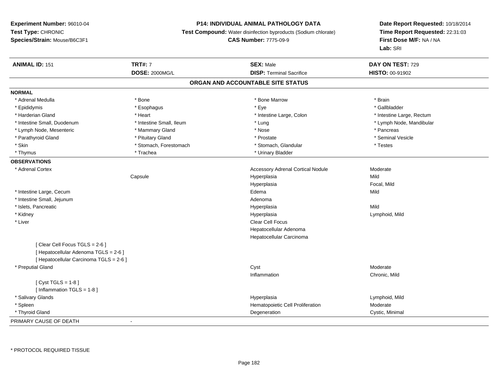# **P14: INDIVIDUAL ANIMAL PATHOLOGY DATA**

**Test Compound:** Water disinfection byproducts (Sodium chlorate)

**CAS Number:** 7775-09-9

| <b>ANIMAL ID: 151</b>                   | <b>TRT#: 7</b>           | <b>SEX: Male</b>                         | DAY ON TEST: 729          |
|-----------------------------------------|--------------------------|------------------------------------------|---------------------------|
|                                         | <b>DOSE: 2000MG/L</b>    | <b>DISP: Terminal Sacrifice</b>          | HISTO: 00-91902           |
|                                         |                          | ORGAN AND ACCOUNTABLE SITE STATUS        |                           |
| <b>NORMAL</b>                           |                          |                                          |                           |
| * Adrenal Medulla                       | * Bone                   | * Bone Marrow                            | * Brain                   |
| * Epididymis                            | * Esophagus              | * Eye                                    | * Gallbladder             |
| * Harderian Gland                       | * Heart                  | * Intestine Large, Colon                 | * Intestine Large, Rectum |
| * Intestine Small, Duodenum             | * Intestine Small, Ileum | * Lung                                   | * Lymph Node, Mandibular  |
| * Lymph Node, Mesenteric                | * Mammary Gland          | * Nose                                   | * Pancreas                |
| * Parathyroid Gland                     | * Pituitary Gland        | * Prostate                               | * Seminal Vesicle         |
| * Skin                                  | * Stomach, Forestomach   | * Stomach, Glandular                     | $^\star$ Testes           |
| * Thymus                                | * Trachea                | * Urinary Bladder                        |                           |
| <b>OBSERVATIONS</b>                     |                          |                                          |                           |
| * Adrenal Cortex                        |                          | <b>Accessory Adrenal Cortical Nodule</b> | Moderate                  |
|                                         | Capsule                  | Hyperplasia                              | Mild                      |
|                                         |                          | Hyperplasia                              | Focal, Mild               |
| * Intestine Large, Cecum                |                          | Edema                                    | Mild                      |
| * Intestine Small, Jejunum              |                          | Adenoma                                  |                           |
| * Islets, Pancreatic                    |                          | Hyperplasia                              | Mild                      |
| * Kidney                                |                          | Hyperplasia                              | Lymphoid, Mild            |
| * Liver                                 |                          | <b>Clear Cell Focus</b>                  |                           |
|                                         |                          | Hepatocellular Adenoma                   |                           |
|                                         |                          | Hepatocellular Carcinoma                 |                           |
| [Clear Cell Focus TGLS = 2-6]           |                          |                                          |                           |
| [ Hepatocellular Adenoma TGLS = 2-6 ]   |                          |                                          |                           |
| [ Hepatocellular Carcinoma TGLS = 2-6 ] |                          |                                          |                           |
| * Preputial Gland                       |                          | Cyst                                     | Moderate                  |
|                                         |                          | Inflammation                             | Chronic, Mild             |
| [ $Cyst TGLS = 1-8$ ]                   |                          |                                          |                           |
| [Inflammation $TGLS = 1-8$ ]            |                          |                                          |                           |
| * Salivary Glands                       |                          | Hyperplasia                              | Lymphoid, Mild            |
| * Spleen                                |                          | Hematopoietic Cell Proliferation         | Moderate                  |
| * Thyroid Gland                         |                          | Degeneration                             | Cystic, Minimal           |
| PRIMARY CAUSE OF DEATH                  | $\sim$                   |                                          |                           |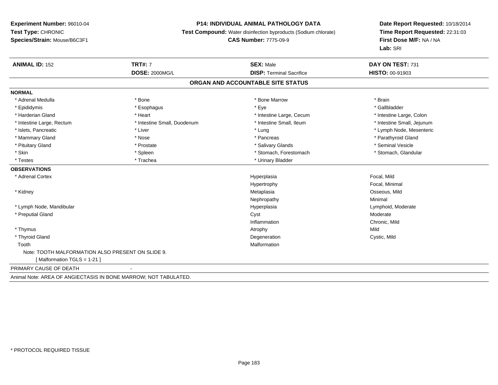## **P14: INDIVIDUAL ANIMAL PATHOLOGY DATA**

**Test Compound:** Water disinfection byproducts (Sodium chlorate)

**CAS Number:** 7775-09-9

| <b>ANIMAL ID: 152</b>                                           | <b>TRT#: 7</b>              | <b>SEX: Male</b>                  | DAY ON TEST: 731           |
|-----------------------------------------------------------------|-----------------------------|-----------------------------------|----------------------------|
|                                                                 | <b>DOSE: 2000MG/L</b>       | <b>DISP: Terminal Sacrifice</b>   | HISTO: 00-91903            |
|                                                                 |                             | ORGAN AND ACCOUNTABLE SITE STATUS |                            |
| <b>NORMAL</b>                                                   |                             |                                   |                            |
| * Adrenal Medulla                                               | * Bone                      | * Bone Marrow                     | * Brain                    |
| * Epididymis                                                    | * Esophagus                 | * Eye                             | * Gallbladder              |
| * Harderian Gland                                               | * Heart                     | * Intestine Large, Cecum          | * Intestine Large, Colon   |
| * Intestine Large, Rectum                                       | * Intestine Small, Duodenum | * Intestine Small. Ileum          | * Intestine Small, Jejunum |
| * Islets, Pancreatic                                            | * Liver                     | * Lung                            | * Lymph Node, Mesenteric   |
| * Mammary Gland                                                 | * Nose                      | * Pancreas                        | * Parathyroid Gland        |
| * Pituitary Gland                                               | * Prostate                  | * Salivary Glands                 | * Seminal Vesicle          |
| * Skin                                                          | * Spleen                    | * Stomach, Forestomach            | * Stomach, Glandular       |
| * Testes                                                        | * Trachea                   | * Urinary Bladder                 |                            |
| <b>OBSERVATIONS</b>                                             |                             |                                   |                            |
| * Adrenal Cortex                                                |                             | Hyperplasia                       | Focal, Mild                |
|                                                                 |                             | Hypertrophy                       | Focal, Minimal             |
| * Kidney                                                        |                             | Metaplasia                        | Osseous, Mild              |
|                                                                 |                             | Nephropathy                       | Minimal                    |
| * Lymph Node, Mandibular                                        |                             | Hyperplasia                       | Lymphoid, Moderate         |
| * Preputial Gland                                               |                             | Cyst                              | Moderate                   |
|                                                                 |                             | Inflammation                      | Chronic, Mild              |
| * Thymus                                                        |                             | Atrophy                           | Mild                       |
| * Thyroid Gland                                                 |                             | Degeneration                      | Cystic, Mild               |
| Tooth                                                           |                             | Malformation                      |                            |
| Note: TOOTH MALFORMATION ALSO PRESENT ON SLIDE 9.               |                             |                                   |                            |
| [Malformation TGLS = 1-21]                                      |                             |                                   |                            |
| PRIMARY CAUSE OF DEATH                                          |                             |                                   |                            |
| Animal Note: AREA OF ANGIECTASIS IN BONE MARROW; NOT TABULATED. |                             |                                   |                            |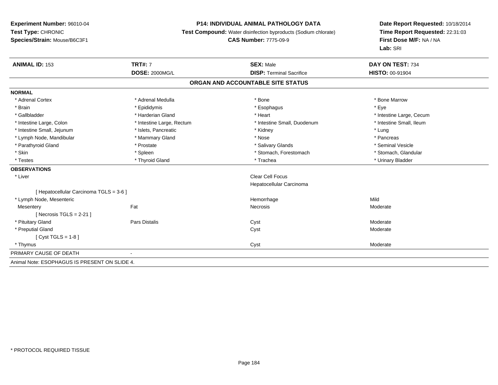#### **P14: INDIVIDUAL ANIMAL PATHOLOGY DATA**

**Test Compound:** Water disinfection byproducts (Sodium chlorate)

**CAS Number:** 7775-09-9

| <b>ANIMAL ID: 153</b>                         | <b>TRT#: 7</b>            | <b>SEX: Male</b>                  | DAY ON TEST: 734         |
|-----------------------------------------------|---------------------------|-----------------------------------|--------------------------|
|                                               | <b>DOSE: 2000MG/L</b>     | <b>DISP: Terminal Sacrifice</b>   | <b>HISTO: 00-91904</b>   |
|                                               |                           | ORGAN AND ACCOUNTABLE SITE STATUS |                          |
| <b>NORMAL</b>                                 |                           |                                   |                          |
| * Adrenal Cortex                              | * Adrenal Medulla         | * Bone                            | * Bone Marrow            |
| * Brain                                       | * Epididymis              | * Esophagus                       | * Eye                    |
| * Gallbladder                                 | * Harderian Gland         | * Heart                           | * Intestine Large, Cecum |
| * Intestine Large, Colon                      | * Intestine Large, Rectum | * Intestine Small, Duodenum       | * Intestine Small, Ileum |
| * Intestine Small, Jejunum                    | * Islets, Pancreatic      | * Kidney                          | * Lung                   |
| * Lymph Node, Mandibular                      | * Mammary Gland           | * Nose                            | * Pancreas               |
| * Parathyroid Gland                           | * Prostate                | * Salivary Glands                 | * Seminal Vesicle        |
| * Skin                                        | * Spleen                  | * Stomach, Forestomach            | * Stomach, Glandular     |
| * Testes                                      | * Thyroid Gland           | * Trachea                         | * Urinary Bladder        |
| <b>OBSERVATIONS</b>                           |                           |                                   |                          |
| * Liver                                       |                           | Clear Cell Focus                  |                          |
|                                               |                           | Hepatocellular Carcinoma          |                          |
| [ Hepatocellular Carcinoma TGLS = 3-6 ]       |                           |                                   |                          |
| * Lymph Node, Mesenteric                      |                           | Hemorrhage                        | Mild                     |
| Mesentery                                     | Fat                       | Necrosis                          | Moderate                 |
| [Necrosis TGLS = $2-21$ ]                     |                           |                                   |                          |
| * Pituitary Gland                             | Pars Distalis             | Cyst                              | Moderate                 |
| * Preputial Gland                             |                           | Cyst                              | Moderate                 |
| [Cyst TGLS = $1-8$ ]                          |                           |                                   |                          |
| * Thymus                                      |                           | Cyst                              | Moderate                 |
| PRIMARY CAUSE OF DEATH                        |                           |                                   |                          |
| Animal Note: ESOPHAGUS IS PRESENT ON SLIDE 4. |                           |                                   |                          |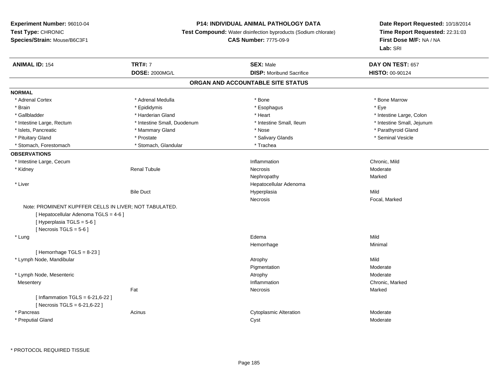## **P14: INDIVIDUAL ANIMAL PATHOLOGY DATA**

**Test Compound:** Water disinfection byproducts (Sodium chlorate)

### **CAS Number:** 7775-09-9

| <b>ANIMAL ID: 154</b>                                  | <b>TRT#: 7</b>              | <b>SEX: Male</b>                  | DAY ON TEST: 657           |
|--------------------------------------------------------|-----------------------------|-----------------------------------|----------------------------|
|                                                        | <b>DOSE: 2000MG/L</b>       | <b>DISP:</b> Moribund Sacrifice   | HISTO: 00-90124            |
|                                                        |                             | ORGAN AND ACCOUNTABLE SITE STATUS |                            |
| <b>NORMAL</b>                                          |                             |                                   |                            |
| * Adrenal Cortex                                       | * Adrenal Medulla           | * Bone                            | * Bone Marrow              |
| * Brain                                                | * Epididymis                | * Esophagus                       | * Eye                      |
| * Gallbladder                                          | * Harderian Gland           | * Heart                           | * Intestine Large, Colon   |
| * Intestine Large, Rectum                              | * Intestine Small, Duodenum | * Intestine Small, Ileum          | * Intestine Small, Jejunum |
| * Islets, Pancreatic                                   | * Mammary Gland             | * Nose                            | * Parathyroid Gland        |
| * Pituitary Gland                                      | * Prostate                  | * Salivary Glands                 | * Seminal Vesicle          |
| * Stomach, Forestomach                                 | * Stomach, Glandular        | * Trachea                         |                            |
| <b>OBSERVATIONS</b>                                    |                             |                                   |                            |
| * Intestine Large, Cecum                               |                             | Inflammation                      | Chronic, Mild              |
| * Kidney                                               | <b>Renal Tubule</b>         | Necrosis                          | Moderate                   |
|                                                        |                             | Nephropathy                       | Marked                     |
| * Liver                                                |                             | Hepatocellular Adenoma            |                            |
|                                                        | <b>Bile Duct</b>            | Hyperplasia                       | Mild                       |
|                                                        |                             | Necrosis                          | Focal, Marked              |
| Note: PROMINENT KUPFFER CELLS IN LIVER: NOT TABULATED. |                             |                                   |                            |
| [ Hepatocellular Adenoma TGLS = 4-6 ]                  |                             |                                   |                            |
| [ Hyperplasia TGLS = 5-6 ]                             |                             |                                   |                            |
| [Necrosis TGLS = $5-6$ ]                               |                             |                                   |                            |
| * Lung                                                 |                             | Edema                             | Mild                       |
|                                                        |                             | Hemorrhage                        | Minimal                    |
| [Hemorrhage TGLS = 8-23]                               |                             |                                   |                            |
| * Lymph Node, Mandibular                               |                             | Atrophy                           | Mild                       |
|                                                        |                             | Pigmentation                      | Moderate                   |
| * Lymph Node, Mesenteric                               |                             | Atrophy                           | Moderate                   |
| Mesentery                                              |                             | Inflammation                      | Chronic, Marked            |
|                                                        | Fat                         | Necrosis                          | Marked                     |
|                                                        |                             |                                   |                            |
| [Inflammation TGLS = $6-21,6-22$ ]                     |                             |                                   |                            |
|                                                        |                             |                                   |                            |
| [ Necrosis TGLS = $6-21, 6-22$ ]<br>* Pancreas         | Acinus                      | Cytoplasmic Alteration            | Moderate                   |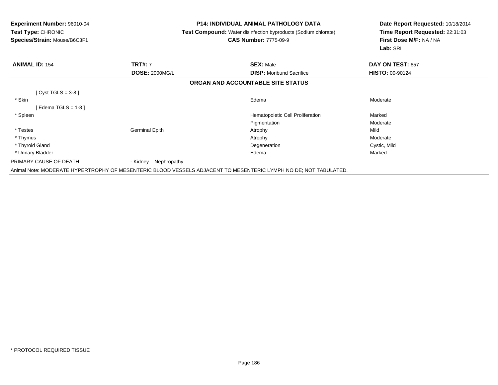| <b>Experiment Number: 96010-04</b><br>Test Type: CHRONIC<br>Species/Strain: Mouse/B6C3F1 | <b>P14: INDIVIDUAL ANIMAL PATHOLOGY DATA</b><br><b>Test Compound:</b> Water disinfection byproducts (Sodium chlorate)<br><b>CAS Number: 7775-09-9</b> |                                                                                                                  | Date Report Requested: 10/18/2014<br>Time Report Requested: 22:31:03<br>First Dose M/F: NA / NA<br>Lab: SRI |
|------------------------------------------------------------------------------------------|-------------------------------------------------------------------------------------------------------------------------------------------------------|------------------------------------------------------------------------------------------------------------------|-------------------------------------------------------------------------------------------------------------|
| <b>ANIMAL ID: 154</b>                                                                    | <b>TRT#: 7</b>                                                                                                                                        | <b>SEX: Male</b>                                                                                                 | DAY ON TEST: 657                                                                                            |
|                                                                                          | <b>DOSE: 2000MG/L</b>                                                                                                                                 | <b>DISP:</b> Moribund Sacrifice                                                                                  | <b>HISTO: 00-90124</b>                                                                                      |
|                                                                                          |                                                                                                                                                       | ORGAN AND ACCOUNTABLE SITE STATUS                                                                                |                                                                                                             |
| $[Cyst TGLS = 3-8]$                                                                      |                                                                                                                                                       |                                                                                                                  |                                                                                                             |
| * Skin                                                                                   |                                                                                                                                                       | Edema                                                                                                            | Moderate                                                                                                    |
| [Edema TGLS = $1-8$ ]                                                                    |                                                                                                                                                       |                                                                                                                  |                                                                                                             |
| * Spleen                                                                                 |                                                                                                                                                       | Hematopoietic Cell Proliferation                                                                                 | Marked                                                                                                      |
|                                                                                          |                                                                                                                                                       | Pigmentation                                                                                                     | Moderate                                                                                                    |
| * Testes                                                                                 | <b>Germinal Epith</b>                                                                                                                                 | Atrophy                                                                                                          | Mild                                                                                                        |
| * Thymus                                                                                 |                                                                                                                                                       | Atrophy                                                                                                          | Moderate                                                                                                    |
| * Thyroid Gland                                                                          |                                                                                                                                                       | Degeneration                                                                                                     | Cystic, Mild                                                                                                |
| * Urinary Bladder                                                                        |                                                                                                                                                       | Edema                                                                                                            | Marked                                                                                                      |
| PRIMARY CAUSE OF DEATH                                                                   | Nephropathy<br>- Kidnev                                                                                                                               |                                                                                                                  |                                                                                                             |
|                                                                                          |                                                                                                                                                       | Animal Note: MODERATE HYPERTROPHY OF MESENTERIC BLOOD VESSELS ADJACENT TO MESENTERIC LYMPH NO DE; NOT TABULATED. |                                                                                                             |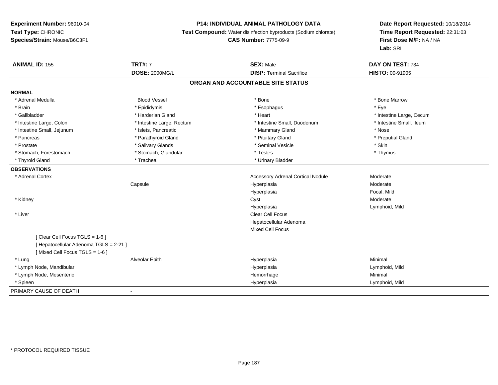## **P14: INDIVIDUAL ANIMAL PATHOLOGY DATA**

**Test Compound:** Water disinfection byproducts (Sodium chlorate)

**CAS Number:** 7775-09-9

| <b>ANIMAL ID: 155</b>                  | <b>TRT#: 7</b>            | <b>SEX: Male</b>                         | DAY ON TEST: 734         |
|----------------------------------------|---------------------------|------------------------------------------|--------------------------|
|                                        | <b>DOSE: 2000MG/L</b>     | <b>DISP: Terminal Sacrifice</b>          | <b>HISTO: 00-91905</b>   |
|                                        |                           | ORGAN AND ACCOUNTABLE SITE STATUS        |                          |
| <b>NORMAL</b>                          |                           |                                          |                          |
| * Adrenal Medulla                      | <b>Blood Vessel</b>       | * Bone                                   | * Bone Marrow            |
| * Brain                                | * Epididymis              | * Esophagus                              | * Eye                    |
| * Gallbladder                          | * Harderian Gland         | * Heart                                  | * Intestine Large, Cecum |
| * Intestine Large, Colon               | * Intestine Large, Rectum | * Intestine Small, Duodenum              | * Intestine Small, Ileum |
| * Intestine Small, Jejunum             | * Islets, Pancreatic      | * Mammary Gland                          | * Nose                   |
| * Pancreas                             | * Parathyroid Gland       | * Pituitary Gland                        | * Preputial Gland        |
| * Prostate                             | * Salivary Glands         | * Seminal Vesicle                        | * Skin                   |
| * Stomach, Forestomach                 | * Stomach, Glandular      | * Testes                                 | * Thymus                 |
| * Thyroid Gland                        | * Trachea                 | * Urinary Bladder                        |                          |
| <b>OBSERVATIONS</b>                    |                           |                                          |                          |
| * Adrenal Cortex                       |                           | <b>Accessory Adrenal Cortical Nodule</b> | Moderate                 |
|                                        | Capsule                   | Hyperplasia                              | Moderate                 |
|                                        |                           | Hyperplasia                              | Focal, Mild              |
| * Kidney                               |                           | Cyst                                     | Moderate                 |
|                                        |                           | Hyperplasia                              | Lymphoid, Mild           |
| * Liver                                |                           | Clear Cell Focus                         |                          |
|                                        |                           | Hepatocellular Adenoma                   |                          |
|                                        |                           | <b>Mixed Cell Focus</b>                  |                          |
| [Clear Cell Focus TGLS = 1-6]          |                           |                                          |                          |
| [ Hepatocellular Adenoma TGLS = 2-21 ] |                           |                                          |                          |
| [Mixed Cell Focus TGLS = 1-6]          |                           |                                          |                          |
| * Lung                                 | Alveolar Epith            | Hyperplasia                              | Minimal                  |
| * Lymph Node, Mandibular               |                           | Hyperplasia                              | Lymphoid, Mild           |
| * Lymph Node, Mesenteric               |                           | Hemorrhage                               | Minimal                  |
| * Spleen                               |                           | Hyperplasia                              | Lymphoid, Mild           |
| PRIMARY CAUSE OF DEATH                 | $\overline{\phantom{a}}$  |                                          |                          |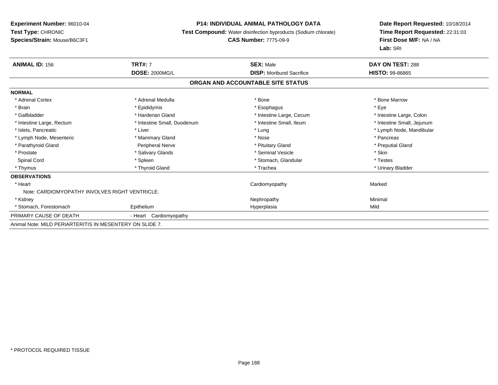## **P14: INDIVIDUAL ANIMAL PATHOLOGY DATA**

**Test Compound:** Water disinfection byproducts (Sodium chlorate)

### **CAS Number:** 7775-09-9

| <b>ANIMAL ID: 156</b>                                    | <b>TRT#: 7</b>              | <b>SEX: Male</b>                  | DAY ON TEST: 288           |
|----------------------------------------------------------|-----------------------------|-----------------------------------|----------------------------|
|                                                          | <b>DOSE: 2000MG/L</b>       | <b>DISP:</b> Moribund Sacrifice   | HISTO: 99-86865            |
|                                                          |                             | ORGAN AND ACCOUNTABLE SITE STATUS |                            |
| <b>NORMAL</b>                                            |                             |                                   |                            |
| * Adrenal Cortex                                         | * Adrenal Medulla           | * Bone                            | * Bone Marrow              |
| * Brain                                                  | * Epididymis                | * Esophagus                       | * Eye                      |
| * Gallbladder                                            | * Harderian Gland           | * Intestine Large, Cecum          | * Intestine Large, Colon   |
| * Intestine Large, Rectum                                | * Intestine Small, Duodenum | * Intestine Small, Ileum          | * Intestine Small, Jejunum |
| * Islets, Pancreatic                                     | * Liver                     | * Lung                            | * Lymph Node, Mandibular   |
| * Lymph Node, Mesenteric                                 | * Mammary Gland             | * Nose                            | * Pancreas                 |
| * Parathyroid Gland                                      | Peripheral Nerve            | * Pituitary Gland                 | * Preputial Gland          |
| * Prostate                                               | * Salivary Glands           | * Seminal Vesicle                 | * Skin                     |
| Spinal Cord                                              | * Spleen                    | * Stomach, Glandular              | * Testes                   |
| * Thymus                                                 | * Thyroid Gland             | * Trachea                         | * Urinary Bladder          |
| <b>OBSERVATIONS</b>                                      |                             |                                   |                            |
| * Heart                                                  |                             | Cardiomyopathy                    | Marked                     |
| Note: CARDIOMYOPATHY INVOLVES RIGHT VENTRICLE.           |                             |                                   |                            |
| * Kidney                                                 |                             | Nephropathy                       | Minimal                    |
| * Stomach, Forestomach                                   | Epithelium                  | Hyperplasia                       | Mild                       |
| PRIMARY CAUSE OF DEATH                                   | - Heart Cardiomyopathy      |                                   |                            |
| Animal Note: MILD PERIARTERITIS IN MESENTERY ON SLIDE 7. |                             |                                   |                            |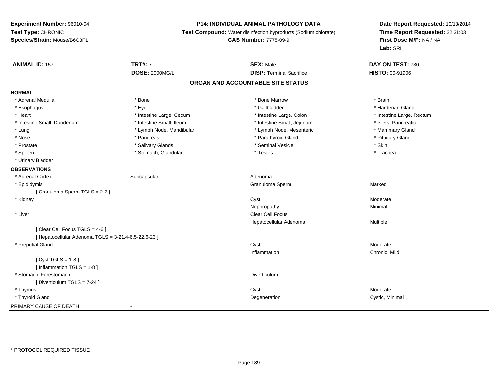## **P14: INDIVIDUAL ANIMAL PATHOLOGY DATA**

**Test Compound:** Water disinfection byproducts (Sodium chlorate)

**CAS Number:** 7775-09-9

| <b>ANIMAL ID: 157</b>                                | <b>TRT#: 7</b>           | <b>SEX: Male</b>                  | DAY ON TEST: 730          |  |
|------------------------------------------------------|--------------------------|-----------------------------------|---------------------------|--|
|                                                      | DOSE: 2000MG/L           | <b>DISP: Terminal Sacrifice</b>   | <b>HISTO: 00-91906</b>    |  |
|                                                      |                          | ORGAN AND ACCOUNTABLE SITE STATUS |                           |  |
| <b>NORMAL</b>                                        |                          |                                   |                           |  |
| * Adrenal Medulla                                    | * Bone                   | * Bone Marrow                     | * Brain                   |  |
| * Esophagus                                          | * Eye                    | * Gallbladder                     | * Harderian Gland         |  |
| * Heart                                              | * Intestine Large, Cecum | * Intestine Large, Colon          | * Intestine Large, Rectum |  |
| * Intestine Small, Duodenum                          | * Intestine Small, Ileum | * Intestine Small, Jejunum        | * Islets, Pancreatic      |  |
| * Lung                                               | * Lymph Node, Mandibular | * Lymph Node, Mesenteric          | * Mammary Gland           |  |
| * Nose                                               | * Pancreas               | * Parathyroid Gland               | * Pituitary Gland         |  |
| * Prostate                                           | * Salivary Glands        | * Seminal Vesicle                 | * Skin                    |  |
| * Spleen                                             | * Stomach, Glandular     | * Testes                          | * Trachea                 |  |
| * Urinary Bladder                                    |                          |                                   |                           |  |
| <b>OBSERVATIONS</b>                                  |                          |                                   |                           |  |
| * Adrenal Cortex                                     | Subcapsular              | Adenoma                           |                           |  |
| * Epididymis                                         |                          | Granuloma Sperm                   | Marked                    |  |
| [Granuloma Sperm TGLS = 2-7]                         |                          |                                   |                           |  |
| * Kidney                                             |                          | Cyst                              | Moderate                  |  |
|                                                      |                          | Nephropathy                       | Minimal                   |  |
| * Liver                                              |                          | <b>Clear Cell Focus</b>           |                           |  |
|                                                      |                          | Hepatocellular Adenoma            | Multiple                  |  |
| [Clear Cell Focus TGLS = 4-6]                        |                          |                                   |                           |  |
| [ Hepatocellular Adenoma TGLS = 3-21,4-6,5-22,6-23 ] |                          |                                   |                           |  |
| * Preputial Gland                                    |                          | Cyst                              | Moderate                  |  |
|                                                      |                          | Inflammation                      | Chronic, Mild             |  |
| [Cyst TGLS = $1-8$ ]                                 |                          |                                   |                           |  |
| [ Inflammation TGLS = 1-8 ]                          |                          |                                   |                           |  |
| * Stomach, Forestomach                               |                          | Diverticulum                      |                           |  |
| [Diverticulum TGLS = 7-24]                           |                          |                                   |                           |  |
| * Thymus                                             |                          | Cyst                              | Moderate                  |  |
| * Thyroid Gland                                      |                          | Degeneration                      | Cystic, Minimal           |  |
| PRIMARY CAUSE OF DEATH                               | $\overline{\phantom{a}}$ |                                   |                           |  |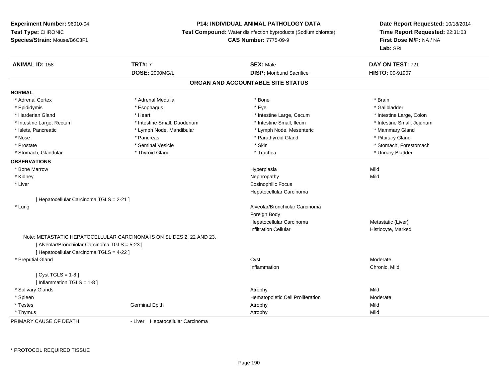#### **P14: INDIVIDUAL ANIMAL PATHOLOGY DATA**

**Test Compound:** Water disinfection byproducts (Sodium chlorate)

### **CAS Number:** 7775-09-9

**Date Report Requested:** 10/18/2014**Time Report Requested:** 22:31:03**First Dose M/F:** NA / NA**Lab:** SRI

| <b>ANIMAL ID: 158</b>                          | <b>TRT#: 7</b>                                                               | <b>SEX: Male</b>                  | DAY ON TEST: 721           |  |
|------------------------------------------------|------------------------------------------------------------------------------|-----------------------------------|----------------------------|--|
|                                                | <b>DOSE: 2000MG/L</b>                                                        | <b>DISP:</b> Moribund Sacrifice   | HISTO: 00-91907            |  |
|                                                |                                                                              | ORGAN AND ACCOUNTABLE SITE STATUS |                            |  |
| <b>NORMAL</b>                                  |                                                                              |                                   |                            |  |
| * Adrenal Cortex                               | * Adrenal Medulla                                                            | * Bone                            | * Brain                    |  |
| * Epididymis                                   | * Esophagus                                                                  | * Eye                             | * Gallbladder              |  |
| * Harderian Gland                              | * Heart                                                                      | * Intestine Large, Cecum          | * Intestine Large, Colon   |  |
| * Intestine Large, Rectum                      | * Intestine Small, Duodenum                                                  | * Intestine Small, Ileum          | * Intestine Small, Jejunum |  |
| * Islets, Pancreatic                           | * Lymph Node, Mandibular                                                     | * Lymph Node, Mesenteric          | * Mammary Gland            |  |
| * Nose                                         | * Pancreas                                                                   | * Parathyroid Gland               | * Pituitary Gland          |  |
| * Prostate                                     | * Seminal Vesicle                                                            | * Skin                            | * Stomach, Forestomach     |  |
| * Stomach, Glandular                           | * Thyroid Gland                                                              | * Trachea                         | * Urinary Bladder          |  |
| <b>OBSERVATIONS</b>                            |                                                                              |                                   |                            |  |
| * Bone Marrow                                  |                                                                              | Hyperplasia                       | Mild                       |  |
| * Kidney                                       |                                                                              | Nephropathy                       | Mild                       |  |
| * Liver                                        |                                                                              | <b>Eosinophilic Focus</b>         |                            |  |
|                                                |                                                                              | Hepatocellular Carcinoma          |                            |  |
| [ Hepatocellular Carcinoma TGLS = 2-21 ]       |                                                                              |                                   |                            |  |
| * Lung                                         |                                                                              | Alveolar/Bronchiolar Carcinoma    |                            |  |
|                                                |                                                                              | Foreign Body                      |                            |  |
|                                                |                                                                              | Hepatocellular Carcinoma          | Metastatic (Liver)         |  |
|                                                |                                                                              | <b>Infiltration Cellular</b>      | Histiocyte, Marked         |  |
|                                                | Note: METASTATIC HEPATOCELLULAR CARCINOMA IS ON SLIDES 2, 22 AND 23.         |                                   |                            |  |
| [ Alveolar/Bronchiolar Carcinoma TGLS = 5-23 ] |                                                                              |                                   |                            |  |
| [ Hepatocellular Carcinoma TGLS = 4-22 ]       |                                                                              |                                   |                            |  |
| * Preputial Gland                              |                                                                              | Cyst                              | Moderate                   |  |
|                                                |                                                                              | Inflammation                      | Chronic, Mild              |  |
| [Cyst TGLS = $1-8$ ]                           |                                                                              |                                   |                            |  |
| [ Inflammation TGLS = 1-8 ]                    |                                                                              |                                   |                            |  |
| * Salivary Glands                              |                                                                              | Atrophy                           | Mild                       |  |
| * Spleen                                       |                                                                              | Hematopoietic Cell Proliferation  | Moderate                   |  |
| * Testes                                       | <b>Germinal Epith</b>                                                        | Atrophy                           | Mild                       |  |
| * Thymus                                       |                                                                              | Atrophy                           | Mild                       |  |
| PRIMARY OMIOF OF BEATH                         | The contract the contract of the contract of the contract of the contract of |                                   |                            |  |

PRIMARY CAUSE OF DEATH

- Liver Hepatocellular Carcinoma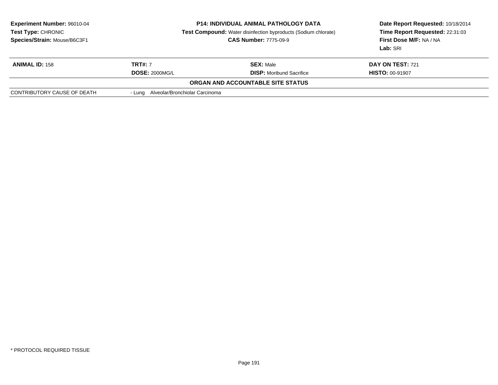| <b>Experiment Number: 96010-04</b><br>Test Type: CHRONIC<br>Species/Strain: Mouse/B6C3F1 | <b>P14: INDIVIDUAL ANIMAL PATHOLOGY DATA</b><br><b>Test Compound:</b> Water disinfection byproducts (Sodium chlorate)<br><b>CAS Number: 7775-09-9</b> |                                          | Date Report Requested: 10/18/2014<br>Time Report Requested: 22:31:03<br>First Dose M/F: NA / NA<br>Lab: SRI |
|------------------------------------------------------------------------------------------|-------------------------------------------------------------------------------------------------------------------------------------------------------|------------------------------------------|-------------------------------------------------------------------------------------------------------------|
| <b>ANIMAL ID: 158</b>                                                                    | <b>TRT#: 7</b>                                                                                                                                        | <b>SEX: Male</b>                         | <b>DAY ON TEST: 721</b>                                                                                     |
|                                                                                          | <b>DOSE: 2000MG/L</b>                                                                                                                                 | <b>DISP:</b> Moribund Sacrifice          | <b>HISTO: 00-91907</b>                                                                                      |
|                                                                                          |                                                                                                                                                       | <b>ORGAN AND ACCOUNTABLE SITE STATUS</b> |                                                                                                             |
| CONTRIBUTORY CAUSE OF DEATH                                                              | - Lung Alveolar/Bronchiolar Carcinoma                                                                                                                 |                                          |                                                                                                             |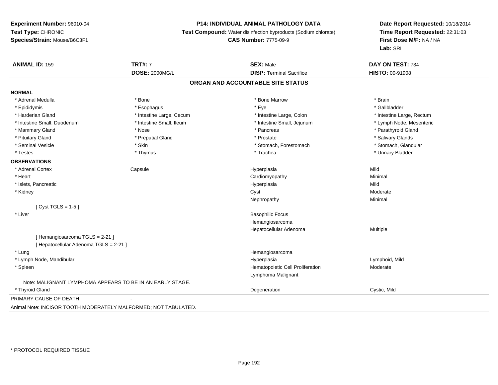## **P14: INDIVIDUAL ANIMAL PATHOLOGY DATA**

**Test Compound:** Water disinfection byproducts (Sodium chlorate)

**CAS Number:** 7775-09-9

| <b>ANIMAL ID: 159</b>                                           | <b>TRT#: 7</b>           | <b>SEX: Male</b>                  | DAY ON TEST: 734          |
|-----------------------------------------------------------------|--------------------------|-----------------------------------|---------------------------|
|                                                                 | <b>DOSE: 2000MG/L</b>    | <b>DISP: Terminal Sacrifice</b>   | HISTO: 00-91908           |
|                                                                 |                          | ORGAN AND ACCOUNTABLE SITE STATUS |                           |
| <b>NORMAL</b>                                                   |                          |                                   |                           |
| * Adrenal Medulla                                               | * Bone                   | * Bone Marrow                     | * Brain                   |
| * Epididymis                                                    | * Esophagus              | * Eye                             | * Gallbladder             |
| * Harderian Gland                                               | * Intestine Large, Cecum | * Intestine Large, Colon          | * Intestine Large, Rectum |
| * Intestine Small, Duodenum                                     | * Intestine Small, Ileum | * Intestine Small, Jejunum        | * Lymph Node, Mesenteric  |
| * Mammary Gland                                                 | * Nose                   | * Pancreas                        | * Parathyroid Gland       |
| * Pituitary Gland                                               | * Preputial Gland        | * Prostate                        | * Salivary Glands         |
| * Seminal Vesicle                                               | * Skin                   | * Stomach, Forestomach            | * Stomach, Glandular      |
| * Testes                                                        | * Thymus                 | * Trachea                         | * Urinary Bladder         |
| <b>OBSERVATIONS</b>                                             |                          |                                   |                           |
| * Adrenal Cortex                                                | Capsule                  | Hyperplasia                       | Mild                      |
| * Heart                                                         |                          | Cardiomyopathy                    | Minimal                   |
| * Islets, Pancreatic                                            |                          | Hyperplasia                       | Mild                      |
| * Kidney                                                        |                          | Cyst                              | Moderate                  |
|                                                                 |                          | Nephropathy                       | Minimal                   |
| [ $Cyst TGLS = 1-5$ ]                                           |                          |                                   |                           |
| * Liver                                                         |                          | <b>Basophilic Focus</b>           |                           |
|                                                                 |                          | Hemangiosarcoma                   |                           |
|                                                                 |                          | Hepatocellular Adenoma            | Multiple                  |
| [Hemangiosarcoma TGLS = 2-21]                                   |                          |                                   |                           |
| [ Hepatocellular Adenoma TGLS = 2-21 ]                          |                          |                                   |                           |
| * Lung                                                          |                          | Hemangiosarcoma                   |                           |
| * Lymph Node, Mandibular                                        |                          | Hyperplasia                       | Lymphoid, Mild            |
| * Spleen                                                        |                          | Hematopoietic Cell Proliferation  | Moderate                  |
|                                                                 |                          | Lymphoma Malignant                |                           |
| Note: MALIGNANT LYMPHOMA APPEARS TO BE IN AN EARLY STAGE.       |                          |                                   |                           |
| * Thyroid Gland                                                 |                          | Degeneration                      | Cystic, Mild              |
| PRIMARY CAUSE OF DEATH                                          |                          |                                   |                           |
| Animal Note: INCISOR TOOTH MODERATELY MALFORMED: NOT TABULATED. |                          |                                   |                           |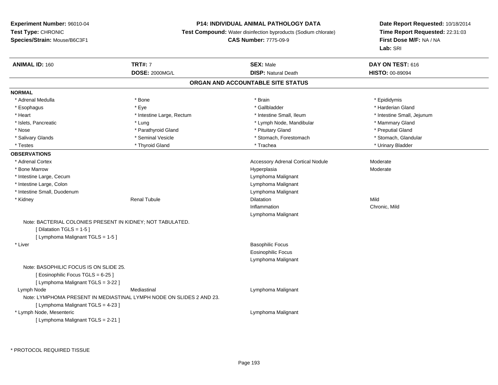### **P14: INDIVIDUAL ANIMAL PATHOLOGY DATA**

**Test Compound:** Water disinfection byproducts (Sodium chlorate)

```
CAS Number: 7775-09-9
```
**Date Report Requested:** 10/18/2014**Time Report Requested:** 22:31:03**First Dose M/F:** NA / NA**Lab:** SRI

| <b>ANIMAL ID: 160</b>                                                | <b>TRT#: 7</b>            | <b>SEX: Male</b>                         | DAY ON TEST: 616           |
|----------------------------------------------------------------------|---------------------------|------------------------------------------|----------------------------|
|                                                                      | <b>DOSE: 2000MG/L</b>     | <b>DISP: Natural Death</b>               | HISTO: 00-89094            |
|                                                                      |                           | ORGAN AND ACCOUNTABLE SITE STATUS        |                            |
| <b>NORMAL</b>                                                        |                           |                                          |                            |
| * Adrenal Medulla                                                    | * Bone                    | * Brain                                  | * Epididymis               |
| * Esophagus                                                          | * Eye                     | * Gallbladder                            | * Harderian Gland          |
| * Heart                                                              | * Intestine Large, Rectum | * Intestine Small, Ileum                 | * Intestine Small, Jejunum |
| * Islets, Pancreatic                                                 | * Lung                    | * Lymph Node, Mandibular                 | * Mammary Gland            |
| * Nose                                                               | * Parathyroid Gland       | * Pituitary Gland                        | * Preputial Gland          |
| * Salivary Glands                                                    | * Seminal Vesicle         | * Stomach, Forestomach                   | * Stomach, Glandular       |
| * Testes                                                             | * Thyroid Gland           | * Trachea                                | * Urinary Bladder          |
| <b>OBSERVATIONS</b>                                                  |                           |                                          |                            |
| * Adrenal Cortex                                                     |                           | <b>Accessory Adrenal Cortical Nodule</b> | Moderate                   |
| * Bone Marrow                                                        |                           | Hyperplasia                              | Moderate                   |
| * Intestine Large, Cecum                                             |                           | Lymphoma Malignant                       |                            |
| * Intestine Large, Colon                                             |                           | Lymphoma Malignant                       |                            |
| * Intestine Small, Duodenum                                          |                           | Lymphoma Malignant                       |                            |
| * Kidney                                                             | <b>Renal Tubule</b>       | <b>Dilatation</b>                        | Mild                       |
|                                                                      |                           | Inflammation                             | Chronic, Mild              |
|                                                                      |                           | Lymphoma Malignant                       |                            |
| Note: BACTERIAL COLONIES PRESENT IN KIDNEY; NOT TABULATED.           |                           |                                          |                            |
| [Dilatation TGLS = 1-5]                                              |                           |                                          |                            |
| [ Lymphoma Malignant TGLS = 1-5 ]                                    |                           |                                          |                            |
| * Liver                                                              |                           | <b>Basophilic Focus</b>                  |                            |
|                                                                      |                           | <b>Eosinophilic Focus</b>                |                            |
|                                                                      |                           | Lymphoma Malignant                       |                            |
| Note: BASOPHILIC FOCUS IS ON SLIDE 25.                               |                           |                                          |                            |
| [Eosinophilic Focus TGLS = 6-25]                                     |                           |                                          |                            |
| [ Lymphoma Malignant TGLS = 3-22 ]                                   |                           |                                          |                            |
| Lymph Node                                                           | Mediastinal               | Lymphoma Malignant                       |                            |
| Note: LYMPHOMA PRESENT IN MEDIASTINAL LYMPH NODE ON SLIDES 2 AND 23. |                           |                                          |                            |
| [ Lymphoma Malignant TGLS = 4-23 ]                                   |                           |                                          |                            |
| * Lymph Node, Mesenteric                                             |                           | Lymphoma Malignant                       |                            |
| [ Lymphoma Malignant TGLS = 2-21 ]                                   |                           |                                          |                            |

\* PROTOCOL REQUIRED TISSUE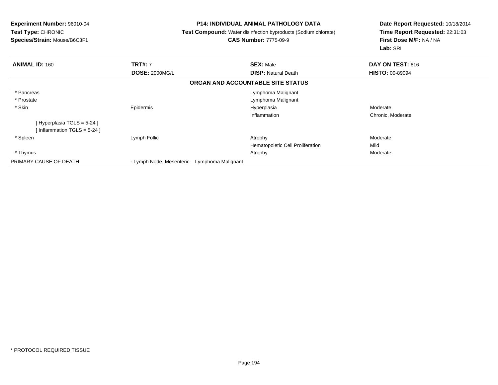**Experiment Number:** 96010-04**Test Type:** CHRONIC **Species/Strain:** Mouse/B6C3F1**P14: INDIVIDUAL ANIMAL PATHOLOGY DATA Test Compound:** Water disinfection byproducts (Sodium chlorate)**CAS Number:** 7775-09-9**Date Report Requested:** 10/18/2014**Time Report Requested:** 22:31:03**First Dose M/F:** NA / NA**Lab:** SRI**ANIMAL ID:** 160**TRT#:** 7 **SEX:** Male **DAY ON TEST:** 616 **DOSE:** 2000MG/L **DISP:** Natural Death **HISTO:** 00-89094 **ORGAN AND ACCOUNTABLE SITE STATUS** \* Pancreas Lymphoma Malignant \* Prostate Lymphoma Malignant \* Skinn and the energy of the energy of the energy of the energy of the energy of the energy  $\sim$  Moderate  $\sim$  Moderate  $\sim$ Inflammation Chronic, Moderate [ Hyperplasia TGLS = 5-24 ][ Inflammation TGLS = 5-24 ] \* Spleenn and the sumplement of the sumplement of the sum of the sum of the sum of the sum of the sum of the sum of the sum of the sum of the sum of the sum of the sum of the sum of the sum of the sum of the sum of the sum of the Hematopoietic Cell Proliferationn Mild \* Thymuss and the control of the control of the control of the control of the control of the control of the control of the control of the control of the control of the control of the control of the control of the control of the co PRIMARY CAUSE OF DEATH- Lymph Node, Mesenteric Lymphoma Malignant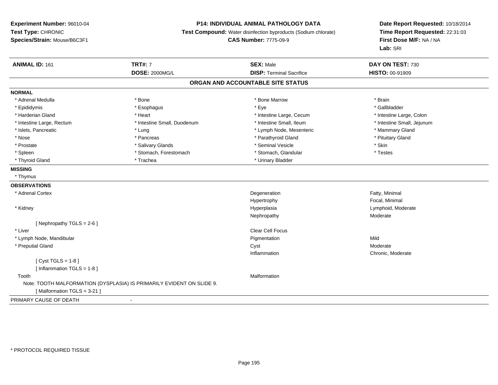## **P14: INDIVIDUAL ANIMAL PATHOLOGY DATA**

**Test Compound:** Water disinfection byproducts (Sodium chlorate)

**CAS Number:** 7775-09-9

| <b>ANIMAL ID: 161</b>        | <b>TRT#: 7</b>                                                        | <b>SEX: Male</b>                  | DAY ON TEST: 730           |
|------------------------------|-----------------------------------------------------------------------|-----------------------------------|----------------------------|
|                              | <b>DOSE: 2000MG/L</b>                                                 | <b>DISP: Terminal Sacrifice</b>   | HISTO: 00-91909            |
|                              |                                                                       | ORGAN AND ACCOUNTABLE SITE STATUS |                            |
| <b>NORMAL</b>                |                                                                       |                                   |                            |
| * Adrenal Medulla            | * Bone                                                                | * Bone Marrow                     | * Brain                    |
| * Epididymis                 | * Esophagus                                                           | * Eye                             | * Gallbladder              |
| * Harderian Gland            | * Heart                                                               | * Intestine Large, Cecum          | * Intestine Large, Colon   |
| * Intestine Large, Rectum    | * Intestine Small, Duodenum                                           | * Intestine Small, Ileum          | * Intestine Small, Jejunum |
| * Islets, Pancreatic         | * Lung                                                                | * Lymph Node, Mesenteric          | * Mammary Gland            |
| * Nose                       | * Pancreas                                                            | * Parathyroid Gland               | * Pituitary Gland          |
| * Prostate                   | * Salivary Glands                                                     | * Seminal Vesicle                 | * Skin                     |
| * Spleen                     | * Stomach, Forestomach                                                | * Stomach, Glandular              | * Testes                   |
| * Thyroid Gland              | * Trachea                                                             | * Urinary Bladder                 |                            |
| <b>MISSING</b>               |                                                                       |                                   |                            |
| * Thymus                     |                                                                       |                                   |                            |
| <b>OBSERVATIONS</b>          |                                                                       |                                   |                            |
| * Adrenal Cortex             |                                                                       | Degeneration                      | Fatty, Minimal             |
|                              |                                                                       | Hypertrophy                       | Focal, Minimal             |
| * Kidney                     |                                                                       | Hyperplasia                       | Lymphoid, Moderate         |
|                              |                                                                       | Nephropathy                       | Moderate                   |
| [Nephropathy TGLS = $2-6$ ]  |                                                                       |                                   |                            |
| * Liver                      |                                                                       | Clear Cell Focus                  |                            |
| * Lymph Node, Mandibular     |                                                                       | Pigmentation                      | Mild                       |
| * Preputial Gland            |                                                                       | Cyst                              | Moderate                   |
|                              |                                                                       | Inflammation                      | Chronic, Moderate          |
| [Cyst TGLS = $1-8$ ]         |                                                                       |                                   |                            |
| [Inflammation TGLS = $1-8$ ] |                                                                       |                                   |                            |
| Tooth                        |                                                                       | Malformation                      |                            |
|                              | Note: TOOTH MALFORMATION (DYSPLASIA) IS PRIMARILY EVIDENT ON SLIDE 9. |                                   |                            |
| [Malformation TGLS = 3-21]   |                                                                       |                                   |                            |
| PRIMARY CAUSE OF DEATH       | $\blacksquare$                                                        |                                   |                            |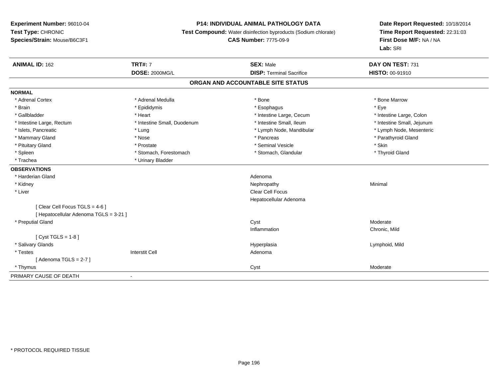### **P14: INDIVIDUAL ANIMAL PATHOLOGY DATA**

**Test Compound:** Water disinfection byproducts (Sodium chlorate)

**CAS Number:** 7775-09-9

| <b>ANIMAL ID: 162</b>                  | <b>TRT#: 7</b>              | <b>SEX: Male</b>                  | DAY ON TEST: 731           |
|----------------------------------------|-----------------------------|-----------------------------------|----------------------------|
|                                        | <b>DOSE: 2000MG/L</b>       | <b>DISP: Terminal Sacrifice</b>   | HISTO: 00-91910            |
|                                        |                             | ORGAN AND ACCOUNTABLE SITE STATUS |                            |
| <b>NORMAL</b>                          |                             |                                   |                            |
| * Adrenal Cortex                       | * Adrenal Medulla           | * Bone                            | * Bone Marrow              |
| * Brain                                | * Epididymis                | * Esophagus                       | * Eye                      |
| * Gallbladder                          | * Heart                     | * Intestine Large, Cecum          | * Intestine Large, Colon   |
| * Intestine Large, Rectum              | * Intestine Small, Duodenum | * Intestine Small, Ileum          | * Intestine Small, Jejunum |
| * Islets, Pancreatic                   | * Lung                      | * Lymph Node, Mandibular          | * Lymph Node, Mesenteric   |
| * Mammary Gland                        | * Nose                      | * Pancreas                        | * Parathyroid Gland        |
| * Pituitary Gland                      | * Prostate                  | * Seminal Vesicle                 | * Skin                     |
| * Spleen                               | * Stomach, Forestomach      | * Stomach, Glandular              | * Thyroid Gland            |
| * Trachea                              | * Urinary Bladder           |                                   |                            |
| <b>OBSERVATIONS</b>                    |                             |                                   |                            |
| * Harderian Gland                      |                             | Adenoma                           |                            |
| * Kidney                               |                             | Nephropathy                       | Minimal                    |
| * Liver                                |                             | <b>Clear Cell Focus</b>           |                            |
|                                        |                             | Hepatocellular Adenoma            |                            |
| [Clear Cell Focus TGLS = 4-6]          |                             |                                   |                            |
| [ Hepatocellular Adenoma TGLS = 3-21 ] |                             |                                   |                            |
| * Preputial Gland                      |                             | Cyst                              | Moderate                   |
|                                        |                             | Inflammation                      | Chronic, Mild              |
| [Cyst TGLS = 1-8]                      |                             |                                   |                            |
| * Salivary Glands                      |                             | Hyperplasia                       | Lymphoid, Mild             |
| * Testes                               | <b>Interstit Cell</b>       | Adenoma                           |                            |
| [Adenoma TGLS = $2-7$ ]                |                             |                                   |                            |
| * Thymus                               |                             | Cyst                              | Moderate                   |
| PRIMARY CAUSE OF DEATH                 | $\blacksquare$              |                                   |                            |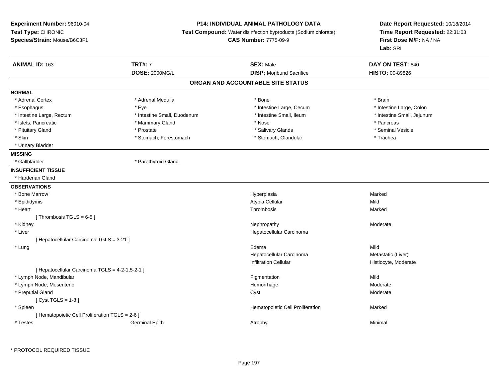## **P14: INDIVIDUAL ANIMAL PATHOLOGY DATA**

**Test Compound:** Water disinfection byproducts (Sodium chlorate)

**CAS Number:** 7775-09-9

**Date Report Requested:** 10/18/2014**Time Report Requested:** 22:31:03**First Dose M/F:** NA / NA**Lab:** SRI

| <b>ANIMAL ID: 163</b>                           | <b>TRT#: 7</b>              | <b>SEX: Male</b>                  | DAY ON TEST: 640           |  |
|-------------------------------------------------|-----------------------------|-----------------------------------|----------------------------|--|
|                                                 | <b>DOSE: 2000MG/L</b>       | <b>DISP:</b> Moribund Sacrifice   | HISTO: 00-89826            |  |
|                                                 |                             | ORGAN AND ACCOUNTABLE SITE STATUS |                            |  |
| <b>NORMAL</b>                                   |                             |                                   |                            |  |
| * Adrenal Cortex                                | * Adrenal Medulla           | * Bone                            | * Brain                    |  |
| * Esophagus                                     | * Eye                       | * Intestine Large, Cecum          | * Intestine Large, Colon   |  |
| * Intestine Large, Rectum                       | * Intestine Small, Duodenum | * Intestine Small, Ileum          | * Intestine Small, Jejunum |  |
| * Islets, Pancreatic                            | * Mammary Gland             | * Nose                            | * Pancreas                 |  |
| * Pituitary Gland                               | * Prostate                  | * Salivary Glands                 | * Seminal Vesicle          |  |
| * Skin                                          | * Stomach, Forestomach      | * Stomach, Glandular              | * Trachea                  |  |
| * Urinary Bladder                               |                             |                                   |                            |  |
| <b>MISSING</b>                                  |                             |                                   |                            |  |
| * Gallbladder                                   | * Parathyroid Gland         |                                   |                            |  |
| <b>INSUFFICIENT TISSUE</b>                      |                             |                                   |                            |  |
| * Harderian Gland                               |                             |                                   |                            |  |
| <b>OBSERVATIONS</b>                             |                             |                                   |                            |  |
| * Bone Marrow                                   |                             | Hyperplasia                       | Marked                     |  |
| * Epididymis                                    |                             | Atypia Cellular                   | Mild                       |  |
| * Heart                                         |                             | Thrombosis                        | Marked                     |  |
| [Thrombosis TGLS = $6-5$ ]                      |                             |                                   |                            |  |
| * Kidney                                        |                             | Nephropathy                       | Moderate                   |  |
| * Liver                                         |                             | Hepatocellular Carcinoma          |                            |  |
| [ Hepatocellular Carcinoma TGLS = 3-21 ]        |                             |                                   |                            |  |
| * Lung                                          |                             | Edema                             | Mild                       |  |
|                                                 |                             | Hepatocellular Carcinoma          | Metastatic (Liver)         |  |
|                                                 |                             | <b>Infiltration Cellular</b>      | Histiocyte, Moderate       |  |
| [ Hepatocellular Carcinoma TGLS = 4-2-1,5-2-1 ] |                             |                                   |                            |  |
| * Lymph Node, Mandibular                        |                             | Pigmentation                      | Mild                       |  |
| * Lymph Node, Mesenteric                        |                             | Hemorrhage                        | Moderate                   |  |
| * Preputial Gland                               |                             | Cyst                              | Moderate                   |  |
| [ $Cyst TGLS = 1-8$ ]                           |                             |                                   |                            |  |
| * Spleen                                        |                             | Hematopoietic Cell Proliferation  | Marked                     |  |
| [ Hematopoietic Cell Proliferation TGLS = 2-6 ] |                             |                                   |                            |  |
| * Testes                                        | <b>Germinal Epith</b>       | Atrophy                           | Minimal                    |  |
|                                                 |                             |                                   |                            |  |

\* PROTOCOL REQUIRED TISSUE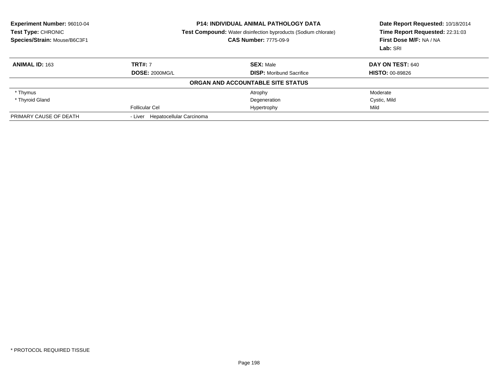| Experiment Number: 96010-04<br>Test Type: CHRONIC<br>Species/Strain: Mouse/B6C3F1 | <b>P14: INDIVIDUAL ANIMAL PATHOLOGY DATA</b><br><b>Test Compound:</b> Water disinfection byproducts (Sodium chlorate)<br><b>CAS Number: 7775-09-9</b> |                                   | Date Report Requested: 10/18/2014<br>Time Report Requested: 22:31:03<br>First Dose M/F: NA / NA<br>Lab: SRI |
|-----------------------------------------------------------------------------------|-------------------------------------------------------------------------------------------------------------------------------------------------------|-----------------------------------|-------------------------------------------------------------------------------------------------------------|
| <b>ANIMAL ID: 163</b>                                                             | <b>TRT#: 7</b>                                                                                                                                        | <b>SEX: Male</b>                  | DAY ON TEST: 640                                                                                            |
|                                                                                   | <b>DOSE: 2000MG/L</b>                                                                                                                                 | <b>DISP:</b> Moribund Sacrifice   | <b>HISTO: 00-89826</b>                                                                                      |
|                                                                                   |                                                                                                                                                       | ORGAN AND ACCOUNTABLE SITE STATUS |                                                                                                             |
| * Thymus                                                                          |                                                                                                                                                       | Atrophy                           | Moderate                                                                                                    |
| * Thyroid Gland                                                                   |                                                                                                                                                       | Degeneration                      | Cystic, Mild                                                                                                |
|                                                                                   | <b>Follicular Cel</b>                                                                                                                                 | Hypertrophy                       | Mild                                                                                                        |
| PRIMARY CAUSE OF DEATH                                                            | - Liver Hepatocellular Carcinoma                                                                                                                      |                                   |                                                                                                             |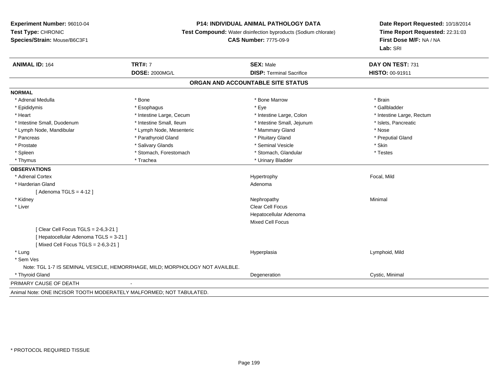#### **P14: INDIVIDUAL ANIMAL PATHOLOGY DATA**

**Test Compound:** Water disinfection byproducts (Sodium chlorate)

**CAS Number:** 7775-09-9

**Date Report Requested:** 10/18/2014**Time Report Requested:** 22:31:03**First Dose M/F:** NA / NA**Lab:** SRI

| <b>ANIMAL ID: 164</b>                | <b>TRT#: 7</b>                                                               | <b>SEX: Male</b>                  | DAY ON TEST: 731          |
|--------------------------------------|------------------------------------------------------------------------------|-----------------------------------|---------------------------|
|                                      | <b>DOSE: 2000MG/L</b>                                                        | <b>DISP: Terminal Sacrifice</b>   | HISTO: 00-91911           |
|                                      |                                                                              | ORGAN AND ACCOUNTABLE SITE STATUS |                           |
| <b>NORMAL</b>                        |                                                                              |                                   |                           |
| * Adrenal Medulla                    | * Bone                                                                       | * Bone Marrow                     | * Brain                   |
| * Epididymis                         | * Esophagus                                                                  | * Eye                             | * Gallbladder             |
| * Heart                              | * Intestine Large, Cecum                                                     | * Intestine Large, Colon          | * Intestine Large, Rectum |
| * Intestine Small, Duodenum          | * Intestine Small, Ileum                                                     | * Intestine Small, Jejunum        | * Islets, Pancreatic      |
| * Lymph Node, Mandibular             | * Lymph Node, Mesenteric                                                     | * Mammary Gland                   | * Nose                    |
| * Pancreas                           | * Parathyroid Gland                                                          | * Pituitary Gland                 | * Preputial Gland         |
| * Prostate                           | * Salivary Glands                                                            | * Seminal Vesicle                 | * Skin                    |
| * Spleen                             | * Stomach, Forestomach                                                       | * Stomach, Glandular              | * Testes                  |
| * Thymus                             | * Trachea                                                                    | * Urinary Bladder                 |                           |
| <b>OBSERVATIONS</b>                  |                                                                              |                                   |                           |
| * Adrenal Cortex                     |                                                                              | Hypertrophy                       | Focal, Mild               |
| * Harderian Gland                    |                                                                              | Adenoma                           |                           |
| [Adenoma TGLS = $4-12$ ]             |                                                                              |                                   |                           |
| * Kidney                             |                                                                              | Nephropathy                       | Minimal                   |
| * Liver                              |                                                                              | <b>Clear Cell Focus</b>           |                           |
|                                      |                                                                              | Hepatocellular Adenoma            |                           |
|                                      |                                                                              | <b>Mixed Cell Focus</b>           |                           |
| [Clear Cell Focus TGLS = 2-6,3-21]   |                                                                              |                                   |                           |
| [Hepatocellular Adenoma TGLS = 3-21] |                                                                              |                                   |                           |
| [Mixed Cell Focus TGLS = 2-6,3-21]   |                                                                              |                                   |                           |
| * Lung                               |                                                                              | Hyperplasia                       | Lymphoid, Mild            |
| * Sem Ves                            |                                                                              |                                   |                           |
|                                      | Note: TGL 1-7 IS SEMINAL VESICLE, HEMORRHAGE, MILD; MORPHOLOGY NOT AVAILBLE. |                                   |                           |
| * Thyroid Gland                      |                                                                              | Degeneration                      | Cystic, Minimal           |
| PRIMARY CAUSE OF DEATH               |                                                                              |                                   |                           |
|                                      |                                                                              |                                   |                           |

Animal Note: ONE INCISOR TOOTH MODERATELY MALFORMED; NOT TABULATED.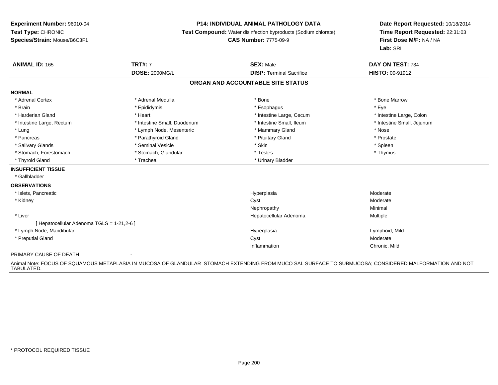#### **P14: INDIVIDUAL ANIMAL PATHOLOGY DATA**

**Test Compound:** Water disinfection byproducts (Sodium chlorate)

**CAS Number:** 7775-09-9

**Date Report Requested:** 10/18/2014**Time Report Requested:** 22:31:03**First Dose M/F:** NA / NA**Lab:** SRI

| <b>ANIMAL ID: 165</b>                      | <b>TRT#: 7</b>              | <b>SEX: Male</b>                  | DAY ON TEST: 734           |
|--------------------------------------------|-----------------------------|-----------------------------------|----------------------------|
|                                            | <b>DOSE: 2000MG/L</b>       | <b>DISP: Terminal Sacrifice</b>   | <b>HISTO: 00-91912</b>     |
|                                            |                             | ORGAN AND ACCOUNTABLE SITE STATUS |                            |
| <b>NORMAL</b>                              |                             |                                   |                            |
| * Adrenal Cortex                           | * Adrenal Medulla           | * Bone                            | * Bone Marrow              |
| * Brain                                    | * Epididymis                | * Esophagus                       | * Eye                      |
| * Harderian Gland                          | * Heart                     | * Intestine Large, Cecum          | * Intestine Large, Colon   |
| * Intestine Large, Rectum                  | * Intestine Small, Duodenum | * Intestine Small, Ileum          | * Intestine Small, Jejunum |
| * Lung                                     | * Lymph Node, Mesenteric    | * Mammary Gland                   | * Nose                     |
| * Pancreas                                 | * Parathyroid Gland         | * Pituitary Gland                 | * Prostate                 |
| * Salivary Glands                          | * Seminal Vesicle           | * Skin                            | * Spleen                   |
| * Stomach, Forestomach                     | * Stomach, Glandular        | * Testes                          | * Thymus                   |
| * Thyroid Gland                            | * Trachea                   | * Urinary Bladder                 |                            |
| <b>INSUFFICIENT TISSUE</b>                 |                             |                                   |                            |
| * Gallbladder                              |                             |                                   |                            |
| <b>OBSERVATIONS</b>                        |                             |                                   |                            |
| * Islets, Pancreatic                       |                             | Hyperplasia                       | Moderate                   |
| * Kidney                                   |                             | Cyst                              | Moderate                   |
|                                            |                             | Nephropathy                       | Minimal                    |
| * Liver                                    |                             | Hepatocellular Adenoma            | Multiple                   |
| [ Hepatocellular Adenoma TGLS = 1-21,2-6 ] |                             |                                   |                            |
| * Lymph Node, Mandibular                   |                             | Hyperplasia                       | Lymphoid, Mild             |
| * Preputial Gland                          |                             | Cyst                              | Moderate                   |
|                                            |                             | Inflammation                      | Chronic, Mild              |
| PRIMARY CAUSE OF DEATH                     | $\overline{\phantom{a}}$    |                                   |                            |

Animal Note: FOCUS OF SQUAMOUS METAPLASIA IN MUCOSA OF GLANDULAR STOMACH EXTENDING FROM MUCO SAL SURFACE TO SUBMUCOSA; CONSIDERED MALFORMATION AND NOT<br>TABULATED.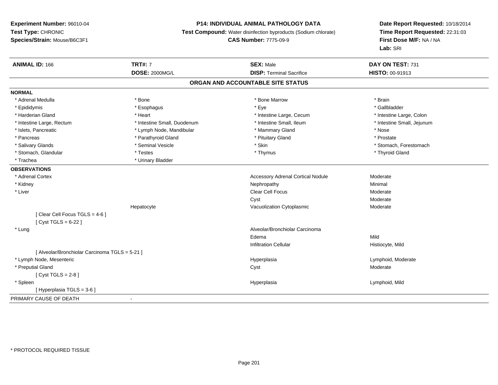## **P14: INDIVIDUAL ANIMAL PATHOLOGY DATA**

**Test Compound:** Water disinfection byproducts (Sodium chlorate)

**CAS Number:** 7775-09-9

| <b>ANIMAL ID: 166</b>                          | <b>TRT#: 7</b>              | <b>SEX: Male</b>                         | DAY ON TEST: 731           |
|------------------------------------------------|-----------------------------|------------------------------------------|----------------------------|
|                                                | <b>DOSE: 2000MG/L</b>       | <b>DISP: Terminal Sacrifice</b>          | HISTO: 00-91913            |
|                                                |                             | ORGAN AND ACCOUNTABLE SITE STATUS        |                            |
| <b>NORMAL</b>                                  |                             |                                          |                            |
| * Adrenal Medulla                              | * Bone                      | * Bone Marrow                            | * Brain                    |
| * Epididymis                                   | * Esophagus                 | * Eye                                    | * Gallbladder              |
| * Harderian Gland                              | * Heart                     | * Intestine Large, Cecum                 | * Intestine Large, Colon   |
| * Intestine Large, Rectum                      | * Intestine Small, Duodenum | * Intestine Small, Ileum                 | * Intestine Small, Jejunum |
| * Islets, Pancreatic                           | * Lymph Node, Mandibular    | * Mammary Gland                          | * Nose                     |
| * Pancreas                                     | * Parathyroid Gland         | * Pituitary Gland                        | * Prostate                 |
| * Salivary Glands                              | * Seminal Vesicle           | * Skin                                   | * Stomach, Forestomach     |
| * Stomach, Glandular                           | * Testes                    | * Thymus                                 | * Thyroid Gland            |
| * Trachea                                      | * Urinary Bladder           |                                          |                            |
| <b>OBSERVATIONS</b>                            |                             |                                          |                            |
| * Adrenal Cortex                               |                             | <b>Accessory Adrenal Cortical Nodule</b> | Moderate                   |
| * Kidney                                       |                             | Nephropathy                              | Minimal                    |
| * Liver                                        |                             | Clear Cell Focus                         | Moderate                   |
|                                                |                             | Cyst                                     | Moderate                   |
|                                                | Hepatocyte                  | Vacuolization Cytoplasmic                | Moderate                   |
| [Clear Cell Focus TGLS = 4-6]                  |                             |                                          |                            |
| [ $Cyst TGLS = 6-22$ ]                         |                             |                                          |                            |
| * Lung                                         |                             | Alveolar/Bronchiolar Carcinoma           |                            |
|                                                |                             | Edema                                    | Mild                       |
|                                                |                             | <b>Infiltration Cellular</b>             | Histiocyte, Mild           |
| [ Alveolar/Bronchiolar Carcinoma TGLS = 5-21 ] |                             |                                          |                            |
| * Lymph Node, Mesenteric                       |                             | Hyperplasia                              | Lymphoid, Moderate         |
| * Preputial Gland                              |                             | Cyst                                     | Moderate                   |
| [ $Cyst TGLS = 2-8$ ]                          |                             |                                          |                            |
| * Spleen                                       |                             | Hyperplasia                              | Lymphoid, Mild             |
| [ Hyperplasia TGLS = 3-6 ]                     |                             |                                          |                            |
| PRIMARY CAUSE OF DEATH                         |                             |                                          |                            |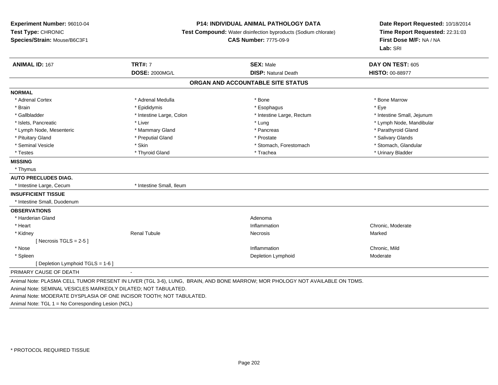#### **P14: INDIVIDUAL ANIMAL PATHOLOGY DATA**

**Test Compound:** Water disinfection byproducts (Sodium chlorate)

#### **CAS Number:** 7775-09-9

**Date Report Requested:** 10/18/2014**Time Report Requested:** 22:31:03**First Dose M/F:** NA / NA**Lab:** SRI

| <b>ANIMAL ID: 167</b>           | <b>TRT#: 7</b>           | <b>SEX: Male</b>                                                                                                            | DAY ON TEST: 605           |
|---------------------------------|--------------------------|-----------------------------------------------------------------------------------------------------------------------------|----------------------------|
|                                 | <b>DOSE: 2000MG/L</b>    | <b>DISP: Natural Death</b>                                                                                                  | <b>HISTO: 00-88977</b>     |
|                                 |                          | ORGAN AND ACCOUNTABLE SITE STATUS                                                                                           |                            |
| <b>NORMAL</b>                   |                          |                                                                                                                             |                            |
| * Adrenal Cortex                | * Adrenal Medulla        | * Bone                                                                                                                      | * Bone Marrow              |
| * Brain                         | * Epididymis             | * Esophagus                                                                                                                 | * Eye                      |
| * Gallbladder                   | * Intestine Large, Colon | * Intestine Large, Rectum                                                                                                   | * Intestine Small, Jejunum |
| * Islets. Pancreatic            | * Liver                  | * Lung                                                                                                                      | * Lymph Node, Mandibular   |
| * Lymph Node, Mesenteric        | * Mammary Gland          | * Pancreas                                                                                                                  | * Parathyroid Gland        |
| * Pituitary Gland               | * Preputial Gland        | * Prostate                                                                                                                  | * Salivary Glands          |
| * Seminal Vesicle               | * Skin                   | * Stomach, Forestomach                                                                                                      | * Stomach, Glandular       |
| * Testes                        | * Thyroid Gland          | * Trachea                                                                                                                   | * Urinary Bladder          |
| <b>MISSING</b>                  |                          |                                                                                                                             |                            |
| * Thymus                        |                          |                                                                                                                             |                            |
| <b>AUTO PRECLUDES DIAG.</b>     |                          |                                                                                                                             |                            |
| * Intestine Large, Cecum        | * Intestine Small, Ileum |                                                                                                                             |                            |
| <b>INSUFFICIENT TISSUE</b>      |                          |                                                                                                                             |                            |
| * Intestine Small, Duodenum     |                          |                                                                                                                             |                            |
| <b>OBSERVATIONS</b>             |                          |                                                                                                                             |                            |
| * Harderian Gland               |                          | Adenoma                                                                                                                     |                            |
| * Heart                         |                          | Inflammation                                                                                                                | Chronic, Moderate          |
| * Kidney                        | <b>Renal Tubule</b>      | Necrosis                                                                                                                    | Marked                     |
| [Necrosis TGLS = $2-5$ ]        |                          |                                                                                                                             |                            |
| * Nose                          |                          | Inflammation                                                                                                                | Chronic, Mild              |
| * Spleen                        |                          | Depletion Lymphoid                                                                                                          | Moderate                   |
| [Depletion Lymphoid TGLS = 1-6] |                          |                                                                                                                             |                            |
| PRIMARY CAUSE OF DEATH          | $\sim$                   |                                                                                                                             |                            |
|                                 |                          | Animal Note: PLASMA CELL TUMOR PRESENT IN LIVER (TGL 3-6), LUNG, BRAIN, AND BONE MARROW; MOR PHOLOGY NOT AVAILABLE ON TDMS. |                            |

Animal Note: MODERATE DYSPLASIA OF ONE INCISOR TOOTH; NOT TABULATED.

Animal Note: TGL 1 = No Corresponding Lesion (NCL)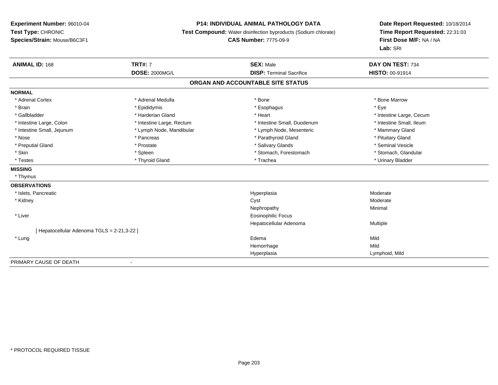### **P14: INDIVIDUAL ANIMAL PATHOLOGY DATA**

**Test Compound:** Water disinfection byproducts (Sodium chlorate)

**CAS Number:** 7775-09-9

| <b>ANIMAL ID: 168</b>                      | <b>TRT#: 7</b>            | <b>SEX: Male</b>                  | DAY ON TEST: 734         |
|--------------------------------------------|---------------------------|-----------------------------------|--------------------------|
|                                            | <b>DOSE: 2000MG/L</b>     | <b>DISP: Terminal Sacrifice</b>   | <b>HISTO: 00-91914</b>   |
|                                            |                           | ORGAN AND ACCOUNTABLE SITE STATUS |                          |
| <b>NORMAL</b>                              |                           |                                   |                          |
| * Adrenal Cortex                           | * Adrenal Medulla         | * Bone                            | * Bone Marrow            |
| * Brain                                    | * Epididymis              | * Esophagus                       | * Eye                    |
| * Gallbladder                              | * Harderian Gland         | * Heart                           | * Intestine Large, Cecum |
| * Intestine Large, Colon                   | * Intestine Large, Rectum | * Intestine Small, Duodenum       | * Intestine Small. Ileum |
| * Intestine Small, Jejunum                 | * Lymph Node, Mandibular  | * Lymph Node, Mesenteric          | * Mammary Gland          |
| * Nose                                     | * Pancreas                | * Parathyroid Gland               | * Pituitary Gland        |
| * Preputial Gland                          | * Prostate                | * Salivary Glands                 | * Seminal Vesicle        |
| * Skin                                     | * Spleen                  | * Stomach, Forestomach            | * Stomach, Glandular     |
| * Testes                                   | * Thyroid Gland           | * Trachea                         | * Urinary Bladder        |
| <b>MISSING</b>                             |                           |                                   |                          |
| * Thymus                                   |                           |                                   |                          |
| <b>OBSERVATIONS</b>                        |                           |                                   |                          |
| * Islets, Pancreatic                       |                           | Hyperplasia                       | Moderate                 |
| * Kidney                                   |                           | Cyst                              | Moderate                 |
|                                            |                           | Nephropathy                       | Minimal                  |
| * Liver                                    |                           | <b>Eosinophilic Focus</b>         |                          |
|                                            |                           | Hepatocellular Adenoma            | Multiple                 |
| [Hepatocellular Adenoma TGLS = 2-21,3-22 ] |                           |                                   |                          |
| * Lung                                     |                           | Edema                             | Mild                     |
|                                            |                           | Hemorrhage                        | Mild                     |
|                                            |                           | Hyperplasia                       | Lymphoid, Mild           |
| PRIMARY CAUSE OF DEATH                     | $\overline{a}$            |                                   |                          |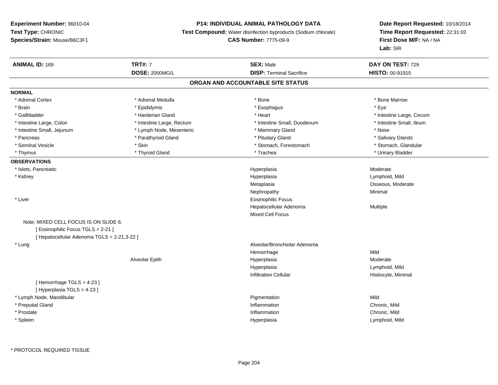## **P14: INDIVIDUAL ANIMAL PATHOLOGY DATA**

**Test Compound:** Water disinfection byproducts (Sodium chlorate)

# **CAS Number:** 7775-09-9

| <b>ANIMAL ID: 169</b>                       | <b>TRT#: 7</b>            | <b>SEX: Male</b>                  | DAY ON TEST: 729         |  |
|---------------------------------------------|---------------------------|-----------------------------------|--------------------------|--|
|                                             | <b>DOSE: 2000MG/L</b>     | <b>DISP: Terminal Sacrifice</b>   | HISTO: 00-91915          |  |
|                                             |                           | ORGAN AND ACCOUNTABLE SITE STATUS |                          |  |
| <b>NORMAL</b>                               |                           |                                   |                          |  |
| * Adrenal Cortex                            | * Adrenal Medulla         | * Bone                            | * Bone Marrow            |  |
| * Brain                                     | * Epididymis              | * Esophagus                       | * Eye                    |  |
| * Gallbladder                               | * Harderian Gland         | * Heart                           | * Intestine Large, Cecum |  |
| * Intestine Large, Colon                    | * Intestine Large, Rectum | * Intestine Small, Duodenum       | * Intestine Small, Ileum |  |
| * Intestine Small, Jejunum                  | * Lymph Node, Mesenteric  | * Mammary Gland                   | * Nose                   |  |
| * Pancreas                                  | * Parathyroid Gland       | * Pituitary Gland                 | * Salivary Glands        |  |
| * Seminal Vesicle                           | * Skin                    | * Stomach, Forestomach            | * Stomach, Glandular     |  |
| * Thymus                                    | * Thyroid Gland           | * Trachea                         | * Urinary Bladder        |  |
| <b>OBSERVATIONS</b>                         |                           |                                   |                          |  |
| * Islets, Pancreatic                        |                           | Hyperplasia                       | Moderate                 |  |
| * Kidney                                    |                           | Hyperplasia                       | Lymphoid, Mild           |  |
|                                             |                           | Metaplasia                        | Osseous, Moderate        |  |
|                                             |                           | Nephropathy                       | Minimal                  |  |
| * Liver                                     |                           | <b>Eosinophilic Focus</b>         |                          |  |
|                                             |                           | Hepatocellular Adenoma            | Multiple                 |  |
|                                             |                           | Mixed Cell Focus                  |                          |  |
| Note: MIXED CELL FOCUS IS ON SLIDE 6.       |                           |                                   |                          |  |
| [ Eosinophilic Focus TGLS = 2-21 ]          |                           |                                   |                          |  |
| [ Hepatocellular Adenoma TGLS = 2-21,3-22 ] |                           |                                   |                          |  |
| * Lung                                      |                           | Alveolar/Bronchiolar Adenoma      |                          |  |
|                                             |                           | Hemorrhage                        | Mild                     |  |
|                                             | Alveolar Epith            | Hyperplasia                       | Moderate                 |  |
|                                             |                           | Hyperplasia                       | Lymphoid, Mild           |  |
|                                             |                           | <b>Infiltration Cellular</b>      | Histiocyte, Minimal      |  |
| [Hemorrhage TGLS = 4-23]                    |                           |                                   |                          |  |
| [ Hyperplasia TGLS = 4-23 ]                 |                           |                                   |                          |  |
| * Lymph Node, Mandibular                    |                           | Pigmentation                      | Mild                     |  |
| * Preputial Gland                           |                           | Inflammation                      | Chronic, Mild            |  |
| * Prostate                                  |                           | Inflammation                      | Chronic, Mild            |  |
| * Spleen                                    |                           | Hyperplasia                       | Lymphoid, Mild           |  |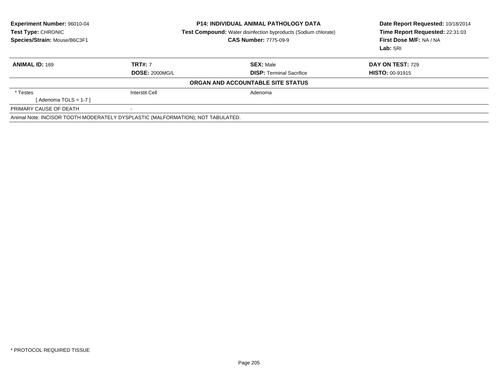| <b>Experiment Number: 96010-04</b><br><b>Test Type: CHRONIC</b><br>Species/Strain: Mouse/B6C3F1 | <b>P14: INDIVIDUAL ANIMAL PATHOLOGY DATA</b><br><b>Test Compound:</b> Water disinfection byproducts (Sodium chlorate)<br><b>CAS Number: 7775-09-9</b> |                                   | Date Report Requested: 10/18/2014<br>Time Report Requested: 22:31:03<br>First Dose M/F: NA / NA<br>Lab: SRI |
|-------------------------------------------------------------------------------------------------|-------------------------------------------------------------------------------------------------------------------------------------------------------|-----------------------------------|-------------------------------------------------------------------------------------------------------------|
| <b>ANIMAL ID: 169</b>                                                                           | <b>TRT#: 7</b>                                                                                                                                        | <b>SEX: Male</b>                  | DAY ON TEST: 729                                                                                            |
|                                                                                                 | <b>DOSE: 2000MG/L</b>                                                                                                                                 | <b>DISP:</b> Terminal Sacrifice   | <b>HISTO: 00-91915</b>                                                                                      |
|                                                                                                 |                                                                                                                                                       | ORGAN AND ACCOUNTABLE SITE STATUS |                                                                                                             |
| * Testes                                                                                        | <b>Interstit Cell</b>                                                                                                                                 | Adenoma                           |                                                                                                             |
| [ Adenoma TGLS = 1-7 ]                                                                          |                                                                                                                                                       |                                   |                                                                                                             |
| PRIMARY CAUSE OF DEATH                                                                          |                                                                                                                                                       |                                   |                                                                                                             |
| Animal Note: INCISOR TOOTH MODERATELY DYSPLASTIC (MALFORMATION); NOT TABULATED.                 |                                                                                                                                                       |                                   |                                                                                                             |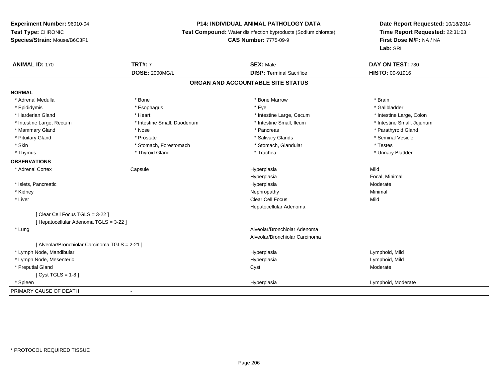### **P14: INDIVIDUAL ANIMAL PATHOLOGY DATA**

**Test Compound:** Water disinfection byproducts (Sodium chlorate)

# **CAS Number:** 7775-09-9

| <b>ANIMAL ID: 170</b>                          | <b>TRT#: 7</b>              | <b>SEX: Male</b>                  | DAY ON TEST: 730           |
|------------------------------------------------|-----------------------------|-----------------------------------|----------------------------|
|                                                | <b>DOSE: 2000MG/L</b>       | <b>DISP: Terminal Sacrifice</b>   | HISTO: 00-91916            |
|                                                |                             | ORGAN AND ACCOUNTABLE SITE STATUS |                            |
| <b>NORMAL</b>                                  |                             |                                   |                            |
| * Adrenal Medulla                              | * Bone                      | * Bone Marrow                     | * Brain                    |
| * Epididymis                                   | * Esophagus                 | * Eye                             | * Gallbladder              |
| * Harderian Gland                              | * Heart                     | * Intestine Large, Cecum          | * Intestine Large, Colon   |
| * Intestine Large, Rectum                      | * Intestine Small, Duodenum | * Intestine Small, Ileum          | * Intestine Small, Jejunum |
| * Mammary Gland                                | * Nose                      | * Pancreas                        | * Parathyroid Gland        |
| * Pituitary Gland                              | * Prostate                  | * Salivary Glands                 | * Seminal Vesicle          |
| * Skin                                         | * Stomach, Forestomach      | * Stomach, Glandular              | * Testes                   |
| * Thymus                                       | * Thyroid Gland             | * Trachea                         | * Urinary Bladder          |
| <b>OBSERVATIONS</b>                            |                             |                                   |                            |
| * Adrenal Cortex                               | Capsule                     | Hyperplasia                       | Mild                       |
|                                                |                             | Hyperplasia                       | Focal, Minimal             |
| * Islets, Pancreatic                           |                             | Hyperplasia                       | Moderate                   |
| * Kidney                                       |                             | Nephropathy                       | Minimal                    |
| * Liver                                        |                             | Clear Cell Focus                  | Mild                       |
|                                                |                             | Hepatocellular Adenoma            |                            |
| [Clear Cell Focus TGLS = 3-22 ]                |                             |                                   |                            |
| [Hepatocellular Adenoma TGLS = 3-22]           |                             |                                   |                            |
| * Lung                                         |                             | Alveolar/Bronchiolar Adenoma      |                            |
|                                                |                             | Alveolar/Bronchiolar Carcinoma    |                            |
| [ Alveolar/Bronchiolar Carcinoma TGLS = 2-21 ] |                             |                                   |                            |
| * Lymph Node, Mandibular                       |                             | Hyperplasia                       | Lymphoid, Mild             |
| * Lymph Node, Mesenteric                       |                             | Hyperplasia                       | Lymphoid, Mild             |
| * Preputial Gland                              |                             | Cyst                              | Moderate                   |
| [ $Cyst TGLS = 1-8$ ]                          |                             |                                   |                            |
| * Spleen                                       |                             | Hyperplasia                       | Lymphoid, Moderate         |
| PRIMARY CAUSE OF DEATH                         | $\overline{\phantom{a}}$    |                                   |                            |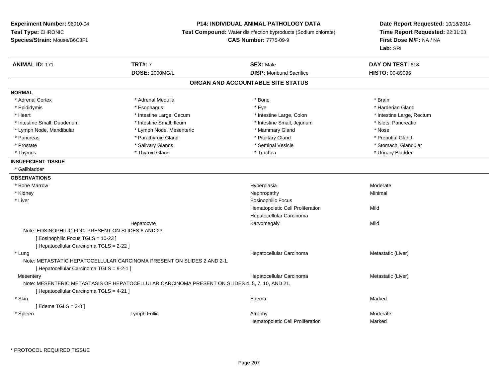### **P14: INDIVIDUAL ANIMAL PATHOLOGY DATA**

**Test Compound:** Water disinfection byproducts (Sodium chlorate)

**CAS Number:** 7775-09-9

**Date Report Requested:** 10/18/2014**Time Report Requested:** 22:31:03**First Dose M/F:** NA / NA**Lab:** SRI

| <b>ANIMAL ID: 171</b>                               | <b>TRT#: 7</b>                                                                                 | <b>SEX: Male</b>                  | DAY ON TEST: 618          |
|-----------------------------------------------------|------------------------------------------------------------------------------------------------|-----------------------------------|---------------------------|
|                                                     | <b>DOSE: 2000MG/L</b>                                                                          | <b>DISP:</b> Moribund Sacrifice   | <b>HISTO: 00-89095</b>    |
|                                                     |                                                                                                | ORGAN AND ACCOUNTABLE SITE STATUS |                           |
| <b>NORMAL</b>                                       |                                                                                                |                                   |                           |
| * Adrenal Cortex                                    | * Adrenal Medulla                                                                              | * Bone                            | * Brain                   |
| * Epididymis                                        | * Esophagus                                                                                    | * Eye                             | * Harderian Gland         |
| * Heart                                             | * Intestine Large, Cecum                                                                       | * Intestine Large, Colon          | * Intestine Large, Rectum |
| * Intestine Small, Duodenum                         | * Intestine Small, Ileum                                                                       | * Intestine Small, Jejunum        | * Islets, Pancreatic      |
| * Lymph Node, Mandibular                            | * Lymph Node, Mesenteric                                                                       | * Mammary Gland                   | * Nose                    |
| * Pancreas                                          | * Parathyroid Gland                                                                            | * Pituitary Gland                 | * Preputial Gland         |
| * Prostate                                          | * Salivary Glands                                                                              | * Seminal Vesicle                 | * Stomach, Glandular      |
| * Thymus                                            | * Thyroid Gland                                                                                | * Trachea                         | * Urinary Bladder         |
| <b>INSUFFICIENT TISSUE</b>                          |                                                                                                |                                   |                           |
| * Gallbladder                                       |                                                                                                |                                   |                           |
| <b>OBSERVATIONS</b>                                 |                                                                                                |                                   |                           |
| * Bone Marrow                                       |                                                                                                | Hyperplasia                       | Moderate                  |
| * Kidney                                            |                                                                                                | Nephropathy                       | Minimal                   |
| * Liver                                             |                                                                                                | <b>Eosinophilic Focus</b>         |                           |
|                                                     |                                                                                                | Hematopoietic Cell Proliferation  | Mild                      |
|                                                     |                                                                                                | Hepatocellular Carcinoma          |                           |
|                                                     | Hepatocyte                                                                                     | Karyomegaly                       | Mild                      |
| Note: EOSINOPHILIC FOCI PRESENT ON SLIDES 6 AND 23. |                                                                                                |                                   |                           |
| [Eosinophilic Focus TGLS = 10-23]                   |                                                                                                |                                   |                           |
| [ Hepatocellular Carcinoma TGLS = 2-22 ]            |                                                                                                |                                   |                           |
| * Lung                                              |                                                                                                | Hepatocellular Carcinoma          | Metastatic (Liver)        |
|                                                     | Note: METASTATIC HEPATOCELLULAR CARCINOMA PRESENT ON SLIDES 2 AND 2-1.                         |                                   |                           |
| [ Hepatocellular Carcinoma TGLS = 9-2-1 ]           |                                                                                                |                                   |                           |
| Mesentery                                           |                                                                                                | Hepatocellular Carcinoma          | Metastatic (Liver)        |
|                                                     | Note: MESENTERIC METASTASIS OF HEPATOCELLULAR CARCINOMA PRESENT ON SLIDES 4, 5, 7, 10, AND 21. |                                   |                           |
| [ Hepatocellular Carcinoma TGLS = 4-21 ]            |                                                                                                |                                   |                           |
| * Skin                                              |                                                                                                | Edema                             | Marked                    |
| [Edema TGLS = 3-8]                                  |                                                                                                |                                   |                           |
| * Spleen                                            | Lymph Follic                                                                                   | Atrophy                           | Moderate                  |
|                                                     |                                                                                                | Hematopoietic Cell Proliferation  | Marked                    |

\* PROTOCOL REQUIRED TISSUE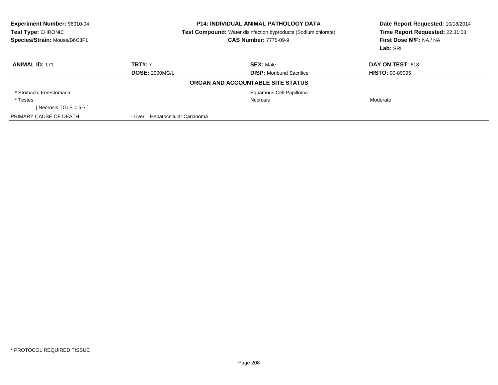| Experiment Number: 96010-04<br>Test Type: CHRONIC<br>Species/Strain: Mouse/B6C3F1 | <b>P14: INDIVIDUAL ANIMAL PATHOLOGY DATA</b><br><b>Test Compound:</b> Water disinfection byproducts (Sodium chlorate)<br><b>CAS Number: 7775-09-9</b> |                                   | Date Report Requested: 10/18/2014<br>Time Report Requested: 22:31:03<br>First Dose M/F: NA / NA<br>Lab: SRI |  |
|-----------------------------------------------------------------------------------|-------------------------------------------------------------------------------------------------------------------------------------------------------|-----------------------------------|-------------------------------------------------------------------------------------------------------------|--|
| <b>ANIMAL ID: 171</b>                                                             | <b>TRT#: 7</b>                                                                                                                                        | <b>SEX: Male</b>                  | <b>DAY ON TEST: 618</b>                                                                                     |  |
|                                                                                   | <b>DOSE: 2000MG/L</b>                                                                                                                                 | <b>DISP:</b> Moribund Sacrifice   | <b>HISTO: 00-89095</b>                                                                                      |  |
|                                                                                   |                                                                                                                                                       | ORGAN AND ACCOUNTABLE SITE STATUS |                                                                                                             |  |
| * Stomach, Forestomach                                                            |                                                                                                                                                       | Squamous Cell Papilloma           |                                                                                                             |  |
| * Testes                                                                          |                                                                                                                                                       | <b>Necrosis</b>                   | Moderate                                                                                                    |  |
| [ Necrosis TGLS = $5-7$ ]                                                         |                                                                                                                                                       |                                   |                                                                                                             |  |
| PRIMARY CAUSE OF DEATH                                                            | - Liver Hepatocellular Carcinoma                                                                                                                      |                                   |                                                                                                             |  |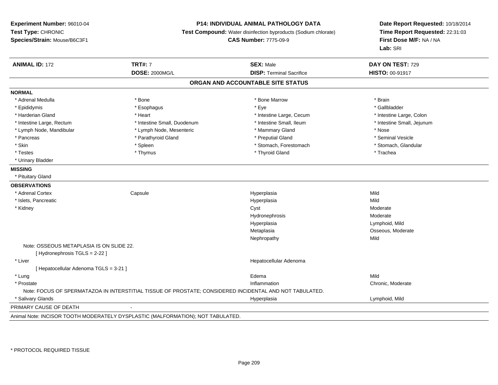### **P14: INDIVIDUAL ANIMAL PATHOLOGY DATA**

**Test Compound:** Water disinfection byproducts (Sodium chlorate)

**CAS Number:** 7775-09-9

| <b>ANIMAL ID: 172</b>                    | <b>TRT#: 7</b>                                                                                          | <b>SEX: Male</b>                  | DAY ON TEST: 729           |
|------------------------------------------|---------------------------------------------------------------------------------------------------------|-----------------------------------|----------------------------|
|                                          | <b>DOSE: 2000MG/L</b>                                                                                   | <b>DISP: Terminal Sacrifice</b>   | HISTO: 00-91917            |
|                                          |                                                                                                         | ORGAN AND ACCOUNTABLE SITE STATUS |                            |
| <b>NORMAL</b>                            |                                                                                                         |                                   |                            |
| * Adrenal Medulla                        | * Bone                                                                                                  | * Bone Marrow                     | * Brain                    |
| * Epididymis                             | * Esophagus                                                                                             | * Eye                             | * Gallbladder              |
| * Harderian Gland                        | * Heart                                                                                                 | * Intestine Large, Cecum          | * Intestine Large, Colon   |
| * Intestine Large, Rectum                | * Intestine Small, Duodenum                                                                             | * Intestine Small, Ileum          | * Intestine Small, Jejunum |
| * Lymph Node, Mandibular                 | * Lymph Node, Mesenteric                                                                                | * Mammary Gland                   | * Nose                     |
| * Pancreas                               | * Parathyroid Gland                                                                                     | * Preputial Gland                 | * Seminal Vesicle          |
| * Skin                                   | * Spleen                                                                                                | * Stomach, Forestomach            | * Stomach, Glandular       |
| * Testes                                 | * Thymus                                                                                                | * Thyroid Gland                   | * Trachea                  |
| * Urinary Bladder                        |                                                                                                         |                                   |                            |
| <b>MISSING</b>                           |                                                                                                         |                                   |                            |
| * Pituitary Gland                        |                                                                                                         |                                   |                            |
| <b>OBSERVATIONS</b>                      |                                                                                                         |                                   |                            |
| * Adrenal Cortex                         | Capsule                                                                                                 | Hyperplasia                       | Mild                       |
| * Islets, Pancreatic                     |                                                                                                         | Hyperplasia                       | Mild                       |
| * Kidney                                 |                                                                                                         | Cyst                              | Moderate                   |
|                                          |                                                                                                         | Hydronephrosis                    | Moderate                   |
|                                          |                                                                                                         | Hyperplasia                       | Lymphoid, Mild             |
|                                          |                                                                                                         | Metaplasia                        | Osseous, Moderate          |
|                                          |                                                                                                         | Nephropathy                       | Mild                       |
| Note: OSSEOUS METAPLASIA IS ON SLIDE 22. |                                                                                                         |                                   |                            |
| [Hydronephrosis TGLS = 2-22]             |                                                                                                         |                                   |                            |
| * Liver                                  |                                                                                                         | Hepatocellular Adenoma            |                            |
| [ Hepatocellular Adenoma TGLS = 3-21 ]   |                                                                                                         |                                   |                            |
| * Lung                                   |                                                                                                         | Edema                             | Mild                       |
| * Prostate                               |                                                                                                         | Inflammation                      | Chronic, Moderate          |
|                                          | Note: FOCUS OF SPERMATAZOA IN INTERSTITIAL TISSUE OF PROSTATE; CONSIDERED INCIDENTAL AND NOT TABULATED. |                                   |                            |
| * Salivary Glands                        |                                                                                                         | Hyperplasia                       | Lymphoid, Mild             |
| PRIMARY CAUSE OF DEATH                   |                                                                                                         |                                   |                            |
|                                          | Animal Note: INCISOR TOOTH MODERATELY DYSPLASTIC (MALFORMATION); NOT TABULATED.                         |                                   |                            |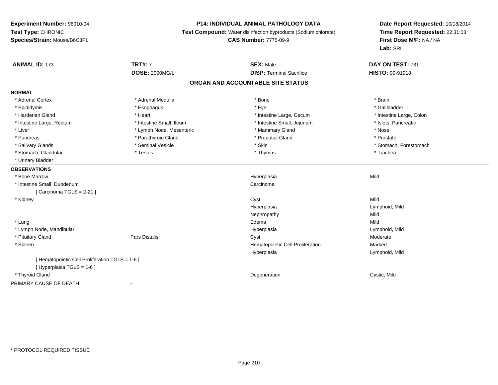### **P14: INDIVIDUAL ANIMAL PATHOLOGY DATA**

**Test Compound:** Water disinfection byproducts (Sodium chlorate)

# **CAS Number:** 7775-09-9

| <b>ANIMAL ID: 173</b>                         | <b>TRT#: 7</b>           | <b>SEX: Male</b>                  | DAY ON TEST: 731         |
|-----------------------------------------------|--------------------------|-----------------------------------|--------------------------|
|                                               | <b>DOSE: 2000MG/L</b>    | <b>DISP: Terminal Sacrifice</b>   | <b>HISTO: 00-91918</b>   |
|                                               |                          | ORGAN AND ACCOUNTABLE SITE STATUS |                          |
| <b>NORMAL</b>                                 |                          |                                   |                          |
| * Adrenal Cortex                              | * Adrenal Medulla        | * Bone                            | * Brain                  |
| * Epididymis                                  | * Esophagus              | * Eye                             | * Gallbladder            |
| * Harderian Gland                             | * Heart                  | * Intestine Large, Cecum          | * Intestine Large, Colon |
| * Intestine Large, Rectum                     | * Intestine Small, Ileum | * Intestine Small, Jejunum        | * Islets, Pancreatic     |
| * Liver                                       | * Lymph Node, Mesenteric | * Mammary Gland                   | * Nose                   |
| * Pancreas                                    | * Parathyroid Gland      | * Preputial Gland                 | * Prostate               |
| * Salivary Glands                             | * Seminal Vesicle        | * Skin                            | * Stomach, Forestomach   |
| * Stomach, Glandular                          | * Testes                 | * Thymus                          | * Trachea                |
| * Urinary Bladder                             |                          |                                   |                          |
| <b>OBSERVATIONS</b>                           |                          |                                   |                          |
| * Bone Marrow                                 |                          | Hyperplasia                       | Mild                     |
| * Intestine Small, Duodenum                   |                          | Carcinoma                         |                          |
| [Carcinoma TGLS = 2-21]                       |                          |                                   |                          |
| * Kidney                                      |                          | Cyst                              | Mild                     |
|                                               |                          | Hyperplasia                       | Lymphoid, Mild           |
|                                               |                          | Nephropathy                       | Mild                     |
| * Lung                                        |                          | Edema                             | Mild                     |
| * Lymph Node, Mandibular                      |                          | Hyperplasia                       | Lymphoid, Mild           |
| * Pituitary Gland                             | Pars Distalis            | Cyst                              | Moderate                 |
| * Spleen                                      |                          | Hematopoietic Cell Proliferation  | Marked                   |
|                                               |                          | Hyperplasia                       | Lymphoid, Mild           |
| [Hematopoietic Cell Proliferation TGLS = 1-6] |                          |                                   |                          |
| [ Hyperplasia TGLS = 1-6 ]                    |                          |                                   |                          |
| * Thyroid Gland                               |                          | Degeneration                      | Cystic, Mild             |
| PRIMARY CAUSE OF DEATH                        | $\blacksquare$           |                                   |                          |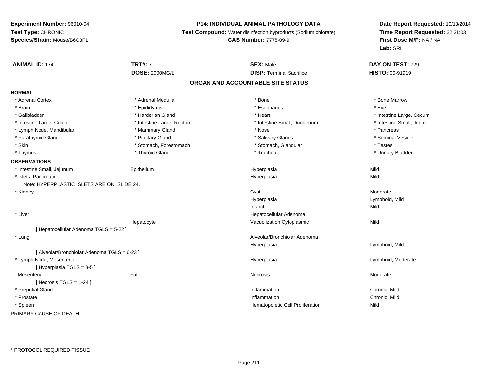### **P14: INDIVIDUAL ANIMAL PATHOLOGY DATA**

**Test Compound:** Water disinfection byproducts (Sodium chlorate)

## **CAS Number:** 7775-09-9

| <b>ANIMAL ID: 174</b>                        | <b>TRT#: 7</b>            | <b>SEX: Male</b>                  | DAY ON TEST: 729         |  |
|----------------------------------------------|---------------------------|-----------------------------------|--------------------------|--|
|                                              | <b>DOSE: 2000MG/L</b>     | <b>DISP: Terminal Sacrifice</b>   | HISTO: 00-91919          |  |
|                                              |                           | ORGAN AND ACCOUNTABLE SITE STATUS |                          |  |
| <b>NORMAL</b>                                |                           |                                   |                          |  |
| * Adrenal Cortex                             | * Adrenal Medulla         | * Bone                            | * Bone Marrow            |  |
| * Brain                                      | * Epididymis              | * Esophagus                       | * Eye                    |  |
| * Gallbladder                                | * Harderian Gland         | * Heart                           | * Intestine Large, Cecum |  |
| * Intestine Large, Colon                     | * Intestine Large, Rectum | * Intestine Small, Duodenum       | * Intestine Small, Ileum |  |
| * Lymph Node, Mandibular                     | * Mammary Gland           | * Nose                            | * Pancreas               |  |
| * Parathyroid Gland                          | * Pituitary Gland         | * Salivary Glands                 | * Seminal Vesicle        |  |
| * Skin                                       | * Stomach, Forestomach    | * Stomach, Glandular              | * Testes                 |  |
| * Thymus                                     | * Thyroid Gland           | * Trachea                         | * Urinary Bladder        |  |
| <b>OBSERVATIONS</b>                          |                           |                                   |                          |  |
| * Intestine Small, Jejunum                   | Epithelium                | Hyperplasia                       | Mild                     |  |
| * Islets, Pancreatic                         |                           | Hyperplasia                       | Mild                     |  |
| Note: HYPERPLASTIC ISLETS ARE ON SLIDE 24.   |                           |                                   |                          |  |
| * Kidney                                     |                           | Cyst                              | Moderate                 |  |
|                                              |                           | Hyperplasia                       | Lymphoid, Mild           |  |
|                                              |                           | Infarct                           | Mild                     |  |
| * Liver                                      |                           | Hepatocellular Adenoma            |                          |  |
|                                              | Hepatocyte                | Vacuolization Cytoplasmic         | Mild                     |  |
| [ Hepatocellular Adenoma TGLS = 5-22 ]       |                           |                                   |                          |  |
| * Lung                                       |                           | Alveolar/Bronchiolar Adenoma      |                          |  |
|                                              |                           | Hyperplasia                       | Lymphoid, Mild           |  |
| [ Alveolar/Bronchiolar Adenoma TGLS = 6-23 ] |                           |                                   |                          |  |
| * Lymph Node, Mesenteric                     |                           | Hyperplasia                       | Lymphoid, Moderate       |  |
| [Hyperplasia TGLS = 3-5]                     |                           |                                   |                          |  |
| Mesentery                                    | Fat                       | Necrosis                          | Moderate                 |  |
| [ Necrosis TGLS = $1-24$ ]                   |                           |                                   |                          |  |
| * Preputial Gland                            |                           | Inflammation                      | Chronic, Mild            |  |
| * Prostate                                   |                           | Inflammation                      | Chronic, Mild            |  |
| * Spleen                                     |                           | Hematopoietic Cell Proliferation  | Mild                     |  |
| PRIMARY CAUSE OF DEATH                       | $\blacksquare$            |                                   |                          |  |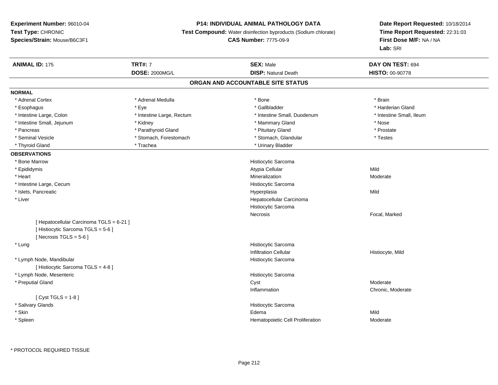### **P14: INDIVIDUAL ANIMAL PATHOLOGY DATA**

**Test Compound:** Water disinfection byproducts (Sodium chlorate)

### **CAS Number:** 7775-09-9

| <b>ANIMAL ID: 175</b>                    | <b>TRT#: 7</b>            | <b>SEX: Male</b>                  | DAY ON TEST: 694         |  |
|------------------------------------------|---------------------------|-----------------------------------|--------------------------|--|
|                                          | <b>DOSE: 2000MG/L</b>     | <b>DISP: Natural Death</b>        | <b>HISTO: 00-90778</b>   |  |
|                                          |                           | ORGAN AND ACCOUNTABLE SITE STATUS |                          |  |
| <b>NORMAL</b>                            |                           |                                   |                          |  |
| * Adrenal Cortex                         | * Adrenal Medulla         | * Bone                            | * Brain                  |  |
| * Esophagus                              | * Eye                     | * Gallbladder                     | * Harderian Gland        |  |
| * Intestine Large, Colon                 | * Intestine Large, Rectum | * Intestine Small, Duodenum       | * Intestine Small, Ileum |  |
| * Intestine Small, Jejunum               | * Kidney                  | * Mammary Gland                   | * Nose                   |  |
| * Pancreas                               | * Parathyroid Gland       | * Pituitary Gland                 | * Prostate               |  |
| * Seminal Vesicle                        | * Stomach, Forestomach    | * Stomach, Glandular              | * Testes                 |  |
| * Thyroid Gland                          | * Trachea                 | * Urinary Bladder                 |                          |  |
| <b>OBSERVATIONS</b>                      |                           |                                   |                          |  |
| * Bone Marrow                            |                           | Histiocytic Sarcoma               |                          |  |
| * Epididymis                             |                           | Atypia Cellular                   | Mild                     |  |
| * Heart                                  |                           | Mineralization                    | Moderate                 |  |
| * Intestine Large, Cecum                 |                           | Histiocytic Sarcoma               |                          |  |
| * Islets, Pancreatic                     |                           | Hyperplasia                       | Mild                     |  |
| * Liver                                  |                           | Hepatocellular Carcinoma          |                          |  |
|                                          |                           | Histiocytic Sarcoma               |                          |  |
|                                          |                           | Necrosis                          | Focal, Marked            |  |
| [ Hepatocellular Carcinoma TGLS = 6-21 ] |                           |                                   |                          |  |
| [Histiocytic Sarcoma TGLS = 5-6]         |                           |                                   |                          |  |
| [Necrosis TGLS = $5-6$ ]                 |                           |                                   |                          |  |
| * Lung                                   |                           | Histiocytic Sarcoma               |                          |  |
|                                          |                           | <b>Infiltration Cellular</b>      | Histiocyte, Mild         |  |
| * Lymph Node, Mandibular                 |                           | Histiocytic Sarcoma               |                          |  |
| [ Histiocytic Sarcoma TGLS = 4-8 ]       |                           |                                   |                          |  |
| * Lymph Node, Mesenteric                 |                           | Histiocytic Sarcoma               |                          |  |
| * Preputial Gland                        |                           | Cyst                              | Moderate                 |  |
|                                          |                           | Inflammation                      | Chronic, Moderate        |  |
| [ $Cyst TGLS = 1-8$ ]                    |                           |                                   |                          |  |
| * Salivary Glands                        |                           | Histiocytic Sarcoma               |                          |  |
| * Skin                                   |                           | Edema                             | Mild                     |  |
| * Spleen                                 |                           | Hematopoietic Cell Proliferation  | Moderate                 |  |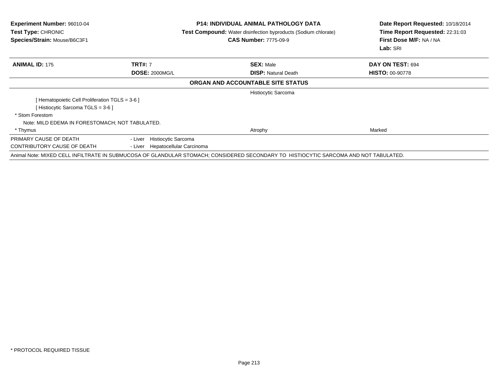| <b>Experiment Number: 96010-04</b><br><b>Test Type: CHRONIC</b><br>Species/Strain: Mouse/B6C3F1 |                                     | <b>P14: INDIVIDUAL ANIMAL PATHOLOGY DATA</b><br>Test Compound: Water disinfection byproducts (Sodium chlorate)<br><b>CAS Number: 7775-09-9</b> | Date Report Requested: 10/18/2014<br>Time Report Requested: 22:31:03<br>First Dose M/F: NA / NA<br>Lab: SRI |
|-------------------------------------------------------------------------------------------------|-------------------------------------|------------------------------------------------------------------------------------------------------------------------------------------------|-------------------------------------------------------------------------------------------------------------|
| <b>ANIMAL ID: 175</b>                                                                           | <b>TRT#: 7</b>                      | <b>SEX: Male</b>                                                                                                                               | DAY ON TEST: 694                                                                                            |
|                                                                                                 | <b>DOSE: 2000MG/L</b>               | <b>DISP:</b> Natural Death                                                                                                                     | <b>HISTO: 00-90778</b>                                                                                      |
|                                                                                                 |                                     | ORGAN AND ACCOUNTABLE SITE STATUS                                                                                                              |                                                                                                             |
|                                                                                                 |                                     | Histiocytic Sarcoma                                                                                                                            |                                                                                                             |
| [Hematopoietic Cell Proliferation TGLS = 3-6 ]                                                  |                                     |                                                                                                                                                |                                                                                                             |
| [ Histiocytic Sarcoma TGLS = 3-6 ]                                                              |                                     |                                                                                                                                                |                                                                                                             |
| * Stom Forestom                                                                                 |                                     |                                                                                                                                                |                                                                                                             |
| Note: MILD EDEMA IN FORESTOMACH; NOT TABULATED.                                                 |                                     |                                                                                                                                                |                                                                                                             |
| * Thymus                                                                                        |                                     | Atrophy                                                                                                                                        | Marked                                                                                                      |
| PRIMARY CAUSE OF DEATH                                                                          | Histiocytic Sarcoma<br>- Liver      |                                                                                                                                                |                                                                                                             |
| CONTRIBUTORY CAUSE OF DEATH                                                                     | Hepatocellular Carcinoma<br>- Liver |                                                                                                                                                |                                                                                                             |
|                                                                                                 |                                     | Animal Note: MIXED CELL INFILTRATE IN SUBMUCOSA OF GLANDULAR STOMACH; CONSIDERED SECONDARY TO HISTIOCYTIC SARCOMA AND NOT TABULATED.           |                                                                                                             |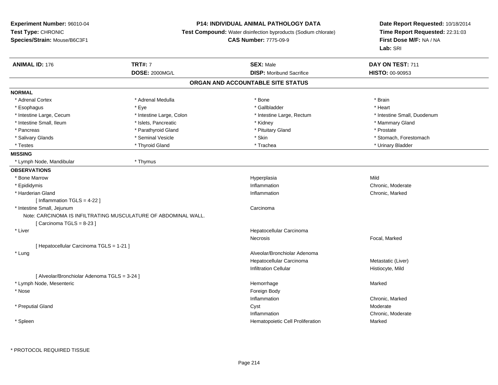## **P14: INDIVIDUAL ANIMAL PATHOLOGY DATA**

**Test Compound:** Water disinfection byproducts (Sodium chlorate)

**CAS Number:** 7775-09-9

| <b>DOSE: 2000MG/L</b><br><b>DISP:</b> Moribund Sacrifice<br>HISTO: 00-90953<br>ORGAN AND ACCOUNTABLE SITE STATUS<br>* Adrenal Cortex<br>* Adrenal Medulla<br>* Bone<br>* Brain<br>* Eye<br>* Gallbladder<br>* Heart<br>* Esophagus<br>* Intestine Large, Cecum<br>* Intestine Small, Duodenum<br>* Intestine Large, Colon<br>* Intestine Large, Rectum<br>* Intestine Small, Ileum<br>* Islets, Pancreatic<br>* Mammary Gland<br>* Kidney<br>* Parathyroid Gland<br>* Pituitary Gland<br>* Prostate<br>* Pancreas<br>* Seminal Vesicle<br>* Salivary Glands<br>* Skin<br>* Stomach, Forestomach<br>* Thyroid Gland<br>* Urinary Bladder<br>* Testes<br>* Trachea<br>* Thymus<br>* Lymph Node, Mandibular<br>Mild<br>* Bone Marrow<br>Hyperplasia<br>* Epididymis<br>Inflammation<br>Chronic, Moderate<br>* Harderian Gland<br>Chronic, Marked<br>Inflammation<br>[Inflammation TGLS = 4-22]<br>* Intestine Small, Jejunum<br>Carcinoma<br>Note: CARCINOMA IS INFILTRATING MUSCULATURE OF ABDOMINAL WALL.<br>[Carcinoma TGLS = 8-23]<br>* Liver<br>Hepatocellular Carcinoma<br>Focal, Marked<br>Necrosis<br>[ Hepatocellular Carcinoma TGLS = 1-21 ]<br>Alveolar/Bronchiolar Adenoma<br>* Lung<br>Hepatocellular Carcinoma<br>Metastatic (Liver)<br><b>Infiltration Cellular</b><br>Histiocyte, Mild<br>[ Alveolar/Bronchiolar Adenoma TGLS = 3-24 ]<br>* Lymph Node, Mesenteric<br>Hemorrhage<br>Marked<br>Foreign Body<br>* Nose<br>Inflammation<br>Chronic, Marked<br>* Preputial Gland<br>Cyst<br>Moderate<br>Inflammation<br>Chronic, Moderate<br>Hematopoietic Cell Proliferation<br>Marked<br>* Spleen | <b>ANIMAL ID: 176</b> | <b>TRT#: 7</b> | <b>SEX: Male</b> | DAY ON TEST: 711 |  |
|--------------------------------------------------------------------------------------------------------------------------------------------------------------------------------------------------------------------------------------------------------------------------------------------------------------------------------------------------------------------------------------------------------------------------------------------------------------------------------------------------------------------------------------------------------------------------------------------------------------------------------------------------------------------------------------------------------------------------------------------------------------------------------------------------------------------------------------------------------------------------------------------------------------------------------------------------------------------------------------------------------------------------------------------------------------------------------------------------------------------------------------------------------------------------------------------------------------------------------------------------------------------------------------------------------------------------------------------------------------------------------------------------------------------------------------------------------------------------------------------------------------------------------------------------------------------------------------------------------------|-----------------------|----------------|------------------|------------------|--|
|                                                                                                                                                                                                                                                                                                                                                                                                                                                                                                                                                                                                                                                                                                                                                                                                                                                                                                                                                                                                                                                                                                                                                                                                                                                                                                                                                                                                                                                                                                                                                                                                              |                       |                |                  |                  |  |
|                                                                                                                                                                                                                                                                                                                                                                                                                                                                                                                                                                                                                                                                                                                                                                                                                                                                                                                                                                                                                                                                                                                                                                                                                                                                                                                                                                                                                                                                                                                                                                                                              |                       |                |                  |                  |  |
|                                                                                                                                                                                                                                                                                                                                                                                                                                                                                                                                                                                                                                                                                                                                                                                                                                                                                                                                                                                                                                                                                                                                                                                                                                                                                                                                                                                                                                                                                                                                                                                                              | <b>NORMAL</b>         |                |                  |                  |  |
|                                                                                                                                                                                                                                                                                                                                                                                                                                                                                                                                                                                                                                                                                                                                                                                                                                                                                                                                                                                                                                                                                                                                                                                                                                                                                                                                                                                                                                                                                                                                                                                                              |                       |                |                  |                  |  |
|                                                                                                                                                                                                                                                                                                                                                                                                                                                                                                                                                                                                                                                                                                                                                                                                                                                                                                                                                                                                                                                                                                                                                                                                                                                                                                                                                                                                                                                                                                                                                                                                              |                       |                |                  |                  |  |
|                                                                                                                                                                                                                                                                                                                                                                                                                                                                                                                                                                                                                                                                                                                                                                                                                                                                                                                                                                                                                                                                                                                                                                                                                                                                                                                                                                                                                                                                                                                                                                                                              |                       |                |                  |                  |  |
|                                                                                                                                                                                                                                                                                                                                                                                                                                                                                                                                                                                                                                                                                                                                                                                                                                                                                                                                                                                                                                                                                                                                                                                                                                                                                                                                                                                                                                                                                                                                                                                                              |                       |                |                  |                  |  |
|                                                                                                                                                                                                                                                                                                                                                                                                                                                                                                                                                                                                                                                                                                                                                                                                                                                                                                                                                                                                                                                                                                                                                                                                                                                                                                                                                                                                                                                                                                                                                                                                              |                       |                |                  |                  |  |
|                                                                                                                                                                                                                                                                                                                                                                                                                                                                                                                                                                                                                                                                                                                                                                                                                                                                                                                                                                                                                                                                                                                                                                                                                                                                                                                                                                                                                                                                                                                                                                                                              |                       |                |                  |                  |  |
|                                                                                                                                                                                                                                                                                                                                                                                                                                                                                                                                                                                                                                                                                                                                                                                                                                                                                                                                                                                                                                                                                                                                                                                                                                                                                                                                                                                                                                                                                                                                                                                                              |                       |                |                  |                  |  |
|                                                                                                                                                                                                                                                                                                                                                                                                                                                                                                                                                                                                                                                                                                                                                                                                                                                                                                                                                                                                                                                                                                                                                                                                                                                                                                                                                                                                                                                                                                                                                                                                              | <b>MISSING</b>        |                |                  |                  |  |
|                                                                                                                                                                                                                                                                                                                                                                                                                                                                                                                                                                                                                                                                                                                                                                                                                                                                                                                                                                                                                                                                                                                                                                                                                                                                                                                                                                                                                                                                                                                                                                                                              |                       |                |                  |                  |  |
|                                                                                                                                                                                                                                                                                                                                                                                                                                                                                                                                                                                                                                                                                                                                                                                                                                                                                                                                                                                                                                                                                                                                                                                                                                                                                                                                                                                                                                                                                                                                                                                                              | <b>OBSERVATIONS</b>   |                |                  |                  |  |
|                                                                                                                                                                                                                                                                                                                                                                                                                                                                                                                                                                                                                                                                                                                                                                                                                                                                                                                                                                                                                                                                                                                                                                                                                                                                                                                                                                                                                                                                                                                                                                                                              |                       |                |                  |                  |  |
|                                                                                                                                                                                                                                                                                                                                                                                                                                                                                                                                                                                                                                                                                                                                                                                                                                                                                                                                                                                                                                                                                                                                                                                                                                                                                                                                                                                                                                                                                                                                                                                                              |                       |                |                  |                  |  |
|                                                                                                                                                                                                                                                                                                                                                                                                                                                                                                                                                                                                                                                                                                                                                                                                                                                                                                                                                                                                                                                                                                                                                                                                                                                                                                                                                                                                                                                                                                                                                                                                              |                       |                |                  |                  |  |
|                                                                                                                                                                                                                                                                                                                                                                                                                                                                                                                                                                                                                                                                                                                                                                                                                                                                                                                                                                                                                                                                                                                                                                                                                                                                                                                                                                                                                                                                                                                                                                                                              |                       |                |                  |                  |  |
|                                                                                                                                                                                                                                                                                                                                                                                                                                                                                                                                                                                                                                                                                                                                                                                                                                                                                                                                                                                                                                                                                                                                                                                                                                                                                                                                                                                                                                                                                                                                                                                                              |                       |                |                  |                  |  |
|                                                                                                                                                                                                                                                                                                                                                                                                                                                                                                                                                                                                                                                                                                                                                                                                                                                                                                                                                                                                                                                                                                                                                                                                                                                                                                                                                                                                                                                                                                                                                                                                              |                       |                |                  |                  |  |
|                                                                                                                                                                                                                                                                                                                                                                                                                                                                                                                                                                                                                                                                                                                                                                                                                                                                                                                                                                                                                                                                                                                                                                                                                                                                                                                                                                                                                                                                                                                                                                                                              |                       |                |                  |                  |  |
|                                                                                                                                                                                                                                                                                                                                                                                                                                                                                                                                                                                                                                                                                                                                                                                                                                                                                                                                                                                                                                                                                                                                                                                                                                                                                                                                                                                                                                                                                                                                                                                                              |                       |                |                  |                  |  |
|                                                                                                                                                                                                                                                                                                                                                                                                                                                                                                                                                                                                                                                                                                                                                                                                                                                                                                                                                                                                                                                                                                                                                                                                                                                                                                                                                                                                                                                                                                                                                                                                              |                       |                |                  |                  |  |
|                                                                                                                                                                                                                                                                                                                                                                                                                                                                                                                                                                                                                                                                                                                                                                                                                                                                                                                                                                                                                                                                                                                                                                                                                                                                                                                                                                                                                                                                                                                                                                                                              |                       |                |                  |                  |  |
|                                                                                                                                                                                                                                                                                                                                                                                                                                                                                                                                                                                                                                                                                                                                                                                                                                                                                                                                                                                                                                                                                                                                                                                                                                                                                                                                                                                                                                                                                                                                                                                                              |                       |                |                  |                  |  |
|                                                                                                                                                                                                                                                                                                                                                                                                                                                                                                                                                                                                                                                                                                                                                                                                                                                                                                                                                                                                                                                                                                                                                                                                                                                                                                                                                                                                                                                                                                                                                                                                              |                       |                |                  |                  |  |
|                                                                                                                                                                                                                                                                                                                                                                                                                                                                                                                                                                                                                                                                                                                                                                                                                                                                                                                                                                                                                                                                                                                                                                                                                                                                                                                                                                                                                                                                                                                                                                                                              |                       |                |                  |                  |  |
|                                                                                                                                                                                                                                                                                                                                                                                                                                                                                                                                                                                                                                                                                                                                                                                                                                                                                                                                                                                                                                                                                                                                                                                                                                                                                                                                                                                                                                                                                                                                                                                                              |                       |                |                  |                  |  |
|                                                                                                                                                                                                                                                                                                                                                                                                                                                                                                                                                                                                                                                                                                                                                                                                                                                                                                                                                                                                                                                                                                                                                                                                                                                                                                                                                                                                                                                                                                                                                                                                              |                       |                |                  |                  |  |
|                                                                                                                                                                                                                                                                                                                                                                                                                                                                                                                                                                                                                                                                                                                                                                                                                                                                                                                                                                                                                                                                                                                                                                                                                                                                                                                                                                                                                                                                                                                                                                                                              |                       |                |                  |                  |  |
|                                                                                                                                                                                                                                                                                                                                                                                                                                                                                                                                                                                                                                                                                                                                                                                                                                                                                                                                                                                                                                                                                                                                                                                                                                                                                                                                                                                                                                                                                                                                                                                                              |                       |                |                  |                  |  |
|                                                                                                                                                                                                                                                                                                                                                                                                                                                                                                                                                                                                                                                                                                                                                                                                                                                                                                                                                                                                                                                                                                                                                                                                                                                                                                                                                                                                                                                                                                                                                                                                              |                       |                |                  |                  |  |
|                                                                                                                                                                                                                                                                                                                                                                                                                                                                                                                                                                                                                                                                                                                                                                                                                                                                                                                                                                                                                                                                                                                                                                                                                                                                                                                                                                                                                                                                                                                                                                                                              |                       |                |                  |                  |  |
|                                                                                                                                                                                                                                                                                                                                                                                                                                                                                                                                                                                                                                                                                                                                                                                                                                                                                                                                                                                                                                                                                                                                                                                                                                                                                                                                                                                                                                                                                                                                                                                                              |                       |                |                  |                  |  |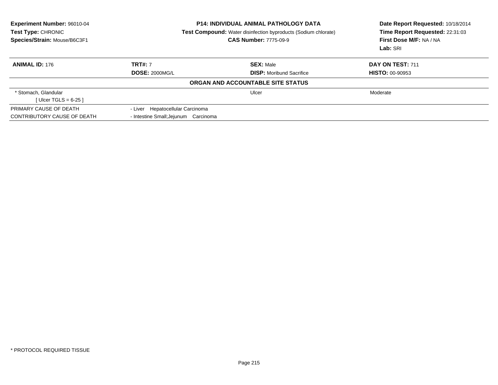| <b>Experiment Number: 96010-04</b><br>Test Type: CHRONIC<br>Species/Strain: Mouse/B6C3F1 | <b>P14: INDIVIDUAL ANIMAL PATHOLOGY DATA</b><br><b>Test Compound:</b> Water disinfection byproducts (Sodium chlorate)<br><b>CAS Number: 7775-09-9</b> |                                   | Date Report Requested: 10/18/2014<br>Time Report Requested: 22:31:03<br>First Dose M/F: NA / NA<br>Lab: SRI |  |
|------------------------------------------------------------------------------------------|-------------------------------------------------------------------------------------------------------------------------------------------------------|-----------------------------------|-------------------------------------------------------------------------------------------------------------|--|
| <b>ANIMAL ID: 176</b>                                                                    | <b>TRT#: 7</b>                                                                                                                                        | <b>SEX: Male</b>                  | DAY ON TEST: 711                                                                                            |  |
|                                                                                          | <b>DOSE: 2000MG/L</b>                                                                                                                                 | <b>DISP:</b> Moribund Sacrifice   | <b>HISTO: 00-90953</b>                                                                                      |  |
|                                                                                          |                                                                                                                                                       | ORGAN AND ACCOUNTABLE SITE STATUS |                                                                                                             |  |
| * Stomach, Glandular                                                                     |                                                                                                                                                       | Ulcer                             | Moderate                                                                                                    |  |
| [ Ulcer TGLS = $6-25$ ]                                                                  |                                                                                                                                                       |                                   |                                                                                                             |  |
| PRIMARY CAUSE OF DEATH                                                                   | - Liver Hepatocellular Carcinoma                                                                                                                      |                                   |                                                                                                             |  |
| CONTRIBUTORY CAUSE OF DEATH                                                              | - Intestine Small; Jejunum Carcinoma                                                                                                                  |                                   |                                                                                                             |  |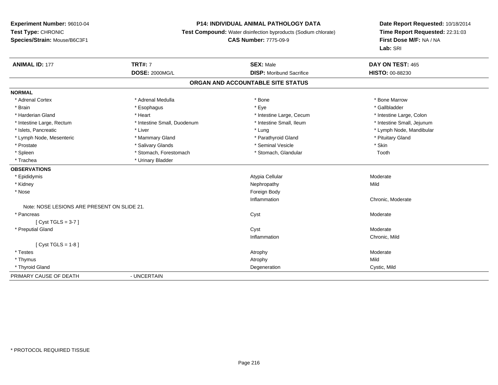## **P14: INDIVIDUAL ANIMAL PATHOLOGY DATA**

**Test Compound:** Water disinfection byproducts (Sodium chlorate)

# **CAS Number:** 7775-09-9

| <b>ANIMAL ID: 177</b>                       | <b>TRT#: 7</b>              | <b>SEX: Male</b>                  | DAY ON TEST: 465           |  |
|---------------------------------------------|-----------------------------|-----------------------------------|----------------------------|--|
|                                             | <b>DOSE: 2000MG/L</b>       | <b>DISP:</b> Moribund Sacrifice   | HISTO: 00-88230            |  |
|                                             |                             | ORGAN AND ACCOUNTABLE SITE STATUS |                            |  |
| <b>NORMAL</b>                               |                             |                                   |                            |  |
| * Adrenal Cortex                            | * Adrenal Medulla           | * Bone                            | * Bone Marrow              |  |
| * Brain                                     | * Esophagus                 | * Eye                             | * Gallbladder              |  |
| * Harderian Gland                           | * Heart                     | * Intestine Large, Cecum          | * Intestine Large, Colon   |  |
| * Intestine Large, Rectum                   | * Intestine Small, Duodenum | * Intestine Small, Ileum          | * Intestine Small, Jejunum |  |
| * Islets, Pancreatic                        | * Liver                     | * Lung                            | * Lymph Node, Mandibular   |  |
| * Lymph Node, Mesenteric                    | * Mammary Gland             | * Parathyroid Gland               | * Pituitary Gland          |  |
| * Prostate                                  | * Salivary Glands           | * Seminal Vesicle                 | * Skin                     |  |
| * Spleen                                    | * Stomach, Forestomach      | * Stomach, Glandular              | Tooth                      |  |
| * Trachea                                   | * Urinary Bladder           |                                   |                            |  |
| <b>OBSERVATIONS</b>                         |                             |                                   |                            |  |
| * Epididymis                                |                             | Atypia Cellular                   | Moderate                   |  |
| * Kidney                                    |                             | Nephropathy                       | Mild                       |  |
| * Nose                                      |                             | Foreign Body                      |                            |  |
|                                             |                             | Inflammation                      | Chronic, Moderate          |  |
| Note: NOSE LESIONS ARE PRESENT ON SLIDE 21. |                             |                                   |                            |  |
| * Pancreas                                  |                             | Cyst                              | Moderate                   |  |
| [Cyst TGLS = $3-7$ ]                        |                             |                                   |                            |  |
| * Preputial Gland                           |                             | Cyst                              | Moderate                   |  |
|                                             |                             | Inflammation                      | Chronic, Mild              |  |
| [ $Cyst TGLS = 1-8$ ]                       |                             |                                   |                            |  |
| * Testes                                    |                             | Atrophy                           | Moderate                   |  |
| * Thymus                                    |                             | Atrophy                           | Mild                       |  |
| * Thyroid Gland                             |                             | Degeneration                      | Cystic, Mild               |  |
| PRIMARY CAUSE OF DEATH                      | - UNCERTAIN                 |                                   |                            |  |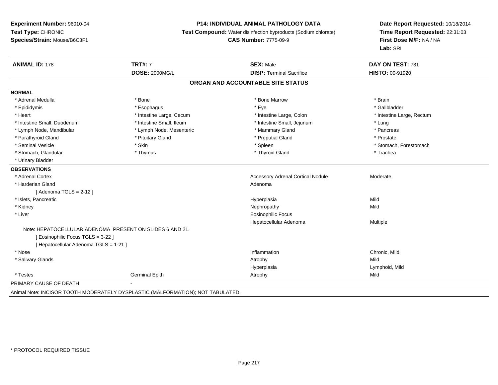# **P14: INDIVIDUAL ANIMAL PATHOLOGY DATA**

**Test Compound:** Water disinfection byproducts (Sodium chlorate)

**CAS Number:** 7775-09-9

| <b>ANIMAL ID: 178</b>                                    | <b>TRT#: 7</b>                                                                  | <b>SEX: Male</b>                         | DAY ON TEST: 731          |  |  |  |
|----------------------------------------------------------|---------------------------------------------------------------------------------|------------------------------------------|---------------------------|--|--|--|
|                                                          | <b>DOSE: 2000MG/L</b>                                                           | <b>DISP: Terminal Sacrifice</b>          | HISTO: 00-91920           |  |  |  |
| ORGAN AND ACCOUNTABLE SITE STATUS                        |                                                                                 |                                          |                           |  |  |  |
| <b>NORMAL</b>                                            |                                                                                 |                                          |                           |  |  |  |
| * Adrenal Medulla                                        | * Bone                                                                          | * Bone Marrow                            | * Brain                   |  |  |  |
| * Epididymis                                             | * Esophagus                                                                     | * Eye                                    | * Gallbladder             |  |  |  |
| * Heart                                                  | * Intestine Large, Cecum                                                        | * Intestine Large, Colon                 | * Intestine Large, Rectum |  |  |  |
| * Intestine Small, Duodenum                              | * Intestine Small, Ileum                                                        | * Intestine Small, Jejunum               | * Lung                    |  |  |  |
| * Lymph Node, Mandibular                                 | * Lymph Node, Mesenteric                                                        | * Mammary Gland                          | * Pancreas                |  |  |  |
| * Parathyroid Gland                                      | * Pituitary Gland                                                               | * Preputial Gland                        | * Prostate                |  |  |  |
| * Seminal Vesicle                                        | * Skin                                                                          | * Spleen                                 | * Stomach, Forestomach    |  |  |  |
| * Stomach, Glandular                                     | * Thymus                                                                        | * Thyroid Gland                          | * Trachea                 |  |  |  |
| * Urinary Bladder                                        |                                                                                 |                                          |                           |  |  |  |
| <b>OBSERVATIONS</b>                                      |                                                                                 |                                          |                           |  |  |  |
| * Adrenal Cortex                                         |                                                                                 | <b>Accessory Adrenal Cortical Nodule</b> | Moderate                  |  |  |  |
| * Harderian Gland                                        |                                                                                 | Adenoma                                  |                           |  |  |  |
| [Adenoma TGLS = $2-12$ ]                                 |                                                                                 |                                          |                           |  |  |  |
| * Islets, Pancreatic                                     |                                                                                 | Hyperplasia                              | Mild                      |  |  |  |
| * Kidney                                                 |                                                                                 | Nephropathy                              | Mild                      |  |  |  |
| * Liver                                                  |                                                                                 | <b>Eosinophilic Focus</b>                |                           |  |  |  |
|                                                          |                                                                                 | Hepatocellular Adenoma                   | Multiple                  |  |  |  |
| Note: HEPATOCELLULAR ADENOMA PRESENT ON SLIDES 6 AND 21. |                                                                                 |                                          |                           |  |  |  |
| [ Eosinophilic Focus TGLS = 3-22 ]                       |                                                                                 |                                          |                           |  |  |  |
| [ Hepatocellular Adenoma TGLS = 1-21 ]                   |                                                                                 |                                          |                           |  |  |  |
| * Nose                                                   |                                                                                 | Inflammation                             | Chronic, Mild             |  |  |  |
| * Salivary Glands                                        |                                                                                 | Atrophy                                  | Mild                      |  |  |  |
|                                                          |                                                                                 | Hyperplasia                              | Lymphoid, Mild            |  |  |  |
| * Testes                                                 | <b>Germinal Epith</b>                                                           | Atrophy                                  | Mild                      |  |  |  |
| PRIMARY CAUSE OF DEATH                                   |                                                                                 |                                          |                           |  |  |  |
|                                                          | Animal Note: INCISOR TOOTH MODERATELY DYSPLASTIC (MALFORMATION); NOT TABULATED. |                                          |                           |  |  |  |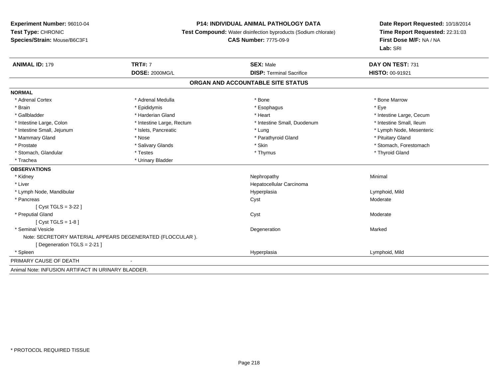# **P14: INDIVIDUAL ANIMAL PATHOLOGY DATA**

**Test Compound:** Water disinfection byproducts (Sodium chlorate)

# **CAS Number:** 7775-09-9

| <b>ANIMAL ID: 179</b>                              | <b>TRT#: 7</b>                                            | <b>SEX: Male</b><br><b>DISP: Terminal Sacrifice</b> | DAY ON TEST: 731         |
|----------------------------------------------------|-----------------------------------------------------------|-----------------------------------------------------|--------------------------|
|                                                    | <b>DOSE: 2000MG/L</b>                                     |                                                     | <b>HISTO: 00-91921</b>   |
|                                                    |                                                           | ORGAN AND ACCOUNTABLE SITE STATUS                   |                          |
| <b>NORMAL</b>                                      |                                                           |                                                     |                          |
| * Adrenal Cortex                                   | * Adrenal Medulla                                         | * Bone                                              | * Bone Marrow            |
| * Brain                                            | * Epididymis                                              | * Esophagus                                         | * Eve                    |
| * Gallbladder                                      | * Harderian Gland                                         | * Heart                                             | * Intestine Large, Cecum |
| * Intestine Large, Colon                           | * Intestine Large, Rectum                                 | * Intestine Small, Duodenum                         | * Intestine Small, Ileum |
| * Intestine Small, Jejunum                         | * Islets, Pancreatic                                      | * Lung                                              | * Lymph Node, Mesenteric |
| * Mammary Gland                                    | * Nose                                                    | * Parathyroid Gland                                 | * Pituitary Gland        |
| * Prostate                                         | * Salivary Glands                                         | * Skin                                              | * Stomach, Forestomach   |
| * Stomach, Glandular                               | * Testes                                                  | * Thymus                                            | * Thyroid Gland          |
| * Trachea                                          | * Urinary Bladder                                         |                                                     |                          |
| <b>OBSERVATIONS</b>                                |                                                           |                                                     |                          |
| * Kidney                                           |                                                           | Nephropathy                                         | Minimal                  |
| * Liver                                            |                                                           | Hepatocellular Carcinoma                            |                          |
| * Lymph Node, Mandibular                           |                                                           | Hyperplasia                                         | Lymphoid, Mild           |
| * Pancreas                                         |                                                           | Cyst                                                | Moderate                 |
| [ $Cyst TGLS = 3-22$ ]                             |                                                           |                                                     |                          |
| * Preputial Gland                                  |                                                           | Cyst                                                | Moderate                 |
| $Cvst TGLS = 1-8$                                  |                                                           |                                                     |                          |
| * Seminal Vesicle                                  |                                                           | Degeneration                                        | Marked                   |
|                                                    | Note: SECRETORY MATERIAL APPEARS DEGENERATED (FLOCCULAR). |                                                     |                          |
| [Degeneration TGLS = $2-21$ ]                      |                                                           |                                                     |                          |
| * Spleen                                           |                                                           | Hyperplasia                                         | Lymphoid, Mild           |
| PRIMARY CAUSE OF DEATH                             |                                                           |                                                     |                          |
| Animal Note: INFUSION ARTIFACT IN URINARY BLADDER. |                                                           |                                                     |                          |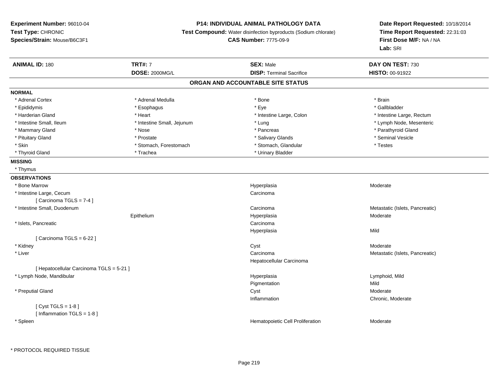# **P14: INDIVIDUAL ANIMAL PATHOLOGY DATA**

**Test Compound:** Water disinfection byproducts (Sodium chlorate)

**CAS Number:** 7775-09-9

| <b>ANIMAL ID: 180</b>                    | <b>TRT#: 7</b>             | <b>SEX: Male</b>                  | DAY ON TEST: 730                |
|------------------------------------------|----------------------------|-----------------------------------|---------------------------------|
|                                          | DOSE: 2000MG/L             | <b>DISP: Terminal Sacrifice</b>   | HISTO: 00-91922                 |
|                                          |                            | ORGAN AND ACCOUNTABLE SITE STATUS |                                 |
| <b>NORMAL</b>                            |                            |                                   |                                 |
| * Adrenal Cortex                         | * Adrenal Medulla          | * Bone                            | * Brain                         |
| * Epididymis                             | * Esophagus                | * Eye                             | * Gallbladder                   |
| * Harderian Gland                        | * Heart                    | * Intestine Large, Colon          | * Intestine Large, Rectum       |
| * Intestine Small, Ileum                 | * Intestine Small, Jejunum | * Lung                            | * Lymph Node, Mesenteric        |
| * Mammary Gland                          | * Nose                     | * Pancreas                        | * Parathyroid Gland             |
| * Pituitary Gland                        | * Prostate                 | * Salivary Glands                 | * Seminal Vesicle               |
| * Skin                                   | * Stomach, Forestomach     | * Stomach, Glandular              | * Testes                        |
| * Thyroid Gland                          | * Trachea                  | * Urinary Bladder                 |                                 |
| <b>MISSING</b>                           |                            |                                   |                                 |
| * Thymus                                 |                            |                                   |                                 |
| <b>OBSERVATIONS</b>                      |                            |                                   |                                 |
| * Bone Marrow                            |                            | Hyperplasia                       | Moderate                        |
| * Intestine Large, Cecum                 |                            | Carcinoma                         |                                 |
| [Carcinoma TGLS = 7-4]                   |                            |                                   |                                 |
| * Intestine Small, Duodenum              |                            | Carcinoma                         | Metastatic (Islets, Pancreatic) |
|                                          | Epithelium                 | Hyperplasia                       | Moderate                        |
| * Islets, Pancreatic                     |                            | Carcinoma                         |                                 |
|                                          |                            | Hyperplasia                       | Mild                            |
| [Carcinoma TGLS = $6-22$ ]               |                            |                                   |                                 |
| * Kidney                                 |                            | Cyst                              | Moderate                        |
| * Liver                                  |                            | Carcinoma                         | Metastatic (Islets, Pancreatic) |
|                                          |                            | Hepatocellular Carcinoma          |                                 |
| [ Hepatocellular Carcinoma TGLS = 5-21 ] |                            |                                   |                                 |
| * Lymph Node, Mandibular                 |                            | Hyperplasia                       | Lymphoid, Mild                  |
|                                          |                            | Pigmentation                      | Mild                            |
| * Preputial Gland                        |                            | Cyst                              | Moderate                        |
|                                          |                            | Inflammation                      | Chronic, Moderate               |
| [Cyst TGLS = $1-8$ ]                     |                            |                                   |                                 |
| [Inflammation TGLS = $1-8$ ]             |                            |                                   |                                 |
| * Spleen                                 |                            | Hematopoietic Cell Proliferation  | Moderate                        |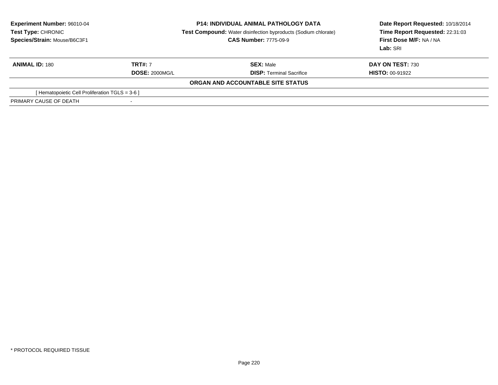| <b>Experiment Number: 96010-04</b>             | <b>P14: INDIVIDUAL ANIMAL PATHOLOGY DATA</b>                          | Date Report Requested: 10/18/2014 |
|------------------------------------------------|-----------------------------------------------------------------------|-----------------------------------|
| Test Type: CHRONIC                             | <b>Test Compound:</b> Water disinfection byproducts (Sodium chlorate) |                                   |
| Species/Strain: Mouse/B6C3F1                   | <b>CAS Number: 7775-09-9</b>                                          | First Dose M/F: NA / NA           |
|                                                |                                                                       | Lab: SRI                          |
| <b>TRT#: 7</b><br><b>ANIMAL ID: 180</b>        | <b>SEX: Male</b>                                                      | DAY ON TEST: 730                  |
|                                                | <b>DOSE: 2000MG/L</b><br><b>DISP:</b> Terminal Sacrifice              | <b>HISTO: 00-91922</b>            |
|                                                | ORGAN AND ACCOUNTABLE SITE STATUS                                     |                                   |
| [Hematopoietic Cell Proliferation TGLS = 3-6 ] |                                                                       |                                   |
| PRIMARY CAUSE OF DEATH                         |                                                                       |                                   |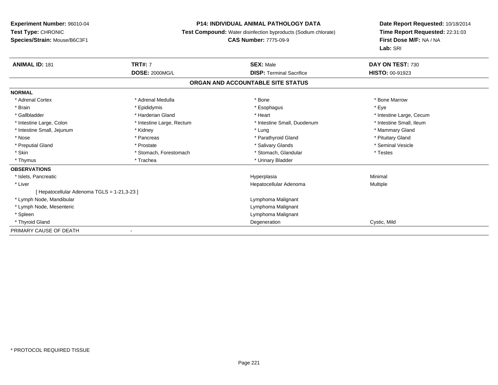# **P14: INDIVIDUAL ANIMAL PATHOLOGY DATA**

**Test Compound:** Water disinfection byproducts (Sodium chlorate)

#### **CAS Number:** 7775-09-9

| <b>ANIMAL ID: 181</b>                     | <b>TRT#: 7</b>            | <b>SEX: Male</b>                  | DAY ON TEST: 730         |  |
|-------------------------------------------|---------------------------|-----------------------------------|--------------------------|--|
|                                           | <b>DOSE: 2000MG/L</b>     | <b>DISP: Terminal Sacrifice</b>   | <b>HISTO: 00-91923</b>   |  |
|                                           |                           | ORGAN AND ACCOUNTABLE SITE STATUS |                          |  |
| <b>NORMAL</b>                             |                           |                                   |                          |  |
| * Adrenal Cortex                          | * Adrenal Medulla         | * Bone                            | * Bone Marrow            |  |
| * Brain                                   | * Epididymis              | * Esophagus                       | * Eye                    |  |
| * Gallbladder                             | * Harderian Gland         | * Heart                           | * Intestine Large, Cecum |  |
| * Intestine Large, Colon                  | * Intestine Large, Rectum | * Intestine Small, Duodenum       | * Intestine Small, Ileum |  |
| * Intestine Small, Jejunum                | * Kidney                  | * Lung                            | * Mammary Gland          |  |
| * Nose                                    | * Pancreas                | * Parathyroid Gland               | * Pituitary Gland        |  |
| * Preputial Gland                         | * Prostate                | * Salivary Glands                 | * Seminal Vesicle        |  |
| * Skin                                    | * Stomach, Forestomach    | * Stomach, Glandular              | * Testes                 |  |
| * Thymus                                  | * Trachea                 | * Urinary Bladder                 |                          |  |
| <b>OBSERVATIONS</b>                       |                           |                                   |                          |  |
| * Islets, Pancreatic                      |                           | Hyperplasia                       | Minimal                  |  |
| * Liver                                   |                           | Hepatocellular Adenoma            | Multiple                 |  |
| [Hepatocellular Adenoma TGLS = 1-21,3-23] |                           |                                   |                          |  |
| * Lymph Node, Mandibular                  |                           | Lymphoma Malignant                |                          |  |
| * Lymph Node, Mesenteric                  |                           | Lymphoma Malignant                |                          |  |
| * Spleen                                  |                           | Lymphoma Malignant                |                          |  |
| * Thyroid Gland                           |                           | Degeneration                      | Cystic, Mild             |  |
| PRIMARY CAUSE OF DEATH                    |                           |                                   |                          |  |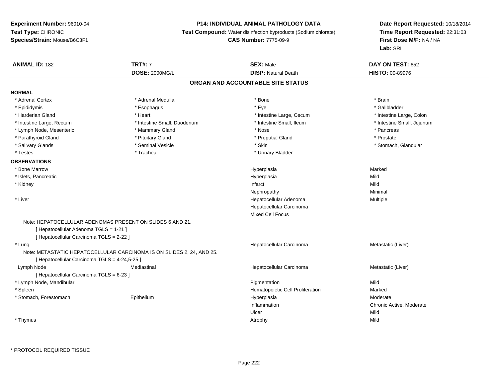# **P14: INDIVIDUAL ANIMAL PATHOLOGY DATA**

**Test Compound:** Water disinfection byproducts (Sodium chlorate)

# **CAS Number:** 7775-09-9

| <b>ANIMAL ID: 182</b>                                                 | <b>TRT#: 7</b>              | <b>SEX: Male</b>                  | DAY ON TEST: 652           |
|-----------------------------------------------------------------------|-----------------------------|-----------------------------------|----------------------------|
|                                                                       | <b>DOSE: 2000MG/L</b>       | <b>DISP: Natural Death</b>        | HISTO: 00-89976            |
|                                                                       |                             | ORGAN AND ACCOUNTABLE SITE STATUS |                            |
| <b>NORMAL</b>                                                         |                             |                                   |                            |
| * Adrenal Cortex                                                      | * Adrenal Medulla           | * Bone                            | * Brain                    |
| * Epididymis                                                          | * Esophagus                 | * Eye                             | * Gallbladder              |
| * Harderian Gland                                                     | * Heart                     | * Intestine Large, Cecum          | * Intestine Large, Colon   |
| * Intestine Large, Rectum                                             | * Intestine Small, Duodenum | * Intestine Small, Ileum          | * Intestine Small, Jejunum |
| * Lymph Node, Mesenteric                                              | * Mammary Gland             | * Nose                            | * Pancreas                 |
| * Parathyroid Gland                                                   | * Pituitary Gland           | * Preputial Gland                 | * Prostate                 |
| * Salivary Glands                                                     | * Seminal Vesicle           | * Skin                            | * Stomach, Glandular       |
| * Testes                                                              | * Trachea                   | * Urinary Bladder                 |                            |
| <b>OBSERVATIONS</b>                                                   |                             |                                   |                            |
| * Bone Marrow                                                         |                             | Hyperplasia                       | Marked                     |
| * Islets, Pancreatic                                                  |                             | Hyperplasia                       | Mild                       |
| * Kidney                                                              |                             | Infarct                           | Mild                       |
|                                                                       |                             | Nephropathy                       | Minimal                    |
| * Liver                                                               |                             | Hepatocellular Adenoma            | Multiple                   |
|                                                                       |                             | Hepatocellular Carcinoma          |                            |
|                                                                       |                             | <b>Mixed Cell Focus</b>           |                            |
| Note: HEPATOCELLULAR ADENOMAS PRESENT ON SLIDES 6 AND 21.             |                             |                                   |                            |
| [ Hepatocellular Adenoma TGLS = 1-21 ]                                |                             |                                   |                            |
| [ Hepatocellular Carcinoma TGLS = 2-22 ]                              |                             |                                   |                            |
| * Lung                                                                |                             | Hepatocellular Carcinoma          | Metastatic (Liver)         |
| Note: METASTATIC HEPATOCELLULAR CARCINOMA IS ON SLIDES 2, 24, AND 25. |                             |                                   |                            |
| [ Hepatocellular Carcinoma TGLS = 4-24,5-25 ]                         |                             |                                   |                            |
| Lymph Node                                                            | Mediastinal                 | Hepatocellular Carcinoma          | Metastatic (Liver)         |
| [ Hepatocellular Carcinoma TGLS = 6-23 ]                              |                             |                                   |                            |
| * Lymph Node, Mandibular                                              |                             | Pigmentation                      | Mild                       |
| * Spleen                                                              |                             | Hematopoietic Cell Proliferation  | Marked                     |
| * Stomach, Forestomach                                                | Epithelium                  | Hyperplasia                       | Moderate                   |
|                                                                       |                             | Inflammation                      | Chronic Active, Moderate   |
|                                                                       |                             | Ulcer                             | Mild                       |
| * Thymus                                                              |                             | Atrophy                           | Mild                       |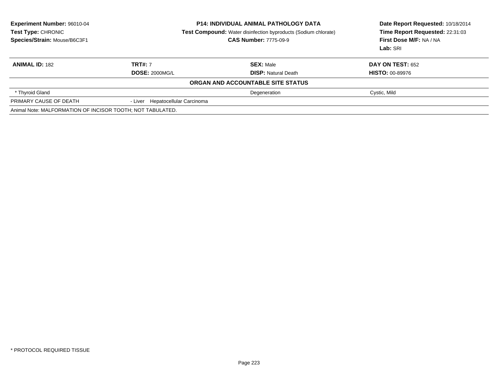| <b>Experiment Number: 96010-04</b><br>Test Type: CHRONIC<br>Species/Strain: Mouse/B6C3F1 | <b>P14: INDIVIDUAL ANIMAL PATHOLOGY DATA</b><br><b>Test Compound:</b> Water disinfection byproducts (Sodium chlorate)<br><b>CAS Number: 7775-09-9</b> |                                                | Date Report Requested: 10/18/2014<br>Time Report Requested: 22:31:03<br>First Dose M/F: NA / NA<br>Lab: SRI |  |
|------------------------------------------------------------------------------------------|-------------------------------------------------------------------------------------------------------------------------------------------------------|------------------------------------------------|-------------------------------------------------------------------------------------------------------------|--|
| <b>ANIMAL ID: 182</b>                                                                    | <b>TRT#: 7</b><br><b>DOSE: 2000MG/L</b>                                                                                                               | <b>SEX: Male</b><br><b>DISP: Natural Death</b> | <b>DAY ON TEST: 652</b><br><b>HISTO: 00-89976</b>                                                           |  |
|                                                                                          |                                                                                                                                                       | ORGAN AND ACCOUNTABLE SITE STATUS              |                                                                                                             |  |
| * Thyroid Gland                                                                          |                                                                                                                                                       | Degeneration                                   | Cystic, Mild                                                                                                |  |
| PRIMARY CAUSE OF DEATH                                                                   | - Liver Hepatocellular Carcinoma                                                                                                                      |                                                |                                                                                                             |  |
| Animal Note: MALFORMATION OF INCISOR TOOTH; NOT TABULATED.                               |                                                                                                                                                       |                                                |                                                                                                             |  |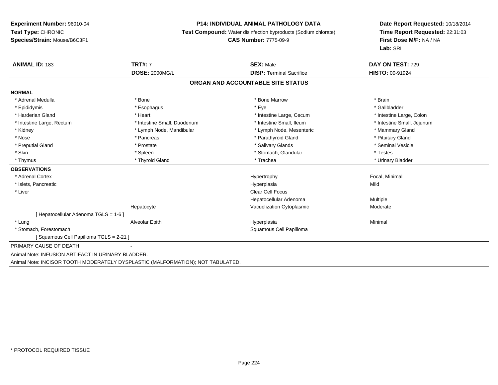# **P14: INDIVIDUAL ANIMAL PATHOLOGY DATA**

**Test Compound:** Water disinfection byproducts (Sodium chlorate)

# **CAS Number:** 7775-09-9

| <b>ANIMAL ID: 183</b>                              | <b>TRT#: 7</b>                                                                  | <b>SEX: Male</b>                  | DAY ON TEST: 729           |
|----------------------------------------------------|---------------------------------------------------------------------------------|-----------------------------------|----------------------------|
|                                                    | DOSE: 2000MG/L                                                                  | <b>DISP: Terminal Sacrifice</b>   | <b>HISTO: 00-91924</b>     |
|                                                    |                                                                                 | ORGAN AND ACCOUNTABLE SITE STATUS |                            |
| <b>NORMAL</b>                                      |                                                                                 |                                   |                            |
| * Adrenal Medulla                                  | * Bone                                                                          | * Bone Marrow                     | * Brain                    |
| * Epididymis                                       | * Esophagus                                                                     | * Eye                             | * Gallbladder              |
| * Harderian Gland                                  | * Heart                                                                         | * Intestine Large, Cecum          | * Intestine Large, Colon   |
| * Intestine Large, Rectum                          | * Intestine Small, Duodenum                                                     | * Intestine Small, Ileum          | * Intestine Small, Jejunum |
| * Kidney                                           | * Lymph Node, Mandibular                                                        | * Lymph Node, Mesenteric          | * Mammary Gland            |
| * Nose                                             | * Pancreas                                                                      | * Parathyroid Gland               | * Pituitary Gland          |
| * Preputial Gland                                  | * Prostate                                                                      | * Salivary Glands                 | * Seminal Vesicle          |
| * Skin                                             | * Spleen                                                                        | * Stomach, Glandular              | * Testes                   |
| * Thymus                                           | * Thyroid Gland                                                                 | * Trachea                         | * Urinary Bladder          |
| <b>OBSERVATIONS</b>                                |                                                                                 |                                   |                            |
| * Adrenal Cortex                                   |                                                                                 | Hypertrophy                       | Focal, Minimal             |
| * Islets, Pancreatic                               |                                                                                 | Hyperplasia                       | Mild                       |
| * Liver                                            |                                                                                 | <b>Clear Cell Focus</b>           |                            |
|                                                    |                                                                                 | Hepatocellular Adenoma            | Multiple                   |
|                                                    | Hepatocyte                                                                      | Vacuolization Cytoplasmic         | Moderate                   |
| [ Hepatocellular Adenoma TGLS = 1-6 ]              |                                                                                 |                                   |                            |
| * Lung                                             | Alveolar Epith                                                                  | Hyperplasia                       | Minimal                    |
| * Stomach, Forestomach                             |                                                                                 | Squamous Cell Papilloma           |                            |
| Squamous Cell Papilloma TGLS = 2-21 ]              |                                                                                 |                                   |                            |
| PRIMARY CAUSE OF DEATH                             |                                                                                 |                                   |                            |
| Animal Note: INFUSION ARTIFACT IN URINARY BLADDER. |                                                                                 |                                   |                            |
|                                                    | Animal Note: INCISOR TOOTH MODERATELY DYSPLASTIC (MALFORMATION); NOT TABULATED. |                                   |                            |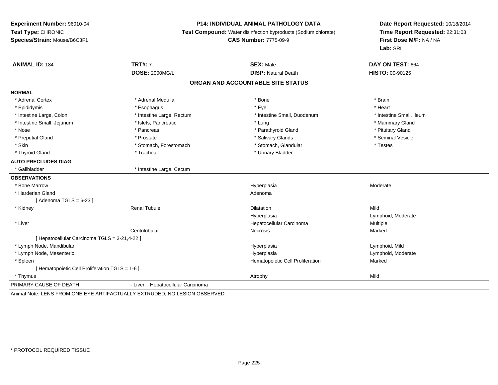#### **P14: INDIVIDUAL ANIMAL PATHOLOGY DATA**

**Test Compound:** Water disinfection byproducts (Sodium chlorate)

#### **CAS Number:** 7775-09-9

**Date Report Requested:** 10/18/2014**Time Report Requested:** 22:31:03**First Dose M/F:** NA / NA**Lab:** SRI

| <b>ANIMAL ID: 184</b>                           | <b>TRT#: 7</b>                                                            | <b>SEX: Male</b>                  | DAY ON TEST: 664         |  |
|-------------------------------------------------|---------------------------------------------------------------------------|-----------------------------------|--------------------------|--|
|                                                 | DOSE: 2000MG/L                                                            | <b>DISP: Natural Death</b>        | <b>HISTO: 00-90125</b>   |  |
|                                                 |                                                                           | ORGAN AND ACCOUNTABLE SITE STATUS |                          |  |
| <b>NORMAL</b>                                   |                                                                           |                                   |                          |  |
| * Adrenal Cortex                                | * Adrenal Medulla                                                         | * Bone                            | * Brain                  |  |
| * Epididymis                                    | * Esophagus                                                               | * Eye                             | * Heart                  |  |
| * Intestine Large, Colon                        | * Intestine Large, Rectum                                                 | * Intestine Small, Duodenum       | * Intestine Small, Ileum |  |
| * Intestine Small, Jejunum                      | * Islets, Pancreatic                                                      | * Lung                            | * Mammary Gland          |  |
| * Nose                                          | * Pancreas                                                                | * Parathyroid Gland               | * Pituitary Gland        |  |
| * Preputial Gland                               | * Prostate                                                                | * Salivary Glands                 | * Seminal Vesicle        |  |
| * Skin                                          | * Stomach, Forestomach                                                    | * Stomach, Glandular              | * Testes                 |  |
| * Thyroid Gland                                 | * Trachea                                                                 | * Urinary Bladder                 |                          |  |
| <b>AUTO PRECLUDES DIAG.</b>                     |                                                                           |                                   |                          |  |
| * Gallbladder                                   | * Intestine Large, Cecum                                                  |                                   |                          |  |
| <b>OBSERVATIONS</b>                             |                                                                           |                                   |                          |  |
| * Bone Marrow                                   |                                                                           | Hyperplasia                       | Moderate                 |  |
| * Harderian Gland                               |                                                                           | Adenoma                           |                          |  |
| [Adenoma TGLS = $6-23$ ]                        |                                                                           |                                   |                          |  |
| * Kidney                                        | <b>Renal Tubule</b>                                                       | <b>Dilatation</b>                 | Mild                     |  |
|                                                 |                                                                           | Hyperplasia                       | Lymphoid, Moderate       |  |
| * Liver                                         |                                                                           | Hepatocellular Carcinoma          | Multiple                 |  |
|                                                 | Centrilobular                                                             | <b>Necrosis</b>                   | Marked                   |  |
| [ Hepatocellular Carcinoma TGLS = 3-21,4-22 ]   |                                                                           |                                   |                          |  |
| * Lymph Node, Mandibular                        |                                                                           | Hyperplasia                       | Lymphoid, Mild           |  |
| * Lymph Node, Mesenteric                        |                                                                           | Hyperplasia                       | Lymphoid, Moderate       |  |
| * Spleen                                        |                                                                           | Hematopoietic Cell Proliferation  | Marked                   |  |
| [ Hematopoietic Cell Proliferation TGLS = 1-6 ] |                                                                           |                                   |                          |  |
| * Thymus                                        |                                                                           | Atrophy                           | Mild                     |  |
| PRIMARY CAUSE OF DEATH                          | - Liver Hepatocellular Carcinoma                                          |                                   |                          |  |
|                                                 | Animal Nota: LENG EDOM ONE EVE ARTIEACTUALLY EVTRUDED: NO LEGION ORGERVED |                                   |                          |  |

Animal Note: LENS FROM ONE EYE ARTIFACTUALLY EXTRUDED; NO LESION OBSERVED.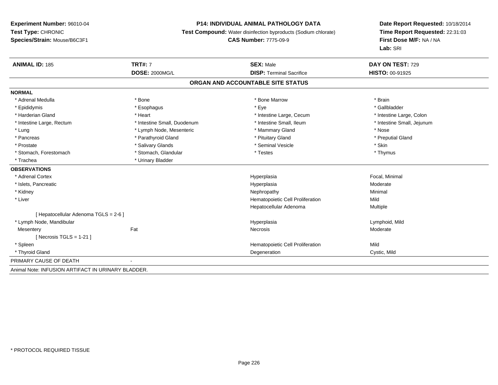#### **P14: INDIVIDUAL ANIMAL PATHOLOGY DATA**

**Test Compound:** Water disinfection byproducts (Sodium chlorate)

**CAS Number:** 7775-09-9

**Date Report Requested:** 10/18/2014**Time Report Requested:** 22:31:03**First Dose M/F:** NA / NA**Lab:** SRI

| <b>ANIMAL ID: 185</b>                               | <b>TRT#: 7</b>              | <b>SEX: Male</b>                  | DAY ON TEST: 729           |
|-----------------------------------------------------|-----------------------------|-----------------------------------|----------------------------|
|                                                     | <b>DOSE: 2000MG/L</b>       | <b>DISP: Terminal Sacrifice</b>   | HISTO: 00-91925            |
|                                                     |                             | ORGAN AND ACCOUNTABLE SITE STATUS |                            |
| <b>NORMAL</b>                                       |                             |                                   |                            |
| * Adrenal Medulla                                   | * Bone                      | * Bone Marrow                     | * Brain                    |
| * Epididymis                                        | * Esophagus                 | * Eye                             | * Gallbladder              |
| * Harderian Gland                                   | * Heart                     | * Intestine Large, Cecum          | * Intestine Large, Colon   |
| * Intestine Large, Rectum                           | * Intestine Small, Duodenum | * Intestine Small, Ileum          | * Intestine Small, Jejunum |
| * Lung                                              | * Lymph Node, Mesenteric    | * Mammary Gland                   | * Nose                     |
| * Pancreas                                          | * Parathyroid Gland         | * Pituitary Gland                 | * Preputial Gland          |
| * Prostate                                          | * Salivary Glands           | * Seminal Vesicle                 | * Skin                     |
| * Stomach, Forestomach                              | * Stomach, Glandular        | * Testes                          | * Thymus                   |
| * Trachea                                           | * Urinary Bladder           |                                   |                            |
| <b>OBSERVATIONS</b>                                 |                             |                                   |                            |
| * Adrenal Cortex                                    |                             | Hyperplasia                       | Focal, Minimal             |
| * Islets, Pancreatic                                |                             | Hyperplasia                       | Moderate                   |
| * Kidney                                            |                             | Nephropathy                       | Minimal                    |
| * Liver                                             |                             | Hematopoietic Cell Proliferation  | Mild                       |
|                                                     |                             | Hepatocellular Adenoma            | Multiple                   |
| [ Hepatocellular Adenoma TGLS = 2-6 ]               |                             |                                   |                            |
| * Lymph Node, Mandibular                            |                             | Hyperplasia                       | Lymphoid, Mild             |
| Mesentery                                           | Fat                         | Necrosis                          | Moderate                   |
| [ Necrosis TGLS = $1-21$ ]                          |                             |                                   |                            |
| * Spleen                                            |                             | Hematopoietic Cell Proliferation  | Mild                       |
| * Thyroid Gland                                     |                             | Degeneration                      | Cystic, Mild               |
| PRIMARY CAUSE OF DEATH                              |                             |                                   |                            |
| Animal Note: INFLISION ADTIEACT IN HEINIADV BLADDED |                             |                                   |                            |

Animal Note: INFUSION ARTIFACT IN URINARY BLADDER.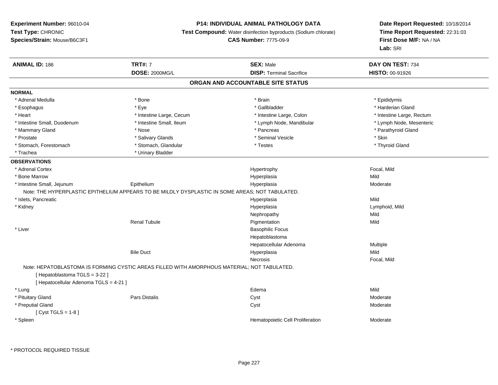# **P14: INDIVIDUAL ANIMAL PATHOLOGY DATA**

**Test Compound:** Water disinfection byproducts (Sodium chlorate)

```
CAS Number: 7775-09-9
```

| <b>ANIMAL ID: 186</b>                  | <b>TRT#: 7</b>                                                                                  | <b>SEX: Male</b>                  | DAY ON TEST: 734          |  |
|----------------------------------------|-------------------------------------------------------------------------------------------------|-----------------------------------|---------------------------|--|
|                                        | <b>DOSE: 2000MG/L</b>                                                                           | <b>DISP: Terminal Sacrifice</b>   | <b>HISTO: 00-91926</b>    |  |
|                                        |                                                                                                 | ORGAN AND ACCOUNTABLE SITE STATUS |                           |  |
| <b>NORMAL</b>                          |                                                                                                 |                                   |                           |  |
| * Adrenal Medulla                      | * Bone                                                                                          | * Brain                           | * Epididymis              |  |
| * Esophagus                            | * Eye                                                                                           | * Gallbladder                     | * Harderian Gland         |  |
| * Heart                                | * Intestine Large, Cecum                                                                        | * Intestine Large, Colon          | * Intestine Large, Rectum |  |
| * Intestine Small, Duodenum            | * Intestine Small, Ileum                                                                        | * Lymph Node, Mandibular          | * Lymph Node, Mesenteric  |  |
| * Mammary Gland                        | * Nose                                                                                          | * Pancreas                        | * Parathyroid Gland       |  |
| * Prostate                             | * Salivary Glands                                                                               | * Seminal Vesicle                 | * Skin                    |  |
| * Stomach, Forestomach                 | * Stomach, Glandular                                                                            | * Testes                          | * Thyroid Gland           |  |
| * Trachea                              | * Urinary Bladder                                                                               |                                   |                           |  |
| <b>OBSERVATIONS</b>                    |                                                                                                 |                                   |                           |  |
| * Adrenal Cortex                       |                                                                                                 | Hypertrophy                       | Focal, Mild               |  |
| * Bone Marrow                          |                                                                                                 | Hyperplasia                       | Mild                      |  |
| * Intestine Small, Jejunum             | Epithelium                                                                                      | Hyperplasia                       | Moderate                  |  |
|                                        | Note: THE HYPERPLASTIC EPITHELIUM APPEARS TO BE MILDLY DYSPLASTIC IN SOME AREAS; NOT TABULATED. |                                   |                           |  |
| * Islets, Pancreatic                   |                                                                                                 | Hyperplasia                       | Mild                      |  |
| * Kidney                               |                                                                                                 | Hyperplasia                       | Lymphoid, Mild            |  |
|                                        |                                                                                                 | Nephropathy                       | Mild                      |  |
|                                        | <b>Renal Tubule</b>                                                                             | Pigmentation                      | Mild                      |  |
| * Liver                                |                                                                                                 | <b>Basophilic Focus</b>           |                           |  |
|                                        |                                                                                                 | Hepatoblastoma                    |                           |  |
|                                        |                                                                                                 | Hepatocellular Adenoma            | Multiple                  |  |
|                                        | <b>Bile Duct</b>                                                                                | Hyperplasia                       | Mild                      |  |
|                                        |                                                                                                 | Necrosis                          | Focal, Mild               |  |
|                                        | Note: HEPATOBLASTOMA IS FORMING CYSTIC AREAS FILLED WITH AMORPHOUS MATERIAL; NOT TABULATED.     |                                   |                           |  |
| [Hepatoblastoma TGLS = 3-22]           |                                                                                                 |                                   |                           |  |
| [ Hepatocellular Adenoma TGLS = 4-21 ] |                                                                                                 |                                   |                           |  |
| * Lung                                 |                                                                                                 | Edema                             | Mild                      |  |
| * Pituitary Gland                      | <b>Pars Distalis</b>                                                                            | Cyst                              | Moderate                  |  |
| * Preputial Gland                      |                                                                                                 | Cyst                              | Moderate                  |  |
| [ $Cyst TGLS = 1-8$ ]                  |                                                                                                 |                                   |                           |  |
| * Spleen                               |                                                                                                 | Hematopoietic Cell Proliferation  | Moderate                  |  |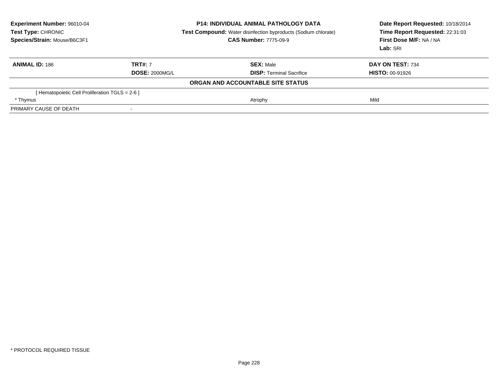| <b>Experiment Number: 96010-04</b><br>Test Type: CHRONIC<br>Species/Strain: Mouse/B6C3F1 | <b>P14: INDIVIDUAL ANIMAL PATHOLOGY DATA</b><br>Test Compound: Water disinfection byproducts (Sodium chlorate)<br><b>CAS Number: 7775-09-9</b> |                                   | Date Report Requested: 10/18/2014<br>Time Report Requested: 22:31:03<br>First Dose M/F: NA / NA<br>Lab: SRI |
|------------------------------------------------------------------------------------------|------------------------------------------------------------------------------------------------------------------------------------------------|-----------------------------------|-------------------------------------------------------------------------------------------------------------|
| <b>ANIMAL ID: 186</b>                                                                    | <b>TRT#: 7</b>                                                                                                                                 | <b>SEX: Male</b>                  | DAY ON TEST: 734                                                                                            |
|                                                                                          | <b>DOSE: 2000MG/L</b>                                                                                                                          | <b>DISP:</b> Terminal Sacrifice   | <b>HISTO: 00-91926</b>                                                                                      |
|                                                                                          |                                                                                                                                                | ORGAN AND ACCOUNTABLE SITE STATUS |                                                                                                             |
| [Hematopoietic Cell Proliferation TGLS = 2-6 ]                                           |                                                                                                                                                |                                   |                                                                                                             |
| * Thymus                                                                                 |                                                                                                                                                | Atrophy                           | Mild                                                                                                        |
| PRIMARY CAUSE OF DEATH                                                                   | $\overline{\phantom{a}}$                                                                                                                       |                                   |                                                                                                             |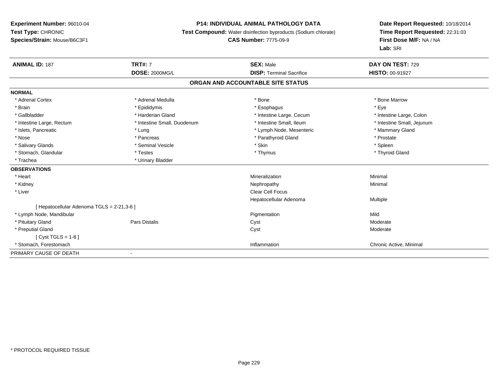# **P14: INDIVIDUAL ANIMAL PATHOLOGY DATA**

**Test Compound:** Water disinfection byproducts (Sodium chlorate)

# **CAS Number:** 7775-09-9

| <b>ANIMAL ID: 187</b>                      | <b>TRT#: 7</b>                    | <b>SEX: Male</b>                | DAY ON TEST: 729           |  |  |  |  |
|--------------------------------------------|-----------------------------------|---------------------------------|----------------------------|--|--|--|--|
|                                            | <b>DOSE: 2000MG/L</b>             | <b>DISP: Terminal Sacrifice</b> | HISTO: 00-91927            |  |  |  |  |
|                                            | ORGAN AND ACCOUNTABLE SITE STATUS |                                 |                            |  |  |  |  |
| <b>NORMAL</b>                              |                                   |                                 |                            |  |  |  |  |
| * Adrenal Cortex                           | * Adrenal Medulla                 | * Bone                          | * Bone Marrow              |  |  |  |  |
| * Brain                                    | * Epididymis                      | * Esophagus                     | * Eye                      |  |  |  |  |
| * Gallbladder                              | * Harderian Gland                 | * Intestine Large, Cecum        | * Intestine Large, Colon   |  |  |  |  |
| * Intestine Large, Rectum                  | * Intestine Small, Duodenum       | * Intestine Small. Ileum        | * Intestine Small, Jejunum |  |  |  |  |
| * Islets, Pancreatic                       | * Lung                            | * Lymph Node, Mesenteric        | * Mammary Gland            |  |  |  |  |
| * Nose                                     | * Pancreas                        | * Parathyroid Gland             | * Prostate                 |  |  |  |  |
| * Salivary Glands                          | * Seminal Vesicle                 | * Skin                          | * Spleen                   |  |  |  |  |
| * Stomach, Glandular                       | * Testes                          | * Thymus                        | * Thyroid Gland            |  |  |  |  |
| * Trachea                                  | * Urinary Bladder                 |                                 |                            |  |  |  |  |
| <b>OBSERVATIONS</b>                        |                                   |                                 |                            |  |  |  |  |
| * Heart                                    |                                   | Mineralization                  | Minimal                    |  |  |  |  |
| * Kidney                                   |                                   | Nephropathy                     | Minimal                    |  |  |  |  |
| * Liver                                    |                                   | Clear Cell Focus                |                            |  |  |  |  |
|                                            |                                   | Hepatocellular Adenoma          | Multiple                   |  |  |  |  |
| [ Hepatocellular Adenoma TGLS = 2-21,3-6 ] |                                   |                                 |                            |  |  |  |  |
| * Lymph Node, Mandibular                   |                                   | Pigmentation                    | Mild                       |  |  |  |  |
| * Pituitary Gland                          | Pars Distalis                     | Cyst                            | Moderate                   |  |  |  |  |
| * Preputial Gland                          |                                   | Cyst                            | Moderate                   |  |  |  |  |
| [Cyst TGLS = $1-8$ ]                       |                                   |                                 |                            |  |  |  |  |
| * Stomach, Forestomach                     |                                   | Inflammation                    | Chronic Active, Minimal    |  |  |  |  |
| PRIMARY CAUSE OF DEATH                     | $\overline{a}$                    |                                 |                            |  |  |  |  |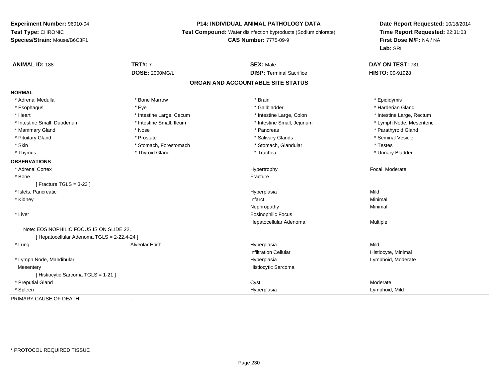# **P14: INDIVIDUAL ANIMAL PATHOLOGY DATA**

**Test Compound:** Water disinfection byproducts (Sodium chlorate)

# **CAS Number:** 7775-09-9

| <b>ANIMAL ID: 188</b>                       | <b>TRT#: 7</b>           | <b>SEX: Male</b>                  | DAY ON TEST: 731          |  |
|---------------------------------------------|--------------------------|-----------------------------------|---------------------------|--|
|                                             | <b>DOSE: 2000MG/L</b>    | <b>DISP: Terminal Sacrifice</b>   | HISTO: 00-91928           |  |
|                                             |                          | ORGAN AND ACCOUNTABLE SITE STATUS |                           |  |
| <b>NORMAL</b>                               |                          |                                   |                           |  |
| * Adrenal Medulla                           | * Bone Marrow            | * Brain                           | * Epididymis              |  |
| * Esophagus                                 | * Eye                    | * Gallbladder                     | * Harderian Gland         |  |
| * Heart                                     | * Intestine Large, Cecum | * Intestine Large, Colon          | * Intestine Large, Rectum |  |
| * Intestine Small, Duodenum                 | * Intestine Small, Ileum | * Intestine Small, Jejunum        | * Lymph Node, Mesenteric  |  |
| * Mammary Gland                             | * Nose                   | * Pancreas                        | * Parathyroid Gland       |  |
| * Pituitary Gland                           | * Prostate               | * Salivary Glands                 | * Seminal Vesicle         |  |
| * Skin                                      | * Stomach, Forestomach   | * Stomach, Glandular              | * Testes                  |  |
| * Thymus                                    | * Thyroid Gland          | * Trachea                         | * Urinary Bladder         |  |
| <b>OBSERVATIONS</b>                         |                          |                                   |                           |  |
| * Adrenal Cortex                            |                          | Hypertrophy                       | Focal, Moderate           |  |
| * Bone                                      |                          | Fracture                          |                           |  |
| [ Fracture TGLS = $3-23$ ]                  |                          |                                   |                           |  |
| * Islets, Pancreatic                        |                          | Hyperplasia                       | Mild                      |  |
| * Kidney                                    |                          | Infarct                           | Minimal                   |  |
|                                             |                          | Nephropathy                       | Minimal                   |  |
| * Liver                                     |                          | Eosinophilic Focus                |                           |  |
|                                             |                          | Hepatocellular Adenoma            | Multiple                  |  |
| Note: EOSINOPHILIC FOCUS IS ON SLIDE 22.    |                          |                                   |                           |  |
| [ Hepatocellular Adenoma TGLS = 2-22,4-24 ] |                          |                                   |                           |  |
| * Lung                                      | Alveolar Epith           | Hyperplasia                       | Mild                      |  |
|                                             |                          | <b>Infiltration Cellular</b>      | Histiocyte, Minimal       |  |
| * Lymph Node, Mandibular                    |                          | Hyperplasia                       | Lymphoid, Moderate        |  |
| Mesentery                                   |                          | Histiocytic Sarcoma               |                           |  |
| [ Histiocytic Sarcoma TGLS = 1-21 ]         |                          |                                   |                           |  |
| * Preputial Gland                           |                          | Cyst                              | Moderate                  |  |
| * Spleen                                    |                          | Hyperplasia                       | Lymphoid, Mild            |  |
| PRIMARY CAUSE OF DEATH                      |                          |                                   |                           |  |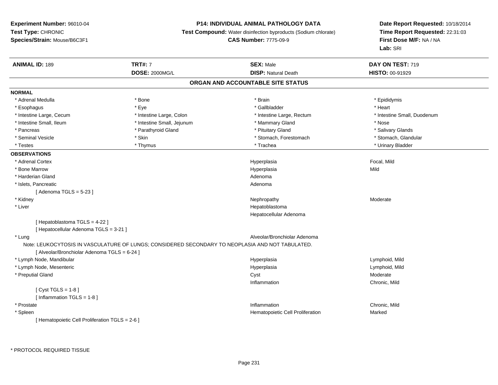# **P14: INDIVIDUAL ANIMAL PATHOLOGY DATA**

**Test Compound:** Water disinfection byproducts (Sodium chlorate)

**CAS Number:** 7775-09-9

| <b>ANIMAL ID: 189</b>                           | <b>TRT#: 7</b>                                                                                   | <b>SEX: Male</b>                  | DAY ON TEST: 719            |
|-------------------------------------------------|--------------------------------------------------------------------------------------------------|-----------------------------------|-----------------------------|
|                                                 | <b>DOSE: 2000MG/L</b>                                                                            | <b>DISP: Natural Death</b>        | HISTO: 00-91929             |
|                                                 |                                                                                                  | ORGAN AND ACCOUNTABLE SITE STATUS |                             |
| <b>NORMAL</b>                                   |                                                                                                  |                                   |                             |
| * Adrenal Medulla                               | * Bone                                                                                           | * Brain                           | * Epididymis                |
| * Esophagus                                     | * Eye                                                                                            | * Gallbladder                     | * Heart                     |
| * Intestine Large, Cecum                        | * Intestine Large, Colon                                                                         | * Intestine Large, Rectum         | * Intestine Small, Duodenum |
| * Intestine Small, Ileum                        | * Intestine Small, Jejunum                                                                       | * Mammary Gland                   | * Nose                      |
| * Pancreas                                      | * Parathyroid Gland                                                                              | * Pituitary Gland                 | * Salivary Glands           |
| * Seminal Vesicle                               | * Skin                                                                                           | * Stomach, Forestomach            | * Stomach, Glandular        |
| * Testes                                        | * Thymus                                                                                         | * Trachea                         | * Urinary Bladder           |
| <b>OBSERVATIONS</b>                             |                                                                                                  |                                   |                             |
| * Adrenal Cortex                                |                                                                                                  | Hyperplasia                       | Focal, Mild                 |
| * Bone Marrow                                   |                                                                                                  | Hyperplasia                       | Mild                        |
| * Harderian Gland                               |                                                                                                  | Adenoma                           |                             |
| * Islets, Pancreatic                            |                                                                                                  | Adenoma                           |                             |
| [Adenoma TGLS = $5-23$ ]                        |                                                                                                  |                                   |                             |
| * Kidney                                        |                                                                                                  | Nephropathy                       | Moderate                    |
| * Liver                                         |                                                                                                  | Hepatoblastoma                    |                             |
|                                                 |                                                                                                  | Hepatocellular Adenoma            |                             |
| [Hepatoblastoma TGLS = 4-22]                    |                                                                                                  |                                   |                             |
| [ Hepatocellular Adenoma TGLS = 3-21 ]          |                                                                                                  |                                   |                             |
| * Lung                                          |                                                                                                  | Alveolar/Bronchiolar Adenoma      |                             |
|                                                 | Note: LEUKOCYTOSIS IN VASCULATURE OF LUNGS; CONSIDERED SECONDARY TO NEOPLASIA AND NOT TABULATED. |                                   |                             |
| [ Alveolar/Bronchiolar Adenoma TGLS = 6-24 ]    |                                                                                                  |                                   |                             |
| * Lymph Node, Mandibular                        |                                                                                                  | Hyperplasia                       | Lymphoid, Mild              |
| * Lymph Node, Mesenteric                        |                                                                                                  | Hyperplasia                       | Lymphoid, Mild              |
| * Preputial Gland                               |                                                                                                  | Cyst                              | Moderate                    |
|                                                 |                                                                                                  | Inflammation                      | Chronic, Mild               |
| [Cyst TGLS = $1-8$ ]                            |                                                                                                  |                                   |                             |
| [Inflammation TGLS = $1-8$ ]                    |                                                                                                  |                                   |                             |
| * Prostate                                      |                                                                                                  | Inflammation                      | Chronic, Mild               |
| * Spleen                                        |                                                                                                  | Hematopoietic Cell Proliferation  | Marked                      |
| [ Hematopoietic Cell Proliferation TGLS = 2-6 ] |                                                                                                  |                                   |                             |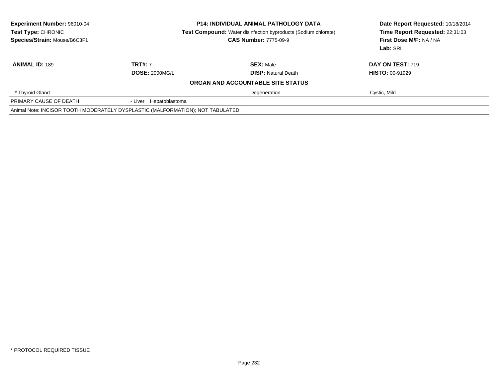| Experiment Number: 96010-04<br>Test Type: CHRONIC<br>Species/Strain: Mouse/B6C3F1 | <b>P14: INDIVIDUAL ANIMAL PATHOLOGY DATA</b><br><b>Test Compound:</b> Water disinfection byproducts (Sodium chlorate)<br><b>CAS Number: 7775-09-9</b> |                                   | Date Report Requested: 10/18/2014<br>Time Report Requested: 22:31:03<br>First Dose M/F: NA / NA<br>Lab: SRI |  |
|-----------------------------------------------------------------------------------|-------------------------------------------------------------------------------------------------------------------------------------------------------|-----------------------------------|-------------------------------------------------------------------------------------------------------------|--|
| <b>ANIMAL ID: 189</b>                                                             | <b>TRT#: 7</b>                                                                                                                                        | <b>SEX: Male</b>                  | <b>DAY ON TEST: 719</b>                                                                                     |  |
|                                                                                   | <b>DOSE: 2000MG/L</b>                                                                                                                                 | <b>DISP:</b> Natural Death        | <b>HISTO: 00-91929</b>                                                                                      |  |
|                                                                                   |                                                                                                                                                       | ORGAN AND ACCOUNTABLE SITE STATUS |                                                                                                             |  |
| * Thyroid Gland                                                                   |                                                                                                                                                       | Degeneration                      | Cystic, Mild                                                                                                |  |
| PRIMARY CAUSE OF DEATH                                                            | - Liver Hepatoblastoma                                                                                                                                |                                   |                                                                                                             |  |
|                                                                                   | Animal Note: INCISOR TOOTH MODERATELY DYSPLASTIC (MALFORMATION); NOT TABULATED.                                                                       |                                   |                                                                                                             |  |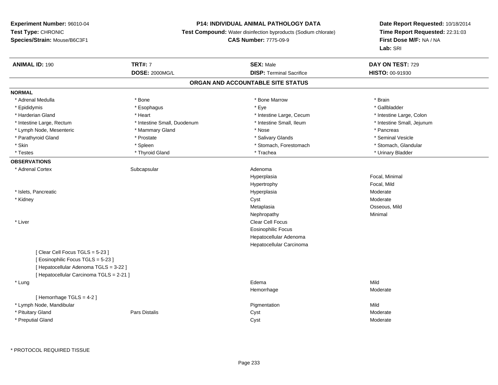# **P14: INDIVIDUAL ANIMAL PATHOLOGY DATA**

**Test Compound:** Water disinfection byproducts (Sodium chlorate)

# **CAS Number:** 7775-09-9

| <b>ANIMAL ID: 190</b>                    | <b>TRT#: 7</b>              | <b>SEX: Male</b>                | DAY ON TEST: 729           |  |  |  |  |
|------------------------------------------|-----------------------------|---------------------------------|----------------------------|--|--|--|--|
|                                          | <b>DOSE: 2000MG/L</b>       | <b>DISP: Terminal Sacrifice</b> | HISTO: 00-91930            |  |  |  |  |
| ORGAN AND ACCOUNTABLE SITE STATUS        |                             |                                 |                            |  |  |  |  |
| <b>NORMAL</b>                            |                             |                                 |                            |  |  |  |  |
| * Adrenal Medulla                        | * Bone                      | * Bone Marrow                   | * Brain                    |  |  |  |  |
| * Epididymis                             | * Esophagus                 | * Eye                           | * Gallbladder              |  |  |  |  |
| * Harderian Gland                        | * Heart                     | * Intestine Large, Cecum        | * Intestine Large, Colon   |  |  |  |  |
| * Intestine Large, Rectum                | * Intestine Small, Duodenum | * Intestine Small, Ileum        | * Intestine Small, Jejunum |  |  |  |  |
| * Lymph Node, Mesenteric                 | * Mammary Gland             | * Nose                          | * Pancreas                 |  |  |  |  |
| * Parathyroid Gland                      | * Prostate                  | * Salivary Glands               | * Seminal Vesicle          |  |  |  |  |
| * Skin                                   | * Spleen                    | * Stomach, Forestomach          | * Stomach, Glandular       |  |  |  |  |
| * Testes                                 | * Thyroid Gland             | * Trachea                       | * Urinary Bladder          |  |  |  |  |
| <b>OBSERVATIONS</b>                      |                             |                                 |                            |  |  |  |  |
| * Adrenal Cortex                         | Subcapsular                 | Adenoma                         |                            |  |  |  |  |
|                                          |                             | Hyperplasia                     | Focal, Minimal             |  |  |  |  |
|                                          |                             | Hypertrophy                     | Focal, Mild                |  |  |  |  |
| * Islets, Pancreatic                     |                             | Hyperplasia                     | Moderate                   |  |  |  |  |
| * Kidney                                 |                             | Cyst                            | Moderate                   |  |  |  |  |
|                                          |                             | Metaplasia                      | Osseous, Mild              |  |  |  |  |
|                                          |                             | Nephropathy                     | Minimal                    |  |  |  |  |
| * Liver                                  |                             | <b>Clear Cell Focus</b>         |                            |  |  |  |  |
|                                          |                             | <b>Eosinophilic Focus</b>       |                            |  |  |  |  |
|                                          |                             | Hepatocellular Adenoma          |                            |  |  |  |  |
|                                          |                             | Hepatocellular Carcinoma        |                            |  |  |  |  |
| [Clear Cell Focus TGLS = 5-23]           |                             |                                 |                            |  |  |  |  |
| [ Eosinophilic Focus TGLS = 5-23 ]       |                             |                                 |                            |  |  |  |  |
| [ Hepatocellular Adenoma TGLS = 3-22 ]   |                             |                                 |                            |  |  |  |  |
| [ Hepatocellular Carcinoma TGLS = 2-21 ] |                             |                                 |                            |  |  |  |  |
| * Lung                                   |                             | Edema                           | Mild                       |  |  |  |  |
|                                          |                             | Hemorrhage                      | Moderate                   |  |  |  |  |
| [Hemorrhage TGLS = 4-2]                  |                             |                                 |                            |  |  |  |  |
| * Lymph Node, Mandibular                 |                             | Pigmentation                    | Mild                       |  |  |  |  |
| * Pituitary Gland                        | <b>Pars Distalis</b>        | Cyst                            | Moderate                   |  |  |  |  |
| * Preputial Gland                        |                             | Cyst                            | Moderate                   |  |  |  |  |
|                                          |                             |                                 |                            |  |  |  |  |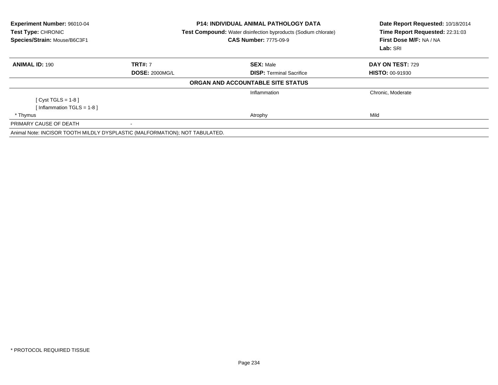| Experiment Number: 96010-04<br>Test Type: CHRONIC<br>Species/Strain: Mouse/B6C3F1 |                       | <b>P14: INDIVIDUAL ANIMAL PATHOLOGY DATA</b><br><b>Test Compound:</b> Water disinfection byproducts (Sodium chlorate)<br><b>CAS Number: 7775-09-9</b> | Date Report Requested: 10/18/2014<br>Time Report Requested: 22:31:03<br>First Dose M/F: NA / NA<br>Lab: SRI |
|-----------------------------------------------------------------------------------|-----------------------|-------------------------------------------------------------------------------------------------------------------------------------------------------|-------------------------------------------------------------------------------------------------------------|
| <b>ANIMAL ID: 190</b>                                                             | <b>TRT#:</b> 7        | <b>SEX: Male</b>                                                                                                                                      | <b>DAY ON TEST: 729</b>                                                                                     |
|                                                                                   | <b>DOSE: 2000MG/L</b> | <b>DISP: Terminal Sacrifice</b>                                                                                                                       | <b>HISTO: 00-91930</b>                                                                                      |
|                                                                                   |                       | ORGAN AND ACCOUNTABLE SITE STATUS                                                                                                                     |                                                                                                             |
|                                                                                   |                       | Inflammation                                                                                                                                          | Chronic, Moderate                                                                                           |
| $[Cyst TGLS = 1-8]$                                                               |                       |                                                                                                                                                       |                                                                                                             |
| Inflammation TGLS = 1-8 ]                                                         |                       |                                                                                                                                                       |                                                                                                             |
| * Thymus                                                                          |                       | Atrophy                                                                                                                                               | Mild                                                                                                        |
| PRIMARY CAUSE OF DEATH                                                            |                       |                                                                                                                                                       |                                                                                                             |
| Animal Note: INCISOR TOOTH MILDLY DYSPLASTIC (MALFORMATION); NOT TABULATED.       |                       |                                                                                                                                                       |                                                                                                             |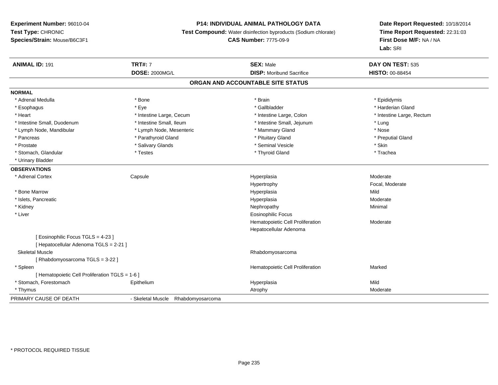# **P14: INDIVIDUAL ANIMAL PATHOLOGY DATA**

**Test Compound:** Water disinfection byproducts (Sodium chlorate)

**CAS Number:** 7775-09-9

| <b>ANIMAL ID: 191</b>                           | <b>TRT#: 7</b>                        | <b>SEX: Male</b>                  | DAY ON TEST: 535          |
|-------------------------------------------------|---------------------------------------|-----------------------------------|---------------------------|
|                                                 | <b>DOSE: 2000MG/L</b>                 | <b>DISP:</b> Moribund Sacrifice   | HISTO: 00-88454           |
|                                                 |                                       | ORGAN AND ACCOUNTABLE SITE STATUS |                           |
| <b>NORMAL</b>                                   |                                       |                                   |                           |
| * Adrenal Medulla                               | * Bone                                | * Brain                           | * Epididymis              |
| * Esophagus                                     | * Eye                                 | * Gallbladder                     | * Harderian Gland         |
| * Heart                                         | * Intestine Large, Cecum              | * Intestine Large, Colon          | * Intestine Large, Rectum |
| * Intestine Small, Duodenum                     | * Intestine Small, Ileum              | * Intestine Small, Jejunum        | * Lung                    |
| * Lymph Node, Mandibular                        | * Lymph Node, Mesenteric              | * Mammary Gland                   | * Nose                    |
| * Pancreas                                      | * Parathyroid Gland                   | * Pituitary Gland                 | * Preputial Gland         |
| * Prostate                                      | * Salivary Glands                     | * Seminal Vesicle                 | * Skin                    |
| * Stomach, Glandular                            | * Testes                              | * Thyroid Gland                   | * Trachea                 |
| * Urinary Bladder                               |                                       |                                   |                           |
| <b>OBSERVATIONS</b>                             |                                       |                                   |                           |
| * Adrenal Cortex                                | Capsule                               | Hyperplasia                       | Moderate                  |
|                                                 |                                       | Hypertrophy                       | Focal, Moderate           |
| * Bone Marrow                                   |                                       | Hyperplasia                       | Mild                      |
| * Islets, Pancreatic                            |                                       | Hyperplasia                       | Moderate                  |
| * Kidney                                        |                                       | Nephropathy                       | Minimal                   |
| * Liver                                         |                                       | <b>Eosinophilic Focus</b>         |                           |
|                                                 |                                       | Hematopoietic Cell Proliferation  | Moderate                  |
|                                                 |                                       | Hepatocellular Adenoma            |                           |
| [ Eosinophilic Focus TGLS = 4-23 ]              |                                       |                                   |                           |
| [ Hepatocellular Adenoma TGLS = 2-21 ]          |                                       |                                   |                           |
| <b>Skeletal Muscle</b>                          |                                       | Rhabdomyosarcoma                  |                           |
| [ Rhabdomyosarcoma TGLS = 3-22 ]                |                                       |                                   |                           |
| * Spleen                                        |                                       | Hematopoietic Cell Proliferation  | Marked                    |
| [ Hematopoietic Cell Proliferation TGLS = 1-6 ] |                                       |                                   |                           |
| * Stomach, Forestomach                          | Epithelium                            | Hyperplasia                       | Mild                      |
| * Thymus                                        |                                       | Atrophy                           | Moderate                  |
| PRIMARY CAUSE OF DEATH                          | - Skeletal Muscle<br>Rhabdomyosarcoma |                                   |                           |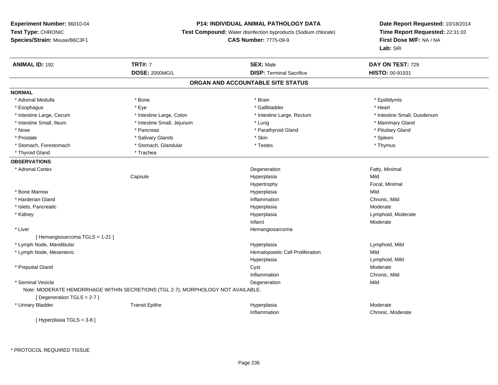# **P14: INDIVIDUAL ANIMAL PATHOLOGY DATA**

**Test Compound:** Water disinfection byproducts (Sodium chlorate)

**CAS Number:** 7775-09-9

**Date Report Requested:** 10/18/2014**Time Report Requested:** 22:31:03**First Dose M/F:** NA / NA**Lab:** SRI

| <b>ANIMAL ID: 192</b>             | <b>TRT#: 7</b>                                                                   | <b>SEX: Male</b>                 | DAY ON TEST: 729            |  |  |  |  |
|-----------------------------------|----------------------------------------------------------------------------------|----------------------------------|-----------------------------|--|--|--|--|
|                                   | <b>DOSE: 2000MG/L</b>                                                            | <b>DISP: Terminal Sacrifice</b>  | HISTO: 00-91931             |  |  |  |  |
| ORGAN AND ACCOUNTABLE SITE STATUS |                                                                                  |                                  |                             |  |  |  |  |
| <b>NORMAL</b>                     |                                                                                  |                                  |                             |  |  |  |  |
| * Adrenal Medulla                 | * Bone                                                                           | * Brain                          | * Epididymis                |  |  |  |  |
| * Esophagus                       | * Eye                                                                            | * Gallbladder                    | * Heart                     |  |  |  |  |
| * Intestine Large, Cecum          | * Intestine Large, Colon                                                         | * Intestine Large, Rectum        | * Intestine Small, Duodenum |  |  |  |  |
| * Intestine Small, Ileum          | * Intestine Small, Jejunum                                                       | * Lung                           | * Mammary Gland             |  |  |  |  |
| * Nose                            | * Pancreas                                                                       | * Parathyroid Gland              | * Pituitary Gland           |  |  |  |  |
| * Prostate                        | * Salivary Glands                                                                | * Skin                           | * Spleen                    |  |  |  |  |
| * Stomach, Forestomach            | * Stomach, Glandular                                                             | * Testes                         | * Thymus                    |  |  |  |  |
| * Thyroid Gland                   | * Trachea                                                                        |                                  |                             |  |  |  |  |
| <b>OBSERVATIONS</b>               |                                                                                  |                                  |                             |  |  |  |  |
| * Adrenal Cortex                  |                                                                                  | Degeneration                     | Fatty, Minimal              |  |  |  |  |
|                                   | Capsule                                                                          | Hyperplasia                      | Mild                        |  |  |  |  |
|                                   |                                                                                  | Hypertrophy                      | Focal, Minimal              |  |  |  |  |
| * Bone Marrow                     |                                                                                  | Hyperplasia                      | Mild                        |  |  |  |  |
| * Harderian Gland                 |                                                                                  | Inflammation                     | Chronic, Mild               |  |  |  |  |
| * Islets, Pancreatic              |                                                                                  | Hyperplasia                      | Moderate                    |  |  |  |  |
| * Kidney                          |                                                                                  | Hyperplasia                      | Lymphoid, Moderate          |  |  |  |  |
|                                   |                                                                                  | Infarct                          | Moderate                    |  |  |  |  |
| * Liver                           |                                                                                  | Hemangiosarcoma                  |                             |  |  |  |  |
| [Hemangiosarcoma TGLS = 1-21]     |                                                                                  |                                  |                             |  |  |  |  |
| * Lymph Node, Mandibular          |                                                                                  | Hyperplasia                      | Lymphoid, Mild              |  |  |  |  |
| * Lymph Node, Mesenteric          |                                                                                  | Hematopoietic Cell Proliferation | Mild                        |  |  |  |  |
|                                   |                                                                                  | Hyperplasia                      | Lymphoid, Mild              |  |  |  |  |
| * Preputial Gland                 |                                                                                  | Cyst                             | Moderate                    |  |  |  |  |
|                                   |                                                                                  | Inflammation                     | Chronic, Mild               |  |  |  |  |
| * Seminal Vesicle                 |                                                                                  | Degeneration                     | Mild                        |  |  |  |  |
|                                   | Note: MODERATE HEMORRHAGE WITHIN SECRETIONS (TGL 2-7); MORPHOLOGY NOT AVAILABLE. |                                  |                             |  |  |  |  |
| [ Degeneration TGLS = 2-7 ]       |                                                                                  |                                  |                             |  |  |  |  |
| * Urinary Bladder                 | <b>Transit Epithe</b>                                                            | Hyperplasia                      | Moderate                    |  |  |  |  |
|                                   |                                                                                  | Inflammation                     | Chronic, Moderate           |  |  |  |  |
| .                                 |                                                                                  |                                  |                             |  |  |  |  |

[ Hyperplasia TGLS = 3-8 ]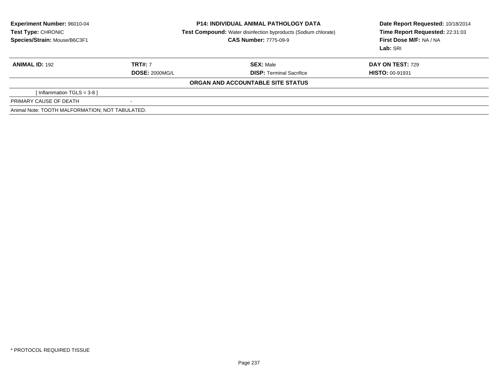| Experiment Number: 96010-04                     |                       | <b>P14: INDIVIDUAL ANIMAL PATHOLOGY DATA</b>                          | Date Report Requested: 10/18/2014 |
|-------------------------------------------------|-----------------------|-----------------------------------------------------------------------|-----------------------------------|
| Test Type: CHRONIC                              |                       | <b>Test Compound:</b> Water disinfection byproducts (Sodium chlorate) | Time Report Requested: 22:31:03   |
| Species/Strain: Mouse/B6C3F1                    |                       | <b>CAS Number: 7775-09-9</b>                                          | First Dose M/F: NA / NA           |
|                                                 |                       |                                                                       | Lab: SRI                          |
| <b>ANIMAL ID: 192</b>                           | <b>TRT#: 7</b>        | <b>SEX: Male</b>                                                      | <b>DAY ON TEST: 729</b>           |
|                                                 | <b>DOSE: 2000MG/L</b> | <b>DISP:</b> Terminal Sacrifice                                       | <b>HISTO: 00-91931</b>            |
|                                                 |                       | ORGAN AND ACCOUNTABLE SITE STATUS                                     |                                   |
| [Inflammation TGLS = $3-8$ ]                    |                       |                                                                       |                                   |
| PRIMARY CAUSE OF DEATH                          | $\,$                  |                                                                       |                                   |
| Animal Note: TOOTH MALFORMATION: NOT TABULATED. |                       |                                                                       |                                   |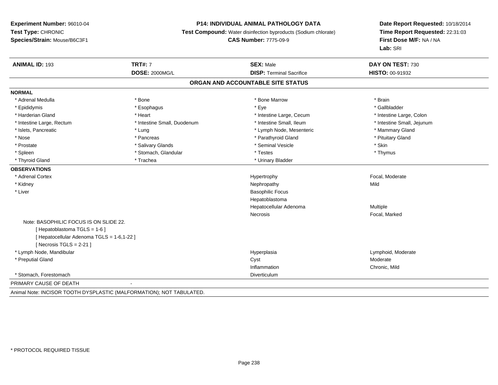# **P14: INDIVIDUAL ANIMAL PATHOLOGY DATA**

**Test Compound:** Water disinfection byproducts (Sodium chlorate)

**CAS Number:** 7775-09-9

| <b>ANIMAL ID: 193</b>                      | <b>TRT#: 7</b>                                                       | <b>SEX: Male</b>                | DAY ON TEST: 730           |  |  |  |
|--------------------------------------------|----------------------------------------------------------------------|---------------------------------|----------------------------|--|--|--|
|                                            | <b>DOSE: 2000MG/L</b>                                                | <b>DISP: Terminal Sacrifice</b> | <b>HISTO: 00-91932</b>     |  |  |  |
| ORGAN AND ACCOUNTABLE SITE STATUS          |                                                                      |                                 |                            |  |  |  |
| <b>NORMAL</b>                              |                                                                      |                                 |                            |  |  |  |
| * Adrenal Medulla                          | * Bone                                                               | * Bone Marrow                   | * Brain                    |  |  |  |
| * Epididymis                               | * Esophagus                                                          | * Eye                           | * Gallbladder              |  |  |  |
| * Harderian Gland                          | * Heart                                                              | * Intestine Large, Cecum        | * Intestine Large, Colon   |  |  |  |
| * Intestine Large, Rectum                  | * Intestine Small, Duodenum                                          | * Intestine Small. Ileum        | * Intestine Small, Jejunum |  |  |  |
| * Islets, Pancreatic                       | * Lung                                                               | * Lymph Node, Mesenteric        | * Mammary Gland            |  |  |  |
| * Nose                                     | * Pancreas                                                           | * Parathyroid Gland             | * Pituitary Gland          |  |  |  |
| * Prostate                                 | * Salivary Glands                                                    | * Seminal Vesicle               | * Skin                     |  |  |  |
| * Spleen                                   | * Stomach, Glandular                                                 | * Testes                        | * Thymus                   |  |  |  |
| * Thyroid Gland                            | * Trachea                                                            | * Urinary Bladder               |                            |  |  |  |
| <b>OBSERVATIONS</b>                        |                                                                      |                                 |                            |  |  |  |
| * Adrenal Cortex                           |                                                                      | Hypertrophy                     | Focal, Moderate            |  |  |  |
| * Kidney                                   |                                                                      | Nephropathy                     | Mild                       |  |  |  |
| * Liver                                    |                                                                      | <b>Basophilic Focus</b>         |                            |  |  |  |
|                                            |                                                                      | Hepatoblastoma                  |                            |  |  |  |
|                                            |                                                                      | Hepatocellular Adenoma          | Multiple                   |  |  |  |
|                                            |                                                                      | <b>Necrosis</b>                 | Focal, Marked              |  |  |  |
| Note: BASOPHILIC FOCUS IS ON SLIDE 22.     |                                                                      |                                 |                            |  |  |  |
| [Hepatoblastoma TGLS = 1-6]                |                                                                      |                                 |                            |  |  |  |
| [ Hepatocellular Adenoma TGLS = 1-6,1-22 ] |                                                                      |                                 |                            |  |  |  |
| [Necrosis TGLS = $2-21$ ]                  |                                                                      |                                 |                            |  |  |  |
| * Lymph Node, Mandibular                   |                                                                      | Hyperplasia                     | Lymphoid, Moderate         |  |  |  |
| * Preputial Gland                          |                                                                      | Cyst                            | Moderate                   |  |  |  |
|                                            |                                                                      | Inflammation                    | Chronic, Mild              |  |  |  |
| * Stomach. Forestomach                     |                                                                      | Diverticulum                    |                            |  |  |  |
| PRIMARY CAUSE OF DEATH                     |                                                                      |                                 |                            |  |  |  |
|                                            | Animal Note: INCISOR TOOTH DYSPLASTIC (MALFORMATION); NOT TABULATED. |                                 |                            |  |  |  |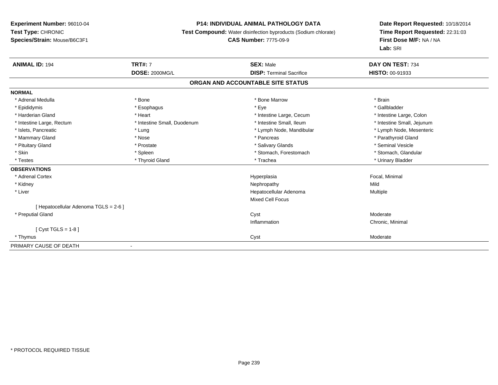# **P14: INDIVIDUAL ANIMAL PATHOLOGY DATA**

**Test Compound:** Water disinfection byproducts (Sodium chlorate)

# **CAS Number:** 7775-09-9

| <b>ANIMAL ID: 194</b>                 | <b>TRT#: 7</b>              | <b>SEX: Male</b>                  | DAY ON TEST: 734           |
|---------------------------------------|-----------------------------|-----------------------------------|----------------------------|
|                                       | <b>DOSE: 2000MG/L</b>       | <b>DISP: Terminal Sacrifice</b>   | HISTO: 00-91933            |
|                                       |                             | ORGAN AND ACCOUNTABLE SITE STATUS |                            |
| <b>NORMAL</b>                         |                             |                                   |                            |
| * Adrenal Medulla                     | * Bone                      | * Bone Marrow                     | * Brain                    |
| * Epididymis                          | * Esophagus                 | * Eye                             | * Gallbladder              |
| * Harderian Gland                     | * Heart                     | * Intestine Large, Cecum          | * Intestine Large, Colon   |
| * Intestine Large, Rectum             | * Intestine Small, Duodenum | * Intestine Small, Ileum          | * Intestine Small, Jejunum |
| * Islets, Pancreatic                  | * Lung                      | * Lymph Node, Mandibular          | * Lymph Node, Mesenteric   |
| * Mammary Gland                       | * Nose                      | * Pancreas                        | * Parathyroid Gland        |
| * Pituitary Gland                     | * Prostate                  | * Salivary Glands                 | * Seminal Vesicle          |
| * Skin                                | * Spleen                    | * Stomach, Forestomach            | * Stomach, Glandular       |
| * Testes                              | * Thyroid Gland             | * Trachea                         | * Urinary Bladder          |
| <b>OBSERVATIONS</b>                   |                             |                                   |                            |
| * Adrenal Cortex                      |                             | Hyperplasia                       | Focal, Minimal             |
| * Kidney                              |                             | Nephropathy                       | Mild                       |
| * Liver                               |                             | Hepatocellular Adenoma            | Multiple                   |
|                                       |                             | Mixed Cell Focus                  |                            |
| [ Hepatocellular Adenoma TGLS = 2-6 ] |                             |                                   |                            |
| * Preputial Gland                     |                             | Cyst                              | Moderate                   |
|                                       |                             | Inflammation                      | Chronic, Minimal           |
| [ $Cyst TGLS = 1-8$ ]                 |                             |                                   |                            |
| * Thymus                              |                             | Cyst                              | Moderate                   |
| PRIMARY CAUSE OF DEATH                |                             |                                   |                            |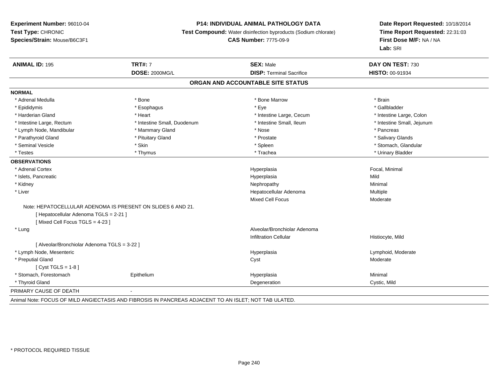#### **P14: INDIVIDUAL ANIMAL PATHOLOGY DATA**

**Test Compound:** Water disinfection byproducts (Sodium chlorate)

**CAS Number:** 7775-09-9

**Date Report Requested:** 10/18/2014**Time Report Requested:** 22:31:03**First Dose M/F:** NA / NA**Lab:** SRI

| <b>ANIMAL ID: 195</b>                                       | <b>TRT#: 7</b>                    | <b>SEX: Male</b>                | DAY ON TEST: 730           |  |  |  |  |
|-------------------------------------------------------------|-----------------------------------|---------------------------------|----------------------------|--|--|--|--|
|                                                             | <b>DOSE: 2000MG/L</b>             | <b>DISP: Terminal Sacrifice</b> | <b>HISTO: 00-91934</b>     |  |  |  |  |
|                                                             | ORGAN AND ACCOUNTABLE SITE STATUS |                                 |                            |  |  |  |  |
| <b>NORMAL</b>                                               |                                   |                                 |                            |  |  |  |  |
| * Adrenal Medulla                                           | * Bone                            | * Bone Marrow                   | * Brain                    |  |  |  |  |
| * Epididymis                                                | * Esophagus                       | * Eye                           | * Gallbladder              |  |  |  |  |
| * Harderian Gland                                           | * Heart                           | * Intestine Large, Cecum        | * Intestine Large, Colon   |  |  |  |  |
| * Intestine Large, Rectum                                   | * Intestine Small, Duodenum       | * Intestine Small, Ileum        | * Intestine Small, Jejunum |  |  |  |  |
| * Lymph Node, Mandibular                                    | * Mammary Gland                   | * Nose                          | * Pancreas                 |  |  |  |  |
| * Parathyroid Gland                                         | * Pituitary Gland                 | * Prostate                      | * Salivary Glands          |  |  |  |  |
| * Seminal Vesicle                                           | * Skin                            | * Spleen                        | * Stomach, Glandular       |  |  |  |  |
| * Testes                                                    | * Thymus                          | * Trachea                       | * Urinary Bladder          |  |  |  |  |
| <b>OBSERVATIONS</b>                                         |                                   |                                 |                            |  |  |  |  |
| * Adrenal Cortex                                            |                                   | Hyperplasia                     | Focal, Minimal             |  |  |  |  |
| * Islets, Pancreatic                                        |                                   | Hyperplasia                     | Mild                       |  |  |  |  |
| * Kidney                                                    |                                   | Nephropathy                     | Minimal                    |  |  |  |  |
| * Liver                                                     |                                   | Hepatocellular Adenoma          | Multiple                   |  |  |  |  |
|                                                             |                                   | <b>Mixed Cell Focus</b>         | Moderate                   |  |  |  |  |
| Note: HEPATOCELLULAR ADENOMA IS PRESENT ON SLIDES 6 AND 21. |                                   |                                 |                            |  |  |  |  |
| [ Hepatocellular Adenoma TGLS = 2-21 ]                      |                                   |                                 |                            |  |  |  |  |
| [Mixed Cell Focus TGLS = 4-23]                              |                                   |                                 |                            |  |  |  |  |
| * Lung                                                      |                                   | Alveolar/Bronchiolar Adenoma    |                            |  |  |  |  |
|                                                             |                                   | <b>Infiltration Cellular</b>    | Histiocyte, Mild           |  |  |  |  |
| [ Alveolar/Bronchiolar Adenoma TGLS = 3-22 ]                |                                   |                                 |                            |  |  |  |  |
| * Lymph Node, Mesenteric                                    |                                   | Hyperplasia                     | Lymphoid, Moderate         |  |  |  |  |
| * Preputial Gland                                           |                                   | Cyst                            | Moderate                   |  |  |  |  |
| [ $Cyst TGLS = 1-8$ ]                                       |                                   |                                 |                            |  |  |  |  |
| * Stomach, Forestomach                                      | Epithelium                        | Hyperplasia                     | Minimal                    |  |  |  |  |
| * Thyroid Gland                                             |                                   | Degeneration                    | Cystic, Mild               |  |  |  |  |
| PRIMARY CAUSE OF DEATH                                      |                                   |                                 |                            |  |  |  |  |

Animal Note: FOCUS OF MILD ANGIECTASIS AND FIBROSIS IN PANCREAS ADJACENT TO AN ISLET; NOT TAB ULATED.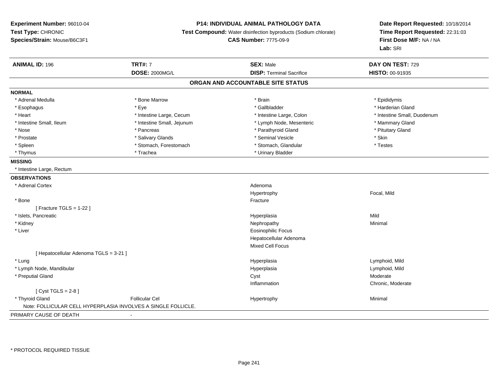# **P14: INDIVIDUAL ANIMAL PATHOLOGY DATA**

**Test Compound:** Water disinfection byproducts (Sodium chlorate)

**CAS Number:** 7775-09-9

| <b>ANIMAL ID: 196</b>                  | <b>TRT#: 7</b>                                                | <b>SEX: Male</b>                  | DAY ON TEST: 729            |  |
|----------------------------------------|---------------------------------------------------------------|-----------------------------------|-----------------------------|--|
|                                        | <b>DOSE: 2000MG/L</b>                                         | <b>DISP: Terminal Sacrifice</b>   | <b>HISTO: 00-91935</b>      |  |
|                                        |                                                               | ORGAN AND ACCOUNTABLE SITE STATUS |                             |  |
| <b>NORMAL</b>                          |                                                               |                                   |                             |  |
| * Adrenal Medulla                      | * Bone Marrow                                                 | * Brain                           | * Epididymis                |  |
| * Esophagus                            | * Eye                                                         | * Gallbladder                     | * Harderian Gland           |  |
| * Heart                                | * Intestine Large, Cecum                                      | * Intestine Large, Colon          | * Intestine Small, Duodenum |  |
| * Intestine Small, Ileum               | * Intestine Small, Jejunum                                    | * Lymph Node, Mesenteric          | * Mammary Gland             |  |
| * Nose                                 | * Pancreas                                                    | * Parathyroid Gland               | * Pituitary Gland           |  |
| * Prostate                             | * Salivary Glands                                             | * Seminal Vesicle                 | * Skin                      |  |
| * Spleen                               | * Stomach, Forestomach                                        | * Stomach, Glandular              | * Testes                    |  |
| * Thymus                               | * Trachea                                                     | * Urinary Bladder                 |                             |  |
| <b>MISSING</b>                         |                                                               |                                   |                             |  |
| * Intestine Large, Rectum              |                                                               |                                   |                             |  |
| <b>OBSERVATIONS</b>                    |                                                               |                                   |                             |  |
| * Adrenal Cortex                       |                                                               | Adenoma                           |                             |  |
|                                        |                                                               | Hypertrophy                       | Focal, Mild                 |  |
| * Bone                                 |                                                               | Fracture                          |                             |  |
| [ Fracture TGLS = $1-22$ ]             |                                                               |                                   |                             |  |
| * Islets, Pancreatic                   |                                                               | Hyperplasia                       | Mild                        |  |
| * Kidney                               |                                                               | Nephropathy                       | Minimal                     |  |
| * Liver                                |                                                               | <b>Eosinophilic Focus</b>         |                             |  |
|                                        |                                                               | Hepatocellular Adenoma            |                             |  |
|                                        |                                                               | Mixed Cell Focus                  |                             |  |
| [ Hepatocellular Adenoma TGLS = 3-21 ] |                                                               |                                   |                             |  |
| * Lung                                 |                                                               | Hyperplasia                       | Lymphoid, Mild              |  |
| * Lymph Node, Mandibular               |                                                               | Hyperplasia                       | Lymphoid, Mild              |  |
| * Preputial Gland                      |                                                               | Cyst                              | Moderate                    |  |
|                                        |                                                               | Inflammation                      | Chronic, Moderate           |  |
| [Cyst TGLS = $2-8$ ]                   |                                                               |                                   |                             |  |
| * Thyroid Gland                        | <b>Follicular Cel</b>                                         | Hypertrophy                       | Minimal                     |  |
|                                        | Note: FOLLICULAR CELL HYPERPLASIA INVOLVES A SINGLE FOLLICLE. |                                   |                             |  |
| PRIMARY CAUSE OF DEATH                 |                                                               |                                   |                             |  |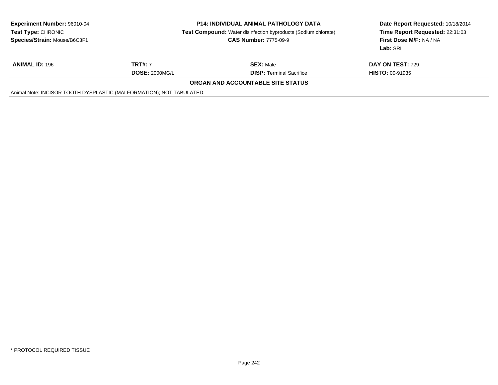| <b>Experiment Number: 96010-04</b><br>Test Type: CHRONIC<br>Species/Strain: Mouse/B6C3F1 | <b>P14: INDIVIDUAL ANIMAL PATHOLOGY DATA</b><br><b>Test Compound:</b> Water disinfection byproducts (Sodium chlorate)<br><b>CAS Number: 7775-09-9</b> |                                 | Date Report Requested: 10/18/2014<br>Time Report Requested: 22:31:03<br>First Dose M/F: NA / NA<br>Lab: SRI |  |  |
|------------------------------------------------------------------------------------------|-------------------------------------------------------------------------------------------------------------------------------------------------------|---------------------------------|-------------------------------------------------------------------------------------------------------------|--|--|
| <b>ANIMAL ID: 196</b>                                                                    | <b>TRT#: 7</b>                                                                                                                                        | <b>SEX: Male</b>                | DAY ON TEST: 729                                                                                            |  |  |
|                                                                                          | <b>DOSE: 2000MG/L</b>                                                                                                                                 | <b>DISP: Terminal Sacrifice</b> | <b>HISTO: 00-91935</b>                                                                                      |  |  |
| ORGAN AND ACCOUNTABLE SITE STATUS                                                        |                                                                                                                                                       |                                 |                                                                                                             |  |  |
| Animal Note: INCISOR TOOTH DYSPLASTIC (MALFORMATION); NOT TABULATED.                     |                                                                                                                                                       |                                 |                                                                                                             |  |  |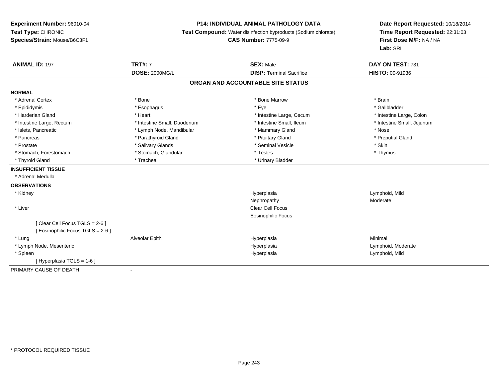# **P14: INDIVIDUAL ANIMAL PATHOLOGY DATA**

**Test Compound:** Water disinfection byproducts (Sodium chlorate)

**CAS Number:** 7775-09-9

| <b>ANIMAL ID: 197</b>             | <b>TRT#: 7</b>              | <b>SEX: Male</b>                  | DAY ON TEST: 731           |
|-----------------------------------|-----------------------------|-----------------------------------|----------------------------|
|                                   | <b>DOSE: 2000MG/L</b>       | <b>DISP: Terminal Sacrifice</b>   | <b>HISTO: 00-91936</b>     |
|                                   |                             | ORGAN AND ACCOUNTABLE SITE STATUS |                            |
| <b>NORMAL</b>                     |                             |                                   |                            |
| * Adrenal Cortex                  | * Bone                      | * Bone Marrow                     | * Brain                    |
| * Epididymis                      | * Esophagus                 | * Eye                             | * Gallbladder              |
| * Harderian Gland                 | * Heart                     | * Intestine Large, Cecum          | * Intestine Large, Colon   |
| * Intestine Large, Rectum         | * Intestine Small, Duodenum | * Intestine Small. Ileum          | * Intestine Small, Jejunum |
| * Islets, Pancreatic              | * Lymph Node, Mandibular    | * Mammary Gland                   | * Nose                     |
| * Pancreas                        | * Parathyroid Gland         | * Pituitary Gland                 | * Preputial Gland          |
| * Prostate                        | * Salivary Glands           | * Seminal Vesicle                 | * Skin                     |
| * Stomach, Forestomach            | * Stomach, Glandular        | * Testes                          | * Thymus                   |
| * Thyroid Gland                   | * Trachea                   | * Urinary Bladder                 |                            |
| <b>INSUFFICIENT TISSUE</b>        |                             |                                   |                            |
| * Adrenal Medulla                 |                             |                                   |                            |
| <b>OBSERVATIONS</b>               |                             |                                   |                            |
| * Kidney                          |                             | Hyperplasia                       | Lymphoid, Mild             |
|                                   |                             | Nephropathy                       | Moderate                   |
| * Liver                           |                             | <b>Clear Cell Focus</b>           |                            |
|                                   |                             | Eosinophilic Focus                |                            |
| [Clear Cell Focus TGLS = 2-6]     |                             |                                   |                            |
| [ Eosinophilic Focus TGLS = 2-6 ] |                             |                                   |                            |
| * Lung                            | Alveolar Epith              | Hyperplasia                       | Minimal                    |
| * Lymph Node, Mesenteric          |                             | Hyperplasia                       | Lymphoid, Moderate         |
| * Spleen                          |                             | Hyperplasia                       | Lymphoid, Mild             |
| [Hyperplasia TGLS = 1-6]          |                             |                                   |                            |
| PRIMARY CAUSE OF DEATH            | $\overline{\phantom{0}}$    |                                   |                            |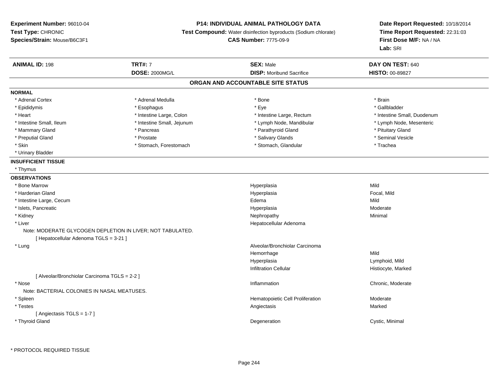# **P14: INDIVIDUAL ANIMAL PATHOLOGY DATA**

**Test Compound:** Water disinfection byproducts (Sodium chlorate)

**CAS Number:** 7775-09-9

| <b>ANIMAL ID: 198</b>                         | <b>TRT#: 7</b>                                             | <b>SEX: Male</b>                  | DAY ON TEST: 640            |
|-----------------------------------------------|------------------------------------------------------------|-----------------------------------|-----------------------------|
|                                               | <b>DOSE: 2000MG/L</b>                                      | <b>DISP:</b> Moribund Sacrifice   | <b>HISTO: 00-89827</b>      |
|                                               |                                                            | ORGAN AND ACCOUNTABLE SITE STATUS |                             |
| <b>NORMAL</b>                                 |                                                            |                                   |                             |
| * Adrenal Cortex                              | * Adrenal Medulla                                          | * Bone                            | * Brain                     |
| * Epididymis                                  | * Esophagus                                                | * Eye                             | * Gallbladder               |
| * Heart                                       | * Intestine Large, Colon                                   | * Intestine Large, Rectum         | * Intestine Small, Duodenum |
| * Intestine Small, Ileum                      | * Intestine Small, Jejunum                                 | * Lymph Node, Mandibular          | * Lymph Node, Mesenteric    |
| * Mammary Gland                               | * Pancreas                                                 | * Parathyroid Gland               | * Pituitary Gland           |
| * Preputial Gland                             | * Prostate                                                 | * Salivary Glands                 | * Seminal Vesicle           |
| * Skin                                        | * Stomach, Forestomach                                     | * Stomach, Glandular              | * Trachea                   |
| * Urinary Bladder                             |                                                            |                                   |                             |
| <b>INSUFFICIENT TISSUE</b>                    |                                                            |                                   |                             |
| * Thymus                                      |                                                            |                                   |                             |
| <b>OBSERVATIONS</b>                           |                                                            |                                   |                             |
| * Bone Marrow                                 |                                                            | Hyperplasia                       | Mild                        |
| * Harderian Gland                             |                                                            | Hyperplasia                       | Focal, Mild                 |
| * Intestine Large, Cecum                      |                                                            | Edema                             | Mild                        |
| * Islets, Pancreatic                          |                                                            | Hyperplasia                       | Moderate                    |
| * Kidney                                      |                                                            | Nephropathy                       | Minimal                     |
| * Liver                                       |                                                            | Hepatocellular Adenoma            |                             |
|                                               | Note: MODERATE GLYCOGEN DEPLETION IN LIVER; NOT TABULATED. |                                   |                             |
| [ Hepatocellular Adenoma TGLS = 3-21 ]        |                                                            |                                   |                             |
| * Lung                                        |                                                            | Alveolar/Bronchiolar Carcinoma    |                             |
|                                               |                                                            | Hemorrhage                        | Mild                        |
|                                               |                                                            | Hyperplasia                       | Lymphoid, Mild              |
|                                               |                                                            | <b>Infiltration Cellular</b>      | Histiocyte, Marked          |
| [ Alveolar/Bronchiolar Carcinoma TGLS = 2-2 ] |                                                            |                                   |                             |
| * Nose                                        |                                                            | Inflammation                      | Chronic, Moderate           |
| Note: BACTERIAL COLONIES IN NASAL MEATUSES.   |                                                            |                                   |                             |
| * Spleen                                      |                                                            | Hematopoietic Cell Proliferation  | Moderate                    |
| * Testes                                      |                                                            | Angiectasis                       | Marked                      |
| [Angiectasis TGLS = 1-7]                      |                                                            |                                   |                             |
| * Thyroid Gland                               |                                                            | Degeneration                      | Cystic, Minimal             |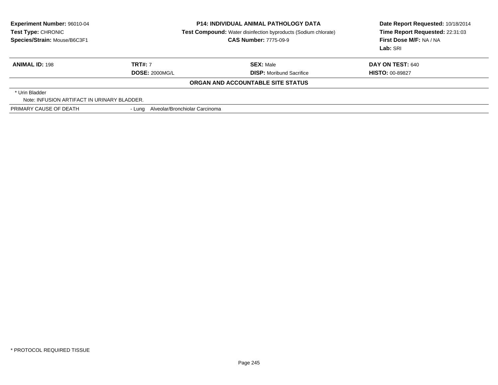|                                             | <b>CAS Number: 7775-09-9</b>    | Date Report Requested: 10/18/2014<br>Time Report Requested: 22:31:03<br>First Dose M/F: NA / NA<br>Lab: SRI                                                                                         |
|---------------------------------------------|---------------------------------|-----------------------------------------------------------------------------------------------------------------------------------------------------------------------------------------------------|
|                                             |                                 |                                                                                                                                                                                                     |
| <b>TRT#: 7</b>                              | <b>SEX: Male</b>                | <b>DAY ON TEST: 640</b>                                                                                                                                                                             |
| <b>DOSE: 2000MG/L</b>                       | <b>DISP:</b> Moribund Sacrifice | <b>HISTO: 00-89827</b>                                                                                                                                                                              |
|                                             |                                 |                                                                                                                                                                                                     |
|                                             |                                 |                                                                                                                                                                                                     |
| Note: INFUSION ARTIFACT IN URINARY BLADDER. |                                 |                                                                                                                                                                                                     |
|                                             |                                 |                                                                                                                                                                                                     |
|                                             |                                 | <b>P14: INDIVIDUAL ANIMAL PATHOLOGY DATA</b><br><b>Test Compound:</b> Water disinfection byproducts (Sodium chlorate)<br>ORGAN AND ACCOUNTABLE SITE STATUS<br>- Lung Alveolar/Bronchiolar Carcinoma |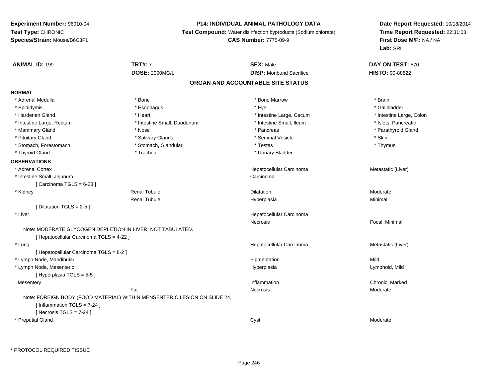# **P14: INDIVIDUAL ANIMAL PATHOLOGY DATA**

**Test Compound:** Water disinfection byproducts (Sodium chlorate)

**CAS Number:** 7775-09-9

| <b>ANIMAL ID: 199</b>                    | <b>TRT#: 7</b>                                                            | <b>SEX: Male</b>                  | DAY ON TEST: 570         |  |
|------------------------------------------|---------------------------------------------------------------------------|-----------------------------------|--------------------------|--|
|                                          | <b>DOSE: 2000MG/L</b>                                                     | <b>DISP:</b> Moribund Sacrifice   | <b>HISTO: 00-88822</b>   |  |
|                                          |                                                                           | ORGAN AND ACCOUNTABLE SITE STATUS |                          |  |
| <b>NORMAL</b>                            |                                                                           |                                   |                          |  |
| * Adrenal Medulla                        | * Bone                                                                    | * Bone Marrow                     | * Brain                  |  |
| * Epididymis                             | * Esophagus                                                               | * Eye                             | * Gallbladder            |  |
| * Harderian Gland                        | * Heart                                                                   | * Intestine Large, Cecum          | * Intestine Large, Colon |  |
| * Intestine Large, Rectum                | * Intestine Small, Duodenum                                               | * Intestine Small, Ileum          | * Islets, Pancreatic     |  |
| * Mammary Gland                          | $*$ Nose                                                                  | * Pancreas                        | * Parathyroid Gland      |  |
| * Pituitary Gland                        | * Salivary Glands                                                         | * Seminal Vesicle                 | * Skin                   |  |
| * Stomach, Forestomach                   | * Stomach, Glandular                                                      | * Testes                          | * Thymus                 |  |
| * Thyroid Gland                          | * Trachea                                                                 | * Urinary Bladder                 |                          |  |
| <b>OBSERVATIONS</b>                      |                                                                           |                                   |                          |  |
| * Adrenal Cortex                         |                                                                           | Hepatocellular Carcinoma          | Metastatic (Liver)       |  |
| * Intestine Small, Jejunum               |                                                                           | Carcinoma                         |                          |  |
| [Carcinoma TGLS = $6-23$ ]               |                                                                           |                                   |                          |  |
| * Kidney                                 | <b>Renal Tubule</b>                                                       | <b>Dilatation</b>                 | Moderate                 |  |
|                                          | <b>Renal Tubule</b>                                                       | Hyperplasia                       | Minimal                  |  |
| [ Dilatation TGLS = 2-5 ]                |                                                                           |                                   |                          |  |
| * Liver                                  |                                                                           | Hepatocellular Carcinoma          |                          |  |
|                                          |                                                                           | Necrosis                          | Focal, Minimal           |  |
|                                          | Note: MODERATE GLYCOGEN DEPLETION IN LIVER; NOT TABULATED.                |                                   |                          |  |
| [ Hepatocellular Carcinoma TGLS = 4-22 ] |                                                                           |                                   |                          |  |
| * Lung                                   |                                                                           | Hepatocellular Carcinoma          | Metastatic (Liver)       |  |
| [ Hepatocellular Carcinoma TGLS = 8-2 ]  |                                                                           |                                   |                          |  |
| * Lymph Node, Mandibular                 |                                                                           | Pigmentation                      | Mild                     |  |
| * Lymph Node, Mesenteric                 |                                                                           | Hyperplasia                       | Lymphoid, Mild           |  |
| [Hyperplasia TGLS = 5-5]                 |                                                                           |                                   |                          |  |
| Mesentery                                |                                                                           | Inflammation                      | Chronic, Marked          |  |
|                                          | Fat                                                                       | Necrosis                          | Moderate                 |  |
|                                          | Note: FOREIGN BODY (FOOD MATERIAL) WITHIN MENSENTERIC LESION ON SLIDE 24. |                                   |                          |  |
| [Inflammation $TGLS = 7-24$ ]            |                                                                           |                                   |                          |  |
| [Necrosis $TGLS = 7-24$ ]                |                                                                           |                                   |                          |  |
| * Preputial Gland                        |                                                                           | Cyst                              | Moderate                 |  |
|                                          |                                                                           |                                   |                          |  |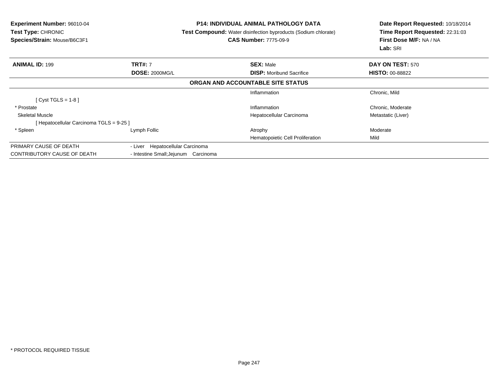| <b>Experiment Number: 96010-04</b><br><b>Test Type: CHRONIC</b><br>Species/Strain: Mouse/B6C3F1 |                                                                          | <b>P14: INDIVIDUAL ANIMAL PATHOLOGY DATA</b><br><b>Test Compound:</b> Water disinfection byproducts (Sodium chlorate)<br><b>CAS Number: 7775-09-9</b> | Date Report Requested: 10/18/2014<br>Time Report Requested: 22:31:03<br>First Dose M/F: NA / NA<br>Lab: SRI |
|-------------------------------------------------------------------------------------------------|--------------------------------------------------------------------------|-------------------------------------------------------------------------------------------------------------------------------------------------------|-------------------------------------------------------------------------------------------------------------|
| <b>ANIMAL ID: 199</b>                                                                           | <b>TRT#: 7</b>                                                           | <b>SEX: Male</b>                                                                                                                                      | <b>DAY ON TEST: 570</b>                                                                                     |
|                                                                                                 | <b>DOSE: 2000MG/L</b>                                                    | <b>DISP:</b> Moribund Sacrifice                                                                                                                       | <b>HISTO: 00-88822</b>                                                                                      |
|                                                                                                 |                                                                          | ORGAN AND ACCOUNTABLE SITE STATUS                                                                                                                     |                                                                                                             |
|                                                                                                 |                                                                          | Inflammation                                                                                                                                          | Chronic, Mild                                                                                               |
| [Cyst TGLS = $1-8$ ]                                                                            |                                                                          |                                                                                                                                                       |                                                                                                             |
| * Prostate                                                                                      |                                                                          | Inflammation                                                                                                                                          | Chronic, Moderate                                                                                           |
| <b>Skeletal Muscle</b>                                                                          |                                                                          | Hepatocellular Carcinoma                                                                                                                              | Metastatic (Liver)                                                                                          |
| [Hepatocellular Carcinoma TGLS = 9-25]                                                          |                                                                          |                                                                                                                                                       |                                                                                                             |
| * Spleen                                                                                        | Lymph Follic                                                             | Atrophy                                                                                                                                               | Moderate                                                                                                    |
|                                                                                                 |                                                                          | Hematopoietic Cell Proliferation                                                                                                                      | Mild                                                                                                        |
| PRIMARY CAUSE OF DEATH<br><b>CONTRIBUTORY CAUSE OF DEATH</b>                                    | - Liver Hepatocellular Carcinoma<br>- Intestine Small; Jejunum Carcinoma |                                                                                                                                                       |                                                                                                             |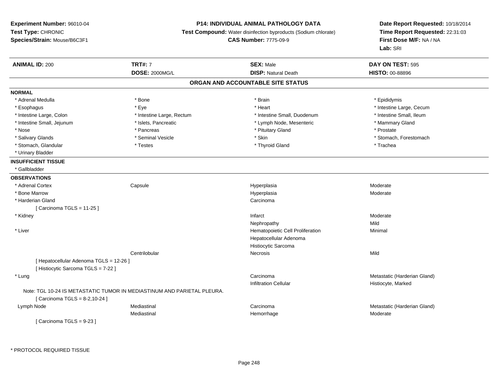# **P14: INDIVIDUAL ANIMAL PATHOLOGY DATA**

**Test Compound:** Water disinfection byproducts (Sodium chlorate)

**CAS Number:** 7775-09-9

| <b>ANIMAL ID: 200</b>                   | <b>TRT#: 7</b>                                                          | <b>SEX: Male</b>                  | DAY ON TEST: 595             |  |
|-----------------------------------------|-------------------------------------------------------------------------|-----------------------------------|------------------------------|--|
|                                         | <b>DOSE: 2000MG/L</b>                                                   | <b>DISP: Natural Death</b>        | HISTO: 00-88896              |  |
|                                         |                                                                         | ORGAN AND ACCOUNTABLE SITE STATUS |                              |  |
| <b>NORMAL</b>                           |                                                                         |                                   |                              |  |
| * Adrenal Medulla                       | * Bone                                                                  | * Brain                           | * Epididymis                 |  |
| * Esophagus                             | * Eye                                                                   | * Heart                           | * Intestine Large, Cecum     |  |
| * Intestine Large, Colon                | * Intestine Large, Rectum                                               | * Intestine Small, Duodenum       | * Intestine Small, Ileum     |  |
| * Intestine Small, Jejunum              | * Islets, Pancreatic                                                    | * Lymph Node, Mesenteric          | * Mammary Gland              |  |
| * Nose                                  | * Pancreas                                                              | * Pituitary Gland                 | * Prostate                   |  |
| * Salivary Glands                       | * Seminal Vesicle                                                       | * Skin                            | * Stomach, Forestomach       |  |
| * Stomach, Glandular                    | * Testes                                                                | * Thyroid Gland                   | * Trachea                    |  |
| * Urinary Bladder                       |                                                                         |                                   |                              |  |
| <b>INSUFFICIENT TISSUE</b>              |                                                                         |                                   |                              |  |
| * Gallbladder                           |                                                                         |                                   |                              |  |
| <b>OBSERVATIONS</b>                     |                                                                         |                                   |                              |  |
| * Adrenal Cortex                        | Capsule                                                                 | Hyperplasia                       | Moderate                     |  |
| * Bone Marrow                           |                                                                         | Hyperplasia                       | Moderate                     |  |
| * Harderian Gland                       |                                                                         | Carcinoma                         |                              |  |
| [ Carcinoma TGLS = 11-25 ]              |                                                                         |                                   |                              |  |
| * Kidney                                |                                                                         | Infarct                           | Moderate                     |  |
|                                         |                                                                         | Nephropathy                       | Mild                         |  |
| * Liver                                 |                                                                         | Hematopoietic Cell Proliferation  | Minimal                      |  |
|                                         |                                                                         | Hepatocellular Adenoma            |                              |  |
|                                         |                                                                         | Histiocytic Sarcoma               |                              |  |
|                                         | Centrilobular                                                           | <b>Necrosis</b>                   | Mild                         |  |
| [ Hepatocellular Adenoma TGLS = 12-26 ] |                                                                         |                                   |                              |  |
| [ Histiocytic Sarcoma TGLS = 7-22 ]     |                                                                         |                                   |                              |  |
| * Lung                                  |                                                                         | Carcinoma                         | Metastatic (Harderian Gland) |  |
|                                         |                                                                         | <b>Infiltration Cellular</b>      | Histiocyte, Marked           |  |
|                                         | Note: TGL 10-24 IS METASTATIC TUMOR IN MEDIASTINUM AND PARIETAL PLEURA. |                                   |                              |  |
| [ Carcinoma TGLS = 8-2,10-24 ]          |                                                                         |                                   |                              |  |
| Lymph Node                              | Mediastinal                                                             | Carcinoma                         | Metastatic (Harderian Gland) |  |
|                                         | Mediastinal                                                             | Hemorrhage                        | Moderate                     |  |
| [Carcinoma TGLS = 9-23 ]                |                                                                         |                                   |                              |  |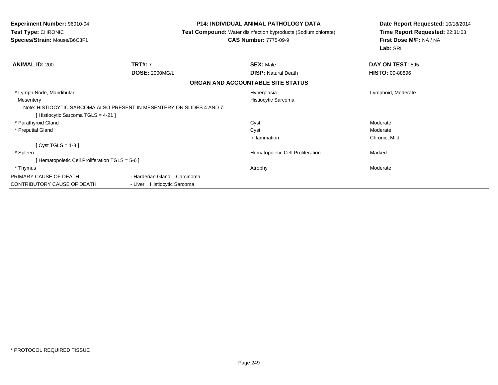**Experiment Number:** 96010-04**Test Type:** CHRONIC **Species/Strain:** Mouse/B6C3F1**P14: INDIVIDUAL ANIMAL PATHOLOGY DATA Test Compound:** Water disinfection byproducts (Sodium chlorate)**CAS Number:** 7775-09-9**Date Report Requested:** 10/18/2014**Time Report Requested:** 22:31:03**First Dose M/F:** NA / NA**Lab:** SRI**ANIMAL ID:** 200**TRT#:** 7 **SEX:** Male **DAY ON TEST:** 595 **DOSE:** 2000MG/L **DISP:** Natural Death **HISTO:** 00-88896 **ORGAN AND ACCOUNTABLE SITE STATUS** \* Lymph Node, Mandibular Hyperplasia Lymphoid, Moderate **Mesentery**  Histiocytic SarcomaNote: HISTIOCYTIC SARCOMA ALSO PRESENT IN MESENTERY ON SLIDES 4 AND 7.[ Histiocytic Sarcoma TGLS = 4-21 ] \* Parathyroid Glandd and the control of the control of the control of the control of the control of the control of the control of the control of the control of the control of the control of the control of the control of the control of the co \* Preputial Glandd and the control of the control of the control of the control of the control of the control of the control of the control of the control of the control of the control of the control of the control of the control of the co Inflammation Chronic, Mild [ Cyst TGLS = 1-8 ] \* SpleenHematopoietic Cell Proliferation Marked [ Hematopoietic Cell Proliferation TGLS = 5-6 ] \* Thymuss and the control of the control of the control of the control of the control of the control of the control of the control of the control of the control of the control of the control of the control of the control of the co PRIMARY CAUSE OF DEATH - Harderian Gland Carcinoma CONTRIBUTORY CAUSE OF DEATH- Liver Histiocytic Sarcoma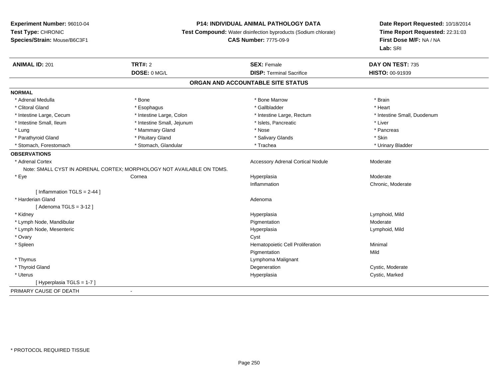# **P14: INDIVIDUAL ANIMAL PATHOLOGY DATA**

**Test Compound:** Water disinfection byproducts (Sodium chlorate)

**CAS Number:** 7775-09-9

| <b>ANIMAL ID: 201</b>         | <b>TRT#: 2</b>                                                        | <b>SEX: Female</b>                       | DAY ON TEST: 735            |
|-------------------------------|-----------------------------------------------------------------------|------------------------------------------|-----------------------------|
|                               | DOSE: 0 MG/L                                                          | <b>DISP: Terminal Sacrifice</b>          | HISTO: 00-91939             |
|                               |                                                                       | ORGAN AND ACCOUNTABLE SITE STATUS        |                             |
| <b>NORMAL</b>                 |                                                                       |                                          |                             |
| * Adrenal Medulla             | * Bone                                                                | * Bone Marrow                            | * Brain                     |
| * Clitoral Gland              | * Esophagus                                                           | * Gallbladder                            | * Heart                     |
| * Intestine Large, Cecum      | * Intestine Large, Colon                                              | * Intestine Large, Rectum                | * Intestine Small, Duodenum |
| * Intestine Small, Ileum      | * Intestine Small, Jejunum                                            | * Islets, Pancreatic                     | * Liver                     |
| * Lung                        | * Mammary Gland                                                       | * Nose                                   | * Pancreas                  |
| * Parathyroid Gland           | * Pituitary Gland                                                     | * Salivary Glands                        | * Skin                      |
| * Stomach, Forestomach        | * Stomach, Glandular                                                  | * Trachea                                | * Urinary Bladder           |
| <b>OBSERVATIONS</b>           |                                                                       |                                          |                             |
| * Adrenal Cortex              |                                                                       | <b>Accessory Adrenal Cortical Nodule</b> | Moderate                    |
|                               | Note: SMALL CYST IN ADRENAL CORTEX; MORPHOLOGY NOT AVAILABLE ON TDMS. |                                          |                             |
| * Eye                         | Cornea                                                                | Hyperplasia                              | Moderate                    |
|                               |                                                                       | Inflammation                             | Chronic, Moderate           |
| [Inflammation TGLS = $2-44$ ] |                                                                       |                                          |                             |
| * Harderian Gland             |                                                                       | Adenoma                                  |                             |
| [Adenoma TGLS = $3-12$ ]      |                                                                       |                                          |                             |
| * Kidney                      |                                                                       | Hyperplasia                              | Lymphoid, Mild              |
| * Lymph Node, Mandibular      |                                                                       | Pigmentation                             | Moderate                    |
| * Lymph Node, Mesenteric      |                                                                       | Hyperplasia                              | Lymphoid, Mild              |
| * Ovary                       |                                                                       | Cyst                                     |                             |
| * Spleen                      |                                                                       | Hematopoietic Cell Proliferation         | Minimal                     |
|                               |                                                                       | Pigmentation                             | Mild                        |
| * Thymus                      |                                                                       | Lymphoma Malignant                       |                             |
| * Thyroid Gland               |                                                                       | Degeneration                             | Cystic, Moderate            |
| * Uterus                      |                                                                       | Hyperplasia                              | Cystic, Marked              |
| [Hyperplasia TGLS = 1-7]      |                                                                       |                                          |                             |
| PRIMARY CAUSE OF DEATH        | $\blacksquare$                                                        |                                          |                             |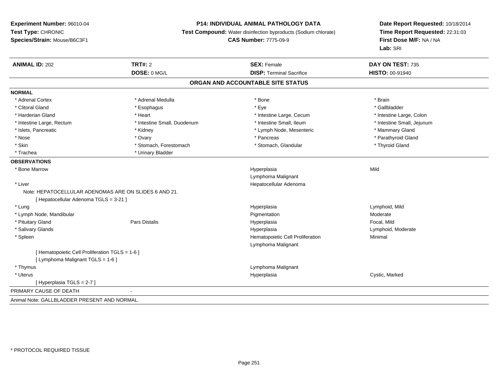# **P14: INDIVIDUAL ANIMAL PATHOLOGY DATA**

**Test Compound:** Water disinfection byproducts (Sodium chlorate)

**CAS Number:** 7775-09-9

| <b>ANIMAL ID: 202</b>                                 | <b>TRT#: 2</b><br>DOSE: 0 MG/L | <b>SEX: Female</b><br><b>DISP: Terminal Sacrifice</b> | DAY ON TEST: 735<br>HISTO: 00-91940 |
|-------------------------------------------------------|--------------------------------|-------------------------------------------------------|-------------------------------------|
|                                                       |                                | ORGAN AND ACCOUNTABLE SITE STATUS                     |                                     |
|                                                       |                                |                                                       |                                     |
| <b>NORMAL</b>                                         |                                |                                                       |                                     |
| * Adrenal Cortex                                      | * Adrenal Medulla              | * Bone                                                | * Brain                             |
| * Clitoral Gland                                      | * Esophagus                    | * Eye                                                 | * Gallbladder                       |
| * Harderian Gland                                     | * Heart                        | * Intestine Large, Cecum                              | * Intestine Large, Colon            |
| * Intestine Large, Rectum                             | * Intestine Small, Duodenum    | * Intestine Small, Ileum                              | * Intestine Small, Jejunum          |
| * Islets, Pancreatic                                  | * Kidney                       | * Lymph Node, Mesenteric                              | * Mammary Gland                     |
| * Nose                                                | * Ovary                        | * Pancreas                                            | * Parathyroid Gland                 |
| * Skin                                                | * Stomach, Forestomach         | * Stomach, Glandular                                  | * Thyroid Gland                     |
| * Trachea                                             | * Urinary Bladder              |                                                       |                                     |
| <b>OBSERVATIONS</b>                                   |                                |                                                       |                                     |
| * Bone Marrow                                         |                                | Hyperplasia                                           | Mild                                |
|                                                       |                                | Lymphoma Malignant                                    |                                     |
| * Liver                                               |                                | Hepatocellular Adenoma                                |                                     |
| Note: HEPATOCELLULAR ADENOMAS ARE ON SLIDES 6 AND 21. |                                |                                                       |                                     |
| [ Hepatocellular Adenoma TGLS = 3-21 ]                |                                |                                                       |                                     |
| * Lung                                                |                                | Hyperplasia                                           | Lymphoid, Mild                      |
| * Lymph Node, Mandibular                              |                                | Pigmentation                                          | Moderate                            |
| * Pituitary Gland                                     | <b>Pars Distalis</b>           | Hyperplasia                                           | Focal, Mild                         |
| * Salivary Glands                                     |                                | Hyperplasia                                           | Lymphoid, Moderate                  |
| * Spleen                                              |                                | Hematopoietic Cell Proliferation                      | Minimal                             |
|                                                       |                                | Lymphoma Malignant                                    |                                     |
| [ Hematopoietic Cell Proliferation TGLS = 1-6 ]       |                                |                                                       |                                     |
| [ Lymphoma Malignant TGLS = 1-6 ]                     |                                |                                                       |                                     |
| * Thymus                                              |                                | Lymphoma Malignant                                    |                                     |
| * Uterus                                              |                                | Hyperplasia                                           | Cystic, Marked                      |
| [ Hyperplasia TGLS = 2-7 ]                            |                                |                                                       |                                     |
| PRIMARY CAUSE OF DEATH                                |                                |                                                       |                                     |
| Animal Note: GALLBLADDER PRESENT AND NORMAL.          |                                |                                                       |                                     |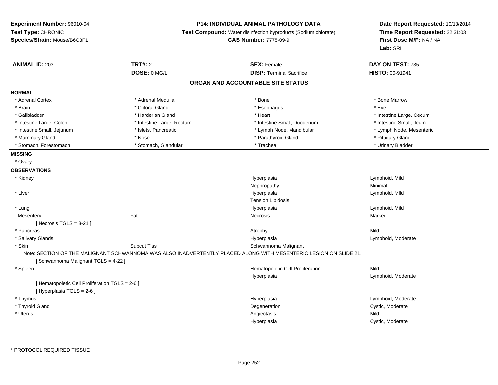**Experiment Number:** 96010-04**Test Type:** CHRONIC **Species/Strain:** Mouse/B6C3F1**P14: INDIVIDUAL ANIMAL PATHOLOGY DATA Test Compound:** Water disinfection byproducts (Sodium chlorate)**CAS Number:** 7775-09-9**Date Report Requested:** 10/18/2014**Time Report Requested:** 22:31:03**First Dose M/F:** NA / NA**Lab:** SRI**ANIMAL ID:** 203**TRT#:** 2 **SEX:** Female **DAY ON TEST:** 735 **DOSE:** 0 MG/L**DISP:** Terminal Sacrifice **HISTO:** 00-91941 **ORGAN AND ACCOUNTABLE SITE STATUSNORMAL**\* Adrenal Cortex \* Adrenal Medulla \* Adrenal Medulla \* Bone \* Bone \* Bone \* Bone \* Bone Marrow \* Brain \* Alternative of the state of the state of the state of the state of the state of the state of the state of the state of the state of the state of the state of the state of the state of the state of the state of th \* Gallbladder \* https://www.frage.com/marticle/state-of-state-of-state-of-state-of-state-of-state-of-state-of-state-of-state-of-state-of-state-of-state-of-state-of-state-of-state-of-state-of-state-of-state-of-state-of-stat \* Intestine Small, Ileum \* Intestine Large, Colon \* Intestine Large, Rectum \* Intestine Small, Duodenum \* Intestine Small, Duodenum \* Lymph Node, Mesenteric \* Intestine Small, Jejunum \* Mandibular \* Islets, Pancreatic \* Mandibular \* Lymph Node, Mandibular \* Mammary Gland \* The state of the state of the state of the state of the state of the state of the state of the state of the state of the state of the state of the state of the state of the state of the state of the state \* Urinary Bladder \* Stomach, Forestomach \* North and \* Stomach, Glandular \* Trachea \* Trachea \* Trachea **MISSING** \* Ovary**OBSERVATIONS** \* Kidneyy and the settlement of the settlement of the settlement of the settlement of the settlement of the settlement of the settlement of the settlement of the settlement of the settlement of the settlement of the settlement of Hyperplasia and the control of the control of the control of the control of the control of the control of the c<br>
Control of the control of the control of the control of the control of the control of the control of the cont Nephropathyy the contract of the Minimal Minimal Section 1996 and the contract of the Minimal Section 1997 and the contract of the contract of the contract of the contract of the contract of the contract of the contract of the contra \* Liverr and the control of the control of the control of the control of the control of the control of the control of the control of the control of the control of the control of the control of the control of the control of the co Lymphoid, Mild Tension Lipidosis \* Lungg and the settlement of the settlement of the Hyperplasia and the Hyperplasia controller than  $\mathsf{Lym}$  phoid, Mild **Mesentery** y the controller of the state of the controller of the Marked State of the Marked State of the Marked State of  $[$  Necrosis TGLS = 3-21  $]$  \* Pancreass the control of the control of the control of the control of the control of the control of the control of the control of the control of the control of the control of the control of the control of the control of the contro a **Example 19** Lymphoid, Moderate \* Salivary Glands Hyperplasia \* SkinSubcut Tiss Subcut Tiss Schwannoma Malignant Note: SECTION OF THE MALIGNANT SCHWANNOMA WAS ALSO INADVERTENTLY PLACED ALONG WITH MESENTERIC LESION ON SLIDE 21.[ Schwannoma Malignant TGLS = 4-22 ] \* SpleenHematopoietic Cell Proliferation Mild Hyperplasia Lymphoid, Moderate [ Hematopoietic Cell Proliferation TGLS = 2-6 ][ Hyperplasia TGLS = 2-6 ] \* Thymuss and the contract of the contract of the contract of the contract of the contract of the contract of the contract of the contract of the contract of the contract of the contract of the contract of the contract of the cont Hyperplasia<br>
Degeneration<br>
Degeneration<br>
Cystic, Moderate \* Thyroid Glandd Cystic, Moderate Cystic, Moderate Cystic, Moderate Cystic, Moderate Cystic, Moderate Cystic, Moderate Cystic, Moderate Cystic, Moderate Cystic, Moderate Cystic, Moderate Cystic, Moderate Cystic, Moderate Cystic, Moderate \* Uteruss and the control of the control of the control of the control of the control of the control of the control of the control of the control of the control of the control of the control of the control of the control of the co a contraction of the Cystic, Moderate Hyperplasia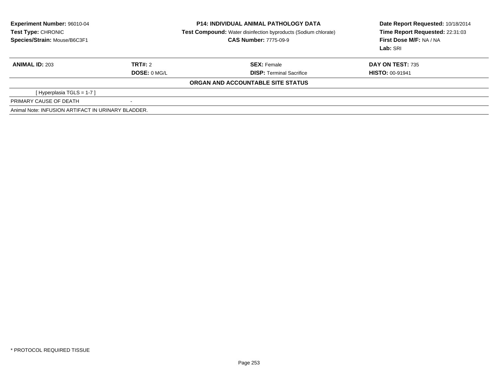| <b>Experiment Number: 96010-04</b><br>Test Type: CHRONIC |                          | <b>P14: INDIVIDUAL ANIMAL PATHOLOGY DATA</b><br><b>Test Compound:</b> Water disinfection byproducts (Sodium chlorate) | Date Report Requested: 10/18/2014<br>Time Report Requested: 22:31:03 |  |
|----------------------------------------------------------|--------------------------|-----------------------------------------------------------------------------------------------------------------------|----------------------------------------------------------------------|--|
| Species/Strain: Mouse/B6C3F1                             |                          | <b>CAS Number: 7775-09-9</b>                                                                                          | First Dose M/F: NA / NA<br>Lab: SRI                                  |  |
| <b>ANIMAL ID: 203</b>                                    | TRT#: 2                  | <b>SEX: Female</b>                                                                                                    | DAY ON TEST: 735                                                     |  |
|                                                          | DOSE: 0 MGL              | <b>DISP:</b> Terminal Sacrifice                                                                                       | <b>HISTO: 00-91941</b>                                               |  |
|                                                          |                          | ORGAN AND ACCOUNTABLE SITE STATUS                                                                                     |                                                                      |  |
| [Hyperplasia TGLS = $1-7$ ]                              |                          |                                                                                                                       |                                                                      |  |
| PRIMARY CAUSE OF DEATH                                   | $\overline{\phantom{a}}$ |                                                                                                                       |                                                                      |  |
| Animal Note: INFUSION ARTIFACT IN URINARY BLADDER.       |                          |                                                                                                                       |                                                                      |  |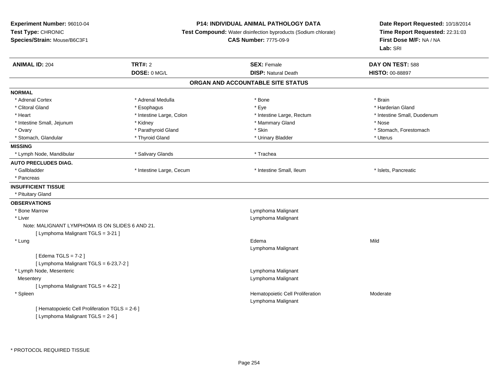### **P14: INDIVIDUAL ANIMAL PATHOLOGY DATA**

**Test Compound:** Water disinfection byproducts (Sodium chlorate)

**CAS Number:** 7775-09-9

| <b>ANIMAL ID: 204</b>                           | <b>TRT#: 2</b><br>DOSE: 0 MG/L | <b>SEX: Female</b><br><b>DISP: Natural Death</b> | DAY ON TEST: 588<br>HISTO: 00-88897 |
|-------------------------------------------------|--------------------------------|--------------------------------------------------|-------------------------------------|
|                                                 |                                | ORGAN AND ACCOUNTABLE SITE STATUS                |                                     |
|                                                 |                                |                                                  |                                     |
| <b>NORMAL</b>                                   |                                |                                                  |                                     |
| * Adrenal Cortex                                | * Adrenal Medulla              | * Bone                                           | * Brain                             |
| * Clitoral Gland                                | * Esophagus                    | * Eye                                            | * Harderian Gland                   |
| * Heart                                         | * Intestine Large, Colon       | * Intestine Large, Rectum                        | * Intestine Small, Duodenum         |
| * Intestine Small, Jejunum                      | * Kidney                       | * Mammary Gland                                  | * Nose                              |
| * Ovary                                         | * Parathyroid Gland            | * Skin                                           | * Stomach, Forestomach              |
| * Stomach, Glandular                            | * Thyroid Gland                | * Urinary Bladder                                | * Uterus                            |
| <b>MISSING</b>                                  |                                |                                                  |                                     |
| * Lymph Node, Mandibular                        | * Salivary Glands              | * Trachea                                        |                                     |
| <b>AUTO PRECLUDES DIAG.</b>                     |                                |                                                  |                                     |
| * Gallbladder                                   | * Intestine Large, Cecum       | * Intestine Small, Ileum                         | * Islets, Pancreatic                |
| * Pancreas                                      |                                |                                                  |                                     |
| <b>INSUFFICIENT TISSUE</b>                      |                                |                                                  |                                     |
| * Pituitary Gland                               |                                |                                                  |                                     |
| <b>OBSERVATIONS</b>                             |                                |                                                  |                                     |
| * Bone Marrow                                   |                                | Lymphoma Malignant                               |                                     |
| * Liver                                         |                                | Lymphoma Malignant                               |                                     |
| Note: MALIGNANT LYMPHOMA IS ON SLIDES 6 AND 21. |                                |                                                  |                                     |
| [ Lymphoma Malignant TGLS = 3-21 ]              |                                |                                                  |                                     |
| * Lung                                          |                                | Edema                                            | Mild                                |
|                                                 |                                | Lymphoma Malignant                               |                                     |
| [Edema TGLS = $7-2$ ]                           |                                |                                                  |                                     |
| [ Lymphoma Malignant TGLS = 6-23,7-2 ]          |                                |                                                  |                                     |
| * Lymph Node, Mesenteric                        |                                | Lymphoma Malignant                               |                                     |
| Mesentery                                       |                                | Lymphoma Malignant                               |                                     |
| [ Lymphoma Malignant TGLS = 4-22 ]              |                                |                                                  |                                     |
| * Spleen                                        |                                | Hematopoietic Cell Proliferation                 | Moderate                            |
|                                                 |                                | Lymphoma Malignant                               |                                     |
| [ Hematopoietic Cell Proliferation TGLS = 2-6 ] |                                |                                                  |                                     |
| [ Lymphoma Malignant TGLS = 2-6 ]               |                                |                                                  |                                     |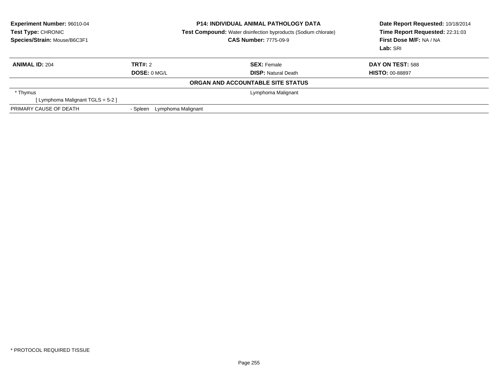| <b>Experiment Number: 96010-04</b><br>Test Type: CHRONIC<br>Species/Strain: Mouse/B6C3F1 |                                | <b>P14: INDIVIDUAL ANIMAL PATHOLOGY DATA</b><br><b>Test Compound:</b> Water disinfection byproducts (Sodium chlorate)<br><b>CAS Number: 7775-09-9</b> | Date Report Requested: 10/18/2014<br>Time Report Requested: 22:31:03<br>First Dose M/F: NA / NA<br>Lab: SRI |
|------------------------------------------------------------------------------------------|--------------------------------|-------------------------------------------------------------------------------------------------------------------------------------------------------|-------------------------------------------------------------------------------------------------------------|
| <b>ANIMAL ID: 204</b>                                                                    | TRT#: 2                        | <b>SEX: Female</b>                                                                                                                                    | DAY ON TEST: 588                                                                                            |
|                                                                                          | DOSE: 0 MG/L                   | <b>DISP:</b> Natural Death                                                                                                                            | <b>HISTO: 00-88897</b>                                                                                      |
|                                                                                          |                                | ORGAN AND ACCOUNTABLE SITE STATUS                                                                                                                     |                                                                                                             |
| * Thymus                                                                                 |                                | Lymphoma Malignant                                                                                                                                    |                                                                                                             |
| [Lymphoma Malignant TGLS = 5-2 ]                                                         |                                |                                                                                                                                                       |                                                                                                             |
| PRIMARY CAUSE OF DEATH                                                                   | Lymphoma Malignant<br>- Spleen |                                                                                                                                                       |                                                                                                             |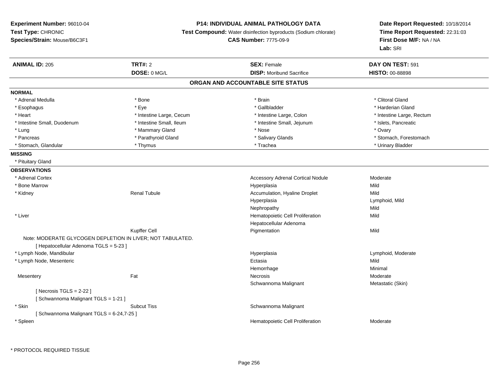## **P14: INDIVIDUAL ANIMAL PATHOLOGY DATA**

**Test Compound:** Water disinfection byproducts (Sodium chlorate)

**CAS Number:** 7775-09-9

| <b>ANIMAL ID: 205</b>                   | <b>TRT#: 2</b>                                             | <b>SEX: Female</b>                       | DAY ON TEST: 591          |
|-----------------------------------------|------------------------------------------------------------|------------------------------------------|---------------------------|
|                                         | DOSE: 0 MG/L                                               | <b>DISP:</b> Moribund Sacrifice          | HISTO: 00-88898           |
|                                         |                                                            | ORGAN AND ACCOUNTABLE SITE STATUS        |                           |
| <b>NORMAL</b>                           |                                                            |                                          |                           |
| * Adrenal Medulla                       | * Bone                                                     | * Brain                                  | * Clitoral Gland          |
| * Esophagus                             | * Eye                                                      | * Gallbladder                            | * Harderian Gland         |
| * Heart                                 | * Intestine Large, Cecum                                   | * Intestine Large, Colon                 | * Intestine Large, Rectum |
| * Intestine Small, Duodenum             | * Intestine Small, Ileum                                   | * Intestine Small, Jejunum               | * Islets, Pancreatic      |
| * Lung                                  | * Mammary Gland                                            | * Nose                                   | * Ovary                   |
| * Pancreas                              | * Parathyroid Gland                                        | * Salivary Glands                        | * Stomach, Forestomach    |
| * Stomach, Glandular                    | * Thymus                                                   | * Trachea                                | * Urinary Bladder         |
| <b>MISSING</b>                          |                                                            |                                          |                           |
| * Pituitary Gland                       |                                                            |                                          |                           |
| <b>OBSERVATIONS</b>                     |                                                            |                                          |                           |
| * Adrenal Cortex                        |                                                            | <b>Accessory Adrenal Cortical Nodule</b> | Moderate                  |
| * Bone Marrow                           |                                                            | Hyperplasia                              | Mild                      |
| * Kidney                                | <b>Renal Tubule</b>                                        | Accumulation, Hyaline Droplet            | Mild                      |
|                                         |                                                            | Hyperplasia                              | Lymphoid, Mild            |
|                                         |                                                            | Nephropathy                              | Mild                      |
| * Liver                                 |                                                            | Hematopoietic Cell Proliferation         | Mild                      |
|                                         |                                                            | Hepatocellular Adenoma                   |                           |
|                                         | Kupffer Cell                                               | Pigmentation                             | Mild                      |
|                                         | Note: MODERATE GLYCOGEN DEPLETION IN LIVER; NOT TABULATED. |                                          |                           |
| [ Hepatocellular Adenoma TGLS = 5-23 ]  |                                                            |                                          |                           |
| * Lymph Node, Mandibular                |                                                            | Hyperplasia                              | Lymphoid, Moderate        |
| * Lymph Node, Mesenteric                |                                                            | Ectasia                                  | Mild                      |
|                                         |                                                            | Hemorrhage                               | Minimal                   |
| Mesentery                               | Fat                                                        | Necrosis                                 | Moderate                  |
|                                         |                                                            | Schwannoma Malignant                     | Metastatic (Skin)         |
| [Necrosis $TGLS = 2-22$ ]               |                                                            |                                          |                           |
| [Schwannoma Malignant TGLS = 1-21]      |                                                            |                                          |                           |
| * Skin                                  | <b>Subcut Tiss</b>                                         | Schwannoma Malignant                     |                           |
| [Schwannoma Malignant TGLS = 6-24,7-25] |                                                            |                                          |                           |
| * Spleen                                |                                                            | Hematopoietic Cell Proliferation         | Moderate                  |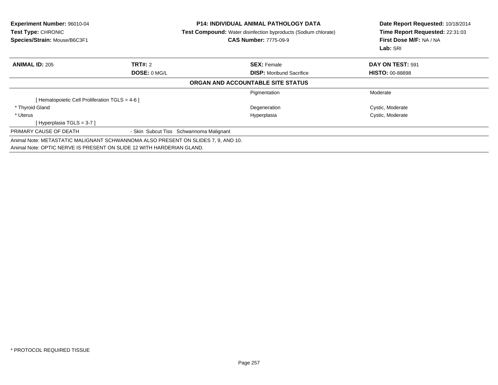| Experiment Number: 96010-04<br>Test Type: CHRONIC<br>Species/Strain: Mouse/B6C3F1 |                | <b>P14: INDIVIDUAL ANIMAL PATHOLOGY DATA</b><br><b>Test Compound:</b> Water disinfection byproducts (Sodium chlorate)<br><b>CAS Number: 7775-09-9</b> | Date Report Requested: 10/18/2014<br>Time Report Requested: 22:31:03<br>First Dose M/F: NA / NA<br>Lab: SRI |
|-----------------------------------------------------------------------------------|----------------|-------------------------------------------------------------------------------------------------------------------------------------------------------|-------------------------------------------------------------------------------------------------------------|
| <b>ANIMAL ID: 205</b>                                                             | <b>TRT#: 2</b> | <b>SEX: Female</b>                                                                                                                                    | DAY ON TEST: 591                                                                                            |
|                                                                                   | DOSE: 0 MG/L   | <b>DISP:</b> Moribund Sacrifice                                                                                                                       | <b>HISTO: 00-88898</b>                                                                                      |
|                                                                                   |                | ORGAN AND ACCOUNTABLE SITE STATUS                                                                                                                     |                                                                                                             |
|                                                                                   |                | Pigmentation                                                                                                                                          | Moderate                                                                                                    |
| Hematopoietic Cell Proliferation TGLS = 4-6 ]                                     |                |                                                                                                                                                       |                                                                                                             |
| * Thyroid Gland                                                                   |                | Degeneration                                                                                                                                          | Cystic, Moderate                                                                                            |
| * Uterus                                                                          |                | Hyperplasia                                                                                                                                           | Cystic, Moderate                                                                                            |
| [Hyperplasia TGLS = 3-7 ]                                                         |                |                                                                                                                                                       |                                                                                                             |
| PRIMARY CAUSE OF DEATH                                                            |                | - Skin Subcut Tiss Schwannoma Malignant                                                                                                               |                                                                                                             |
| Animal Note: METASTATIC MALIGNANT SCHWANNOMA ALSO PRESENT ON SLIDES 7, 9, AND 10. |                |                                                                                                                                                       |                                                                                                             |
| Animal Note: OPTIC NERVE IS PRESENT ON SLIDE 12 WITH HARDERIAN GLAND.             |                |                                                                                                                                                       |                                                                                                             |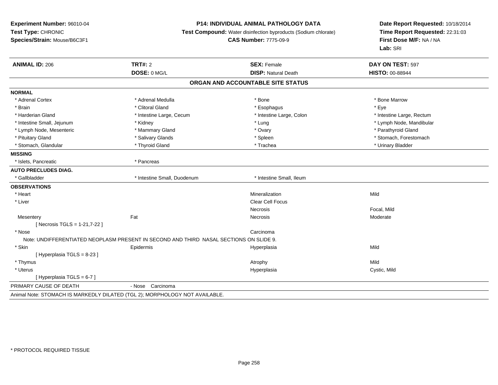### **P14: INDIVIDUAL ANIMAL PATHOLOGY DATA**

**Test Compound:** Water disinfection byproducts (Sodium chlorate)

# **CAS Number:** 7775-09-9

| <b>ANIMAL ID: 206</b>           | <b>TRT#: 2</b>                                                                         | <b>SEX: Female</b>                | DAY ON TEST: 597          |
|---------------------------------|----------------------------------------------------------------------------------------|-----------------------------------|---------------------------|
|                                 | DOSE: 0 MG/L                                                                           | <b>DISP: Natural Death</b>        | HISTO: 00-88944           |
|                                 |                                                                                        | ORGAN AND ACCOUNTABLE SITE STATUS |                           |
| <b>NORMAL</b>                   |                                                                                        |                                   |                           |
| * Adrenal Cortex                | * Adrenal Medulla                                                                      | * Bone                            | * Bone Marrow             |
| * Brain                         | * Clitoral Gland                                                                       | * Esophagus                       | * Eye                     |
| * Harderian Gland               | * Intestine Large, Cecum                                                               | * Intestine Large, Colon          | * Intestine Large, Rectum |
| * Intestine Small, Jejunum      | * Kidney                                                                               | * Lung                            | * Lymph Node, Mandibular  |
| * Lymph Node, Mesenteric        | * Mammary Gland                                                                        | * Ovary                           | * Parathyroid Gland       |
| * Pituitary Gland               | * Salivary Glands                                                                      | * Spleen                          | * Stomach, Forestomach    |
| * Stomach, Glandular            | * Thyroid Gland                                                                        | * Trachea                         | * Urinary Bladder         |
| <b>MISSING</b>                  |                                                                                        |                                   |                           |
| * Islets, Pancreatic            | * Pancreas                                                                             |                                   |                           |
| <b>AUTO PRECLUDES DIAG.</b>     |                                                                                        |                                   |                           |
| * Gallbladder                   | * Intestine Small, Duodenum                                                            | * Intestine Small, Ileum          |                           |
| <b>OBSERVATIONS</b>             |                                                                                        |                                   |                           |
| * Heart                         |                                                                                        | Mineralization                    | Mild                      |
| * Liver                         |                                                                                        | <b>Clear Cell Focus</b>           |                           |
|                                 |                                                                                        | <b>Necrosis</b>                   | Focal, Mild               |
| Mesentery                       | Fat                                                                                    | Necrosis                          | Moderate                  |
| [ Necrosis TGLS = $1-21,7-22$ ] |                                                                                        |                                   |                           |
| * Nose                          |                                                                                        | Carcinoma                         |                           |
|                                 | Note: UNDIFFERENTIATED NEOPLASM PRESENT IN SECOND AND THIRD NASAL SECTIONS ON SLIDE 9. |                                   |                           |
| * Skin                          | Epidermis                                                                              | Hyperplasia                       | Mild                      |
| [Hyperplasia TGLS = 8-23]       |                                                                                        |                                   |                           |
| * Thymus                        |                                                                                        | Atrophy                           | Mild                      |
| * Uterus                        |                                                                                        | Hyperplasia                       | Cystic, Mild              |
| [ Hyperplasia TGLS = 6-7 ]      |                                                                                        |                                   |                           |
| PRIMARY CAUSE OF DEATH          | - Nose Carcinoma                                                                       |                                   |                           |
|                                 | Animal Note: STOMACH IS MARKEDLY DILATED (TGL 2); MORPHOLOGY NOT AVAILABLE             |                                   |                           |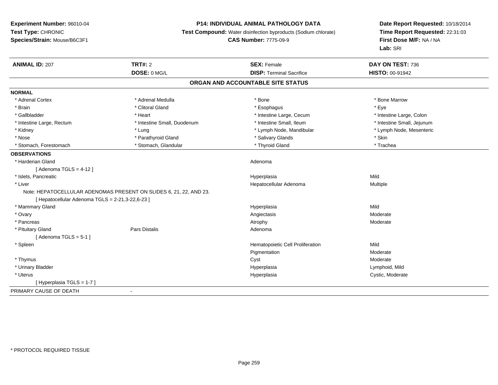# **P14: INDIVIDUAL ANIMAL PATHOLOGY DATA**

**Test Compound:** Water disinfection byproducts (Sodium chlorate)

**CAS Number:** 7775-09-9

| <b>ANIMAL ID: 207</b>                            | <b>TRT#: 2</b>                                                     | <b>SEX: Female</b>                | DAY ON TEST: 736           |
|--------------------------------------------------|--------------------------------------------------------------------|-----------------------------------|----------------------------|
|                                                  | DOSE: 0 MG/L                                                       | <b>DISP: Terminal Sacrifice</b>   | HISTO: 00-91942            |
|                                                  |                                                                    | ORGAN AND ACCOUNTABLE SITE STATUS |                            |
| <b>NORMAL</b>                                    |                                                                    |                                   |                            |
| * Adrenal Cortex                                 | * Adrenal Medulla                                                  | * Bone                            | * Bone Marrow              |
| * Brain                                          | * Clitoral Gland                                                   | * Esophagus                       | * Eve                      |
| * Gallbladder                                    | * Heart                                                            | * Intestine Large, Cecum          | * Intestine Large, Colon   |
| * Intestine Large, Rectum                        | * Intestine Small, Duodenum                                        | * Intestine Small, Ileum          | * Intestine Small, Jejunum |
| * Kidney                                         | * Lung                                                             | * Lymph Node, Mandibular          | * Lymph Node, Mesenteric   |
| * Nose                                           | * Parathyroid Gland                                                | * Salivary Glands                 | * Skin                     |
| * Stomach, Forestomach                           | * Stomach, Glandular                                               | * Thyroid Gland                   | * Trachea                  |
| <b>OBSERVATIONS</b>                              |                                                                    |                                   |                            |
| * Harderian Gland                                |                                                                    | Adenoma                           |                            |
| [Adenoma TGLS = $4-12$ ]                         |                                                                    |                                   |                            |
| * Islets, Pancreatic                             |                                                                    | Hyperplasia                       | Mild                       |
| * Liver                                          |                                                                    | Hepatocellular Adenoma            | Multiple                   |
|                                                  | Note: HEPATOCELLULAR ADENOMAS PRESENT ON SLIDES 6, 21, 22, AND 23. |                                   |                            |
| [ Hepatocellular Adenoma TGLS = 2-21,3-22,6-23 ] |                                                                    |                                   |                            |
| * Mammary Gland                                  |                                                                    | Hyperplasia                       | Mild                       |
| * Ovary                                          |                                                                    | Angiectasis                       | Moderate                   |
| * Pancreas                                       |                                                                    | Atrophy                           | Moderate                   |
| * Pituitary Gland                                | <b>Pars Distalis</b>                                               | Adenoma                           |                            |
| [Adenoma TGLS = $5-1$ ]                          |                                                                    |                                   |                            |
| * Spleen                                         |                                                                    | Hematopoietic Cell Proliferation  | Mild                       |
|                                                  |                                                                    | Pigmentation                      | Moderate                   |
| * Thymus                                         |                                                                    | Cyst                              | Moderate                   |
| * Urinary Bladder                                |                                                                    | Hyperplasia                       | Lymphoid, Mild             |
| * Uterus                                         |                                                                    | Hyperplasia                       | Cystic, Moderate           |
| [Hyperplasia TGLS = 1-7]                         |                                                                    |                                   |                            |
| PRIMARY CAUSE OF DEATH                           | $\overline{\phantom{a}}$                                           |                                   |                            |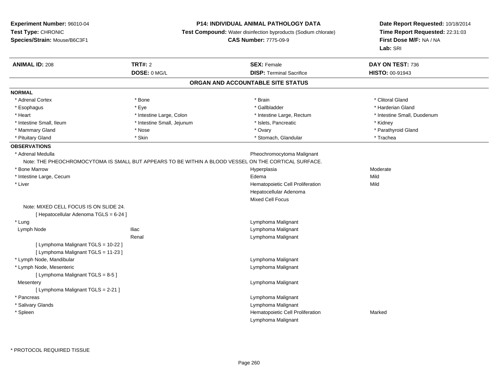### **P14: INDIVIDUAL ANIMAL PATHOLOGY DATA**

**Test Compound:** Water disinfection byproducts (Sodium chlorate)

**CAS Number:** 7775-09-9

| <b>ANIMAL ID: 208</b>                                                                                | <b>TRT#: 2</b>             | <b>SEX: Female</b>                | DAY ON TEST: 736            |
|------------------------------------------------------------------------------------------------------|----------------------------|-----------------------------------|-----------------------------|
|                                                                                                      | DOSE: 0 MG/L               | <b>DISP: Terminal Sacrifice</b>   | HISTO: 00-91943             |
|                                                                                                      |                            | ORGAN AND ACCOUNTABLE SITE STATUS |                             |
| <b>NORMAL</b>                                                                                        |                            |                                   |                             |
| * Adrenal Cortex                                                                                     | * Bone                     | * Brain                           | * Clitoral Gland            |
| * Esophagus                                                                                          | * Eye                      | * Gallbladder                     | * Harderian Gland           |
| * Heart                                                                                              | * Intestine Large, Colon   | * Intestine Large, Rectum         | * Intestine Small, Duodenum |
| * Intestine Small, Ileum                                                                             | * Intestine Small, Jejunum | * Islets, Pancreatic              | * Kidney                    |
| * Mammary Gland                                                                                      | * Nose                     | * Ovary                           | * Parathyroid Gland         |
| * Pituitary Gland                                                                                    | * Skin                     | * Stomach, Glandular              | * Trachea                   |
| <b>OBSERVATIONS</b>                                                                                  |                            |                                   |                             |
| * Adrenal Medulla                                                                                    |                            | Pheochromocytoma Malignant        |                             |
| Note: THE PHEOCHROMOCYTOMA IS SMALL BUT APPEARS TO BE WITHIN A BLOOD VESSEL ON THE CORTICAL SURFACE. |                            |                                   |                             |
| * Bone Marrow                                                                                        |                            | Hyperplasia                       | Moderate                    |
| * Intestine Large, Cecum                                                                             |                            | Edema                             | Mild                        |
| * Liver                                                                                              |                            | Hematopoietic Cell Proliferation  | Mild                        |
|                                                                                                      |                            | Hepatocellular Adenoma            |                             |
|                                                                                                      |                            | Mixed Cell Focus                  |                             |
| Note: MIXED CELL FOCUS IS ON SLIDE 24.                                                               |                            |                                   |                             |
| [ Hepatocellular Adenoma TGLS = 6-24 ]                                                               |                            |                                   |                             |
| * Lung                                                                                               |                            | Lymphoma Malignant                |                             |
| Lymph Node                                                                                           | <b>Iliac</b>               | Lymphoma Malignant                |                             |
|                                                                                                      | Renal                      | Lymphoma Malignant                |                             |
| [ Lymphoma Malignant TGLS = 10-22 ]                                                                  |                            |                                   |                             |
| [ Lymphoma Malignant TGLS = 11-23 ]                                                                  |                            |                                   |                             |
| * Lymph Node, Mandibular                                                                             |                            | Lymphoma Malignant                |                             |
| * Lymph Node, Mesenteric                                                                             |                            | Lymphoma Malignant                |                             |
| [ Lymphoma Malignant TGLS = 8-5 ]                                                                    |                            |                                   |                             |
| Mesentery                                                                                            |                            | Lymphoma Malignant                |                             |
| [ Lymphoma Malignant TGLS = 2-21 ]                                                                   |                            |                                   |                             |
| * Pancreas                                                                                           |                            | Lymphoma Malignant                |                             |
| * Salivary Glands                                                                                    |                            | Lymphoma Malignant                |                             |
| * Spleen                                                                                             |                            | Hematopoietic Cell Proliferation  | Marked                      |
|                                                                                                      |                            | Lymphoma Malignant                |                             |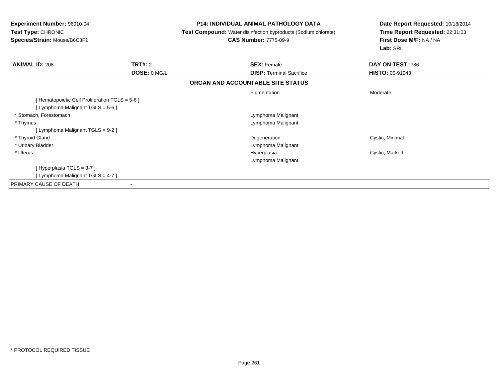| <b>Experiment Number: 96010-04</b><br>Test Type: CHRONIC<br>Species/Strain: Mouse/B6C3F1 |                | <b>P14: INDIVIDUAL ANIMAL PATHOLOGY DATA</b><br><b>Test Compound:</b> Water disinfection byproducts (Sodium chlorate)<br><b>CAS Number: 7775-09-9</b> | Date Report Requested: 10/18/2014<br>Time Report Requested: 22:31:03<br>First Dose M/F: NA / NA |
|------------------------------------------------------------------------------------------|----------------|-------------------------------------------------------------------------------------------------------------------------------------------------------|-------------------------------------------------------------------------------------------------|
|                                                                                          |                |                                                                                                                                                       | Lab: SRI                                                                                        |
| <b>ANIMAL ID: 208</b>                                                                    | <b>TRT#: 2</b> | <b>SEX: Female</b>                                                                                                                                    | DAY ON TEST: 736                                                                                |
|                                                                                          | DOSE: 0 MG/L   | <b>DISP:</b> Terminal Sacrifice                                                                                                                       | <b>HISTO: 00-91943</b>                                                                          |
|                                                                                          |                | ORGAN AND ACCOUNTABLE SITE STATUS                                                                                                                     |                                                                                                 |
|                                                                                          |                | Pigmentation                                                                                                                                          | Moderate                                                                                        |
| [Hematopoietic Cell Proliferation TGLS = 5-6]                                            |                |                                                                                                                                                       |                                                                                                 |
| [ Lymphoma Malignant TGLS = 5-6 ]                                                        |                |                                                                                                                                                       |                                                                                                 |
| * Stomach, Forestomach                                                                   |                | Lymphoma Malignant                                                                                                                                    |                                                                                                 |
| * Thymus                                                                                 |                | Lymphoma Malignant                                                                                                                                    |                                                                                                 |
| [ Lymphoma Malignant TGLS = 9-2 ]                                                        |                |                                                                                                                                                       |                                                                                                 |
| * Thyroid Gland                                                                          |                | Degeneration                                                                                                                                          | Cystic, Minimal                                                                                 |
| * Urinary Bladder                                                                        |                | Lymphoma Malignant                                                                                                                                    |                                                                                                 |
| * Uterus                                                                                 |                | Hyperplasia                                                                                                                                           | Cystic, Marked                                                                                  |
|                                                                                          |                | Lymphoma Malignant                                                                                                                                    |                                                                                                 |
| [Hyperplasia TGLS = 3-7]                                                                 |                |                                                                                                                                                       |                                                                                                 |
| [ Lymphoma Malignant TGLS = 4-7 ]                                                        |                |                                                                                                                                                       |                                                                                                 |
| PRIMARY CAUSE OF DEATH                                                                   |                |                                                                                                                                                       |                                                                                                 |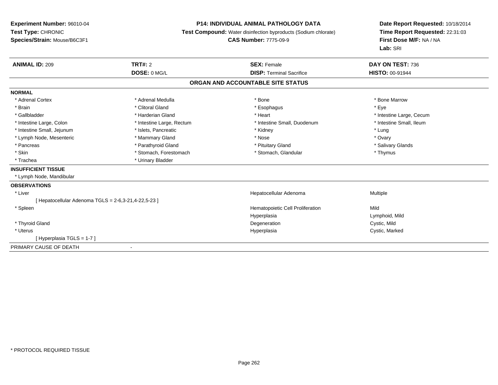## **P14: INDIVIDUAL ANIMAL PATHOLOGY DATA**

**Test Compound:** Water disinfection byproducts (Sodium chlorate)

**CAS Number:** 7775-09-9

| <b>ANIMAL ID: 209</b>                               | <b>TRT#: 2</b>            | <b>SEX: Female</b>                | DAY ON TEST: 736         |
|-----------------------------------------------------|---------------------------|-----------------------------------|--------------------------|
|                                                     | DOSE: 0 MG/L              | <b>DISP: Terminal Sacrifice</b>   | <b>HISTO: 00-91944</b>   |
|                                                     |                           | ORGAN AND ACCOUNTABLE SITE STATUS |                          |
| <b>NORMAL</b>                                       |                           |                                   |                          |
| * Adrenal Cortex                                    | * Adrenal Medulla         | * Bone                            | * Bone Marrow            |
| * Brain                                             | * Clitoral Gland          | * Esophagus                       | * Eve                    |
| * Gallbladder                                       | * Harderian Gland         | * Heart                           | * Intestine Large, Cecum |
| * Intestine Large, Colon                            | * Intestine Large, Rectum | * Intestine Small, Duodenum       | * Intestine Small, Ileum |
| * Intestine Small, Jejunum                          | * Islets, Pancreatic      | * Kidney                          | * Lung                   |
| * Lymph Node, Mesenteric                            | * Mammary Gland           | * Nose                            | * Ovary                  |
| * Pancreas                                          | * Parathyroid Gland       | * Pituitary Gland                 | * Salivary Glands        |
| * Skin                                              | * Stomach, Forestomach    | * Stomach, Glandular              | * Thymus                 |
| * Trachea                                           | * Urinary Bladder         |                                   |                          |
| <b>INSUFFICIENT TISSUE</b>                          |                           |                                   |                          |
| * Lymph Node, Mandibular                            |                           |                                   |                          |
| <b>OBSERVATIONS</b>                                 |                           |                                   |                          |
| * Liver                                             |                           | Hepatocellular Adenoma            | Multiple                 |
| [Hepatocellular Adenoma TGLS = 2-6,3-21,4-22,5-23 ] |                           |                                   |                          |
| * Spleen                                            |                           | Hematopoietic Cell Proliferation  | Mild                     |
|                                                     |                           | Hyperplasia                       | Lymphoid, Mild           |
| * Thyroid Gland                                     |                           | Degeneration                      | Cystic, Mild             |
| * Uterus                                            |                           | Hyperplasia                       | Cystic, Marked           |
| [Hyperplasia TGLS = 1-7]                            |                           |                                   |                          |
| PRIMARY CAUSE OF DEATH                              | $\blacksquare$            |                                   |                          |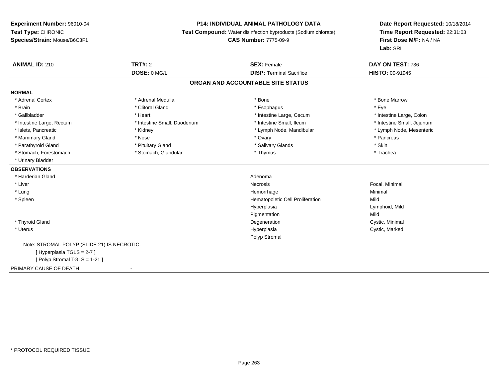### **P14: INDIVIDUAL ANIMAL PATHOLOGY DATA**

**Test Compound:** Water disinfection byproducts (Sodium chlorate)

**CAS Number:** 7775-09-9

| <b>ANIMAL ID: 210</b>                       | TRT#: 2                     | <b>SEX: Female</b><br><b>DISP: Terminal Sacrifice</b> | DAY ON TEST: 736           |
|---------------------------------------------|-----------------------------|-------------------------------------------------------|----------------------------|
|                                             | DOSE: 0 MG/L                |                                                       | HISTO: 00-91945            |
|                                             |                             | ORGAN AND ACCOUNTABLE SITE STATUS                     |                            |
| <b>NORMAL</b>                               |                             |                                                       |                            |
| * Adrenal Cortex                            | * Adrenal Medulla           | * Bone                                                | * Bone Marrow              |
| * Brain                                     | * Clitoral Gland            | * Esophagus                                           | * Eye                      |
| * Gallbladder                               | * Heart                     | * Intestine Large, Cecum                              | * Intestine Large, Colon   |
| * Intestine Large, Rectum                   | * Intestine Small, Duodenum | * Intestine Small, Ileum                              | * Intestine Small, Jejunum |
| * Islets, Pancreatic                        | * Kidney                    | * Lymph Node, Mandibular                              | * Lymph Node, Mesenteric   |
| * Mammary Gland                             | * Nose                      | * Ovary                                               | * Pancreas                 |
| * Parathyroid Gland                         | * Pituitary Gland           | * Salivary Glands                                     | * Skin                     |
| * Stomach, Forestomach                      | * Stomach, Glandular        | * Thymus                                              | * Trachea                  |
| * Urinary Bladder                           |                             |                                                       |                            |
| <b>OBSERVATIONS</b>                         |                             |                                                       |                            |
| * Harderian Gland                           |                             | Adenoma                                               |                            |
| * Liver                                     |                             | Necrosis                                              | Focal, Minimal             |
| * Lung                                      |                             | Hemorrhage                                            | Minimal                    |
| * Spleen                                    |                             | Hematopoietic Cell Proliferation                      | Mild                       |
|                                             |                             | Hyperplasia                                           | Lymphoid, Mild             |
|                                             |                             | Pigmentation                                          | Mild                       |
| * Thyroid Gland                             |                             | Degeneration                                          | Cystic, Minimal            |
| * Uterus                                    |                             | Hyperplasia                                           | Cystic, Marked             |
|                                             |                             | Polyp Stromal                                         |                            |
| Note: STROMAL POLYP (SLIDE 21) IS NECROTIC. |                             |                                                       |                            |
| [Hyperplasia TGLS = 2-7]                    |                             |                                                       |                            |
| [Polyp Stromal TGLS = 1-21]                 |                             |                                                       |                            |
| PRIMARY CAUSE OF DEATH                      |                             |                                                       |                            |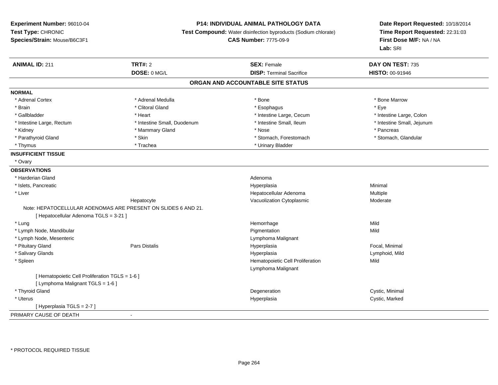**Experiment Number:** 96010-04**Test Type:** CHRONIC **Species/Strain:** Mouse/B6C3F1**P14: INDIVIDUAL ANIMAL PATHOLOGY DATA Test Compound:** Water disinfection byproducts (Sodium chlorate)**CAS Number:** 7775-09-9**Date Report Requested:** 10/18/2014**Time Report Requested:** 22:31:03**First Dose M/F:** NA / NA**Lab:** SRI**ANIMAL ID:** 211**TRT#:** 2 **SEX:** Female **DAY ON TEST:** 735 **DOSE:** 0 MG/L**DISP:** Terminal Sacrifice **HISTO:** 00-91946 **ORGAN AND ACCOUNTABLE SITE STATUSNORMAL**\* Adrenal Cortex \* Adrenal Medulla \* North and \* Adrenal Medulla \* Bone \* Bone \* Bone \* Bone Marrow \* Brain \* Alternative of the state of the state of the state of the state of the state of the state of the state of the state of the state of the state of the state of the state of the state of the state of the state of th \* Intestine Large, Colon \* Gallbladder \* The mode of the state of the state of the state of the state of the state of the state of the state of the state of the state of the state of the state of the state of the state of the state of the state of \* Intestine Small, Jejunum \* Intestine Large, Rectum \* Intestine Small, Duodenum \* Intestine Small, Duodenum \* \* Intestine Small, Ileum \* Kidney \* Mammary Gland \* Nose \* Pancreas \* Stomach, Glandular \* Parathyroid Gland \* Stomach, Forestomach \* Skin \* Skin \* Stomach, Forestomach \* Stomach, Forestomach \* Thymus \* Trachea \* Trachea \* Trachea \* Thymus \* Urinary Bladder **INSUFFICIENT TISSUE** \* Ovary**OBSERVATIONS** \* Harderian Glandd and a state of the control of the control of the control of the control of the control of the control of the control of the control of the control of the control of the control of the control of the control of the contro \* Islets, Pancreaticc and the contract of the contract of the contract of the contract of the contract of the contract of the contract of the contract of the contract of the contract of the contract of the contract of the contract of the cont a **Minimal**  \* Liver Hepatocellular AdenomaMultiple<br>Moderate HepatocyteVacuolization Cytoplasmic Note: HEPATOCELLULAR ADENOMAS ARE PRESENT ON SLIDES 6 AND 21.[ Hepatocellular Adenoma TGLS = 3-21 ] \* Lungg and the state of the state of the state of the state of the Hemorrhage state of the Mild state of the Mild state of the State of the State of the State of the State of the State of the State of the State of the State of \* Lymph Node, Mandibular Pigmentationn Mild \* Lymph Node, Mesenteric Lymphoma Malignant \* Pituitary Gland Pars Distalis Hyperplasia Focal, Minimal \* Salivary Glands HyperplasiaHyperplasia Lymphoid, Mild<br>
Hematopoietic Cell Proliferation Mild Mild \* SpleenHematopoietic Cell Proliferation Lymphoma Malignant[ Hematopoietic Cell Proliferation TGLS = 1-6 ][ Lymphoma Malignant TGLS = 1-6 ] \* Thyroid Glandd and the control of the control of the control of the control of the control of the control of the control of the control of the control of the control of the control of the control of the control of the control of the co \* Uteruss and the control of the control of the control of the control of the control of the control of the control of the control of the control of the control of the control of the control of the control of the control of the co Cystic, Marked [ Hyperplasia TGLS = 2-7 ] PRIMARY CAUSE OF DEATH-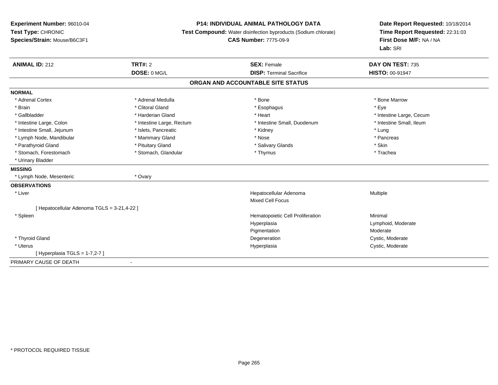## **P14: INDIVIDUAL ANIMAL PATHOLOGY DATA**

**Test Compound:** Water disinfection byproducts (Sodium chlorate)

**CAS Number:** 7775-09-9

| <b>ANIMAL ID: 212</b>                       | TRT#: 2                   | <b>SEX: Female</b>                | DAY ON TEST: 735         |
|---------------------------------------------|---------------------------|-----------------------------------|--------------------------|
|                                             | DOSE: 0 MG/L              | <b>DISP: Terminal Sacrifice</b>   | <b>HISTO: 00-91947</b>   |
|                                             |                           | ORGAN AND ACCOUNTABLE SITE STATUS |                          |
| <b>NORMAL</b>                               |                           |                                   |                          |
| * Adrenal Cortex                            | * Adrenal Medulla         | * Bone                            | * Bone Marrow            |
| * Brain                                     | * Clitoral Gland          | * Esophagus                       | * Eye                    |
| * Gallbladder                               | * Harderian Gland         | * Heart                           | * Intestine Large, Cecum |
| * Intestine Large, Colon                    | * Intestine Large, Rectum | * Intestine Small, Duodenum       | * Intestine Small, Ileum |
| * Intestine Small, Jejunum                  | * Islets, Pancreatic      | * Kidney                          | * Lung                   |
| * Lymph Node, Mandibular                    | * Mammary Gland           | * Nose                            | * Pancreas               |
| * Parathyroid Gland                         | * Pituitary Gland         | * Salivary Glands                 | * Skin                   |
| * Stomach, Forestomach                      | * Stomach, Glandular      | * Thymus                          | * Trachea                |
| * Urinary Bladder                           |                           |                                   |                          |
| <b>MISSING</b>                              |                           |                                   |                          |
| * Lymph Node, Mesenteric                    | * Ovary                   |                                   |                          |
| <b>OBSERVATIONS</b>                         |                           |                                   |                          |
| * Liver                                     |                           | Hepatocellular Adenoma            | Multiple                 |
|                                             |                           | <b>Mixed Cell Focus</b>           |                          |
| [ Hepatocellular Adenoma TGLS = 3-21,4-22 ] |                           |                                   |                          |
| * Spleen                                    |                           | Hematopoietic Cell Proliferation  | Minimal                  |
|                                             |                           | Hyperplasia                       | Lymphoid, Moderate       |
|                                             |                           | Pigmentation                      | Moderate                 |
| * Thyroid Gland                             |                           | Degeneration                      | Cystic, Moderate         |
| * Uterus                                    |                           | Hyperplasia                       | Cystic, Moderate         |
| [Hyperplasia TGLS = $1-7,2-7$ ]             |                           |                                   |                          |
| PRIMARY CAUSE OF DEATH                      | $\overline{\phantom{a}}$  |                                   |                          |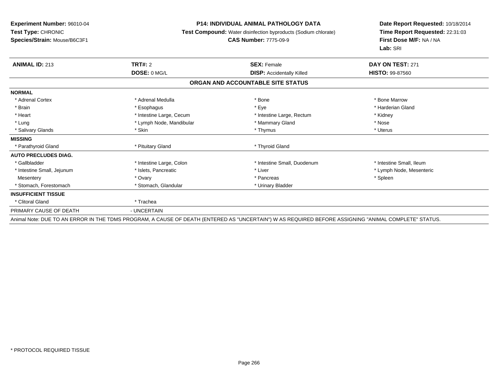### **P14: INDIVIDUAL ANIMAL PATHOLOGY DATA**

**Test Compound:** Water disinfection byproducts (Sodium chlorate)

**CAS Number:** 7775-09-9

| <b>ANIMAL ID: 213</b>       | <b>TRT#: 2</b>           | <b>SEX: Female</b>                                                                                                                                   | DAY ON TEST: 271         |
|-----------------------------|--------------------------|------------------------------------------------------------------------------------------------------------------------------------------------------|--------------------------|
|                             | DOSE: 0 MG/L             | <b>DISP:</b> Accidentally Killed                                                                                                                     | <b>HISTO: 99-87560</b>   |
|                             |                          | ORGAN AND ACCOUNTABLE SITE STATUS                                                                                                                    |                          |
| <b>NORMAL</b>               |                          |                                                                                                                                                      |                          |
| * Adrenal Cortex            | * Adrenal Medulla        | * Bone                                                                                                                                               | * Bone Marrow            |
| * Brain                     | * Esophagus              | * Eye                                                                                                                                                | * Harderian Gland        |
| * Heart                     | * Intestine Large, Cecum | * Intestine Large, Rectum                                                                                                                            | * Kidney                 |
| * Lung                      | * Lymph Node, Mandibular | * Mammary Gland                                                                                                                                      | * Nose                   |
| * Salivary Glands           | * Skin                   | * Thymus                                                                                                                                             | * Uterus                 |
| <b>MISSING</b>              |                          |                                                                                                                                                      |                          |
| * Parathyroid Gland         | * Pituitary Gland        | * Thyroid Gland                                                                                                                                      |                          |
| <b>AUTO PRECLUDES DIAG.</b> |                          |                                                                                                                                                      |                          |
| * Gallbladder               | * Intestine Large, Colon | * Intestine Small, Duodenum                                                                                                                          | * Intestine Small, Ileum |
| * Intestine Small, Jejunum  | * Islets, Pancreatic     | * Liver                                                                                                                                              | * Lymph Node, Mesenteric |
| Mesentery                   | * Ovary                  | * Pancreas                                                                                                                                           | * Spleen                 |
| * Stomach, Forestomach      | * Stomach, Glandular     | * Urinary Bladder                                                                                                                                    |                          |
| <b>INSUFFICIENT TISSUE</b>  |                          |                                                                                                                                                      |                          |
| * Clitoral Gland            | * Trachea                |                                                                                                                                                      |                          |
| PRIMARY CAUSE OF DEATH      | - UNCERTAIN              |                                                                                                                                                      |                          |
|                             |                          | Animal Note: DUE TO AN ERROR IN THE TDMS PROGRAM, A CAUSE OF DEATH (ENTERED AS "UNCERTAIN") W AS REQUIRED BEFORE ASSIGNING "ANIMAL COMPLETE" STATUS. |                          |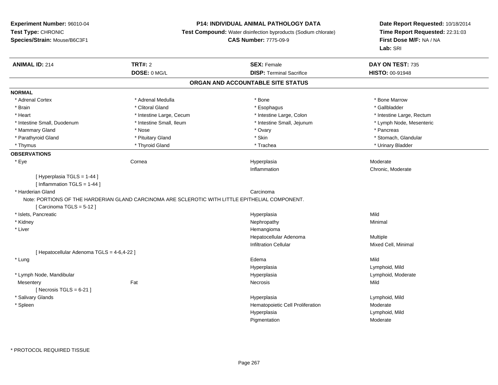## **P14: INDIVIDUAL ANIMAL PATHOLOGY DATA**

**Test Compound:** Water disinfection byproducts (Sodium chlorate)

**CAS Number:** 7775-09-9

| DOSE: 0 MG/L<br><b>DISP: Terminal Sacrifice</b><br>HISTO: 00-91948<br>ORGAN AND ACCOUNTABLE SITE STATUS<br><b>NORMAL</b><br>* Bone Marrow<br>* Adrenal Cortex<br>* Adrenal Medulla<br>* Bone<br>* Clitoral Gland<br>* Gallbladder<br>* Brain<br>* Esophagus<br>* Heart<br>* Intestine Large, Cecum<br>* Intestine Large, Colon<br>* Intestine Large, Rectum<br>* Intestine Small, Jejunum<br>* Intestine Small, Duodenum<br>* Intestine Small, Ileum<br>* Lymph Node, Mesenteric<br>* Mammary Gland<br>* Ovary<br>* Pancreas<br>* Nose<br>* Skin<br>* Stomach, Glandular<br>* Parathyroid Gland<br>* Pituitary Gland<br>* Thyroid Gland<br>* Trachea<br>* Urinary Bladder<br>* Thymus<br><b>OBSERVATIONS</b><br>* Eye<br>Cornea<br>Moderate<br>Hyperplasia<br>Chronic, Moderate<br>Inflammation<br>[Hyperplasia TGLS = 1-44]<br>[ Inflammation TGLS = 1-44 ]<br>* Harderian Gland<br>Carcinoma<br>Note: PORTIONS OF THE HARDERIAN GLAND CARCINOMA ARE SCLEROTIC WITH LITTLE EPITHELIAL COMPONENT.<br>[Carcinoma TGLS = 5-12]<br>Mild<br>* Islets, Pancreatic<br>Hyperplasia<br>* Kidney<br>Minimal<br>Nephropathy<br>* Liver<br>Hemangioma<br>Hepatocellular Adenoma<br>Multiple<br><b>Infiltration Cellular</b><br>Mixed Cell, Minimal<br>[ Hepatocellular Adenoma TGLS = 4-6,4-22 ]<br>Mild<br>* Lung<br>Edema<br>Lymphoid, Mild<br>Hyperplasia<br>* Lymph Node, Mandibular<br>Lymphoid, Moderate<br>Hyperplasia<br>Fat<br>Mild<br><b>Necrosis</b><br>Mesentery<br>[Necrosis $TGLS = 6-21$ ]<br>* Salivary Glands<br>Lymphoid, Mild<br>Hyperplasia<br>Hematopoietic Cell Proliferation<br>Moderate<br>* Spleen<br>Lymphoid, Mild<br>Hyperplasia<br>Pigmentation<br>Moderate | <b>ANIMAL ID: 214</b> | <b>TRT#: 2</b> | <b>SEX: Female</b> | DAY ON TEST: 735 |  |
|-------------------------------------------------------------------------------------------------------------------------------------------------------------------------------------------------------------------------------------------------------------------------------------------------------------------------------------------------------------------------------------------------------------------------------------------------------------------------------------------------------------------------------------------------------------------------------------------------------------------------------------------------------------------------------------------------------------------------------------------------------------------------------------------------------------------------------------------------------------------------------------------------------------------------------------------------------------------------------------------------------------------------------------------------------------------------------------------------------------------------------------------------------------------------------------------------------------------------------------------------------------------------------------------------------------------------------------------------------------------------------------------------------------------------------------------------------------------------------------------------------------------------------------------------------------------------------------------------------------------------------------------------------------------------------|-----------------------|----------------|--------------------|------------------|--|
|                                                                                                                                                                                                                                                                                                                                                                                                                                                                                                                                                                                                                                                                                                                                                                                                                                                                                                                                                                                                                                                                                                                                                                                                                                                                                                                                                                                                                                                                                                                                                                                                                                                                               |                       |                |                    |                  |  |
|                                                                                                                                                                                                                                                                                                                                                                                                                                                                                                                                                                                                                                                                                                                                                                                                                                                                                                                                                                                                                                                                                                                                                                                                                                                                                                                                                                                                                                                                                                                                                                                                                                                                               |                       |                |                    |                  |  |
|                                                                                                                                                                                                                                                                                                                                                                                                                                                                                                                                                                                                                                                                                                                                                                                                                                                                                                                                                                                                                                                                                                                                                                                                                                                                                                                                                                                                                                                                                                                                                                                                                                                                               |                       |                |                    |                  |  |
|                                                                                                                                                                                                                                                                                                                                                                                                                                                                                                                                                                                                                                                                                                                                                                                                                                                                                                                                                                                                                                                                                                                                                                                                                                                                                                                                                                                                                                                                                                                                                                                                                                                                               |                       |                |                    |                  |  |
|                                                                                                                                                                                                                                                                                                                                                                                                                                                                                                                                                                                                                                                                                                                                                                                                                                                                                                                                                                                                                                                                                                                                                                                                                                                                                                                                                                                                                                                                                                                                                                                                                                                                               |                       |                |                    |                  |  |
|                                                                                                                                                                                                                                                                                                                                                                                                                                                                                                                                                                                                                                                                                                                                                                                                                                                                                                                                                                                                                                                                                                                                                                                                                                                                                                                                                                                                                                                                                                                                                                                                                                                                               |                       |                |                    |                  |  |
|                                                                                                                                                                                                                                                                                                                                                                                                                                                                                                                                                                                                                                                                                                                                                                                                                                                                                                                                                                                                                                                                                                                                                                                                                                                                                                                                                                                                                                                                                                                                                                                                                                                                               |                       |                |                    |                  |  |
|                                                                                                                                                                                                                                                                                                                                                                                                                                                                                                                                                                                                                                                                                                                                                                                                                                                                                                                                                                                                                                                                                                                                                                                                                                                                                                                                                                                                                                                                                                                                                                                                                                                                               |                       |                |                    |                  |  |
|                                                                                                                                                                                                                                                                                                                                                                                                                                                                                                                                                                                                                                                                                                                                                                                                                                                                                                                                                                                                                                                                                                                                                                                                                                                                                                                                                                                                                                                                                                                                                                                                                                                                               |                       |                |                    |                  |  |
|                                                                                                                                                                                                                                                                                                                                                                                                                                                                                                                                                                                                                                                                                                                                                                                                                                                                                                                                                                                                                                                                                                                                                                                                                                                                                                                                                                                                                                                                                                                                                                                                                                                                               |                       |                |                    |                  |  |
|                                                                                                                                                                                                                                                                                                                                                                                                                                                                                                                                                                                                                                                                                                                                                                                                                                                                                                                                                                                                                                                                                                                                                                                                                                                                                                                                                                                                                                                                                                                                                                                                                                                                               |                       |                |                    |                  |  |
|                                                                                                                                                                                                                                                                                                                                                                                                                                                                                                                                                                                                                                                                                                                                                                                                                                                                                                                                                                                                                                                                                                                                                                                                                                                                                                                                                                                                                                                                                                                                                                                                                                                                               |                       |                |                    |                  |  |
|                                                                                                                                                                                                                                                                                                                                                                                                                                                                                                                                                                                                                                                                                                                                                                                                                                                                                                                                                                                                                                                                                                                                                                                                                                                                                                                                                                                                                                                                                                                                                                                                                                                                               |                       |                |                    |                  |  |
|                                                                                                                                                                                                                                                                                                                                                                                                                                                                                                                                                                                                                                                                                                                                                                                                                                                                                                                                                                                                                                                                                                                                                                                                                                                                                                                                                                                                                                                                                                                                                                                                                                                                               |                       |                |                    |                  |  |
|                                                                                                                                                                                                                                                                                                                                                                                                                                                                                                                                                                                                                                                                                                                                                                                                                                                                                                                                                                                                                                                                                                                                                                                                                                                                                                                                                                                                                                                                                                                                                                                                                                                                               |                       |                |                    |                  |  |
|                                                                                                                                                                                                                                                                                                                                                                                                                                                                                                                                                                                                                                                                                                                                                                                                                                                                                                                                                                                                                                                                                                                                                                                                                                                                                                                                                                                                                                                                                                                                                                                                                                                                               |                       |                |                    |                  |  |
|                                                                                                                                                                                                                                                                                                                                                                                                                                                                                                                                                                                                                                                                                                                                                                                                                                                                                                                                                                                                                                                                                                                                                                                                                                                                                                                                                                                                                                                                                                                                                                                                                                                                               |                       |                |                    |                  |  |
|                                                                                                                                                                                                                                                                                                                                                                                                                                                                                                                                                                                                                                                                                                                                                                                                                                                                                                                                                                                                                                                                                                                                                                                                                                                                                                                                                                                                                                                                                                                                                                                                                                                                               |                       |                |                    |                  |  |
|                                                                                                                                                                                                                                                                                                                                                                                                                                                                                                                                                                                                                                                                                                                                                                                                                                                                                                                                                                                                                                                                                                                                                                                                                                                                                                                                                                                                                                                                                                                                                                                                                                                                               |                       |                |                    |                  |  |
|                                                                                                                                                                                                                                                                                                                                                                                                                                                                                                                                                                                                                                                                                                                                                                                                                                                                                                                                                                                                                                                                                                                                                                                                                                                                                                                                                                                                                                                                                                                                                                                                                                                                               |                       |                |                    |                  |  |
|                                                                                                                                                                                                                                                                                                                                                                                                                                                                                                                                                                                                                                                                                                                                                                                                                                                                                                                                                                                                                                                                                                                                                                                                                                                                                                                                                                                                                                                                                                                                                                                                                                                                               |                       |                |                    |                  |  |
|                                                                                                                                                                                                                                                                                                                                                                                                                                                                                                                                                                                                                                                                                                                                                                                                                                                                                                                                                                                                                                                                                                                                                                                                                                                                                                                                                                                                                                                                                                                                                                                                                                                                               |                       |                |                    |                  |  |
|                                                                                                                                                                                                                                                                                                                                                                                                                                                                                                                                                                                                                                                                                                                                                                                                                                                                                                                                                                                                                                                                                                                                                                                                                                                                                                                                                                                                                                                                                                                                                                                                                                                                               |                       |                |                    |                  |  |
|                                                                                                                                                                                                                                                                                                                                                                                                                                                                                                                                                                                                                                                                                                                                                                                                                                                                                                                                                                                                                                                                                                                                                                                                                                                                                                                                                                                                                                                                                                                                                                                                                                                                               |                       |                |                    |                  |  |
|                                                                                                                                                                                                                                                                                                                                                                                                                                                                                                                                                                                                                                                                                                                                                                                                                                                                                                                                                                                                                                                                                                                                                                                                                                                                                                                                                                                                                                                                                                                                                                                                                                                                               |                       |                |                    |                  |  |
|                                                                                                                                                                                                                                                                                                                                                                                                                                                                                                                                                                                                                                                                                                                                                                                                                                                                                                                                                                                                                                                                                                                                                                                                                                                                                                                                                                                                                                                                                                                                                                                                                                                                               |                       |                |                    |                  |  |
|                                                                                                                                                                                                                                                                                                                                                                                                                                                                                                                                                                                                                                                                                                                                                                                                                                                                                                                                                                                                                                                                                                                                                                                                                                                                                                                                                                                                                                                                                                                                                                                                                                                                               |                       |                |                    |                  |  |
|                                                                                                                                                                                                                                                                                                                                                                                                                                                                                                                                                                                                                                                                                                                                                                                                                                                                                                                                                                                                                                                                                                                                                                                                                                                                                                                                                                                                                                                                                                                                                                                                                                                                               |                       |                |                    |                  |  |
|                                                                                                                                                                                                                                                                                                                                                                                                                                                                                                                                                                                                                                                                                                                                                                                                                                                                                                                                                                                                                                                                                                                                                                                                                                                                                                                                                                                                                                                                                                                                                                                                                                                                               |                       |                |                    |                  |  |
|                                                                                                                                                                                                                                                                                                                                                                                                                                                                                                                                                                                                                                                                                                                                                                                                                                                                                                                                                                                                                                                                                                                                                                                                                                                                                                                                                                                                                                                                                                                                                                                                                                                                               |                       |                |                    |                  |  |
|                                                                                                                                                                                                                                                                                                                                                                                                                                                                                                                                                                                                                                                                                                                                                                                                                                                                                                                                                                                                                                                                                                                                                                                                                                                                                                                                                                                                                                                                                                                                                                                                                                                                               |                       |                |                    |                  |  |
|                                                                                                                                                                                                                                                                                                                                                                                                                                                                                                                                                                                                                                                                                                                                                                                                                                                                                                                                                                                                                                                                                                                                                                                                                                                                                                                                                                                                                                                                                                                                                                                                                                                                               |                       |                |                    |                  |  |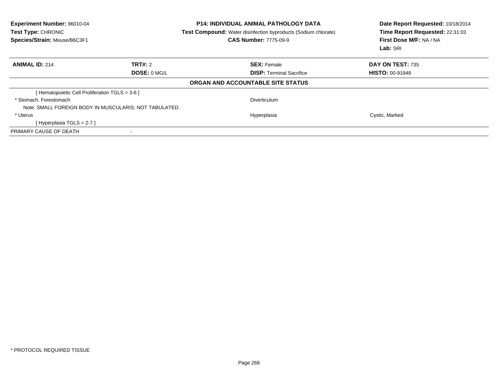| <b>Experiment Number: 96010-04</b><br>Test Type: CHRONIC<br>Species/Strain: Mouse/B6C3F1 | <b>P14: INDIVIDUAL ANIMAL PATHOLOGY DATA</b><br><b>Test Compound:</b> Water disinfection byproducts (Sodium chlorate)<br><b>CAS Number: 7775-09-9</b> |                        |
|------------------------------------------------------------------------------------------|-------------------------------------------------------------------------------------------------------------------------------------------------------|------------------------|
| <b>ANIMAL ID: 214</b><br>TRT#: 2                                                         | <b>SEX: Female</b>                                                                                                                                    | DAY ON TEST: 735       |
| DOSE: 0 MG/L                                                                             | <b>DISP:</b> Terminal Sacrifice                                                                                                                       | <b>HISTO: 00-91948</b> |
|                                                                                          | ORGAN AND ACCOUNTABLE SITE STATUS                                                                                                                     |                        |
| [Hematopoietic Cell Proliferation TGLS = 3-6 ]                                           |                                                                                                                                                       |                        |
| * Stomach. Forestomach                                                                   | Diverticulum                                                                                                                                          |                        |
| Note: SMALL FOREIGN BODY IN MUSCULARIS; NOT TABULATED.                                   |                                                                                                                                                       |                        |
| * Uterus                                                                                 | Hyperplasia                                                                                                                                           | Cystic, Marked         |
| [Hyperplasia TGLS = $2-7$ ]                                                              |                                                                                                                                                       |                        |
| PRIMARY CAUSE OF DEATH                                                                   |                                                                                                                                                       |                        |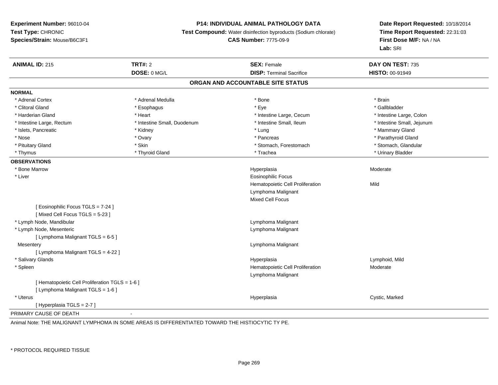### **P14: INDIVIDUAL ANIMAL PATHOLOGY DATA**

**Test Compound:** Water disinfection byproducts (Sodium chlorate)

**CAS Number:** 7775-09-9

**Date Report Requested:** 10/18/2014**Time Report Requested:** 22:31:03**First Dose M/F:** NA / NA**Lab:** SRI

| <b>ANIMAL ID: 215</b>                           | <b>TRT#: 2</b>              | <b>SEX: Female</b>                | DAY ON TEST: 735           |  |
|-------------------------------------------------|-----------------------------|-----------------------------------|----------------------------|--|
|                                                 | DOSE: 0 MG/L                | <b>DISP: Terminal Sacrifice</b>   | HISTO: 00-91949            |  |
|                                                 |                             | ORGAN AND ACCOUNTABLE SITE STATUS |                            |  |
| <b>NORMAL</b>                                   |                             |                                   |                            |  |
| * Adrenal Cortex                                | * Adrenal Medulla           | * Bone                            | * Brain                    |  |
| * Clitoral Gland                                | * Esophagus                 | * Eye                             | * Gallbladder              |  |
| * Harderian Gland                               | * Heart                     | * Intestine Large, Cecum          | * Intestine Large, Colon   |  |
| * Intestine Large, Rectum                       | * Intestine Small, Duodenum | * Intestine Small, Ileum          | * Intestine Small, Jejunum |  |
| * Islets, Pancreatic                            | * Kidney                    | * Lung                            | * Mammary Gland            |  |
| * Nose                                          | * Ovary                     | * Pancreas                        | * Parathyroid Gland        |  |
| * Pituitary Gland                               | * Skin                      | * Stomach, Forestomach            | * Stomach, Glandular       |  |
| * Thymus                                        | * Thyroid Gland             | * Trachea                         | * Urinary Bladder          |  |
| <b>OBSERVATIONS</b>                             |                             |                                   |                            |  |
| * Bone Marrow                                   |                             | Hyperplasia                       | Moderate                   |  |
| * Liver                                         |                             | <b>Eosinophilic Focus</b>         |                            |  |
|                                                 |                             | Hematopoietic Cell Proliferation  | Mild                       |  |
|                                                 |                             | Lymphoma Malignant                |                            |  |
|                                                 |                             | <b>Mixed Cell Focus</b>           |                            |  |
| [ Eosinophilic Focus TGLS = 7-24 ]              |                             |                                   |                            |  |
| [Mixed Cell Focus TGLS = 5-23]                  |                             |                                   |                            |  |
| * Lymph Node, Mandibular                        |                             | Lymphoma Malignant                |                            |  |
| * Lymph Node, Mesenteric                        |                             | Lymphoma Malignant                |                            |  |
| [ Lymphoma Malignant TGLS = 6-5 ]               |                             |                                   |                            |  |
| Mesentery                                       |                             | Lymphoma Malignant                |                            |  |
| [ Lymphoma Malignant TGLS = 4-22 ]              |                             |                                   |                            |  |
| * Salivary Glands                               |                             | Hyperplasia                       | Lymphoid, Mild             |  |
| * Spleen                                        |                             | Hematopoietic Cell Proliferation  | Moderate                   |  |
|                                                 |                             | Lymphoma Malignant                |                            |  |
| [ Hematopoietic Cell Proliferation TGLS = 1-6 ] |                             |                                   |                            |  |
| [ Lymphoma Malignant TGLS = 1-6 ]               |                             |                                   |                            |  |
| * Uterus                                        |                             | Hyperplasia                       | Cystic, Marked             |  |
| [ Hyperplasia TGLS = 2-7 ]                      |                             |                                   |                            |  |
| PRIMARY CAUSE OF DEATH                          | $\blacksquare$              |                                   |                            |  |

Animal Note: THE MALIGNANT LYMPHOMA IN SOME AREAS IS DIFFERENTIATED TOWARD THE HISTIOCYTIC TY PE.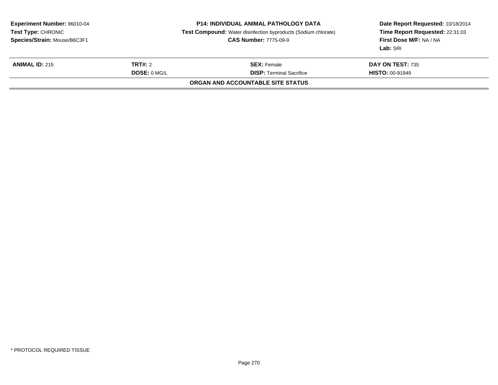| <b>Experiment Number: 96010-04</b><br>Test Type: CHRONIC<br>Species/Strain: Mouse/B6C3F1 |  | <b>P14: INDIVIDUAL ANIMAL PATHOLOGY DATA</b><br><b>Test Compound:</b> Water disinfection byproducts (Sodium chlorate)<br><b>CAS Number: 7775-09-9</b> | Date Report Requested: 10/18/2014<br>Time Report Requested: 22:31:03<br>First Dose M/F: NA / NA<br>Lab: SRI |
|------------------------------------------------------------------------------------------|--|-------------------------------------------------------------------------------------------------------------------------------------------------------|-------------------------------------------------------------------------------------------------------------|
| <b>TRT#:</b> 2<br><b>ANIMAL ID: 215</b><br>DOSE: 0 MGL                                   |  | <b>SEX:</b> Female<br><b>DISP:</b> Terminal Sacrifice                                                                                                 | DAY ON TEST: 735<br><b>HISTO: 00-91949</b>                                                                  |
|                                                                                          |  | <b>ORGAN AND ACCOUNTABLE SITE STATUS</b>                                                                                                              |                                                                                                             |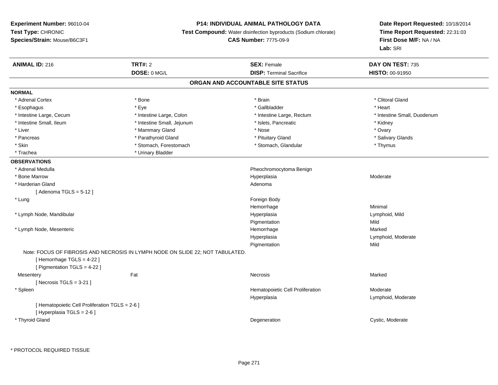## **P14: INDIVIDUAL ANIMAL PATHOLOGY DATA**

**Test Compound:** Water disinfection byproducts (Sodium chlorate)

**CAS Number:** 7775-09-9

| <b>ANIMAL ID: 216</b>                                    | <b>TRT#: 2</b>                                                                 | <b>SEX: Female</b>                              | DAY ON TEST: 735               |
|----------------------------------------------------------|--------------------------------------------------------------------------------|-------------------------------------------------|--------------------------------|
|                                                          | DOSE: 0 MG/L                                                                   | <b>DISP: Terminal Sacrifice</b>                 | HISTO: 00-91950                |
|                                                          |                                                                                | ORGAN AND ACCOUNTABLE SITE STATUS               |                                |
| <b>NORMAL</b>                                            |                                                                                |                                                 |                                |
| * Adrenal Cortex                                         | * Bone                                                                         | * Brain                                         | * Clitoral Gland               |
| * Esophagus                                              | * Eye                                                                          | * Gallbladder                                   | * Heart                        |
| * Intestine Large, Cecum                                 | * Intestine Large, Colon                                                       | * Intestine Large, Rectum                       | * Intestine Small, Duodenum    |
| * Intestine Small, Ileum                                 | * Intestine Small, Jejunum                                                     | * Islets, Pancreatic                            | * Kidney                       |
| * Liver                                                  | * Mammary Gland                                                                | * Nose                                          | * Ovary                        |
| * Pancreas                                               | * Parathyroid Gland                                                            | * Pituitary Gland                               | * Salivary Glands              |
| * Skin                                                   | * Stomach, Forestomach                                                         | * Stomach, Glandular                            | * Thymus                       |
| * Trachea                                                | * Urinary Bladder                                                              |                                                 |                                |
| <b>OBSERVATIONS</b>                                      |                                                                                |                                                 |                                |
| * Adrenal Medulla                                        |                                                                                | Pheochromocytoma Benign                         |                                |
| * Bone Marrow                                            |                                                                                | Hyperplasia                                     | Moderate                       |
| * Harderian Gland                                        |                                                                                | Adenoma                                         |                                |
| [Adenoma TGLS = $5-12$ ]                                 |                                                                                |                                                 |                                |
| * Lung                                                   |                                                                                | Foreign Body                                    |                                |
|                                                          |                                                                                | Hemorrhage                                      | Minimal                        |
| * Lymph Node, Mandibular                                 |                                                                                | Hyperplasia                                     | Lymphoid, Mild                 |
|                                                          |                                                                                | Pigmentation                                    | Mild                           |
| * Lymph Node, Mesenteric                                 |                                                                                | Hemorrhage                                      | Marked                         |
|                                                          |                                                                                | Hyperplasia                                     | Lymphoid, Moderate             |
|                                                          |                                                                                | Pigmentation                                    | Mild                           |
| [Hemorrhage TGLS = 4-22]<br>[ Pigmentation TGLS = 4-22 ] | Note: FOCUS OF FIBROSIS AND NECROSIS IN LYMPH NODE ON SLIDE 22; NOT TABULATED. |                                                 |                                |
| Mesentery                                                | Fat                                                                            | Necrosis                                        | Marked                         |
| [Necrosis TGLS = $3-21$ ]                                |                                                                                |                                                 |                                |
| * Spleen                                                 |                                                                                | Hematopoietic Cell Proliferation<br>Hyperplasia | Moderate<br>Lymphoid, Moderate |
| [ Hematopoietic Cell Proliferation TGLS = 2-6 ]          |                                                                                |                                                 |                                |
| [ Hyperplasia TGLS = 2-6 ]                               |                                                                                |                                                 |                                |
| * Thyroid Gland                                          |                                                                                | Degeneration                                    | Cystic, Moderate               |
|                                                          |                                                                                |                                                 |                                |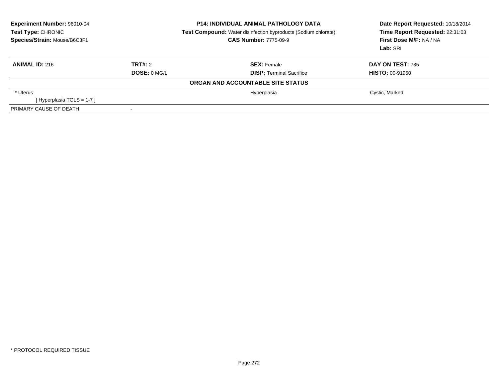| Experiment Number: 96010-04<br>Test Type: CHRONIC<br>Species/Strain: Mouse/B6C3F1 | <b>P14: INDIVIDUAL ANIMAL PATHOLOGY DATA</b><br><b>Test Compound:</b> Water disinfection byproducts (Sodium chlorate)<br><b>CAS Number: 7775-09-9</b> |                                   | Date Report Requested: 10/18/2014<br>Time Report Requested: 22:31:03<br>First Dose M/F: NA / NA<br>Lab: SRI |
|-----------------------------------------------------------------------------------|-------------------------------------------------------------------------------------------------------------------------------------------------------|-----------------------------------|-------------------------------------------------------------------------------------------------------------|
| <b>ANIMAL ID: 216</b>                                                             | TRT#: 2                                                                                                                                               | <b>SEX: Female</b>                | <b>DAY ON TEST: 735</b>                                                                                     |
|                                                                                   | DOSE: 0 MGL                                                                                                                                           | <b>DISP:</b> Terminal Sacrifice   | <b>HISTO: 00-91950</b>                                                                                      |
|                                                                                   |                                                                                                                                                       | ORGAN AND ACCOUNTABLE SITE STATUS |                                                                                                             |
| * Uterus                                                                          |                                                                                                                                                       | Hyperplasia                       | Cystic, Marked                                                                                              |
| [Hyperplasia TGLS = $1-7$ ]                                                       |                                                                                                                                                       |                                   |                                                                                                             |
| PRIMARY CAUSE OF DEATH                                                            |                                                                                                                                                       |                                   |                                                                                                             |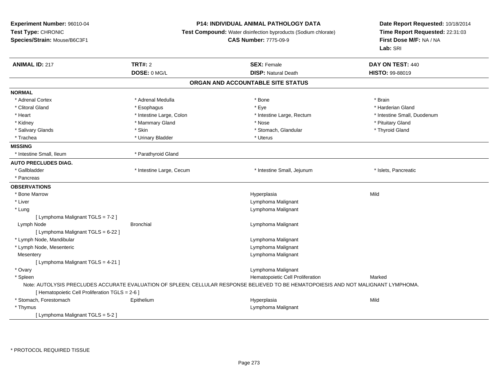## **P14: INDIVIDUAL ANIMAL PATHOLOGY DATA**

**Test Compound:** Water disinfection byproducts (Sodium chlorate)

**CAS Number:** 7775-09-9

| <b>ANIMAL ID: 217</b>                           | <b>TRT#: 2</b>           | <b>SEX: Female</b>                                                                                                                  | DAY ON TEST: 440            |
|-------------------------------------------------|--------------------------|-------------------------------------------------------------------------------------------------------------------------------------|-----------------------------|
|                                                 | DOSE: 0 MG/L             | <b>DISP: Natural Death</b>                                                                                                          | <b>HISTO: 99-88019</b>      |
|                                                 |                          | ORGAN AND ACCOUNTABLE SITE STATUS                                                                                                   |                             |
| <b>NORMAL</b>                                   |                          |                                                                                                                                     |                             |
| * Adrenal Cortex                                | * Adrenal Medulla        | * Bone                                                                                                                              | * Brain                     |
| * Clitoral Gland                                | * Esophagus              | * Eye                                                                                                                               | * Harderian Gland           |
| * Heart                                         | * Intestine Large, Colon | * Intestine Large, Rectum                                                                                                           | * Intestine Small, Duodenum |
| * Kidney                                        | * Mammary Gland          | * Nose                                                                                                                              | * Pituitary Gland           |
| * Salivary Glands                               | * Skin                   | * Stomach, Glandular                                                                                                                | * Thyroid Gland             |
| * Trachea                                       | * Urinary Bladder        | * Uterus                                                                                                                            |                             |
| <b>MISSING</b>                                  |                          |                                                                                                                                     |                             |
| * Intestine Small, Ileum                        | * Parathyroid Gland      |                                                                                                                                     |                             |
| <b>AUTO PRECLUDES DIAG.</b>                     |                          |                                                                                                                                     |                             |
| * Gallbladder                                   | * Intestine Large, Cecum | * Intestine Small, Jejunum                                                                                                          | * Islets, Pancreatic        |
| * Pancreas                                      |                          |                                                                                                                                     |                             |
| <b>OBSERVATIONS</b>                             |                          |                                                                                                                                     |                             |
| * Bone Marrow                                   |                          | Hyperplasia                                                                                                                         | Mild                        |
| * Liver                                         |                          | Lymphoma Malignant                                                                                                                  |                             |
| * Lung                                          |                          | Lymphoma Malignant                                                                                                                  |                             |
| [ Lymphoma Malignant TGLS = 7-2 ]               |                          |                                                                                                                                     |                             |
| Lymph Node                                      | <b>Bronchial</b>         | Lymphoma Malignant                                                                                                                  |                             |
| [ Lymphoma Malignant TGLS = 6-22 ]              |                          |                                                                                                                                     |                             |
| * Lymph Node, Mandibular                        |                          | Lymphoma Malignant                                                                                                                  |                             |
| * Lymph Node, Mesenteric                        |                          | Lymphoma Malignant                                                                                                                  |                             |
| Mesentery                                       |                          | Lymphoma Malignant                                                                                                                  |                             |
| [ Lymphoma Malignant TGLS = 4-21 ]              |                          |                                                                                                                                     |                             |
| * Ovary                                         |                          | Lymphoma Malignant                                                                                                                  |                             |
| * Spleen                                        |                          | Hematopoietic Cell Proliferation                                                                                                    | Marked                      |
|                                                 |                          | Note: AUTOLYSIS PRECLUDES ACCURATE EVALUATION OF SPLEEN; CELLULAR RESPONSE BELIEVED TO BE HEMATOPOIESIS AND NOT MALIGNANT LYMPHOMA. |                             |
| [ Hematopoietic Cell Proliferation TGLS = 2-6 ] |                          |                                                                                                                                     |                             |
| * Stomach, Forestomach                          | Epithelium               | Hyperplasia                                                                                                                         | Mild                        |
| * Thymus                                        |                          | Lymphoma Malignant                                                                                                                  |                             |
| [Lymphoma Malignant TGLS = 5-2 ]                |                          |                                                                                                                                     |                             |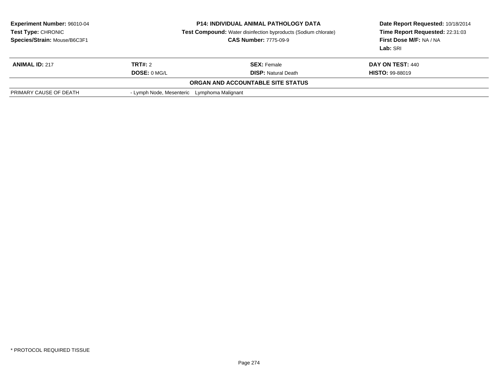| <b>Experiment Number: 96010-04</b><br>Test Type: CHRONIC<br>Species/Strain: Mouse/B6C3F1 |                                             | <b>P14: INDIVIDUAL ANIMAL PATHOLOGY DATA</b><br><b>Test Compound:</b> Water disinfection byproducts (Sodium chlorate)<br><b>CAS Number: 7775-09-9</b> | Date Report Requested: 10/18/2014<br>Time Report Requested: 22:31:03<br>First Dose M/F: NA / NA<br>Lab: SRI |
|------------------------------------------------------------------------------------------|---------------------------------------------|-------------------------------------------------------------------------------------------------------------------------------------------------------|-------------------------------------------------------------------------------------------------------------|
| <b>ANIMAL ID: 217</b>                                                                    | TRT#: 2                                     | <b>SEX:</b> Female                                                                                                                                    | DAY ON TEST: 440                                                                                            |
|                                                                                          | DOSE: 0 MG/L                                | <b>DISP: Natural Death</b>                                                                                                                            | <b>HISTO: 99-88019</b>                                                                                      |
|                                                                                          |                                             | ORGAN AND ACCOUNTABLE SITE STATUS                                                                                                                     |                                                                                                             |
| PRIMARY CAUSE OF DEATH                                                                   | - Lymph Node, Mesenteric Lymphoma Malignant |                                                                                                                                                       |                                                                                                             |
|                                                                                          |                                             |                                                                                                                                                       |                                                                                                             |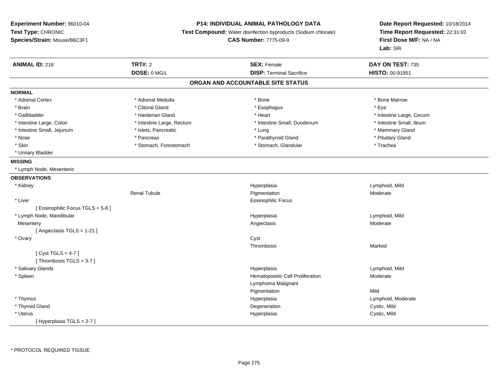# **P14: INDIVIDUAL ANIMAL PATHOLOGY DATA**

**Test Compound:** Water disinfection byproducts (Sodium chlorate)

**CAS Number:** 7775-09-9

| <b>ANIMAL ID: 218</b>             | <b>TRT#: 2</b>            | <b>SEX: Female</b>                | DAY ON TEST: 735         |
|-----------------------------------|---------------------------|-----------------------------------|--------------------------|
|                                   | DOSE: 0 MG/L              | <b>DISP:</b> Terminal Sacrifice   | HISTO: 00-91951          |
|                                   |                           | ORGAN AND ACCOUNTABLE SITE STATUS |                          |
| <b>NORMAL</b>                     |                           |                                   |                          |
| * Adrenal Cortex                  | * Adrenal Medulla         | * Bone                            | * Bone Marrow            |
| * Brain                           | * Clitoral Gland          | * Esophagus                       | * Eye                    |
| * Gallbladder                     | * Harderian Gland         | * Heart                           | * Intestine Large, Cecum |
| * Intestine Large, Colon          | * Intestine Large, Rectum | * Intestine Small, Duodenum       | * Intestine Small, Ileum |
| * Intestine Small, Jejunum        | * Islets, Pancreatic      | * Lung                            | * Mammary Gland          |
| * Nose                            | * Pancreas                | * Parathyroid Gland               | * Pituitary Gland        |
| * Skin                            | * Stomach, Forestomach    | * Stomach, Glandular              | * Trachea                |
| * Urinary Bladder                 |                           |                                   |                          |
| <b>MISSING</b>                    |                           |                                   |                          |
| * Lymph Node, Mesenteric          |                           |                                   |                          |
| <b>OBSERVATIONS</b>               |                           |                                   |                          |
| * Kidney                          |                           | Hyperplasia                       | Lymphoid, Mild           |
|                                   | <b>Renal Tubule</b>       | Pigmentation                      | Moderate                 |
| * Liver                           |                           | <b>Eosinophilic Focus</b>         |                          |
| [ Eosinophilic Focus TGLS = 5-6 ] |                           |                                   |                          |
| * Lymph Node, Mandibular          |                           | Hyperplasia                       | Lymphoid, Mild           |
| Mesentery                         |                           | Angiectasis                       | Moderate                 |
| [Angiectasis TGLS = 1-21]         |                           |                                   |                          |
| * Ovary                           |                           | Cyst                              |                          |
|                                   |                           | Thrombosis                        | Marked                   |
| [Cyst TGLS = $4-7$ ]              |                           |                                   |                          |
| [Thrombosis TGLS = 3-7]           |                           |                                   |                          |
| * Salivary Glands                 |                           | Hyperplasia                       | Lymphoid, Mild           |
| * Spleen                          |                           | Hematopoietic Cell Proliferation  | Moderate                 |
|                                   |                           | Lymphoma Malignant                |                          |
|                                   |                           | Pigmentation                      | Mild                     |
| * Thymus                          |                           | Hyperplasia                       | Lymphoid, Moderate       |
| * Thyroid Gland                   |                           | Degeneration                      | Cystic, Mild             |
| * Uterus                          |                           | Hyperplasia                       | Cystic, Mild             |
| [Hyperplasia TGLS = 2-7]          |                           |                                   |                          |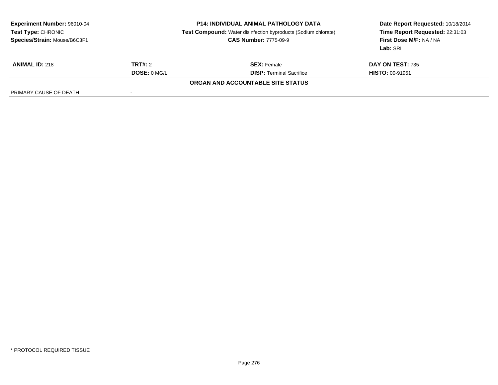| <b>Experiment Number: 96010-04</b><br><b>Test Type: CHRONIC</b><br>Species/Strain: Mouse/B6C3F1 | <b>P14: INDIVIDUAL ANIMAL PATHOLOGY DATA</b><br><b>Test Compound:</b> Water disinfection byproducts (Sodium chlorate)<br><b>CAS Number: 7775-09-9</b> |                                   | Date Report Requested: 10/18/2014<br>Time Report Requested: 22:31:03<br>First Dose M/F: NA / NA<br>Lab: SRI |
|-------------------------------------------------------------------------------------------------|-------------------------------------------------------------------------------------------------------------------------------------------------------|-----------------------------------|-------------------------------------------------------------------------------------------------------------|
| <b>ANIMAL ID: 218</b>                                                                           | <b>TRT#: 2</b>                                                                                                                                        | <b>SEX:</b> Female                | <b>DAY ON TEST: 735</b>                                                                                     |
|                                                                                                 | DOSE: 0 MG/L                                                                                                                                          | <b>DISP: Terminal Sacrifice</b>   | <b>HISTO: 00-91951</b>                                                                                      |
|                                                                                                 |                                                                                                                                                       | ORGAN AND ACCOUNTABLE SITE STATUS |                                                                                                             |
| PRIMARY CAUSE OF DEATH                                                                          |                                                                                                                                                       |                                   |                                                                                                             |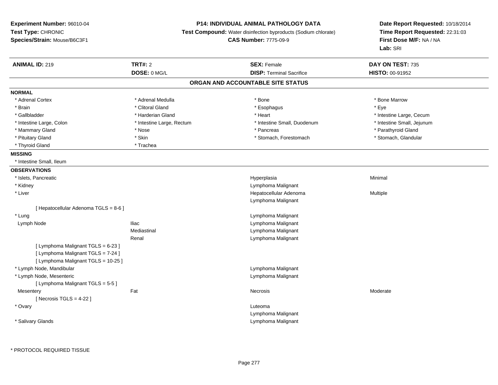**Experiment Number:** 96010-04**Test Type:** CHRONIC **Species/Strain:** Mouse/B6C3F1**P14: INDIVIDUAL ANIMAL PATHOLOGY DATA Test Compound:** Water disinfection byproducts (Sodium chlorate)**CAS Number:** 7775-09-9**Date Report Requested:** 10/18/2014**Time Report Requested:** 22:31:03**First Dose M/F:** NA / NA**Lab:** SRI**ANIMAL ID:** 219**TRT#:** 2 **SEX:** Female **DAY ON TEST:** 735 **DOSE:** 0 MG/L **DISP:** Terminal Sacrifice **HISTO:** 00-91952 **ORGAN AND ACCOUNTABLE SITE STATUSNORMAL**\* Adrenal Cortex \* Adrenal Medulla \* Adrenal Medulla \* Bone \* Bone \* Bone \* Bone \* Bone Marrow \* Brain \* Alternative of the state of the state of the state of the state of the state of the state of the state of the state of the state of the state of the state of the state of the state of the state of the state of th \* Gallbladder \* https://www.frage.com/marticle/state-of-state-of-state-of-state-of-state-of-state-of-state-of-state-of-state-of-state-of-state-of-state-of-state-of-state-of-state-of-state-of-state-of-state-of-state-of-stat \* Intestine Small, Jejunum \* Intestine Large, Colon \* Intestine Large, Rectum \* Intestine Small, Duodenum \* Intestine Small, Duodenum \* Mammary Gland \* \* Nose \* \* Nose \* \* Pancreas \* Pancreas \* \* Pancreas \* \* Pancreas \* \* Pancreas \* \* Parathyroid Gland \* Stomach, Glandular \* Pituitary Gland \* Stomach, Forestomach \* Skin \* Skin \* Stomach, Forestomach \* Stomach, Forestomach \* Thyroid Gland \* Trachea**MISSING** \* Intestine Small, Ileum**OBSERVATIONS** \* Islets, Pancreaticc and the contract of the contract of the contract of the contract of the contract of the contract of the contract of the contract of the contract of the contract of the contract of the contract of the contract of the cont a **Minimal**  \* Kidney Lymphoma Malignant \* Liver Hepatocellular Adenoma Multiple Lymphoma Malignant[ Hepatocellular Adenoma TGLS = 8-6 ] \* LungLymphoma Malignant<br>Lymphoma Malignant<br>Lymphoma Malignant Lymph NodeLymphoma Malignant Mediastinal Lymphoma MalignantRenal Lymphoma Malignant[ Lymphoma Malignant TGLS = 6-23 ][ Lymphoma Malignant TGLS = 7-24 ][ Lymphoma Malignant TGLS = 10-25 ] \* Lymph Node, Mandibular Lymphoma Malignant \* Lymph Node, Mesenteric Lymphoma Malignant [ Lymphoma Malignant TGLS = 5-5 ]**Mesentery** y the control of the set of the control of the Moderate of the Moderate of the Moderate of the Moderate of the Moderate of the Moderate of the Moderate of the Moderate of the Moderate of the Moderate of the Moderate of the  $[$  Necrosis TGLS = 4-22  $]$  \* Ovaryy the control of the control of the control of the control of the control of the control of the control of the control of the control of the control of the control of the control of the control of the control of the contro Lymphoma Malignant \* Salivary GlandsLymphoma Malignant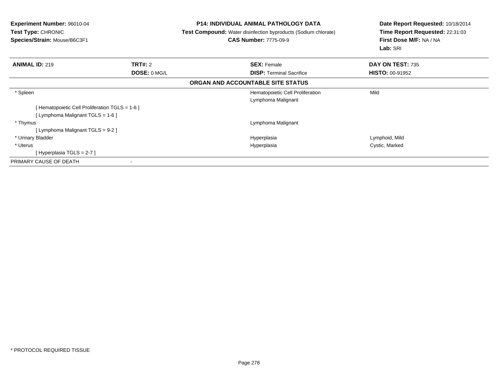| Experiment Number: 96010-04<br><b>Test Type: CHRONIC</b><br>Species/Strain: Mouse/B6C3F1 | <b>P14: INDIVIDUAL ANIMAL PATHOLOGY DATA</b><br><b>Test Compound:</b> Water disinfection byproducts (Sodium chlorate)<br><b>CAS Number: 7775-09-9</b> | Date Report Requested: 10/18/2014<br>Time Report Requested: 22:31:03<br>First Dose M/F: NA / NA<br>Lab: SRI |
|------------------------------------------------------------------------------------------|-------------------------------------------------------------------------------------------------------------------------------------------------------|-------------------------------------------------------------------------------------------------------------|
| TRT#: 2<br><b>ANIMAL ID: 219</b>                                                         | <b>SEX: Female</b>                                                                                                                                    | DAY ON TEST: 735                                                                                            |
| DOSE: 0 MG/L                                                                             | <b>DISP:</b> Terminal Sacrifice                                                                                                                       | <b>HISTO: 00-91952</b>                                                                                      |
|                                                                                          | ORGAN AND ACCOUNTABLE SITE STATUS                                                                                                                     |                                                                                                             |
| * Spleen                                                                                 | Hematopoietic Cell Proliferation                                                                                                                      | Mild                                                                                                        |
|                                                                                          | Lymphoma Malignant                                                                                                                                    |                                                                                                             |
| [ Hematopoietic Cell Proliferation TGLS = 1-6 ]                                          |                                                                                                                                                       |                                                                                                             |
| [ Lymphoma Malignant TGLS = 1-6 ]                                                        |                                                                                                                                                       |                                                                                                             |
| * Thymus                                                                                 | Lymphoma Malignant                                                                                                                                    |                                                                                                             |
| [Lymphoma Malignant TGLS = 9-2]                                                          |                                                                                                                                                       |                                                                                                             |
| * Urinary Bladder                                                                        | Hyperplasia                                                                                                                                           | Lymphoid, Mild                                                                                              |
| * Uterus                                                                                 | Hyperplasia                                                                                                                                           | Cystic, Marked                                                                                              |
| [Hyperplasia TGLS = $2-7$ ]                                                              |                                                                                                                                                       |                                                                                                             |
| PRIMARY CAUSE OF DEATH<br>$\overline{\phantom{a}}$                                       |                                                                                                                                                       |                                                                                                             |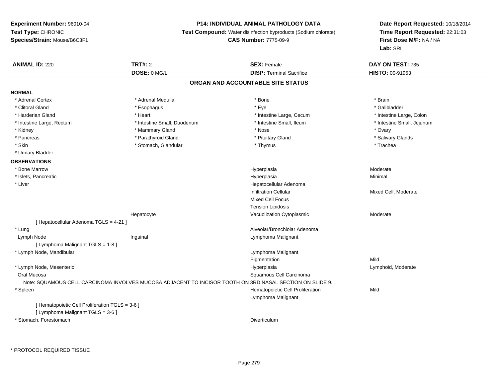### **P14: INDIVIDUAL ANIMAL PATHOLOGY DATA**

**Test Compound:** Water disinfection byproducts (Sodium chlorate)

**CAS Number:** 7775-09-9

| <b>ANIMAL ID: 220</b>                           | <b>TRT#: 2</b>                                                                                           | <b>SEX: Female</b>                | DAY ON TEST: 735           |
|-------------------------------------------------|----------------------------------------------------------------------------------------------------------|-----------------------------------|----------------------------|
|                                                 | DOSE: 0 MG/L                                                                                             | <b>DISP: Terminal Sacrifice</b>   | HISTO: 00-91953            |
|                                                 |                                                                                                          | ORGAN AND ACCOUNTABLE SITE STATUS |                            |
| <b>NORMAL</b>                                   |                                                                                                          |                                   |                            |
| * Adrenal Cortex                                | * Adrenal Medulla                                                                                        | * Bone                            | * Brain                    |
| * Clitoral Gland                                | * Esophagus                                                                                              | * Eye                             | * Gallbladder              |
| * Harderian Gland                               | * Heart                                                                                                  | * Intestine Large, Cecum          | * Intestine Large, Colon   |
| * Intestine Large, Rectum                       | * Intestine Small, Duodenum                                                                              | * Intestine Small, Ileum          | * Intestine Small, Jejunum |
| * Kidney                                        | * Mammary Gland                                                                                          | * Nose                            | * Ovary                    |
| * Pancreas                                      | * Parathyroid Gland                                                                                      | * Pituitary Gland                 | * Salivary Glands          |
| * Skin                                          | * Stomach, Glandular                                                                                     | * Thymus                          | * Trachea                  |
| * Urinary Bladder                               |                                                                                                          |                                   |                            |
| <b>OBSERVATIONS</b>                             |                                                                                                          |                                   |                            |
| * Bone Marrow                                   |                                                                                                          | Hyperplasia                       | Moderate                   |
| * Islets, Pancreatic                            |                                                                                                          | Hyperplasia                       | Minimal                    |
| * Liver                                         |                                                                                                          | Hepatocellular Adenoma            |                            |
|                                                 |                                                                                                          | <b>Infiltration Cellular</b>      | Mixed Cell, Moderate       |
|                                                 |                                                                                                          | <b>Mixed Cell Focus</b>           |                            |
|                                                 |                                                                                                          | <b>Tension Lipidosis</b>          |                            |
|                                                 | Hepatocyte                                                                                               | Vacuolization Cytoplasmic         | Moderate                   |
| [ Hepatocellular Adenoma TGLS = 4-21 ]          |                                                                                                          |                                   |                            |
| * Lung                                          |                                                                                                          | Alveolar/Bronchiolar Adenoma      |                            |
| Lymph Node                                      | Inguinal                                                                                                 | Lymphoma Malignant                |                            |
| [ Lymphoma Malignant TGLS = 1-8 ]               |                                                                                                          |                                   |                            |
| * Lymph Node, Mandibular                        |                                                                                                          | Lymphoma Malignant                |                            |
|                                                 |                                                                                                          | Pigmentation                      | Mild                       |
| * Lymph Node, Mesenteric                        |                                                                                                          | Hyperplasia                       | Lymphoid, Moderate         |
| Oral Mucosa                                     |                                                                                                          | Squamous Cell Carcinoma           |                            |
|                                                 | Note: SQUAMOUS CELL CARCINOMA INVOLVES MUCOSA ADJACENT TO INCISOR TOOTH ON 3RD NASAL SECTION ON SLIDE 9. |                                   |                            |
| * Spleen                                        |                                                                                                          | Hematopoietic Cell Proliferation  | Mild                       |
|                                                 |                                                                                                          | Lymphoma Malignant                |                            |
| [ Hematopoietic Cell Proliferation TGLS = 3-6 ] |                                                                                                          |                                   |                            |
| [ Lymphoma Malignant TGLS = 3-6 ]               |                                                                                                          |                                   |                            |
| * Stomach, Forestomach                          |                                                                                                          | Diverticulum                      |                            |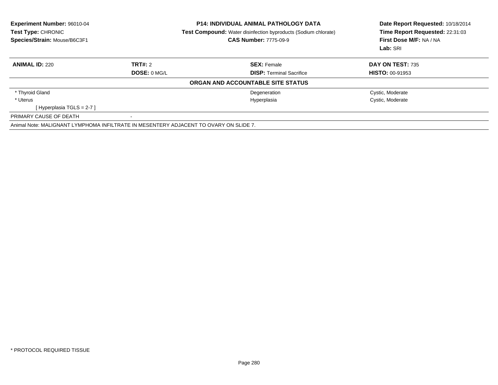| <b>Experiment Number: 96010-04</b><br>Test Type: CHRONIC<br>Species/Strain: Mouse/B6C3F1 |              | <b>P14: INDIVIDUAL ANIMAL PATHOLOGY DATA</b><br><b>Test Compound:</b> Water disinfection byproducts (Sodium chlorate)<br><b>CAS Number: 7775-09-9</b> | Date Report Requested: 10/18/2014<br>Time Report Requested: 22:31:03<br>First Dose M/F: NA / NA<br>Lab: SRI |  |
|------------------------------------------------------------------------------------------|--------------|-------------------------------------------------------------------------------------------------------------------------------------------------------|-------------------------------------------------------------------------------------------------------------|--|
| <b>ANIMAL ID: 220</b>                                                                    | TRT#: 2      | <b>SEX: Female</b>                                                                                                                                    | <b>DAY ON TEST: 735</b>                                                                                     |  |
|                                                                                          | DOSE: 0 MG/L | <b>DISP:</b> Terminal Sacrifice                                                                                                                       | <b>HISTO: 00-91953</b>                                                                                      |  |
|                                                                                          |              | ORGAN AND ACCOUNTABLE SITE STATUS                                                                                                                     |                                                                                                             |  |
| * Thyroid Gland                                                                          |              | Degeneration                                                                                                                                          | Cystic, Moderate                                                                                            |  |
| * Uterus                                                                                 |              | Hyperplasia                                                                                                                                           | Cystic, Moderate                                                                                            |  |
| [Hyperplasia TGLS = $2-7$ ]                                                              |              |                                                                                                                                                       |                                                                                                             |  |
| PRIMARY CAUSE OF DEATH                                                                   |              |                                                                                                                                                       |                                                                                                             |  |
| Animal Note: MALIGNANT LYMPHOMA INFILTRATE IN MESENTERY ADJACENT TO OVARY ON SLIDE 7.    |              |                                                                                                                                                       |                                                                                                             |  |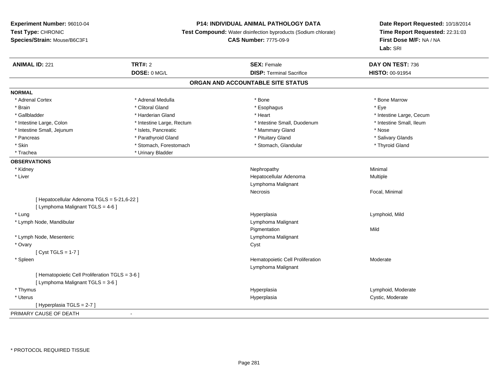# **P14: INDIVIDUAL ANIMAL PATHOLOGY DATA**

**Test Compound:** Water disinfection byproducts (Sodium chlorate)

```
CAS Number: 7775-09-9
```

| <b>ANIMAL ID: 221</b>                           | <b>TRT#: 2</b>            | <b>SEX: Female</b>                | DAY ON TEST: 736         |
|-------------------------------------------------|---------------------------|-----------------------------------|--------------------------|
|                                                 | DOSE: 0 MG/L              | <b>DISP: Terminal Sacrifice</b>   | HISTO: 00-91954          |
|                                                 |                           | ORGAN AND ACCOUNTABLE SITE STATUS |                          |
| <b>NORMAL</b>                                   |                           |                                   |                          |
| * Adrenal Cortex                                | * Adrenal Medulla         | * Bone                            | * Bone Marrow            |
| * Brain                                         | * Clitoral Gland          | * Esophagus                       | * Eye                    |
| * Gallbladder                                   | * Harderian Gland         | * Heart                           | * Intestine Large, Cecum |
| * Intestine Large, Colon                        | * Intestine Large, Rectum | * Intestine Small, Duodenum       | * Intestine Small, Ileum |
| * Intestine Small, Jejunum                      | * Islets, Pancreatic      | * Mammary Gland                   | * Nose                   |
| * Pancreas                                      | * Parathyroid Gland       | * Pituitary Gland                 | * Salivary Glands        |
| * Skin                                          | * Stomach, Forestomach    | * Stomach, Glandular              | * Thyroid Gland          |
| * Trachea                                       | * Urinary Bladder         |                                   |                          |
| <b>OBSERVATIONS</b>                             |                           |                                   |                          |
| * Kidney                                        |                           | Nephropathy                       | Minimal                  |
| * Liver                                         |                           | Hepatocellular Adenoma            | Multiple                 |
|                                                 |                           | Lymphoma Malignant                |                          |
|                                                 |                           | Necrosis                          | Focal, Minimal           |
| [Hepatocellular Adenoma TGLS = 5-21,6-22]       |                           |                                   |                          |
| [ Lymphoma Malignant TGLS = 4-6 ]               |                           |                                   |                          |
| * Lung                                          |                           | Hyperplasia                       | Lymphoid, Mild           |
| * Lymph Node, Mandibular                        |                           | Lymphoma Malignant                |                          |
|                                                 |                           | Pigmentation                      | Mild                     |
| * Lymph Node, Mesenteric                        |                           | Lymphoma Malignant                |                          |
| * Ovary                                         |                           | Cyst                              |                          |
| [Cyst TGLS = $1-7$ ]                            |                           |                                   |                          |
| * Spleen                                        |                           | Hematopoietic Cell Proliferation  | Moderate                 |
|                                                 |                           | Lymphoma Malignant                |                          |
| [ Hematopoietic Cell Proliferation TGLS = 3-6 ] |                           |                                   |                          |
| [ Lymphoma Malignant TGLS = 3-6 ]               |                           |                                   |                          |
| * Thymus                                        |                           | Hyperplasia                       | Lymphoid, Moderate       |
| * Uterus                                        |                           | Hyperplasia                       | Cystic, Moderate         |
| [Hyperplasia TGLS = 2-7]                        |                           |                                   |                          |
| PRIMARY CAUSE OF DEATH                          | $\blacksquare$            |                                   |                          |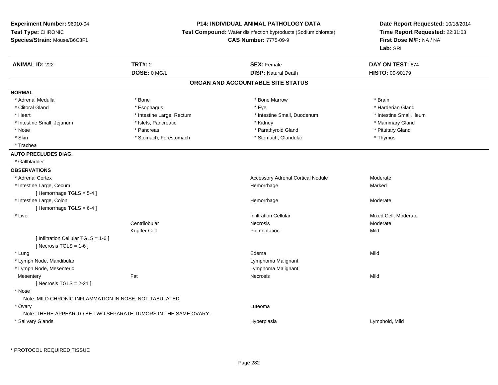# **P14: INDIVIDUAL ANIMAL PATHOLOGY DATA**

**Test Compound:** Water disinfection byproducts (Sodium chlorate)

**CAS Number:** 7775-09-9

| <b>ANIMAL ID: 222</b>                                   | <b>TRT#: 2</b>                                                  | <b>SEX: Female</b>                       | DAY ON TEST: 674         |  |
|---------------------------------------------------------|-----------------------------------------------------------------|------------------------------------------|--------------------------|--|
|                                                         | DOSE: 0 MG/L                                                    | <b>DISP: Natural Death</b>               | HISTO: 00-90179          |  |
|                                                         |                                                                 | ORGAN AND ACCOUNTABLE SITE STATUS        |                          |  |
| <b>NORMAL</b>                                           |                                                                 |                                          |                          |  |
| * Adrenal Medulla                                       | * Bone                                                          | * Bone Marrow                            | * Brain                  |  |
| * Clitoral Gland                                        | * Esophagus                                                     | * Eye                                    | * Harderian Gland        |  |
| * Heart                                                 | * Intestine Large, Rectum                                       | * Intestine Small, Duodenum              | * Intestine Small, Ileum |  |
| * Intestine Small, Jejunum                              | * Islets, Pancreatic                                            | * Kidney                                 | * Mammary Gland          |  |
| * Nose                                                  | * Pancreas                                                      | * Parathyroid Gland                      | * Pituitary Gland        |  |
| * Skin                                                  | * Stomach, Forestomach                                          | * Stomach, Glandular                     | * Thymus                 |  |
| * Trachea                                               |                                                                 |                                          |                          |  |
| <b>AUTO PRECLUDES DIAG.</b>                             |                                                                 |                                          |                          |  |
| * Gallbladder                                           |                                                                 |                                          |                          |  |
| <b>OBSERVATIONS</b>                                     |                                                                 |                                          |                          |  |
| * Adrenal Cortex                                        |                                                                 | <b>Accessory Adrenal Cortical Nodule</b> | Moderate                 |  |
| * Intestine Large, Cecum                                |                                                                 | Hemorrhage                               | Marked                   |  |
| [Hemorrhage TGLS = 5-4]                                 |                                                                 |                                          |                          |  |
| * Intestine Large, Colon                                |                                                                 | Hemorrhage                               | Moderate                 |  |
| [Hemorrhage TGLS = 6-4]                                 |                                                                 |                                          |                          |  |
| * Liver                                                 |                                                                 | <b>Infiltration Cellular</b>             | Mixed Cell, Moderate     |  |
|                                                         | Centrilobular                                                   | Necrosis                                 | Moderate                 |  |
|                                                         | Kupffer Cell                                                    | Pigmentation                             | Mild                     |  |
| [ Infiltration Cellular TGLS = 1-6 ]                    |                                                                 |                                          |                          |  |
| [ Necrosis TGLS = $1-6$ ]                               |                                                                 |                                          |                          |  |
| * Lung                                                  |                                                                 | Edema                                    | Mild                     |  |
| * Lymph Node, Mandibular                                |                                                                 | Lymphoma Malignant                       |                          |  |
| * Lymph Node, Mesenteric                                |                                                                 | Lymphoma Malignant                       |                          |  |
| Mesentery                                               | Fat                                                             | Necrosis                                 | Mild                     |  |
| [Necrosis TGLS = $2-21$ ]                               |                                                                 |                                          |                          |  |
| * Nose                                                  |                                                                 |                                          |                          |  |
| Note: MILD CHRONIC INFLAMMATION IN NOSE; NOT TABULATED. |                                                                 |                                          |                          |  |
| * Ovary                                                 |                                                                 | Luteoma                                  |                          |  |
|                                                         | Note: THERE APPEAR TO BE TWO SEPARATE TUMORS IN THE SAME OVARY. |                                          |                          |  |
| * Salivary Glands                                       |                                                                 | Hyperplasia                              | Lymphoid, Mild           |  |
|                                                         |                                                                 |                                          |                          |  |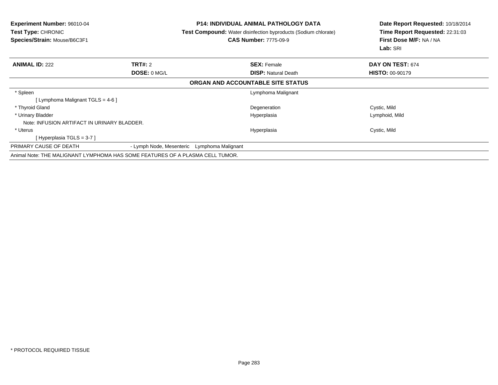| Experiment Number: 96010-04<br><b>Test Type: CHRONIC</b><br>Species/Strain: Mouse/B6C3F1 |                          |                    | <b>P14: INDIVIDUAL ANIMAL PATHOLOGY DATA</b><br><b>Test Compound:</b> Water disinfection byproducts (Sodium chlorate)<br><b>CAS Number: 7775-09-9</b> | Date Report Requested: 10/18/2014<br>Time Report Requested: 22:31:03<br>First Dose M/F: NA / NA<br>Lab: SRI |
|------------------------------------------------------------------------------------------|--------------------------|--------------------|-------------------------------------------------------------------------------------------------------------------------------------------------------|-------------------------------------------------------------------------------------------------------------|
| <b>ANIMAL ID: 222</b>                                                                    | <b>TRT#: 2</b>           |                    | <b>SEX: Female</b>                                                                                                                                    | DAY ON TEST: 674                                                                                            |
|                                                                                          | DOSE: 0 MG/L             |                    | <b>DISP: Natural Death</b>                                                                                                                            | <b>HISTO: 00-90179</b>                                                                                      |
|                                                                                          |                          |                    | ORGAN AND ACCOUNTABLE SITE STATUS                                                                                                                     |                                                                                                             |
| * Spleen                                                                                 |                          |                    | Lymphoma Malignant                                                                                                                                    |                                                                                                             |
| [Lymphoma Malignant TGLS = $4-6$ ]                                                       |                          |                    |                                                                                                                                                       |                                                                                                             |
| * Thyroid Gland                                                                          |                          |                    | Degeneration                                                                                                                                          | Cystic, Mild                                                                                                |
| * Urinary Bladder                                                                        |                          |                    | Hyperplasia                                                                                                                                           | Lymphoid, Mild                                                                                              |
| Note: INFUSION ARTIFACT IN URINARY BLADDER.                                              |                          |                    |                                                                                                                                                       |                                                                                                             |
| * Uterus                                                                                 |                          |                    | Hyperplasia                                                                                                                                           | Cystic, Mild                                                                                                |
| [Hyperplasia TGLS = $3-7$ ]                                                              |                          |                    |                                                                                                                                                       |                                                                                                             |
| PRIMARY CAUSE OF DEATH                                                                   | - Lymph Node, Mesenteric | Lymphoma Malignant |                                                                                                                                                       |                                                                                                             |
| Animal Note: THE MALIGNANT LYMPHOMA HAS SOME FEATURES OF A PLASMA CELL TUMOR.            |                          |                    |                                                                                                                                                       |                                                                                                             |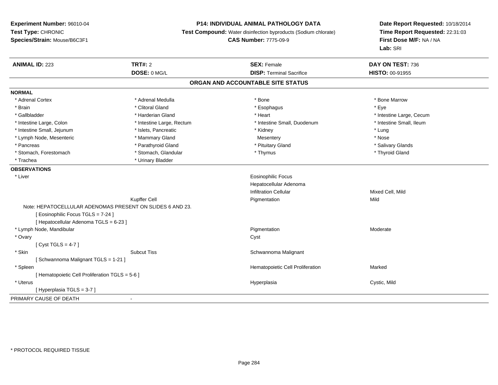# **P14: INDIVIDUAL ANIMAL PATHOLOGY DATA**

**Test Compound:** Water disinfection byproducts (Sodium chlorate)

**CAS Number:** 7775-09-9

| DOSE: 0 MG/L<br><b>DISP: Terminal Sacrifice</b><br><b>HISTO: 00-91955</b>                                        |  |
|------------------------------------------------------------------------------------------------------------------|--|
| ORGAN AND ACCOUNTABLE SITE STATUS                                                                                |  |
| <b>NORMAL</b>                                                                                                    |  |
| * Bone Marrow<br>* Adrenal Cortex<br>* Adrenal Medulla<br>* Bone                                                 |  |
| * Clitoral Gland<br>* Eye<br>* Brain<br>* Esophagus                                                              |  |
| * Gallbladder<br>* Heart<br>* Intestine Large, Cecum<br>* Harderian Gland                                        |  |
| * Intestine Large, Rectum<br>* Intestine Small, Duodenum<br>* Intestine Small, Ileum<br>* Intestine Large, Colon |  |
| * Intestine Small, Jejunum<br>* Islets, Pancreatic<br>* Lung<br>* Kidney                                         |  |
| * Lymph Node, Mesenteric<br>* Mammary Gland<br>* Nose<br>Mesentery                                               |  |
| * Parathyroid Gland<br>* Pancreas<br>* Pituitary Gland<br>* Salivary Glands                                      |  |
| * Stomach, Glandular<br>* Thyroid Gland<br>* Stomach, Forestomach<br>* Thymus                                    |  |
| * Urinary Bladder<br>* Trachea                                                                                   |  |
| <b>OBSERVATIONS</b>                                                                                              |  |
| <b>Eosinophilic Focus</b><br>* Liver                                                                             |  |
| Hepatocellular Adenoma                                                                                           |  |
| <b>Infiltration Cellular</b><br>Mixed Cell, Mild                                                                 |  |
| <b>Kupffer Cell</b><br>Mild<br>Pigmentation                                                                      |  |
| Note: HEPATOCELLULAR ADENOMAS PRESENT ON SLIDES 6 AND 23.                                                        |  |
| [ Eosinophilic Focus TGLS = 7-24 ]                                                                               |  |
| [ Hepatocellular Adenoma TGLS = 6-23 ]                                                                           |  |
| * Lymph Node, Mandibular<br>Pigmentation<br>Moderate                                                             |  |
| * Ovary<br>Cyst                                                                                                  |  |
| [Cyst TGLS = $4-7$ ]                                                                                             |  |
| * Skin<br><b>Subcut Tiss</b><br>Schwannoma Malignant                                                             |  |
| [Schwannoma Malignant TGLS = 1-21]                                                                               |  |
| * Spleen<br>Hematopoietic Cell Proliferation<br>Marked                                                           |  |
| [ Hematopoietic Cell Proliferation TGLS = 5-6 ]                                                                  |  |
| * Uterus<br>Cystic, Mild<br>Hyperplasia                                                                          |  |
| [Hyperplasia TGLS = 3-7]                                                                                         |  |
| PRIMARY CAUSE OF DEATH<br>$\blacksquare$                                                                         |  |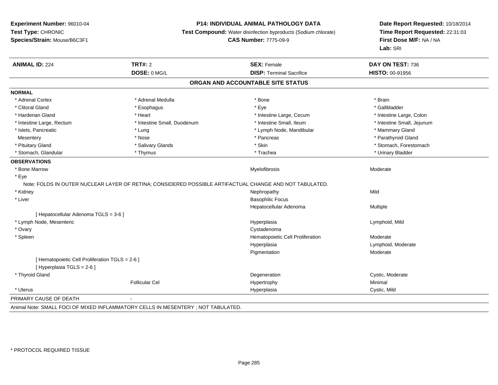### **P14: INDIVIDUAL ANIMAL PATHOLOGY DATA**

**Test Compound:** Water disinfection byproducts (Sodium chlorate)

**CAS Number:** 7775-09-9

**Date Report Requested:** 10/18/2014**Time Report Requested:** 22:31:03**First Dose M/F:** NA / NA**Lab:** SRI

| <b>ANIMAL ID: 224</b>                                                         | TRT#: 2                                                                                                 | <b>SEX: Female</b>                | DAY ON TEST: 736           |
|-------------------------------------------------------------------------------|---------------------------------------------------------------------------------------------------------|-----------------------------------|----------------------------|
|                                                                               | DOSE: 0 MG/L                                                                                            | <b>DISP: Terminal Sacrifice</b>   | <b>HISTO: 00-91956</b>     |
|                                                                               |                                                                                                         | ORGAN AND ACCOUNTABLE SITE STATUS |                            |
| <b>NORMAL</b>                                                                 |                                                                                                         |                                   |                            |
| * Adrenal Cortex                                                              | * Adrenal Medulla                                                                                       | * Bone                            | * Brain                    |
| * Clitoral Gland                                                              | * Esophagus                                                                                             | * Eye                             | * Gallbladder              |
| * Harderian Gland                                                             | * Heart                                                                                                 | * Intestine Large, Cecum          | * Intestine Large, Colon   |
| * Intestine Large, Rectum                                                     | * Intestine Small, Duodenum                                                                             | * Intestine Small, Ileum          | * Intestine Small, Jejunum |
| * Islets, Pancreatic                                                          | * Lung                                                                                                  | * Lymph Node, Mandibular          | * Mammary Gland            |
| Mesentery                                                                     | * Nose                                                                                                  | * Pancreas                        | * Parathyroid Gland        |
| * Pituitary Gland                                                             | * Salivary Glands                                                                                       | * Skin                            | * Stomach, Forestomach     |
| * Stomach, Glandular                                                          | * Thymus                                                                                                | * Trachea                         | * Urinary Bladder          |
| <b>OBSERVATIONS</b>                                                           |                                                                                                         |                                   |                            |
| * Bone Marrow                                                                 |                                                                                                         | Myelofibrosis                     | Moderate                   |
| * Eye                                                                         | Note: FOLDS IN OUTER NUCLEAR LAYER OF RETINA; CONSIDERED POSSIBLE ARTIFACTUAL CHANGE AND NOT TABULATED. |                                   |                            |
| * Kidney                                                                      |                                                                                                         | Nephropathy                       | Mild                       |
| * Liver                                                                       |                                                                                                         | <b>Basophilic Focus</b>           |                            |
|                                                                               |                                                                                                         | Hepatocellular Adenoma            | Multiple                   |
| [ Hepatocellular Adenoma TGLS = 3-6 ]                                         |                                                                                                         |                                   |                            |
| * Lymph Node, Mesenteric                                                      |                                                                                                         | Hyperplasia                       | Lymphoid, Mild             |
| * Ovary                                                                       |                                                                                                         | Cystadenoma                       |                            |
| * Spleen                                                                      |                                                                                                         | Hematopoietic Cell Proliferation  | Moderate                   |
|                                                                               |                                                                                                         | Hyperplasia                       | Lymphoid, Moderate         |
|                                                                               |                                                                                                         | Pigmentation                      | Moderate                   |
| [ Hematopoietic Cell Proliferation TGLS = 2-6 ]<br>[ Hyperplasia TGLS = 2-6 ] |                                                                                                         |                                   |                            |
| * Thyroid Gland                                                               |                                                                                                         | Degeneration                      | Cystic, Moderate           |
|                                                                               | <b>Follicular Cel</b>                                                                                   | Hypertrophy                       | Minimal                    |
| * Uterus                                                                      |                                                                                                         | Hyperplasia                       | Cystic, Mild               |
| PRIMARY CAUSE OF DEATH                                                        | $\sim$                                                                                                  |                                   |                            |

Animal Note: SMALL FOCI OF MIXED INFLAMMATORY CELLS IN MESENTERY ; NOT TABULATED.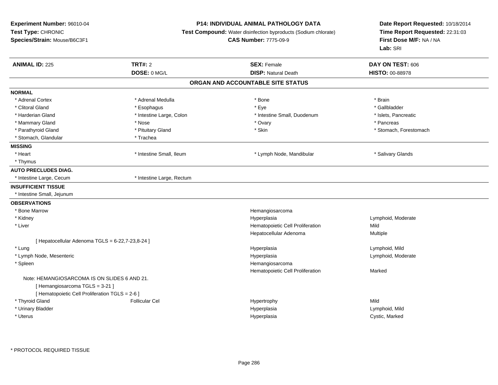**Experiment Number:** 96010-04**Test Type:** CHRONIC **Species/Strain:** Mouse/B6C3F1**P14: INDIVIDUAL ANIMAL PATHOLOGY DATA Test Compound:** Water disinfection byproducts (Sodium chlorate)**CAS Number:** 7775-09-9**Date Report Requested:** 10/18/2014**Time Report Requested:** 22:31:03**First Dose M/F:** NA / NA**Lab:** SRI**ANIMAL ID:** 225 **TRT#:** <sup>2</sup> **SEX:** Female **DAY ON TEST:** <sup>606</sup> **DOSE:** 0 MG/L **DISP:** Natural Death **HISTO:** 00-88978 **ORGAN AND ACCOUNTABLE SITE STATUSNORMAL**\* Adrenal Cortex \* Adrenal Medulla \* Adrenal Medulla \* Bone \* Brain \* Brain \* Brain \* Brain \* Brain \* Brain \* Brain \* Brain \* Brain \* Brain \* Brain \* Brain \* Brain \* Brain \* Brain \* Brain \* Brain \* Brain \* Brain \* Brain \* Brain \* Brain \* B \* Gallbladder \* Clitoral Gland \* Esophagus \* Eye \* Gallbladder\* Harderian Gland \* Thestine Large, Colon \* 1. Thestine Small, Duodenum \* Intestine Small, Duodenum \* Islets, Pancreatic \* Mammary Gland \* \* Andrew \* Nose \* \* Nose \* \* Ovary \* Ovary \* Ovary \* \* Ovary \* \* Pancreas \* \* Pancreas \* \* Pancreas \* \* Pancreas \* \* Pancreas \* \* Pancreas \* \* Pancreas \* \* Pancreas \* \* Pancreas \* \* Pancreas \* \* Pancreas \* Parathyroid Gland \* \* Pituitary Gland \* Pituitary Gland \* Skin \* Skin \* Stomach, Forestomach \* Stomach, Glandular \* Trachea **MISSING**\* Heart \* Intestine Small, Ileum \* The manuscription of the structure \* Lymph Node, Mandibular \* The manuscription \* Salivary Glands \* Thymus**AUTO PRECLUDES DIAG.**\* Intestine Large, Cecum \* 11testine Large, Rectum **INSUFFICIENT TISSUE** \* Intestine Small, Jejunum**OBSERVATIONS** \* Bone MarrowHemangiosarcoma<br>Hyperplasia \* Kidneyy and the settlement of the settlement of the settlement of the settlement of the settlement of the settlement of the settlement of the settlement of the settlement of the settlement of the settlement of the settlement of Lymphoid, Moderate<br>Mild \* Liver Hematopoietic Cell Proliferationn Mild Hepatocellular Adenoma Multiple  $[$  Hepatocellular Adenoma TGLS = 6-22,7-23,8-24  $]$  \* Lungg and the set of the set of the set of the Hyperplasia set of the set of the Lymphoid, Mild and the set of the set of the set of the set of the set of the set of the set of the set of the set of the set of the set of the s \* Lymph Node, Mesentericc in the contract of the contract of the contract of the contract of the contract of the contract of the contract of the contract of the contract of the contract of the contract of the contract of the contract of the contr Hyperplasia **Example 2018** Lymphoid, Moderate \* Spleen Hemangiosarcoma Hematopoietic Cell Proliferation Marked Note: HEMANGIOSARCOMA IS ON SLIDES 6 AND 21.[ Hemangiosarcoma TGLS = 3-21 ][ Hematopoietic Cell Proliferation TGLS = 2-6 ] \* Thyroid Gland Follicular Cel Hypertrophy Mild \* Urinary Bladderr and the contract of the contract of the contract of the contract of the contract of the contract of the contract of the contract of the contract of the contract of the contract of the contract of the contract of the cont Lymphoid, Mild \* Uteruss and the contract of the contract of the contract of the contract of the contract of the contract of the contract of the contract of the contract of the contract of the contract of the contract of the contract of the cont Hyperplasia **Cystic, Marked**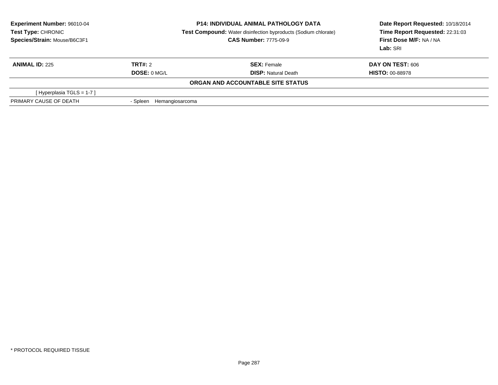| <b>Experiment Number: 96010-04</b><br>Test Type: CHRONIC<br>Species/Strain: Mouse/B6C3F1 |                             | <b>P14: INDIVIDUAL ANIMAL PATHOLOGY DATA</b><br><b>Test Compound:</b> Water disinfection byproducts (Sodium chlorate)<br><b>CAS Number: 7775-09-9</b> | Date Report Requested: 10/18/2014<br>Time Report Requested: 22:31:03<br>First Dose M/F: NA / NA<br>Lab: SRI |  |
|------------------------------------------------------------------------------------------|-----------------------------|-------------------------------------------------------------------------------------------------------------------------------------------------------|-------------------------------------------------------------------------------------------------------------|--|
| <b>ANIMAL ID: 225</b>                                                                    | TRT#: 2                     | <b>SEX:</b> Female                                                                                                                                    | <b>DAY ON TEST: 606</b>                                                                                     |  |
|                                                                                          | DOSE: 0 MG/L                | <b>DISP: Natural Death</b>                                                                                                                            | <b>HISTO: 00-88978</b>                                                                                      |  |
|                                                                                          |                             | ORGAN AND ACCOUNTABLE SITE STATUS                                                                                                                     |                                                                                                             |  |
| [Hyperplasia TGLS = 1-7]                                                                 |                             |                                                                                                                                                       |                                                                                                             |  |
| PRIMARY CAUSE OF DEATH                                                                   | Hemangiosarcoma<br>- Spleen |                                                                                                                                                       |                                                                                                             |  |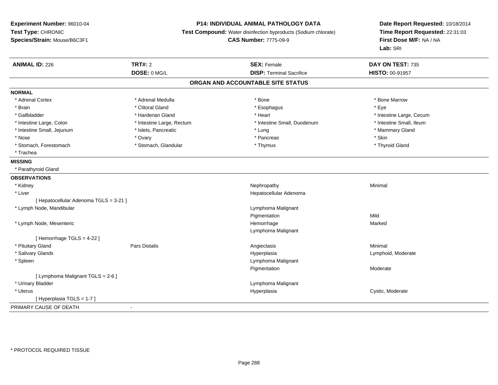# **P14: INDIVIDUAL ANIMAL PATHOLOGY DATA**

**Test Compound:** Water disinfection byproducts (Sodium chlorate)

**CAS Number:** 7775-09-9

| <b>ANIMAL ID: 226</b>                  | <b>TRT#: 2</b>            | <b>SEX: Female</b>                | DAY ON TEST: 735         |
|----------------------------------------|---------------------------|-----------------------------------|--------------------------|
|                                        | DOSE: 0 MG/L              | <b>DISP: Terminal Sacrifice</b>   | HISTO: 00-91957          |
|                                        |                           | ORGAN AND ACCOUNTABLE SITE STATUS |                          |
| <b>NORMAL</b>                          |                           |                                   |                          |
| * Adrenal Cortex                       | * Adrenal Medulla         | * Bone                            | * Bone Marrow            |
| * Brain                                | * Clitoral Gland          | * Esophagus                       | * Eye                    |
| * Gallbladder                          | * Harderian Gland         | * Heart                           | * Intestine Large, Cecum |
| * Intestine Large, Colon               | * Intestine Large, Rectum | * Intestine Small, Duodenum       | * Intestine Small, Ileum |
| * Intestine Small, Jejunum             | * Islets, Pancreatic      | * Lung                            | * Mammary Gland          |
| * Nose                                 | * Ovary                   | * Pancreas                        | * Skin                   |
| * Stomach, Forestomach                 | * Stomach, Glandular      | * Thymus                          | * Thyroid Gland          |
| * Trachea                              |                           |                                   |                          |
| <b>MISSING</b>                         |                           |                                   |                          |
| * Parathyroid Gland                    |                           |                                   |                          |
| <b>OBSERVATIONS</b>                    |                           |                                   |                          |
| * Kidney                               |                           | Nephropathy                       | Minimal                  |
| * Liver                                |                           | Hepatocellular Adenoma            |                          |
| [ Hepatocellular Adenoma TGLS = 3-21 ] |                           |                                   |                          |
| * Lymph Node, Mandibular               |                           | Lymphoma Malignant                |                          |
|                                        |                           | Pigmentation                      | Mild                     |
| * Lymph Node, Mesenteric               |                           | Hemorrhage                        | Marked                   |
|                                        |                           | Lymphoma Malignant                |                          |
| [Hemorrhage TGLS = $4-22$ ]            |                           |                                   |                          |
| * Pituitary Gland                      | Pars Distalis             | Angiectasis                       | Minimal                  |
| * Salivary Glands                      |                           | Hyperplasia                       | Lymphoid, Moderate       |
| * Spleen                               |                           | Lymphoma Malignant                |                          |
|                                        |                           | Pigmentation                      | Moderate                 |
| [ Lymphoma Malignant TGLS = 2-6 ]      |                           |                                   |                          |
| * Urinary Bladder                      |                           | Lymphoma Malignant                |                          |
| * Uterus                               |                           | Hyperplasia                       | Cystic, Moderate         |
| [Hyperplasia TGLS = 1-7]               |                           |                                   |                          |
| PRIMARY CAUSE OF DEATH                 |                           |                                   |                          |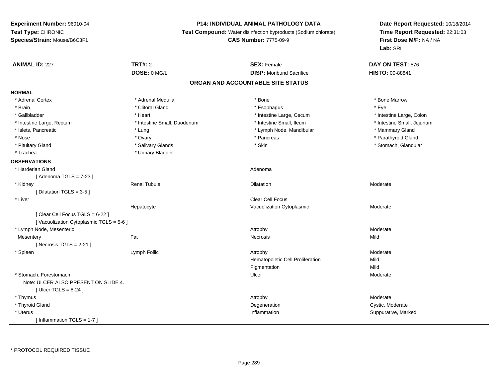### **P14: INDIVIDUAL ANIMAL PATHOLOGY DATA**

**Test Compound:** Water disinfection byproducts (Sodium chlorate)

**CAS Number:** 7775-09-9

| <b>ANIMAL ID: 227</b>                  | <b>TRT#: 2</b>              | <b>SEX: Female</b>                | DAY ON TEST: 576           |
|----------------------------------------|-----------------------------|-----------------------------------|----------------------------|
|                                        | DOSE: 0 MG/L                | <b>DISP:</b> Moribund Sacrifice   | HISTO: 00-88841            |
|                                        |                             | ORGAN AND ACCOUNTABLE SITE STATUS |                            |
| <b>NORMAL</b>                          |                             |                                   |                            |
| * Adrenal Cortex                       | * Adrenal Medulla           | * Bone                            | * Bone Marrow              |
| * Brain                                | * Clitoral Gland            | * Esophagus                       | * Eye                      |
| * Gallbladder                          | * Heart                     | * Intestine Large, Cecum          | * Intestine Large, Colon   |
| * Intestine Large, Rectum              | * Intestine Small, Duodenum | * Intestine Small, Ileum          | * Intestine Small, Jejunum |
| * Islets, Pancreatic                   | * Lung                      | * Lymph Node, Mandibular          | * Mammary Gland            |
| * Nose                                 | * Ovary                     | * Pancreas                        | * Parathyroid Gland        |
| * Pituitary Gland                      | * Salivary Glands           | * Skin                            | * Stomach, Glandular       |
| * Trachea                              | * Urinary Bladder           |                                   |                            |
| <b>OBSERVATIONS</b>                    |                             |                                   |                            |
| * Harderian Gland                      |                             | Adenoma                           |                            |
| [Adenoma TGLS = $7-23$ ]               |                             |                                   |                            |
| * Kidney                               | <b>Renal Tubule</b>         | Dilatation                        | Moderate                   |
| [ Dilatation TGLS = $3-5$ ]            |                             |                                   |                            |
| * Liver                                |                             | <b>Clear Cell Focus</b>           |                            |
|                                        | Hepatocyte                  | Vacuolization Cytoplasmic         | Moderate                   |
| [Clear Cell Focus TGLS = 6-22]         |                             |                                   |                            |
| [Vacuolization Cytoplasmic TGLS = 5-6] |                             |                                   |                            |
| * Lymph Node, Mesenteric               |                             | Atrophy                           | Moderate                   |
| Mesentery                              | Fat                         | Necrosis                          | Mild                       |
| [Necrosis $TGLS = 2-21$ ]              |                             |                                   |                            |
| * Spleen                               | Lymph Follic                | Atrophy                           | Moderate                   |
|                                        |                             | Hematopoietic Cell Proliferation  | Mild                       |
|                                        |                             | Pigmentation                      | Mild                       |
| * Stomach, Forestomach                 |                             | Ulcer                             | Moderate                   |
| Note: ULCER ALSO PRESENT ON SLIDE 4.   |                             |                                   |                            |
| [Ulcer TGLS = $8-24$ ]                 |                             |                                   |                            |
| * Thymus                               |                             | Atrophy                           | Moderate                   |
| * Thyroid Gland                        |                             | Degeneration                      | Cystic, Moderate           |
| * Uterus                               |                             | Inflammation                      | Suppurative, Marked        |
| [Inflammation TGLS = 1-7]              |                             |                                   |                            |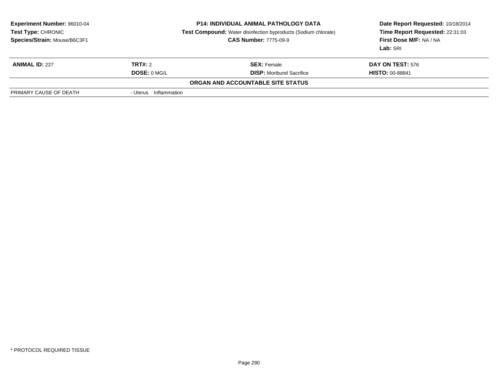| <b>Experiment Number: 96010-04</b><br>Test Type: CHRONIC<br>Species/Strain: Mouse/B6C3F1 |                          | <b>P14: INDIVIDUAL ANIMAL PATHOLOGY DATA</b><br>Test Compound: Water disinfection byproducts (Sodium chlorate)<br><b>CAS Number: 7775-09-9</b> | Date Report Requested: 10/18/2014<br>Time Report Requested: 22:31:03<br>First Dose M/F: NA / NA<br>Lab: SRI |  |
|------------------------------------------------------------------------------------------|--------------------------|------------------------------------------------------------------------------------------------------------------------------------------------|-------------------------------------------------------------------------------------------------------------|--|
| <b>ANIMAL ID: 227</b>                                                                    | TRT#: 2                  | <b>SEX: Female</b>                                                                                                                             | DAY ON TEST: 576                                                                                            |  |
|                                                                                          | DOSE: 0 MG/L             | <b>DISP:</b> Moribund Sacrifice                                                                                                                | <b>HISTO: 00-88841</b>                                                                                      |  |
|                                                                                          |                          | ORGAN AND ACCOUNTABLE SITE STATUS                                                                                                              |                                                                                                             |  |
| PRIMARY CAUSE OF DEATH                                                                   | Inflammation<br>- Uterus |                                                                                                                                                |                                                                                                             |  |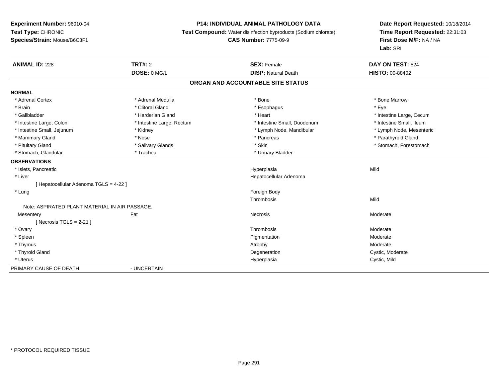### **P14: INDIVIDUAL ANIMAL PATHOLOGY DATA**

**Test Compound:** Water disinfection byproducts (Sodium chlorate)

### **CAS Number:** 7775-09-9

| <b>ANIMAL ID: 228</b>                          | <b>TRT#: 2</b>            | <b>SEX: Female</b>                | DAY ON TEST: 524         |
|------------------------------------------------|---------------------------|-----------------------------------|--------------------------|
|                                                | DOSE: 0 MG/L              | <b>DISP: Natural Death</b>        | <b>HISTO: 00-88402</b>   |
|                                                |                           | ORGAN AND ACCOUNTABLE SITE STATUS |                          |
| <b>NORMAL</b>                                  |                           |                                   |                          |
| * Adrenal Cortex                               | * Adrenal Medulla         | * Bone                            | * Bone Marrow            |
| * Brain                                        | * Clitoral Gland          | * Esophagus                       | * Eve                    |
| * Gallbladder                                  | * Harderian Gland         | * Heart                           | * Intestine Large, Cecum |
| * Intestine Large, Colon                       | * Intestine Large, Rectum | * Intestine Small, Duodenum       | * Intestine Small, Ileum |
| * Intestine Small, Jejunum                     | * Kidney                  | * Lymph Node, Mandibular          | * Lymph Node, Mesenteric |
| * Mammary Gland                                | * Nose                    | * Pancreas                        | * Parathyroid Gland      |
| * Pituitary Gland                              | * Salivary Glands         | * Skin                            | * Stomach, Forestomach   |
| * Stomach, Glandular                           | * Trachea                 | * Urinary Bladder                 |                          |
| <b>OBSERVATIONS</b>                            |                           |                                   |                          |
| * Islets, Pancreatic                           |                           | Hyperplasia                       | Mild                     |
| * Liver                                        |                           | Hepatocellular Adenoma            |                          |
| [ Hepatocellular Adenoma TGLS = 4-22 ]         |                           |                                   |                          |
| * Lung                                         |                           | Foreign Body                      |                          |
|                                                |                           | Thrombosis                        | Mild                     |
| Note: ASPIRATED PLANT MATERIAL IN AIR PASSAGE. |                           |                                   |                          |
| Mesentery                                      | Fat                       | Necrosis                          | Moderate                 |
| [Necrosis TGLS = $2-21$ ]                      |                           |                                   |                          |
| * Ovary                                        |                           | Thrombosis                        | Moderate                 |
| * Spleen                                       |                           | Pigmentation                      | Moderate                 |
| * Thymus                                       |                           | Atrophy                           | Moderate                 |
| * Thyroid Gland                                |                           | Degeneration                      | Cystic, Moderate         |
| * Uterus                                       |                           | Hyperplasia                       | Cystic, Mild             |
| PRIMARY CAUSE OF DEATH                         | - UNCERTAIN               |                                   |                          |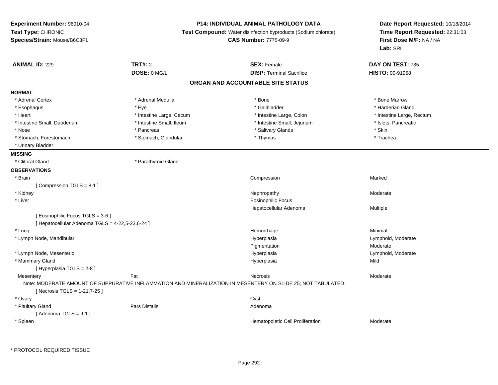### **P14: INDIVIDUAL ANIMAL PATHOLOGY DATA**

**Test Compound:** Water disinfection byproducts (Sodium chlorate)

**CAS Number:** 7775-09-9

| <b>ANIMAL ID: 229</b>                            | <b>TRT#: 2</b>           | <b>SEX: Female</b>                                                                                            | DAY ON TEST: 735          |  |
|--------------------------------------------------|--------------------------|---------------------------------------------------------------------------------------------------------------|---------------------------|--|
|                                                  | DOSE: 0 MG/L             | <b>DISP: Terminal Sacrifice</b>                                                                               | HISTO: 00-91958           |  |
|                                                  |                          | ORGAN AND ACCOUNTABLE SITE STATUS                                                                             |                           |  |
| <b>NORMAL</b>                                    |                          |                                                                                                               |                           |  |
| * Adrenal Cortex                                 | * Adrenal Medulla        | * Bone                                                                                                        | * Bone Marrow             |  |
| * Esophagus                                      | * Eye                    | * Gallbladder                                                                                                 | * Harderian Gland         |  |
| * Heart                                          | * Intestine Large, Cecum | * Intestine Large, Colon                                                                                      | * Intestine Large, Rectum |  |
| * Intestine Small, Duodenum                      | * Intestine Small, Ileum | * Intestine Small, Jejunum                                                                                    | * Islets, Pancreatic      |  |
| * Nose                                           | * Pancreas               | * Salivary Glands                                                                                             | * Skin                    |  |
| * Stomach, Forestomach                           | * Stomach, Glandular     | * Thymus                                                                                                      | * Trachea                 |  |
| * Urinary Bladder                                |                          |                                                                                                               |                           |  |
| <b>MISSING</b>                                   |                          |                                                                                                               |                           |  |
| * Clitoral Gland                                 | * Parathyroid Gland      |                                                                                                               |                           |  |
| <b>OBSERVATIONS</b>                              |                          |                                                                                                               |                           |  |
| * Brain                                          |                          | Compression                                                                                                   | Marked                    |  |
| [Compression TGLS = 8-1]                         |                          |                                                                                                               |                           |  |
| * Kidney                                         |                          | Nephropathy                                                                                                   | Moderate                  |  |
| * Liver                                          |                          | <b>Eosinophilic Focus</b>                                                                                     |                           |  |
|                                                  |                          | Hepatocellular Adenoma                                                                                        | Multiple                  |  |
| [Eosinophilic Focus TGLS = 3-6]                  |                          |                                                                                                               |                           |  |
| [ Hepatocellular Adenoma TGLS = 4-22,5-23,6-24 ] |                          |                                                                                                               |                           |  |
| * Lung                                           |                          | Hemorrhage                                                                                                    | Minimal                   |  |
| * Lymph Node, Mandibular                         |                          | Hyperplasia                                                                                                   | Lymphoid, Moderate        |  |
|                                                  |                          | Pigmentation                                                                                                  | Moderate                  |  |
| * Lymph Node, Mesenteric                         |                          | Hyperplasia                                                                                                   | Lymphoid, Moderate        |  |
| * Mammary Gland                                  |                          | Hyperplasia                                                                                                   | Mild                      |  |
| [ Hyperplasia TGLS = 2-8 ]                       |                          |                                                                                                               |                           |  |
| Mesentery                                        | Fat                      | Necrosis                                                                                                      | Moderate                  |  |
| [ Necrosis TGLS = 1-21,7-25 ]                    |                          | Note: MODERATE AMOUNT OF SUPPURATIVE INFLAMMATION AND MINERALIZATION IN MESENTERY ON SLIDE 25; NOT TABULATED. |                           |  |
| * Ovary                                          |                          | Cyst                                                                                                          |                           |  |
| * Pituitary Gland                                | <b>Pars Distalis</b>     | Adenoma                                                                                                       |                           |  |
| [Adenoma TGLS = $9-1$ ]                          |                          |                                                                                                               |                           |  |
| * Spleen                                         |                          | Hematopoietic Cell Proliferation                                                                              | Moderate                  |  |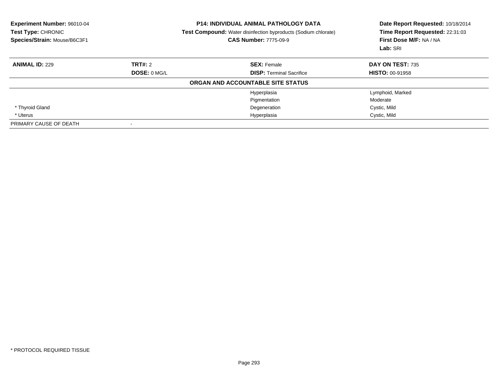| <b>Experiment Number: 96010-04</b><br>Test Type: CHRONIC<br>Species/Strain: Mouse/B6C3F1 |                | <b>P14: INDIVIDUAL ANIMAL PATHOLOGY DATA</b><br><b>Test Compound:</b> Water disinfection byproducts (Sodium chlorate)<br><b>CAS Number: 7775-09-9</b> | Date Report Requested: 10/18/2014<br>Time Report Requested: 22:31:03<br>First Dose M/F: NA / NA<br>Lab: SRI |
|------------------------------------------------------------------------------------------|----------------|-------------------------------------------------------------------------------------------------------------------------------------------------------|-------------------------------------------------------------------------------------------------------------|
| <b>ANIMAL ID: 229</b>                                                                    | <b>TRT#:</b> 2 | <b>SEX: Female</b>                                                                                                                                    | DAY ON TEST: 735                                                                                            |
|                                                                                          | DOSE: 0 MG/L   | <b>DISP:</b> Terminal Sacrifice                                                                                                                       | <b>HISTO: 00-91958</b>                                                                                      |
|                                                                                          |                | ORGAN AND ACCOUNTABLE SITE STATUS                                                                                                                     |                                                                                                             |
|                                                                                          |                | Hyperplasia                                                                                                                                           | Lymphoid, Marked                                                                                            |
|                                                                                          |                | Pigmentation                                                                                                                                          | Moderate                                                                                                    |
| * Thyroid Gland                                                                          |                | Degeneration                                                                                                                                          | Cystic, Mild                                                                                                |
| * Uterus                                                                                 |                | Hyperplasia                                                                                                                                           | Cystic, Mild                                                                                                |
| PRIMARY CAUSE OF DEATH                                                                   |                |                                                                                                                                                       |                                                                                                             |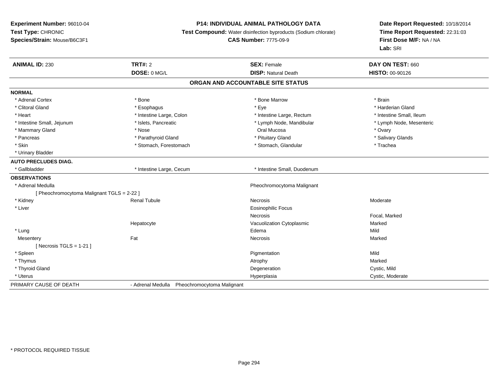### **P14: INDIVIDUAL ANIMAL PATHOLOGY DATA**

**Test Compound:** Water disinfection byproducts (Sodium chlorate)

**CAS Number:** 7775-09-9

| <b>ANIMAL ID: 230</b>                      | <b>TRT#: 2</b><br>DOSE: 0 MG/L               | <b>SEX: Female</b><br><b>DISP: Natural Death</b> | DAY ON TEST: 660<br>HISTO: 00-90126 |
|--------------------------------------------|----------------------------------------------|--------------------------------------------------|-------------------------------------|
|                                            |                                              |                                                  |                                     |
|                                            |                                              | ORGAN AND ACCOUNTABLE SITE STATUS                |                                     |
| <b>NORMAL</b>                              |                                              |                                                  |                                     |
| * Adrenal Cortex                           | * Bone                                       | * Bone Marrow                                    | * Brain                             |
| * Clitoral Gland                           | * Esophagus                                  | * Eye                                            | * Harderian Gland                   |
| * Heart                                    | * Intestine Large, Colon                     | * Intestine Large, Rectum                        | * Intestine Small, Ileum            |
| * Intestine Small, Jejunum                 | * Islets, Pancreatic                         | * Lymph Node, Mandibular                         | * Lymph Node, Mesenteric            |
| * Mammary Gland                            | * Nose                                       | Oral Mucosa                                      | * Ovary                             |
| * Pancreas                                 | * Parathyroid Gland                          | * Pituitary Gland                                | * Salivary Glands                   |
| * Skin                                     | * Stomach, Forestomach                       | * Stomach, Glandular                             | * Trachea                           |
| * Urinary Bladder                          |                                              |                                                  |                                     |
| <b>AUTO PRECLUDES DIAG.</b>                |                                              |                                                  |                                     |
| * Gallbladder                              | * Intestine Large, Cecum                     | * Intestine Small, Duodenum                      |                                     |
| <b>OBSERVATIONS</b>                        |                                              |                                                  |                                     |
| * Adrenal Medulla                          |                                              | Pheochromocytoma Malignant                       |                                     |
| [ Pheochromocytoma Malignant TGLS = 2-22 ] |                                              |                                                  |                                     |
| * Kidney                                   | <b>Renal Tubule</b>                          | <b>Necrosis</b>                                  | Moderate                            |
| * Liver                                    |                                              | <b>Eosinophilic Focus</b>                        |                                     |
|                                            |                                              | <b>Necrosis</b>                                  | Focal, Marked                       |
|                                            | Hepatocyte                                   | Vacuolization Cytoplasmic                        | Marked                              |
| * Lung                                     |                                              | Edema                                            | Mild                                |
| Mesentery                                  | Fat                                          | Necrosis                                         | Marked                              |
| [ Necrosis $TGLS = 1-21$ ]                 |                                              |                                                  |                                     |
| * Spleen                                   |                                              | Pigmentation                                     | Mild                                |
| * Thymus                                   |                                              | Atrophy                                          | Marked                              |
| * Thyroid Gland                            |                                              | Degeneration                                     | Cystic, Mild                        |
| * Uterus                                   |                                              | Hyperplasia                                      | Cystic, Moderate                    |
| PRIMARY CAUSE OF DEATH                     | - Adrenal Medulla Pheochromocytoma Malignant |                                                  |                                     |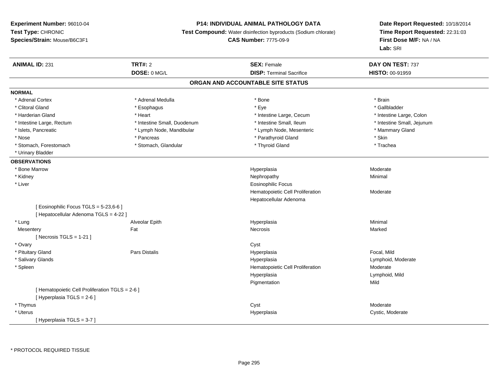### **P14: INDIVIDUAL ANIMAL PATHOLOGY DATA**

**Test Compound:** Water disinfection byproducts (Sodium chlorate)

**CAS Number:** 7775-09-9

| <b>ANIMAL ID: 231</b>                           | <b>TRT#: 2</b>              | <b>SEX: Female</b>                | DAY ON TEST: 737           |  |
|-------------------------------------------------|-----------------------------|-----------------------------------|----------------------------|--|
|                                                 | DOSE: 0 MG/L                | <b>DISP: Terminal Sacrifice</b>   | HISTO: 00-91959            |  |
|                                                 |                             | ORGAN AND ACCOUNTABLE SITE STATUS |                            |  |
| <b>NORMAL</b>                                   |                             |                                   |                            |  |
| * Adrenal Cortex                                | * Adrenal Medulla           | * Bone                            | * Brain                    |  |
| * Clitoral Gland                                | * Esophagus                 | * Eye                             | * Gallbladder              |  |
| * Harderian Gland                               | * Heart                     | * Intestine Large, Cecum          | * Intestine Large, Colon   |  |
| * Intestine Large, Rectum                       | * Intestine Small, Duodenum | * Intestine Small, Ileum          | * Intestine Small, Jejunum |  |
| * Islets, Pancreatic                            | * Lymph Node, Mandibular    | * Lymph Node, Mesenteric          | * Mammary Gland            |  |
| * Nose                                          | * Pancreas                  | * Parathyroid Gland               | * Skin                     |  |
| * Stomach, Forestomach                          | * Stomach, Glandular        | * Thyroid Gland                   | * Trachea                  |  |
| * Urinary Bladder                               |                             |                                   |                            |  |
| <b>OBSERVATIONS</b>                             |                             |                                   |                            |  |
| * Bone Marrow                                   |                             | Hyperplasia                       | Moderate                   |  |
| * Kidney                                        |                             | Nephropathy                       | Minimal                    |  |
| * Liver                                         |                             | <b>Eosinophilic Focus</b>         |                            |  |
|                                                 |                             | Hematopoietic Cell Proliferation  | Moderate                   |  |
|                                                 |                             | Hepatocellular Adenoma            |                            |  |
| [ Eosinophilic Focus TGLS = 5-23,6-6 ]          |                             |                                   |                            |  |
| [ Hepatocellular Adenoma TGLS = 4-22 ]          |                             |                                   |                            |  |
| * Lung                                          | Alveolar Epith              | Hyperplasia                       | Minimal                    |  |
| Mesentery                                       | Fat                         | Necrosis                          | Marked                     |  |
| [ Necrosis TGLS = $1-21$ ]                      |                             |                                   |                            |  |
| * Ovary                                         |                             | Cyst                              |                            |  |
| * Pituitary Gland                               | <b>Pars Distalis</b>        | Hyperplasia                       | Focal, Mild                |  |
| * Salivary Glands                               |                             | Hyperplasia                       | Lymphoid, Moderate         |  |
| * Spleen                                        |                             | Hematopoietic Cell Proliferation  | Moderate                   |  |
|                                                 |                             | Hyperplasia                       | Lymphoid, Mild             |  |
|                                                 |                             | Pigmentation                      | Mild                       |  |
| [ Hematopoietic Cell Proliferation TGLS = 2-6 ] |                             |                                   |                            |  |
| [ Hyperplasia TGLS = 2-6 ]                      |                             |                                   |                            |  |
| * Thymus                                        |                             | Cyst                              | Moderate                   |  |
| * Uterus                                        |                             | Hyperplasia                       | Cystic, Moderate           |  |
| [Hyperplasia TGLS = 3-7]                        |                             |                                   |                            |  |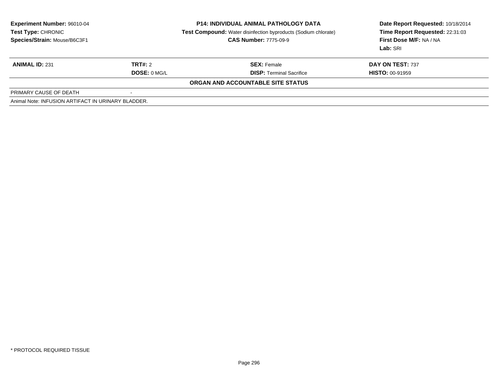| <b>Experiment Number: 96010-04</b><br>Test Type: CHRONIC<br>Species/Strain: Mouse/B6C3F1 |                         | <b>P14: INDIVIDUAL ANIMAL PATHOLOGY DATA</b><br><b>Test Compound:</b> Water disinfection byproducts (Sodium chlorate)<br><b>CAS Number: 7775-09-9</b> | Date Report Requested: 10/18/2014<br>Time Report Requested: 22:31:03<br>First Dose M/F: NA / NA<br>Lab: SRI |
|------------------------------------------------------------------------------------------|-------------------------|-------------------------------------------------------------------------------------------------------------------------------------------------------|-------------------------------------------------------------------------------------------------------------|
| <b>ANIMAL ID: 231</b>                                                                    | TRT#: 2<br>DOSE: 0 MG/L | <b>SEX:</b> Female<br><b>DISP:</b> Terminal Sacrifice                                                                                                 | DAY ON TEST: 737<br><b>HISTO: 00-91959</b>                                                                  |
|                                                                                          |                         | ORGAN AND ACCOUNTABLE SITE STATUS                                                                                                                     |                                                                                                             |
| PRIMARY CAUSE OF DEATH                                                                   |                         |                                                                                                                                                       |                                                                                                             |
| Animal Note: INFUSION ARTIFACT IN URINARY BLADDER.                                       |                         |                                                                                                                                                       |                                                                                                             |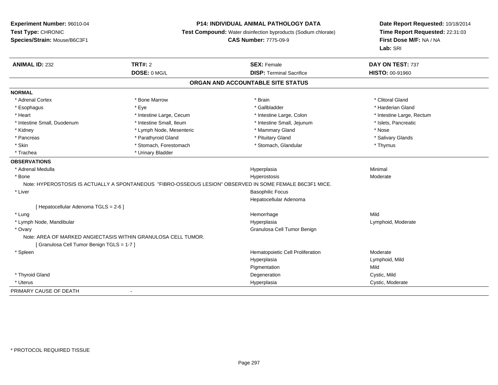### **P14: INDIVIDUAL ANIMAL PATHOLOGY DATA**

**Test Compound:** Water disinfection byproducts (Sodium chlorate)

**CAS Number:** 7775-09-9

| <b>ANIMAL ID: 232</b>                                         | <b>TRT#: 2</b>           | <b>SEX: Female</b>                                                                                       | DAY ON TEST: 737          |  |
|---------------------------------------------------------------|--------------------------|----------------------------------------------------------------------------------------------------------|---------------------------|--|
|                                                               | DOSE: 0 MG/L             | <b>DISP: Terminal Sacrifice</b>                                                                          | <b>HISTO: 00-91960</b>    |  |
|                                                               |                          | ORGAN AND ACCOUNTABLE SITE STATUS                                                                        |                           |  |
| <b>NORMAL</b>                                                 |                          |                                                                                                          |                           |  |
| * Adrenal Cortex                                              | * Bone Marrow            | * Brain                                                                                                  | * Clitoral Gland          |  |
| * Esophagus                                                   | * Eye                    | * Gallbladder                                                                                            | * Harderian Gland         |  |
| * Heart                                                       | * Intestine Large, Cecum | * Intestine Large, Colon                                                                                 | * Intestine Large, Rectum |  |
| * Intestine Small, Duodenum                                   | * Intestine Small, Ileum | * Intestine Small, Jejunum                                                                               | * Islets, Pancreatic      |  |
| * Kidney                                                      | * Lymph Node, Mesenteric | * Mammary Gland                                                                                          | * Nose                    |  |
| * Pancreas                                                    | * Parathyroid Gland      | * Pituitary Gland                                                                                        | * Salivary Glands         |  |
| * Skin                                                        | * Stomach, Forestomach   | * Stomach, Glandular                                                                                     | * Thymus                  |  |
| * Trachea                                                     | * Urinary Bladder        |                                                                                                          |                           |  |
| <b>OBSERVATIONS</b>                                           |                          |                                                                                                          |                           |  |
| * Adrenal Medulla                                             |                          | Hyperplasia                                                                                              | Minimal                   |  |
| * Bone                                                        |                          | Hyperostosis                                                                                             | Moderate                  |  |
|                                                               |                          | Note: HYPEROSTOSIS IS ACTUALLY A SPONTANEOUS "FIBRO-OSSEOUS LESION" OBSERVED IN SOME FEMALE B6C3F1 MICE. |                           |  |
| * Liver                                                       |                          | <b>Basophilic Focus</b>                                                                                  |                           |  |
|                                                               |                          | Hepatocellular Adenoma                                                                                   |                           |  |
| [ Hepatocellular Adenoma TGLS = 2-6 ]                         |                          |                                                                                                          |                           |  |
| * Lung                                                        |                          | Hemorrhage                                                                                               | Mild                      |  |
| * Lymph Node, Mandibular                                      |                          | Hyperplasia                                                                                              | Lymphoid, Moderate        |  |
| * Ovary                                                       |                          | Granulosa Cell Tumor Benign                                                                              |                           |  |
| Note: AREA OF MARKED ANGIECTASIS WITHIN GRANULOSA CELL TUMOR. |                          |                                                                                                          |                           |  |
| [Granulosa Cell Tumor Benign TGLS = 1-7]                      |                          |                                                                                                          |                           |  |
| * Spleen                                                      |                          | Hematopoietic Cell Proliferation                                                                         | Moderate                  |  |
|                                                               |                          | Hyperplasia                                                                                              | Lymphoid, Mild            |  |
|                                                               |                          | Pigmentation                                                                                             | Mild                      |  |
| * Thyroid Gland                                               |                          | Degeneration                                                                                             | Cystic, Mild              |  |
| * Uterus                                                      |                          | Hyperplasia                                                                                              | Cystic, Moderate          |  |
| PRIMARY CAUSE OF DEATH                                        |                          |                                                                                                          |                           |  |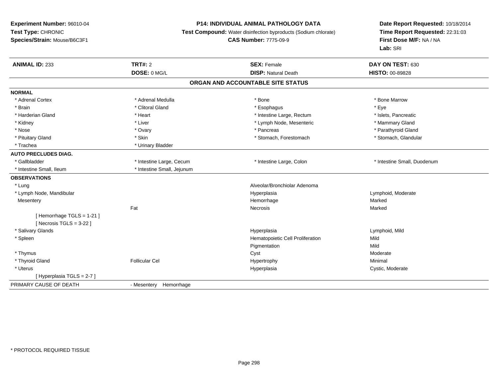#### **P14: INDIVIDUAL ANIMAL PATHOLOGY DATA**

**Test Compound:** Water disinfection byproducts (Sodium chlorate)

#### **CAS Number:** 7775-09-9

| <b>ANIMAL ID: 233</b>       | <b>TRT#: 2</b>             | <b>SEX: Female</b>                | DAY ON TEST: 630            |  |
|-----------------------------|----------------------------|-----------------------------------|-----------------------------|--|
|                             | DOSE: 0 MG/L               | <b>DISP: Natural Death</b>        | HISTO: 00-89828             |  |
|                             |                            | ORGAN AND ACCOUNTABLE SITE STATUS |                             |  |
| <b>NORMAL</b>               |                            |                                   |                             |  |
| * Adrenal Cortex            | * Adrenal Medulla          | * Bone                            | * Bone Marrow               |  |
| * Brain                     | * Clitoral Gland           | * Esophagus                       | * Eye                       |  |
| * Harderian Gland           | * Heart                    | * Intestine Large, Rectum         | * Islets, Pancreatic        |  |
| * Kidney                    | * Liver                    | * Lymph Node, Mesenteric          | * Mammary Gland             |  |
| * Nose                      | * Ovary                    | * Pancreas                        | * Parathyroid Gland         |  |
| * Pituitary Gland           | * Skin                     | * Stomach, Forestomach            | * Stomach, Glandular        |  |
| * Trachea                   | * Urinary Bladder          |                                   |                             |  |
| <b>AUTO PRECLUDES DIAG.</b> |                            |                                   |                             |  |
| * Gallbladder               | * Intestine Large, Cecum   | * Intestine Large, Colon          | * Intestine Small, Duodenum |  |
| * Intestine Small, Ileum    | * Intestine Small, Jejunum |                                   |                             |  |
| <b>OBSERVATIONS</b>         |                            |                                   |                             |  |
| * Lung                      |                            | Alveolar/Bronchiolar Adenoma      |                             |  |
| * Lymph Node, Mandibular    |                            | Hyperplasia                       | Lymphoid, Moderate          |  |
| Mesentery                   |                            | Hemorrhage                        | Marked                      |  |
|                             | Fat                        | <b>Necrosis</b>                   | Marked                      |  |
| [Hemorrhage TGLS = 1-21]    |                            |                                   |                             |  |
| [ Necrosis TGLS = $3-22$ ]  |                            |                                   |                             |  |
| * Salivary Glands           |                            | Hyperplasia                       | Lymphoid, Mild              |  |
| * Spleen                    |                            | Hematopoietic Cell Proliferation  | Mild                        |  |
|                             |                            | Pigmentation                      | Mild                        |  |
| * Thymus                    |                            | Cyst                              | Moderate                    |  |
| * Thyroid Gland             | <b>Follicular Cel</b>      | Hypertrophy                       | Minimal                     |  |
| * Uterus                    |                            | Hyperplasia                       | Cystic, Moderate            |  |
| [Hyperplasia TGLS = 2-7]    |                            |                                   |                             |  |
| PRIMARY CAUSE OF DEATH      | - Mesentery Hemorrhage     |                                   |                             |  |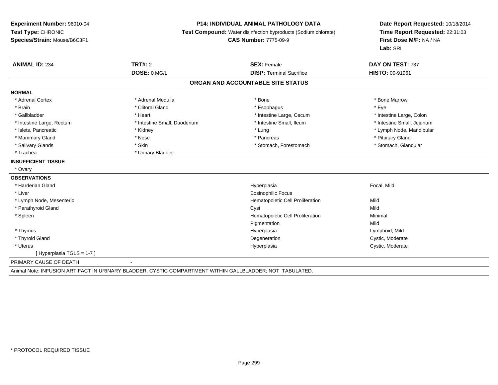### **P14: INDIVIDUAL ANIMAL PATHOLOGY DATA**

**Test Compound:** Water disinfection byproducts (Sodium chlorate)

**CAS Number:** 7775-09-9

| <b>ANIMAL ID: 234</b>             | <b>TRT#: 2</b>                                                                                           | <b>SEX: Female</b>               | DAY ON TEST: 737           |  |  |  |
|-----------------------------------|----------------------------------------------------------------------------------------------------------|----------------------------------|----------------------------|--|--|--|
|                                   | DOSE: 0 MG/L                                                                                             | <b>DISP: Terminal Sacrifice</b>  | <b>HISTO: 00-91961</b>     |  |  |  |
| ORGAN AND ACCOUNTABLE SITE STATUS |                                                                                                          |                                  |                            |  |  |  |
| <b>NORMAL</b>                     |                                                                                                          |                                  |                            |  |  |  |
| * Adrenal Cortex                  | * Adrenal Medulla                                                                                        | * Bone                           | * Bone Marrow              |  |  |  |
| * Brain                           | * Clitoral Gland                                                                                         | * Esophagus                      | * Eye                      |  |  |  |
| * Gallbladder                     | * Heart                                                                                                  | * Intestine Large, Cecum         | * Intestine Large, Colon   |  |  |  |
| * Intestine Large, Rectum         | * Intestine Small, Duodenum                                                                              | * Intestine Small, Ileum         | * Intestine Small, Jejunum |  |  |  |
| * Islets, Pancreatic              | * Kidney                                                                                                 | * Lung                           | * Lymph Node, Mandibular   |  |  |  |
| * Mammary Gland                   | * Nose                                                                                                   | * Pancreas                       | * Pituitary Gland          |  |  |  |
| * Salivary Glands                 | * Skin                                                                                                   | * Stomach, Forestomach           | * Stomach, Glandular       |  |  |  |
| * Trachea                         | * Urinary Bladder                                                                                        |                                  |                            |  |  |  |
| <b>INSUFFICIENT TISSUE</b>        |                                                                                                          |                                  |                            |  |  |  |
| * Ovary                           |                                                                                                          |                                  |                            |  |  |  |
| <b>OBSERVATIONS</b>               |                                                                                                          |                                  |                            |  |  |  |
| * Harderian Gland                 |                                                                                                          | Hyperplasia                      | Focal, Mild                |  |  |  |
| * Liver                           |                                                                                                          | <b>Eosinophilic Focus</b>        |                            |  |  |  |
| * Lymph Node, Mesenteric          |                                                                                                          | Hematopoietic Cell Proliferation | Mild                       |  |  |  |
| * Parathyroid Gland               |                                                                                                          | Cyst                             | Mild                       |  |  |  |
| * Spleen                          |                                                                                                          | Hematopoietic Cell Proliferation | Minimal                    |  |  |  |
|                                   |                                                                                                          | Pigmentation                     | Mild                       |  |  |  |
| * Thymus                          |                                                                                                          | Hyperplasia                      | Lymphoid, Mild             |  |  |  |
| * Thyroid Gland                   |                                                                                                          | Degeneration                     | Cystic, Moderate           |  |  |  |
| * Uterus                          |                                                                                                          | Hyperplasia                      | Cystic, Moderate           |  |  |  |
| [Hyperplasia TGLS = 1-7]          |                                                                                                          |                                  |                            |  |  |  |
| PRIMARY CAUSE OF DEATH            |                                                                                                          |                                  |                            |  |  |  |
|                                   | Animal Note: INFUSION ARTIFACT IN URINARY BLADDER. CYSTIC COMPARTMENT WITHIN GALLBLADDER; NOT TABULATED. |                                  |                            |  |  |  |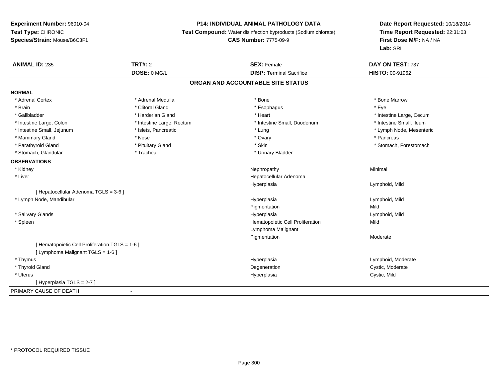### **P14: INDIVIDUAL ANIMAL PATHOLOGY DATA**

**Test Compound:** Water disinfection byproducts (Sodium chlorate)

**CAS Number:** 7775-09-9

| <b>ANIMAL ID: 235</b>                           | <b>TRT#: 2</b>            | <b>SEX: Female</b>                | DAY ON TEST: 737         |
|-------------------------------------------------|---------------------------|-----------------------------------|--------------------------|
|                                                 | DOSE: 0 MG/L              | <b>DISP: Terminal Sacrifice</b>   | HISTO: 00-91962          |
|                                                 |                           | ORGAN AND ACCOUNTABLE SITE STATUS |                          |
| <b>NORMAL</b>                                   |                           |                                   |                          |
| * Adrenal Cortex                                | * Adrenal Medulla         | * Bone                            | * Bone Marrow            |
| * Brain                                         | * Clitoral Gland          | * Esophagus                       | * Eve                    |
| * Gallbladder                                   | * Harderian Gland         | * Heart                           | * Intestine Large, Cecum |
| * Intestine Large, Colon                        | * Intestine Large, Rectum | * Intestine Small, Duodenum       | * Intestine Small, Ileum |
| * Intestine Small, Jejunum                      | * Islets, Pancreatic      | * Lung                            | * Lymph Node, Mesenteric |
| * Mammary Gland                                 | * Nose                    | * Ovary                           | * Pancreas               |
| * Parathyroid Gland                             | * Pituitary Gland         | * Skin                            | * Stomach, Forestomach   |
| * Stomach, Glandular                            | * Trachea                 | * Urinary Bladder                 |                          |
| <b>OBSERVATIONS</b>                             |                           |                                   |                          |
| * Kidney                                        |                           | Nephropathy                       | Minimal                  |
| * Liver                                         |                           | Hepatocellular Adenoma            |                          |
|                                                 |                           | Hyperplasia                       | Lymphoid, Mild           |
| [ Hepatocellular Adenoma TGLS = 3-6 ]           |                           |                                   |                          |
| * Lymph Node, Mandibular                        |                           | Hyperplasia                       | Lymphoid, Mild           |
|                                                 |                           | Pigmentation                      | Mild                     |
| * Salivary Glands                               |                           | Hyperplasia                       | Lymphoid, Mild           |
| * Spleen                                        |                           | Hematopoietic Cell Proliferation  | Mild                     |
|                                                 |                           | Lymphoma Malignant                |                          |
|                                                 |                           | Pigmentation                      | Moderate                 |
| [ Hematopoietic Cell Proliferation TGLS = 1-6 ] |                           |                                   |                          |
| [ Lymphoma Malignant TGLS = 1-6 ]               |                           |                                   |                          |
| * Thymus                                        |                           | Hyperplasia                       | Lymphoid, Moderate       |
| * Thyroid Gland                                 |                           | Degeneration                      | Cystic, Moderate         |
| * Uterus                                        |                           | Hyperplasia                       | Cystic, Mild             |
| [Hyperplasia TGLS = 2-7]                        |                           |                                   |                          |
| PRIMARY CAUSE OF DEATH                          | $\blacksquare$            |                                   |                          |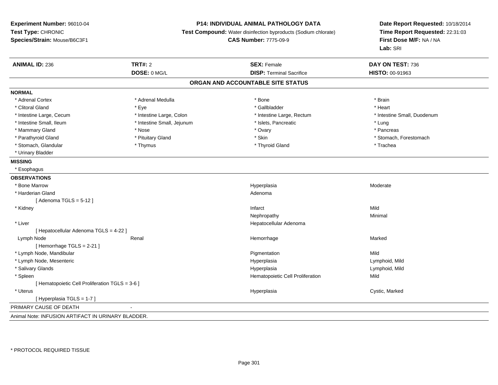### **P14: INDIVIDUAL ANIMAL PATHOLOGY DATA**

**Test Compound:** Water disinfection byproducts (Sodium chlorate)

**CAS Number:** 7775-09-9

| <b>ANIMAL ID: 236</b>                              | <b>TRT#: 2</b>             | <b>SEX: Female</b>                | DAY ON TEST: 736            |
|----------------------------------------------------|----------------------------|-----------------------------------|-----------------------------|
|                                                    | DOSE: 0 MG/L               | <b>DISP: Terminal Sacrifice</b>   | HISTO: 00-91963             |
|                                                    |                            | ORGAN AND ACCOUNTABLE SITE STATUS |                             |
| <b>NORMAL</b>                                      |                            |                                   |                             |
| * Adrenal Cortex                                   | * Adrenal Medulla          | * Bone                            | * Brain                     |
| * Clitoral Gland                                   | * Eye                      | * Gallbladder                     | * Heart                     |
| * Intestine Large, Cecum                           | * Intestine Large, Colon   | * Intestine Large, Rectum         | * Intestine Small, Duodenum |
| * Intestine Small, Ileum                           | * Intestine Small, Jejunum | * Islets, Pancreatic              | * Lung                      |
| * Mammary Gland                                    | * Nose                     | * Ovary                           | * Pancreas                  |
| * Parathyroid Gland                                | * Pituitary Gland          | * Skin                            | * Stomach, Forestomach      |
| * Stomach, Glandular                               | * Thymus                   | * Thyroid Gland                   | * Trachea                   |
| * Urinary Bladder                                  |                            |                                   |                             |
| <b>MISSING</b>                                     |                            |                                   |                             |
| * Esophagus                                        |                            |                                   |                             |
| <b>OBSERVATIONS</b>                                |                            |                                   |                             |
| * Bone Marrow                                      |                            | Hyperplasia                       | Moderate                    |
| * Harderian Gland                                  |                            | Adenoma                           |                             |
| [Adenoma TGLS = $5-12$ ]                           |                            |                                   |                             |
| * Kidney                                           |                            | Infarct                           | Mild                        |
|                                                    |                            | Nephropathy                       | Minimal                     |
| * Liver                                            |                            | Hepatocellular Adenoma            |                             |
| [ Hepatocellular Adenoma TGLS = 4-22 ]             |                            |                                   |                             |
| Lymph Node                                         | Renal                      | Hemorrhage                        | Marked                      |
| [Hemorrhage TGLS = $2-21$ ]                        |                            |                                   |                             |
| * Lymph Node, Mandibular                           |                            | Pigmentation                      | Mild                        |
| * Lymph Node, Mesenteric                           |                            | Hyperplasia                       | Lymphoid, Mild              |
| * Salivary Glands                                  |                            | Hyperplasia                       | Lymphoid, Mild              |
| * Spleen                                           |                            | Hematopoietic Cell Proliferation  | Mild                        |
| [ Hematopoietic Cell Proliferation TGLS = 3-6 ]    |                            |                                   |                             |
| * Uterus                                           |                            | Hyperplasia                       | Cystic, Marked              |
| [Hyperplasia TGLS = $1-7$ ]                        |                            |                                   |                             |
| PRIMARY CAUSE OF DEATH                             |                            |                                   |                             |
| Animal Note: INFUSION ARTIFACT IN URINARY BLADDER. |                            |                                   |                             |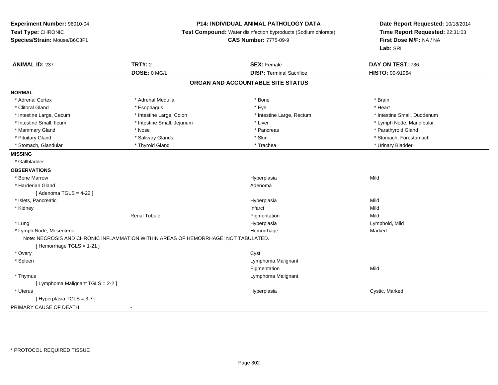### **P14: INDIVIDUAL ANIMAL PATHOLOGY DATA**

**Test Compound:** Water disinfection byproducts (Sodium chlorate)

**CAS Number:** 7775-09-9

| <b>ANIMAL ID: 237</b>             | <b>TRT#: 2</b>                                                                     | <b>SEX: Female</b>                | DAY ON TEST: 736            |
|-----------------------------------|------------------------------------------------------------------------------------|-----------------------------------|-----------------------------|
|                                   | DOSE: 0 MG/L                                                                       | <b>DISP: Terminal Sacrifice</b>   | HISTO: 00-91964             |
|                                   |                                                                                    | ORGAN AND ACCOUNTABLE SITE STATUS |                             |
| <b>NORMAL</b>                     |                                                                                    |                                   |                             |
| * Adrenal Cortex                  | * Adrenal Medulla                                                                  | * Bone                            | * Brain                     |
| * Clitoral Gland                  | * Esophagus                                                                        | * Eye                             | * Heart                     |
| * Intestine Large, Cecum          | * Intestine Large, Colon                                                           | * Intestine Large, Rectum         | * Intestine Small, Duodenum |
| * Intestine Small, Ileum          | * Intestine Small, Jejunum                                                         | * Liver                           | * Lymph Node, Mandibular    |
| * Mammary Gland                   | * Nose                                                                             | * Pancreas                        | * Parathyroid Gland         |
| * Pituitary Gland                 | * Salivary Glands                                                                  | * Skin                            | * Stomach, Forestomach      |
| * Stomach, Glandular              | * Thyroid Gland                                                                    | * Trachea                         | * Urinary Bladder           |
| <b>MISSING</b>                    |                                                                                    |                                   |                             |
| * Gallbladder                     |                                                                                    |                                   |                             |
| <b>OBSERVATIONS</b>               |                                                                                    |                                   |                             |
| * Bone Marrow                     |                                                                                    | Hyperplasia                       | Mild                        |
| * Harderian Gland                 |                                                                                    | Adenoma                           |                             |
| [Adenoma TGLS = $4-22$ ]          |                                                                                    |                                   |                             |
| * Islets, Pancreatic              |                                                                                    | Hyperplasia                       | Mild                        |
| * Kidney                          |                                                                                    | Infarct                           | Mild                        |
|                                   | <b>Renal Tubule</b>                                                                | Pigmentation                      | Mild                        |
| * Lung                            |                                                                                    | Hyperplasia                       | Lymphoid, Mild              |
| * Lymph Node, Mesenteric          |                                                                                    | Hemorrhage                        | Marked                      |
|                                   | Note: NECROSIS AND CHRONIC INFLAMMATION WITHIN AREAS OF HEMORRHAGE; NOT TABULATED. |                                   |                             |
| [Hemorrhage TGLS = 1-21]          |                                                                                    |                                   |                             |
| * Ovary                           |                                                                                    | Cyst                              |                             |
| * Spleen                          |                                                                                    | Lymphoma Malignant                |                             |
|                                   |                                                                                    | Pigmentation                      | Mild                        |
| * Thymus                          |                                                                                    | Lymphoma Malignant                |                             |
| [ Lymphoma Malignant TGLS = 2-2 ] |                                                                                    |                                   |                             |
| * Uterus                          |                                                                                    | Hyperplasia                       | Cystic, Marked              |
| [Hyperplasia TGLS = 3-7]          |                                                                                    |                                   |                             |
| PRIMARY CAUSE OF DEATH            |                                                                                    |                                   |                             |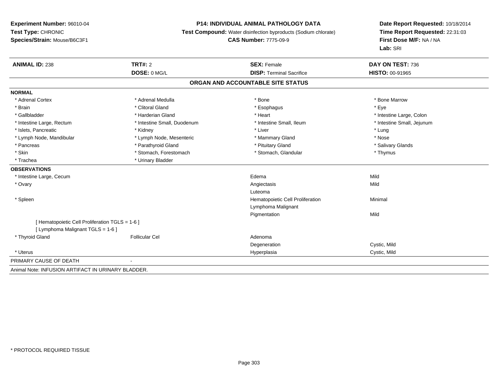### **P14: INDIVIDUAL ANIMAL PATHOLOGY DATA**

**Test Compound:** Water disinfection byproducts (Sodium chlorate)

**CAS Number:** 7775-09-9

| <b>ANIMAL ID: 238</b>                              | TRT#: 2                     | <b>SEX: Female</b>                | DAY ON TEST: 736           |
|----------------------------------------------------|-----------------------------|-----------------------------------|----------------------------|
|                                                    | DOSE: 0 MG/L                | <b>DISP: Terminal Sacrifice</b>   | <b>HISTO: 00-91965</b>     |
|                                                    |                             | ORGAN AND ACCOUNTABLE SITE STATUS |                            |
| <b>NORMAL</b>                                      |                             |                                   |                            |
| * Adrenal Cortex                                   | * Adrenal Medulla           | * Bone                            | * Bone Marrow              |
| * Brain                                            | * Clitoral Gland            | * Esophagus                       | * Eye                      |
| * Gallbladder                                      | * Harderian Gland           | * Heart                           | * Intestine Large, Colon   |
| * Intestine Large, Rectum                          | * Intestine Small, Duodenum | * Intestine Small, Ileum          | * Intestine Small, Jejunum |
| * Islets, Pancreatic                               | * Kidney                    | * Liver                           | * Lung                     |
| * Lymph Node, Mandibular                           | * Lymph Node, Mesenteric    | * Mammary Gland                   | * Nose                     |
| * Pancreas                                         | * Parathyroid Gland         | * Pituitary Gland                 | * Salivary Glands          |
| * Skin                                             | * Stomach, Forestomach      | * Stomach, Glandular              | * Thymus                   |
| * Trachea                                          | * Urinary Bladder           |                                   |                            |
| <b>OBSERVATIONS</b>                                |                             |                                   |                            |
| * Intestine Large, Cecum                           |                             | Edema                             | Mild                       |
| * Ovary                                            |                             | Angiectasis                       | Mild                       |
|                                                    |                             | Luteoma                           |                            |
| * Spleen                                           |                             | Hematopoietic Cell Proliferation  | Minimal                    |
|                                                    |                             | Lymphoma Malignant                |                            |
|                                                    |                             | Pigmentation                      | Mild                       |
| [Hematopoietic Cell Proliferation TGLS = 1-6 ]     |                             |                                   |                            |
| [ Lymphoma Malignant TGLS = 1-6 ]                  |                             |                                   |                            |
| * Thyroid Gland                                    | <b>Follicular Cel</b>       | Adenoma                           |                            |
|                                                    |                             | Degeneration                      | Cystic, Mild               |
| * Uterus                                           |                             | Hyperplasia                       | Cystic, Mild               |
| PRIMARY CAUSE OF DEATH                             |                             |                                   |                            |
| Animal Note: INFUSION ARTIFACT IN URINARY BLADDER. |                             |                                   |                            |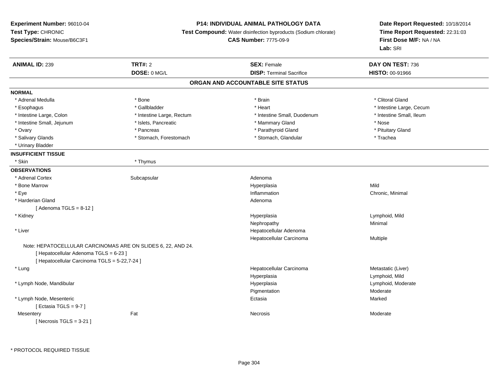**Experiment Number:** 96010-04**Test Type:** CHRONIC **Species/Strain:** Mouse/B6C3F1**P14: INDIVIDUAL ANIMAL PATHOLOGY DATA Test Compound:** Water disinfection byproducts (Sodium chlorate)**CAS Number:** 7775-09-9**Date Report Requested:** 10/18/2014**Time Report Requested:** 22:31:03**First Dose M/F:** NA / NA**Lab:** SRI**ANIMAL ID:** 239**TRT#:** 2 **SEX:** Female **DAY ON TEST:** 736 **DOSE:** 0 MG/L **DISP:** Terminal Sacrifice **HISTO:** 00-91966 **ORGAN AND ACCOUNTABLE SITE STATUSNORMAL**\* Adrenal Medulla \* The state of the state of the state of the state of the state of the state of the state of the state of the state of the state of the state of the state of the state of the state of the state of the sta \* Esophagus \* https://www.fragustage.com/web/2019/heart \* Heart \* Heart \* Heart \* Intestine Large, Cecum \* Intestine Large, Cecum \* Sallbladder \* The state of the state of the state of the state of the state of the state o \* Intestine Small. Ileum \* Intestine Large, Colon \* Intestine Large, Rectum \* Intestine Small, Duodenum \* Intestine Small, Duodenum \* Intestine Small, Jejunum \* Mose \* \* Islets, Pancreatic \* \* Mammary Gland \* \* Mammary Gland \* Nose \* Pituitary Gland \* Ovary \* Parathyroid Gland \* Pancreas \* Pancreas \* Parathyroid Gland \* Parathyroid Gland \* Salivary Glands \* Trachea \* Stomach, Forestomach \* Northern \* Stomach, Glandular \* Trachea \* Trachea \* Urinary Bladder**INSUFFICIENT TISSUE**\* Skin \* Thymus **OBSERVATIONS** \* Adrenal Cortexx Subcapsular Subcapsular and Adenoma Hyperplasia \* Bone Marroww which is a controller to the Hyperplasia controller that  $\mathsf{Mild}$  \* Eyee the contraction of the contraction of the contraction of the contraction of the contraction of the contraction of  $\Gamma$  \* Harderian Glandd and a state of the control of the control of the control of the control of the control of the control of the control of the control of the control of the control of the control of the control of the control of the contro  $[$  Adenoma TGLS = 8-12  $]$  \* Kidneyy and the settlement of the settlement of the settlement of the settlement of the settlement of the settlement of the settlement of the settlement of the settlement of the settlement of the settlement of the settlement of Hyperplasia and the community of the community of the community of the community of the community of the community of the community of the community of the community of the community of the community of the community of th Nephropathyy the contract of the Minimal Minimal Section 1996 and the contract of the Minimal Section 1997 and the contract of the contract of the contract of the contract of the contract of the contract of the contract of the contra \* Liver Hepatocellular Adenoma Hepatocellular Carcinoma Multiple Note: HEPATOCELLULAR CARCINOMAS ARE ON SLIDES 6, 22, AND 24.[ Hepatocellular Adenoma TGLS = 6-23 ][ Hepatocellular Carcinoma TGLS = 5-22,7-24 ] \* Lungg and the state of the state of the state of the state of the Hepatocellular Carcinoma and the Metastatic (Liver) Hyperplasia Lymphoid, Mild \* Lymph Node, Mandibular Hyperplasia Lymphoid, Moderate PigmentationModerate<br>Marked \* Lymph Node, Mesentericc **Ectasia** a **Marked** Service Contract of the Marked [ Ectasia TGLS = 9-7 ]**Mesentery** y the control of the set of the control of the Moderate of the Moderate of the Moderate of the Moderate of the Moderate of the Moderate of the Moderate of the Moderate of the Moderate of the Moderate of the Moderate of the  $[$  Necrosis TGLS = 3-21  $]$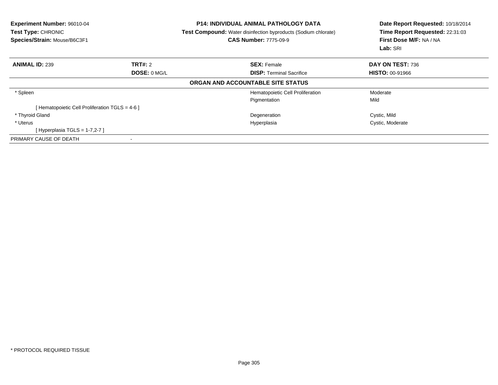| Experiment Number: 96010-04<br><b>Test Type: CHRONIC</b><br>Species/Strain: Mouse/B6C3F1 |                     | <b>P14: INDIVIDUAL ANIMAL PATHOLOGY DATA</b><br><b>Test Compound:</b> Water disinfection byproducts (Sodium chlorate)<br><b>CAS Number: 7775-09-9</b> | Date Report Requested: 10/18/2014<br>Time Report Requested: 22:31:03<br>First Dose M/F: NA / NA<br>Lab: SRI |
|------------------------------------------------------------------------------------------|---------------------|-------------------------------------------------------------------------------------------------------------------------------------------------------|-------------------------------------------------------------------------------------------------------------|
| <b>ANIMAL ID: 239</b>                                                                    | TRT#: 2             | <b>SEX:</b> Female                                                                                                                                    | DAY ON TEST: 736                                                                                            |
|                                                                                          | <b>DOSE: 0 MG/L</b> | <b>DISP:</b> Terminal Sacrifice                                                                                                                       | <b>HISTO: 00-91966</b>                                                                                      |
|                                                                                          |                     | ORGAN AND ACCOUNTABLE SITE STATUS                                                                                                                     |                                                                                                             |
| * Spleen                                                                                 |                     | Hematopoietic Cell Proliferation                                                                                                                      | Moderate                                                                                                    |
|                                                                                          |                     | Pigmentation                                                                                                                                          | Mild                                                                                                        |
| Hematopoietic Cell Proliferation TGLS = 4-6 ]                                            |                     |                                                                                                                                                       |                                                                                                             |
| * Thyroid Gland                                                                          |                     | Degeneration                                                                                                                                          | Cystic, Mild                                                                                                |
| * Uterus                                                                                 |                     | Hyperplasia                                                                                                                                           | Cystic, Moderate                                                                                            |
| [Hyperplasia TGLS = 1-7,2-7 ]                                                            |                     |                                                                                                                                                       |                                                                                                             |
| PRIMARY CAUSE OF DEATH                                                                   |                     |                                                                                                                                                       |                                                                                                             |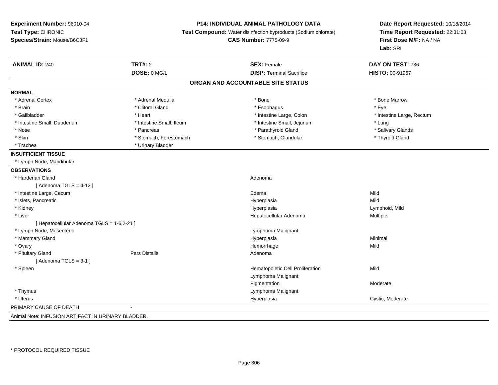**Experiment Number:** 96010-04**Test Type:** CHRONIC **Species/Strain:** Mouse/B6C3F1**P14: INDIVIDUAL ANIMAL PATHOLOGY DATA Test Compound:** Water disinfection byproducts (Sodium chlorate)**CAS Number:** 7775-09-9**Date Report Requested:** 10/18/2014**Time Report Requested:** 22:31:03**First Dose M/F:** NA / NA**Lab:** SRI**ANIMAL ID:** 240**TRT#:** 2 **SEX:** Female **DAY ON TEST:** 736 **DOSE:** 0 MG/L**DISP:** Terminal Sacrifice **HISTO:** 00-91967 **ORGAN AND ACCOUNTABLE SITE STATUSNORMAL**\* Adrenal Cortex \* Adrenal Medulla \* North and \* Adrenal Medulla \* Bone \* Bone \* Bone \* Bone Marrow \* Brain \* Alternative of the state of the state of the state of the state of the state of the state of the state of the state of the state of the state of the state of the state of the state of the state of the state of th \* Gallbladder \* Theart \* Heart \* Heart \* Intestine Large, Colon \* Intestine Large, Colon \* Intestine Large, Rectum \* Intestine Small, Duodenum \* Intestine Small, Ileum \* Intestine Small, Jejunum \* Lung\* Salivary Glands \* Nose \* Pancreas \* Parathyroid Gland \* Salivary Glands \* Skin \* Stomach, Forestomach \* Stomach \* Stomach, Glandular \* Thyroid Gland \* Trachea \* Urinary Bladder**INSUFFICIENT TISSUE** \* Lymph Node, Mandibular**OBSERVATIONS** \* Harderian Glandd and a state of the control of the control of the control of the control of the control of the control of the control of the control of the control of the control of the control of the control of the control of the contro  $[$  Adenoma TGLS = 4-12  $]$  \* Intestine Large, Cecumm results and the experimental control of the Edema results of the Mild of the Mild of the Mild of the Mild of the Mild of the Second Second Second Second Second Second Second Second Second Second Second Second Second Seco \* Islets, Pancreaticc and the contract of the contract of the contract of the contract of the contract of the contract of the contract of the contract of the contract of the contract of the contract of the contract of the contract of the cont a Mild \* Kidneyy and the settlement of the settlement of the settlement of the settlement of the settlement of the settlement of the settlement of the settlement of the settlement of the settlement of the settlement of the settlement of Lymphoid, Mild \* Liver Hepatocellular Adenoma Multiple [ Hepatocellular Adenoma TGLS = 1-6,2-21 ] \* Lymph Node, Mesenteric Lymphoma Malignant \* Mammary Glandd and the control of the control of the control of the Hyperplasia and the control of the control of the control of the control of the control of the control of the control of the control of the control of the control of t \* Ovaryy the control of the control of the control of the control of the control of the control of the control of the control of the control of the control of the control of the control of the control of the control of the contro e Mild \* Pituitary Glandd and the set of Pars Distalis and the Second Adenomal Adenomal Second Second Pars Distallis  $[$  Adenoma TGLS = 3-1  $]$  \* SpleenHematopoietic Cell Proliferation Mild Lymphoma MalignantPigmentation Moderate \* Thymus Lymphoma Malignant \* Uteruss and the contract of the contract of the contract of the contract of the contract of the contract of the contract of the contract of the contract of the contract of the contract of the contract of the contract of the cont Hyperplasia **Cystic, Moderate** PRIMARY CAUSE OF DEATH - Animal Note: INFUSION ARTIFACT IN URINARY BLADDER.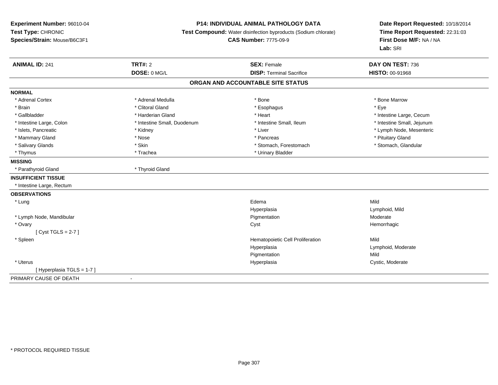**Experiment Number:** 96010-04**Test Type:** CHRONIC **Species/Strain:** Mouse/B6C3F1**P14: INDIVIDUAL ANIMAL PATHOLOGY DATA Test Compound:** Water disinfection byproducts (Sodium chlorate)**CAS Number:** 7775-09-9**Date Report Requested:** 10/18/2014**Time Report Requested:** 22:31:03**First Dose M/F:** NA / NA**Lab:** SRI**ANIMAL ID:** 241**TRT#:** 2 **SEX:** Female **DAY ON TEST:** 736 **DOSE:** 0 MG/L **DISP:** Terminal Sacrifice **HISTO:** 00-91968 **ORGAN AND ACCOUNTABLE SITE STATUSNORMAL**\* Adrenal Cortex \* Adrenal Medulla \* Adrenal Medulla \* Bone \* Bone \* Bone \* Bone \* Bone Marrow \* Brain \* Alternative of the state of the state of the state of the state of the state of the state of the state of the state of the state of the state of the state of the state of the state of the state of the state of th \* Gallbladder \* https://www.frage.com/marticle/state-of-state-of-state-of-state-of-state-of-state-of-state-of-state-of-state-of-state-of-state-of-state-of-state-of-state-of-state-of-state-of-state-of-state-of-state-of-stat \* Intestine Small, Jejunum \* Intestine Large, Colon \* Intestine Small, Duodenum \* Intestine Small, Ileum \* Intestine Small, Ileum \* Islets, Pancreatic \* \* Widney \* Kidney \* Kidney \* Liver \* Liver \* Liver \* Liver \* Liver \* Number \* Lymph Node, Mesenteric \* Liver \* Lymph Node, Mesenteric \* Mammary Gland \* \* Amery \* Nose \* \* Pancreas \* Pancreas \* Pancreas \* Pancreas \* Pituitary Gland \* Pituitary Gland \* Pancreas \* \* Pancreas \* \* Pancreas \* \* Pituitary Gland \* Pituitary Gland \* \* Pancreas \* \* Pancreas \* \* \* \* Stomach, Glandular \* Salivary Glands \* Stomach, Forestomach \* Skin \* Skin \* Stomach, Forestomach \* Stomach, Forestomach \* Thymus \* Trachea \* Trachea \* Urinary Bladder **MISSING** \* Parathyroid Gland \* Thyroid Gland**INSUFFICIENT TISSUE** \* Intestine Large, Rectum**OBSERVATIONS** \* Lungg and the state of the state of the state of the state of the state of the state of the state of the state of the state of the state of the state of the state of the state of the state of the state of the state of the stat Hyperplasia Lymphoid, Mild \* Lymph Node, Mandibular Pigmentation Moderate \* Ovaryy the controller of the controller of the controller of the controller of the controller of the controller of the controller of the controller of the controller of the controller of the controller of the controller of the  $[$  Cyst TGLS = 2-7  $]$  \* SpleenHematopoietic Cell Proliferation Mild HyperplasiaLymphoid, Moderate<br>Mild Pigmentationn Mild \* Uteruss and the control of the control of the control of the control of the control of the control of the control of the control of the control of the control of the control of the control of the control of the control of the co Cystic, Moderate [ Hyperplasia TGLS = 1-7 ]PRIMARY CAUSE OF DEATH-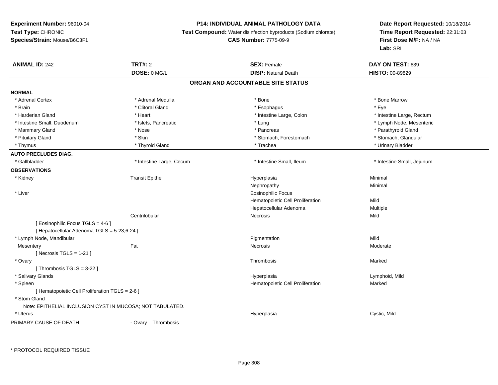# **P14: INDIVIDUAL ANIMAL PATHOLOGY DATA**

**Test Compound:** Water disinfection byproducts (Sodium chlorate)

#### **CAS Number:** 7775-09-9

**Date Report Requested:** 10/18/2014**Time Report Requested:** 22:31:03**First Dose M/F:** NA / NA**Lab:** SRI

| DOSE: 0 MG/L<br><b>DISP: Natural Death</b><br>HISTO: 00-89829<br>ORGAN AND ACCOUNTABLE SITE STATUS<br><b>NORMAL</b><br>* Adrenal Cortex<br>* Adrenal Medulla<br>* Bone<br>* Bone Marrow<br>* Clitoral Gland<br>* Brain<br>* Esophagus<br>* Eve<br>* Harderian Gland<br>* Heart<br>* Intestine Large, Colon<br>* Intestine Large, Rectum<br>* Intestine Small, Duodenum<br>* Islets, Pancreatic<br>* Lymph Node, Mesenteric<br>* Lung<br>* Parathyroid Gland<br>* Mammary Gland<br>* Nose<br>* Pancreas<br>* Stomach, Glandular<br>* Pituitary Gland<br>* Skin<br>* Stomach, Forestomach<br>* Urinary Bladder<br>* Thymus<br>* Thyroid Gland<br>* Trachea<br><b>AUTO PRECLUDES DIAG.</b><br>* Intestine Small, Ileum<br>* Intestine Small, Jejunum<br>* Gallbladder<br>* Intestine Large, Cecum<br><b>OBSERVATIONS</b><br><b>Transit Epithe</b><br>Minimal<br>* Kidney<br>Hyperplasia<br>Minimal<br>Nephropathy<br>* Liver<br><b>Eosinophilic Focus</b><br>Hematopoietic Cell Proliferation<br>Mild<br>Hepatocellular Adenoma<br>Multiple<br>Mild<br>Centrilobular<br>Necrosis<br>[ Eosinophilic Focus TGLS = 4-6 ]<br>[ Hepatocellular Adenoma TGLS = 5-23,6-24 ]<br>* Lymph Node, Mandibular<br>Mild<br>Pigmentation<br>Fat<br>Moderate<br><b>Necrosis</b><br>Mesentery<br>[ Necrosis $TGLS = 1-21$ ]<br>* Ovary<br>Thrombosis<br>Marked<br>[Thrombosis TGLS = 3-22]<br>* Salivary Glands<br>Lymphoid, Mild<br>Hyperplasia<br>* Spleen<br>Hematopoietic Cell Proliferation<br>Marked<br>[ Hematopoietic Cell Proliferation TGLS = 2-6 ]<br>* Stom Gland<br>Note: EPITHELIAL INCLUSION CYST IN MUCOSA; NOT TABULATED. | <b>ANIMAL ID: 242</b> | <b>TRT#: 2</b> | <b>SEX: Female</b> | DAY ON TEST: 639 |  |
|-----------------------------------------------------------------------------------------------------------------------------------------------------------------------------------------------------------------------------------------------------------------------------------------------------------------------------------------------------------------------------------------------------------------------------------------------------------------------------------------------------------------------------------------------------------------------------------------------------------------------------------------------------------------------------------------------------------------------------------------------------------------------------------------------------------------------------------------------------------------------------------------------------------------------------------------------------------------------------------------------------------------------------------------------------------------------------------------------------------------------------------------------------------------------------------------------------------------------------------------------------------------------------------------------------------------------------------------------------------------------------------------------------------------------------------------------------------------------------------------------------------------------------------------------------------------------------------------------------------------------|-----------------------|----------------|--------------------|------------------|--|
|                                                                                                                                                                                                                                                                                                                                                                                                                                                                                                                                                                                                                                                                                                                                                                                                                                                                                                                                                                                                                                                                                                                                                                                                                                                                                                                                                                                                                                                                                                                                                                                                                       |                       |                |                    |                  |  |
|                                                                                                                                                                                                                                                                                                                                                                                                                                                                                                                                                                                                                                                                                                                                                                                                                                                                                                                                                                                                                                                                                                                                                                                                                                                                                                                                                                                                                                                                                                                                                                                                                       |                       |                |                    |                  |  |
|                                                                                                                                                                                                                                                                                                                                                                                                                                                                                                                                                                                                                                                                                                                                                                                                                                                                                                                                                                                                                                                                                                                                                                                                                                                                                                                                                                                                                                                                                                                                                                                                                       |                       |                |                    |                  |  |
|                                                                                                                                                                                                                                                                                                                                                                                                                                                                                                                                                                                                                                                                                                                                                                                                                                                                                                                                                                                                                                                                                                                                                                                                                                                                                                                                                                                                                                                                                                                                                                                                                       |                       |                |                    |                  |  |
|                                                                                                                                                                                                                                                                                                                                                                                                                                                                                                                                                                                                                                                                                                                                                                                                                                                                                                                                                                                                                                                                                                                                                                                                                                                                                                                                                                                                                                                                                                                                                                                                                       |                       |                |                    |                  |  |
|                                                                                                                                                                                                                                                                                                                                                                                                                                                                                                                                                                                                                                                                                                                                                                                                                                                                                                                                                                                                                                                                                                                                                                                                                                                                                                                                                                                                                                                                                                                                                                                                                       |                       |                |                    |                  |  |
|                                                                                                                                                                                                                                                                                                                                                                                                                                                                                                                                                                                                                                                                                                                                                                                                                                                                                                                                                                                                                                                                                                                                                                                                                                                                                                                                                                                                                                                                                                                                                                                                                       |                       |                |                    |                  |  |
|                                                                                                                                                                                                                                                                                                                                                                                                                                                                                                                                                                                                                                                                                                                                                                                                                                                                                                                                                                                                                                                                                                                                                                                                                                                                                                                                                                                                                                                                                                                                                                                                                       |                       |                |                    |                  |  |
|                                                                                                                                                                                                                                                                                                                                                                                                                                                                                                                                                                                                                                                                                                                                                                                                                                                                                                                                                                                                                                                                                                                                                                                                                                                                                                                                                                                                                                                                                                                                                                                                                       |                       |                |                    |                  |  |
|                                                                                                                                                                                                                                                                                                                                                                                                                                                                                                                                                                                                                                                                                                                                                                                                                                                                                                                                                                                                                                                                                                                                                                                                                                                                                                                                                                                                                                                                                                                                                                                                                       |                       |                |                    |                  |  |
|                                                                                                                                                                                                                                                                                                                                                                                                                                                                                                                                                                                                                                                                                                                                                                                                                                                                                                                                                                                                                                                                                                                                                                                                                                                                                                                                                                                                                                                                                                                                                                                                                       |                       |                |                    |                  |  |
|                                                                                                                                                                                                                                                                                                                                                                                                                                                                                                                                                                                                                                                                                                                                                                                                                                                                                                                                                                                                                                                                                                                                                                                                                                                                                                                                                                                                                                                                                                                                                                                                                       |                       |                |                    |                  |  |
|                                                                                                                                                                                                                                                                                                                                                                                                                                                                                                                                                                                                                                                                                                                                                                                                                                                                                                                                                                                                                                                                                                                                                                                                                                                                                                                                                                                                                                                                                                                                                                                                                       |                       |                |                    |                  |  |
|                                                                                                                                                                                                                                                                                                                                                                                                                                                                                                                                                                                                                                                                                                                                                                                                                                                                                                                                                                                                                                                                                                                                                                                                                                                                                                                                                                                                                                                                                                                                                                                                                       |                       |                |                    |                  |  |
|                                                                                                                                                                                                                                                                                                                                                                                                                                                                                                                                                                                                                                                                                                                                                                                                                                                                                                                                                                                                                                                                                                                                                                                                                                                                                                                                                                                                                                                                                                                                                                                                                       |                       |                |                    |                  |  |
|                                                                                                                                                                                                                                                                                                                                                                                                                                                                                                                                                                                                                                                                                                                                                                                                                                                                                                                                                                                                                                                                                                                                                                                                                                                                                                                                                                                                                                                                                                                                                                                                                       |                       |                |                    |                  |  |
|                                                                                                                                                                                                                                                                                                                                                                                                                                                                                                                                                                                                                                                                                                                                                                                                                                                                                                                                                                                                                                                                                                                                                                                                                                                                                                                                                                                                                                                                                                                                                                                                                       |                       |                |                    |                  |  |
|                                                                                                                                                                                                                                                                                                                                                                                                                                                                                                                                                                                                                                                                                                                                                                                                                                                                                                                                                                                                                                                                                                                                                                                                                                                                                                                                                                                                                                                                                                                                                                                                                       |                       |                |                    |                  |  |
|                                                                                                                                                                                                                                                                                                                                                                                                                                                                                                                                                                                                                                                                                                                                                                                                                                                                                                                                                                                                                                                                                                                                                                                                                                                                                                                                                                                                                                                                                                                                                                                                                       |                       |                |                    |                  |  |
|                                                                                                                                                                                                                                                                                                                                                                                                                                                                                                                                                                                                                                                                                                                                                                                                                                                                                                                                                                                                                                                                                                                                                                                                                                                                                                                                                                                                                                                                                                                                                                                                                       |                       |                |                    |                  |  |
|                                                                                                                                                                                                                                                                                                                                                                                                                                                                                                                                                                                                                                                                                                                                                                                                                                                                                                                                                                                                                                                                                                                                                                                                                                                                                                                                                                                                                                                                                                                                                                                                                       |                       |                |                    |                  |  |
|                                                                                                                                                                                                                                                                                                                                                                                                                                                                                                                                                                                                                                                                                                                                                                                                                                                                                                                                                                                                                                                                                                                                                                                                                                                                                                                                                                                                                                                                                                                                                                                                                       |                       |                |                    |                  |  |
|                                                                                                                                                                                                                                                                                                                                                                                                                                                                                                                                                                                                                                                                                                                                                                                                                                                                                                                                                                                                                                                                                                                                                                                                                                                                                                                                                                                                                                                                                                                                                                                                                       |                       |                |                    |                  |  |
|                                                                                                                                                                                                                                                                                                                                                                                                                                                                                                                                                                                                                                                                                                                                                                                                                                                                                                                                                                                                                                                                                                                                                                                                                                                                                                                                                                                                                                                                                                                                                                                                                       |                       |                |                    |                  |  |
|                                                                                                                                                                                                                                                                                                                                                                                                                                                                                                                                                                                                                                                                                                                                                                                                                                                                                                                                                                                                                                                                                                                                                                                                                                                                                                                                                                                                                                                                                                                                                                                                                       |                       |                |                    |                  |  |
|                                                                                                                                                                                                                                                                                                                                                                                                                                                                                                                                                                                                                                                                                                                                                                                                                                                                                                                                                                                                                                                                                                                                                                                                                                                                                                                                                                                                                                                                                                                                                                                                                       |                       |                |                    |                  |  |
|                                                                                                                                                                                                                                                                                                                                                                                                                                                                                                                                                                                                                                                                                                                                                                                                                                                                                                                                                                                                                                                                                                                                                                                                                                                                                                                                                                                                                                                                                                                                                                                                                       |                       |                |                    |                  |  |
|                                                                                                                                                                                                                                                                                                                                                                                                                                                                                                                                                                                                                                                                                                                                                                                                                                                                                                                                                                                                                                                                                                                                                                                                                                                                                                                                                                                                                                                                                                                                                                                                                       |                       |                |                    |                  |  |
|                                                                                                                                                                                                                                                                                                                                                                                                                                                                                                                                                                                                                                                                                                                                                                                                                                                                                                                                                                                                                                                                                                                                                                                                                                                                                                                                                                                                                                                                                                                                                                                                                       |                       |                |                    |                  |  |
|                                                                                                                                                                                                                                                                                                                                                                                                                                                                                                                                                                                                                                                                                                                                                                                                                                                                                                                                                                                                                                                                                                                                                                                                                                                                                                                                                                                                                                                                                                                                                                                                                       |                       |                |                    |                  |  |
|                                                                                                                                                                                                                                                                                                                                                                                                                                                                                                                                                                                                                                                                                                                                                                                                                                                                                                                                                                                                                                                                                                                                                                                                                                                                                                                                                                                                                                                                                                                                                                                                                       |                       |                |                    |                  |  |
|                                                                                                                                                                                                                                                                                                                                                                                                                                                                                                                                                                                                                                                                                                                                                                                                                                                                                                                                                                                                                                                                                                                                                                                                                                                                                                                                                                                                                                                                                                                                                                                                                       | * Uterus              |                | Hyperplasia        | Cystic, Mild     |  |

PRIMARY CAUSE OF DEATH

- Ovary Thrombosis

\* PROTOCOL REQUIRED TISSUE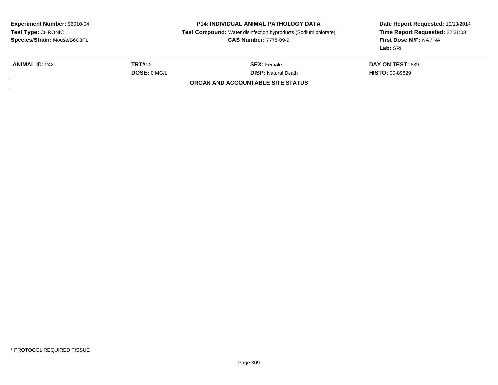|                | <b>P14: INDIVIDUAL ANIMAL PATHOLOGY DATA</b><br><b>Test Compound:</b> Water disinfection byproducts (Sodium chlorate)<br><b>CAS Number: 7775-09-9</b> | Date Report Requested: 10/18/2014<br>Time Report Requested: 22:31:03<br>First Dose M/F: NA / NA<br>Lab: SRI |  |
|----------------|-------------------------------------------------------------------------------------------------------------------------------------------------------|-------------------------------------------------------------------------------------------------------------|--|
| <b>TRT#:</b> 2 | <b>SEX: Female</b>                                                                                                                                    | DAY ON TEST: 639                                                                                            |  |
| DOSE: 0 MGL    | <b>DISP:</b> Natural Death                                                                                                                            | <b>HISTO: 00-89829</b>                                                                                      |  |
|                | ORGAN AND ACCOUNTABLE SITE STATUS                                                                                                                     |                                                                                                             |  |
|                |                                                                                                                                                       |                                                                                                             |  |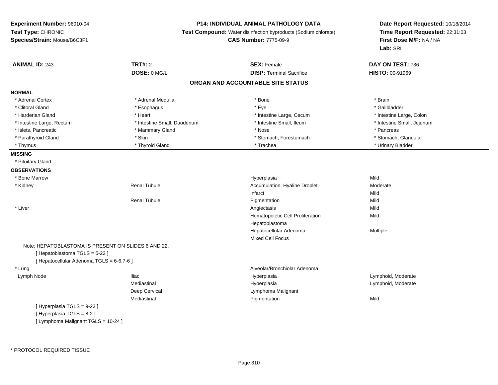### **P14: INDIVIDUAL ANIMAL PATHOLOGY DATA**

**Test Compound:** Water disinfection byproducts (Sodium chlorate)

**CAS Number:** 7775-09-9

| <b>ANIMAL ID: 243</b>                               | <b>TRT#: 2</b>              | <b>SEX: Female</b>                | DAY ON TEST: 736           |
|-----------------------------------------------------|-----------------------------|-----------------------------------|----------------------------|
|                                                     | DOSE: 0 MG/L                | <b>DISP: Terminal Sacrifice</b>   | HISTO: 00-91969            |
|                                                     |                             | ORGAN AND ACCOUNTABLE SITE STATUS |                            |
| <b>NORMAL</b>                                       |                             |                                   |                            |
| * Adrenal Cortex                                    | * Adrenal Medulla           | * Bone                            | * Brain                    |
| * Clitoral Gland                                    | * Esophagus                 | * Eye                             | * Gallbladder              |
| * Harderian Gland                                   | * Heart                     | * Intestine Large, Cecum          | * Intestine Large, Colon   |
| * Intestine Large, Rectum                           | * Intestine Small, Duodenum | * Intestine Small, Ileum          | * Intestine Small, Jejunum |
| * Islets, Pancreatic                                | * Mammary Gland             | * Nose                            | * Pancreas                 |
| * Parathyroid Gland                                 | * Skin                      | * Stomach, Forestomach            | * Stomach, Glandular       |
| * Thymus                                            | * Thyroid Gland             | * Trachea                         | * Urinary Bladder          |
| <b>MISSING</b>                                      |                             |                                   |                            |
| * Pituitary Gland                                   |                             |                                   |                            |
| <b>OBSERVATIONS</b>                                 |                             |                                   |                            |
| * Bone Marrow                                       |                             | Hyperplasia                       | Mild                       |
| * Kidney                                            | <b>Renal Tubule</b>         | Accumulation, Hyaline Droplet     | Moderate                   |
|                                                     |                             | Infarct                           | Mild                       |
|                                                     | <b>Renal Tubule</b>         | Pigmentation                      | Mild                       |
| * Liver                                             |                             | Angiectasis                       | Mild                       |
|                                                     |                             | Hematopoietic Cell Proliferation  | Mild                       |
|                                                     |                             | Hepatoblastoma                    |                            |
|                                                     |                             | Hepatocellular Adenoma            | Multiple                   |
|                                                     |                             | Mixed Cell Focus                  |                            |
| Note: HEPATOBLASTOMA IS PRESENT ON SLIDES 6 AND 22. |                             |                                   |                            |
| [Hepatoblastoma TGLS = 5-22]                        |                             |                                   |                            |
| [ Hepatocellular Adenoma TGLS = 6-6,7-6 ]           |                             |                                   |                            |
| * Lung                                              |                             | Alveolar/Bronchiolar Adenoma      |                            |
| Lymph Node                                          | <b>Iliac</b>                | Hyperplasia                       | Lymphoid, Moderate         |
|                                                     | Mediastinal                 | Hyperplasia                       | Lymphoid, Moderate         |
|                                                     | Deep Cervical               | Lymphoma Malignant                |                            |
|                                                     | Mediastinal                 | Pigmentation                      | Mild                       |
| [Hyperplasia TGLS = 9-23]                           |                             |                                   |                            |
| [Hyperplasia TGLS = 8-2]                            |                             |                                   |                            |
| [ Lymphoma Malignant TGLS = 10-24 ]                 |                             |                                   |                            |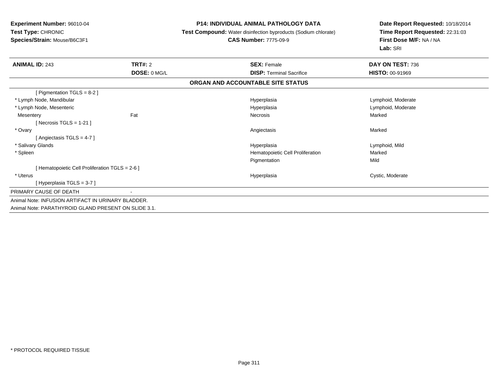#### **P14: INDIVIDUAL ANIMAL PATHOLOGY DATA**

**Test Compound:** Water disinfection byproducts (Sodium chlorate)

### **CAS Number:** 7775-09-9

| <b>ANIMAL ID: 243</b>                                | TRT#: 2      | <b>SEX: Female</b>                | DAY ON TEST: 736       |  |
|------------------------------------------------------|--------------|-----------------------------------|------------------------|--|
|                                                      | DOSE: 0 MG/L | <b>DISP:</b> Terminal Sacrifice   | <b>HISTO: 00-91969</b> |  |
|                                                      |              | ORGAN AND ACCOUNTABLE SITE STATUS |                        |  |
| [ Pigmentation TGLS = 8-2 ]                          |              |                                   |                        |  |
| * Lymph Node, Mandibular                             |              | Hyperplasia                       | Lymphoid, Moderate     |  |
| * Lymph Node, Mesenteric                             |              | Hyperplasia                       | Lymphoid, Moderate     |  |
| Mesentery                                            | Fat          | Necrosis                          | Marked                 |  |
| [Necrosis TGLS = $1-21$ ]                            |              |                                   |                        |  |
| * Ovary                                              |              | Angiectasis                       | Marked                 |  |
| [Angiectasis TGLS = 4-7]                             |              |                                   |                        |  |
| * Salivary Glands                                    |              | Hyperplasia                       | Lymphoid, Mild         |  |
| * Spleen                                             |              | Hematopoietic Cell Proliferation  | Marked                 |  |
|                                                      |              | Pigmentation                      | Mild                   |  |
| [ Hematopoietic Cell Proliferation TGLS = 2-6 ]      |              |                                   |                        |  |
| * Uterus                                             |              | Hyperplasia                       | Cystic, Moderate       |  |
| [Hyperplasia TGLS = $3-7$ ]                          |              |                                   |                        |  |
| PRIMARY CAUSE OF DEATH                               | $\sim$       |                                   |                        |  |
| Animal Note: INFUSION ARTIFACT IN URINARY BLADDER.   |              |                                   |                        |  |
| Animal Note: PARATHYROID GLAND PRESENT ON SLIDE 3.1. |              |                                   |                        |  |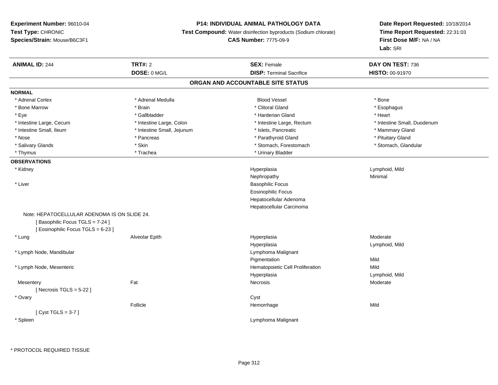### **P14: INDIVIDUAL ANIMAL PATHOLOGY DATA**

**Test Compound:** Water disinfection byproducts (Sodium chlorate)

## **CAS Number:** 7775-09-9

| <b>ANIMAL ID: 244</b>                        | <b>TRT#: 2</b>             | <b>SEX: Female</b>                | DAY ON TEST: 736            |
|----------------------------------------------|----------------------------|-----------------------------------|-----------------------------|
|                                              | DOSE: 0 MG/L               | <b>DISP: Terminal Sacrifice</b>   | HISTO: 00-91970             |
|                                              |                            | ORGAN AND ACCOUNTABLE SITE STATUS |                             |
| <b>NORMAL</b>                                |                            |                                   |                             |
| * Adrenal Cortex                             | * Adrenal Medulla          | <b>Blood Vessel</b>               | * Bone                      |
| * Bone Marrow                                | * Brain                    | * Clitoral Gland                  | * Esophagus                 |
| * Eye                                        | * Gallbladder              | * Harderian Gland                 | * Heart                     |
| * Intestine Large, Cecum                     | * Intestine Large, Colon   | * Intestine Large, Rectum         | * Intestine Small, Duodenum |
| * Intestine Small, Ileum                     | * Intestine Small, Jejunum | * Islets, Pancreatic              | * Mammary Gland             |
| * Nose                                       | * Pancreas                 | * Parathyroid Gland               | * Pituitary Gland           |
| * Salivary Glands                            | * Skin                     | * Stomach, Forestomach            | * Stomach, Glandular        |
| * Thymus                                     | * Trachea                  | * Urinary Bladder                 |                             |
| <b>OBSERVATIONS</b>                          |                            |                                   |                             |
| * Kidney                                     |                            | Hyperplasia                       | Lymphoid, Mild              |
|                                              |                            | Nephropathy                       | Minimal                     |
| * Liver                                      |                            | <b>Basophilic Focus</b>           |                             |
|                                              |                            | <b>Eosinophilic Focus</b>         |                             |
|                                              |                            | Hepatocellular Adenoma            |                             |
|                                              |                            | Hepatocellular Carcinoma          |                             |
| Note: HEPATOCELLULAR ADENOMA IS ON SLIDE 24. |                            |                                   |                             |
| [Basophilic Focus TGLS = 7-24]               |                            |                                   |                             |
| [Eosinophilic Focus TGLS = 6-23]             |                            |                                   |                             |
| * Lung                                       | Alveolar Epith             | Hyperplasia                       | Moderate                    |
|                                              |                            | Hyperplasia                       | Lymphoid, Mild              |
| * Lymph Node, Mandibular                     |                            | Lymphoma Malignant                |                             |
|                                              |                            | Pigmentation                      | Mild                        |
| * Lymph Node, Mesenteric                     |                            | Hematopoietic Cell Proliferation  | Mild                        |
|                                              |                            | Hyperplasia                       | Lymphoid, Mild              |
| Mesentery                                    | Fat                        | Necrosis                          | Moderate                    |
| [Necrosis TGLS = $5-22$ ]                    |                            |                                   |                             |
| * Ovary                                      |                            | Cyst                              |                             |
|                                              | Follicle                   | Hemorrhage                        | Mild                        |
| [Cyst TGLS = $3-7$ ]                         |                            |                                   |                             |
| * Spleen                                     |                            | Lymphoma Malignant                |                             |
|                                              |                            |                                   |                             |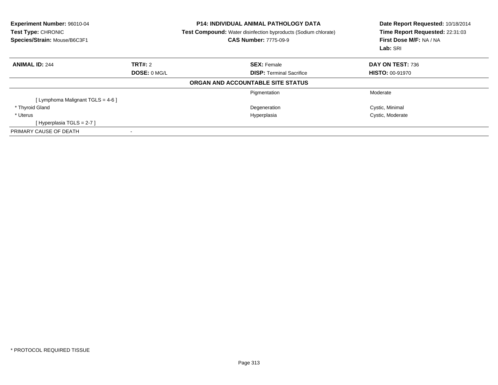| <b>Experiment Number: 96010-04</b><br>Test Type: CHRONIC<br>Species/Strain: Mouse/B6C3F1 |              | <b>P14: INDIVIDUAL ANIMAL PATHOLOGY DATA</b><br><b>Test Compound:</b> Water disinfection byproducts (Sodium chlorate)<br><b>CAS Number: 7775-09-9</b> | Date Report Requested: 10/18/2014<br>Time Report Requested: 22:31:03<br>First Dose M/F: NA / NA<br>Lab: SRI |
|------------------------------------------------------------------------------------------|--------------|-------------------------------------------------------------------------------------------------------------------------------------------------------|-------------------------------------------------------------------------------------------------------------|
| <b>ANIMAL ID: 244</b>                                                                    | TRT#: 2      | <b>SEX: Female</b>                                                                                                                                    | DAY ON TEST: 736                                                                                            |
|                                                                                          | DOSE: 0 MG/L | <b>DISP: Terminal Sacrifice</b>                                                                                                                       | <b>HISTO: 00-91970</b>                                                                                      |
|                                                                                          |              | ORGAN AND ACCOUNTABLE SITE STATUS                                                                                                                     |                                                                                                             |
|                                                                                          |              | Pigmentation                                                                                                                                          | Moderate                                                                                                    |
| [ Lymphoma Malignant TGLS = 4-6 ]                                                        |              |                                                                                                                                                       |                                                                                                             |
| * Thyroid Gland                                                                          |              | Degeneration                                                                                                                                          | Cystic, Minimal                                                                                             |
| * Uterus                                                                                 |              | Hyperplasia                                                                                                                                           | Cystic, Moderate                                                                                            |
| [Hyperplasia TGLS = $2-7$ ]                                                              |              |                                                                                                                                                       |                                                                                                             |
| PRIMARY CAUSE OF DEATH                                                                   |              |                                                                                                                                                       |                                                                                                             |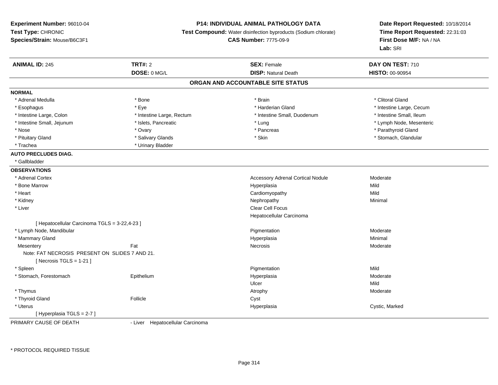#### **P14: INDIVIDUAL ANIMAL PATHOLOGY DATA**

**Test Compound:** Water disinfection byproducts (Sodium chlorate)

**CAS Number:** 7775-09-9

**Date Report Requested:** 10/18/2014**Time Report Requested:** 22:31:03**First Dose M/F:** NA / NA**Lab:** SRI

| <b>ANIMAL ID: 245</b>                          | <b>TRT#: 2</b>                                                                                                                                                                                                                   | <b>SEX: Female</b>                       | DAY ON TEST: 710         |  |
|------------------------------------------------|----------------------------------------------------------------------------------------------------------------------------------------------------------------------------------------------------------------------------------|------------------------------------------|--------------------------|--|
|                                                | DOSE: 0 MG/L                                                                                                                                                                                                                     | <b>DISP: Natural Death</b>               | HISTO: 00-90954          |  |
|                                                |                                                                                                                                                                                                                                  | ORGAN AND ACCOUNTABLE SITE STATUS        |                          |  |
| <b>NORMAL</b>                                  |                                                                                                                                                                                                                                  |                                          |                          |  |
| * Adrenal Medulla                              | * Bone                                                                                                                                                                                                                           | * Brain                                  | * Clitoral Gland         |  |
| * Esophagus                                    | * Eye                                                                                                                                                                                                                            | * Harderian Gland                        | * Intestine Large, Cecum |  |
| * Intestine Large, Colon                       | * Intestine Large, Rectum                                                                                                                                                                                                        | * Intestine Small, Duodenum              | * Intestine Small, Ileum |  |
| * Intestine Small, Jejunum                     | * Islets, Pancreatic                                                                                                                                                                                                             | * Lung                                   | * Lymph Node, Mesenteric |  |
| * Nose                                         | * Ovary                                                                                                                                                                                                                          | * Pancreas                               | * Parathyroid Gland      |  |
| * Pituitary Gland                              | * Salivary Glands                                                                                                                                                                                                                | * Skin                                   | * Stomach, Glandular     |  |
| * Trachea                                      | * Urinary Bladder                                                                                                                                                                                                                |                                          |                          |  |
| <b>AUTO PRECLUDES DIAG.</b>                    |                                                                                                                                                                                                                                  |                                          |                          |  |
| * Gallbladder                                  |                                                                                                                                                                                                                                  |                                          |                          |  |
| <b>OBSERVATIONS</b>                            |                                                                                                                                                                                                                                  |                                          |                          |  |
| * Adrenal Cortex                               |                                                                                                                                                                                                                                  | <b>Accessory Adrenal Cortical Nodule</b> | Moderate                 |  |
| * Bone Marrow                                  |                                                                                                                                                                                                                                  | Hyperplasia                              | Mild                     |  |
| * Heart                                        |                                                                                                                                                                                                                                  | Cardiomyopathy                           | Mild                     |  |
| * Kidney                                       |                                                                                                                                                                                                                                  | Nephropathy                              | Minimal                  |  |
| * Liver                                        |                                                                                                                                                                                                                                  | <b>Clear Cell Focus</b>                  |                          |  |
|                                                |                                                                                                                                                                                                                                  | Hepatocellular Carcinoma                 |                          |  |
| [ Hepatocellular Carcinoma TGLS = 3-22,4-23 ]  |                                                                                                                                                                                                                                  |                                          |                          |  |
| * Lymph Node, Mandibular                       |                                                                                                                                                                                                                                  | Pigmentation                             | Moderate                 |  |
| * Mammary Gland                                |                                                                                                                                                                                                                                  | Hyperplasia                              | Minimal                  |  |
| Mesentery                                      | Fat                                                                                                                                                                                                                              | Necrosis                                 | Moderate                 |  |
| Note: FAT NECROSIS PRESENT ON SLIDES 7 AND 21. |                                                                                                                                                                                                                                  |                                          |                          |  |
| [Necrosis TGLS = $1-21$ ]                      |                                                                                                                                                                                                                                  |                                          |                          |  |
| * Spleen                                       |                                                                                                                                                                                                                                  | Pigmentation                             | Mild                     |  |
| * Stomach, Forestomach                         | Epithelium                                                                                                                                                                                                                       | Hyperplasia                              | Moderate                 |  |
|                                                |                                                                                                                                                                                                                                  | Ulcer                                    | Mild                     |  |
| * Thymus                                       |                                                                                                                                                                                                                                  | Atrophy                                  | Moderate                 |  |
| * Thyroid Gland                                | Follicle                                                                                                                                                                                                                         | Cyst                                     |                          |  |
| * Uterus                                       |                                                                                                                                                                                                                                  | Hyperplasia                              | Cystic, Marked           |  |
| [Hyperplasia TGLS = 2-7]                       |                                                                                                                                                                                                                                  |                                          |                          |  |
| <b>DOILLADY OLLIGE OF BEATH</b>                | $\mathbf{1}$ Associated Theorem and the contract of the contract of the contract of the contract of the contract of the contract of the contract of the contract of the contract of the contract of the contract of the contract |                                          |                          |  |

PRIMARY CAUSE OF DEATH

- Liver Hepatocellular Carcinoma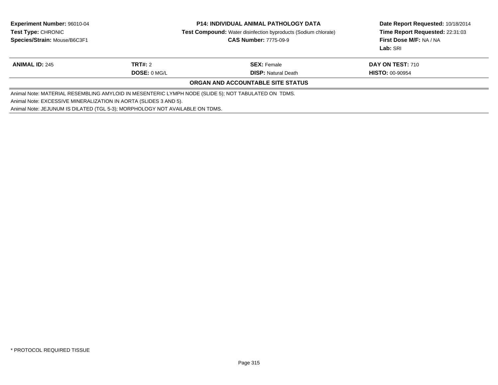| <b>Experiment Number: 96010-04</b><br><b>Test Type: CHRONIC</b>              |              | <b>P14: INDIVIDUAL ANIMAL PATHOLOGY DATA</b>                                                        | Date Report Requested: 10/18/2014 |
|------------------------------------------------------------------------------|--------------|-----------------------------------------------------------------------------------------------------|-----------------------------------|
|                                                                              |              | <b>Test Compound:</b> Water disinfection byproducts (Sodium chlorate)                               | Time Report Requested: 22:31:03   |
| Species/Strain: Mouse/B6C3F1                                                 |              | <b>CAS Number: 7775-09-9</b>                                                                        | First Dose M/F: NA / NA           |
|                                                                              |              |                                                                                                     | Lab: SRI                          |
| <b>ANIMAL ID: 245</b>                                                        | TRT#: 2      | <b>SEX: Female</b>                                                                                  | DAY ON TEST: 710                  |
|                                                                              | DOSE: 0 MG/L | <b>DISP:</b> Natural Death                                                                          | <b>HISTO: 00-90954</b>            |
|                                                                              |              | ORGAN AND ACCOUNTABLE SITE STATUS                                                                   |                                   |
|                                                                              |              | Animal Note: MATERIAL RESEMBLING AMYLOID IN MESENTERIC LYMPH NODE (SLIDE 5); NOT TABULATED ON TDMS. |                                   |
| Animal Note: EXCESSIVE MINERALIZATION IN AORTA (SLIDES 3 AND 5).             |              |                                                                                                     |                                   |
| Animal Note: JEJUNUM IS DILATED (TGL 5-3); MORPHOLOGY NOT AVAILABLE ON TDMS. |              |                                                                                                     |                                   |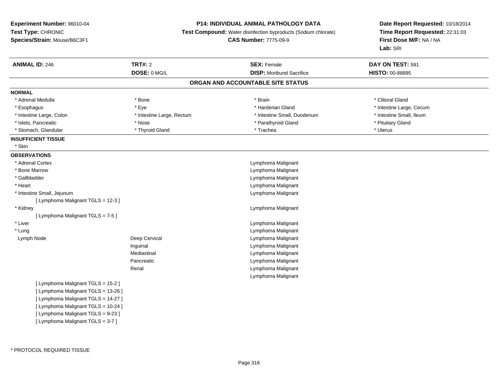#### **P14: INDIVIDUAL ANIMAL PATHOLOGY DATA**

**Test Compound:** Water disinfection byproducts (Sodium chlorate)

**CAS Number:** 7775-09-9

| <b>ANIMAL ID: 246</b>               | <b>TRT#: 2</b>            | <b>SEX: Female</b>                | DAY ON TEST: 591         |
|-------------------------------------|---------------------------|-----------------------------------|--------------------------|
|                                     | DOSE: 0 MG/L              | <b>DISP:</b> Moribund Sacrifice   | HISTO: 00-88895          |
|                                     |                           | ORGAN AND ACCOUNTABLE SITE STATUS |                          |
| <b>NORMAL</b>                       |                           |                                   |                          |
| * Adrenal Medulla                   | * Bone                    | * Brain                           | * Clitoral Gland         |
| * Esophagus                         | * Eye                     | * Harderian Gland                 | * Intestine Large, Cecum |
| * Intestine Large, Colon            | * Intestine Large, Rectum | * Intestine Small, Duodenum       | * Intestine Small, Ileum |
| * Islets, Pancreatic                | * Nose                    | * Parathyroid Gland               | * Pituitary Gland        |
| * Stomach, Glandular                | * Thyroid Gland           | * Trachea                         | * Uterus                 |
| <b>INSUFFICIENT TISSUE</b>          |                           |                                   |                          |
| * Skin                              |                           |                                   |                          |
| <b>OBSERVATIONS</b>                 |                           |                                   |                          |
| * Adrenal Cortex                    |                           | Lymphoma Malignant                |                          |
| * Bone Marrow                       |                           | Lymphoma Malignant                |                          |
| * Gallbladder                       |                           | Lymphoma Malignant                |                          |
| * Heart                             |                           | Lymphoma Malignant                |                          |
| * Intestine Small, Jejunum          |                           | Lymphoma Malignant                |                          |
| [ Lymphoma Malignant TGLS = 12-3 ]  |                           |                                   |                          |
| * Kidney                            |                           | Lymphoma Malignant                |                          |
| [ Lymphoma Malignant TGLS = 7-5 ]   |                           |                                   |                          |
| * Liver                             |                           | Lymphoma Malignant                |                          |
| * Lung                              |                           | Lymphoma Malignant                |                          |
| Lymph Node                          | Deep Cervical             | Lymphoma Malignant                |                          |
|                                     | Inguinal                  | Lymphoma Malignant                |                          |
|                                     | Mediastinal               | Lymphoma Malignant                |                          |
|                                     | Pancreatic                | Lymphoma Malignant                |                          |
|                                     | Renal                     | Lymphoma Malignant                |                          |
|                                     |                           | Lymphoma Malignant                |                          |
| [ Lymphoma Malignant TGLS = 15-2 ]  |                           |                                   |                          |
| [ Lymphoma Malignant TGLS = 13-26 ] |                           |                                   |                          |
| [ Lymphoma Malignant TGLS = 14-27 ] |                           |                                   |                          |
| [ Lymphoma Malignant TGLS = 10-24 ] |                           |                                   |                          |
| [ Lymphoma Malignant TGLS = 9-23 ]  |                           |                                   |                          |
| [ Lymphoma Malignant TGLS = 3-7 ]   |                           |                                   |                          |
|                                     |                           |                                   |                          |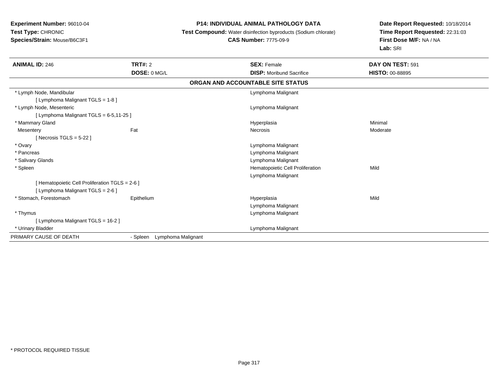### **P14: INDIVIDUAL ANIMAL PATHOLOGY DATA**

**Test Compound:** Water disinfection byproducts (Sodium chlorate)

# **CAS Number:** 7775-09-9

| <b>ANIMAL ID: 246</b>                           | <b>TRT#: 2</b>                 | <b>SEX: Female</b>                | DAY ON TEST: 591       |
|-------------------------------------------------|--------------------------------|-----------------------------------|------------------------|
|                                                 | DOSE: 0 MG/L                   | <b>DISP:</b> Moribund Sacrifice   | <b>HISTO: 00-88895</b> |
|                                                 |                                | ORGAN AND ACCOUNTABLE SITE STATUS |                        |
| * Lymph Node, Mandibular                        |                                | Lymphoma Malignant                |                        |
| [ Lymphoma Malignant TGLS = 1-8 ]               |                                |                                   |                        |
| * Lymph Node, Mesenteric                        |                                | Lymphoma Malignant                |                        |
| [ Lymphoma Malignant TGLS = 6-5,11-25 ]         |                                |                                   |                        |
| * Mammary Gland                                 |                                | Hyperplasia                       | Minimal                |
| Mesentery                                       | Fat                            | Necrosis                          | Moderate               |
| [Necrosis TGLS = $5-22$ ]                       |                                |                                   |                        |
| * Ovary                                         |                                | Lymphoma Malignant                |                        |
| * Pancreas                                      |                                | Lymphoma Malignant                |                        |
| * Salivary Glands                               |                                | Lymphoma Malignant                |                        |
| * Spleen                                        |                                | Hematopoietic Cell Proliferation  | Mild                   |
|                                                 |                                | Lymphoma Malignant                |                        |
| [ Hematopoietic Cell Proliferation TGLS = 2-6 ] |                                |                                   |                        |
| [ Lymphoma Malignant TGLS = $2-6$ ]             |                                |                                   |                        |
| * Stomach, Forestomach                          | Epithelium                     | Hyperplasia                       | Mild                   |
|                                                 |                                | Lymphoma Malignant                |                        |
| * Thymus                                        |                                | Lymphoma Malignant                |                        |
| [ Lymphoma Malignant TGLS = 16-2 ]              |                                |                                   |                        |
| * Urinary Bladder                               |                                | Lymphoma Malignant                |                        |
| PRIMARY CAUSE OF DEATH                          | - Spleen<br>Lymphoma Malignant |                                   |                        |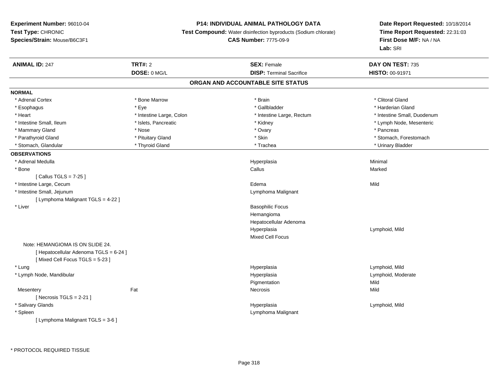### **P14: INDIVIDUAL ANIMAL PATHOLOGY DATA**

**Test Compound:** Water disinfection byproducts (Sodium chlorate)

**CAS Number:** 7775-09-9

| <b>ANIMAL ID: 247</b>                  | <b>TRT#: 2</b>           | <b>SEX: Female</b>                | DAY ON TEST: 735            |  |
|----------------------------------------|--------------------------|-----------------------------------|-----------------------------|--|
|                                        | DOSE: 0 MG/L             | <b>DISP: Terminal Sacrifice</b>   | HISTO: 00-91971             |  |
|                                        |                          | ORGAN AND ACCOUNTABLE SITE STATUS |                             |  |
| <b>NORMAL</b>                          |                          |                                   |                             |  |
| * Adrenal Cortex                       | * Bone Marrow            | * Brain                           | * Clitoral Gland            |  |
| * Esophagus                            | * Eye                    | * Gallbladder                     | * Harderian Gland           |  |
| * Heart                                | * Intestine Large, Colon | * Intestine Large, Rectum         | * Intestine Small, Duodenum |  |
| * Intestine Small, Ileum               | * Islets, Pancreatic     | * Kidney                          | * Lymph Node, Mesenteric    |  |
| * Mammary Gland                        | * Nose                   | * Ovary                           | * Pancreas                  |  |
| * Parathyroid Gland                    | * Pituitary Gland        | * Skin                            | * Stomach, Forestomach      |  |
| * Stomach, Glandular                   | * Thyroid Gland          | * Trachea                         | * Urinary Bladder           |  |
| <b>OBSERVATIONS</b>                    |                          |                                   |                             |  |
| * Adrenal Medulla                      |                          | Hyperplasia                       | Minimal                     |  |
| * Bone                                 |                          | Callus                            | Marked                      |  |
| [Callus TGLS = $7-25$ ]                |                          |                                   |                             |  |
| * Intestine Large, Cecum               |                          | Edema                             | Mild                        |  |
| * Intestine Small, Jejunum             |                          | Lymphoma Malignant                |                             |  |
| [ Lymphoma Malignant TGLS = 4-22 ]     |                          |                                   |                             |  |
| * Liver                                |                          | <b>Basophilic Focus</b>           |                             |  |
|                                        |                          | Hemangioma                        |                             |  |
|                                        |                          | Hepatocellular Adenoma            |                             |  |
|                                        |                          | Hyperplasia                       | Lymphoid, Mild              |  |
|                                        |                          | <b>Mixed Cell Focus</b>           |                             |  |
| Note: HEMANGIOMA IS ON SLIDE 24.       |                          |                                   |                             |  |
| [ Hepatocellular Adenoma TGLS = 6-24 ] |                          |                                   |                             |  |
| [Mixed Cell Focus TGLS = 5-23]         |                          |                                   |                             |  |
| * Lung                                 |                          | Hyperplasia                       | Lymphoid, Mild              |  |
| * Lymph Node, Mandibular               |                          | Hyperplasia                       | Lymphoid, Moderate          |  |
|                                        |                          | Pigmentation                      | Mild                        |  |
| Mesentery                              | Fat                      | Necrosis                          | Mild                        |  |
| [ Necrosis TGLS = $2-21$ ]             |                          |                                   |                             |  |
| * Salivary Glands                      |                          | Hyperplasia                       | Lymphoid, Mild              |  |
| * Spleen                               |                          | Lymphoma Malignant                |                             |  |
| [ Lymphoma Malignant TGLS = 3-6 ]      |                          |                                   |                             |  |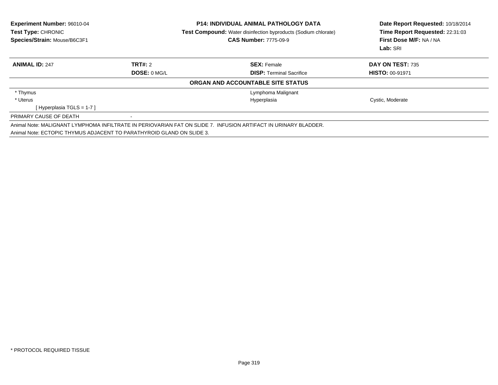| <b>Experiment Number: 96010-04</b><br><b>Test Type: CHRONIC</b><br>Species/Strain: Mouse/B6C3F1 |              | <b>P14: INDIVIDUAL ANIMAL PATHOLOGY DATA</b><br><b>Test Compound:</b> Water disinfection byproducts (Sodium chlorate)<br><b>CAS Number: 7775-09-9</b> | Date Report Requested: 10/18/2014<br>Time Report Requested: 22:31:03<br>First Dose M/F: NA / NA<br>Lab: SRI |  |
|-------------------------------------------------------------------------------------------------|--------------|-------------------------------------------------------------------------------------------------------------------------------------------------------|-------------------------------------------------------------------------------------------------------------|--|
| <b>ANIMAL ID: 247</b>                                                                           | TRT#: 2      | <b>SEX: Female</b>                                                                                                                                    | <b>DAY ON TEST: 735</b>                                                                                     |  |
|                                                                                                 | DOSE: 0 MG/L | <b>DISP:</b> Terminal Sacrifice                                                                                                                       | <b>HISTO: 00-91971</b>                                                                                      |  |
|                                                                                                 |              | ORGAN AND ACCOUNTABLE SITE STATUS                                                                                                                     |                                                                                                             |  |
| * Thymus                                                                                        |              | Lymphoma Malignant                                                                                                                                    |                                                                                                             |  |
| * Uterus                                                                                        |              | Hyperplasia                                                                                                                                           | Cystic, Moderate                                                                                            |  |
| [Hyperplasia TGLS = 1-7 ]                                                                       |              |                                                                                                                                                       |                                                                                                             |  |
| PRIMARY CAUSE OF DEATH                                                                          |              |                                                                                                                                                       |                                                                                                             |  |
| Animal Note: ECTOPIC THYMUS ADJACENT TO PARATHYROID GLAND ON SLIDE 3.                           |              | Animal Note: MALIGNANT LYMPHOMA INFILTRATE IN PERIOVARIAN FAT ON SLIDE 7. INFUSION ARTIFACT IN URINARY BLADDER.                                       |                                                                                                             |  |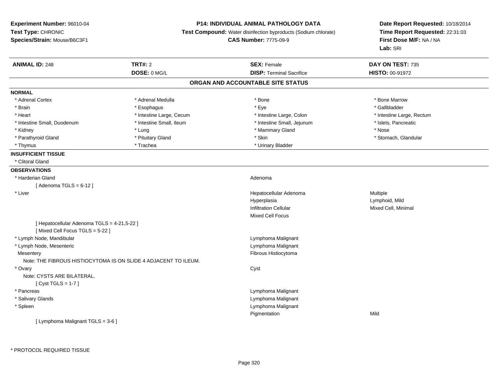**Experiment Number:** 96010-04**Test Type:** CHRONIC **Species/Strain:** Mouse/B6C3F1**P14: INDIVIDUAL ANIMAL PATHOLOGY DATA Test Compound:** Water disinfection byproducts (Sodium chlorate)**CAS Number:** 7775-09-9**Date Report Requested:** 10/18/2014**Time Report Requested:** 22:31:03**First Dose M/F:** NA / NA**Lab:** SRI**ANIMAL ID:** 248**TRT#:** 2 **SEX:** Female **DAY ON TEST:** 735 **DOSE:** 0 MG/L **DISP:** Terminal Sacrifice **HISTO:** 00-91972 **ORGAN AND ACCOUNTABLE SITE STATUSNORMAL**\* Adrenal Cortex \* Adrenal Medulla \* Adrenal Medulla \* Bone \* Bone \* Bone \* Bone \* Bone Marrow \* Gallbladder \* Brain \* Allen the state of the state of the state of the state of the state of the state of the state of the state of the state of the state of the state of the state of the state of the state of the state of the state o \* Heart **\*** Intestine Large, Cecum **\* Intestine Large, Cecum** \* Intestine Large, Colon \* Intestine Large, Rectum \* Intestine Large, Rectum \* Intestine Small, Duodenum \* Intestine Small, Ileum \* Intestine Small, Intestine Small, Jejunum \* Islets, Pancreatic \* Kidney \* Lung \* Mammary Gland \* Nose \* Parathyroid Gland \* \* The most and \* Parathyroid Gland \* Stomach, Glandular \* Stomach, Glandular \* Stomach, Glandular \* Parathyroid Glandular \* Stomach, Glandular \* Thymus \* Trachea \* Trachea \* Trachea \* Urinary Bladder **INSUFFICIENT TISSUE** \* Clitoral Gland**OBSERVATIONS** \* Harderian Glandd and a state of the control of the control of the control of the control of the control of the control of the control of the control of the control of the control of the control of the control of the control of the contro  $[$  Adenoma TGLS = 6-12  $]$  \* Liver Hepatocellular Adenoma Multiple Hyperplasia Lymphoid, Mild Infiltration Cellular Mixed Cell, Minimal Mixed Cell Focus[ Hepatocellular Adenoma TGLS = 4-21,5-22 ][ Mixed Cell Focus TGLS = 5-22 ] \* Lymph Node, Mandibular Lymphoma Malignant \* Lymph Node, Mesenteric Lymphoma Malignant **Mesentery**  Fibrous HistiocytomaNote: THE FIBROUS HISTIOCYTOMA IS ON SLIDE 4 ADJACENT TO ILEUM. \* Ovaryy cystem in the control of the control of the control of the control of the control of the control of the control of the control of the control of the control of the control of the control of the control of the control of Note: CYSTS ARE BILATERAL.[ Cyst TGLS = 1-7 ] \* Pancreas Lymphoma Malignant \* Salivary Glands Lymphoma Malignant \* Spleen Lymphoma Malignant **Pigmentation** n Mild [ Lymphoma Malignant TGLS = 3-6 ]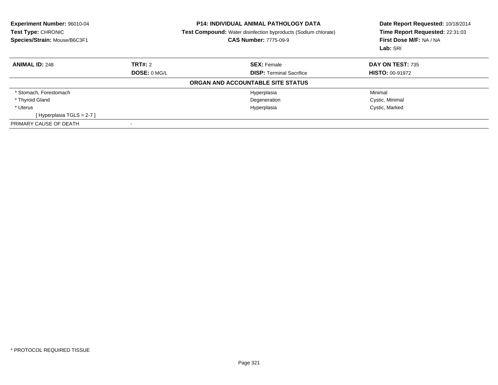| <b>Experiment Number: 96010-04</b><br>Test Type: CHRONIC<br>Species/Strain: Mouse/B6C3F1 |                     | <b>P14: INDIVIDUAL ANIMAL PATHOLOGY DATA</b><br><b>Test Compound:</b> Water disinfection byproducts (Sodium chlorate)<br><b>CAS Number: 7775-09-9</b> | Date Report Requested: 10/18/2014<br>Time Report Requested: 22:31:03<br>First Dose M/F: NA / NA<br>Lab: SRI |
|------------------------------------------------------------------------------------------|---------------------|-------------------------------------------------------------------------------------------------------------------------------------------------------|-------------------------------------------------------------------------------------------------------------|
| <b>ANIMAL ID: 248</b>                                                                    | TRT#: 2             | <b>SEX: Female</b>                                                                                                                                    | <b>DAY ON TEST: 735</b>                                                                                     |
|                                                                                          | <b>DOSE: 0 MG/L</b> | <b>DISP:</b> Terminal Sacrifice                                                                                                                       | <b>HISTO: 00-91972</b>                                                                                      |
|                                                                                          |                     | ORGAN AND ACCOUNTABLE SITE STATUS                                                                                                                     |                                                                                                             |
| * Stomach, Forestomach                                                                   |                     | Hyperplasia                                                                                                                                           | Minimal                                                                                                     |
| * Thyroid Gland                                                                          |                     | Degeneration                                                                                                                                          | Cystic, Minimal                                                                                             |
| * Uterus                                                                                 |                     | Hyperplasia                                                                                                                                           | Cystic, Marked                                                                                              |
| [Hyperplasia TGLS = 2-7]                                                                 |                     |                                                                                                                                                       |                                                                                                             |
| PRIMARY CAUSE OF DEATH                                                                   |                     |                                                                                                                                                       |                                                                                                             |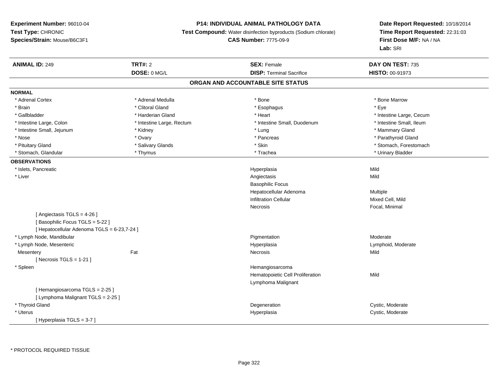### **P14: INDIVIDUAL ANIMAL PATHOLOGY DATA**

**Test Compound:** Water disinfection byproducts (Sodium chlorate)

### **CAS Number:** 7775-09-9

| <b>ANIMAL ID: 249</b>                       | <b>TRT#: 2</b>            | <b>SEX: Female</b>                | DAY ON TEST: 735         |  |
|---------------------------------------------|---------------------------|-----------------------------------|--------------------------|--|
|                                             | DOSE: 0 MG/L              | <b>DISP: Terminal Sacrifice</b>   | HISTO: 00-91973          |  |
|                                             |                           | ORGAN AND ACCOUNTABLE SITE STATUS |                          |  |
| <b>NORMAL</b>                               |                           |                                   |                          |  |
| * Adrenal Cortex                            | * Adrenal Medulla         | * Bone                            | * Bone Marrow            |  |
| * Brain                                     | * Clitoral Gland          | * Esophagus                       | * Eye                    |  |
| * Gallbladder                               | * Harderian Gland         | * Heart                           | * Intestine Large, Cecum |  |
| * Intestine Large, Colon                    | * Intestine Large, Rectum | * Intestine Small, Duodenum       | * Intestine Small, Ileum |  |
| * Intestine Small, Jejunum                  | * Kidney                  | * Lung                            | * Mammary Gland          |  |
| * Nose                                      | * Ovary                   | * Pancreas                        | * Parathyroid Gland      |  |
| * Pituitary Gland                           | * Salivary Glands         | * Skin                            | * Stomach, Forestomach   |  |
| * Stomach, Glandular                        | * Thymus                  | * Trachea                         | * Urinary Bladder        |  |
| <b>OBSERVATIONS</b>                         |                           |                                   |                          |  |
| * Islets, Pancreatic                        |                           | Hyperplasia                       | Mild                     |  |
| * Liver                                     |                           | Angiectasis                       | Mild                     |  |
|                                             |                           | <b>Basophilic Focus</b>           |                          |  |
|                                             |                           | Hepatocellular Adenoma            | Multiple                 |  |
|                                             |                           | <b>Infiltration Cellular</b>      | Mixed Cell, Mild         |  |
|                                             |                           | Necrosis                          | Focal, Minimal           |  |
| [ Angiectasis TGLS = 4-26 ]                 |                           |                                   |                          |  |
| [Basophilic Focus TGLS = 5-22]              |                           |                                   |                          |  |
| [ Hepatocellular Adenoma TGLS = 6-23,7-24 ] |                           |                                   |                          |  |
| * Lymph Node, Mandibular                    |                           | Pigmentation                      | Moderate                 |  |
| * Lymph Node, Mesenteric                    |                           | Hyperplasia                       | Lymphoid, Moderate       |  |
| Mesentery                                   | Fat                       | Necrosis                          | Mild                     |  |
| [ Necrosis $TGLS = 1-21$ ]                  |                           |                                   |                          |  |
| * Spleen                                    |                           | Hemangiosarcoma                   |                          |  |
|                                             |                           | Hematopoietic Cell Proliferation  | Mild                     |  |
|                                             |                           | Lymphoma Malignant                |                          |  |
| [Hemangiosarcoma TGLS = 2-25]               |                           |                                   |                          |  |
| [ Lymphoma Malignant TGLS = 2-25 ]          |                           |                                   |                          |  |
| * Thyroid Gland                             |                           | Degeneration                      | Cystic, Moderate         |  |
| * Uterus                                    |                           | Hyperplasia                       | Cystic, Moderate         |  |
| [Hyperplasia TGLS = 3-7]                    |                           |                                   |                          |  |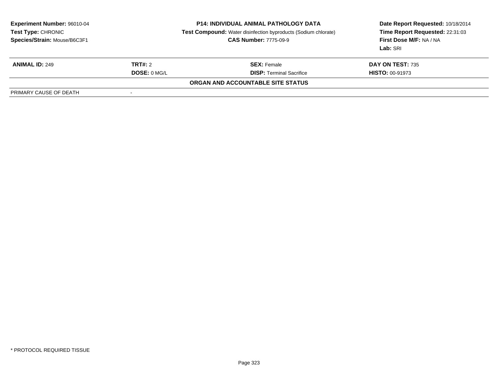| <b>Experiment Number: 96010-04</b><br>Test Type: CHRONIC<br>Species/Strain: Mouse/B6C3F1 |              | <b>P14: INDIVIDUAL ANIMAL PATHOLOGY DATA</b><br>Test Compound: Water disinfection byproducts (Sodium chlorate)<br><b>CAS Number: 7775-09-9</b> | Date Report Requested: 10/18/2014<br>Time Report Requested: 22:31:03<br>First Dose M/F: NA / NA<br>Lab: SRI |
|------------------------------------------------------------------------------------------|--------------|------------------------------------------------------------------------------------------------------------------------------------------------|-------------------------------------------------------------------------------------------------------------|
| <b>ANIMAL ID: 249</b>                                                                    | TRT#: 2      | <b>SEX:</b> Female                                                                                                                             | DAY ON TEST: 735                                                                                            |
|                                                                                          | DOSE: 0 MG/L | <b>DISP: Terminal Sacrifice</b>                                                                                                                | <b>HISTO: 00-91973</b>                                                                                      |
|                                                                                          |              | ORGAN AND ACCOUNTABLE SITE STATUS                                                                                                              |                                                                                                             |
| PRIMARY CAUSE OF DEATH                                                                   |              |                                                                                                                                                |                                                                                                             |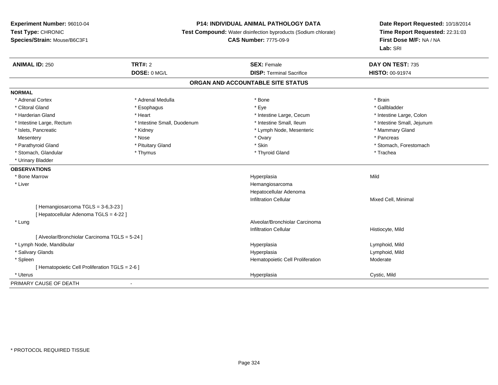### **P14: INDIVIDUAL ANIMAL PATHOLOGY DATA**

**Test Compound:** Water disinfection byproducts (Sodium chlorate)

**CAS Number:** 7775-09-9

| <b>ANIMAL ID: 250</b>                          | <b>TRT#: 2</b>              | <b>SEX: Female</b>                | DAY ON TEST: 735           |
|------------------------------------------------|-----------------------------|-----------------------------------|----------------------------|
|                                                | DOSE: 0 MG/L                | <b>DISP: Terminal Sacrifice</b>   | <b>HISTO: 00-91974</b>     |
|                                                |                             | ORGAN AND ACCOUNTABLE SITE STATUS |                            |
| <b>NORMAL</b>                                  |                             |                                   |                            |
| * Adrenal Cortex                               | * Adrenal Medulla           | * Bone                            | * Brain                    |
| * Clitoral Gland                               | * Esophagus                 | * Eye                             | * Gallbladder              |
| * Harderian Gland                              | * Heart                     | * Intestine Large, Cecum          | * Intestine Large, Colon   |
| * Intestine Large, Rectum                      | * Intestine Small, Duodenum | * Intestine Small, Ileum          | * Intestine Small, Jejunum |
| * Islets, Pancreatic                           | * Kidney                    | * Lymph Node, Mesenteric          | * Mammary Gland            |
| Mesentery                                      | * Nose                      | * Ovary                           | * Pancreas                 |
| * Parathyroid Gland                            | * Pituitary Gland           | * Skin                            | * Stomach, Forestomach     |
| * Stomach, Glandular                           | * Thymus                    | * Thyroid Gland                   | * Trachea                  |
| * Urinary Bladder                              |                             |                                   |                            |
| <b>OBSERVATIONS</b>                            |                             |                                   |                            |
| * Bone Marrow                                  |                             | Hyperplasia                       | Mild                       |
| * Liver                                        |                             | Hemangiosarcoma                   |                            |
|                                                |                             | Hepatocellular Adenoma            |                            |
|                                                |                             | <b>Infiltration Cellular</b>      | Mixed Cell, Minimal        |
| [Hemangiosarcoma TGLS = 3-6,3-23]              |                             |                                   |                            |
| [ Hepatocellular Adenoma TGLS = 4-22 ]         |                             |                                   |                            |
| * Lung                                         |                             | Alveolar/Bronchiolar Carcinoma    |                            |
|                                                |                             | <b>Infiltration Cellular</b>      | Histiocyte, Mild           |
| [ Alveolar/Bronchiolar Carcinoma TGLS = 5-24 ] |                             |                                   |                            |
| * Lymph Node, Mandibular                       |                             | Hyperplasia                       | Lymphoid, Mild             |
| * Salivary Glands                              |                             | Hyperplasia                       | Lymphoid, Mild             |
| * Spleen                                       |                             | Hematopoietic Cell Proliferation  | Moderate                   |
| [Hematopoietic Cell Proliferation TGLS = 2-6]  |                             |                                   |                            |
| * Uterus                                       |                             | Hyperplasia                       | Cystic, Mild               |
| PRIMARY CAUSE OF DEATH                         | $\overline{\phantom{a}}$    |                                   |                            |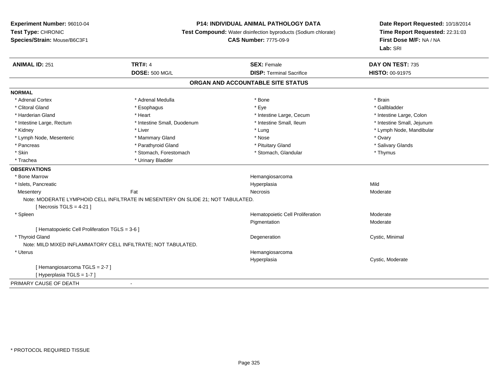# **P14: INDIVIDUAL ANIMAL PATHOLOGY DATA**

**Test Compound:** Water disinfection byproducts (Sodium chlorate)

**CAS Number:** 7775-09-9

| <b>ANIMAL ID: 251</b>                           | <b>TRT#: 4</b>                                                                   | <b>SEX: Female</b>                | DAY ON TEST: 735           |
|-------------------------------------------------|----------------------------------------------------------------------------------|-----------------------------------|----------------------------|
|                                                 | <b>DOSE: 500 MG/L</b>                                                            | <b>DISP: Terminal Sacrifice</b>   | HISTO: 00-91975            |
|                                                 |                                                                                  | ORGAN AND ACCOUNTABLE SITE STATUS |                            |
| <b>NORMAL</b>                                   |                                                                                  |                                   |                            |
| * Adrenal Cortex                                | * Adrenal Medulla                                                                | * Bone                            | * Brain                    |
| * Clitoral Gland                                | * Esophagus                                                                      | * Eye                             | * Gallbladder              |
| * Harderian Gland                               | * Heart                                                                          | * Intestine Large, Cecum          | * Intestine Large, Colon   |
| * Intestine Large, Rectum                       | * Intestine Small, Duodenum                                                      | * Intestine Small, Ileum          | * Intestine Small, Jejunum |
| * Kidney                                        | * Liver                                                                          | * Lung                            | * Lymph Node, Mandibular   |
| * Lymph Node, Mesenteric                        | * Mammary Gland                                                                  | * Nose                            | * Ovary                    |
| * Pancreas                                      | * Parathyroid Gland                                                              | * Pituitary Gland                 | * Salivary Glands          |
| * Skin                                          | * Stomach, Forestomach                                                           | * Stomach, Glandular              | * Thymus                   |
| * Trachea                                       | * Urinary Bladder                                                                |                                   |                            |
| <b>OBSERVATIONS</b>                             |                                                                                  |                                   |                            |
| * Bone Marrow                                   |                                                                                  | Hemangiosarcoma                   |                            |
| * Islets, Pancreatic                            |                                                                                  | Hyperplasia                       | Mild                       |
| Mesentery                                       | Fat                                                                              | Necrosis                          | Moderate                   |
|                                                 | Note: MODERATE LYMPHOID CELL INFILTRATE IN MESENTERY ON SLIDE 21; NOT TABULATED. |                                   |                            |
| [ Necrosis TGLS = $4-21$ ]                      |                                                                                  |                                   |                            |
| * Spleen                                        |                                                                                  | Hematopoietic Cell Proliferation  | Moderate                   |
|                                                 |                                                                                  | Pigmentation                      | Moderate                   |
| [ Hematopoietic Cell Proliferation TGLS = 3-6 ] |                                                                                  |                                   |                            |
| * Thyroid Gland                                 |                                                                                  | Degeneration                      | Cystic, Minimal            |
|                                                 | Note: MILD MIXED INFLAMMATORY CELL INFILTRATE; NOT TABULATED.                    |                                   |                            |
| * Uterus                                        |                                                                                  | Hemangiosarcoma                   |                            |
|                                                 |                                                                                  | Hyperplasia                       | Cystic, Moderate           |
| [Hemangiosarcoma TGLS = 2-7]                    |                                                                                  |                                   |                            |
| [Hyperplasia TGLS = 1-7]                        |                                                                                  |                                   |                            |
| PRIMARY CAUSE OF DEATH                          |                                                                                  |                                   |                            |
|                                                 |                                                                                  |                                   |                            |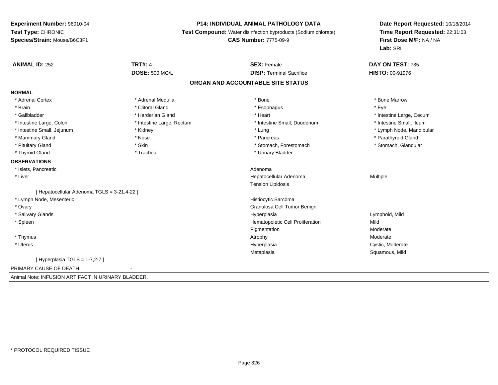# **P14: INDIVIDUAL ANIMAL PATHOLOGY DATA**

**Test Compound:** Water disinfection byproducts (Sodium chlorate)

# **CAS Number:** 7775-09-9

| <b>ANIMAL ID: 252</b>                              | <b>TRT#: 4</b>            | <b>SEX: Female</b>                | DAY ON TEST: 735         |
|----------------------------------------------------|---------------------------|-----------------------------------|--------------------------|
|                                                    | <b>DOSE: 500 MG/L</b>     | <b>DISP: Terminal Sacrifice</b>   | HISTO: 00-91976          |
|                                                    |                           | ORGAN AND ACCOUNTABLE SITE STATUS |                          |
| <b>NORMAL</b>                                      |                           |                                   |                          |
| * Adrenal Cortex                                   | * Adrenal Medulla         | * Bone                            | * Bone Marrow            |
| * Brain                                            | * Clitoral Gland          | * Esophagus                       | * Eye                    |
| * Gallbladder                                      | * Harderian Gland         | * Heart                           | * Intestine Large, Cecum |
| * Intestine Large, Colon                           | * Intestine Large, Rectum | * Intestine Small, Duodenum       | * Intestine Small, Ileum |
| * Intestine Small, Jejunum                         | * Kidney                  | * Lung                            | * Lymph Node, Mandibular |
| * Mammary Gland                                    | * Nose                    | * Pancreas                        | * Parathyroid Gland      |
| * Pituitary Gland                                  | * Skin                    | * Stomach, Forestomach            | * Stomach, Glandular     |
| * Thyroid Gland                                    | * Trachea                 | * Urinary Bladder                 |                          |
| <b>OBSERVATIONS</b>                                |                           |                                   |                          |
| * Islets, Pancreatic                               |                           | Adenoma                           |                          |
| * Liver                                            |                           | Hepatocellular Adenoma            | Multiple                 |
|                                                    |                           | <b>Tension Lipidosis</b>          |                          |
| [ Hepatocellular Adenoma TGLS = 3-21,4-22 ]        |                           |                                   |                          |
| * Lymph Node, Mesenteric                           |                           | Histiocytic Sarcoma               |                          |
| * Ovary                                            |                           | Granulosa Cell Tumor Benign       |                          |
| * Salivary Glands                                  |                           | Hyperplasia                       | Lymphoid, Mild           |
| * Spleen                                           |                           | Hematopoietic Cell Proliferation  | Mild                     |
|                                                    |                           | Pigmentation                      | Moderate                 |
| * Thymus                                           |                           | Atrophy                           | Moderate                 |
| * Uterus                                           |                           | Hyperplasia                       | Cystic, Moderate         |
|                                                    |                           | Metaplasia                        | Squamous, Mild           |
| [Hyperplasia TGLS = 1-7,2-7]                       |                           |                                   |                          |
| PRIMARY CAUSE OF DEATH                             |                           |                                   |                          |
| Animal Note: INFUSION ARTIFACT IN URINARY BLADDER. |                           |                                   |                          |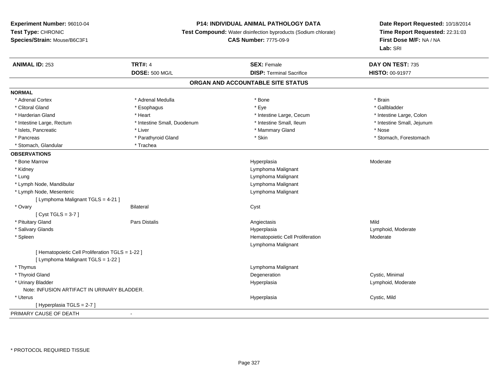# **P14: INDIVIDUAL ANIMAL PATHOLOGY DATA**

**Test Compound:** Water disinfection byproducts (Sodium chlorate)

# **CAS Number:** 7775-09-9

| <b>ANIMAL ID: 253</b>                            | <b>TRT#: 4</b>              | <b>SEX: Female</b>                | DAY ON TEST: 735           |
|--------------------------------------------------|-----------------------------|-----------------------------------|----------------------------|
|                                                  | <b>DOSE: 500 MG/L</b>       | <b>DISP: Terminal Sacrifice</b>   | HISTO: 00-91977            |
|                                                  |                             | ORGAN AND ACCOUNTABLE SITE STATUS |                            |
| <b>NORMAL</b>                                    |                             |                                   |                            |
| * Adrenal Cortex                                 | * Adrenal Medulla           | * Bone                            | * Brain                    |
| * Clitoral Gland                                 | * Esophagus                 | * Eye                             | * Gallbladder              |
| * Harderian Gland                                | * Heart                     | * Intestine Large, Cecum          | * Intestine Large, Colon   |
| * Intestine Large, Rectum                        | * Intestine Small, Duodenum | * Intestine Small, Ileum          | * Intestine Small, Jejunum |
| * Islets, Pancreatic                             | * Liver                     | * Mammary Gland                   | * Nose                     |
| * Pancreas                                       | * Parathyroid Gland         | * Skin                            | * Stomach, Forestomach     |
| * Stomach, Glandular                             | * Trachea                   |                                   |                            |
| <b>OBSERVATIONS</b>                              |                             |                                   |                            |
| * Bone Marrow                                    |                             | Hyperplasia                       | Moderate                   |
| * Kidney                                         |                             | Lymphoma Malignant                |                            |
| * Lung                                           |                             | Lymphoma Malignant                |                            |
| * Lymph Node, Mandibular                         |                             | Lymphoma Malignant                |                            |
| * Lymph Node, Mesenteric                         |                             | Lymphoma Malignant                |                            |
| [ Lymphoma Malignant TGLS = 4-21 ]               |                             |                                   |                            |
| * Ovary                                          | <b>Bilateral</b>            | Cyst                              |                            |
| [Cyst TGLS = $3-7$ ]                             |                             |                                   |                            |
| * Pituitary Gland                                | Pars Distalis               | Angiectasis                       | Mild                       |
| * Salivary Glands                                |                             | Hyperplasia                       | Lymphoid, Moderate         |
| * Spleen                                         |                             | Hematopoietic Cell Proliferation  | Moderate                   |
|                                                  |                             | Lymphoma Malignant                |                            |
| [ Hematopoietic Cell Proliferation TGLS = 1-22 ] |                             |                                   |                            |
| [ Lymphoma Malignant TGLS = 1-22 ]               |                             |                                   |                            |
| * Thymus                                         |                             | Lymphoma Malignant                |                            |
| * Thyroid Gland                                  |                             | Degeneration                      | Cystic, Minimal            |
| * Urinary Bladder                                |                             | Hyperplasia                       | Lymphoid, Moderate         |
| Note: INFUSION ARTIFACT IN URINARY BLADDER.      |                             |                                   |                            |
| * Uterus                                         |                             | Hyperplasia                       | Cystic, Mild               |
| [ Hyperplasia TGLS = 2-7 ]                       |                             |                                   |                            |
| PRIMARY CAUSE OF DEATH                           | $\blacksquare$              |                                   |                            |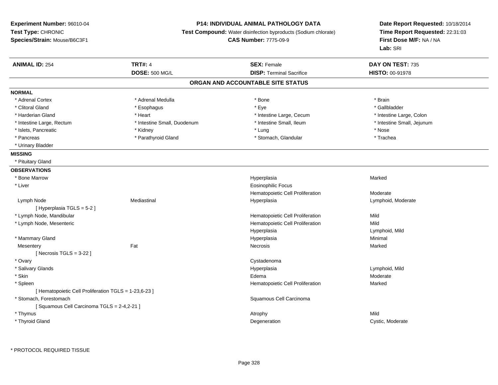# **P14: INDIVIDUAL ANIMAL PATHOLOGY DATA**

**Test Compound:** Water disinfection byproducts (Sodium chlorate)

**CAS Number:** 7775-09-9

| <b>ANIMAL ID: 254</b>                                 | <b>TRT#: 4</b>              | <b>SEX: Female</b>                | DAY ON TEST: 735           |  |
|-------------------------------------------------------|-----------------------------|-----------------------------------|----------------------------|--|
|                                                       | <b>DOSE: 500 MG/L</b>       | <b>DISP: Terminal Sacrifice</b>   | HISTO: 00-91978            |  |
|                                                       |                             | ORGAN AND ACCOUNTABLE SITE STATUS |                            |  |
| <b>NORMAL</b>                                         |                             |                                   |                            |  |
| * Adrenal Cortex                                      | * Adrenal Medulla           | * Bone                            | * Brain                    |  |
| * Clitoral Gland                                      | * Esophagus                 | * Eye                             | * Gallbladder              |  |
| * Harderian Gland                                     | * Heart                     | * Intestine Large, Cecum          | * Intestine Large, Colon   |  |
| * Intestine Large, Rectum                             | * Intestine Small, Duodenum | * Intestine Small, Ileum          | * Intestine Small, Jejunum |  |
| * Islets, Pancreatic                                  | * Kidney                    | * Lung                            | * Nose                     |  |
| * Pancreas                                            | * Parathyroid Gland         | * Stomach, Glandular              | * Trachea                  |  |
| * Urinary Bladder                                     |                             |                                   |                            |  |
| <b>MISSING</b>                                        |                             |                                   |                            |  |
| * Pituitary Gland                                     |                             |                                   |                            |  |
| <b>OBSERVATIONS</b>                                   |                             |                                   |                            |  |
| * Bone Marrow                                         |                             | Hyperplasia                       | Marked                     |  |
| * Liver                                               |                             | <b>Eosinophilic Focus</b>         |                            |  |
|                                                       |                             | Hematopoietic Cell Proliferation  | Moderate                   |  |
| Lymph Node                                            | Mediastinal                 | Hyperplasia                       | Lymphoid, Moderate         |  |
| [Hyperplasia TGLS = 5-2]                              |                             |                                   |                            |  |
| * Lymph Node, Mandibular                              |                             | Hematopoietic Cell Proliferation  | Mild                       |  |
| * Lymph Node, Mesenteric                              |                             | Hematopoietic Cell Proliferation  | Mild                       |  |
|                                                       |                             | Hyperplasia                       | Lymphoid, Mild             |  |
| * Mammary Gland                                       |                             | Hyperplasia                       | Minimal                    |  |
| Mesentery                                             | Fat                         | Necrosis                          | Marked                     |  |
| [Necrosis TGLS = $3-22$ ]                             |                             |                                   |                            |  |
| * Ovary                                               |                             | Cystadenoma                       |                            |  |
| * Salivary Glands                                     |                             | Hyperplasia                       | Lymphoid, Mild             |  |
| * Skin                                                |                             | Edema                             | Moderate                   |  |
| * Spleen                                              |                             | Hematopoietic Cell Proliferation  | Marked                     |  |
| [ Hematopoietic Cell Proliferation TGLS = 1-23,6-23 ] |                             |                                   |                            |  |
| * Stomach, Forestomach                                |                             | Squamous Cell Carcinoma           |                            |  |
| [Squamous Cell Carcinoma TGLS = 2-4,2-21]             |                             |                                   |                            |  |
| * Thymus                                              |                             | Atrophy                           | Mild                       |  |
| * Thyroid Gland                                       |                             | Degeneration                      | Cystic, Moderate           |  |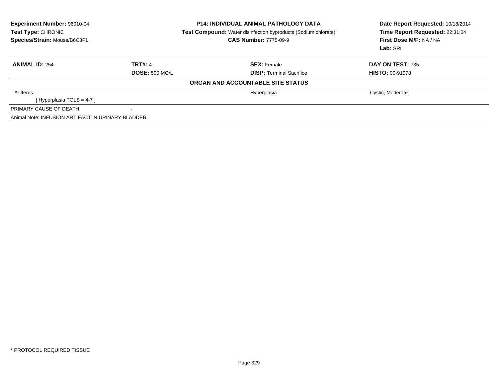| Experiment Number: 96010-04<br>Test Type: CHRONIC<br>Species/Strain: Mouse/B6C3F1 |                       | <b>P14: INDIVIDUAL ANIMAL PATHOLOGY DATA</b><br><b>Test Compound:</b> Water disinfection byproducts (Sodium chlorate)<br><b>CAS Number: 7775-09-9</b> | Date Report Requested: 10/18/2014<br>Time Report Requested: 22:31:04<br>First Dose M/F: NA / NA<br>Lab: SRI |
|-----------------------------------------------------------------------------------|-----------------------|-------------------------------------------------------------------------------------------------------------------------------------------------------|-------------------------------------------------------------------------------------------------------------|
| <b>ANIMAL ID: 254</b>                                                             | <b>TRT#: 4</b>        | <b>SEX: Female</b>                                                                                                                                    | DAY ON TEST: 735                                                                                            |
|                                                                                   | <b>DOSE: 500 MG/L</b> | <b>DISP:</b> Terminal Sacrifice                                                                                                                       | <b>HISTO: 00-91978</b>                                                                                      |
|                                                                                   |                       | ORGAN AND ACCOUNTABLE SITE STATUS                                                                                                                     |                                                                                                             |
| * Uterus                                                                          |                       | Hyperplasia                                                                                                                                           | Cystic, Moderate                                                                                            |
| [Hyperplasia TGLS = 4-7 ]                                                         |                       |                                                                                                                                                       |                                                                                                             |
| PRIMARY CAUSE OF DEATH                                                            |                       |                                                                                                                                                       |                                                                                                             |
| Animal Note: INFUSION ARTIFACT IN URINARY BLADDER.                                |                       |                                                                                                                                                       |                                                                                                             |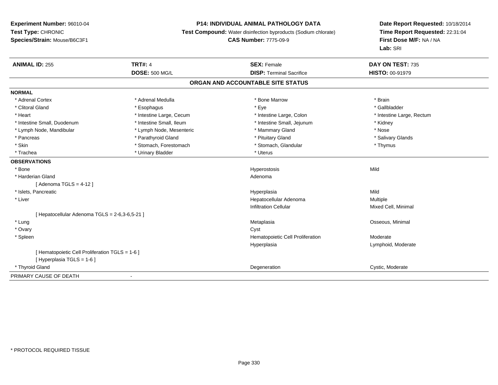# **P14: INDIVIDUAL ANIMAL PATHOLOGY DATA**

**Test Compound:** Water disinfection byproducts (Sodium chlorate)

**CAS Number:** 7775-09-9

| <b>ANIMAL ID: 255</b>                           | <b>TRT#: 4</b>           | <b>SEX: Female</b>                | DAY ON TEST: 735          |
|-------------------------------------------------|--------------------------|-----------------------------------|---------------------------|
|                                                 | <b>DOSE: 500 MG/L</b>    | <b>DISP: Terminal Sacrifice</b>   | HISTO: 00-91979           |
|                                                 |                          | ORGAN AND ACCOUNTABLE SITE STATUS |                           |
| <b>NORMAL</b>                                   |                          |                                   |                           |
| * Adrenal Cortex                                | * Adrenal Medulla        | * Bone Marrow                     | * Brain                   |
| * Clitoral Gland                                | * Esophagus              | * Eye                             | * Gallbladder             |
| * Heart                                         | * Intestine Large, Cecum | * Intestine Large, Colon          | * Intestine Large, Rectum |
| * Intestine Small, Duodenum                     | * Intestine Small, Ileum | * Intestine Small, Jejunum        | * Kidney                  |
| * Lymph Node, Mandibular                        | * Lymph Node, Mesenteric | * Mammary Gland                   | * Nose                    |
| * Pancreas                                      | * Parathyroid Gland      | * Pituitary Gland                 | * Salivary Glands         |
| * Skin                                          | * Stomach, Forestomach   | * Stomach, Glandular              | * Thymus                  |
| * Trachea                                       | * Urinary Bladder        | * Uterus                          |                           |
| <b>OBSERVATIONS</b>                             |                          |                                   |                           |
| * Bone                                          |                          | Hyperostosis                      | Mild                      |
| * Harderian Gland                               |                          | Adenoma                           |                           |
| [Adenoma TGLS = $4-12$ ]                        |                          |                                   |                           |
| * Islets, Pancreatic                            |                          | Hyperplasia                       | Mild                      |
| * Liver                                         |                          | Hepatocellular Adenoma            | Multiple                  |
|                                                 |                          | <b>Infiltration Cellular</b>      | Mixed Cell, Minimal       |
| [ Hepatocellular Adenoma TGLS = 2-6,3-6,5-21 ]  |                          |                                   |                           |
| * Lung                                          |                          | Metaplasia                        | Osseous, Minimal          |
| * Ovary                                         |                          | Cyst                              |                           |
| * Spleen                                        |                          | Hematopoietic Cell Proliferation  | Moderate                  |
|                                                 |                          | Hyperplasia                       | Lymphoid, Moderate        |
| [ Hematopoietic Cell Proliferation TGLS = 1-6 ] |                          |                                   |                           |
| [Hyperplasia TGLS = $1-6$ ]                     |                          |                                   |                           |
| * Thyroid Gland                                 |                          | Degeneration                      | Cystic, Moderate          |
| PRIMARY CAUSE OF DEATH                          |                          |                                   |                           |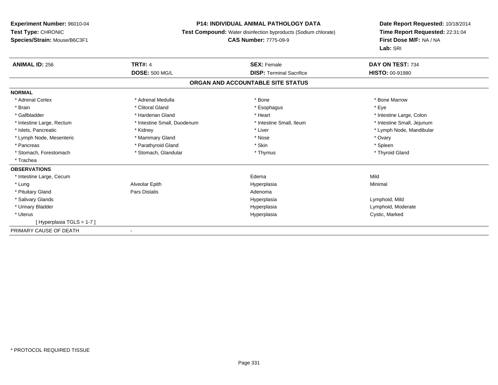#### **P14: INDIVIDUAL ANIMAL PATHOLOGY DATA**

**Test Compound:** Water disinfection byproducts (Sodium chlorate)

#### **CAS Number:** 7775-09-9

| <b>ANIMAL ID: 256</b>     | <b>TRT#: 4</b>              | <b>SEX: Female</b>                | DAY ON TEST: 734           |  |
|---------------------------|-----------------------------|-----------------------------------|----------------------------|--|
|                           | <b>DOSE: 500 MG/L</b>       | <b>DISP: Terminal Sacrifice</b>   | HISTO: 00-91980            |  |
|                           |                             | ORGAN AND ACCOUNTABLE SITE STATUS |                            |  |
| <b>NORMAL</b>             |                             |                                   |                            |  |
| * Adrenal Cortex          | * Adrenal Medulla           | * Bone                            | * Bone Marrow              |  |
| * Brain                   | * Clitoral Gland            | * Esophagus                       | * Eye                      |  |
| * Gallbladder             | * Harderian Gland           | * Heart                           | * Intestine Large, Colon   |  |
| * Intestine Large, Rectum | * Intestine Small, Duodenum | * Intestine Small, Ileum          | * Intestine Small, Jejunum |  |
| * Islets, Pancreatic      | * Kidney                    | * Liver                           | * Lymph Node, Mandibular   |  |
| * Lymph Node, Mesenteric  | * Mammary Gland             | * Nose                            | * Ovary                    |  |
| * Pancreas                | * Parathyroid Gland         | * Skin                            | * Spleen                   |  |
| * Stomach, Forestomach    | * Stomach, Glandular        | * Thymus                          | * Thyroid Gland            |  |
| * Trachea                 |                             |                                   |                            |  |
| <b>OBSERVATIONS</b>       |                             |                                   |                            |  |
| * Intestine Large, Cecum  |                             | Edema                             | Mild                       |  |
| * Lung                    | Alveolar Epith              | Hyperplasia                       | Minimal                    |  |
| * Pituitary Gland         | Pars Distalis               | Adenoma                           |                            |  |
| * Salivary Glands         |                             | Hyperplasia                       | Lymphoid, Mild             |  |
| * Urinary Bladder         |                             | Hyperplasia                       | Lymphoid, Moderate         |  |
| * Uterus                  |                             | Hyperplasia                       | Cystic, Marked             |  |
| [Hyperplasia TGLS = 1-7]  |                             |                                   |                            |  |
| PRIMARY CAUSE OF DEATH    | $\overline{\phantom{a}}$    |                                   |                            |  |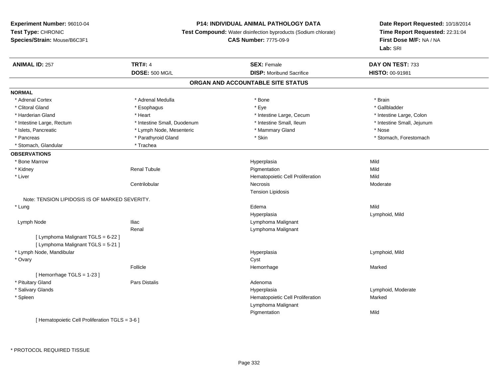#### **P14: INDIVIDUAL ANIMAL PATHOLOGY DATA**

**Test Compound:** Water disinfection byproducts (Sodium chlorate)

**CAS Number:** 7775-09-9

**Date Report Requested:** 10/18/2014**Time Report Requested:** 22:31:04**First Dose M/F:** NA / NA**Lab:** SRI

| <b>ANIMAL ID: 257</b>                           | <b>TRT#: 4</b>              | <b>SEX: Female</b>                | DAY ON TEST: 733           |
|-------------------------------------------------|-----------------------------|-----------------------------------|----------------------------|
|                                                 | <b>DOSE: 500 MG/L</b>       | <b>DISP:</b> Moribund Sacrifice   | HISTO: 00-91981            |
|                                                 |                             | ORGAN AND ACCOUNTABLE SITE STATUS |                            |
| <b>NORMAL</b>                                   |                             |                                   |                            |
| * Adrenal Cortex                                | * Adrenal Medulla           | * Bone                            | * Brain                    |
| * Clitoral Gland                                | * Esophagus                 | * Eye                             | * Gallbladder              |
| * Harderian Gland                               | * Heart                     | * Intestine Large, Cecum          | * Intestine Large, Colon   |
| * Intestine Large, Rectum                       | * Intestine Small, Duodenum | * Intestine Small, Ileum          | * Intestine Small, Jejunum |
| * Islets, Pancreatic                            | * Lymph Node, Mesenteric    | * Mammary Gland                   | * Nose                     |
| * Pancreas                                      | * Parathyroid Gland         | * Skin                            | * Stomach, Forestomach     |
| * Stomach, Glandular                            | * Trachea                   |                                   |                            |
| <b>OBSERVATIONS</b>                             |                             |                                   |                            |
| * Bone Marrow                                   |                             | Hyperplasia                       | Mild                       |
| * Kidney                                        | Renal Tubule                | Pigmentation                      | Mild                       |
| * Liver                                         |                             | Hematopoietic Cell Proliferation  | Mild                       |
|                                                 | Centrilobular               | Necrosis                          | Moderate                   |
|                                                 |                             | <b>Tension Lipidosis</b>          |                            |
| Note: TENSION LIPIDOSIS IS OF MARKED SEVERITY.  |                             |                                   |                            |
| * Lung                                          |                             | Edema                             | Mild                       |
|                                                 |                             | Hyperplasia                       | Lymphoid, Mild             |
| Lymph Node                                      | <b>Iliac</b>                | Lymphoma Malignant                |                            |
|                                                 | Renal                       | Lymphoma Malignant                |                            |
| [ Lymphoma Malignant TGLS = 6-22 ]              |                             |                                   |                            |
| [ Lymphoma Malignant TGLS = 5-21 ]              |                             |                                   |                            |
| * Lymph Node, Mandibular                        |                             | Hyperplasia                       | Lymphoid, Mild             |
| * Ovary                                         |                             | Cyst                              |                            |
|                                                 | Follicle                    | Hemorrhage                        | Marked                     |
| [Hemorrhage TGLS = $1-23$ ]                     |                             |                                   |                            |
| * Pituitary Gland                               | <b>Pars Distalis</b>        | Adenoma                           |                            |
| * Salivary Glands                               |                             | Hyperplasia                       | Lymphoid, Moderate         |
| * Spleen                                        |                             | Hematopoietic Cell Proliferation  | Marked                     |
|                                                 |                             | Lymphoma Malignant                |                            |
|                                                 |                             | Pigmentation                      | Mild                       |
| Literaturalistic Call Dualifornian TOLO - 0.0.1 |                             |                                   |                            |

[ Hematopoietic Cell Proliferation TGLS = 3-6 ]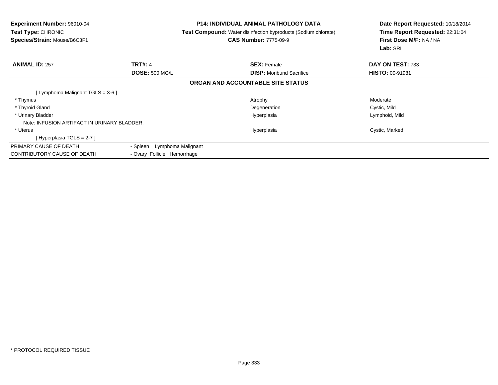| <b>Experiment Number: 96010-04</b><br><b>Test Type: CHRONIC</b><br>Species/Strain: Mouse/B6C3F1 |                                | <b>P14: INDIVIDUAL ANIMAL PATHOLOGY DATA</b><br>Test Compound: Water disinfection byproducts (Sodium chlorate)<br><b>CAS Number: 7775-09-9</b> | Date Report Requested: 10/18/2014<br>Time Report Requested: 22:31:04<br>First Dose M/F: NA / NA<br>Lab: SRI |
|-------------------------------------------------------------------------------------------------|--------------------------------|------------------------------------------------------------------------------------------------------------------------------------------------|-------------------------------------------------------------------------------------------------------------|
| <b>ANIMAL ID: 257</b>                                                                           | <b>TRT#: 4</b>                 | <b>SEX: Female</b>                                                                                                                             | DAY ON TEST: 733                                                                                            |
|                                                                                                 | <b>DOSE: 500 MG/L</b>          | <b>DISP:</b> Moribund Sacrifice                                                                                                                | <b>HISTO: 00-91981</b>                                                                                      |
|                                                                                                 |                                | ORGAN AND ACCOUNTABLE SITE STATUS                                                                                                              |                                                                                                             |
| [ Lymphoma Malignant TGLS = 3-6 ]                                                               |                                |                                                                                                                                                |                                                                                                             |
| * Thymus                                                                                        |                                | Atrophy                                                                                                                                        | Moderate                                                                                                    |
| * Thyroid Gland                                                                                 |                                | Degeneration                                                                                                                                   | Cystic, Mild                                                                                                |
| * Urinary Bladder                                                                               |                                | Hyperplasia                                                                                                                                    | Lymphoid, Mild                                                                                              |
| Note: INFUSION ARTIFACT IN URINARY BLADDER.                                                     |                                |                                                                                                                                                |                                                                                                             |
| * Uterus                                                                                        |                                | Hyperplasia                                                                                                                                    | Cystic, Marked                                                                                              |
| [Hyperplasia TGLS = $2-7$ ]                                                                     |                                |                                                                                                                                                |                                                                                                             |
| PRIMARY CAUSE OF DEATH                                                                          | - Spleen<br>Lymphoma Malignant |                                                                                                                                                |                                                                                                             |
| <b>CONTRIBUTORY CAUSE OF DEATH</b>                                                              | - Ovary Follicle Hemorrhage    |                                                                                                                                                |                                                                                                             |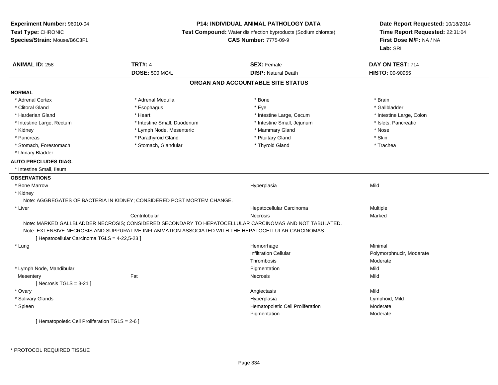#### **P14: INDIVIDUAL ANIMAL PATHOLOGY DATA**

**Test Compound:** Water disinfection byproducts (Sodium chlorate)

**CAS Number:** 7775-09-9

| <b>ANIMAL ID: 258</b>                         | <b>TRT#: 4</b>                                                                                          | <b>SEX: Female</b>                | DAY ON TEST: 714         |
|-----------------------------------------------|---------------------------------------------------------------------------------------------------------|-----------------------------------|--------------------------|
|                                               | <b>DOSE: 500 MG/L</b>                                                                                   | <b>DISP: Natural Death</b>        | HISTO: 00-90955          |
|                                               |                                                                                                         | ORGAN AND ACCOUNTABLE SITE STATUS |                          |
| <b>NORMAL</b>                                 |                                                                                                         |                                   |                          |
| * Adrenal Cortex                              | * Adrenal Medulla                                                                                       | * Bone                            | * Brain                  |
| * Clitoral Gland                              | * Esophagus                                                                                             | * Eve                             | * Gallbladder            |
| * Harderian Gland                             | * Heart                                                                                                 | * Intestine Large, Cecum          | * Intestine Large, Colon |
| * Intestine Large, Rectum                     | * Intestine Small, Duodenum                                                                             | * Intestine Small, Jejunum        | * Islets, Pancreatic     |
| * Kidney                                      | * Lymph Node, Mesenteric                                                                                | * Mammary Gland                   | * Nose                   |
| * Pancreas                                    | * Parathyroid Gland                                                                                     | * Pituitary Gland                 | * Skin                   |
| * Stomach, Forestomach                        | * Stomach, Glandular                                                                                    | * Thyroid Gland                   | * Trachea                |
| * Urinary Bladder                             |                                                                                                         |                                   |                          |
| <b>AUTO PRECLUDES DIAG.</b>                   |                                                                                                         |                                   |                          |
| * Intestine Small, Ileum                      |                                                                                                         |                                   |                          |
| <b>OBSERVATIONS</b>                           |                                                                                                         |                                   |                          |
| * Bone Marrow                                 |                                                                                                         | Hyperplasia                       | Mild                     |
| * Kidney                                      |                                                                                                         |                                   |                          |
|                                               | Note: AGGREGATES OF BACTERIA IN KIDNEY; CONSIDERED POST MORTEM CHANGE.                                  |                                   |                          |
| * Liver                                       |                                                                                                         | Hepatocellular Carcinoma          | Multiple                 |
|                                               | Centrilobular                                                                                           | Necrosis                          | Marked                   |
|                                               | Note: MARKED GALLBLADDER NECROSIS; CONSIDERED SECONDARY TO HEPATOCELLULAR CARCINOMAS AND NOT TABULATED. |                                   |                          |
|                                               | Note: EXTENSIVE NECROSIS AND SUPPURATIVE INFLAMMATION ASSOCIATED WITH THE HEPATOCELLULAR CARCINOMAS.    |                                   |                          |
| [ Hepatocellular Carcinoma TGLS = 4-22,5-23 ] |                                                                                                         |                                   |                          |
| * Lung                                        |                                                                                                         | Hemorrhage                        | Minimal                  |
|                                               |                                                                                                         | <b>Infiltration Cellular</b>      | Polymorphnuclr, Moderate |
|                                               |                                                                                                         | Thrombosis                        | Moderate                 |
| * Lymph Node, Mandibular                      |                                                                                                         | Pigmentation                      | Mild                     |
| Mesentery                                     | Fat                                                                                                     | Necrosis                          | Mild                     |
| [Necrosis TGLS = $3-21$ ]                     |                                                                                                         |                                   |                          |
| * Ovary                                       |                                                                                                         | Angiectasis                       | Mild                     |
| * Salivary Glands                             |                                                                                                         | Hyperplasia                       | Lymphoid, Mild           |
| * Spleen                                      |                                                                                                         | Hematopoietic Cell Proliferation  | Moderate                 |
|                                               |                                                                                                         | Pigmentation                      | Moderate                 |
| Hematopoietic Cell Proliferation TGLS = 2-6 1 |                                                                                                         |                                   |                          |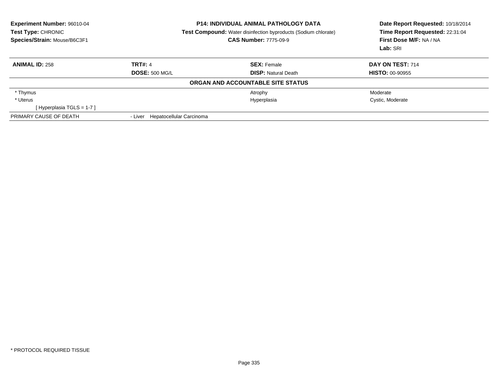| Experiment Number: 96010-04<br>Test Type: CHRONIC<br>Species/Strain: Mouse/B6C3F1 |                                  | <b>P14: INDIVIDUAL ANIMAL PATHOLOGY DATA</b><br>Test Compound: Water disinfection byproducts (Sodium chlorate)<br><b>CAS Number: 7775-09-9</b> | Date Report Requested: 10/18/2014<br>Time Report Requested: 22:31:04<br>First Dose M/F: NA / NA<br>Lab: SRI |
|-----------------------------------------------------------------------------------|----------------------------------|------------------------------------------------------------------------------------------------------------------------------------------------|-------------------------------------------------------------------------------------------------------------|
| <b>ANIMAL ID: 258</b>                                                             | <b>TRT#: 4</b>                   | <b>SEX: Female</b>                                                                                                                             | DAY ON TEST: 714                                                                                            |
|                                                                                   | <b>DOSE: 500 MG/L</b>            | <b>DISP:</b> Natural Death                                                                                                                     | <b>HISTO: 00-90955</b>                                                                                      |
|                                                                                   |                                  | ORGAN AND ACCOUNTABLE SITE STATUS                                                                                                              |                                                                                                             |
| * Thymus                                                                          |                                  | Atrophy                                                                                                                                        | Moderate                                                                                                    |
| * Uterus                                                                          |                                  | Hyperplasia                                                                                                                                    | Cystic, Moderate                                                                                            |
| [Hyperplasia TGLS = $1-7$ ]                                                       |                                  |                                                                                                                                                |                                                                                                             |
| PRIMARY CAUSE OF DEATH                                                            | - Liver Hepatocellular Carcinoma |                                                                                                                                                |                                                                                                             |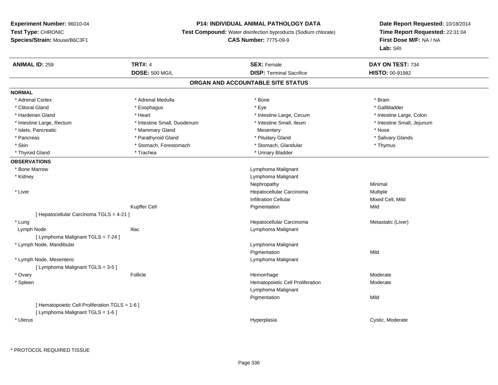# **P14: INDIVIDUAL ANIMAL PATHOLOGY DATA**

**Test Compound:** Water disinfection byproducts (Sodium chlorate)

**CAS Number:** 7775-09-9

| HISTO: 00-91982<br>ORGAN AND ACCOUNTABLE SITE STATUS<br>* Adrenal Cortex<br>* Adrenal Medulla<br>* Bone<br>* Brain<br>* Clitoral Gland<br>* Eye<br>* Gallbladder<br>* Esophagus<br>* Heart<br>* Intestine Large, Colon<br>* Harderian Gland<br>* Intestine Large, Cecum<br>* Intestine Small, Ileum<br>* Intestine Small, Jejunum<br>* Intestine Large, Rectum<br>* Intestine Small, Duodenum<br>* Islets, Pancreatic<br>* Mammary Gland<br>* Nose<br>Mesentery<br>* Parathyroid Gland<br>* Pituitary Gland<br>* Salivary Glands<br>* Pancreas<br>* Skin<br>* Stomach, Forestomach<br>* Stomach, Glandular<br>* Thymus<br>* Trachea<br>* Urinary Bladder<br>* Thyroid Gland<br>* Bone Marrow<br>Lymphoma Malignant<br>* Kidney<br>Lymphoma Malignant<br>Minimal<br>Nephropathy<br>* Liver<br>Hepatocellular Carcinoma<br>Multiple<br><b>Infiltration Cellular</b><br>Mixed Cell, Mild<br>Kupffer Cell<br>Mild<br>Pigmentation<br>[ Hepatocellular Carcinoma TGLS = 4-21 ]<br>* Lung<br>Hepatocellular Carcinoma<br>Metastatic (Liver)<br>Lymph Node<br><b>Iliac</b><br>Lymphoma Malignant<br>[ Lymphoma Malignant TGLS = 7-24 ]<br>* Lymph Node, Mandibular<br>Lymphoma Malignant<br>Pigmentation<br>Mild<br>* Lymph Node, Mesenteric<br>Lymphoma Malignant<br>[ Lymphoma Malignant TGLS = 3-5 ]<br>* Ovary<br>Follicle<br>Hemorrhage<br>Moderate<br>* Spleen<br>Hematopoietic Cell Proliferation<br>Moderate<br>Lymphoma Malignant<br>Mild<br>Pigmentation<br>[ Hematopoietic Cell Proliferation TGLS = 1-6 ]<br>[ Lymphoma Malignant TGLS = 1-6 ]<br>* Uterus<br>Cystic, Moderate<br>Hyperplasia | <b>ANIMAL ID: 259</b> | <b>TRT#: 4</b>        | <b>SEX: Female</b>              | DAY ON TEST: 734 |  |
|----------------------------------------------------------------------------------------------------------------------------------------------------------------------------------------------------------------------------------------------------------------------------------------------------------------------------------------------------------------------------------------------------------------------------------------------------------------------------------------------------------------------------------------------------------------------------------------------------------------------------------------------------------------------------------------------------------------------------------------------------------------------------------------------------------------------------------------------------------------------------------------------------------------------------------------------------------------------------------------------------------------------------------------------------------------------------------------------------------------------------------------------------------------------------------------------------------------------------------------------------------------------------------------------------------------------------------------------------------------------------------------------------------------------------------------------------------------------------------------------------------------------------------------------------------------------------------------------------|-----------------------|-----------------------|---------------------------------|------------------|--|
|                                                                                                                                                                                                                                                                                                                                                                                                                                                                                                                                                                                                                                                                                                                                                                                                                                                                                                                                                                                                                                                                                                                                                                                                                                                                                                                                                                                                                                                                                                                                                                                                    |                       | <b>DOSE: 500 MG/L</b> | <b>DISP: Terminal Sacrifice</b> |                  |  |
|                                                                                                                                                                                                                                                                                                                                                                                                                                                                                                                                                                                                                                                                                                                                                                                                                                                                                                                                                                                                                                                                                                                                                                                                                                                                                                                                                                                                                                                                                                                                                                                                    |                       |                       |                                 |                  |  |
|                                                                                                                                                                                                                                                                                                                                                                                                                                                                                                                                                                                                                                                                                                                                                                                                                                                                                                                                                                                                                                                                                                                                                                                                                                                                                                                                                                                                                                                                                                                                                                                                    | <b>NORMAL</b>         |                       |                                 |                  |  |
|                                                                                                                                                                                                                                                                                                                                                                                                                                                                                                                                                                                                                                                                                                                                                                                                                                                                                                                                                                                                                                                                                                                                                                                                                                                                                                                                                                                                                                                                                                                                                                                                    |                       |                       |                                 |                  |  |
|                                                                                                                                                                                                                                                                                                                                                                                                                                                                                                                                                                                                                                                                                                                                                                                                                                                                                                                                                                                                                                                                                                                                                                                                                                                                                                                                                                                                                                                                                                                                                                                                    |                       |                       |                                 |                  |  |
|                                                                                                                                                                                                                                                                                                                                                                                                                                                                                                                                                                                                                                                                                                                                                                                                                                                                                                                                                                                                                                                                                                                                                                                                                                                                                                                                                                                                                                                                                                                                                                                                    |                       |                       |                                 |                  |  |
|                                                                                                                                                                                                                                                                                                                                                                                                                                                                                                                                                                                                                                                                                                                                                                                                                                                                                                                                                                                                                                                                                                                                                                                                                                                                                                                                                                                                                                                                                                                                                                                                    |                       |                       |                                 |                  |  |
|                                                                                                                                                                                                                                                                                                                                                                                                                                                                                                                                                                                                                                                                                                                                                                                                                                                                                                                                                                                                                                                                                                                                                                                                                                                                                                                                                                                                                                                                                                                                                                                                    |                       |                       |                                 |                  |  |
|                                                                                                                                                                                                                                                                                                                                                                                                                                                                                                                                                                                                                                                                                                                                                                                                                                                                                                                                                                                                                                                                                                                                                                                                                                                                                                                                                                                                                                                                                                                                                                                                    |                       |                       |                                 |                  |  |
|                                                                                                                                                                                                                                                                                                                                                                                                                                                                                                                                                                                                                                                                                                                                                                                                                                                                                                                                                                                                                                                                                                                                                                                                                                                                                                                                                                                                                                                                                                                                                                                                    |                       |                       |                                 |                  |  |
|                                                                                                                                                                                                                                                                                                                                                                                                                                                                                                                                                                                                                                                                                                                                                                                                                                                                                                                                                                                                                                                                                                                                                                                                                                                                                                                                                                                                                                                                                                                                                                                                    |                       |                       |                                 |                  |  |
|                                                                                                                                                                                                                                                                                                                                                                                                                                                                                                                                                                                                                                                                                                                                                                                                                                                                                                                                                                                                                                                                                                                                                                                                                                                                                                                                                                                                                                                                                                                                                                                                    | <b>OBSERVATIONS</b>   |                       |                                 |                  |  |
|                                                                                                                                                                                                                                                                                                                                                                                                                                                                                                                                                                                                                                                                                                                                                                                                                                                                                                                                                                                                                                                                                                                                                                                                                                                                                                                                                                                                                                                                                                                                                                                                    |                       |                       |                                 |                  |  |
|                                                                                                                                                                                                                                                                                                                                                                                                                                                                                                                                                                                                                                                                                                                                                                                                                                                                                                                                                                                                                                                                                                                                                                                                                                                                                                                                                                                                                                                                                                                                                                                                    |                       |                       |                                 |                  |  |
|                                                                                                                                                                                                                                                                                                                                                                                                                                                                                                                                                                                                                                                                                                                                                                                                                                                                                                                                                                                                                                                                                                                                                                                                                                                                                                                                                                                                                                                                                                                                                                                                    |                       |                       |                                 |                  |  |
|                                                                                                                                                                                                                                                                                                                                                                                                                                                                                                                                                                                                                                                                                                                                                                                                                                                                                                                                                                                                                                                                                                                                                                                                                                                                                                                                                                                                                                                                                                                                                                                                    |                       |                       |                                 |                  |  |
|                                                                                                                                                                                                                                                                                                                                                                                                                                                                                                                                                                                                                                                                                                                                                                                                                                                                                                                                                                                                                                                                                                                                                                                                                                                                                                                                                                                                                                                                                                                                                                                                    |                       |                       |                                 |                  |  |
|                                                                                                                                                                                                                                                                                                                                                                                                                                                                                                                                                                                                                                                                                                                                                                                                                                                                                                                                                                                                                                                                                                                                                                                                                                                                                                                                                                                                                                                                                                                                                                                                    |                       |                       |                                 |                  |  |
|                                                                                                                                                                                                                                                                                                                                                                                                                                                                                                                                                                                                                                                                                                                                                                                                                                                                                                                                                                                                                                                                                                                                                                                                                                                                                                                                                                                                                                                                                                                                                                                                    |                       |                       |                                 |                  |  |
|                                                                                                                                                                                                                                                                                                                                                                                                                                                                                                                                                                                                                                                                                                                                                                                                                                                                                                                                                                                                                                                                                                                                                                                                                                                                                                                                                                                                                                                                                                                                                                                                    |                       |                       |                                 |                  |  |
|                                                                                                                                                                                                                                                                                                                                                                                                                                                                                                                                                                                                                                                                                                                                                                                                                                                                                                                                                                                                                                                                                                                                                                                                                                                                                                                                                                                                                                                                                                                                                                                                    |                       |                       |                                 |                  |  |
|                                                                                                                                                                                                                                                                                                                                                                                                                                                                                                                                                                                                                                                                                                                                                                                                                                                                                                                                                                                                                                                                                                                                                                                                                                                                                                                                                                                                                                                                                                                                                                                                    |                       |                       |                                 |                  |  |
|                                                                                                                                                                                                                                                                                                                                                                                                                                                                                                                                                                                                                                                                                                                                                                                                                                                                                                                                                                                                                                                                                                                                                                                                                                                                                                                                                                                                                                                                                                                                                                                                    |                       |                       |                                 |                  |  |
|                                                                                                                                                                                                                                                                                                                                                                                                                                                                                                                                                                                                                                                                                                                                                                                                                                                                                                                                                                                                                                                                                                                                                                                                                                                                                                                                                                                                                                                                                                                                                                                                    |                       |                       |                                 |                  |  |
|                                                                                                                                                                                                                                                                                                                                                                                                                                                                                                                                                                                                                                                                                                                                                                                                                                                                                                                                                                                                                                                                                                                                                                                                                                                                                                                                                                                                                                                                                                                                                                                                    |                       |                       |                                 |                  |  |
|                                                                                                                                                                                                                                                                                                                                                                                                                                                                                                                                                                                                                                                                                                                                                                                                                                                                                                                                                                                                                                                                                                                                                                                                                                                                                                                                                                                                                                                                                                                                                                                                    |                       |                       |                                 |                  |  |
|                                                                                                                                                                                                                                                                                                                                                                                                                                                                                                                                                                                                                                                                                                                                                                                                                                                                                                                                                                                                                                                                                                                                                                                                                                                                                                                                                                                                                                                                                                                                                                                                    |                       |                       |                                 |                  |  |
|                                                                                                                                                                                                                                                                                                                                                                                                                                                                                                                                                                                                                                                                                                                                                                                                                                                                                                                                                                                                                                                                                                                                                                                                                                                                                                                                                                                                                                                                                                                                                                                                    |                       |                       |                                 |                  |  |
|                                                                                                                                                                                                                                                                                                                                                                                                                                                                                                                                                                                                                                                                                                                                                                                                                                                                                                                                                                                                                                                                                                                                                                                                                                                                                                                                                                                                                                                                                                                                                                                                    |                       |                       |                                 |                  |  |
|                                                                                                                                                                                                                                                                                                                                                                                                                                                                                                                                                                                                                                                                                                                                                                                                                                                                                                                                                                                                                                                                                                                                                                                                                                                                                                                                                                                                                                                                                                                                                                                                    |                       |                       |                                 |                  |  |
|                                                                                                                                                                                                                                                                                                                                                                                                                                                                                                                                                                                                                                                                                                                                                                                                                                                                                                                                                                                                                                                                                                                                                                                                                                                                                                                                                                                                                                                                                                                                                                                                    |                       |                       |                                 |                  |  |
|                                                                                                                                                                                                                                                                                                                                                                                                                                                                                                                                                                                                                                                                                                                                                                                                                                                                                                                                                                                                                                                                                                                                                                                                                                                                                                                                                                                                                                                                                                                                                                                                    |                       |                       |                                 |                  |  |
|                                                                                                                                                                                                                                                                                                                                                                                                                                                                                                                                                                                                                                                                                                                                                                                                                                                                                                                                                                                                                                                                                                                                                                                                                                                                                                                                                                                                                                                                                                                                                                                                    |                       |                       |                                 |                  |  |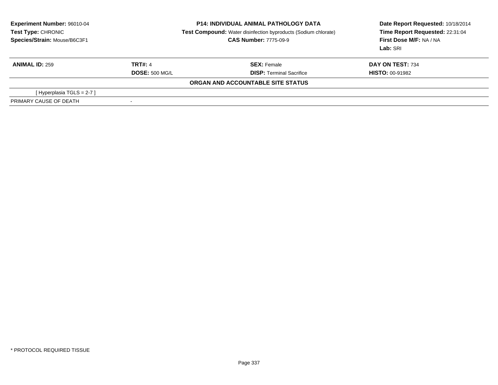| Experiment Number: 96010-04<br><b>Test Type: CHRONIC</b><br>Species/Strain: Mouse/B6C3F1 | <b>P14: INDIVIDUAL ANIMAL PATHOLOGY DATA</b><br><b>Test Compound:</b> Water disinfection byproducts (Sodium chlorate)<br><b>CAS Number: 7775-09-9</b> |                                   | Date Report Requested: 10/18/2014<br>Time Report Requested: 22:31:04<br>First Dose M/F: NA / NA<br>Lab: SRI |  |
|------------------------------------------------------------------------------------------|-------------------------------------------------------------------------------------------------------------------------------------------------------|-----------------------------------|-------------------------------------------------------------------------------------------------------------|--|
| <b>ANIMAL ID: 259</b>                                                                    | <b>TRT#: 4</b>                                                                                                                                        | <b>SEX:</b> Female                | DAY ON TEST: 734                                                                                            |  |
|                                                                                          | <b>DOSE: 500 MG/L</b>                                                                                                                                 | <b>DISP:</b> Terminal Sacrifice   | <b>HISTO: 00-91982</b>                                                                                      |  |
|                                                                                          |                                                                                                                                                       | ORGAN AND ACCOUNTABLE SITE STATUS |                                                                                                             |  |
| [Hyperplasia TGLS = $2-7$ ]                                                              |                                                                                                                                                       |                                   |                                                                                                             |  |
| PRIMARY CAUSE OF DEATH                                                                   | $\,$                                                                                                                                                  |                                   |                                                                                                             |  |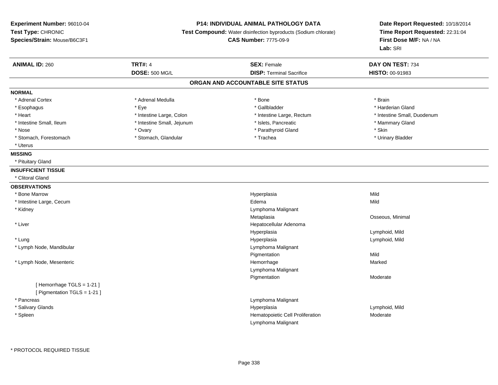#### **P14: INDIVIDUAL ANIMAL PATHOLOGY DATA**

**Test Compound:** Water disinfection byproducts (Sodium chlorate)

**CAS Number:** 7775-09-9

| <b>ANIMAL ID: 260</b>        | <b>TRT#: 4</b>             | <b>SEX: Female</b>                | DAY ON TEST: 734            |
|------------------------------|----------------------------|-----------------------------------|-----------------------------|
|                              | <b>DOSE: 500 MG/L</b>      | <b>DISP: Terminal Sacrifice</b>   | HISTO: 00-91983             |
|                              |                            | ORGAN AND ACCOUNTABLE SITE STATUS |                             |
| <b>NORMAL</b>                |                            |                                   |                             |
| * Adrenal Cortex             | * Adrenal Medulla          | * Bone                            | * Brain                     |
| * Esophagus                  | * Eye                      | * Gallbladder                     | * Harderian Gland           |
| * Heart                      | * Intestine Large, Colon   | * Intestine Large, Rectum         | * Intestine Small, Duodenum |
| * Intestine Small, Ileum     | * Intestine Small, Jejunum | * Islets, Pancreatic              | * Mammary Gland             |
| * Nose                       | * Ovary                    | * Parathyroid Gland               | * Skin                      |
| * Stomach, Forestomach       | * Stomach, Glandular       | * Trachea                         | * Urinary Bladder           |
| * Uterus                     |                            |                                   |                             |
| <b>MISSING</b>               |                            |                                   |                             |
| * Pituitary Gland            |                            |                                   |                             |
| <b>INSUFFICIENT TISSUE</b>   |                            |                                   |                             |
| * Clitoral Gland             |                            |                                   |                             |
| <b>OBSERVATIONS</b>          |                            |                                   |                             |
| * Bone Marrow                |                            | Hyperplasia                       | Mild                        |
| * Intestine Large, Cecum     |                            | Edema                             | Mild                        |
| * Kidney                     |                            | Lymphoma Malignant                |                             |
|                              |                            | Metaplasia                        | Osseous, Minimal            |
| * Liver                      |                            | Hepatocellular Adenoma            |                             |
|                              |                            | Hyperplasia                       | Lymphoid, Mild              |
| * Lung                       |                            | Hyperplasia                       | Lymphoid, Mild              |
| * Lymph Node, Mandibular     |                            | Lymphoma Malignant                |                             |
|                              |                            | Pigmentation                      | Mild                        |
| * Lymph Node, Mesenteric     |                            | Hemorrhage                        | Marked                      |
|                              |                            | Lymphoma Malignant                |                             |
|                              |                            | Pigmentation                      | Moderate                    |
| [Hemorrhage TGLS = 1-21]     |                            |                                   |                             |
| [ Pigmentation TGLS = 1-21 ] |                            |                                   |                             |
| * Pancreas                   |                            | Lymphoma Malignant                |                             |
| * Salivary Glands            |                            | Hyperplasia                       | Lymphoid, Mild              |
| * Spleen                     |                            | Hematopoietic Cell Proliferation  | Moderate                    |
|                              |                            | Lymphoma Malignant                |                             |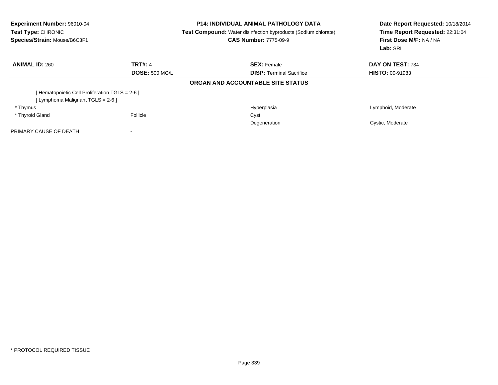| Experiment Number: 96010-04<br>Test Type: CHRONIC<br>Species/Strain: Mouse/B6C3F1 |                       | <b>P14: INDIVIDUAL ANIMAL PATHOLOGY DATA</b><br><b>Test Compound:</b> Water disinfection byproducts (Sodium chlorate)<br><b>CAS Number: 7775-09-9</b> | Date Report Requested: 10/18/2014<br>Time Report Requested: 22:31:04<br>First Dose M/F: NA / NA<br>Lab: SRI |  |
|-----------------------------------------------------------------------------------|-----------------------|-------------------------------------------------------------------------------------------------------------------------------------------------------|-------------------------------------------------------------------------------------------------------------|--|
| <b>ANIMAL ID: 260</b>                                                             | <b>TRT#: 4</b>        | <b>SEX: Female</b>                                                                                                                                    | <b>DAY ON TEST: 734</b>                                                                                     |  |
|                                                                                   | <b>DOSE: 500 MG/L</b> | <b>DISP:</b> Terminal Sacrifice                                                                                                                       | <b>HISTO: 00-91983</b>                                                                                      |  |
|                                                                                   |                       | ORGAN AND ACCOUNTABLE SITE STATUS                                                                                                                     |                                                                                                             |  |
| [ Hematopoietic Cell Proliferation TGLS = 2-6 ]                                   |                       |                                                                                                                                                       |                                                                                                             |  |
| [Lymphoma Malignant TGLS = 2-6 ]                                                  |                       |                                                                                                                                                       |                                                                                                             |  |
| * Thymus                                                                          |                       | Hyperplasia                                                                                                                                           | Lymphoid, Moderate                                                                                          |  |
| * Thyroid Gland                                                                   | Follicle              | Cyst                                                                                                                                                  |                                                                                                             |  |
|                                                                                   |                       | Degeneration                                                                                                                                          | Cystic, Moderate                                                                                            |  |
| PRIMARY CAUSE OF DEATH                                                            |                       |                                                                                                                                                       |                                                                                                             |  |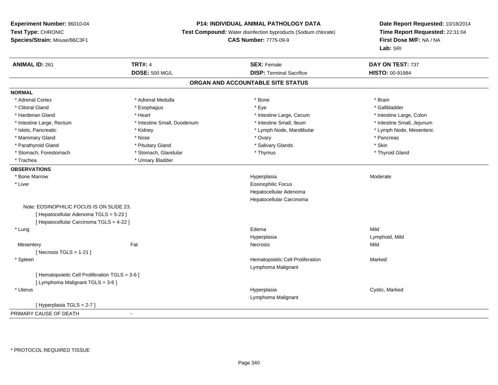# **P14: INDIVIDUAL ANIMAL PATHOLOGY DATA**

**Test Compound:** Water disinfection byproducts (Sodium chlorate)

**CAS Number:** 7775-09-9

| <b>ANIMAL ID: 261</b>                           | <b>TRT#: 4</b>              | <b>SEX: Female</b>                | DAY ON TEST: 737           |
|-------------------------------------------------|-----------------------------|-----------------------------------|----------------------------|
|                                                 | <b>DOSE: 500 MG/L</b>       | <b>DISP: Terminal Sacrifice</b>   | HISTO: 00-91984            |
|                                                 |                             | ORGAN AND ACCOUNTABLE SITE STATUS |                            |
| <b>NORMAL</b>                                   |                             |                                   |                            |
| * Adrenal Cortex                                | * Adrenal Medulla           | * Bone                            | * Brain                    |
| * Clitoral Gland                                | * Esophagus                 | * Eye                             | * Gallbladder              |
| * Harderian Gland                               | * Heart                     | * Intestine Large, Cecum          | * Intestine Large, Colon   |
| * Intestine Large, Rectum                       | * Intestine Small, Duodenum | * Intestine Small, Ileum          | * Intestine Small, Jejunum |
| * Islets, Pancreatic                            | * Kidney                    | * Lymph Node, Mandibular          | * Lymph Node, Mesenteric   |
| * Mammary Gland                                 | * Nose                      | * Ovary                           | * Pancreas                 |
| * Parathyroid Gland                             | * Pituitary Gland           | * Salivary Glands                 | * Skin                     |
| * Stomach, Forestomach                          | * Stomach, Glandular        | * Thymus                          | * Thyroid Gland            |
| * Trachea                                       | * Urinary Bladder           |                                   |                            |
| <b>OBSERVATIONS</b>                             |                             |                                   |                            |
| * Bone Marrow                                   |                             | Hyperplasia                       | Moderate                   |
| * Liver                                         |                             | <b>Eosinophilic Focus</b>         |                            |
|                                                 |                             | Hepatocellular Adenoma            |                            |
|                                                 |                             | Hepatocellular Carcinoma          |                            |
| Note: EOSINOPHILIC FOCUS IS ON SLIDE 23.        |                             |                                   |                            |
| [ Hepatocellular Adenoma TGLS = 5-23 ]          |                             |                                   |                            |
| [ Hepatocellular Carcinoma TGLS = 4-22 ]        |                             |                                   |                            |
| * Lung                                          |                             | Edema                             | Mild                       |
|                                                 |                             | Hyperplasia                       | Lymphoid, Mild             |
| Mesentery                                       | Fat                         | Necrosis                          | Mild                       |
| [ Necrosis $TGLS = 1-21$ ]                      |                             |                                   |                            |
| * Spleen                                        |                             | Hematopoietic Cell Proliferation  | Marked                     |
|                                                 |                             | Lymphoma Malignant                |                            |
| [ Hematopoietic Cell Proliferation TGLS = 3-6 ] |                             |                                   |                            |
| [ Lymphoma Malignant TGLS = 3-6 ]               |                             |                                   |                            |
| * Uterus                                        |                             | Hyperplasia                       | Cystic, Marked             |
|                                                 |                             | Lymphoma Malignant                |                            |
| [ Hyperplasia TGLS = 2-7 ]                      |                             |                                   |                            |
| PRIMARY CAUSE OF DEATH                          | $\blacksquare$              |                                   |                            |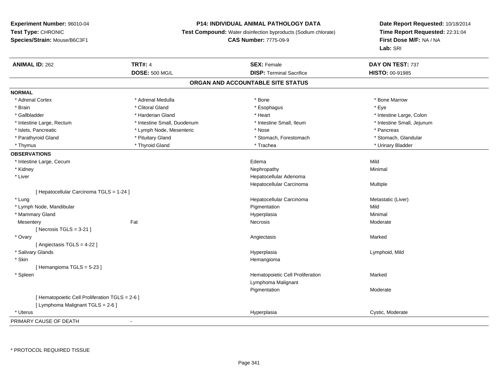# **P14: INDIVIDUAL ANIMAL PATHOLOGY DATA**

**Test Compound:** Water disinfection byproducts (Sodium chlorate)

# **CAS Number:** 7775-09-9

| <b>ANIMAL ID: 262</b>                           | <b>TRT#: 4</b>              | <b>SEX: Female</b>                | DAY ON TEST: 737           |
|-------------------------------------------------|-----------------------------|-----------------------------------|----------------------------|
|                                                 | <b>DOSE: 500 MG/L</b>       | <b>DISP: Terminal Sacrifice</b>   | HISTO: 00-91985            |
|                                                 |                             | ORGAN AND ACCOUNTABLE SITE STATUS |                            |
| <b>NORMAL</b>                                   |                             |                                   |                            |
| * Adrenal Cortex                                | * Adrenal Medulla           | * Bone                            | * Bone Marrow              |
| * Brain                                         | * Clitoral Gland            | * Esophagus                       | * Eye                      |
| * Gallbladder                                   | * Harderian Gland           | * Heart                           | * Intestine Large, Colon   |
| * Intestine Large, Rectum                       | * Intestine Small, Duodenum | * Intestine Small, Ileum          | * Intestine Small, Jejunum |
| * Islets, Pancreatic                            | * Lymph Node, Mesenteric    | * Nose                            | * Pancreas                 |
| * Parathyroid Gland                             | * Pituitary Gland           | * Stomach, Forestomach            | * Stomach, Glandular       |
| * Thymus                                        | * Thyroid Gland             | * Trachea                         | * Urinary Bladder          |
| <b>OBSERVATIONS</b>                             |                             |                                   |                            |
| * Intestine Large, Cecum                        |                             | Edema                             | Mild                       |
| * Kidney                                        |                             | Nephropathy                       | Minimal                    |
| * Liver                                         |                             | Hepatocellular Adenoma            |                            |
|                                                 |                             | Hepatocellular Carcinoma          | Multiple                   |
| [ Hepatocellular Carcinoma TGLS = 1-24 ]        |                             |                                   |                            |
| * Lung                                          |                             | Hepatocellular Carcinoma          | Metastatic (Liver)         |
| * Lymph Node, Mandibular                        |                             | Pigmentation                      | Mild                       |
| * Mammary Gland                                 |                             | Hyperplasia                       | Minimal                    |
| Mesentery                                       | Fat                         | Necrosis                          | Moderate                   |
| [Necrosis TGLS = $3-21$ ]                       |                             |                                   |                            |
| * Ovary                                         |                             | Angiectasis                       | Marked                     |
| [ Angiectasis TGLS = 4-22 ]                     |                             |                                   |                            |
| * Salivary Glands                               |                             | Hyperplasia                       | Lymphoid, Mild             |
| * Skin                                          |                             | Hemangioma                        |                            |
| [Hemangioma TGLS = 5-23]                        |                             |                                   |                            |
| * Spleen                                        |                             | Hematopoietic Cell Proliferation  | Marked                     |
|                                                 |                             | Lymphoma Malignant                |                            |
|                                                 |                             | Pigmentation                      | Moderate                   |
| [ Hematopoietic Cell Proliferation TGLS = 2-6 ] |                             |                                   |                            |
| [ Lymphoma Malignant TGLS = 2-6 ]               |                             |                                   |                            |
| * Uterus                                        |                             | Hyperplasia                       | Cystic, Moderate           |
| PRIMARY CAUSE OF DEATH                          | $\blacksquare$              |                                   |                            |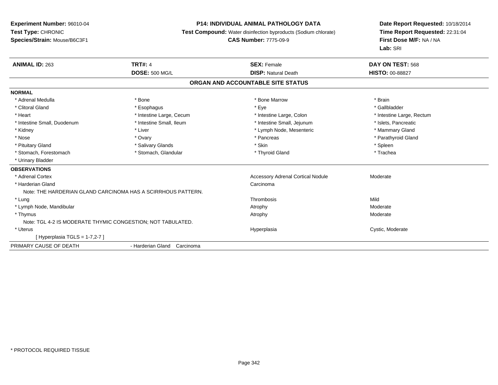#### **P14: INDIVIDUAL ANIMAL PATHOLOGY DATA**

**Test Compound:** Water disinfection byproducts (Sodium chlorate)

**CAS Number:** 7775-09-9

| <b>ANIMAL ID: 263</b>                                       | <b>TRT#: 4</b>                                               | <b>SEX: Female</b>                       | DAY ON TEST: 568          |
|-------------------------------------------------------------|--------------------------------------------------------------|------------------------------------------|---------------------------|
|                                                             | <b>DOSE: 500 MG/L</b>                                        | <b>DISP: Natural Death</b>               | <b>HISTO: 00-88827</b>    |
|                                                             |                                                              | ORGAN AND ACCOUNTABLE SITE STATUS        |                           |
| <b>NORMAL</b>                                               |                                                              |                                          |                           |
| * Adrenal Medulla                                           | * Bone                                                       | * Bone Marrow                            | * Brain                   |
| * Clitoral Gland                                            | * Esophagus                                                  | * Eye                                    | * Gallbladder             |
| * Heart                                                     | * Intestine Large, Cecum                                     | * Intestine Large, Colon                 | * Intestine Large, Rectum |
| * Intestine Small, Duodenum                                 | * Intestine Small, Ileum                                     | * Intestine Small, Jejunum               | * Islets, Pancreatic      |
| * Kidney                                                    | * Liver                                                      | * Lymph Node, Mesenteric                 | * Mammary Gland           |
| * Nose                                                      | * Ovary                                                      | * Pancreas                               | * Parathyroid Gland       |
| * Pituitary Gland                                           | * Salivary Glands                                            | * Skin                                   | * Spleen                  |
| * Stomach, Forestomach                                      | * Stomach, Glandular                                         | * Thyroid Gland                          | * Trachea                 |
| * Urinary Bladder                                           |                                                              |                                          |                           |
| <b>OBSERVATIONS</b>                                         |                                                              |                                          |                           |
| * Adrenal Cortex                                            |                                                              | <b>Accessory Adrenal Cortical Nodule</b> | Moderate                  |
| * Harderian Gland                                           |                                                              | Carcinoma                                |                           |
|                                                             | Note: THE HARDERIAN GLAND CARCINOMA HAS A SCIRRHOUS PATTERN. |                                          |                           |
| * Lung                                                      |                                                              | Thrombosis                               | Mild                      |
| * Lymph Node, Mandibular                                    |                                                              | Atrophy                                  | Moderate                  |
| * Thymus                                                    |                                                              | Atrophy                                  | Moderate                  |
| Note: TGL 4-2 IS MODERATE THYMIC CONGESTION; NOT TABULATED. |                                                              |                                          |                           |
| * Uterus                                                    |                                                              | Hyperplasia                              | Cystic, Moderate          |
| [Hyperplasia TGLS = 1-7,2-7 ]                               |                                                              |                                          |                           |
| PRIMARY CAUSE OF DEATH                                      | - Harderian Gland Carcinoma                                  |                                          |                           |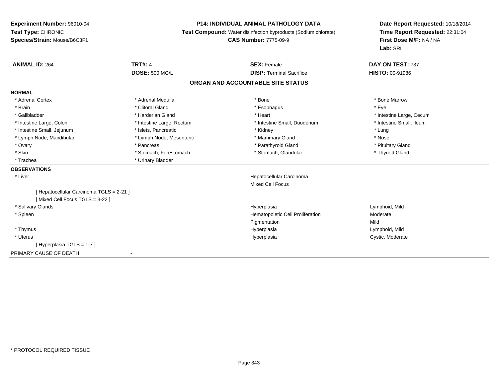# **P14: INDIVIDUAL ANIMAL PATHOLOGY DATA**

**Test Compound:** Water disinfection byproducts (Sodium chlorate)

**CAS Number:** 7775-09-9

| <b>ANIMAL ID: 264</b>                                                      | <b>TRT#: 4</b>            | <b>SEX: Female</b>                | DAY ON TEST: 737         |
|----------------------------------------------------------------------------|---------------------------|-----------------------------------|--------------------------|
|                                                                            | <b>DOSE: 500 MG/L</b>     | <b>DISP: Terminal Sacrifice</b>   | <b>HISTO: 00-91986</b>   |
|                                                                            |                           | ORGAN AND ACCOUNTABLE SITE STATUS |                          |
| <b>NORMAL</b>                                                              |                           |                                   |                          |
| * Adrenal Cortex                                                           | * Adrenal Medulla         | * Bone                            | * Bone Marrow            |
| * Brain                                                                    | * Clitoral Gland          | * Esophagus                       | * Eye                    |
| * Gallbladder                                                              | * Harderian Gland         | * Heart                           | * Intestine Large, Cecum |
| * Intestine Large, Colon                                                   | * Intestine Large, Rectum | * Intestine Small, Duodenum       | * Intestine Small, Ileum |
| * Intestine Small, Jejunum                                                 | * Islets, Pancreatic      | * Kidney                          | * Lung                   |
| * Lymph Node, Mandibular                                                   | * Lymph Node, Mesenteric  | * Mammary Gland                   | * Nose                   |
| * Ovary                                                                    | * Pancreas                | * Parathyroid Gland               | * Pituitary Gland        |
| * Skin                                                                     | * Stomach, Forestomach    | * Stomach, Glandular              | * Thyroid Gland          |
| * Trachea                                                                  | * Urinary Bladder         |                                   |                          |
| <b>OBSERVATIONS</b>                                                        |                           |                                   |                          |
| * Liver                                                                    |                           | Hepatocellular Carcinoma          |                          |
|                                                                            |                           | <b>Mixed Cell Focus</b>           |                          |
| [ Hepatocellular Carcinoma TGLS = 2-21 ]<br>[Mixed Cell Focus TGLS = 3-22] |                           |                                   |                          |
| * Salivary Glands                                                          |                           | Hyperplasia                       | Lymphoid, Mild           |
| * Spleen                                                                   |                           | Hematopoietic Cell Proliferation  | Moderate                 |
|                                                                            |                           | Pigmentation                      | Mild                     |
| * Thymus                                                                   |                           | Hyperplasia                       | Lymphoid, Mild           |
| * Uterus                                                                   |                           | Hyperplasia                       | Cystic, Moderate         |
| [Hyperplasia TGLS = 1-7]                                                   |                           |                                   |                          |
| PRIMARY CAUSE OF DEATH                                                     |                           |                                   |                          |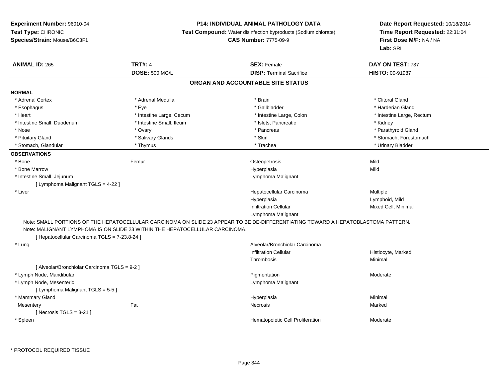# **P14: INDIVIDUAL ANIMAL PATHOLOGY DATA**

**Test Compound:** Water disinfection byproducts (Sodium chlorate)

**CAS Number:** 7775-09-9

| <b>ANIMAL ID: 265</b>                         | <b>TRT#: 4</b>                                                               | <b>SEX: Female</b>                                                                                                                | DAY ON TEST: 737<br>HISTO: 00-91987 |
|-----------------------------------------------|------------------------------------------------------------------------------|-----------------------------------------------------------------------------------------------------------------------------------|-------------------------------------|
|                                               | <b>DOSE: 500 MG/L</b>                                                        | <b>DISP: Terminal Sacrifice</b>                                                                                                   |                                     |
|                                               |                                                                              | ORGAN AND ACCOUNTABLE SITE STATUS                                                                                                 |                                     |
| <b>NORMAL</b>                                 |                                                                              |                                                                                                                                   |                                     |
| * Adrenal Cortex                              | * Adrenal Medulla                                                            | * Brain                                                                                                                           | * Clitoral Gland                    |
| * Esophagus                                   | * Eye                                                                        | * Gallbladder                                                                                                                     | * Harderian Gland                   |
| * Heart                                       | * Intestine Large, Cecum                                                     | * Intestine Large, Colon                                                                                                          | * Intestine Large, Rectum           |
| * Intestine Small, Duodenum                   | * Intestine Small, Ileum                                                     | * Islets, Pancreatic                                                                                                              | * Kidney                            |
| * Nose                                        | * Ovary                                                                      | * Pancreas                                                                                                                        | * Parathyroid Gland                 |
| * Pituitary Gland                             | * Salivary Glands                                                            | * Skin                                                                                                                            | * Stomach, Forestomach              |
| * Stomach, Glandular                          | * Thymus                                                                     | * Trachea                                                                                                                         | * Urinary Bladder                   |
| <b>OBSERVATIONS</b>                           |                                                                              |                                                                                                                                   |                                     |
| * Bone                                        | Femur                                                                        | Osteopetrosis                                                                                                                     | Mild                                |
| * Bone Marrow                                 |                                                                              | Hyperplasia                                                                                                                       | Mild                                |
| * Intestine Small, Jejunum                    |                                                                              | Lymphoma Malignant                                                                                                                |                                     |
| [ Lymphoma Malignant TGLS = 4-22 ]            |                                                                              |                                                                                                                                   |                                     |
| * Liver                                       |                                                                              | Hepatocellular Carcinoma                                                                                                          | Multiple                            |
|                                               |                                                                              | Hyperplasia                                                                                                                       | Lymphoid, Mild                      |
|                                               |                                                                              | <b>Infiltration Cellular</b>                                                                                                      | Mixed Cell, Minimal                 |
|                                               |                                                                              | Lymphoma Malignant                                                                                                                |                                     |
|                                               |                                                                              | Note: SMALL PORTIONS OF THE HEPATOCELLULAR CARCINOMA ON SLIDE 23 APPEAR TO BE DE-DIFFERENTIATING TOWARD A HEPATOBLASTOMA PATTERN. |                                     |
|                                               | Note: MALIGNANT LYMPHOMA IS ON SLIDE 23 WITHIN THE HEPATOCELLULAR CARCINOMA. |                                                                                                                                   |                                     |
| [ Hepatocellular Carcinoma TGLS = 7-23,8-24 ] |                                                                              |                                                                                                                                   |                                     |
| * Lung                                        |                                                                              | Alveolar/Bronchiolar Carcinoma                                                                                                    |                                     |
|                                               |                                                                              | <b>Infiltration Cellular</b>                                                                                                      | Histiocyte, Marked                  |
|                                               |                                                                              | Thrombosis                                                                                                                        | Minimal                             |
| [ Alveolar/Bronchiolar Carcinoma TGLS = 9-2 ] |                                                                              |                                                                                                                                   |                                     |
| * Lymph Node, Mandibular                      |                                                                              | Pigmentation                                                                                                                      | Moderate                            |
| * Lymph Node, Mesenteric                      |                                                                              | Lymphoma Malignant                                                                                                                |                                     |
| [ Lymphoma Malignant TGLS = 5-5 ]             |                                                                              |                                                                                                                                   |                                     |
| * Mammary Gland                               |                                                                              | Hyperplasia                                                                                                                       | Minimal                             |
| Mesentery                                     | Fat                                                                          | Necrosis                                                                                                                          | Marked                              |
| [ Necrosis TGLS = $3-21$ ]                    |                                                                              |                                                                                                                                   |                                     |
| * Spleen                                      |                                                                              | Hematopoietic Cell Proliferation                                                                                                  | Moderate                            |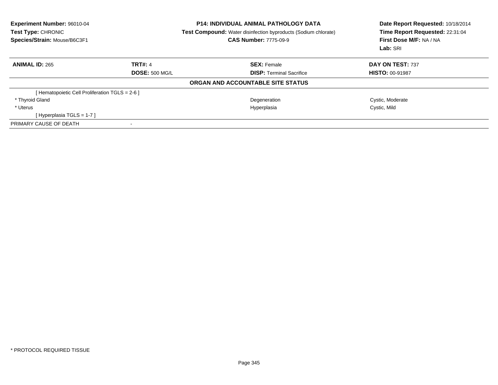| Experiment Number: 96010-04<br>Test Type: CHRONIC<br>Species/Strain: Mouse/B6C3F1 |                       | <b>P14: INDIVIDUAL ANIMAL PATHOLOGY DATA</b><br><b>Test Compound:</b> Water disinfection byproducts (Sodium chlorate)<br><b>CAS Number: 7775-09-9</b> | Date Report Requested: 10/18/2014<br>Time Report Requested: 22:31:04<br>First Dose M/F: NA / NA<br>Lab: SRI |
|-----------------------------------------------------------------------------------|-----------------------|-------------------------------------------------------------------------------------------------------------------------------------------------------|-------------------------------------------------------------------------------------------------------------|
| <b>ANIMAL ID: 265</b>                                                             | <b>TRT#: 4</b>        | <b>SEX: Female</b>                                                                                                                                    | DAY ON TEST: 737                                                                                            |
|                                                                                   | <b>DOSE: 500 MG/L</b> | <b>DISP:</b> Terminal Sacrifice                                                                                                                       | <b>HISTO: 00-91987</b>                                                                                      |
|                                                                                   |                       | ORGAN AND ACCOUNTABLE SITE STATUS                                                                                                                     |                                                                                                             |
| [ Hematopoietic Cell Proliferation TGLS = 2-6 ]                                   |                       |                                                                                                                                                       |                                                                                                             |
| * Thyroid Gland                                                                   |                       | Degeneration                                                                                                                                          | Cystic, Moderate                                                                                            |
| * Uterus                                                                          |                       | Hyperplasia                                                                                                                                           | Cystic, Mild                                                                                                |
| [Hyperplasia TGLS = $1-7$ ]                                                       |                       |                                                                                                                                                       |                                                                                                             |
| PRIMARY CAUSE OF DEATH                                                            |                       |                                                                                                                                                       |                                                                                                             |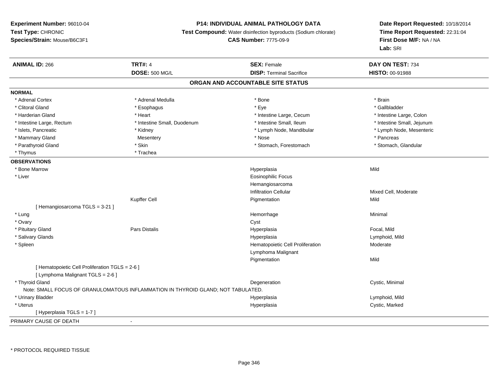# **P14: INDIVIDUAL ANIMAL PATHOLOGY DATA**

**Test Compound:** Water disinfection byproducts (Sodium chlorate)

# **CAS Number:** 7775-09-9

| <b>ANIMAL ID: 266</b>                           | <b>TRT#: 4</b>                                                                   | <b>SEX: Female</b>                | DAY ON TEST: 734           |
|-------------------------------------------------|----------------------------------------------------------------------------------|-----------------------------------|----------------------------|
|                                                 | <b>DOSE: 500 MG/L</b>                                                            | <b>DISP: Terminal Sacrifice</b>   | HISTO: 00-91988            |
|                                                 |                                                                                  | ORGAN AND ACCOUNTABLE SITE STATUS |                            |
| <b>NORMAL</b>                                   |                                                                                  |                                   |                            |
| * Adrenal Cortex                                | * Adrenal Medulla                                                                | * Bone                            | * Brain                    |
| * Clitoral Gland                                | * Esophagus                                                                      | * Eye                             | * Gallbladder              |
| * Harderian Gland                               | * Heart                                                                          | * Intestine Large, Cecum          | * Intestine Large, Colon   |
| * Intestine Large, Rectum                       | * Intestine Small, Duodenum                                                      | * Intestine Small, Ileum          | * Intestine Small, Jejunum |
| * Islets, Pancreatic                            | * Kidney                                                                         | * Lymph Node, Mandibular          | * Lymph Node, Mesenteric   |
| * Mammary Gland                                 | Mesentery                                                                        | * Nose                            | * Pancreas                 |
| * Parathyroid Gland                             | * Skin                                                                           | * Stomach, Forestomach            | * Stomach, Glandular       |
| * Thymus                                        | * Trachea                                                                        |                                   |                            |
| <b>OBSERVATIONS</b>                             |                                                                                  |                                   |                            |
| * Bone Marrow                                   |                                                                                  | Hyperplasia                       | Mild                       |
| * Liver                                         |                                                                                  | <b>Eosinophilic Focus</b>         |                            |
|                                                 |                                                                                  | Hemangiosarcoma                   |                            |
|                                                 |                                                                                  | <b>Infiltration Cellular</b>      | Mixed Cell, Moderate       |
|                                                 | <b>Kupffer Cell</b>                                                              | Pigmentation                      | Mild                       |
| [ Hemangiosarcoma TGLS = 3-21 ]                 |                                                                                  |                                   |                            |
| * Lung                                          |                                                                                  | Hemorrhage                        | Minimal                    |
| * Ovary                                         |                                                                                  | Cyst                              |                            |
| * Pituitary Gland                               | <b>Pars Distalis</b>                                                             | Hyperplasia                       | Focal, Mild                |
| * Salivary Glands                               |                                                                                  | Hyperplasia                       | Lymphoid, Mild             |
| * Spleen                                        |                                                                                  | Hematopoietic Cell Proliferation  | Moderate                   |
|                                                 |                                                                                  | Lymphoma Malignant                |                            |
|                                                 |                                                                                  | Pigmentation                      | Mild                       |
| [ Hematopoietic Cell Proliferation TGLS = 2-6 ] |                                                                                  |                                   |                            |
| [ Lymphoma Malignant TGLS = 2-6 ]               |                                                                                  |                                   |                            |
| * Thyroid Gland                                 |                                                                                  | Degeneration                      | Cystic, Minimal            |
|                                                 | Note: SMALL FOCUS OF GRANULOMATOUS INFLAMMATION IN THYROID GLAND; NOT TABULATED. |                                   |                            |
| * Urinary Bladder                               |                                                                                  | Hyperplasia                       | Lymphoid, Mild             |
| * Uterus                                        |                                                                                  | Hyperplasia                       | Cystic, Marked             |
| [Hyperplasia TGLS = 1-7]                        |                                                                                  |                                   |                            |
| PRIMARY CAUSE OF DEATH                          | $\sim$                                                                           |                                   |                            |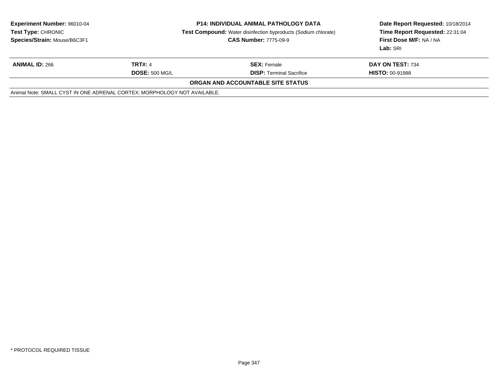| <b>Experiment Number: 96010-04</b><br><b>Test Type: CHRONIC</b><br>Species/Strain: Mouse/B6C3F1 | <b>P14: INDIVIDUAL ANIMAL PATHOLOGY DATA</b><br><b>Test Compound:</b> Water disinfection byproducts (Sodium chlorate)<br><b>CAS Number: 7775-09-9</b> |                                          | Date Report Requested: 10/18/2014<br>Time Report Requested: 22:31:04<br><b>First Dose M/F: NA / NA</b><br>Lab: SRI |
|-------------------------------------------------------------------------------------------------|-------------------------------------------------------------------------------------------------------------------------------------------------------|------------------------------------------|--------------------------------------------------------------------------------------------------------------------|
| <b>ANIMAL ID: 266</b>                                                                           | <b>TRT#: 4</b>                                                                                                                                        | <b>SEX: Female</b>                       | DAY ON TEST: 734                                                                                                   |
|                                                                                                 | <b>DOSE: 500 MG/L</b>                                                                                                                                 | <b>DISP: Terminal Sacrifice</b>          | <b>HISTO: 00-91988</b>                                                                                             |
|                                                                                                 |                                                                                                                                                       | <b>ORGAN AND ACCOUNTABLE SITE STATUS</b> |                                                                                                                    |
| Animal Note: SMALL CYST IN ONE ADRENAL CORTEX; MORPHOLOGY NOT AVAILABLE.                        |                                                                                                                                                       |                                          |                                                                                                                    |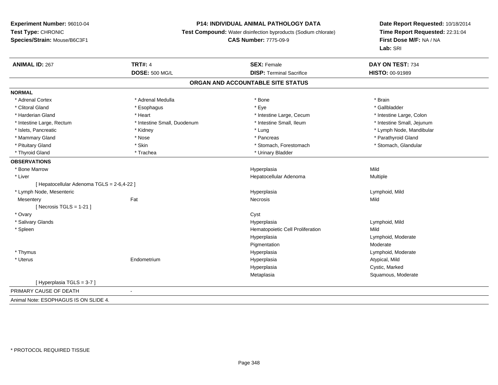# **P14: INDIVIDUAL ANIMAL PATHOLOGY DATA**

**Test Compound:** Water disinfection byproducts (Sodium chlorate)

#### **CAS Number:** 7775-09-9

| <b>ANIMAL ID: 267</b>                      | <b>TRT#: 4</b>              | <b>SEX: Female</b><br><b>DISP: Terminal Sacrifice</b> | DAY ON TEST: 734           |
|--------------------------------------------|-----------------------------|-------------------------------------------------------|----------------------------|
|                                            | <b>DOSE: 500 MG/L</b>       |                                                       | HISTO: 00-91989            |
|                                            |                             | ORGAN AND ACCOUNTABLE SITE STATUS                     |                            |
| <b>NORMAL</b>                              |                             |                                                       |                            |
| * Adrenal Cortex                           | * Adrenal Medulla           | * Bone                                                | * Brain                    |
| * Clitoral Gland                           | * Esophagus                 | * Eye                                                 | * Gallbladder              |
| * Harderian Gland                          | * Heart                     | * Intestine Large, Cecum                              | * Intestine Large, Colon   |
| * Intestine Large, Rectum                  | * Intestine Small, Duodenum | * Intestine Small, Ileum                              | * Intestine Small, Jejunum |
| * Islets, Pancreatic                       | * Kidney                    | * Lung                                                | * Lymph Node, Mandibular   |
| * Mammary Gland                            | * Nose                      | * Pancreas                                            | * Parathyroid Gland        |
| * Pituitary Gland                          | * Skin                      | * Stomach, Forestomach                                | * Stomach, Glandular       |
| * Thyroid Gland                            | * Trachea                   | * Urinary Bladder                                     |                            |
| <b>OBSERVATIONS</b>                        |                             |                                                       |                            |
| * Bone Marrow                              |                             | Hyperplasia                                           | Mild                       |
| * Liver                                    |                             | Hepatocellular Adenoma                                | <b>Multiple</b>            |
| [ Hepatocellular Adenoma TGLS = 2-6,4-22 ] |                             |                                                       |                            |
| * Lymph Node, Mesenteric                   |                             | Hyperplasia                                           | Lymphoid, Mild             |
| Mesentery                                  | Fat                         | Necrosis                                              | Mild                       |
| [ Necrosis TGLS = $1-21$ ]                 |                             |                                                       |                            |
| * Ovary                                    |                             | Cyst                                                  |                            |
| * Salivary Glands                          |                             | Hyperplasia                                           | Lymphoid, Mild             |
| * Spleen                                   |                             | Hematopoietic Cell Proliferation                      | Mild                       |
|                                            |                             | Hyperplasia                                           | Lymphoid, Moderate         |
|                                            |                             | Pigmentation                                          | Moderate                   |
| * Thymus                                   |                             | Hyperplasia                                           | Lymphoid, Moderate         |
| * Uterus                                   | Endometrium                 | Hyperplasia                                           | Atypical, Mild             |
|                                            |                             | Hyperplasia                                           | Cystic, Marked             |
|                                            |                             | Metaplasia                                            | Squamous, Moderate         |
| [Hyperplasia TGLS = 3-7]                   |                             |                                                       |                            |
| PRIMARY CAUSE OF DEATH                     | $\sim$                      |                                                       |                            |
| Animal Note: ESOPHAGUS IS ON SLIDE 4.      |                             |                                                       |                            |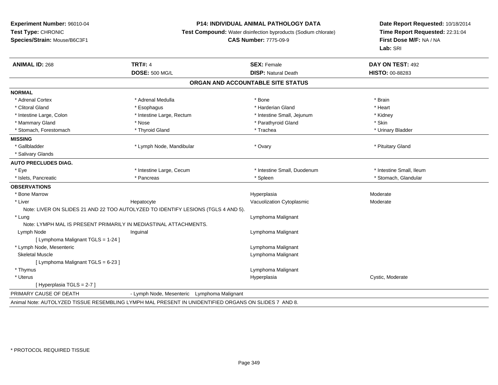# **P14: INDIVIDUAL ANIMAL PATHOLOGY DATA**

**Test Compound:** Water disinfection byproducts (Sodium chlorate)

**CAS Number:** 7775-09-9

| <b>ANIMAL ID: 268</b>              | <b>TRT#: 4</b>                                                                                       | <b>SEX: Female</b>                | DAY ON TEST: 492         |
|------------------------------------|------------------------------------------------------------------------------------------------------|-----------------------------------|--------------------------|
|                                    | <b>DOSE: 500 MG/L</b>                                                                                | <b>DISP: Natural Death</b>        | <b>HISTO: 00-88283</b>   |
|                                    |                                                                                                      | ORGAN AND ACCOUNTABLE SITE STATUS |                          |
| <b>NORMAL</b>                      |                                                                                                      |                                   |                          |
| * Adrenal Cortex                   | * Adrenal Medulla                                                                                    | * Bone                            | * Brain                  |
| * Clitoral Gland                   | * Esophagus                                                                                          | * Harderian Gland                 | * Heart                  |
| * Intestine Large, Colon           | * Intestine Large, Rectum                                                                            | * Intestine Small, Jejunum        | * Kidney                 |
| * Mammary Gland                    | * Nose                                                                                               | * Parathyroid Gland               | * Skin                   |
| * Stomach, Forestomach             | * Thyroid Gland                                                                                      | * Trachea                         | * Urinary Bladder        |
| <b>MISSING</b>                     |                                                                                                      |                                   |                          |
| * Gallbladder                      | * Lymph Node, Mandibular                                                                             | * Ovary                           | * Pituitary Gland        |
| * Salivary Glands                  |                                                                                                      |                                   |                          |
| <b>AUTO PRECLUDES DIAG.</b>        |                                                                                                      |                                   |                          |
| * Eye                              | * Intestine Large, Cecum                                                                             | * Intestine Small, Duodenum       | * Intestine Small, Ileum |
| * Islets, Pancreatic               | * Pancreas                                                                                           | * Spleen                          | * Stomach, Glandular     |
| <b>OBSERVATIONS</b>                |                                                                                                      |                                   |                          |
| * Bone Marrow                      |                                                                                                      | Hyperplasia                       | Moderate                 |
| * Liver                            | Hepatocyte                                                                                           | Vacuolization Cytoplasmic         | Moderate                 |
|                                    | Note: LIVER ON SLIDES 21 AND 22 TOO AUTOLYZED TO IDENTIFY LESIONS (TGLS 4 AND 5).                    |                                   |                          |
| * Lung                             |                                                                                                      | Lymphoma Malignant                |                          |
|                                    | Note: LYMPH MAL IS PRESENT PRIMARILY IN MEDIASTINAL ATTACHMENTS.                                     |                                   |                          |
| Lymph Node                         | Inguinal                                                                                             | Lymphoma Malignant                |                          |
| [ Lymphoma Malignant TGLS = 1-24 ] |                                                                                                      |                                   |                          |
| * Lymph Node, Mesenteric           |                                                                                                      | Lymphoma Malignant                |                          |
| <b>Skeletal Muscle</b>             |                                                                                                      | Lymphoma Malignant                |                          |
| [ Lymphoma Malignant TGLS = 6-23 ] |                                                                                                      |                                   |                          |
| * Thymus                           |                                                                                                      | Lymphoma Malignant                |                          |
| * Uterus                           |                                                                                                      | Hyperplasia                       | Cystic, Moderate         |
| [Hyperplasia TGLS = $2-7$ ]        |                                                                                                      |                                   |                          |
| PRIMARY CAUSE OF DEATH             | - Lymph Node, Mesenteric<br>Lymphoma Malignant                                                       |                                   |                          |
|                                    | Animal Note: AUTOLYZED TISSUE RESEMBLING LYMPH MAL PRESENT IN UNIDENTIFIED ORGANS ON SLIDES 7 AND 8. |                                   |                          |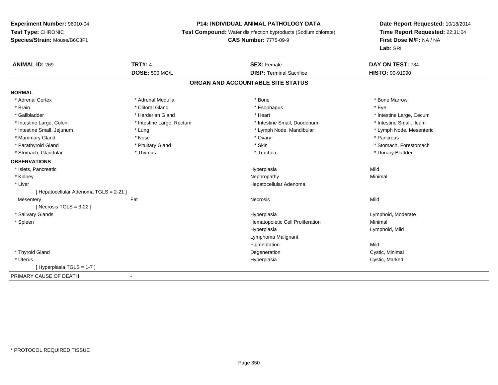# **P14: INDIVIDUAL ANIMAL PATHOLOGY DATA**

**Test Compound:** Water disinfection byproducts (Sodium chlorate)

# **CAS Number:** 7775-09-9

| <b>ANIMAL ID: 269</b>                  | <b>TRT#: 4</b>            | <b>SEX: Female</b>               | DAY ON TEST: 734         |  |  |  |
|----------------------------------------|---------------------------|----------------------------------|--------------------------|--|--|--|
|                                        | <b>DOSE: 500 MG/L</b>     | <b>DISP: Terminal Sacrifice</b>  | <b>HISTO: 00-91990</b>   |  |  |  |
| ORGAN AND ACCOUNTABLE SITE STATUS      |                           |                                  |                          |  |  |  |
| <b>NORMAL</b>                          |                           |                                  |                          |  |  |  |
| * Adrenal Cortex                       | * Adrenal Medulla         | * Bone                           | * Bone Marrow            |  |  |  |
| * Brain                                | * Clitoral Gland          | * Esophagus                      | * Eye                    |  |  |  |
| * Gallbladder                          | * Harderian Gland         | * Heart                          | * Intestine Large, Cecum |  |  |  |
| * Intestine Large, Colon               | * Intestine Large, Rectum | * Intestine Small, Duodenum      | * Intestine Small, Ileum |  |  |  |
| * Intestine Small, Jejunum             | * Lung                    | * Lymph Node, Mandibular         | * Lymph Node, Mesenteric |  |  |  |
| * Mammary Gland                        | * Nose                    | * Ovary                          | * Pancreas               |  |  |  |
| * Parathyroid Gland                    | * Pituitary Gland         | * Skin                           | * Stomach, Forestomach   |  |  |  |
| * Stomach, Glandular                   | * Thymus                  | * Trachea                        | * Urinary Bladder        |  |  |  |
| <b>OBSERVATIONS</b>                    |                           |                                  |                          |  |  |  |
| * Islets, Pancreatic                   |                           | Hyperplasia                      | Mild                     |  |  |  |
| * Kidney                               |                           | Nephropathy                      | Minimal                  |  |  |  |
| * Liver                                |                           | Hepatocellular Adenoma           |                          |  |  |  |
| [ Hepatocellular Adenoma TGLS = 2-21 ] |                           |                                  |                          |  |  |  |
| Mesentery                              | Fat                       | Necrosis                         | Mild                     |  |  |  |
| [ Necrosis TGLS = $3-22$ ]             |                           |                                  |                          |  |  |  |
| * Salivary Glands                      |                           | Hyperplasia                      | Lymphoid, Moderate       |  |  |  |
| * Spleen                               |                           | Hematopoietic Cell Proliferation | Minimal                  |  |  |  |
|                                        |                           | Hyperplasia                      | Lymphoid, Mild           |  |  |  |
|                                        |                           | Lymphoma Malignant               |                          |  |  |  |
|                                        |                           | Pigmentation                     | Mild                     |  |  |  |
| * Thyroid Gland                        |                           | Degeneration                     | Cystic, Minimal          |  |  |  |
| * Uterus                               |                           | Hyperplasia                      | Cystic, Marked           |  |  |  |
| [Hyperplasia TGLS = 1-7]               |                           |                                  |                          |  |  |  |
| PRIMARY CAUSE OF DEATH                 | $\blacksquare$            |                                  |                          |  |  |  |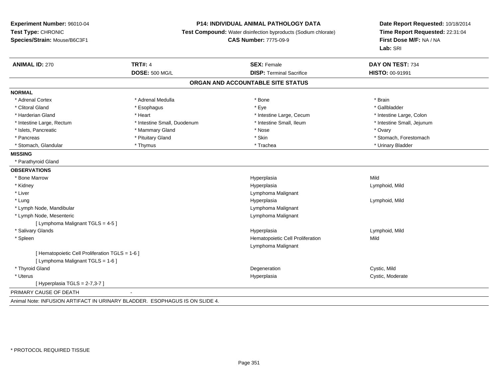#### **P14: INDIVIDUAL ANIMAL PATHOLOGY DATA**

**Test Compound:** Water disinfection byproducts (Sodium chlorate)

**CAS Number:** 7775-09-9

| <b>ANIMAL ID: 270</b>                           | <b>TRT#: 4</b>                                                              | <b>SEX: Female</b>                | DAY ON TEST: 734           |
|-------------------------------------------------|-----------------------------------------------------------------------------|-----------------------------------|----------------------------|
|                                                 | <b>DOSE: 500 MG/L</b>                                                       | <b>DISP: Terminal Sacrifice</b>   | <b>HISTO: 00-91991</b>     |
|                                                 |                                                                             | ORGAN AND ACCOUNTABLE SITE STATUS |                            |
| <b>NORMAL</b>                                   |                                                                             |                                   |                            |
| * Adrenal Cortex                                | * Adrenal Medulla                                                           | * Bone                            | * Brain                    |
| * Clitoral Gland                                | * Esophagus                                                                 | * Eye                             | * Gallbladder              |
| * Harderian Gland                               | * Heart                                                                     | * Intestine Large, Cecum          | * Intestine Large, Colon   |
| * Intestine Large, Rectum                       | * Intestine Small, Duodenum                                                 | * Intestine Small, Ileum          | * Intestine Small, Jejunum |
| * Islets, Pancreatic                            | * Mammary Gland                                                             | * Nose                            | * Ovary                    |
| * Pancreas                                      | * Pituitary Gland                                                           | * Skin                            | * Stomach, Forestomach     |
| * Stomach. Glandular                            | * Thymus                                                                    | * Trachea                         | * Urinary Bladder          |
| <b>MISSING</b>                                  |                                                                             |                                   |                            |
| * Parathyroid Gland                             |                                                                             |                                   |                            |
| <b>OBSERVATIONS</b>                             |                                                                             |                                   |                            |
| * Bone Marrow                                   |                                                                             | Hyperplasia                       | Mild                       |
| * Kidney                                        |                                                                             | Hyperplasia                       | Lymphoid, Mild             |
| * Liver                                         |                                                                             | Lymphoma Malignant                |                            |
| * Lung                                          |                                                                             | Hyperplasia                       | Lymphoid, Mild             |
| * Lymph Node, Mandibular                        |                                                                             | Lymphoma Malignant                |                            |
| * Lymph Node, Mesenteric                        |                                                                             | Lymphoma Malignant                |                            |
| [ Lymphoma Malignant TGLS = 4-5 ]               |                                                                             |                                   |                            |
| * Salivary Glands                               |                                                                             | Hyperplasia                       | Lymphoid, Mild             |
| * Spleen                                        |                                                                             | Hematopoietic Cell Proliferation  | Mild                       |
|                                                 |                                                                             | Lymphoma Malignant                |                            |
| [ Hematopoietic Cell Proliferation TGLS = 1-6 ] |                                                                             |                                   |                            |
| [ Lymphoma Malignant TGLS = 1-6 ]               |                                                                             |                                   |                            |
| * Thyroid Gland                                 |                                                                             | Degeneration                      | Cystic, Mild               |
| * Uterus                                        |                                                                             | Hyperplasia                       | Cystic, Moderate           |
| [Hyperplasia TGLS = $2-7,3-7$ ]                 |                                                                             |                                   |                            |
| PRIMARY CAUSE OF DEATH                          | $\blacksquare$                                                              |                                   |                            |
|                                                 | Animal Note: INFUSION ARTIFACT IN URINARY BLADDER. ESOPHAGUS IS ON SLIDE 4. |                                   |                            |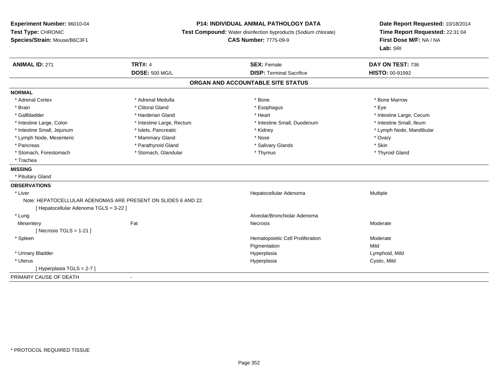# **P14: INDIVIDUAL ANIMAL PATHOLOGY DATA**

**Test Compound:** Water disinfection byproducts (Sodium chlorate)

**CAS Number:** 7775-09-9

| <b>ANIMAL ID: 271</b>                  | <b>TRT#: 4</b>                                                | <b>SEX: Female</b>               | DAY ON TEST: 736         |  |  |  |
|----------------------------------------|---------------------------------------------------------------|----------------------------------|--------------------------|--|--|--|
|                                        | <b>DOSE: 500 MG/L</b>                                         | <b>DISP: Terminal Sacrifice</b>  | <b>HISTO: 00-91992</b>   |  |  |  |
| ORGAN AND ACCOUNTABLE SITE STATUS      |                                                               |                                  |                          |  |  |  |
| <b>NORMAL</b>                          |                                                               |                                  |                          |  |  |  |
| * Adrenal Cortex                       | * Adrenal Medulla                                             | * Bone                           | * Bone Marrow            |  |  |  |
| * Brain                                | * Clitoral Gland                                              | * Esophagus                      | * Eye                    |  |  |  |
| * Gallbladder                          | * Harderian Gland                                             | * Heart                          | * Intestine Large, Cecum |  |  |  |
| * Intestine Large, Colon               | * Intestine Large, Rectum                                     | * Intestine Small, Duodenum      | * Intestine Small, Ileum |  |  |  |
| * Intestine Small, Jejunum             | * Islets, Pancreatic                                          | * Kidney                         | * Lymph Node, Mandibular |  |  |  |
| * Lymph Node, Mesenteric               | * Mammary Gland                                               | * Nose                           | * Ovary                  |  |  |  |
| * Pancreas                             | * Parathyroid Gland                                           | * Salivary Glands                | * Skin                   |  |  |  |
| * Stomach, Forestomach                 | * Stomach, Glandular                                          | * Thymus                         | * Thyroid Gland          |  |  |  |
| * Trachea                              |                                                               |                                  |                          |  |  |  |
| <b>MISSING</b>                         |                                                               |                                  |                          |  |  |  |
| * Pituitary Gland                      |                                                               |                                  |                          |  |  |  |
| <b>OBSERVATIONS</b>                    |                                                               |                                  |                          |  |  |  |
| * Liver                                |                                                               | Hepatocellular Adenoma           | Multiple                 |  |  |  |
|                                        | Note: HEPATOCELLULAR ADENOMAS ARE PRESENT ON SLIDES 6 AND 22. |                                  |                          |  |  |  |
| [ Hepatocellular Adenoma TGLS = 3-22 ] |                                                               |                                  |                          |  |  |  |
| * Lung                                 |                                                               | Alveolar/Bronchiolar Adenoma     |                          |  |  |  |
| Mesentery                              | Fat                                                           | Necrosis                         | Moderate                 |  |  |  |
| [ Necrosis TGLS = $1-21$ ]             |                                                               |                                  |                          |  |  |  |
| * Spleen                               |                                                               | Hematopoietic Cell Proliferation | Moderate                 |  |  |  |
|                                        |                                                               | Pigmentation                     | Mild                     |  |  |  |
| * Urinary Bladder                      |                                                               | Hyperplasia                      | Lymphoid, Mild           |  |  |  |
| * Uterus                               |                                                               | Hyperplasia                      | Cystic, Mild             |  |  |  |
| [Hyperplasia TGLS = 2-7]               |                                                               |                                  |                          |  |  |  |
| PRIMARY CAUSE OF DEATH                 | $\blacksquare$                                                |                                  |                          |  |  |  |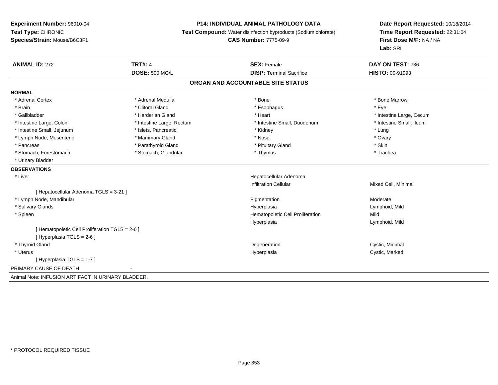#### **P14: INDIVIDUAL ANIMAL PATHOLOGY DATA**

**Test Compound:** Water disinfection byproducts (Sodium chlorate)

**CAS Number:** 7775-09-9

| <b>ANIMAL ID: 272</b>                              | <b>TRT#: 4</b>            | <b>SEX: Female</b>                | DAY ON TEST: 736         |
|----------------------------------------------------|---------------------------|-----------------------------------|--------------------------|
|                                                    | <b>DOSE: 500 MG/L</b>     | <b>DISP: Terminal Sacrifice</b>   | HISTO: 00-91993          |
|                                                    |                           | ORGAN AND ACCOUNTABLE SITE STATUS |                          |
| <b>NORMAL</b>                                      |                           |                                   |                          |
| * Adrenal Cortex                                   | * Adrenal Medulla         | * Bone                            | * Bone Marrow            |
| * Brain                                            | * Clitoral Gland          | * Esophagus                       | * Eye                    |
| * Gallbladder                                      | * Harderian Gland         | * Heart                           | * Intestine Large, Cecum |
| * Intestine Large, Colon                           | * Intestine Large, Rectum | * Intestine Small, Duodenum       | * Intestine Small. Ileum |
| * Intestine Small, Jejunum                         | * Islets, Pancreatic      | * Kidney                          | * Lung                   |
| * Lymph Node, Mesenteric                           | * Mammary Gland           | * Nose                            | * Ovary                  |
| * Pancreas                                         | * Parathyroid Gland       | * Pituitary Gland                 | * Skin                   |
| * Stomach, Forestomach                             | * Stomach, Glandular      | * Thymus                          | * Trachea                |
| * Urinary Bladder                                  |                           |                                   |                          |
| <b>OBSERVATIONS</b>                                |                           |                                   |                          |
| * Liver                                            |                           | Hepatocellular Adenoma            |                          |
|                                                    |                           | <b>Infiltration Cellular</b>      | Mixed Cell, Minimal      |
| [ Hepatocellular Adenoma TGLS = 3-21 ]             |                           |                                   |                          |
| * Lymph Node, Mandibular                           |                           | Pigmentation                      | Moderate                 |
| * Salivary Glands                                  |                           | Hyperplasia                       | Lymphoid, Mild           |
| * Spleen                                           |                           | Hematopoietic Cell Proliferation  | Mild                     |
|                                                    |                           | Hyperplasia                       | Lymphoid, Mild           |
| [ Hematopoietic Cell Proliferation TGLS = 2-6 ]    |                           |                                   |                          |
| [Hyperplasia TGLS = $2-6$ ]                        |                           |                                   |                          |
| * Thyroid Gland                                    |                           | Degeneration                      | Cystic, Minimal          |
| * Uterus                                           |                           | Hyperplasia                       | Cystic, Marked           |
| [Hyperplasia TGLS = $1-7$ ]                        |                           |                                   |                          |
| PRIMARY CAUSE OF DEATH                             |                           |                                   |                          |
| Animal Note: INFUSION ARTIFACT IN URINARY BLADDER. |                           |                                   |                          |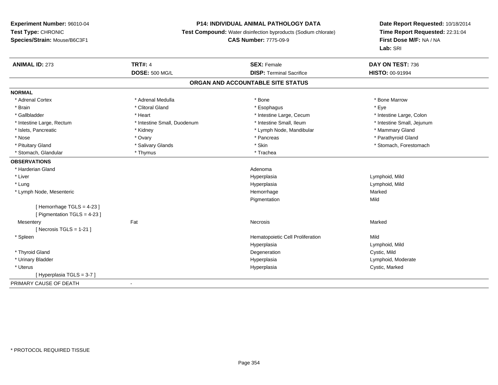# **P14: INDIVIDUAL ANIMAL PATHOLOGY DATA**

**Test Compound:** Water disinfection byproducts (Sodium chlorate)

#### **CAS Number:** 7775-09-9

| <b>ANIMAL ID: 273</b>          | <b>TRT#: 4</b>              | <b>SEX: Female</b>                | DAY ON TEST: 736           |
|--------------------------------|-----------------------------|-----------------------------------|----------------------------|
|                                | <b>DOSE: 500 MG/L</b>       | <b>DISP: Terminal Sacrifice</b>   | HISTO: 00-91994            |
|                                |                             | ORGAN AND ACCOUNTABLE SITE STATUS |                            |
| <b>NORMAL</b>                  |                             |                                   |                            |
| * Adrenal Cortex               | * Adrenal Medulla           | * Bone                            | * Bone Marrow              |
| * Brain                        | * Clitoral Gland            | * Esophagus                       | * Eye                      |
| * Gallbladder                  | * Heart                     | * Intestine Large, Cecum          | * Intestine Large, Colon   |
| * Intestine Large, Rectum      | * Intestine Small, Duodenum | * Intestine Small, Ileum          | * Intestine Small, Jejunum |
| * Islets, Pancreatic           | * Kidney                    | * Lymph Node, Mandibular          | * Mammary Gland            |
| * Nose                         | * Ovary                     | * Pancreas                        | * Parathyroid Gland        |
| * Pituitary Gland              | * Salivary Glands           | * Skin                            | * Stomach, Forestomach     |
| * Stomach, Glandular           | * Thymus                    | * Trachea                         |                            |
| <b>OBSERVATIONS</b>            |                             |                                   |                            |
| * Harderian Gland              |                             | Adenoma                           |                            |
| * Liver                        |                             | Hyperplasia                       | Lymphoid, Mild             |
| * Lung                         |                             | Hyperplasia                       | Lymphoid, Mild             |
| * Lymph Node, Mesenteric       |                             | Hemorrhage                        | Marked                     |
|                                |                             | Pigmentation                      | Mild                       |
| [Hemorrhage TGLS = $4-23$ ]    |                             |                                   |                            |
| [ Pigmentation TGLS = $4-23$ ] |                             |                                   |                            |
| Mesentery                      | Fat                         | Necrosis                          | Marked                     |
| [Necrosis TGLS = $1-21$ ]      |                             |                                   |                            |
| * Spleen                       |                             | Hematopoietic Cell Proliferation  | Mild                       |
|                                |                             | Hyperplasia                       | Lymphoid, Mild             |
| * Thyroid Gland                |                             | Degeneration                      | Cystic, Mild               |
| * Urinary Bladder              |                             | Hyperplasia                       | Lymphoid, Moderate         |
| * Uterus                       |                             | Hyperplasia                       | Cystic, Marked             |
| [Hyperplasia TGLS = 3-7]       |                             |                                   |                            |
| PRIMARY CAUSE OF DEATH         | $\blacksquare$              |                                   |                            |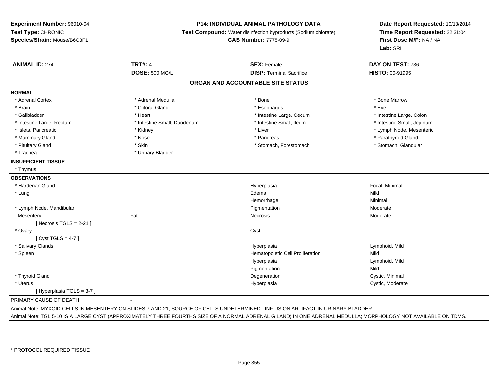#### **P14: INDIVIDUAL ANIMAL PATHOLOGY DATA**

**Test Compound:** Water disinfection byproducts (Sodium chlorate)

**CAS Number:** 7775-09-9

**Date Report Requested:** 10/18/2014**Time Report Requested:** 22:31:04**First Dose M/F:** NA / NA**Lab:** SRI

| <b>ANIMAL ID: 274</b>      | <b>TRT#: 4</b><br><b>DOSE: 500 MG/L</b> | <b>SEX: Female</b><br><b>DISP: Terminal Sacrifice</b> | DAY ON TEST: 736<br>HISTO: 00-91995 |
|----------------------------|-----------------------------------------|-------------------------------------------------------|-------------------------------------|
|                            |                                         |                                                       |                                     |
|                            |                                         | ORGAN AND ACCOUNTABLE SITE STATUS                     |                                     |
| <b>NORMAL</b>              |                                         |                                                       |                                     |
| * Adrenal Cortex           | * Adrenal Medulla                       | * Bone                                                | * Bone Marrow                       |
| * Brain                    | * Clitoral Gland                        | * Esophagus                                           | * Eye                               |
| * Gallbladder              | * Heart                                 | * Intestine Large, Cecum                              | * Intestine Large, Colon            |
| * Intestine Large, Rectum  | * Intestine Small, Duodenum             | * Intestine Small. Ileum                              | * Intestine Small, Jejunum          |
| * Islets, Pancreatic       | * Kidney                                | * Liver                                               | * Lymph Node, Mesenteric            |
| * Mammary Gland            | * Nose                                  | * Pancreas                                            | * Parathyroid Gland                 |
| * Pituitary Gland          | * Skin                                  | * Stomach, Forestomach                                | * Stomach, Glandular                |
| * Trachea                  | * Urinary Bladder                       |                                                       |                                     |
| <b>INSUFFICIENT TISSUE</b> |                                         |                                                       |                                     |
| * Thymus                   |                                         |                                                       |                                     |
| <b>OBSERVATIONS</b>        |                                         |                                                       |                                     |
| * Harderian Gland          |                                         | Hyperplasia                                           | Focal, Minimal                      |
| * Lung                     |                                         | Edema                                                 | Mild                                |
|                            |                                         | Hemorrhage                                            | Minimal                             |
| * Lymph Node, Mandibular   |                                         | Pigmentation                                          | Moderate                            |
| Mesentery                  | Fat                                     | Necrosis                                              | Moderate                            |
| [Necrosis TGLS = $2-21$ ]  |                                         |                                                       |                                     |
| * Ovary                    |                                         | Cyst                                                  |                                     |
| [Cyst TGLS = $4-7$ ]       |                                         |                                                       |                                     |
| * Salivary Glands          |                                         | Hyperplasia                                           | Lymphoid, Mild                      |
| * Spleen                   |                                         | Hematopoietic Cell Proliferation                      | Mild                                |
|                            |                                         | Hyperplasia                                           | Lymphoid, Mild                      |
|                            |                                         | Pigmentation                                          | Mild                                |
| * Thyroid Gland            |                                         | Degeneration                                          | Cystic, Minimal                     |
| * Uterus                   |                                         | Hyperplasia                                           | Cystic, Moderate                    |
| [Hyperplasia TGLS = 3-7]   |                                         |                                                       |                                     |
|                            |                                         |                                                       |                                     |

#### PRIMARY CAUSE OF DEATH-

Animal Note: MYXOID CELLS IN MESENTERY ON SLIDES 7 AND 21; SOURCE OF CELLS UNDETERMINED. INF USION ARTIFACT IN URINARY BLADDER.

Animal Note: TGL 5-10 IS A LARGE CYST (APPROXIMATELY THREE FOURTHS SIZE OF A NORMAL ADRENAL G LAND) IN ONE ADRENAL MEDULLA; MORPHOLOGY NOT AVAILABLE ON TDMS.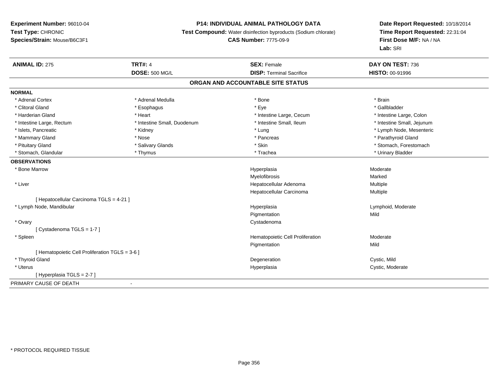# **P14: INDIVIDUAL ANIMAL PATHOLOGY DATA**

**Test Compound:** Water disinfection byproducts (Sodium chlorate)

# **CAS Number:** 7775-09-9

| <b>ANIMAL ID: 275</b>                           | <b>TRT#: 4</b>              | <b>SEX: Female</b>                | DAY ON TEST: 736           |  |
|-------------------------------------------------|-----------------------------|-----------------------------------|----------------------------|--|
|                                                 | <b>DOSE: 500 MG/L</b>       | <b>DISP: Terminal Sacrifice</b>   | <b>HISTO: 00-91996</b>     |  |
|                                                 |                             | ORGAN AND ACCOUNTABLE SITE STATUS |                            |  |
| <b>NORMAL</b>                                   |                             |                                   |                            |  |
| * Adrenal Cortex                                | * Adrenal Medulla           | * Bone                            | * Brain                    |  |
| * Clitoral Gland                                | * Esophagus                 | * Eye                             | * Gallbladder              |  |
| * Harderian Gland                               | * Heart                     | * Intestine Large, Cecum          | * Intestine Large, Colon   |  |
| * Intestine Large, Rectum                       | * Intestine Small, Duodenum | * Intestine Small, Ileum          | * Intestine Small, Jejunum |  |
| * Islets, Pancreatic                            | * Kidney                    | * Lung                            | * Lymph Node, Mesenteric   |  |
| * Mammary Gland                                 | * Nose                      | * Pancreas                        | * Parathyroid Gland        |  |
| * Pituitary Gland                               | * Salivary Glands           | * Skin                            | * Stomach, Forestomach     |  |
| * Stomach, Glandular                            | * Thymus                    | * Trachea                         | * Urinary Bladder          |  |
| <b>OBSERVATIONS</b>                             |                             |                                   |                            |  |
| * Bone Marrow                                   |                             | Hyperplasia                       | Moderate                   |  |
|                                                 |                             | <b>Myelofibrosis</b>              | Marked                     |  |
| * Liver                                         |                             | Hepatocellular Adenoma            | Multiple                   |  |
|                                                 |                             | Hepatocellular Carcinoma          | Multiple                   |  |
| [ Hepatocellular Carcinoma TGLS = 4-21 ]        |                             |                                   |                            |  |
| * Lymph Node, Mandibular                        |                             | Hyperplasia                       | Lymphoid, Moderate         |  |
|                                                 |                             | Pigmentation                      | Mild                       |  |
| * Ovary                                         |                             | Cystadenoma                       |                            |  |
| [Cystadenoma TGLS = 1-7]                        |                             |                                   |                            |  |
| * Spleen                                        |                             | Hematopoietic Cell Proliferation  | Moderate                   |  |
|                                                 |                             | Pigmentation                      | Mild                       |  |
| [ Hematopoietic Cell Proliferation TGLS = 3-6 ] |                             |                                   |                            |  |
| * Thyroid Gland                                 |                             | Degeneration                      | Cystic, Mild               |  |
| * Uterus                                        |                             | Hyperplasia                       | Cystic, Moderate           |  |
| [Hyperplasia TGLS = 2-7]                        |                             |                                   |                            |  |
| PRIMARY CAUSE OF DEATH                          | $\blacksquare$              |                                   |                            |  |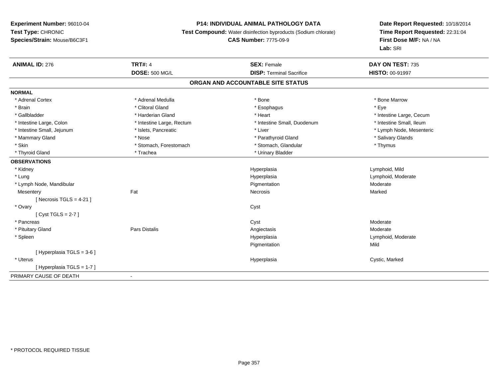# **P14: INDIVIDUAL ANIMAL PATHOLOGY DATA**

**Test Compound:** Water disinfection byproducts (Sodium chlorate)

# **CAS Number:** 7775-09-9

| <b>ANIMAL ID: 276</b>             | <b>TRT#: 4</b>            | <b>SEX: Female</b>              | DAY ON TEST: 735         |  |  |  |
|-----------------------------------|---------------------------|---------------------------------|--------------------------|--|--|--|
|                                   | <b>DOSE: 500 MG/L</b>     | <b>DISP: Terminal Sacrifice</b> | <b>HISTO: 00-91997</b>   |  |  |  |
| ORGAN AND ACCOUNTABLE SITE STATUS |                           |                                 |                          |  |  |  |
| <b>NORMAL</b>                     |                           |                                 |                          |  |  |  |
| * Adrenal Cortex                  | * Adrenal Medulla         | * Bone                          | * Bone Marrow            |  |  |  |
| * Brain                           | * Clitoral Gland          | * Esophagus                     | * Eye                    |  |  |  |
| * Gallbladder                     | * Harderian Gland         | * Heart                         | * Intestine Large, Cecum |  |  |  |
| * Intestine Large, Colon          | * Intestine Large, Rectum | * Intestine Small, Duodenum     | * Intestine Small, Ileum |  |  |  |
| * Intestine Small, Jejunum        | * Islets, Pancreatic      | * Liver                         | * Lymph Node, Mesenteric |  |  |  |
| * Mammary Gland                   | * Nose                    | * Parathyroid Gland             | * Salivary Glands        |  |  |  |
| * Skin                            | * Stomach, Forestomach    | * Stomach, Glandular            | * Thymus                 |  |  |  |
| * Thyroid Gland                   | * Trachea                 | * Urinary Bladder               |                          |  |  |  |
| <b>OBSERVATIONS</b>               |                           |                                 |                          |  |  |  |
| * Kidney                          |                           | Hyperplasia                     | Lymphoid, Mild           |  |  |  |
| * Lung                            |                           | Hyperplasia                     | Lymphoid, Moderate       |  |  |  |
| * Lymph Node, Mandibular          |                           | Pigmentation                    | Moderate                 |  |  |  |
| Mesentery                         | Fat                       | Necrosis                        | Marked                   |  |  |  |
| [Necrosis TGLS = $4-21$ ]         |                           |                                 |                          |  |  |  |
| * Ovary                           |                           | Cyst                            |                          |  |  |  |
| [Cyst TGLS = 2-7]                 |                           |                                 |                          |  |  |  |
| * Pancreas                        |                           | Cyst                            | Moderate                 |  |  |  |
| * Pituitary Gland                 | <b>Pars Distalis</b>      | Angiectasis                     | Moderate                 |  |  |  |
| * Spleen                          |                           | Hyperplasia                     | Lymphoid, Moderate       |  |  |  |
|                                   |                           | Pigmentation                    | Mild                     |  |  |  |
| [Hyperplasia TGLS = $3-6$ ]       |                           |                                 |                          |  |  |  |
| * Uterus                          |                           | Hyperplasia                     | Cystic, Marked           |  |  |  |
| [Hyperplasia TGLS = 1-7]          |                           |                                 |                          |  |  |  |
| PRIMARY CAUSE OF DEATH            |                           |                                 |                          |  |  |  |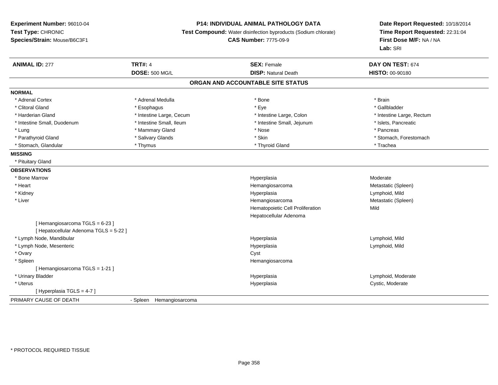#### **P14: INDIVIDUAL ANIMAL PATHOLOGY DATA**

**Test Compound:** Water disinfection byproducts (Sodium chlorate)

**CAS Number:** 7775-09-9

| <b>ANIMAL ID: 277</b>                  | <b>TRT#: 4</b>           | <b>SEX: Female</b>                | DAY ON TEST: 674          |
|----------------------------------------|--------------------------|-----------------------------------|---------------------------|
|                                        | <b>DOSE: 500 MG/L</b>    | <b>DISP: Natural Death</b>        | HISTO: 00-90180           |
|                                        |                          | ORGAN AND ACCOUNTABLE SITE STATUS |                           |
| <b>NORMAL</b>                          |                          |                                   |                           |
| * Adrenal Cortex                       | * Adrenal Medulla        | * Bone                            | * Brain                   |
| * Clitoral Gland                       | * Esophagus              | * Eye                             | * Gallbladder             |
| * Harderian Gland                      | * Intestine Large, Cecum | * Intestine Large, Colon          | * Intestine Large, Rectum |
| * Intestine Small, Duodenum            | * Intestine Small, Ileum | * Intestine Small, Jejunum        | * Islets, Pancreatic      |
| * Lung                                 | * Mammary Gland          | * Nose                            | * Pancreas                |
| * Parathyroid Gland                    | * Salivary Glands        | * Skin                            | * Stomach, Forestomach    |
| * Stomach, Glandular                   | * Thymus                 | * Thyroid Gland                   | * Trachea                 |
| <b>MISSING</b>                         |                          |                                   |                           |
| * Pituitary Gland                      |                          |                                   |                           |
| <b>OBSERVATIONS</b>                    |                          |                                   |                           |
| * Bone Marrow                          |                          | Hyperplasia                       | Moderate                  |
| * Heart                                |                          | Hemangiosarcoma                   | Metastatic (Spleen)       |
| * Kidney                               |                          | Hyperplasia                       | Lymphoid, Mild            |
| * Liver                                |                          | Hemangiosarcoma                   | Metastatic (Spleen)       |
|                                        |                          | Hematopoietic Cell Proliferation  | Mild                      |
|                                        |                          | Hepatocellular Adenoma            |                           |
| [Hemangiosarcoma TGLS = 6-23]          |                          |                                   |                           |
| [ Hepatocellular Adenoma TGLS = 5-22 ] |                          |                                   |                           |
| * Lymph Node, Mandibular               |                          | Hyperplasia                       | Lymphoid, Mild            |
| * Lymph Node, Mesenteric               |                          | Hyperplasia                       | Lymphoid, Mild            |
| * Ovary                                |                          | Cyst                              |                           |
| * Spleen                               |                          | Hemangiosarcoma                   |                           |
| [Hemangiosarcoma TGLS = 1-21]          |                          |                                   |                           |
| * Urinary Bladder                      |                          | Hyperplasia                       | Lymphoid, Moderate        |
| * Uterus                               |                          | Hyperplasia                       | Cystic, Moderate          |
| [Hyperplasia TGLS = 4-7]               |                          |                                   |                           |
| PRIMARY CAUSE OF DEATH                 | - Spleen Hemangiosarcoma |                                   |                           |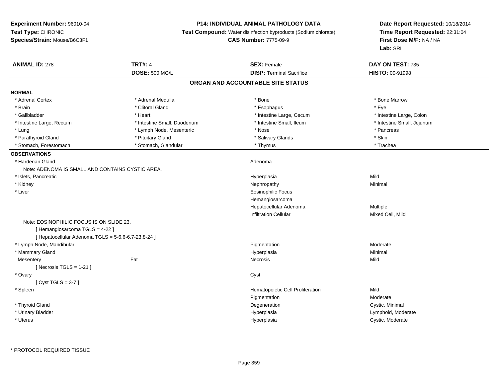#### **P14: INDIVIDUAL ANIMAL PATHOLOGY DATA**

**Test Compound:** Water disinfection byproducts (Sodium chlorate)

**CAS Number:** 7775-09-9

| <b>ANIMAL ID: 278</b>                               | <b>TRT#: 4</b>              | <b>SEX: Female</b>                | DAY ON TEST: 735           |
|-----------------------------------------------------|-----------------------------|-----------------------------------|----------------------------|
|                                                     | <b>DOSE: 500 MG/L</b>       | <b>DISP: Terminal Sacrifice</b>   | <b>HISTO: 00-91998</b>     |
|                                                     |                             | ORGAN AND ACCOUNTABLE SITE STATUS |                            |
| <b>NORMAL</b>                                       |                             |                                   |                            |
| * Adrenal Cortex                                    | * Adrenal Medulla           | * Bone                            | * Bone Marrow              |
| * Brain                                             | * Clitoral Gland            | * Esophagus                       | * Eye                      |
| * Gallbladder                                       | * Heart                     | * Intestine Large, Cecum          | * Intestine Large, Colon   |
| * Intestine Large, Rectum                           | * Intestine Small, Duodenum | * Intestine Small, Ileum          | * Intestine Small, Jejunum |
| $*$ Lung                                            | * Lymph Node, Mesenteric    | * Nose                            | * Pancreas                 |
| * Parathyroid Gland                                 | * Pituitary Gland           | * Salivary Glands                 | * Skin                     |
| * Stomach, Forestomach                              | * Stomach, Glandular        | * Thymus                          | * Trachea                  |
| <b>OBSERVATIONS</b>                                 |                             |                                   |                            |
| * Harderian Gland                                   |                             | Adenoma                           |                            |
| Note: ADENOMA IS SMALL AND CONTAINS CYSTIC AREA.    |                             |                                   |                            |
| * Islets, Pancreatic                                |                             | Hyperplasia                       | Mild                       |
| * Kidney                                            |                             | Nephropathy                       | Minimal                    |
| * Liver                                             |                             | <b>Eosinophilic Focus</b>         |                            |
|                                                     |                             | Hemangiosarcoma                   |                            |
|                                                     |                             | Hepatocellular Adenoma            | Multiple                   |
|                                                     |                             | <b>Infiltration Cellular</b>      | Mixed Cell, Mild           |
| Note: EOSINOPHILIC FOCUS IS ON SLIDE 23.            |                             |                                   |                            |
| [Hemangiosarcoma TGLS = 4-22]                       |                             |                                   |                            |
| [ Hepatocellular Adenoma TGLS = 5-6,6-6,7-23,8-24 ] |                             |                                   |                            |
| * Lymph Node, Mandibular                            |                             | Pigmentation                      | Moderate                   |
| * Mammary Gland                                     |                             | Hyperplasia                       | Minimal                    |
| Mesentery                                           | Fat                         | Necrosis                          | Mild                       |
| [Necrosis TGLS = $1-21$ ]                           |                             |                                   |                            |
| * Ovary                                             |                             | Cyst                              |                            |
| [Cyst TGLS = $3-7$ ]                                |                             |                                   |                            |
| * Spleen                                            |                             | Hematopoietic Cell Proliferation  | Mild                       |
|                                                     |                             | Pigmentation                      | Moderate                   |
| * Thyroid Gland                                     |                             | Degeneration                      | Cystic, Minimal            |
| * Urinary Bladder                                   |                             | Hyperplasia                       | Lymphoid, Moderate         |
| * Uterus                                            |                             | Hyperplasia                       | Cystic, Moderate           |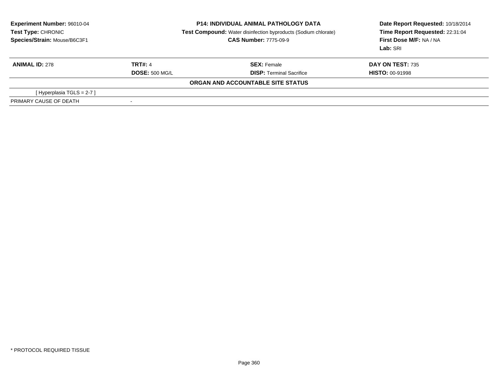| Experiment Number: 96010-04<br><b>Test Type: CHRONIC</b><br>Species/Strain: Mouse/B6C3F1 | <b>P14: INDIVIDUAL ANIMAL PATHOLOGY DATA</b><br><b>Test Compound:</b> Water disinfection byproducts (Sodium chlorate)<br><b>CAS Number: 7775-09-9</b> |                                   | Date Report Requested: 10/18/2014<br>Time Report Requested: 22:31:04<br>First Dose M/F: NA / NA<br>Lab: SRI |
|------------------------------------------------------------------------------------------|-------------------------------------------------------------------------------------------------------------------------------------------------------|-----------------------------------|-------------------------------------------------------------------------------------------------------------|
| <b>ANIMAL ID: 278</b>                                                                    | <b>TRT#: 4</b>                                                                                                                                        | <b>SEX:</b> Female                | DAY ON TEST: 735                                                                                            |
|                                                                                          | <b>DOSE: 500 MG/L</b>                                                                                                                                 | <b>DISP:</b> Terminal Sacrifice   | <b>HISTO: 00-91998</b>                                                                                      |
|                                                                                          |                                                                                                                                                       | ORGAN AND ACCOUNTABLE SITE STATUS |                                                                                                             |
| [Hyperplasia TGLS = $2-7$ ]                                                              |                                                                                                                                                       |                                   |                                                                                                             |
| PRIMARY CAUSE OF DEATH                                                                   | $\,$                                                                                                                                                  |                                   |                                                                                                             |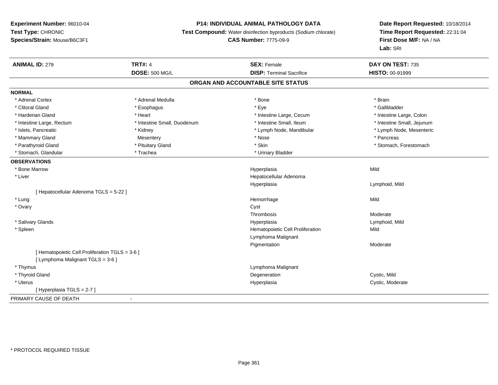# **P14: INDIVIDUAL ANIMAL PATHOLOGY DATA**

**Test Compound:** Water disinfection byproducts (Sodium chlorate)

# **CAS Number:** 7775-09-9

| <b>ANIMAL ID: 279</b>                           | <b>TRT#: 4</b>              | <b>SEX: Female</b>                | DAY ON TEST: 735           |
|-------------------------------------------------|-----------------------------|-----------------------------------|----------------------------|
|                                                 | <b>DOSE: 500 MG/L</b>       | <b>DISP: Terminal Sacrifice</b>   | <b>HISTO: 00-91999</b>     |
|                                                 |                             | ORGAN AND ACCOUNTABLE SITE STATUS |                            |
| <b>NORMAL</b>                                   |                             |                                   |                            |
| * Adrenal Cortex                                | * Adrenal Medulla           | * Bone                            | * Brain                    |
| * Clitoral Gland                                | * Esophagus                 | * Eye                             | * Gallbladder              |
| * Harderian Gland                               | * Heart                     | * Intestine Large, Cecum          | * Intestine Large, Colon   |
| * Intestine Large, Rectum                       | * Intestine Small, Duodenum | * Intestine Small, Ileum          | * Intestine Small, Jejunum |
| * Islets, Pancreatic                            | * Kidney                    | * Lymph Node, Mandibular          | * Lymph Node, Mesenteric   |
| * Mammary Gland                                 | Mesentery                   | * Nose                            | * Pancreas                 |
| * Parathyroid Gland                             | * Pituitary Gland           | * Skin                            | * Stomach, Forestomach     |
| * Stomach, Glandular                            | * Trachea                   | * Urinary Bladder                 |                            |
| <b>OBSERVATIONS</b>                             |                             |                                   |                            |
| * Bone Marrow                                   |                             | Hyperplasia                       | Mild                       |
| * Liver                                         |                             | Hepatocellular Adenoma            |                            |
|                                                 |                             | Hyperplasia                       | Lymphoid, Mild             |
| [ Hepatocellular Adenoma TGLS = 5-22 ]          |                             |                                   |                            |
| * Lung                                          |                             | Hemorrhage                        | Mild                       |
| * Ovary                                         |                             | Cyst                              |                            |
|                                                 |                             | Thrombosis                        | Moderate                   |
| * Salivary Glands                               |                             | Hyperplasia                       | Lymphoid, Mild             |
| * Spleen                                        |                             | Hematopoietic Cell Proliferation  | Mild                       |
|                                                 |                             | Lymphoma Malignant                |                            |
|                                                 |                             | Pigmentation                      | Moderate                   |
| [ Hematopoietic Cell Proliferation TGLS = 3-6 ] |                             |                                   |                            |
| [ Lymphoma Malignant TGLS = 3-6 ]               |                             |                                   |                            |
| * Thymus                                        |                             | Lymphoma Malignant                |                            |
| * Thyroid Gland                                 |                             | Degeneration                      | Cystic, Mild               |
| * Uterus                                        |                             | Hyperplasia                       | Cystic, Moderate           |
| [Hyperplasia TGLS = 2-7]                        |                             |                                   |                            |
| PRIMARY CAUSE OF DEATH                          | $\overline{\phantom{a}}$    |                                   |                            |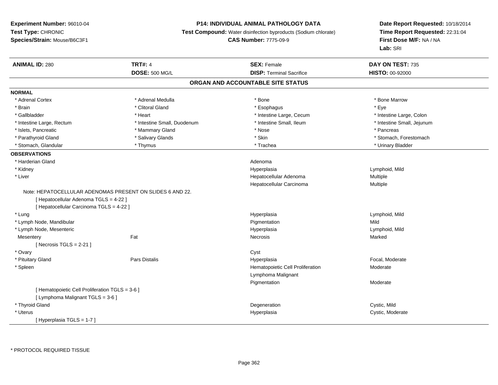# **P14: INDIVIDUAL ANIMAL PATHOLOGY DATA**

**Test Compound:** Water disinfection byproducts (Sodium chlorate)

**CAS Number:** 7775-09-9

| <b>ANIMAL ID: 280</b>                           | <b>TRT#: 4</b>                                            | <b>SEX: Female</b>                | DAY ON TEST: 735           |  |
|-------------------------------------------------|-----------------------------------------------------------|-----------------------------------|----------------------------|--|
|                                                 | <b>DOSE: 500 MG/L</b>                                     | <b>DISP: Terminal Sacrifice</b>   | HISTO: 00-92000            |  |
|                                                 |                                                           | ORGAN AND ACCOUNTABLE SITE STATUS |                            |  |
| <b>NORMAL</b>                                   |                                                           |                                   |                            |  |
| * Adrenal Cortex                                | * Adrenal Medulla                                         | * Bone                            | * Bone Marrow              |  |
| * Brain                                         | * Clitoral Gland                                          | * Esophagus                       | * Eye                      |  |
| * Gallbladder                                   | * Heart                                                   | * Intestine Large, Cecum          | * Intestine Large, Colon   |  |
| * Intestine Large, Rectum                       | * Intestine Small, Duodenum                               | * Intestine Small, Ileum          | * Intestine Small, Jejunum |  |
| * Islets, Pancreatic                            | * Mammary Gland                                           | * Nose                            | * Pancreas                 |  |
| * Parathyroid Gland                             | * Salivary Glands                                         | * Skin                            | * Stomach, Forestomach     |  |
| * Stomach, Glandular                            | * Thymus                                                  | * Trachea                         | * Urinary Bladder          |  |
| <b>OBSERVATIONS</b>                             |                                                           |                                   |                            |  |
| * Harderian Gland                               |                                                           | Adenoma                           |                            |  |
| * Kidney                                        |                                                           | Hyperplasia                       | Lymphoid, Mild             |  |
| * Liver                                         |                                                           | Hepatocellular Adenoma            | Multiple                   |  |
|                                                 |                                                           | Hepatocellular Carcinoma          | Multiple                   |  |
|                                                 | Note: HEPATOCELLULAR ADENOMAS PRESENT ON SLIDES 6 AND 22. |                                   |                            |  |
| [ Hepatocellular Adenoma TGLS = 4-22 ]          |                                                           |                                   |                            |  |
| [ Hepatocellular Carcinoma TGLS = 4-22 ]        |                                                           |                                   |                            |  |
| * Lung                                          |                                                           | Hyperplasia                       | Lymphoid, Mild             |  |
| * Lymph Node, Mandibular                        |                                                           | Pigmentation                      | Mild                       |  |
| * Lymph Node, Mesenteric                        |                                                           | Hyperplasia                       | Lymphoid, Mild             |  |
| Mesentery                                       | Fat                                                       | Necrosis                          | Marked                     |  |
| [ Necrosis TGLS = $2-21$ ]                      |                                                           |                                   |                            |  |
| * Ovary                                         |                                                           | Cyst                              |                            |  |
| * Pituitary Gland                               | Pars Distalis                                             | Hyperplasia                       | Focal, Moderate            |  |
| * Spleen                                        |                                                           | Hematopoietic Cell Proliferation  | Moderate                   |  |
|                                                 |                                                           | Lymphoma Malignant                |                            |  |
|                                                 |                                                           | Pigmentation                      | Moderate                   |  |
| [ Hematopoietic Cell Proliferation TGLS = 3-6 ] |                                                           |                                   |                            |  |
| [ Lymphoma Malignant TGLS = 3-6 ]               |                                                           |                                   |                            |  |
| * Thyroid Gland                                 |                                                           | Degeneration                      | Cystic, Mild               |  |
| * Uterus                                        |                                                           | Hyperplasia                       | Cystic, Moderate           |  |
| [Hyperplasia TGLS = 1-7]                        |                                                           |                                   |                            |  |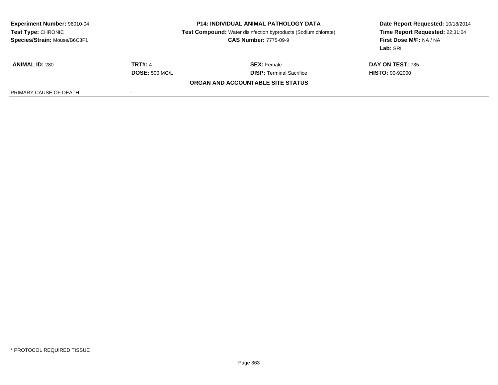| <b>Experiment Number: 96010-04</b><br>Test Type: CHRONIC<br>Species/Strain: Mouse/B6C3F1 |                          | <b>P14: INDIVIDUAL ANIMAL PATHOLOGY DATA</b><br><b>Test Compound:</b> Water disinfection byproducts (Sodium chlorate)<br><b>CAS Number: 7775-09-9</b> | Date Report Requested: 10/18/2014<br>Time Report Requested: 22:31:04<br><b>First Dose M/F: NA / NA</b><br>Lab: SRI |
|------------------------------------------------------------------------------------------|--------------------------|-------------------------------------------------------------------------------------------------------------------------------------------------------|--------------------------------------------------------------------------------------------------------------------|
| <b>ANIMAL ID: 280</b>                                                                    | <b>TRT#: 4</b>           | <b>SEX:</b> Female                                                                                                                                    | DAY ON TEST: 735                                                                                                   |
|                                                                                          | <b>DOSE: 500 MG/L</b>    | <b>DISP: Terminal Sacrifice</b>                                                                                                                       | <b>HISTO: 00-92000</b>                                                                                             |
|                                                                                          |                          | ORGAN AND ACCOUNTABLE SITE STATUS                                                                                                                     |                                                                                                                    |
| PRIMARY CAUSE OF DEATH                                                                   | $\overline{\phantom{0}}$ |                                                                                                                                                       |                                                                                                                    |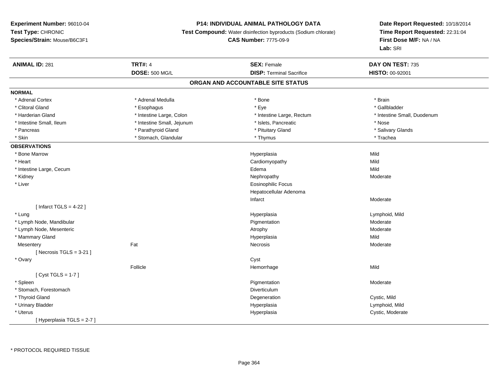# **P14: INDIVIDUAL ANIMAL PATHOLOGY DATA**

**Test Compound:** Water disinfection byproducts (Sodium chlorate)

# **CAS Number:** 7775-09-9

| <b>ANIMAL ID: 281</b>     | <b>TRT#: 4</b>             | <b>SEX: Female</b>                | DAY ON TEST: 735            |  |
|---------------------------|----------------------------|-----------------------------------|-----------------------------|--|
|                           | <b>DOSE: 500 MG/L</b>      | <b>DISP: Terminal Sacrifice</b>   | <b>HISTO: 00-92001</b>      |  |
|                           |                            | ORGAN AND ACCOUNTABLE SITE STATUS |                             |  |
| <b>NORMAL</b>             |                            |                                   |                             |  |
| * Adrenal Cortex          | * Adrenal Medulla          | * Bone                            | * Brain                     |  |
| * Clitoral Gland          | * Esophagus                | * Eye                             | * Gallbladder               |  |
| * Harderian Gland         | * Intestine Large, Colon   | * Intestine Large, Rectum         | * Intestine Small, Duodenum |  |
| * Intestine Small, Ileum  | * Intestine Small, Jejunum | * Islets, Pancreatic              | * Nose                      |  |
| * Pancreas                | * Parathyroid Gland        | * Pituitary Gland                 | * Salivary Glands           |  |
| * Skin                    | * Stomach, Glandular       | * Thymus                          | * Trachea                   |  |
| <b>OBSERVATIONS</b>       |                            |                                   |                             |  |
| * Bone Marrow             |                            | Hyperplasia                       | Mild                        |  |
| * Heart                   |                            | Cardiomyopathy                    | Mild                        |  |
| * Intestine Large, Cecum  |                            | Edema                             | Mild                        |  |
| * Kidney                  |                            | Nephropathy                       | Moderate                    |  |
| * Liver                   |                            | <b>Eosinophilic Focus</b>         |                             |  |
|                           |                            | Hepatocellular Adenoma            |                             |  |
|                           |                            | Infarct                           | Moderate                    |  |
| [Infarct TGLS = $4-22$ ]  |                            |                                   |                             |  |
| * Lung                    |                            | Hyperplasia                       | Lymphoid, Mild              |  |
| * Lymph Node, Mandibular  |                            | Pigmentation                      | Moderate                    |  |
| * Lymph Node, Mesenteric  |                            | Atrophy                           | Moderate                    |  |
| * Mammary Gland           |                            | Hyperplasia                       | Mild                        |  |
| Mesentery                 | Fat                        | Necrosis                          | Moderate                    |  |
| [Necrosis TGLS = $3-21$ ] |                            |                                   |                             |  |
| * Ovary                   |                            | Cyst                              |                             |  |
|                           | Follicle                   | Hemorrhage                        | Mild                        |  |
| [Cyst TGLS = $1-7$ ]      |                            |                                   |                             |  |
| * Spleen                  |                            | Pigmentation                      | Moderate                    |  |
| * Stomach, Forestomach    |                            | Diverticulum                      |                             |  |
| * Thyroid Gland           |                            | Degeneration                      | Cystic, Mild                |  |
| * Urinary Bladder         |                            | Hyperplasia                       | Lymphoid, Mild              |  |
| * Uterus                  |                            | Hyperplasia                       | Cystic, Moderate            |  |
| [Hyperplasia TGLS = 2-7]  |                            |                                   |                             |  |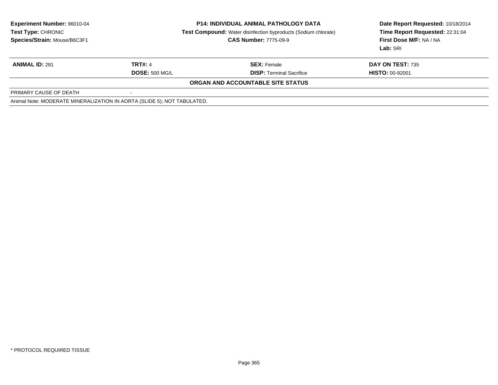| <b>Experiment Number: 96010-04</b>                                      |                       | <b>P14: INDIVIDUAL ANIMAL PATHOLOGY DATA</b>                          | Date Report Requested: 10/18/2014 |
|-------------------------------------------------------------------------|-----------------------|-----------------------------------------------------------------------|-----------------------------------|
| <b>Test Type: CHRONIC</b>                                               |                       | <b>Test Compound:</b> Water disinfection byproducts (Sodium chlorate) | Time Report Requested: 22:31:04   |
| Species/Strain: Mouse/B6C3F1                                            |                       | <b>CAS Number: 7775-09-9</b>                                          | First Dose M/F: NA / NA           |
|                                                                         |                       |                                                                       | Lab: SRI                          |
| <b>ANIMAL ID: 281</b>                                                   | <b>TRT#: 4</b>        | <b>SEX: Female</b>                                                    | DAY ON TEST: 735                  |
|                                                                         | <b>DOSE: 500 MG/L</b> | <b>DISP: Terminal Sacrifice</b>                                       | <b>HISTO: 00-92001</b>            |
|                                                                         |                       | ORGAN AND ACCOUNTABLE SITE STATUS                                     |                                   |
| PRIMARY CAUSE OF DEATH                                                  |                       |                                                                       |                                   |
| Animal Note: MODERATE MINERALIZATION IN AORTA (SLIDE 5); NOT TABULATED. |                       |                                                                       |                                   |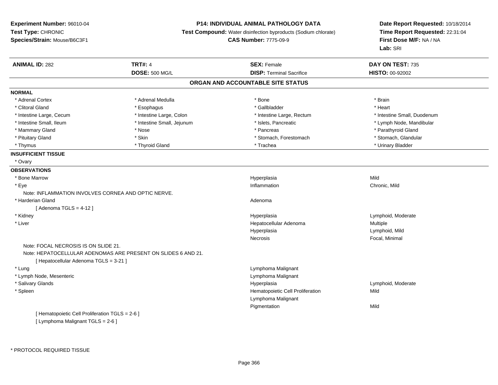# **P14: INDIVIDUAL ANIMAL PATHOLOGY DATA**

**Test Compound:** Water disinfection byproducts (Sodium chlorate)

**CAS Number:** 7775-09-9

| <b>ANIMAL ID: 282</b>                               | <b>TRT#: 4</b>                                                | <b>SEX: Female</b>                | DAY ON TEST: 735            |
|-----------------------------------------------------|---------------------------------------------------------------|-----------------------------------|-----------------------------|
|                                                     | <b>DOSE: 500 MG/L</b>                                         | <b>DISP: Terminal Sacrifice</b>   | <b>HISTO: 00-92002</b>      |
|                                                     |                                                               | ORGAN AND ACCOUNTABLE SITE STATUS |                             |
| <b>NORMAL</b>                                       |                                                               |                                   |                             |
| * Adrenal Cortex                                    | * Adrenal Medulla                                             | * Bone                            | * Brain                     |
| * Clitoral Gland                                    | * Esophagus                                                   | * Gallbladder                     | * Heart                     |
| * Intestine Large, Cecum                            | * Intestine Large, Colon                                      | * Intestine Large, Rectum         | * Intestine Small, Duodenum |
| * Intestine Small, Ileum                            | * Intestine Small, Jejunum                                    | * Islets, Pancreatic              | * Lymph Node, Mandibular    |
| * Mammary Gland                                     | * Nose                                                        | * Pancreas                        | * Parathyroid Gland         |
| * Pituitary Gland                                   | * Skin                                                        | * Stomach, Forestomach            | * Stomach, Glandular        |
| * Thymus                                            | * Thyroid Gland                                               | * Trachea                         | * Urinary Bladder           |
| <b>INSUFFICIENT TISSUE</b>                          |                                                               |                                   |                             |
| * Ovary                                             |                                                               |                                   |                             |
| <b>OBSERVATIONS</b>                                 |                                                               |                                   |                             |
| * Bone Marrow                                       |                                                               | Hyperplasia                       | Mild                        |
| * Eye                                               |                                                               | Inflammation                      | Chronic, Mild               |
| Note: INFLAMMATION INVOLVES CORNEA AND OPTIC NERVE. |                                                               |                                   |                             |
| * Harderian Gland                                   |                                                               | Adenoma                           |                             |
| [Adenoma TGLS = $4-12$ ]                            |                                                               |                                   |                             |
| * Kidney                                            |                                                               | Hyperplasia                       | Lymphoid, Moderate          |
| * Liver                                             |                                                               | Hepatocellular Adenoma            | Multiple                    |
|                                                     |                                                               | Hyperplasia                       | Lymphoid, Mild              |
|                                                     |                                                               | Necrosis                          | Focal, Minimal              |
| Note: FOCAL NECROSIS IS ON SLIDE 21.                | Note: HEPATOCELLULAR ADENOMAS ARE PRESENT ON SLIDES 6 AND 21. |                                   |                             |
| [ Hepatocellular Adenoma TGLS = 3-21 ]              |                                                               |                                   |                             |
| * Lung                                              |                                                               | Lymphoma Malignant                |                             |
| * Lymph Node, Mesenteric                            |                                                               | Lymphoma Malignant                |                             |
| * Salivary Glands                                   |                                                               | Hyperplasia                       | Lymphoid, Moderate          |
| * Spleen                                            |                                                               | Hematopoietic Cell Proliferation  | Mild                        |
|                                                     |                                                               | Lymphoma Malignant                |                             |
|                                                     |                                                               | Pigmentation                      | Mild                        |
| [ Hematopoietic Cell Proliferation TGLS = 2-6 ]     |                                                               |                                   |                             |
| [ Lymphoma Malignant TGLS = 2-6 ]                   |                                                               |                                   |                             |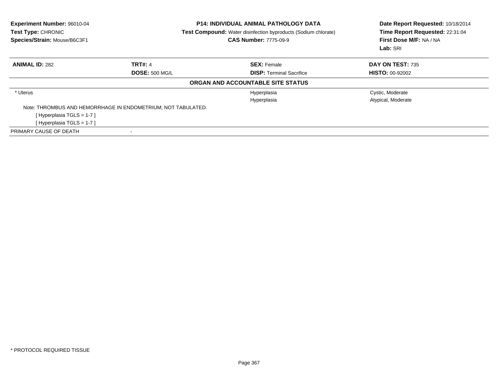| Experiment Number: 96010-04<br>Test Type: CHRONIC<br>Species/Strain: Mouse/B6C3F1 |                       | <b>P14: INDIVIDUAL ANIMAL PATHOLOGY DATA</b><br>Test Compound: Water disinfection byproducts (Sodium chlorate)<br><b>CAS Number: 7775-09-9</b> | Date Report Requested: 10/18/2014<br>Time Report Requested: 22:31:04<br>First Dose M/F: NA / NA<br>Lab: SRI |  |
|-----------------------------------------------------------------------------------|-----------------------|------------------------------------------------------------------------------------------------------------------------------------------------|-------------------------------------------------------------------------------------------------------------|--|
| <b>ANIMAL ID: 282</b>                                                             | <b>TRT#: 4</b>        | <b>SEX: Female</b>                                                                                                                             | DAY ON TEST: 735                                                                                            |  |
|                                                                                   | <b>DOSE: 500 MG/L</b> | <b>DISP: Terminal Sacrifice</b>                                                                                                                | <b>HISTO: 00-92002</b>                                                                                      |  |
|                                                                                   |                       | ORGAN AND ACCOUNTABLE SITE STATUS                                                                                                              |                                                                                                             |  |
| * Uterus                                                                          |                       | Hyperplasia                                                                                                                                    | Cystic, Moderate                                                                                            |  |
|                                                                                   |                       | Hyperplasia                                                                                                                                    | Atypical, Moderate                                                                                          |  |
| Note: THROMBUS AND HEMORRHAGE IN ENDOMETRIUM; NOT TABULATED.                      |                       |                                                                                                                                                |                                                                                                             |  |
| [Hyperplasia TGLS = $1-7$ ]                                                       |                       |                                                                                                                                                |                                                                                                             |  |
| [Hyperplasia TGLS = $1-7$ ]                                                       |                       |                                                                                                                                                |                                                                                                             |  |
| PRIMARY CAUSE OF DEATH                                                            |                       |                                                                                                                                                |                                                                                                             |  |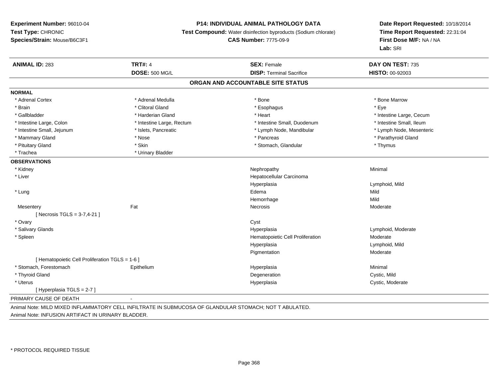#### **P14: INDIVIDUAL ANIMAL PATHOLOGY DATA**

**Test Compound:** Water disinfection byproducts (Sodium chlorate)

**CAS Number:** 7775-09-9

**Date Report Requested:** 10/18/2014**Time Report Requested:** 22:31:04**First Dose M/F:** NA / NA**Lab:** SRI

| <b>ANIMAL ID: 283</b>                           | <b>TRT#: 4</b>                                                                                  | <b>SEX: Female</b>                | DAY ON TEST: 735         |
|-------------------------------------------------|-------------------------------------------------------------------------------------------------|-----------------------------------|--------------------------|
|                                                 | <b>DOSE: 500 MG/L</b>                                                                           | <b>DISP: Terminal Sacrifice</b>   | HISTO: 00-92003          |
|                                                 |                                                                                                 | ORGAN AND ACCOUNTABLE SITE STATUS |                          |
| <b>NORMAL</b>                                   |                                                                                                 |                                   |                          |
| * Adrenal Cortex                                | * Adrenal Medulla                                                                               | * Bone                            | * Bone Marrow            |
| * Brain                                         | * Clitoral Gland                                                                                | * Esophagus                       | * Eye                    |
| * Gallbladder                                   | * Harderian Gland                                                                               | * Heart                           | * Intestine Large, Cecum |
| * Intestine Large, Colon                        | * Intestine Large, Rectum                                                                       | * Intestine Small, Duodenum       | * Intestine Small, Ileum |
| * Intestine Small, Jejunum                      | * Islets, Pancreatic                                                                            | * Lymph Node, Mandibular          | * Lymph Node, Mesenteric |
| * Mammary Gland                                 | * Nose                                                                                          | * Pancreas                        | * Parathyroid Gland      |
| * Pituitary Gland                               | * Skin                                                                                          | * Stomach, Glandular              | * Thymus                 |
| * Trachea                                       | * Urinary Bladder                                                                               |                                   |                          |
| <b>OBSERVATIONS</b>                             |                                                                                                 |                                   |                          |
| * Kidney                                        |                                                                                                 | Nephropathy                       | Minimal                  |
| * Liver                                         |                                                                                                 | Hepatocellular Carcinoma          |                          |
|                                                 |                                                                                                 | Hyperplasia                       | Lymphoid, Mild           |
| * Lung                                          |                                                                                                 | Edema                             | Mild                     |
|                                                 |                                                                                                 | Hemorrhage                        | Mild                     |
| Mesentery                                       | Fat                                                                                             | Necrosis                          | Moderate                 |
| [ Necrosis TGLS = $3-7,4-21$ ]                  |                                                                                                 |                                   |                          |
| * Ovary                                         |                                                                                                 | Cyst                              |                          |
| * Salivary Glands                               |                                                                                                 | Hyperplasia                       | Lymphoid, Moderate       |
| * Spleen                                        |                                                                                                 | Hematopoietic Cell Proliferation  | Moderate                 |
|                                                 |                                                                                                 | Hyperplasia                       | Lymphoid, Mild           |
|                                                 |                                                                                                 | Pigmentation                      | Moderate                 |
| [ Hematopoietic Cell Proliferation TGLS = 1-6 ] |                                                                                                 |                                   |                          |
| * Stomach, Forestomach                          | Epithelium                                                                                      | Hyperplasia                       | Minimal                  |
| * Thyroid Gland                                 |                                                                                                 | Degeneration                      | Cystic, Mild             |
| * Uterus                                        |                                                                                                 | Hyperplasia                       | Cystic, Moderate         |
| [Hyperplasia TGLS = 2-7]                        |                                                                                                 |                                   |                          |
| PRIMARY CAUSE OF DEATH                          |                                                                                                 |                                   |                          |
|                                                 | UN JU NU DI NIVED INFLANNATODY OF LINE IT TRATE IN OUDMUOOGA OF OLANDULAD OTOMAOU NOT TADULATED |                                   |                          |

Animal Note: MILD MIXED INFLAMMATORY CELL INFILTRATE IN SUBMUCOSA OF GLANDULAR STOMACH; NOT T ABULATED.

Animal Note: INFUSION ARTIFACT IN URINARY BLADDER.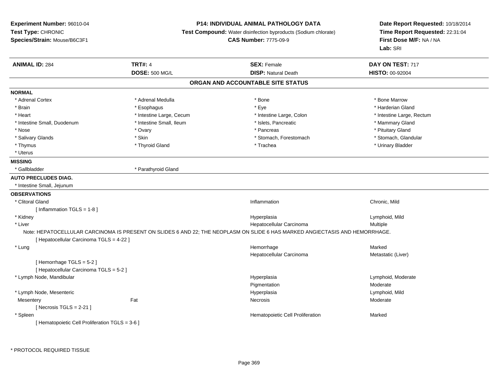# **P14: INDIVIDUAL ANIMAL PATHOLOGY DATA**

**Test Compound:** Water disinfection byproducts (Sodium chlorate)

**CAS Number:** 7775-09-9

| <b>ANIMAL ID: 284</b>                           | <b>TRT#: 4</b>           | <b>SEX: Female</b>                                                                                                           | DAY ON TEST: 717          |
|-------------------------------------------------|--------------------------|------------------------------------------------------------------------------------------------------------------------------|---------------------------|
|                                                 | <b>DOSE: 500 MG/L</b>    | <b>DISP: Natural Death</b>                                                                                                   | <b>HISTO: 00-92004</b>    |
|                                                 |                          | ORGAN AND ACCOUNTABLE SITE STATUS                                                                                            |                           |
| <b>NORMAL</b>                                   |                          |                                                                                                                              |                           |
| * Adrenal Cortex                                | * Adrenal Medulla        | * Bone                                                                                                                       | * Bone Marrow             |
| * Brain                                         | * Esophagus              | * Eye                                                                                                                        | * Harderian Gland         |
| * Heart                                         | * Intestine Large, Cecum | * Intestine Large, Colon                                                                                                     | * Intestine Large, Rectum |
| * Intestine Small, Duodenum                     | * Intestine Small, Ileum | * Islets, Pancreatic                                                                                                         | * Mammary Gland           |
| * Nose                                          | * Ovary                  | * Pancreas                                                                                                                   | * Pituitary Gland         |
| * Salivary Glands                               | * Skin                   | * Stomach, Forestomach                                                                                                       | * Stomach, Glandular      |
| * Thymus                                        | * Thyroid Gland          | * Trachea                                                                                                                    | * Urinary Bladder         |
| * Uterus                                        |                          |                                                                                                                              |                           |
| <b>MISSING</b>                                  |                          |                                                                                                                              |                           |
| * Gallbladder                                   | * Parathyroid Gland      |                                                                                                                              |                           |
| <b>AUTO PRECLUDES DIAG.</b>                     |                          |                                                                                                                              |                           |
| * Intestine Small, Jejunum                      |                          |                                                                                                                              |                           |
| <b>OBSERVATIONS</b>                             |                          |                                                                                                                              |                           |
| * Clitoral Gland                                |                          | Inflammation                                                                                                                 | Chronic, Mild             |
| [ Inflammation TGLS = 1-8 ]                     |                          |                                                                                                                              |                           |
| * Kidney                                        |                          | Hyperplasia                                                                                                                  | Lymphoid, Mild            |
| * Liver                                         |                          | Hepatocellular Carcinoma                                                                                                     | Multiple                  |
|                                                 |                          | Note: HEPATOCELLULAR CARCINOMA IS PRESENT ON SLIDES 6 AND 22; THE NEOPLASM ON SLIDE 6 HAS MARKED ANGIECTASIS AND HEMORRHAGE. |                           |
| [ Hepatocellular Carcinoma TGLS = 4-22 ]        |                          |                                                                                                                              |                           |
| * Lung                                          |                          | Hemorrhage                                                                                                                   | Marked                    |
|                                                 |                          | Hepatocellular Carcinoma                                                                                                     | Metastatic (Liver)        |
| [Hemorrhage TGLS = 5-2]                         |                          |                                                                                                                              |                           |
| [ Hepatocellular Carcinoma TGLS = 5-2 ]         |                          |                                                                                                                              |                           |
| * Lymph Node, Mandibular                        |                          | Hyperplasia                                                                                                                  | Lymphoid, Moderate        |
|                                                 |                          | Pigmentation                                                                                                                 | Moderate                  |
| * Lymph Node, Mesenteric                        |                          | Hyperplasia                                                                                                                  | Lymphoid, Mild            |
| Mesentery                                       | Fat                      | <b>Necrosis</b>                                                                                                              | Moderate                  |
| [Necrosis TGLS = $2-21$ ]                       |                          |                                                                                                                              |                           |
| * Spleen                                        |                          | Hematopoietic Cell Proliferation                                                                                             | Marked                    |
| [ Hematopoietic Cell Proliferation TGLS = 3-6 ] |                          |                                                                                                                              |                           |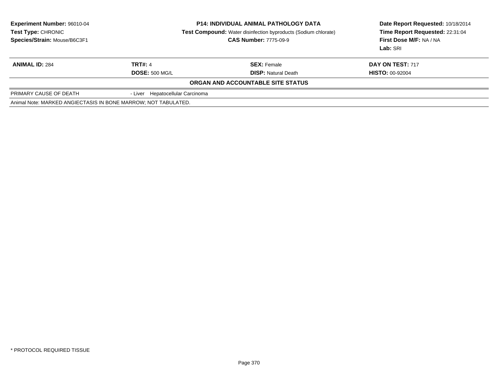| <b>Experiment Number: 96010-04</b><br><b>Test Type: CHRONIC</b><br>Species/Strain: Mouse/B6C3F1 |                                         | <b>P14: INDIVIDUAL ANIMAL PATHOLOGY DATA</b><br><b>Test Compound:</b> Water disinfection byproducts (Sodium chlorate)<br><b>CAS Number: 7775-09-9</b> | Date Report Requested: 10/18/2014<br>Time Report Requested: 22:31:04<br>First Dose M/F: NA / NA<br>Lab: SRI |
|-------------------------------------------------------------------------------------------------|-----------------------------------------|-------------------------------------------------------------------------------------------------------------------------------------------------------|-------------------------------------------------------------------------------------------------------------|
| <b>ANIMAL ID: 284</b>                                                                           | <b>TRT#: 4</b><br><b>DOSE: 500 MG/L</b> | <b>SEX: Female</b><br><b>DISP: Natural Death</b>                                                                                                      | DAY ON TEST: 717<br><b>HISTO: 00-92004</b>                                                                  |
|                                                                                                 |                                         | ORGAN AND ACCOUNTABLE SITE STATUS                                                                                                                     |                                                                                                             |
| PRIMARY CAUSE OF DEATH                                                                          | - Liver Hepatocellular Carcinoma        |                                                                                                                                                       |                                                                                                             |
| Animal Note: MARKED ANGIECTASIS IN BONE MARROW; NOT TABULATED.                                  |                                         |                                                                                                                                                       |                                                                                                             |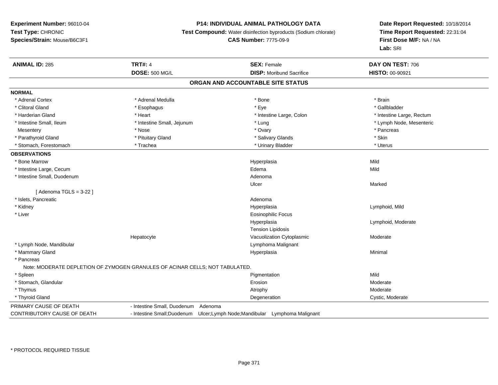# **P14: INDIVIDUAL ANIMAL PATHOLOGY DATA**

**Test Compound:** Water disinfection byproducts (Sodium chlorate)

# **CAS Number:** 7775-09-9

| <b>ANIMAL ID: 285</b>       | <b>TRT#: 4</b>                                                               | <b>SEX: Female</b>                                                        | DAY ON TEST: 706          |  |
|-----------------------------|------------------------------------------------------------------------------|---------------------------------------------------------------------------|---------------------------|--|
|                             | <b>DOSE: 500 MG/L</b>                                                        | <b>DISP:</b> Moribund Sacrifice                                           | HISTO: 00-90921           |  |
|                             |                                                                              | ORGAN AND ACCOUNTABLE SITE STATUS                                         |                           |  |
| <b>NORMAL</b>               |                                                                              |                                                                           |                           |  |
| * Adrenal Cortex            | * Adrenal Medulla                                                            | * Bone                                                                    | * Brain                   |  |
| * Clitoral Gland            | * Esophagus                                                                  | * Eye                                                                     | * Gallbladder             |  |
| * Harderian Gland           | * Heart                                                                      | * Intestine Large, Colon                                                  | * Intestine Large, Rectum |  |
| * Intestine Small, Ileum    | * Intestine Small, Jejunum                                                   | * Lung                                                                    | * Lymph Node, Mesenteric  |  |
| Mesentery                   | * Nose                                                                       | * Ovary                                                                   | * Pancreas                |  |
| * Parathyroid Gland         | * Pituitary Gland                                                            | * Salivary Glands                                                         | * Skin                    |  |
| * Stomach, Forestomach      | * Trachea                                                                    | * Urinary Bladder                                                         | * Uterus                  |  |
| <b>OBSERVATIONS</b>         |                                                                              |                                                                           |                           |  |
| * Bone Marrow               |                                                                              | Hyperplasia                                                               | Mild                      |  |
| * Intestine Large, Cecum    |                                                                              | Edema                                                                     | Mild                      |  |
| * Intestine Small, Duodenum |                                                                              | Adenoma                                                                   |                           |  |
|                             |                                                                              | Ulcer                                                                     | Marked                    |  |
| [Adenoma TGLS = $3-22$ ]    |                                                                              |                                                                           |                           |  |
| * Islets, Pancreatic        |                                                                              | Adenoma                                                                   |                           |  |
| * Kidney                    |                                                                              | Hyperplasia                                                               | Lymphoid, Mild            |  |
| * Liver                     |                                                                              | <b>Eosinophilic Focus</b>                                                 |                           |  |
|                             |                                                                              | Hyperplasia                                                               | Lymphoid, Moderate        |  |
|                             |                                                                              | <b>Tension Lipidosis</b>                                                  |                           |  |
|                             | Hepatocyte                                                                   | Vacuolization Cytoplasmic                                                 | Moderate                  |  |
| * Lymph Node, Mandibular    |                                                                              | Lymphoma Malignant                                                        |                           |  |
| * Mammary Gland             |                                                                              | Hyperplasia                                                               | Minimal                   |  |
| * Pancreas                  |                                                                              |                                                                           |                           |  |
|                             | Note: MODERATE DEPLETION OF ZYMOGEN GRANULES OF ACINAR CELLS; NOT TABULATED. |                                                                           |                           |  |
| * Spleen                    |                                                                              | Pigmentation                                                              | Mild                      |  |
| * Stomach, Glandular        |                                                                              | Erosion                                                                   | Moderate                  |  |
| * Thymus                    |                                                                              | Atrophy                                                                   | Moderate                  |  |
| * Thyroid Gland             |                                                                              | Degeneration                                                              | Cystic, Moderate          |  |
| PRIMARY CAUSE OF DEATH      | - Intestine Small, Duodenum<br>Adenoma                                       |                                                                           |                           |  |
| CONTRIBUTORY CAUSE OF DEATH |                                                                              | - Intestine Small;Duodenum Ulcer;Lymph Node;Mandibular Lymphoma Malignant |                           |  |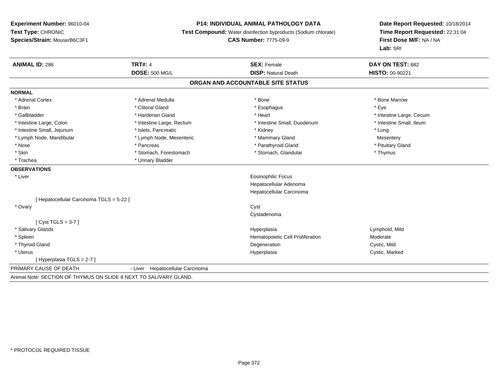#### **P14: INDIVIDUAL ANIMAL PATHOLOGY DATA**

**Test Compound:** Water disinfection byproducts (Sodium chlorate)

**CAS Number:** 7775-09-9

**Date Report Requested:** 10/18/2014**Time Report Requested:** 22:31:04**First Dose M/F:** NA / NA**Lab:** SRI

| <b>ANIMAL ID: 286</b>                    | <b>TRT#: 4</b>                      | <b>SEX: Female</b>                | DAY ON TEST: 682         |  |
|------------------------------------------|-------------------------------------|-----------------------------------|--------------------------|--|
|                                          | <b>DOSE: 500 MG/L</b>               | <b>DISP: Natural Death</b>        | <b>HISTO: 00-90221</b>   |  |
|                                          |                                     | ORGAN AND ACCOUNTABLE SITE STATUS |                          |  |
| <b>NORMAL</b>                            |                                     |                                   |                          |  |
| * Adrenal Cortex                         | * Adrenal Medulla                   | * Bone                            | * Bone Marrow            |  |
| * Brain                                  | * Clitoral Gland                    | * Esophagus                       | * Eye                    |  |
| * Gallbladder                            | * Harderian Gland                   | * Heart                           | * Intestine Large, Cecum |  |
| * Intestine Large, Colon                 | * Intestine Large, Rectum           | * Intestine Small, Duodenum       | * Intestine Small, Ileum |  |
| * Intestine Small, Jejunum               | * Islets, Pancreatic                | * Kidney                          | * Lung                   |  |
| * Lymph Node, Mandibular                 | * Lymph Node, Mesenteric            | * Mammary Gland                   | Mesentery                |  |
| * Nose                                   | * Pancreas                          | * Parathyroid Gland               | * Pituitary Gland        |  |
| * Skin                                   | * Stomach, Forestomach              | * Stomach, Glandular              | * Thymus                 |  |
| * Trachea                                | * Urinary Bladder                   |                                   |                          |  |
| <b>OBSERVATIONS</b>                      |                                     |                                   |                          |  |
| * Liver                                  |                                     | <b>Eosinophilic Focus</b>         |                          |  |
|                                          |                                     | Hepatocellular Adenoma            |                          |  |
|                                          |                                     | Hepatocellular Carcinoma          |                          |  |
| [ Hepatocellular Carcinoma TGLS = 5-22 ] |                                     |                                   |                          |  |
| * Ovary                                  |                                     | Cyst                              |                          |  |
|                                          |                                     | Cystadenoma                       |                          |  |
| [ $Cyst TGLS = 3-7$ ]                    |                                     |                                   |                          |  |
| * Salivary Glands                        |                                     | Hyperplasia                       | Lymphoid, Mild           |  |
| * Spleen                                 |                                     | Hematopoietic Cell Proliferation  | Moderate                 |  |
| * Thyroid Gland                          |                                     | Degeneration                      | Cystic, Mild             |  |
| * Uterus                                 |                                     | Hyperplasia                       | Cystic, Marked           |  |
| [Hyperplasia TGLS = 2-7]                 |                                     |                                   |                          |  |
| PRIMARY CAUSE OF DEATH                   | Hepatocellular Carcinoma<br>- Liver |                                   |                          |  |
|                                          |                                     |                                   |                          |  |

Animal Note: SECTION OF THYMUS ON SLIDE 8 NEXT TO SALIVARY GLAND.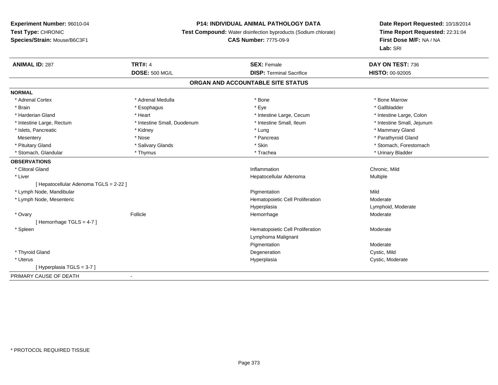# **P14: INDIVIDUAL ANIMAL PATHOLOGY DATA**

**Test Compound:** Water disinfection byproducts (Sodium chlorate)

# **CAS Number:** 7775-09-9

| <b>ANIMAL ID: 287</b>                 | <b>TRT#: 4</b>              | <b>SEX: Female</b>                | DAY ON TEST: 736           |
|---------------------------------------|-----------------------------|-----------------------------------|----------------------------|
|                                       | <b>DOSE: 500 MG/L</b>       | <b>DISP: Terminal Sacrifice</b>   | <b>HISTO: 00-92005</b>     |
|                                       |                             | ORGAN AND ACCOUNTABLE SITE STATUS |                            |
| <b>NORMAL</b>                         |                             |                                   |                            |
| * Adrenal Cortex                      | * Adrenal Medulla           | * Bone                            | * Bone Marrow              |
| * Brain                               | * Esophagus                 | * Eye                             | * Gallbladder              |
| * Harderian Gland                     | * Heart                     | * Intestine Large, Cecum          | * Intestine Large, Colon   |
| * Intestine Large, Rectum             | * Intestine Small, Duodenum | * Intestine Small, Ileum          | * Intestine Small, Jejunum |
| * Islets, Pancreatic                  | * Kidney                    | * Lung                            | * Mammary Gland            |
| Mesentery                             | * Nose                      | * Pancreas                        | * Parathyroid Gland        |
| * Pituitary Gland                     | * Salivary Glands           | * Skin                            | * Stomach, Forestomach     |
| * Stomach, Glandular                  | * Thymus                    | * Trachea                         | * Urinary Bladder          |
| <b>OBSERVATIONS</b>                   |                             |                                   |                            |
| * Clitoral Gland                      |                             | Inflammation                      | Chronic, Mild              |
| * Liver                               |                             | Hepatocellular Adenoma            | Multiple                   |
| [Hepatocellular Adenoma TGLS = 2-22 ] |                             |                                   |                            |
| * Lymph Node, Mandibular              |                             | Pigmentation                      | Mild                       |
| * Lymph Node, Mesenteric              |                             | Hematopoietic Cell Proliferation  | Moderate                   |
|                                       |                             | Hyperplasia                       | Lymphoid, Moderate         |
| * Ovary                               | Follicle                    | Hemorrhage                        | Moderate                   |
| Hemorrhage TGLS = 4-7 ]               |                             |                                   |                            |
| * Spleen                              |                             | Hematopoietic Cell Proliferation  | Moderate                   |
|                                       |                             | Lymphoma Malignant                |                            |
|                                       |                             | Pigmentation                      | Moderate                   |
| * Thyroid Gland                       |                             | Degeneration                      | Cystic, Mild               |
| * Uterus                              |                             | Hyperplasia                       | Cystic, Moderate           |
| [Hyperplasia TGLS = 3-7 ]             |                             |                                   |                            |
| PRIMARY CAUSE OF DEATH                | $\blacksquare$              |                                   |                            |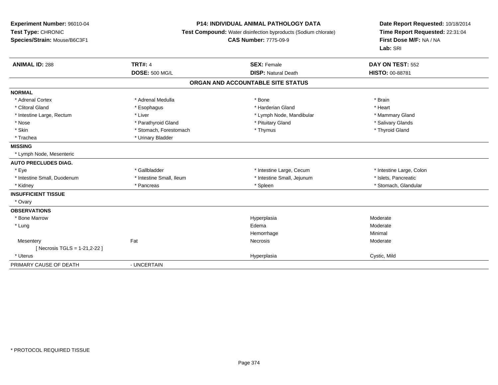# **P14: INDIVIDUAL ANIMAL PATHOLOGY DATA**

**Test Compound:** Water disinfection byproducts (Sodium chlorate)

**CAS Number:** 7775-09-9

| <b>ANIMAL ID: 288</b>          | <b>TRT#: 4</b>           | <b>SEX: Female</b>                | DAY ON TEST: 552         |
|--------------------------------|--------------------------|-----------------------------------|--------------------------|
|                                | <b>DOSE: 500 MG/L</b>    | <b>DISP: Natural Death</b>        | <b>HISTO: 00-88781</b>   |
|                                |                          | ORGAN AND ACCOUNTABLE SITE STATUS |                          |
| <b>NORMAL</b>                  |                          |                                   |                          |
| * Adrenal Cortex               | * Adrenal Medulla        | * Bone                            | * Brain                  |
| * Clitoral Gland               | * Esophagus              | * Harderian Gland                 | * Heart                  |
| * Intestine Large, Rectum      | * Liver                  | * Lymph Node, Mandibular          | * Mammary Gland          |
| * Nose                         | * Parathyroid Gland      | * Pituitary Gland                 | * Salivary Glands        |
| * Skin                         | * Stomach, Forestomach   | * Thymus                          | * Thyroid Gland          |
| * Trachea                      | * Urinary Bladder        |                                   |                          |
| <b>MISSING</b>                 |                          |                                   |                          |
| * Lymph Node, Mesenteric       |                          |                                   |                          |
| <b>AUTO PRECLUDES DIAG.</b>    |                          |                                   |                          |
| * Eye                          | * Gallbladder            | * Intestine Large, Cecum          | * Intestine Large, Colon |
| * Intestine Small, Duodenum    | * Intestine Small, Ileum | * Intestine Small, Jejunum        | * Islets, Pancreatic     |
| * Kidney                       | * Pancreas               | * Spleen                          | * Stomach, Glandular     |
| <b>INSUFFICIENT TISSUE</b>     |                          |                                   |                          |
| * Ovary                        |                          |                                   |                          |
| <b>OBSERVATIONS</b>            |                          |                                   |                          |
| * Bone Marrow                  |                          | Hyperplasia                       | Moderate                 |
| * Lung                         |                          | Edema                             | Moderate                 |
|                                |                          | Hemorrhage                        | Minimal                  |
| Mesentery                      | Fat                      | Necrosis                          | Moderate                 |
| [ Necrosis TGLS = 1-21, 2-22 ] |                          |                                   |                          |
| * Uterus                       |                          | Hyperplasia                       | Cystic, Mild             |
| PRIMARY CAUSE OF DEATH         | - UNCERTAIN              |                                   |                          |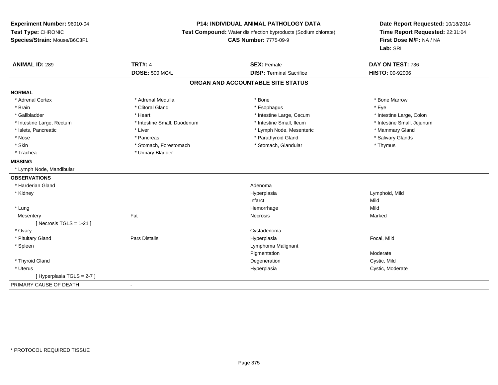#### **P14: INDIVIDUAL ANIMAL PATHOLOGY DATA**

**Test Compound:** Water disinfection byproducts (Sodium chlorate)

**CAS Number:** 7775-09-9

| <b>ANIMAL ID: 289</b>      | <b>TRT#: 4</b>              | <b>SEX: Female</b>                | DAY ON TEST: 736           |
|----------------------------|-----------------------------|-----------------------------------|----------------------------|
|                            | <b>DOSE: 500 MG/L</b>       | <b>DISP: Terminal Sacrifice</b>   | <b>HISTO: 00-92006</b>     |
|                            |                             | ORGAN AND ACCOUNTABLE SITE STATUS |                            |
| <b>NORMAL</b>              |                             |                                   |                            |
| * Adrenal Cortex           | * Adrenal Medulla           | * Bone                            | * Bone Marrow              |
| * Brain                    | * Clitoral Gland            | * Esophagus                       | * Eye                      |
| * Gallbladder              | * Heart                     | * Intestine Large, Cecum          | * Intestine Large, Colon   |
| * Intestine Large, Rectum  | * Intestine Small, Duodenum | * Intestine Small, Ileum          | * Intestine Small, Jejunum |
| * Islets, Pancreatic       | * Liver                     | * Lymph Node, Mesenteric          | * Mammary Gland            |
| * Nose                     | * Pancreas                  | * Parathyroid Gland               | * Salivary Glands          |
| * Skin                     | * Stomach, Forestomach      | * Stomach, Glandular              | * Thymus                   |
| * Trachea                  | * Urinary Bladder           |                                   |                            |
| <b>MISSING</b>             |                             |                                   |                            |
| * Lymph Node, Mandibular   |                             |                                   |                            |
| <b>OBSERVATIONS</b>        |                             |                                   |                            |
| * Harderian Gland          |                             | Adenoma                           |                            |
| * Kidney                   |                             | Hyperplasia                       | Lymphoid, Mild             |
|                            |                             | Infarct                           | Mild                       |
| * Lung                     |                             | Hemorrhage                        | Mild                       |
| Mesentery                  | Fat                         | Necrosis                          | Marked                     |
| [ Necrosis TGLS = $1-21$ ] |                             |                                   |                            |
| * Ovary                    |                             | Cystadenoma                       |                            |
| * Pituitary Gland          | <b>Pars Distalis</b>        | Hyperplasia                       | Focal, Mild                |
| * Spleen                   |                             | Lymphoma Malignant                |                            |
|                            |                             | Pigmentation                      | Moderate                   |
| * Thyroid Gland            |                             | Degeneration                      | Cystic, Mild               |
| * Uterus                   |                             | Hyperplasia                       | Cystic, Moderate           |
| [Hyperplasia TGLS = 2-7]   |                             |                                   |                            |
| PRIMARY CAUSE OF DEATH     | $\sim$                      |                                   |                            |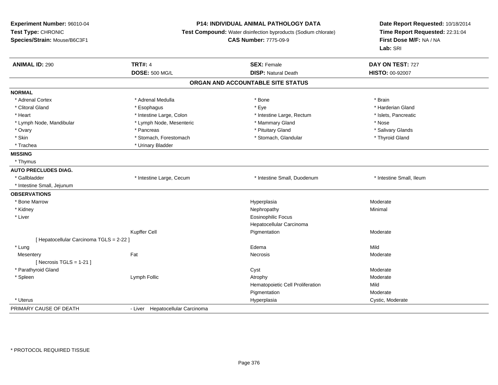### **P14: INDIVIDUAL ANIMAL PATHOLOGY DATA**

**Test Compound:** Water disinfection byproducts (Sodium chlorate)

**CAS Number:** 7775-09-9

| <b>ANIMAL ID: 290</b>                    | <b>TRT#: 4</b>                   | <b>SEX: Female</b>                | DAY ON TEST: 727         |  |
|------------------------------------------|----------------------------------|-----------------------------------|--------------------------|--|
|                                          | <b>DOSE: 500 MG/L</b>            | <b>DISP: Natural Death</b>        | <b>HISTO: 00-92007</b>   |  |
|                                          |                                  | ORGAN AND ACCOUNTABLE SITE STATUS |                          |  |
| <b>NORMAL</b>                            |                                  |                                   |                          |  |
| * Adrenal Cortex                         | * Adrenal Medulla                | * Bone                            | * Brain                  |  |
| * Clitoral Gland                         | * Esophagus                      | * Eye                             | * Harderian Gland        |  |
| * Heart                                  | * Intestine Large, Colon         | * Intestine Large, Rectum         | * Islets, Pancreatic     |  |
| * Lymph Node, Mandibular                 | * Lymph Node, Mesenteric         | * Mammary Gland                   | * Nose                   |  |
| * Ovary                                  | * Pancreas                       | * Pituitary Gland                 | * Salivary Glands        |  |
| * Skin                                   | * Stomach, Forestomach           | * Stomach, Glandular              | * Thyroid Gland          |  |
| * Trachea                                | * Urinary Bladder                |                                   |                          |  |
| <b>MISSING</b>                           |                                  |                                   |                          |  |
| * Thymus                                 |                                  |                                   |                          |  |
| <b>AUTO PRECLUDES DIAG.</b>              |                                  |                                   |                          |  |
| * Gallbladder                            | * Intestine Large, Cecum         | * Intestine Small, Duodenum       | * Intestine Small, Ileum |  |
| * Intestine Small, Jejunum               |                                  |                                   |                          |  |
| <b>OBSERVATIONS</b>                      |                                  |                                   |                          |  |
| * Bone Marrow                            |                                  | Hyperplasia                       | Moderate                 |  |
| * Kidney                                 |                                  | Nephropathy                       | Minimal                  |  |
| * Liver                                  |                                  | <b>Eosinophilic Focus</b>         |                          |  |
|                                          |                                  | Hepatocellular Carcinoma          |                          |  |
|                                          | Kupffer Cell                     | Pigmentation                      | Moderate                 |  |
| [ Hepatocellular Carcinoma TGLS = 2-22 ] |                                  |                                   |                          |  |
| * Lung                                   |                                  | Edema                             | Mild                     |  |
| Mesentery                                | Fat                              | Necrosis                          | Moderate                 |  |
| [Necrosis TGLS = $1-21$ ]                |                                  |                                   |                          |  |
| * Parathyroid Gland                      |                                  | Cyst                              | Moderate                 |  |
| * Spleen                                 | Lymph Follic                     | Atrophy                           | Moderate                 |  |
|                                          |                                  | Hematopoietic Cell Proliferation  | Mild                     |  |
|                                          |                                  | Pigmentation                      | Moderate                 |  |
| * Uterus                                 |                                  | Hyperplasia                       | Cystic, Moderate         |  |
| PRIMARY CAUSE OF DEATH                   | - Liver Hepatocellular Carcinoma |                                   |                          |  |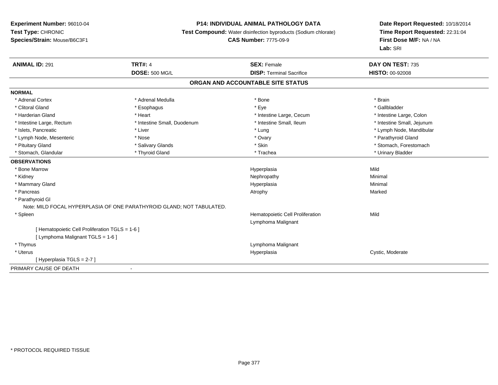# **P14: INDIVIDUAL ANIMAL PATHOLOGY DATA**

**Test Compound:** Water disinfection byproducts (Sodium chlorate)

# **CAS Number:** 7775-09-9

| <b>ANIMAL ID: 291</b>                           | <b>TRT#: 4</b>                                                        | <b>SEX: Female</b>                | DAY ON TEST: 735           |  |
|-------------------------------------------------|-----------------------------------------------------------------------|-----------------------------------|----------------------------|--|
|                                                 | <b>DOSE: 500 MG/L</b>                                                 | <b>DISP: Terminal Sacrifice</b>   | <b>HISTO: 00-92008</b>     |  |
|                                                 |                                                                       | ORGAN AND ACCOUNTABLE SITE STATUS |                            |  |
| <b>NORMAL</b>                                   |                                                                       |                                   |                            |  |
| * Adrenal Cortex                                | * Adrenal Medulla                                                     | * Bone                            | * Brain                    |  |
| * Clitoral Gland                                | * Esophagus                                                           | * Eye                             | * Gallbladder              |  |
| * Harderian Gland                               | * Heart                                                               | * Intestine Large, Cecum          | * Intestine Large, Colon   |  |
| * Intestine Large, Rectum                       | * Intestine Small, Duodenum                                           | * Intestine Small. Ileum          | * Intestine Small, Jejunum |  |
| * Islets, Pancreatic                            | * Liver                                                               | * Lung                            | * Lymph Node, Mandibular   |  |
| * Lymph Node, Mesenteric                        | * Nose                                                                | * Ovary                           | * Parathyroid Gland        |  |
| * Pituitary Gland                               | * Salivary Glands                                                     | * Skin                            | * Stomach, Forestomach     |  |
| * Stomach, Glandular                            | * Thyroid Gland                                                       | * Trachea                         | * Urinary Bladder          |  |
| <b>OBSERVATIONS</b>                             |                                                                       |                                   |                            |  |
| * Bone Marrow                                   |                                                                       | Hyperplasia                       | Mild                       |  |
| * Kidney                                        |                                                                       | Nephropathy                       | Minimal                    |  |
| * Mammary Gland                                 |                                                                       | Hyperplasia                       | Minimal                    |  |
| * Pancreas                                      |                                                                       | Atrophy                           | Marked                     |  |
| * Parathyroid GI                                |                                                                       |                                   |                            |  |
|                                                 | Note: MILD FOCAL HYPERPLASIA OF ONE PARATHYROID GLAND; NOT TABULATED. |                                   |                            |  |
| * Spleen                                        |                                                                       | Hematopoietic Cell Proliferation  | Mild                       |  |
|                                                 |                                                                       | Lymphoma Malignant                |                            |  |
| [ Hematopoietic Cell Proliferation TGLS = 1-6 ] |                                                                       |                                   |                            |  |
| [ Lymphoma Malignant TGLS = 1-6 ]               |                                                                       |                                   |                            |  |
| * Thymus                                        |                                                                       | Lymphoma Malignant                |                            |  |
| * Uterus                                        |                                                                       | Hyperplasia                       | Cystic, Moderate           |  |
| [Hyperplasia TGLS = 2-7]                        |                                                                       |                                   |                            |  |
| PRIMARY CAUSE OF DEATH                          | ٠                                                                     |                                   |                            |  |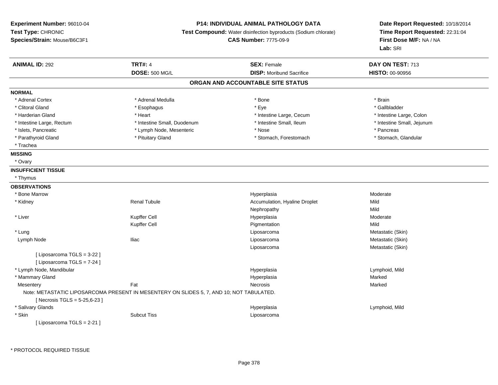# **P14: INDIVIDUAL ANIMAL PATHOLOGY DATA**

**Test Compound:** Water disinfection byproducts (Sodium chlorate)

**CAS Number:** 7775-09-9

**Date Report Requested:** 10/18/2014**Time Report Requested:** 22:31:04**First Dose M/F:** NA / NA**Lab:** SRI

| <b>ANIMAL ID: 292</b>           | <b>TRT#: 4</b>                                                                           | <b>SEX: Female</b>                | DAY ON TEST: 713           |
|---------------------------------|------------------------------------------------------------------------------------------|-----------------------------------|----------------------------|
|                                 | <b>DOSE: 500 MG/L</b>                                                                    | <b>DISP:</b> Moribund Sacrifice   | HISTO: 00-90956            |
|                                 |                                                                                          | ORGAN AND ACCOUNTABLE SITE STATUS |                            |
| <b>NORMAL</b>                   |                                                                                          |                                   |                            |
| * Adrenal Cortex                | * Adrenal Medulla                                                                        | * Bone                            | * Brain                    |
| * Clitoral Gland                | * Esophagus                                                                              | * Eye                             | * Gallbladder              |
| * Harderian Gland               | * Heart                                                                                  | * Intestine Large, Cecum          | * Intestine Large, Colon   |
| * Intestine Large, Rectum       | * Intestine Small, Duodenum                                                              | * Intestine Small, Ileum          | * Intestine Small, Jejunum |
| * Islets, Pancreatic            | * Lymph Node, Mesenteric                                                                 | * Nose                            | * Pancreas                 |
| * Parathyroid Gland             | * Pituitary Gland                                                                        | * Stomach, Forestomach            | * Stomach, Glandular       |
| * Trachea                       |                                                                                          |                                   |                            |
| <b>MISSING</b>                  |                                                                                          |                                   |                            |
| * Ovary                         |                                                                                          |                                   |                            |
| <b>INSUFFICIENT TISSUE</b>      |                                                                                          |                                   |                            |
| * Thymus                        |                                                                                          |                                   |                            |
| <b>OBSERVATIONS</b>             |                                                                                          |                                   |                            |
| * Bone Marrow                   |                                                                                          | Hyperplasia                       | Moderate                   |
| * Kidney                        | <b>Renal Tubule</b>                                                                      | Accumulation, Hyaline Droplet     | Mild                       |
|                                 |                                                                                          | Nephropathy                       | Mild                       |
| * Liver                         | Kupffer Cell                                                                             | Hyperplasia                       | Moderate                   |
|                                 | Kupffer Cell                                                                             | Pigmentation                      | Mild                       |
| * Lung                          |                                                                                          | Liposarcoma                       | Metastatic (Skin)          |
| Lymph Node                      | <b>Iliac</b>                                                                             | Liposarcoma                       | Metastatic (Skin)          |
|                                 |                                                                                          | Liposarcoma                       | Metastatic (Skin)          |
| [ Liposarcoma TGLS = 3-22 ]     |                                                                                          |                                   |                            |
| [ Liposarcoma TGLS = 7-24 ]     |                                                                                          |                                   |                            |
| * Lymph Node, Mandibular        |                                                                                          | Hyperplasia                       | Lymphoid, Mild             |
| * Mammary Gland                 |                                                                                          | Hyperplasia                       | Marked                     |
| Mesentery                       | Fat                                                                                      | Necrosis                          | Marked                     |
|                                 | Note: METASTATIC LIPOSARCOMA PRESENT IN MESENTERY ON SLIDES 5, 7, AND 10; NOT TABULATED. |                                   |                            |
| [Necrosis TGLS = 5-25,6-23]     |                                                                                          |                                   |                            |
| * Salivary Glands               |                                                                                          | Hyperplasia                       | Lymphoid, Mild             |
| * Skin                          | <b>Subcut Tiss</b>                                                                       | Liposarcoma                       |                            |
| $I$ l inosarcoma TCI S = 2-21 l |                                                                                          |                                   |                            |

[ Liposarcoma TGLS = 2-21 ]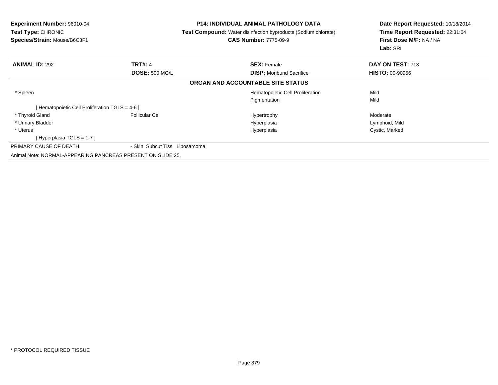| <b>Experiment Number: 96010-04</b><br><b>Test Type: CHRONIC</b><br>Species/Strain: Mouse/B6C3F1 |                                | <b>P14: INDIVIDUAL ANIMAL PATHOLOGY DATA</b><br><b>Test Compound:</b> Water disinfection byproducts (Sodium chlorate)<br><b>CAS Number: 7775-09-9</b> | Date Report Requested: 10/18/2014<br>Time Report Requested: 22:31:04<br>First Dose M/F: NA / NA<br>Lab: SRI |
|-------------------------------------------------------------------------------------------------|--------------------------------|-------------------------------------------------------------------------------------------------------------------------------------------------------|-------------------------------------------------------------------------------------------------------------|
| <b>ANIMAL ID: 292</b>                                                                           | <b>TRT#: 4</b>                 | <b>SEX: Female</b>                                                                                                                                    | DAY ON TEST: 713                                                                                            |
|                                                                                                 | <b>DOSE: 500 MG/L</b>          | <b>DISP:</b> Moribund Sacrifice                                                                                                                       | <b>HISTO: 00-90956</b>                                                                                      |
|                                                                                                 |                                | ORGAN AND ACCOUNTABLE SITE STATUS                                                                                                                     |                                                                                                             |
| * Spleen                                                                                        |                                | Hematopoietic Cell Proliferation                                                                                                                      | Mild                                                                                                        |
|                                                                                                 |                                | Pigmentation                                                                                                                                          | Mild                                                                                                        |
| [Hematopoietic Cell Proliferation TGLS = $4-6$ ]                                                |                                |                                                                                                                                                       |                                                                                                             |
| * Thyroid Gland                                                                                 | <b>Follicular Cel</b>          | Hypertrophy                                                                                                                                           | Moderate                                                                                                    |
| * Urinary Bladder                                                                               |                                | Hyperplasia                                                                                                                                           | Lymphoid, Mild                                                                                              |
| * Uterus                                                                                        |                                | Hyperplasia                                                                                                                                           | Cystic, Marked                                                                                              |
| [Hyperplasia TGLS = $1-7$ ]                                                                     |                                |                                                                                                                                                       |                                                                                                             |
| PRIMARY CAUSE OF DEATH                                                                          | - Skin Subcut Tiss Liposarcoma |                                                                                                                                                       |                                                                                                             |
| Animal Note: NORMAL-APPEARING PANCREAS PRESENT ON SLIDE 25.                                     |                                |                                                                                                                                                       |                                                                                                             |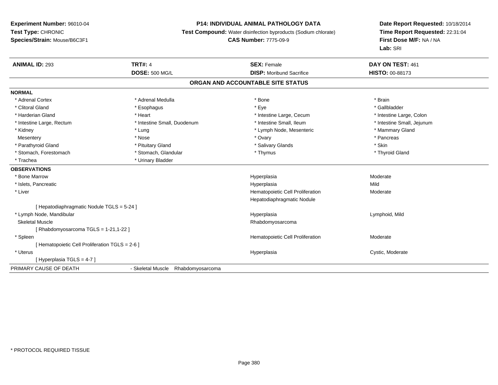# **P14: INDIVIDUAL ANIMAL PATHOLOGY DATA**

**Test Compound:** Water disinfection byproducts (Sodium chlorate)

# **CAS Number:** 7775-09-9

| <b>ANIMAL ID: 293</b>                           | <b>TRT#: 4</b>                     | <b>SEX: Female</b>                | DAY ON TEST: 461           |
|-------------------------------------------------|------------------------------------|-----------------------------------|----------------------------|
|                                                 | <b>DOSE: 500 MG/L</b>              | <b>DISP:</b> Moribund Sacrifice   | <b>HISTO: 00-88173</b>     |
|                                                 |                                    | ORGAN AND ACCOUNTABLE SITE STATUS |                            |
| <b>NORMAL</b>                                   |                                    |                                   |                            |
| * Adrenal Cortex                                | * Adrenal Medulla                  | * Bone                            | * Brain                    |
| * Clitoral Gland                                | * Esophagus                        | * Eye                             | * Gallbladder              |
| * Harderian Gland                               | * Heart                            | * Intestine Large, Cecum          | * Intestine Large, Colon   |
| * Intestine Large, Rectum                       | * Intestine Small, Duodenum        | * Intestine Small, Ileum          | * Intestine Small, Jejunum |
| * Kidney                                        | * Lung                             | * Lymph Node, Mesenteric          | * Mammary Gland            |
| Mesentery                                       | * Nose                             | * Ovary                           | * Pancreas                 |
| * Parathyroid Gland                             | * Pituitary Gland                  | * Salivary Glands                 | * Skin                     |
| * Stomach, Forestomach                          | * Stomach, Glandular               | * Thymus                          | * Thyroid Gland            |
| * Trachea                                       | * Urinary Bladder                  |                                   |                            |
| <b>OBSERVATIONS</b>                             |                                    |                                   |                            |
| * Bone Marrow                                   |                                    | Hyperplasia                       | Moderate                   |
| * Islets, Pancreatic                            |                                    | Hyperplasia                       | Mild                       |
| * Liver                                         |                                    | Hematopoietic Cell Proliferation  | Moderate                   |
|                                                 |                                    | Hepatodiaphragmatic Nodule        |                            |
| [ Hepatodiaphragmatic Nodule TGLS = 5-24 ]      |                                    |                                   |                            |
| * Lymph Node, Mandibular                        |                                    | Hyperplasia                       | Lymphoid, Mild             |
| Skeletal Muscle                                 |                                    | Rhabdomyosarcoma                  |                            |
| [ Rhabdomyosarcoma TGLS = 1-21,1-22 ]           |                                    |                                   |                            |
| * Spleen                                        |                                    | Hematopoietic Cell Proliferation  | Moderate                   |
| [ Hematopoietic Cell Proliferation TGLS = 2-6 ] |                                    |                                   |                            |
| * Uterus                                        |                                    | Hyperplasia                       | Cystic, Moderate           |
| [Hyperplasia TGLS = 4-7]                        |                                    |                                   |                            |
| PRIMARY CAUSE OF DEATH                          | - Skeletal Muscle Rhabdomyosarcoma |                                   |                            |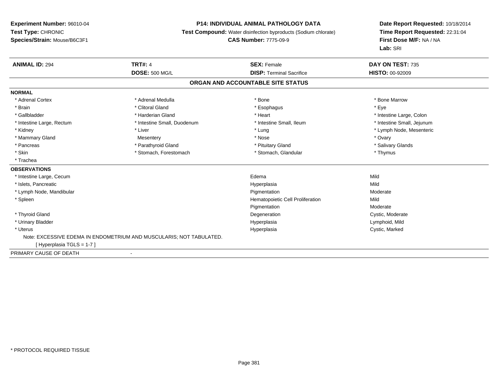#### **P14: INDIVIDUAL ANIMAL PATHOLOGY DATA**

**Test Compound:** Water disinfection byproducts (Sodium chlorate)

**CAS Number:** 7775-09-9

| <b>ANIMAL ID: 294</b>     | <b>TRT#: 4</b>                                                      | <b>SEX: Female</b>                | DAY ON TEST: 735           |
|---------------------------|---------------------------------------------------------------------|-----------------------------------|----------------------------|
|                           | <b>DOSE: 500 MG/L</b>                                               | <b>DISP: Terminal Sacrifice</b>   | <b>HISTO: 00-92009</b>     |
|                           |                                                                     | ORGAN AND ACCOUNTABLE SITE STATUS |                            |
| <b>NORMAL</b>             |                                                                     |                                   |                            |
| * Adrenal Cortex          | * Adrenal Medulla                                                   | * Bone                            | * Bone Marrow              |
| * Brain                   | * Clitoral Gland                                                    | * Esophagus                       | * Eye                      |
| * Gallbladder             | * Harderian Gland                                                   | * Heart                           | * Intestine Large, Colon   |
| * Intestine Large, Rectum | * Intestine Small, Duodenum                                         | * Intestine Small, Ileum          | * Intestine Small, Jejunum |
| * Kidney                  | * Liver                                                             | * Lung                            | * Lymph Node, Mesenteric   |
| * Mammary Gland           | Mesentery                                                           | * Nose                            | * Ovary                    |
| * Pancreas                | * Parathyroid Gland                                                 | * Pituitary Gland                 | * Salivary Glands          |
| * Skin                    | * Stomach, Forestomach                                              | * Stomach, Glandular              | * Thymus                   |
| * Trachea                 |                                                                     |                                   |                            |
| <b>OBSERVATIONS</b>       |                                                                     |                                   |                            |
| * Intestine Large, Cecum  |                                                                     | Edema                             | Mild                       |
| * Islets, Pancreatic      |                                                                     | Hyperplasia                       | Mild                       |
| * Lymph Node, Mandibular  |                                                                     | Pigmentation                      | Moderate                   |
| * Spleen                  |                                                                     | Hematopoietic Cell Proliferation  | Mild                       |
|                           |                                                                     | Pigmentation                      | Moderate                   |
| * Thyroid Gland           |                                                                     | Degeneration                      | Cystic, Moderate           |
| * Urinary Bladder         |                                                                     | Hyperplasia                       | Lymphoid, Mild             |
| * Uterus                  |                                                                     | Hyperplasia                       | Cystic, Marked             |
|                           | Note: EXCESSIVE EDEMA IN ENDOMETRIUM AND MUSCULARIS; NOT TABULATED. |                                   |                            |
| [Hyperplasia TGLS = 1-7]  |                                                                     |                                   |                            |
| PRIMARY CAUSE OF DEATH    |                                                                     |                                   |                            |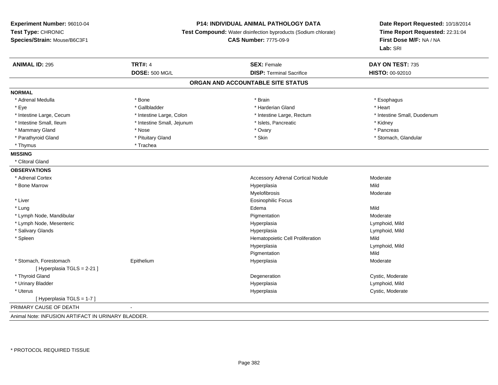#### **P14: INDIVIDUAL ANIMAL PATHOLOGY DATA**

**Test Compound:** Water disinfection byproducts (Sodium chlorate)

**CAS Number:** 7775-09-9

**Date Report Requested:** 10/18/2014**Time Report Requested:** 22:31:04**First Dose M/F:** NA / NA**Lab:** SRI

| <b>ANIMAL ID: 295</b>                                 | <b>TRT#: 4</b>             | <b>SEX: Female</b>                | DAY ON TEST: 735            |
|-------------------------------------------------------|----------------------------|-----------------------------------|-----------------------------|
|                                                       | <b>DOSE: 500 MG/L</b>      | <b>DISP: Terminal Sacrifice</b>   | HISTO: 00-92010             |
|                                                       |                            | ORGAN AND ACCOUNTABLE SITE STATUS |                             |
| <b>NORMAL</b>                                         |                            |                                   |                             |
| * Adrenal Medulla                                     | * Bone                     | * Brain                           | * Esophagus                 |
| * Eye                                                 | * Gallbladder              | * Harderian Gland                 | * Heart                     |
| * Intestine Large, Cecum                              | * Intestine Large, Colon   | * Intestine Large, Rectum         | * Intestine Small, Duodenum |
| * Intestine Small, Ileum                              | * Intestine Small, Jejunum | * Islets, Pancreatic              | * Kidney                    |
| * Mammary Gland                                       | * Nose                     | * Ovary                           | * Pancreas                  |
| * Parathyroid Gland                                   | * Pituitary Gland          | * Skin                            | * Stomach, Glandular        |
| * Thymus                                              | * Trachea                  |                                   |                             |
| <b>MISSING</b>                                        |                            |                                   |                             |
| * Clitoral Gland                                      |                            |                                   |                             |
| <b>OBSERVATIONS</b>                                   |                            |                                   |                             |
| * Adrenal Cortex                                      |                            | Accessory Adrenal Cortical Nodule | Moderate                    |
| * Bone Marrow                                         |                            | Hyperplasia                       | Mild                        |
|                                                       |                            | Myelofibrosis                     | Moderate                    |
| * Liver                                               |                            | <b>Eosinophilic Focus</b>         |                             |
| * Lung                                                |                            | Edema                             | Mild                        |
| * Lymph Node, Mandibular                              |                            | Pigmentation                      | Moderate                    |
| * Lymph Node, Mesenteric                              |                            | Hyperplasia                       | Lymphoid, Mild              |
| * Salivary Glands                                     |                            | Hyperplasia                       | Lymphoid, Mild              |
| * Spleen                                              |                            | Hematopoietic Cell Proliferation  | Mild                        |
|                                                       |                            | Hyperplasia                       | Lymphoid, Mild              |
|                                                       |                            | Pigmentation                      | Mild                        |
| * Stomach, Forestomach<br>[ Hyperplasia TGLS = 2-21 ] | Epithelium                 | Hyperplasia                       | Moderate                    |
| * Thyroid Gland                                       |                            | Degeneration                      | Cystic, Moderate            |
| * Urinary Bladder                                     |                            | Hyperplasia                       | Lymphoid, Mild              |
| * Uterus                                              |                            | Hyperplasia                       | Cystic, Moderate            |
| [Hyperplasia TGLS = 1-7]                              |                            |                                   |                             |
| PRIMARY CAUSE OF DEATH                                |                            |                                   |                             |

Animal Note: INFUSION ARTIFACT IN URINARY BLADDER.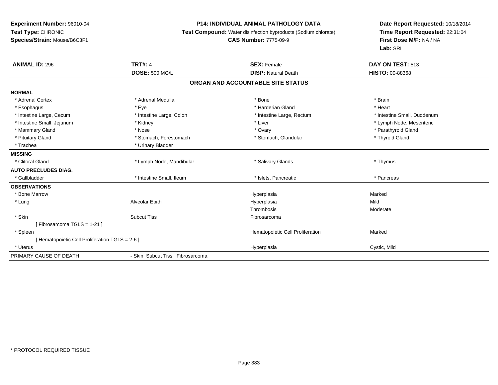# **P14: INDIVIDUAL ANIMAL PATHOLOGY DATA**

**Test Compound:** Water disinfection byproducts (Sodium chlorate)

# **CAS Number:** 7775-09-9

| <b>ANIMAL ID: 296</b>                          | <b>TRT#: 4</b>                  | <b>SEX: Female</b>                | DAY ON TEST: 513            |
|------------------------------------------------|---------------------------------|-----------------------------------|-----------------------------|
|                                                | <b>DOSE: 500 MG/L</b>           | <b>DISP: Natural Death</b>        | <b>HISTO: 00-88368</b>      |
|                                                |                                 | ORGAN AND ACCOUNTABLE SITE STATUS |                             |
| <b>NORMAL</b>                                  |                                 |                                   |                             |
| * Adrenal Cortex                               | * Adrenal Medulla               | * Bone                            | * Brain                     |
| * Esophagus                                    | * Eye                           | * Harderian Gland                 | * Heart                     |
| * Intestine Large, Cecum                       | * Intestine Large, Colon        | * Intestine Large, Rectum         | * Intestine Small, Duodenum |
| * Intestine Small, Jejunum                     | * Kidney                        | * Liver                           | * Lymph Node, Mesenteric    |
| * Mammary Gland                                | * Nose                          | * Ovary                           | * Parathyroid Gland         |
| * Pituitary Gland                              | * Stomach, Forestomach          | * Stomach, Glandular              | * Thyroid Gland             |
| * Trachea                                      | * Urinary Bladder               |                                   |                             |
| <b>MISSING</b>                                 |                                 |                                   |                             |
| * Clitoral Gland                               | * Lymph Node, Mandibular        | * Salivary Glands                 | * Thymus                    |
| <b>AUTO PRECLUDES DIAG.</b>                    |                                 |                                   |                             |
| * Gallbladder                                  | * Intestine Small, Ileum        | * Islets, Pancreatic              | * Pancreas                  |
| <b>OBSERVATIONS</b>                            |                                 |                                   |                             |
| * Bone Marrow                                  |                                 | Hyperplasia                       | Marked                      |
| * Lung                                         | Alveolar Epith                  | Hyperplasia                       | Mild                        |
|                                                |                                 | Thrombosis                        | Moderate                    |
| * Skin                                         | <b>Subcut Tiss</b>              | Fibrosarcoma                      |                             |
| [Fibrosarcoma TGLS = 1-21]                     |                                 |                                   |                             |
| * Spleen                                       |                                 | Hematopoietic Cell Proliferation  | Marked                      |
| [Hematopoietic Cell Proliferation TGLS = 2-6 ] |                                 |                                   |                             |
| * Uterus                                       |                                 | Hyperplasia                       | Cystic, Mild                |
| PRIMARY CAUSE OF DEATH                         | - Skin Subcut Tiss Fibrosarcoma |                                   |                             |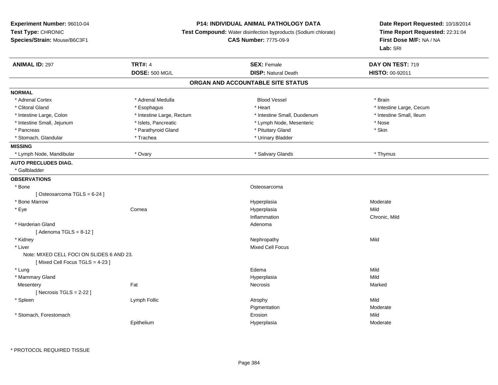### **P14: INDIVIDUAL ANIMAL PATHOLOGY DATA**

**Test Compound:** Water disinfection byproducts (Sodium chlorate)

#### **CAS Number:** 7775-09-9

| <b>ANIMAL ID: 297</b>                     | <b>TRT#: 4</b>            | <b>SEX: Female</b>                | DAY ON TEST: 719         |  |
|-------------------------------------------|---------------------------|-----------------------------------|--------------------------|--|
|                                           | <b>DOSE: 500 MG/L</b>     | <b>DISP: Natural Death</b>        | HISTO: 00-92011          |  |
|                                           |                           | ORGAN AND ACCOUNTABLE SITE STATUS |                          |  |
| <b>NORMAL</b>                             |                           |                                   |                          |  |
| * Adrenal Cortex                          | * Adrenal Medulla         | <b>Blood Vessel</b>               | * Brain                  |  |
| * Clitoral Gland                          | * Esophagus               | * Heart                           | * Intestine Large, Cecum |  |
| * Intestine Large, Colon                  | * Intestine Large, Rectum | * Intestine Small, Duodenum       | * Intestine Small, Ileum |  |
| * Intestine Small, Jejunum                | * Islets, Pancreatic      | * Lymph Node, Mesenteric          | * Nose                   |  |
| * Pancreas                                | * Parathyroid Gland       | * Pituitary Gland                 | * Skin                   |  |
| * Stomach, Glandular                      | * Trachea                 | * Urinary Bladder                 |                          |  |
| <b>MISSING</b>                            |                           |                                   |                          |  |
| * Lymph Node, Mandibular                  | * Ovary                   | * Salivary Glands                 | * Thymus                 |  |
| <b>AUTO PRECLUDES DIAG.</b>               |                           |                                   |                          |  |
| * Gallbladder                             |                           |                                   |                          |  |
| <b>OBSERVATIONS</b>                       |                           |                                   |                          |  |
| * Bone                                    |                           | Osteosarcoma                      |                          |  |
| [Osteosarcoma TGLS = 6-24]                |                           |                                   |                          |  |
| * Bone Marrow                             |                           | Hyperplasia                       | Moderate                 |  |
| * Eye                                     | Cornea                    | Hyperplasia                       | Mild                     |  |
|                                           |                           | Inflammation                      | Chronic, Mild            |  |
| * Harderian Gland                         |                           | Adenoma                           |                          |  |
| [Adenoma TGLS = $8-12$ ]                  |                           |                                   |                          |  |
| * Kidney                                  |                           | Nephropathy                       | Mild                     |  |
| * Liver                                   |                           | <b>Mixed Cell Focus</b>           |                          |  |
| Note: MIXED CELL FOCI ON SLIDES 6 AND 23. |                           |                                   |                          |  |
| [Mixed Cell Focus TGLS = 4-23]            |                           |                                   |                          |  |
| * Lung                                    |                           | Edema                             | Mild                     |  |
| * Mammary Gland                           |                           | Hyperplasia                       | Mild                     |  |
| Mesentery                                 | Fat                       | Necrosis                          | Marked                   |  |
| [Necrosis TGLS = $2-22$ ]                 |                           |                                   |                          |  |
| * Spleen                                  | Lymph Follic              | Atrophy                           | Mild                     |  |
|                                           |                           | Pigmentation                      | Moderate                 |  |
| * Stomach, Forestomach                    |                           | Erosion                           | Mild                     |  |
|                                           | Epithelium                | Hyperplasia                       | Moderate                 |  |
|                                           |                           |                                   |                          |  |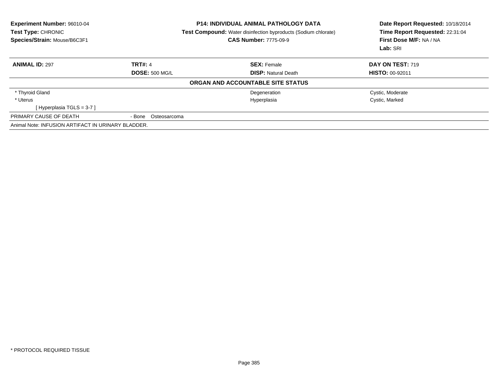| Experiment Number: 96010-04<br>Test Type: CHRONIC<br>Species/Strain: Mouse/B6C3F1 | <b>P14: INDIVIDUAL ANIMAL PATHOLOGY DATA</b><br><b>Test Compound:</b> Water disinfection byproducts (Sodium chlorate)<br><b>CAS Number: 7775-09-9</b> |                                   | Date Report Requested: 10/18/2014<br>Time Report Requested: 22:31:04<br>First Dose M/F: NA / NA<br>Lab: SRI |
|-----------------------------------------------------------------------------------|-------------------------------------------------------------------------------------------------------------------------------------------------------|-----------------------------------|-------------------------------------------------------------------------------------------------------------|
| <b>ANIMAL ID: 297</b>                                                             | <b>TRT#: 4</b>                                                                                                                                        | <b>SEX: Female</b>                | DAY ON TEST: 719                                                                                            |
|                                                                                   | <b>DOSE: 500 MG/L</b>                                                                                                                                 | <b>DISP:</b> Natural Death        | <b>HISTO: 00-92011</b>                                                                                      |
|                                                                                   |                                                                                                                                                       | ORGAN AND ACCOUNTABLE SITE STATUS |                                                                                                             |
| * Thyroid Gland                                                                   |                                                                                                                                                       | Degeneration                      | Cystic, Moderate                                                                                            |
| * Uterus                                                                          |                                                                                                                                                       | Hyperplasia                       | Cystic, Marked                                                                                              |
| [Hyperplasia TGLS = 3-7]                                                          |                                                                                                                                                       |                                   |                                                                                                             |
| PRIMARY CAUSE OF DEATH                                                            | - Bone Osteosarcoma                                                                                                                                   |                                   |                                                                                                             |
| Animal Note: INFUSION ARTIFACT IN URINARY BLADDER.                                |                                                                                                                                                       |                                   |                                                                                                             |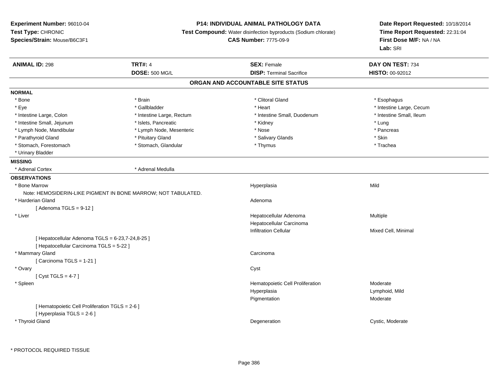# **P14: INDIVIDUAL ANIMAL PATHOLOGY DATA**

**Test Compound:** Water disinfection byproducts (Sodium chlorate)

**CAS Number:** 7775-09-9

| <b>ANIMAL ID: 298</b>                            | <b>TRT#: 4</b>                                                | <b>SEX: Female</b>                | DAY ON TEST: 734         |  |
|--------------------------------------------------|---------------------------------------------------------------|-----------------------------------|--------------------------|--|
|                                                  | <b>DOSE: 500 MG/L</b>                                         | <b>DISP: Terminal Sacrifice</b>   | HISTO: 00-92012          |  |
|                                                  |                                                               | ORGAN AND ACCOUNTABLE SITE STATUS |                          |  |
| <b>NORMAL</b>                                    |                                                               |                                   |                          |  |
| * Bone                                           | * Brain                                                       | * Clitoral Gland                  | * Esophagus              |  |
| * Eye                                            | * Gallbladder                                                 | * Heart                           | * Intestine Large, Cecum |  |
| * Intestine Large, Colon                         | * Intestine Large, Rectum                                     | * Intestine Small, Duodenum       | * Intestine Small, Ileum |  |
| * Intestine Small, Jejunum                       | * Islets, Pancreatic                                          | * Kidney                          | * Lung                   |  |
| * Lymph Node, Mandibular                         | * Lymph Node, Mesenteric                                      | * Nose                            | * Pancreas               |  |
| * Parathyroid Gland                              | * Pituitary Gland                                             | * Salivary Glands                 | * Skin                   |  |
| * Stomach, Forestomach                           | * Stomach, Glandular                                          | * Thymus                          | * Trachea                |  |
| * Urinary Bladder                                |                                                               |                                   |                          |  |
| <b>MISSING</b>                                   |                                                               |                                   |                          |  |
| * Adrenal Cortex                                 | * Adrenal Medulla                                             |                                   |                          |  |
| <b>OBSERVATIONS</b>                              |                                                               |                                   |                          |  |
| * Bone Marrow                                    |                                                               | Hyperplasia                       | Mild                     |  |
|                                                  | Note: HEMOSIDERIN-LIKE PIGMENT IN BONE MARROW; NOT TABULATED. |                                   |                          |  |
| * Harderian Gland                                |                                                               | Adenoma                           |                          |  |
| [Adenoma TGLS = $9-12$ ]                         |                                                               |                                   |                          |  |
| * Liver                                          |                                                               | Hepatocellular Adenoma            | Multiple                 |  |
|                                                  |                                                               | Hepatocellular Carcinoma          |                          |  |
|                                                  |                                                               | <b>Infiltration Cellular</b>      | Mixed Cell, Minimal      |  |
| [ Hepatocellular Adenoma TGLS = 6-23,7-24,8-25 ] |                                                               |                                   |                          |  |
| [ Hepatocellular Carcinoma TGLS = 5-22 ]         |                                                               |                                   |                          |  |
| * Mammary Gland                                  |                                                               | Carcinoma                         |                          |  |
| [Carcinoma TGLS = 1-21]                          |                                                               |                                   |                          |  |
| * Ovary                                          |                                                               | Cyst                              |                          |  |
| [Cyst TGLS = $4-7$ ]                             |                                                               |                                   |                          |  |
| * Spleen                                         |                                                               | Hematopoietic Cell Proliferation  | Moderate                 |  |
|                                                  |                                                               | Hyperplasia                       | Lymphoid, Mild           |  |
|                                                  |                                                               | Pigmentation                      | Moderate                 |  |
| [ Hematopoietic Cell Proliferation TGLS = 2-6 ]  |                                                               |                                   |                          |  |
| [ Hyperplasia TGLS = 2-6 ]                       |                                                               |                                   |                          |  |
| * Thyroid Gland                                  |                                                               | Degeneration                      | Cystic, Moderate         |  |
|                                                  |                                                               |                                   |                          |  |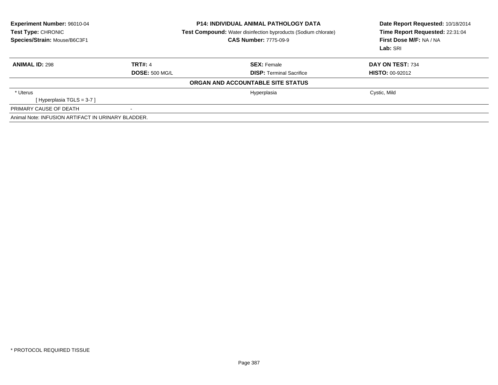| Experiment Number: 96010-04<br>Test Type: CHRONIC<br>Species/Strain: Mouse/B6C3F1 | <b>P14: INDIVIDUAL ANIMAL PATHOLOGY DATA</b><br>Test Compound: Water disinfection byproducts (Sodium chlorate)<br><b>CAS Number: 7775-09-9</b> |                                   | Date Report Requested: 10/18/2014<br>Time Report Requested: 22:31:04<br>First Dose M/F: NA / NA<br>Lab: SRI |  |
|-----------------------------------------------------------------------------------|------------------------------------------------------------------------------------------------------------------------------------------------|-----------------------------------|-------------------------------------------------------------------------------------------------------------|--|
| <b>ANIMAL ID: 298</b>                                                             | <b>TRT#: 4</b>                                                                                                                                 | <b>SEX: Female</b>                | DAY ON TEST: 734                                                                                            |  |
|                                                                                   | <b>DOSE: 500 MG/L</b>                                                                                                                          | <b>DISP:</b> Terminal Sacrifice   | <b>HISTO: 00-92012</b>                                                                                      |  |
|                                                                                   |                                                                                                                                                | ORGAN AND ACCOUNTABLE SITE STATUS |                                                                                                             |  |
| * Uterus                                                                          |                                                                                                                                                | Hyperplasia                       | Cystic, Mild                                                                                                |  |
| [Hyperplasia TGLS = 3-7]                                                          |                                                                                                                                                |                                   |                                                                                                             |  |
| PRIMARY CAUSE OF DEATH                                                            |                                                                                                                                                |                                   |                                                                                                             |  |
| Animal Note: INFUSION ARTIFACT IN URINARY BLADDER.                                |                                                                                                                                                |                                   |                                                                                                             |  |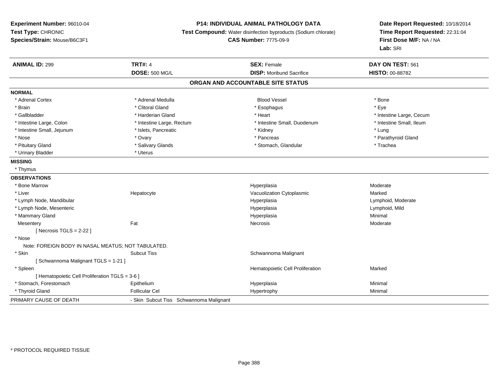# **P14: INDIVIDUAL ANIMAL PATHOLOGY DATA**

**Test Compound:** Water disinfection byproducts (Sodium chlorate)

**CAS Number:** 7775-09-9

| <b>ANIMAL ID: 299</b>                              | <b>TRT#: 4</b>                          | <b>SEX: Female</b>               | DAY ON TEST: 561         |  |  |
|----------------------------------------------------|-----------------------------------------|----------------------------------|--------------------------|--|--|
|                                                    | <b>DOSE: 500 MG/L</b>                   | <b>DISP: Moribund Sacrifice</b>  | HISTO: 00-88782          |  |  |
| ORGAN AND ACCOUNTABLE SITE STATUS                  |                                         |                                  |                          |  |  |
| <b>NORMAL</b>                                      |                                         |                                  |                          |  |  |
| * Adrenal Cortex                                   | * Adrenal Medulla                       | <b>Blood Vessel</b>              | * Bone                   |  |  |
| * Brain                                            | * Clitoral Gland                        | * Esophagus                      | * Eye                    |  |  |
| * Gallbladder                                      | * Harderian Gland                       | * Heart                          | * Intestine Large, Cecum |  |  |
| * Intestine Large, Colon                           | * Intestine Large, Rectum               | * Intestine Small, Duodenum      | * Intestine Small, Ileum |  |  |
| * Intestine Small, Jejunum                         | * Islets, Pancreatic                    | * Kidney                         | * Lung                   |  |  |
| * Nose                                             | * Ovary                                 | * Pancreas                       | * Parathyroid Gland      |  |  |
| * Pituitary Gland                                  | * Salivary Glands                       | * Stomach, Glandular             | * Trachea                |  |  |
| * Urinary Bladder                                  | * Uterus                                |                                  |                          |  |  |
| <b>MISSING</b>                                     |                                         |                                  |                          |  |  |
| * Thymus                                           |                                         |                                  |                          |  |  |
| <b>OBSERVATIONS</b>                                |                                         |                                  |                          |  |  |
| * Bone Marrow                                      |                                         | Hyperplasia                      | Moderate                 |  |  |
| * Liver                                            | Hepatocyte                              | Vacuolization Cytoplasmic        | Marked                   |  |  |
| * Lymph Node, Mandibular                           |                                         | Hyperplasia                      | Lymphoid, Moderate       |  |  |
| * Lymph Node, Mesenteric                           |                                         | Hyperplasia                      | Lymphoid, Mild           |  |  |
| * Mammary Gland                                    |                                         | Hyperplasia                      | Minimal                  |  |  |
| Mesentery                                          | Fat                                     | Necrosis                         | Moderate                 |  |  |
| [Necrosis TGLS = $2-22$ ]                          |                                         |                                  |                          |  |  |
| * Nose                                             |                                         |                                  |                          |  |  |
| Note: FOREIGN BODY IN NASAL MEATUS; NOT TABULATED. |                                         |                                  |                          |  |  |
| * Skin                                             | <b>Subcut Tiss</b>                      | Schwannoma Malignant             |                          |  |  |
| [Schwannoma Malignant TGLS = 1-21]                 |                                         |                                  |                          |  |  |
| * Spleen                                           |                                         | Hematopoietic Cell Proliferation | Marked                   |  |  |
| [ Hematopoietic Cell Proliferation TGLS = 3-6 ]    |                                         |                                  |                          |  |  |
| * Stomach, Forestomach                             | Epithelium                              | Hyperplasia                      | Minimal                  |  |  |
| * Thyroid Gland                                    | <b>Follicular Cel</b>                   | Hypertrophy                      | Minimal                  |  |  |
| PRIMARY CAUSE OF DEATH                             | - Skin Subcut Tiss Schwannoma Malignant |                                  |                          |  |  |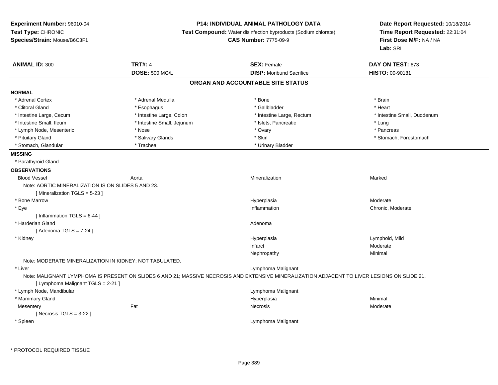### **P14: INDIVIDUAL ANIMAL PATHOLOGY DATA**

**Test Compound:** Water disinfection byproducts (Sodium chlorate)

**CAS Number:** 7775-09-9

| <b>ANIMAL ID: 300</b>                                   | <b>TRT#: 4</b>             | <b>SEX: Female</b>                                                                                                                           | DAY ON TEST: 673            |
|---------------------------------------------------------|----------------------------|----------------------------------------------------------------------------------------------------------------------------------------------|-----------------------------|
|                                                         | <b>DOSE: 500 MG/L</b>      | <b>DISP:</b> Moribund Sacrifice                                                                                                              | HISTO: 00-90181             |
|                                                         |                            | ORGAN AND ACCOUNTABLE SITE STATUS                                                                                                            |                             |
| <b>NORMAL</b>                                           |                            |                                                                                                                                              |                             |
| * Adrenal Cortex                                        | * Adrenal Medulla          | * Bone                                                                                                                                       | * Brain                     |
| * Clitoral Gland                                        | * Esophagus                | * Gallbladder                                                                                                                                | * Heart                     |
| * Intestine Large, Cecum                                | * Intestine Large, Colon   | * Intestine Large, Rectum                                                                                                                    | * Intestine Small, Duodenum |
| * Intestine Small, Ileum                                | * Intestine Small, Jejunum | * Islets, Pancreatic                                                                                                                         | * Lung                      |
| * Lymph Node, Mesenteric                                | * Nose                     | * Ovary                                                                                                                                      | * Pancreas                  |
| * Pituitary Gland                                       | * Salivary Glands          | * Skin                                                                                                                                       | * Stomach, Forestomach      |
| * Stomach, Glandular                                    | * Trachea                  | * Urinary Bladder                                                                                                                            |                             |
| <b>MISSING</b>                                          |                            |                                                                                                                                              |                             |
| * Parathyroid Gland                                     |                            |                                                                                                                                              |                             |
| <b>OBSERVATIONS</b>                                     |                            |                                                                                                                                              |                             |
| <b>Blood Vessel</b>                                     | Aorta                      | Mineralization                                                                                                                               | Marked                      |
| Note: AORTIC MINERALIZATION IS ON SLIDES 5 AND 23.      |                            |                                                                                                                                              |                             |
| [Mineralization TGLS = 5-23]                            |                            |                                                                                                                                              |                             |
| * Bone Marrow                                           |                            | Hyperplasia                                                                                                                                  | Moderate                    |
| * Eye                                                   |                            | Inflammation                                                                                                                                 | Chronic, Moderate           |
| [Inflammation TGLS = $6-44$ ]                           |                            |                                                                                                                                              |                             |
| * Harderian Gland                                       |                            | Adenoma                                                                                                                                      |                             |
| [Adenoma TGLS = $7-24$ ]                                |                            |                                                                                                                                              |                             |
| * Kidney                                                |                            | Hyperplasia                                                                                                                                  | Lymphoid, Mild              |
|                                                         |                            | Infarct                                                                                                                                      | Moderate                    |
|                                                         |                            | Nephropathy                                                                                                                                  | Minimal                     |
| Note: MODERATE MINERALIZATION IN KIDNEY; NOT TABULATED. |                            |                                                                                                                                              |                             |
| * Liver                                                 |                            | Lymphoma Malignant                                                                                                                           |                             |
| [ Lymphoma Malignant TGLS = 2-21 ]                      |                            | Note: MALIGNANT LYMPHOMA IS PRESENT ON SLIDES 6 AND 21; MASSIVE NECROSIS AND EXTENSIVE MINERALIZATION ADJACENT TO LIVER LESIONS ON SLIDE 21. |                             |
| * Lymph Node, Mandibular                                |                            | Lymphoma Malignant                                                                                                                           |                             |
| * Mammary Gland                                         |                            | Hyperplasia                                                                                                                                  | Minimal                     |
| Mesentery                                               | Fat                        | Necrosis                                                                                                                                     | Moderate                    |
| [Necrosis $TGLS = 3-22$ ]                               |                            |                                                                                                                                              |                             |
| * Spleen                                                |                            | Lymphoma Malignant                                                                                                                           |                             |
|                                                         |                            |                                                                                                                                              |                             |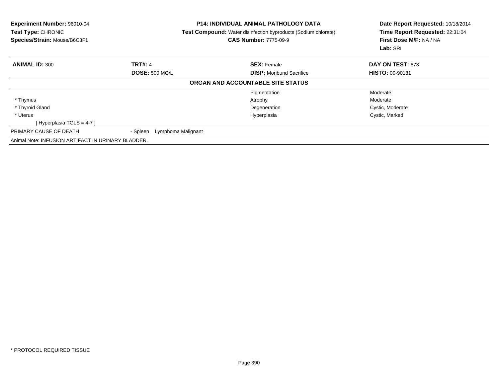| <b>Experiment Number: 96010-04</b><br>Test Type: CHRONIC<br>Species/Strain: Mouse/B6C3F1 |                                | <b>P14: INDIVIDUAL ANIMAL PATHOLOGY DATA</b><br><b>Test Compound:</b> Water disinfection byproducts (Sodium chlorate)<br><b>CAS Number: 7775-09-9</b> | Date Report Requested: 10/18/2014<br>Time Report Requested: 22:31:04<br>First Dose M/F: NA / NA<br>Lab: SRI |  |
|------------------------------------------------------------------------------------------|--------------------------------|-------------------------------------------------------------------------------------------------------------------------------------------------------|-------------------------------------------------------------------------------------------------------------|--|
| <b>ANIMAL ID: 300</b>                                                                    | <b>TRT#: 4</b>                 | <b>SEX: Female</b>                                                                                                                                    | DAY ON TEST: 673                                                                                            |  |
|                                                                                          | <b>DOSE: 500 MG/L</b>          | <b>DISP:</b> Moribund Sacrifice                                                                                                                       | <b>HISTO: 00-90181</b>                                                                                      |  |
|                                                                                          |                                | ORGAN AND ACCOUNTABLE SITE STATUS                                                                                                                     |                                                                                                             |  |
|                                                                                          |                                | Pigmentation                                                                                                                                          | Moderate                                                                                                    |  |
| * Thymus                                                                                 |                                | Atrophy                                                                                                                                               | Moderate                                                                                                    |  |
| * Thyroid Gland                                                                          |                                | Degeneration                                                                                                                                          | Cystic, Moderate                                                                                            |  |
| * Uterus                                                                                 |                                | Hyperplasia                                                                                                                                           | Cystic, Marked                                                                                              |  |
| Hyperplasia TGLS = 4-7 ]                                                                 |                                |                                                                                                                                                       |                                                                                                             |  |
| PRIMARY CAUSE OF DEATH                                                                   | - Spleen<br>Lymphoma Malignant |                                                                                                                                                       |                                                                                                             |  |
| Animal Note: INFUSION ARTIFACT IN URINARY BLADDER.                                       |                                |                                                                                                                                                       |                                                                                                             |  |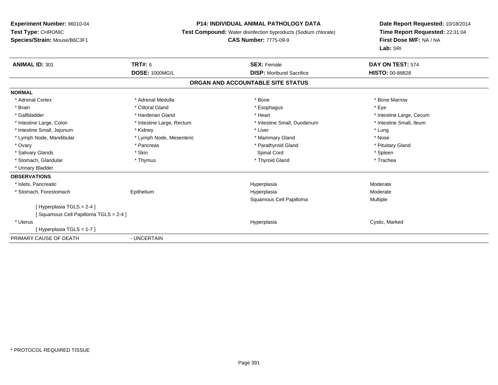#### **P14: INDIVIDUAL ANIMAL PATHOLOGY DATA**

**Test Compound:** Water disinfection byproducts (Sodium chlorate)

#### **CAS Number:** 7775-09-9

| <b>ANIMAL ID: 301</b>                | <b>TRT#: 6</b>                    | <b>SEX: Female</b>              | DAY ON TEST: 574         |  |  |  |
|--------------------------------------|-----------------------------------|---------------------------------|--------------------------|--|--|--|
|                                      | <b>DOSE: 1000MG/L</b>             | <b>DISP: Moribund Sacrifice</b> | <b>HISTO: 00-88828</b>   |  |  |  |
|                                      | ORGAN AND ACCOUNTABLE SITE STATUS |                                 |                          |  |  |  |
| <b>NORMAL</b>                        |                                   |                                 |                          |  |  |  |
| * Adrenal Cortex                     | * Adrenal Medulla                 | * Bone                          | * Bone Marrow            |  |  |  |
| * Brain                              | * Clitoral Gland                  | * Esophagus                     | * Eye                    |  |  |  |
| * Gallbladder                        | * Harderian Gland                 | * Heart                         | * Intestine Large, Cecum |  |  |  |
| * Intestine Large, Colon             | * Intestine Large, Rectum         | * Intestine Small, Duodenum     | * Intestine Small, Ileum |  |  |  |
| * Intestine Small, Jejunum           | * Kidney                          | * Liver                         | * Lung                   |  |  |  |
| * Lymph Node, Mandibular             | * Lymph Node, Mesenteric          | * Mammary Gland                 | * Nose                   |  |  |  |
| * Ovary                              | * Pancreas                        | * Parathyroid Gland             | * Pituitary Gland        |  |  |  |
| * Salivary Glands                    | * Skin                            | Spinal Cord                     | * Spleen                 |  |  |  |
| * Stomach, Glandular                 | * Thymus                          | * Thyroid Gland                 | * Trachea                |  |  |  |
| * Urinary Bladder                    |                                   |                                 |                          |  |  |  |
| <b>OBSERVATIONS</b>                  |                                   |                                 |                          |  |  |  |
| * Islets, Pancreatic                 |                                   | Hyperplasia                     | Moderate                 |  |  |  |
| * Stomach, Forestomach               | Epithelium                        | Hyperplasia                     | Moderate                 |  |  |  |
|                                      |                                   | Squamous Cell Papilloma         | Multiple                 |  |  |  |
| [Hyperplasia TGLS = 2-4]             |                                   |                                 |                          |  |  |  |
| Squamous Cell Papilloma TGLS = 2-4 ] |                                   |                                 |                          |  |  |  |
| * Uterus                             |                                   | Hyperplasia                     | Cystic, Marked           |  |  |  |
| [Hyperplasia TGLS = 1-7]             |                                   |                                 |                          |  |  |  |
| PRIMARY CAUSE OF DEATH               | - UNCERTAIN                       |                                 |                          |  |  |  |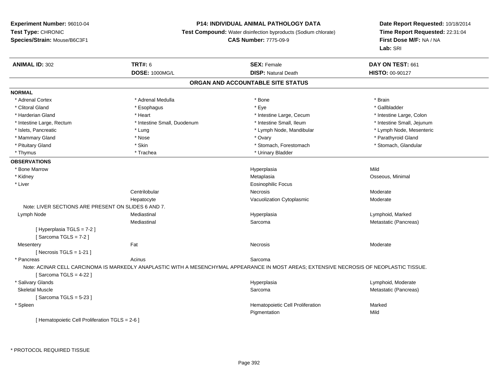# **P14: INDIVIDUAL ANIMAL PATHOLOGY DATA**

**Test Compound:** Water disinfection byproducts (Sodium chlorate)

#### **CAS Number:** 7775-09-9

| <b>ANIMAL ID: 302</b>                               | <b>TRT#: 6</b>              | <b>SEX: Female</b>                                                                                                                       | DAY ON TEST: 661           |  |
|-----------------------------------------------------|-----------------------------|------------------------------------------------------------------------------------------------------------------------------------------|----------------------------|--|
|                                                     | <b>DOSE: 1000MG/L</b>       | <b>DISP: Natural Death</b>                                                                                                               | HISTO: 00-90127            |  |
|                                                     |                             | ORGAN AND ACCOUNTABLE SITE STATUS                                                                                                        |                            |  |
| <b>NORMAL</b>                                       |                             |                                                                                                                                          |                            |  |
| * Adrenal Cortex                                    | * Adrenal Medulla           | * Bone                                                                                                                                   | * Brain                    |  |
| * Clitoral Gland                                    | * Esophagus                 | * Eye                                                                                                                                    | * Gallbladder              |  |
| * Harderian Gland                                   | * Heart                     | * Intestine Large, Cecum                                                                                                                 | * Intestine Large, Colon   |  |
| * Intestine Large, Rectum                           | * Intestine Small, Duodenum | * Intestine Small, Ileum                                                                                                                 | * Intestine Small, Jejunum |  |
| * Islets, Pancreatic                                | * Lung                      | * Lymph Node, Mandibular                                                                                                                 | * Lymph Node, Mesenteric   |  |
| * Mammary Gland                                     | * Nose                      | * Ovary                                                                                                                                  | * Parathyroid Gland        |  |
| * Pituitary Gland                                   | * Skin                      | * Stomach, Forestomach                                                                                                                   | * Stomach, Glandular       |  |
| * Thymus                                            | * Trachea                   | * Urinary Bladder                                                                                                                        |                            |  |
| <b>OBSERVATIONS</b>                                 |                             |                                                                                                                                          |                            |  |
| * Bone Marrow                                       |                             | Hyperplasia                                                                                                                              | Mild                       |  |
| * Kidney                                            |                             | Metaplasia                                                                                                                               | Osseous, Minimal           |  |
| * Liver                                             |                             | <b>Eosinophilic Focus</b>                                                                                                                |                            |  |
|                                                     | Centrilobular               | <b>Necrosis</b>                                                                                                                          | Moderate                   |  |
|                                                     | Hepatocyte                  | Vacuolization Cytoplasmic                                                                                                                | Moderate                   |  |
| Note: LIVER SECTIONS ARE PRESENT ON SLIDES 6 AND 7. |                             |                                                                                                                                          |                            |  |
| Lymph Node                                          | Mediastinal                 | Hyperplasia                                                                                                                              | Lymphoid, Marked           |  |
|                                                     | Mediastinal                 | Sarcoma                                                                                                                                  | Metastatic (Pancreas)      |  |
| [ Hyperplasia TGLS = 7-2 ]                          |                             |                                                                                                                                          |                            |  |
| [Sarcoma TGLS = $7-2$ ]                             |                             |                                                                                                                                          |                            |  |
| Mesentery                                           | Fat                         | Necrosis                                                                                                                                 | Moderate                   |  |
| [Necrosis TGLS = $1-21$ ]                           |                             |                                                                                                                                          |                            |  |
| * Pancreas                                          | Acinus                      | Sarcoma                                                                                                                                  |                            |  |
|                                                     |                             | Note: ACINAR CELL CARCINOMA IS MARKEDLY ANAPLASTIC WITH A MESENCHYMAL APPEARANCE IN MOST AREAS; EXTENSIVE NECROSIS OF NEOPLASTIC TISSUE. |                            |  |
| [Sarcoma TGLS = $4-22$ ]                            |                             |                                                                                                                                          |                            |  |
| * Salivary Glands                                   |                             | Hyperplasia                                                                                                                              | Lymphoid, Moderate         |  |
| <b>Skeletal Muscle</b>                              |                             | Sarcoma                                                                                                                                  | Metastatic (Pancreas)      |  |
| [Sarcoma TGLS = $5-23$ ]                            |                             |                                                                                                                                          |                            |  |
| * Spleen                                            |                             | Hematopoietic Cell Proliferation                                                                                                         | Marked                     |  |
|                                                     |                             | Pigmentation                                                                                                                             | Mild                       |  |
| [ Hematopoietic Cell Proliferation TGLS = 2-6 ]     |                             |                                                                                                                                          |                            |  |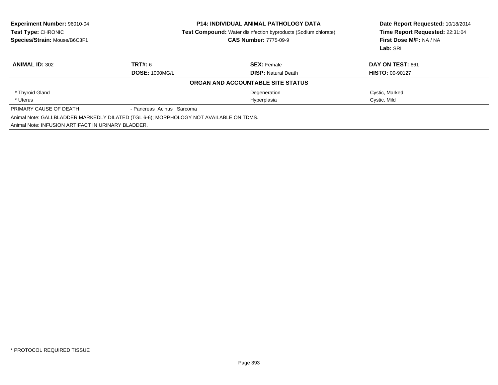| Experiment Number: 96010-04<br><b>Test Type: CHRONIC</b><br>Species/Strain: Mouse/B6C3F1 | <b>P14: INDIVIDUAL ANIMAL PATHOLOGY DATA</b><br><b>Test Compound:</b> Water disinfection byproducts (Sodium chlorate)<br><b>CAS Number: 7775-09-9</b> |                                   | Date Report Requested: 10/18/2014<br>Time Report Requested: 22:31:04<br>First Dose M/F: NA / NA<br>Lab: SRI |  |
|------------------------------------------------------------------------------------------|-------------------------------------------------------------------------------------------------------------------------------------------------------|-----------------------------------|-------------------------------------------------------------------------------------------------------------|--|
| <b>ANIMAL ID: 302</b>                                                                    | <b>TRT#: 6</b>                                                                                                                                        | <b>SEX: Female</b>                | DAY ON TEST: 661                                                                                            |  |
|                                                                                          | <b>DOSE: 1000MG/L</b>                                                                                                                                 | <b>DISP:</b> Natural Death        | <b>HISTO: 00-90127</b>                                                                                      |  |
|                                                                                          |                                                                                                                                                       | ORGAN AND ACCOUNTABLE SITE STATUS |                                                                                                             |  |
| * Thyroid Gland                                                                          |                                                                                                                                                       | Degeneration                      | Cystic, Marked                                                                                              |  |
| * Uterus                                                                                 |                                                                                                                                                       | Hyperplasia                       | Cystic, Mild                                                                                                |  |
| PRIMARY CAUSE OF DEATH                                                                   | - Pancreas Acinus Sarcoma                                                                                                                             |                                   |                                                                                                             |  |
| Animal Note: INFUSION ARTIFACT IN URINARY BLADDER.                                       | Animal Note: GALLBLADDER MARKEDLY DILATED (TGL 6-6); MORPHOLOGY NOT AVAILABLE ON TDMS.                                                                |                                   |                                                                                                             |  |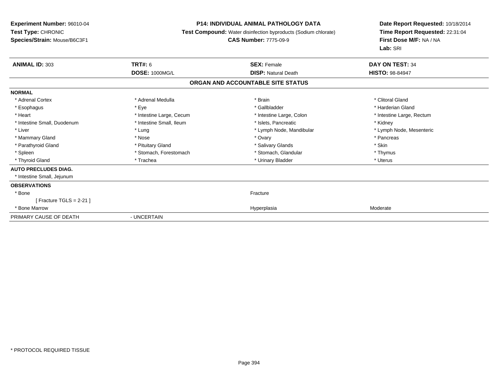#### **P14: INDIVIDUAL ANIMAL PATHOLOGY DATA**

**Test Compound:** Water disinfection byproducts (Sodium chlorate)

#### **CAS Number:** 7775-09-9

| <b>ANIMAL ID: 303</b>             | <b>TRT#: 6</b>           | <b>SEX: Female</b>         | <b>DAY ON TEST: 34</b>    |  |  |  |
|-----------------------------------|--------------------------|----------------------------|---------------------------|--|--|--|
|                                   | <b>DOSE: 1000MG/L</b>    | <b>DISP: Natural Death</b> | <b>HISTO: 98-84947</b>    |  |  |  |
| ORGAN AND ACCOUNTABLE SITE STATUS |                          |                            |                           |  |  |  |
| <b>NORMAL</b>                     |                          |                            |                           |  |  |  |
| * Adrenal Cortex                  | * Adrenal Medulla        | * Brain                    | * Clitoral Gland          |  |  |  |
| * Esophagus                       | * Eye                    | * Gallbladder              | * Harderian Gland         |  |  |  |
| * Heart                           | * Intestine Large, Cecum | * Intestine Large, Colon   | * Intestine Large, Rectum |  |  |  |
| * Intestine Small, Duodenum       | * Intestine Small, Ileum | * Islets, Pancreatic       | * Kidney                  |  |  |  |
| * Liver                           | * Lung                   | * Lymph Node, Mandibular   | * Lymph Node, Mesenteric  |  |  |  |
| * Mammary Gland                   | * Nose                   | * Ovary                    | * Pancreas                |  |  |  |
| * Parathyroid Gland               | * Pituitary Gland        | * Salivary Glands          | * Skin                    |  |  |  |
| * Spleen                          | * Stomach, Forestomach   | * Stomach, Glandular       | * Thymus                  |  |  |  |
| * Thyroid Gland                   | * Trachea                | * Urinary Bladder          | * Uterus                  |  |  |  |
| <b>AUTO PRECLUDES DIAG.</b>       |                          |                            |                           |  |  |  |
| * Intestine Small, Jejunum        |                          |                            |                           |  |  |  |
| <b>OBSERVATIONS</b>               |                          |                            |                           |  |  |  |
| * Bone                            |                          | Fracture                   |                           |  |  |  |
| $[$ Fracture TGLS = 2-21 $]$      |                          |                            |                           |  |  |  |
| * Bone Marrow                     |                          | Hyperplasia                | Moderate                  |  |  |  |
| PRIMARY CAUSE OF DEATH            | - UNCERTAIN              |                            |                           |  |  |  |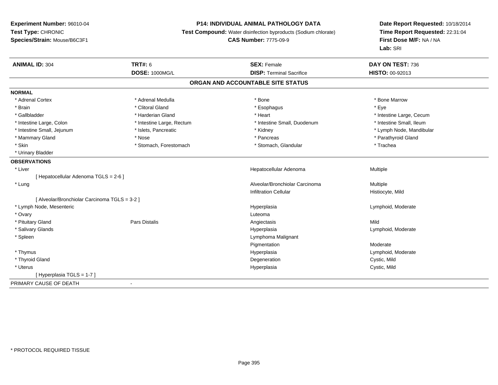# **P14: INDIVIDUAL ANIMAL PATHOLOGY DATA**

**Test Compound:** Water disinfection byproducts (Sodium chlorate)

**CAS Number:** 7775-09-9

| <b>ANIMAL ID: 304</b>                        | <b>TRT#: 6</b>            | <b>SEX: Female</b>              | DAY ON TEST: 736         |  |  |  |
|----------------------------------------------|---------------------------|---------------------------------|--------------------------|--|--|--|
|                                              | <b>DOSE: 1000MG/L</b>     | <b>DISP: Terminal Sacrifice</b> | <b>HISTO: 00-92013</b>   |  |  |  |
| ORGAN AND ACCOUNTABLE SITE STATUS            |                           |                                 |                          |  |  |  |
| <b>NORMAL</b>                                |                           |                                 |                          |  |  |  |
| * Adrenal Cortex                             | * Adrenal Medulla         | * Bone                          | * Bone Marrow            |  |  |  |
| * Brain                                      | * Clitoral Gland          | * Esophagus                     | * Eye                    |  |  |  |
| * Gallbladder                                | * Harderian Gland         | * Heart                         | * Intestine Large, Cecum |  |  |  |
| * Intestine Large, Colon                     | * Intestine Large, Rectum | * Intestine Small, Duodenum     | * Intestine Small, Ileum |  |  |  |
| * Intestine Small, Jejunum                   | * Islets, Pancreatic      | * Kidney                        | * Lymph Node, Mandibular |  |  |  |
| * Mammary Gland                              | * Nose                    | * Pancreas                      | * Parathyroid Gland      |  |  |  |
| * Skin                                       | * Stomach, Forestomach    | * Stomach, Glandular            | * Trachea                |  |  |  |
| * Urinary Bladder                            |                           |                                 |                          |  |  |  |
| <b>OBSERVATIONS</b>                          |                           |                                 |                          |  |  |  |
| * Liver                                      |                           | Hepatocellular Adenoma          | Multiple                 |  |  |  |
| [Hepatocellular Adenoma TGLS = 2-6]          |                           |                                 |                          |  |  |  |
| * Lung                                       |                           | Alveolar/Bronchiolar Carcinoma  | Multiple                 |  |  |  |
|                                              |                           | <b>Infiltration Cellular</b>    | Histiocyte, Mild         |  |  |  |
| [Alveolar/Bronchiolar Carcinoma TGLS = 3-2 ] |                           |                                 |                          |  |  |  |
| * Lymph Node, Mesenteric                     |                           | Hyperplasia                     | Lymphoid, Moderate       |  |  |  |
| * Ovary                                      |                           | Luteoma                         |                          |  |  |  |
| * Pituitary Gland                            | Pars Distalis             | Angiectasis                     | Mild                     |  |  |  |
| * Salivary Glands                            |                           | Hyperplasia                     | Lymphoid, Moderate       |  |  |  |
| * Spleen                                     |                           | Lymphoma Malignant              |                          |  |  |  |
|                                              |                           | Pigmentation                    | Moderate                 |  |  |  |
| * Thymus                                     |                           | Hyperplasia                     | Lymphoid, Moderate       |  |  |  |
| * Thyroid Gland                              |                           | Degeneration                    | Cystic, Mild             |  |  |  |
| * Uterus                                     |                           | Hyperplasia                     | Cystic, Mild             |  |  |  |
| [Hyperplasia TGLS = 1-7]                     |                           |                                 |                          |  |  |  |
| PRIMARY CAUSE OF DEATH                       | $\blacksquare$            |                                 |                          |  |  |  |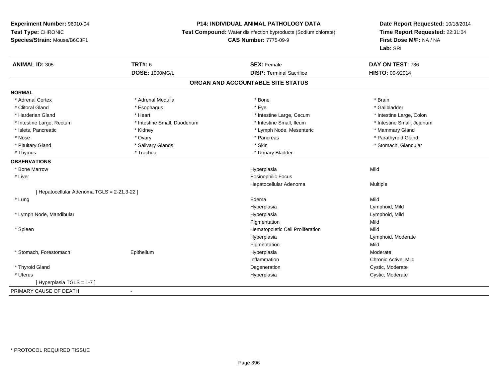# **P14: INDIVIDUAL ANIMAL PATHOLOGY DATA**

**Test Compound:** Water disinfection byproducts (Sodium chlorate)

# **CAS Number:** 7775-09-9

| <b>ANIMAL ID: 305</b>                       | <b>TRT#: 6</b>              | <b>SEX: Female</b>               | DAY ON TEST: 736           |  |  |  |
|---------------------------------------------|-----------------------------|----------------------------------|----------------------------|--|--|--|
|                                             | <b>DOSE: 1000MG/L</b>       | <b>DISP: Terminal Sacrifice</b>  | HISTO: 00-92014            |  |  |  |
| ORGAN AND ACCOUNTABLE SITE STATUS           |                             |                                  |                            |  |  |  |
| <b>NORMAL</b>                               |                             |                                  |                            |  |  |  |
| * Adrenal Cortex                            | * Adrenal Medulla           | * Bone                           | * Brain                    |  |  |  |
| * Clitoral Gland                            | * Esophagus                 | * Eye                            | * Gallbladder              |  |  |  |
| * Harderian Gland                           | * Heart                     | * Intestine Large, Cecum         | * Intestine Large, Colon   |  |  |  |
| * Intestine Large, Rectum                   | * Intestine Small, Duodenum | * Intestine Small, Ileum         | * Intestine Small, Jejunum |  |  |  |
| * Islets, Pancreatic                        | * Kidney                    | * Lymph Node, Mesenteric         | * Mammary Gland            |  |  |  |
| * Nose                                      | * Ovary                     | * Pancreas                       | * Parathyroid Gland        |  |  |  |
| * Pituitary Gland                           | * Salivary Glands           | * Skin                           | * Stomach, Glandular       |  |  |  |
| * Thymus                                    | * Trachea                   | * Urinary Bladder                |                            |  |  |  |
| <b>OBSERVATIONS</b>                         |                             |                                  |                            |  |  |  |
| * Bone Marrow                               |                             | Hyperplasia                      | Mild                       |  |  |  |
| * Liver                                     |                             | <b>Eosinophilic Focus</b>        |                            |  |  |  |
|                                             |                             | Hepatocellular Adenoma           | Multiple                   |  |  |  |
| [ Hepatocellular Adenoma TGLS = 2-21,3-22 ] |                             |                                  |                            |  |  |  |
| * Lung                                      |                             | Edema                            | Mild                       |  |  |  |
|                                             |                             | Hyperplasia                      | Lymphoid, Mild             |  |  |  |
| * Lymph Node, Mandibular                    |                             | Hyperplasia                      | Lymphoid, Mild             |  |  |  |
|                                             |                             | Pigmentation                     | Mild                       |  |  |  |
| * Spleen                                    |                             | Hematopoietic Cell Proliferation | Mild                       |  |  |  |
|                                             |                             | Hyperplasia                      | Lymphoid, Moderate         |  |  |  |
|                                             |                             | Pigmentation                     | Mild                       |  |  |  |
| * Stomach, Forestomach                      | Epithelium                  | Hyperplasia                      | Moderate                   |  |  |  |
|                                             |                             | Inflammation                     | Chronic Active, Mild       |  |  |  |
| * Thyroid Gland                             |                             | Degeneration                     | Cystic, Moderate           |  |  |  |
| * Uterus                                    |                             | Hyperplasia                      | Cystic, Moderate           |  |  |  |
| [Hyperplasia TGLS = 1-7]                    |                             |                                  |                            |  |  |  |
| PRIMARY CAUSE OF DEATH                      |                             |                                  |                            |  |  |  |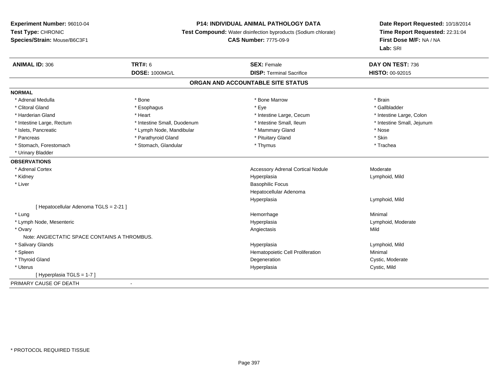#### **P14: INDIVIDUAL ANIMAL PATHOLOGY DATA**

**Test Compound:** Water disinfection byproducts (Sodium chlorate)

**CAS Number:** 7775-09-9

| <b>ANIMAL ID: 306</b>                        | TRT#: 6                     | <b>SEX: Female</b>                       | DAY ON TEST: 736           |
|----------------------------------------------|-----------------------------|------------------------------------------|----------------------------|
|                                              | <b>DOSE: 1000MG/L</b>       | <b>DISP: Terminal Sacrifice</b>          | <b>HISTO: 00-92015</b>     |
|                                              |                             | ORGAN AND ACCOUNTABLE SITE STATUS        |                            |
| <b>NORMAL</b>                                |                             |                                          |                            |
| * Adrenal Medulla                            | * Bone                      | * Bone Marrow                            | * Brain                    |
| * Clitoral Gland                             | * Esophagus                 | * Eye                                    | * Gallbladder              |
| * Harderian Gland                            | * Heart                     | * Intestine Large, Cecum                 | * Intestine Large, Colon   |
| * Intestine Large, Rectum                    | * Intestine Small, Duodenum | * Intestine Small, Ileum                 | * Intestine Small, Jejunum |
| * Islets, Pancreatic                         | * Lymph Node, Mandibular    | * Mammary Gland                          | * Nose                     |
| * Pancreas                                   | * Parathyroid Gland         | * Pituitary Gland                        | * Skin                     |
| * Stomach, Forestomach                       | * Stomach, Glandular        | * Thymus                                 | * Trachea                  |
| * Urinary Bladder                            |                             |                                          |                            |
| <b>OBSERVATIONS</b>                          |                             |                                          |                            |
| * Adrenal Cortex                             |                             | <b>Accessory Adrenal Cortical Nodule</b> | Moderate                   |
| * Kidney                                     |                             | Hyperplasia                              | Lymphoid, Mild             |
| * Liver                                      |                             | <b>Basophilic Focus</b>                  |                            |
|                                              |                             | Hepatocellular Adenoma                   |                            |
|                                              |                             | Hyperplasia                              | Lymphoid, Mild             |
| [ Hepatocellular Adenoma TGLS = 2-21 ]       |                             |                                          |                            |
| * Lung                                       |                             | Hemorrhage                               | Minimal                    |
| * Lymph Node, Mesenteric                     |                             | Hyperplasia                              | Lymphoid, Moderate         |
| * Ovary                                      |                             | Angiectasis                              | Mild                       |
| Note: ANGIECTATIC SPACE CONTAINS A THROMBUS. |                             |                                          |                            |
| * Salivary Glands                            |                             | Hyperplasia                              | Lymphoid, Mild             |
| * Spleen                                     |                             | Hematopoietic Cell Proliferation         | Minimal                    |
| * Thyroid Gland                              |                             | Degeneration                             | Cystic, Moderate           |
| * Uterus                                     |                             | Hyperplasia                              | Cystic, Mild               |
| [Hyperplasia TGLS = $1-7$ ]                  |                             |                                          |                            |
| PRIMARY CAUSE OF DEATH                       | $\blacksquare$              |                                          |                            |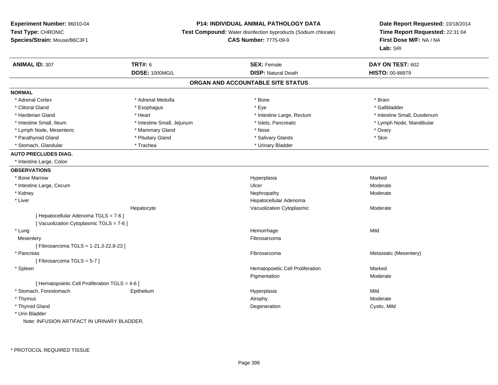### **P14: INDIVIDUAL ANIMAL PATHOLOGY DATA**

**Test Compound:** Water disinfection byproducts (Sodium chlorate)

**CAS Number:** 7775-09-9

| <b>ANIMAL ID: 307</b>                           | <b>TRT#: 6</b>             | <b>SEX: Female</b>                | DAY ON TEST: 602            |
|-------------------------------------------------|----------------------------|-----------------------------------|-----------------------------|
|                                                 | <b>DOSE: 1000MG/L</b>      | <b>DISP: Natural Death</b>        | <b>HISTO: 00-88979</b>      |
|                                                 |                            | ORGAN AND ACCOUNTABLE SITE STATUS |                             |
| <b>NORMAL</b>                                   |                            |                                   |                             |
| * Adrenal Cortex                                | * Adrenal Medulla          | * Bone                            | * Brain                     |
| * Clitoral Gland                                | * Esophagus                | * Eye                             | * Gallbladder               |
| * Harderian Gland                               | * Heart                    | * Intestine Large, Rectum         | * Intestine Small, Duodenum |
| * Intestine Small, Ileum                        | * Intestine Small, Jejunum | * Islets, Pancreatic              | * Lymph Node, Mandibular    |
| * Lymph Node, Mesenteric                        | * Mammary Gland            | * Nose                            | * Ovary                     |
| * Parathyroid Gland                             | * Pituitary Gland          | * Salivary Glands                 | * Skin                      |
| * Stomach, Glandular                            | * Trachea                  | * Urinary Bladder                 |                             |
| <b>AUTO PRECLUDES DIAG.</b>                     |                            |                                   |                             |
| * Intestine Large, Colon                        |                            |                                   |                             |
| <b>OBSERVATIONS</b>                             |                            |                                   |                             |
| * Bone Marrow                                   |                            | Hyperplasia                       | Marked                      |
| * Intestine Large, Cecum                        |                            | Ulcer                             | Moderate                    |
| * Kidney                                        |                            | Nephropathy                       | Moderate                    |
| * Liver                                         |                            | Hepatocellular Adenoma            |                             |
|                                                 | Hepatocyte                 | Vacuolization Cytoplasmic         | Moderate                    |
| [ Hepatocellular Adenoma TGLS = 7-6 ]           |                            |                                   |                             |
| [Vacuolization Cytoplasmic TGLS = 7-6]          |                            |                                   |                             |
| * Lung                                          |                            | Hemorrhage                        | Mild                        |
| Mesentery                                       |                            | Fibrosarcoma                      |                             |
| [Fibrosarcoma TGLS = 1-21,3-22,8-23]            |                            |                                   |                             |
| * Pancreas                                      |                            | Fibrosarcoma                      | Metastatic (Mesentery)      |
| [Fibrosarcoma TGLS = 5-7]                       |                            |                                   |                             |
| * Spleen                                        |                            | Hematopoietic Cell Proliferation  | Marked                      |
|                                                 |                            | Pigmentation                      | Moderate                    |
| [ Hematopoietic Cell Proliferation TGLS = 4-6 ] |                            |                                   |                             |
| * Stomach, Forestomach                          | Epithelium                 | Hyperplasia                       | Mild                        |
| * Thymus                                        |                            | Atrophy                           | Moderate                    |
| * Thyroid Gland                                 |                            | Degeneration                      | Cystic, Mild                |
| * Urin Bladder                                  |                            |                                   |                             |
| Note: INFUSION ARTIFACT IN URINARY BLADDER.     |                            |                                   |                             |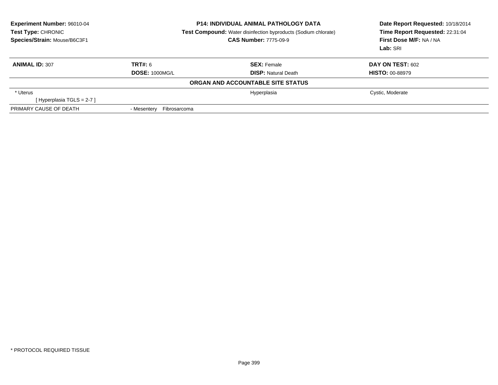| Experiment Number: 96010-04<br><b>Test Type: CHRONIC</b><br>Species/Strain: Mouse/B6C3F1 |                             | <b>P14: INDIVIDUAL ANIMAL PATHOLOGY DATA</b><br><b>Test Compound:</b> Water disinfection byproducts (Sodium chlorate)<br><b>CAS Number: 7775-09-9</b> | Date Report Requested: 10/18/2014<br>Time Report Requested: 22:31:04<br>First Dose M/F: NA / NA<br>Lab: SRI |
|------------------------------------------------------------------------------------------|-----------------------------|-------------------------------------------------------------------------------------------------------------------------------------------------------|-------------------------------------------------------------------------------------------------------------|
| <b>ANIMAL ID: 307</b>                                                                    | TRT#: 6                     | <b>SEX:</b> Female                                                                                                                                    | <b>DAY ON TEST: 602</b>                                                                                     |
|                                                                                          | <b>DOSE: 1000MG/L</b>       | <b>DISP:</b> Natural Death                                                                                                                            | <b>HISTO: 00-88979</b>                                                                                      |
|                                                                                          |                             | ORGAN AND ACCOUNTABLE SITE STATUS                                                                                                                     |                                                                                                             |
| * Uterus                                                                                 |                             | Hyperplasia                                                                                                                                           | Cystic, Moderate                                                                                            |
| [Hyperplasia TGLS = 2-7]                                                                 |                             |                                                                                                                                                       |                                                                                                             |
| PRIMARY CAUSE OF DEATH                                                                   | Fibrosarcoma<br>- Mesentery |                                                                                                                                                       |                                                                                                             |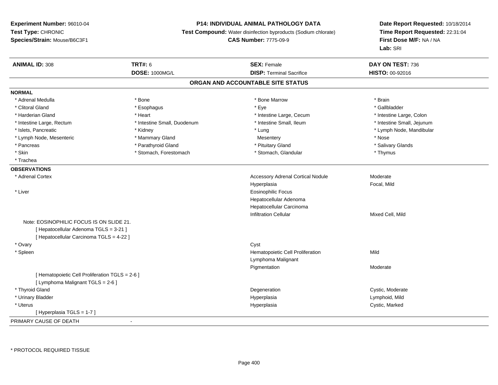## **P14: INDIVIDUAL ANIMAL PATHOLOGY DATA**

**Test Compound:** Water disinfection byproducts (Sodium chlorate)

**CAS Number:** 7775-09-9

| <b>ANIMAL ID: 308</b>                           | <b>TRT#: 6</b>              | <b>SEX: Female</b>                       | DAY ON TEST: 736           |
|-------------------------------------------------|-----------------------------|------------------------------------------|----------------------------|
|                                                 | DOSE: 1000MG/L              | <b>DISP: Terminal Sacrifice</b>          | HISTO: 00-92016            |
|                                                 |                             | ORGAN AND ACCOUNTABLE SITE STATUS        |                            |
| <b>NORMAL</b>                                   |                             |                                          |                            |
| * Adrenal Medulla                               | * Bone                      | * Bone Marrow                            | * Brain                    |
| * Clitoral Gland                                | * Esophagus                 | * Eye                                    | * Gallbladder              |
| * Harderian Gland                               | * Heart                     | * Intestine Large, Cecum                 | * Intestine Large, Colon   |
| * Intestine Large, Rectum                       | * Intestine Small, Duodenum | * Intestine Small, Ileum                 | * Intestine Small, Jejunum |
| * Islets, Pancreatic                            | * Kidney                    | * Lung                                   | * Lymph Node, Mandibular   |
| * Lymph Node, Mesenteric                        | * Mammary Gland             | Mesentery                                | * Nose                     |
| * Pancreas                                      | * Parathyroid Gland         | * Pituitary Gland                        | * Salivary Glands          |
| * Skin                                          | * Stomach, Forestomach      | * Stomach, Glandular                     | * Thymus                   |
| * Trachea                                       |                             |                                          |                            |
| <b>OBSERVATIONS</b>                             |                             |                                          |                            |
| * Adrenal Cortex                                |                             | <b>Accessory Adrenal Cortical Nodule</b> | Moderate                   |
|                                                 |                             | Hyperplasia                              | Focal, Mild                |
| * Liver                                         |                             | <b>Eosinophilic Focus</b>                |                            |
|                                                 |                             | Hepatocellular Adenoma                   |                            |
|                                                 |                             | Hepatocellular Carcinoma                 |                            |
|                                                 |                             | <b>Infiltration Cellular</b>             | Mixed Cell, Mild           |
| Note: EOSINOPHILIC FOCUS IS ON SLIDE 21.        |                             |                                          |                            |
| [ Hepatocellular Adenoma TGLS = 3-21 ]          |                             |                                          |                            |
| [ Hepatocellular Carcinoma TGLS = 4-22 ]        |                             |                                          |                            |
| * Ovary                                         |                             | Cyst                                     |                            |
| * Spleen                                        |                             | Hematopoietic Cell Proliferation         | Mild                       |
|                                                 |                             | Lymphoma Malignant                       |                            |
|                                                 |                             | Pigmentation                             | Moderate                   |
| [ Hematopoietic Cell Proliferation TGLS = 2-6 ] |                             |                                          |                            |
| [ Lymphoma Malignant TGLS = 2-6 ]               |                             |                                          |                            |
| * Thyroid Gland                                 |                             | Degeneration                             | Cystic, Moderate           |
| * Urinary Bladder                               |                             | Hyperplasia                              | Lymphoid, Mild             |
| * Uterus                                        |                             | Hyperplasia                              | Cystic, Marked             |
| [Hyperplasia TGLS = 1-7]                        |                             |                                          |                            |
| PRIMARY CAUSE OF DEATH                          | $\sim$                      |                                          |                            |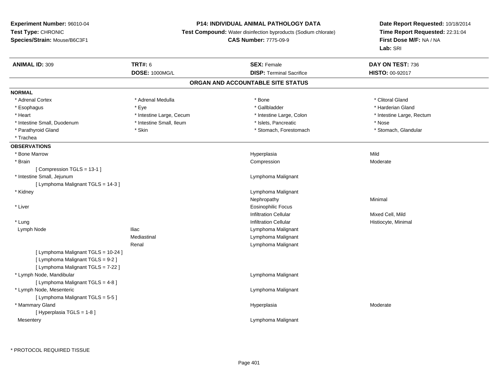#### **P14: INDIVIDUAL ANIMAL PATHOLOGY DATA**

**Test Compound:** Water disinfection byproducts (Sodium chlorate)

**CAS Number:** 7775-09-9

| <b>ANIMAL ID: 309</b>               | <b>TRT#: 6</b>           | <b>SEX: Female</b>                | DAY ON TEST: 736          |
|-------------------------------------|--------------------------|-----------------------------------|---------------------------|
|                                     | <b>DOSE: 1000MG/L</b>    | <b>DISP: Terminal Sacrifice</b>   | <b>HISTO: 00-92017</b>    |
|                                     |                          | ORGAN AND ACCOUNTABLE SITE STATUS |                           |
| <b>NORMAL</b>                       |                          |                                   |                           |
| * Adrenal Cortex                    | * Adrenal Medulla        | * Bone                            | * Clitoral Gland          |
| * Esophagus                         | * Eye                    | * Gallbladder                     | * Harderian Gland         |
| * Heart                             | * Intestine Large, Cecum | * Intestine Large, Colon          | * Intestine Large, Rectum |
| * Intestine Small, Duodenum         | * Intestine Small, Ileum | * Islets, Pancreatic              | * Nose                    |
| * Parathyroid Gland                 | * Skin                   | * Stomach, Forestomach            | * Stomach, Glandular      |
| * Trachea                           |                          |                                   |                           |
| <b>OBSERVATIONS</b>                 |                          |                                   |                           |
| * Bone Marrow                       |                          | Hyperplasia                       | Mild                      |
| * Brain                             |                          | Compression                       | Moderate                  |
| [Compression TGLS = 13-1]           |                          |                                   |                           |
| * Intestine Small, Jejunum          |                          | Lymphoma Malignant                |                           |
| [ Lymphoma Malignant TGLS = 14-3 ]  |                          |                                   |                           |
| * Kidney                            |                          | Lymphoma Malignant                |                           |
|                                     |                          | Nephropathy                       | Minimal                   |
| * Liver                             |                          | <b>Eosinophilic Focus</b>         |                           |
|                                     |                          | <b>Infiltration Cellular</b>      | Mixed Cell, Mild          |
| * Lung                              |                          | <b>Infiltration Cellular</b>      | Histiocyte, Minimal       |
| Lymph Node                          | <b>Iliac</b>             | Lymphoma Malignant                |                           |
|                                     | Mediastinal              | Lymphoma Malignant                |                           |
|                                     | Renal                    | Lymphoma Malignant                |                           |
| [ Lymphoma Malignant TGLS = 10-24 ] |                          |                                   |                           |
| [ Lymphoma Malignant TGLS = 9-2 ]   |                          |                                   |                           |
| [ Lymphoma Malignant TGLS = 7-22 ]  |                          |                                   |                           |
| * Lymph Node, Mandibular            |                          | Lymphoma Malignant                |                           |
| [ Lymphoma Malignant TGLS = 4-8 ]   |                          |                                   |                           |
| * Lymph Node, Mesenteric            |                          | Lymphoma Malignant                |                           |
| [ Lymphoma Malignant TGLS = 5-5 ]   |                          |                                   |                           |
| * Mammary Gland                     |                          | Hyperplasia                       | Moderate                  |
| [ Hyperplasia TGLS = 1-8 ]          |                          |                                   |                           |
| Mesentery                           |                          | Lymphoma Malignant                |                           |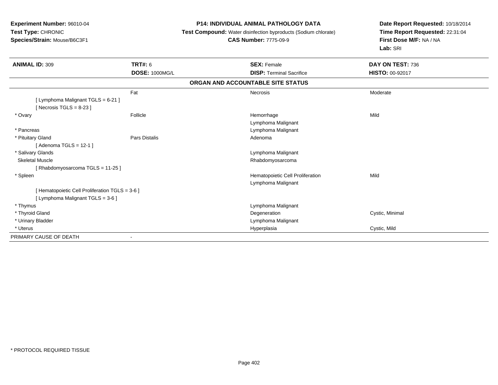## **P14: INDIVIDUAL ANIMAL PATHOLOGY DATA**

**Test Compound:** Water disinfection byproducts (Sodium chlorate)

# **CAS Number:** 7775-09-9

| <b>ANIMAL ID: 309</b>                         | <b>TRT#: 6</b>           | <b>SEX: Female</b>                | DAY ON TEST: 736       |
|-----------------------------------------------|--------------------------|-----------------------------------|------------------------|
|                                               | <b>DOSE: 1000MG/L</b>    | <b>DISP: Terminal Sacrifice</b>   | <b>HISTO: 00-92017</b> |
|                                               |                          | ORGAN AND ACCOUNTABLE SITE STATUS |                        |
|                                               | Fat                      | Necrosis                          | Moderate               |
| [ Lymphoma Malignant TGLS = 6-21 ]            |                          |                                   |                        |
| [Necrosis TGLS = $8-23$ ]                     |                          |                                   |                        |
| * Ovary                                       | Follicle                 | Hemorrhage                        | Mild                   |
|                                               |                          | Lymphoma Malignant                |                        |
| * Pancreas                                    |                          | Lymphoma Malignant                |                        |
| * Pituitary Gland                             | Pars Distalis            | Adenoma                           |                        |
| [ Adenoma TGLS = 12-1 ]                       |                          |                                   |                        |
| * Salivary Glands                             |                          | Lymphoma Malignant                |                        |
| <b>Skeletal Muscle</b>                        |                          | Rhabdomyosarcoma                  |                        |
| [Rhabdomyosarcoma TGLS = 11-25]               |                          |                                   |                        |
| * Spleen                                      |                          | Hematopoietic Cell Proliferation  | Mild                   |
|                                               |                          | Lymphoma Malignant                |                        |
| [Hematopoietic Cell Proliferation TGLS = 3-6] |                          |                                   |                        |
| [Lymphoma Malignant TGLS = 3-6]               |                          |                                   |                        |
| * Thymus                                      |                          | Lymphoma Malignant                |                        |
| * Thyroid Gland                               |                          | Degeneration                      | Cystic, Minimal        |
| * Urinary Bladder                             |                          | Lymphoma Malignant                |                        |
| * Uterus                                      |                          | Hyperplasia                       | Cystic, Mild           |
| PRIMARY CAUSE OF DEATH                        | $\overline{\phantom{a}}$ |                                   |                        |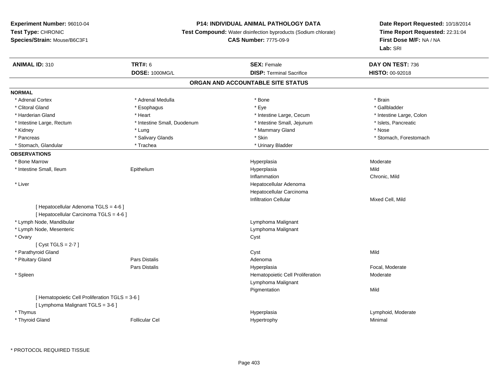## **P14: INDIVIDUAL ANIMAL PATHOLOGY DATA**

**Test Compound:** Water disinfection byproducts (Sodium chlorate)

#### **CAS Number:** 7775-09-9

| DOSE: 1000MG/L<br><b>DISP: Terminal Sacrifice</b><br>HISTO: 00-92018<br>ORGAN AND ACCOUNTABLE SITE STATUS<br><b>NORMAL</b><br>* Adrenal Medulla<br>* Bone<br>* Brain<br>* Adrenal Cortex<br>* Clitoral Gland<br>* Gallbladder<br>* Eye<br>* Esophagus<br>* Harderian Gland<br>* Heart<br>* Intestine Large, Cecum |                          |
|-------------------------------------------------------------------------------------------------------------------------------------------------------------------------------------------------------------------------------------------------------------------------------------------------------------------|--------------------------|
|                                                                                                                                                                                                                                                                                                                   |                          |
|                                                                                                                                                                                                                                                                                                                   |                          |
|                                                                                                                                                                                                                                                                                                                   |                          |
|                                                                                                                                                                                                                                                                                                                   |                          |
|                                                                                                                                                                                                                                                                                                                   |                          |
|                                                                                                                                                                                                                                                                                                                   | * Intestine Large, Colon |
| * Intestine Small, Duodenum<br>* Intestine Small, Jejunum<br>* Intestine Large, Rectum                                                                                                                                                                                                                            | * Islets, Pancreatic     |
| * Nose<br>* Mammary Gland<br>* Kidney<br>* Lung                                                                                                                                                                                                                                                                   |                          |
| * Salivary Glands<br>* Skin<br>* Pancreas                                                                                                                                                                                                                                                                         | * Stomach, Forestomach   |
| * Stomach, Glandular<br>* Trachea<br>* Urinary Bladder                                                                                                                                                                                                                                                            |                          |
| <b>OBSERVATIONS</b>                                                                                                                                                                                                                                                                                               |                          |
| * Bone Marrow<br>Moderate<br>Hyperplasia                                                                                                                                                                                                                                                                          |                          |
| Mild<br>* Intestine Small, Ileum<br>Epithelium<br>Hyperplasia                                                                                                                                                                                                                                                     |                          |
| Inflammation<br>Chronic, Mild                                                                                                                                                                                                                                                                                     |                          |
| * Liver<br>Hepatocellular Adenoma                                                                                                                                                                                                                                                                                 |                          |
| Hepatocellular Carcinoma                                                                                                                                                                                                                                                                                          |                          |
| <b>Infiltration Cellular</b><br>Mixed Cell, Mild                                                                                                                                                                                                                                                                  |                          |
| [ Hepatocellular Adenoma TGLS = 4-6 ]                                                                                                                                                                                                                                                                             |                          |
| [ Hepatocellular Carcinoma TGLS = 4-6 ]                                                                                                                                                                                                                                                                           |                          |
| * Lymph Node, Mandibular<br>Lymphoma Malignant                                                                                                                                                                                                                                                                    |                          |
| * Lymph Node, Mesenteric<br>Lymphoma Malignant                                                                                                                                                                                                                                                                    |                          |
| * Ovary<br>Cyst                                                                                                                                                                                                                                                                                                   |                          |
| [Cyst TGLS = $2-7$ ]                                                                                                                                                                                                                                                                                              |                          |
| * Parathyroid Gland<br>Cyst<br>Mild                                                                                                                                                                                                                                                                               |                          |
| <b>Pars Distalis</b><br>* Pituitary Gland<br>Adenoma                                                                                                                                                                                                                                                              |                          |
| Pars Distalis<br>Focal, Moderate<br>Hyperplasia                                                                                                                                                                                                                                                                   |                          |
| * Spleen<br>Hematopoietic Cell Proliferation<br>Moderate                                                                                                                                                                                                                                                          |                          |
| Lymphoma Malignant                                                                                                                                                                                                                                                                                                |                          |
| Pigmentation<br>Mild                                                                                                                                                                                                                                                                                              |                          |
| [ Hematopoietic Cell Proliferation TGLS = 3-6 ]                                                                                                                                                                                                                                                                   |                          |
| [ Lymphoma Malignant TGLS = 3-6 ]                                                                                                                                                                                                                                                                                 |                          |
| * Thymus<br>Hyperplasia<br>Lymphoid, Moderate                                                                                                                                                                                                                                                                     |                          |
| * Thyroid Gland<br><b>Follicular Cel</b><br>Hypertrophy<br>Minimal                                                                                                                                                                                                                                                |                          |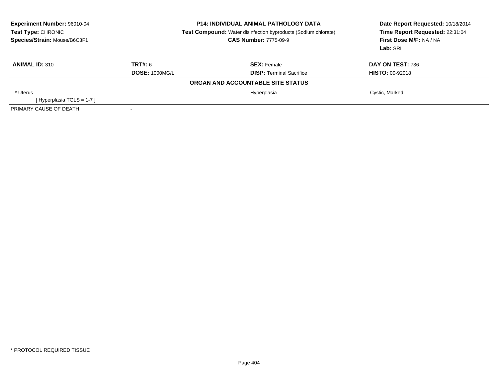| <b>Experiment Number: 96010-04</b><br>Test Type: CHRONIC<br>Species/Strain: Mouse/B6C3F1 | <b>P14: INDIVIDUAL ANIMAL PATHOLOGY DATA</b><br><b>Test Compound:</b> Water disinfection byproducts (Sodium chlorate)<br><b>CAS Number: 7775-09-9</b> |                                   | Date Report Requested: 10/18/2014<br>Time Report Requested: 22:31:04<br>First Dose M/F: NA / NA<br>Lab: SRI |
|------------------------------------------------------------------------------------------|-------------------------------------------------------------------------------------------------------------------------------------------------------|-----------------------------------|-------------------------------------------------------------------------------------------------------------|
| <b>ANIMAL ID: 310</b>                                                                    | TRT#: 6                                                                                                                                               | <b>SEX: Female</b>                | DAY ON TEST: 736                                                                                            |
|                                                                                          | <b>DOSE: 1000MG/L</b>                                                                                                                                 | <b>DISP: Terminal Sacrifice</b>   | <b>HISTO: 00-92018</b>                                                                                      |
|                                                                                          |                                                                                                                                                       | ORGAN AND ACCOUNTABLE SITE STATUS |                                                                                                             |
| * Uterus                                                                                 |                                                                                                                                                       | Hyperplasia                       | Cystic, Marked                                                                                              |
| [Hyperplasia TGLS = $1-7$ ]                                                              |                                                                                                                                                       |                                   |                                                                                                             |
| PRIMARY CAUSE OF DEATH                                                                   |                                                                                                                                                       |                                   |                                                                                                             |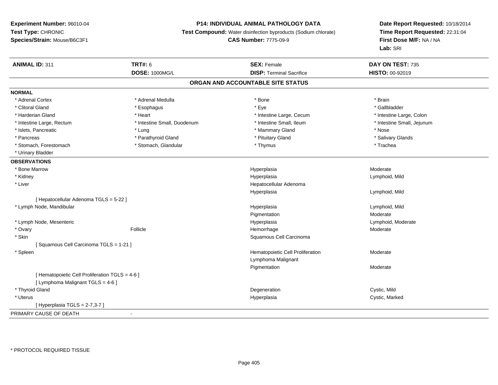## **P14: INDIVIDUAL ANIMAL PATHOLOGY DATA**

**Test Compound:** Water disinfection byproducts (Sodium chlorate)

**CAS Number:** 7775-09-9

| <b>ANIMAL ID: 311</b>                           | <b>TRT#: 6</b>              | <b>SEX: Female</b>                | DAY ON TEST: 735           |  |
|-------------------------------------------------|-----------------------------|-----------------------------------|----------------------------|--|
|                                                 | <b>DOSE: 1000MG/L</b>       | <b>DISP: Terminal Sacrifice</b>   | HISTO: 00-92019            |  |
|                                                 |                             | ORGAN AND ACCOUNTABLE SITE STATUS |                            |  |
| <b>NORMAL</b>                                   |                             |                                   |                            |  |
| * Adrenal Cortex                                | * Adrenal Medulla           | * Bone                            | * Brain                    |  |
| * Clitoral Gland                                | * Esophagus                 | * Eye                             | * Gallbladder              |  |
| * Harderian Gland                               | * Heart                     | * Intestine Large, Cecum          | * Intestine Large, Colon   |  |
| * Intestine Large, Rectum                       | * Intestine Small, Duodenum | * Intestine Small, Ileum          | * Intestine Small, Jejunum |  |
| * Islets, Pancreatic                            | * Lung                      | * Mammary Gland                   | * Nose                     |  |
| * Pancreas                                      | * Parathyroid Gland         | * Pituitary Gland                 | * Salivary Glands          |  |
| * Stomach, Forestomach                          | * Stomach, Glandular        | * Thymus                          | * Trachea                  |  |
| * Urinary Bladder                               |                             |                                   |                            |  |
| <b>OBSERVATIONS</b>                             |                             |                                   |                            |  |
| * Bone Marrow                                   |                             | Hyperplasia                       | Moderate                   |  |
| * Kidney                                        |                             | Hyperplasia                       | Lymphoid, Mild             |  |
| * Liver                                         |                             | Hepatocellular Adenoma            |                            |  |
|                                                 |                             | Hyperplasia                       | Lymphoid, Mild             |  |
| [ Hepatocellular Adenoma TGLS = 5-22 ]          |                             |                                   |                            |  |
| * Lymph Node, Mandibular                        |                             | Hyperplasia                       | Lymphoid, Mild             |  |
|                                                 |                             | Pigmentation                      | Moderate                   |  |
| * Lymph Node, Mesenteric                        |                             | Hyperplasia                       | Lymphoid, Moderate         |  |
| * Ovary                                         | Follicle                    | Hemorrhage                        | Moderate                   |  |
| * Skin                                          |                             | Squamous Cell Carcinoma           |                            |  |
| [Squamous Cell Carcinoma TGLS = 1-21]           |                             |                                   |                            |  |
| * Spleen                                        |                             | Hematopoietic Cell Proliferation  | Moderate                   |  |
|                                                 |                             | Lymphoma Malignant                |                            |  |
|                                                 |                             | Pigmentation                      | Moderate                   |  |
| [ Hematopoietic Cell Proliferation TGLS = 4-6 ] |                             |                                   |                            |  |
| [ Lymphoma Malignant TGLS = 4-6 ]               |                             |                                   |                            |  |
| * Thyroid Gland                                 |                             | Degeneration                      | Cystic, Mild               |  |
| * Uterus                                        |                             | Hyperplasia                       | Cystic, Marked             |  |
| [ Hyperplasia TGLS = 2-7,3-7 ]                  |                             |                                   |                            |  |
| PRIMARY CAUSE OF DEATH                          | $\blacksquare$              |                                   |                            |  |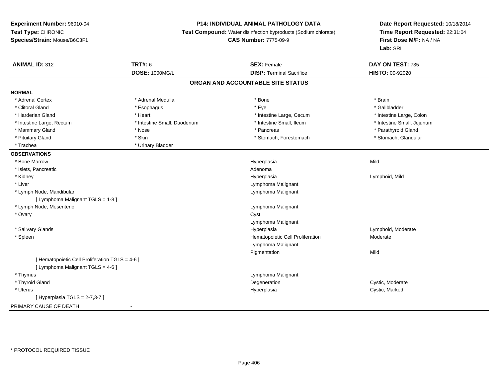## **P14: INDIVIDUAL ANIMAL PATHOLOGY DATA**

**Test Compound:** Water disinfection byproducts (Sodium chlorate)

## **CAS Number:** 7775-09-9

| <b>ANIMAL ID: 312</b>                           | <b>TRT#: 6</b>              | <b>SEX: Female</b>                | DAY ON TEST: 735           |  |
|-------------------------------------------------|-----------------------------|-----------------------------------|----------------------------|--|
|                                                 | <b>DOSE: 1000MG/L</b>       | <b>DISP: Terminal Sacrifice</b>   | HISTO: 00-92020            |  |
|                                                 |                             | ORGAN AND ACCOUNTABLE SITE STATUS |                            |  |
| <b>NORMAL</b>                                   |                             |                                   |                            |  |
| * Adrenal Cortex                                | * Adrenal Medulla           | * Bone                            | * Brain                    |  |
| * Clitoral Gland                                | * Esophagus                 | * Eye                             | * Gallbladder              |  |
| * Harderian Gland                               | * Heart                     | * Intestine Large, Cecum          | * Intestine Large, Colon   |  |
| * Intestine Large, Rectum                       | * Intestine Small, Duodenum | * Intestine Small, Ileum          | * Intestine Small, Jejunum |  |
| * Mammary Gland                                 | * Nose                      | * Pancreas                        | * Parathyroid Gland        |  |
| * Pituitary Gland                               | * Skin                      | * Stomach, Forestomach            | * Stomach, Glandular       |  |
| * Trachea                                       | * Urinary Bladder           |                                   |                            |  |
| <b>OBSERVATIONS</b>                             |                             |                                   |                            |  |
| * Bone Marrow                                   |                             | Hyperplasia                       | Mild                       |  |
| * Islets, Pancreatic                            |                             | Adenoma                           |                            |  |
| * Kidney                                        |                             | Hyperplasia                       | Lymphoid, Mild             |  |
| * Liver                                         |                             | Lymphoma Malignant                |                            |  |
| * Lymph Node, Mandibular                        |                             | Lymphoma Malignant                |                            |  |
| [ Lymphoma Malignant TGLS = 1-8 ]               |                             |                                   |                            |  |
| * Lymph Node, Mesenteric                        |                             | Lymphoma Malignant                |                            |  |
| * Ovary                                         |                             | Cyst                              |                            |  |
|                                                 |                             | Lymphoma Malignant                |                            |  |
| * Salivary Glands                               |                             | Hyperplasia                       | Lymphoid, Moderate         |  |
| * Spleen                                        |                             | Hematopoietic Cell Proliferation  | Moderate                   |  |
|                                                 |                             | Lymphoma Malignant                |                            |  |
|                                                 |                             | Pigmentation                      | Mild                       |  |
| [ Hematopoietic Cell Proliferation TGLS = 4-6 ] |                             |                                   |                            |  |
| [ Lymphoma Malignant TGLS = 4-6 ]               |                             |                                   |                            |  |
| * Thymus                                        |                             | Lymphoma Malignant                |                            |  |
| * Thyroid Gland                                 |                             | Degeneration                      | Cystic, Moderate           |  |
| * Uterus                                        |                             | Hyperplasia                       | Cystic, Marked             |  |
| [Hyperplasia TGLS = 2-7,3-7]                    |                             |                                   |                            |  |
| PRIMARY CAUSE OF DEATH                          | $\blacksquare$              |                                   |                            |  |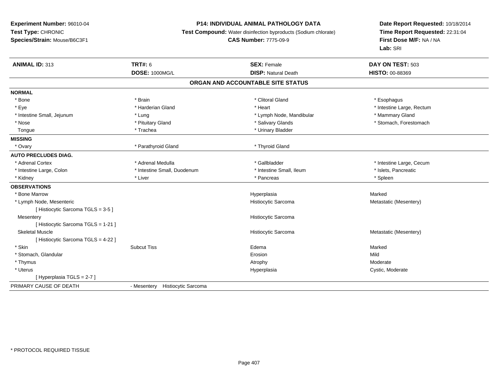## **P14: INDIVIDUAL ANIMAL PATHOLOGY DATA**

**Test Compound:** Water disinfection byproducts (Sodium chlorate)

## **CAS Number:** 7775-09-9

| <b>ANIMAL ID: 313</b>               | <b>TRT#: 6</b><br>DOSE: 1000MG/L          | <b>SEX: Female</b><br><b>DISP: Natural Death</b> | DAY ON TEST: 503<br><b>HISTO: 00-88369</b> |
|-------------------------------------|-------------------------------------------|--------------------------------------------------|--------------------------------------------|
|                                     |                                           | ORGAN AND ACCOUNTABLE SITE STATUS                |                                            |
| <b>NORMAL</b>                       |                                           |                                                  |                                            |
| * Bone                              | * Brain                                   | * Clitoral Gland                                 | * Esophagus                                |
| * Eye                               | * Harderian Gland                         | * Heart                                          | * Intestine Large, Rectum                  |
| * Intestine Small, Jejunum          | * Lung                                    | * Lymph Node, Mandibular                         | * Mammary Gland                            |
| * Nose                              | * Pituitary Gland                         | * Salivary Glands                                | * Stomach, Forestomach                     |
| Tongue                              | * Trachea                                 | * Urinary Bladder                                |                                            |
| <b>MISSING</b>                      |                                           |                                                  |                                            |
| * Ovary                             | * Parathyroid Gland                       | * Thyroid Gland                                  |                                            |
| <b>AUTO PRECLUDES DIAG.</b>         |                                           |                                                  |                                            |
| * Adrenal Cortex                    | * Adrenal Medulla                         | * Gallbladder                                    | * Intestine Large, Cecum                   |
| * Intestine Large, Colon            | * Intestine Small, Duodenum               | * Intestine Small, Ileum                         | * Islets, Pancreatic                       |
| * Kidney                            | * Liver                                   | * Pancreas                                       | * Spleen                                   |
| <b>OBSERVATIONS</b>                 |                                           |                                                  |                                            |
| * Bone Marrow                       |                                           | Hyperplasia                                      | Marked                                     |
| * Lymph Node, Mesenteric            |                                           | Histiocytic Sarcoma                              | Metastatic (Mesentery)                     |
| [Histiocytic Sarcoma TGLS = 3-5]    |                                           |                                                  |                                            |
| Mesentery                           |                                           | Histiocytic Sarcoma                              |                                            |
| [ Histiocytic Sarcoma TGLS = 1-21 ] |                                           |                                                  |                                            |
| <b>Skeletal Muscle</b>              |                                           | Histiocytic Sarcoma                              | Metastatic (Mesentery)                     |
| [Histiocytic Sarcoma TGLS = 4-22 ]  |                                           |                                                  |                                            |
| * Skin                              | <b>Subcut Tiss</b>                        | Edema                                            | Marked                                     |
| * Stomach, Glandular                |                                           | Erosion                                          | Mild                                       |
| * Thymus                            |                                           | Atrophy                                          | Moderate                                   |
| * Uterus                            |                                           | Hyperplasia                                      | Cystic, Moderate                           |
| [Hyperplasia TGLS = 2-7]            |                                           |                                                  |                                            |
| PRIMARY CAUSE OF DEATH              | <b>Histiocytic Sarcoma</b><br>- Mesentery |                                                  |                                            |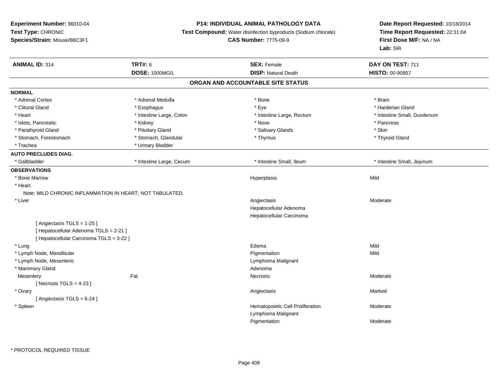## **P14: INDIVIDUAL ANIMAL PATHOLOGY DATA**

**Test Compound:** Water disinfection byproducts (Sodium chlorate)

**CAS Number:** 7775-09-9

| <b>ANIMAL ID: 314</b>                                    | <b>TRT#: 6</b>           | <b>SEX: Female</b>                | DAY ON TEST: 711            |
|----------------------------------------------------------|--------------------------|-----------------------------------|-----------------------------|
|                                                          | <b>DOSE: 1000MG/L</b>    | <b>DISP: Natural Death</b>        | <b>HISTO: 00-90957</b>      |
|                                                          |                          | ORGAN AND ACCOUNTABLE SITE STATUS |                             |
| <b>NORMAL</b>                                            |                          |                                   |                             |
| * Adrenal Cortex                                         | * Adrenal Medulla        | * Bone                            | * Brain                     |
| * Clitoral Gland                                         | * Esophagus              | * Eye                             | * Harderian Gland           |
| * Heart                                                  | * Intestine Large, Colon | * Intestine Large, Rectum         | * Intestine Small, Duodenum |
| * Islets, Pancreatic                                     | * Kidney                 | * Nose                            | * Pancreas                  |
| * Parathyroid Gland                                      | * Pituitary Gland        | * Salivary Glands                 | * Skin                      |
| * Stomach, Forestomach                                   | * Stomach, Glandular     | * Thymus                          | * Thyroid Gland             |
| * Trachea                                                | * Urinary Bladder        |                                   |                             |
| <b>AUTO PRECLUDES DIAG.</b>                              |                          |                                   |                             |
| * Gallbladder                                            | * Intestine Large, Cecum | * Intestine Small, Ileum          | * Intestine Small, Jejunum  |
| <b>OBSERVATIONS</b>                                      |                          |                                   |                             |
| * Bone Marrow                                            |                          | Hyperplasia                       | Mild                        |
| * Heart                                                  |                          |                                   |                             |
| Note: MILD CHRONIC INFLAMMATION IN HEART; NOT TABULATED. |                          |                                   |                             |
| * Liver                                                  |                          | Angiectasis                       | Moderate                    |
|                                                          |                          | Hepatocellular Adenoma            |                             |
|                                                          |                          | Hepatocellular Carcinoma          |                             |
| [Angiectasis TGLS = 1-25]                                |                          |                                   |                             |
| [ Hepatocellular Adenoma TGLS = 2-21 ]                   |                          |                                   |                             |
| [ Hepatocellular Carcinoma TGLS = 3-22 ]                 |                          |                                   |                             |
| * Lung                                                   |                          | Edema                             | Mild                        |
| * Lymph Node, Mandibular                                 |                          | Pigmentation                      | Mild                        |
| * Lymph Node, Mesenteric                                 |                          | Lymphoma Malignant                |                             |
| * Mammary Gland                                          |                          | Adenoma                           |                             |
| Mesentery                                                | Fat                      | Necrosis                          | Moderate                    |
| [ Necrosis TGLS = $4-23$ ]                               |                          |                                   |                             |
| * Ovary                                                  |                          | Angiectasis                       | Marked                      |
| [Angiectasis TGLS = 6-24]                                |                          |                                   |                             |
| * Spleen                                                 |                          | Hematopoietic Cell Proliferation  | Moderate                    |
|                                                          |                          | Lymphoma Malignant                |                             |
|                                                          |                          | Pigmentation                      | Moderate                    |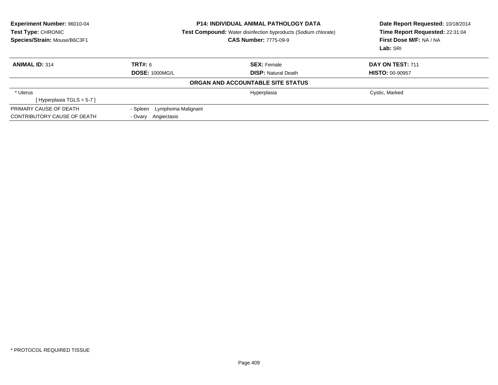| <b>Experiment Number: 96010-04</b><br><b>Test Type: CHRONIC</b><br>Species/Strain: Mouse/B6C3F1 | <b>P14: INDIVIDUAL ANIMAL PATHOLOGY DATA</b><br><b>Test Compound:</b> Water disinfection byproducts (Sodium chlorate)<br><b>CAS Number: 7775-09-9</b> |                                   | Date Report Requested: 10/18/2014<br>Time Report Requested: 22:31:04<br>First Dose M/F: NA / NA<br>Lab: SRI |
|-------------------------------------------------------------------------------------------------|-------------------------------------------------------------------------------------------------------------------------------------------------------|-----------------------------------|-------------------------------------------------------------------------------------------------------------|
| <b>ANIMAL ID: 314</b>                                                                           | TRT#: 6                                                                                                                                               | <b>SEX: Female</b>                | DAY ON TEST: 711                                                                                            |
|                                                                                                 | <b>DOSE: 1000MG/L</b>                                                                                                                                 | <b>DISP:</b> Natural Death        | <b>HISTO: 00-90957</b>                                                                                      |
|                                                                                                 |                                                                                                                                                       | ORGAN AND ACCOUNTABLE SITE STATUS |                                                                                                             |
| * Uterus                                                                                        |                                                                                                                                                       | Hyperplasia                       | Cystic, Marked                                                                                              |
| [Hyperplasia TGLS = $5-7$ ]                                                                     |                                                                                                                                                       |                                   |                                                                                                             |
| PRIMARY CAUSE OF DEATH                                                                          | - Spleen Lymphoma Malignant                                                                                                                           |                                   |                                                                                                             |
| CONTRIBUTORY CAUSE OF DEATH                                                                     | Angiectasis<br>- Ovarv                                                                                                                                |                                   |                                                                                                             |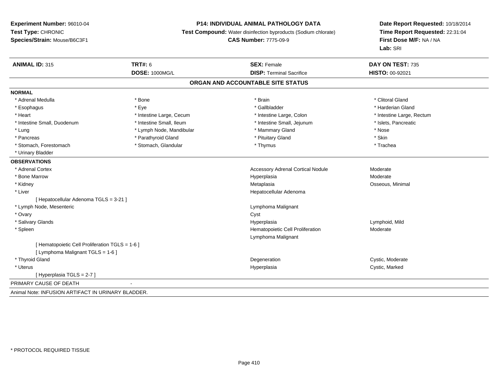## **P14: INDIVIDUAL ANIMAL PATHOLOGY DATA**

**Test Compound:** Water disinfection byproducts (Sodium chlorate)

**CAS Number:** 7775-09-9

| <b>ANIMAL ID: 315</b>                              | <b>TRT#: 6</b>           | <b>SEX: Female</b>                       | DAY ON TEST: 735          |
|----------------------------------------------------|--------------------------|------------------------------------------|---------------------------|
|                                                    | <b>DOSE: 1000MG/L</b>    | <b>DISP: Terminal Sacrifice</b>          | <b>HISTO: 00-92021</b>    |
|                                                    |                          | ORGAN AND ACCOUNTABLE SITE STATUS        |                           |
| <b>NORMAL</b>                                      |                          |                                          |                           |
| * Adrenal Medulla                                  | * Bone                   | * Brain                                  | * Clitoral Gland          |
| * Esophagus                                        | * Eye                    | * Gallbladder                            | * Harderian Gland         |
| * Heart                                            | * Intestine Large, Cecum | * Intestine Large, Colon                 | * Intestine Large, Rectum |
| * Intestine Small, Duodenum                        | * Intestine Small, Ileum | * Intestine Small, Jejunum               | * Islets, Pancreatic      |
| * Lung                                             | * Lymph Node, Mandibular | * Mammary Gland                          | * Nose                    |
| * Pancreas                                         | * Parathyroid Gland      | * Pituitary Gland                        | * Skin                    |
| * Stomach, Forestomach                             | * Stomach, Glandular     | * Thymus                                 | * Trachea                 |
| * Urinary Bladder                                  |                          |                                          |                           |
| <b>OBSERVATIONS</b>                                |                          |                                          |                           |
| * Adrenal Cortex                                   |                          | <b>Accessory Adrenal Cortical Nodule</b> | Moderate                  |
| * Bone Marrow                                      |                          | Hyperplasia                              | Moderate                  |
| * Kidney                                           |                          | Metaplasia                               | Osseous, Minimal          |
| * Liver                                            |                          | Hepatocellular Adenoma                   |                           |
| [Hepatocellular Adenoma TGLS = 3-21]               |                          |                                          |                           |
| * Lymph Node, Mesenteric                           |                          | Lymphoma Malignant                       |                           |
| * Ovary                                            |                          | Cyst                                     |                           |
| * Salivary Glands                                  |                          | Hyperplasia                              | Lymphoid, Mild            |
| * Spleen                                           |                          | Hematopoietic Cell Proliferation         | Moderate                  |
|                                                    |                          | Lymphoma Malignant                       |                           |
| [Hematopoietic Cell Proliferation TGLS = 1-6]      |                          |                                          |                           |
| [ Lymphoma Malignant TGLS = 1-6 ]                  |                          |                                          |                           |
| * Thyroid Gland                                    |                          | Degeneration                             | Cystic, Moderate          |
| * Uterus                                           |                          | Hyperplasia                              | Cystic, Marked            |
| [Hyperplasia TGLS = 2-7]                           |                          |                                          |                           |
| PRIMARY CAUSE OF DEATH                             | $\blacksquare$           |                                          |                           |
| Animal Note: INFUSION ARTIFACT IN URINARY BLADDER. |                          |                                          |                           |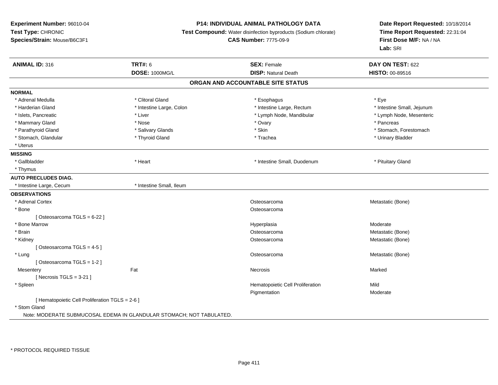**Experiment Number:** 96010-04**Test Type:** CHRONIC **Species/Strain:** Mouse/B6C3F1**P14: INDIVIDUAL ANIMAL PATHOLOGY DATA Test Compound:** Water disinfection byproducts (Sodium chlorate)**CAS Number:** 7775-09-9**Date Report Requested:** 10/18/2014**Time Report Requested:** 22:31:04**First Dose M/F:** NA / NA**Lab:** SRI**ANIMAL ID:** 316 **TRT#:** <sup>6</sup> **SEX:** Female **DAY ON TEST:** <sup>622</sup> **DOSE:** 1000MG/L **DISP:** Natural Death **HISTO:** 00-89516 **ORGAN AND ACCOUNTABLE SITE STATUSNORMAL**\* Adrenal Medulla \* Adrenal Medulla \* Clitoral Gland \* Esophagus \* Eye \* Intestine Small, Jejunum \* Harderian Gland \* Intestine Large, Colon \* Intestine Large, The structure is the structure of the small, Mar \* Lymph Node, Mesenteric \* Islets, Pancreatic **\* Liver \* Liver** \* Liver \* Liver \* Lymph Node, Mandibular \* Lymph Node, Mandibular \* Mammary Gland \* \* Andrew \* Nose \* \* Nose \* \* Ovary \* Ovary \* Ovary \* \* Ovary \* \* Pancreas \* \* Pancreas \* \* Pancreas \* \* Pancreas \* \* Pancreas \* \* Pancreas \* \* Pancreas \* \* Pancreas \* \* Pancreas \* \* Pancreas \* \* Pancreas \* Parathyroid Gland \* \* Salivary Glands \* Salivary Glands \* Skin \* \* Skin \* \* Stomach, Forestomach, Forestomach \* Stomach, Glandular \* Thyroid Gland \* Thyroid Gland \* Trachea \* Trachea \* Trachea \* Urinary Bladder \* Uterus**MISSING**\* Gallbladder \* Heart \* **Mark 2008** \* Intestine Small, Duodenum \* Pituitary Gland \* Thymus**AUTO PRECLUDES DIAG.**\* Intestine Large, Cecum \* 112 \* Intestine Small, Ileum **OBSERVATIONS** \* Adrenal Cortex**x** and the contract of the contract of the contract of the contract of the contract of the contract of the contract of the contract of the contract of the contract of the contract of the contract of the contract of the co Osteosarcoma<br>
Metastatic (Bone) \* Bonee de la construction de la construction de la construction de la construction de la construction de la construction de la construction de la construction de la construction de la construction de la construction de la const [ Osteosarcoma TGLS = 6-22 ] \* Bone Marroww which is a state of the state of the Hyperplasia control Hyperplasia and the Moderate of the Moderate of the Moderate of the Moderate of the Moderate of the Moderate of the Moderate of the Moderate of the Moderate of the \* Brainosteosarcoma de contra establecente de la contra de la contra de la contra de la contra de la contra de la contra de la contra de la contra de la contra de la contra de la contra de la contra de la contra de la contra de l \* Kidneyy and the contract of the contract of the contract of the contract of the contract of the contract of the contract of the contract of the contract of the contract of the contract of the contract of the contract of the cont Osteosarcoma **Metastatic (Bone)** Metastatic (Bone) [ Osteosarcoma TGLS = 4-5 ] \* Lungg and the contract of the contract of the contract of the contract of the contract of the contract of the contract of  $\alpha$  of the contract of the contract of the contract of the contract of the contract of the contract of [ Osteosarcoma TGLS = 1-2 ]**Mesentery** y the controller of the state of the controller of the Marked State of the Marked State of the Marked State of  $[$  Necrosis TGLS = 3-21  $]$  \* SpleenHematopoietic Cell Proliferation Mild Pigmentation Moderate [ Hematopoietic Cell Proliferation TGLS = 2-6 ]\* Stom Gland

Note: MODERATE SUBMUCOSAL EDEMA IN GLANDULAR STOMACH; NOT TABULATED.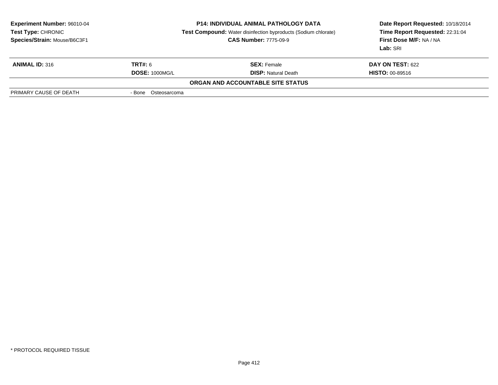| <b>Experiment Number: 96010-04</b><br>Test Type: CHRONIC<br>Species/Strain: Mouse/B6C3F1 | <b>P14: INDIVIDUAL ANIMAL PATHOLOGY DATA</b><br><b>Test Compound:</b> Water disinfection byproducts (Sodium chlorate)<br><b>CAS Number: 7775-09-9</b> |                                   | Date Report Requested: 10/18/2014<br>Time Report Requested: 22:31:04<br>First Dose M/F: NA / NA<br>Lab: SRI |
|------------------------------------------------------------------------------------------|-------------------------------------------------------------------------------------------------------------------------------------------------------|-----------------------------------|-------------------------------------------------------------------------------------------------------------|
| <b>ANIMAL ID: 316</b>                                                                    | <b>TRT#: 6</b>                                                                                                                                        | <b>SEX:</b> Female                | <b>DAY ON TEST: 622</b>                                                                                     |
|                                                                                          | <b>DOSE: 1000MG/L</b>                                                                                                                                 | <b>DISP: Natural Death</b>        | <b>HISTO: 00-89516</b>                                                                                      |
|                                                                                          |                                                                                                                                                       | ORGAN AND ACCOUNTABLE SITE STATUS |                                                                                                             |
| PRIMARY CAUSE OF DEATH                                                                   | - Bone Osteosarcoma                                                                                                                                   |                                   |                                                                                                             |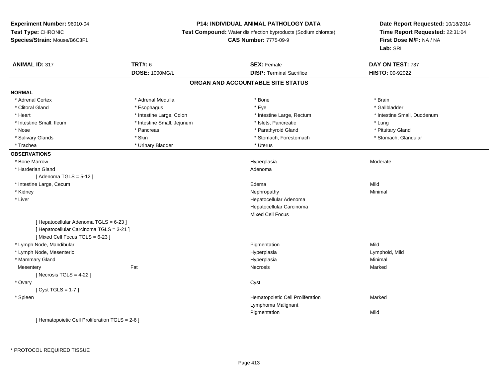## **P14: INDIVIDUAL ANIMAL PATHOLOGY DATA**

**Test Compound:** Water disinfection byproducts (Sodium chlorate)

**CAS Number:** 7775-09-9

| <b>ANIMAL ID: 317</b>                           | <b>TRT#: 6</b>             | <b>SEX: Female</b>                | DAY ON TEST: 737            |
|-------------------------------------------------|----------------------------|-----------------------------------|-----------------------------|
|                                                 | DOSE: 1000MG/L             | <b>DISP: Terminal Sacrifice</b>   | HISTO: 00-92022             |
|                                                 |                            | ORGAN AND ACCOUNTABLE SITE STATUS |                             |
| <b>NORMAL</b>                                   |                            |                                   |                             |
| * Adrenal Cortex                                | * Adrenal Medulla          | * Bone                            | * Brain                     |
| * Clitoral Gland                                | * Esophagus                | * Eye                             | * Gallbladder               |
| * Heart                                         | * Intestine Large, Colon   | * Intestine Large, Rectum         | * Intestine Small, Duodenum |
| * Intestine Small, Ileum                        | * Intestine Small, Jejunum | * Islets, Pancreatic              | * Lung                      |
| * Nose                                          | * Pancreas                 | * Parathyroid Gland               | * Pituitary Gland           |
| * Salivary Glands                               | * Skin                     | * Stomach, Forestomach            | * Stomach, Glandular        |
| * Trachea                                       | * Urinary Bladder          | * Uterus                          |                             |
| <b>OBSERVATIONS</b>                             |                            |                                   |                             |
| * Bone Marrow                                   |                            | Hyperplasia                       | Moderate                    |
| * Harderian Gland                               |                            | Adenoma                           |                             |
| [Adenoma TGLS = $5-12$ ]                        |                            |                                   |                             |
| * Intestine Large, Cecum                        |                            | Edema                             | Mild                        |
| * Kidney                                        |                            | Nephropathy                       | Minimal                     |
| * Liver                                         |                            | Hepatocellular Adenoma            |                             |
|                                                 |                            | Hepatocellular Carcinoma          |                             |
|                                                 |                            | Mixed Cell Focus                  |                             |
| [ Hepatocellular Adenoma TGLS = 6-23 ]          |                            |                                   |                             |
| [ Hepatocellular Carcinoma TGLS = 3-21 ]        |                            |                                   |                             |
| [Mixed Cell Focus TGLS = 6-23]                  |                            |                                   |                             |
| * Lymph Node, Mandibular                        |                            | Pigmentation                      | Mild                        |
| * Lymph Node, Mesenteric                        |                            | Hyperplasia                       | Lymphoid, Mild              |
| * Mammary Gland                                 |                            | Hyperplasia                       | Minimal                     |
| Mesentery                                       | Fat                        | Necrosis                          | Marked                      |
| [ Necrosis $TGLS = 4-22$ ]                      |                            |                                   |                             |
| * Ovary                                         |                            | Cyst                              |                             |
| [Cyst TGLS = $1-7$ ]                            |                            |                                   |                             |
| * Spleen                                        |                            | Hematopoietic Cell Proliferation  | Marked                      |
|                                                 |                            | Lymphoma Malignant                |                             |
|                                                 |                            | Pigmentation                      | Mild                        |
| [ Hematopoietic Cell Proliferation TGLS = 2-6 ] |                            |                                   |                             |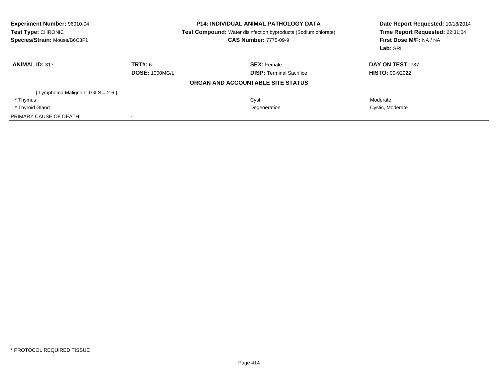| Experiment Number: 96010-04<br>Test Type: CHRONIC<br>Species/Strain: Mouse/B6C3F1 |                       | <b>P14: INDIVIDUAL ANIMAL PATHOLOGY DATA</b><br><b>Test Compound:</b> Water disinfection byproducts (Sodium chlorate)<br><b>CAS Number: 7775-09-9</b> | Date Report Requested: 10/18/2014<br>Time Report Requested: 22:31:04<br>First Dose M/F: NA / NA<br>Lab: SRI |
|-----------------------------------------------------------------------------------|-----------------------|-------------------------------------------------------------------------------------------------------------------------------------------------------|-------------------------------------------------------------------------------------------------------------|
| <b>ANIMAL ID: 317</b>                                                             | TRT#: 6               | <b>SEX: Female</b>                                                                                                                                    | DAY ON TEST: 737                                                                                            |
|                                                                                   | <b>DOSE: 1000MG/L</b> | <b>DISP:</b> Terminal Sacrifice                                                                                                                       | <b>HISTO: 00-92022</b>                                                                                      |
|                                                                                   |                       | ORGAN AND ACCOUNTABLE SITE STATUS                                                                                                                     |                                                                                                             |
| [Lymphoma Malignant TGLS = 2-6 ]                                                  |                       |                                                                                                                                                       |                                                                                                             |
| * Thymus                                                                          |                       | Cyst                                                                                                                                                  | Moderate                                                                                                    |
| * Thyroid Gland                                                                   |                       | Degeneration                                                                                                                                          | Cystic, Moderate                                                                                            |
| PRIMARY CAUSE OF DEATH                                                            |                       |                                                                                                                                                       |                                                                                                             |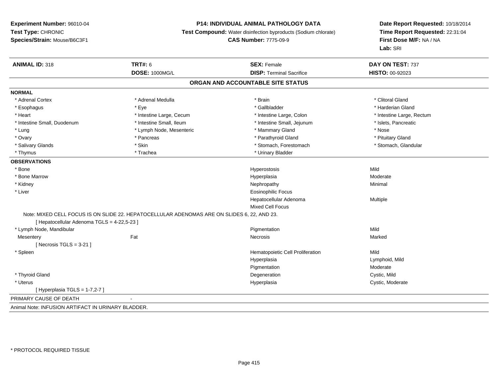#### **P14: INDIVIDUAL ANIMAL PATHOLOGY DATA**

**Test Compound:** Water disinfection byproducts (Sodium chlorate)

**CAS Number:** 7775-09-9

| <b>ANIMAL ID: 318</b>                              | <b>TRT#: 6</b>                                                                              | <b>SEX: Female</b>                | DAY ON TEST: 737          |
|----------------------------------------------------|---------------------------------------------------------------------------------------------|-----------------------------------|---------------------------|
|                                                    | <b>DOSE: 1000MG/L</b>                                                                       | <b>DISP: Terminal Sacrifice</b>   | HISTO: 00-92023           |
|                                                    |                                                                                             | ORGAN AND ACCOUNTABLE SITE STATUS |                           |
| <b>NORMAL</b>                                      |                                                                                             |                                   |                           |
| * Adrenal Cortex                                   | * Adrenal Medulla                                                                           | * Brain                           | * Clitoral Gland          |
| * Esophagus                                        | * Eye                                                                                       | * Gallbladder                     | * Harderian Gland         |
| * Heart                                            | * Intestine Large, Cecum                                                                    | * Intestine Large, Colon          | * Intestine Large, Rectum |
| * Intestine Small, Duodenum                        | * Intestine Small, Ileum                                                                    | * Intestine Small, Jejunum        | * Islets, Pancreatic      |
| * Lung                                             | * Lymph Node, Mesenteric                                                                    | * Mammary Gland                   | * Nose                    |
| * Ovary                                            | * Pancreas                                                                                  | * Parathyroid Gland               | * Pituitary Gland         |
| * Salivary Glands                                  | * Skin                                                                                      | * Stomach, Forestomach            | * Stomach, Glandular      |
| * Thymus                                           | * Trachea                                                                                   | * Urinary Bladder                 |                           |
| <b>OBSERVATIONS</b>                                |                                                                                             |                                   |                           |
| * Bone                                             |                                                                                             | Hyperostosis                      | Mild                      |
| * Bone Marrow                                      |                                                                                             | Hyperplasia                       | Moderate                  |
| * Kidney                                           |                                                                                             | Nephropathy                       | Minimal                   |
| * Liver                                            |                                                                                             | <b>Eosinophilic Focus</b>         |                           |
|                                                    |                                                                                             | Hepatocellular Adenoma            | Multiple                  |
|                                                    |                                                                                             | <b>Mixed Cell Focus</b>           |                           |
|                                                    | Note: MIXED CELL FOCUS IS ON SLIDE 22. HEPATOCELLULAR ADENOMAS ARE ON SLIDES 6, 22, AND 23. |                                   |                           |
| [ Hepatocellular Adenoma TGLS = 4-22,5-23 ]        |                                                                                             |                                   |                           |
| * Lymph Node, Mandibular                           |                                                                                             | Pigmentation                      | Mild                      |
| Mesentery                                          | Fat                                                                                         | Necrosis                          | Marked                    |
| [ Necrosis TGLS = $3-21$ ]                         |                                                                                             |                                   |                           |
| * Spleen                                           |                                                                                             | Hematopoietic Cell Proliferation  | Mild                      |
|                                                    |                                                                                             | Hyperplasia                       | Lymphoid, Mild            |
|                                                    |                                                                                             | Pigmentation                      | Moderate                  |
| * Thyroid Gland                                    |                                                                                             | Degeneration                      | Cystic, Mild              |
| * Uterus                                           |                                                                                             | Hyperplasia                       | Cystic, Moderate          |
| [ Hyperplasia TGLS = $1-7,2-7$ ]                   |                                                                                             |                                   |                           |
| PRIMARY CAUSE OF DEATH                             |                                                                                             |                                   |                           |
| Animal Note: INFUSION ARTIFACT IN URINARY BLADDER. |                                                                                             |                                   |                           |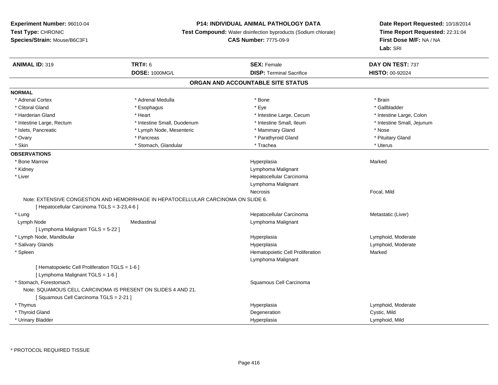## **P14: INDIVIDUAL ANIMAL PATHOLOGY DATA**

**Test Compound:** Water disinfection byproducts (Sodium chlorate)

**CAS Number:** 7775-09-9

| <b>ANIMAL ID: 319</b>                           | <b>TRT#: 6</b>                                                                    | <b>SEX: Female</b>                | DAY ON TEST: 737           |  |
|-------------------------------------------------|-----------------------------------------------------------------------------------|-----------------------------------|----------------------------|--|
|                                                 | <b>DOSE: 1000MG/L</b>                                                             | <b>DISP: Terminal Sacrifice</b>   | <b>HISTO: 00-92024</b>     |  |
|                                                 |                                                                                   | ORGAN AND ACCOUNTABLE SITE STATUS |                            |  |
| <b>NORMAL</b>                                   |                                                                                   |                                   |                            |  |
| * Adrenal Cortex                                | * Adrenal Medulla                                                                 | * Bone                            | * Brain                    |  |
| * Clitoral Gland                                | * Esophagus                                                                       | * Eye                             | * Gallbladder              |  |
| * Harderian Gland                               | * Heart                                                                           | * Intestine Large, Cecum          | * Intestine Large, Colon   |  |
| * Intestine Large, Rectum                       | * Intestine Small, Duodenum                                                       | * Intestine Small, Ileum          | * Intestine Small, Jejunum |  |
| * Islets, Pancreatic                            | * Lymph Node, Mesenteric                                                          | * Mammary Gland                   | * Nose                     |  |
| * Ovary                                         | * Pancreas                                                                        | * Parathyroid Gland               | * Pituitary Gland          |  |
| * Skin                                          | * Stomach, Glandular                                                              | * Trachea                         | * Uterus                   |  |
| <b>OBSERVATIONS</b>                             |                                                                                   |                                   |                            |  |
| * Bone Marrow                                   |                                                                                   | Hyperplasia                       | Marked                     |  |
| * Kidney                                        |                                                                                   | Lymphoma Malignant                |                            |  |
| * Liver                                         |                                                                                   | Hepatocellular Carcinoma          |                            |  |
|                                                 |                                                                                   | Lymphoma Malignant                |                            |  |
|                                                 |                                                                                   | <b>Necrosis</b>                   | Focal, Mild                |  |
|                                                 | Note: EXTENSIVE CONGESTION AND HEMORRHAGE IN HEPATOCELLULAR CARCINOMA ON SLIDE 6. |                                   |                            |  |
| [ Hepatocellular Carcinoma TGLS = 3-23,4-6 ]    |                                                                                   |                                   |                            |  |
| * Lung                                          |                                                                                   | Hepatocellular Carcinoma          | Metastatic (Liver)         |  |
| Lymph Node                                      | Mediastinal                                                                       | Lymphoma Malignant                |                            |  |
| [ Lymphoma Malignant TGLS = 5-22 ]              |                                                                                   |                                   |                            |  |
| * Lymph Node, Mandibular                        |                                                                                   | Hyperplasia                       | Lymphoid, Moderate         |  |
| * Salivary Glands                               |                                                                                   | Hyperplasia                       | Lymphoid, Moderate         |  |
| * Spleen                                        |                                                                                   | Hematopoietic Cell Proliferation  | Marked                     |  |
|                                                 |                                                                                   | Lymphoma Malignant                |                            |  |
| [ Hematopoietic Cell Proliferation TGLS = 1-6 ] |                                                                                   |                                   |                            |  |
| [ Lymphoma Malignant TGLS = 1-6 ]               |                                                                                   |                                   |                            |  |
| * Stomach, Forestomach                          |                                                                                   | Squamous Cell Carcinoma           |                            |  |
|                                                 | Note: SQUAMOUS CELL CARCINOMA IS PRESENT ON SLIDES 4 AND 21.                      |                                   |                            |  |
| [Squamous Cell Carcinoma TGLS = 2-21]           |                                                                                   |                                   |                            |  |
| * Thymus                                        |                                                                                   | Hyperplasia                       | Lymphoid, Moderate         |  |
| * Thyroid Gland                                 |                                                                                   | Degeneration                      | Cystic, Mild               |  |
| * Urinary Bladder                               |                                                                                   | Hyperplasia                       | Lymphoid, Mild             |  |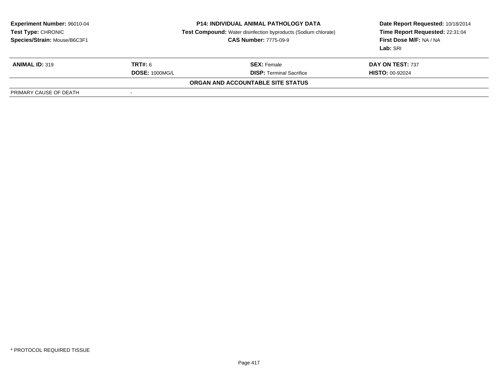| <b>Experiment Number: 96010-04</b><br><b>Test Type: CHRONIC</b><br>Species/Strain: Mouse/B6C3F1 | <b>P14: INDIVIDUAL ANIMAL PATHOLOGY DATA</b><br>Test Compound: Water disinfection byproducts (Sodium chlorate)<br><b>CAS Number: 7775-09-9</b> |                                          | Date Report Requested: 10/18/2014<br>Time Report Requested: 22:31:04<br>First Dose M/F: NA / NA<br>Lab: SRI |
|-------------------------------------------------------------------------------------------------|------------------------------------------------------------------------------------------------------------------------------------------------|------------------------------------------|-------------------------------------------------------------------------------------------------------------|
| <b>ANIMAL ID: 319</b>                                                                           | <b>TRT#:</b> 6                                                                                                                                 | <b>SEX:</b> Female                       | DAY ON TEST: 737                                                                                            |
|                                                                                                 | <b>DOSE: 1000MG/L</b>                                                                                                                          | <b>DISP: Terminal Sacrifice</b>          | <b>HISTO: 00-92024</b>                                                                                      |
|                                                                                                 |                                                                                                                                                | <b>ORGAN AND ACCOUNTABLE SITE STATUS</b> |                                                                                                             |
| PRIMARY CAUSE OF DEATH                                                                          |                                                                                                                                                |                                          |                                                                                                             |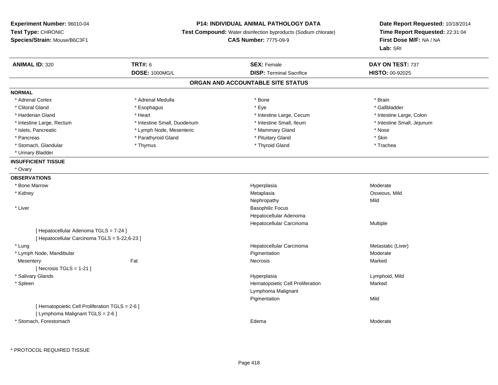## **P14: INDIVIDUAL ANIMAL PATHOLOGY DATA**

**Test Compound:** Water disinfection byproducts (Sodium chlorate)

**CAS Number:** 7775-09-9

| <b>ANIMAL ID: 320</b>                           | <b>TRT#: 6</b>              | <b>SEX: Female</b>                | DAY ON TEST: 737           |
|-------------------------------------------------|-----------------------------|-----------------------------------|----------------------------|
|                                                 | DOSE: 1000MG/L              | <b>DISP: Terminal Sacrifice</b>   | HISTO: 00-92025            |
|                                                 |                             | ORGAN AND ACCOUNTABLE SITE STATUS |                            |
| <b>NORMAL</b>                                   |                             |                                   |                            |
| * Adrenal Cortex                                | * Adrenal Medulla           | * Bone                            | * Brain                    |
| * Clitoral Gland                                | * Esophagus                 | * Eye                             | * Gallbladder              |
| * Harderian Gland                               | * Heart                     | * Intestine Large, Cecum          | * Intestine Large, Colon   |
| * Intestine Large, Rectum                       | * Intestine Small, Duodenum | * Intestine Small, Ileum          | * Intestine Small, Jejunum |
| * Islets, Pancreatic                            | * Lymph Node, Mesenteric    | * Mammary Gland                   | * Nose                     |
| * Pancreas                                      | * Parathyroid Gland         | * Pituitary Gland                 | * Skin                     |
| * Stomach, Glandular                            | * Thymus                    | * Thyroid Gland                   | * Trachea                  |
| * Urinary Bladder                               |                             |                                   |                            |
| <b>INSUFFICIENT TISSUE</b>                      |                             |                                   |                            |
| * Ovary                                         |                             |                                   |                            |
| <b>OBSERVATIONS</b>                             |                             |                                   |                            |
| * Bone Marrow                                   |                             | Hyperplasia                       | Moderate                   |
| * Kidney                                        |                             | Metaplasia                        | Osseous, Mild              |
|                                                 |                             | Nephropathy                       | Mild                       |
| * Liver                                         |                             | <b>Basophilic Focus</b>           |                            |
|                                                 |                             | Hepatocellular Adenoma            |                            |
|                                                 |                             | Hepatocellular Carcinoma          | Multiple                   |
| [ Hepatocellular Adenoma TGLS = 7-24 ]          |                             |                                   |                            |
| [ Hepatocellular Carcinoma TGLS = 5-22,6-23 ]   |                             |                                   |                            |
| * Lung                                          |                             | Hepatocellular Carcinoma          | Metastatic (Liver)         |
| * Lymph Node, Mandibular                        |                             | Pigmentation                      | Moderate                   |
| Mesentery                                       | Fat                         | <b>Necrosis</b>                   | Marked                     |
| [Necrosis TGLS = $1-21$ ]                       |                             |                                   |                            |
| * Salivary Glands                               |                             | Hyperplasia                       | Lymphoid, Mild             |
| * Spleen                                        |                             | Hematopoietic Cell Proliferation  | Marked                     |
|                                                 |                             | Lymphoma Malignant                |                            |
|                                                 |                             | Pigmentation                      | Mild                       |
| [ Hematopoietic Cell Proliferation TGLS = 2-6 ] |                             |                                   |                            |
| [ Lymphoma Malignant TGLS = 2-6 ]               |                             |                                   |                            |
| * Stomach, Forestomach                          |                             | Edema                             | Moderate                   |
|                                                 |                             |                                   |                            |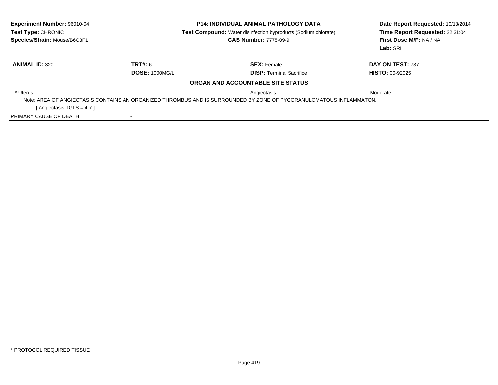| Experiment Number: 96010-04<br><b>Test Type: CHRONIC</b><br>Species/Strain: Mouse/B6C3F1 | <b>P14: INDIVIDUAL ANIMAL PATHOLOGY DATA</b><br><b>Test Compound:</b> Water disinfection byproducts (Sodium chlorate)<br><b>CAS Number: 7775-09-9</b> |                                                                                                                     | Date Report Requested: 10/18/2014<br>Time Report Requested: 22:31:04<br>First Dose M/F: NA / NA<br>Lab: SRI |
|------------------------------------------------------------------------------------------|-------------------------------------------------------------------------------------------------------------------------------------------------------|---------------------------------------------------------------------------------------------------------------------|-------------------------------------------------------------------------------------------------------------|
| <b>ANIMAL ID: 320</b>                                                                    | TRT#: 6                                                                                                                                               | <b>SEX: Female</b>                                                                                                  | DAY ON TEST: 737                                                                                            |
|                                                                                          | <b>DOSE: 1000MG/L</b>                                                                                                                                 | <b>DISP:</b> Terminal Sacrifice                                                                                     | <b>HISTO: 00-92025</b>                                                                                      |
|                                                                                          |                                                                                                                                                       | ORGAN AND ACCOUNTABLE SITE STATUS                                                                                   |                                                                                                             |
| * Uterus                                                                                 |                                                                                                                                                       | Angiectasis                                                                                                         | Moderate                                                                                                    |
|                                                                                          |                                                                                                                                                       | Note: AREA OF ANGIECTASIS CONTAINS AN ORGANIZED THROMBUS AND IS SURROUNDED BY ZONE OF PYOGRANULOMATOUS INFLAMMATON. |                                                                                                             |
| [Angiectasis TGLS = $4-7$ ]                                                              |                                                                                                                                                       |                                                                                                                     |                                                                                                             |
| PRIMARY CAUSE OF DEATH                                                                   |                                                                                                                                                       |                                                                                                                     |                                                                                                             |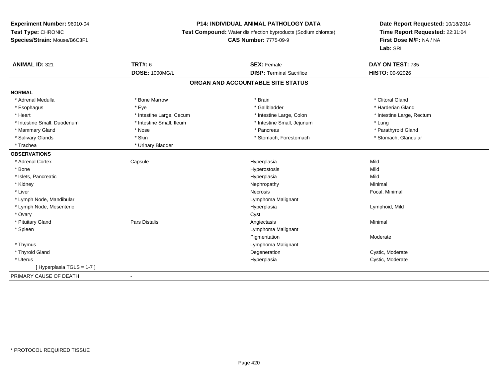## **P14: INDIVIDUAL ANIMAL PATHOLOGY DATA**

**Test Compound:** Water disinfection byproducts (Sodium chlorate)

**CAS Number:** 7775-09-9

| <b>ANIMAL ID: 321</b>       | TRT#: 6                  | <b>SEX: Female</b>                | DAY ON TEST: 735          |
|-----------------------------|--------------------------|-----------------------------------|---------------------------|
|                             | <b>DOSE: 1000MG/L</b>    | <b>DISP: Terminal Sacrifice</b>   | HISTO: 00-92026           |
|                             |                          | ORGAN AND ACCOUNTABLE SITE STATUS |                           |
| <b>NORMAL</b>               |                          |                                   |                           |
| * Adrenal Medulla           | * Bone Marrow            | * Brain                           | * Clitoral Gland          |
| * Esophagus                 | * Eye                    | * Gallbladder                     | * Harderian Gland         |
| * Heart                     | * Intestine Large, Cecum | * Intestine Large, Colon          | * Intestine Large, Rectum |
| * Intestine Small, Duodenum | * Intestine Small, Ileum | * Intestine Small, Jejunum        | * Lung                    |
| * Mammary Gland             | * Nose                   | * Pancreas                        | * Parathyroid Gland       |
| * Salivary Glands           | * Skin                   | * Stomach, Forestomach            | * Stomach, Glandular      |
| * Trachea                   | * Urinary Bladder        |                                   |                           |
| <b>OBSERVATIONS</b>         |                          |                                   |                           |
| * Adrenal Cortex            | Capsule                  | Hyperplasia                       | Mild                      |
| * Bone                      |                          | Hyperostosis                      | Mild                      |
| * Islets, Pancreatic        |                          | Hyperplasia                       | Mild                      |
| * Kidney                    |                          | Nephropathy                       | Minimal                   |
| * Liver                     |                          | Necrosis                          | Focal, Minimal            |
| * Lymph Node, Mandibular    |                          | Lymphoma Malignant                |                           |
| * Lymph Node, Mesenteric    |                          | Hyperplasia                       | Lymphoid, Mild            |
| * Ovary                     |                          | Cyst                              |                           |
| * Pituitary Gland           | Pars Distalis            | Angiectasis                       | Minimal                   |
| * Spleen                    |                          | Lymphoma Malignant                |                           |
|                             |                          | Pigmentation                      | Moderate                  |
| * Thymus                    |                          | Lymphoma Malignant                |                           |
| * Thyroid Gland             |                          | Degeneration                      | Cystic, Moderate          |
| * Uterus                    |                          | Hyperplasia                       | Cystic, Moderate          |
| [Hyperplasia TGLS = 1-7]    |                          |                                   |                           |
| PRIMARY CAUSE OF DEATH      |                          |                                   |                           |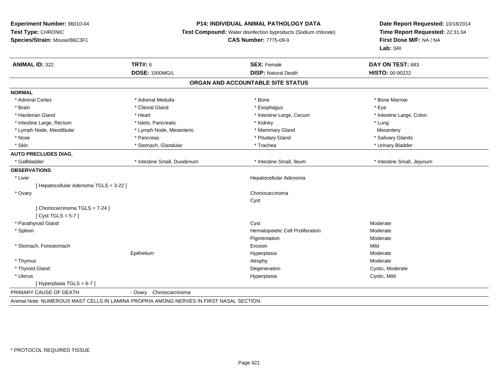## **P14: INDIVIDUAL ANIMAL PATHOLOGY DATA**

**Test Compound:** Water disinfection byproducts (Sodium chlorate)

#### **CAS Number:** 7775-09-9

| <b>ANIMAL ID: 322</b>                                                                   | <b>TRT#: 6</b>              | <b>SEX: Female</b>                | DAY ON TEST: 683           |
|-----------------------------------------------------------------------------------------|-----------------------------|-----------------------------------|----------------------------|
|                                                                                         | <b>DOSE: 1000MG/L</b>       | <b>DISP: Natural Death</b>        | <b>HISTO: 00-90222</b>     |
|                                                                                         |                             | ORGAN AND ACCOUNTABLE SITE STATUS |                            |
| <b>NORMAL</b>                                                                           |                             |                                   |                            |
| * Adrenal Cortex                                                                        | * Adrenal Medulla           | * Bone                            | * Bone Marrow              |
| * Brain                                                                                 | * Clitoral Gland            | * Esophagus                       | * Eye                      |
| * Harderian Gland                                                                       | * Heart                     | * Intestine Large, Cecum          | * Intestine Large, Colon   |
| * Intestine Large, Rectum                                                               | * Islets, Pancreatic        | * Kidney                          | * Lung                     |
| * Lymph Node, Mandibular                                                                | * Lymph Node, Mesenteric    | * Mammary Gland                   | Mesentery                  |
| * Nose                                                                                  | * Pancreas                  | * Pituitary Gland                 | * Salivary Glands          |
| * Skin                                                                                  | * Stomach, Glandular        | * Trachea                         | * Urinary Bladder          |
| <b>AUTO PRECLUDES DIAG.</b>                                                             |                             |                                   |                            |
| * Gallbladder                                                                           | * Intestine Small, Duodenum | * Intestine Small, Ileum          | * Intestine Small, Jejunum |
| <b>OBSERVATIONS</b>                                                                     |                             |                                   |                            |
| * Liver                                                                                 |                             | Hepatocellular Adenoma            |                            |
| [ Hepatocellular Adenoma TGLS = 3-22 ]                                                  |                             |                                   |                            |
| * Ovary                                                                                 |                             | Choriocarcinoma                   |                            |
|                                                                                         |                             | Cyst                              |                            |
| [ Choriocarcinoma TGLS = 7-24 ]                                                         |                             |                                   |                            |
| [Cyst TGLS = $5-7$ ]                                                                    |                             |                                   |                            |
| * Parathyroid Gland                                                                     |                             | Cyst                              | Moderate                   |
| * Spleen                                                                                |                             | Hematopoietic Cell Proliferation  | Moderate                   |
|                                                                                         |                             | Pigmentation                      | Moderate                   |
| * Stomach, Forestomach                                                                  |                             | Erosion                           | Mild                       |
|                                                                                         | Epithelium                  | Hyperplasia                       | Moderate                   |
| * Thymus                                                                                |                             | Atrophy                           | Moderate                   |
| * Thyroid Gland                                                                         |                             | Degeneration                      | Cystic, Moderate           |
| * Uterus                                                                                |                             | Hyperplasia                       | Cystic, Mild               |
| [Hyperplasia TGLS = 6-7]                                                                |                             |                                   |                            |
| PRIMARY CAUSE OF DEATH                                                                  | - Ovary Choriocarcinoma     |                                   |                            |
| Animal Note: NUMEROUS MAST CELLS IN LAMINA PROPRIA AMONG NERVES IN FIRST NASAL SECTION. |                             |                                   |                            |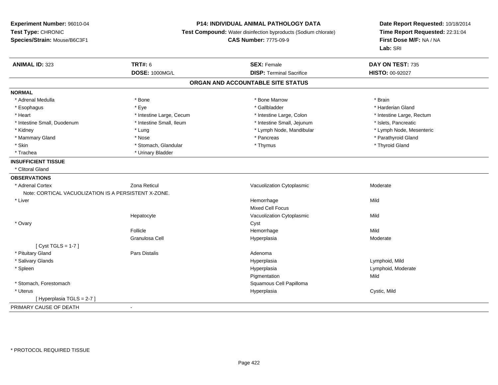## **P14: INDIVIDUAL ANIMAL PATHOLOGY DATA**

**Test Compound:** Water disinfection byproducts (Sodium chlorate)

**CAS Number:** 7775-09-9

| <b>ANIMAL ID: 323</b>                                | <b>TRT#: 6</b>           | <b>SEX: Female</b>                | DAY ON TEST: 735          |
|------------------------------------------------------|--------------------------|-----------------------------------|---------------------------|
|                                                      | <b>DOSE: 1000MG/L</b>    | <b>DISP: Terminal Sacrifice</b>   | HISTO: 00-92027           |
|                                                      |                          | ORGAN AND ACCOUNTABLE SITE STATUS |                           |
| <b>NORMAL</b>                                        |                          |                                   |                           |
| * Adrenal Medulla                                    | * Bone                   | * Bone Marrow                     | * Brain                   |
| * Esophagus                                          | * Eye                    | * Gallbladder                     | * Harderian Gland         |
| * Heart                                              | * Intestine Large, Cecum | * Intestine Large, Colon          | * Intestine Large, Rectum |
| * Intestine Small, Duodenum                          | * Intestine Small, Ileum | * Intestine Small, Jejunum        | * Islets, Pancreatic      |
| * Kidney                                             | * Lung                   | * Lymph Node, Mandibular          | * Lymph Node, Mesenteric  |
| * Mammary Gland                                      | * Nose                   | * Pancreas                        | * Parathyroid Gland       |
| * Skin                                               | * Stomach, Glandular     | * Thymus                          | * Thyroid Gland           |
| * Trachea                                            | * Urinary Bladder        |                                   |                           |
| <b>INSUFFICIENT TISSUE</b>                           |                          |                                   |                           |
| * Clitoral Gland                                     |                          |                                   |                           |
| <b>OBSERVATIONS</b>                                  |                          |                                   |                           |
| * Adrenal Cortex                                     | Zona Reticul             | Vacuolization Cytoplasmic         | Moderate                  |
| Note: CORTICAL VACUOLIZATION IS A PERSISTENT X-ZONE. |                          |                                   |                           |
| * Liver                                              |                          | Hemorrhage                        | Mild                      |
|                                                      |                          | <b>Mixed Cell Focus</b>           |                           |
|                                                      | Hepatocyte               | Vacuolization Cytoplasmic         | Mild                      |
| * Ovary                                              |                          | Cyst                              |                           |
|                                                      | Follicle                 | Hemorrhage                        | Mild                      |
|                                                      | Granulosa Cell           | Hyperplasia                       | Moderate                  |
| [ $Cyst TGLS = 1-7$ ]                                |                          |                                   |                           |
| * Pituitary Gland                                    | <b>Pars Distalis</b>     | Adenoma                           |                           |
| * Salivary Glands                                    |                          | Hyperplasia                       | Lymphoid, Mild            |
| * Spleen                                             |                          | Hyperplasia                       | Lymphoid, Moderate        |
|                                                      |                          | Pigmentation                      | Mild                      |
| * Stomach, Forestomach                               |                          | Squamous Cell Papilloma           |                           |
| * Uterus                                             |                          | Hyperplasia                       | Cystic, Mild              |
| [Hyperplasia TGLS = 2-7]                             |                          |                                   |                           |
| PRIMARY CAUSE OF DEATH                               |                          |                                   |                           |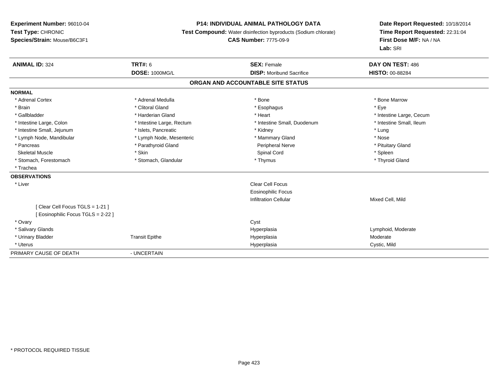## **P14: INDIVIDUAL ANIMAL PATHOLOGY DATA**

**Test Compound:** Water disinfection byproducts (Sodium chlorate)

**CAS Number:** 7775-09-9

| <b>ANIMAL ID: 324</b>             | <b>TRT#: 6</b>            | <b>SEX: Female</b>                | DAY ON TEST: 486         |
|-----------------------------------|---------------------------|-----------------------------------|--------------------------|
|                                   | <b>DOSE: 1000MG/L</b>     | <b>DISP:</b> Moribund Sacrifice   | <b>HISTO: 00-88284</b>   |
|                                   |                           | ORGAN AND ACCOUNTABLE SITE STATUS |                          |
| <b>NORMAL</b>                     |                           |                                   |                          |
| * Adrenal Cortex                  | * Adrenal Medulla         | * Bone                            | * Bone Marrow            |
| * Brain                           | * Clitoral Gland          | * Esophagus                       | * Eye                    |
| * Gallbladder                     | * Harderian Gland         | * Heart                           | * Intestine Large, Cecum |
| * Intestine Large, Colon          | * Intestine Large, Rectum | * Intestine Small, Duodenum       | * Intestine Small, Ileum |
| * Intestine Small, Jejunum        | * Islets, Pancreatic      | * Kidney                          | * Lung                   |
| * Lymph Node, Mandibular          | * Lymph Node, Mesenteric  | * Mammary Gland                   | * Nose                   |
| * Pancreas                        | * Parathyroid Gland       | Peripheral Nerve                  | * Pituitary Gland        |
| <b>Skeletal Muscle</b>            | * Skin                    | Spinal Cord                       | * Spleen                 |
| * Stomach, Forestomach            | * Stomach, Glandular      | * Thymus                          | * Thyroid Gland          |
| * Trachea                         |                           |                                   |                          |
| <b>OBSERVATIONS</b>               |                           |                                   |                          |
| * Liver                           |                           | Clear Cell Focus                  |                          |
|                                   |                           | <b>Eosinophilic Focus</b>         |                          |
|                                   |                           | <b>Infiltration Cellular</b>      | Mixed Cell, Mild         |
| [Clear Cell Focus TGLS = 1-21]    |                           |                                   |                          |
| [Eosinophilic Focus TGLS = 2-22 ] |                           |                                   |                          |
| * Ovary                           |                           | Cyst                              |                          |
| * Salivary Glands                 |                           | Hyperplasia                       | Lymphoid, Moderate       |
| * Urinary Bladder                 | <b>Transit Epithe</b>     | Hyperplasia                       | Moderate                 |
| * Uterus                          |                           | Hyperplasia                       | Cystic, Mild             |
| PRIMARY CAUSE OF DEATH            | - UNCERTAIN               |                                   |                          |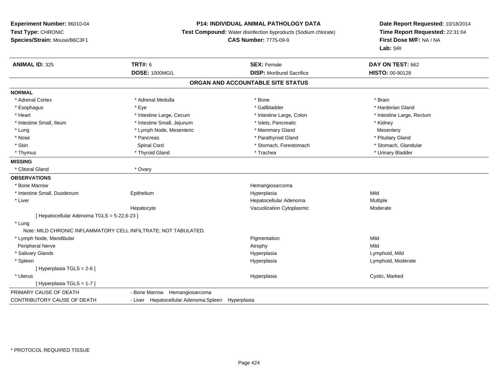## **P14: INDIVIDUAL ANIMAL PATHOLOGY DATA**

**Test Compound:** Water disinfection byproducts (Sodium chlorate)

**CAS Number:** 7775-09-9

| <b>ANIMAL ID: 325</b>                       | <b>TRT#: 6</b>                                                  | <b>SEX: Female</b>                | DAY ON TEST: 662          |  |
|---------------------------------------------|-----------------------------------------------------------------|-----------------------------------|---------------------------|--|
|                                             | <b>DOSE: 1000MG/L</b>                                           | <b>DISP:</b> Moribund Sacrifice   | HISTO: 00-90128           |  |
|                                             |                                                                 | ORGAN AND ACCOUNTABLE SITE STATUS |                           |  |
| <b>NORMAL</b>                               |                                                                 |                                   |                           |  |
| * Adrenal Cortex                            | * Adrenal Medulla                                               | * Bone                            | * Brain                   |  |
| * Esophagus                                 | * Eye                                                           | * Gallbladder                     | * Harderian Gland         |  |
| * Heart                                     | * Intestine Large, Cecum                                        | * Intestine Large, Colon          | * Intestine Large, Rectum |  |
| * Intestine Small, Ileum                    | * Intestine Small, Jejunum                                      | * Islets, Pancreatic              | * Kidney                  |  |
| * Lung                                      | * Lymph Node, Mesenteric                                        | * Mammary Gland                   | Mesentery                 |  |
| * Nose                                      | * Pancreas                                                      | * Parathyroid Gland               | * Pituitary Gland         |  |
| * Skin                                      | Spinal Cord                                                     | * Stomach, Forestomach            | * Stomach, Glandular      |  |
| * Thymus                                    | * Thyroid Gland                                                 | * Trachea                         | * Urinary Bladder         |  |
| <b>MISSING</b>                              |                                                                 |                                   |                           |  |
| * Clitoral Gland                            | * Ovary                                                         |                                   |                           |  |
| <b>OBSERVATIONS</b>                         |                                                                 |                                   |                           |  |
| * Bone Marrow                               |                                                                 | Hemangiosarcoma                   |                           |  |
| * Intestine Small, Duodenum                 | Epithelium                                                      | Hyperplasia                       | Mild                      |  |
| * Liver                                     |                                                                 | Hepatocellular Adenoma            | Multiple                  |  |
|                                             | Hepatocyte                                                      | Vacuolization Cytoplasmic         | Moderate                  |  |
| [ Hepatocellular Adenoma TGLS = 5-22,6-23 ] |                                                                 |                                   |                           |  |
| * Lung                                      |                                                                 |                                   |                           |  |
|                                             | Note: MILD CHRONIC INFLAMMATORY CELL INFILTRATE; NOT TABULATED. |                                   |                           |  |
| * Lymph Node, Mandibular                    |                                                                 | Pigmentation                      | Mild                      |  |
| Peripheral Nerve                            |                                                                 | Atrophy                           | Mild                      |  |
| * Salivary Glands                           |                                                                 | Hyperplasia                       | Lymphoid, Mild            |  |
| * Spleen                                    |                                                                 | Hyperplasia                       | Lymphoid, Moderate        |  |
| [Hyperplasia TGLS = 2-6]                    |                                                                 |                                   |                           |  |
| * Uterus                                    |                                                                 | Hyperplasia                       | Cystic, Marked            |  |
| [Hyperplasia TGLS = 1-7]                    |                                                                 |                                   |                           |  |
| PRIMARY CAUSE OF DEATH                      | - Bone Marrow Hemangiosarcoma                                   |                                   |                           |  |
| CONTRIBUTORY CAUSE OF DEATH                 | - Liver Hepatocellular Adenoma; Spleen Hyperplasia              |                                   |                           |  |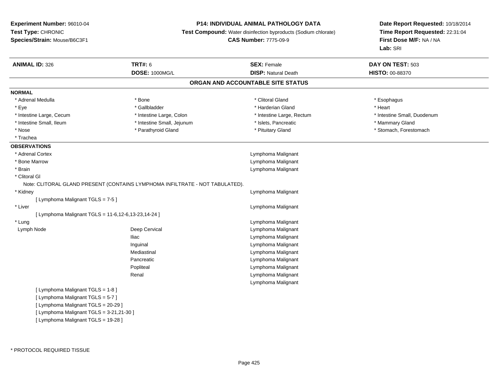#### **P14: INDIVIDUAL ANIMAL PATHOLOGY DATA**

**Test Compound:** Water disinfection byproducts (Sodium chlorate)

**CAS Number:** 7775-09-9

| <b>ANIMAL ID: 326</b>                               | <b>TRT#: 6</b>                                                               | <b>SEX: Female</b>                | DAY ON TEST: 503            |
|-----------------------------------------------------|------------------------------------------------------------------------------|-----------------------------------|-----------------------------|
|                                                     | <b>DOSE: 1000MG/L</b>                                                        | <b>DISP: Natural Death</b>        | HISTO: 00-88370             |
|                                                     |                                                                              | ORGAN AND ACCOUNTABLE SITE STATUS |                             |
| <b>NORMAL</b>                                       |                                                                              |                                   |                             |
| * Adrenal Medulla                                   | * Bone                                                                       | * Clitoral Gland                  | * Esophagus                 |
| * Eye                                               | * Gallbladder                                                                | * Harderian Gland                 | * Heart                     |
| * Intestine Large, Cecum                            | * Intestine Large, Colon                                                     | * Intestine Large, Rectum         | * Intestine Small, Duodenum |
| * Intestine Small, Ileum                            | * Intestine Small, Jejunum                                                   | * Islets, Pancreatic              | * Mammary Gland             |
| * Nose                                              | * Parathyroid Gland                                                          | * Pituitary Gland                 | * Stomach, Forestomach      |
| * Trachea                                           |                                                                              |                                   |                             |
| <b>OBSERVATIONS</b>                                 |                                                                              |                                   |                             |
| * Adrenal Cortex                                    |                                                                              | Lymphoma Malignant                |                             |
| * Bone Marrow                                       |                                                                              | Lymphoma Malignant                |                             |
| * Brain                                             |                                                                              | Lymphoma Malignant                |                             |
| * Clitoral GI                                       |                                                                              |                                   |                             |
|                                                     | Note: CLITORAL GLAND PRESENT (CONTAINS LYMPHOMA INFILTRATE - NOT TABULATED). |                                   |                             |
| * Kidney                                            |                                                                              | Lymphoma Malignant                |                             |
| [ Lymphoma Malignant TGLS = 7-5 ]                   |                                                                              |                                   |                             |
| * Liver                                             |                                                                              | Lymphoma Malignant                |                             |
| [ Lymphoma Malignant TGLS = 11-6,12-6,13-23,14-24 ] |                                                                              |                                   |                             |
| * Lung                                              |                                                                              | Lymphoma Malignant                |                             |
| Lymph Node                                          | Deep Cervical                                                                | Lymphoma Malignant                |                             |
|                                                     | <b>Iliac</b>                                                                 | Lymphoma Malignant                |                             |
|                                                     | Inguinal                                                                     | Lymphoma Malignant                |                             |
|                                                     | Mediastinal                                                                  | Lymphoma Malignant                |                             |
|                                                     | Pancreatic                                                                   | Lymphoma Malignant                |                             |
|                                                     | Popliteal                                                                    | Lymphoma Malignant                |                             |
|                                                     | Renal                                                                        | Lymphoma Malignant                |                             |
|                                                     |                                                                              | Lymphoma Malignant                |                             |
| [ Lymphoma Malignant TGLS = 1-8 ]                   |                                                                              |                                   |                             |
| [ Lymphoma Malignant TGLS = 5-7 ]                   |                                                                              |                                   |                             |
| [ Lymphoma Malignant TGLS = 20-29 ]                 |                                                                              |                                   |                             |
| [ Lymphoma Malignant TGLS = 3-21,21-30 ]            |                                                                              |                                   |                             |
| [ Lymphoma Malignant TGLS = 19-28 ]                 |                                                                              |                                   |                             |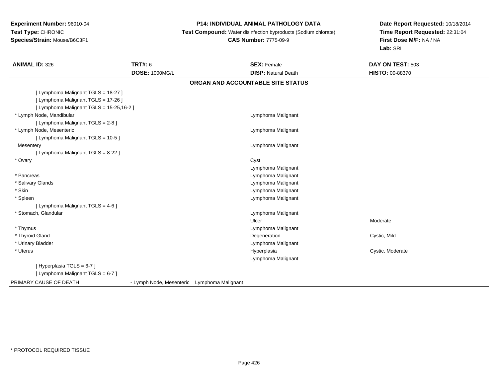# **P14: INDIVIDUAL ANIMAL PATHOLOGY DATA**

**Test Compound:** Water disinfection byproducts (Sodium chlorate)

#### **CAS Number:** 7775-09-9

| <b>ANIMAL ID: 326</b>                    | <b>TRT#: 6</b>           | <b>SEX: Female</b>                | DAY ON TEST: 503       |  |
|------------------------------------------|--------------------------|-----------------------------------|------------------------|--|
|                                          | <b>DOSE: 1000MG/L</b>    | <b>DISP: Natural Death</b>        | <b>HISTO: 00-88370</b> |  |
|                                          |                          | ORGAN AND ACCOUNTABLE SITE STATUS |                        |  |
| [ Lymphoma Malignant TGLS = 18-27 ]      |                          |                                   |                        |  |
| [ Lymphoma Malignant TGLS = 17-26 ]      |                          |                                   |                        |  |
| [ Lymphoma Malignant TGLS = 15-25,16-2 ] |                          |                                   |                        |  |
| * Lymph Node, Mandibular                 |                          | Lymphoma Malignant                |                        |  |
| [ Lymphoma Malignant TGLS = 2-8 ]        |                          |                                   |                        |  |
| * Lymph Node, Mesenteric                 |                          | Lymphoma Malignant                |                        |  |
| [ Lymphoma Malignant TGLS = 10-5 ]       |                          |                                   |                        |  |
| Mesentery                                |                          | Lymphoma Malignant                |                        |  |
| [ Lymphoma Malignant TGLS = 8-22 ]       |                          |                                   |                        |  |
| * Ovary                                  |                          | Cyst                              |                        |  |
|                                          |                          | Lymphoma Malignant                |                        |  |
| * Pancreas                               |                          | Lymphoma Malignant                |                        |  |
| * Salivary Glands                        |                          | Lymphoma Malignant                |                        |  |
| * Skin                                   |                          | Lymphoma Malignant                |                        |  |
| * Spleen                                 |                          | Lymphoma Malignant                |                        |  |
| [ Lymphoma Malignant TGLS = 4-6 ]        |                          |                                   |                        |  |
| * Stomach, Glandular                     |                          | Lymphoma Malignant                |                        |  |
|                                          |                          | Ulcer                             | Moderate               |  |
| * Thymus                                 |                          | Lymphoma Malignant                |                        |  |
| * Thyroid Gland                          |                          | Degeneration                      | Cystic, Mild           |  |
| * Urinary Bladder                        |                          | Lymphoma Malignant                |                        |  |
| * Uterus                                 |                          | Hyperplasia                       | Cystic, Moderate       |  |
|                                          |                          | Lymphoma Malignant                |                        |  |
| [Hyperplasia TGLS = $6-7$ ]              |                          |                                   |                        |  |
| [ Lymphoma Malignant TGLS = 6-7 ]        |                          |                                   |                        |  |
| PRIMARY CAUSE OF DEATH                   | - Lymph Node, Mesenteric | Lymphoma Malignant                |                        |  |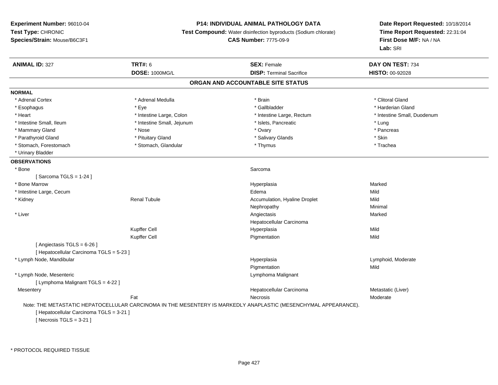## **P14: INDIVIDUAL ANIMAL PATHOLOGY DATA**

**Test Compound:** Water disinfection byproducts (Sodium chlorate)

**CAS Number:** 7775-09-9

**Date Report Requested:** 10/18/2014**Time Report Requested:** 22:31:04**First Dose M/F:** NA / NA**Lab:** SRI

| <b>NORMAL</b><br>* Adrenal Cortex<br>* Esophagus<br>* Heart<br>* Intestine Small, Ileum<br>* Mammary Gland<br>* Parathyroid Gland | <b>DOSE: 1000MG/L</b><br>* Adrenal Medulla<br>* Eye<br>* Intestine Large, Colon<br>* Intestine Small, Jejunum<br>* Nose<br>* Pituitary Gland | <b>DISP: Terminal Sacrifice</b><br>ORGAN AND ACCOUNTABLE SITE STATUS<br>* Brain<br>* Gallbladder<br>* Intestine Large, Rectum<br>* Islets, Pancreatic | HISTO: 00-92028<br>* Clitoral Gland<br>* Harderian Gland<br>* Intestine Small, Duodenum<br>* Lung |
|-----------------------------------------------------------------------------------------------------------------------------------|----------------------------------------------------------------------------------------------------------------------------------------------|-------------------------------------------------------------------------------------------------------------------------------------------------------|---------------------------------------------------------------------------------------------------|
|                                                                                                                                   |                                                                                                                                              |                                                                                                                                                       |                                                                                                   |
|                                                                                                                                   |                                                                                                                                              |                                                                                                                                                       |                                                                                                   |
|                                                                                                                                   |                                                                                                                                              |                                                                                                                                                       |                                                                                                   |
|                                                                                                                                   |                                                                                                                                              |                                                                                                                                                       |                                                                                                   |
|                                                                                                                                   |                                                                                                                                              |                                                                                                                                                       |                                                                                                   |
|                                                                                                                                   |                                                                                                                                              |                                                                                                                                                       |                                                                                                   |
|                                                                                                                                   |                                                                                                                                              |                                                                                                                                                       |                                                                                                   |
|                                                                                                                                   |                                                                                                                                              | * Ovary                                                                                                                                               | * Pancreas                                                                                        |
|                                                                                                                                   |                                                                                                                                              | * Salivary Glands                                                                                                                                     | * Skin                                                                                            |
| * Stomach, Forestomach                                                                                                            | * Stomach, Glandular                                                                                                                         | * Thymus                                                                                                                                              | * Trachea                                                                                         |
| * Urinary Bladder                                                                                                                 |                                                                                                                                              |                                                                                                                                                       |                                                                                                   |
| <b>OBSERVATIONS</b>                                                                                                               |                                                                                                                                              |                                                                                                                                                       |                                                                                                   |
| * Bone                                                                                                                            |                                                                                                                                              | Sarcoma                                                                                                                                               |                                                                                                   |
| [Sarcoma TGLS = $1-24$ ]                                                                                                          |                                                                                                                                              |                                                                                                                                                       |                                                                                                   |
| * Bone Marrow                                                                                                                     |                                                                                                                                              | Hyperplasia                                                                                                                                           | Marked                                                                                            |
| * Intestine Large, Cecum                                                                                                          |                                                                                                                                              | Edema                                                                                                                                                 | Mild                                                                                              |
| * Kidney                                                                                                                          | <b>Renal Tubule</b>                                                                                                                          | Accumulation, Hyaline Droplet                                                                                                                         | Mild                                                                                              |
|                                                                                                                                   |                                                                                                                                              | Nephropathy                                                                                                                                           | Minimal                                                                                           |
| * Liver                                                                                                                           |                                                                                                                                              | Angiectasis                                                                                                                                           | Marked                                                                                            |
|                                                                                                                                   |                                                                                                                                              | Hepatocellular Carcinoma                                                                                                                              |                                                                                                   |
|                                                                                                                                   | Kupffer Cell                                                                                                                                 | Hyperplasia                                                                                                                                           | Mild                                                                                              |
|                                                                                                                                   | Kupffer Cell                                                                                                                                 | Pigmentation                                                                                                                                          | Mild                                                                                              |
| [Angiectasis TGLS = 6-26]                                                                                                         |                                                                                                                                              |                                                                                                                                                       |                                                                                                   |
| [ Hepatocellular Carcinoma TGLS = 5-23 ]                                                                                          |                                                                                                                                              |                                                                                                                                                       |                                                                                                   |
| * Lymph Node, Mandibular                                                                                                          |                                                                                                                                              | Hyperplasia                                                                                                                                           | Lymphoid, Moderate                                                                                |
|                                                                                                                                   |                                                                                                                                              | Pigmentation                                                                                                                                          | Mild                                                                                              |
| * Lymph Node, Mesenteric                                                                                                          |                                                                                                                                              | Lymphoma Malignant                                                                                                                                    |                                                                                                   |
| [ Lymphoma Malignant TGLS = 4-22 ]                                                                                                |                                                                                                                                              |                                                                                                                                                       |                                                                                                   |
| Mesentery                                                                                                                         |                                                                                                                                              | Hepatocellular Carcinoma                                                                                                                              | Metastatic (Liver)                                                                                |
| Fat                                                                                                                               |                                                                                                                                              | <b>Necrosis</b>                                                                                                                                       | Moderate                                                                                          |
|                                                                                                                                   |                                                                                                                                              | Note: THE METASTATIC HEPATOCELLULAR CARCINOMA IN THE MESENTERY IS MARKEDLY ANAPLASTIC (MESENCHYMAL APPEARANCE).                                       |                                                                                                   |
| [ Hepatocellular Carcinoma TGLS = 3-21 ]                                                                                          |                                                                                                                                              |                                                                                                                                                       |                                                                                                   |
| [ Necrosis TGLS = $3-21$ ]                                                                                                        |                                                                                                                                              |                                                                                                                                                       |                                                                                                   |

\* PROTOCOL REQUIRED TISSUE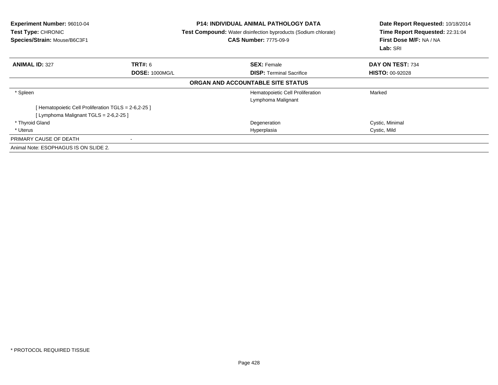| <b>Experiment Number: 96010-04</b><br>Test Type: CHRONIC<br>Species/Strain: Mouse/B6C3F1      |                       | <b>P14: INDIVIDUAL ANIMAL PATHOLOGY DATA</b><br><b>Test Compound:</b> Water disinfection byproducts (Sodium chlorate)<br><b>CAS Number: 7775-09-9</b> | Date Report Requested: 10/18/2014<br>Time Report Requested: 22:31:04<br>First Dose M/F: NA / NA<br>Lab: SRI |
|-----------------------------------------------------------------------------------------------|-----------------------|-------------------------------------------------------------------------------------------------------------------------------------------------------|-------------------------------------------------------------------------------------------------------------|
| <b>ANIMAL ID: 327</b>                                                                         | <b>TRT#: 6</b>        | <b>SEX: Female</b>                                                                                                                                    | DAY ON TEST: 734                                                                                            |
|                                                                                               | <b>DOSE: 1000MG/L</b> | <b>DISP:</b> Terminal Sacrifice                                                                                                                       | <b>HISTO: 00-92028</b>                                                                                      |
|                                                                                               |                       | ORGAN AND ACCOUNTABLE SITE STATUS                                                                                                                     |                                                                                                             |
| * Spleen                                                                                      |                       | Hematopoietic Cell Proliferation                                                                                                                      | Marked                                                                                                      |
| [Hematopoietic Cell Proliferation TGLS = 2-6,2-25]<br>[Lymphoma Malignant TGLS = $2-6,2-25$ ] |                       | Lymphoma Malignant                                                                                                                                    |                                                                                                             |
| * Thyroid Gland                                                                               |                       | Degeneration                                                                                                                                          | Cystic, Minimal                                                                                             |
| * Uterus                                                                                      |                       | Hyperplasia                                                                                                                                           | Cystic, Mild                                                                                                |
| PRIMARY CAUSE OF DEATH                                                                        |                       |                                                                                                                                                       |                                                                                                             |
| Animal Note: ESOPHAGUS IS ON SLIDE 2.                                                         |                       |                                                                                                                                                       |                                                                                                             |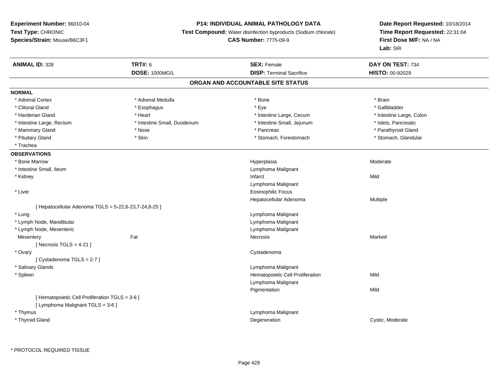## **P14: INDIVIDUAL ANIMAL PATHOLOGY DATA**

**Test Compound:** Water disinfection byproducts (Sodium chlorate)

**CAS Number:** 7775-09-9

| <b>ANIMAL ID: 328</b>                                 | <b>TRT#: 6</b>              | <b>SEX: Female</b>                | DAY ON TEST: 734         |
|-------------------------------------------------------|-----------------------------|-----------------------------------|--------------------------|
|                                                       | <b>DOSE: 1000MG/L</b>       | <b>DISP: Terminal Sacrifice</b>   | HISTO: 00-92029          |
|                                                       |                             | ORGAN AND ACCOUNTABLE SITE STATUS |                          |
| <b>NORMAL</b>                                         |                             |                                   |                          |
| * Adrenal Cortex                                      | * Adrenal Medulla           | * Bone                            | * Brain                  |
| * Clitoral Gland                                      | * Esophagus                 | * Eye                             | * Gallbladder            |
| * Harderian Gland                                     | * Heart                     | * Intestine Large, Cecum          | * Intestine Large, Colon |
| * Intestine Large, Rectum                             | * Intestine Small, Duodenum | * Intestine Small, Jejunum        | * Islets, Pancreatic     |
| * Mammary Gland                                       | * Nose                      | * Pancreas                        | * Parathyroid Gland      |
| * Pituitary Gland                                     | * Skin                      | * Stomach, Forestomach            | * Stomach, Glandular     |
| * Trachea                                             |                             |                                   |                          |
| <b>OBSERVATIONS</b>                                   |                             |                                   |                          |
| * Bone Marrow                                         |                             | Hyperplasia                       | Moderate                 |
| * Intestine Small, Ileum                              |                             | Lymphoma Malignant                |                          |
| * Kidney                                              |                             | Infarct                           | Mild                     |
|                                                       |                             | Lymphoma Malignant                |                          |
| * Liver                                               |                             | <b>Eosinophilic Focus</b>         |                          |
|                                                       |                             | Hepatocellular Adenoma            | Multiple                 |
| [ Hepatocellular Adenoma TGLS = 5-22,6-23,7-24,8-25 ] |                             |                                   |                          |
| * Lung                                                |                             | Lymphoma Malignant                |                          |
| * Lymph Node, Mandibular                              |                             | Lymphoma Malignant                |                          |
| * Lymph Node, Mesenteric                              |                             | Lymphoma Malignant                |                          |
| Mesentery                                             | Fat                         | Necrosis                          | Marked                   |
| [Necrosis TGLS = $4-21$ ]                             |                             |                                   |                          |
| * Ovary                                               |                             | Cystadenoma                       |                          |
| [Cystadenoma TGLS = 2-7]                              |                             |                                   |                          |
| * Salivary Glands                                     |                             | Lymphoma Malignant                |                          |
| * Spleen                                              |                             | Hematopoietic Cell Proliferation  | Mild                     |
|                                                       |                             | Lymphoma Malignant                |                          |
|                                                       |                             | Pigmentation                      | Mild                     |
| [ Hematopoietic Cell Proliferation TGLS = 3-6 ]       |                             |                                   |                          |
| [ Lymphoma Malignant TGLS = 3-6 ]                     |                             |                                   |                          |
| * Thymus                                              |                             | Lymphoma Malignant                |                          |
| * Thyroid Gland                                       |                             | Degeneration                      | Cystic, Moderate         |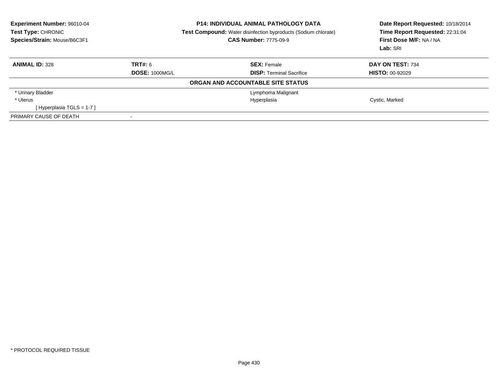| <b>Experiment Number: 96010-04</b><br>Test Type: CHRONIC<br>Species/Strain: Mouse/B6C3F1 | <b>P14: INDIVIDUAL ANIMAL PATHOLOGY DATA</b><br><b>Test Compound:</b> Water disinfection byproducts (Sodium chlorate)<br><b>CAS Number: 7775-09-9</b> |                                   | Date Report Requested: 10/18/2014<br>Time Report Requested: 22:31:04<br>First Dose M/F: NA / NA<br>Lab: SRI |
|------------------------------------------------------------------------------------------|-------------------------------------------------------------------------------------------------------------------------------------------------------|-----------------------------------|-------------------------------------------------------------------------------------------------------------|
| <b>ANIMAL ID: 328</b>                                                                    | TRT#: 6                                                                                                                                               | <b>SEX: Female</b>                | DAY ON TEST: 734                                                                                            |
|                                                                                          | <b>DOSE: 1000MG/L</b>                                                                                                                                 | <b>DISP:</b> Terminal Sacrifice   | <b>HISTO: 00-92029</b>                                                                                      |
|                                                                                          |                                                                                                                                                       | ORGAN AND ACCOUNTABLE SITE STATUS |                                                                                                             |
| * Urinary Bladder                                                                        |                                                                                                                                                       | Lymphoma Malignant                |                                                                                                             |
| * Uterus                                                                                 |                                                                                                                                                       | Hyperplasia                       | Cystic, Marked                                                                                              |
| [Hyperplasia TGLS = $1-7$ ]                                                              |                                                                                                                                                       |                                   |                                                                                                             |
| PRIMARY CAUSE OF DEATH                                                                   | -                                                                                                                                                     |                                   |                                                                                                             |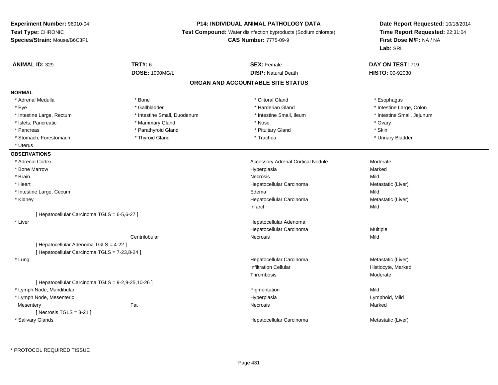## **P14: INDIVIDUAL ANIMAL PATHOLOGY DATA**

**Test Compound:** Water disinfection byproducts (Sodium chlorate)

**CAS Number:** 7775-09-9

| <b>ANIMAL ID: 329</b>                              | <b>TRT#: 6</b>              | <b>SEX: Female</b>                       | DAY ON TEST: 719           |  |
|----------------------------------------------------|-----------------------------|------------------------------------------|----------------------------|--|
|                                                    | DOSE: 1000MG/L              | <b>DISP: Natural Death</b>               | HISTO: 00-92030            |  |
|                                                    |                             | ORGAN AND ACCOUNTABLE SITE STATUS        |                            |  |
| <b>NORMAL</b>                                      |                             |                                          |                            |  |
| * Adrenal Medulla                                  | * Bone                      | * Clitoral Gland                         | * Esophagus                |  |
| * Eye                                              | * Gallbladder               | * Harderian Gland                        | * Intestine Large, Colon   |  |
| * Intestine Large, Rectum                          | * Intestine Small, Duodenum | * Intestine Small, Ileum                 | * Intestine Small, Jejunum |  |
| * Islets, Pancreatic                               | * Mammary Gland             | * Nose                                   | * Ovary                    |  |
| * Pancreas                                         | * Parathyroid Gland         | * Pituitary Gland                        | * Skin                     |  |
| * Stomach, Forestomach                             | * Thyroid Gland             | * Trachea                                | * Urinary Bladder          |  |
| * Uterus                                           |                             |                                          |                            |  |
| <b>OBSERVATIONS</b>                                |                             |                                          |                            |  |
| * Adrenal Cortex                                   |                             | <b>Accessory Adrenal Cortical Nodule</b> | Moderate                   |  |
| * Bone Marrow                                      |                             | Hyperplasia                              | Marked                     |  |
| * Brain                                            |                             | <b>Necrosis</b>                          | Mild                       |  |
| * Heart                                            |                             | Hepatocellular Carcinoma                 | Metastatic (Liver)         |  |
| * Intestine Large, Cecum                           |                             | Edema                                    | Mild                       |  |
| * Kidney                                           |                             | Hepatocellular Carcinoma                 | Metastatic (Liver)         |  |
|                                                    |                             | Infarct                                  | Mild                       |  |
| [ Hepatocellular Carcinoma TGLS = 6-5,6-27 ]       |                             |                                          |                            |  |
| * Liver                                            |                             | Hepatocellular Adenoma                   |                            |  |
|                                                    |                             | Hepatocellular Carcinoma                 | Multiple                   |  |
|                                                    | Centrilobular               | Necrosis                                 | Mild                       |  |
| [ Hepatocellular Adenoma TGLS = 4-22 ]             |                             |                                          |                            |  |
| [ Hepatocellular Carcinoma TGLS = 7-23,8-24 ]      |                             |                                          |                            |  |
| * Lung                                             |                             | Hepatocellular Carcinoma                 | Metastatic (Liver)         |  |
|                                                    |                             | <b>Infiltration Cellular</b>             | Histiocyte, Marked         |  |
|                                                    |                             | Thrombosis                               | Moderate                   |  |
| [ Hepatocellular Carcinoma TGLS = 9-2,9-25,10-26 ] |                             |                                          |                            |  |
| * Lymph Node, Mandibular                           |                             | Pigmentation                             | Mild                       |  |
| * Lymph Node, Mesenteric                           |                             | Hyperplasia                              | Lymphoid, Mild             |  |
| Mesentery                                          | Fat                         | Necrosis                                 | Marked                     |  |
| [ Necrosis TGLS = $3-21$ ]                         |                             |                                          |                            |  |
| * Salivary Glands                                  |                             | Hepatocellular Carcinoma                 | Metastatic (Liver)         |  |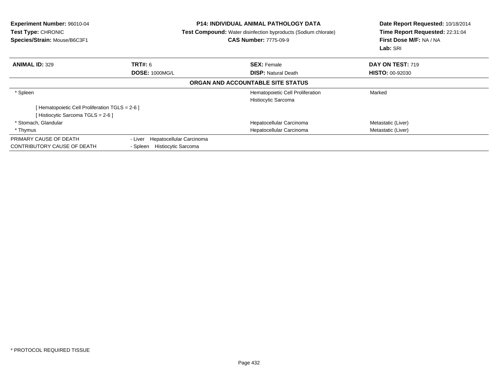| <b>Experiment Number: 96010-04</b><br>Test Type: CHRONIC<br>Species/Strain: Mouse/B6C3F1 |                                     | <b>P14: INDIVIDUAL ANIMAL PATHOLOGY DATA</b><br>Test Compound: Water disinfection byproducts (Sodium chlorate)<br><b>CAS Number: 7775-09-9</b> | Date Report Requested: 10/18/2014<br>Time Report Requested: 22:31:04<br>First Dose M/F: NA / NA<br>Lab: SRI |
|------------------------------------------------------------------------------------------|-------------------------------------|------------------------------------------------------------------------------------------------------------------------------------------------|-------------------------------------------------------------------------------------------------------------|
| <b>ANIMAL ID: 329</b>                                                                    | <b>TRT#: 6</b>                      | <b>SEX: Female</b>                                                                                                                             | DAY ON TEST: 719                                                                                            |
|                                                                                          | <b>DOSE: 1000MG/L</b>               | <b>DISP: Natural Death</b>                                                                                                                     | <b>HISTO: 00-92030</b>                                                                                      |
|                                                                                          |                                     | ORGAN AND ACCOUNTABLE SITE STATUS                                                                                                              |                                                                                                             |
| * Spleen                                                                                 |                                     | Hematopoietic Cell Proliferation                                                                                                               | Marked                                                                                                      |
|                                                                                          |                                     | Histiocytic Sarcoma                                                                                                                            |                                                                                                             |
| [ Hematopoietic Cell Proliferation TGLS = 2-6 ]                                          |                                     |                                                                                                                                                |                                                                                                             |
| [Histiocytic Sarcoma TGLS = 2-6 ]                                                        |                                     |                                                                                                                                                |                                                                                                             |
| * Stomach, Glandular                                                                     |                                     | Hepatocellular Carcinoma                                                                                                                       | Metastatic (Liver)                                                                                          |
| * Thymus                                                                                 |                                     | Hepatocellular Carcinoma                                                                                                                       | Metastatic (Liver)                                                                                          |
| PRIMARY CAUSE OF DEATH                                                                   | Hepatocellular Carcinoma<br>- Liver |                                                                                                                                                |                                                                                                             |
| <b>CONTRIBUTORY CAUSE OF DEATH</b>                                                       | Histiocytic Sarcoma<br>- Spleen     |                                                                                                                                                |                                                                                                             |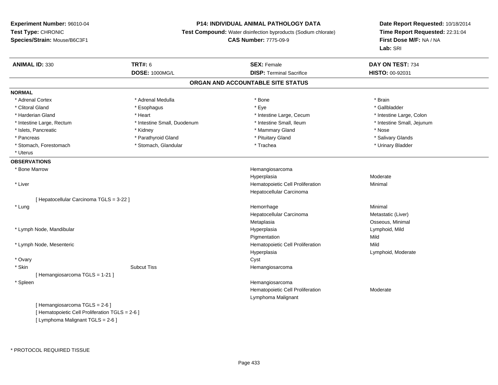## **P14: INDIVIDUAL ANIMAL PATHOLOGY DATA**

**Test Compound:** Water disinfection byproducts (Sodium chlorate)

```
CAS Number: 7775-09-9
```

| <b>ANIMAL ID: 330</b>                           | <b>TRT#: 6</b><br>DOSE: 1000MG/L | <b>SEX: Female</b><br><b>DISP: Terminal Sacrifice</b> | DAY ON TEST: 734<br>HISTO: 00-92031 |
|-------------------------------------------------|----------------------------------|-------------------------------------------------------|-------------------------------------|
|                                                 |                                  | ORGAN AND ACCOUNTABLE SITE STATUS                     |                                     |
| <b>NORMAL</b>                                   |                                  |                                                       |                                     |
| * Adrenal Cortex                                | * Adrenal Medulla                | * Bone                                                | * Brain                             |
| * Clitoral Gland                                | * Esophagus                      | * Eye                                                 | * Gallbladder                       |
| * Harderian Gland                               | * Heart                          | * Intestine Large, Cecum                              | * Intestine Large, Colon            |
| * Intestine Large, Rectum                       | * Intestine Small, Duodenum      | * Intestine Small, Ileum                              | * Intestine Small, Jejunum          |
| * Islets, Pancreatic                            | * Kidney                         | * Mammary Gland                                       | * Nose                              |
| * Pancreas                                      | * Parathyroid Gland              | * Pituitary Gland                                     | * Salivary Glands                   |
| * Stomach, Forestomach                          | * Stomach, Glandular             | * Trachea                                             | * Urinary Bladder                   |
| * Uterus                                        |                                  |                                                       |                                     |
| <b>OBSERVATIONS</b>                             |                                  |                                                       |                                     |
| * Bone Marrow                                   |                                  | Hemangiosarcoma                                       |                                     |
|                                                 |                                  | Hyperplasia                                           | Moderate                            |
| * Liver                                         |                                  | Hematopoietic Cell Proliferation                      | Minimal                             |
|                                                 |                                  | Hepatocellular Carcinoma                              |                                     |
| [ Hepatocellular Carcinoma TGLS = 3-22 ]        |                                  |                                                       |                                     |
| * Lung                                          |                                  | Hemorrhage                                            | Minimal                             |
|                                                 |                                  |                                                       |                                     |
|                                                 |                                  | Hepatocellular Carcinoma                              | Metastatic (Liver)                  |
|                                                 |                                  | Metaplasia                                            | Osseous, Minimal                    |
| * Lymph Node, Mandibular                        |                                  | Hyperplasia                                           | Lymphoid, Mild                      |
|                                                 |                                  | Pigmentation                                          | Mild                                |
| * Lymph Node, Mesenteric                        |                                  | Hematopoietic Cell Proliferation                      | Mild                                |
|                                                 |                                  | Hyperplasia                                           | Lymphoid, Moderate                  |
| * Ovary                                         |                                  | Cyst                                                  |                                     |
| * Skin                                          | <b>Subcut Tiss</b>               | Hemangiosarcoma                                       |                                     |
| [Hemangiosarcoma TGLS = 1-21]                   |                                  |                                                       |                                     |
| * Spleen                                        |                                  | Hemangiosarcoma                                       |                                     |
|                                                 |                                  | Hematopoietic Cell Proliferation                      | Moderate                            |
|                                                 |                                  | Lymphoma Malignant                                    |                                     |
| [Hemangiosarcoma TGLS = 2-6]                    |                                  |                                                       |                                     |
| [ Hematopoietic Cell Proliferation TGLS = 2-6 ] |                                  |                                                       |                                     |
| [ Lymphoma Malignant TGLS = 2-6 ]               |                                  |                                                       |                                     |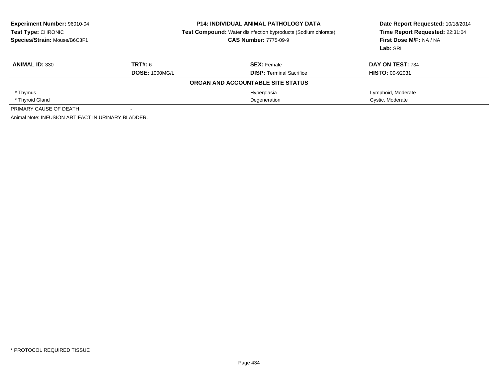| Experiment Number: 96010-04<br>Test Type: CHRONIC<br>Species/Strain: Mouse/B6C3F1 | <b>P14: INDIVIDUAL ANIMAL PATHOLOGY DATA</b><br><b>Test Compound:</b> Water disinfection byproducts (Sodium chlorate)<br><b>CAS Number: 7775-09-9</b> |                                   | Date Report Requested: 10/18/2014<br>Time Report Requested: 22:31:04<br>First Dose M/F: NA / NA<br>Lab: SRI |  |
|-----------------------------------------------------------------------------------|-------------------------------------------------------------------------------------------------------------------------------------------------------|-----------------------------------|-------------------------------------------------------------------------------------------------------------|--|
| <b>ANIMAL ID: 330</b>                                                             | TRT#: 6                                                                                                                                               | <b>SEX: Female</b>                | <b>DAY ON TEST: 734</b>                                                                                     |  |
|                                                                                   | <b>DOSE: 1000MG/L</b>                                                                                                                                 | <b>DISP:</b> Terminal Sacrifice   | <b>HISTO: 00-92031</b>                                                                                      |  |
|                                                                                   |                                                                                                                                                       | ORGAN AND ACCOUNTABLE SITE STATUS |                                                                                                             |  |
| * Thymus                                                                          |                                                                                                                                                       | Hyperplasia                       | Lymphoid, Moderate                                                                                          |  |
| * Thyroid Gland                                                                   |                                                                                                                                                       | Degeneration                      | Cystic, Moderate                                                                                            |  |
| PRIMARY CAUSE OF DEATH                                                            | $\overline{\phantom{a}}$                                                                                                                              |                                   |                                                                                                             |  |
| Animal Note: INFUSION ARTIFACT IN URINARY BLADDER.                                |                                                                                                                                                       |                                   |                                                                                                             |  |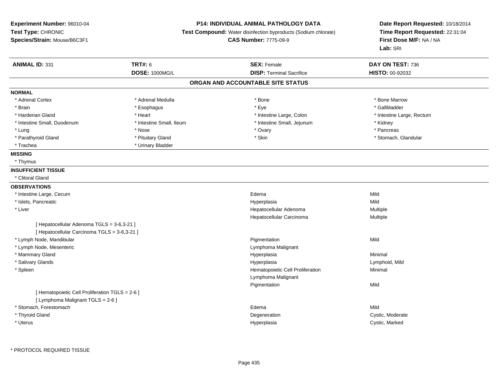#### **P14: INDIVIDUAL ANIMAL PATHOLOGY DATA**

**Test Compound:** Water disinfection byproducts (Sodium chlorate)

**CAS Number:** 7775-09-9

| <b>ANIMAL ID: 331</b>                           | <b>TRT#: 6</b>                    | <b>SEX: Female</b>               | DAY ON TEST: 736          |  |  |  |  |  |
|-------------------------------------------------|-----------------------------------|----------------------------------|---------------------------|--|--|--|--|--|
|                                                 | <b>DOSE: 1000MG/L</b>             | <b>DISP: Terminal Sacrifice</b>  | <b>HISTO: 00-92032</b>    |  |  |  |  |  |
|                                                 | ORGAN AND ACCOUNTABLE SITE STATUS |                                  |                           |  |  |  |  |  |
| <b>NORMAL</b>                                   |                                   |                                  |                           |  |  |  |  |  |
| * Adrenal Cortex                                | * Adrenal Medulla                 | * Bone                           | * Bone Marrow             |  |  |  |  |  |
| * Brain                                         | * Esophagus                       | * Eye                            | * Gallbladder             |  |  |  |  |  |
| * Harderian Gland                               | * Heart                           | * Intestine Large, Colon         | * Intestine Large, Rectum |  |  |  |  |  |
| * Intestine Small, Duodenum                     | * Intestine Small, Ileum          | * Intestine Small, Jejunum       | * Kidney                  |  |  |  |  |  |
| * Lung                                          | * Nose                            | * Ovary                          | * Pancreas                |  |  |  |  |  |
| * Parathyroid Gland                             | * Pituitary Gland                 | * Skin                           | * Stomach, Glandular      |  |  |  |  |  |
| * Trachea                                       | * Urinary Bladder                 |                                  |                           |  |  |  |  |  |
| <b>MISSING</b>                                  |                                   |                                  |                           |  |  |  |  |  |
| * Thymus                                        |                                   |                                  |                           |  |  |  |  |  |
| <b>INSUFFICIENT TISSUE</b>                      |                                   |                                  |                           |  |  |  |  |  |
| * Clitoral Gland                                |                                   |                                  |                           |  |  |  |  |  |
| <b>OBSERVATIONS</b>                             |                                   |                                  |                           |  |  |  |  |  |
| * Intestine Large, Cecum                        |                                   | Edema                            | Mild                      |  |  |  |  |  |
| * Islets, Pancreatic                            |                                   | Hyperplasia                      | Mild                      |  |  |  |  |  |
| * Liver                                         |                                   | Hepatocellular Adenoma           | Multiple                  |  |  |  |  |  |
|                                                 |                                   | Hepatocellular Carcinoma         | Multiple                  |  |  |  |  |  |
| [ Hepatocellular Adenoma TGLS = 3-6,3-21 ]      |                                   |                                  |                           |  |  |  |  |  |
| [ Hepatocellular Carcinoma TGLS = 3-6,3-21 ]    |                                   |                                  |                           |  |  |  |  |  |
| * Lymph Node, Mandibular                        |                                   | Pigmentation                     | Mild                      |  |  |  |  |  |
| * Lymph Node, Mesenteric                        |                                   | Lymphoma Malignant               |                           |  |  |  |  |  |
| * Mammary Gland                                 |                                   | Hyperplasia                      | Minimal                   |  |  |  |  |  |
| * Salivary Glands                               |                                   | Hyperplasia                      | Lymphoid, Mild            |  |  |  |  |  |
| * Spleen                                        |                                   | Hematopoietic Cell Proliferation | Minimal                   |  |  |  |  |  |
|                                                 |                                   | Lymphoma Malignant               |                           |  |  |  |  |  |
|                                                 |                                   | Pigmentation                     | Mild                      |  |  |  |  |  |
| [ Hematopoietic Cell Proliferation TGLS = 2-6 ] |                                   |                                  |                           |  |  |  |  |  |
| [ Lymphoma Malignant TGLS = 2-6 ]               |                                   |                                  |                           |  |  |  |  |  |
| * Stomach, Forestomach                          |                                   | Edema                            | Mild                      |  |  |  |  |  |
| * Thyroid Gland                                 |                                   | Degeneration                     | Cystic, Moderate          |  |  |  |  |  |
| * Uterus                                        |                                   | Hyperplasia                      | Cystic, Marked            |  |  |  |  |  |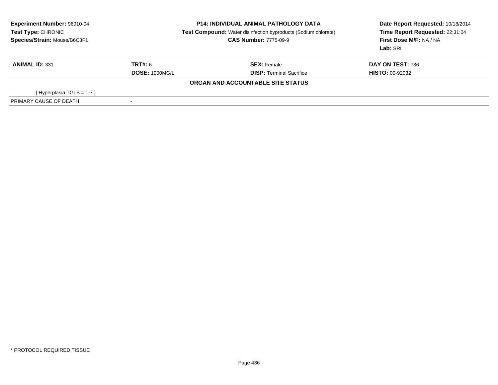| <b>Experiment Number: 96010-04</b><br><b>Test Type: CHRONIC</b><br>Species/Strain: Mouse/B6C3F1 | <b>P14: INDIVIDUAL ANIMAL PATHOLOGY DATA</b><br><b>Test Compound:</b> Water disinfection byproducts (Sodium chlorate)<br><b>CAS Number: 7775-09-9</b> |                                   | Date Report Requested: 10/18/2014<br>Time Report Requested: 22:31:04<br>First Dose M/F: NA / NA<br>Lab: SRI |  |
|-------------------------------------------------------------------------------------------------|-------------------------------------------------------------------------------------------------------------------------------------------------------|-----------------------------------|-------------------------------------------------------------------------------------------------------------|--|
| <b>ANIMAL ID: 331</b>                                                                           | TRT#: 6                                                                                                                                               | <b>SEX: Female</b>                | DAY ON TEST: 736                                                                                            |  |
|                                                                                                 | <b>DOSE: 1000MG/L</b>                                                                                                                                 | <b>DISP: Terminal Sacrifice</b>   | <b>HISTO: 00-92032</b>                                                                                      |  |
|                                                                                                 |                                                                                                                                                       | ORGAN AND ACCOUNTABLE SITE STATUS |                                                                                                             |  |
| [Hyperplasia TGLS = $1-7$ ]                                                                     |                                                                                                                                                       |                                   |                                                                                                             |  |
| PRIMARY CAUSE OF DEATH                                                                          | ۰                                                                                                                                                     |                                   |                                                                                                             |  |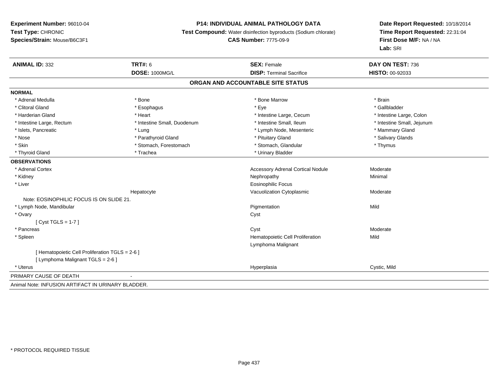## **P14: INDIVIDUAL ANIMAL PATHOLOGY DATA**

**Test Compound:** Water disinfection byproducts (Sodium chlorate)

**CAS Number:** 7775-09-9

| <b>ANIMAL ID: 332</b>                              | <b>TRT#: 6</b>              | <b>SEX: Female</b>                       | DAY ON TEST: 736           |  |  |  |
|----------------------------------------------------|-----------------------------|------------------------------------------|----------------------------|--|--|--|
|                                                    | <b>DOSE: 1000MG/L</b>       | <b>DISP: Terminal Sacrifice</b>          | <b>HISTO: 00-92033</b>     |  |  |  |
| ORGAN AND ACCOUNTABLE SITE STATUS                  |                             |                                          |                            |  |  |  |
| <b>NORMAL</b>                                      |                             |                                          |                            |  |  |  |
| * Adrenal Medulla                                  | * Bone                      | * Bone Marrow                            | * Brain                    |  |  |  |
| * Clitoral Gland                                   | * Esophagus                 | * Eye                                    | * Gallbladder              |  |  |  |
| * Harderian Gland                                  | * Heart                     | * Intestine Large, Cecum                 | * Intestine Large, Colon   |  |  |  |
| * Intestine Large, Rectum                          | * Intestine Small, Duodenum | * Intestine Small, Ileum                 | * Intestine Small, Jejunum |  |  |  |
| * Islets, Pancreatic                               | * Lung                      | * Lymph Node, Mesenteric                 | * Mammary Gland            |  |  |  |
| * Nose                                             | * Parathyroid Gland         | * Pituitary Gland                        | * Salivary Glands          |  |  |  |
| * Skin                                             | * Stomach, Forestomach      | * Stomach, Glandular                     | * Thymus                   |  |  |  |
| * Thyroid Gland                                    | * Trachea                   | * Urinary Bladder                        |                            |  |  |  |
| <b>OBSERVATIONS</b>                                |                             |                                          |                            |  |  |  |
| * Adrenal Cortex                                   |                             | <b>Accessory Adrenal Cortical Nodule</b> | Moderate                   |  |  |  |
| * Kidney                                           |                             | Nephropathy                              | Minimal                    |  |  |  |
| * Liver                                            |                             | <b>Eosinophilic Focus</b>                |                            |  |  |  |
|                                                    | Hepatocyte                  | Vacuolization Cytoplasmic                | Moderate                   |  |  |  |
| Note: EOSINOPHILIC FOCUS IS ON SLIDE 21.           |                             |                                          |                            |  |  |  |
| * Lymph Node, Mandibular                           |                             | Pigmentation                             | Mild                       |  |  |  |
| * Ovary                                            |                             | Cyst                                     |                            |  |  |  |
| [Cyst TGLS = $1-7$ ]                               |                             |                                          |                            |  |  |  |
| * Pancreas                                         |                             | Cyst                                     | Moderate                   |  |  |  |
| * Spleen                                           |                             | Hematopoietic Cell Proliferation         | Mild                       |  |  |  |
|                                                    |                             | Lymphoma Malignant                       |                            |  |  |  |
| [ Hematopoietic Cell Proliferation TGLS = 2-6 ]    |                             |                                          |                            |  |  |  |
| [ Lymphoma Malignant TGLS = 2-6 ]                  |                             |                                          |                            |  |  |  |
| * Uterus                                           |                             | Hyperplasia                              | Cystic, Mild               |  |  |  |
| PRIMARY CAUSE OF DEATH                             |                             |                                          |                            |  |  |  |
| Animal Note: INFUSION ARTIFACT IN URINARY BLADDER. |                             |                                          |                            |  |  |  |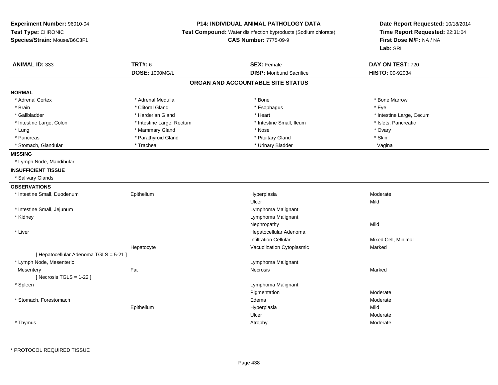## **P14: INDIVIDUAL ANIMAL PATHOLOGY DATA**

**Test Compound:** Water disinfection byproducts (Sodium chlorate)

**CAS Number:** 7775-09-9

| <b>ANIMAL ID: 333</b>                  | <b>TRT#: 6</b>            | <b>SEX: Female</b>                | DAY ON TEST: 720         |  |
|----------------------------------------|---------------------------|-----------------------------------|--------------------------|--|
|                                        | DOSE: 1000MG/L            | <b>DISP:</b> Moribund Sacrifice   | HISTO: 00-92034          |  |
|                                        |                           | ORGAN AND ACCOUNTABLE SITE STATUS |                          |  |
| <b>NORMAL</b>                          |                           |                                   |                          |  |
| * Adrenal Cortex                       | * Adrenal Medulla         | * Bone                            | * Bone Marrow            |  |
| * Brain                                | * Clitoral Gland          | * Esophagus                       | * Eye                    |  |
| * Gallbladder                          | * Harderian Gland         | * Heart                           | * Intestine Large, Cecum |  |
| * Intestine Large, Colon               | * Intestine Large, Rectum | * Intestine Small, Ileum          | * Islets, Pancreatic     |  |
| * Lung                                 | * Mammary Gland           | * Nose                            | * Ovary                  |  |
| * Pancreas                             | * Parathyroid Gland       | * Pituitary Gland                 | * Skin                   |  |
| * Stomach, Glandular                   | * Trachea                 | * Urinary Bladder                 | Vagina                   |  |
| <b>MISSING</b>                         |                           |                                   |                          |  |
| * Lymph Node, Mandibular               |                           |                                   |                          |  |
| <b>INSUFFICIENT TISSUE</b>             |                           |                                   |                          |  |
| * Salivary Glands                      |                           |                                   |                          |  |
| <b>OBSERVATIONS</b>                    |                           |                                   |                          |  |
| * Intestine Small, Duodenum            | Epithelium                | Hyperplasia                       | Moderate                 |  |
|                                        |                           | Ulcer                             | Mild                     |  |
| * Intestine Small, Jejunum             |                           | Lymphoma Malignant                |                          |  |
| * Kidney                               |                           | Lymphoma Malignant                |                          |  |
|                                        |                           | Nephropathy                       | Mild                     |  |
| * Liver                                |                           | Hepatocellular Adenoma            |                          |  |
|                                        |                           | <b>Infiltration Cellular</b>      | Mixed Cell, Minimal      |  |
|                                        | Hepatocyte                | Vacuolization Cytoplasmic         | Marked                   |  |
| [ Hepatocellular Adenoma TGLS = 5-21 ] |                           |                                   |                          |  |
| * Lymph Node, Mesenteric               |                           | Lymphoma Malignant                |                          |  |
| Mesentery                              | Fat                       | Necrosis                          | Marked                   |  |
| [Necrosis $TGLS = 1-22$ ]              |                           |                                   |                          |  |
| * Spleen                               |                           | Lymphoma Malignant                |                          |  |
|                                        |                           | Pigmentation                      | Moderate                 |  |
| * Stomach, Forestomach                 |                           | Edema                             | Moderate                 |  |
|                                        | Epithelium                | Hyperplasia                       | Mild                     |  |
|                                        |                           | Ulcer                             | Moderate                 |  |
| * Thymus                               |                           | Atrophy                           | Moderate                 |  |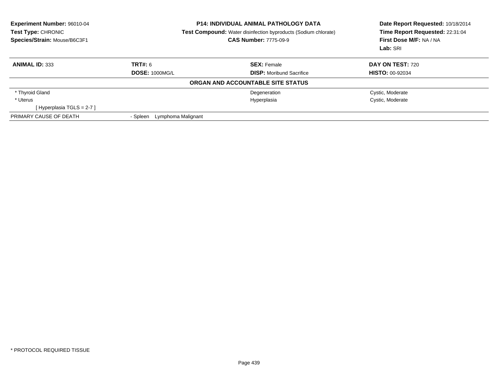| <b>Experiment Number: 96010-04</b><br>Test Type: CHRONIC<br>Species/Strain: Mouse/B6C3F1 | <b>P14: INDIVIDUAL ANIMAL PATHOLOGY DATA</b><br>Test Compound: Water disinfection byproducts (Sodium chlorate)<br><b>CAS Number: 7775-09-9</b> |                                   | Date Report Requested: 10/18/2014<br>Time Report Requested: 22:31:04<br>First Dose M/F: NA / NA<br>Lab: SRI |  |
|------------------------------------------------------------------------------------------|------------------------------------------------------------------------------------------------------------------------------------------------|-----------------------------------|-------------------------------------------------------------------------------------------------------------|--|
| <b>ANIMAL ID: 333</b>                                                                    | TRT#: 6                                                                                                                                        | <b>SEX: Female</b>                | <b>DAY ON TEST: 720</b>                                                                                     |  |
|                                                                                          | <b>DOSE: 1000MG/L</b>                                                                                                                          | <b>DISP:</b> Moribund Sacrifice   | <b>HISTO: 00-92034</b>                                                                                      |  |
|                                                                                          |                                                                                                                                                | ORGAN AND ACCOUNTABLE SITE STATUS |                                                                                                             |  |
| * Thyroid Gland                                                                          |                                                                                                                                                | Degeneration                      | Cystic, Moderate                                                                                            |  |
| * Uterus                                                                                 |                                                                                                                                                | Hyperplasia                       | Cystic, Moderate                                                                                            |  |
| [Hyperplasia TGLS = $2-7$ ]                                                              |                                                                                                                                                |                                   |                                                                                                             |  |
| PRIMARY CAUSE OF DEATH                                                                   | Lymphoma Malignant<br>- Spleen                                                                                                                 |                                   |                                                                                                             |  |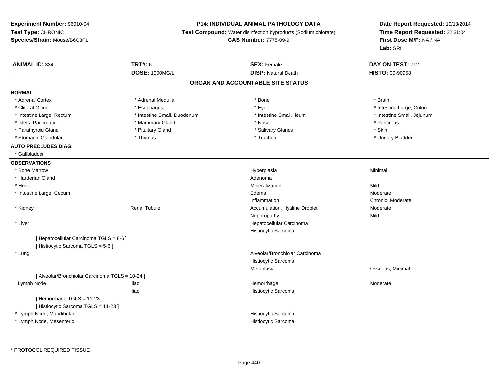## **P14: INDIVIDUAL ANIMAL PATHOLOGY DATA**

**Test Compound:** Water disinfection byproducts (Sodium chlorate)

**CAS Number:** 7775-09-9

| <b>ANIMAL ID: 334</b>                           | <b>TRT#: 6</b>              | <b>SEX: Female</b>                | DAY ON TEST: 712           |
|-------------------------------------------------|-----------------------------|-----------------------------------|----------------------------|
|                                                 | <b>DOSE: 1000MG/L</b>       | <b>DISP: Natural Death</b>        | HISTO: 00-90958            |
|                                                 |                             | ORGAN AND ACCOUNTABLE SITE STATUS |                            |
| <b>NORMAL</b>                                   |                             |                                   |                            |
| * Adrenal Cortex                                | * Adrenal Medulla           | * Bone                            | * Brain                    |
| * Clitoral Gland                                | * Esophagus                 | * Eye                             | * Intestine Large, Colon   |
| * Intestine Large, Rectum                       | * Intestine Small, Duodenum | * Intestine Small, Ileum          | * Intestine Small, Jejunum |
| * Islets, Pancreatic                            | * Mammary Gland             | * Nose                            | * Pancreas                 |
| * Parathyroid Gland                             | * Pituitary Gland           | * Salivary Glands                 | * Skin                     |
| * Stomach, Glandular                            | * Thymus                    | * Trachea                         | * Urinary Bladder          |
| <b>AUTO PRECLUDES DIAG.</b>                     |                             |                                   |                            |
| * Gallbladder                                   |                             |                                   |                            |
| <b>OBSERVATIONS</b>                             |                             |                                   |                            |
| * Bone Marrow                                   |                             | Hyperplasia                       | Minimal                    |
| * Harderian Gland                               |                             | Adenoma                           |                            |
| * Heart                                         |                             | Mineralization                    | Mild                       |
| * Intestine Large, Cecum                        |                             | Edema                             | Moderate                   |
|                                                 |                             | Inflammation                      | Chronic, Moderate          |
| * Kidney                                        | <b>Renal Tubule</b>         | Accumulation, Hyaline Droplet     | Moderate                   |
|                                                 |                             | Nephropathy                       | Mild                       |
| * Liver                                         |                             | Hepatocellular Carcinoma          |                            |
|                                                 |                             | Histiocytic Sarcoma               |                            |
| [ Hepatocellular Carcinoma TGLS = 8-6 ]         |                             |                                   |                            |
| [ Histiocytic Sarcoma TGLS = 5-6 ]              |                             |                                   |                            |
| * Lung                                          |                             | Alveolar/Bronchiolar Carcinoma    |                            |
|                                                 |                             | Histiocytic Sarcoma               |                            |
|                                                 |                             | Metaplasia                        | Osseous, Minimal           |
| [ Alveolar/Bronchiolar Carcinoma TGLS = 10-24 ] |                             |                                   |                            |
| Lymph Node                                      | <b>Iliac</b>                | Hemorrhage                        | Moderate                   |
|                                                 | <b>Iliac</b>                | Histiocytic Sarcoma               |                            |
| [Hemorrhage TGLS = 11-23]                       |                             |                                   |                            |
| [Histiocytic Sarcoma TGLS = 11-23]              |                             |                                   |                            |
| * Lymph Node, Mandibular                        |                             | Histiocytic Sarcoma               |                            |
| * Lymph Node, Mesenteric                        |                             | Histiocytic Sarcoma               |                            |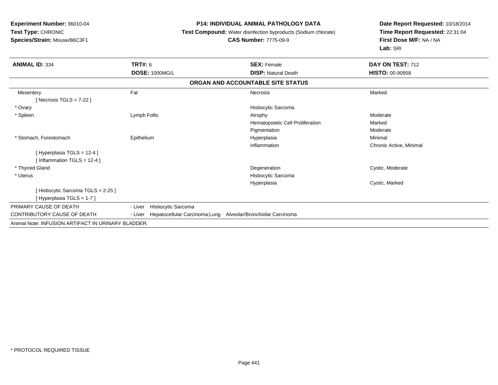#### **P14: INDIVIDUAL ANIMAL PATHOLOGY DATA**

**Test Compound:** Water disinfection byproducts (Sodium chlorate)

#### **CAS Number:** 7775-09-9

| <b>ANIMAL ID: 334</b>                              | <b>TRT#: 6</b>                                                           | <b>SEX: Female</b>                | DAY ON TEST: 712        |
|----------------------------------------------------|--------------------------------------------------------------------------|-----------------------------------|-------------------------|
|                                                    | <b>DOSE: 1000MG/L</b>                                                    | <b>DISP: Natural Death</b>        | <b>HISTO: 00-90958</b>  |
|                                                    |                                                                          | ORGAN AND ACCOUNTABLE SITE STATUS |                         |
| Mesentery                                          | Fat                                                                      | <b>Necrosis</b>                   | Marked                  |
| [Necrosis TGLS = $7-22$ ]                          |                                                                          |                                   |                         |
| * Ovary                                            |                                                                          | Histiocytic Sarcoma               |                         |
| * Spleen                                           | Lymph Follic                                                             | Atrophy                           | Moderate                |
|                                                    |                                                                          | Hematopoietic Cell Proliferation  | Marked                  |
|                                                    |                                                                          | Pigmentation                      | Moderate                |
| * Stomach, Forestomach                             | Epithelium                                                               | Hyperplasia                       | Minimal                 |
|                                                    |                                                                          | Inflammation                      | Chronic Active, Minimal |
| [Hyperplasia TGLS = 12-4]                          |                                                                          |                                   |                         |
| [Inflammation TGLS = $12-4$ ]                      |                                                                          |                                   |                         |
| * Thyroid Gland                                    |                                                                          | Degeneration                      | Cystic, Moderate        |
| * Uterus                                           |                                                                          | Histiocytic Sarcoma               |                         |
|                                                    |                                                                          | Hyperplasia                       | Cystic, Marked          |
| [Histiocytic Sarcoma TGLS = 2-25]                  |                                                                          |                                   |                         |
| [Hyperplasia TGLS = 1-7]                           |                                                                          |                                   |                         |
| PRIMARY CAUSE OF DEATH                             | <b>Histiocytic Sarcoma</b><br>- Liver                                    |                                   |                         |
| CONTRIBUTORY CAUSE OF DEATH                        | Hepatocellular Carcinoma; Lung Alveolar/Bronchiolar Carcinoma<br>- Liver |                                   |                         |
| Animal Note: INFUSION ARTIFACT IN URINARY BLADDER. |                                                                          |                                   |                         |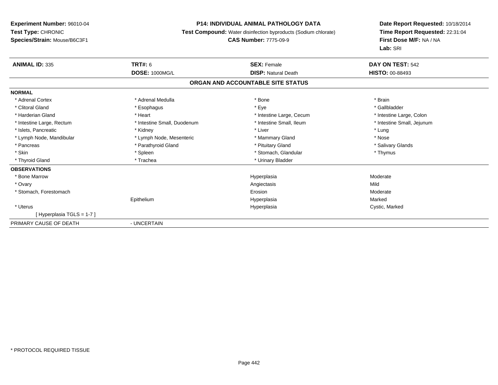## **P14: INDIVIDUAL ANIMAL PATHOLOGY DATA**

**Test Compound:** Water disinfection byproducts (Sodium chlorate)

## **CAS Number:** 7775-09-9

| <b>ANIMAL ID: 335</b>     | <b>TRT#: 6</b>              | <b>SEX: Female</b>                | DAY ON TEST: 542           |
|---------------------------|-----------------------------|-----------------------------------|----------------------------|
|                           | <b>DOSE: 1000MG/L</b>       | <b>DISP: Natural Death</b>        | <b>HISTO: 00-88493</b>     |
|                           |                             | ORGAN AND ACCOUNTABLE SITE STATUS |                            |
| <b>NORMAL</b>             |                             |                                   |                            |
| * Adrenal Cortex          | * Adrenal Medulla           | * Bone                            | * Brain                    |
| * Clitoral Gland          | * Esophagus                 | * Eye                             | * Gallbladder              |
| * Harderian Gland         | * Heart                     | * Intestine Large, Cecum          | * Intestine Large, Colon   |
| * Intestine Large, Rectum | * Intestine Small, Duodenum | * Intestine Small, Ileum          | * Intestine Small, Jejunum |
| * Islets, Pancreatic      | * Kidney                    | * Liver                           | * Lung                     |
| * Lymph Node, Mandibular  | * Lymph Node, Mesenteric    | * Mammary Gland                   | * Nose                     |
| * Pancreas                | * Parathyroid Gland         | * Pituitary Gland                 | * Salivary Glands          |
| * Skin                    | * Spleen                    | * Stomach, Glandular              | * Thymus                   |
| * Thyroid Gland           | * Trachea                   | * Urinary Bladder                 |                            |
| <b>OBSERVATIONS</b>       |                             |                                   |                            |
| * Bone Marrow             |                             | Hyperplasia                       | Moderate                   |
| * Ovary                   |                             | Angiectasis                       | Mild                       |
| * Stomach, Forestomach    |                             | Erosion                           | Moderate                   |
|                           | Epithelium                  | Hyperplasia                       | Marked                     |
| * Uterus                  |                             | Hyperplasia                       | Cystic, Marked             |
| [Hyperplasia TGLS = 1-7]  |                             |                                   |                            |
| PRIMARY CAUSE OF DEATH    | - UNCERTAIN                 |                                   |                            |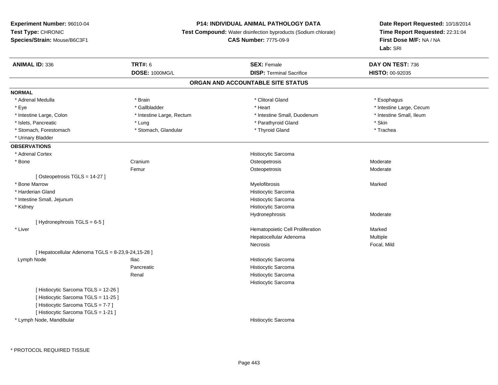#### **P14: INDIVIDUAL ANIMAL PATHOLOGY DATA**

**Test Compound:** Water disinfection byproducts (Sodium chlorate)

**CAS Number:** 7775-09-9

| <b>ANIMAL ID: 336</b>                             | <b>TRT#: 6</b>            | <b>SEX: Female</b>               | DAY ON TEST: 736         |  |  |  |  |
|---------------------------------------------------|---------------------------|----------------------------------|--------------------------|--|--|--|--|
|                                                   | <b>DOSE: 1000MG/L</b>     | <b>DISP: Terminal Sacrifice</b>  | HISTO: 00-92035          |  |  |  |  |
| ORGAN AND ACCOUNTABLE SITE STATUS                 |                           |                                  |                          |  |  |  |  |
| <b>NORMAL</b>                                     |                           |                                  |                          |  |  |  |  |
| * Adrenal Medulla                                 | * Brain                   | * Clitoral Gland                 | * Esophagus              |  |  |  |  |
| * Eye                                             | * Gallbladder             | * Heart                          | * Intestine Large, Cecum |  |  |  |  |
| * Intestine Large, Colon                          | * Intestine Large, Rectum | * Intestine Small, Duodenum      | * Intestine Small, Ileum |  |  |  |  |
| * Islets, Pancreatic                              | * Lung                    | * Parathyroid Gland              | * Skin                   |  |  |  |  |
| * Stomach, Forestomach                            | * Stomach, Glandular      | * Thyroid Gland                  | * Trachea                |  |  |  |  |
| * Urinary Bladder                                 |                           |                                  |                          |  |  |  |  |
| <b>OBSERVATIONS</b>                               |                           |                                  |                          |  |  |  |  |
| * Adrenal Cortex                                  |                           | Histiocytic Sarcoma              |                          |  |  |  |  |
| * Bone                                            | Cranium                   | Osteopetrosis                    | Moderate                 |  |  |  |  |
|                                                   | Femur                     | Osteopetrosis                    | Moderate                 |  |  |  |  |
| [Osteopetrosis TGLS = 14-27]                      |                           |                                  |                          |  |  |  |  |
| * Bone Marrow                                     |                           | Myelofibrosis                    | Marked                   |  |  |  |  |
| * Harderian Gland                                 |                           | Histiocytic Sarcoma              |                          |  |  |  |  |
| * Intestine Small, Jejunum                        |                           | Histiocytic Sarcoma              |                          |  |  |  |  |
| * Kidney                                          |                           | Histiocytic Sarcoma              |                          |  |  |  |  |
|                                                   |                           | Hydronephrosis                   | Moderate                 |  |  |  |  |
| [Hydronephrosis TGLS = 6-5]                       |                           |                                  |                          |  |  |  |  |
| * Liver                                           |                           | Hematopoietic Cell Proliferation | Marked                   |  |  |  |  |
|                                                   |                           | Hepatocellular Adenoma           | Multiple                 |  |  |  |  |
|                                                   |                           | <b>Necrosis</b>                  | Focal, Mild              |  |  |  |  |
| [ Hepatocellular Adenoma TGLS = 8-23,9-24,15-28 ] |                           |                                  |                          |  |  |  |  |
| Lymph Node                                        | <b>Iliac</b>              | Histiocytic Sarcoma              |                          |  |  |  |  |
|                                                   | Pancreatic                | Histiocytic Sarcoma              |                          |  |  |  |  |
|                                                   | Renal                     | Histiocytic Sarcoma              |                          |  |  |  |  |
|                                                   |                           | Histiocytic Sarcoma              |                          |  |  |  |  |
| [ Histiocytic Sarcoma TGLS = 12-26 ]              |                           |                                  |                          |  |  |  |  |
| [Histiocytic Sarcoma TGLS = 11-25]                |                           |                                  |                          |  |  |  |  |
| [Histiocytic Sarcoma TGLS = 7-7]                  |                           |                                  |                          |  |  |  |  |
| [ Histiocytic Sarcoma TGLS = 1-21 ]               |                           |                                  |                          |  |  |  |  |
| * Lymph Node, Mandibular                          |                           | Histiocytic Sarcoma              |                          |  |  |  |  |
|                                                   |                           |                                  |                          |  |  |  |  |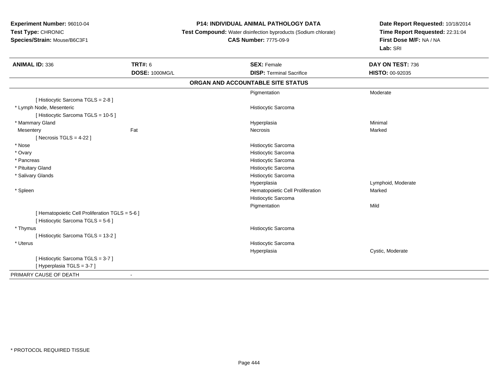## **P14: INDIVIDUAL ANIMAL PATHOLOGY DATA**

**Test Compound:** Water disinfection byproducts (Sodium chlorate)

# **CAS Number:** 7775-09-9

| <b>ANIMAL ID: 336</b>                           | <b>TRT#: 6</b>        | <b>SEX: Female</b>                | DAY ON TEST: 736   |
|-------------------------------------------------|-----------------------|-----------------------------------|--------------------|
|                                                 | <b>DOSE: 1000MG/L</b> | <b>DISP: Terminal Sacrifice</b>   | HISTO: 00-92035    |
|                                                 |                       | ORGAN AND ACCOUNTABLE SITE STATUS |                    |
|                                                 |                       | Pigmentation                      | Moderate           |
| [ Histiocytic Sarcoma TGLS = 2-8 ]              |                       |                                   |                    |
| * Lymph Node, Mesenteric                        |                       | Histiocytic Sarcoma               |                    |
| [Histiocytic Sarcoma TGLS = 10-5]               |                       |                                   |                    |
| * Mammary Gland                                 |                       | Hyperplasia                       | Minimal            |
| Mesentery                                       | Fat                   | Necrosis                          | Marked             |
| [Necrosis TGLS = $4-22$ ]                       |                       |                                   |                    |
| * Nose                                          |                       | Histiocytic Sarcoma               |                    |
| * Ovary                                         |                       | Histiocytic Sarcoma               |                    |
| * Pancreas                                      |                       | Histiocytic Sarcoma               |                    |
| * Pituitary Gland                               |                       | Histiocytic Sarcoma               |                    |
| * Salivary Glands                               |                       | Histiocytic Sarcoma               |                    |
|                                                 |                       | Hyperplasia                       | Lymphoid, Moderate |
| * Spleen                                        |                       | Hematopoietic Cell Proliferation  | Marked             |
|                                                 |                       | Histiocytic Sarcoma               |                    |
|                                                 |                       | Pigmentation                      | Mild               |
| [ Hematopoietic Cell Proliferation TGLS = 5-6 ] |                       |                                   |                    |
| [Histiocytic Sarcoma TGLS = 5-6]                |                       |                                   |                    |
| * Thymus                                        |                       | Histiocytic Sarcoma               |                    |
| [Histiocytic Sarcoma TGLS = 13-2]               |                       |                                   |                    |
| * Uterus                                        |                       | Histiocytic Sarcoma               |                    |
|                                                 |                       | Hyperplasia                       | Cystic, Moderate   |
| [Histiocytic Sarcoma TGLS = 3-7]                |                       |                                   |                    |
| [Hyperplasia TGLS = 3-7]                        |                       |                                   |                    |
| PRIMARY CAUSE OF DEATH                          |                       |                                   |                    |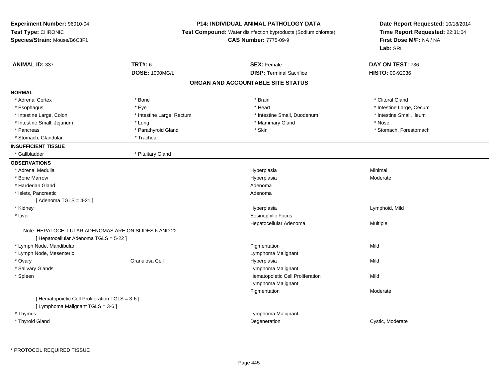## **P14: INDIVIDUAL ANIMAL PATHOLOGY DATA**

**Test Compound:** Water disinfection byproducts (Sodium chlorate)

**CAS Number:** 7775-09-9

| <b>ANIMAL ID: 337</b>                                 | <b>TRT#: 6</b>            | <b>SEX: Female</b>               | DAY ON TEST: 736         |  |  |  |  |
|-------------------------------------------------------|---------------------------|----------------------------------|--------------------------|--|--|--|--|
|                                                       | <b>DOSE: 1000MG/L</b>     | <b>DISP: Terminal Sacrifice</b>  | HISTO: 00-92036          |  |  |  |  |
| ORGAN AND ACCOUNTABLE SITE STATUS                     |                           |                                  |                          |  |  |  |  |
| <b>NORMAL</b>                                         |                           |                                  |                          |  |  |  |  |
| * Adrenal Cortex                                      | * Bone                    | * Brain                          | * Clitoral Gland         |  |  |  |  |
| * Esophagus                                           | * Eye                     | * Heart                          | * Intestine Large, Cecum |  |  |  |  |
| * Intestine Large, Colon                              | * Intestine Large, Rectum | * Intestine Small, Duodenum      | * Intestine Small, Ileum |  |  |  |  |
| * Intestine Small, Jejunum                            | * Lung                    | * Mammary Gland                  | * Nose                   |  |  |  |  |
| * Pancreas                                            | * Parathyroid Gland       | * Skin                           | * Stomach, Forestomach   |  |  |  |  |
| * Stomach, Glandular                                  | * Trachea                 |                                  |                          |  |  |  |  |
| <b>INSUFFICIENT TISSUE</b>                            |                           |                                  |                          |  |  |  |  |
| * Gallbladder                                         | * Pituitary Gland         |                                  |                          |  |  |  |  |
| <b>OBSERVATIONS</b>                                   |                           |                                  |                          |  |  |  |  |
| * Adrenal Medulla                                     |                           | Hyperplasia                      | Minimal                  |  |  |  |  |
| * Bone Marrow                                         |                           | Hyperplasia                      | Moderate                 |  |  |  |  |
| * Harderian Gland                                     |                           | Adenoma                          |                          |  |  |  |  |
| * Islets, Pancreatic                                  |                           | Adenoma                          |                          |  |  |  |  |
| [Adenoma TGLS = $4-21$ ]                              |                           |                                  |                          |  |  |  |  |
| * Kidney                                              |                           | Hyperplasia                      | Lymphoid, Mild           |  |  |  |  |
| * Liver                                               |                           | <b>Eosinophilic Focus</b>        |                          |  |  |  |  |
|                                                       |                           | Hepatocellular Adenoma           | Multiple                 |  |  |  |  |
| Note: HEPATOCELLULAR ADENOMAS ARE ON SLIDES 6 AND 22. |                           |                                  |                          |  |  |  |  |
| [ Hepatocellular Adenoma TGLS = 5-22 ]                |                           |                                  |                          |  |  |  |  |
| * Lymph Node, Mandibular                              |                           | Pigmentation                     | Mild                     |  |  |  |  |
| * Lymph Node, Mesenteric                              |                           | Lymphoma Malignant               |                          |  |  |  |  |
| * Ovary                                               | Granulosa Cell            | Hyperplasia                      | Mild                     |  |  |  |  |
| * Salivary Glands                                     |                           | Lymphoma Malignant               |                          |  |  |  |  |
| * Spleen                                              |                           | Hematopoietic Cell Proliferation | Mild                     |  |  |  |  |
|                                                       |                           | Lymphoma Malignant               |                          |  |  |  |  |
|                                                       |                           | Pigmentation                     | Moderate                 |  |  |  |  |
| [ Hematopoietic Cell Proliferation TGLS = 3-6 ]       |                           |                                  |                          |  |  |  |  |
| [ Lymphoma Malignant TGLS = 3-6 ]                     |                           |                                  |                          |  |  |  |  |
| * Thymus                                              |                           | Lymphoma Malignant               |                          |  |  |  |  |
| * Thyroid Gland                                       |                           | Degeneration                     | Cystic, Moderate         |  |  |  |  |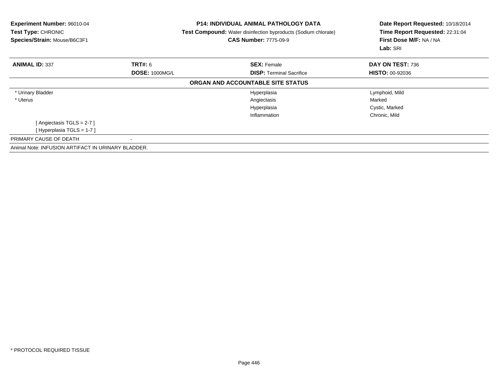| Experiment Number: 96010-04<br>Test Type: CHRONIC<br>Species/Strain: Mouse/B6C3F1 | <b>P14: INDIVIDUAL ANIMAL PATHOLOGY DATA</b><br><b>Test Compound:</b> Water disinfection byproducts (Sodium chlorate)<br><b>CAS Number: 7775-09-9</b> |                                   | Date Report Requested: 10/18/2014<br>Time Report Requested: 22:31:04<br>First Dose M/F: NA / NA<br>Lab: SRI |  |
|-----------------------------------------------------------------------------------|-------------------------------------------------------------------------------------------------------------------------------------------------------|-----------------------------------|-------------------------------------------------------------------------------------------------------------|--|
| <b>ANIMAL ID: 337</b>                                                             | <b>TRT#: 6</b>                                                                                                                                        | <b>SEX: Female</b>                | DAY ON TEST: 736                                                                                            |  |
|                                                                                   | <b>DOSE: 1000MG/L</b>                                                                                                                                 | <b>DISP:</b> Terminal Sacrifice   | <b>HISTO: 00-92036</b>                                                                                      |  |
|                                                                                   |                                                                                                                                                       | ORGAN AND ACCOUNTABLE SITE STATUS |                                                                                                             |  |
| * Urinary Bladder                                                                 |                                                                                                                                                       | Hyperplasia                       | Lymphoid, Mild                                                                                              |  |
| * Uterus                                                                          |                                                                                                                                                       | Angiectasis                       | Marked                                                                                                      |  |
|                                                                                   |                                                                                                                                                       | Hyperplasia                       | Cystic, Marked                                                                                              |  |
|                                                                                   |                                                                                                                                                       | Inflammation                      | Chronic, Mild                                                                                               |  |
| [Angiectasis TGLS = 2-7 ]                                                         |                                                                                                                                                       |                                   |                                                                                                             |  |
| Hyperplasia TGLS = 1-7 ]                                                          |                                                                                                                                                       |                                   |                                                                                                             |  |
| PRIMARY CAUSE OF DEATH                                                            |                                                                                                                                                       |                                   |                                                                                                             |  |
| Animal Note: INFUSION ARTIFACT IN URINARY BLADDER.                                |                                                                                                                                                       |                                   |                                                                                                             |  |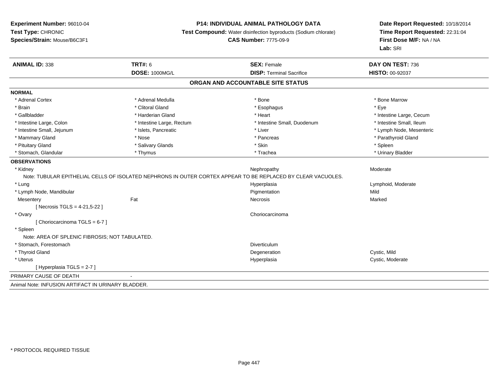## **P14: INDIVIDUAL ANIMAL PATHOLOGY DATA**

**Test Compound:** Water disinfection byproducts (Sodium chlorate)

**CAS Number:** 7775-09-9

| <b>ANIMAL ID: 338</b>                              | <b>TRT#: 6</b>                    | <b>SEX: Female</b>                                                                                           | DAY ON TEST: 736         |  |  |  |  |
|----------------------------------------------------|-----------------------------------|--------------------------------------------------------------------------------------------------------------|--------------------------|--|--|--|--|
|                                                    | <b>DOSE: 1000MG/L</b>             | <b>DISP: Terminal Sacrifice</b>                                                                              | HISTO: 00-92037          |  |  |  |  |
|                                                    | ORGAN AND ACCOUNTABLE SITE STATUS |                                                                                                              |                          |  |  |  |  |
| <b>NORMAL</b>                                      |                                   |                                                                                                              |                          |  |  |  |  |
| * Adrenal Cortex                                   | * Adrenal Medulla                 | * Bone                                                                                                       | * Bone Marrow            |  |  |  |  |
| * Brain                                            | * Clitoral Gland                  | * Esophagus                                                                                                  | * Eye                    |  |  |  |  |
| * Gallbladder                                      | * Harderian Gland                 | * Heart                                                                                                      | * Intestine Large, Cecum |  |  |  |  |
| * Intestine Large, Colon                           | * Intestine Large, Rectum         | * Intestine Small, Duodenum                                                                                  | * Intestine Small, Ileum |  |  |  |  |
| * Intestine Small, Jejunum                         | * Islets, Pancreatic              | * Liver                                                                                                      | * Lymph Node, Mesenteric |  |  |  |  |
| * Mammary Gland                                    | * Nose                            | * Pancreas                                                                                                   | * Parathyroid Gland      |  |  |  |  |
| * Pituitary Gland                                  | * Salivary Glands                 | * Skin                                                                                                       | * Spleen                 |  |  |  |  |
| * Stomach, Glandular                               | * Thymus                          | * Trachea                                                                                                    | * Urinary Bladder        |  |  |  |  |
| <b>OBSERVATIONS</b>                                |                                   |                                                                                                              |                          |  |  |  |  |
| * Kidney                                           |                                   | Nephropathy                                                                                                  | Moderate                 |  |  |  |  |
|                                                    |                                   | Note: TUBULAR EPITHELIAL CELLS OF ISOLATED NEPHRONS IN OUTER CORTEX APPEAR TO BE REPLACED BY CLEAR VACUOLES. |                          |  |  |  |  |
| * Lung                                             |                                   | Hyperplasia                                                                                                  | Lymphoid, Moderate       |  |  |  |  |
| * Lymph Node, Mandibular                           |                                   | Pigmentation                                                                                                 | Mild                     |  |  |  |  |
| Mesentery                                          | Fat                               | <b>Necrosis</b>                                                                                              | Marked                   |  |  |  |  |
| [ Necrosis TGLS = 4-21,5-22 ]                      |                                   |                                                                                                              |                          |  |  |  |  |
| * Ovary                                            |                                   | Choriocarcinoma                                                                                              |                          |  |  |  |  |
| [ Choriocarcinoma TGLS = 6-7 ]                     |                                   |                                                                                                              |                          |  |  |  |  |
| * Spleen                                           |                                   |                                                                                                              |                          |  |  |  |  |
| Note: AREA OF SPLENIC FIBROSIS; NOT TABULATED.     |                                   |                                                                                                              |                          |  |  |  |  |
| * Stomach, Forestomach                             |                                   | Diverticulum                                                                                                 |                          |  |  |  |  |
| * Thyroid Gland                                    |                                   | Degeneration                                                                                                 | Cystic, Mild             |  |  |  |  |
| * Uterus                                           |                                   | Hyperplasia                                                                                                  | Cystic, Moderate         |  |  |  |  |
| [Hyperplasia TGLS = 2-7]                           |                                   |                                                                                                              |                          |  |  |  |  |
| PRIMARY CAUSE OF DEATH                             |                                   |                                                                                                              |                          |  |  |  |  |
| Animal Note: INFUSION ARTIFACT IN URINARY BLADDER. |                                   |                                                                                                              |                          |  |  |  |  |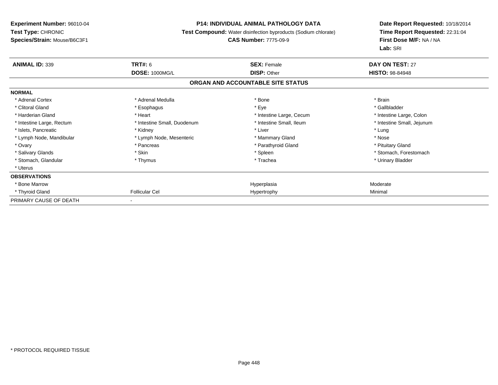## **P14: INDIVIDUAL ANIMAL PATHOLOGY DATA**

**Test Compound:** Water disinfection byproducts (Sodium chlorate)

## **CAS Number:** 7775-09-9

| <b>ANIMAL ID: 339</b>     | <b>TRT#: 6</b>              | <b>SEX: Female</b>                | <b>DAY ON TEST: 27</b>     |  |
|---------------------------|-----------------------------|-----------------------------------|----------------------------|--|
|                           | <b>DOSE: 1000MG/L</b>       | <b>DISP: Other</b>                | <b>HISTO: 98-84948</b>     |  |
|                           |                             | ORGAN AND ACCOUNTABLE SITE STATUS |                            |  |
| <b>NORMAL</b>             |                             |                                   |                            |  |
| * Adrenal Cortex          | * Adrenal Medulla           | * Bone                            | * Brain                    |  |
| * Clitoral Gland          | * Esophagus                 | * Eye                             | * Gallbladder              |  |
| * Harderian Gland         | * Heart                     | * Intestine Large, Cecum          | * Intestine Large, Colon   |  |
| * Intestine Large, Rectum | * Intestine Small, Duodenum | * Intestine Small, Ileum          | * Intestine Small, Jejunum |  |
| * Islets, Pancreatic      | * Kidney                    | * Liver                           | * Lung                     |  |
| * Lymph Node, Mandibular  | * Lymph Node, Mesenteric    | * Mammary Gland                   | * Nose                     |  |
| * Ovary                   | * Pancreas                  | * Parathyroid Gland               | * Pituitary Gland          |  |
| * Salivary Glands         | * Skin                      | * Spleen                          | * Stomach, Forestomach     |  |
| * Stomach, Glandular      | * Thymus                    | * Trachea                         | * Urinary Bladder          |  |
| * Uterus                  |                             |                                   |                            |  |
| <b>OBSERVATIONS</b>       |                             |                                   |                            |  |
| * Bone Marrow             |                             | Hyperplasia                       | Moderate                   |  |
| * Thyroid Gland           | <b>Follicular Cel</b>       | Hypertrophy                       | Minimal                    |  |
| PRIMARY CAUSE OF DEATH    | $\blacksquare$              |                                   |                            |  |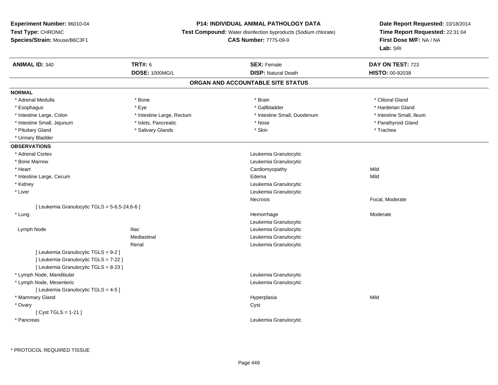## **P14: INDIVIDUAL ANIMAL PATHOLOGY DATA**

**Test Compound:** Water disinfection byproducts (Sodium chlorate)

**CAS Number:** 7775-09-9

| <b>ANIMAL ID: 340</b>                         | <b>TRT#: 6</b>            | <b>SEX: Female</b>                | DAY ON TEST: 723         |
|-----------------------------------------------|---------------------------|-----------------------------------|--------------------------|
|                                               | <b>DOSE: 1000MG/L</b>     | <b>DISP: Natural Death</b>        | HISTO: 00-92038          |
|                                               |                           | ORGAN AND ACCOUNTABLE SITE STATUS |                          |
| <b>NORMAL</b>                                 |                           |                                   |                          |
| * Adrenal Medulla                             | * Bone                    | * Brain                           | * Clitoral Gland         |
| * Esophagus                                   | * Eye                     | * Gallbladder                     | * Harderian Gland        |
| * Intestine Large, Colon                      | * Intestine Large, Rectum | * Intestine Small, Duodenum       | * Intestine Small, Ileum |
| * Intestine Small, Jejunum                    | * Islets, Pancreatic      | * Nose                            | * Parathyroid Gland      |
| * Pituitary Gland                             | * Salivary Glands         | * Skin                            | * Trachea                |
| * Urinary Bladder                             |                           |                                   |                          |
| <b>OBSERVATIONS</b>                           |                           |                                   |                          |
| * Adrenal Cortex                              |                           | Leukemia Granulocytic             |                          |
| * Bone Marrow                                 |                           | Leukemia Granulocytic             |                          |
| * Heart                                       |                           | Cardiomyopathy                    | Mild                     |
| * Intestine Large, Cecum                      |                           | Edema                             | Mild                     |
| * Kidney                                      |                           | Leukemia Granulocytic             |                          |
| * Liver                                       |                           | Leukemia Granulocytic             |                          |
|                                               |                           | Necrosis                          | Focal, Moderate          |
| [ Leukemia Granulocytic TGLS = 5-6,5-24,6-6 ] |                           |                                   |                          |
| * Lung                                        |                           | Hemorrhage                        | Moderate                 |
|                                               |                           | Leukemia Granulocytic             |                          |
| Lymph Node                                    | <b>Iliac</b>              | Leukemia Granulocytic             |                          |
|                                               | Mediastinal               | Leukemia Granulocytic             |                          |
|                                               | Renal                     | Leukemia Granulocytic             |                          |
| [ Leukemia Granulocytic TGLS = 9-2 ]          |                           |                                   |                          |
| [ Leukemia Granulocytic TGLS = 7-22 ]         |                           |                                   |                          |
| [ Leukemia Granulocytic TGLS = 8-23 ]         |                           |                                   |                          |
| * Lymph Node, Mandibular                      |                           | Leukemia Granulocytic             |                          |
| * Lymph Node, Mesenteric                      |                           | Leukemia Granulocytic             |                          |
| [ Leukemia Granulocytic TGLS = 4-5 ]          |                           |                                   |                          |
| * Mammary Gland                               |                           | Hyperplasia                       | Mild                     |
| * Ovary                                       |                           | Cyst                              |                          |
| [ $Cyst TGLS = 1-21$ ]                        |                           |                                   |                          |
| * Pancreas                                    |                           | Leukemia Granulocytic             |                          |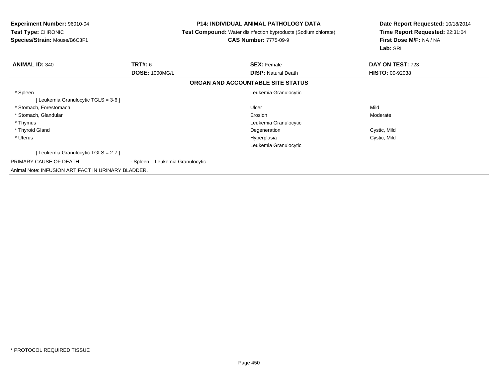| Experiment Number: 96010-04<br><b>Test Type: CHRONIC</b><br>Species/Strain: Mouse/B6C3F1 | <b>P14: INDIVIDUAL ANIMAL PATHOLOGY DATA</b><br><b>Test Compound:</b> Water disinfection byproducts (Sodium chlorate)<br><b>CAS Number: 7775-09-9</b> |                                   | Date Report Requested: 10/18/2014<br>Time Report Requested: 22:31:04<br>First Dose M/F: NA / NA<br>Lab: SRI |  |
|------------------------------------------------------------------------------------------|-------------------------------------------------------------------------------------------------------------------------------------------------------|-----------------------------------|-------------------------------------------------------------------------------------------------------------|--|
| <b>ANIMAL ID: 340</b>                                                                    | <b>TRT#: 6</b>                                                                                                                                        | <b>SEX: Female</b>                | DAY ON TEST: 723                                                                                            |  |
|                                                                                          | <b>DOSE: 1000MG/L</b>                                                                                                                                 | <b>DISP: Natural Death</b>        | <b>HISTO: 00-92038</b>                                                                                      |  |
|                                                                                          |                                                                                                                                                       | ORGAN AND ACCOUNTABLE SITE STATUS |                                                                                                             |  |
| * Spleen                                                                                 |                                                                                                                                                       | Leukemia Granulocytic             |                                                                                                             |  |
| [ Leukemia Granulocytic TGLS = 3-6 ]                                                     |                                                                                                                                                       |                                   |                                                                                                             |  |
| * Stomach, Forestomach                                                                   |                                                                                                                                                       | Ulcer                             | Mild                                                                                                        |  |
| * Stomach, Glandular                                                                     |                                                                                                                                                       | Erosion                           | Moderate                                                                                                    |  |
| * Thymus                                                                                 |                                                                                                                                                       | Leukemia Granulocytic             |                                                                                                             |  |
| * Thyroid Gland                                                                          |                                                                                                                                                       | Degeneration                      | Cystic, Mild                                                                                                |  |
| * Uterus                                                                                 |                                                                                                                                                       | Hyperplasia                       | Cystic, Mild                                                                                                |  |
|                                                                                          |                                                                                                                                                       | Leukemia Granulocytic             |                                                                                                             |  |
| [Leukemia Granulocytic TGLS = 2-7]                                                       |                                                                                                                                                       |                                   |                                                                                                             |  |
| PRIMARY CAUSE OF DEATH                                                                   | - Spleen<br>Leukemia Granulocytic                                                                                                                     |                                   |                                                                                                             |  |
| Animal Note: INFUSION ARTIFACT IN URINARY BLADDER.                                       |                                                                                                                                                       |                                   |                                                                                                             |  |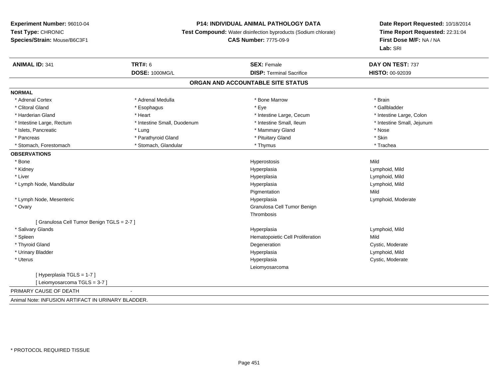#### **P14: INDIVIDUAL ANIMAL PATHOLOGY DATA**

**Test Compound:** Water disinfection byproducts (Sodium chlorate)

## **CAS Number:** 7775-09-9

| <b>ANIMAL ID: 341</b>                              | <b>TRT#: 6</b>              | <b>SEX: Female</b>                | DAY ON TEST: 737           |
|----------------------------------------------------|-----------------------------|-----------------------------------|----------------------------|
|                                                    | <b>DOSE: 1000MG/L</b>       | <b>DISP: Terminal Sacrifice</b>   | <b>HISTO: 00-92039</b>     |
|                                                    |                             | ORGAN AND ACCOUNTABLE SITE STATUS |                            |
| <b>NORMAL</b>                                      |                             |                                   |                            |
| * Adrenal Cortex                                   | * Adrenal Medulla           | * Bone Marrow                     | * Brain                    |
| * Clitoral Gland                                   | * Esophagus                 | * Eye                             | * Gallbladder              |
| * Harderian Gland                                  | * Heart                     | * Intestine Large, Cecum          | * Intestine Large, Colon   |
| * Intestine Large, Rectum                          | * Intestine Small, Duodenum | * Intestine Small, Ileum          | * Intestine Small, Jejunum |
| * Islets, Pancreatic                               | * Lung                      | * Mammary Gland                   | * Nose                     |
| * Pancreas                                         | * Parathyroid Gland         | * Pituitary Gland                 | * Skin                     |
| * Stomach, Forestomach                             | * Stomach, Glandular        | * Thymus                          | * Trachea                  |
| <b>OBSERVATIONS</b>                                |                             |                                   |                            |
| * Bone                                             |                             | Hyperostosis                      | Mild                       |
| * Kidney                                           |                             | Hyperplasia                       | Lymphoid, Mild             |
| * Liver                                            |                             | Hyperplasia                       | Lymphoid, Mild             |
| * Lymph Node, Mandibular                           |                             | Hyperplasia                       | Lymphoid, Mild             |
|                                                    |                             | Pigmentation                      | Mild                       |
| * Lymph Node, Mesenteric                           |                             | Hyperplasia                       | Lymphoid, Moderate         |
| * Ovary                                            |                             | Granulosa Cell Tumor Benign       |                            |
|                                                    |                             | Thrombosis                        |                            |
| [ Granulosa Cell Tumor Benign TGLS = 2-7 ]         |                             |                                   |                            |
| * Salivary Glands                                  |                             | Hyperplasia                       | Lymphoid, Mild             |
| * Spleen                                           |                             | Hematopoietic Cell Proliferation  | Mild                       |
| * Thyroid Gland                                    |                             | Degeneration                      | Cystic, Moderate           |
| * Urinary Bladder                                  |                             | Hyperplasia                       | Lymphoid, Mild             |
| * Uterus                                           |                             | Hyperplasia                       | Cystic, Moderate           |
|                                                    |                             | Leiomyosarcoma                    |                            |
| [Hyperplasia TGLS = 1-7]                           |                             |                                   |                            |
| [ Leiomyosarcoma TGLS = 3-7 ]                      |                             |                                   |                            |
| PRIMARY CAUSE OF DEATH                             |                             |                                   |                            |
| Animal Note: INFUSION ARTIFACT IN URINARY BLADDER. |                             |                                   |                            |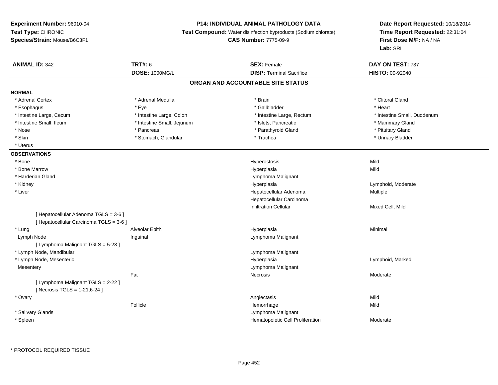#### **P14: INDIVIDUAL ANIMAL PATHOLOGY DATA**

**Test Compound:** Water disinfection byproducts (Sodium chlorate)

**CAS Number:** 7775-09-9

| <b>ANIMAL ID: 342</b>                                                 | <b>TRT#: 6</b>                    | <b>SEX: Female</b>               | DAY ON TEST: 737            |  |  |  |  |  |
|-----------------------------------------------------------------------|-----------------------------------|----------------------------------|-----------------------------|--|--|--|--|--|
|                                                                       | <b>DOSE: 1000MG/L</b>             | <b>DISP: Terminal Sacrifice</b>  | HISTO: 00-92040             |  |  |  |  |  |
|                                                                       | ORGAN AND ACCOUNTABLE SITE STATUS |                                  |                             |  |  |  |  |  |
| <b>NORMAL</b>                                                         |                                   |                                  |                             |  |  |  |  |  |
| * Adrenal Cortex                                                      | * Adrenal Medulla                 | * Brain                          | * Clitoral Gland            |  |  |  |  |  |
| * Esophagus                                                           | * Eye                             | * Gallbladder                    | * Heart                     |  |  |  |  |  |
| * Intestine Large, Cecum                                              | * Intestine Large, Colon          | * Intestine Large, Rectum        | * Intestine Small, Duodenum |  |  |  |  |  |
| * Intestine Small, Ileum                                              | * Intestine Small, Jejunum        | * Islets, Pancreatic             | * Mammary Gland             |  |  |  |  |  |
| * Nose                                                                | * Pancreas                        | * Parathyroid Gland              | * Pituitary Gland           |  |  |  |  |  |
| * Skin                                                                | * Stomach, Glandular              | * Trachea                        | * Urinary Bladder           |  |  |  |  |  |
| * Uterus                                                              |                                   |                                  |                             |  |  |  |  |  |
| <b>OBSERVATIONS</b>                                                   |                                   |                                  |                             |  |  |  |  |  |
| * Bone                                                                |                                   | Hyperostosis                     | Mild                        |  |  |  |  |  |
| * Bone Marrow                                                         |                                   | Hyperplasia                      | Mild                        |  |  |  |  |  |
| * Harderian Gland                                                     |                                   | Lymphoma Malignant               |                             |  |  |  |  |  |
| * Kidney                                                              |                                   | Hyperplasia                      | Lymphoid, Moderate          |  |  |  |  |  |
| * Liver                                                               |                                   | Hepatocellular Adenoma           | Multiple                    |  |  |  |  |  |
|                                                                       |                                   | Hepatocellular Carcinoma         |                             |  |  |  |  |  |
|                                                                       |                                   | <b>Infiltration Cellular</b>     | Mixed Cell, Mild            |  |  |  |  |  |
| [ Hepatocellular Adenoma TGLS = 3-6 ]                                 |                                   |                                  |                             |  |  |  |  |  |
| [ Hepatocellular Carcinoma TGLS = 3-6 ]                               |                                   |                                  |                             |  |  |  |  |  |
| * Lung                                                                | Alveolar Epith                    | Hyperplasia                      | Minimal                     |  |  |  |  |  |
| Lymph Node                                                            | Inguinal                          | Lymphoma Malignant               |                             |  |  |  |  |  |
| [ Lymphoma Malignant TGLS = 5-23 ]                                    |                                   |                                  |                             |  |  |  |  |  |
| * Lymph Node, Mandibular                                              |                                   | Lymphoma Malignant               |                             |  |  |  |  |  |
| * Lymph Node, Mesenteric                                              |                                   | Hyperplasia                      | Lymphoid, Marked            |  |  |  |  |  |
| Mesentery                                                             |                                   | Lymphoma Malignant               |                             |  |  |  |  |  |
|                                                                       | Fat                               | Necrosis                         | Moderate                    |  |  |  |  |  |
| [ Lymphoma Malignant TGLS = 2-22 ]<br>[ Necrosis TGLS = $1-21,6-24$ ] |                                   |                                  |                             |  |  |  |  |  |
| * Ovary                                                               |                                   | Angiectasis                      | Mild                        |  |  |  |  |  |
|                                                                       | Follicle                          | Hemorrhage                       | Mild                        |  |  |  |  |  |
| * Salivary Glands                                                     |                                   | Lymphoma Malignant               |                             |  |  |  |  |  |
| * Spleen                                                              |                                   | Hematopoietic Cell Proliferation | Moderate                    |  |  |  |  |  |
|                                                                       |                                   |                                  |                             |  |  |  |  |  |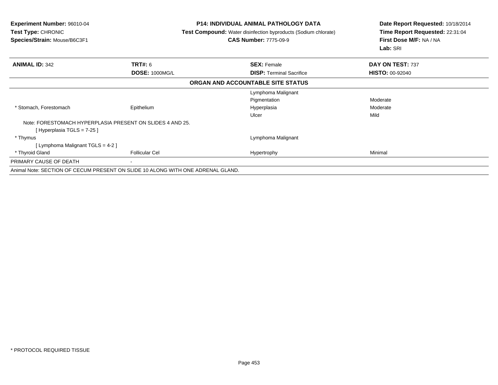| <b>Experiment Number: 96010-04</b><br><b>Test Type: CHRONIC</b><br>Species/Strain: Mouse/B6C3F1 |                                                                                 | <b>P14: INDIVIDUAL ANIMAL PATHOLOGY DATA</b><br>Test Compound: Water disinfection byproducts (Sodium chlorate)<br><b>CAS Number: 7775-09-9</b> | Date Report Requested: 10/18/2014<br>Time Report Requested: 22:31:04<br>First Dose M/F: NA / NA<br>Lab: SRI |  |
|-------------------------------------------------------------------------------------------------|---------------------------------------------------------------------------------|------------------------------------------------------------------------------------------------------------------------------------------------|-------------------------------------------------------------------------------------------------------------|--|
| <b>ANIMAL ID: 342</b>                                                                           | <b>TRT#: 6</b>                                                                  | <b>SEX: Female</b>                                                                                                                             | DAY ON TEST: 737                                                                                            |  |
|                                                                                                 | <b>DOSE: 1000MG/L</b>                                                           | <b>DISP:</b> Terminal Sacrifice                                                                                                                | <b>HISTO: 00-92040</b>                                                                                      |  |
|                                                                                                 |                                                                                 | ORGAN AND ACCOUNTABLE SITE STATUS                                                                                                              |                                                                                                             |  |
|                                                                                                 |                                                                                 | Lymphoma Malignant                                                                                                                             |                                                                                                             |  |
|                                                                                                 |                                                                                 | Pigmentation                                                                                                                                   | Moderate                                                                                                    |  |
| * Stomach, Forestomach                                                                          | Epithelium                                                                      | Hyperplasia                                                                                                                                    | Moderate                                                                                                    |  |
|                                                                                                 |                                                                                 | Ulcer                                                                                                                                          | Mild                                                                                                        |  |
|                                                                                                 | Note: FORESTOMACH HYPERPLASIA PRESENT ON SLIDES 4 AND 25.                       |                                                                                                                                                |                                                                                                             |  |
| [Hyperplasia TGLS = 7-25 ]                                                                      |                                                                                 |                                                                                                                                                |                                                                                                             |  |
| * Thymus                                                                                        |                                                                                 | Lymphoma Malignant                                                                                                                             |                                                                                                             |  |
| [Lymphoma Malignant TGLS = 4-2]                                                                 |                                                                                 |                                                                                                                                                |                                                                                                             |  |
| * Thyroid Gland                                                                                 | <b>Follicular Cel</b>                                                           | Hypertrophy                                                                                                                                    | Minimal                                                                                                     |  |
| PRIMARY CAUSE OF DEATH                                                                          | $\overline{\phantom{a}}$                                                        |                                                                                                                                                |                                                                                                             |  |
|                                                                                                 | Animal Note: SECTION OF CECUM PRESENT ON SLIDE 10 ALONG WITH ONE ADRENAL GLAND. |                                                                                                                                                |                                                                                                             |  |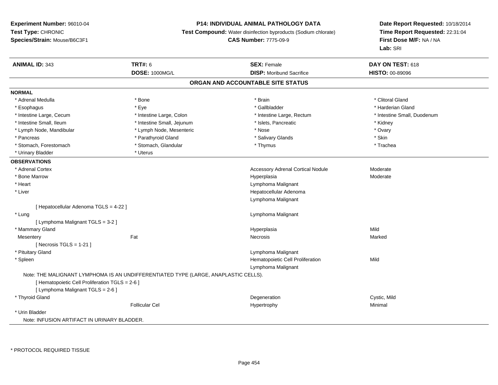## **P14: INDIVIDUAL ANIMAL PATHOLOGY DATA**

**Test Compound:** Water disinfection byproducts (Sodium chlorate)

**CAS Number:** 7775-09-9

| <b>ANIMAL ID: 343</b>                           | <b>TRT#: 6</b>                                                                      | <b>SEX: Female</b>                       | DAY ON TEST: 618            |  |  |  |  |
|-------------------------------------------------|-------------------------------------------------------------------------------------|------------------------------------------|-----------------------------|--|--|--|--|
|                                                 | DOSE: 1000MG/L                                                                      | <b>DISP:</b> Moribund Sacrifice          | HISTO: 00-89096             |  |  |  |  |
| ORGAN AND ACCOUNTABLE SITE STATUS               |                                                                                     |                                          |                             |  |  |  |  |
| <b>NORMAL</b>                                   |                                                                                     |                                          |                             |  |  |  |  |
| * Adrenal Medulla                               | * Bone                                                                              | * Brain                                  | * Clitoral Gland            |  |  |  |  |
| * Esophagus                                     | * Eye                                                                               | * Gallbladder                            | * Harderian Gland           |  |  |  |  |
| * Intestine Large, Cecum                        | * Intestine Large, Colon                                                            | * Intestine Large, Rectum                | * Intestine Small, Duodenum |  |  |  |  |
| * Intestine Small, Ileum                        | * Intestine Small, Jejunum                                                          | * Islets, Pancreatic                     | * Kidney                    |  |  |  |  |
| * Lymph Node, Mandibular                        | * Lymph Node, Mesenteric                                                            | * Nose                                   | * Ovary                     |  |  |  |  |
| * Pancreas                                      | * Parathyroid Gland                                                                 | * Salivary Glands                        | * Skin                      |  |  |  |  |
| * Stomach, Forestomach                          | * Stomach, Glandular                                                                | * Thymus                                 | * Trachea                   |  |  |  |  |
| * Urinary Bladder                               | * Uterus                                                                            |                                          |                             |  |  |  |  |
| <b>OBSERVATIONS</b>                             |                                                                                     |                                          |                             |  |  |  |  |
| * Adrenal Cortex                                |                                                                                     | <b>Accessory Adrenal Cortical Nodule</b> | Moderate                    |  |  |  |  |
| * Bone Marrow                                   |                                                                                     | Hyperplasia                              | Moderate                    |  |  |  |  |
| * Heart                                         |                                                                                     | Lymphoma Malignant                       |                             |  |  |  |  |
| * Liver                                         |                                                                                     | Hepatocellular Adenoma                   |                             |  |  |  |  |
|                                                 |                                                                                     | Lymphoma Malignant                       |                             |  |  |  |  |
| [ Hepatocellular Adenoma TGLS = 4-22 ]          |                                                                                     |                                          |                             |  |  |  |  |
| * Lung                                          |                                                                                     | Lymphoma Malignant                       |                             |  |  |  |  |
| [ Lymphoma Malignant TGLS = 3-2 ]               |                                                                                     |                                          |                             |  |  |  |  |
| * Mammary Gland                                 |                                                                                     | Hyperplasia                              | Mild                        |  |  |  |  |
| Mesentery                                       | Fat                                                                                 | Necrosis                                 | Marked                      |  |  |  |  |
| [ Necrosis TGLS = $1-21$ ]                      |                                                                                     |                                          |                             |  |  |  |  |
| * Pituitary Gland                               |                                                                                     | Lymphoma Malignant                       |                             |  |  |  |  |
| * Spleen                                        |                                                                                     | Hematopoietic Cell Proliferation         | Mild                        |  |  |  |  |
|                                                 |                                                                                     | Lymphoma Malignant                       |                             |  |  |  |  |
|                                                 | Note: THE MALIGNANT LYMPHOMA IS AN UNDIFFERENTIATED TYPE (LARGE, ANAPLASTIC CELLS). |                                          |                             |  |  |  |  |
| [ Hematopoietic Cell Proliferation TGLS = 2-6 ] |                                                                                     |                                          |                             |  |  |  |  |
| [ Lymphoma Malignant TGLS = 2-6 ]               |                                                                                     |                                          |                             |  |  |  |  |
| * Thyroid Gland                                 |                                                                                     | Degeneration                             | Cystic, Mild                |  |  |  |  |
|                                                 | Follicular Cel                                                                      | Hypertrophy                              | Minimal                     |  |  |  |  |
| * Urin Bladder                                  |                                                                                     |                                          |                             |  |  |  |  |
| Note: INFUSION ARTIFACT IN URINARY BLADDER.     |                                                                                     |                                          |                             |  |  |  |  |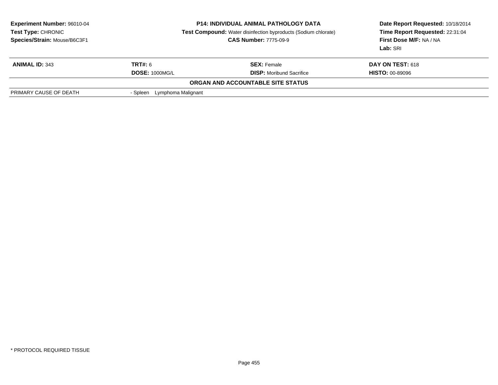| <b>Experiment Number: 96010-04</b><br>Test Type: CHRONIC<br>Species/Strain: Mouse/B6C3F1 | <b>P14: INDIVIDUAL ANIMAL PATHOLOGY DATA</b><br><b>Test Compound:</b> Water disinfection byproducts (Sodium chlorate)<br><b>CAS Number: 7775-09-9</b> |                                   | Date Report Requested: 10/18/2014<br>Time Report Requested: 22:31:04<br>First Dose M/F: NA / NA<br>Lab: SRI |
|------------------------------------------------------------------------------------------|-------------------------------------------------------------------------------------------------------------------------------------------------------|-----------------------------------|-------------------------------------------------------------------------------------------------------------|
| <b>ANIMAL ID: 343</b>                                                                    | <b>TRT#: 6</b>                                                                                                                                        | <b>SEX:</b> Female                | <b>DAY ON TEST: 618</b>                                                                                     |
|                                                                                          | <b>DOSE: 1000MG/L</b>                                                                                                                                 | <b>DISP:</b> Moribund Sacrifice   | <b>HISTO: 00-89096</b>                                                                                      |
|                                                                                          |                                                                                                                                                       | ORGAN AND ACCOUNTABLE SITE STATUS |                                                                                                             |
| PRIMARY CAUSE OF DEATH                                                                   | Lymphoma Malignant<br>- Spleen                                                                                                                        |                                   |                                                                                                             |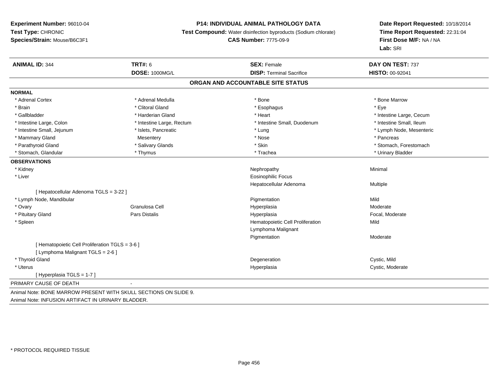#### **P14: INDIVIDUAL ANIMAL PATHOLOGY DATA**

**Test Compound:** Water disinfection byproducts (Sodium chlorate)

#### **CAS Number:** 7775-09-9

**Date Report Requested:** 10/18/2014**Time Report Requested:** 22:31:04**First Dose M/F:** NA / NA**Lab:** SRI

| <b>ANIMAL ID: 344</b>                                            | <b>TRT#: 6</b><br>DOSE: 1000MG/L | <b>SEX: Female</b><br><b>DISP: Terminal Sacrifice</b> | DAY ON TEST: 737<br><b>HISTO: 00-92041</b> |  |  |
|------------------------------------------------------------------|----------------------------------|-------------------------------------------------------|--------------------------------------------|--|--|
| ORGAN AND ACCOUNTABLE SITE STATUS                                |                                  |                                                       |                                            |  |  |
| <b>NORMAL</b>                                                    |                                  |                                                       |                                            |  |  |
| * Adrenal Cortex                                                 | * Adrenal Medulla                | * Bone                                                | * Bone Marrow                              |  |  |
| * Brain                                                          | * Clitoral Gland                 | * Esophagus                                           | * Eve                                      |  |  |
| * Gallbladder                                                    | * Harderian Gland                | * Heart                                               | * Intestine Large, Cecum                   |  |  |
| * Intestine Large, Colon                                         | * Intestine Large, Rectum        | * Intestine Small, Duodenum                           | * Intestine Small, Ileum                   |  |  |
| * Intestine Small, Jejunum                                       | * Islets, Pancreatic             | * Lung                                                | * Lymph Node, Mesenteric                   |  |  |
| * Mammary Gland                                                  | Mesentery                        | * Nose                                                | * Pancreas                                 |  |  |
| * Parathyroid Gland                                              | * Salivary Glands                | * Skin                                                | * Stomach, Forestomach                     |  |  |
| * Stomach, Glandular                                             | * Thymus                         | * Trachea                                             | * Urinary Bladder                          |  |  |
| <b>OBSERVATIONS</b>                                              |                                  |                                                       |                                            |  |  |
| * Kidney                                                         |                                  | Nephropathy                                           | Minimal                                    |  |  |
| * Liver                                                          |                                  | <b>Eosinophilic Focus</b>                             |                                            |  |  |
|                                                                  |                                  | Hepatocellular Adenoma                                | Multiple                                   |  |  |
| [ Hepatocellular Adenoma TGLS = 3-22 ]                           |                                  |                                                       |                                            |  |  |
| * Lymph Node, Mandibular                                         |                                  | Pigmentation                                          | Mild                                       |  |  |
| * Ovary                                                          | Granulosa Cell                   | Hyperplasia                                           | Moderate                                   |  |  |
| * Pituitary Gland                                                | <b>Pars Distalis</b>             | Hyperplasia                                           | Focal, Moderate                            |  |  |
| * Spleen                                                         |                                  | Hematopoietic Cell Proliferation                      | Mild                                       |  |  |
|                                                                  |                                  | Lymphoma Malignant                                    |                                            |  |  |
|                                                                  |                                  | Pigmentation                                          | Moderate                                   |  |  |
| [ Hematopoietic Cell Proliferation TGLS = 3-6 ]                  |                                  |                                                       |                                            |  |  |
| [ Lymphoma Malignant TGLS = 2-6 ]                                |                                  |                                                       |                                            |  |  |
| * Thyroid Gland                                                  |                                  | Degeneration                                          | Cystic, Mild                               |  |  |
| * Uterus                                                         |                                  | Hyperplasia                                           | Cystic, Moderate                           |  |  |
| [Hyperplasia TGLS = 1-7]                                         |                                  |                                                       |                                            |  |  |
| PRIMARY CAUSE OF DEATH                                           |                                  |                                                       |                                            |  |  |
| Animal Note: BONE MARROW PRESENT WITH SKULL SECTIONS ON SLIDE 9. |                                  |                                                       |                                            |  |  |
|                                                                  |                                  |                                                       |                                            |  |  |

Animal Note: INFUSION ARTIFACT IN URINARY BLADDER.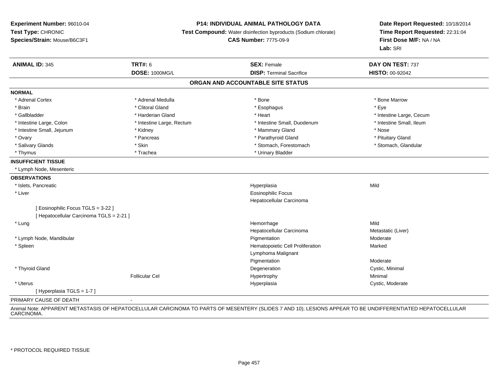#### **P14: INDIVIDUAL ANIMAL PATHOLOGY DATA**

**Test Compound:** Water disinfection byproducts (Sodium chlorate)

**CAS Number:** 7775-09-9

**Date Report Requested:** 10/18/2014**Time Report Requested:** 22:31:04**First Dose M/F:** NA / NA**Lab:** SRI

| <b>ANIMAL ID: 345</b>                    | <b>TRT#: 6</b>            | <b>SEX: Female</b>                | DAY ON TEST: 737         |
|------------------------------------------|---------------------------|-----------------------------------|--------------------------|
|                                          | <b>DOSE: 1000MG/L</b>     | <b>DISP: Terminal Sacrifice</b>   | <b>HISTO: 00-92042</b>   |
|                                          |                           | ORGAN AND ACCOUNTABLE SITE STATUS |                          |
| <b>NORMAL</b>                            |                           |                                   |                          |
| * Adrenal Cortex                         | * Adrenal Medulla         | * Bone                            | * Bone Marrow            |
| * Brain                                  | * Clitoral Gland          | * Esophagus                       | * Eye                    |
| * Gallbladder                            | * Harderian Gland         | * Heart                           | * Intestine Large, Cecum |
| * Intestine Large, Colon                 | * Intestine Large, Rectum | * Intestine Small, Duodenum       | * Intestine Small, Ileum |
| * Intestine Small, Jejunum               | * Kidney                  | * Mammary Gland                   | * Nose                   |
| * Ovary                                  | * Pancreas                | * Parathyroid Gland               | * Pituitary Gland        |
| * Salivary Glands                        | * Skin                    | * Stomach, Forestomach            | * Stomach, Glandular     |
| * Thymus                                 | * Trachea                 | * Urinary Bladder                 |                          |
| <b>INSUFFICIENT TISSUE</b>               |                           |                                   |                          |
| * Lymph Node, Mesenteric                 |                           |                                   |                          |
| <b>OBSERVATIONS</b>                      |                           |                                   |                          |
| * Islets, Pancreatic                     |                           | Hyperplasia                       | Mild                     |
| * Liver                                  |                           | Eosinophilic Focus                |                          |
|                                          |                           | Hepatocellular Carcinoma          |                          |
| [Eosinophilic Focus TGLS = 3-22]         |                           |                                   |                          |
| [ Hepatocellular Carcinoma TGLS = 2-21 ] |                           |                                   |                          |
| * Lung                                   |                           | Hemorrhage                        | Mild                     |
|                                          |                           | Hepatocellular Carcinoma          | Metastatic (Liver)       |
| * Lymph Node, Mandibular                 |                           | Pigmentation                      | Moderate                 |
| * Spleen                                 |                           | Hematopoietic Cell Proliferation  | Marked                   |
|                                          |                           | Lymphoma Malignant                |                          |
|                                          |                           | Pigmentation                      | Moderate                 |
| * Thyroid Gland                          |                           | Degeneration                      | Cystic, Minimal          |
|                                          | <b>Follicular Cel</b>     | Hypertrophy                       | Minimal                  |
| * Uterus                                 |                           | Hyperplasia                       | Cystic, Moderate         |
| [Hyperplasia TGLS = 1-7]                 |                           |                                   |                          |

#### PRIMARY CAUSE OF DEATH-

Animal Note: APPARENT METASTASIS OF HEPATOCELLULAR CARCINOMA TO PARTS OF MESENTERY (SLIDES 7 AND 10); LESIONS APPEAR TO BE UNDIFFERENTIATED HEPATOCELLULARCARCINOMA.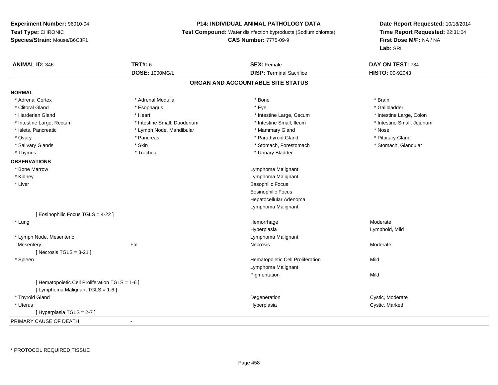## **P14: INDIVIDUAL ANIMAL PATHOLOGY DATA**

**Test Compound:** Water disinfection byproducts (Sodium chlorate)

## **CAS Number:** 7775-09-9

| <b>ANIMAL ID: 346</b>                           | <b>TRT#: 6</b>              | <b>SEX: Female</b>                | DAY ON TEST: 734           |
|-------------------------------------------------|-----------------------------|-----------------------------------|----------------------------|
|                                                 | <b>DOSE: 1000MG/L</b>       | <b>DISP: Terminal Sacrifice</b>   | <b>HISTO: 00-92043</b>     |
|                                                 |                             | ORGAN AND ACCOUNTABLE SITE STATUS |                            |
| <b>NORMAL</b>                                   |                             |                                   |                            |
| * Adrenal Cortex                                | * Adrenal Medulla           | * Bone                            | * Brain                    |
| * Clitoral Gland                                | * Esophagus                 | * Eye                             | * Gallbladder              |
| * Harderian Gland                               | * Heart                     | * Intestine Large, Cecum          | * Intestine Large, Colon   |
| * Intestine Large, Rectum                       | * Intestine Small, Duodenum | * Intestine Small, Ileum          | * Intestine Small, Jejunum |
| * Islets, Pancreatic                            | * Lymph Node, Mandibular    | * Mammary Gland                   | * Nose                     |
| * Ovary                                         | * Pancreas                  | * Parathyroid Gland               | * Pituitary Gland          |
| * Salivary Glands                               | * Skin                      | * Stomach, Forestomach            | * Stomach, Glandular       |
| * Thymus                                        | * Trachea                   | * Urinary Bladder                 |                            |
| <b>OBSERVATIONS</b>                             |                             |                                   |                            |
| * Bone Marrow                                   |                             | Lymphoma Malignant                |                            |
| * Kidney                                        |                             | Lymphoma Malignant                |                            |
| * Liver                                         |                             | <b>Basophilic Focus</b>           |                            |
|                                                 |                             | <b>Eosinophilic Focus</b>         |                            |
|                                                 |                             | Hepatocellular Adenoma            |                            |
|                                                 |                             | Lymphoma Malignant                |                            |
| [Eosinophilic Focus TGLS = 4-22]                |                             |                                   |                            |
| * Lung                                          |                             | Hemorrhage                        | Moderate                   |
|                                                 |                             | Hyperplasia                       | Lymphoid, Mild             |
| * Lymph Node, Mesenteric                        |                             | Lymphoma Malignant                |                            |
| Mesentery                                       | Fat                         | Necrosis                          | Moderate                   |
| [ Necrosis TGLS = $3-21$ ]                      |                             |                                   |                            |
| * Spleen                                        |                             | Hematopoietic Cell Proliferation  | Mild                       |
|                                                 |                             | Lymphoma Malignant                |                            |
|                                                 |                             | Pigmentation                      | Mild                       |
| [ Hematopoietic Cell Proliferation TGLS = 1-6 ] |                             |                                   |                            |
| [ Lymphoma Malignant TGLS = 1-6 ]               |                             |                                   |                            |
| * Thyroid Gland                                 |                             | Degeneration                      | Cystic, Moderate           |
| * Uterus                                        |                             | Hyperplasia                       | Cystic, Marked             |
| [ Hyperplasia TGLS = 2-7 ]                      |                             |                                   |                            |
| PRIMARY CAUSE OF DEATH                          | $\sim$                      |                                   |                            |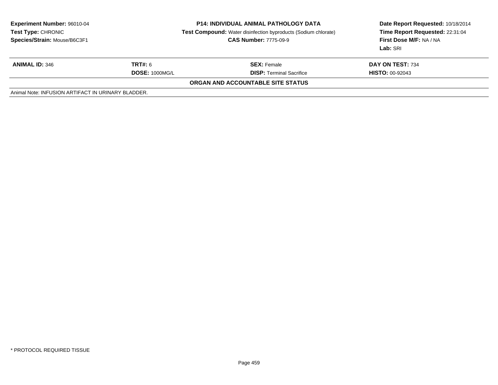| <b>Experiment Number: 96010-04</b><br>Test Type: CHRONIC<br>Species/Strain: Mouse/B6C3F1 | <b>P14: INDIVIDUAL ANIMAL PATHOLOGY DATA</b><br><b>Test Compound:</b> Water disinfection byproducts (Sodium chlorate)<br><b>CAS Number: 7775-09-9</b> |                                   | Date Report Requested: 10/18/2014<br>Time Report Requested: 22:31:04<br>First Dose M/F: NA / NA<br>Lab: SRI |
|------------------------------------------------------------------------------------------|-------------------------------------------------------------------------------------------------------------------------------------------------------|-----------------------------------|-------------------------------------------------------------------------------------------------------------|
| <b>ANIMAL ID: 346</b>                                                                    | <b>TRT#: 6</b>                                                                                                                                        | <b>SEX:</b> Female                | DAY ON TEST: 734                                                                                            |
|                                                                                          | <b>DOSE: 1000MG/L</b>                                                                                                                                 | <b>DISP:</b> Terminal Sacrifice   | <b>HISTO: 00-92043</b>                                                                                      |
|                                                                                          |                                                                                                                                                       | ORGAN AND ACCOUNTABLE SITE STATUS |                                                                                                             |
| Animal Note: INFUSION ARTIFACT IN URINARY BLADDER.                                       |                                                                                                                                                       |                                   |                                                                                                             |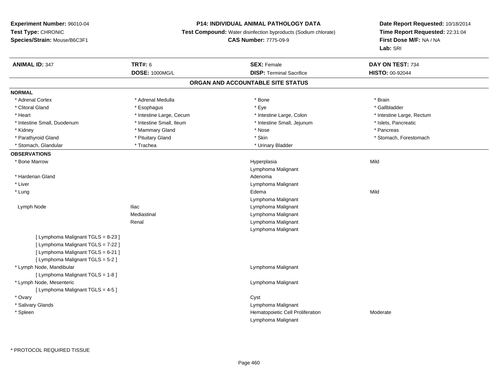#### **P14: INDIVIDUAL ANIMAL PATHOLOGY DATA**

**Test Compound:** Water disinfection byproducts (Sodium chlorate)

#### **CAS Number:** 7775-09-9

| <b>ANIMAL ID: 347</b>              | <b>TRT#: 6</b>           | <b>SEX: Female</b>                | DAY ON TEST: 734          |
|------------------------------------|--------------------------|-----------------------------------|---------------------------|
|                                    | DOSE: 1000MG/L           | <b>DISP: Terminal Sacrifice</b>   | HISTO: 00-92044           |
|                                    |                          | ORGAN AND ACCOUNTABLE SITE STATUS |                           |
| <b>NORMAL</b>                      |                          |                                   |                           |
| * Adrenal Cortex                   | * Adrenal Medulla        | * Bone                            | * Brain                   |
| * Clitoral Gland                   | * Esophagus              | * Eye                             | * Gallbladder             |
| * Heart                            | * Intestine Large, Cecum | * Intestine Large, Colon          | * Intestine Large, Rectum |
| * Intestine Small, Duodenum        | * Intestine Small, Ileum | * Intestine Small, Jejunum        | * Islets, Pancreatic      |
| * Kidney                           | * Mammary Gland          | * Nose                            | * Pancreas                |
| * Parathyroid Gland                | * Pituitary Gland        | * Skin                            | * Stomach, Forestomach    |
| * Stomach, Glandular               | * Trachea                | * Urinary Bladder                 |                           |
| <b>OBSERVATIONS</b>                |                          |                                   |                           |
| * Bone Marrow                      |                          | Hyperplasia                       | Mild                      |
|                                    |                          | Lymphoma Malignant                |                           |
| * Harderian Gland                  |                          | Adenoma                           |                           |
| * Liver                            |                          | Lymphoma Malignant                |                           |
| * Lung                             |                          | Edema                             | Mild                      |
|                                    |                          | Lymphoma Malignant                |                           |
| Lymph Node                         | <b>Iliac</b>             | Lymphoma Malignant                |                           |
|                                    | Mediastinal              | Lymphoma Malignant                |                           |
|                                    | Renal                    | Lymphoma Malignant                |                           |
|                                    |                          | Lymphoma Malignant                |                           |
| [ Lymphoma Malignant TGLS = 8-23 ] |                          |                                   |                           |
| [ Lymphoma Malignant TGLS = 7-22 ] |                          |                                   |                           |
| [ Lymphoma Malignant TGLS = 6-21 ] |                          |                                   |                           |
| [ Lymphoma Malignant TGLS = 5-2 ]  |                          |                                   |                           |
| * Lymph Node, Mandibular           |                          | Lymphoma Malignant                |                           |
| [ Lymphoma Malignant TGLS = 1-8 ]  |                          |                                   |                           |
| * Lymph Node, Mesenteric           |                          | Lymphoma Malignant                |                           |
| [ Lymphoma Malignant TGLS = 4-5 ]  |                          |                                   |                           |
| * Ovary                            |                          | Cyst                              |                           |
| * Salivary Glands                  |                          | Lymphoma Malignant                |                           |
| * Spleen                           |                          | Hematopoietic Cell Proliferation  | Moderate                  |
|                                    |                          | Lymphoma Malignant                |                           |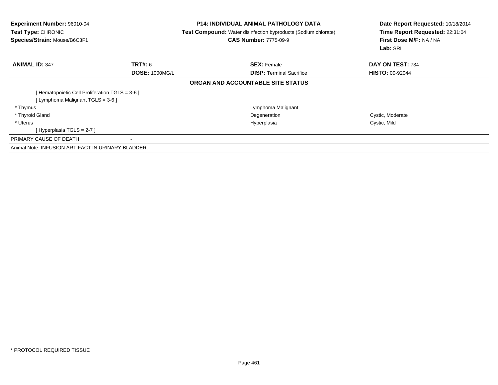| <b>Experiment Number: 96010-04</b><br>Test Type: CHRONIC<br>Species/Strain: Mouse/B6C3F1 |                       | <b>P14: INDIVIDUAL ANIMAL PATHOLOGY DATA</b><br><b>Test Compound:</b> Water disinfection byproducts (Sodium chlorate)<br><b>CAS Number: 7775-09-9</b> | Date Report Requested: 10/18/2014<br>Time Report Requested: 22:31:04<br>First Dose M/F: NA / NA<br>Lab: SRI |  |
|------------------------------------------------------------------------------------------|-----------------------|-------------------------------------------------------------------------------------------------------------------------------------------------------|-------------------------------------------------------------------------------------------------------------|--|
| <b>ANIMAL ID: 347</b>                                                                    | <b>TRT#: 6</b>        | <b>SEX: Female</b>                                                                                                                                    | DAY ON TEST: 734                                                                                            |  |
|                                                                                          | <b>DOSE: 1000MG/L</b> | <b>DISP:</b> Terminal Sacrifice                                                                                                                       | <b>HISTO: 00-92044</b>                                                                                      |  |
|                                                                                          |                       | ORGAN AND ACCOUNTABLE SITE STATUS                                                                                                                     |                                                                                                             |  |
| Hematopoietic Cell Proliferation TGLS = 3-6 ]                                            |                       |                                                                                                                                                       |                                                                                                             |  |
| [Lymphoma Malignant TGLS = 3-6 ]                                                         |                       |                                                                                                                                                       |                                                                                                             |  |
| * Thymus                                                                                 |                       | Lymphoma Malignant                                                                                                                                    |                                                                                                             |  |
| * Thyroid Gland                                                                          |                       | Degeneration                                                                                                                                          | Cystic, Moderate                                                                                            |  |
| * Uterus                                                                                 |                       | Hyperplasia                                                                                                                                           | Cystic, Mild                                                                                                |  |
| [Hyperplasia TGLS = 2-7]                                                                 |                       |                                                                                                                                                       |                                                                                                             |  |
| PRIMARY CAUSE OF DEATH                                                                   |                       |                                                                                                                                                       |                                                                                                             |  |
| Animal Note: INFUSION ARTIFACT IN URINARY BLADDER.                                       |                       |                                                                                                                                                       |                                                                                                             |  |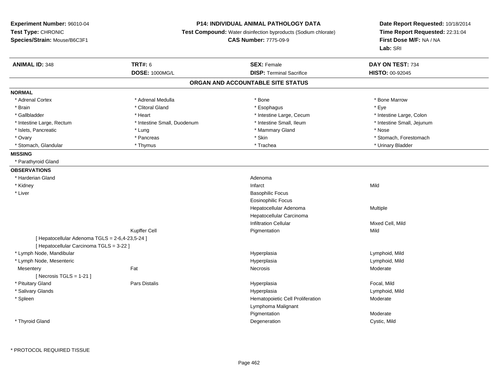## **P14: INDIVIDUAL ANIMAL PATHOLOGY DATA**

**Test Compound:** Water disinfection byproducts (Sodium chlorate)

**CAS Number:** 7775-09-9

| <b>ANIMAL ID: 348</b>                           | <b>TRT#: 6</b>              | <b>SEX: Female</b>                | DAY ON TEST: 734           |  |
|-------------------------------------------------|-----------------------------|-----------------------------------|----------------------------|--|
|                                                 | <b>DOSE: 1000MG/L</b>       | <b>DISP: Terminal Sacrifice</b>   | HISTO: 00-92045            |  |
|                                                 |                             | ORGAN AND ACCOUNTABLE SITE STATUS |                            |  |
| <b>NORMAL</b>                                   |                             |                                   |                            |  |
| * Adrenal Cortex                                | * Adrenal Medulla           | * Bone                            | * Bone Marrow              |  |
| * Brain                                         | * Clitoral Gland            | * Esophagus                       | * Eye                      |  |
| * Gallbladder                                   | * Heart                     | * Intestine Large, Cecum          | * Intestine Large, Colon   |  |
| * Intestine Large, Rectum                       | * Intestine Small, Duodenum | * Intestine Small, Ileum          | * Intestine Small, Jejunum |  |
| * Islets, Pancreatic                            | * Lung                      | * Mammary Gland                   | * Nose                     |  |
| * Ovary                                         | * Pancreas                  | * Skin                            | * Stomach, Forestomach     |  |
| * Stomach, Glandular                            | * Thymus                    | * Trachea                         | * Urinary Bladder          |  |
| <b>MISSING</b>                                  |                             |                                   |                            |  |
| * Parathyroid Gland                             |                             |                                   |                            |  |
| <b>OBSERVATIONS</b>                             |                             |                                   |                            |  |
| * Harderian Gland                               |                             | Adenoma                           |                            |  |
| * Kidney                                        |                             | Infarct                           | Mild                       |  |
| * Liver                                         |                             | <b>Basophilic Focus</b>           |                            |  |
|                                                 |                             | <b>Eosinophilic Focus</b>         |                            |  |
|                                                 |                             | Hepatocellular Adenoma            | Multiple                   |  |
|                                                 |                             | Hepatocellular Carcinoma          |                            |  |
|                                                 |                             | <b>Infiltration Cellular</b>      | Mixed Cell, Mild           |  |
|                                                 | Kupffer Cell                | Pigmentation                      | Mild                       |  |
| [ Hepatocellular Adenoma TGLS = 2-6,4-23,5-24 ] |                             |                                   |                            |  |
| [ Hepatocellular Carcinoma TGLS = 3-22 ]        |                             |                                   |                            |  |
| * Lymph Node, Mandibular                        |                             | Hyperplasia                       | Lymphoid, Mild             |  |
| * Lymph Node, Mesenteric                        |                             | Hyperplasia                       | Lymphoid, Mild             |  |
| Mesentery                                       | Fat                         | Necrosis                          | Moderate                   |  |
| [Necrosis TGLS = 1-21]                          |                             |                                   |                            |  |
| * Pituitary Gland                               | <b>Pars Distalis</b>        | Hyperplasia                       | Focal, Mild                |  |
| * Salivary Glands                               |                             | Hyperplasia                       | Lymphoid, Mild             |  |
| * Spleen                                        |                             | Hematopoietic Cell Proliferation  | Moderate                   |  |
|                                                 |                             | Lymphoma Malignant                |                            |  |
|                                                 |                             | Pigmentation                      | Moderate                   |  |
| * Thyroid Gland                                 |                             | Degeneration                      | Cystic, Mild               |  |
|                                                 |                             |                                   |                            |  |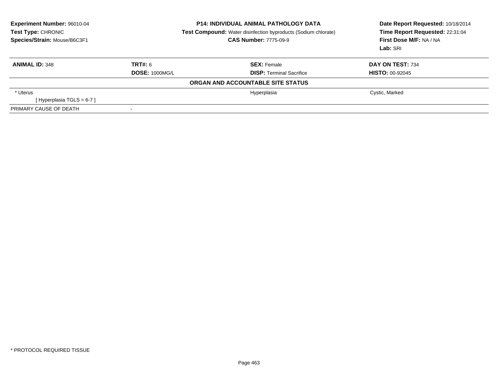| <b>Experiment Number: 96010-04</b><br>Test Type: CHRONIC<br>Species/Strain: Mouse/B6C3F1 | <b>P14: INDIVIDUAL ANIMAL PATHOLOGY DATA</b><br><b>Test Compound:</b> Water disinfection byproducts (Sodium chlorate)<br><b>CAS Number: 7775-09-9</b> |                                   | Date Report Requested: 10/18/2014<br>Time Report Requested: 22:31:04<br>First Dose M/F: NA / NA<br>Lab: SRI |  |
|------------------------------------------------------------------------------------------|-------------------------------------------------------------------------------------------------------------------------------------------------------|-----------------------------------|-------------------------------------------------------------------------------------------------------------|--|
| <b>ANIMAL ID: 348</b>                                                                    | TRT#: 6                                                                                                                                               | <b>SEX: Female</b>                | DAY ON TEST: 734                                                                                            |  |
|                                                                                          | <b>DOSE: 1000MG/L</b>                                                                                                                                 | <b>DISP: Terminal Sacrifice</b>   | <b>HISTO: 00-92045</b>                                                                                      |  |
|                                                                                          |                                                                                                                                                       | ORGAN AND ACCOUNTABLE SITE STATUS |                                                                                                             |  |
| * Uterus                                                                                 |                                                                                                                                                       | Hyperplasia                       | Cystic, Marked                                                                                              |  |
| [Hyperplasia TGLS = $6-7$ ]                                                              |                                                                                                                                                       |                                   |                                                                                                             |  |
| PRIMARY CAUSE OF DEATH                                                                   |                                                                                                                                                       |                                   |                                                                                                             |  |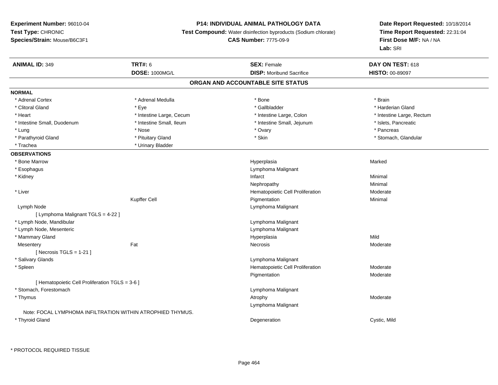## **P14: INDIVIDUAL ANIMAL PATHOLOGY DATA**

**Test Compound:** Water disinfection byproducts (Sodium chlorate)

**CAS Number:** 7775-09-9

| <b>ANIMAL ID: 349</b>                           | <b>TRT#: 6</b>                                             | <b>SEX: Female</b>                | DAY ON TEST: 618          |  |
|-------------------------------------------------|------------------------------------------------------------|-----------------------------------|---------------------------|--|
|                                                 | DOSE: 1000MG/L                                             | <b>DISP:</b> Moribund Sacrifice   | <b>HISTO: 00-89097</b>    |  |
|                                                 |                                                            | ORGAN AND ACCOUNTABLE SITE STATUS |                           |  |
| <b>NORMAL</b>                                   |                                                            |                                   |                           |  |
| * Adrenal Cortex                                | * Adrenal Medulla                                          | * Bone                            | * Brain                   |  |
| * Clitoral Gland                                | * Eve                                                      | * Gallbladder                     | * Harderian Gland         |  |
| * Heart                                         | * Intestine Large, Cecum                                   | * Intestine Large, Colon          | * Intestine Large, Rectum |  |
| * Intestine Small, Duodenum                     | * Intestine Small, Ileum                                   | * Intestine Small, Jejunum        | * Islets, Pancreatic      |  |
| * Lung                                          | * Nose                                                     | * Ovary                           | * Pancreas                |  |
| * Parathyroid Gland                             | * Pituitary Gland                                          | * Skin                            | * Stomach, Glandular      |  |
| * Trachea                                       | * Urinary Bladder                                          |                                   |                           |  |
| <b>OBSERVATIONS</b>                             |                                                            |                                   |                           |  |
| * Bone Marrow                                   |                                                            | Hyperplasia                       | Marked                    |  |
| * Esophagus                                     |                                                            | Lymphoma Malignant                |                           |  |
| * Kidney                                        |                                                            | Infarct                           | Minimal                   |  |
|                                                 |                                                            | Nephropathy                       | Minimal                   |  |
| * Liver                                         |                                                            | Hematopoietic Cell Proliferation  | Moderate                  |  |
|                                                 | Kupffer Cell                                               | Pigmentation                      | Minimal                   |  |
| Lymph Node                                      |                                                            | Lymphoma Malignant                |                           |  |
| [ Lymphoma Malignant TGLS = 4-22 ]              |                                                            |                                   |                           |  |
| * Lymph Node, Mandibular                        |                                                            | Lymphoma Malignant                |                           |  |
| * Lymph Node, Mesenteric                        |                                                            | Lymphoma Malignant                |                           |  |
| * Mammary Gland                                 |                                                            | Hyperplasia                       | Mild                      |  |
| Mesentery                                       | Fat                                                        | Necrosis                          | Moderate                  |  |
| [ Necrosis $TGLS = 1-21$ ]                      |                                                            |                                   |                           |  |
| * Salivary Glands                               |                                                            | Lymphoma Malignant                |                           |  |
| * Spleen                                        |                                                            | Hematopoietic Cell Proliferation  | Moderate                  |  |
|                                                 |                                                            | Pigmentation                      | Moderate                  |  |
| [ Hematopoietic Cell Proliferation TGLS = 3-6 ] |                                                            |                                   |                           |  |
| * Stomach, Forestomach                          |                                                            | Lymphoma Malignant                |                           |  |
| * Thymus                                        |                                                            | Atrophy                           | Moderate                  |  |
|                                                 |                                                            | Lymphoma Malignant                |                           |  |
|                                                 | Note: FOCAL LYMPHOMA INFILTRATION WITHIN ATROPHIED THYMUS. |                                   |                           |  |
| * Thyroid Gland                                 |                                                            | Degeneration                      | Cystic, Mild              |  |
|                                                 |                                                            |                                   |                           |  |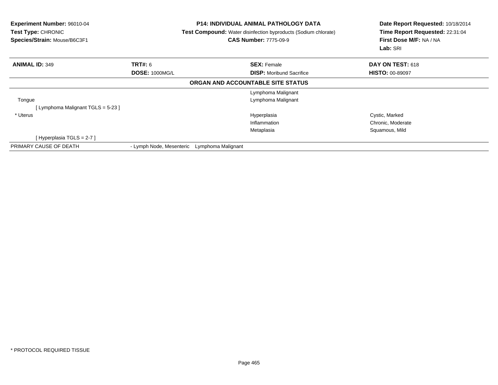| <b>Experiment Number: 96010-04</b><br>Test Type: CHRONIC<br>Species/Strain: Mouse/B6C3F1 |                          | <b>P14: INDIVIDUAL ANIMAL PATHOLOGY DATA</b><br>Test Compound: Water disinfection byproducts (Sodium chlorate)<br><b>CAS Number: 7775-09-9</b> |                                   | Date Report Requested: 10/18/2014<br>Time Report Requested: 22:31:04<br>First Dose M/F: NA / NA<br>Lab: SRI |
|------------------------------------------------------------------------------------------|--------------------------|------------------------------------------------------------------------------------------------------------------------------------------------|-----------------------------------|-------------------------------------------------------------------------------------------------------------|
| <b>ANIMAL ID: 349</b>                                                                    | <b>TRT#: 6</b>           |                                                                                                                                                | <b>SEX: Female</b>                | DAY ON TEST: 618                                                                                            |
|                                                                                          | <b>DOSE: 1000MG/L</b>    |                                                                                                                                                | <b>DISP:</b> Moribund Sacrifice   | <b>HISTO: 00-89097</b>                                                                                      |
|                                                                                          |                          |                                                                                                                                                | ORGAN AND ACCOUNTABLE SITE STATUS |                                                                                                             |
|                                                                                          |                          |                                                                                                                                                | Lymphoma Malignant                |                                                                                                             |
| Tongue                                                                                   |                          |                                                                                                                                                | Lymphoma Malignant                |                                                                                                             |
| [Lymphoma Malignant TGLS = 5-23 ]                                                        |                          |                                                                                                                                                |                                   |                                                                                                             |
| * Uterus                                                                                 |                          |                                                                                                                                                | Hyperplasia                       | Cystic, Marked                                                                                              |
|                                                                                          |                          |                                                                                                                                                | Inflammation                      | Chronic, Moderate                                                                                           |
|                                                                                          |                          |                                                                                                                                                | Metaplasia                        | Squamous, Mild                                                                                              |
| [Hyperplasia TGLS = 2-7 ]                                                                |                          |                                                                                                                                                |                                   |                                                                                                             |
| PRIMARY CAUSE OF DEATH                                                                   | - Lymph Node, Mesenteric | Lymphoma Malignant                                                                                                                             |                                   |                                                                                                             |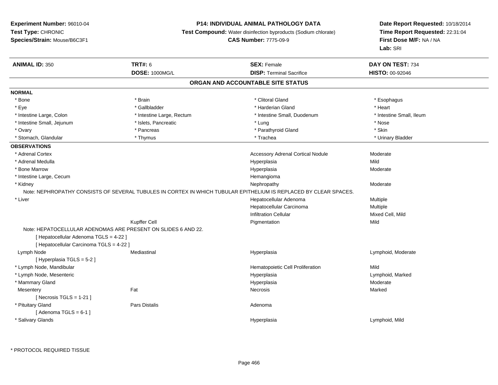## **P14: INDIVIDUAL ANIMAL PATHOLOGY DATA**

**Test Compound:** Water disinfection byproducts (Sodium chlorate)

**CAS Number:** 7775-09-9

| <b>ANIMAL ID: 350</b>                                         | <b>TRT#: 6</b>            | <b>SEX: Female</b>                                                                                               | DAY ON TEST: 734         |
|---------------------------------------------------------------|---------------------------|------------------------------------------------------------------------------------------------------------------|--------------------------|
|                                                               | <b>DOSE: 1000MG/L</b>     | <b>DISP: Terminal Sacrifice</b>                                                                                  | <b>HISTO: 00-92046</b>   |
|                                                               |                           | ORGAN AND ACCOUNTABLE SITE STATUS                                                                                |                          |
| <b>NORMAL</b>                                                 |                           |                                                                                                                  |                          |
| * Bone                                                        | * Brain                   | * Clitoral Gland                                                                                                 | * Esophagus              |
| * Eye                                                         | * Gallbladder             | * Harderian Gland                                                                                                | * Heart                  |
| * Intestine Large, Colon                                      | * Intestine Large, Rectum | * Intestine Small, Duodenum                                                                                      | * Intestine Small, Ileum |
| * Intestine Small, Jejunum                                    | * Islets, Pancreatic      | * Lung                                                                                                           | * Nose                   |
| * Ovary                                                       | * Pancreas                | * Parathyroid Gland                                                                                              | * Skin                   |
| * Stomach, Glandular                                          | * Thymus                  | * Trachea                                                                                                        | * Urinary Bladder        |
| <b>OBSERVATIONS</b>                                           |                           |                                                                                                                  |                          |
| * Adrenal Cortex                                              |                           | <b>Accessory Adrenal Cortical Nodule</b>                                                                         | Moderate                 |
| * Adrenal Medulla                                             |                           | Hyperplasia                                                                                                      | Mild                     |
| * Bone Marrow                                                 |                           | Hyperplasia                                                                                                      | Moderate                 |
| * Intestine Large, Cecum                                      |                           | Hemangioma                                                                                                       |                          |
| * Kidney                                                      |                           | Nephropathy                                                                                                      | Moderate                 |
|                                                               |                           | Note: NEPHROPATHY CONSISTS OF SEVERAL TUBULES IN CORTEX IN WHICH TUBULAR EPITHELIUM IS REPLACED BY CLEAR SPACES. |                          |
| * Liver                                                       |                           | Hepatocellular Adenoma                                                                                           | Multiple                 |
|                                                               |                           | Hepatocellular Carcinoma                                                                                         | Multiple                 |
|                                                               |                           | <b>Infiltration Cellular</b>                                                                                     | Mixed Cell, Mild         |
|                                                               | Kupffer Cell              | Pigmentation                                                                                                     | Mild                     |
| Note: HEPATOCELLULAR ADENOMAS ARE PRESENT ON SLIDES 6 AND 22. |                           |                                                                                                                  |                          |
| [ Hepatocellular Adenoma TGLS = 4-22 ]                        |                           |                                                                                                                  |                          |
| [ Hepatocellular Carcinoma TGLS = 4-22 ]                      |                           |                                                                                                                  |                          |
| Lymph Node                                                    | Mediastinal               | Hyperplasia                                                                                                      | Lymphoid, Moderate       |
| [ Hyperplasia TGLS = 5-2 ]                                    |                           |                                                                                                                  |                          |
| * Lymph Node, Mandibular                                      |                           | Hematopoietic Cell Proliferation                                                                                 | Mild                     |
| * Lymph Node, Mesenteric                                      |                           | Hyperplasia                                                                                                      | Lymphoid, Marked         |
| * Mammary Gland                                               |                           | Hyperplasia                                                                                                      | Moderate                 |
| Mesentery                                                     | Fat                       | <b>Necrosis</b>                                                                                                  | Marked                   |
| [Necrosis TGLS = $1-21$ ]                                     |                           |                                                                                                                  |                          |
| * Pituitary Gland                                             | <b>Pars Distalis</b>      | Adenoma                                                                                                          |                          |
| [Adenoma TGLS = $6-1$ ]                                       |                           |                                                                                                                  |                          |
| * Salivary Glands                                             |                           | Hyperplasia                                                                                                      | Lymphoid, Mild           |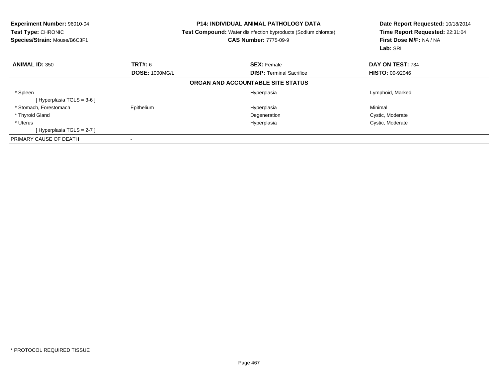| Experiment Number: 96010-04<br><b>Test Type: CHRONIC</b><br>Species/Strain: Mouse/B6C3F1 |                       | <b>P14: INDIVIDUAL ANIMAL PATHOLOGY DATA</b><br><b>Test Compound:</b> Water disinfection byproducts (Sodium chlorate)<br><b>CAS Number: 7775-09-9</b> | Date Report Requested: 10/18/2014<br>Time Report Requested: 22:31:04<br>First Dose M/F: NA / NA<br>Lab: SRI |
|------------------------------------------------------------------------------------------|-----------------------|-------------------------------------------------------------------------------------------------------------------------------------------------------|-------------------------------------------------------------------------------------------------------------|
| <b>ANIMAL ID: 350</b>                                                                    | <b>TRT#: 6</b>        | <b>SEX: Female</b>                                                                                                                                    | DAY ON TEST: 734                                                                                            |
|                                                                                          | <b>DOSE: 1000MG/L</b> | <b>DISP:</b> Terminal Sacrifice                                                                                                                       | <b>HISTO: 00-92046</b>                                                                                      |
|                                                                                          |                       | ORGAN AND ACCOUNTABLE SITE STATUS                                                                                                                     |                                                                                                             |
| * Spleen                                                                                 |                       | Hyperplasia                                                                                                                                           | Lymphoid, Marked                                                                                            |
| [Hyperplasia TGLS = $3-6$ ]                                                              |                       |                                                                                                                                                       |                                                                                                             |
| * Stomach, Forestomach                                                                   | Epithelium            | Hyperplasia                                                                                                                                           | Minimal                                                                                                     |
| * Thyroid Gland                                                                          |                       | Degeneration                                                                                                                                          | Cystic, Moderate                                                                                            |
| * Uterus                                                                                 |                       | Hyperplasia                                                                                                                                           | Cystic, Moderate                                                                                            |
| [Hyperplasia TGLS = $2-7$ ]                                                              |                       |                                                                                                                                                       |                                                                                                             |
| PRIMARY CAUSE OF DEATH                                                                   |                       |                                                                                                                                                       |                                                                                                             |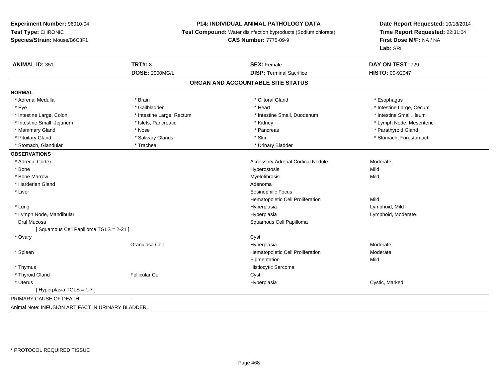## **P14: INDIVIDUAL ANIMAL PATHOLOGY DATA**

**Test Compound:** Water disinfection byproducts (Sodium chlorate)

#### **CAS Number:** 7775-09-9

| <b>ANIMAL ID: 351</b>                              | <b>TRT#: 8</b><br><b>DOSE: 2000MG/L</b> | <b>SEX: Female</b><br><b>DISP: Terminal Sacrifice</b> | DAY ON TEST: 729<br>HISTO: 00-92047 |
|----------------------------------------------------|-----------------------------------------|-------------------------------------------------------|-------------------------------------|
|                                                    |                                         | ORGAN AND ACCOUNTABLE SITE STATUS                     |                                     |
|                                                    |                                         |                                                       |                                     |
| <b>NORMAL</b>                                      |                                         |                                                       |                                     |
| * Adrenal Medulla                                  | * Brain                                 | * Clitoral Gland                                      | * Esophagus                         |
| * Eye                                              | * Gallbladder                           | * Heart                                               | * Intestine Large, Cecum            |
| * Intestine Large, Colon                           | * Intestine Large, Rectum               | * Intestine Small, Duodenum                           | * Intestine Small, Ileum            |
| * Intestine Small, Jejunum                         | * Islets, Pancreatic                    | * Kidney                                              | * Lymph Node, Mesenteric            |
| * Mammary Gland                                    | * Nose                                  | * Pancreas                                            | * Parathyroid Gland                 |
| * Pituitary Gland                                  | * Salivary Glands                       | * Skin                                                | * Stomach, Forestomach              |
| * Stomach, Glandular                               | * Trachea                               | * Urinary Bladder                                     |                                     |
| <b>OBSERVATIONS</b>                                |                                         |                                                       |                                     |
| * Adrenal Cortex                                   |                                         | <b>Accessory Adrenal Cortical Nodule</b>              | Moderate                            |
| * Bone                                             |                                         | Hyperostosis                                          | Mild                                |
| * Bone Marrow                                      |                                         | Myelofibrosis                                         | Mild                                |
| * Harderian Gland                                  |                                         | Adenoma                                               |                                     |
| * Liver                                            |                                         | <b>Eosinophilic Focus</b>                             |                                     |
|                                                    |                                         | Hematopoietic Cell Proliferation                      | Mild                                |
| * Lung                                             |                                         | Hyperplasia                                           | Lymphoid, Mild                      |
| * Lymph Node, Mandibular                           |                                         | Hyperplasia                                           | Lymphoid, Moderate                  |
| Oral Mucosa                                        |                                         | Squamous Cell Papilloma                               |                                     |
| [Squamous Cell Papilloma TGLS = 2-21]              |                                         |                                                       |                                     |
| * Ovary                                            |                                         | Cyst                                                  |                                     |
|                                                    | Granulosa Cell                          | Hyperplasia                                           | Moderate                            |
| * Spleen                                           |                                         | Hematopoietic Cell Proliferation                      | Moderate                            |
|                                                    |                                         | Pigmentation                                          | Mild                                |
| * Thymus                                           |                                         | Histiocytic Sarcoma                                   |                                     |
| * Thyroid Gland                                    | <b>Follicular Cel</b>                   | Cyst                                                  |                                     |
| * Uterus                                           |                                         | Hyperplasia                                           | Cystic, Marked                      |
| [Hyperplasia TGLS = 1-7]                           |                                         |                                                       |                                     |
| PRIMARY CAUSE OF DEATH                             |                                         |                                                       |                                     |
| Animal Note: INFUSION ARTIFACT IN URINARY BLADDER. |                                         |                                                       |                                     |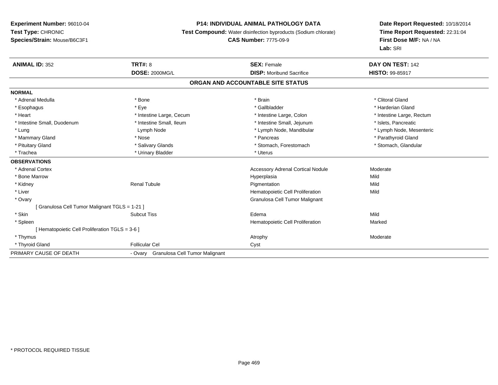#### **P14: INDIVIDUAL ANIMAL PATHOLOGY DATA**

**Test Compound:** Water disinfection byproducts (Sodium chlorate)

**CAS Number:** 7775-09-9

| <b>ANIMAL ID: 352</b>                          | <b>TRT#: 8</b>                            | <b>SEX: Female</b>                       | DAY ON TEST: 142          |
|------------------------------------------------|-------------------------------------------|------------------------------------------|---------------------------|
|                                                | <b>DOSE: 2000MG/L</b>                     | <b>DISP:</b> Moribund Sacrifice          | <b>HISTO: 99-85917</b>    |
|                                                |                                           | ORGAN AND ACCOUNTABLE SITE STATUS        |                           |
| <b>NORMAL</b>                                  |                                           |                                          |                           |
| * Adrenal Medulla                              | * Bone                                    | * Brain                                  | * Clitoral Gland          |
| * Esophagus                                    | * Eve                                     | * Gallbladder                            | * Harderian Gland         |
| * Heart                                        | * Intestine Large, Cecum                  | * Intestine Large, Colon                 | * Intestine Large, Rectum |
| * Intestine Small, Duodenum                    | * Intestine Small, Ileum                  | * Intestine Small, Jejunum               | * Islets, Pancreatic      |
| * Lung                                         | Lymph Node                                | * Lymph Node, Mandibular                 | * Lymph Node, Mesenteric  |
| * Mammary Gland                                | * Nose                                    | * Pancreas                               | * Parathyroid Gland       |
| * Pituitary Gland                              | * Salivary Glands                         | * Stomach, Forestomach                   | * Stomach, Glandular      |
| * Trachea                                      | * Urinary Bladder                         | * Uterus                                 |                           |
| <b>OBSERVATIONS</b>                            |                                           |                                          |                           |
| * Adrenal Cortex                               |                                           | <b>Accessory Adrenal Cortical Nodule</b> | Moderate                  |
| * Bone Marrow                                  |                                           | Hyperplasia                              | Mild                      |
| * Kidney                                       | <b>Renal Tubule</b>                       | Pigmentation                             | Mild                      |
| * Liver                                        |                                           | Hematopoietic Cell Proliferation         | Mild                      |
| * Ovary                                        |                                           | Granulosa Cell Tumor Malignant           |                           |
| [ Granulosa Cell Tumor Malignant TGLS = 1-21 ] |                                           |                                          |                           |
| * Skin                                         | <b>Subcut Tiss</b>                        | Edema                                    | Mild                      |
| * Spleen                                       |                                           | Hematopoietic Cell Proliferation         | Marked                    |
| [Hematopoietic Cell Proliferation TGLS = 3-6 ] |                                           |                                          |                           |
| * Thymus                                       |                                           | Atrophy                                  | Moderate                  |
| * Thyroid Gland                                | <b>Follicular Cel</b>                     | Cyst                                     |                           |
| PRIMARY CAUSE OF DEATH                         | Granulosa Cell Tumor Malignant<br>- Ovary |                                          |                           |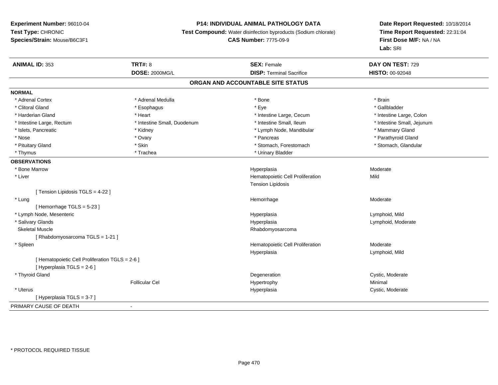# **P14: INDIVIDUAL ANIMAL PATHOLOGY DATA**

**Test Compound:** Water disinfection byproducts (Sodium chlorate)

# **CAS Number:** 7775-09-9

| <b>ANIMAL ID: 353</b>                           | <b>TRT#: 8</b>              | <b>SEX: Female</b>               | DAY ON TEST: 729           |  |  |  |  |
|-------------------------------------------------|-----------------------------|----------------------------------|----------------------------|--|--|--|--|
|                                                 | <b>DOSE: 2000MG/L</b>       | <b>DISP: Terminal Sacrifice</b>  | <b>HISTO: 00-92048</b>     |  |  |  |  |
| ORGAN AND ACCOUNTABLE SITE STATUS               |                             |                                  |                            |  |  |  |  |
| <b>NORMAL</b>                                   |                             |                                  |                            |  |  |  |  |
| * Adrenal Cortex                                | * Adrenal Medulla           | * Bone                           | * Brain                    |  |  |  |  |
| * Clitoral Gland                                | * Esophagus                 | * Eye                            | * Gallbladder              |  |  |  |  |
| * Harderian Gland                               | * Heart                     | * Intestine Large, Cecum         | * Intestine Large, Colon   |  |  |  |  |
| * Intestine Large, Rectum                       | * Intestine Small, Duodenum | * Intestine Small, Ileum         | * Intestine Small, Jejunum |  |  |  |  |
| * Islets, Pancreatic                            | * Kidney                    | * Lymph Node, Mandibular         | * Mammary Gland            |  |  |  |  |
| * Nose                                          | * Ovary                     | * Pancreas                       | * Parathyroid Gland        |  |  |  |  |
| * Pituitary Gland                               | * Skin                      | * Stomach, Forestomach           | * Stomach, Glandular       |  |  |  |  |
| * Thymus                                        | * Trachea                   | * Urinary Bladder                |                            |  |  |  |  |
| <b>OBSERVATIONS</b>                             |                             |                                  |                            |  |  |  |  |
| * Bone Marrow                                   |                             | Hyperplasia                      | Moderate                   |  |  |  |  |
| * Liver                                         |                             | Hematopoietic Cell Proliferation | Mild                       |  |  |  |  |
|                                                 |                             | <b>Tension Lipidosis</b>         |                            |  |  |  |  |
| [ Tension Lipidosis TGLS = 4-22 ]               |                             |                                  |                            |  |  |  |  |
| * Lung                                          |                             | Hemorrhage                       | Moderate                   |  |  |  |  |
| [Hemorrhage TGLS = 5-23]                        |                             |                                  |                            |  |  |  |  |
| * Lymph Node, Mesenteric                        |                             | Hyperplasia                      | Lymphoid, Mild             |  |  |  |  |
| * Salivary Glands                               |                             | Hyperplasia                      | Lymphoid, Moderate         |  |  |  |  |
| <b>Skeletal Muscle</b>                          |                             | Rhabdomyosarcoma                 |                            |  |  |  |  |
| [Rhabdomyosarcoma TGLS = 1-21]                  |                             |                                  |                            |  |  |  |  |
| * Spleen                                        |                             | Hematopoietic Cell Proliferation | Moderate                   |  |  |  |  |
|                                                 |                             | Hyperplasia                      | Lymphoid, Mild             |  |  |  |  |
| [ Hematopoietic Cell Proliferation TGLS = 2-6 ] |                             |                                  |                            |  |  |  |  |
| [ Hyperplasia TGLS = 2-6 ]                      |                             |                                  |                            |  |  |  |  |
| * Thyroid Gland                                 |                             | Degeneration                     | Cystic, Moderate           |  |  |  |  |
|                                                 | <b>Follicular Cel</b>       | Hypertrophy                      | Minimal                    |  |  |  |  |
| * Uterus                                        |                             | Hyperplasia                      | Cystic, Moderate           |  |  |  |  |
| [Hyperplasia TGLS = 3-7]                        |                             |                                  |                            |  |  |  |  |
| PRIMARY CAUSE OF DEATH                          |                             |                                  |                            |  |  |  |  |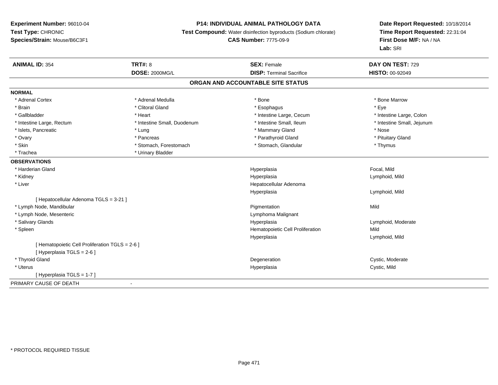# **P14: INDIVIDUAL ANIMAL PATHOLOGY DATA**

**Test Compound:** Water disinfection byproducts (Sodium chlorate)

**CAS Number:** 7775-09-9

| <b>ANIMAL ID: 354</b>                           | <b>TRT#: 8</b>              | <b>SEX: Female</b>               | DAY ON TEST: 729           |  |  |  |  |
|-------------------------------------------------|-----------------------------|----------------------------------|----------------------------|--|--|--|--|
|                                                 | <b>DOSE: 2000MG/L</b>       | <b>DISP: Terminal Sacrifice</b>  | <b>HISTO: 00-92049</b>     |  |  |  |  |
| ORGAN AND ACCOUNTABLE SITE STATUS               |                             |                                  |                            |  |  |  |  |
| <b>NORMAL</b>                                   |                             |                                  |                            |  |  |  |  |
| * Adrenal Cortex                                | * Adrenal Medulla           | * Bone                           | * Bone Marrow              |  |  |  |  |
| * Brain                                         | * Clitoral Gland            | * Esophagus                      | * Eye                      |  |  |  |  |
| * Gallbladder                                   | * Heart                     | * Intestine Large, Cecum         | * Intestine Large, Colon   |  |  |  |  |
| * Intestine Large, Rectum                       | * Intestine Small, Duodenum | * Intestine Small, Ileum         | * Intestine Small, Jejunum |  |  |  |  |
| * Islets, Pancreatic                            | * Lung                      | * Mammary Gland                  | * Nose                     |  |  |  |  |
| * Ovary                                         | * Pancreas                  | * Parathyroid Gland              | * Pituitary Gland          |  |  |  |  |
| * Skin                                          | * Stomach, Forestomach      | * Stomach, Glandular             | * Thymus                   |  |  |  |  |
| * Trachea                                       | * Urinary Bladder           |                                  |                            |  |  |  |  |
| <b>OBSERVATIONS</b>                             |                             |                                  |                            |  |  |  |  |
| * Harderian Gland                               |                             | Hyperplasia                      | Focal, Mild                |  |  |  |  |
| * Kidney                                        |                             | Hyperplasia                      | Lymphoid, Mild             |  |  |  |  |
| * Liver                                         |                             | Hepatocellular Adenoma           |                            |  |  |  |  |
|                                                 |                             | Hyperplasia                      | Lymphoid, Mild             |  |  |  |  |
| [Hepatocellular Adenoma TGLS = 3-21]            |                             |                                  |                            |  |  |  |  |
| * Lymph Node, Mandibular                        |                             | Pigmentation                     | Mild                       |  |  |  |  |
| * Lymph Node, Mesenteric                        |                             | Lymphoma Malignant               |                            |  |  |  |  |
| * Salivary Glands                               |                             | Hyperplasia                      | Lymphoid, Moderate         |  |  |  |  |
| * Spleen                                        |                             | Hematopoietic Cell Proliferation | Mild                       |  |  |  |  |
|                                                 |                             | Hyperplasia                      | Lymphoid, Mild             |  |  |  |  |
| [ Hematopoietic Cell Proliferation TGLS = 2-6 ] |                             |                                  |                            |  |  |  |  |
| [ Hyperplasia TGLS = 2-6 ]                      |                             |                                  |                            |  |  |  |  |
| * Thyroid Gland                                 |                             | Degeneration                     | Cystic, Moderate           |  |  |  |  |
| * Uterus                                        |                             | Hyperplasia                      | Cystic, Mild               |  |  |  |  |
| [Hyperplasia TGLS = 1-7]                        |                             |                                  |                            |  |  |  |  |
| PRIMARY CAUSE OF DEATH                          | $\blacksquare$              |                                  |                            |  |  |  |  |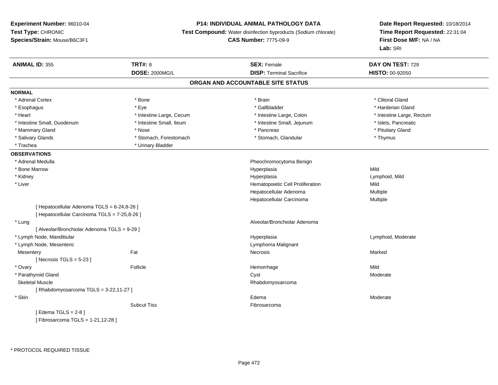#### **P14: INDIVIDUAL ANIMAL PATHOLOGY DATA**

**Test Compound:** Water disinfection byproducts (Sodium chlorate)

**CAS Number:** 7775-09-9

| <b>ANIMAL ID: 355</b>                         | <b>TRT#: 8</b>           | <b>SEX: Female</b>                | DAY ON TEST: 729          |
|-----------------------------------------------|--------------------------|-----------------------------------|---------------------------|
|                                               | <b>DOSE: 2000MG/L</b>    | <b>DISP: Terminal Sacrifice</b>   | HISTO: 00-92050           |
|                                               |                          | ORGAN AND ACCOUNTABLE SITE STATUS |                           |
| <b>NORMAL</b>                                 |                          |                                   |                           |
| * Adrenal Cortex                              | * Bone                   | * Brain                           | * Clitoral Gland          |
| * Esophagus                                   | * Eye                    | * Gallbladder                     | * Harderian Gland         |
| * Heart                                       | * Intestine Large, Cecum | * Intestine Large, Colon          | * Intestine Large, Rectum |
| * Intestine Small, Duodenum                   | * Intestine Small, Ileum | * Intestine Small, Jejunum        | * Islets, Pancreatic      |
| * Mammary Gland                               | * Nose                   | * Pancreas                        | * Pituitary Gland         |
| * Salivary Glands                             | * Stomach, Forestomach   | * Stomach, Glandular              | * Thymus                  |
| * Trachea                                     | * Urinary Bladder        |                                   |                           |
| <b>OBSERVATIONS</b>                           |                          |                                   |                           |
| * Adrenal Medulla                             |                          | Pheochromocytoma Benign           |                           |
| * Bone Marrow                                 |                          | Hyperplasia                       | Mild                      |
| * Kidney                                      |                          | Hyperplasia                       | Lymphoid, Mild            |
| * Liver                                       |                          | Hematopoietic Cell Proliferation  | Mild                      |
|                                               |                          | Hepatocellular Adenoma            | Multiple                  |
|                                               |                          | Hepatocellular Carcinoma          | Multiple                  |
| [ Hepatocellular Adenoma TGLS = 6-24,8-26 ]   |                          |                                   |                           |
| [ Hepatocellular Carcinoma TGLS = 7-25,8-26 ] |                          |                                   |                           |
| * Lung                                        |                          | Alveolar/Bronchiolar Adenoma      |                           |
| [ Alveolar/Bronchiolar Adenoma TGLS = 9-29 ]  |                          |                                   |                           |
| * Lymph Node, Mandibular                      |                          | Hyperplasia                       | Lymphoid, Moderate        |
| * Lymph Node, Mesenteric                      |                          | Lymphoma Malignant                |                           |
| Mesentery                                     | Fat                      | Necrosis                          | Marked                    |
| [ Necrosis $TGLS = 5-23$ ]                    |                          |                                   |                           |
| * Ovary                                       | Follicle                 | Hemorrhage                        | Mild                      |
| * Parathyroid Gland                           |                          | Cyst                              | Moderate                  |
| <b>Skeletal Muscle</b>                        |                          | Rhabdomyosarcoma                  |                           |
| [ Rhabdomyosarcoma TGLS = 3-22,11-27 ]        |                          |                                   |                           |
| * Skin                                        |                          | Edema                             | Moderate                  |
|                                               | <b>Subcut Tiss</b>       | Fibrosarcoma                      |                           |
| [Edema TGLS = $2-8$ ]                         |                          |                                   |                           |
| [Fibrosarcoma TGLS = 1-21,12-28]              |                          |                                   |                           |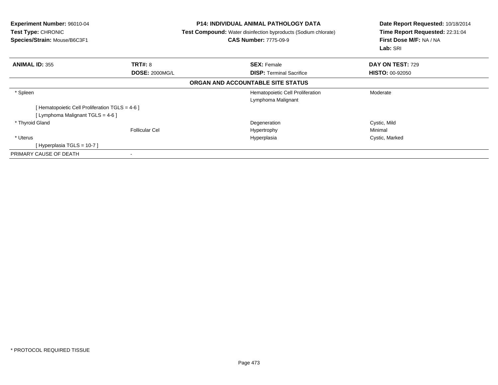| <b>Experiment Number: 96010-04</b><br><b>Test Type: CHRONIC</b><br>Species/Strain: Mouse/B6C3F1 |                       | <b>P14: INDIVIDUAL ANIMAL PATHOLOGY DATA</b><br><b>Test Compound:</b> Water disinfection byproducts (Sodium chlorate)<br><b>CAS Number: 7775-09-9</b> | Date Report Requested: 10/18/2014<br>Time Report Requested: 22:31:04<br>First Dose M/F: NA / NA<br>Lab: SRI |
|-------------------------------------------------------------------------------------------------|-----------------------|-------------------------------------------------------------------------------------------------------------------------------------------------------|-------------------------------------------------------------------------------------------------------------|
| <b>ANIMAL ID: 355</b>                                                                           | <b>TRT#: 8</b>        | <b>SEX: Female</b>                                                                                                                                    | <b>DAY ON TEST: 729</b>                                                                                     |
|                                                                                                 | <b>DOSE: 2000MG/L</b> | <b>DISP:</b> Terminal Sacrifice                                                                                                                       | <b>HISTO: 00-92050</b>                                                                                      |
|                                                                                                 |                       | ORGAN AND ACCOUNTABLE SITE STATUS                                                                                                                     |                                                                                                             |
| * Spleen                                                                                        |                       | Hematopoietic Cell Proliferation<br>Lymphoma Malignant                                                                                                | Moderate                                                                                                    |
| [ Hematopoietic Cell Proliferation TGLS = 4-6 ]                                                 |                       |                                                                                                                                                       |                                                                                                             |
| [Lymphoma Malignant TGLS = 4-6]                                                                 |                       |                                                                                                                                                       |                                                                                                             |
| * Thyroid Gland                                                                                 |                       | Degeneration                                                                                                                                          | Cystic, Mild                                                                                                |
|                                                                                                 | <b>Follicular Cel</b> | Hypertrophy                                                                                                                                           | Minimal                                                                                                     |
| * Uterus                                                                                        |                       | Hyperplasia                                                                                                                                           | Cystic, Marked                                                                                              |
| [Hyperplasia TGLS = 10-7 ]                                                                      |                       |                                                                                                                                                       |                                                                                                             |
| PRIMARY CAUSE OF DEATH                                                                          | ۰                     |                                                                                                                                                       |                                                                                                             |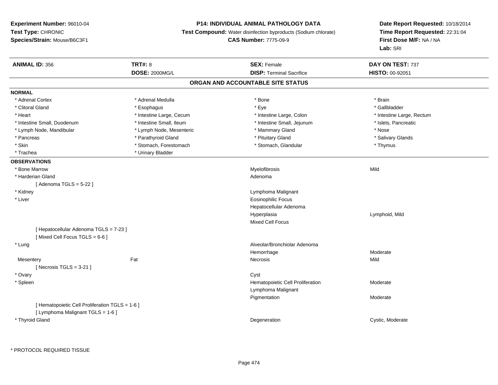# **P14: INDIVIDUAL ANIMAL PATHOLOGY DATA**

**Test Compound:** Water disinfection byproducts (Sodium chlorate)

**CAS Number:** 7775-09-9

| <b>ANIMAL ID: 356</b>                           | <b>TRT#: 8</b>           | <b>SEX: Female</b>                | DAY ON TEST: 737          |  |
|-------------------------------------------------|--------------------------|-----------------------------------|---------------------------|--|
|                                                 | <b>DOSE: 2000MG/L</b>    | <b>DISP: Terminal Sacrifice</b>   | HISTO: 00-92051           |  |
|                                                 |                          | ORGAN AND ACCOUNTABLE SITE STATUS |                           |  |
| <b>NORMAL</b>                                   |                          |                                   |                           |  |
| * Adrenal Cortex                                | * Adrenal Medulla        | * Bone                            | * Brain                   |  |
| * Clitoral Gland                                | * Esophagus              | * Eye                             | * Gallbladder             |  |
| * Heart                                         | * Intestine Large, Cecum | * Intestine Large, Colon          | * Intestine Large, Rectum |  |
| * Intestine Small, Duodenum                     | * Intestine Small, Ileum | * Intestine Small, Jejunum        | * Islets, Pancreatic      |  |
| * Lymph Node, Mandibular                        | * Lymph Node, Mesenteric | * Mammary Gland                   | * Nose                    |  |
| * Pancreas                                      | * Parathyroid Gland      | * Pituitary Gland                 | * Salivary Glands         |  |
| * Skin                                          | * Stomach, Forestomach   | * Stomach, Glandular              | * Thymus                  |  |
| * Trachea                                       | * Urinary Bladder        |                                   |                           |  |
| <b>OBSERVATIONS</b>                             |                          |                                   |                           |  |
| * Bone Marrow                                   |                          | Myelofibrosis                     | Mild                      |  |
| * Harderian Gland                               |                          | Adenoma                           |                           |  |
| [Adenoma TGLS = $5-22$ ]                        |                          |                                   |                           |  |
| * Kidney                                        |                          | Lymphoma Malignant                |                           |  |
| * Liver                                         |                          | <b>Eosinophilic Focus</b>         |                           |  |
|                                                 |                          | Hepatocellular Adenoma            |                           |  |
|                                                 |                          | Hyperplasia                       | Lymphoid, Mild            |  |
|                                                 |                          | <b>Mixed Cell Focus</b>           |                           |  |
| [ Hepatocellular Adenoma TGLS = 7-23 ]          |                          |                                   |                           |  |
| [Mixed Cell Focus TGLS = 6-6]                   |                          |                                   |                           |  |
| * Lung                                          |                          | Alveolar/Bronchiolar Adenoma      |                           |  |
|                                                 |                          | Hemorrhage                        | Moderate                  |  |
| Mesentery                                       | Fat                      | Necrosis                          | Mild                      |  |
| [Necrosis TGLS = $3-21$ ]                       |                          |                                   |                           |  |
| * Ovary                                         |                          | Cyst                              |                           |  |
| * Spleen                                        |                          | Hematopoietic Cell Proliferation  | Moderate                  |  |
|                                                 |                          | Lymphoma Malignant                |                           |  |
|                                                 |                          | Pigmentation                      | Moderate                  |  |
| [ Hematopoietic Cell Proliferation TGLS = 1-6 ] |                          |                                   |                           |  |
| [ Lymphoma Malignant TGLS = 1-6 ]               |                          |                                   |                           |  |
| * Thyroid Gland                                 |                          | Degeneration                      | Cystic, Moderate          |  |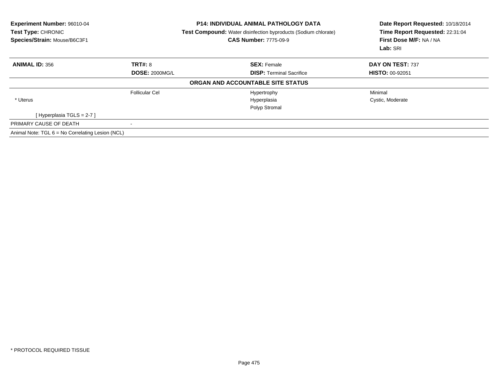| Experiment Number: 96010-04<br>Test Type: CHRONIC<br>Species/Strain: Mouse/B6C3F1 |                       | <b>P14: INDIVIDUAL ANIMAL PATHOLOGY DATA</b><br><b>Test Compound:</b> Water disinfection byproducts (Sodium chlorate)<br><b>CAS Number: 7775-09-9</b> | Date Report Requested: 10/18/2014<br>Time Report Requested: 22:31:04<br>First Dose M/F: NA / NA<br>Lab: SRI |  |
|-----------------------------------------------------------------------------------|-----------------------|-------------------------------------------------------------------------------------------------------------------------------------------------------|-------------------------------------------------------------------------------------------------------------|--|
| <b>ANIMAL ID: 356</b>                                                             | TRT#: 8               | <b>SEX: Female</b>                                                                                                                                    | DAY ON TEST: 737                                                                                            |  |
|                                                                                   | <b>DOSE: 2000MG/L</b> | <b>DISP: Terminal Sacrifice</b>                                                                                                                       | <b>HISTO: 00-92051</b>                                                                                      |  |
|                                                                                   |                       | ORGAN AND ACCOUNTABLE SITE STATUS                                                                                                                     |                                                                                                             |  |
|                                                                                   | Follicular Cel        | Hypertrophy                                                                                                                                           | Minimal                                                                                                     |  |
| * Uterus                                                                          |                       | Hyperplasia                                                                                                                                           | Cystic, Moderate                                                                                            |  |
|                                                                                   |                       | Polyp Stromal                                                                                                                                         |                                                                                                             |  |
| [Hyperplasia TGLS = 2-7]                                                          |                       |                                                                                                                                                       |                                                                                                             |  |
| PRIMARY CAUSE OF DEATH                                                            |                       |                                                                                                                                                       |                                                                                                             |  |
| Animal Note: TGL 6 = No Correlating Lesion (NCL)                                  |                       |                                                                                                                                                       |                                                                                                             |  |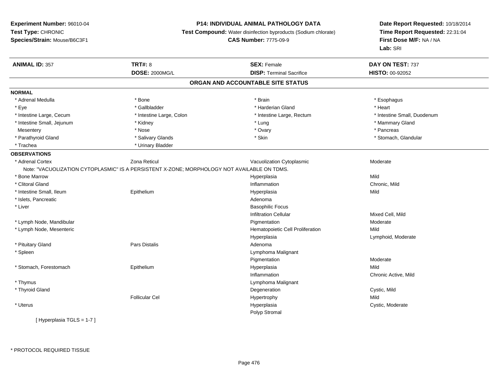# **P14: INDIVIDUAL ANIMAL PATHOLOGY DATA**

**Test Compound:** Water disinfection byproducts (Sodium chlorate)

**CAS Number:** 7775-09-9

| <b>ANIMAL ID: 357</b>             | <b>TRT#: 8</b>                                                                              | <b>SEX: Female</b>               | DAY ON TEST: 737            |  |  |  |  |
|-----------------------------------|---------------------------------------------------------------------------------------------|----------------------------------|-----------------------------|--|--|--|--|
|                                   | DOSE: 2000MG/L                                                                              | <b>DISP: Terminal Sacrifice</b>  | HISTO: 00-92052             |  |  |  |  |
| ORGAN AND ACCOUNTABLE SITE STATUS |                                                                                             |                                  |                             |  |  |  |  |
| <b>NORMAL</b>                     |                                                                                             |                                  |                             |  |  |  |  |
| * Adrenal Medulla                 | * Bone                                                                                      | * Brain                          | * Esophagus                 |  |  |  |  |
| * Eye                             | * Gallbladder                                                                               | * Harderian Gland                | * Heart                     |  |  |  |  |
| * Intestine Large, Cecum          | * Intestine Large, Colon                                                                    | * Intestine Large, Rectum        | * Intestine Small, Duodenum |  |  |  |  |
| * Intestine Small, Jejunum        | * Kidney                                                                                    | * Lung                           | * Mammary Gland             |  |  |  |  |
| Mesentery                         | * Nose                                                                                      | * Ovary                          | * Pancreas                  |  |  |  |  |
| * Parathyroid Gland               | * Salivary Glands                                                                           | * Skin                           | * Stomach, Glandular        |  |  |  |  |
| * Trachea                         | * Urinary Bladder                                                                           |                                  |                             |  |  |  |  |
| <b>OBSERVATIONS</b>               |                                                                                             |                                  |                             |  |  |  |  |
| * Adrenal Cortex                  | Zona Reticul                                                                                | Vacuolization Cytoplasmic        | Moderate                    |  |  |  |  |
|                                   | Note: "VACUOLIZATION CYTOPLASMIC" IS A PERSISTENT X-ZONE; MORPHOLOGY NOT AVAILABLE ON TDMS. |                                  |                             |  |  |  |  |
| * Bone Marrow                     |                                                                                             | Hyperplasia                      | Mild                        |  |  |  |  |
| * Clitoral Gland                  |                                                                                             | Inflammation                     | Chronic, Mild               |  |  |  |  |
| * Intestine Small, Ileum          | Epithelium                                                                                  | Hyperplasia                      | Mild                        |  |  |  |  |
| * Islets, Pancreatic              |                                                                                             | Adenoma                          |                             |  |  |  |  |
| * Liver                           |                                                                                             | <b>Basophilic Focus</b>          |                             |  |  |  |  |
|                                   |                                                                                             | <b>Infiltration Cellular</b>     | Mixed Cell, Mild            |  |  |  |  |
| * Lymph Node, Mandibular          |                                                                                             | Pigmentation                     | Moderate                    |  |  |  |  |
| * Lymph Node, Mesenteric          |                                                                                             | Hematopoietic Cell Proliferation | Mild                        |  |  |  |  |
|                                   |                                                                                             | Hyperplasia                      | Lymphoid, Moderate          |  |  |  |  |
| * Pituitary Gland                 | <b>Pars Distalis</b>                                                                        | Adenoma                          |                             |  |  |  |  |
| * Spleen                          |                                                                                             | Lymphoma Malignant               |                             |  |  |  |  |
|                                   |                                                                                             | Pigmentation                     | Moderate                    |  |  |  |  |
| * Stomach, Forestomach            | Epithelium                                                                                  | Hyperplasia                      | Mild                        |  |  |  |  |
|                                   |                                                                                             | Inflammation                     | Chronic Active, Mild        |  |  |  |  |
| * Thymus                          |                                                                                             | Lymphoma Malignant               |                             |  |  |  |  |
| * Thyroid Gland                   |                                                                                             | Degeneration                     | Cystic, Mild                |  |  |  |  |
|                                   | <b>Follicular Cel</b>                                                                       | Hypertrophy                      | Mild                        |  |  |  |  |
| * Uterus                          |                                                                                             | Hyperplasia                      | Cystic, Moderate            |  |  |  |  |
|                                   |                                                                                             | Polyp Stromal                    |                             |  |  |  |  |
| [Hyperplasia TGLS = 1-7]          |                                                                                             |                                  |                             |  |  |  |  |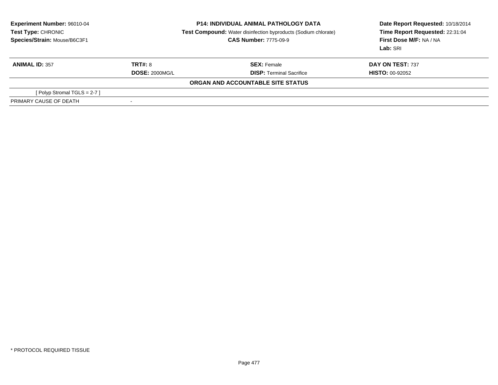| Experiment Number: 96010-04<br><b>Test Type: CHRONIC</b><br>Species/Strain: Mouse/B6C3F1 | <b>P14: INDIVIDUAL ANIMAL PATHOLOGY DATA</b><br><b>Test Compound:</b> Water disinfection byproducts (Sodium chlorate)<br><b>CAS Number: 7775-09-9</b> |                                   | Date Report Requested: 10/18/2014<br>Time Report Requested: 22:31:04<br>First Dose M/F: NA / NA<br>Lab: SRI |  |
|------------------------------------------------------------------------------------------|-------------------------------------------------------------------------------------------------------------------------------------------------------|-----------------------------------|-------------------------------------------------------------------------------------------------------------|--|
| <b>ANIMAL ID: 357</b>                                                                    | TRT#: 8                                                                                                                                               | <b>SEX: Female</b>                | DAY ON TEST: 737                                                                                            |  |
|                                                                                          | <b>DOSE: 2000MG/L</b>                                                                                                                                 | <b>DISP:</b> Terminal Sacrifice   | <b>HISTO: 00-92052</b>                                                                                      |  |
|                                                                                          |                                                                                                                                                       | ORGAN AND ACCOUNTABLE SITE STATUS |                                                                                                             |  |
| [ Polyp Stromal TGLS = $2-7$ ]                                                           |                                                                                                                                                       |                                   |                                                                                                             |  |
| PRIMARY CAUSE OF DEATH                                                                   | ۰                                                                                                                                                     |                                   |                                                                                                             |  |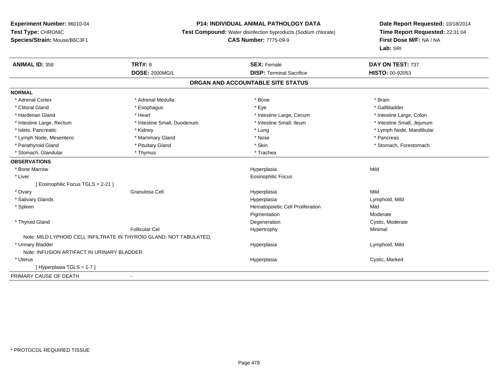# **P14: INDIVIDUAL ANIMAL PATHOLOGY DATA**

**Test Compound:** Water disinfection byproducts (Sodium chlorate)

# **CAS Number:** 7775-09-9

| <b>ANIMAL ID: 358</b>                       | <b>TRT#: 8</b>                                                      | <b>SEX: Female</b>               | DAY ON TEST: 737           |  |  |  |  |
|---------------------------------------------|---------------------------------------------------------------------|----------------------------------|----------------------------|--|--|--|--|
|                                             | <b>DOSE: 2000MG/L</b>                                               | <b>DISP: Terminal Sacrifice</b>  | <b>HISTO: 00-92053</b>     |  |  |  |  |
| ORGAN AND ACCOUNTABLE SITE STATUS           |                                                                     |                                  |                            |  |  |  |  |
| <b>NORMAL</b>                               |                                                                     |                                  |                            |  |  |  |  |
| * Adrenal Cortex                            | * Adrenal Medulla                                                   | * Bone                           | * Brain                    |  |  |  |  |
| * Clitoral Gland                            | * Esophagus                                                         | * Eye                            | * Gallbladder              |  |  |  |  |
| * Harderian Gland                           | * Heart                                                             | * Intestine Large, Cecum         | * Intestine Large, Colon   |  |  |  |  |
| * Intestine Large, Rectum                   | * Intestine Small, Duodenum                                         | * Intestine Small, Ileum         | * Intestine Small, Jejunum |  |  |  |  |
| * Islets, Pancreatic                        | * Kidney                                                            | * Lung                           | * Lymph Node, Mandibular   |  |  |  |  |
| * Lymph Node, Mesenteric                    | * Mammary Gland                                                     | * Nose                           | * Pancreas                 |  |  |  |  |
| * Parathyroid Gland                         | * Pituitary Gland                                                   | * Skin                           | * Stomach, Forestomach     |  |  |  |  |
| * Stomach, Glandular                        | * Thymus                                                            | * Trachea                        |                            |  |  |  |  |
| <b>OBSERVATIONS</b>                         |                                                                     |                                  |                            |  |  |  |  |
| * Bone Marrow                               |                                                                     | Hyperplasia                      | Mild                       |  |  |  |  |
| * Liver                                     |                                                                     | <b>Eosinophilic Focus</b>        |                            |  |  |  |  |
| [ Eosinophilic Focus TGLS = 2-21 ]          |                                                                     |                                  |                            |  |  |  |  |
| * Ovary                                     | Granulosa Cell                                                      | Hyperplasia                      | Mild                       |  |  |  |  |
| * Salivary Glands                           |                                                                     | Hyperplasia                      | Lymphoid, Mild             |  |  |  |  |
| * Spleen                                    |                                                                     | Hematopoietic Cell Proliferation | Mild                       |  |  |  |  |
|                                             |                                                                     | Pigmentation                     | Moderate                   |  |  |  |  |
| * Thyroid Gland                             |                                                                     | Degeneration                     | Cystic, Moderate           |  |  |  |  |
|                                             | Follicular Cel                                                      | Hypertrophy                      | Minimal                    |  |  |  |  |
|                                             | Note: MILD LYPHOID CELL INFILTRATE IN THYROID GLAND; NOT TABULATED. |                                  |                            |  |  |  |  |
| * Urinary Bladder                           |                                                                     | Hyperplasia                      | Lymphoid, Mild             |  |  |  |  |
| Note: INFUSION ARTIFACT IN URINARY BLADDER. |                                                                     |                                  |                            |  |  |  |  |
| * Uterus                                    |                                                                     | Hyperplasia                      | Cystic, Marked             |  |  |  |  |
| [Hyperplasia TGLS = 1-7]                    |                                                                     |                                  |                            |  |  |  |  |
| PRIMARY CAUSE OF DEATH                      |                                                                     |                                  |                            |  |  |  |  |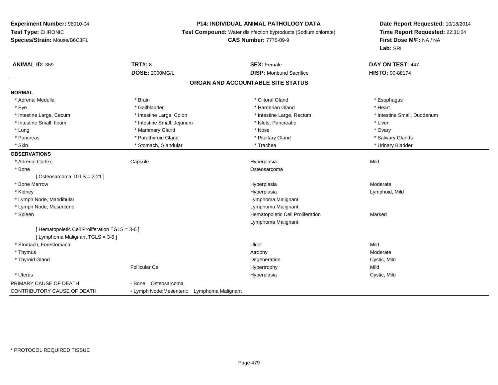# **P14: INDIVIDUAL ANIMAL PATHOLOGY DATA**

**Test Compound:** Water disinfection byproducts (Sodium chlorate)

#### **CAS Number:** 7775-09-9

| <b>ANIMAL ID: 359</b>                           | <b>TRT#: 8</b>                              |  | <b>SEX: Female</b>               | DAY ON TEST: 447            |  |  |  |  |
|-------------------------------------------------|---------------------------------------------|--|----------------------------------|-----------------------------|--|--|--|--|
|                                                 | <b>DOSE: 2000MG/L</b>                       |  | <b>DISP:</b> Moribund Sacrifice  | <b>HISTO: 00-88174</b>      |  |  |  |  |
| ORGAN AND ACCOUNTABLE SITE STATUS               |                                             |  |                                  |                             |  |  |  |  |
| <b>NORMAL</b>                                   |                                             |  |                                  |                             |  |  |  |  |
| * Adrenal Medulla                               | * Brain                                     |  | * Clitoral Gland                 | * Esophagus                 |  |  |  |  |
| * Eye                                           | * Gallbladder                               |  | * Harderian Gland                | * Heart                     |  |  |  |  |
| * Intestine Large, Cecum                        | * Intestine Large, Colon                    |  | * Intestine Large, Rectum        | * Intestine Small, Duodenum |  |  |  |  |
| * Intestine Small, Ileum                        | * Intestine Small, Jejunum                  |  | * Islets, Pancreatic             | * Liver                     |  |  |  |  |
| * Lung                                          | * Mammary Gland                             |  | * Nose                           | * Ovary                     |  |  |  |  |
| * Pancreas                                      | * Parathyroid Gland                         |  | * Pituitary Gland                | * Salivary Glands           |  |  |  |  |
| * Skin                                          | * Stomach, Glandular                        |  | * Trachea                        | * Urinary Bladder           |  |  |  |  |
| <b>OBSERVATIONS</b>                             |                                             |  |                                  |                             |  |  |  |  |
| * Adrenal Cortex                                | Capsule                                     |  | Hyperplasia                      | Mild                        |  |  |  |  |
| * Bone                                          |                                             |  | Osteosarcoma                     |                             |  |  |  |  |
| [Osteosarcoma TGLS = 2-21]                      |                                             |  |                                  |                             |  |  |  |  |
| * Bone Marrow                                   |                                             |  | Hyperplasia                      | Moderate                    |  |  |  |  |
| * Kidney                                        |                                             |  | Hyperplasia                      | Lymphoid, Mild              |  |  |  |  |
| * Lymph Node, Mandibular                        |                                             |  | Lymphoma Malignant               |                             |  |  |  |  |
| * Lymph Node, Mesenteric                        |                                             |  | Lymphoma Malignant               |                             |  |  |  |  |
| * Spleen                                        |                                             |  | Hematopoietic Cell Proliferation | Marked                      |  |  |  |  |
|                                                 |                                             |  | Lymphoma Malignant               |                             |  |  |  |  |
| [ Hematopoietic Cell Proliferation TGLS = 3-6 ] |                                             |  |                                  |                             |  |  |  |  |
| [ Lymphoma Malignant TGLS = 3-6 ]               |                                             |  |                                  |                             |  |  |  |  |
| * Stomach, Forestomach                          |                                             |  | Ulcer                            | Mild                        |  |  |  |  |
| * Thymus                                        |                                             |  | Atrophy                          | Moderate                    |  |  |  |  |
| * Thyroid Gland                                 |                                             |  | Degeneration                     | Cystic, Mild                |  |  |  |  |
|                                                 | <b>Follicular Cel</b>                       |  | Hypertrophy                      | Mild                        |  |  |  |  |
| * Uterus                                        |                                             |  | Hyperplasia                      | Cystic, Mild                |  |  |  |  |
| PRIMARY CAUSE OF DEATH                          | - Bone Osteosarcoma                         |  |                                  |                             |  |  |  |  |
| <b>CONTRIBUTORY CAUSE OF DEATH</b>              | - Lymph Node; Mesenteric Lymphoma Malignant |  |                                  |                             |  |  |  |  |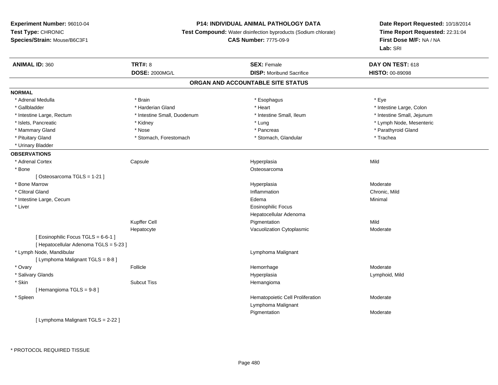#### **P14: INDIVIDUAL ANIMAL PATHOLOGY DATA**

**Test Compound:** Water disinfection byproducts (Sodium chlorate)

**CAS Number:** 7775-09-9

**Date Report Requested:** 10/18/2014**Time Report Requested:** 22:31:04**First Dose M/F:** NA / NA**Lab:** SRI

| <b>ANIMAL ID: 360</b>                  | <b>TRT#: 8</b>              | <b>SEX: Female</b>               | DAY ON TEST: 618           |  |  |  |  |
|----------------------------------------|-----------------------------|----------------------------------|----------------------------|--|--|--|--|
|                                        | <b>DOSE: 2000MG/L</b>       | <b>DISP:</b> Moribund Sacrifice  | HISTO: 00-89098            |  |  |  |  |
| ORGAN AND ACCOUNTABLE SITE STATUS      |                             |                                  |                            |  |  |  |  |
| <b>NORMAL</b>                          |                             |                                  |                            |  |  |  |  |
| * Adrenal Medulla                      | * Brain                     | * Esophagus                      | * Eye                      |  |  |  |  |
| * Gallbladder                          | * Harderian Gland           | * Heart                          | * Intestine Large, Colon   |  |  |  |  |
| * Intestine Large, Rectum              | * Intestine Small, Duodenum | * Intestine Small, Ileum         | * Intestine Small, Jejunum |  |  |  |  |
| * Islets, Pancreatic                   | * Kidney                    | * Lung                           | * Lymph Node, Mesenteric   |  |  |  |  |
| * Mammary Gland                        | * Nose                      | * Pancreas                       | * Parathyroid Gland        |  |  |  |  |
| * Pituitary Gland                      | * Stomach, Forestomach      | * Stomach, Glandular             | * Trachea                  |  |  |  |  |
| * Urinary Bladder                      |                             |                                  |                            |  |  |  |  |
| <b>OBSERVATIONS</b>                    |                             |                                  |                            |  |  |  |  |
| * Adrenal Cortex                       | Capsule                     | Hyperplasia                      | Mild                       |  |  |  |  |
| * Bone                                 |                             | Osteosarcoma                     |                            |  |  |  |  |
| [Osteosarcoma TGLS = 1-21]             |                             |                                  |                            |  |  |  |  |
| * Bone Marrow                          |                             | Hyperplasia                      | Moderate                   |  |  |  |  |
| * Clitoral Gland                       |                             | Inflammation                     | Chronic, Mild              |  |  |  |  |
| * Intestine Large, Cecum               |                             | Edema                            | Minimal                    |  |  |  |  |
| * Liver                                |                             | <b>Eosinophilic Focus</b>        |                            |  |  |  |  |
|                                        |                             | Hepatocellular Adenoma           |                            |  |  |  |  |
|                                        | Kupffer Cell                | Pigmentation                     | Mild                       |  |  |  |  |
|                                        | Hepatocyte                  | Vacuolization Cytoplasmic        | Moderate                   |  |  |  |  |
| [Eosinophilic Focus TGLS = 6-6-1]      |                             |                                  |                            |  |  |  |  |
| [ Hepatocellular Adenoma TGLS = 5-23 ] |                             |                                  |                            |  |  |  |  |
| * Lymph Node, Mandibular               |                             | Lymphoma Malignant               |                            |  |  |  |  |
| [ Lymphoma Malignant TGLS = 8-8 ]      |                             |                                  |                            |  |  |  |  |
| * Ovary                                | Follicle                    | Hemorrhage                       | Moderate                   |  |  |  |  |
| * Salivary Glands                      |                             | Hyperplasia                      | Lymphoid, Mild             |  |  |  |  |
| * Skin                                 | <b>Subcut Tiss</b>          | Hemangioma                       |                            |  |  |  |  |
| [Hemangioma TGLS = 9-8]                |                             |                                  |                            |  |  |  |  |
| * Spleen                               |                             | Hematopoietic Cell Proliferation | Moderate                   |  |  |  |  |
|                                        |                             | Lymphoma Malignant               |                            |  |  |  |  |
|                                        |                             | Pigmentation                     | Moderate                   |  |  |  |  |
| [ Lymphoma Malignant TGLS = 2-22 ]     |                             |                                  |                            |  |  |  |  |

\* PROTOCOL REQUIRED TISSUE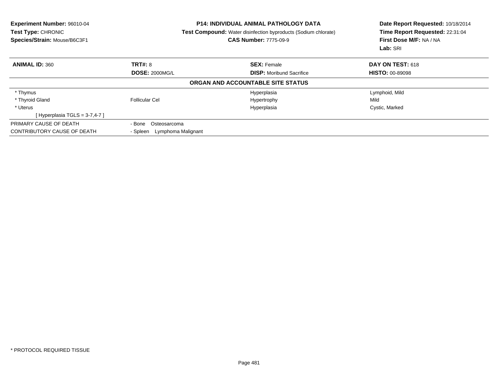| <b>Experiment Number: 96010-04</b><br><b>Test Type: CHRONIC</b><br>Species/Strain: Mouse/B6C3F1 | <b>P14: INDIVIDUAL ANIMAL PATHOLOGY DATA</b><br>Test Compound: Water disinfection byproducts (Sodium chlorate)<br><b>CAS Number: 7775-09-9</b> |                                   | Date Report Requested: 10/18/2014<br>Time Report Requested: 22:31:04<br>First Dose M/F: NA / NA<br>Lab: SRI |  |
|-------------------------------------------------------------------------------------------------|------------------------------------------------------------------------------------------------------------------------------------------------|-----------------------------------|-------------------------------------------------------------------------------------------------------------|--|
| <b>ANIMAL ID: 360</b>                                                                           | <b>TRT#: 8</b>                                                                                                                                 | <b>SEX: Female</b>                | DAY ON TEST: 618                                                                                            |  |
|                                                                                                 | <b>DOSE: 2000MG/L</b>                                                                                                                          | <b>DISP:</b> Moribund Sacrifice   | <b>HISTO: 00-89098</b>                                                                                      |  |
|                                                                                                 |                                                                                                                                                | ORGAN AND ACCOUNTABLE SITE STATUS |                                                                                                             |  |
| * Thymus                                                                                        |                                                                                                                                                | Hyperplasia                       | Lymphoid, Mild                                                                                              |  |
| * Thyroid Gland                                                                                 | Follicular Cel                                                                                                                                 | Hypertrophy                       | Mild                                                                                                        |  |
| * Uterus                                                                                        |                                                                                                                                                | Hyperplasia                       | Cystic, Marked                                                                                              |  |
| [Hyperplasia TGLS = $3-7,4-7$ ]                                                                 |                                                                                                                                                |                                   |                                                                                                             |  |
| PRIMARY CAUSE OF DEATH                                                                          | - Bone<br>Osteosarcoma                                                                                                                         |                                   |                                                                                                             |  |
| CONTRIBUTORY CAUSE OF DEATH                                                                     | - Spleen Lymphoma Malignant                                                                                                                    |                                   |                                                                                                             |  |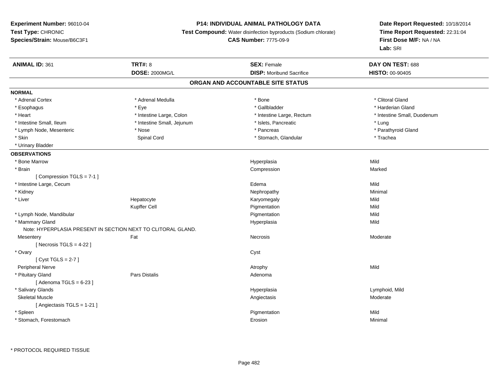### **P14: INDIVIDUAL ANIMAL PATHOLOGY DATA**

**Test Compound:** Water disinfection byproducts (Sodium chlorate)

**CAS Number:** 7775-09-9

| <b>ANIMAL ID: 361</b>       | <b>TRT#: 8</b>                                               | <b>SEX: Female</b>                | DAY ON TEST: 688            |
|-----------------------------|--------------------------------------------------------------|-----------------------------------|-----------------------------|
|                             | <b>DOSE: 2000MG/L</b>                                        | <b>DISP:</b> Moribund Sacrifice   | HISTO: 00-90405             |
|                             |                                                              | ORGAN AND ACCOUNTABLE SITE STATUS |                             |
| <b>NORMAL</b>               |                                                              |                                   |                             |
| * Adrenal Cortex            | * Adrenal Medulla                                            | * Bone                            | * Clitoral Gland            |
| * Esophagus                 | * Eye                                                        | * Gallbladder                     | * Harderian Gland           |
| * Heart                     | * Intestine Large, Colon                                     | * Intestine Large, Rectum         | * Intestine Small, Duodenum |
| * Intestine Small, Ileum    | * Intestine Small, Jejunum                                   | * Islets, Pancreatic              | * Lung                      |
| * Lymph Node, Mesenteric    | * Nose                                                       | * Pancreas                        | * Parathyroid Gland         |
| * Skin                      | Spinal Cord                                                  | * Stomach, Glandular              | * Trachea                   |
| * Urinary Bladder           |                                                              |                                   |                             |
| <b>OBSERVATIONS</b>         |                                                              |                                   |                             |
| * Bone Marrow               |                                                              | Hyperplasia                       | Mild                        |
| * Brain                     |                                                              | Compression                       | Marked                      |
| [Compression TGLS = 7-1]    |                                                              |                                   |                             |
| * Intestine Large, Cecum    |                                                              | Edema                             | Mild                        |
| * Kidney                    |                                                              | Nephropathy                       | Minimal                     |
| * Liver                     | Hepatocyte                                                   | Karyomegaly                       | Mild                        |
|                             | Kupffer Cell                                                 | Pigmentation                      | Mild                        |
| * Lymph Node, Mandibular    |                                                              | Pigmentation                      | Mild                        |
| * Mammary Gland             |                                                              | Hyperplasia                       | Mild                        |
|                             | Note: HYPERPLASIA PRESENT IN SECTION NEXT TO CLITORAL GLAND. |                                   |                             |
| Mesentery                   | Fat                                                          | Necrosis                          | Moderate                    |
| [Necrosis $TGLS = 4-22$ ]   |                                                              |                                   |                             |
| * Ovary                     |                                                              | Cyst                              |                             |
| [Cyst TGLS = $2-7$ ]        |                                                              |                                   |                             |
| Peripheral Nerve            |                                                              | Atrophy                           | Mild                        |
| * Pituitary Gland           | <b>Pars Distalis</b>                                         | Adenoma                           |                             |
| [Adenoma TGLS = $6-23$ ]    |                                                              |                                   |                             |
| * Salivary Glands           |                                                              | Hyperplasia                       | Lymphoid, Mild              |
| <b>Skeletal Muscle</b>      |                                                              | Angiectasis                       | Moderate                    |
| [ Angiectasis TGLS = 1-21 ] |                                                              |                                   |                             |
| * Spleen                    |                                                              | Pigmentation                      | Mild                        |
| * Stomach, Forestomach      |                                                              | Erosion                           | Minimal                     |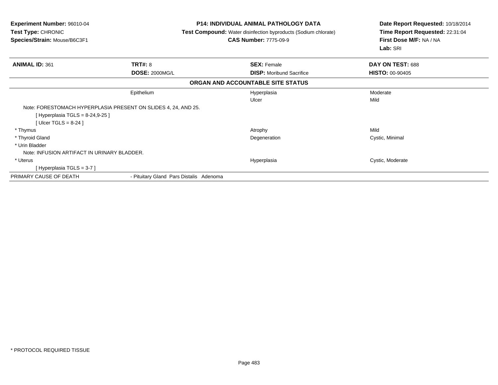| <b>Experiment Number: 96010-04</b><br>Test Type: CHRONIC<br>Species/Strain: Mouse/B6C3F1 |                                         | <b>P14: INDIVIDUAL ANIMAL PATHOLOGY DATA</b><br><b>Test Compound:</b> Water disinfection byproducts (Sodium chlorate)<br><b>CAS Number: 7775-09-9</b> | Date Report Requested: 10/18/2014<br>Time Report Requested: 22:31:04<br>First Dose M/F: NA / NA<br>Lab: SRI |
|------------------------------------------------------------------------------------------|-----------------------------------------|-------------------------------------------------------------------------------------------------------------------------------------------------------|-------------------------------------------------------------------------------------------------------------|
| <b>ANIMAL ID: 361</b>                                                                    | <b>TRT#: 8</b>                          | <b>SEX: Female</b>                                                                                                                                    | DAY ON TEST: 688                                                                                            |
|                                                                                          | <b>DOSE: 2000MG/L</b>                   | <b>DISP:</b> Moribund Sacrifice                                                                                                                       | <b>HISTO: 00-90405</b>                                                                                      |
|                                                                                          |                                         | ORGAN AND ACCOUNTABLE SITE STATUS                                                                                                                     |                                                                                                             |
|                                                                                          | Epithelium                              | Hyperplasia                                                                                                                                           | Moderate                                                                                                    |
|                                                                                          |                                         | Ulcer                                                                                                                                                 | Mild                                                                                                        |
| Note: FORESTOMACH HYPERPLASIA PRESENT ON SLIDES 4, 24, AND 25.                           |                                         |                                                                                                                                                       |                                                                                                             |
| [Hyperplasia TGLS = 8-24,9-25 ]<br>[Ulcer TGLS = $8-24$ ]                                |                                         |                                                                                                                                                       |                                                                                                             |
| * Thymus                                                                                 |                                         | Atrophy                                                                                                                                               | Mild                                                                                                        |
| * Thyroid Gland                                                                          |                                         | Degeneration                                                                                                                                          | Cystic, Minimal                                                                                             |
| * Urin Bladder                                                                           |                                         |                                                                                                                                                       |                                                                                                             |
| Note: INFUSION ARTIFACT IN URINARY BLADDER.                                              |                                         |                                                                                                                                                       |                                                                                                             |
| * Uterus                                                                                 |                                         | Hyperplasia                                                                                                                                           | Cystic, Moderate                                                                                            |
| [Hyperplasia TGLS = 3-7]                                                                 |                                         |                                                                                                                                                       |                                                                                                             |
| PRIMARY CAUSE OF DEATH                                                                   | - Pituitary Gland Pars Distalis Adenoma |                                                                                                                                                       |                                                                                                             |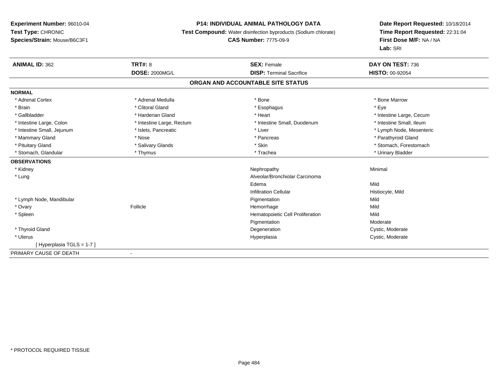# **P14: INDIVIDUAL ANIMAL PATHOLOGY DATA**

**Test Compound:** Water disinfection byproducts (Sodium chlorate)

# **CAS Number:** 7775-09-9

| <b>ANIMAL ID: 362</b>      | TRT#: 8                   | <b>SEX: Female</b>                | DAY ON TEST: 736         |
|----------------------------|---------------------------|-----------------------------------|--------------------------|
|                            | <b>DOSE: 2000MG/L</b>     | <b>DISP: Terminal Sacrifice</b>   | <b>HISTO: 00-92054</b>   |
|                            |                           | ORGAN AND ACCOUNTABLE SITE STATUS |                          |
| <b>NORMAL</b>              |                           |                                   |                          |
| * Adrenal Cortex           | * Adrenal Medulla         | * Bone                            | * Bone Marrow            |
| * Brain                    | * Clitoral Gland          | * Esophagus                       | * Eye                    |
| * Gallbladder              | * Harderian Gland         | * Heart                           | * Intestine Large, Cecum |
| * Intestine Large, Colon   | * Intestine Large, Rectum | * Intestine Small, Duodenum       | * Intestine Small, Ileum |
| * Intestine Small, Jejunum | * Islets, Pancreatic      | * Liver                           | * Lymph Node, Mesenteric |
| * Mammary Gland            | * Nose                    | * Pancreas                        | * Parathyroid Gland      |
| * Pituitary Gland          | * Salivary Glands         | * Skin                            | * Stomach, Forestomach   |
| * Stomach, Glandular       | * Thymus                  | * Trachea                         | * Urinary Bladder        |
| <b>OBSERVATIONS</b>        |                           |                                   |                          |
| * Kidney                   |                           | Nephropathy                       | Minimal                  |
| * Lung                     |                           | Alveolar/Bronchiolar Carcinoma    |                          |
|                            |                           | Edema                             | Mild                     |
|                            |                           | <b>Infiltration Cellular</b>      | Histiocyte, Mild         |
| * Lymph Node, Mandibular   |                           | Pigmentation                      | Mild                     |
| * Ovary                    | Follicle                  | Hemorrhage                        | Mild                     |
| * Spleen                   |                           | Hematopoietic Cell Proliferation  | Mild                     |
|                            |                           | Pigmentation                      | Moderate                 |
| * Thyroid Gland            |                           | Degeneration                      | Cystic, Moderate         |
| * Uterus                   |                           | Hyperplasia                       | Cystic, Moderate         |
| [Hyperplasia TGLS = 1-7]   |                           |                                   |                          |
| PRIMARY CAUSE OF DEATH     | $\blacksquare$            |                                   |                          |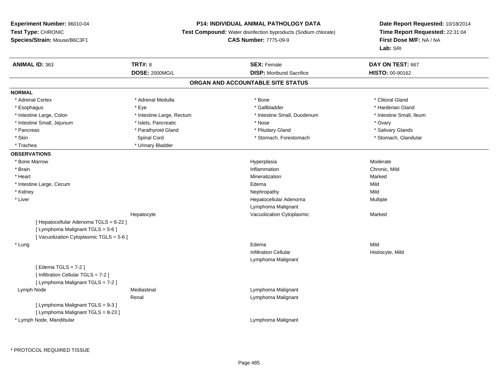# **P14: INDIVIDUAL ANIMAL PATHOLOGY DATA**

**Test Compound:** Water disinfection byproducts (Sodium chlorate)

**CAS Number:** 7775-09-9

| <b>ANIMAL ID: 363</b>                  | <b>TRT#: 8</b>            | <b>SEX: Female</b>                | DAY ON TEST: 667         |
|----------------------------------------|---------------------------|-----------------------------------|--------------------------|
|                                        | <b>DOSE: 2000MG/L</b>     | <b>DISP: Moribund Sacrifice</b>   | HISTO: 00-90162          |
|                                        |                           | ORGAN AND ACCOUNTABLE SITE STATUS |                          |
| <b>NORMAL</b>                          |                           |                                   |                          |
| * Adrenal Cortex                       | * Adrenal Medulla         | * Bone                            | * Clitoral Gland         |
| * Esophagus                            | * Eye                     | * Gallbladder                     | * Harderian Gland        |
| * Intestine Large, Colon               | * Intestine Large, Rectum | * Intestine Small, Duodenum       | * Intestine Small, Ileum |
| * Intestine Small, Jejunum             | * Islets, Pancreatic      | * Nose                            | * Ovary                  |
| * Pancreas                             | * Parathyroid Gland       | * Pituitary Gland                 | * Salivary Glands        |
| * Skin                                 | Spinal Cord               | * Stomach, Forestomach            | * Stomach, Glandular     |
| * Trachea                              | * Urinary Bladder         |                                   |                          |
| <b>OBSERVATIONS</b>                    |                           |                                   |                          |
| * Bone Marrow                          |                           | Hyperplasia                       | Moderate                 |
| * Brain                                |                           | Inflammation                      | Chronic, Mild            |
| * Heart                                |                           | Mineralization                    | Marked                   |
| * Intestine Large, Cecum               |                           | Edema                             | Mild                     |
| * Kidney                               |                           | Nephropathy                       | Mild                     |
| * Liver                                |                           | Hepatocellular Adenoma            | Multiple                 |
|                                        |                           | Lymphoma Malignant                |                          |
|                                        | Hepatocyte                | Vacuolization Cytoplasmic         | Marked                   |
| [ Hepatocellular Adenoma TGLS = 6-22 ] |                           |                                   |                          |
| [ Lymphoma Malignant TGLS = 5-6 ]      |                           |                                   |                          |
| [Vacuolization Cytoplasmic TGLS = 5-6] |                           |                                   |                          |
| * Lung                                 |                           | Edema                             | Mild                     |
|                                        |                           | <b>Infiltration Cellular</b>      | Histiocyte, Mild         |
|                                        |                           | Lymphoma Malignant                |                          |
| [Edema TGLS = $7-2$ ]                  |                           |                                   |                          |
| [ Infiltration Cellular TGLS = 7-2 ]   |                           |                                   |                          |
| [ Lymphoma Malignant TGLS = 7-2 ]      |                           |                                   |                          |
| Lymph Node                             | Mediastinal               | Lymphoma Malignant                |                          |
|                                        | Renal                     | Lymphoma Malignant                |                          |
| [ Lymphoma Malignant TGLS = 9-3 ]      |                           |                                   |                          |
| [ Lymphoma Malignant TGLS = 8-23 ]     |                           |                                   |                          |
| * Lymph Node, Mandibular               |                           | Lymphoma Malignant                |                          |
|                                        |                           |                                   |                          |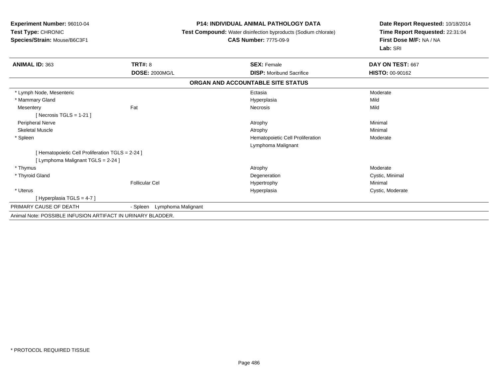### **P14: INDIVIDUAL ANIMAL PATHOLOGY DATA**

**Test Compound:** Water disinfection byproducts (Sodium chlorate)

#### **CAS Number:** 7775-09-9

| <b>ANIMAL ID: 363</b>                                       | <b>TRT#: 8</b>                 | <b>SEX: Female</b>                | DAY ON TEST: 667       |
|-------------------------------------------------------------|--------------------------------|-----------------------------------|------------------------|
|                                                             | <b>DOSE: 2000MG/L</b>          | <b>DISP:</b> Moribund Sacrifice   | <b>HISTO: 00-90162</b> |
|                                                             |                                | ORGAN AND ACCOUNTABLE SITE STATUS |                        |
| * Lymph Node, Mesenteric                                    |                                | Ectasia                           | Moderate               |
| * Mammary Gland                                             |                                | Hyperplasia                       | Mild                   |
| Mesentery                                                   | Fat                            | Necrosis                          | Mild                   |
| [Necrosis TGLS = 1-21]                                      |                                |                                   |                        |
| Peripheral Nerve                                            |                                | Atrophy                           | Minimal                |
| <b>Skeletal Muscle</b>                                      |                                | Atrophy                           | Minimal                |
| * Spleen                                                    |                                | Hematopoietic Cell Proliferation  | Moderate               |
|                                                             |                                | Lymphoma Malignant                |                        |
| [Hematopoietic Cell Proliferation TGLS = 2-24 ]             |                                |                                   |                        |
| [ Lymphoma Malignant TGLS = 2-24 ]                          |                                |                                   |                        |
| * Thymus                                                    |                                | Atrophy                           | Moderate               |
| * Thyroid Gland                                             |                                | Degeneration                      | Cystic, Minimal        |
|                                                             | <b>Follicular Cel</b>          | Hypertrophy                       | Minimal                |
| * Uterus                                                    |                                | Hyperplasia                       | Cystic, Moderate       |
| [Hyperplasia TGLS = 4-7]                                    |                                |                                   |                        |
| PRIMARY CAUSE OF DEATH                                      | Lymphoma Malignant<br>- Spleen |                                   |                        |
| Animal Note: POSSIBLE INFUSION ARTIFACT IN URINARY BLADDER. |                                |                                   |                        |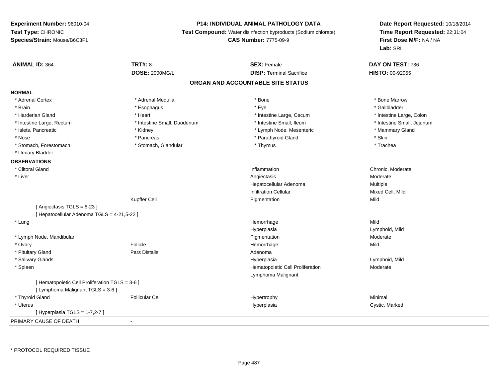# **P14: INDIVIDUAL ANIMAL PATHOLOGY DATA**

**Test Compound:** Water disinfection byproducts (Sodium chlorate)

**CAS Number:** 7775-09-9

| <b>ANIMAL ID: 364</b>                           | <b>TRT#: 8</b>              | <b>SEX: Female</b>                | DAY ON TEST: 736           |  |
|-------------------------------------------------|-----------------------------|-----------------------------------|----------------------------|--|
|                                                 | <b>DOSE: 2000MG/L</b>       | <b>DISP: Terminal Sacrifice</b>   | HISTO: 00-92055            |  |
|                                                 |                             | ORGAN AND ACCOUNTABLE SITE STATUS |                            |  |
| <b>NORMAL</b>                                   |                             |                                   |                            |  |
| * Adrenal Cortex                                | * Adrenal Medulla           | * Bone                            | * Bone Marrow              |  |
| * Brain                                         | * Esophagus                 | * Eye                             | * Gallbladder              |  |
| * Harderian Gland                               | * Heart                     | * Intestine Large, Cecum          | * Intestine Large, Colon   |  |
| * Intestine Large, Rectum                       | * Intestine Small, Duodenum | * Intestine Small, Ileum          | * Intestine Small, Jejunum |  |
| * Islets, Pancreatic                            | * Kidney                    | * Lymph Node, Mesenteric          | * Mammary Gland            |  |
| * Nose                                          | * Pancreas                  | * Parathyroid Gland               | * Skin                     |  |
| * Stomach, Forestomach                          | * Stomach, Glandular        | * Thymus                          | * Trachea                  |  |
| * Urinary Bladder                               |                             |                                   |                            |  |
| <b>OBSERVATIONS</b>                             |                             |                                   |                            |  |
| * Clitoral Gland                                |                             | Inflammation                      | Chronic, Moderate          |  |
| * Liver                                         |                             | Angiectasis                       | Moderate                   |  |
|                                                 |                             | Hepatocellular Adenoma            | Multiple                   |  |
|                                                 |                             | <b>Infiltration Cellular</b>      | Mixed Cell, Mild           |  |
|                                                 | Kupffer Cell                | Pigmentation                      | Mild                       |  |
| [Angiectasis TGLS = 6-23]                       |                             |                                   |                            |  |
| [ Hepatocellular Adenoma TGLS = 4-21,5-22 ]     |                             |                                   |                            |  |
| * Lung                                          |                             | Hemorrhage                        | Mild                       |  |
|                                                 |                             | Hyperplasia                       | Lymphoid, Mild             |  |
| * Lymph Node, Mandibular                        |                             | Pigmentation                      | Moderate                   |  |
| * Ovary                                         | Follicle                    | Hemorrhage                        | Mild                       |  |
| * Pituitary Gland                               | Pars Distalis               | Adenoma                           |                            |  |
| * Salivary Glands                               |                             | Hyperplasia                       | Lymphoid, Mild             |  |
| * Spleen                                        |                             | Hematopoietic Cell Proliferation  | Moderate                   |  |
|                                                 |                             | Lymphoma Malignant                |                            |  |
| [ Hematopoietic Cell Proliferation TGLS = 3-6 ] |                             |                                   |                            |  |
| [ Lymphoma Malignant TGLS = 3-6 ]               |                             |                                   |                            |  |
| * Thyroid Gland                                 | <b>Follicular Cel</b>       | Hypertrophy                       | Minimal                    |  |
| * Uterus                                        |                             | Hyperplasia                       | Cystic, Marked             |  |
| [Hyperplasia TGLS = $1-7,2-7$ ]                 |                             |                                   |                            |  |
| PRIMARY CAUSE OF DEATH                          | $\blacksquare$              |                                   |                            |  |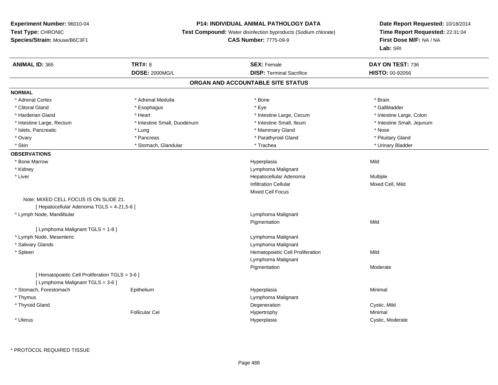# **P14: INDIVIDUAL ANIMAL PATHOLOGY DATA**

**Test Compound:** Water disinfection byproducts (Sodium chlorate)

# **CAS Number:** 7775-09-9

| <b>ANIMAL ID: 365</b>                           | TRT#: 8                     | <b>SEX: Female</b>                | DAY ON TEST: 736           |
|-------------------------------------------------|-----------------------------|-----------------------------------|----------------------------|
|                                                 | <b>DOSE: 2000MG/L</b>       | <b>DISP: Terminal Sacrifice</b>   | HISTO: 00-92056            |
|                                                 |                             | ORGAN AND ACCOUNTABLE SITE STATUS |                            |
| <b>NORMAL</b>                                   |                             |                                   |                            |
| * Adrenal Cortex                                | * Adrenal Medulla           | * Bone                            | * Brain                    |
| * Clitoral Gland                                | * Esophagus                 | * Eye                             | * Gallbladder              |
| * Harderian Gland                               | * Heart                     | * Intestine Large, Cecum          | * Intestine Large, Colon   |
| * Intestine Large, Rectum                       | * Intestine Small, Duodenum | * Intestine Small, Ileum          | * Intestine Small, Jejunum |
| * Islets, Pancreatic                            | * Lung                      | * Mammary Gland                   | * Nose                     |
| * Ovary                                         | * Pancreas                  | * Parathyroid Gland               | * Pituitary Gland          |
| * Skin                                          | * Stomach, Glandular        | * Trachea                         | * Urinary Bladder          |
| <b>OBSERVATIONS</b>                             |                             |                                   |                            |
| * Bone Marrow                                   |                             | Hyperplasia                       | Mild                       |
| * Kidney                                        |                             | Lymphoma Malignant                |                            |
| * Liver                                         |                             | Hepatocellular Adenoma            | Multiple                   |
|                                                 |                             | <b>Infiltration Cellular</b>      | Mixed Cell, Mild           |
|                                                 |                             | <b>Mixed Cell Focus</b>           |                            |
| Note: MIXED CELL FOCUS IS ON SLIDE 21.          |                             |                                   |                            |
| [ Hepatocellular Adenoma TGLS = 4-21,5-6 ]      |                             |                                   |                            |
| * Lymph Node, Mandibular                        |                             | Lymphoma Malignant                |                            |
|                                                 |                             | Pigmentation                      | Mild                       |
| [ Lymphoma Malignant TGLS = 1-8 ]               |                             |                                   |                            |
| * Lymph Node, Mesenteric                        |                             | Lymphoma Malignant                |                            |
| * Salivary Glands                               |                             | Lymphoma Malignant                |                            |
| * Spleen                                        |                             | Hematopoietic Cell Proliferation  | Mild                       |
|                                                 |                             | Lymphoma Malignant                |                            |
|                                                 |                             | Pigmentation                      | Moderate                   |
| [ Hematopoietic Cell Proliferation TGLS = 3-6 ] |                             |                                   |                            |
| [ Lymphoma Malignant TGLS = 3-6 ]               |                             |                                   |                            |
| * Stomach, Forestomach                          | Epithelium                  | Hyperplasia                       | Minimal                    |
| * Thymus                                        |                             | Lymphoma Malignant                |                            |
| * Thyroid Gland                                 |                             | Degeneration                      | Cystic, Mild               |
|                                                 | <b>Follicular Cel</b>       | Hypertrophy                       | Minimal                    |
| * Uterus                                        |                             | Hyperplasia                       | Cystic, Moderate           |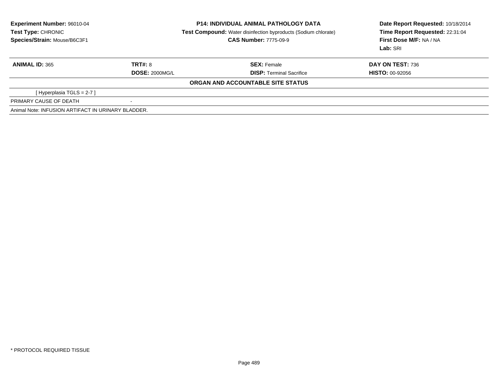| Experiment Number: 96010-04                        | <b>P14: INDIVIDUAL ANIMAL PATHOLOGY DATA</b> |                                                                       | Date Report Requested: 10/18/2014 |  |
|----------------------------------------------------|----------------------------------------------|-----------------------------------------------------------------------|-----------------------------------|--|
| Test Type: CHRONIC                                 |                                              | <b>Test Compound:</b> Water disinfection byproducts (Sodium chlorate) | Time Report Requested: 22:31:04   |  |
| Species/Strain: Mouse/B6C3F1                       | <b>CAS Number: 7775-09-9</b>                 |                                                                       | First Dose M/F: NA / NA           |  |
|                                                    |                                              |                                                                       | Lab: SRI                          |  |
| <b>ANIMAL ID: 365</b>                              | TRT#: 8                                      | <b>SEX: Female</b>                                                    | <b>DAY ON TEST: 736</b>           |  |
|                                                    | <b>DOSE: 2000MG/L</b>                        | <b>DISP:</b> Terminal Sacrifice                                       | <b>HISTO: 00-92056</b>            |  |
|                                                    |                                              | ORGAN AND ACCOUNTABLE SITE STATUS                                     |                                   |  |
| [Hyperplasia TGLS = $2-7$ ]                        |                                              |                                                                       |                                   |  |
| PRIMARY CAUSE OF DEATH                             | $\overline{\phantom{a}}$                     |                                                                       |                                   |  |
| Animal Note: INFUSION ARTIFACT IN URINARY BLADDER. |                                              |                                                                       |                                   |  |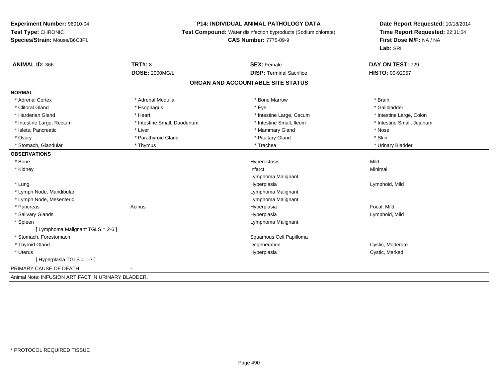# **P14: INDIVIDUAL ANIMAL PATHOLOGY DATA**

**Test Compound:** Water disinfection byproducts (Sodium chlorate)

# **CAS Number:** 7775-09-9

| <b>ANIMAL ID: 366</b>                              | TRT#: 8                     | <b>SEX: Female</b>                | DAY ON TEST: 729           |
|----------------------------------------------------|-----------------------------|-----------------------------------|----------------------------|
|                                                    | <b>DOSE: 2000MG/L</b>       | <b>DISP: Terminal Sacrifice</b>   | <b>HISTO: 00-92057</b>     |
|                                                    |                             | ORGAN AND ACCOUNTABLE SITE STATUS |                            |
| <b>NORMAL</b>                                      |                             |                                   |                            |
| * Adrenal Cortex                                   | * Adrenal Medulla           | * Bone Marrow                     | * Brain                    |
| * Clitoral Gland                                   | * Esophagus                 | * Eye                             | * Gallbladder              |
| * Harderian Gland                                  | * Heart                     | * Intestine Large, Cecum          | * Intestine Large, Colon   |
| * Intestine Large, Rectum                          | * Intestine Small, Duodenum | * Intestine Small. Ileum          | * Intestine Small, Jejunum |
| * Islets, Pancreatic                               | * Liver                     | * Mammary Gland                   | * Nose                     |
| * Ovary                                            | * Parathyroid Gland         | * Pituitary Gland                 | * Skin                     |
| * Stomach, Glandular                               | * Thymus                    | * Trachea                         | * Urinary Bladder          |
| <b>OBSERVATIONS</b>                                |                             |                                   |                            |
| * Bone                                             |                             | Hyperostosis                      | Mild                       |
| * Kidney                                           |                             | Infarct                           | Minimal                    |
|                                                    |                             | Lymphoma Malignant                |                            |
| * Lung                                             |                             | Hyperplasia                       | Lymphoid, Mild             |
| * Lymph Node, Mandibular                           |                             | Lymphoma Malignant                |                            |
| * Lymph Node, Mesenteric                           |                             | Lymphoma Malignant                |                            |
| * Pancreas                                         | Acinus                      | Hyperplasia                       | Focal, Mild                |
| * Salivary Glands                                  |                             | Hyperplasia                       | Lymphoid, Mild             |
| * Spleen                                           |                             | Lymphoma Malignant                |                            |
| [ Lymphoma Malignant TGLS = 2-6 ]                  |                             |                                   |                            |
| * Stomach, Forestomach                             |                             | Squamous Cell Papilloma           |                            |
| * Thyroid Gland                                    |                             | Degeneration                      | Cystic, Moderate           |
| * Uterus                                           |                             | Hyperplasia                       | Cystic, Marked             |
| [Hyperplasia TGLS = 1-7]                           |                             |                                   |                            |
| PRIMARY CAUSE OF DEATH                             |                             |                                   |                            |
| Animal Note: INFUSION ARTIFACT IN URINARY BLADDER. |                             |                                   |                            |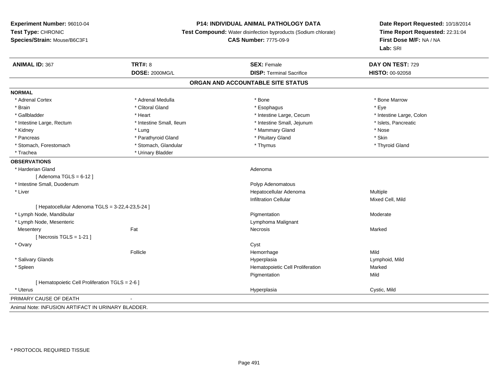# **P14: INDIVIDUAL ANIMAL PATHOLOGY DATA**

**Test Compound:** Water disinfection byproducts (Sodium chlorate)

**CAS Number:** 7775-09-9

| <b>ANIMAL ID: 367</b>                              | <b>TRT#: 8</b>           | <b>SEX: Female</b>                | DAY ON TEST: 729         |  |
|----------------------------------------------------|--------------------------|-----------------------------------|--------------------------|--|
|                                                    | <b>DOSE: 2000MG/L</b>    | <b>DISP: Terminal Sacrifice</b>   | HISTO: 00-92058          |  |
|                                                    |                          | ORGAN AND ACCOUNTABLE SITE STATUS |                          |  |
| <b>NORMAL</b>                                      |                          |                                   |                          |  |
| * Adrenal Cortex                                   | * Adrenal Medulla        | $*$ Bone                          | * Bone Marrow            |  |
| * Brain                                            | * Clitoral Gland         | * Esophagus                       | * Eye                    |  |
| * Gallbladder                                      | * Heart                  | * Intestine Large, Cecum          | * Intestine Large, Colon |  |
| * Intestine Large, Rectum                          | * Intestine Small, Ileum | * Intestine Small, Jejunum        | * Islets, Pancreatic     |  |
| * Kidney                                           | * Lung                   | * Mammary Gland                   | * Nose                   |  |
| * Pancreas                                         | * Parathyroid Gland      | * Pituitary Gland                 | * Skin                   |  |
| * Stomach, Forestomach                             | * Stomach, Glandular     | * Thymus                          | * Thyroid Gland          |  |
| * Trachea                                          | * Urinary Bladder        |                                   |                          |  |
| <b>OBSERVATIONS</b>                                |                          |                                   |                          |  |
| * Harderian Gland                                  |                          | Adenoma                           |                          |  |
| [Adenoma TGLS = $6-12$ ]                           |                          |                                   |                          |  |
| * Intestine Small, Duodenum                        |                          | Polyp Adenomatous                 |                          |  |
| * Liver                                            |                          | Hepatocellular Adenoma            | Multiple                 |  |
|                                                    |                          | <b>Infiltration Cellular</b>      | Mixed Cell, Mild         |  |
| [ Hepatocellular Adenoma TGLS = 3-22,4-23,5-24 ]   |                          |                                   |                          |  |
| * Lymph Node, Mandibular                           |                          | Pigmentation                      | Moderate                 |  |
| * Lymph Node, Mesenteric                           |                          | Lymphoma Malignant                |                          |  |
| Mesentery                                          | Fat                      | Necrosis                          | Marked                   |  |
| [Necrosis TGLS = $1-21$ ]                          |                          |                                   |                          |  |
| * Ovary                                            |                          | Cyst                              |                          |  |
|                                                    | Follicle                 | Hemorrhage                        | Mild                     |  |
| * Salivary Glands                                  |                          | Hyperplasia                       | Lymphoid, Mild           |  |
| * Spleen                                           |                          | Hematopoietic Cell Proliferation  | Marked                   |  |
|                                                    |                          | Pigmentation                      | Mild                     |  |
| [ Hematopoietic Cell Proliferation TGLS = 2-6 ]    |                          |                                   |                          |  |
| * Uterus                                           |                          | Hyperplasia                       | Cystic, Mild             |  |
| PRIMARY CAUSE OF DEATH                             |                          |                                   |                          |  |
| Animal Note: INFUSION ARTIFACT IN URINARY BLADDER. |                          |                                   |                          |  |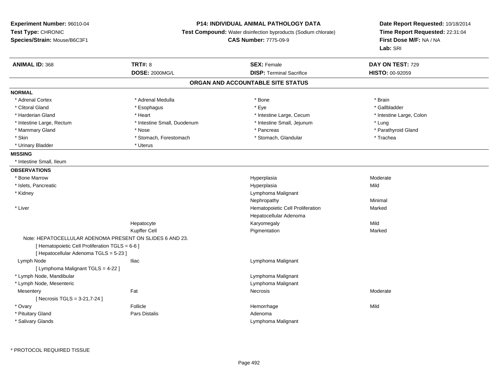# **P14: INDIVIDUAL ANIMAL PATHOLOGY DATA**

**Test Compound:** Water disinfection byproducts (Sodium chlorate)

**CAS Number:** 7775-09-9

| <b>ANIMAL ID: 368</b>                           | <b>TRT#: 8</b>                                           | <b>SEX: Female</b>                | DAY ON TEST: 729         |
|-------------------------------------------------|----------------------------------------------------------|-----------------------------------|--------------------------|
|                                                 | <b>DOSE: 2000MG/L</b>                                    | <b>DISP: Terminal Sacrifice</b>   | HISTO: 00-92059          |
|                                                 |                                                          | ORGAN AND ACCOUNTABLE SITE STATUS |                          |
| <b>NORMAL</b>                                   |                                                          |                                   |                          |
| * Adrenal Cortex                                | * Adrenal Medulla                                        | * Bone                            | * Brain                  |
| * Clitoral Gland                                | * Esophagus                                              | * Eye                             | * Gallbladder            |
| * Harderian Gland                               | * Heart                                                  | * Intestine Large, Cecum          | * Intestine Large, Colon |
| * Intestine Large, Rectum                       | * Intestine Small, Duodenum                              | * Intestine Small, Jejunum        | * Lung                   |
| * Mammary Gland                                 | * Nose                                                   | * Pancreas                        | * Parathyroid Gland      |
| * Skin                                          | * Stomach, Forestomach                                   | * Stomach, Glandular              | * Trachea                |
| * Urinary Bladder                               | * Uterus                                                 |                                   |                          |
| <b>MISSING</b>                                  |                                                          |                                   |                          |
| * Intestine Small, Ileum                        |                                                          |                                   |                          |
| <b>OBSERVATIONS</b>                             |                                                          |                                   |                          |
| * Bone Marrow                                   |                                                          | Hyperplasia                       | Moderate                 |
| * Islets, Pancreatic                            |                                                          | Hyperplasia                       | Mild                     |
| * Kidney                                        |                                                          | Lymphoma Malignant                |                          |
|                                                 |                                                          | Nephropathy                       | Minimal                  |
| * Liver                                         |                                                          | Hematopoietic Cell Proliferation  | Marked                   |
|                                                 |                                                          | Hepatocellular Adenoma            |                          |
|                                                 | Hepatocyte                                               | Karyomegaly                       | Mild                     |
|                                                 | Kupffer Cell                                             | Pigmentation                      | Marked                   |
|                                                 | Note: HEPATOCELLULAR ADENOMA PRESENT ON SLIDES 6 AND 23. |                                   |                          |
| [ Hematopoietic Cell Proliferation TGLS = 6-6 ] |                                                          |                                   |                          |
| [ Hepatocellular Adenoma TGLS = 5-23 ]          |                                                          |                                   |                          |
| Lymph Node                                      | <b>Iliac</b>                                             | Lymphoma Malignant                |                          |
| [ Lymphoma Malignant TGLS = 4-22 ]              |                                                          |                                   |                          |
| * Lymph Node, Mandibular                        |                                                          | Lymphoma Malignant                |                          |
| * Lymph Node, Mesenteric                        |                                                          | Lymphoma Malignant                |                          |
| Mesentery                                       | Fat                                                      | Necrosis                          | Moderate                 |
| [Necrosis TGLS = 3-21,7-24]                     |                                                          |                                   |                          |
| * Ovary                                         | Follicle                                                 | Hemorrhage                        | Mild                     |
| * Pituitary Gland                               | <b>Pars Distalis</b>                                     | Adenoma                           |                          |
| * Salivary Glands                               |                                                          | Lymphoma Malignant                |                          |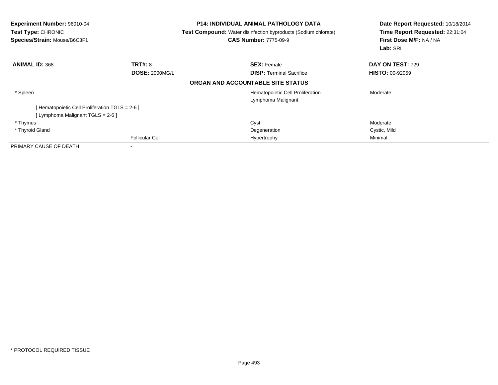| <b>Experiment Number: 96010-04</b><br>Test Type: CHRONIC<br>Species/Strain: Mouse/B6C3F1 |                       | <b>P14: INDIVIDUAL ANIMAL PATHOLOGY DATA</b><br><b>Test Compound:</b> Water disinfection byproducts (Sodium chlorate)<br><b>CAS Number: 7775-09-9</b> | Date Report Requested: 10/18/2014<br>Time Report Requested: 22:31:04<br>First Dose M/F: NA / NA<br>Lab: SRI |  |
|------------------------------------------------------------------------------------------|-----------------------|-------------------------------------------------------------------------------------------------------------------------------------------------------|-------------------------------------------------------------------------------------------------------------|--|
| <b>ANIMAL ID: 368</b>                                                                    | <b>TRT#: 8</b>        | <b>SEX: Female</b>                                                                                                                                    | DAY ON TEST: 729                                                                                            |  |
|                                                                                          | <b>DOSE: 2000MG/L</b> | <b>DISP:</b> Terminal Sacrifice                                                                                                                       | <b>HISTO: 00-92059</b>                                                                                      |  |
|                                                                                          |                       | ORGAN AND ACCOUNTABLE SITE STATUS                                                                                                                     |                                                                                                             |  |
| * Spleen                                                                                 |                       | Hematopoietic Cell Proliferation                                                                                                                      | Moderate                                                                                                    |  |
|                                                                                          |                       | Lymphoma Malignant                                                                                                                                    |                                                                                                             |  |
| [Hematopoietic Cell Proliferation TGLS = 2-6 ]                                           |                       |                                                                                                                                                       |                                                                                                             |  |
| [ Lymphoma Malignant TGLS = 2-6 ]                                                        |                       |                                                                                                                                                       |                                                                                                             |  |
| * Thymus                                                                                 |                       | Cyst                                                                                                                                                  | Moderate                                                                                                    |  |
| * Thyroid Gland                                                                          |                       | Degeneration                                                                                                                                          | Cystic, Mild                                                                                                |  |
|                                                                                          | <b>Follicular Cel</b> | Hypertrophy                                                                                                                                           | Minimal                                                                                                     |  |
| PRIMARY CAUSE OF DEATH                                                                   |                       |                                                                                                                                                       |                                                                                                             |  |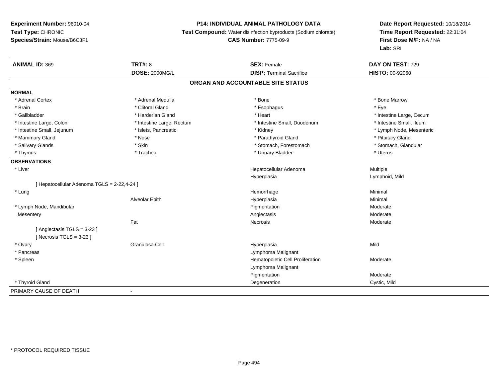# **P14: INDIVIDUAL ANIMAL PATHOLOGY DATA**

**Test Compound:** Water disinfection byproducts (Sodium chlorate)

# **CAS Number:** 7775-09-9

| <b>ANIMAL ID: 369</b>                     | <b>TRT#: 8</b>            | <b>SEX: Female</b>                | DAY ON TEST: 729         |
|-------------------------------------------|---------------------------|-----------------------------------|--------------------------|
|                                           | <b>DOSE: 2000MG/L</b>     | <b>DISP: Terminal Sacrifice</b>   | HISTO: 00-92060          |
|                                           |                           | ORGAN AND ACCOUNTABLE SITE STATUS |                          |
| <b>NORMAL</b>                             |                           |                                   |                          |
| * Adrenal Cortex                          | * Adrenal Medulla         | * Bone                            | * Bone Marrow            |
| * Brain                                   | * Clitoral Gland          | * Esophagus                       | * Eye                    |
| * Gallbladder                             | * Harderian Gland         | * Heart                           | * Intestine Large, Cecum |
| * Intestine Large, Colon                  | * Intestine Large, Rectum | * Intestine Small, Duodenum       | * Intestine Small, Ileum |
| * Intestine Small, Jejunum                | * Islets, Pancreatic      | * Kidney                          | * Lymph Node, Mesenteric |
| * Mammary Gland                           | * Nose                    | * Parathyroid Gland               | * Pituitary Gland        |
| * Salivary Glands                         | * Skin                    | * Stomach, Forestomach            | * Stomach, Glandular     |
| * Thymus                                  | * Trachea                 | * Urinary Bladder                 | * Uterus                 |
| <b>OBSERVATIONS</b>                       |                           |                                   |                          |
| * Liver                                   |                           | Hepatocellular Adenoma            | Multiple                 |
|                                           |                           | Hyperplasia                       | Lymphoid, Mild           |
| [Hepatocellular Adenoma TGLS = 2-22,4-24] |                           |                                   |                          |
| * Lung                                    |                           | Hemorrhage                        | Minimal                  |
|                                           | Alveolar Epith            | Hyperplasia                       | Minimal                  |
| * Lymph Node, Mandibular                  |                           | Pigmentation                      | Moderate                 |
| Mesentery                                 |                           | Angiectasis                       | Moderate                 |
|                                           | Fat                       | Necrosis                          | Moderate                 |
| [Angiectasis TGLS = 3-23]                 |                           |                                   |                          |
| [Necrosis TGLS = $3-23$ ]                 |                           |                                   |                          |
| * Ovary                                   | Granulosa Cell            | Hyperplasia                       | Mild                     |
| * Pancreas                                |                           | Lymphoma Malignant                |                          |
| * Spleen                                  |                           | Hematopoietic Cell Proliferation  | Moderate                 |
|                                           |                           | Lymphoma Malignant                |                          |
|                                           |                           | Pigmentation                      | Moderate                 |
| * Thyroid Gland                           |                           | Degeneration                      | Cystic, Mild             |
| PRIMARY CAUSE OF DEATH                    | $\blacksquare$            |                                   |                          |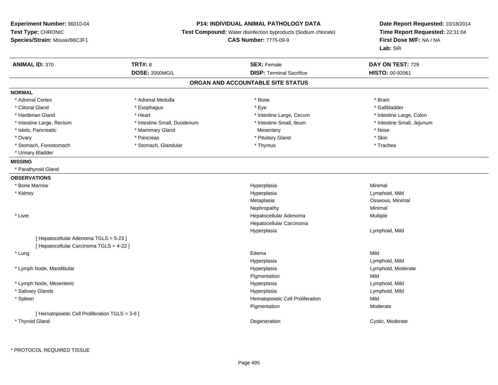### **P14: INDIVIDUAL ANIMAL PATHOLOGY DATA**

**Test Compound:** Water disinfection byproducts (Sodium chlorate)

**CAS Number:** 7775-09-9

| <b>ANIMAL ID: 370</b>                           | <b>TRT#: 8</b>              | <b>SEX: Female</b>                | DAY ON TEST: 729           |
|-------------------------------------------------|-----------------------------|-----------------------------------|----------------------------|
|                                                 | DOSE: 2000MG/L              | <b>DISP: Terminal Sacrifice</b>   | HISTO: 00-92061            |
|                                                 |                             | ORGAN AND ACCOUNTABLE SITE STATUS |                            |
| <b>NORMAL</b>                                   |                             |                                   |                            |
| * Adrenal Cortex                                | * Adrenal Medulla           | * Bone                            | * Brain                    |
| * Clitoral Gland                                | * Esophagus                 | * Eye                             | * Gallbladder              |
| * Harderian Gland                               | * Heart                     | * Intestine Large, Cecum          | * Intestine Large, Colon   |
| * Intestine Large, Rectum                       | * Intestine Small, Duodenum | * Intestine Small, Ileum          | * Intestine Small, Jejunum |
| * Islets, Pancreatic                            | * Mammary Gland             | Mesentery                         | * Nose                     |
| * Ovary                                         | * Pancreas                  | * Pituitary Gland                 | * Skin                     |
| * Stomach, Forestomach                          | * Stomach, Glandular        | * Thymus                          | * Trachea                  |
| * Urinary Bladder                               |                             |                                   |                            |
| <b>MISSING</b>                                  |                             |                                   |                            |
| * Parathyroid Gland                             |                             |                                   |                            |
| <b>OBSERVATIONS</b>                             |                             |                                   |                            |
| * Bone Marrow                                   |                             | Hyperplasia                       | Minimal                    |
| * Kidney                                        |                             | Hyperplasia                       | Lymphoid, Mild             |
|                                                 |                             | Metaplasia                        | Osseous, Minimal           |
|                                                 |                             | Nephropathy                       | Minimal                    |
| * Liver                                         |                             | Hepatocellular Adenoma            | Multiple                   |
|                                                 |                             | Hepatocellular Carcinoma          |                            |
|                                                 |                             | Hyperplasia                       | Lymphoid, Mild             |
| [ Hepatocellular Adenoma TGLS = 5-23 ]          |                             |                                   |                            |
| [ Hepatocellular Carcinoma TGLS = 4-22 ]        |                             |                                   |                            |
| * Lung                                          |                             | Edema                             | Mild                       |
|                                                 |                             | Hyperplasia                       | Lymphoid, Mild             |
| * Lymph Node, Mandibular                        |                             | Hyperplasia                       | Lymphoid, Moderate         |
|                                                 |                             | Pigmentation                      | Mild                       |
| * Lymph Node, Mesenteric                        |                             | Hyperplasia                       | Lymphoid, Mild             |
| * Salivary Glands                               |                             | Hyperplasia                       | Lymphoid, Mild             |
| * Spleen                                        |                             | Hematopoietic Cell Proliferation  | Mild                       |
|                                                 |                             | Pigmentation                      | Moderate                   |
| [ Hematopoietic Cell Proliferation TGLS = 3-6 ] |                             |                                   |                            |
| * Thyroid Gland                                 |                             | Degeneration                      | Cystic, Moderate           |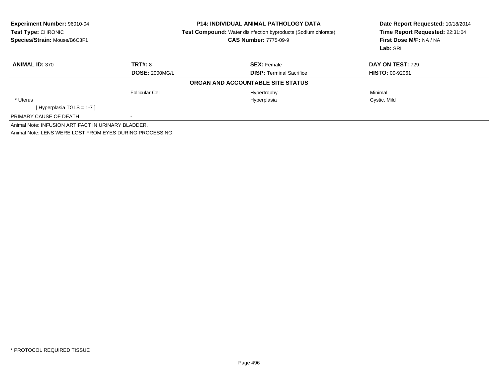| Experiment Number: 96010-04<br>Test Type: CHRONIC<br>Species/Strain: Mouse/B6C3F1 |                       | <b>P14: INDIVIDUAL ANIMAL PATHOLOGY DATA</b><br><b>Test Compound:</b> Water disinfection byproducts (Sodium chlorate)<br><b>CAS Number: 7775-09-9</b> | Date Report Requested: 10/18/2014<br>Time Report Requested: 22:31:04<br>First Dose M/F: NA / NA<br>Lab: SRI |  |
|-----------------------------------------------------------------------------------|-----------------------|-------------------------------------------------------------------------------------------------------------------------------------------------------|-------------------------------------------------------------------------------------------------------------|--|
| <b>ANIMAL ID: 370</b>                                                             | TRT#: 8               | <b>SEX: Female</b>                                                                                                                                    | DAY ON TEST: 729                                                                                            |  |
|                                                                                   | <b>DOSE: 2000MG/L</b> | <b>DISP:</b> Terminal Sacrifice                                                                                                                       | <b>HISTO: 00-92061</b>                                                                                      |  |
|                                                                                   |                       | ORGAN AND ACCOUNTABLE SITE STATUS                                                                                                                     |                                                                                                             |  |
|                                                                                   | <b>Follicular Cel</b> | Hypertrophy                                                                                                                                           | Minimal                                                                                                     |  |
| * Uterus                                                                          |                       | Hyperplasia                                                                                                                                           | Cystic, Mild                                                                                                |  |
| [Hyperplasia TGLS = 1-7]                                                          |                       |                                                                                                                                                       |                                                                                                             |  |
| PRIMARY CAUSE OF DEATH                                                            |                       |                                                                                                                                                       |                                                                                                             |  |
| Animal Note: INFUSION ARTIFACT IN URINARY BLADDER.                                |                       |                                                                                                                                                       |                                                                                                             |  |
| Animal Note: LENS WERE LOST FROM EYES DURING PROCESSING.                          |                       |                                                                                                                                                       |                                                                                                             |  |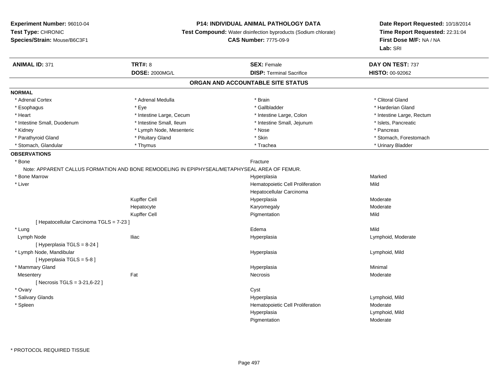# **P14: INDIVIDUAL ANIMAL PATHOLOGY DATA**

**Test Compound:** Water disinfection byproducts (Sodium chlorate)

**CAS Number:** 7775-09-9

| <b>ANIMAL ID: 371</b>                    | <b>TRT#: 8</b>                                                                               | <b>SEX: Female</b>                | DAY ON TEST: 737          |
|------------------------------------------|----------------------------------------------------------------------------------------------|-----------------------------------|---------------------------|
|                                          | <b>DOSE: 2000MG/L</b>                                                                        | <b>DISP: Terminal Sacrifice</b>   | HISTO: 00-92062           |
|                                          |                                                                                              | ORGAN AND ACCOUNTABLE SITE STATUS |                           |
| <b>NORMAL</b>                            |                                                                                              |                                   |                           |
| * Adrenal Cortex                         | * Adrenal Medulla                                                                            | * Brain                           | * Clitoral Gland          |
| * Esophagus                              | * Eve                                                                                        | * Gallbladder                     | * Harderian Gland         |
| * Heart                                  | * Intestine Large, Cecum                                                                     | * Intestine Large, Colon          | * Intestine Large, Rectum |
| * Intestine Small, Duodenum              | * Intestine Small, Ileum                                                                     | * Intestine Small, Jejunum        | * Islets, Pancreatic      |
| * Kidney                                 | * Lymph Node, Mesenteric                                                                     | * Nose                            | * Pancreas                |
| * Parathyroid Gland                      | * Pituitary Gland                                                                            | * Skin                            | * Stomach, Forestomach    |
| * Stomach, Glandular                     | * Thymus                                                                                     | * Trachea                         | * Urinary Bladder         |
| <b>OBSERVATIONS</b>                      |                                                                                              |                                   |                           |
| * Bone                                   |                                                                                              | Fracture                          |                           |
|                                          | Note: APPARENT CALLUS FORMATION AND BONE REMODELING IN EPIPHYSEAL/METAPHYSEAL AREA OF FEMUR. |                                   |                           |
| * Bone Marrow                            |                                                                                              | Hyperplasia                       | Marked                    |
| * Liver                                  |                                                                                              | Hematopoietic Cell Proliferation  | Mild                      |
|                                          |                                                                                              | Hepatocellular Carcinoma          |                           |
|                                          | Kupffer Cell                                                                                 | Hyperplasia                       | Moderate                  |
|                                          | Hepatocyte                                                                                   | Karyomegaly                       | Moderate                  |
|                                          | Kupffer Cell                                                                                 | Pigmentation                      | Mild                      |
| [ Hepatocellular Carcinoma TGLS = 7-23 ] |                                                                                              |                                   |                           |
| * Lung                                   |                                                                                              | Edema                             | Mild                      |
| Lymph Node                               | <b>Iliac</b>                                                                                 | Hyperplasia                       | Lymphoid, Moderate        |
| [ Hyperplasia TGLS = 8-24 ]              |                                                                                              |                                   |                           |
| * Lymph Node, Mandibular                 |                                                                                              | Hyperplasia                       | Lymphoid, Mild            |
| [ Hyperplasia TGLS = 5-8]                |                                                                                              |                                   |                           |
| * Mammary Gland                          |                                                                                              | Hyperplasia                       | Minimal                   |
| Mesentery                                | Fat                                                                                          | Necrosis                          | Moderate                  |
| [ Necrosis TGLS = $3-21,6-22$ ]          |                                                                                              |                                   |                           |
| * Ovary                                  |                                                                                              | Cyst                              |                           |
| * Salivary Glands                        |                                                                                              | Hyperplasia                       | Lymphoid, Mild            |
| * Spleen                                 |                                                                                              | Hematopoietic Cell Proliferation  | Moderate                  |
|                                          |                                                                                              | Hyperplasia                       | Lymphoid, Mild            |
|                                          |                                                                                              | Pigmentation                      | Moderate                  |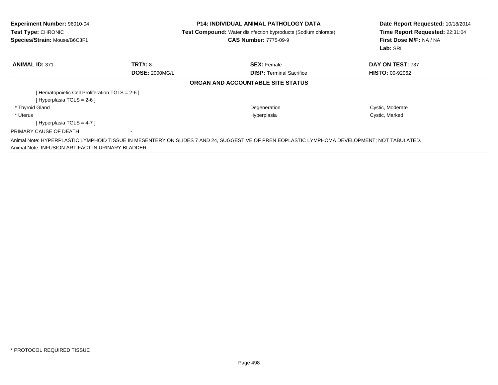| <b>Experiment Number: 96010-04</b><br><b>Test Type: CHRONIC</b><br>Species/Strain: Mouse/B6C3F1 |                       | <b>P14: INDIVIDUAL ANIMAL PATHOLOGY DATA</b><br><b>Test Compound:</b> Water disinfection byproducts (Sodium chlorate)<br><b>CAS Number: 7775-09-9</b> | Date Report Requested: 10/18/2014<br>Time Report Requested: 22:31:04<br>First Dose M/F: NA / NA<br>Lab: SRI |  |
|-------------------------------------------------------------------------------------------------|-----------------------|-------------------------------------------------------------------------------------------------------------------------------------------------------|-------------------------------------------------------------------------------------------------------------|--|
| <b>ANIMAL ID: 371</b>                                                                           | <b>TRT#: 8</b>        | <b>SEX: Female</b>                                                                                                                                    | DAY ON TEST: 737                                                                                            |  |
|                                                                                                 | <b>DOSE: 2000MG/L</b> | <b>DISP:</b> Terminal Sacrifice                                                                                                                       | <b>HISTO: 00-92062</b>                                                                                      |  |
|                                                                                                 |                       | ORGAN AND ACCOUNTABLE SITE STATUS                                                                                                                     |                                                                                                             |  |
| [ Hematopoietic Cell Proliferation TGLS = 2-6 ]                                                 |                       |                                                                                                                                                       |                                                                                                             |  |
| [Hyperplasia TGLS = 2-6 ]                                                                       |                       |                                                                                                                                                       |                                                                                                             |  |
| * Thyroid Gland                                                                                 |                       | Degeneration                                                                                                                                          | Cystic, Moderate                                                                                            |  |
| * Uterus                                                                                        |                       | Hyperplasia                                                                                                                                           | Cystic, Marked                                                                                              |  |
| [Hyperplasia TGLS = $4-7$ ]                                                                     |                       |                                                                                                                                                       |                                                                                                             |  |
| PRIMARY CAUSE OF DEATH                                                                          |                       |                                                                                                                                                       |                                                                                                             |  |
|                                                                                                 |                       | Animal Note: HYPERPLASTIC LYMPHOID TISSUE IN MESENTERY ON SLIDES 7 AND 24, SUGGESTIVE OF PREN EOPLASTIC LYMPHOMA DEVELOPMENT; NOT TABULATED.          |                                                                                                             |  |
| Animal Note: INFUSION ARTIFACT IN URINARY BLADDER.                                              |                       |                                                                                                                                                       |                                                                                                             |  |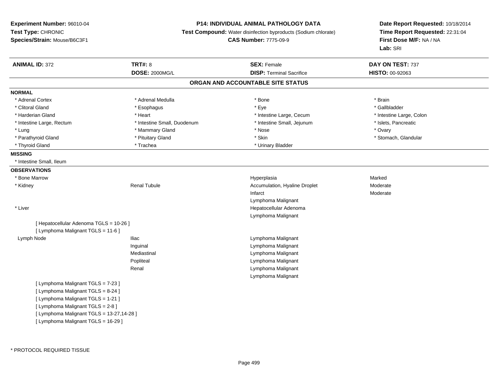#### **P14: INDIVIDUAL ANIMAL PATHOLOGY DATA**

**Test Compound:** Water disinfection byproducts (Sodium chlorate)

**CAS Number:** 7775-09-9

| <b>ANIMAL ID: 372</b>                     | <b>TRT#: 8</b>              | <b>SEX: Female</b>                | DAY ON TEST: 737         |
|-------------------------------------------|-----------------------------|-----------------------------------|--------------------------|
|                                           | <b>DOSE: 2000MG/L</b>       | <b>DISP: Terminal Sacrifice</b>   | HISTO: 00-92063          |
|                                           |                             | ORGAN AND ACCOUNTABLE SITE STATUS |                          |
| <b>NORMAL</b>                             |                             |                                   |                          |
| * Adrenal Cortex                          | * Adrenal Medulla           | * Bone                            | * Brain                  |
| * Clitoral Gland                          | * Esophagus                 | * Eye                             | * Gallbladder            |
| * Harderian Gland                         | * Heart                     | * Intestine Large, Cecum          | * Intestine Large, Colon |
| * Intestine Large, Rectum                 | * Intestine Small, Duodenum | * Intestine Small, Jejunum        | * Islets, Pancreatic     |
| * Lung                                    | * Mammary Gland             | * Nose                            | * Ovary                  |
| * Parathyroid Gland                       | * Pituitary Gland           | * Skin                            | * Stomach, Glandular     |
| * Thyroid Gland                           | * Trachea                   | * Urinary Bladder                 |                          |
| <b>MISSING</b>                            |                             |                                   |                          |
| * Intestine Small, Ileum                  |                             |                                   |                          |
| <b>OBSERVATIONS</b>                       |                             |                                   |                          |
| * Bone Marrow                             |                             | Hyperplasia                       | Marked                   |
| * Kidney                                  | Renal Tubule                | Accumulation, Hyaline Droplet     | Moderate                 |
|                                           |                             | Infarct                           | Moderate                 |
|                                           |                             | Lymphoma Malignant                |                          |
| * Liver                                   |                             | Hepatocellular Adenoma            |                          |
|                                           |                             | Lymphoma Malignant                |                          |
| [ Hepatocellular Adenoma TGLS = 10-26 ]   |                             |                                   |                          |
| [ Lymphoma Malignant TGLS = 11-6 ]        |                             |                                   |                          |
| Lymph Node                                | <b>Iliac</b>                | Lymphoma Malignant                |                          |
|                                           | Inguinal                    | Lymphoma Malignant                |                          |
|                                           | Mediastinal                 | Lymphoma Malignant                |                          |
|                                           | Popliteal                   | Lymphoma Malignant                |                          |
|                                           | Renal                       | Lymphoma Malignant                |                          |
|                                           |                             | Lymphoma Malignant                |                          |
| [ Lymphoma Malignant TGLS = 7-23 ]        |                             |                                   |                          |
| [ Lymphoma Malignant TGLS = 8-24 ]        |                             |                                   |                          |
| [ Lymphoma Malignant TGLS = 1-21 ]        |                             |                                   |                          |
| [ Lymphoma Malignant TGLS = 2-8 ]         |                             |                                   |                          |
| [ Lymphoma Malignant TGLS = 13-27,14-28 ] |                             |                                   |                          |
| [ Lymphoma Malignant TGLS = 16-29 ]       |                             |                                   |                          |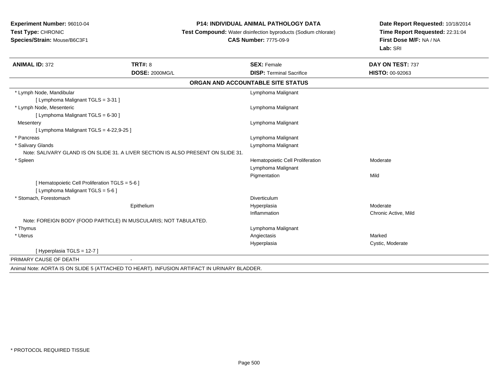#### **P14: INDIVIDUAL ANIMAL PATHOLOGY DATA**

**Test Compound:** Water disinfection byproducts (Sodium chlorate)

#### **CAS Number:** 7775-09-9

| <b>ANIMAL ID: 372</b>                                            | <b>TRT#: 8</b>                                                                              | <b>SEX: Female</b>                | DAY ON TEST: 737       |
|------------------------------------------------------------------|---------------------------------------------------------------------------------------------|-----------------------------------|------------------------|
|                                                                  | <b>DOSE: 2000MG/L</b>                                                                       | <b>DISP: Terminal Sacrifice</b>   | <b>HISTO: 00-92063</b> |
|                                                                  |                                                                                             | ORGAN AND ACCOUNTABLE SITE STATUS |                        |
| * Lymph Node, Mandibular                                         |                                                                                             | Lymphoma Malignant                |                        |
| [ Lymphoma Malignant TGLS = 3-31 ]                               |                                                                                             |                                   |                        |
| * Lymph Node, Mesenteric                                         |                                                                                             | Lymphoma Malignant                |                        |
| [ Lymphoma Malignant TGLS = 6-30 ]                               |                                                                                             |                                   |                        |
| Mesentery                                                        |                                                                                             | Lymphoma Malignant                |                        |
| [ Lymphoma Malignant TGLS = 4-22,9-25 ]                          |                                                                                             |                                   |                        |
| * Pancreas                                                       |                                                                                             | Lymphoma Malignant                |                        |
| * Salivary Glands                                                |                                                                                             | Lymphoma Malignant                |                        |
|                                                                  | Note: SALIVARY GLAND IS ON SLIDE 31. A LIVER SECTION IS ALSO PRESENT ON SLIDE 31.           |                                   |                        |
| * Spleen                                                         |                                                                                             | Hematopoietic Cell Proliferation  | Moderate               |
|                                                                  |                                                                                             | Lymphoma Malignant                |                        |
|                                                                  |                                                                                             | Pigmentation                      | Mild                   |
| [ Hematopoietic Cell Proliferation TGLS = 5-6 ]                  |                                                                                             |                                   |                        |
| [ Lymphoma Malignant TGLS = 5-6 ]                                |                                                                                             |                                   |                        |
| * Stomach, Forestomach                                           |                                                                                             | Diverticulum                      |                        |
|                                                                  | Epithelium                                                                                  | Hyperplasia                       | Moderate               |
|                                                                  |                                                                                             | Inflammation                      | Chronic Active, Mild   |
| Note: FOREIGN BODY (FOOD PARTICLE) IN MUSCULARIS; NOT TABULATED. |                                                                                             |                                   |                        |
| * Thymus                                                         |                                                                                             | Lymphoma Malignant                |                        |
| * Uterus                                                         |                                                                                             | Angiectasis                       | Marked                 |
|                                                                  |                                                                                             | Hyperplasia                       | Cystic, Moderate       |
| [Hyperplasia TGLS = 12-7]                                        |                                                                                             |                                   |                        |
| PRIMARY CAUSE OF DEATH                                           |                                                                                             |                                   |                        |
|                                                                  | Animal Note: AORTA IS ON SLIDE 5 (ATTACHED TO HEART). INFUSION ARTIFACT IN URINARY BLADDER. |                                   |                        |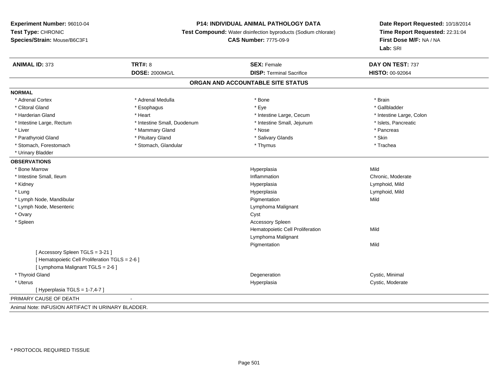#### **P14: INDIVIDUAL ANIMAL PATHOLOGY DATA**

**Test Compound:** Water disinfection byproducts (Sodium chlorate)

**CAS Number:** 7775-09-9

| <b>ANIMAL ID: 373</b>                              | <b>TRT#: 8</b>              | <b>SEX: Female</b>                | DAY ON TEST: 737         |
|----------------------------------------------------|-----------------------------|-----------------------------------|--------------------------|
|                                                    | <b>DOSE: 2000MG/L</b>       | <b>DISP: Terminal Sacrifice</b>   | HISTO: 00-92064          |
|                                                    |                             | ORGAN AND ACCOUNTABLE SITE STATUS |                          |
| <b>NORMAL</b>                                      |                             |                                   |                          |
| * Adrenal Cortex                                   | * Adrenal Medulla           | * Bone                            | * Brain                  |
| * Clitoral Gland                                   | * Esophagus                 | * Eye                             | * Gallbladder            |
| * Harderian Gland                                  | * Heart                     | * Intestine Large, Cecum          | * Intestine Large, Colon |
| * Intestine Large, Rectum                          | * Intestine Small, Duodenum | * Intestine Small, Jejunum        | * Islets, Pancreatic     |
| * Liver                                            | * Mammary Gland             | * Nose                            | * Pancreas               |
| * Parathyroid Gland                                | * Pituitary Gland           | * Salivary Glands                 | * Skin                   |
| * Stomach, Forestomach                             | * Stomach, Glandular        | * Thymus                          | * Trachea                |
| * Urinary Bladder                                  |                             |                                   |                          |
| <b>OBSERVATIONS</b>                                |                             |                                   |                          |
| * Bone Marrow                                      |                             | Hyperplasia                       | Mild                     |
| * Intestine Small, Ileum                           |                             | Inflammation                      | Chronic, Moderate        |
| * Kidney                                           |                             | Hyperplasia                       | Lymphoid, Mild           |
| * Lung                                             |                             | Hyperplasia                       | Lymphoid, Mild           |
| * Lymph Node, Mandibular                           |                             | Pigmentation                      | Mild                     |
| * Lymph Node, Mesenteric                           |                             | Lymphoma Malignant                |                          |
| * Ovary                                            |                             | Cyst                              |                          |
| * Spleen                                           |                             | <b>Accessory Spleen</b>           |                          |
|                                                    |                             | Hematopoietic Cell Proliferation  | Mild                     |
|                                                    |                             | Lymphoma Malignant                |                          |
|                                                    |                             | Pigmentation                      | Mild                     |
| [Accessory Spleen TGLS = 3-21]                     |                             |                                   |                          |
| [ Hematopoietic Cell Proliferation TGLS = 2-6 ]    |                             |                                   |                          |
| [ Lymphoma Malignant TGLS = 2-6 ]                  |                             |                                   |                          |
| * Thyroid Gland                                    |                             | Degeneration                      | Cystic, Minimal          |
| * Uterus                                           |                             | Hyperplasia                       | Cystic, Moderate         |
| [Hyperplasia TGLS = $1-7,4-7$ ]                    |                             |                                   |                          |
| PRIMARY CAUSE OF DEATH                             |                             |                                   |                          |
| Animal Note: INFUSION ARTIFACT IN URINARY BLADDER. |                             |                                   |                          |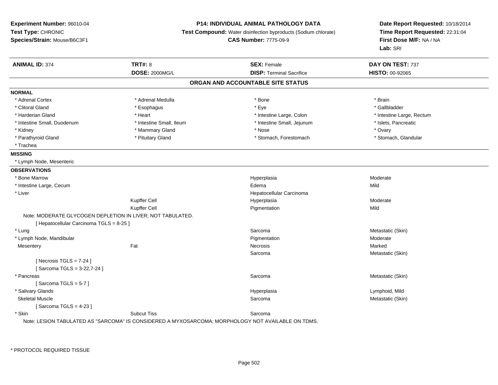# **P14: INDIVIDUAL ANIMAL PATHOLOGY DATA**

**Test Compound:** Water disinfection byproducts (Sodium chlorate)

**CAS Number:** 7775-09-9

| <b>ANIMAL ID: 374</b>                                      | <b>TRT#: 8</b>                                                                                     | <b>SEX: Female</b>                | DAY ON TEST: 737          |
|------------------------------------------------------------|----------------------------------------------------------------------------------------------------|-----------------------------------|---------------------------|
|                                                            | <b>DOSE: 2000MG/L</b>                                                                              | <b>DISP: Terminal Sacrifice</b>   | HISTO: 00-92065           |
|                                                            |                                                                                                    | ORGAN AND ACCOUNTABLE SITE STATUS |                           |
| <b>NORMAL</b>                                              |                                                                                                    |                                   |                           |
| * Adrenal Cortex                                           | * Adrenal Medulla                                                                                  | * Bone                            | * Brain                   |
| * Clitoral Gland                                           | * Esophagus                                                                                        | * Eye                             | * Gallbladder             |
| * Harderian Gland                                          | * Heart                                                                                            | * Intestine Large, Colon          | * Intestine Large, Rectum |
| * Intestine Small, Duodenum                                | * Intestine Small, Ileum                                                                           | * Intestine Small, Jejunum        | * Islets, Pancreatic      |
| * Kidney                                                   | * Mammary Gland                                                                                    | * Nose                            | * Ovary                   |
| * Parathyroid Gland                                        | * Pituitary Gland                                                                                  | * Stomach, Forestomach            | * Stomach, Glandular      |
| * Trachea                                                  |                                                                                                    |                                   |                           |
| <b>MISSING</b>                                             |                                                                                                    |                                   |                           |
| * Lymph Node, Mesenteric                                   |                                                                                                    |                                   |                           |
| <b>OBSERVATIONS</b>                                        |                                                                                                    |                                   |                           |
| * Bone Marrow                                              |                                                                                                    | Hyperplasia                       | Moderate                  |
| * Intestine Large, Cecum                                   |                                                                                                    | Edema                             | Mild                      |
| * Liver                                                    |                                                                                                    | Hepatocellular Carcinoma          |                           |
|                                                            | Kupffer Cell                                                                                       | Hyperplasia                       | Moderate                  |
|                                                            | Kupffer Cell                                                                                       | Pigmentation                      | Mild                      |
| Note: MODERATE GLYCOGEN DEPLETION IN LIVER; NOT TABULATED. |                                                                                                    |                                   |                           |
| [ Hepatocellular Carcinoma TGLS = 8-25 ]                   |                                                                                                    |                                   |                           |
| * Lung                                                     |                                                                                                    | Sarcoma                           | Metastatic (Skin)         |
| * Lymph Node, Mandibular                                   |                                                                                                    | Pigmentation                      | Moderate                  |
| Mesentery                                                  | Fat                                                                                                | Necrosis                          | Marked                    |
|                                                            |                                                                                                    | Sarcoma                           | Metastatic (Skin)         |
| [Necrosis TGLS = $7-24$ ]                                  |                                                                                                    |                                   |                           |
| [Sarcoma TGLS = 3-22,7-24]                                 |                                                                                                    |                                   |                           |
| * Pancreas                                                 |                                                                                                    | Sarcoma                           | Metastatic (Skin)         |
| [Sarcoma TGLS = $5-7$ ]                                    |                                                                                                    |                                   |                           |
| * Salivary Glands                                          |                                                                                                    | Hyperplasia                       | Lymphoid, Mild            |
| <b>Skeletal Muscle</b>                                     |                                                                                                    | Sarcoma                           | Metastatic (Skin)         |
| [Sarcoma TGLS = $4-23$ ]                                   |                                                                                                    |                                   |                           |
| * Skin                                                     | <b>Subcut Tiss</b>                                                                                 | Sarcoma                           |                           |
|                                                            | Note: LESION TABULATED AS "SARCOMA" IS CONSIDERED A MYXOSARCOMA; MORPHOLOGY NOT AVAILABLE ON TDMS. |                                   |                           |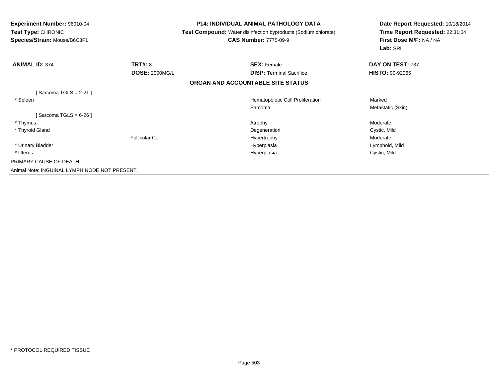| <b>Experiment Number: 96010-04</b><br><b>Test Type: CHRONIC</b><br>Species/Strain: Mouse/B6C3F1 | <b>P14: INDIVIDUAL ANIMAL PATHOLOGY DATA</b><br><b>Test Compound:</b> Water disinfection byproducts (Sodium chlorate)<br><b>CAS Number: 7775-09-9</b> |                                   | Date Report Requested: 10/18/2014<br>Time Report Requested: 22:31:04<br>First Dose M/F: NA / NA<br>Lab: SRI |
|-------------------------------------------------------------------------------------------------|-------------------------------------------------------------------------------------------------------------------------------------------------------|-----------------------------------|-------------------------------------------------------------------------------------------------------------|
| <b>ANIMAL ID: 374</b>                                                                           | <b>TRT#: 8</b>                                                                                                                                        | <b>SEX: Female</b>                | DAY ON TEST: 737                                                                                            |
|                                                                                                 | <b>DOSE: 2000MG/L</b>                                                                                                                                 | <b>DISP: Terminal Sacrifice</b>   | <b>HISTO: 00-92065</b>                                                                                      |
|                                                                                                 |                                                                                                                                                       | ORGAN AND ACCOUNTABLE SITE STATUS |                                                                                                             |
| Sarcoma TGLS = 2-21 ]                                                                           |                                                                                                                                                       |                                   |                                                                                                             |
| * Spleen                                                                                        |                                                                                                                                                       | Hematopoietic Cell Proliferation  | Marked                                                                                                      |
|                                                                                                 |                                                                                                                                                       | Sarcoma                           | Metastatic (Skin)                                                                                           |
| [Sarcoma TGLS = 6-26 ]                                                                          |                                                                                                                                                       |                                   |                                                                                                             |
| * Thymus                                                                                        |                                                                                                                                                       | Atrophy                           | Moderate                                                                                                    |
| * Thyroid Gland                                                                                 |                                                                                                                                                       | Degeneration                      | Cystic, Mild                                                                                                |
|                                                                                                 | <b>Follicular Cel</b>                                                                                                                                 | Hypertrophy                       | Moderate                                                                                                    |
| * Urinary Bladder                                                                               |                                                                                                                                                       | Hyperplasia                       | Lymphoid, Mild                                                                                              |
| * Uterus                                                                                        |                                                                                                                                                       | Hyperplasia                       | Cystic, Mild                                                                                                |
| PRIMARY CAUSE OF DEATH                                                                          |                                                                                                                                                       |                                   |                                                                                                             |
| Animal Note: INGUINAL LYMPH NODE NOT PRESENT.                                                   |                                                                                                                                                       |                                   |                                                                                                             |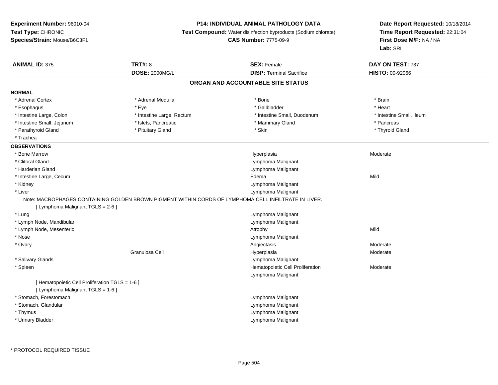# **P14: INDIVIDUAL ANIMAL PATHOLOGY DATA**

**Test Compound:** Water disinfection byproducts (Sodium chlorate)

**CAS Number:** 7775-09-9

| <b>ANIMAL ID: 375</b>                                                                | <b>TRT#: 8</b>                                                                                       | <b>SEX: Female</b>                | DAY ON TEST: 737         |  |
|--------------------------------------------------------------------------------------|------------------------------------------------------------------------------------------------------|-----------------------------------|--------------------------|--|
|                                                                                      | <b>DOSE: 2000MG/L</b>                                                                                | <b>DISP: Terminal Sacrifice</b>   | HISTO: 00-92066          |  |
|                                                                                      |                                                                                                      | ORGAN AND ACCOUNTABLE SITE STATUS |                          |  |
| <b>NORMAL</b>                                                                        |                                                                                                      |                                   |                          |  |
| * Adrenal Cortex                                                                     | * Adrenal Medulla                                                                                    | * Bone                            | * Brain                  |  |
| * Esophagus                                                                          | * Eye                                                                                                | * Gallbladder                     | * Heart                  |  |
| * Intestine Large, Colon                                                             | * Intestine Large, Rectum                                                                            | * Intestine Small, Duodenum       | * Intestine Small, Ileum |  |
| * Intestine Small, Jejunum                                                           | * Islets, Pancreatic                                                                                 | * Mammary Gland                   | * Pancreas               |  |
| * Parathyroid Gland                                                                  | * Pituitary Gland                                                                                    | * Skin                            | * Thyroid Gland          |  |
| * Trachea                                                                            |                                                                                                      |                                   |                          |  |
| <b>OBSERVATIONS</b>                                                                  |                                                                                                      |                                   |                          |  |
| * Bone Marrow                                                                        |                                                                                                      | Hyperplasia                       | Moderate                 |  |
| * Clitoral Gland                                                                     |                                                                                                      | Lymphoma Malignant                |                          |  |
| * Harderian Gland                                                                    |                                                                                                      | Lymphoma Malignant                |                          |  |
| * Intestine Large, Cecum                                                             |                                                                                                      | Edema                             | Mild                     |  |
| * Kidney                                                                             |                                                                                                      | Lymphoma Malignant                |                          |  |
| * Liver                                                                              |                                                                                                      | Lymphoma Malignant                |                          |  |
|                                                                                      | Note: MACROPHAGES CONTAINING GOLDEN BROWN PIGMENT WITHIN CORDS OF LYMPHOMA CELL INFILTRATE IN LIVER. |                                   |                          |  |
| [ Lymphoma Malignant TGLS = 2-6 ]                                                    |                                                                                                      |                                   |                          |  |
| * Lung                                                                               |                                                                                                      | Lymphoma Malignant                |                          |  |
| * Lymph Node, Mandibular                                                             |                                                                                                      | Lymphoma Malignant                |                          |  |
| * Lymph Node, Mesenteric                                                             |                                                                                                      | Atrophy                           | Mild                     |  |
| * Nose                                                                               |                                                                                                      | Lymphoma Malignant                |                          |  |
| * Ovary                                                                              |                                                                                                      | Angiectasis                       | Moderate                 |  |
|                                                                                      | Granulosa Cell                                                                                       | Hyperplasia                       | Moderate                 |  |
| * Salivary Glands                                                                    |                                                                                                      | Lymphoma Malignant                |                          |  |
| * Spleen                                                                             |                                                                                                      | Hematopoietic Cell Proliferation  | Moderate                 |  |
|                                                                                      |                                                                                                      | Lymphoma Malignant                |                          |  |
| [ Hematopoietic Cell Proliferation TGLS = 1-6 ]<br>[ Lymphoma Malignant TGLS = 1-6 ] |                                                                                                      |                                   |                          |  |
| * Stomach, Forestomach                                                               |                                                                                                      | Lymphoma Malignant                |                          |  |
| * Stomach, Glandular                                                                 |                                                                                                      | Lymphoma Malignant                |                          |  |
| * Thymus                                                                             |                                                                                                      | Lymphoma Malignant                |                          |  |
| * Urinary Bladder                                                                    |                                                                                                      | Lymphoma Malignant                |                          |  |
|                                                                                      |                                                                                                      |                                   |                          |  |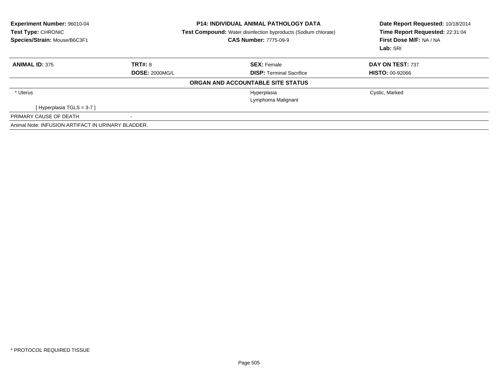| <b>Experiment Number: 96010-04</b><br>Test Type: CHRONIC<br>Species/Strain: Mouse/B6C3F1 | <b>P14: INDIVIDUAL ANIMAL PATHOLOGY DATA</b><br><b>Test Compound:</b> Water disinfection byproducts (Sodium chlorate)<br><b>CAS Number: 7775-09-9</b> |                                   | Date Report Requested: 10/18/2014<br>Time Report Requested: 22:31:04<br>First Dose M/F: NA / NA<br>Lab: SRI |  |
|------------------------------------------------------------------------------------------|-------------------------------------------------------------------------------------------------------------------------------------------------------|-----------------------------------|-------------------------------------------------------------------------------------------------------------|--|
| <b>ANIMAL ID: 375</b>                                                                    | TRT#: 8                                                                                                                                               | <b>SEX: Female</b>                | DAY ON TEST: 737                                                                                            |  |
|                                                                                          | <b>DOSE: 2000MG/L</b>                                                                                                                                 | <b>DISP: Terminal Sacrifice</b>   | <b>HISTO: 00-92066</b>                                                                                      |  |
|                                                                                          |                                                                                                                                                       | ORGAN AND ACCOUNTABLE SITE STATUS |                                                                                                             |  |
| * Uterus                                                                                 |                                                                                                                                                       | Hyperplasia                       | Cystic, Marked                                                                                              |  |
|                                                                                          |                                                                                                                                                       | Lymphoma Malignant                |                                                                                                             |  |
| [Hyperplasia TGLS = $3-7$ ]                                                              |                                                                                                                                                       |                                   |                                                                                                             |  |
| PRIMARY CAUSE OF DEATH                                                                   | $\blacksquare$                                                                                                                                        |                                   |                                                                                                             |  |
| Animal Note: INFUSION ARTIFACT IN URINARY BLADDER.                                       |                                                                                                                                                       |                                   |                                                                                                             |  |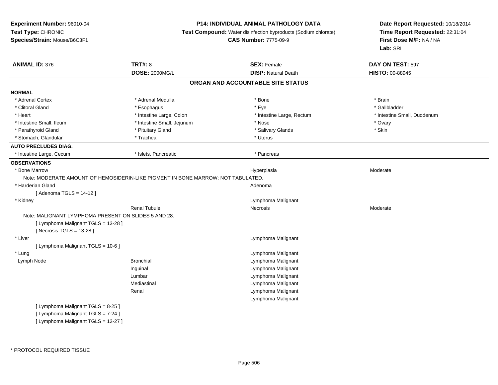## **P14: INDIVIDUAL ANIMAL PATHOLOGY DATA**

**Test Compound:** Water disinfection byproducts (Sodium chlorate)

**CAS Number:** 7775-09-9

|                                                      |                                                                                  |                                   | DAY ON TEST: 597            |
|------------------------------------------------------|----------------------------------------------------------------------------------|-----------------------------------|-----------------------------|
|                                                      | <b>DOSE: 2000MG/L</b>                                                            | <b>DISP: Natural Death</b>        | HISTO: 00-88945             |
|                                                      |                                                                                  | ORGAN AND ACCOUNTABLE SITE STATUS |                             |
| <b>NORMAL</b>                                        |                                                                                  |                                   |                             |
| * Adrenal Cortex                                     | * Adrenal Medulla                                                                | * Bone                            | * Brain                     |
| * Clitoral Gland                                     | * Esophagus                                                                      | * Eye                             | * Gallbladder               |
| * Heart                                              | * Intestine Large, Colon                                                         | * Intestine Large, Rectum         | * Intestine Small, Duodenum |
| * Intestine Small, Ileum                             | * Intestine Small, Jejunum                                                       | * Nose                            | * Ovary                     |
| * Parathyroid Gland                                  | * Pituitary Gland                                                                | * Salivary Glands                 | * Skin                      |
| * Stomach, Glandular                                 | * Trachea                                                                        | * Uterus                          |                             |
| <b>AUTO PRECLUDES DIAG.</b>                          |                                                                                  |                                   |                             |
| * Intestine Large, Cecum                             | * Islets, Pancreatic                                                             | * Pancreas                        |                             |
| <b>OBSERVATIONS</b>                                  |                                                                                  |                                   |                             |
| * Bone Marrow                                        |                                                                                  | Hyperplasia                       | Moderate                    |
|                                                      | Note: MODERATE AMOUNT OF HEMOSIDERIN-LIKE PIGMENT IN BONE MARROW; NOT TABULATED. |                                   |                             |
| * Harderian Gland                                    |                                                                                  | Adenoma                           |                             |
| [Adenoma TGLS = $14-12$ ]                            |                                                                                  |                                   |                             |
| * Kidney                                             |                                                                                  | Lymphoma Malignant                |                             |
|                                                      | <b>Renal Tubule</b>                                                              | Necrosis                          | Moderate                    |
| Note: MALIGNANT LYMPHOMA PRESENT ON SLIDES 5 AND 28. |                                                                                  |                                   |                             |
| [ Lymphoma Malignant TGLS = 13-28 ]                  |                                                                                  |                                   |                             |
| [ Necrosis $TGLS = 13-28$ ]                          |                                                                                  |                                   |                             |
| * Liver                                              |                                                                                  | Lymphoma Malignant                |                             |
| [ Lymphoma Malignant TGLS = 10-6 ]                   |                                                                                  |                                   |                             |
| * Lung                                               |                                                                                  | Lymphoma Malignant                |                             |
| Lymph Node                                           | <b>Bronchial</b>                                                                 | Lymphoma Malignant                |                             |
|                                                      | Inguinal                                                                         | Lymphoma Malignant                |                             |
|                                                      | Lumbar                                                                           | Lymphoma Malignant                |                             |
|                                                      | Mediastinal                                                                      | Lymphoma Malignant                |                             |
|                                                      | Renal                                                                            | Lymphoma Malignant                |                             |
|                                                      |                                                                                  | Lymphoma Malignant                |                             |
| [ Lymphoma Malignant TGLS = 8-25 ]                   |                                                                                  |                                   |                             |
| [ Lymphoma Malignant TGLS = 7-24 ]                   |                                                                                  |                                   |                             |
| [ Lymphoma Malignant TGLS = 12-27 ]                  |                                                                                  |                                   |                             |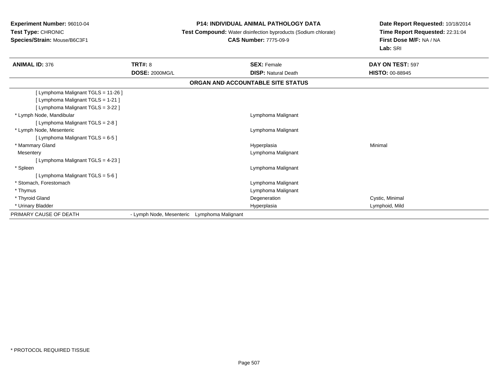### **P14: INDIVIDUAL ANIMAL PATHOLOGY DATA**

**Test Compound:** Water disinfection byproducts (Sodium chlorate)

# **CAS Number:** 7775-09-9

| <b>ANIMAL ID: 376</b>               | <b>TRT#: 8</b>                                 | <b>SEX: Female</b>                | DAY ON TEST: 597       |
|-------------------------------------|------------------------------------------------|-----------------------------------|------------------------|
|                                     | <b>DOSE: 2000MG/L</b>                          | <b>DISP: Natural Death</b>        | <b>HISTO: 00-88945</b> |
|                                     |                                                | ORGAN AND ACCOUNTABLE SITE STATUS |                        |
| [ Lymphoma Malignant TGLS = 11-26 ] |                                                |                                   |                        |
| [ Lymphoma Malignant TGLS = 1-21 ]  |                                                |                                   |                        |
| [ Lymphoma Malignant TGLS = 3-22 ]  |                                                |                                   |                        |
| * Lymph Node, Mandibular            |                                                | Lymphoma Malignant                |                        |
| [ Lymphoma Malignant TGLS = 2-8 ]   |                                                |                                   |                        |
| * Lymph Node, Mesenteric            |                                                | Lymphoma Malignant                |                        |
| [ Lymphoma Malignant TGLS = 6-5 ]   |                                                |                                   |                        |
| * Mammary Gland                     |                                                | Hyperplasia                       | Minimal                |
| Mesentery                           |                                                | Lymphoma Malignant                |                        |
| [ Lymphoma Malignant TGLS = 4-23 ]  |                                                |                                   |                        |
| * Spleen                            |                                                | Lymphoma Malignant                |                        |
| [ Lymphoma Malignant TGLS = 5-6 ]   |                                                |                                   |                        |
| * Stomach, Forestomach              |                                                | Lymphoma Malignant                |                        |
| * Thymus                            |                                                | Lymphoma Malignant                |                        |
| * Thyroid Gland                     |                                                | Degeneration                      | Cystic, Minimal        |
| * Urinary Bladder                   |                                                | Hyperplasia                       | Lymphoid, Mild         |
| PRIMARY CAUSE OF DEATH              | - Lymph Node, Mesenteric<br>Lymphoma Malignant |                                   |                        |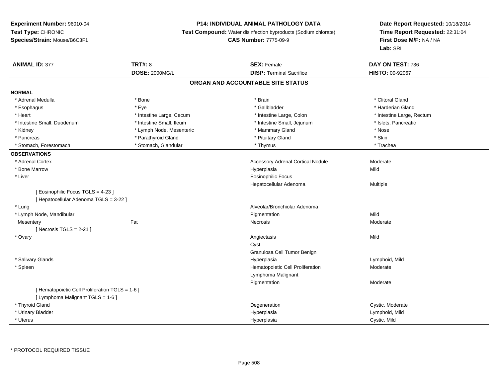# **P14: INDIVIDUAL ANIMAL PATHOLOGY DATA**

**Test Compound:** Water disinfection byproducts (Sodium chlorate)

**CAS Number:** 7775-09-9

| <b>ANIMAL ID: 377</b>                           | <b>TRT#: 8</b>           | <b>SEX: Female</b>                       | DAY ON TEST: 736          |  |
|-------------------------------------------------|--------------------------|------------------------------------------|---------------------------|--|
|                                                 | <b>DOSE: 2000MG/L</b>    | <b>DISP: Terminal Sacrifice</b>          | <b>HISTO: 00-92067</b>    |  |
|                                                 |                          | ORGAN AND ACCOUNTABLE SITE STATUS        |                           |  |
| <b>NORMAL</b>                                   |                          |                                          |                           |  |
| * Adrenal Medulla                               | * Bone                   | * Brain                                  | * Clitoral Gland          |  |
| * Esophagus                                     | * Eye                    | * Gallbladder                            | * Harderian Gland         |  |
| * Heart                                         | * Intestine Large, Cecum | * Intestine Large, Colon                 | * Intestine Large, Rectum |  |
| * Intestine Small, Duodenum                     | * Intestine Small, Ileum | * Intestine Small, Jejunum               | * Islets, Pancreatic      |  |
| * Kidney                                        | * Lymph Node, Mesenteric | * Mammary Gland                          | * Nose                    |  |
| * Pancreas                                      | * Parathyroid Gland      | * Pituitary Gland                        | * Skin                    |  |
| * Stomach, Forestomach                          | * Stomach, Glandular     | * Thymus                                 | * Trachea                 |  |
| <b>OBSERVATIONS</b>                             |                          |                                          |                           |  |
| * Adrenal Cortex                                |                          | <b>Accessory Adrenal Cortical Nodule</b> | Moderate                  |  |
| * Bone Marrow                                   |                          | Hyperplasia                              | Mild                      |  |
| * Liver                                         |                          | <b>Eosinophilic Focus</b>                |                           |  |
|                                                 |                          | Hepatocellular Adenoma                   | Multiple                  |  |
| [Eosinophilic Focus TGLS = 4-23]                |                          |                                          |                           |  |
| [ Hepatocellular Adenoma TGLS = 3-22 ]          |                          |                                          |                           |  |
| * Lung                                          |                          | Alveolar/Bronchiolar Adenoma             |                           |  |
| * Lymph Node, Mandibular                        |                          | Pigmentation                             | Mild                      |  |
| Mesentery                                       | Fat                      | Necrosis                                 | Moderate                  |  |
| [Necrosis TGLS = $2-21$ ]                       |                          |                                          |                           |  |
| * Ovary                                         |                          | Angiectasis                              | Mild                      |  |
|                                                 |                          | Cyst                                     |                           |  |
|                                                 |                          | Granulosa Cell Tumor Benign              |                           |  |
| * Salivary Glands                               |                          | Hyperplasia                              | Lymphoid, Mild            |  |
| * Spleen                                        |                          | Hematopoietic Cell Proliferation         | Moderate                  |  |
|                                                 |                          | Lymphoma Malignant                       |                           |  |
|                                                 |                          | Pigmentation                             | Moderate                  |  |
| [ Hematopoietic Cell Proliferation TGLS = 1-6 ] |                          |                                          |                           |  |
| [ Lymphoma Malignant TGLS = 1-6 ]               |                          |                                          |                           |  |
| * Thyroid Gland                                 |                          | Degeneration                             | Cystic, Moderate          |  |
| * Urinary Bladder                               |                          | Hyperplasia                              | Lymphoid, Mild            |  |
| * Uterus                                        |                          | Hyperplasia                              | Cystic, Mild              |  |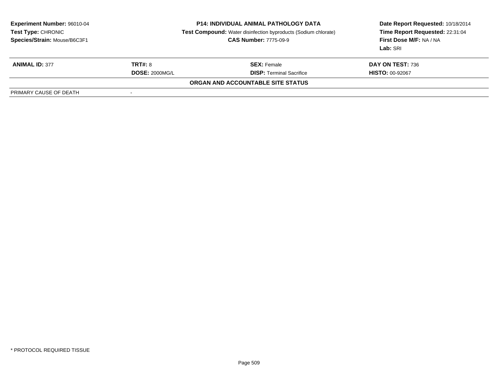| <b>Experiment Number: 96010-04</b><br>Test Type: CHRONIC<br>Species/Strain: Mouse/B6C3F1 |                       | <b>P14: INDIVIDUAL ANIMAL PATHOLOGY DATA</b><br>Test Compound: Water disinfection byproducts (Sodium chlorate)<br><b>CAS Number: 7775-09-9</b> | Date Report Requested: 10/18/2014<br>Time Report Requested: 22:31:04<br>First Dose M/F: NA / NA<br>Lab: SRI |  |
|------------------------------------------------------------------------------------------|-----------------------|------------------------------------------------------------------------------------------------------------------------------------------------|-------------------------------------------------------------------------------------------------------------|--|
| <b>ANIMAL ID: 377</b>                                                                    | <b>TRT#: 8</b>        | <b>SEX: Female</b>                                                                                                                             | DAY ON TEST: 736                                                                                            |  |
|                                                                                          | <b>DOSE: 2000MG/L</b> | <b>DISP:</b> Terminal Sacrifice                                                                                                                | <b>HISTO: 00-92067</b>                                                                                      |  |
|                                                                                          |                       | <b>ORGAN AND ACCOUNTABLE SITE STATUS</b>                                                                                                       |                                                                                                             |  |
| PRIMARY CAUSE OF DEATH                                                                   |                       |                                                                                                                                                |                                                                                                             |  |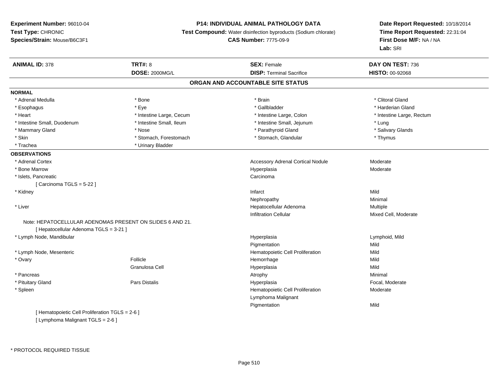# **P14: INDIVIDUAL ANIMAL PATHOLOGY DATA**

**Test Compound:** Water disinfection byproducts (Sodium chlorate)

**CAS Number:** 7775-09-9

**Date Report Requested:** 10/18/2014**Time Report Requested:** 22:31:04**First Dose M/F:** NA / NA**Lab:** SRI

| <b>ANIMAL ID: 378</b>                           | <b>TRT#: 8</b>                                            | <b>SEX: Female</b>                       | DAY ON TEST: 736          |  |
|-------------------------------------------------|-----------------------------------------------------------|------------------------------------------|---------------------------|--|
|                                                 | <b>DOSE: 2000MG/L</b>                                     | <b>DISP: Terminal Sacrifice</b>          | <b>HISTO: 00-92068</b>    |  |
|                                                 |                                                           | ORGAN AND ACCOUNTABLE SITE STATUS        |                           |  |
| <b>NORMAL</b>                                   |                                                           |                                          |                           |  |
| * Adrenal Medulla                               | * Bone                                                    | * Brain                                  | * Clitoral Gland          |  |
| * Esophagus                                     | * Eye                                                     | * Gallbladder                            | * Harderian Gland         |  |
| * Heart                                         | * Intestine Large, Cecum                                  | * Intestine Large, Colon                 | * Intestine Large, Rectum |  |
| * Intestine Small, Duodenum                     | * Intestine Small, Ileum                                  | * Intestine Small, Jejunum               | * Lung                    |  |
| * Mammary Gland                                 | * Nose                                                    | * Parathyroid Gland                      | * Salivary Glands         |  |
| * Skin                                          | * Stomach, Forestomach                                    | * Stomach, Glandular                     | * Thymus                  |  |
| * Trachea                                       | * Urinary Bladder                                         |                                          |                           |  |
| <b>OBSERVATIONS</b>                             |                                                           |                                          |                           |  |
| * Adrenal Cortex                                |                                                           | <b>Accessory Adrenal Cortical Nodule</b> | Moderate                  |  |
| * Bone Marrow                                   |                                                           | Hyperplasia                              | Moderate                  |  |
| * Islets, Pancreatic                            |                                                           | Carcinoma                                |                           |  |
| [Carcinoma TGLS = $5-22$ ]                      |                                                           |                                          |                           |  |
| * Kidney                                        |                                                           | Infarct                                  | Mild                      |  |
|                                                 |                                                           | Nephropathy                              | Minimal                   |  |
| * Liver                                         |                                                           | Hepatocellular Adenoma                   | Multiple                  |  |
|                                                 |                                                           | <b>Infiltration Cellular</b>             | Mixed Cell, Moderate      |  |
|                                                 | Note: HEPATOCELLULAR ADENOMAS PRESENT ON SLIDES 6 AND 21. |                                          |                           |  |
| [ Hepatocellular Adenoma TGLS = 3-21 ]          |                                                           |                                          |                           |  |
| * Lymph Node, Mandibular                        |                                                           | Hyperplasia                              | Lymphoid, Mild            |  |
|                                                 |                                                           | Pigmentation                             | Mild                      |  |
| * Lymph Node, Mesenteric                        |                                                           | Hematopoietic Cell Proliferation         | Mild                      |  |
| * Ovary                                         | Follicle                                                  | Hemorrhage                               | Mild                      |  |
|                                                 | Granulosa Cell                                            | Hyperplasia                              | Mild                      |  |
| * Pancreas                                      |                                                           | Atrophy                                  | Minimal                   |  |
| * Pituitary Gland                               | <b>Pars Distalis</b>                                      | Hyperplasia                              | Focal, Moderate           |  |
| * Spleen                                        |                                                           | Hematopoietic Cell Proliferation         | Moderate                  |  |
|                                                 |                                                           | Lymphoma Malignant                       |                           |  |
|                                                 |                                                           | Pigmentation                             | Mild                      |  |
| [ Hematopoietic Cell Proliferation TGLS = 2-6 ] |                                                           |                                          |                           |  |

[ Lymphoma Malignant TGLS = 2-6 ]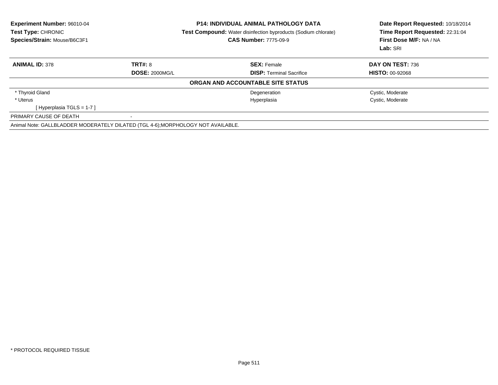| <b>Experiment Number: 96010-04</b><br><b>P14: INDIVIDUAL ANIMAL PATHOLOGY DATA</b><br>Test Type: CHRONIC<br><b>Test Compound:</b> Water disinfection byproducts (Sodium chlorate)<br>Species/Strain: Mouse/B6C3F1<br><b>CAS Number: 7775-09-9</b> |                       |                                   | Date Report Requested: 10/18/2014<br>Time Report Requested: 22:31:04<br>First Dose M/F: NA / NA<br>Lab: SRI |
|---------------------------------------------------------------------------------------------------------------------------------------------------------------------------------------------------------------------------------------------------|-----------------------|-----------------------------------|-------------------------------------------------------------------------------------------------------------|
| <b>ANIMAL ID: 378</b>                                                                                                                                                                                                                             | TRT#: 8               | <b>SEX: Female</b>                | DAY ON TEST: 736                                                                                            |
|                                                                                                                                                                                                                                                   | <b>DOSE: 2000MG/L</b> | <b>DISP:</b> Terminal Sacrifice   | <b>HISTO: 00-92068</b>                                                                                      |
|                                                                                                                                                                                                                                                   |                       | ORGAN AND ACCOUNTABLE SITE STATUS |                                                                                                             |
| * Thyroid Gland                                                                                                                                                                                                                                   |                       | Degeneration                      | Cystic, Moderate                                                                                            |
| * Uterus                                                                                                                                                                                                                                          |                       | Hyperplasia                       | Cystic, Moderate                                                                                            |
| [Hyperplasia TGLS = $1-7$ ]                                                                                                                                                                                                                       |                       |                                   |                                                                                                             |
| PRIMARY CAUSE OF DEATH                                                                                                                                                                                                                            |                       |                                   |                                                                                                             |
| Animal Note: GALLBLADDER MODERATELY DILATED (TGL 4-6); MORPHOLOGY NOT AVAILABLE.                                                                                                                                                                  |                       |                                   |                                                                                                             |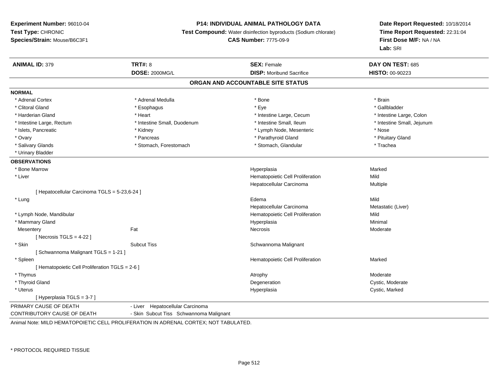#### **P14: INDIVIDUAL ANIMAL PATHOLOGY DATA**

**Test Compound:** Water disinfection byproducts (Sodium chlorate)

**CAS Number:** 7775-09-9

**Date Report Requested:** 10/18/2014**Time Report Requested:** 22:31:04**First Dose M/F:** NA / NA**Lab:** SRI

| <b>ANIMAL ID: 379</b>                           | <b>TRT#: 8</b>                                                                | <b>SEX: Female</b>                | DAY ON TEST: 685           |  |
|-------------------------------------------------|-------------------------------------------------------------------------------|-----------------------------------|----------------------------|--|
|                                                 | <b>DOSE: 2000MG/L</b>                                                         | <b>DISP:</b> Moribund Sacrifice   | <b>HISTO: 00-90223</b>     |  |
|                                                 |                                                                               | ORGAN AND ACCOUNTABLE SITE STATUS |                            |  |
| <b>NORMAL</b>                                   |                                                                               |                                   |                            |  |
| * Adrenal Cortex                                | * Adrenal Medulla                                                             | * Bone                            | * Brain                    |  |
| * Clitoral Gland                                | * Esophagus                                                                   | * Eye                             | * Gallbladder              |  |
| * Harderian Gland                               | * Heart                                                                       | * Intestine Large, Cecum          | * Intestine Large, Colon   |  |
| * Intestine Large, Rectum                       | * Intestine Small, Duodenum                                                   | * Intestine Small, Ileum          | * Intestine Small, Jejunum |  |
| * Islets, Pancreatic                            | * Kidney                                                                      | * Lymph Node, Mesenteric          | * Nose                     |  |
| * Ovary                                         | * Pancreas                                                                    | * Parathyroid Gland               | * Pituitary Gland          |  |
| * Salivary Glands                               | * Stomach, Forestomach                                                        | * Stomach, Glandular              | * Trachea                  |  |
| * Urinary Bladder                               |                                                                               |                                   |                            |  |
| <b>OBSERVATIONS</b>                             |                                                                               |                                   |                            |  |
| * Bone Marrow                                   |                                                                               | Hyperplasia                       | Marked                     |  |
| * Liver                                         |                                                                               | Hematopoietic Cell Proliferation  | Mild                       |  |
|                                                 |                                                                               | Hepatocellular Carcinoma          | Multiple                   |  |
| [ Hepatocellular Carcinoma TGLS = 5-23,6-24 ]   |                                                                               |                                   |                            |  |
| * Lung                                          |                                                                               | Edema                             | Mild                       |  |
|                                                 |                                                                               | Hepatocellular Carcinoma          | Metastatic (Liver)         |  |
| * Lymph Node, Mandibular                        |                                                                               | Hematopoietic Cell Proliferation  | Mild                       |  |
| * Mammary Gland                                 |                                                                               | Hyperplasia                       | Minimal                    |  |
| Mesentery                                       | Fat                                                                           | Necrosis                          | Moderate                   |  |
| [Necrosis $TGLS = 4-22$ ]                       |                                                                               |                                   |                            |  |
| * Skin                                          | <b>Subcut Tiss</b>                                                            | Schwannoma Malignant              |                            |  |
| [Schwannoma Malignant TGLS = 1-21]              |                                                                               |                                   |                            |  |
| * Spleen                                        |                                                                               | Hematopoietic Cell Proliferation  | Marked                     |  |
| [ Hematopoietic Cell Proliferation TGLS = 2-6 ] |                                                                               |                                   |                            |  |
| * Thymus                                        |                                                                               | Atrophy                           | Moderate                   |  |
| * Thyroid Gland                                 |                                                                               | Degeneration                      | Cystic, Moderate           |  |
| * Uterus                                        |                                                                               | Hyperplasia                       | Cystic, Marked             |  |
| [Hyperplasia TGLS = $3-7$ ]                     |                                                                               |                                   |                            |  |
| PRIMARY CAUSE OF DEATH                          | - Liver Hepatocellular Carcinoma                                              |                                   |                            |  |
| CONTRIBUTORY CAUSE OF DEATH                     | - Skin Subcut Tiss Schwannoma Malignant                                       |                                   |                            |  |
|                                                 | LINE LAULD LIEMATODOIETIO OFLI, PROLIFERATION IN ARRENAL OORTEV NOT TARULATER |                                   |                            |  |

Animal Note: MILD HEMATOPOIETIC CELL PROLIFERATION IN ADRENAL CORTEX; NOT TABULATED.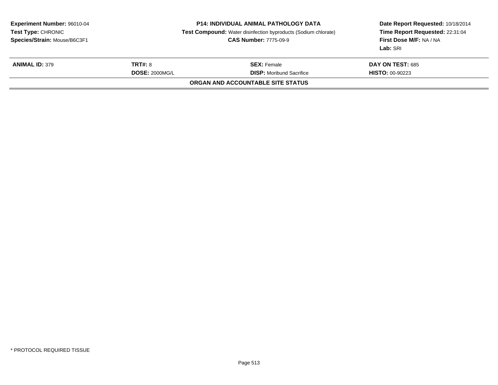| Test Type: CHRONIC<br>Species/Strain: Mouse/B6C3F1 |                                         | <b>Test Compound:</b> Water disinfection byproducts (Sodium chlorate)<br><b>CAS Number: 7775-09-9</b> | Date Report Requested: 10/18/2014<br>Time Report Requested: 22:31:04<br>First Dose M/F: NA / NA<br>Lab: SRI |  |
|----------------------------------------------------|-----------------------------------------|-------------------------------------------------------------------------------------------------------|-------------------------------------------------------------------------------------------------------------|--|
| <b>ANIMAL ID: 379</b>                              | <b>TRT#: 8</b><br><b>DOSE: 2000MG/L</b> | <b>SEX:</b> Female<br><b>DISP:</b> Moribund Sacrifice<br><b>ORGAN AND ACCOUNTABLE SITE STATUS</b>     | <b>DAY ON TEST: 685</b><br><b>HISTO: 00-90223</b>                                                           |  |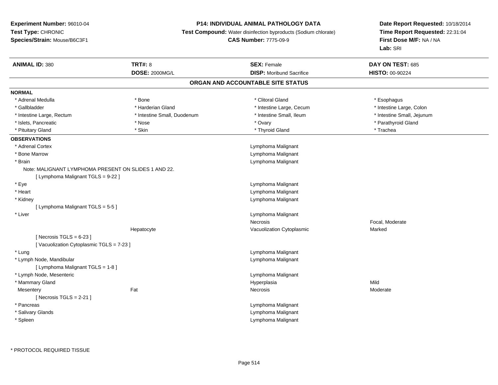# **P14: INDIVIDUAL ANIMAL PATHOLOGY DATA**

**Test Compound:** Water disinfection byproducts (Sodium chlorate)

**CAS Number:** 7775-09-9

| <b>ANIMAL ID: 380</b>                                | <b>TRT#: 8</b>              | <b>SEX: Female</b>                | DAY ON TEST: 685           |
|------------------------------------------------------|-----------------------------|-----------------------------------|----------------------------|
|                                                      | <b>DOSE: 2000MG/L</b>       | <b>DISP:</b> Moribund Sacrifice   | <b>HISTO: 00-90224</b>     |
|                                                      |                             | ORGAN AND ACCOUNTABLE SITE STATUS |                            |
| <b>NORMAL</b>                                        |                             |                                   |                            |
| * Adrenal Medulla                                    | * Bone                      | * Clitoral Gland                  | * Esophagus                |
| * Gallbladder                                        | * Harderian Gland           | * Intestine Large, Cecum          | * Intestine Large, Colon   |
| * Intestine Large, Rectum                            | * Intestine Small, Duodenum | * Intestine Small, Ileum          | * Intestine Small, Jejunum |
| * Islets, Pancreatic                                 | * Nose                      | * Ovary                           | * Parathyroid Gland        |
| * Pituitary Gland                                    | * Skin                      | * Thyroid Gland                   | * Trachea                  |
| <b>OBSERVATIONS</b>                                  |                             |                                   |                            |
| * Adrenal Cortex                                     |                             | Lymphoma Malignant                |                            |
| * Bone Marrow                                        |                             | Lymphoma Malignant                |                            |
| * Brain                                              |                             | Lymphoma Malignant                |                            |
| Note: MALIGNANT LYMPHOMA PRESENT ON SLIDES 1 AND 22. |                             |                                   |                            |
| [ Lymphoma Malignant TGLS = 9-22 ]                   |                             |                                   |                            |
| * Eye                                                |                             | Lymphoma Malignant                |                            |
| * Heart                                              |                             | Lymphoma Malignant                |                            |
| * Kidney                                             |                             | Lymphoma Malignant                |                            |
| [ Lymphoma Malignant TGLS = 5-5 ]                    |                             |                                   |                            |
| * Liver                                              |                             | Lymphoma Malignant                |                            |
|                                                      |                             | <b>Necrosis</b>                   | Focal, Moderate            |
|                                                      | Hepatocyte                  | Vacuolization Cytoplasmic         | Marked                     |
| [Necrosis TGLS = $6-23$ ]                            |                             |                                   |                            |
| [Vacuolization Cytoplasmic TGLS = 7-23]              |                             |                                   |                            |
| * Lung                                               |                             | Lymphoma Malignant                |                            |
| * Lymph Node, Mandibular                             |                             | Lymphoma Malignant                |                            |
| [ Lymphoma Malignant TGLS = 1-8 ]                    |                             |                                   |                            |
| * Lymph Node, Mesenteric                             |                             | Lymphoma Malignant                |                            |
| * Mammary Gland                                      |                             | Hyperplasia                       | Mild                       |
| Mesentery                                            | Fat                         | Necrosis                          | Moderate                   |
| [Necrosis $TGLS = 2-21$ ]                            |                             |                                   |                            |
| * Pancreas                                           |                             | Lymphoma Malignant                |                            |
| * Salivary Glands                                    |                             | Lymphoma Malignant                |                            |
| * Spleen                                             |                             | Lymphoma Malignant                |                            |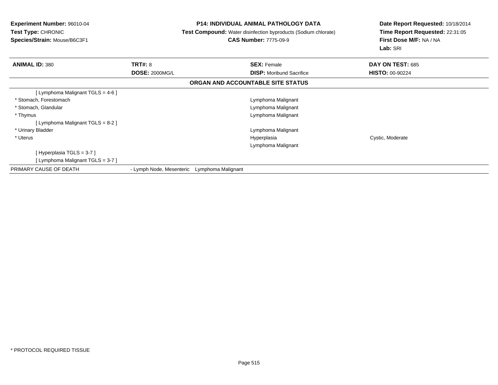**Experiment Number:** 96010-04**Test Type:** CHRONIC **Species/Strain:** Mouse/B6C3F1**P14: INDIVIDUAL ANIMAL PATHOLOGY DATA Test Compound:** Water disinfection byproducts (Sodium chlorate)**CAS Number:** 7775-09-9**Date Report Requested:** 10/18/2014**Time Report Requested:** 22:31:05**First Dose M/F:** NA / NA**Lab:** SRI**ANIMAL ID:** 380**C TRT#:** 8 **SEX:** Female **DAY ON TEST:** 685 **DOSE:** 2000MG/L **DISP:** Moribund Sacrifice **HISTO:** 00-90224 **ORGAN AND ACCOUNTABLE SITE STATUS**[ Lymphoma Malignant TGLS = 4-6 ] \* Stomach, Forestomach Lymphoma Malignant \* Stomach, Glandular Lymphoma Malignant \* Thymus Lymphoma Malignant [ Lymphoma Malignant TGLS = 8-2 ] \* Urinary Bladder Lymphoma Malignant \* Uteruss and the control of the control of the control of the control of the control of the control of the control of the control of the control of the control of the control of the control of the control of the control of the co Cystic, Moderate Lymphoma Malignant[ Hyperplasia TGLS = 3-7 ] [ Lymphoma Malignant TGLS = 3-7 ]PRIMARY CAUSE OF DEATH- Lymph Node, Mesenteric Lymphoma Malignant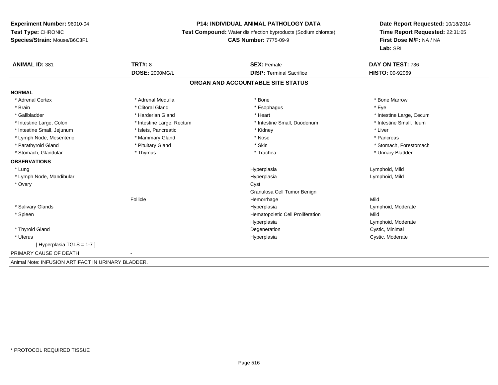# **P14: INDIVIDUAL ANIMAL PATHOLOGY DATA**

**Test Compound:** Water disinfection byproducts (Sodium chlorate)

# **CAS Number:** 7775-09-9

| <b>ANIMAL ID: 381</b>                              | <b>TRT#: 8</b>            | <b>SEX: Female</b>                | DAY ON TEST: 736         |
|----------------------------------------------------|---------------------------|-----------------------------------|--------------------------|
|                                                    | <b>DOSE: 2000MG/L</b>     | <b>DISP: Terminal Sacrifice</b>   | <b>HISTO: 00-92069</b>   |
|                                                    |                           | ORGAN AND ACCOUNTABLE SITE STATUS |                          |
| <b>NORMAL</b>                                      |                           |                                   |                          |
| * Adrenal Cortex                                   | * Adrenal Medulla         | * Bone                            | * Bone Marrow            |
| * Brain                                            | * Clitoral Gland          | * Esophagus                       | * Eye                    |
| * Gallbladder                                      | * Harderian Gland         | * Heart                           | * Intestine Large, Cecum |
| * Intestine Large, Colon                           | * Intestine Large, Rectum | * Intestine Small, Duodenum       | * Intestine Small, Ileum |
| * Intestine Small, Jejunum                         | * Islets, Pancreatic      | * Kidney                          | * Liver                  |
| * Lymph Node, Mesenteric                           | * Mammary Gland           | * Nose                            | * Pancreas               |
| * Parathyroid Gland                                | * Pituitary Gland         | * Skin                            | * Stomach, Forestomach   |
| * Stomach, Glandular                               | * Thymus                  | * Trachea                         | * Urinary Bladder        |
| <b>OBSERVATIONS</b>                                |                           |                                   |                          |
| * Lung                                             |                           | Hyperplasia                       | Lymphoid, Mild           |
| * Lymph Node, Mandibular                           |                           | Hyperplasia                       | Lymphoid, Mild           |
| * Ovary                                            |                           | Cyst                              |                          |
|                                                    |                           | Granulosa Cell Tumor Benign       |                          |
|                                                    | Follicle                  | Hemorrhage                        | Mild                     |
| * Salivary Glands                                  |                           | Hyperplasia                       | Lymphoid, Moderate       |
| * Spleen                                           |                           | Hematopoietic Cell Proliferation  | Mild                     |
|                                                    |                           | Hyperplasia                       | Lymphoid, Moderate       |
| * Thyroid Gland                                    |                           | Degeneration                      | Cystic, Minimal          |
| * Uterus                                           |                           | Hyperplasia                       | Cystic, Moderate         |
| [Hyperplasia TGLS = 1-7]                           |                           |                                   |                          |
| PRIMARY CAUSE OF DEATH                             |                           |                                   |                          |
| Animal Note: INFUSION ARTIFACT IN URINARY BLADDER. |                           |                                   |                          |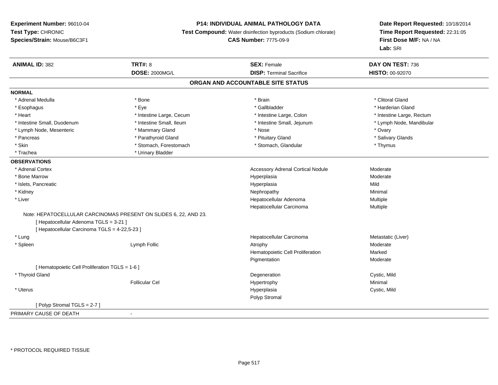### **P14: INDIVIDUAL ANIMAL PATHOLOGY DATA**

**Test Compound:** Water disinfection byproducts (Sodium chlorate)

**CAS Number:** 7775-09-9

| <b>ANIMAL ID: 382</b>                           | <b>TRT#: 8</b>                                                   | <b>SEX: Female</b>                       | DAY ON TEST: 736          |  |
|-------------------------------------------------|------------------------------------------------------------------|------------------------------------------|---------------------------|--|
|                                                 | <b>DOSE: 2000MG/L</b>                                            | <b>DISP: Terminal Sacrifice</b>          | HISTO: 00-92070           |  |
|                                                 |                                                                  | ORGAN AND ACCOUNTABLE SITE STATUS        |                           |  |
| <b>NORMAL</b>                                   |                                                                  |                                          |                           |  |
| * Adrenal Medulla                               | * Bone                                                           | * Brain                                  | * Clitoral Gland          |  |
| * Esophagus                                     | * Eye                                                            | * Gallbladder                            | * Harderian Gland         |  |
| * Heart                                         | * Intestine Large, Cecum                                         | * Intestine Large, Colon                 | * Intestine Large, Rectum |  |
| * Intestine Small, Duodenum                     | * Intestine Small, Ileum                                         | * Intestine Small, Jejunum               | * Lymph Node, Mandibular  |  |
| * Lymph Node, Mesenteric                        | * Mammary Gland                                                  | * Nose                                   | * Ovary                   |  |
| * Pancreas                                      | * Parathyroid Gland                                              | * Pituitary Gland                        | * Salivary Glands         |  |
| * Skin                                          | * Stomach, Forestomach                                           | * Stomach, Glandular                     | * Thymus                  |  |
| * Trachea                                       | * Urinary Bladder                                                |                                          |                           |  |
| <b>OBSERVATIONS</b>                             |                                                                  |                                          |                           |  |
| * Adrenal Cortex                                |                                                                  | <b>Accessory Adrenal Cortical Nodule</b> | Moderate                  |  |
| * Bone Marrow                                   |                                                                  | Hyperplasia                              | Moderate                  |  |
| * Islets, Pancreatic                            |                                                                  | Hyperplasia                              | Mild                      |  |
| * Kidney                                        |                                                                  | Nephropathy                              | Minimal                   |  |
| * Liver                                         |                                                                  | Hepatocellular Adenoma                   | <b>Multiple</b>           |  |
|                                                 |                                                                  | Hepatocellular Carcinoma                 | Multiple                  |  |
|                                                 | Note: HEPATOCELLULAR CARCINOMAS PRESENT ON SLIDES 6, 22, AND 23. |                                          |                           |  |
| [ Hepatocellular Adenoma TGLS = 3-21 ]          |                                                                  |                                          |                           |  |
| [ Hepatocellular Carcinoma TGLS = 4-22,5-23 ]   |                                                                  |                                          |                           |  |
| * Lung                                          |                                                                  | Hepatocellular Carcinoma                 | Metastatic (Liver)        |  |
| * Spleen                                        | Lymph Follic                                                     | Atrophy                                  | Moderate                  |  |
|                                                 |                                                                  | Hematopoietic Cell Proliferation         | Marked                    |  |
|                                                 |                                                                  | Pigmentation                             | Moderate                  |  |
| [ Hematopoietic Cell Proliferation TGLS = 1-6 ] |                                                                  |                                          |                           |  |
| * Thyroid Gland                                 |                                                                  | Degeneration                             | Cystic, Mild              |  |
|                                                 | <b>Follicular Cel</b>                                            | Hypertrophy                              | Minimal                   |  |
| * Uterus                                        |                                                                  | Hyperplasia                              | Cystic, Mild              |  |
|                                                 |                                                                  | Polyp Stromal                            |                           |  |
| [Polyp Stromal TGLS = 2-7]                      |                                                                  |                                          |                           |  |
| PRIMARY CAUSE OF DEATH                          |                                                                  |                                          |                           |  |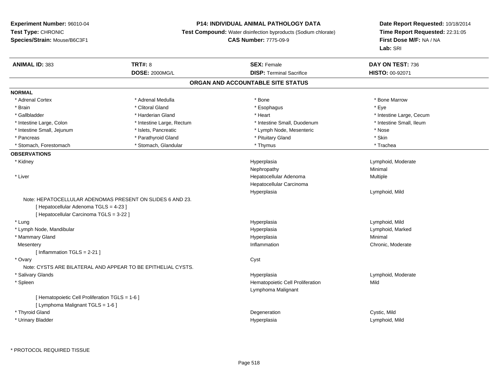$\sim$ 

# **P14: INDIVIDUAL ANIMAL PATHOLOGY DATA**

**Test Compound:** Water disinfection byproducts (Sodium chlorate)

**CAS Number:** 7775-09-9

| <b>ANIMAL ID: 383</b>                           | <b>TRT#: 8</b>                                               | <b>SEX: Female</b>                | DAY ON TEST: 736         |  |
|-------------------------------------------------|--------------------------------------------------------------|-----------------------------------|--------------------------|--|
|                                                 | <b>DOSE: 2000MG/L</b>                                        | <b>DISP: Terminal Sacrifice</b>   | HISTO: 00-92071          |  |
|                                                 |                                                              | ORGAN AND ACCOUNTABLE SITE STATUS |                          |  |
| <b>NORMAL</b>                                   |                                                              |                                   |                          |  |
| * Adrenal Cortex                                | * Adrenal Medulla                                            | * Bone                            | * Bone Marrow            |  |
| * Brain                                         | * Clitoral Gland                                             | * Esophagus                       | * Eye                    |  |
| * Gallbladder                                   | * Harderian Gland                                            | * Heart                           | * Intestine Large, Cecum |  |
| * Intestine Large, Colon                        | * Intestine Large, Rectum                                    | * Intestine Small, Duodenum       | * Intestine Small, Ileum |  |
| * Intestine Small, Jejunum                      | * Islets, Pancreatic                                         | * Lymph Node, Mesenteric          | * Nose                   |  |
| * Pancreas                                      | * Parathyroid Gland                                          | * Pituitary Gland                 | * Skin                   |  |
| * Stomach, Forestomach                          | * Stomach, Glandular                                         | * Thymus                          | * Trachea                |  |
| <b>OBSERVATIONS</b>                             |                                                              |                                   |                          |  |
| * Kidney                                        |                                                              | Hyperplasia                       | Lymphoid, Moderate       |  |
|                                                 |                                                              | Nephropathy                       | Minimal                  |  |
| * Liver                                         |                                                              | Hepatocellular Adenoma            | Multiple                 |  |
|                                                 |                                                              | Hepatocellular Carcinoma          |                          |  |
|                                                 |                                                              | Hyperplasia                       | Lymphoid, Mild           |  |
|                                                 | Note: HEPATOCELLULAR ADENOMAS PRESENT ON SLIDES 6 AND 23.    |                                   |                          |  |
| [ Hepatocellular Adenoma TGLS = 4-23 ]          |                                                              |                                   |                          |  |
| [ Hepatocellular Carcinoma TGLS = 3-22 ]        |                                                              |                                   |                          |  |
| * Lung                                          |                                                              | Hyperplasia                       | Lymphoid, Mild           |  |
| * Lymph Node, Mandibular                        |                                                              | Hyperplasia                       | Lymphoid, Marked         |  |
| * Mammary Gland                                 |                                                              | Hyperplasia                       | Minimal                  |  |
| Mesentery                                       |                                                              | Inflammation                      | Chronic, Moderate        |  |
| [ Inflammation TGLS = 2-21 ]                    |                                                              |                                   |                          |  |
| * Ovary                                         |                                                              | Cyst                              |                          |  |
|                                                 | Note: CYSTS ARE BILATERAL AND APPEAR TO BE EPITHELIAL CYSTS. |                                   |                          |  |
| * Salivary Glands                               |                                                              | Hyperplasia                       | Lymphoid, Moderate       |  |
| * Spleen                                        |                                                              | Hematopoietic Cell Proliferation  | Mild                     |  |
|                                                 |                                                              | Lymphoma Malignant                |                          |  |
| [ Hematopoietic Cell Proliferation TGLS = 1-6 ] |                                                              |                                   |                          |  |
| [ Lymphoma Malignant TGLS = 1-6 ]               |                                                              |                                   |                          |  |
| * Thyroid Gland                                 |                                                              | Degeneration                      | Cystic, Mild             |  |
| * Urinary Bladder                               |                                                              | Hyperplasia                       | Lymphoid, Mild           |  |
|                                                 |                                                              |                                   |                          |  |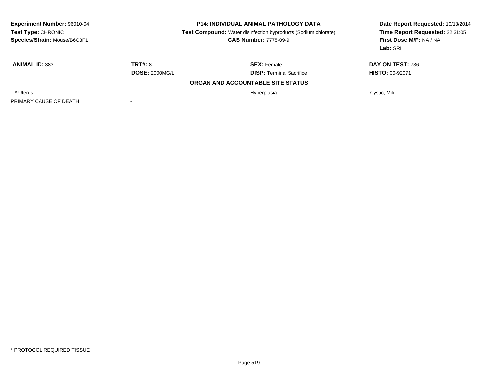| <b>Experiment Number: 96010-04</b><br>Test Type: CHRONIC<br>Species/Strain: Mouse/B6C3F1 |                          | <b>P14: INDIVIDUAL ANIMAL PATHOLOGY DATA</b><br><b>Test Compound:</b> Water disinfection byproducts (Sodium chlorate)<br><b>CAS Number: 7775-09-9</b> | Date Report Requested: 10/18/2014<br>Time Report Requested: 22:31:05<br>First Dose M/F: NA / NA<br>Lab: SRI |
|------------------------------------------------------------------------------------------|--------------------------|-------------------------------------------------------------------------------------------------------------------------------------------------------|-------------------------------------------------------------------------------------------------------------|
| <b>ANIMAL ID: 383</b>                                                                    | <b>TRT#: 8</b>           | <b>SEX: Female</b>                                                                                                                                    | <b>DAY ON TEST: 736</b>                                                                                     |
|                                                                                          | <b>DOSE: 2000MG/L</b>    | <b>DISP: Terminal Sacrifice</b>                                                                                                                       | <b>HISTO: 00-92071</b>                                                                                      |
|                                                                                          |                          | ORGAN AND ACCOUNTABLE SITE STATUS                                                                                                                     |                                                                                                             |
| * Uterus                                                                                 |                          | Hyperplasia                                                                                                                                           | Cystic, Mild                                                                                                |
| PRIMARY CAUSE OF DEATH                                                                   | $\overline{\phantom{a}}$ |                                                                                                                                                       |                                                                                                             |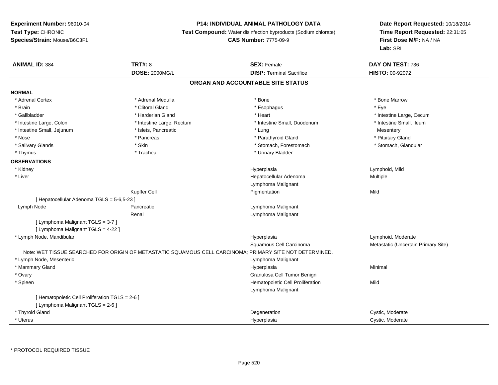# **P14: INDIVIDUAL ANIMAL PATHOLOGY DATA**

**Test Compound:** Water disinfection byproducts (Sodium chlorate)

# **CAS Number:** 7775-09-9

| <b>ANIMAL ID: 384</b>                           | TRT#: 8                                                                                                  | <b>SEX: Female</b>                | DAY ON TEST: 736                    |
|-------------------------------------------------|----------------------------------------------------------------------------------------------------------|-----------------------------------|-------------------------------------|
|                                                 | <b>DOSE: 2000MG/L</b>                                                                                    | <b>DISP: Terminal Sacrifice</b>   | HISTO: 00-92072                     |
|                                                 |                                                                                                          | ORGAN AND ACCOUNTABLE SITE STATUS |                                     |
| <b>NORMAL</b>                                   |                                                                                                          |                                   |                                     |
| * Adrenal Cortex                                | * Adrenal Medulla                                                                                        | * Bone                            | * Bone Marrow                       |
| * Brain                                         | * Clitoral Gland                                                                                         | * Esophagus                       | * Eye                               |
| * Gallbladder                                   | * Harderian Gland                                                                                        | * Heart                           | * Intestine Large, Cecum            |
| * Intestine Large, Colon                        | * Intestine Large, Rectum                                                                                | * Intestine Small, Duodenum       | * Intestine Small, Ileum            |
| * Intestine Small, Jejunum                      | * Islets, Pancreatic                                                                                     | * Lung                            | Mesentery                           |
| * Nose                                          | * Pancreas                                                                                               | * Parathyroid Gland               | * Pituitary Gland                   |
| * Salivary Glands                               | * Skin                                                                                                   | * Stomach, Forestomach            | * Stomach, Glandular                |
| * Thymus                                        | * Trachea                                                                                                | * Urinary Bladder                 |                                     |
| <b>OBSERVATIONS</b>                             |                                                                                                          |                                   |                                     |
| * Kidney                                        |                                                                                                          | Hyperplasia                       | Lymphoid, Mild                      |
| * Liver                                         |                                                                                                          | Hepatocellular Adenoma            | Multiple                            |
|                                                 |                                                                                                          | Lymphoma Malignant                |                                     |
|                                                 | Kupffer Cell                                                                                             | Pigmentation                      | Mild                                |
| [ Hepatocellular Adenoma TGLS = 5-6,5-23 ]      |                                                                                                          |                                   |                                     |
| Lymph Node                                      | Pancreatic                                                                                               | Lymphoma Malignant                |                                     |
|                                                 | Renal                                                                                                    | Lymphoma Malignant                |                                     |
| [ Lymphoma Malignant TGLS = 3-7 ]               |                                                                                                          |                                   |                                     |
| [ Lymphoma Malignant TGLS = 4-22 ]              |                                                                                                          |                                   |                                     |
| * Lymph Node, Mandibular                        |                                                                                                          | Hyperplasia                       | Lymphoid, Moderate                  |
|                                                 |                                                                                                          | Squamous Cell Carcinoma           | Metastatic (Uncertain Primary Site) |
|                                                 | Note: WET TISSUE SEARCHED FOR ORIGIN OF METASTATIC SQUAMOUS CELL CARCINOMA: PRIMARY SITE NOT DETERMINED. |                                   |                                     |
| * Lymph Node, Mesenteric                        |                                                                                                          | Lymphoma Malignant                |                                     |
| * Mammary Gland                                 |                                                                                                          | Hyperplasia                       | Minimal                             |
| * Ovary                                         |                                                                                                          | Granulosa Cell Tumor Benign       |                                     |
| * Spleen                                        |                                                                                                          | Hematopoietic Cell Proliferation  | Mild                                |
|                                                 |                                                                                                          | Lymphoma Malignant                |                                     |
| [ Hematopoietic Cell Proliferation TGLS = 2-6 ] |                                                                                                          |                                   |                                     |
| [ Lymphoma Malignant TGLS = 2-6 ]               |                                                                                                          |                                   |                                     |
| * Thyroid Gland                                 |                                                                                                          | Degeneration                      | Cystic, Moderate                    |
| * Uterus                                        |                                                                                                          | Hyperplasia                       | Cystic, Moderate                    |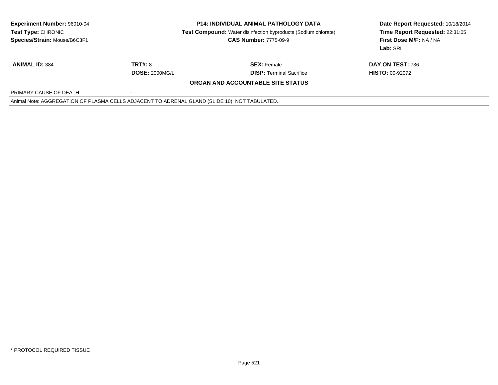| <b>Experiment Number: 96010-04</b><br><b>Test Type: CHRONIC</b><br>Species/Strain: Mouse/B6C3F1 | <b>P14: INDIVIDUAL ANIMAL PATHOLOGY DATA</b><br><b>Test Compound:</b> Water disinfection byproducts (Sodium chlorate)<br><b>CAS Number: 7775-09-9</b> |                                                       | Date Report Requested: 10/18/2014<br>Time Report Requested: 22:31:05<br>First Dose M/F: NA / NA<br><b>Lab: SRI</b> |
|-------------------------------------------------------------------------------------------------|-------------------------------------------------------------------------------------------------------------------------------------------------------|-------------------------------------------------------|--------------------------------------------------------------------------------------------------------------------|
| <b>ANIMAL ID: 384</b>                                                                           | <b>TRT#: 8</b><br><b>DOSE: 2000MG/L</b>                                                                                                               | <b>SEX: Female</b><br><b>DISP:</b> Terminal Sacrifice | <b>DAY ON TEST: 736</b><br><b>HISTO: 00-92072</b>                                                                  |
|                                                                                                 |                                                                                                                                                       | ORGAN AND ACCOUNTABLE SITE STATUS                     |                                                                                                                    |
| PRIMARY CAUSE OF DEATH                                                                          |                                                                                                                                                       |                                                       |                                                                                                                    |
| Animal Note: AGGREGATION OF PLASMA CELLS ADJACENT TO ADRENAL GLAND (SLIDE 10); NOT TABULATED.   |                                                                                                                                                       |                                                       |                                                                                                                    |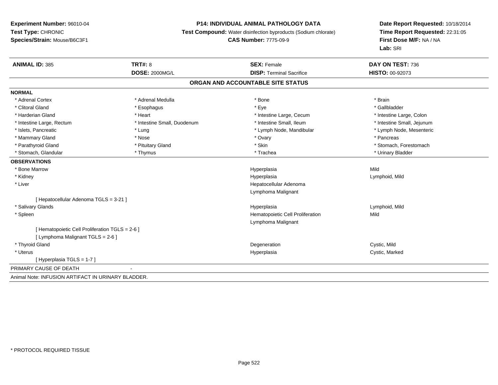# **P14: INDIVIDUAL ANIMAL PATHOLOGY DATA**

**Test Compound:** Water disinfection byproducts (Sodium chlorate)

#### **CAS Number:** 7775-09-9

| <b>ANIMAL ID: 385</b>                              | <b>TRT#: 8</b>              | <b>SEX: Female</b>                | DAY ON TEST: 736           |
|----------------------------------------------------|-----------------------------|-----------------------------------|----------------------------|
|                                                    | <b>DOSE: 2000MG/L</b>       | <b>DISP: Terminal Sacrifice</b>   | HISTO: 00-92073            |
|                                                    |                             | ORGAN AND ACCOUNTABLE SITE STATUS |                            |
| <b>NORMAL</b>                                      |                             |                                   |                            |
| * Adrenal Cortex                                   | * Adrenal Medulla           | * Bone                            | * Brain                    |
| * Clitoral Gland                                   | * Esophagus                 | * Eye                             | * Gallbladder              |
| * Harderian Gland                                  | * Heart                     | * Intestine Large, Cecum          | * Intestine Large, Colon   |
| * Intestine Large, Rectum                          | * Intestine Small, Duodenum | * Intestine Small, Ileum          | * Intestine Small, Jejunum |
| * Islets, Pancreatic                               | * Lung                      | * Lymph Node, Mandibular          | * Lymph Node, Mesenteric   |
| * Mammary Gland                                    | * Nose                      | * Ovary                           | * Pancreas                 |
| * Parathyroid Gland                                | * Pituitary Gland           | * Skin                            | * Stomach, Forestomach     |
| * Stomach, Glandular                               | * Thymus                    | * Trachea                         | * Urinary Bladder          |
| <b>OBSERVATIONS</b>                                |                             |                                   |                            |
| * Bone Marrow                                      |                             | Hyperplasia                       | Mild                       |
| * Kidney                                           |                             | Hyperplasia                       | Lymphoid, Mild             |
| * Liver                                            |                             | Hepatocellular Adenoma            |                            |
|                                                    |                             | Lymphoma Malignant                |                            |
| [ Hepatocellular Adenoma TGLS = 3-21 ]             |                             |                                   |                            |
| * Salivary Glands                                  |                             | Hyperplasia                       | Lymphoid, Mild             |
| * Spleen                                           |                             | Hematopoietic Cell Proliferation  | Mild                       |
|                                                    |                             | Lymphoma Malignant                |                            |
| [Hematopoietic Cell Proliferation TGLS = 2-6]      |                             |                                   |                            |
| [ Lymphoma Malignant TGLS = 2-6 ]                  |                             |                                   |                            |
| * Thyroid Gland                                    |                             | Degeneration                      | Cystic, Mild               |
| * Uterus                                           |                             | Hyperplasia                       | Cystic, Marked             |
| [Hyperplasia TGLS = 1-7]                           |                             |                                   |                            |
| PRIMARY CAUSE OF DEATH                             |                             |                                   |                            |
| Animal Note: INFUSION ARTIFACT IN URINARY BLADDER. |                             |                                   |                            |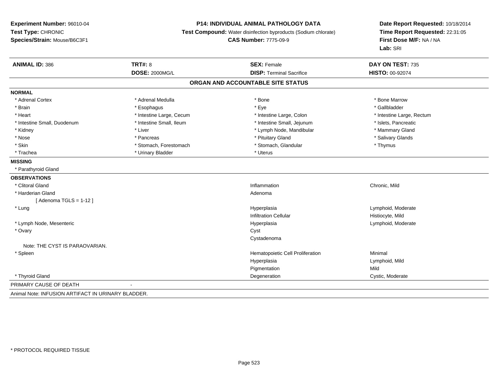#### **P14: INDIVIDUAL ANIMAL PATHOLOGY DATA**

**Test Compound:** Water disinfection byproducts (Sodium chlorate)

**CAS Number:** 7775-09-9

**Date Report Requested:** 10/18/2014**Time Report Requested:** 22:31:05**First Dose M/F:** NA / NA**Lab:** SRI

| <b>ANIMAL ID: 386</b>          | <b>TRT#: 8</b><br><b>DOSE: 2000MG/L</b> | <b>SEX: Female</b><br><b>DISP: Terminal Sacrifice</b> | DAY ON TEST: 735          |
|--------------------------------|-----------------------------------------|-------------------------------------------------------|---------------------------|
|                                |                                         |                                                       | HISTO: 00-92074           |
|                                |                                         | ORGAN AND ACCOUNTABLE SITE STATUS                     |                           |
| <b>NORMAL</b>                  |                                         |                                                       |                           |
| * Adrenal Cortex               | * Adrenal Medulla                       | * Bone                                                | * Bone Marrow             |
| * Brain                        | * Esophagus                             | * Eye                                                 | * Gallbladder             |
| * Heart                        | * Intestine Large, Cecum                | * Intestine Large, Colon                              | * Intestine Large, Rectum |
| * Intestine Small, Duodenum    | * Intestine Small, Ileum                | * Intestine Small, Jejunum                            | * Islets, Pancreatic      |
| * Kidney                       | * Liver                                 | * Lymph Node, Mandibular                              | * Mammary Gland           |
| * Nose                         | * Pancreas                              | * Pituitary Gland                                     | * Salivary Glands         |
| * Skin                         | * Stomach, Forestomach                  | * Stomach, Glandular                                  | * Thymus                  |
| * Trachea                      | * Urinary Bladder                       | * Uterus                                              |                           |
| <b>MISSING</b>                 |                                         |                                                       |                           |
| * Parathyroid Gland            |                                         |                                                       |                           |
| <b>OBSERVATIONS</b>            |                                         |                                                       |                           |
| * Clitoral Gland               |                                         | Inflammation                                          | Chronic, Mild             |
| * Harderian Gland              |                                         | Adenoma                                               |                           |
| [ Adenoma TGLS = 1-12 ]        |                                         |                                                       |                           |
| * Lung                         |                                         | Hyperplasia                                           | Lymphoid, Moderate        |
|                                |                                         | <b>Infiltration Cellular</b>                          | Histiocyte, Mild          |
| * Lymph Node, Mesenteric       |                                         | Hyperplasia                                           | Lymphoid, Moderate        |
| * Ovary                        |                                         | Cyst                                                  |                           |
|                                |                                         | Cystadenoma                                           |                           |
| Note: THE CYST IS PARAOVARIAN. |                                         |                                                       |                           |
| * Spleen                       |                                         | Hematopoietic Cell Proliferation                      | Minimal                   |
|                                |                                         | Hyperplasia                                           | Lymphoid, Mild            |
|                                |                                         | Pigmentation                                          | Mild                      |
| * Thyroid Gland                |                                         | Degeneration                                          | Cystic, Moderate          |
| PRIMARY CAUSE OF DEATH         |                                         |                                                       |                           |

Animal Note: INFUSION ARTIFACT IN URINARY BLADDER.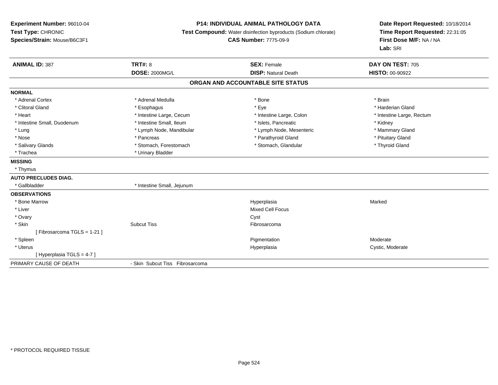# **P14: INDIVIDUAL ANIMAL PATHOLOGY DATA**

**Test Compound:** Water disinfection byproducts (Sodium chlorate)

**CAS Number:** 7775-09-9

| <b>ANIMAL ID: 387</b>        | <b>TRT#: 8</b>                  | <b>SEX: Female</b>                | DAY ON TEST: 705          |
|------------------------------|---------------------------------|-----------------------------------|---------------------------|
|                              | <b>DOSE: 2000MG/L</b>           | <b>DISP: Natural Death</b>        | HISTO: 00-90922           |
|                              |                                 | ORGAN AND ACCOUNTABLE SITE STATUS |                           |
| <b>NORMAL</b>                |                                 |                                   |                           |
| * Adrenal Cortex             | * Adrenal Medulla               | * Bone                            | * Brain                   |
| * Clitoral Gland             | * Esophagus                     | * Eye                             | * Harderian Gland         |
| * Heart                      | * Intestine Large, Cecum        | * Intestine Large, Colon          | * Intestine Large, Rectum |
| * Intestine Small, Duodenum  | * Intestine Small, Ileum        | * Islets, Pancreatic              | * Kidney                  |
| * Lung                       | * Lymph Node, Mandibular        | * Lymph Node, Mesenteric          | * Mammary Gland           |
| * Nose                       | * Pancreas                      | * Parathyroid Gland               | * Pituitary Gland         |
| * Salivary Glands            | * Stomach, Forestomach          | * Stomach, Glandular              | * Thyroid Gland           |
| * Trachea                    | * Urinary Bladder               |                                   |                           |
| <b>MISSING</b>               |                                 |                                   |                           |
| * Thymus                     |                                 |                                   |                           |
| <b>AUTO PRECLUDES DIAG.</b>  |                                 |                                   |                           |
| * Gallbladder                | * Intestine Small, Jejunum      |                                   |                           |
| <b>OBSERVATIONS</b>          |                                 |                                   |                           |
| * Bone Marrow                |                                 | Hyperplasia                       | Marked                    |
| * Liver                      |                                 | <b>Mixed Cell Focus</b>           |                           |
| * Ovary                      |                                 | Cyst                              |                           |
| * Skin                       | <b>Subcut Tiss</b>              | Fibrosarcoma                      |                           |
| [ Fibrosarcoma TGLS = 1-21 ] |                                 |                                   |                           |
| * Spleen                     |                                 | Pigmentation                      | Moderate                  |
| * Uterus                     |                                 | Hyperplasia                       | Cystic, Moderate          |
| [Hyperplasia TGLS = 4-7]     |                                 |                                   |                           |
| PRIMARY CAUSE OF DEATH       | - Skin Subcut Tiss Fibrosarcoma |                                   |                           |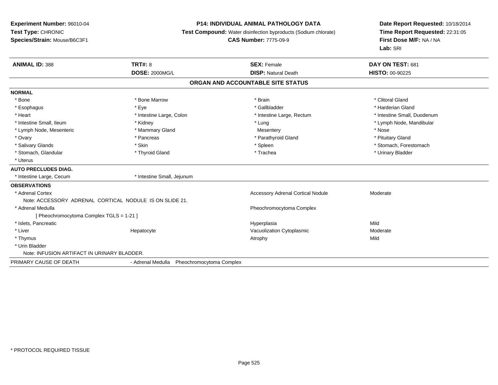#### **P14: INDIVIDUAL ANIMAL PATHOLOGY DATA**

**Test Compound:** Water disinfection byproducts (Sodium chlorate)

#### **CAS Number:** 7775-09-9

| <b>ANIMAL ID: 388</b>                                   | <b>TRT#: 8</b>                                | <b>SEX: Female</b>                       | DAY ON TEST: 681            |
|---------------------------------------------------------|-----------------------------------------------|------------------------------------------|-----------------------------|
|                                                         | <b>DOSE: 2000MG/L</b>                         | <b>DISP: Natural Death</b>               | <b>HISTO: 00-90225</b>      |
|                                                         |                                               | ORGAN AND ACCOUNTABLE SITE STATUS        |                             |
| <b>NORMAL</b>                                           |                                               |                                          |                             |
| * Bone                                                  | * Bone Marrow                                 | * Brain                                  | * Clitoral Gland            |
| * Esophagus                                             | * Eye                                         | * Gallbladder                            | * Harderian Gland           |
| * Heart                                                 | * Intestine Large, Colon                      | * Intestine Large, Rectum                | * Intestine Small, Duodenum |
| * Intestine Small, Ileum                                | * Kidney                                      | * Lung                                   | * Lymph Node, Mandibular    |
| * Lymph Node, Mesenteric                                | * Mammary Gland                               | Mesentery                                | * Nose                      |
| * Ovary                                                 | * Pancreas                                    | * Parathyroid Gland                      | * Pituitary Gland           |
| * Salivary Glands                                       | * Skin                                        | * Spleen                                 | * Stomach, Forestomach      |
| * Stomach, Glandular                                    | * Thyroid Gland                               | * Trachea                                | * Urinary Bladder           |
| * Uterus                                                |                                               |                                          |                             |
| <b>AUTO PRECLUDES DIAG.</b>                             |                                               |                                          |                             |
| * Intestine Large, Cecum                                | * Intestine Small, Jejunum                    |                                          |                             |
| <b>OBSERVATIONS</b>                                     |                                               |                                          |                             |
| * Adrenal Cortex                                        |                                               | <b>Accessory Adrenal Cortical Nodule</b> | Moderate                    |
| Note: ACCESSORY ADRENAL CORTICAL NODULE IS ON SLIDE 21. |                                               |                                          |                             |
| * Adrenal Medulla                                       |                                               | Pheochromocytoma Complex                 |                             |
| [ Pheochromocytoma Complex TGLS = 1-21 ]                |                                               |                                          |                             |
| * Islets, Pancreatic                                    |                                               | Hyperplasia                              | Mild                        |
| * Liver                                                 | Hepatocyte                                    | Vacuolization Cytoplasmic                | Moderate                    |
| * Thymus                                                |                                               | Atrophy                                  | Mild                        |
| * Urin Bladder                                          |                                               |                                          |                             |
| Note: INFUSION ARTIFACT IN URINARY BLADDER.             |                                               |                                          |                             |
| PRIMARY CAUSE OF DEATH                                  | - Adrenal Medulla<br>Pheochromocytoma Complex |                                          |                             |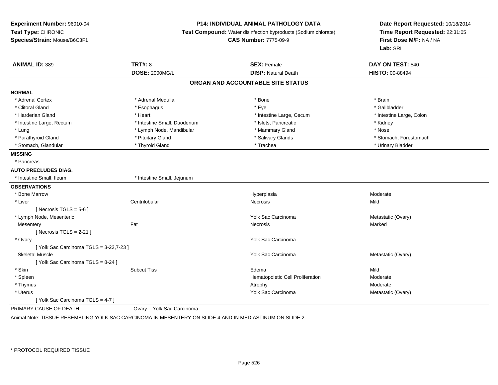#### **P14: INDIVIDUAL ANIMAL PATHOLOGY DATA**

**Test Compound:** Water disinfection byproducts (Sodium chlorate)

**CAS Number:** 7775-09-9

**Date Report Requested:** 10/18/2014**Time Report Requested:** 22:31:05**First Dose M/F:** NA / NA**Lab:** SRI

| <b>ANIMAL ID: 389</b>                   | <b>TRT#: 8</b>              | <b>SEX: Female</b>                | DAY ON TEST: 540         |
|-----------------------------------------|-----------------------------|-----------------------------------|--------------------------|
|                                         | <b>DOSE: 2000MG/L</b>       | <b>DISP: Natural Death</b>        | <b>HISTO: 00-88494</b>   |
|                                         |                             | ORGAN AND ACCOUNTABLE SITE STATUS |                          |
| <b>NORMAL</b>                           |                             |                                   |                          |
| * Adrenal Cortex                        | * Adrenal Medulla           | * Bone                            | * Brain                  |
| * Clitoral Gland                        | * Esophagus                 | * Eye                             | * Gallbladder            |
| * Harderian Gland                       | * Heart                     | * Intestine Large, Cecum          | * Intestine Large, Colon |
| * Intestine Large, Rectum               | * Intestine Small, Duodenum | * Islets, Pancreatic              | * Kidney                 |
| * Lung                                  | * Lymph Node, Mandibular    | * Mammary Gland                   | * Nose                   |
| * Parathyroid Gland                     | * Pituitary Gland           | * Salivary Glands                 | * Stomach, Forestomach   |
| * Stomach, Glandular                    | * Thyroid Gland             | * Trachea                         | * Urinary Bladder        |
| <b>MISSING</b>                          |                             |                                   |                          |
| * Pancreas                              |                             |                                   |                          |
| <b>AUTO PRECLUDES DIAG.</b>             |                             |                                   |                          |
| * Intestine Small. Ileum                | * Intestine Small, Jejunum  |                                   |                          |
| <b>OBSERVATIONS</b>                     |                             |                                   |                          |
| * Bone Marrow                           |                             | Hyperplasia                       | Moderate                 |
| * Liver                                 | Centrilobular               | Necrosis                          | Mild                     |
| [ Necrosis TGLS = $5-6$ ]               |                             |                                   |                          |
| * Lymph Node, Mesenteric                |                             | Yolk Sac Carcinoma                | Metastatic (Ovary)       |
| Mesentery                               | Fat                         | <b>Necrosis</b>                   | Marked                   |
| [ Necrosis TGLS = $2-21$ ]              |                             |                                   |                          |
| * Ovary                                 |                             | Yolk Sac Carcinoma                |                          |
| [ Yolk Sac Carcinoma TGLS = 3-22,7-23 ] |                             |                                   |                          |
| <b>Skeletal Muscle</b>                  |                             | Yolk Sac Carcinoma                | Metastatic (Ovary)       |
| [Yolk Sac Carcinoma TGLS = 8-24]        |                             |                                   |                          |
| * Skin                                  | <b>Subcut Tiss</b>          | Edema                             | Mild                     |
| * Spleen                                |                             | Hematopoietic Cell Proliferation  | Moderate                 |
| * Thymus                                |                             | Atrophy                           | Moderate                 |
| * Uterus                                |                             | Yolk Sac Carcinoma                | Metastatic (Ovary)       |
| [Yolk Sac Carcinoma TGLS = 4-7]         |                             |                                   |                          |
| PRIMARY CAUSE OF DEATH                  | - Ovary Yolk Sac Carcinoma  |                                   |                          |

Animal Note: TISSUE RESEMBLING YOLK SAC CARCINOMA IN MESENTERY ON SLIDE 4 AND IN MEDIASTINUM ON SLIDE 2.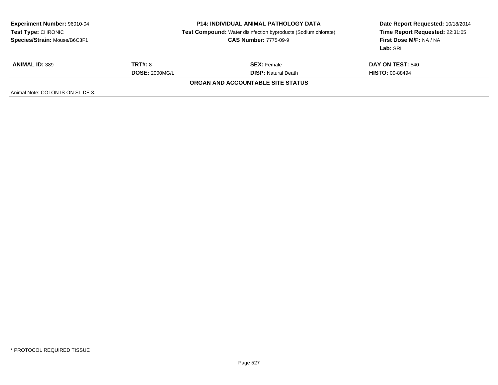| <b>Experiment Number: 96010-04</b><br>Test Type: CHRONIC<br>Species/Strain: Mouse/B6C3F1 | <b>P14: INDIVIDUAL ANIMAL PATHOLOGY DATA</b><br><b>Test Compound:</b> Water disinfection byproducts (Sodium chlorate)<br><b>CAS Number: 7775-09-9</b> |                                                  | Date Report Requested: 10/18/2014<br>Time Report Requested: 22:31:05<br>First Dose M/F: NA / NA<br>Lab: SRI |
|------------------------------------------------------------------------------------------|-------------------------------------------------------------------------------------------------------------------------------------------------------|--------------------------------------------------|-------------------------------------------------------------------------------------------------------------|
| <b>ANIMAL ID: 389</b>                                                                    | <b>TRT#: 8</b><br><b>DOSE: 2000MG/L</b>                                                                                                               | <b>SEX:</b> Female<br><b>DISP:</b> Natural Death | DAY ON TEST: 540<br><b>HISTO: 00-88494</b>                                                                  |
|                                                                                          |                                                                                                                                                       | ORGAN AND ACCOUNTABLE SITE STATUS                |                                                                                                             |
| Animal Note: COLON IS ON SLIDE 3.                                                        |                                                                                                                                                       |                                                  |                                                                                                             |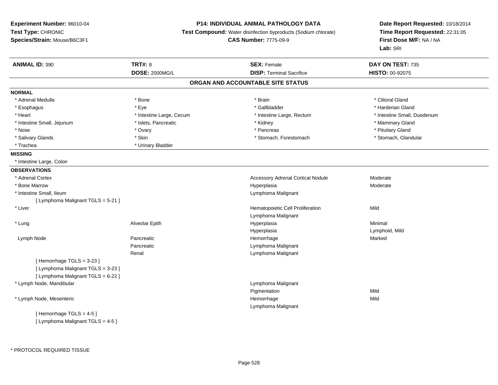# **P14: INDIVIDUAL ANIMAL PATHOLOGY DATA**

**Test Compound:** Water disinfection byproducts (Sodium chlorate)

**CAS Number:** 7775-09-9

| <b>ANIMAL ID: 390</b>              | <b>TRT#: 8</b>           | <b>SEX: Female</b>                | DAY ON TEST: 735            |
|------------------------------------|--------------------------|-----------------------------------|-----------------------------|
|                                    | <b>DOSE: 2000MG/L</b>    | <b>DISP: Terminal Sacrifice</b>   | HISTO: 00-92075             |
|                                    |                          | ORGAN AND ACCOUNTABLE SITE STATUS |                             |
| <b>NORMAL</b>                      |                          |                                   |                             |
| * Adrenal Medulla                  | * Bone                   | * Brain                           | * Clitoral Gland            |
| * Esophagus                        | * Eye                    | * Gallbladder                     | * Harderian Gland           |
| * Heart                            | * Intestine Large, Cecum | * Intestine Large, Rectum         | * Intestine Small, Duodenum |
| * Intestine Small, Jejunum         | * Islets, Pancreatic     | * Kidney                          | * Mammary Gland             |
| * Nose                             | * Ovary                  | * Pancreas                        | * Pituitary Gland           |
| * Salivary Glands                  | * Skin                   | * Stomach, Forestomach            | * Stomach, Glandular        |
| * Trachea                          | * Urinary Bladder        |                                   |                             |
| <b>MISSING</b>                     |                          |                                   |                             |
| * Intestine Large, Colon           |                          |                                   |                             |
| <b>OBSERVATIONS</b>                |                          |                                   |                             |
| * Adrenal Cortex                   |                          | Accessory Adrenal Cortical Nodule | Moderate                    |
| * Bone Marrow                      |                          | Hyperplasia                       | Moderate                    |
| * Intestine Small, Ileum           |                          | Lymphoma Malignant                |                             |
| [ Lymphoma Malignant TGLS = 5-21 ] |                          |                                   |                             |
| * Liver                            |                          | Hematopoietic Cell Proliferation  | Mild                        |
|                                    |                          | Lymphoma Malignant                |                             |
| * Lung                             | Alveolar Epith           | Hyperplasia                       | Minimal                     |
|                                    |                          | Hyperplasia                       | Lymphoid, Mild              |
| Lymph Node                         | Pancreatic               | Hemorrhage                        | Marked                      |
|                                    | Pancreatic               | Lymphoma Malignant                |                             |
|                                    | Renal                    | Lymphoma Malignant                |                             |
| [Hemorrhage TGLS = 3-23]           |                          |                                   |                             |
| [ Lymphoma Malignant TGLS = 3-23 ] |                          |                                   |                             |
| [ Lymphoma Malignant TGLS = 6-22 ] |                          |                                   |                             |
| * Lymph Node, Mandibular           |                          | Lymphoma Malignant                |                             |
|                                    |                          | Pigmentation                      | Mild                        |
| * Lymph Node, Mesenteric           |                          | Hemorrhage                        | Mild                        |
|                                    |                          | Lymphoma Malignant                |                             |
| [Hemorrhage TGLS = 4-5]            |                          |                                   |                             |
| [ Lymphoma Malignant TGLS = 4-5 ]  |                          |                                   |                             |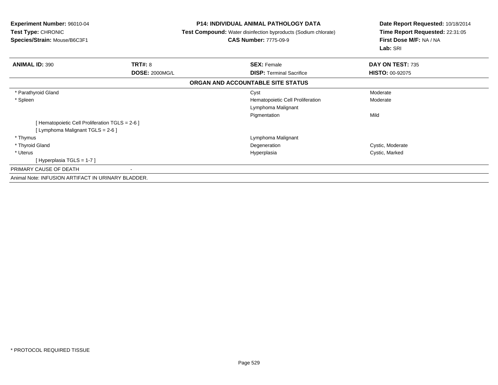| <b>Experiment Number: 96010-04</b><br>Test Type: CHRONIC<br>Species/Strain: Mouse/B6C3F1 |                       | <b>P14: INDIVIDUAL ANIMAL PATHOLOGY DATA</b><br><b>Test Compound:</b> Water disinfection byproducts (Sodium chlorate)<br><b>CAS Number: 7775-09-9</b> | Date Report Requested: 10/18/2014<br>Time Report Requested: 22:31:05<br>First Dose M/F: NA / NA<br>Lab: SRI |  |
|------------------------------------------------------------------------------------------|-----------------------|-------------------------------------------------------------------------------------------------------------------------------------------------------|-------------------------------------------------------------------------------------------------------------|--|
| <b>ANIMAL ID: 390</b>                                                                    | <b>TRT#: 8</b>        | <b>SEX: Female</b>                                                                                                                                    | DAY ON TEST: 735                                                                                            |  |
|                                                                                          | <b>DOSE: 2000MG/L</b> | <b>DISP: Terminal Sacrifice</b>                                                                                                                       | <b>HISTO: 00-92075</b>                                                                                      |  |
|                                                                                          |                       | ORGAN AND ACCOUNTABLE SITE STATUS                                                                                                                     |                                                                                                             |  |
| * Parathyroid Gland                                                                      |                       | Cyst                                                                                                                                                  | Moderate                                                                                                    |  |
| * Spleen                                                                                 |                       | Hematopoietic Cell Proliferation                                                                                                                      | Moderate                                                                                                    |  |
|                                                                                          |                       | Lymphoma Malignant                                                                                                                                    |                                                                                                             |  |
|                                                                                          |                       | Pigmentation                                                                                                                                          | Mild                                                                                                        |  |
| [ Hematopoietic Cell Proliferation TGLS = 2-6 ]                                          |                       |                                                                                                                                                       |                                                                                                             |  |
| [ Lymphoma Malignant TGLS = 2-6 ]                                                        |                       |                                                                                                                                                       |                                                                                                             |  |
| * Thymus                                                                                 |                       | Lymphoma Malignant                                                                                                                                    |                                                                                                             |  |
| * Thyroid Gland                                                                          |                       | Degeneration                                                                                                                                          | Cystic, Moderate                                                                                            |  |
| * Uterus                                                                                 |                       | Hyperplasia                                                                                                                                           | Cystic, Marked                                                                                              |  |
| [Hyperplasia TGLS = 1-7]                                                                 |                       |                                                                                                                                                       |                                                                                                             |  |
| PRIMARY CAUSE OF DEATH                                                                   |                       |                                                                                                                                                       |                                                                                                             |  |
| Animal Note: INFUSION ARTIFACT IN URINARY BLADDER.                                       |                       |                                                                                                                                                       |                                                                                                             |  |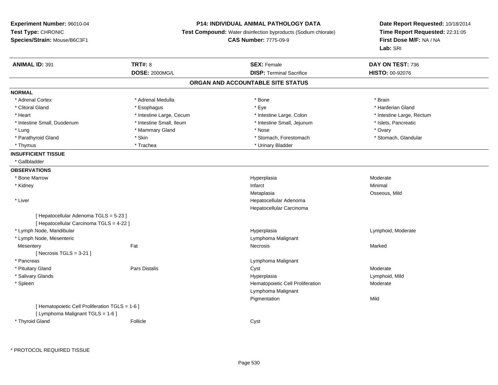#### **P14: INDIVIDUAL ANIMAL PATHOLOGY DATA**

**Test Compound:** Water disinfection byproducts (Sodium chlorate)

**CAS Number:** 7775-09-9

| <b>ANIMAL ID: 391</b>                           | <b>TRT#: 8</b>           | <b>SEX: Female</b>                | DAY ON TEST: 736          |
|-------------------------------------------------|--------------------------|-----------------------------------|---------------------------|
|                                                 | <b>DOSE: 2000MG/L</b>    | <b>DISP: Terminal Sacrifice</b>   | HISTO: 00-92076           |
|                                                 |                          | ORGAN AND ACCOUNTABLE SITE STATUS |                           |
| <b>NORMAL</b>                                   |                          |                                   |                           |
| * Adrenal Cortex                                | * Adrenal Medulla        | * Bone                            | * Brain                   |
| * Clitoral Gland                                | * Esophagus              | * Eye                             | * Harderian Gland         |
| * Heart                                         | * Intestine Large, Cecum | * Intestine Large, Colon          | * Intestine Large, Rectum |
| * Intestine Small, Duodenum                     | * Intestine Small, Ileum | * Intestine Small, Jejunum        | * Islets, Pancreatic      |
| * Lung                                          | * Mammary Gland          | * Nose                            | * Ovary                   |
| * Parathyroid Gland                             | * Skin                   | * Stomach, Forestomach            | * Stomach, Glandular      |
| * Thymus                                        | * Trachea                | * Urinary Bladder                 |                           |
| <b>INSUFFICIENT TISSUE</b>                      |                          |                                   |                           |
| * Gallbladder                                   |                          |                                   |                           |
| <b>OBSERVATIONS</b>                             |                          |                                   |                           |
| * Bone Marrow                                   |                          | Hyperplasia                       | Moderate                  |
| * Kidney                                        |                          | Infarct                           | Minimal                   |
|                                                 |                          | Metaplasia                        | Osseous, Mild             |
| * Liver                                         |                          | Hepatocellular Adenoma            |                           |
|                                                 |                          | Hepatocellular Carcinoma          |                           |
| [ Hepatocellular Adenoma TGLS = 5-23 ]          |                          |                                   |                           |
| [ Hepatocellular Carcinoma TGLS = 4-22 ]        |                          |                                   |                           |
| * Lymph Node, Mandibular                        |                          | Hyperplasia                       | Lymphoid, Moderate        |
| * Lymph Node, Mesenteric                        |                          | Lymphoma Malignant                |                           |
| Mesentery                                       | Fat                      | Necrosis                          | Marked                    |
| [Necrosis $TGLS = 3-21$ ]                       |                          |                                   |                           |
| * Pancreas                                      |                          | Lymphoma Malignant                |                           |
| * Pituitary Gland                               | <b>Pars Distalis</b>     | Cyst                              | Moderate                  |
| * Salivary Glands                               |                          | Hyperplasia                       | Lymphoid, Mild            |
| * Spleen                                        |                          | Hematopoietic Cell Proliferation  | Moderate                  |
|                                                 |                          | Lymphoma Malignant                |                           |
|                                                 |                          | Pigmentation                      | Mild                      |
| [ Hematopoietic Cell Proliferation TGLS = 1-6 ] |                          |                                   |                           |
| [ Lymphoma Malignant TGLS = 1-6 ]               |                          |                                   |                           |
| * Thyroid Gland                                 | Follicle                 | Cyst                              |                           |
|                                                 |                          |                                   |                           |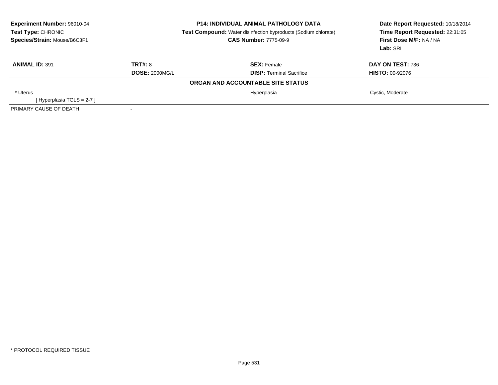| Experiment Number: 96010-04<br>Test Type: CHRONIC<br>Species/Strain: Mouse/B6C3F1 | <b>P14: INDIVIDUAL ANIMAL PATHOLOGY DATA</b><br><b>Test Compound:</b> Water disinfection byproducts (Sodium chlorate)<br><b>CAS Number: 7775-09-9</b> |                                   | Date Report Requested: 10/18/2014<br>Time Report Requested: 22:31:05<br>First Dose M/F: NA / NA<br><b>Lab: SRI</b> |  |
|-----------------------------------------------------------------------------------|-------------------------------------------------------------------------------------------------------------------------------------------------------|-----------------------------------|--------------------------------------------------------------------------------------------------------------------|--|
| <b>ANIMAL ID: 391</b>                                                             | TRT#: 8                                                                                                                                               | <b>SEX: Female</b>                | DAY ON TEST: 736                                                                                                   |  |
|                                                                                   | <b>DOSE: 2000MG/L</b>                                                                                                                                 | <b>DISP: Terminal Sacrifice</b>   | <b>HISTO: 00-92076</b>                                                                                             |  |
|                                                                                   |                                                                                                                                                       | ORGAN AND ACCOUNTABLE SITE STATUS |                                                                                                                    |  |
| * Uterus                                                                          |                                                                                                                                                       | Hyperplasia                       | Cystic, Moderate                                                                                                   |  |
| [Hyperplasia TGLS = $2-7$ ]                                                       |                                                                                                                                                       |                                   |                                                                                                                    |  |
| PRIMARY CAUSE OF DEATH                                                            |                                                                                                                                                       |                                   |                                                                                                                    |  |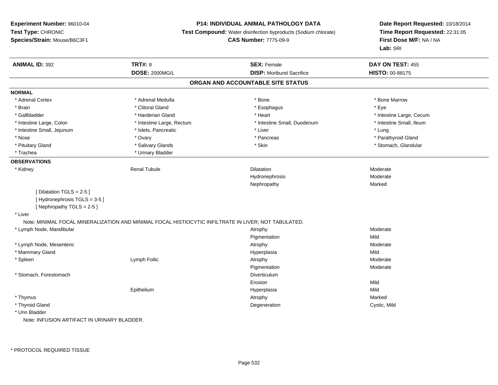### **P14: INDIVIDUAL ANIMAL PATHOLOGY DATA**

**Test Compound:** Water disinfection byproducts (Sodium chlorate)

**CAS Number:** 7775-09-9

| <b>ANIMAL ID: 392</b>                       | <b>TRT#: 8</b>                                                                                       | <b>SEX: Female</b>                | DAY ON TEST: 455         |  |
|---------------------------------------------|------------------------------------------------------------------------------------------------------|-----------------------------------|--------------------------|--|
|                                             | <b>DOSE: 2000MG/L</b>                                                                                | <b>DISP:</b> Moribund Sacrifice   | HISTO: 00-88175          |  |
|                                             |                                                                                                      | ORGAN AND ACCOUNTABLE SITE STATUS |                          |  |
| <b>NORMAL</b>                               |                                                                                                      |                                   |                          |  |
| * Adrenal Cortex                            | * Adrenal Medulla                                                                                    | * Bone                            | * Bone Marrow            |  |
| * Brain                                     | * Clitoral Gland                                                                                     | * Esophagus                       | * Eye                    |  |
| * Gallbladder                               | * Harderian Gland                                                                                    | * Heart                           | * Intestine Large, Cecum |  |
| * Intestine Large, Colon                    | * Intestine Large, Rectum                                                                            | * Intestine Small, Duodenum       | * Intestine Small, Ileum |  |
| * Intestine Small, Jejunum                  | * Islets, Pancreatic                                                                                 | * Liver                           | * Lung                   |  |
| * Nose                                      | * Ovary                                                                                              | * Pancreas                        | * Parathyroid Gland      |  |
| * Pituitary Gland                           | * Salivary Glands                                                                                    | * Skin                            | * Stomach, Glandular     |  |
| * Trachea                                   | * Urinary Bladder                                                                                    |                                   |                          |  |
| <b>OBSERVATIONS</b>                         |                                                                                                      |                                   |                          |  |
| * Kidney                                    | <b>Renal Tubule</b>                                                                                  | Dilatation                        | Moderate                 |  |
|                                             |                                                                                                      | Hydronephrosis                    | Moderate                 |  |
|                                             |                                                                                                      | Nephropathy                       | Marked                   |  |
| [Dilatation TGLS = 2-5]                     |                                                                                                      |                                   |                          |  |
| [Hydronephrosis TGLS = 3-5]                 |                                                                                                      |                                   |                          |  |
| [Nephropathy TGLS = $2-5$ ]                 |                                                                                                      |                                   |                          |  |
| * Liver                                     |                                                                                                      |                                   |                          |  |
|                                             | Note: MINIMAL FOCAL MINERALIZATION AND MINIMAL FOCAL HISTIOCYTIC INFILTRATE IN LIVER; NOT TABULATED. |                                   |                          |  |
| * Lymph Node, Mandibular                    |                                                                                                      | Atrophy                           | Moderate                 |  |
|                                             |                                                                                                      | Pigmentation                      | Mild                     |  |
| * Lymph Node, Mesenteric                    |                                                                                                      | Atrophy                           | Moderate                 |  |
| * Mammary Gland                             |                                                                                                      | Hyperplasia                       | Mild                     |  |
| * Spleen                                    | Lymph Follic                                                                                         | Atrophy                           | Moderate                 |  |
|                                             |                                                                                                      | Pigmentation                      | Moderate                 |  |
| * Stomach, Forestomach                      |                                                                                                      | Diverticulum                      |                          |  |
|                                             |                                                                                                      | Erosion                           | Mild                     |  |
|                                             | Epithelium                                                                                           | Hyperplasia                       | Mild                     |  |
| * Thymus                                    |                                                                                                      | Atrophy                           | Marked                   |  |
| * Thyroid Gland                             |                                                                                                      | Degeneration                      | Cystic, Mild             |  |
| * Urin Bladder                              |                                                                                                      |                                   |                          |  |
| Note: INFUSION ARTIFACT IN URINARY BLADDER. |                                                                                                      |                                   |                          |  |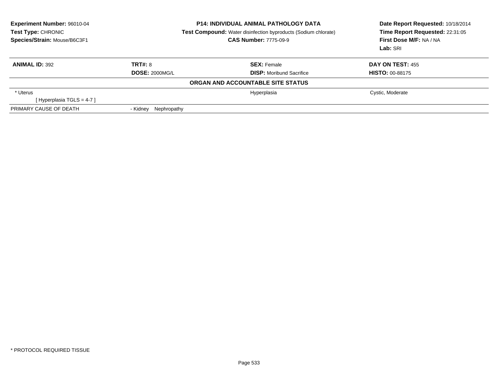| Experiment Number: 96010-04<br>Test Type: CHRONIC<br>Species/Strain: Mouse/B6C3F1 |                         | <b>P14: INDIVIDUAL ANIMAL PATHOLOGY DATA</b><br><b>Test Compound:</b> Water disinfection byproducts (Sodium chlorate)<br><b>CAS Number: 7775-09-9</b> | Date Report Requested: 10/18/2014<br>Time Report Requested: 22:31:05<br>First Dose M/F: NA / NA<br>Lab: SRI |  |
|-----------------------------------------------------------------------------------|-------------------------|-------------------------------------------------------------------------------------------------------------------------------------------------------|-------------------------------------------------------------------------------------------------------------|--|
| <b>ANIMAL ID: 392</b>                                                             | TRT#: 8                 | <b>SEX: Female</b>                                                                                                                                    | <b>DAY ON TEST: 455</b>                                                                                     |  |
|                                                                                   | <b>DOSE: 2000MG/L</b>   | <b>DISP:</b> Moribund Sacrifice                                                                                                                       | <b>HISTO: 00-88175</b>                                                                                      |  |
|                                                                                   |                         | ORGAN AND ACCOUNTABLE SITE STATUS                                                                                                                     |                                                                                                             |  |
| * Uterus                                                                          |                         | Hyperplasia                                                                                                                                           | Cystic, Moderate                                                                                            |  |
| [Hyperplasia TGLS = 4-7 ]                                                         |                         |                                                                                                                                                       |                                                                                                             |  |
| PRIMARY CAUSE OF DEATH                                                            | Nephropathy<br>- Kidney |                                                                                                                                                       |                                                                                                             |  |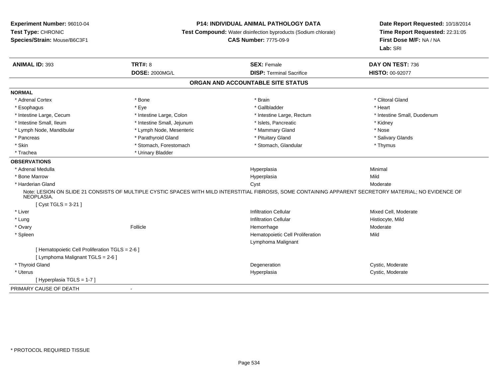# **P14: INDIVIDUAL ANIMAL PATHOLOGY DATA**

**Test Compound:** Water disinfection byproducts (Sodium chlorate)

**CAS Number:** 7775-09-9

| <b>ANIMAL ID: 393</b>                           | <b>TRT#: 8</b>             | <b>SEX: Female</b>                                                                                                                                       | DAY ON TEST: 736            |
|-------------------------------------------------|----------------------------|----------------------------------------------------------------------------------------------------------------------------------------------------------|-----------------------------|
|                                                 | <b>DOSE: 2000MG/L</b>      | <b>DISP: Terminal Sacrifice</b>                                                                                                                          | <b>HISTO: 00-92077</b>      |
|                                                 |                            | ORGAN AND ACCOUNTABLE SITE STATUS                                                                                                                        |                             |
| <b>NORMAL</b>                                   |                            |                                                                                                                                                          |                             |
| * Adrenal Cortex                                | * Bone                     | * Brain                                                                                                                                                  | * Clitoral Gland            |
| * Esophagus                                     | * Eye                      | * Gallbladder                                                                                                                                            | * Heart                     |
| * Intestine Large, Cecum                        | * Intestine Large, Colon   | * Intestine Large, Rectum                                                                                                                                | * Intestine Small, Duodenum |
| * Intestine Small, Ileum                        | * Intestine Small, Jejunum | * Islets, Pancreatic                                                                                                                                     | * Kidney                    |
| * Lymph Node, Mandibular                        | * Lymph Node, Mesenteric   | * Mammary Gland                                                                                                                                          | * Nose                      |
| * Pancreas                                      | * Parathyroid Gland        | * Pituitary Gland                                                                                                                                        | * Salivary Glands           |
| * Skin                                          | * Stomach, Forestomach     | * Stomach, Glandular                                                                                                                                     | * Thymus                    |
| * Trachea                                       | * Urinary Bladder          |                                                                                                                                                          |                             |
| <b>OBSERVATIONS</b>                             |                            |                                                                                                                                                          |                             |
| * Adrenal Medulla                               |                            | Hyperplasia                                                                                                                                              | Minimal                     |
| * Bone Marrow                                   |                            | Hyperplasia                                                                                                                                              | Mild                        |
| * Harderian Gland                               |                            | Cyst                                                                                                                                                     | Moderate                    |
| NEOPLASIA.                                      |                            | Note: LESION ON SLIDE 21 CONSISTS OF MULTIPLE CYSTIC SPACES WITH MILD INTERSTITIAL FIBROSIS, SOME CONTAINING APPARENT SECRETORY MATERIAL; NO EVIDENCE OF |                             |
| [ Cyst TGLS = $3-21$ ]                          |                            |                                                                                                                                                          |                             |
| * Liver                                         |                            | <b>Infiltration Cellular</b>                                                                                                                             | Mixed Cell, Moderate        |
| * Lung                                          |                            | <b>Infiltration Cellular</b>                                                                                                                             | Histiocyte, Mild            |
| * Ovary                                         | Follicle                   | Hemorrhage                                                                                                                                               | Moderate                    |
| * Spleen                                        |                            | Hematopoietic Cell Proliferation                                                                                                                         | Mild                        |
|                                                 |                            | Lymphoma Malignant                                                                                                                                       |                             |
| [ Hematopoietic Cell Proliferation TGLS = 2-6 ] |                            |                                                                                                                                                          |                             |
| [ Lymphoma Malignant TGLS = 2-6 ]               |                            |                                                                                                                                                          |                             |
| * Thyroid Gland                                 |                            | Degeneration                                                                                                                                             | Cystic, Moderate            |
| * Uterus                                        |                            | Hyperplasia                                                                                                                                              | Cystic, Moderate            |
| [Hyperplasia TGLS = 1-7]                        |                            |                                                                                                                                                          |                             |
| PRIMARY CAUSE OF DEATH                          | $\sim$                     |                                                                                                                                                          |                             |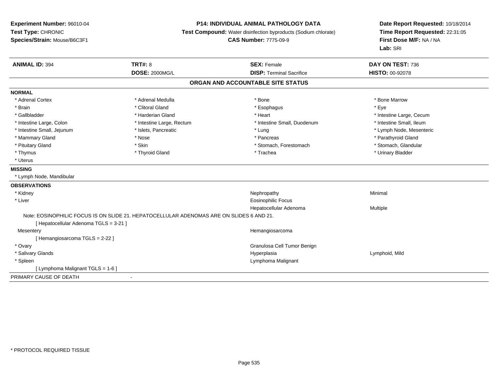# **P14: INDIVIDUAL ANIMAL PATHOLOGY DATA**

**Test Compound:** Water disinfection byproducts (Sodium chlorate)

**CAS Number:** 7775-09-9

| <b>DOSE: 2000MG/L</b><br><b>DISP: Terminal Sacrifice</b><br><b>HISTO: 00-92078</b><br>ORGAN AND ACCOUNTABLE SITE STATUS<br>* Bone<br>* Adrenal Cortex<br>* Adrenal Medulla<br>* Bone Marrow<br>* Clitoral Gland<br>* Eye<br>* Brain<br>* Esophagus<br>* Gallbladder<br>* Harderian Gland<br>* Heart<br>* Intestine Large, Cecum<br>* Intestine Small, Ileum<br>* Intestine Large, Colon<br>* Intestine Large, Rectum<br>* Intestine Small, Duodenum<br>* Intestine Small, Jejunum<br>* Islets, Pancreatic<br>* Lung<br>* Lymph Node, Mesenteric<br>* Mammary Gland<br>* Nose<br>* Parathyroid Gland<br>* Pancreas<br>* Skin<br>* Stomach, Glandular<br>* Pituitary Gland<br>* Stomach, Forestomach<br>* Thyroid Gland<br>* Urinary Bladder<br>* Thymus<br>* Trachea<br>* Uterus<br><b>MISSING</b><br>* Lymph Node, Mandibular<br>* Kidney<br>Nephropathy<br>Minimal<br>* Liver<br>Eosinophilic Focus<br>Hepatocellular Adenoma<br>Multiple<br>Note: EOSINOPHILIC FOCUS IS ON SLIDE 21. HEPATOCELLULAR ADENOMAS ARE ON SLIDES 6 AND 21.<br>[ Hepatocellular Adenoma TGLS = 3-21 ]<br>Hemangiosarcoma<br>Mesentery<br>[Hemangiosarcoma TGLS = 2-22]<br>* Ovary<br>Granulosa Cell Tumor Benign<br>* Salivary Glands<br>Lymphoid, Mild<br>Hyperplasia<br>* Spleen<br>Lymphoma Malignant<br>[ Lymphoma Malignant TGLS = 1-6 ] | <b>ANIMAL ID: 394</b>  | <b>TRT#: 8</b> | <b>SEX: Female</b> | DAY ON TEST: 736 |
|--------------------------------------------------------------------------------------------------------------------------------------------------------------------------------------------------------------------------------------------------------------------------------------------------------------------------------------------------------------------------------------------------------------------------------------------------------------------------------------------------------------------------------------------------------------------------------------------------------------------------------------------------------------------------------------------------------------------------------------------------------------------------------------------------------------------------------------------------------------------------------------------------------------------------------------------------------------------------------------------------------------------------------------------------------------------------------------------------------------------------------------------------------------------------------------------------------------------------------------------------------------------------------------------------------------------------|------------------------|----------------|--------------------|------------------|
|                                                                                                                                                                                                                                                                                                                                                                                                                                                                                                                                                                                                                                                                                                                                                                                                                                                                                                                                                                                                                                                                                                                                                                                                                                                                                                                          |                        |                |                    |                  |
|                                                                                                                                                                                                                                                                                                                                                                                                                                                                                                                                                                                                                                                                                                                                                                                                                                                                                                                                                                                                                                                                                                                                                                                                                                                                                                                          |                        |                |                    |                  |
|                                                                                                                                                                                                                                                                                                                                                                                                                                                                                                                                                                                                                                                                                                                                                                                                                                                                                                                                                                                                                                                                                                                                                                                                                                                                                                                          | <b>NORMAL</b>          |                |                    |                  |
|                                                                                                                                                                                                                                                                                                                                                                                                                                                                                                                                                                                                                                                                                                                                                                                                                                                                                                                                                                                                                                                                                                                                                                                                                                                                                                                          |                        |                |                    |                  |
|                                                                                                                                                                                                                                                                                                                                                                                                                                                                                                                                                                                                                                                                                                                                                                                                                                                                                                                                                                                                                                                                                                                                                                                                                                                                                                                          |                        |                |                    |                  |
|                                                                                                                                                                                                                                                                                                                                                                                                                                                                                                                                                                                                                                                                                                                                                                                                                                                                                                                                                                                                                                                                                                                                                                                                                                                                                                                          |                        |                |                    |                  |
|                                                                                                                                                                                                                                                                                                                                                                                                                                                                                                                                                                                                                                                                                                                                                                                                                                                                                                                                                                                                                                                                                                                                                                                                                                                                                                                          |                        |                |                    |                  |
|                                                                                                                                                                                                                                                                                                                                                                                                                                                                                                                                                                                                                                                                                                                                                                                                                                                                                                                                                                                                                                                                                                                                                                                                                                                                                                                          |                        |                |                    |                  |
|                                                                                                                                                                                                                                                                                                                                                                                                                                                                                                                                                                                                                                                                                                                                                                                                                                                                                                                                                                                                                                                                                                                                                                                                                                                                                                                          |                        |                |                    |                  |
|                                                                                                                                                                                                                                                                                                                                                                                                                                                                                                                                                                                                                                                                                                                                                                                                                                                                                                                                                                                                                                                                                                                                                                                                                                                                                                                          |                        |                |                    |                  |
|                                                                                                                                                                                                                                                                                                                                                                                                                                                                                                                                                                                                                                                                                                                                                                                                                                                                                                                                                                                                                                                                                                                                                                                                                                                                                                                          |                        |                |                    |                  |
|                                                                                                                                                                                                                                                                                                                                                                                                                                                                                                                                                                                                                                                                                                                                                                                                                                                                                                                                                                                                                                                                                                                                                                                                                                                                                                                          |                        |                |                    |                  |
|                                                                                                                                                                                                                                                                                                                                                                                                                                                                                                                                                                                                                                                                                                                                                                                                                                                                                                                                                                                                                                                                                                                                                                                                                                                                                                                          |                        |                |                    |                  |
|                                                                                                                                                                                                                                                                                                                                                                                                                                                                                                                                                                                                                                                                                                                                                                                                                                                                                                                                                                                                                                                                                                                                                                                                                                                                                                                          |                        |                |                    |                  |
|                                                                                                                                                                                                                                                                                                                                                                                                                                                                                                                                                                                                                                                                                                                                                                                                                                                                                                                                                                                                                                                                                                                                                                                                                                                                                                                          | <b>OBSERVATIONS</b>    |                |                    |                  |
|                                                                                                                                                                                                                                                                                                                                                                                                                                                                                                                                                                                                                                                                                                                                                                                                                                                                                                                                                                                                                                                                                                                                                                                                                                                                                                                          |                        |                |                    |                  |
|                                                                                                                                                                                                                                                                                                                                                                                                                                                                                                                                                                                                                                                                                                                                                                                                                                                                                                                                                                                                                                                                                                                                                                                                                                                                                                                          |                        |                |                    |                  |
|                                                                                                                                                                                                                                                                                                                                                                                                                                                                                                                                                                                                                                                                                                                                                                                                                                                                                                                                                                                                                                                                                                                                                                                                                                                                                                                          |                        |                |                    |                  |
|                                                                                                                                                                                                                                                                                                                                                                                                                                                                                                                                                                                                                                                                                                                                                                                                                                                                                                                                                                                                                                                                                                                                                                                                                                                                                                                          |                        |                |                    |                  |
|                                                                                                                                                                                                                                                                                                                                                                                                                                                                                                                                                                                                                                                                                                                                                                                                                                                                                                                                                                                                                                                                                                                                                                                                                                                                                                                          |                        |                |                    |                  |
|                                                                                                                                                                                                                                                                                                                                                                                                                                                                                                                                                                                                                                                                                                                                                                                                                                                                                                                                                                                                                                                                                                                                                                                                                                                                                                                          |                        |                |                    |                  |
|                                                                                                                                                                                                                                                                                                                                                                                                                                                                                                                                                                                                                                                                                                                                                                                                                                                                                                                                                                                                                                                                                                                                                                                                                                                                                                                          |                        |                |                    |                  |
|                                                                                                                                                                                                                                                                                                                                                                                                                                                                                                                                                                                                                                                                                                                                                                                                                                                                                                                                                                                                                                                                                                                                                                                                                                                                                                                          |                        |                |                    |                  |
|                                                                                                                                                                                                                                                                                                                                                                                                                                                                                                                                                                                                                                                                                                                                                                                                                                                                                                                                                                                                                                                                                                                                                                                                                                                                                                                          |                        |                |                    |                  |
|                                                                                                                                                                                                                                                                                                                                                                                                                                                                                                                                                                                                                                                                                                                                                                                                                                                                                                                                                                                                                                                                                                                                                                                                                                                                                                                          |                        |                |                    |                  |
|                                                                                                                                                                                                                                                                                                                                                                                                                                                                                                                                                                                                                                                                                                                                                                                                                                                                                                                                                                                                                                                                                                                                                                                                                                                                                                                          |                        |                |                    |                  |
|                                                                                                                                                                                                                                                                                                                                                                                                                                                                                                                                                                                                                                                                                                                                                                                                                                                                                                                                                                                                                                                                                                                                                                                                                                                                                                                          | PRIMARY CAUSE OF DEATH |                |                    |                  |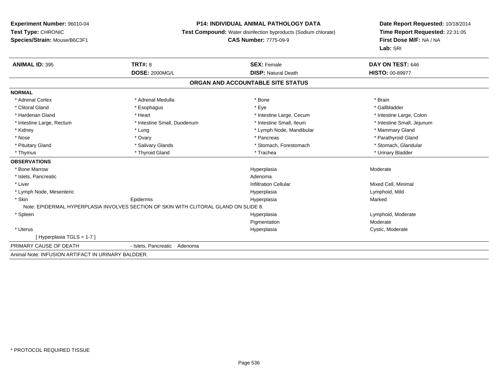#### **P14: INDIVIDUAL ANIMAL PATHOLOGY DATA**

**Test Compound:** Water disinfection byproducts (Sodium chlorate)

#### **CAS Number:** 7775-09-9

| <b>ANIMAL ID: 395</b>                              | <b>TRT#: 8</b>                                                                       | <b>SEX: Female</b>                | DAY ON TEST: 646           |  |
|----------------------------------------------------|--------------------------------------------------------------------------------------|-----------------------------------|----------------------------|--|
|                                                    | <b>DOSE: 2000MG/L</b>                                                                | <b>DISP: Natural Death</b>        | <b>HISTO: 00-89977</b>     |  |
|                                                    |                                                                                      | ORGAN AND ACCOUNTABLE SITE STATUS |                            |  |
| <b>NORMAL</b>                                      |                                                                                      |                                   |                            |  |
| * Adrenal Cortex                                   | * Adrenal Medulla                                                                    | * Bone                            | * Brain                    |  |
| * Clitoral Gland                                   | * Esophagus                                                                          | * Eye                             | * Gallbladder              |  |
| * Harderian Gland                                  | * Heart                                                                              | * Intestine Large, Cecum          | * Intestine Large, Colon   |  |
| * Intestine Large, Rectum                          | * Intestine Small, Duodenum                                                          | * Intestine Small, Ileum          | * Intestine Small, Jejunum |  |
| * Kidney                                           | * Lung                                                                               | * Lymph Node, Mandibular          | * Mammary Gland            |  |
| * Nose                                             | * Ovary                                                                              | * Pancreas                        | * Parathyroid Gland        |  |
| * Pituitary Gland                                  | * Salivary Glands                                                                    | * Stomach, Forestomach            | * Stomach, Glandular       |  |
| * Thymus                                           | * Thyroid Gland                                                                      | * Trachea                         | * Urinary Bladder          |  |
| <b>OBSERVATIONS</b>                                |                                                                                      |                                   |                            |  |
| * Bone Marrow                                      |                                                                                      | Hyperplasia                       | Moderate                   |  |
| * Islets, Pancreatic                               |                                                                                      | Adenoma                           |                            |  |
| * Liver                                            |                                                                                      | <b>Infiltration Cellular</b>      | Mixed Cell, Minimal        |  |
| * Lymph Node, Mesenteric                           |                                                                                      | Hyperplasia                       | Lymphoid, Mild             |  |
| * Skin                                             | Epidermis                                                                            | Hyperplasia                       | Marked                     |  |
|                                                    | Note: EPIDERMAL HYPERPLASIA INVOLVES SECTION OF SKIN WITH CLITORAL GLAND ON SLIDE 8. |                                   |                            |  |
| * Spleen                                           |                                                                                      | Hyperplasia                       | Lymphoid, Moderate         |  |
|                                                    |                                                                                      | Pigmentation                      | Moderate                   |  |
| * Uterus                                           |                                                                                      | Hyperplasia                       | Cystic, Moderate           |  |
| [Hyperplasia TGLS = 1-7]                           |                                                                                      |                                   |                            |  |
| PRIMARY CAUSE OF DEATH                             | - Islets, Pancreatic Adenoma                                                         |                                   |                            |  |
| Animal Note: INFUSION ARTIFACT IN URINARY BALDDER. |                                                                                      |                                   |                            |  |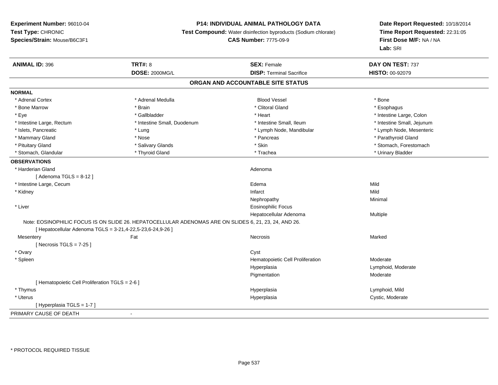# **P14: INDIVIDUAL ANIMAL PATHOLOGY DATA**

**Test Compound:** Water disinfection byproducts (Sodium chlorate)

**CAS Number:** 7775-09-9

| <b>ANIMAL ID: 396</b>                                      | <b>TRT#: 8</b>                                                                                        | <b>SEX: Female</b>                | DAY ON TEST: 737           |
|------------------------------------------------------------|-------------------------------------------------------------------------------------------------------|-----------------------------------|----------------------------|
|                                                            | <b>DOSE: 2000MG/L</b>                                                                                 | <b>DISP: Terminal Sacrifice</b>   | HISTO: 00-92079            |
|                                                            |                                                                                                       | ORGAN AND ACCOUNTABLE SITE STATUS |                            |
| <b>NORMAL</b>                                              |                                                                                                       |                                   |                            |
| * Adrenal Cortex                                           | * Adrenal Medulla                                                                                     | <b>Blood Vessel</b>               | * Bone                     |
| * Bone Marrow                                              | * Brain                                                                                               | * Clitoral Gland                  | * Esophagus                |
| * Eye                                                      | * Gallbladder                                                                                         | * Heart                           | * Intestine Large, Colon   |
| * Intestine Large, Rectum                                  | * Intestine Small, Duodenum                                                                           | * Intestine Small, Ileum          | * Intestine Small, Jejunum |
| * Islets, Pancreatic                                       | * Lung                                                                                                | * Lymph Node, Mandibular          | * Lymph Node, Mesenteric   |
| * Mammary Gland                                            | * Nose                                                                                                | * Pancreas                        | * Parathyroid Gland        |
| * Pituitary Gland                                          | * Salivary Glands                                                                                     | * Skin                            | * Stomach, Forestomach     |
| * Stomach, Glandular                                       | * Thyroid Gland                                                                                       | * Trachea                         | * Urinary Bladder          |
| <b>OBSERVATIONS</b>                                        |                                                                                                       |                                   |                            |
| * Harderian Gland                                          |                                                                                                       | Adenoma                           |                            |
| [Adenoma TGLS = $8-12$ ]                                   |                                                                                                       |                                   |                            |
| * Intestine Large, Cecum                                   |                                                                                                       | Edema                             | Mild                       |
| * Kidney                                                   |                                                                                                       | Infarct                           | Mild                       |
|                                                            |                                                                                                       | Nephropathy                       | Minimal                    |
| * Liver                                                    |                                                                                                       | <b>Eosinophilic Focus</b>         |                            |
|                                                            |                                                                                                       | Hepatocellular Adenoma            | Multiple                   |
|                                                            | Note: EOSINOPHILIC FOCUS IS ON SLIDE 26. HEPATOCELLULAR ADENOMAS ARE ON SLIDES 6, 21, 23, 24, AND 26. |                                   |                            |
| [ Hepatocellular Adenoma TGLS = 3-21,4-22,5-23,6-24,9-26 ] |                                                                                                       |                                   |                            |
| Mesentery                                                  | Fat                                                                                                   | Necrosis                          | Marked                     |
| [ Necrosis $TGLS = 7-25$ ]                                 |                                                                                                       |                                   |                            |
| * Ovary                                                    |                                                                                                       | Cyst                              |                            |
| * Spleen                                                   |                                                                                                       | Hematopoietic Cell Proliferation  | Moderate                   |
|                                                            |                                                                                                       | Hyperplasia                       | Lymphoid, Moderate         |
|                                                            |                                                                                                       | Pigmentation                      | Moderate                   |
| [ Hematopoietic Cell Proliferation TGLS = 2-6 ]            |                                                                                                       |                                   |                            |
| * Thymus                                                   |                                                                                                       | Hyperplasia                       | Lymphoid, Mild             |
| * Uterus                                                   |                                                                                                       | Hyperplasia                       | Cystic, Moderate           |
| [ Hyperplasia TGLS = 1-7 ]                                 |                                                                                                       |                                   |                            |
| PRIMARY CAUSE OF DEATH                                     | $\sim$                                                                                                |                                   |                            |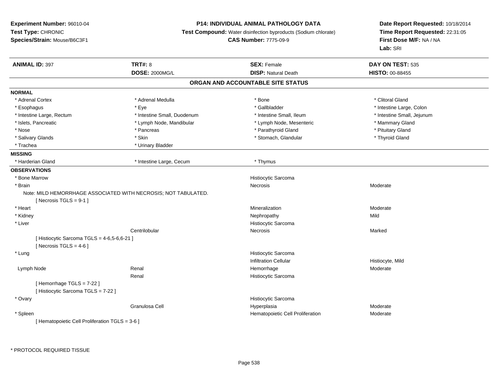# **P14: INDIVIDUAL ANIMAL PATHOLOGY DATA**

**Test Compound:** Water disinfection byproducts (Sodium chlorate)

```
CAS Number: 7775-09-9
```
**Date Report Requested:** 10/18/2014**Time Report Requested:** 22:31:05**First Dose M/F:** NA / NA**Lab:** SRI

| <b>ANIMAL ID: 397</b>                           | <b>TRT#: 8</b>                                                 | <b>SEX: Female</b>                | DAY ON TEST: 535           |
|-------------------------------------------------|----------------------------------------------------------------|-----------------------------------|----------------------------|
|                                                 | <b>DOSE: 2000MG/L</b>                                          | <b>DISP: Natural Death</b>        | <b>HISTO: 00-88455</b>     |
|                                                 |                                                                | ORGAN AND ACCOUNTABLE SITE STATUS |                            |
| <b>NORMAL</b>                                   |                                                                |                                   |                            |
| * Adrenal Cortex                                | * Adrenal Medulla                                              | * Bone                            | * Clitoral Gland           |
| * Esophagus                                     | * Eye                                                          | * Gallbladder                     | * Intestine Large, Colon   |
| * Intestine Large, Rectum                       | * Intestine Small, Duodenum                                    | * Intestine Small, Ileum          | * Intestine Small, Jejunum |
| * Islets, Pancreatic                            | * Lymph Node, Mandibular                                       | * Lymph Node, Mesenteric          | * Mammary Gland            |
| * Nose                                          | * Pancreas                                                     | * Parathyroid Gland               | * Pituitary Gland          |
| * Salivary Glands                               | * Skin                                                         | * Stomach, Glandular              | * Thyroid Gland            |
| * Trachea                                       | * Urinary Bladder                                              |                                   |                            |
| <b>MISSING</b>                                  |                                                                |                                   |                            |
| * Harderian Gland                               | * Intestine Large, Cecum                                       | * Thymus                          |                            |
| <b>OBSERVATIONS</b>                             |                                                                |                                   |                            |
| * Bone Marrow                                   |                                                                | Histiocytic Sarcoma               |                            |
| * Brain                                         |                                                                | <b>Necrosis</b>                   | Moderate                   |
|                                                 | Note: MILD HEMORRHAGE ASSOCIATED WITH NECROSIS; NOT TABULATED. |                                   |                            |
| [Necrosis $TGLS = 9-1$ ]                        |                                                                |                                   |                            |
| * Heart                                         |                                                                | Mineralization                    | Moderate                   |
| * Kidney                                        |                                                                | Nephropathy                       | Mild                       |
| * Liver                                         |                                                                | Histiocytic Sarcoma               |                            |
|                                                 | Centrilobular                                                  | Necrosis                          | Marked                     |
| [ Histiocytic Sarcoma TGLS = 4-6,5-6,6-21 ]     |                                                                |                                   |                            |
| [Necrosis TGLS = $4-6$ ]                        |                                                                |                                   |                            |
| * Lung                                          |                                                                | Histiocytic Sarcoma               |                            |
|                                                 |                                                                | <b>Infiltration Cellular</b>      | Histiocyte, Mild           |
| Lymph Node                                      | Renal                                                          | Hemorrhage                        | Moderate                   |
|                                                 | Renal                                                          | Histiocytic Sarcoma               |                            |
| [Hemorrhage TGLS = 7-22]                        |                                                                |                                   |                            |
| [ Histiocytic Sarcoma TGLS = 7-22 ]             |                                                                |                                   |                            |
| * Ovary                                         |                                                                | Histiocytic Sarcoma               |                            |
|                                                 | Granulosa Cell                                                 | Hyperplasia                       | Moderate                   |
| * Spleen                                        |                                                                | Hematopoietic Cell Proliferation  | Moderate                   |
| [ Hematopoietic Cell Proliferation TGLS = 3-6 ] |                                                                |                                   |                            |

\* PROTOCOL REQUIRED TISSUE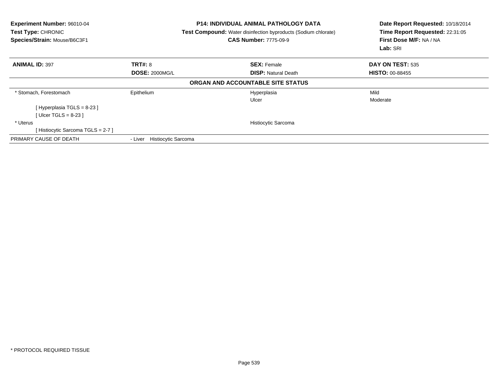| Experiment Number: 96010-04<br>Test Type: CHRONIC<br>Species/Strain: Mouse/B6C3F1 |                                       | <b>P14: INDIVIDUAL ANIMAL PATHOLOGY DATA</b><br><b>Test Compound:</b> Water disinfection byproducts (Sodium chlorate)<br><b>CAS Number: 7775-09-9</b> | Date Report Requested: 10/18/2014<br>Time Report Requested: 22:31:05<br>First Dose M/F: NA / NA<br>Lab: SRI |  |
|-----------------------------------------------------------------------------------|---------------------------------------|-------------------------------------------------------------------------------------------------------------------------------------------------------|-------------------------------------------------------------------------------------------------------------|--|
| <b>ANIMAL ID: 397</b>                                                             | <b>TRT#: 8</b>                        | <b>SEX: Female</b>                                                                                                                                    | DAY ON TEST: 535                                                                                            |  |
|                                                                                   | <b>DOSE: 2000MG/L</b>                 | <b>DISP: Natural Death</b>                                                                                                                            | <b>HISTO: 00-88455</b>                                                                                      |  |
|                                                                                   |                                       | ORGAN AND ACCOUNTABLE SITE STATUS                                                                                                                     |                                                                                                             |  |
| * Stomach, Forestomach                                                            | Epithelium                            | Hyperplasia                                                                                                                                           | Mild                                                                                                        |  |
|                                                                                   |                                       | Ulcer                                                                                                                                                 | Moderate                                                                                                    |  |
| [Hyperplasia TGLS = 8-23 ]                                                        |                                       |                                                                                                                                                       |                                                                                                             |  |
| [ Ulcer TGLS = 8-23 ]                                                             |                                       |                                                                                                                                                       |                                                                                                             |  |
| * Uterus                                                                          |                                       | Histiocytic Sarcoma                                                                                                                                   |                                                                                                             |  |
| [Histiocytic Sarcoma TGLS = 2-7]                                                  |                                       |                                                                                                                                                       |                                                                                                             |  |
| PRIMARY CAUSE OF DEATH                                                            | <b>Histiocytic Sarcoma</b><br>- Liver |                                                                                                                                                       |                                                                                                             |  |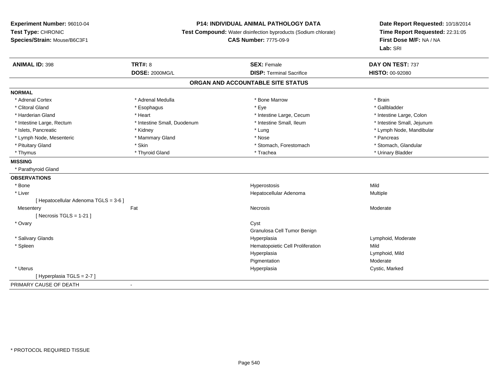# **P14: INDIVIDUAL ANIMAL PATHOLOGY DATA**

**Test Compound:** Water disinfection byproducts (Sodium chlorate)

**CAS Number:** 7775-09-9

| <b>ANIMAL ID: 398</b>                 | <b>TRT#: 8</b>              | <b>SEX: Female</b>                | DAY ON TEST: 737           |
|---------------------------------------|-----------------------------|-----------------------------------|----------------------------|
|                                       | <b>DOSE: 2000MG/L</b>       | <b>DISP: Terminal Sacrifice</b>   | HISTO: 00-92080            |
|                                       |                             | ORGAN AND ACCOUNTABLE SITE STATUS |                            |
| <b>NORMAL</b>                         |                             |                                   |                            |
| * Adrenal Cortex                      | * Adrenal Medulla           | * Bone Marrow                     | * Brain                    |
| * Clitoral Gland                      | * Esophagus                 | * Eye                             | * Gallbladder              |
| * Harderian Gland                     | * Heart                     | * Intestine Large, Cecum          | * Intestine Large, Colon   |
| * Intestine Large, Rectum             | * Intestine Small, Duodenum | * Intestine Small, Ileum          | * Intestine Small, Jejunum |
| * Islets, Pancreatic                  | * Kidney                    | * Lung                            | * Lymph Node, Mandibular   |
| * Lymph Node, Mesenteric              | * Mammary Gland             | * Nose                            | * Pancreas                 |
| * Pituitary Gland                     | * Skin                      | * Stomach, Forestomach            | * Stomach, Glandular       |
| * Thymus                              | * Thyroid Gland             | * Trachea                         | * Urinary Bladder          |
| <b>MISSING</b>                        |                             |                                   |                            |
| * Parathyroid Gland                   |                             |                                   |                            |
| <b>OBSERVATIONS</b>                   |                             |                                   |                            |
| * Bone                                |                             | Hyperostosis                      | Mild                       |
| * Liver                               |                             | Hepatocellular Adenoma            | Multiple                   |
| [ Hepatocellular Adenoma TGLS = 3-6 ] |                             |                                   |                            |
| Mesentery                             | Fat                         | Necrosis                          | Moderate                   |
| [Necrosis TGLS = $1-21$ ]             |                             |                                   |                            |
| * Ovary                               |                             | Cyst                              |                            |
|                                       |                             | Granulosa Cell Tumor Benign       |                            |
| * Salivary Glands                     |                             | Hyperplasia                       | Lymphoid, Moderate         |
| * Spleen                              |                             | Hematopoietic Cell Proliferation  | Mild                       |
|                                       |                             | Hyperplasia                       | Lymphoid, Mild             |
|                                       |                             | Pigmentation                      | Moderate                   |
| * Uterus                              |                             | Hyperplasia                       | Cystic, Marked             |
| [Hyperplasia TGLS = 2-7 ]             |                             |                                   |                            |
| PRIMARY CAUSE OF DEATH                | $\blacksquare$              |                                   |                            |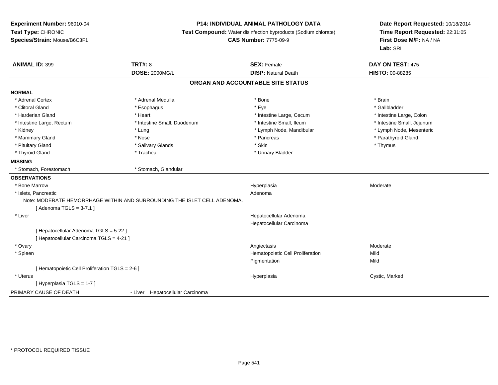**Experiment Number:** 96010-04**Test Type:** CHRONIC**Species/Strain:** Mouse/B6C3F1

## **P14: INDIVIDUAL ANIMAL PATHOLOGY DATA**

**Test Compound:** Water disinfection byproducts (Sodium chlorate)

**CAS Number:** 7775-09-9

**Date Report Requested:** 10/18/2014**Time Report Requested:** 22:31:05**First Dose M/F:** NA / NA**Lab:** SRI

| <b>ANIMAL ID: 399</b>                                                    | <b>TRT#: 8</b>                   | <b>SEX: Female</b>                | DAY ON TEST: 475           |
|--------------------------------------------------------------------------|----------------------------------|-----------------------------------|----------------------------|
|                                                                          | <b>DOSE: 2000MG/L</b>            | <b>DISP: Natural Death</b>        | HISTO: 00-88285            |
|                                                                          |                                  | ORGAN AND ACCOUNTABLE SITE STATUS |                            |
| <b>NORMAL</b>                                                            |                                  |                                   |                            |
| * Adrenal Cortex                                                         | * Adrenal Medulla                | * Bone                            | * Brain                    |
| * Clitoral Gland                                                         | * Esophagus                      | * Eye                             | * Gallbladder              |
| * Harderian Gland                                                        | * Heart                          | * Intestine Large, Cecum          | * Intestine Large, Colon   |
| * Intestine Large, Rectum                                                | * Intestine Small, Duodenum      | * Intestine Small, Ileum          | * Intestine Small, Jejunum |
| * Kidney                                                                 | * Lung                           | * Lymph Node, Mandibular          | * Lymph Node, Mesenteric   |
| * Mammary Gland                                                          | * Nose                           | * Pancreas                        | * Parathyroid Gland        |
| * Pituitary Gland                                                        | * Salivary Glands                | * Skin                            | * Thymus                   |
| * Thyroid Gland                                                          | * Trachea                        | * Urinary Bladder                 |                            |
| <b>MISSING</b>                                                           |                                  |                                   |                            |
| * Stomach, Forestomach                                                   | * Stomach, Glandular             |                                   |                            |
| <b>OBSERVATIONS</b>                                                      |                                  |                                   |                            |
| * Bone Marrow                                                            |                                  | Hyperplasia                       | Moderate                   |
| * Islets, Pancreatic                                                     |                                  | Adenoma                           |                            |
| Note: MODERATE HEMORRHAGE WITHIN AND SURROUNDING THE ISLET CELL ADENOMA. |                                  |                                   |                            |
| [Adenoma TGLS = $3-7.1$ ]                                                |                                  |                                   |                            |
| * Liver                                                                  |                                  | Hepatocellular Adenoma            |                            |
|                                                                          |                                  | Hepatocellular Carcinoma          |                            |
| [ Hepatocellular Adenoma TGLS = 5-22 ]                                   |                                  |                                   |                            |
| [ Hepatocellular Carcinoma TGLS = 4-21 ]                                 |                                  |                                   |                            |
| * Ovary                                                                  |                                  | Angiectasis                       | Moderate                   |
| * Spleen                                                                 |                                  | Hematopoietic Cell Proliferation  | Mild                       |
|                                                                          |                                  | Pigmentation                      | Mild                       |
| [Hematopoietic Cell Proliferation TGLS = 2-6]                            |                                  |                                   |                            |
| * Uterus                                                                 |                                  | Hyperplasia                       | Cystic, Marked             |
| [ Hyperplasia TGLS = 1-7 ]                                               |                                  |                                   |                            |
| PRIMARY CAUSE OF DEATH                                                   | - Liver Hepatocellular Carcinoma |                                   |                            |